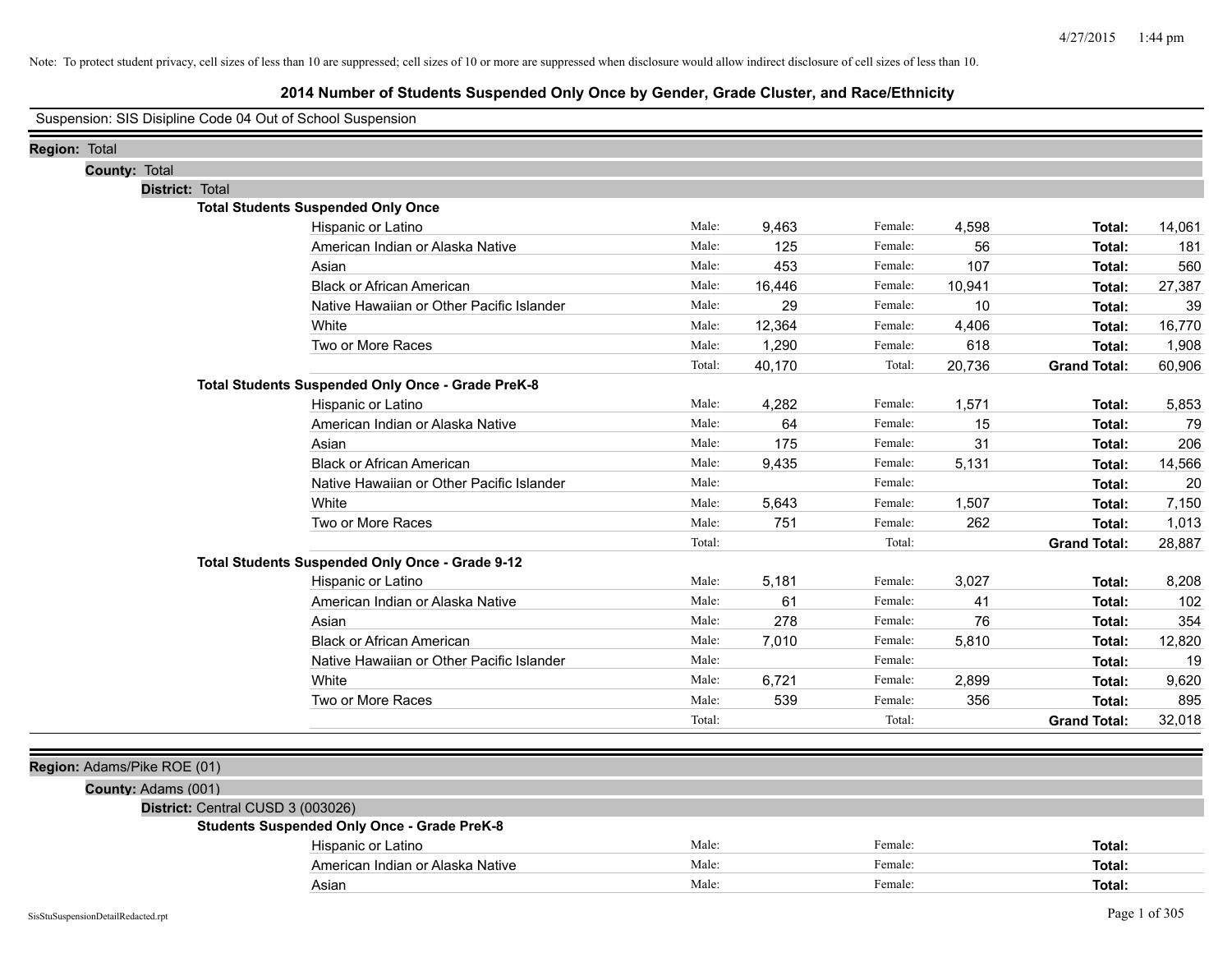| Suspension: SIS Disipline Code 04 Out of School Suspension |  |  |  |
|------------------------------------------------------------|--|--|--|
|                                                            |  |  |  |

| Region: Total |               |                             |                                                    |        |        |         |        |                     |        |
|---------------|---------------|-----------------------------|----------------------------------------------------|--------|--------|---------|--------|---------------------|--------|
|               | County: Total |                             |                                                    |        |        |         |        |                     |        |
|               |               | District: Total             |                                                    |        |        |         |        |                     |        |
|               |               |                             | <b>Total Students Suspended Only Once</b>          |        |        |         |        |                     |        |
|               |               |                             | Hispanic or Latino                                 | Male:  | 9,463  | Female: | 4,598  | Total:              | 14,061 |
|               |               |                             | American Indian or Alaska Native                   | Male:  | 125    | Female: | 56     | Total:              | 181    |
|               |               |                             | Asian                                              | Male:  | 453    | Female: | 107    | Total:              | 560    |
|               |               |                             | <b>Black or African American</b>                   | Male:  | 16,446 | Female: | 10,941 | Total:              | 27,387 |
|               |               |                             | Native Hawaiian or Other Pacific Islander          | Male:  | 29     | Female: | 10     | Total:              | 39     |
|               |               |                             | White                                              | Male:  | 12,364 | Female: | 4,406  | Total:              | 16,770 |
|               |               |                             | Two or More Races                                  | Male:  | 1,290  | Female: | 618    | Total:              | 1,908  |
|               |               |                             |                                                    | Total: | 40,170 | Total:  | 20,736 | <b>Grand Total:</b> | 60,906 |
|               |               |                             | Total Students Suspended Only Once - Grade PreK-8  |        |        |         |        |                     |        |
|               |               |                             | Hispanic or Latino                                 | Male:  | 4,282  | Female: | 1,571  | Total:              | 5,853  |
|               |               |                             | American Indian or Alaska Native                   | Male:  | 64     | Female: | 15     | Total:              | 79     |
|               |               |                             | Asian                                              | Male:  | 175    | Female: | 31     | Total:              | 206    |
|               |               |                             | <b>Black or African American</b>                   | Male:  | 9,435  | Female: | 5,131  | Total:              | 14,566 |
|               |               |                             | Native Hawaiian or Other Pacific Islander          | Male:  |        | Female: |        | Total:              | 20     |
|               |               |                             | White                                              | Male:  | 5,643  | Female: | 1,507  | Total:              | 7,150  |
|               |               |                             | Two or More Races                                  | Male:  | 751    | Female: | 262    | Total:              | 1,013  |
|               |               |                             |                                                    | Total: |        | Total:  |        | <b>Grand Total:</b> | 28,887 |
|               |               |                             | Total Students Suspended Only Once - Grade 9-12    |        |        |         |        |                     |        |
|               |               |                             | Hispanic or Latino                                 | Male:  | 5,181  | Female: | 3,027  | Total:              | 8,208  |
|               |               |                             | American Indian or Alaska Native                   | Male:  | 61     | Female: | 41     | Total:              | 102    |
|               |               |                             | Asian                                              | Male:  | 278    | Female: | 76     | Total:              | 354    |
|               |               |                             | <b>Black or African American</b>                   | Male:  | 7,010  | Female: | 5,810  | Total:              | 12,820 |
|               |               |                             | Native Hawaiian or Other Pacific Islander          | Male:  |        | Female: |        | Total:              | 19     |
|               |               |                             | White                                              | Male:  | 6,721  | Female: | 2,899  | Total:              | 9,620  |
|               |               |                             | Two or More Races                                  | Male:  | 539    | Female: | 356    | Total:              | 895    |
|               |               |                             |                                                    | Total: |        | Total:  |        | <b>Grand Total:</b> | 32,018 |
|               |               |                             |                                                    |        |        |         |        |                     |        |
|               |               | Region: Adams/Pike ROE (01) |                                                    |        |        |         |        |                     |        |
|               |               | County: Adams (001)         |                                                    |        |        |         |        |                     |        |
|               |               |                             | District: Central CUSD 3 (003026)                  |        |        |         |        |                     |        |
|               |               |                             | <b>Students Suspended Only Once - Grade PreK-8</b> |        |        |         |        |                     |        |
|               |               |                             | Hispanic or Latino                                 | Male:  |        | Female: |        | Total:              |        |
|               |               |                             | American Indian or Alaska Native                   | Male:  |        | Female: |        | Total:              |        |
|               |               |                             |                                                    |        |        |         |        |                     |        |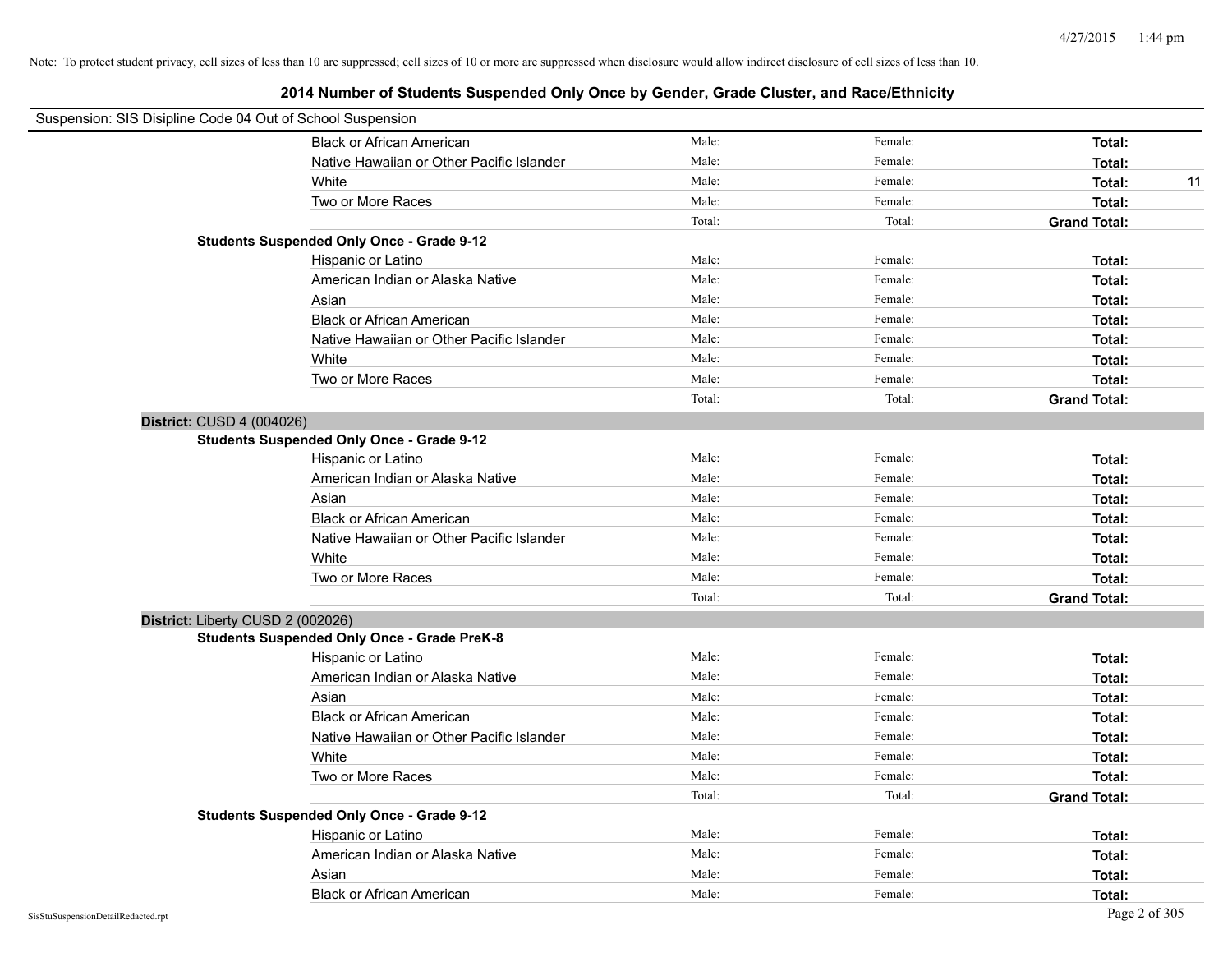| Suspension: SIS Disipline Code 04 Out of School Suspension |                                                    |        |         |                     |
|------------------------------------------------------------|----------------------------------------------------|--------|---------|---------------------|
|                                                            | <b>Black or African American</b>                   | Male:  | Female: | Total:              |
|                                                            | Native Hawaiian or Other Pacific Islander          | Male:  | Female: | Total:              |
|                                                            | White                                              | Male:  | Female: | Total:<br>11        |
|                                                            | Two or More Races                                  | Male:  | Female: | Total:              |
|                                                            |                                                    | Total: | Total:  | <b>Grand Total:</b> |
|                                                            | <b>Students Suspended Only Once - Grade 9-12</b>   |        |         |                     |
|                                                            | Hispanic or Latino                                 | Male:  | Female: | Total:              |
|                                                            | American Indian or Alaska Native                   | Male:  | Female: | Total:              |
|                                                            | Asian                                              | Male:  | Female: | Total:              |
|                                                            | <b>Black or African American</b>                   | Male:  | Female: | Total:              |
|                                                            | Native Hawaiian or Other Pacific Islander          | Male:  | Female: | Total:              |
|                                                            | White                                              | Male:  | Female: | Total:              |
|                                                            | Two or More Races                                  | Male:  | Female: | Total:              |
|                                                            |                                                    | Total: | Total:  | <b>Grand Total:</b> |
| District: CUSD 4 (004026)                                  |                                                    |        |         |                     |
|                                                            | <b>Students Suspended Only Once - Grade 9-12</b>   |        |         |                     |
|                                                            | Hispanic or Latino                                 | Male:  | Female: | Total:              |
|                                                            | American Indian or Alaska Native                   | Male:  | Female: | Total:              |
|                                                            | Asian                                              | Male:  | Female: | Total:              |
|                                                            | <b>Black or African American</b>                   | Male:  | Female: | Total:              |
|                                                            | Native Hawaiian or Other Pacific Islander          | Male:  | Female: | Total:              |
|                                                            | White                                              | Male:  | Female: | Total:              |
|                                                            | Two or More Races                                  | Male:  | Female: | Total:              |
|                                                            |                                                    | Total: | Total:  | <b>Grand Total:</b> |
| District: Liberty CUSD 2 (002026)                          |                                                    |        |         |                     |
|                                                            | <b>Students Suspended Only Once - Grade PreK-8</b> |        |         |                     |
|                                                            | Hispanic or Latino                                 | Male:  | Female: | Total:              |
|                                                            | American Indian or Alaska Native                   | Male:  | Female: | Total:              |
|                                                            | Asian                                              | Male:  | Female: | Total:              |
|                                                            | <b>Black or African American</b>                   | Male:  | Female: | Total:              |
|                                                            | Native Hawaiian or Other Pacific Islander          | Male:  | Female: | Total:              |
|                                                            | White                                              | Male:  | Female: | Total:              |
|                                                            | Two or More Races                                  | Male:  | Female: | Total:              |
|                                                            |                                                    | Total: | Total:  | <b>Grand Total:</b> |
|                                                            | <b>Students Suspended Only Once - Grade 9-12</b>   |        |         |                     |
|                                                            | Hispanic or Latino                                 | Male:  | Female: | Total:              |
|                                                            | American Indian or Alaska Native                   | Male:  | Female: | Total:              |
|                                                            | Asian                                              | Male:  | Female: | Total:              |
|                                                            | <b>Black or African American</b>                   | Male:  | Female: | Total:              |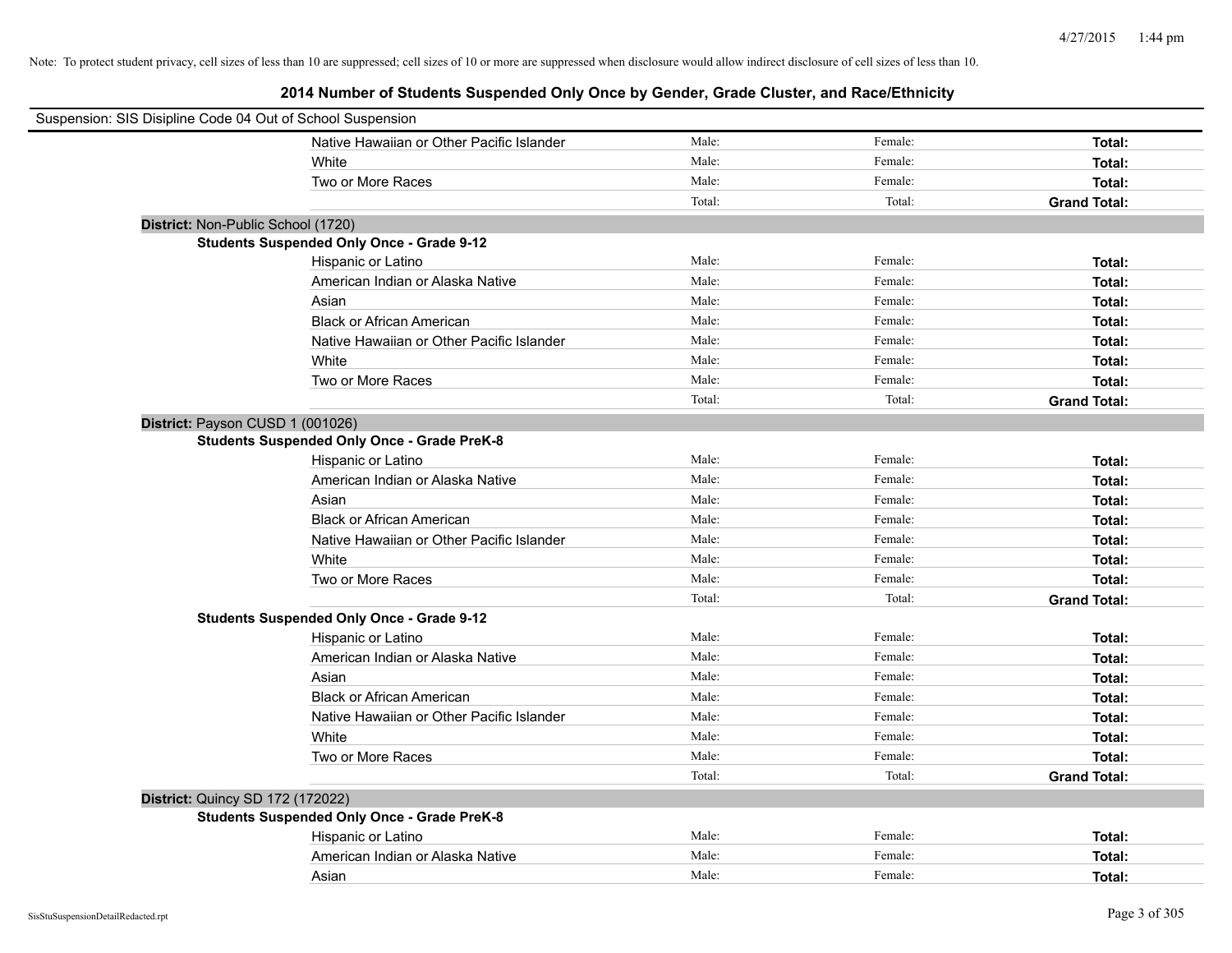| Suspension: SIS Disipline Code 04 Out of School Suspension |                                                    |        |         |                     |
|------------------------------------------------------------|----------------------------------------------------|--------|---------|---------------------|
|                                                            | Native Hawaiian or Other Pacific Islander          | Male:  | Female: | Total:              |
|                                                            | White                                              | Male:  | Female: | Total:              |
|                                                            | Two or More Races                                  | Male:  | Female: | Total:              |
|                                                            |                                                    | Total: | Total:  | <b>Grand Total:</b> |
| District: Non-Public School (1720)                         |                                                    |        |         |                     |
|                                                            | <b>Students Suspended Only Once - Grade 9-12</b>   |        |         |                     |
|                                                            | Hispanic or Latino                                 | Male:  | Female: | Total:              |
|                                                            | American Indian or Alaska Native                   | Male:  | Female: | Total:              |
|                                                            | Asian                                              | Male:  | Female: | Total:              |
|                                                            | <b>Black or African American</b>                   | Male:  | Female: | Total:              |
|                                                            | Native Hawaiian or Other Pacific Islander          | Male:  | Female: | Total:              |
|                                                            | White                                              | Male:  | Female: | Total:              |
|                                                            | Two or More Races                                  | Male:  | Female: | Total:              |
|                                                            |                                                    | Total: | Total:  | <b>Grand Total:</b> |
| District: Payson CUSD 1 (001026)                           |                                                    |        |         |                     |
|                                                            | <b>Students Suspended Only Once - Grade PreK-8</b> |        |         |                     |
|                                                            | Hispanic or Latino                                 | Male:  | Female: | Total:              |
|                                                            | American Indian or Alaska Native                   | Male:  | Female: | Total:              |
|                                                            | Asian                                              | Male:  | Female: | Total:              |
|                                                            | <b>Black or African American</b>                   | Male:  | Female: | Total:              |
|                                                            | Native Hawaiian or Other Pacific Islander          | Male:  | Female: | Total:              |
|                                                            | White                                              | Male:  | Female: | Total:              |
|                                                            | Two or More Races                                  | Male:  | Female: | Total:              |
|                                                            |                                                    | Total: | Total:  | <b>Grand Total:</b> |
|                                                            | <b>Students Suspended Only Once - Grade 9-12</b>   |        |         |                     |
|                                                            | Hispanic or Latino                                 | Male:  | Female: | Total:              |
|                                                            | American Indian or Alaska Native                   | Male:  | Female: | Total:              |
|                                                            | Asian                                              | Male:  | Female: | Total:              |
|                                                            | <b>Black or African American</b>                   | Male:  | Female: | Total:              |
|                                                            | Native Hawaiian or Other Pacific Islander          | Male:  | Female: | Total:              |
|                                                            | White                                              | Male:  | Female: | Total:              |
|                                                            | Two or More Races                                  | Male:  | Female: | Total:              |
|                                                            |                                                    | Total: | Total:  | <b>Grand Total:</b> |
| <b>District: Quincy SD 172 (172022)</b>                    |                                                    |        |         |                     |
|                                                            | <b>Students Suspended Only Once - Grade PreK-8</b> |        |         |                     |
|                                                            | Hispanic or Latino                                 | Male:  | Female: | Total:              |
|                                                            | American Indian or Alaska Native                   | Male:  | Female: | Total:              |
|                                                            | Asian                                              | Male:  | Female: | Total:              |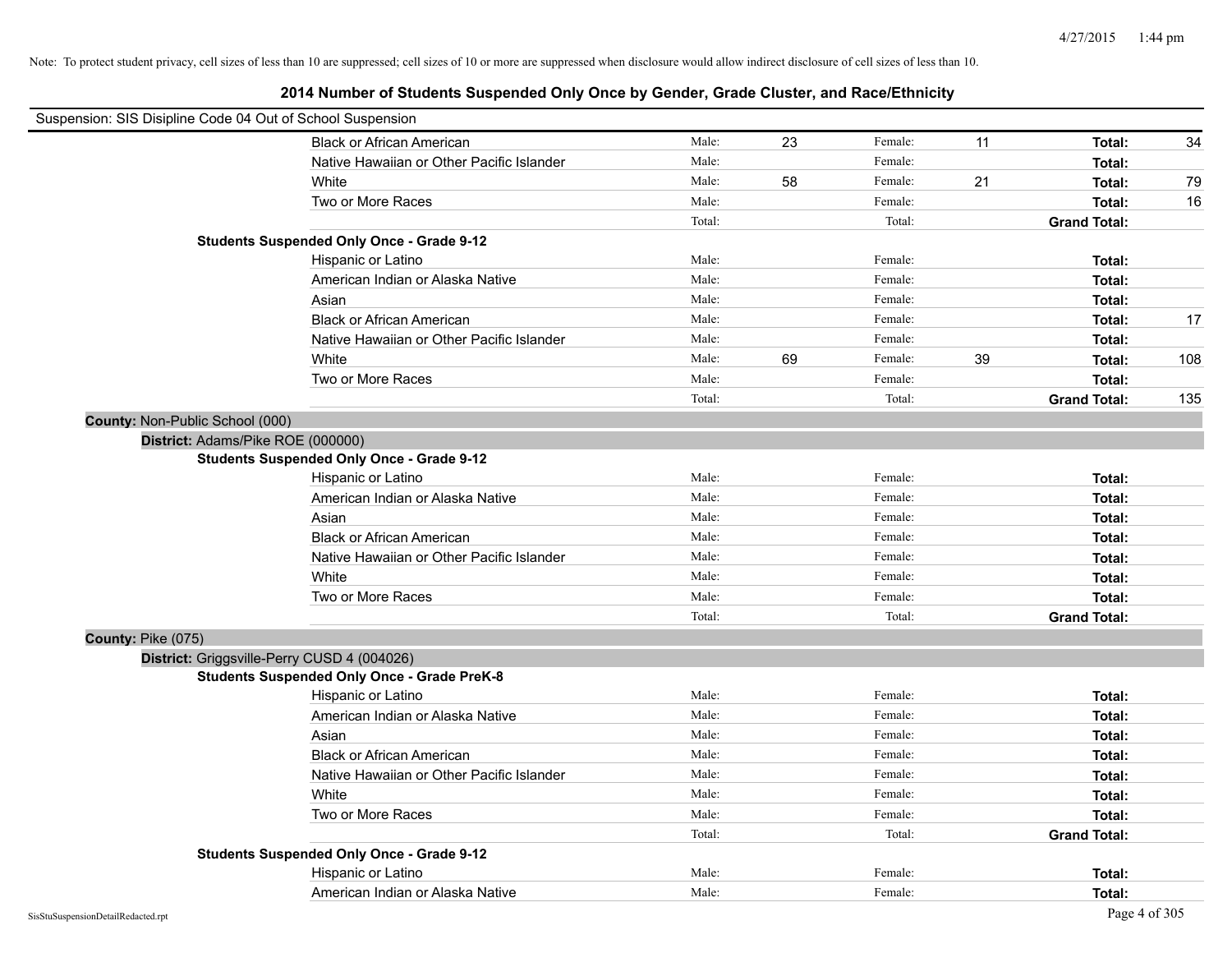| Suspension: SIS Disipline Code 04 Out of School Suspension |                                                    |        |    |         |    |                     |     |
|------------------------------------------------------------|----------------------------------------------------|--------|----|---------|----|---------------------|-----|
|                                                            | <b>Black or African American</b>                   | Male:  | 23 | Female: | 11 | Total:              | 34  |
|                                                            | Native Hawaiian or Other Pacific Islander          | Male:  |    | Female: |    | Total:              |     |
|                                                            | White                                              | Male:  | 58 | Female: | 21 | Total:              | 79  |
|                                                            | Two or More Races                                  | Male:  |    | Female: |    | Total:              | 16  |
|                                                            |                                                    | Total: |    | Total:  |    | <b>Grand Total:</b> |     |
|                                                            | <b>Students Suspended Only Once - Grade 9-12</b>   |        |    |         |    |                     |     |
|                                                            | Hispanic or Latino                                 | Male:  |    | Female: |    | Total:              |     |
|                                                            | American Indian or Alaska Native                   | Male:  |    | Female: |    | Total:              |     |
|                                                            | Asian                                              | Male:  |    | Female: |    | Total:              |     |
|                                                            | <b>Black or African American</b>                   | Male:  |    | Female: |    | Total:              | 17  |
|                                                            | Native Hawaiian or Other Pacific Islander          | Male:  |    | Female: |    | Total:              |     |
|                                                            | White                                              | Male:  | 69 | Female: | 39 | Total:              | 108 |
|                                                            | Two or More Races                                  | Male:  |    | Female: |    | Total:              |     |
|                                                            |                                                    | Total: |    | Total:  |    | <b>Grand Total:</b> | 135 |
| County: Non-Public School (000)                            |                                                    |        |    |         |    |                     |     |
| District: Adams/Pike ROE (000000)                          |                                                    |        |    |         |    |                     |     |
|                                                            | <b>Students Suspended Only Once - Grade 9-12</b>   |        |    |         |    |                     |     |
|                                                            | Hispanic or Latino                                 | Male:  |    | Female: |    | Total:              |     |
|                                                            | American Indian or Alaska Native                   | Male:  |    | Female: |    | Total:              |     |
|                                                            | Asian                                              | Male:  |    | Female: |    | Total:              |     |
|                                                            | <b>Black or African American</b>                   | Male:  |    | Female: |    | Total:              |     |
|                                                            | Native Hawaiian or Other Pacific Islander          | Male:  |    | Female: |    | Total:              |     |
|                                                            | White                                              | Male:  |    | Female: |    | Total:              |     |
|                                                            | Two or More Races                                  | Male:  |    | Female: |    | Total:              |     |
|                                                            |                                                    | Total: |    | Total:  |    | <b>Grand Total:</b> |     |
| County: Pike (075)                                         |                                                    |        |    |         |    |                     |     |
|                                                            | District: Griggsville-Perry CUSD 4 (004026)        |        |    |         |    |                     |     |
|                                                            | <b>Students Suspended Only Once - Grade PreK-8</b> |        |    |         |    |                     |     |
|                                                            | Hispanic or Latino                                 | Male:  |    | Female: |    | Total:              |     |
|                                                            | American Indian or Alaska Native                   | Male:  |    | Female: |    | Total:              |     |
|                                                            | Asian                                              | Male:  |    | Female: |    | Total:              |     |
|                                                            | <b>Black or African American</b>                   | Male:  |    | Female: |    | Total:              |     |
|                                                            | Native Hawaiian or Other Pacific Islander          | Male:  |    | Female: |    | Total:              |     |
|                                                            | White                                              | Male:  |    | Female: |    | Total:              |     |
|                                                            | Two or More Races                                  | Male:  |    | Female: |    | Total:              |     |
|                                                            |                                                    | Total: |    | Total:  |    | <b>Grand Total:</b> |     |
|                                                            | <b>Students Suspended Only Once - Grade 9-12</b>   |        |    |         |    |                     |     |
|                                                            | Hispanic or Latino                                 | Male:  |    | Female: |    | Total:              |     |
|                                                            | American Indian or Alaska Native                   | Male:  |    | Female: |    | Total:              |     |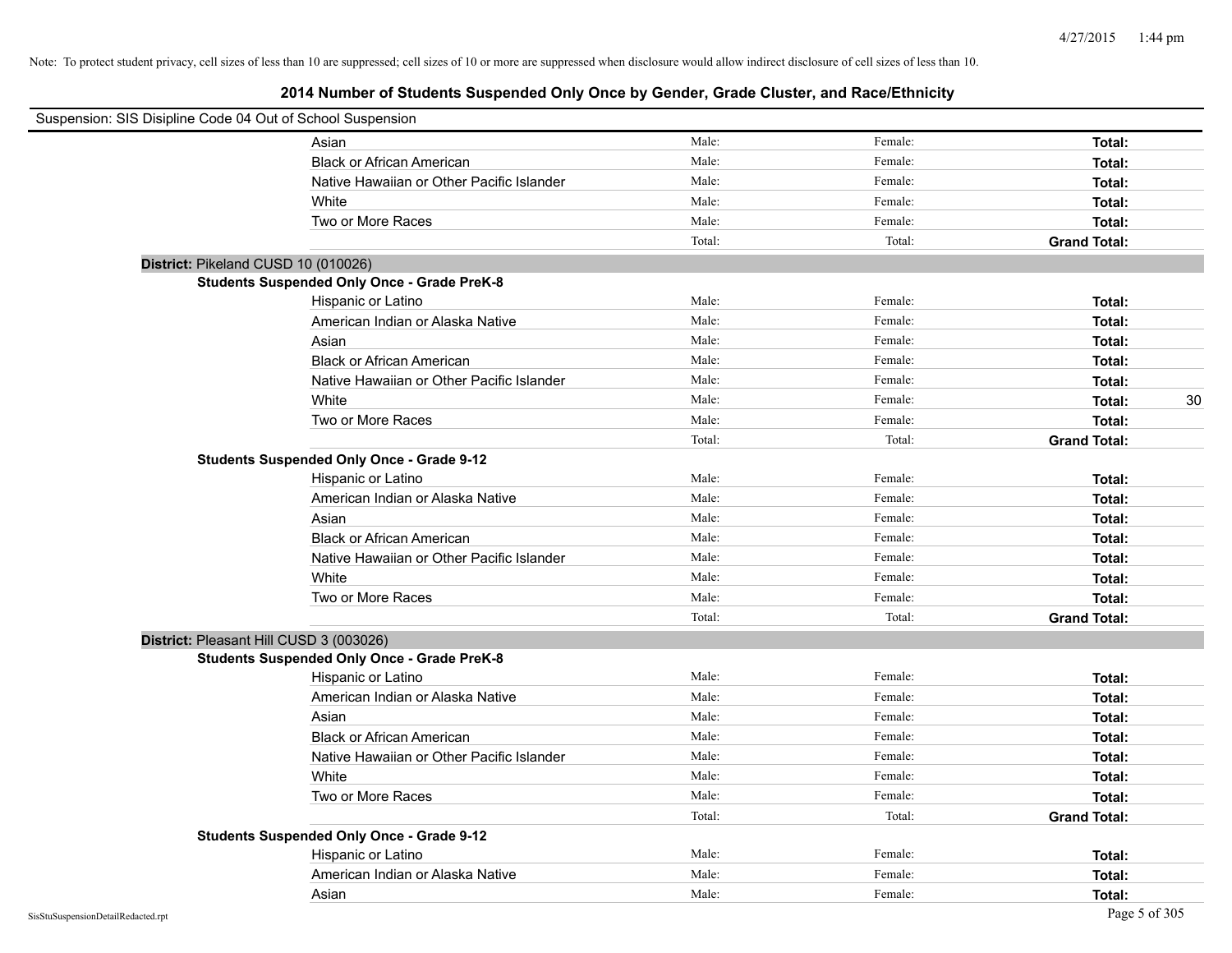| Suspension: SIS Disipline Code 04 Out of School Suspension |                                                    |        |         |                     |    |
|------------------------------------------------------------|----------------------------------------------------|--------|---------|---------------------|----|
|                                                            | Asian                                              | Male:  | Female: | Total:              |    |
|                                                            | <b>Black or African American</b>                   | Male:  | Female: | Total:              |    |
|                                                            | Native Hawaiian or Other Pacific Islander          | Male:  | Female: | Total:              |    |
|                                                            | White                                              | Male:  | Female: | Total:              |    |
|                                                            | Two or More Races                                  | Male:  | Female: | Total:              |    |
|                                                            |                                                    | Total: | Total:  | <b>Grand Total:</b> |    |
| District: Pikeland CUSD 10 (010026)                        |                                                    |        |         |                     |    |
|                                                            | <b>Students Suspended Only Once - Grade PreK-8</b> |        |         |                     |    |
|                                                            | Hispanic or Latino                                 | Male:  | Female: | Total:              |    |
|                                                            | American Indian or Alaska Native                   | Male:  | Female: | Total:              |    |
|                                                            | Asian                                              | Male:  | Female: | Total:              |    |
|                                                            | <b>Black or African American</b>                   | Male:  | Female: | Total:              |    |
|                                                            | Native Hawaiian or Other Pacific Islander          | Male:  | Female: | Total:              |    |
|                                                            | White                                              | Male:  | Female: | Total:              | 30 |
|                                                            | Two or More Races                                  | Male:  | Female: | Total:              |    |
|                                                            |                                                    | Total: | Total:  | <b>Grand Total:</b> |    |
|                                                            | <b>Students Suspended Only Once - Grade 9-12</b>   |        |         |                     |    |
|                                                            | Hispanic or Latino                                 | Male:  | Female: | Total:              |    |
|                                                            | American Indian or Alaska Native                   | Male:  | Female: | Total:              |    |
|                                                            | Asian                                              | Male:  | Female: | Total:              |    |
|                                                            | <b>Black or African American</b>                   | Male:  | Female: | Total:              |    |
|                                                            | Native Hawaiian or Other Pacific Islander          | Male:  | Female: | Total:              |    |
|                                                            | White                                              | Male:  | Female: | Total:              |    |
|                                                            | Two or More Races                                  | Male:  | Female: | Total:              |    |
|                                                            |                                                    | Total: | Total:  | <b>Grand Total:</b> |    |
| District: Pleasant Hill CUSD 3 (003026)                    |                                                    |        |         |                     |    |
|                                                            | <b>Students Suspended Only Once - Grade PreK-8</b> |        |         |                     |    |
|                                                            | Hispanic or Latino                                 | Male:  | Female: | Total:              |    |
|                                                            | American Indian or Alaska Native                   | Male:  | Female: | Total:              |    |
|                                                            | Asian                                              | Male:  | Female: | Total:              |    |
|                                                            | <b>Black or African American</b>                   | Male:  | Female: | Total:              |    |
|                                                            | Native Hawaiian or Other Pacific Islander          | Male:  | Female: | Total:              |    |
|                                                            | White                                              | Male:  | Female: | Total:              |    |
|                                                            | Two or More Races                                  | Male:  | Female: | Total:              |    |
|                                                            |                                                    | Total: | Total:  | <b>Grand Total:</b> |    |
|                                                            | <b>Students Suspended Only Once - Grade 9-12</b>   |        |         |                     |    |
|                                                            | Hispanic or Latino                                 | Male:  | Female: | Total:              |    |
|                                                            | American Indian or Alaska Native                   | Male:  | Female: | Total:              |    |
|                                                            | Asian                                              | Male:  | Female: | Total:              |    |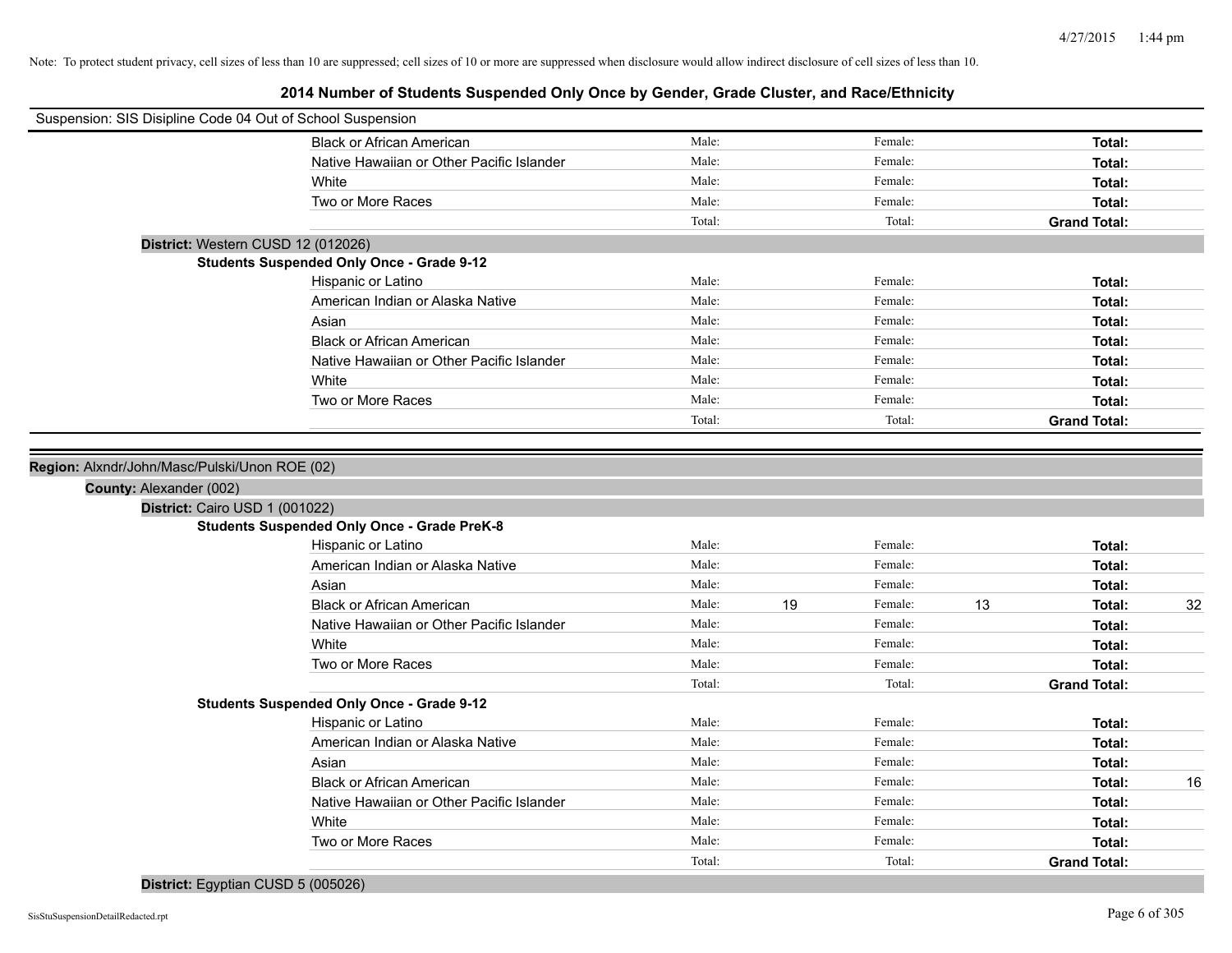# **2014 Number of Students Suspended Only Once by Gender, Grade Cluster, and Race/Ethnicity**

| Suspension: SIS Disipline Code 04 Out of School Suspension |                                                    |        |    |         |    |                     |    |
|------------------------------------------------------------|----------------------------------------------------|--------|----|---------|----|---------------------|----|
|                                                            | <b>Black or African American</b>                   | Male:  |    | Female: |    | Total:              |    |
|                                                            | Native Hawaiian or Other Pacific Islander          | Male:  |    | Female: |    | Total:              |    |
|                                                            | White                                              | Male:  |    | Female: |    | Total:              |    |
|                                                            | Two or More Races                                  | Male:  |    | Female: |    | Total:              |    |
|                                                            |                                                    | Total: |    | Total:  |    | <b>Grand Total:</b> |    |
| District: Western CUSD 12 (012026)                         |                                                    |        |    |         |    |                     |    |
|                                                            | <b>Students Suspended Only Once - Grade 9-12</b>   |        |    |         |    |                     |    |
|                                                            | Hispanic or Latino                                 | Male:  |    | Female: |    | Total:              |    |
|                                                            | American Indian or Alaska Native                   | Male:  |    | Female: |    | Total:              |    |
|                                                            | Asian                                              | Male:  |    | Female: |    | Total:              |    |
|                                                            | <b>Black or African American</b>                   | Male:  |    | Female: |    | Total:              |    |
|                                                            | Native Hawaiian or Other Pacific Islander          | Male:  |    | Female: |    | Total:              |    |
|                                                            | White                                              | Male:  |    | Female: |    | Total:              |    |
|                                                            | Two or More Races                                  | Male:  |    | Female: |    | Total:              |    |
|                                                            |                                                    | Total: |    | Total:  |    | <b>Grand Total:</b> |    |
|                                                            |                                                    |        |    |         |    |                     |    |
| Region: Alxndr/John/Masc/Pulski/Unon ROE (02)              |                                                    |        |    |         |    |                     |    |
| County: Alexander (002)                                    |                                                    |        |    |         |    |                     |    |
| District: Cairo USD 1 (001022)                             |                                                    |        |    |         |    |                     |    |
|                                                            | <b>Students Suspended Only Once - Grade PreK-8</b> |        |    |         |    |                     |    |
|                                                            | Hispanic or Latino                                 | Male:  |    | Female: |    | Total:              |    |
|                                                            | American Indian or Alaska Native                   | Male:  |    | Female: |    | Total:              |    |
|                                                            | Asian                                              | Male:  |    | Female: |    | Total:              |    |
|                                                            | <b>Black or African American</b>                   | Male:  | 19 | Female: | 13 | Total:              | 32 |
|                                                            | Native Hawaiian or Other Pacific Islander          | Male:  |    | Female: |    | Total:              |    |
|                                                            | White                                              | Male:  |    | Female: |    | Total:              |    |
|                                                            | Two or More Races                                  | Male:  |    | Female: |    | Total:              |    |
|                                                            |                                                    | Total: |    | Total:  |    | <b>Grand Total:</b> |    |
|                                                            | <b>Students Suspended Only Once - Grade 9-12</b>   |        |    |         |    |                     |    |
|                                                            | Hispanic or Latino                                 | Male:  |    | Female: |    | Total:              |    |
|                                                            | American Indian or Alaska Native                   | Male:  |    | Female: |    | Total:              |    |
|                                                            | Asian                                              | Male:  |    | Female: |    | Total:              |    |
|                                                            | <b>Black or African American</b>                   | Male:  |    | Female: |    | Total:              | 16 |
|                                                            | Native Hawaiian or Other Pacific Islander          | Male:  |    | Female: |    | Total:              |    |
|                                                            | White                                              | Male:  |    | Female: |    | Total:              |    |
|                                                            | Two or More Races                                  | Male:  |    | Female: |    | Total:              |    |
|                                                            |                                                    | Total: |    | Total:  |    | <b>Grand Total:</b> |    |

**District:** Egyptian CUSD 5 (005026)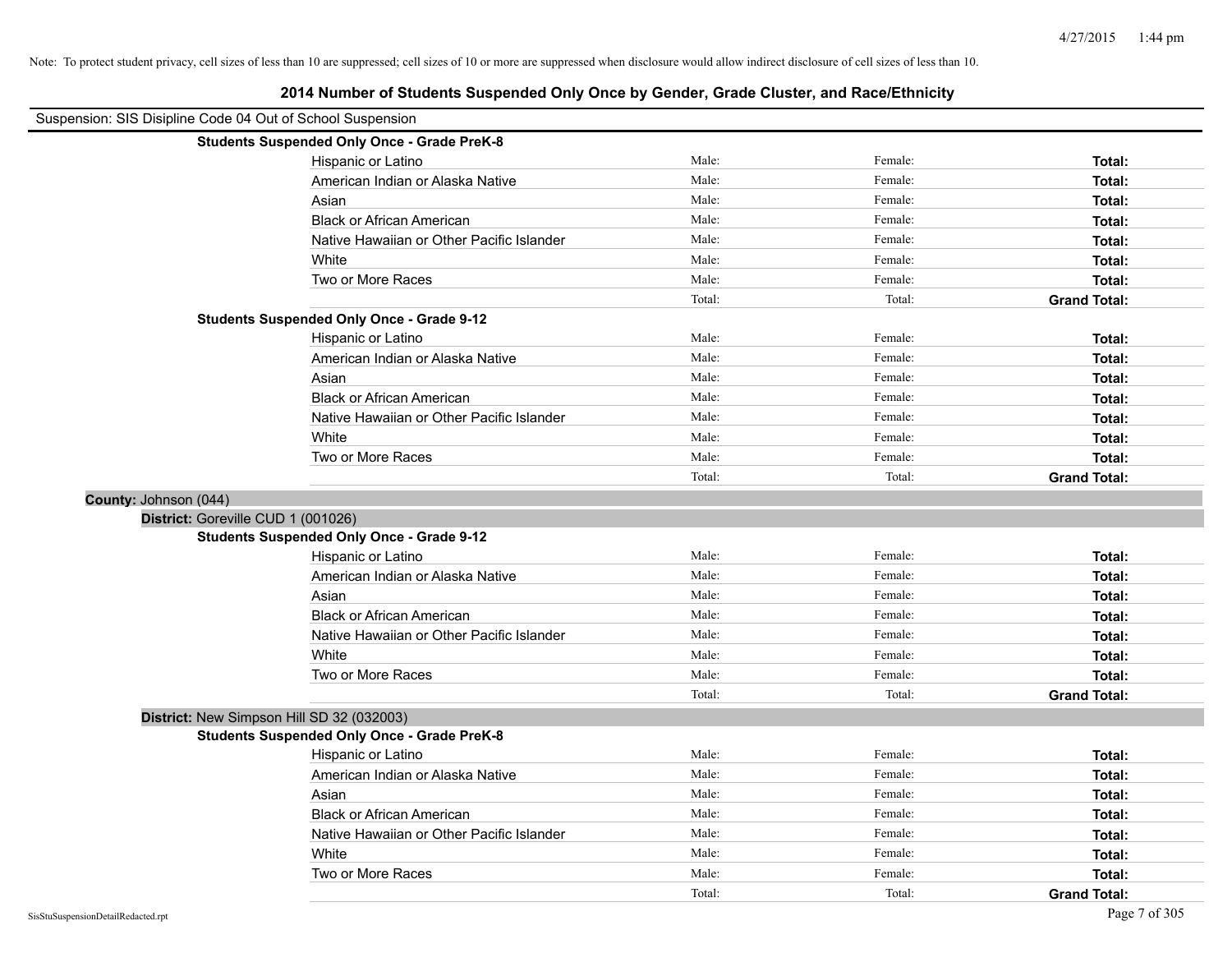|                                                            | 2014 Number of Students Suspended Only Once by Gender, Grade Cluster, and Race/Ethnicity |        |         |                     |
|------------------------------------------------------------|------------------------------------------------------------------------------------------|--------|---------|---------------------|
| Suspension: SIS Disipline Code 04 Out of School Suspension |                                                                                          |        |         |                     |
| <b>Students Suspended Only Once - Grade PreK-8</b>         |                                                                                          |        |         |                     |
| Hispanic or Latino                                         |                                                                                          | Male:  | Female: | Total:              |
| American Indian or Alaska Native                           |                                                                                          | Male:  | Female: | Total:              |
| Asian                                                      |                                                                                          | Male:  | Female: | Total:              |
| <b>Black or African American</b>                           |                                                                                          | Male:  | Female: | Total:              |
| Native Hawaiian or Other Pacific Islander                  |                                                                                          | Male:  | Female: | Total:              |
| White                                                      |                                                                                          | Male:  | Female: | Total:              |
| Two or More Races                                          |                                                                                          | Male:  | Female: | Total:              |
|                                                            |                                                                                          | Total: | Total:  | <b>Grand Total:</b> |
| <b>Students Suspended Only Once - Grade 9-12</b>           |                                                                                          |        |         |                     |
| Hispanic or Latino                                         |                                                                                          | Male:  | Female: | Total:              |
| American Indian or Alaska Native                           |                                                                                          | Male:  | Female: | Total:              |
| Asian                                                      |                                                                                          | Male:  | Female: | Total:              |
| <b>Black or African American</b>                           |                                                                                          | Male:  | Female: | Total:              |
| Native Hawaiian or Other Pacific Islander                  |                                                                                          | Male:  | Female: | Total:              |
| White                                                      |                                                                                          | Male:  | Female: | Total:              |
| Two or More Races                                          |                                                                                          | Male:  | Female: | Total:              |
|                                                            |                                                                                          | Total: | Total:  | <b>Grand Total:</b> |
| County: Johnson (044)                                      |                                                                                          |        |         |                     |
| District: Goreville CUD 1 (001026)                         |                                                                                          |        |         |                     |
| <b>Students Suspended Only Once - Grade 9-12</b>           |                                                                                          |        |         |                     |
| Hispanic or Latino                                         |                                                                                          | Male:  | Female: | Total:              |
| American Indian or Alaska Native                           |                                                                                          | Male:  | Female: | Total:              |
| Asian                                                      |                                                                                          | Male:  | Female: | Total:              |
| <b>Black or African American</b>                           |                                                                                          | Male:  | Female: | Total:              |
| Native Hawaiian or Other Pacific Islander                  |                                                                                          | Male:  | Female: | Total:              |
| White                                                      |                                                                                          | Male:  | Female: | Total:              |
| Two or More Races                                          |                                                                                          | Male:  | Female: | Total:              |
|                                                            |                                                                                          | Total: | Total:  | <b>Grand Total:</b> |
| District: New Simpson Hill SD 32 (032003)                  |                                                                                          |        |         |                     |
| <b>Students Suspended Only Once - Grade PreK-8</b>         |                                                                                          |        |         |                     |
| Hispanic or Latino                                         |                                                                                          | Male:  | Female: | Total:              |
| American Indian or Alaska Native                           |                                                                                          | Male:  | Female: | Total:              |
| Asian                                                      |                                                                                          | Male:  | Female: | Total:              |
| <b>Black or African American</b>                           |                                                                                          | Male:  | Female: | Total:              |
| Native Hawaiian or Other Pacific Islander                  |                                                                                          | Male:  | Female: | Total:              |
| White                                                      |                                                                                          | Male:  | Female: | Total:              |
| Two or More Races                                          |                                                                                          | Male:  | Female: | Total:              |
|                                                            |                                                                                          | Total: | Total:  | <b>Grand Total:</b> |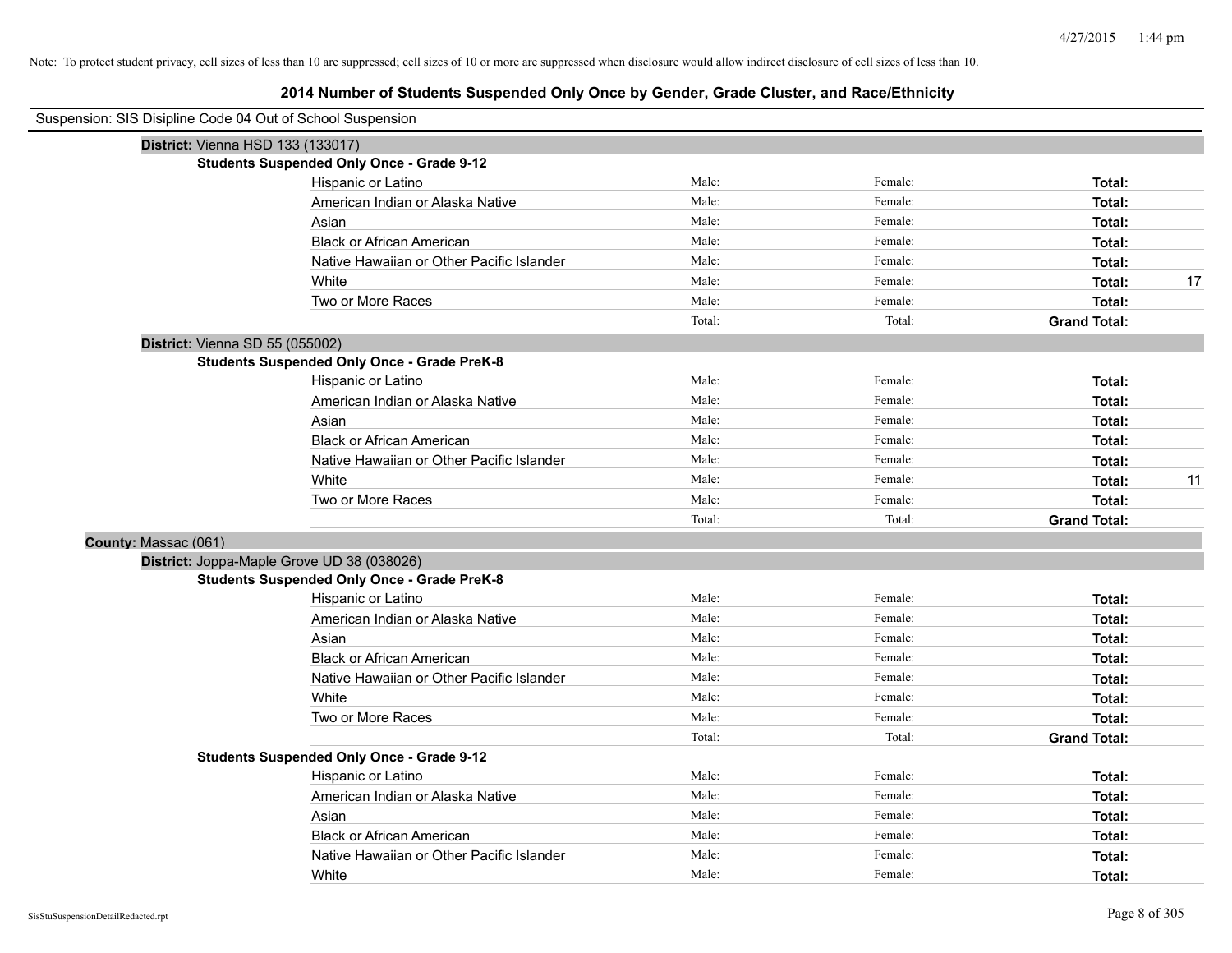| Suspension: SIS Disipline Code 04 Out of School Suspension |                                                    |        |         |                     |    |
|------------------------------------------------------------|----------------------------------------------------|--------|---------|---------------------|----|
| District: Vienna HSD 133 (133017)                          |                                                    |        |         |                     |    |
|                                                            | <b>Students Suspended Only Once - Grade 9-12</b>   |        |         |                     |    |
|                                                            | Hispanic or Latino                                 | Male:  | Female: | Total:              |    |
|                                                            | American Indian or Alaska Native                   | Male:  | Female: | Total:              |    |
|                                                            | Asian                                              | Male:  | Female: | Total:              |    |
|                                                            | <b>Black or African American</b>                   | Male:  | Female: | Total:              |    |
|                                                            | Native Hawaiian or Other Pacific Islander          | Male:  | Female: | Total:              |    |
|                                                            | White                                              | Male:  | Female: | Total:              | 17 |
|                                                            | Two or More Races                                  | Male:  | Female: | Total:              |    |
|                                                            |                                                    | Total: | Total:  | <b>Grand Total:</b> |    |
| District: Vienna SD 55 (055002)                            |                                                    |        |         |                     |    |
|                                                            | <b>Students Suspended Only Once - Grade PreK-8</b> |        |         |                     |    |
|                                                            | Hispanic or Latino                                 | Male:  | Female: | Total:              |    |
|                                                            | American Indian or Alaska Native                   | Male:  | Female: | Total:              |    |
|                                                            | Asian                                              | Male:  | Female: | Total:              |    |
|                                                            | <b>Black or African American</b>                   | Male:  | Female: | Total:              |    |
|                                                            | Native Hawaiian or Other Pacific Islander          | Male:  | Female: | Total:              |    |
|                                                            | White                                              | Male:  | Female: | Total:              | 11 |
|                                                            | Two or More Races                                  | Male:  | Female: | Total:              |    |
|                                                            |                                                    | Total: | Total:  | <b>Grand Total:</b> |    |
| County: Massac (061)                                       |                                                    |        |         |                     |    |
|                                                            | District: Joppa-Maple Grove UD 38 (038026)         |        |         |                     |    |
|                                                            | <b>Students Suspended Only Once - Grade PreK-8</b> |        |         |                     |    |
|                                                            | Hispanic or Latino                                 | Male:  | Female: | Total:              |    |
|                                                            | American Indian or Alaska Native                   | Male:  | Female: | Total:              |    |
|                                                            | Asian                                              | Male:  | Female: | Total:              |    |
|                                                            | <b>Black or African American</b>                   | Male:  | Female: | Total:              |    |
|                                                            | Native Hawaiian or Other Pacific Islander          | Male:  | Female: | Total:              |    |
|                                                            | White                                              | Male:  | Female: | Total:              |    |
|                                                            | Two or More Races                                  | Male:  | Female: | Total:              |    |
|                                                            |                                                    | Total: | Total:  | <b>Grand Total:</b> |    |
|                                                            | <b>Students Suspended Only Once - Grade 9-12</b>   |        |         |                     |    |
|                                                            | Hispanic or Latino                                 | Male:  | Female: | Total:              |    |
|                                                            | American Indian or Alaska Native                   | Male:  | Female: | Total:              |    |
|                                                            | Asian                                              | Male:  | Female: | Total:              |    |
|                                                            | <b>Black or African American</b>                   | Male:  | Female: | Total:              |    |
|                                                            | Native Hawaiian or Other Pacific Islander          | Male:  | Female: | Total:              |    |
|                                                            | White                                              | Male:  | Female: | Total:              |    |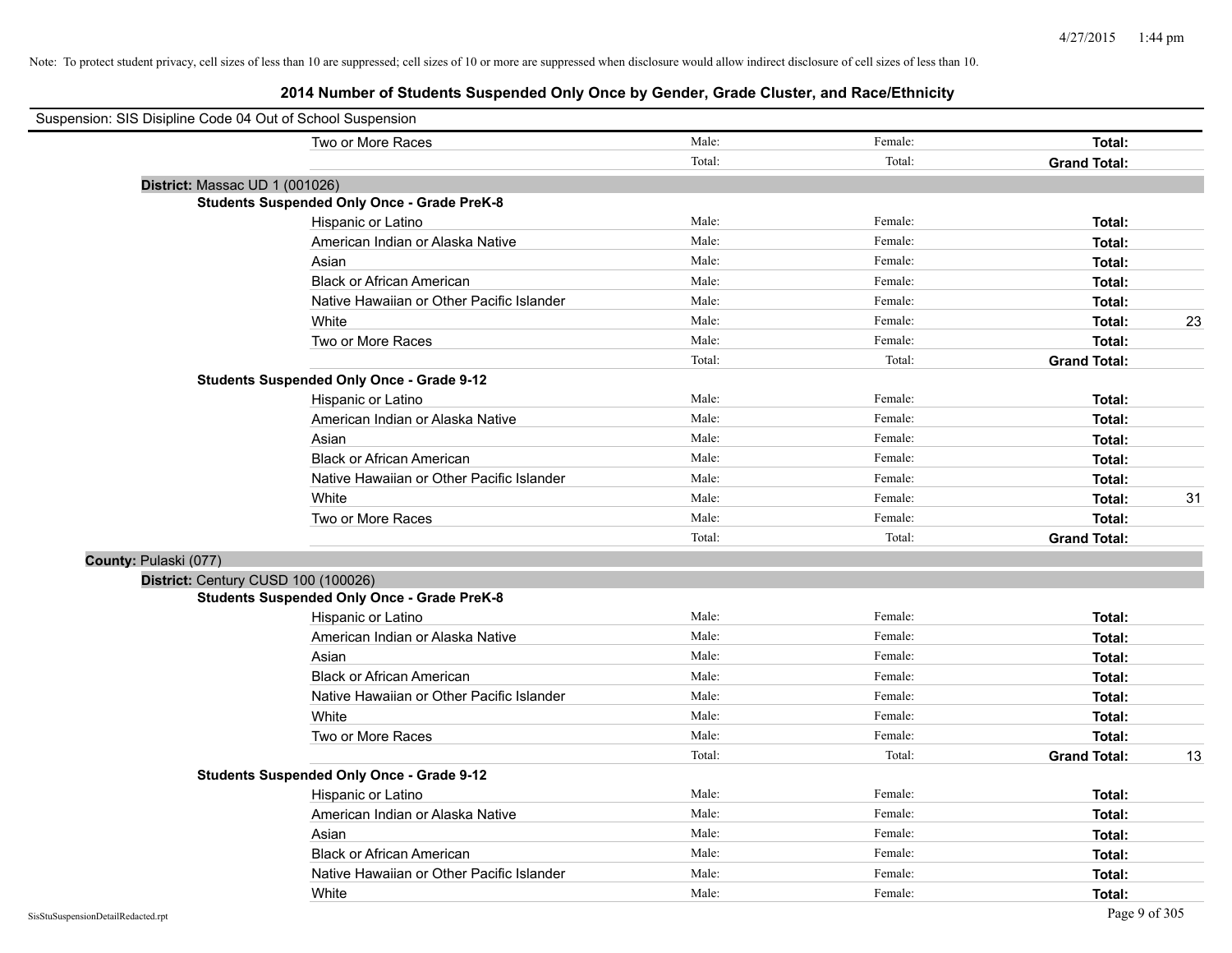| Suspension: SIS Disipline Code 04 Out of School Suspension |                                                    |        |         |                     |    |
|------------------------------------------------------------|----------------------------------------------------|--------|---------|---------------------|----|
|                                                            | Two or More Races                                  | Male:  | Female: | Total:              |    |
|                                                            |                                                    | Total: | Total:  | <b>Grand Total:</b> |    |
| District: Massac UD 1 (001026)                             |                                                    |        |         |                     |    |
|                                                            | <b>Students Suspended Only Once - Grade PreK-8</b> |        |         |                     |    |
|                                                            | Hispanic or Latino                                 | Male:  | Female: | Total:              |    |
|                                                            | American Indian or Alaska Native                   | Male:  | Female: | Total:              |    |
|                                                            | Asian                                              | Male:  | Female: | Total:              |    |
|                                                            | <b>Black or African American</b>                   | Male:  | Female: | Total:              |    |
|                                                            | Native Hawaiian or Other Pacific Islander          | Male:  | Female: | Total:              |    |
|                                                            | White                                              | Male:  | Female: | Total:              | 23 |
|                                                            | Two or More Races                                  | Male:  | Female: | Total:              |    |
|                                                            |                                                    | Total: | Total:  | <b>Grand Total:</b> |    |
|                                                            | <b>Students Suspended Only Once - Grade 9-12</b>   |        |         |                     |    |
|                                                            | Hispanic or Latino                                 | Male:  | Female: | Total:              |    |
|                                                            | American Indian or Alaska Native                   | Male:  | Female: | Total:              |    |
|                                                            | Asian                                              | Male:  | Female: | Total:              |    |
|                                                            | <b>Black or African American</b>                   | Male:  | Female: | Total:              |    |
|                                                            | Native Hawaiian or Other Pacific Islander          | Male:  | Female: | Total:              |    |
|                                                            | White                                              | Male:  | Female: | Total:              | 31 |
|                                                            | Two or More Races                                  | Male:  | Female: | Total:              |    |
|                                                            |                                                    | Total: | Total:  | <b>Grand Total:</b> |    |
| County: Pulaski (077)                                      |                                                    |        |         |                     |    |
|                                                            | District: Century CUSD 100 (100026)                |        |         |                     |    |
|                                                            | <b>Students Suspended Only Once - Grade PreK-8</b> |        |         |                     |    |
|                                                            | Hispanic or Latino                                 | Male:  | Female: | Total:              |    |
|                                                            | American Indian or Alaska Native                   | Male:  | Female: | Total:              |    |
|                                                            | Asian                                              | Male:  | Female: | Total:              |    |
|                                                            | <b>Black or African American</b>                   | Male:  | Female: | Total:              |    |
|                                                            | Native Hawaiian or Other Pacific Islander          | Male:  | Female: | Total:              |    |
|                                                            | White                                              | Male:  | Female: | Total:              |    |
|                                                            | Two or More Races                                  | Male:  | Female: | Total:              |    |
|                                                            |                                                    | Total: | Total:  | <b>Grand Total:</b> | 13 |
|                                                            | <b>Students Suspended Only Once - Grade 9-12</b>   |        |         |                     |    |
|                                                            | Hispanic or Latino                                 | Male:  | Female: | Total:              |    |
|                                                            | American Indian or Alaska Native                   | Male:  | Female: | Total:              |    |
|                                                            | Asian                                              | Male:  | Female: | Total:              |    |
|                                                            | <b>Black or African American</b>                   | Male:  | Female: | Total:              |    |
|                                                            | Native Hawaiian or Other Pacific Islander          | Male:  | Female: | Total:              |    |
|                                                            | White                                              | Male:  | Female: | Total:              |    |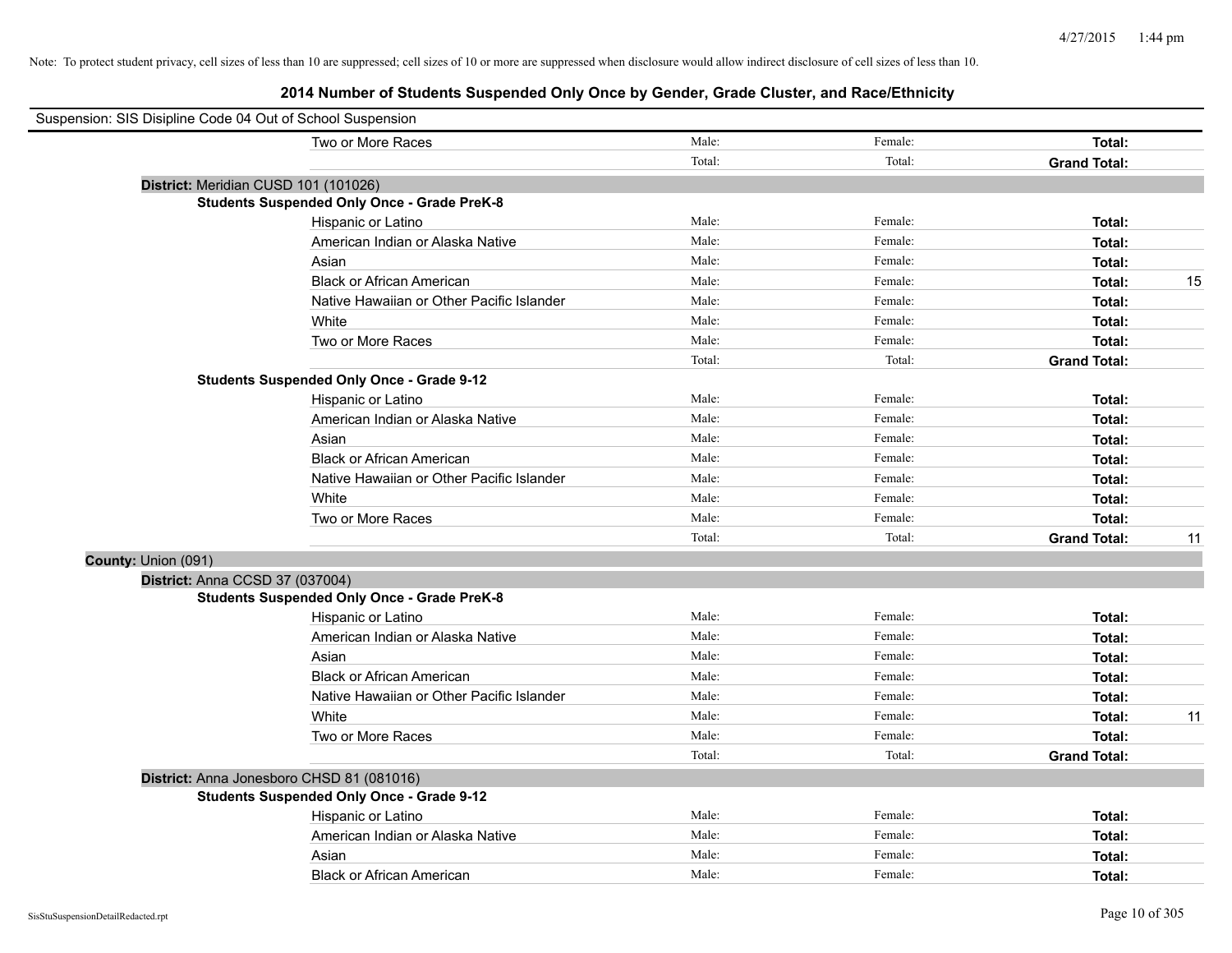| Suspension: SIS Disipline Code 04 Out of School Suspension |                                                    |        |         |                     |    |
|------------------------------------------------------------|----------------------------------------------------|--------|---------|---------------------|----|
|                                                            | Two or More Races                                  | Male:  | Female: | Total:              |    |
|                                                            |                                                    | Total: | Total:  | <b>Grand Total:</b> |    |
|                                                            | District: Meridian CUSD 101 (101026)               |        |         |                     |    |
|                                                            | <b>Students Suspended Only Once - Grade PreK-8</b> |        |         |                     |    |
|                                                            | Hispanic or Latino                                 | Male:  | Female: | Total:              |    |
|                                                            | American Indian or Alaska Native                   | Male:  | Female: | Total:              |    |
|                                                            | Asian                                              | Male:  | Female: | Total:              |    |
|                                                            | <b>Black or African American</b>                   | Male:  | Female: | Total:              | 15 |
|                                                            | Native Hawaiian or Other Pacific Islander          | Male:  | Female: | Total:              |    |
|                                                            | White                                              | Male:  | Female: | Total:              |    |
|                                                            | Two or More Races                                  | Male:  | Female: | Total:              |    |
|                                                            |                                                    | Total: | Total:  | <b>Grand Total:</b> |    |
|                                                            | <b>Students Suspended Only Once - Grade 9-12</b>   |        |         |                     |    |
|                                                            | Hispanic or Latino                                 | Male:  | Female: | Total:              |    |
|                                                            | American Indian or Alaska Native                   | Male:  | Female: | Total:              |    |
|                                                            | Asian                                              | Male:  | Female: | Total:              |    |
|                                                            | <b>Black or African American</b>                   | Male:  | Female: | Total:              |    |
|                                                            | Native Hawaiian or Other Pacific Islander          | Male:  | Female: | Total:              |    |
|                                                            | White                                              | Male:  | Female: | Total:              |    |
|                                                            | Two or More Races                                  | Male:  | Female: | Total:              |    |
|                                                            |                                                    | Total: | Total:  | <b>Grand Total:</b> | 11 |
| County: Union (091)                                        |                                                    |        |         |                     |    |
| District: Anna CCSD 37 (037004)                            |                                                    |        |         |                     |    |
|                                                            | <b>Students Suspended Only Once - Grade PreK-8</b> |        |         |                     |    |
|                                                            | Hispanic or Latino                                 | Male:  | Female: | Total:              |    |
|                                                            | American Indian or Alaska Native                   | Male:  | Female: | Total:              |    |
|                                                            | Asian                                              | Male:  | Female: | Total:              |    |
|                                                            | <b>Black or African American</b>                   | Male:  | Female: | Total:              |    |
|                                                            | Native Hawaiian or Other Pacific Islander          | Male:  | Female: | Total:              |    |
|                                                            | White                                              | Male:  | Female: | Total:              | 11 |
|                                                            | Two or More Races                                  | Male:  | Female: | Total:              |    |
|                                                            |                                                    | Total: | Total:  | <b>Grand Total:</b> |    |
|                                                            | District: Anna Jonesboro CHSD 81 (081016)          |        |         |                     |    |
|                                                            | <b>Students Suspended Only Once - Grade 9-12</b>   |        |         |                     |    |
|                                                            | Hispanic or Latino                                 | Male:  | Female: | Total:              |    |
|                                                            | American Indian or Alaska Native                   | Male:  | Female: | Total:              |    |
|                                                            | Asian                                              | Male:  | Female: | Total:              |    |
|                                                            | <b>Black or African American</b>                   | Male:  | Female: | Total:              |    |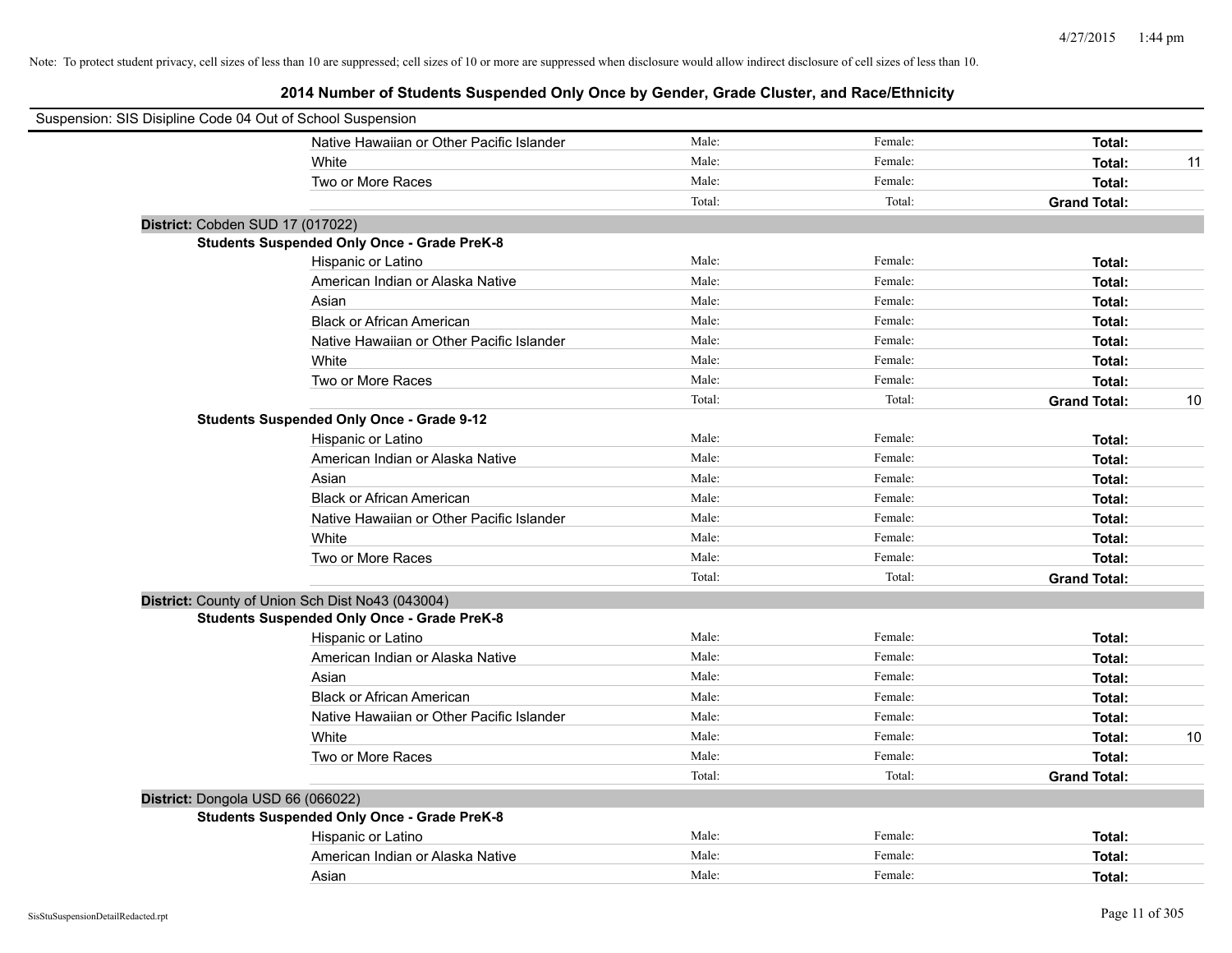| Suspension: SIS Disipline Code 04 Out of School Suspension |                                                    |        |         |                     |    |
|------------------------------------------------------------|----------------------------------------------------|--------|---------|---------------------|----|
|                                                            | Native Hawaiian or Other Pacific Islander          | Male:  | Female: | Total:              |    |
|                                                            | White                                              | Male:  | Female: | Total:              | 11 |
|                                                            | Two or More Races                                  | Male:  | Female: | Total:              |    |
|                                                            |                                                    | Total: | Total:  | <b>Grand Total:</b> |    |
| District: Cobden SUD 17 (017022)                           |                                                    |        |         |                     |    |
|                                                            | <b>Students Suspended Only Once - Grade PreK-8</b> |        |         |                     |    |
|                                                            | Hispanic or Latino                                 | Male:  | Female: | Total:              |    |
|                                                            | American Indian or Alaska Native                   | Male:  | Female: | Total:              |    |
|                                                            | Asian                                              | Male:  | Female: | Total:              |    |
|                                                            | <b>Black or African American</b>                   | Male:  | Female: | Total:              |    |
|                                                            | Native Hawaiian or Other Pacific Islander          | Male:  | Female: | Total:              |    |
|                                                            | White                                              | Male:  | Female: | Total:              |    |
|                                                            | Two or More Races                                  | Male:  | Female: | Total:              |    |
|                                                            |                                                    | Total: | Total:  | <b>Grand Total:</b> | 10 |
|                                                            | <b>Students Suspended Only Once - Grade 9-12</b>   |        |         |                     |    |
|                                                            | Hispanic or Latino                                 | Male:  | Female: | Total:              |    |
|                                                            | American Indian or Alaska Native                   | Male:  | Female: | Total:              |    |
|                                                            | Asian                                              | Male:  | Female: | Total:              |    |
|                                                            | <b>Black or African American</b>                   | Male:  | Female: | Total:              |    |
|                                                            | Native Hawaiian or Other Pacific Islander          | Male:  | Female: | Total:              |    |
|                                                            | White                                              | Male:  | Female: | Total:              |    |
|                                                            | Two or More Races                                  | Male:  | Female: | Total:              |    |
|                                                            |                                                    | Total: | Total:  | <b>Grand Total:</b> |    |
|                                                            | District: County of Union Sch Dist No43 (043004)   |        |         |                     |    |
|                                                            | <b>Students Suspended Only Once - Grade PreK-8</b> |        |         |                     |    |
|                                                            | Hispanic or Latino                                 | Male:  | Female: | Total:              |    |
|                                                            | American Indian or Alaska Native                   | Male:  | Female: | Total:              |    |
|                                                            | Asian                                              | Male:  | Female: | Total:              |    |
|                                                            | <b>Black or African American</b>                   | Male:  | Female: | Total:              |    |
|                                                            | Native Hawaiian or Other Pacific Islander          | Male:  | Female: | Total:              |    |
|                                                            | White                                              | Male:  | Female: | Total:              | 10 |
|                                                            | Two or More Races                                  | Male:  | Female: | Total:              |    |
|                                                            |                                                    | Total: | Total:  | <b>Grand Total:</b> |    |
| District: Dongola USD 66 (066022)                          |                                                    |        |         |                     |    |
|                                                            | <b>Students Suspended Only Once - Grade PreK-8</b> |        |         |                     |    |
|                                                            | Hispanic or Latino                                 | Male:  | Female: | Total:              |    |
|                                                            | American Indian or Alaska Native                   | Male:  | Female: | Total:              |    |
|                                                            | Asian                                              | Male:  | Female: | Total:              |    |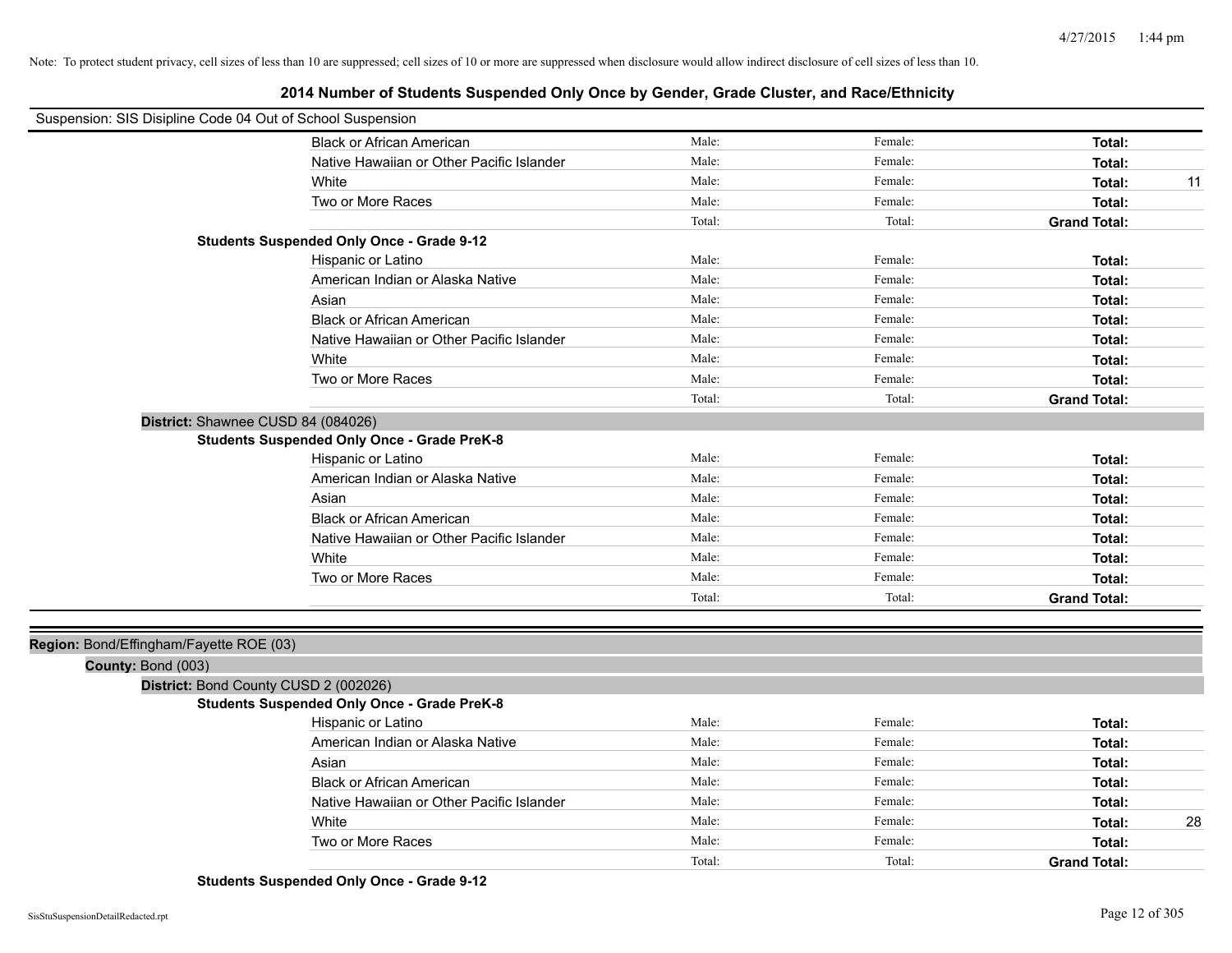| Suspension: SIS Disipline Code 04 Out of School Suspension |                                                    |        |         |                     |    |
|------------------------------------------------------------|----------------------------------------------------|--------|---------|---------------------|----|
|                                                            | <b>Black or African American</b>                   | Male:  | Female: | Total:              |    |
|                                                            | Native Hawaiian or Other Pacific Islander          | Male:  | Female: | Total:              |    |
|                                                            | White                                              | Male:  | Female: | Total:              | 11 |
|                                                            | Two or More Races                                  | Male:  | Female: | Total:              |    |
|                                                            |                                                    | Total: | Total:  | <b>Grand Total:</b> |    |
|                                                            | <b>Students Suspended Only Once - Grade 9-12</b>   |        |         |                     |    |
|                                                            | Hispanic or Latino                                 | Male:  | Female: | Total:              |    |
|                                                            | American Indian or Alaska Native                   | Male:  | Female: | Total:              |    |
|                                                            | Asian                                              | Male:  | Female: | Total:              |    |
|                                                            | <b>Black or African American</b>                   | Male:  | Female: | Total:              |    |
|                                                            | Native Hawaiian or Other Pacific Islander          | Male:  | Female: | Total:              |    |
|                                                            | White                                              | Male:  | Female: | Total:              |    |
|                                                            | Two or More Races                                  | Male:  | Female: | Total:              |    |
|                                                            |                                                    | Total: | Total:  | <b>Grand Total:</b> |    |
| District: Shawnee CUSD 84 (084026)                         |                                                    |        |         |                     |    |
|                                                            | <b>Students Suspended Only Once - Grade PreK-8</b> |        |         |                     |    |
|                                                            | Hispanic or Latino                                 | Male:  | Female: | Total:              |    |
|                                                            | American Indian or Alaska Native                   | Male:  | Female: | Total:              |    |
|                                                            | Asian                                              | Male:  | Female: | Total:              |    |
|                                                            | <b>Black or African American</b>                   | Male:  | Female: | Total:              |    |
|                                                            | Native Hawaiian or Other Pacific Islander          | Male:  | Female: | Total:              |    |
|                                                            | White                                              | Male:  | Female: | Total:              |    |
|                                                            | Two or More Races                                  | Male:  | Female: | Total:              |    |
|                                                            |                                                    | Total: | Total:  | <b>Grand Total:</b> |    |
|                                                            |                                                    |        |         |                     |    |
| Region: Bond/Effingham/Fayette ROE (03)                    |                                                    |        |         |                     |    |
| County: Bond (003)                                         |                                                    |        |         |                     |    |
| District: Bond County CUSD 2 (002026)                      |                                                    |        |         |                     |    |
|                                                            | <b>Students Suspended Only Once - Grade PreK-8</b> |        |         |                     |    |
|                                                            | Hispanic or Latino                                 | Male:  | Female: | Total:              |    |
|                                                            | American Indian or Alaska Native                   | Male:  | Female: | Total:              |    |
|                                                            | Asian                                              | Male:  | Female: | Total:              |    |
|                                                            | <b>Black or African American</b>                   | Male:  | Female: | Total:              |    |
|                                                            | Native Hawaiian or Other Pacific Islander          | Male:  | Female: | Total:              |    |
|                                                            | White                                              | Male:  | Female: | Total:              | 28 |
|                                                            | Two or More Races                                  | Male:  | Female: | Total:              |    |
|                                                            |                                                    | Total: | Total:  | <b>Grand Total:</b> |    |

**Students Suspended Only Once - Grade 9-12**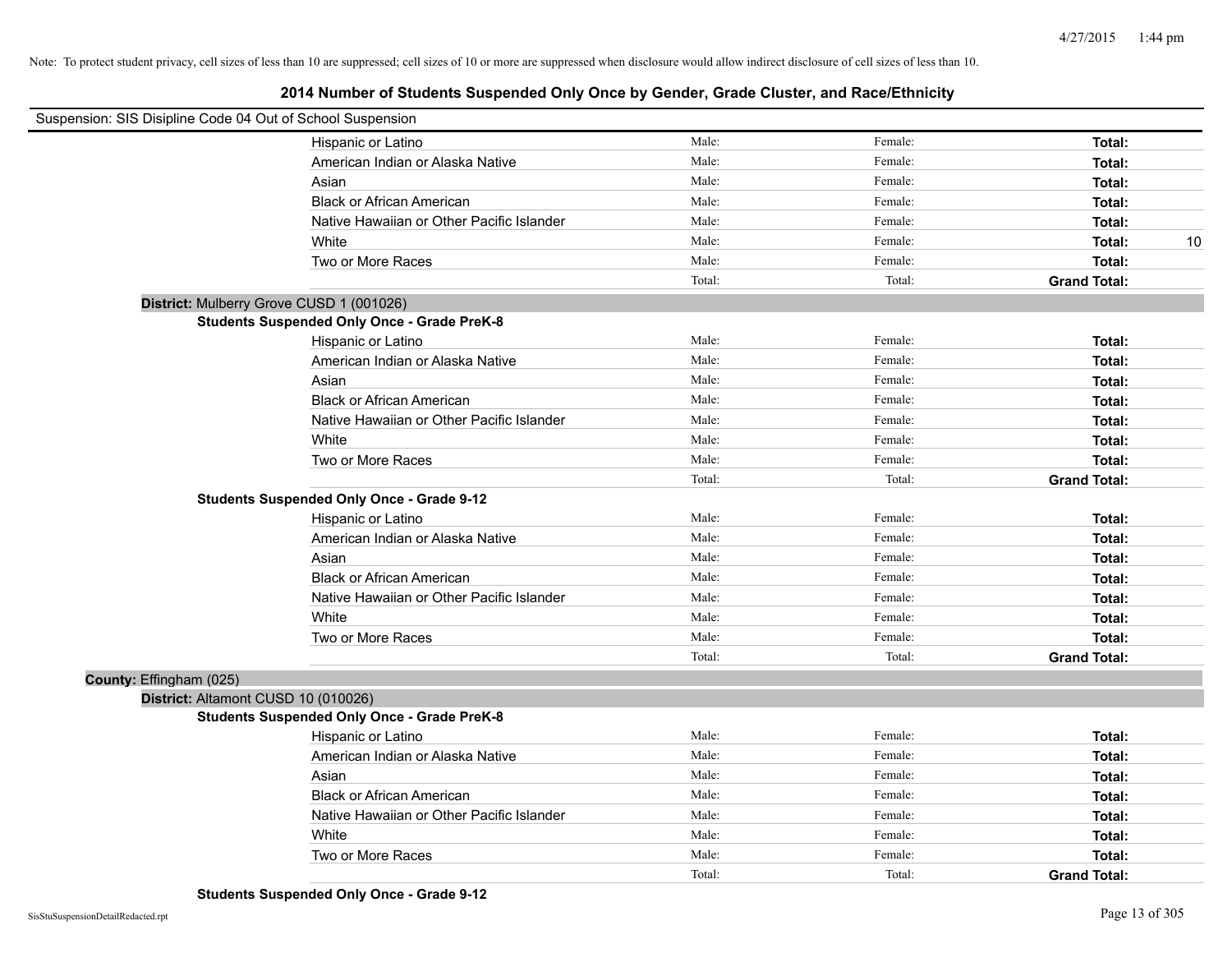| Suspension: SIS Disipline Code 04 Out of School Suspension |                                                    |        |         |                     |
|------------------------------------------------------------|----------------------------------------------------|--------|---------|---------------------|
|                                                            | Hispanic or Latino                                 | Male:  | Female: | Total:              |
|                                                            | American Indian or Alaska Native                   | Male:  | Female: | Total:              |
|                                                            | Asian                                              | Male:  | Female: | Total:              |
|                                                            | <b>Black or African American</b>                   | Male:  | Female: | Total:              |
|                                                            | Native Hawaiian or Other Pacific Islander          | Male:  | Female: | Total:              |
|                                                            | White                                              | Male:  | Female: | 10<br>Total:        |
|                                                            | Two or More Races                                  | Male:  | Female: | Total:              |
|                                                            |                                                    | Total: | Total:  | <b>Grand Total:</b> |
| District: Mulberry Grove CUSD 1 (001026)                   |                                                    |        |         |                     |
|                                                            | <b>Students Suspended Only Once - Grade PreK-8</b> |        |         |                     |
|                                                            | Hispanic or Latino                                 | Male:  | Female: | Total:              |
|                                                            | American Indian or Alaska Native                   | Male:  | Female: | Total:              |
|                                                            | Asian                                              | Male:  | Female: | Total:              |
|                                                            | <b>Black or African American</b>                   | Male:  | Female: | Total:              |
|                                                            | Native Hawaiian or Other Pacific Islander          | Male:  | Female: | Total:              |
|                                                            | White                                              | Male:  | Female: | Total:              |
|                                                            | Two or More Races                                  | Male:  | Female: | Total:              |
|                                                            |                                                    | Total: | Total:  | <b>Grand Total:</b> |
|                                                            | <b>Students Suspended Only Once - Grade 9-12</b>   |        |         |                     |
|                                                            | Hispanic or Latino                                 | Male:  | Female: | Total:              |
|                                                            | American Indian or Alaska Native                   | Male:  | Female: | Total:              |
|                                                            | Asian                                              | Male:  | Female: | Total:              |
|                                                            | <b>Black or African American</b>                   | Male:  | Female: | Total:              |
|                                                            | Native Hawaiian or Other Pacific Islander          | Male:  | Female: | Total:              |
|                                                            | White                                              | Male:  | Female: | Total:              |
|                                                            | Two or More Races                                  | Male:  | Female: | Total:              |
|                                                            |                                                    | Total: | Total:  | <b>Grand Total:</b> |
| County: Effingham (025)                                    |                                                    |        |         |                     |
| District: Altamont CUSD 10 (010026)                        |                                                    |        |         |                     |
|                                                            | <b>Students Suspended Only Once - Grade PreK-8</b> |        |         |                     |
|                                                            | Hispanic or Latino                                 | Male:  | Female: | Total:              |
|                                                            | American Indian or Alaska Native                   | Male:  | Female: | Total:              |
|                                                            | Asian                                              | Male:  | Female: | Total:              |
|                                                            | <b>Black or African American</b>                   | Male:  | Female: | Total:              |
|                                                            | Native Hawaiian or Other Pacific Islander          | Male:  | Female: | Total:              |
|                                                            | White                                              | Male:  | Female: | Total:              |
|                                                            | Two or More Races                                  | Male:  | Female: | Total:              |
|                                                            |                                                    | Total: | Total:  | <b>Grand Total:</b> |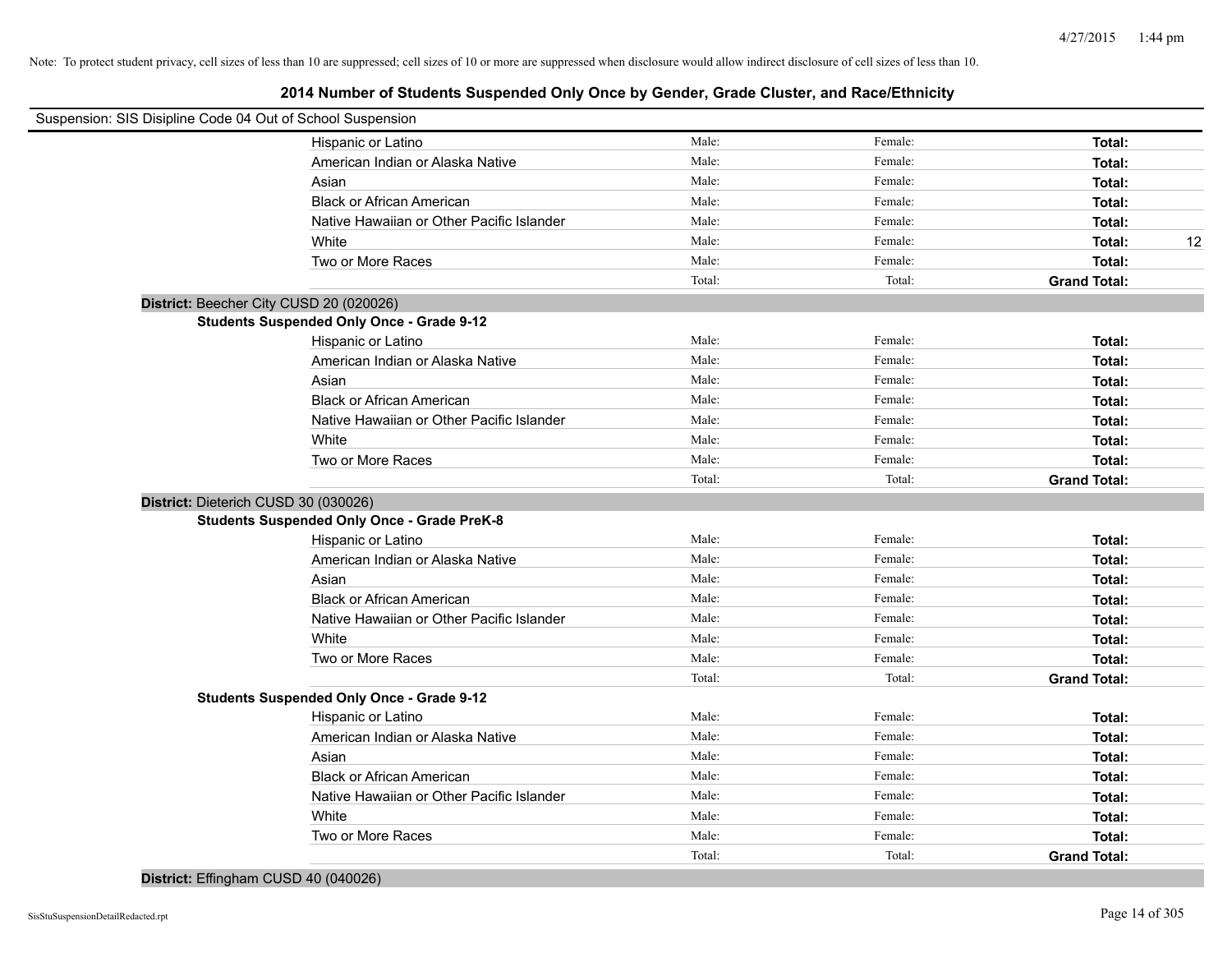# **2014 Number of Students Suspended Only Once by Gender, Grade Cluster, and Race/Ethnicity**

| Suspension: SIS Disipline Code 04 Out of School Suspension |                                                    |        |         |                     |
|------------------------------------------------------------|----------------------------------------------------|--------|---------|---------------------|
|                                                            | Hispanic or Latino                                 | Male:  | Female: | Total:              |
|                                                            | American Indian or Alaska Native                   | Male:  | Female: | Total:              |
|                                                            | Asian                                              | Male:  | Female: | Total:              |
|                                                            | <b>Black or African American</b>                   | Male:  | Female: | Total:              |
|                                                            | Native Hawaiian or Other Pacific Islander          | Male:  | Female: | Total:              |
|                                                            | White                                              | Male:  | Female: | Total:<br>12        |
|                                                            | Two or More Races                                  | Male:  | Female: | Total:              |
|                                                            |                                                    | Total: | Total:  | <b>Grand Total:</b> |
| District: Beecher City CUSD 20 (020026)                    |                                                    |        |         |                     |
|                                                            | <b>Students Suspended Only Once - Grade 9-12</b>   |        |         |                     |
|                                                            | Hispanic or Latino                                 | Male:  | Female: | Total:              |
|                                                            | American Indian or Alaska Native                   | Male:  | Female: | Total:              |
|                                                            | Asian                                              | Male:  | Female: | Total:              |
|                                                            | <b>Black or African American</b>                   | Male:  | Female: | Total:              |
|                                                            | Native Hawaiian or Other Pacific Islander          | Male:  | Female: | Total:              |
|                                                            | White                                              | Male:  | Female: | Total:              |
|                                                            | Two or More Races                                  | Male:  | Female: | Total:              |
|                                                            |                                                    | Total: | Total:  | <b>Grand Total:</b> |
| District: Dieterich CUSD 30 (030026)                       |                                                    |        |         |                     |
|                                                            | <b>Students Suspended Only Once - Grade PreK-8</b> |        |         |                     |
|                                                            | Hispanic or Latino                                 | Male:  | Female: | Total:              |
|                                                            | American Indian or Alaska Native                   | Male:  | Female: | Total:              |
|                                                            | Asian                                              | Male:  | Female: | Total:              |
|                                                            | <b>Black or African American</b>                   | Male:  | Female: | Total:              |
|                                                            | Native Hawaiian or Other Pacific Islander          | Male:  | Female: | Total:              |
|                                                            | White                                              | Male:  | Female: | Total:              |
|                                                            | Two or More Races                                  | Male:  | Female: | Total:              |
|                                                            |                                                    | Total: | Total:  | <b>Grand Total:</b> |
|                                                            | <b>Students Suspended Only Once - Grade 9-12</b>   |        |         |                     |
|                                                            | Hispanic or Latino                                 | Male:  | Female: | Total:              |
|                                                            | American Indian or Alaska Native                   | Male:  | Female: | Total:              |
|                                                            | Asian                                              | Male:  | Female: | Total:              |
|                                                            | <b>Black or African American</b>                   | Male:  | Female: | Total:              |
|                                                            | Native Hawaiian or Other Pacific Islander          | Male:  | Female: | Total:              |
|                                                            | White                                              | Male:  | Female: | Total:              |
|                                                            | Two or More Races                                  | Male:  | Female: | Total:              |
|                                                            |                                                    | Total: | Total:  | <b>Grand Total:</b> |

**District:** Effingham CUSD 40 (040026)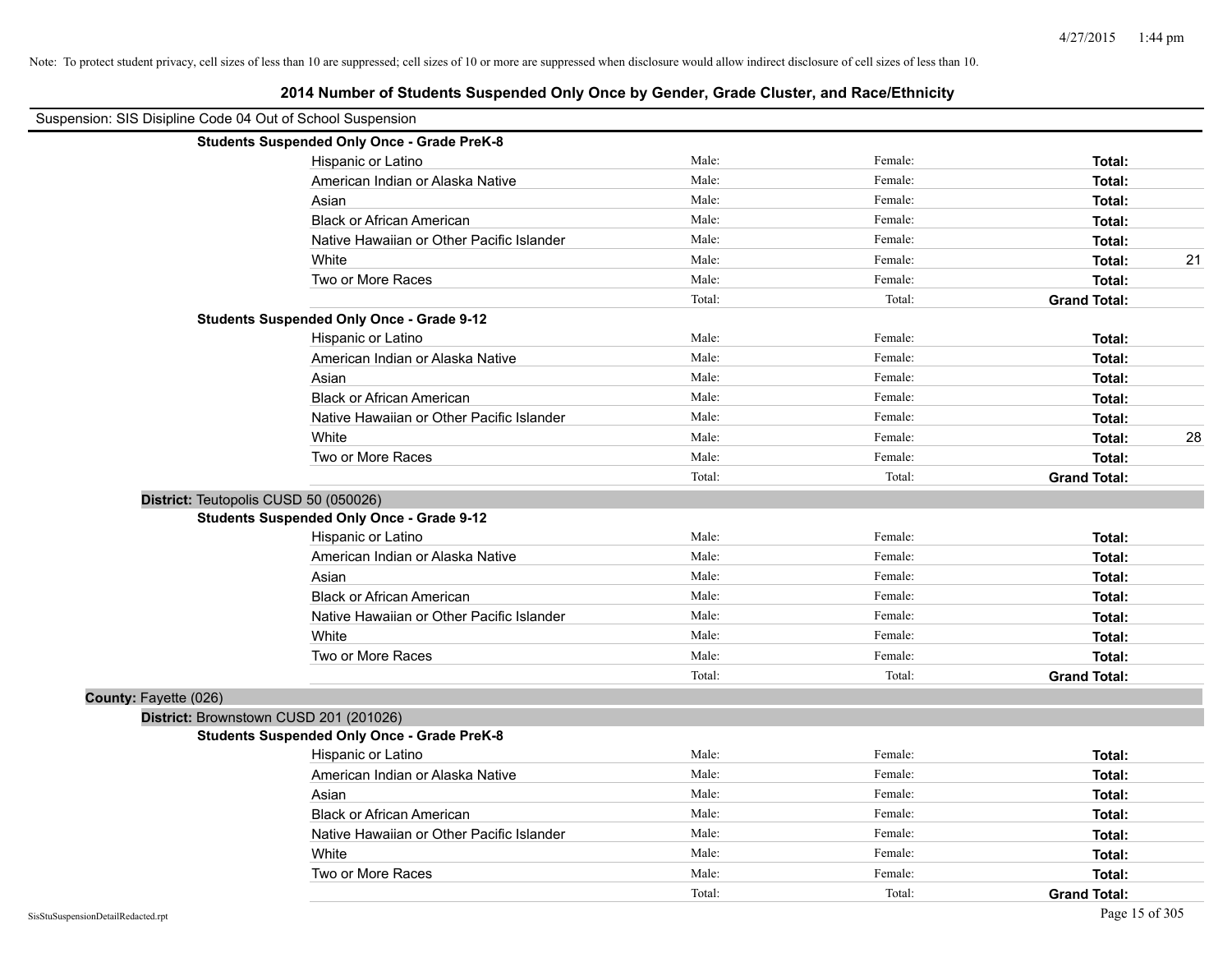| Suspension: SIS Disipline Code 04 Out of School Suspension |        |         |                     |    |
|------------------------------------------------------------|--------|---------|---------------------|----|
| <b>Students Suspended Only Once - Grade PreK-8</b>         |        |         |                     |    |
| Hispanic or Latino                                         | Male:  | Female: | Total:              |    |
| American Indian or Alaska Native                           | Male:  | Female: | Total:              |    |
| Asian                                                      | Male:  | Female: | Total:              |    |
| <b>Black or African American</b>                           | Male:  | Female: | Total:              |    |
| Native Hawaiian or Other Pacific Islander                  | Male:  | Female: | Total:              |    |
| White                                                      | Male:  | Female: | Total:              | 21 |
| Two or More Races                                          | Male:  | Female: | Total:              |    |
|                                                            | Total: | Total:  | <b>Grand Total:</b> |    |
| <b>Students Suspended Only Once - Grade 9-12</b>           |        |         |                     |    |
| Hispanic or Latino                                         | Male:  | Female: | Total:              |    |
| American Indian or Alaska Native                           | Male:  | Female: | Total:              |    |
| Asian                                                      | Male:  | Female: | Total:              |    |
| <b>Black or African American</b>                           | Male:  | Female: | Total:              |    |
| Native Hawaiian or Other Pacific Islander                  | Male:  | Female: | Total:              |    |
| White                                                      | Male:  | Female: | Total:              | 28 |
| Two or More Races                                          | Male:  | Female: | Total:              |    |
|                                                            | Total: | Total:  | <b>Grand Total:</b> |    |
| District: Teutopolis CUSD 50 (050026)                      |        |         |                     |    |
| <b>Students Suspended Only Once - Grade 9-12</b>           |        |         |                     |    |
| Hispanic or Latino                                         | Male:  | Female: | Total:              |    |
| American Indian or Alaska Native                           | Male:  | Female: | Total:              |    |
| Asian                                                      | Male:  | Female: | Total:              |    |
| <b>Black or African American</b>                           | Male:  | Female: | Total:              |    |
| Native Hawaiian or Other Pacific Islander                  | Male:  | Female: | Total:              |    |
| White                                                      | Male:  | Female: | Total:              |    |
| Two or More Races                                          | Male:  | Female: | Total:              |    |
|                                                            | Total: | Total:  | <b>Grand Total:</b> |    |
| County: Fayette (026)                                      |        |         |                     |    |
| District: Brownstown CUSD 201 (201026)                     |        |         |                     |    |
| <b>Students Suspended Only Once - Grade PreK-8</b>         |        |         |                     |    |
| Hispanic or Latino                                         | Male:  | Female: | Total:              |    |
| American Indian or Alaska Native                           | Male:  | Female: | Total:              |    |
| Asian                                                      | Male:  | Female: | Total:              |    |
| <b>Black or African American</b>                           | Male:  | Female: | Total:              |    |
| Native Hawaiian or Other Pacific Islander                  | Male:  | Female: | Total:              |    |
| White                                                      | Male:  | Female: | Total:              |    |
| Two or More Races                                          | Male:  | Female: | Total:              |    |
|                                                            | Total: | Total:  | <b>Grand Total:</b> |    |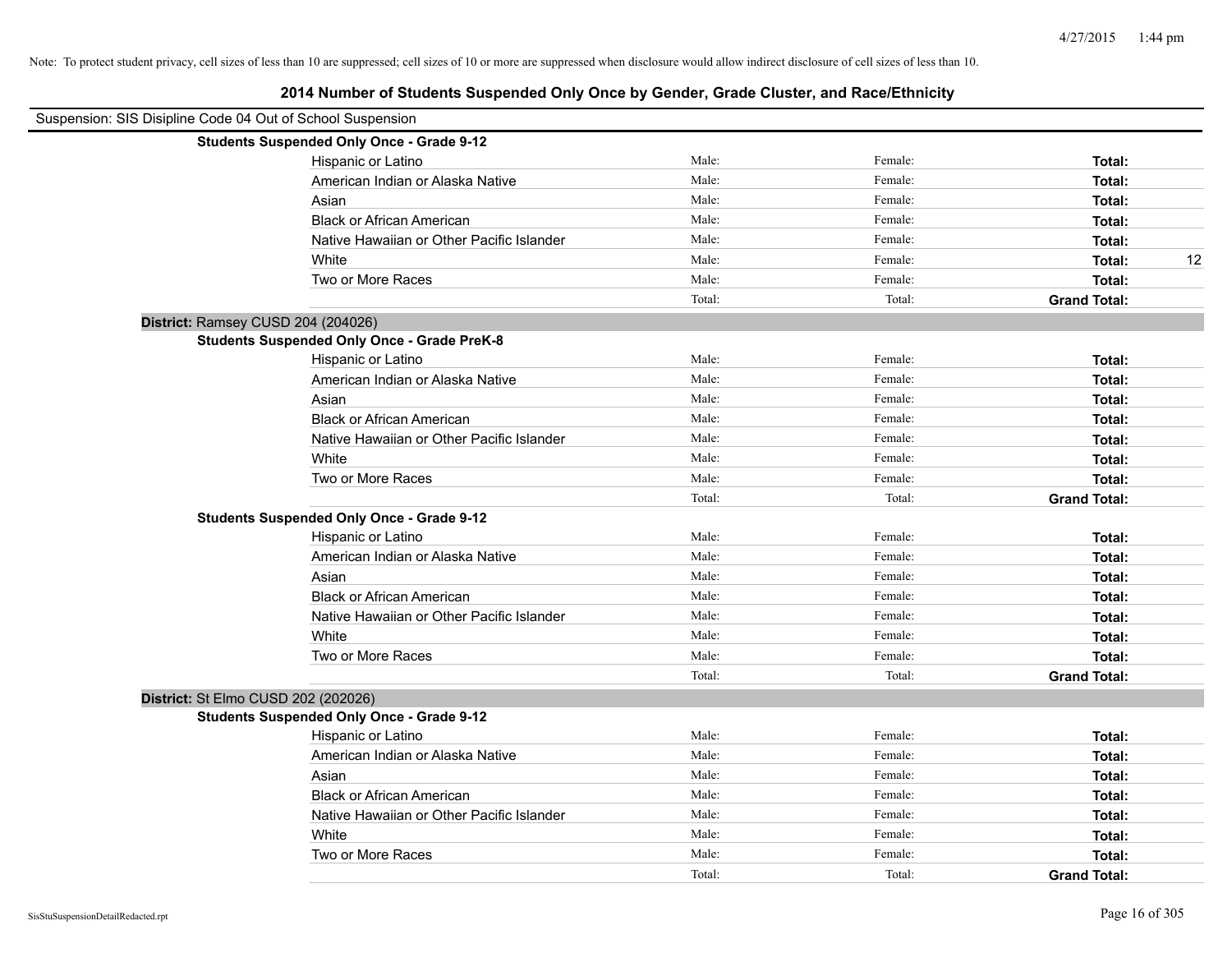| Suspension: SIS Disipline Code 04 Out of School Suspension |                                                    |        |         |                     |
|------------------------------------------------------------|----------------------------------------------------|--------|---------|---------------------|
|                                                            | <b>Students Suspended Only Once - Grade 9-12</b>   |        |         |                     |
|                                                            | Hispanic or Latino                                 | Male:  | Female: | Total:              |
|                                                            | American Indian or Alaska Native                   | Male:  | Female: | Total:              |
|                                                            | Asian                                              | Male:  | Female: | Total:              |
|                                                            | <b>Black or African American</b>                   | Male:  | Female: | Total:              |
|                                                            | Native Hawaiian or Other Pacific Islander          | Male:  | Female: | Total:              |
|                                                            | White                                              | Male:  | Female: | 12<br>Total:        |
|                                                            | Two or More Races                                  | Male:  | Female: | Total:              |
|                                                            |                                                    | Total: | Total:  | <b>Grand Total:</b> |
| District: Ramsey CUSD 204 (204026)                         |                                                    |        |         |                     |
|                                                            | <b>Students Suspended Only Once - Grade PreK-8</b> |        |         |                     |
|                                                            | Hispanic or Latino                                 | Male:  | Female: | Total:              |
|                                                            | American Indian or Alaska Native                   | Male:  | Female: | Total:              |
|                                                            | Asian                                              | Male:  | Female: | Total:              |
|                                                            | <b>Black or African American</b>                   | Male:  | Female: | Total:              |
|                                                            | Native Hawaiian or Other Pacific Islander          | Male:  | Female: | Total:              |
|                                                            | White                                              | Male:  | Female: | Total:              |
|                                                            | Two or More Races                                  | Male:  | Female: | Total:              |
|                                                            |                                                    | Total: | Total:  | <b>Grand Total:</b> |
|                                                            | <b>Students Suspended Only Once - Grade 9-12</b>   |        |         |                     |
|                                                            | Hispanic or Latino                                 | Male:  | Female: | Total:              |
|                                                            | American Indian or Alaska Native                   | Male:  | Female: | Total:              |
|                                                            | Asian                                              | Male:  | Female: | Total:              |
|                                                            | <b>Black or African American</b>                   | Male:  | Female: | Total:              |
|                                                            | Native Hawaiian or Other Pacific Islander          | Male:  | Female: | Total:              |
|                                                            | White                                              | Male:  | Female: | Total:              |
|                                                            | Two or More Races                                  | Male:  | Female: | Total:              |
|                                                            |                                                    | Total: | Total:  | <b>Grand Total:</b> |
| District: St Elmo CUSD 202 (202026)                        |                                                    |        |         |                     |
|                                                            | <b>Students Suspended Only Once - Grade 9-12</b>   |        |         |                     |
|                                                            | Hispanic or Latino                                 | Male:  | Female: | Total:              |
|                                                            | American Indian or Alaska Native                   | Male:  | Female: | Total:              |
|                                                            | Asian                                              | Male:  | Female: | Total:              |
|                                                            | <b>Black or African American</b>                   | Male:  | Female: | Total:              |
|                                                            | Native Hawaiian or Other Pacific Islander          | Male:  | Female: | Total:              |
|                                                            | White                                              | Male:  | Female: | Total:              |
|                                                            | Two or More Races                                  | Male:  | Female: | Total:              |
|                                                            |                                                    | Total: | Total:  | <b>Grand Total:</b> |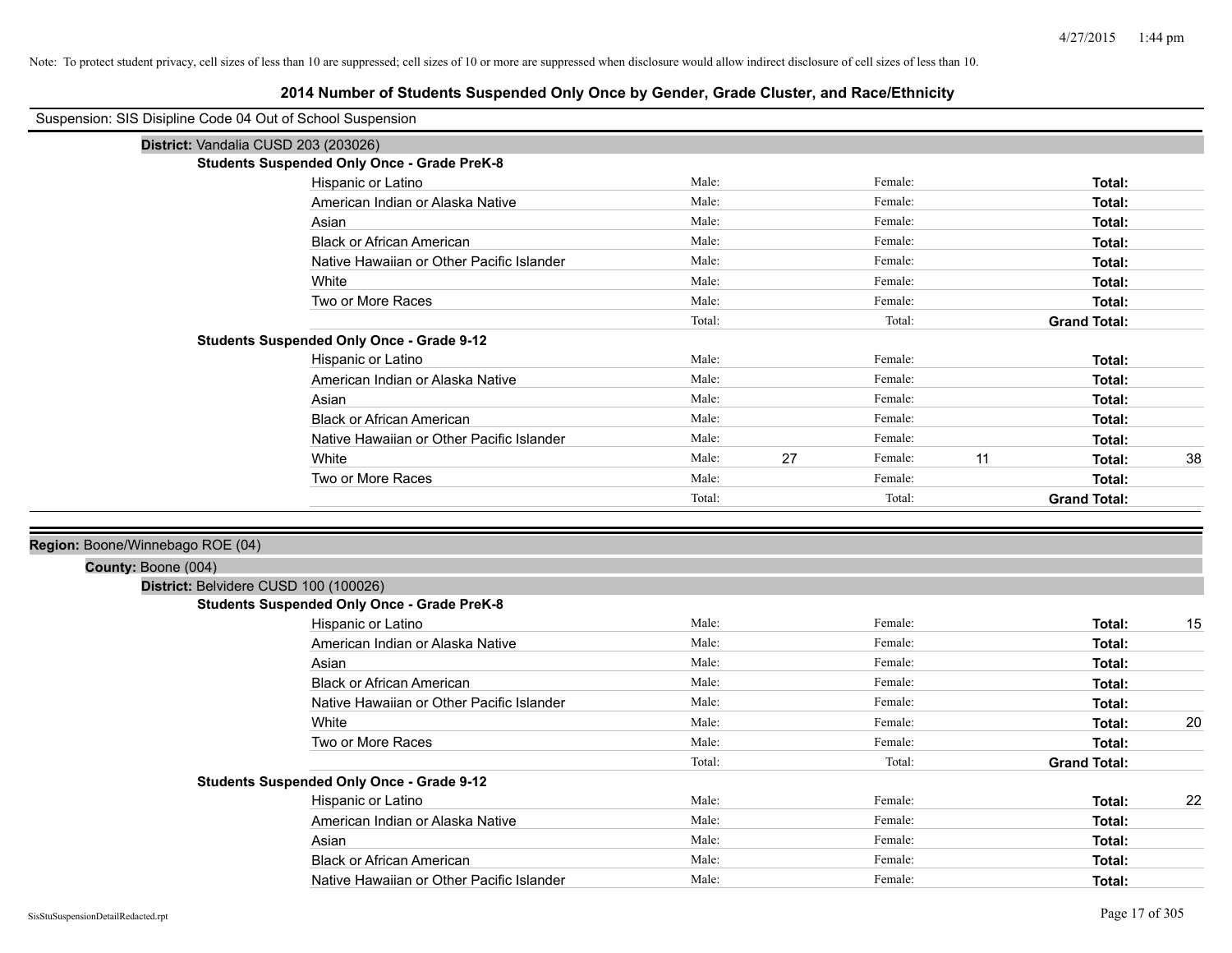| Suspension: SIS Disipline Code 04 Out of School Suspension |                                                    |                |    |                    |    |                     |    |
|------------------------------------------------------------|----------------------------------------------------|----------------|----|--------------------|----|---------------------|----|
| District: Vandalia CUSD 203 (203026)                       |                                                    |                |    |                    |    |                     |    |
|                                                            | <b>Students Suspended Only Once - Grade PreK-8</b> |                |    |                    |    |                     |    |
|                                                            | Hispanic or Latino                                 | Male:          |    | Female:            |    | Total:              |    |
|                                                            | American Indian or Alaska Native                   | Male:          |    | Female:            |    | Total:              |    |
|                                                            | Asian                                              | Male:          |    | Female:            |    | Total:              |    |
|                                                            | <b>Black or African American</b>                   | Male:          |    | Female:            |    | Total:              |    |
|                                                            | Native Hawaiian or Other Pacific Islander          | Male:          |    | Female:            |    | Total:              |    |
|                                                            | White                                              | Male:          |    | Female:            |    | Total:              |    |
|                                                            | Two or More Races                                  | Male:          |    | Female:            |    | Total:              |    |
|                                                            |                                                    | Total:         |    | Total:             |    | <b>Grand Total:</b> |    |
|                                                            | <b>Students Suspended Only Once - Grade 9-12</b>   |                |    |                    |    |                     |    |
|                                                            | Hispanic or Latino                                 | Male:          |    | Female:            |    | Total:              |    |
|                                                            | American Indian or Alaska Native                   | Male:          |    | Female:            |    | Total:              |    |
|                                                            | Asian                                              | Male:          |    | Female:            |    | Total:              |    |
|                                                            | <b>Black or African American</b>                   | Male:          |    | Female:            |    | Total:              |    |
|                                                            | Native Hawaiian or Other Pacific Islander          | Male:          |    | Female:            |    | Total:              |    |
|                                                            | White                                              | Male:          | 27 | Female:            | 11 | Total:              | 38 |
|                                                            | Two or More Races                                  | Male:          |    | Female:            |    | Total:              |    |
|                                                            |                                                    | Total:         |    | Total:             |    | <b>Grand Total:</b> |    |
|                                                            |                                                    |                |    |                    |    |                     |    |
| Region: Boone/Winnebago ROE (04)                           |                                                    |                |    |                    |    |                     |    |
| County: Boone (004)                                        |                                                    |                |    |                    |    |                     |    |
| District: Belvidere CUSD 100 (100026)                      |                                                    |                |    |                    |    |                     |    |
|                                                            | <b>Students Suspended Only Once - Grade PreK-8</b> |                |    |                    |    |                     |    |
|                                                            | Hispanic or Latino                                 | Male:          |    | Female:            |    | Total:              | 15 |
|                                                            | American Indian or Alaska Native                   | Male:          |    | Female:            |    | Total:              |    |
|                                                            | Asian                                              | Male:          |    | Female:            |    | Total:              |    |
|                                                            | <b>Black or African American</b>                   | Male:          |    | Female:            |    | Total:              |    |
|                                                            | Native Hawaiian or Other Pacific Islander          | Male:          |    | Female:<br>Female: |    | Total:              |    |
|                                                            | White                                              | Male:<br>Male: |    | Female:            |    | Total:              | 20 |
|                                                            | Two or More Races                                  | Total:         |    | Total:             |    | Total:              |    |
|                                                            | <b>Students Suspended Only Once - Grade 9-12</b>   |                |    |                    |    | <b>Grand Total:</b> |    |
|                                                            | Hispanic or Latino                                 | Male:          |    | Female:            |    | Total:              | 22 |
|                                                            | American Indian or Alaska Native                   | Male:          |    | Female:            |    | Total:              |    |
|                                                            | Asian                                              | Male:          |    | Female:            |    | Total:              |    |
|                                                            | <b>Black or African American</b>                   | Male:          |    | Female:            |    | Total:              |    |
|                                                            | Native Hawaiian or Other Pacific Islander          | Male:          |    | Female:            |    | Total:              |    |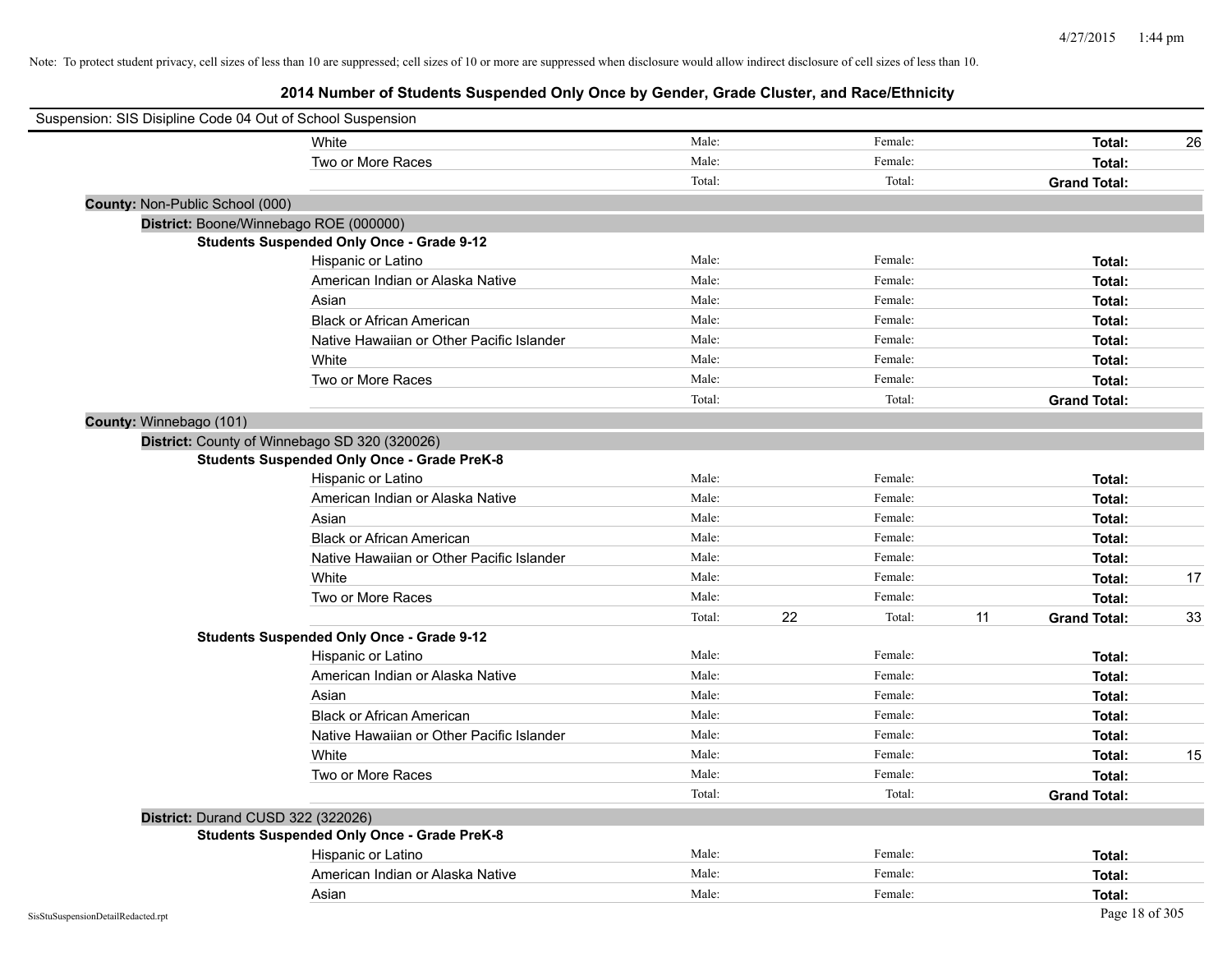| Suspension: SIS Disipline Code 04 Out of School Suspension |                                                    |        |    |         |    |                     |    |
|------------------------------------------------------------|----------------------------------------------------|--------|----|---------|----|---------------------|----|
|                                                            | White                                              | Male:  |    | Female: |    | Total:              | 26 |
|                                                            | Two or More Races                                  | Male:  |    | Female: |    | Total:              |    |
|                                                            |                                                    | Total: |    | Total:  |    | <b>Grand Total:</b> |    |
| County: Non-Public School (000)                            |                                                    |        |    |         |    |                     |    |
|                                                            | District: Boone/Winnebago ROE (000000)             |        |    |         |    |                     |    |
|                                                            | <b>Students Suspended Only Once - Grade 9-12</b>   |        |    |         |    |                     |    |
|                                                            | Hispanic or Latino                                 | Male:  |    | Female: |    | Total:              |    |
|                                                            | American Indian or Alaska Native                   | Male:  |    | Female: |    | Total:              |    |
|                                                            | Asian                                              | Male:  |    | Female: |    | Total:              |    |
|                                                            | <b>Black or African American</b>                   | Male:  |    | Female: |    | Total:              |    |
|                                                            | Native Hawaiian or Other Pacific Islander          | Male:  |    | Female: |    | Total:              |    |
|                                                            | White                                              | Male:  |    | Female: |    | Total:              |    |
|                                                            | Two or More Races                                  | Male:  |    | Female: |    | Total:              |    |
|                                                            |                                                    | Total: |    | Total:  |    | <b>Grand Total:</b> |    |
| County: Winnebago (101)                                    |                                                    |        |    |         |    |                     |    |
|                                                            | District: County of Winnebago SD 320 (320026)      |        |    |         |    |                     |    |
|                                                            | <b>Students Suspended Only Once - Grade PreK-8</b> |        |    |         |    |                     |    |
|                                                            | Hispanic or Latino                                 | Male:  |    | Female: |    | Total:              |    |
|                                                            | American Indian or Alaska Native                   | Male:  |    | Female: |    | Total:              |    |
|                                                            | Asian                                              | Male:  |    | Female: |    | Total:              |    |
|                                                            | <b>Black or African American</b>                   | Male:  |    | Female: |    | Total:              |    |
|                                                            | Native Hawaiian or Other Pacific Islander          | Male:  |    | Female: |    | Total:              |    |
|                                                            | White                                              | Male:  |    | Female: |    | Total:              | 17 |
|                                                            | Two or More Races                                  | Male:  |    | Female: |    | Total:              |    |
|                                                            |                                                    | Total: | 22 | Total:  | 11 | <b>Grand Total:</b> | 33 |
|                                                            | <b>Students Suspended Only Once - Grade 9-12</b>   |        |    |         |    |                     |    |
|                                                            | Hispanic or Latino                                 | Male:  |    | Female: |    | Total:              |    |
|                                                            | American Indian or Alaska Native                   | Male:  |    | Female: |    | Total:              |    |
|                                                            | Asian                                              | Male:  |    | Female: |    | Total:              |    |
|                                                            | <b>Black or African American</b>                   | Male:  |    | Female: |    | Total:              |    |
|                                                            | Native Hawaiian or Other Pacific Islander          | Male:  |    | Female: |    | Total:              |    |
|                                                            | White                                              | Male:  |    | Female: |    | Total:              | 15 |
|                                                            | Two or More Races                                  | Male:  |    | Female: |    | Total:              |    |
|                                                            |                                                    | Total: |    | Total:  |    | <b>Grand Total:</b> |    |
| District: Durand CUSD 322 (322026)                         |                                                    |        |    |         |    |                     |    |
|                                                            | <b>Students Suspended Only Once - Grade PreK-8</b> |        |    |         |    |                     |    |
|                                                            | Hispanic or Latino                                 | Male:  |    | Female: |    | Total:              |    |
|                                                            | American Indian or Alaska Native                   | Male:  |    | Female: |    | Total:              |    |
|                                                            | Asian                                              | Male:  |    | Female: |    | Total:              |    |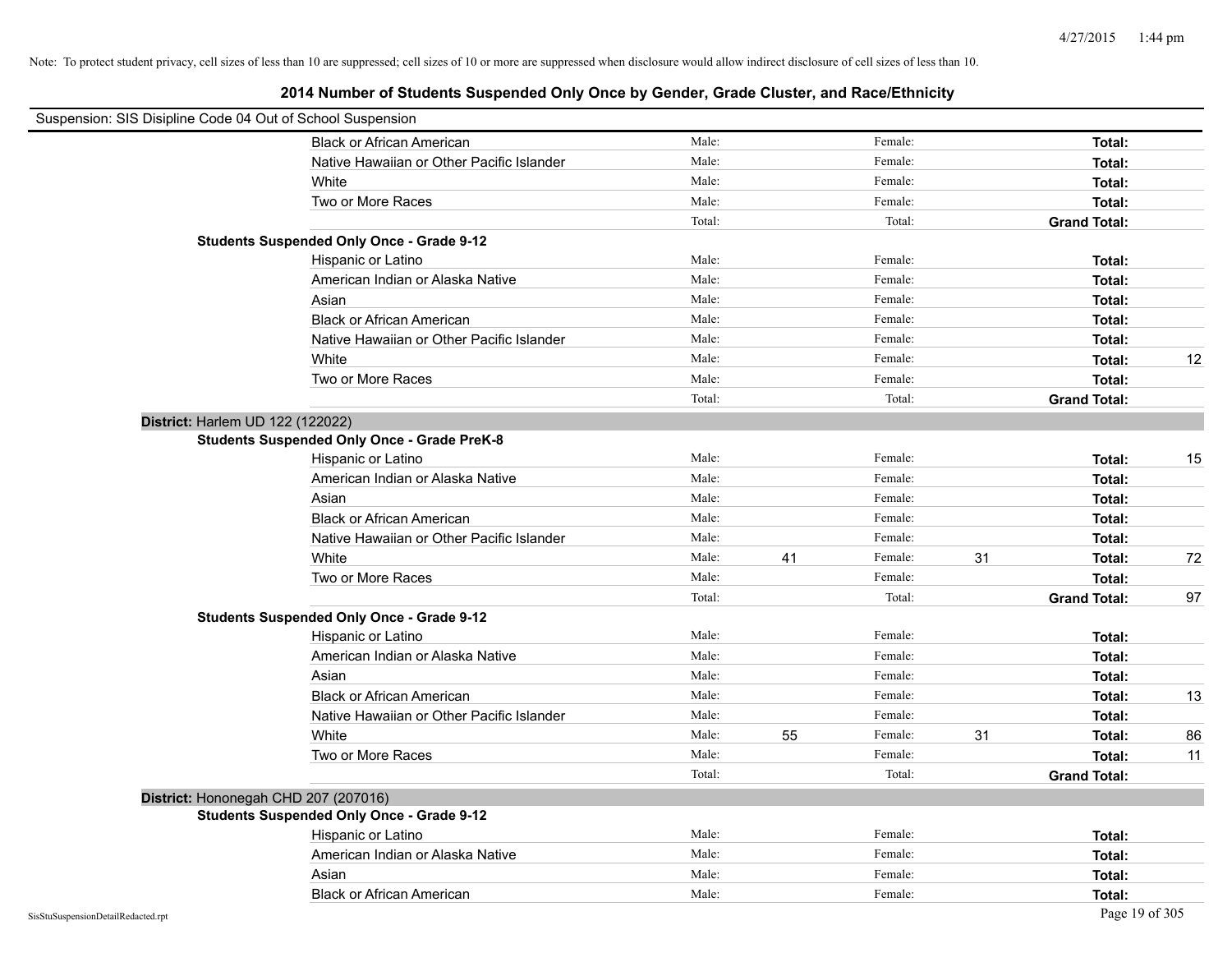| Suspension: SIS Disipline Code 04 Out of School Suspension |                                                    |        |    |         |    |                     |    |
|------------------------------------------------------------|----------------------------------------------------|--------|----|---------|----|---------------------|----|
|                                                            | <b>Black or African American</b>                   | Male:  |    | Female: |    | Total:              |    |
|                                                            | Native Hawaiian or Other Pacific Islander          | Male:  |    | Female: |    | Total:              |    |
|                                                            | White                                              | Male:  |    | Female: |    | Total:              |    |
|                                                            | Two or More Races                                  | Male:  |    | Female: |    | Total:              |    |
|                                                            |                                                    | Total: |    | Total:  |    | <b>Grand Total:</b> |    |
|                                                            | <b>Students Suspended Only Once - Grade 9-12</b>   |        |    |         |    |                     |    |
|                                                            | Hispanic or Latino                                 | Male:  |    | Female: |    | Total:              |    |
|                                                            | American Indian or Alaska Native                   | Male:  |    | Female: |    | Total:              |    |
|                                                            | Asian                                              | Male:  |    | Female: |    | Total:              |    |
|                                                            | <b>Black or African American</b>                   | Male:  |    | Female: |    | Total:              |    |
|                                                            | Native Hawaiian or Other Pacific Islander          | Male:  |    | Female: |    | Total:              |    |
|                                                            | White                                              | Male:  |    | Female: |    | Total:              | 12 |
|                                                            | Two or More Races                                  | Male:  |    | Female: |    | Total:              |    |
|                                                            |                                                    | Total: |    | Total:  |    | <b>Grand Total:</b> |    |
| District: Harlem UD 122 (122022)                           |                                                    |        |    |         |    |                     |    |
|                                                            | <b>Students Suspended Only Once - Grade PreK-8</b> |        |    |         |    |                     |    |
|                                                            | Hispanic or Latino                                 | Male:  |    | Female: |    | Total:              | 15 |
|                                                            | American Indian or Alaska Native                   | Male:  |    | Female: |    | Total:              |    |
|                                                            | Asian                                              | Male:  |    | Female: |    | Total:              |    |
|                                                            | <b>Black or African American</b>                   | Male:  |    | Female: |    | Total:              |    |
|                                                            | Native Hawaiian or Other Pacific Islander          | Male:  |    | Female: |    | Total:              |    |
|                                                            | White                                              | Male:  | 41 | Female: | 31 | Total:              | 72 |
|                                                            | Two or More Races                                  | Male:  |    | Female: |    | Total:              |    |
|                                                            |                                                    | Total: |    | Total:  |    | <b>Grand Total:</b> | 97 |
|                                                            | <b>Students Suspended Only Once - Grade 9-12</b>   |        |    |         |    |                     |    |
|                                                            | Hispanic or Latino                                 | Male:  |    | Female: |    | Total:              |    |
|                                                            | American Indian or Alaska Native                   | Male:  |    | Female: |    | Total:              |    |
|                                                            | Asian                                              | Male:  |    | Female: |    | Total:              |    |
|                                                            | <b>Black or African American</b>                   | Male:  |    | Female: |    | Total:              | 13 |
|                                                            | Native Hawaiian or Other Pacific Islander          | Male:  |    | Female: |    | Total:              |    |
|                                                            | White                                              | Male:  | 55 | Female: | 31 | Total:              | 86 |
|                                                            | Two or More Races                                  | Male:  |    | Female: |    | Total:              | 11 |
|                                                            |                                                    | Total: |    | Total:  |    | <b>Grand Total:</b> |    |
|                                                            | District: Hononegah CHD 207 (207016)               |        |    |         |    |                     |    |
|                                                            | <b>Students Suspended Only Once - Grade 9-12</b>   |        |    |         |    |                     |    |
|                                                            | Hispanic or Latino                                 | Male:  |    | Female: |    | Total:              |    |
|                                                            | American Indian or Alaska Native                   | Male:  |    | Female: |    | Total:              |    |
|                                                            | Asian                                              | Male:  |    | Female: |    | Total:              |    |
|                                                            | <b>Black or African American</b>                   | Male:  |    | Female: |    | Total:              |    |
| SisStuSuspensionDetailRedacted.rpt                         |                                                    |        |    |         |    | Page 19 of 305      |    |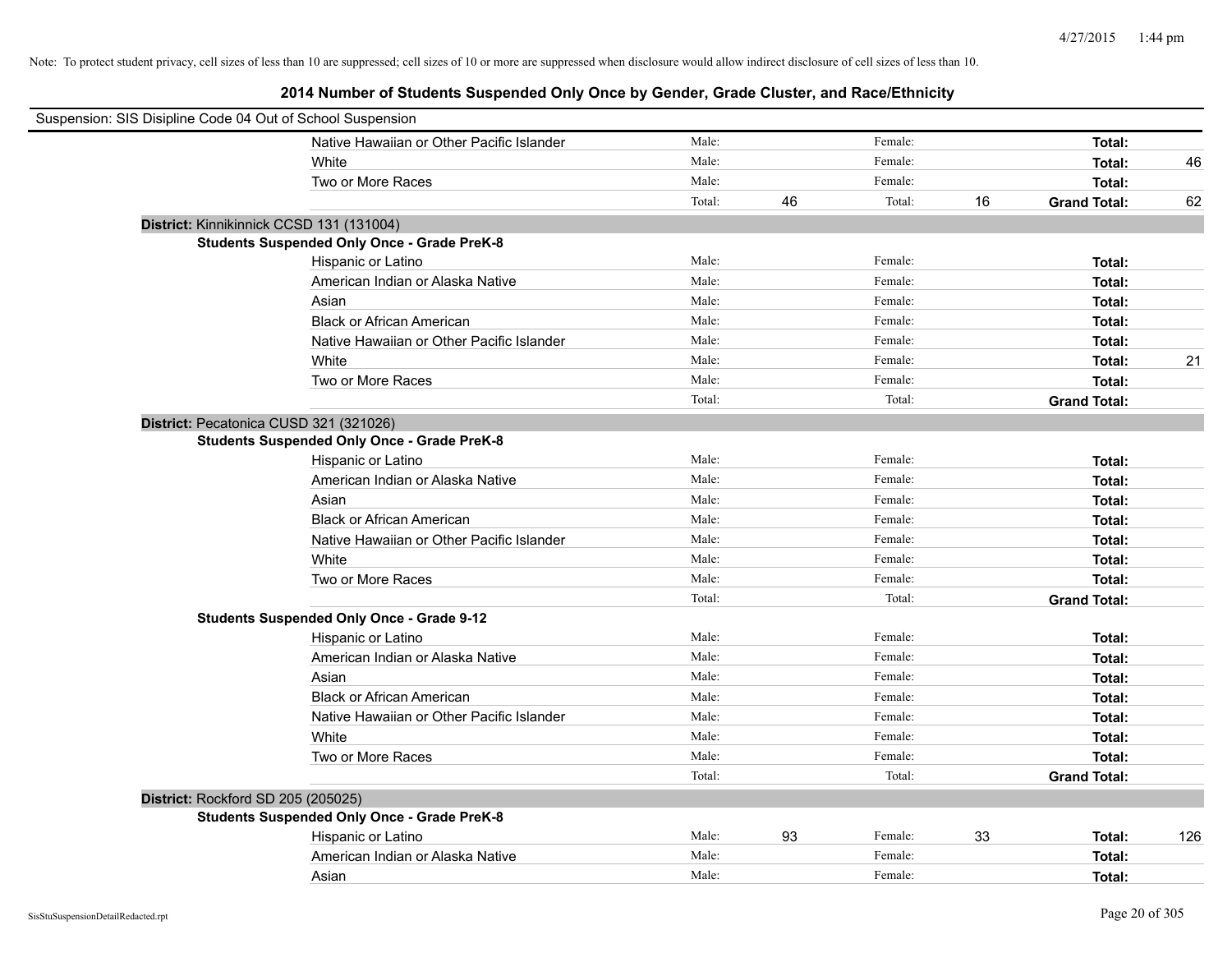| Suspension: SIS Disipline Code 04 Out of School Suspension |                                                    |        |    |         |    |                     |     |
|------------------------------------------------------------|----------------------------------------------------|--------|----|---------|----|---------------------|-----|
|                                                            | Native Hawaiian or Other Pacific Islander          | Male:  |    | Female: |    | Total:              |     |
|                                                            | White                                              | Male:  |    | Female: |    | Total:              | 46  |
|                                                            | Two or More Races                                  | Male:  |    | Female: |    | Total:              |     |
|                                                            |                                                    | Total: | 46 | Total:  | 16 | <b>Grand Total:</b> | 62  |
| District: Kinnikinnick CCSD 131 (131004)                   |                                                    |        |    |         |    |                     |     |
|                                                            | <b>Students Suspended Only Once - Grade PreK-8</b> |        |    |         |    |                     |     |
|                                                            | Hispanic or Latino                                 | Male:  |    | Female: |    | Total:              |     |
|                                                            | American Indian or Alaska Native                   | Male:  |    | Female: |    | Total:              |     |
|                                                            | Asian                                              | Male:  |    | Female: |    | Total:              |     |
|                                                            | <b>Black or African American</b>                   | Male:  |    | Female: |    | Total:              |     |
|                                                            | Native Hawaiian or Other Pacific Islander          | Male:  |    | Female: |    | Total:              |     |
|                                                            | White                                              | Male:  |    | Female: |    | Total:              | 21  |
|                                                            | Two or More Races                                  | Male:  |    | Female: |    | Total:              |     |
|                                                            |                                                    | Total: |    | Total:  |    | <b>Grand Total:</b> |     |
| District: Pecatonica CUSD 321 (321026)                     |                                                    |        |    |         |    |                     |     |
|                                                            | <b>Students Suspended Only Once - Grade PreK-8</b> |        |    |         |    |                     |     |
|                                                            | Hispanic or Latino                                 | Male:  |    | Female: |    | Total:              |     |
|                                                            | American Indian or Alaska Native                   | Male:  |    | Female: |    | Total:              |     |
|                                                            | Asian                                              | Male:  |    | Female: |    | Total:              |     |
|                                                            | <b>Black or African American</b>                   | Male:  |    | Female: |    | Total:              |     |
|                                                            | Native Hawaiian or Other Pacific Islander          | Male:  |    | Female: |    | Total:              |     |
|                                                            | White                                              | Male:  |    | Female: |    | Total:              |     |
|                                                            | Two or More Races                                  | Male:  |    | Female: |    | Total:              |     |
|                                                            |                                                    | Total: |    | Total:  |    | <b>Grand Total:</b> |     |
|                                                            | <b>Students Suspended Only Once - Grade 9-12</b>   |        |    |         |    |                     |     |
|                                                            | Hispanic or Latino                                 | Male:  |    | Female: |    | Total:              |     |
|                                                            | American Indian or Alaska Native                   | Male:  |    | Female: |    | Total:              |     |
|                                                            | Asian                                              | Male:  |    | Female: |    | Total:              |     |
|                                                            | <b>Black or African American</b>                   | Male:  |    | Female: |    | Total:              |     |
|                                                            | Native Hawaiian or Other Pacific Islander          | Male:  |    | Female: |    | Total:              |     |
|                                                            | White                                              | Male:  |    | Female: |    | Total:              |     |
|                                                            | Two or More Races                                  | Male:  |    | Female: |    | Total:              |     |
|                                                            |                                                    | Total: |    | Total:  |    | <b>Grand Total:</b> |     |
| District: Rockford SD 205 (205025)                         |                                                    |        |    |         |    |                     |     |
|                                                            | <b>Students Suspended Only Once - Grade PreK-8</b> |        |    |         |    |                     |     |
|                                                            | Hispanic or Latino                                 | Male:  | 93 | Female: | 33 | Total:              | 126 |
|                                                            | American Indian or Alaska Native                   | Male:  |    | Female: |    | Total:              |     |
|                                                            | Asian                                              | Male:  |    | Female: |    | Total:              |     |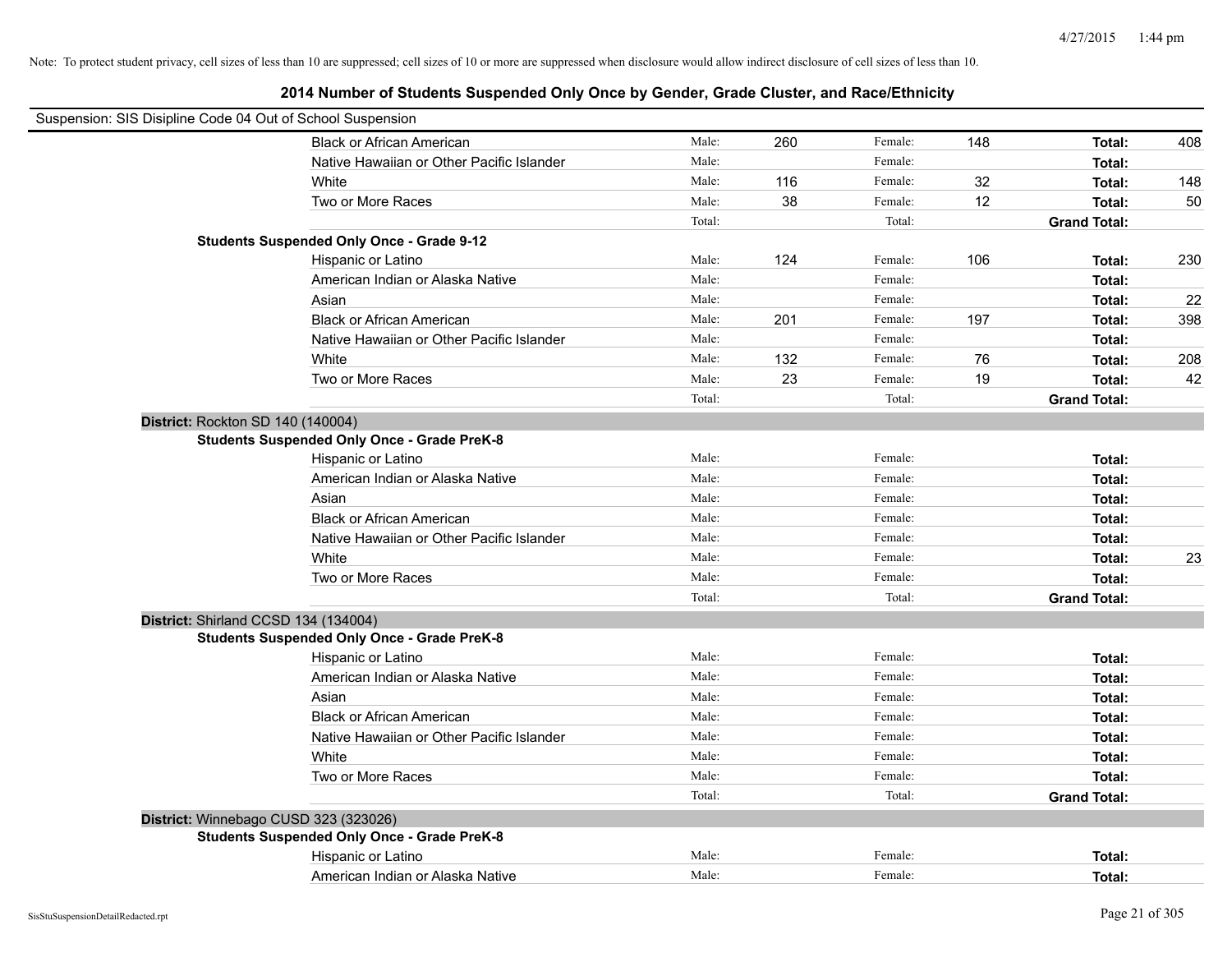| Suspension: SIS Disipline Code 04 Out of School Suspension |                                                    |        |     |         |     |                     |     |
|------------------------------------------------------------|----------------------------------------------------|--------|-----|---------|-----|---------------------|-----|
|                                                            | <b>Black or African American</b>                   | Male:  | 260 | Female: | 148 | Total:              | 408 |
|                                                            | Native Hawaiian or Other Pacific Islander          | Male:  |     | Female: |     | Total:              |     |
|                                                            | White                                              | Male:  | 116 | Female: | 32  | Total:              | 148 |
|                                                            | Two or More Races                                  | Male:  | 38  | Female: | 12  | Total:              | 50  |
|                                                            |                                                    | Total: |     | Total:  |     | <b>Grand Total:</b> |     |
|                                                            | <b>Students Suspended Only Once - Grade 9-12</b>   |        |     |         |     |                     |     |
|                                                            | Hispanic or Latino                                 | Male:  | 124 | Female: | 106 | Total:              | 230 |
|                                                            | American Indian or Alaska Native                   | Male:  |     | Female: |     | Total:              |     |
|                                                            | Asian                                              | Male:  |     | Female: |     | Total:              | 22  |
|                                                            | <b>Black or African American</b>                   | Male:  | 201 | Female: | 197 | Total:              | 398 |
|                                                            | Native Hawaiian or Other Pacific Islander          | Male:  |     | Female: |     | Total:              |     |
|                                                            | White                                              | Male:  | 132 | Female: | 76  | Total:              | 208 |
|                                                            | Two or More Races                                  | Male:  | 23  | Female: | 19  | Total:              | 42  |
|                                                            |                                                    | Total: |     | Total:  |     | <b>Grand Total:</b> |     |
| District: Rockton SD 140 (140004)                          |                                                    |        |     |         |     |                     |     |
|                                                            | <b>Students Suspended Only Once - Grade PreK-8</b> |        |     |         |     |                     |     |
|                                                            | Hispanic or Latino                                 | Male:  |     | Female: |     | Total:              |     |
|                                                            | American Indian or Alaska Native                   | Male:  |     | Female: |     | Total:              |     |
|                                                            | Asian                                              | Male:  |     | Female: |     | Total:              |     |
|                                                            | <b>Black or African American</b>                   | Male:  |     | Female: |     | Total:              |     |
|                                                            | Native Hawaiian or Other Pacific Islander          | Male:  |     | Female: |     | Total:              |     |
|                                                            | White                                              | Male:  |     | Female: |     | Total:              | 23  |
|                                                            | Two or More Races                                  | Male:  |     | Female: |     | Total:              |     |
|                                                            |                                                    | Total: |     | Total:  |     | <b>Grand Total:</b> |     |
| District: Shirland CCSD 134 (134004)                       |                                                    |        |     |         |     |                     |     |
|                                                            | <b>Students Suspended Only Once - Grade PreK-8</b> |        |     |         |     |                     |     |
|                                                            | Hispanic or Latino                                 | Male:  |     | Female: |     | Total:              |     |
|                                                            | American Indian or Alaska Native                   | Male:  |     | Female: |     | Total:              |     |
|                                                            | Asian                                              | Male:  |     | Female: |     | Total:              |     |
|                                                            | <b>Black or African American</b>                   | Male:  |     | Female: |     | Total:              |     |
|                                                            | Native Hawaiian or Other Pacific Islander          | Male:  |     | Female: |     | Total:              |     |
|                                                            | White                                              | Male:  |     | Female: |     | Total:              |     |
|                                                            | Two or More Races                                  | Male:  |     | Female: |     | Total:              |     |
|                                                            |                                                    | Total: |     | Total:  |     | <b>Grand Total:</b> |     |
| District: Winnebago CUSD 323 (323026)                      |                                                    |        |     |         |     |                     |     |
|                                                            | <b>Students Suspended Only Once - Grade PreK-8</b> |        |     |         |     |                     |     |
|                                                            | Hispanic or Latino                                 | Male:  |     | Female: |     | Total:              |     |
|                                                            | American Indian or Alaska Native                   | Male:  |     | Female: |     | Total:              |     |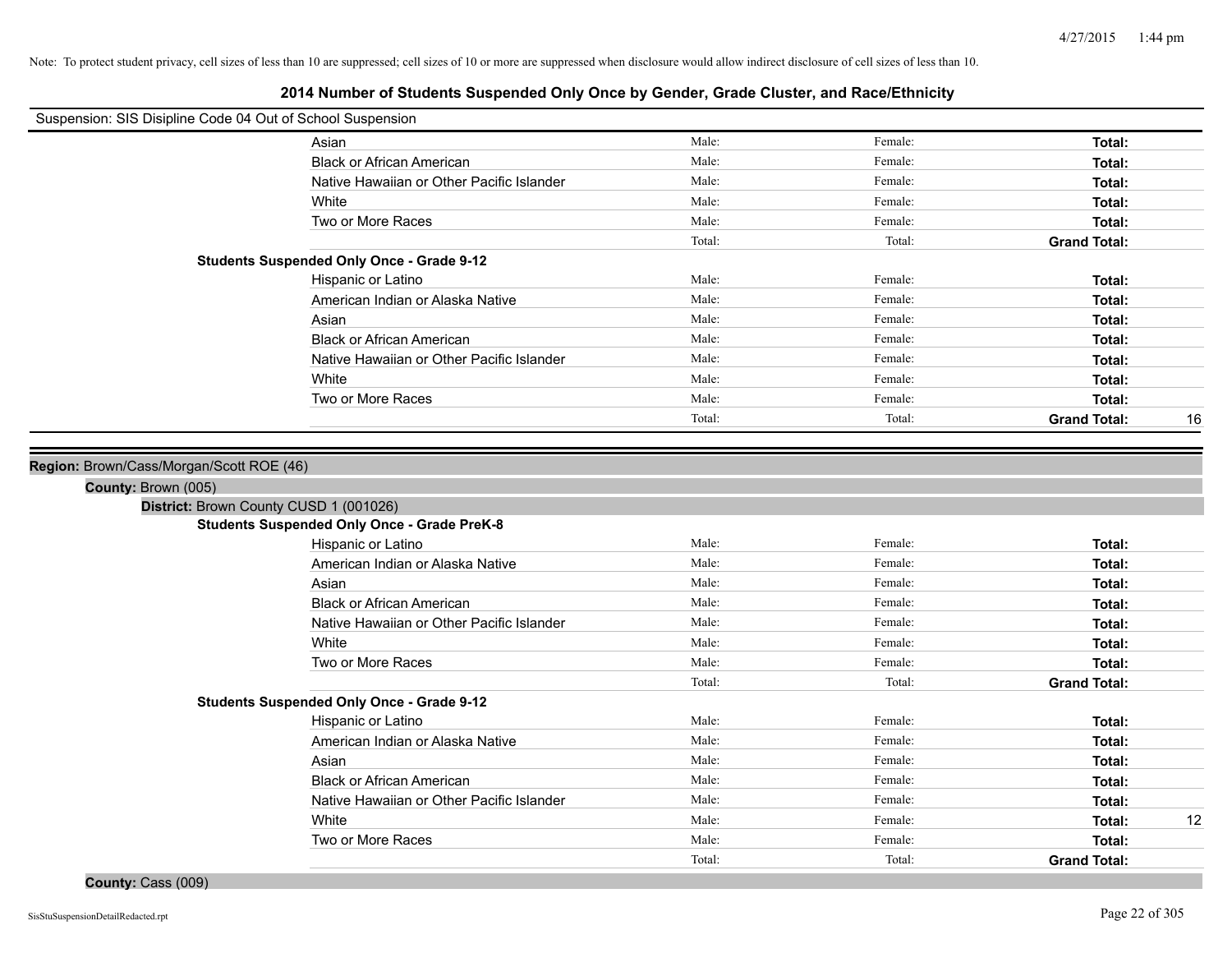# **2014 Number of Students Suspended Only Once by Gender, Grade Cluster, and Race/Ethnicity**

| Suspension: SIS Disipline Code 04 Out of School Suspension |                                                    |        |         |                           |
|------------------------------------------------------------|----------------------------------------------------|--------|---------|---------------------------|
|                                                            | Asian                                              | Male:  | Female: | Total:                    |
|                                                            | <b>Black or African American</b>                   | Male:  | Female: | Total:                    |
|                                                            | Native Hawaiian or Other Pacific Islander          | Male:  | Female: | Total:                    |
|                                                            | White                                              | Male:  | Female: | Total:                    |
|                                                            | Two or More Races                                  | Male:  | Female: | Total:                    |
|                                                            |                                                    | Total: | Total:  | <b>Grand Total:</b>       |
|                                                            | <b>Students Suspended Only Once - Grade 9-12</b>   |        |         |                           |
|                                                            | Hispanic or Latino                                 | Male:  | Female: | Total:                    |
|                                                            | American Indian or Alaska Native                   | Male:  | Female: | Total:                    |
|                                                            | Asian                                              | Male:  | Female: | Total:                    |
|                                                            | <b>Black or African American</b>                   | Male:  | Female: | Total:                    |
|                                                            | Native Hawaiian or Other Pacific Islander          | Male:  | Female: | Total:                    |
|                                                            | White                                              | Male:  | Female: | Total:                    |
|                                                            | Two or More Races                                  | Male:  | Female: | Total:                    |
|                                                            |                                                    | Total: | Total:  | <b>Grand Total:</b><br>16 |
|                                                            |                                                    |        |         |                           |
| Region: Brown/Cass/Morgan/Scott ROE (46)                   |                                                    |        |         |                           |
| County: Brown (005)                                        |                                                    |        |         |                           |
|                                                            | District: Brown County CUSD 1 (001026)             |        |         |                           |
|                                                            | <b>Students Suspended Only Once - Grade PreK-8</b> |        |         |                           |
|                                                            | Hispanic or Latino                                 | Male:  | Female: | Total:                    |
|                                                            | American Indian or Alaska Native                   | Male:  | Female: | Total:                    |
|                                                            | Asian                                              | Male:  | Female: | Total:                    |
|                                                            | <b>Black or African American</b>                   | Male:  | Female: | Total:                    |
|                                                            | Native Hawaiian or Other Pacific Islander          | Male:  | Female: | Total:                    |
|                                                            | White                                              | Male:  | Female: | Total:                    |
|                                                            | Two or More Races                                  | Male:  | Female: | Total:                    |
|                                                            |                                                    | Total: | Total:  | <b>Grand Total:</b>       |
|                                                            | <b>Students Suspended Only Once - Grade 9-12</b>   |        |         |                           |
|                                                            | Hispanic or Latino                                 | Male:  | Female: | Total:                    |
|                                                            | American Indian or Alaska Native                   | Male:  | Female: | Total:                    |
|                                                            | Asian                                              | Male:  | Female: | Total:                    |
|                                                            | <b>Black or African American</b>                   | Male:  | Female: | Total:                    |
|                                                            | Native Hawaiian or Other Pacific Islander          | Male:  | Female: | Total:                    |
|                                                            | White                                              | Male:  | Female: | 12<br>Total:              |
|                                                            | Two or More Races                                  | Male:  | Female: | Total:                    |
|                                                            |                                                    | Total: | Total:  | <b>Grand Total:</b>       |

**County:** Cass (009)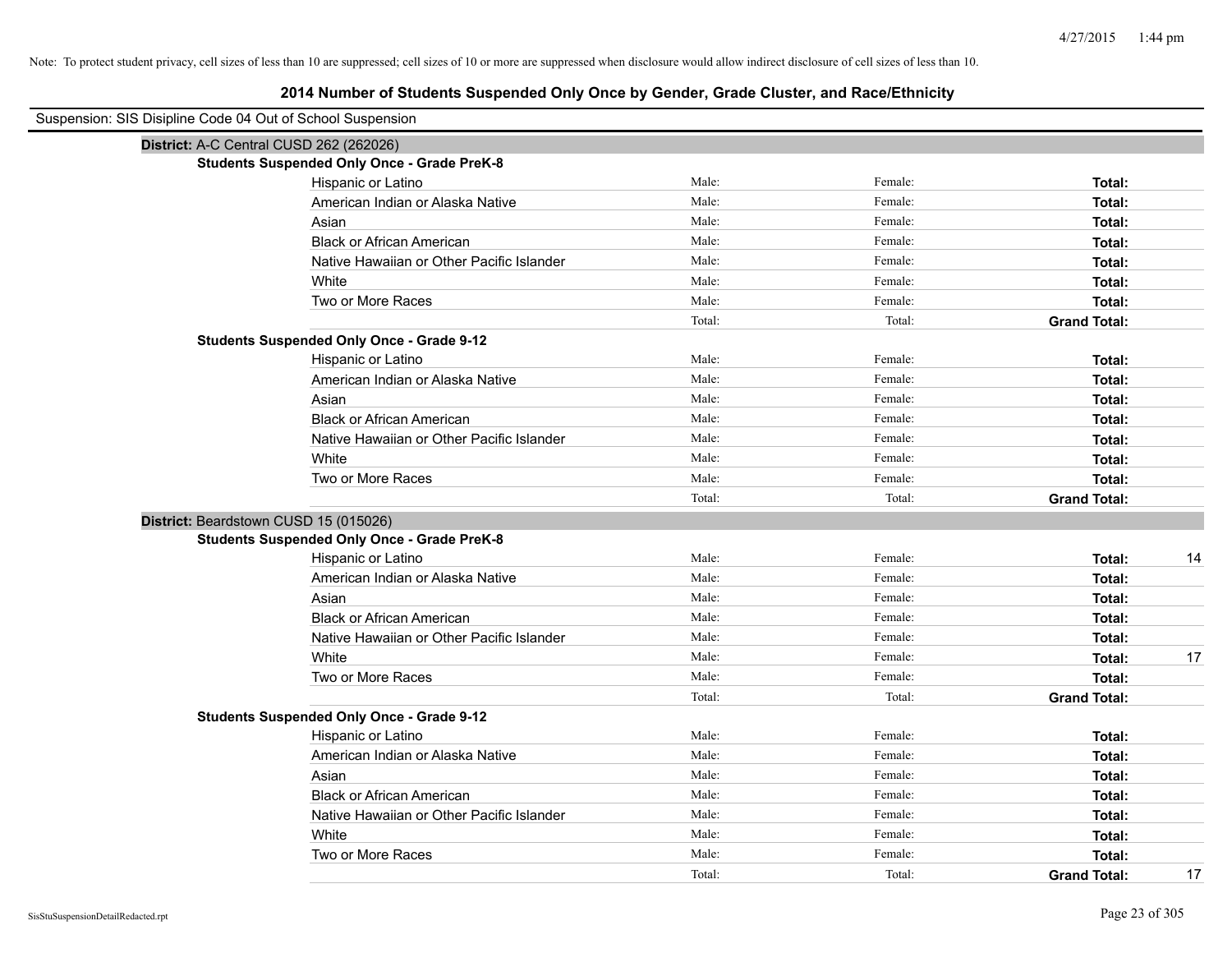| Suspension: SIS Disipline Code 04 Out of School Suspension |                                                    |        |         |                           |
|------------------------------------------------------------|----------------------------------------------------|--------|---------|---------------------------|
|                                                            | District: A-C Central CUSD 262 (262026)            |        |         |                           |
|                                                            | <b>Students Suspended Only Once - Grade PreK-8</b> |        |         |                           |
|                                                            | Hispanic or Latino                                 | Male:  | Female: | Total:                    |
|                                                            | American Indian or Alaska Native                   | Male:  | Female: | Total:                    |
|                                                            | Asian                                              | Male:  | Female: | Total:                    |
|                                                            | <b>Black or African American</b>                   | Male:  | Female: | Total:                    |
|                                                            | Native Hawaiian or Other Pacific Islander          | Male:  | Female: | Total:                    |
|                                                            | White                                              | Male:  | Female: | Total:                    |
|                                                            | Two or More Races                                  | Male:  | Female: | Total:                    |
|                                                            |                                                    | Total: | Total:  | <b>Grand Total:</b>       |
|                                                            | <b>Students Suspended Only Once - Grade 9-12</b>   |        |         |                           |
|                                                            | Hispanic or Latino                                 | Male:  | Female: | Total:                    |
|                                                            | American Indian or Alaska Native                   | Male:  | Female: | Total:                    |
|                                                            | Asian                                              | Male:  | Female: | Total:                    |
|                                                            | <b>Black or African American</b>                   | Male:  | Female: | Total:                    |
|                                                            | Native Hawaiian or Other Pacific Islander          | Male:  | Female: | Total:                    |
|                                                            | White                                              | Male:  | Female: | Total:                    |
|                                                            | Two or More Races                                  | Male:  | Female: | Total:                    |
|                                                            |                                                    | Total: | Total:  | <b>Grand Total:</b>       |
|                                                            | District: Beardstown CUSD 15 (015026)              |        |         |                           |
|                                                            | <b>Students Suspended Only Once - Grade PreK-8</b> |        |         |                           |
|                                                            | Hispanic or Latino                                 | Male:  | Female: | Total:<br>14              |
|                                                            | American Indian or Alaska Native                   | Male:  | Female: | Total:                    |
|                                                            | Asian                                              | Male:  | Female: | Total:                    |
|                                                            | <b>Black or African American</b>                   | Male:  | Female: | Total:                    |
|                                                            | Native Hawaiian or Other Pacific Islander          | Male:  | Female: | Total:                    |
|                                                            | White                                              | Male:  | Female: | Total:<br>17              |
|                                                            | Two or More Races                                  | Male:  | Female: | Total:                    |
|                                                            |                                                    | Total: | Total:  | <b>Grand Total:</b>       |
|                                                            | <b>Students Suspended Only Once - Grade 9-12</b>   |        |         |                           |
|                                                            | Hispanic or Latino                                 | Male:  | Female: | Total:                    |
|                                                            | American Indian or Alaska Native                   | Male:  | Female: | Total:                    |
|                                                            | Asian                                              | Male:  | Female: | Total:                    |
|                                                            | <b>Black or African American</b>                   | Male:  | Female: | Total:                    |
|                                                            | Native Hawaiian or Other Pacific Islander          | Male:  | Female: | Total:                    |
|                                                            | White                                              | Male:  | Female: | Total:                    |
|                                                            | Two or More Races                                  | Male:  | Female: | Total:                    |
|                                                            |                                                    | Total: | Total:  | <b>Grand Total:</b><br>17 |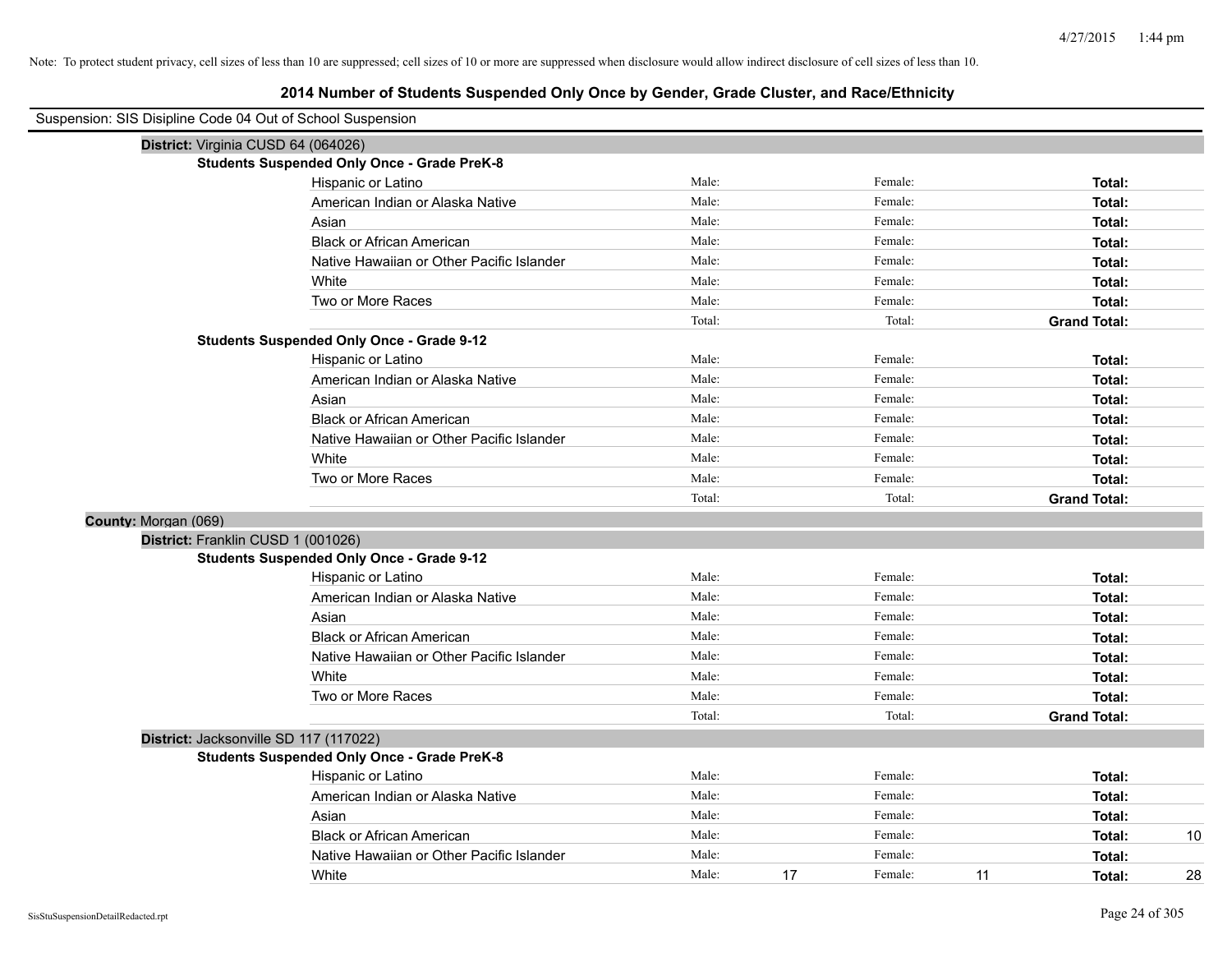| Suspension: SIS Disipline Code 04 Out of School Suspension |                                                    |        |    |         |    |                     |    |
|------------------------------------------------------------|----------------------------------------------------|--------|----|---------|----|---------------------|----|
|                                                            | District: Virginia CUSD 64 (064026)                |        |    |         |    |                     |    |
|                                                            | <b>Students Suspended Only Once - Grade PreK-8</b> |        |    |         |    |                     |    |
|                                                            | Hispanic or Latino                                 | Male:  |    | Female: |    | Total:              |    |
|                                                            | American Indian or Alaska Native                   | Male:  |    | Female: |    | Total:              |    |
|                                                            | Asian                                              | Male:  |    | Female: |    | Total:              |    |
|                                                            | <b>Black or African American</b>                   | Male:  |    | Female: |    | Total:              |    |
|                                                            | Native Hawaiian or Other Pacific Islander          | Male:  |    | Female: |    | Total:              |    |
|                                                            | White                                              | Male:  |    | Female: |    | Total:              |    |
|                                                            | Two or More Races                                  | Male:  |    | Female: |    | Total:              |    |
|                                                            |                                                    | Total: |    | Total:  |    | <b>Grand Total:</b> |    |
|                                                            | <b>Students Suspended Only Once - Grade 9-12</b>   |        |    |         |    |                     |    |
|                                                            | Hispanic or Latino                                 | Male:  |    | Female: |    | Total:              |    |
|                                                            | American Indian or Alaska Native                   | Male:  |    | Female: |    | Total:              |    |
|                                                            | Asian                                              | Male:  |    | Female: |    | Total:              |    |
|                                                            | <b>Black or African American</b>                   | Male:  |    | Female: |    | Total:              |    |
|                                                            | Native Hawaiian or Other Pacific Islander          | Male:  |    | Female: |    | Total:              |    |
|                                                            | White                                              | Male:  |    | Female: |    | Total:              |    |
|                                                            | Two or More Races                                  | Male:  |    | Female: |    | Total:              |    |
|                                                            |                                                    | Total: |    | Total:  |    | <b>Grand Total:</b> |    |
| County: Morgan (069)                                       |                                                    |        |    |         |    |                     |    |
|                                                            | District: Franklin CUSD 1 (001026)                 |        |    |         |    |                     |    |
|                                                            | <b>Students Suspended Only Once - Grade 9-12</b>   |        |    |         |    |                     |    |
|                                                            | Hispanic or Latino                                 | Male:  |    | Female: |    | Total:              |    |
|                                                            | American Indian or Alaska Native                   | Male:  |    | Female: |    | Total:              |    |
|                                                            | Asian                                              | Male:  |    | Female: |    | Total:              |    |
|                                                            | <b>Black or African American</b>                   | Male:  |    | Female: |    | Total:              |    |
|                                                            | Native Hawaiian or Other Pacific Islander          | Male:  |    | Female: |    | Total:              |    |
|                                                            | White                                              | Male:  |    | Female: |    | Total:              |    |
|                                                            | Two or More Races                                  | Male:  |    | Female: |    | Total:              |    |
|                                                            |                                                    | Total: |    | Total:  |    | <b>Grand Total:</b> |    |
|                                                            | District: Jacksonville SD 117 (117022)             |        |    |         |    |                     |    |
|                                                            | <b>Students Suspended Only Once - Grade PreK-8</b> |        |    |         |    |                     |    |
|                                                            | Hispanic or Latino                                 | Male:  |    | Female: |    | Total:              |    |
|                                                            | American Indian or Alaska Native                   | Male:  |    | Female: |    | Total:              |    |
|                                                            | Asian                                              | Male:  |    | Female: |    | Total:              |    |
|                                                            | <b>Black or African American</b>                   | Male:  |    | Female: |    | Total:              | 10 |
|                                                            | Native Hawaiian or Other Pacific Islander          | Male:  |    | Female: |    | Total:              |    |
|                                                            | White                                              | Male:  | 17 | Female: | 11 | Total:              | 28 |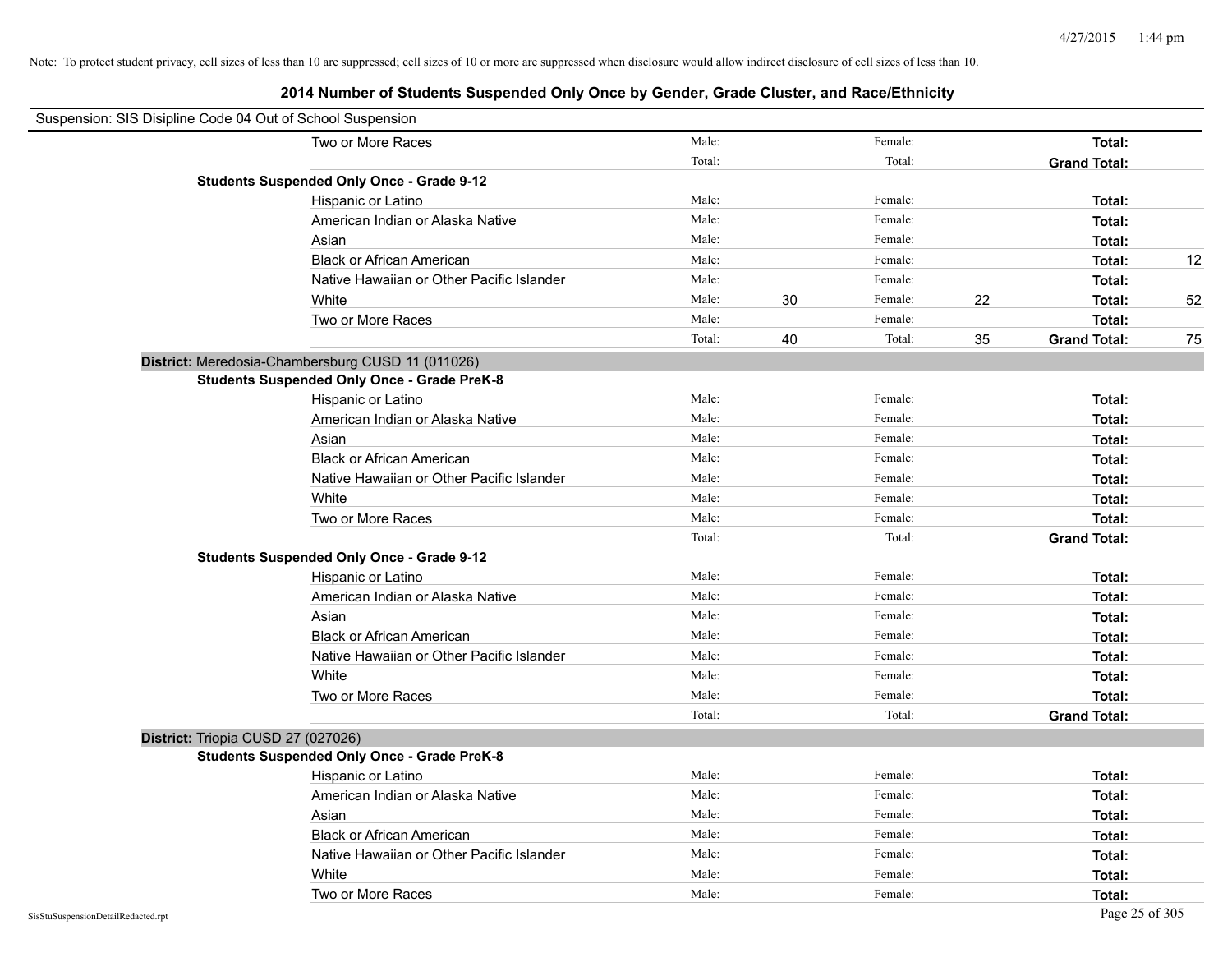| Suspension: SIS Disipline Code 04 Out of School Suspension |        |    |         |    |                     |    |
|------------------------------------------------------------|--------|----|---------|----|---------------------|----|
| Two or More Races                                          | Male:  |    | Female: |    | Total:              |    |
|                                                            | Total: |    | Total:  |    | <b>Grand Total:</b> |    |
| <b>Students Suspended Only Once - Grade 9-12</b>           |        |    |         |    |                     |    |
| Hispanic or Latino                                         | Male:  |    | Female: |    | Total:              |    |
| American Indian or Alaska Native                           | Male:  |    | Female: |    | Total:              |    |
| Asian                                                      | Male:  |    | Female: |    | Total:              |    |
| <b>Black or African American</b>                           | Male:  |    | Female: |    | Total:              | 12 |
| Native Hawaiian or Other Pacific Islander                  | Male:  |    | Female: |    | Total:              |    |
| White                                                      | Male:  | 30 | Female: | 22 | Total:              | 52 |
| Two or More Races                                          | Male:  |    | Female: |    | Total:              |    |
|                                                            | Total: | 40 | Total:  | 35 | <b>Grand Total:</b> | 75 |
| District: Meredosia-Chambersburg CUSD 11 (011026)          |        |    |         |    |                     |    |
| <b>Students Suspended Only Once - Grade PreK-8</b>         |        |    |         |    |                     |    |
| Hispanic or Latino                                         | Male:  |    | Female: |    | Total:              |    |
| American Indian or Alaska Native                           | Male:  |    | Female: |    | Total:              |    |
| Asian                                                      | Male:  |    | Female: |    | Total:              |    |
| <b>Black or African American</b>                           | Male:  |    | Female: |    | Total:              |    |
| Native Hawaiian or Other Pacific Islander                  | Male:  |    | Female: |    | Total:              |    |
| White                                                      | Male:  |    | Female: |    | Total:              |    |
| Two or More Races                                          | Male:  |    | Female: |    | Total:              |    |
|                                                            | Total: |    | Total:  |    | <b>Grand Total:</b> |    |
| <b>Students Suspended Only Once - Grade 9-12</b>           |        |    |         |    |                     |    |
| Hispanic or Latino                                         | Male:  |    | Female: |    | Total:              |    |
| American Indian or Alaska Native                           | Male:  |    | Female: |    | Total:              |    |
| Asian                                                      | Male:  |    | Female: |    | Total:              |    |
| <b>Black or African American</b>                           | Male:  |    | Female: |    | Total:              |    |
| Native Hawaiian or Other Pacific Islander                  | Male:  |    | Female: |    | Total:              |    |
| White                                                      | Male:  |    | Female: |    | Total:              |    |
| Two or More Races                                          | Male:  |    | Female: |    | Total:              |    |
|                                                            | Total: |    | Total:  |    | <b>Grand Total:</b> |    |
| District: Triopia CUSD 27 (027026)                         |        |    |         |    |                     |    |
| <b>Students Suspended Only Once - Grade PreK-8</b>         |        |    |         |    |                     |    |
| Hispanic or Latino                                         | Male:  |    | Female: |    | Total:              |    |
| American Indian or Alaska Native                           | Male:  |    | Female: |    | Total:              |    |
| Asian                                                      | Male:  |    | Female: |    | Total:              |    |
| <b>Black or African American</b>                           | Male:  |    | Female: |    | Total:              |    |
| Native Hawaiian or Other Pacific Islander                  | Male:  |    | Female: |    | Total:              |    |
| White                                                      | Male:  |    | Female: |    | Total:              |    |
| Two or More Races                                          | Male:  |    | Female: |    | Total:              |    |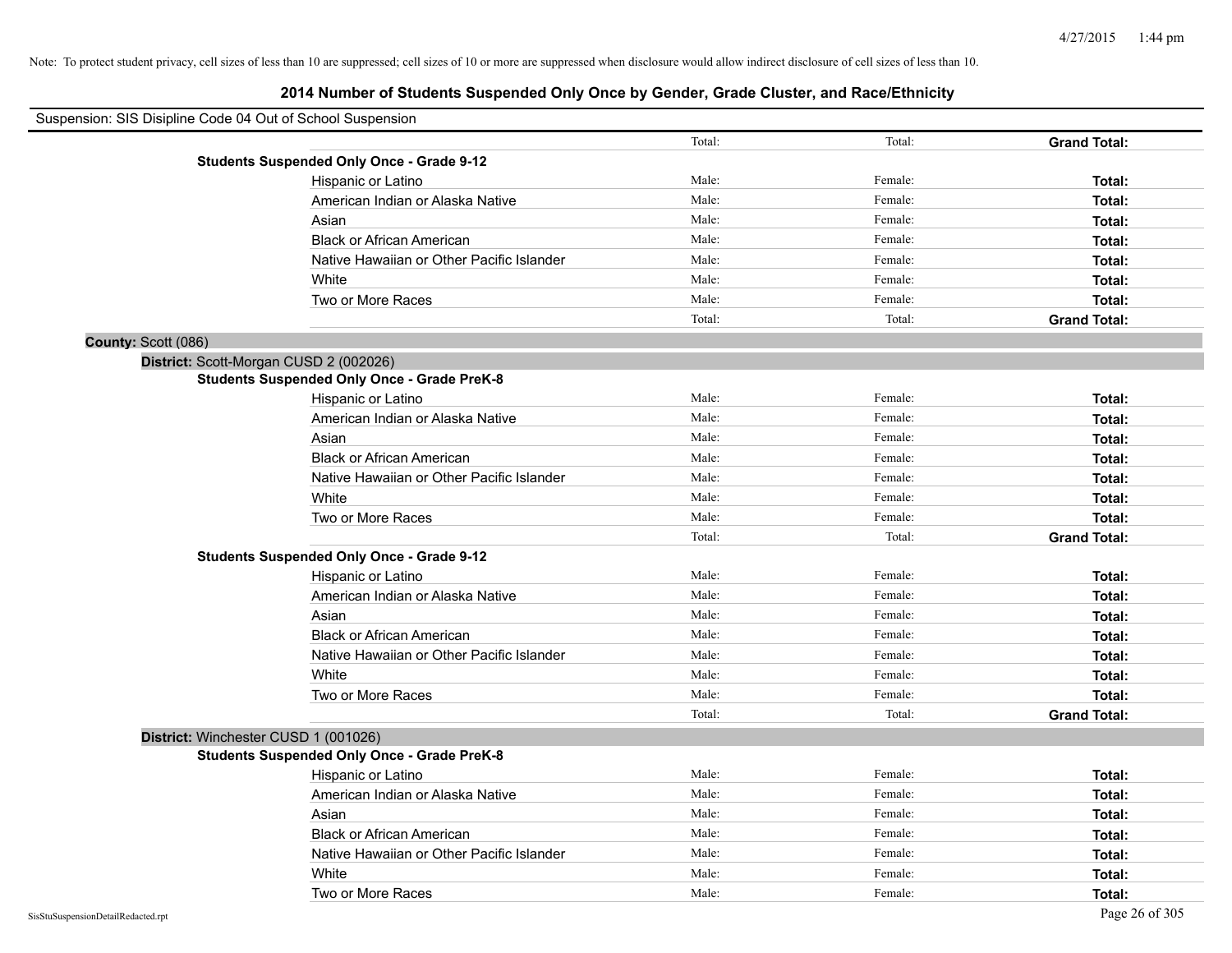| Suspension: SIS Disipline Code 04 Out of School Suspension |                                                    |        |         |                     |
|------------------------------------------------------------|----------------------------------------------------|--------|---------|---------------------|
|                                                            |                                                    | Total: | Total:  | <b>Grand Total:</b> |
|                                                            | <b>Students Suspended Only Once - Grade 9-12</b>   |        |         |                     |
|                                                            | Hispanic or Latino                                 | Male:  | Female: | Total:              |
|                                                            | American Indian or Alaska Native                   | Male:  | Female: | Total:              |
|                                                            | Asian                                              | Male:  | Female: | Total:              |
|                                                            | <b>Black or African American</b>                   | Male:  | Female: | Total:              |
|                                                            | Native Hawaiian or Other Pacific Islander          | Male:  | Female: | Total:              |
|                                                            | White                                              | Male:  | Female: | Total:              |
|                                                            | Two or More Races                                  | Male:  | Female: | Total:              |
|                                                            |                                                    | Total: | Total:  | <b>Grand Total:</b> |
| County: Scott (086)                                        |                                                    |        |         |                     |
|                                                            | District: Scott-Morgan CUSD 2 (002026)             |        |         |                     |
|                                                            | <b>Students Suspended Only Once - Grade PreK-8</b> |        |         |                     |
|                                                            | Hispanic or Latino                                 | Male:  | Female: | Total:              |
|                                                            | American Indian or Alaska Native                   | Male:  | Female: | Total:              |
|                                                            | Asian                                              | Male:  | Female: | Total:              |
|                                                            | <b>Black or African American</b>                   | Male:  | Female: | Total:              |
|                                                            | Native Hawaiian or Other Pacific Islander          | Male:  | Female: | Total:              |
|                                                            | White                                              | Male:  | Female: | Total:              |
|                                                            | Two or More Races                                  | Male:  | Female: | Total:              |
|                                                            |                                                    | Total: | Total:  | <b>Grand Total:</b> |
|                                                            | <b>Students Suspended Only Once - Grade 9-12</b>   |        |         |                     |
|                                                            | Hispanic or Latino                                 | Male:  | Female: | Total:              |
|                                                            | American Indian or Alaska Native                   | Male:  | Female: | Total:              |
|                                                            | Asian                                              | Male:  | Female: | Total:              |
|                                                            | <b>Black or African American</b>                   | Male:  | Female: | Total:              |
|                                                            | Native Hawaiian or Other Pacific Islander          | Male:  | Female: | Total:              |
|                                                            | White                                              | Male:  | Female: | Total:              |
|                                                            | Two or More Races                                  | Male:  | Female: | Total:              |
|                                                            |                                                    | Total: | Total:  | <b>Grand Total:</b> |
|                                                            | District: Winchester CUSD 1 (001026)               |        |         |                     |
|                                                            | <b>Students Suspended Only Once - Grade PreK-8</b> |        |         |                     |
|                                                            | Hispanic or Latino                                 | Male:  | Female: | Total:              |
|                                                            | American Indian or Alaska Native                   | Male:  | Female: | Total:              |
|                                                            | Asian                                              | Male:  | Female: | Total:              |
|                                                            | <b>Black or African American</b>                   | Male:  | Female: | Total:              |
|                                                            | Native Hawaiian or Other Pacific Islander          | Male:  | Female: | Total:              |
|                                                            | White                                              | Male:  | Female: | Total:              |
|                                                            | Two or More Races                                  | Male:  | Female: | Total:              |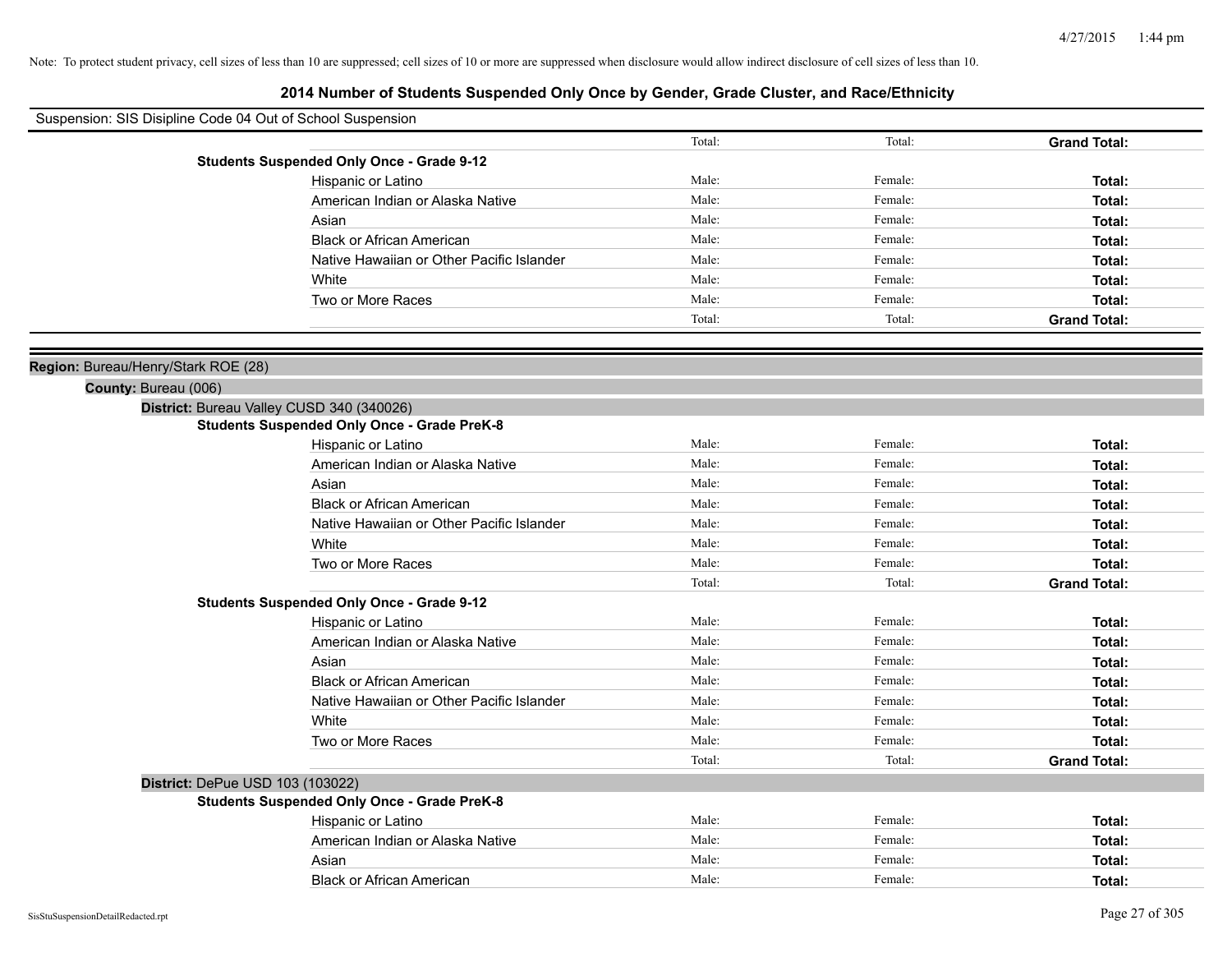| Suspension: SIS Disipline Code 04 Out of School Suspension |                                                    |        |         |                     |
|------------------------------------------------------------|----------------------------------------------------|--------|---------|---------------------|
|                                                            |                                                    | Total: | Total:  | <b>Grand Total:</b> |
|                                                            | <b>Students Suspended Only Once - Grade 9-12</b>   |        |         |                     |
|                                                            | Hispanic or Latino                                 | Male:  | Female: | Total:              |
|                                                            | American Indian or Alaska Native                   | Male:  | Female: | Total:              |
|                                                            | Asian                                              | Male:  | Female: | Total:              |
|                                                            | <b>Black or African American</b>                   | Male:  | Female: | Total:              |
|                                                            | Native Hawaiian or Other Pacific Islander          | Male:  | Female: | Total:              |
|                                                            | White                                              | Male:  | Female: | Total:              |
|                                                            | Two or More Races                                  | Male:  | Female: | Total:              |
|                                                            |                                                    | Total: | Total:  | <b>Grand Total:</b> |
| Region: Bureau/Henry/Stark ROE (28)                        |                                                    |        |         |                     |
| County: Bureau (006)                                       |                                                    |        |         |                     |
|                                                            | District: Bureau Valley CUSD 340 (340026)          |        |         |                     |
|                                                            | <b>Students Suspended Only Once - Grade PreK-8</b> |        |         |                     |
|                                                            | Hispanic or Latino                                 | Male:  | Female: | Total:              |
|                                                            | American Indian or Alaska Native                   | Male:  | Female: | Total:              |
|                                                            | Asian                                              | Male:  | Female: | Total:              |
|                                                            | <b>Black or African American</b>                   | Male:  | Female: | Total:              |
|                                                            | Native Hawaiian or Other Pacific Islander          | Male:  | Female: | Total:              |
|                                                            | White                                              | Male:  | Female: | Total:              |
|                                                            | Two or More Races                                  | Male:  | Female: | Total:              |
|                                                            |                                                    | Total: | Total:  | <b>Grand Total:</b> |
|                                                            | <b>Students Suspended Only Once - Grade 9-12</b>   |        |         |                     |
|                                                            | Hispanic or Latino                                 | Male:  | Female: | Total:              |
|                                                            | American Indian or Alaska Native                   | Male:  | Female: | Total:              |
|                                                            | Asian                                              | Male:  | Female: | Total:              |
|                                                            | <b>Black or African American</b>                   | Male:  | Female: | Total:              |
|                                                            | Native Hawaiian or Other Pacific Islander          | Male:  | Female: | Total:              |
|                                                            | White                                              | Male:  | Female: | Total:              |
|                                                            | Two or More Races                                  | Male:  | Female: | Total:              |
|                                                            |                                                    | Total: | Total:  | <b>Grand Total:</b> |
| District: DePue USD 103 (103022)                           |                                                    |        |         |                     |
|                                                            | <b>Students Suspended Only Once - Grade PreK-8</b> |        |         |                     |
|                                                            | Hispanic or Latino                                 | Male:  | Female: | Total:              |
|                                                            | American Indian or Alaska Native                   | Male:  | Female: | Total:              |
|                                                            | Asian                                              | Male:  | Female: | Total:              |
|                                                            | <b>Black or African American</b>                   | Male:  | Female: | Total:              |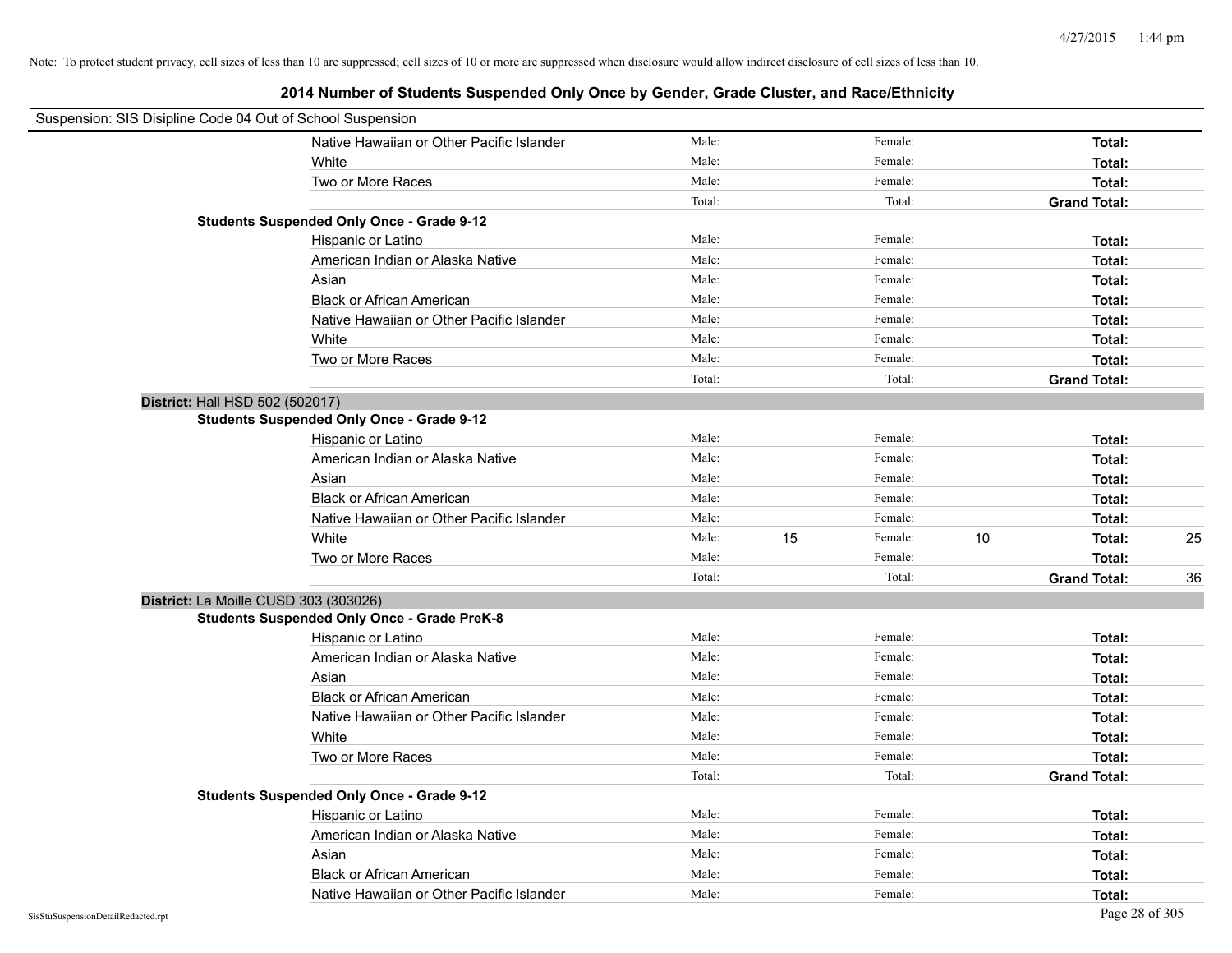| Suspension: SIS Disipline Code 04 Out of School Suspension |                                                    |        |    |         |    |                     |    |
|------------------------------------------------------------|----------------------------------------------------|--------|----|---------|----|---------------------|----|
|                                                            | Native Hawaiian or Other Pacific Islander          | Male:  |    | Female: |    | Total:              |    |
|                                                            | White                                              | Male:  |    | Female: |    | Total:              |    |
|                                                            | Two or More Races                                  | Male:  |    | Female: |    | Total:              |    |
|                                                            |                                                    | Total: |    | Total:  |    | <b>Grand Total:</b> |    |
|                                                            | <b>Students Suspended Only Once - Grade 9-12</b>   |        |    |         |    |                     |    |
|                                                            | Hispanic or Latino                                 | Male:  |    | Female: |    | Total:              |    |
|                                                            | American Indian or Alaska Native                   | Male:  |    | Female: |    | Total:              |    |
|                                                            | Asian                                              | Male:  |    | Female: |    | Total:              |    |
|                                                            | <b>Black or African American</b>                   | Male:  |    | Female: |    | Total:              |    |
|                                                            | Native Hawaiian or Other Pacific Islander          | Male:  |    | Female: |    | Total:              |    |
|                                                            | White                                              | Male:  |    | Female: |    | Total:              |    |
|                                                            | Two or More Races                                  | Male:  |    | Female: |    | Total:              |    |
|                                                            |                                                    | Total: |    | Total:  |    | <b>Grand Total:</b> |    |
| District: Hall HSD 502 (502017)                            |                                                    |        |    |         |    |                     |    |
|                                                            | <b>Students Suspended Only Once - Grade 9-12</b>   |        |    |         |    |                     |    |
|                                                            | Hispanic or Latino                                 | Male:  |    | Female: |    | Total:              |    |
|                                                            | American Indian or Alaska Native                   | Male:  |    | Female: |    | Total:              |    |
|                                                            | Asian                                              | Male:  |    | Female: |    | Total:              |    |
|                                                            | <b>Black or African American</b>                   | Male:  |    | Female: |    | Total:              |    |
|                                                            | Native Hawaiian or Other Pacific Islander          | Male:  |    | Female: |    | Total:              |    |
|                                                            | White                                              | Male:  | 15 | Female: | 10 | Total:              | 25 |
|                                                            | Two or More Races                                  | Male:  |    | Female: |    | Total:              |    |
|                                                            |                                                    | Total: |    | Total:  |    | <b>Grand Total:</b> | 36 |
| District: La Moille CUSD 303 (303026)                      |                                                    |        |    |         |    |                     |    |
|                                                            | <b>Students Suspended Only Once - Grade PreK-8</b> |        |    |         |    |                     |    |
|                                                            | Hispanic or Latino                                 | Male:  |    | Female: |    | Total:              |    |
|                                                            | American Indian or Alaska Native                   | Male:  |    | Female: |    | Total:              |    |
|                                                            | Asian                                              | Male:  |    | Female: |    | Total:              |    |
|                                                            | <b>Black or African American</b>                   | Male:  |    | Female: |    | Total:              |    |
|                                                            | Native Hawaiian or Other Pacific Islander          | Male:  |    | Female: |    | Total:              |    |
|                                                            | White                                              | Male:  |    | Female: |    | Total:              |    |
|                                                            | Two or More Races                                  | Male:  |    | Female: |    | Total:              |    |
|                                                            |                                                    | Total: |    | Total:  |    | <b>Grand Total:</b> |    |
|                                                            | <b>Students Suspended Only Once - Grade 9-12</b>   |        |    |         |    |                     |    |
|                                                            | Hispanic or Latino                                 | Male:  |    | Female: |    | Total:              |    |
|                                                            | American Indian or Alaska Native                   | Male:  |    | Female: |    | Total:              |    |
|                                                            | Asian                                              | Male:  |    | Female: |    | Total:              |    |
|                                                            | <b>Black or African American</b>                   | Male:  |    | Female: |    | Total:              |    |
|                                                            | Native Hawaiian or Other Pacific Islander          | Male:  |    | Female: |    | Total:              |    |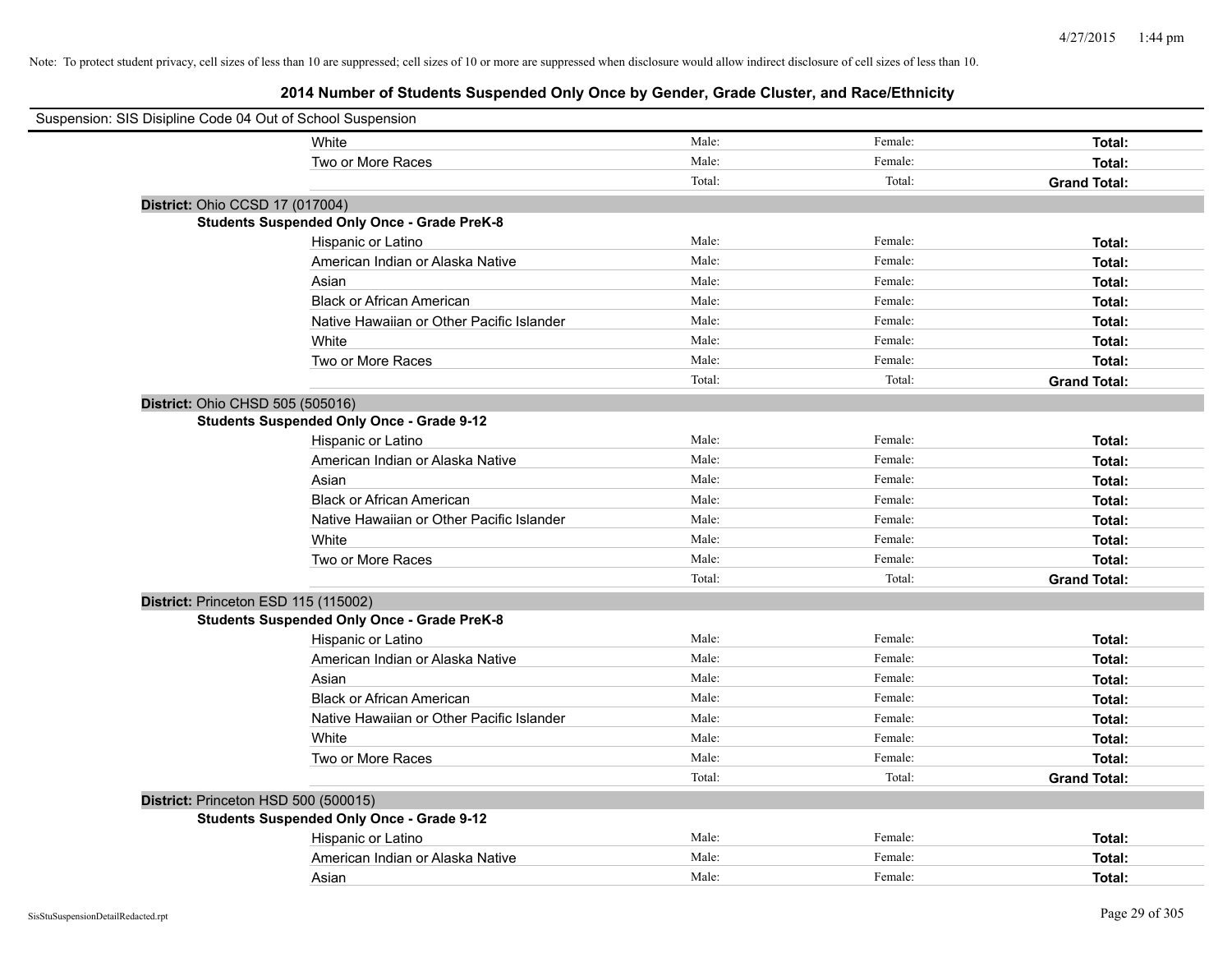| Suspension: SIS Disipline Code 04 Out of School Suspension |                                                    |        |         |                     |
|------------------------------------------------------------|----------------------------------------------------|--------|---------|---------------------|
|                                                            | White                                              | Male:  | Female: | Total:              |
|                                                            | Two or More Races                                  | Male:  | Female: | Total:              |
|                                                            |                                                    | Total: | Total:  | <b>Grand Total:</b> |
| District: Ohio CCSD 17 (017004)                            |                                                    |        |         |                     |
|                                                            | <b>Students Suspended Only Once - Grade PreK-8</b> |        |         |                     |
|                                                            | Hispanic or Latino                                 | Male:  | Female: | Total:              |
|                                                            | American Indian or Alaska Native                   | Male:  | Female: | Total:              |
|                                                            | Asian                                              | Male:  | Female: | Total:              |
|                                                            | <b>Black or African American</b>                   | Male:  | Female: | Total:              |
|                                                            | Native Hawaiian or Other Pacific Islander          | Male:  | Female: | Total:              |
|                                                            | White                                              | Male:  | Female: | Total:              |
|                                                            | Two or More Races                                  | Male:  | Female: | Total:              |
|                                                            |                                                    | Total: | Total:  | <b>Grand Total:</b> |
| District: Ohio CHSD 505 (505016)                           |                                                    |        |         |                     |
|                                                            | <b>Students Suspended Only Once - Grade 9-12</b>   |        |         |                     |
|                                                            | Hispanic or Latino                                 | Male:  | Female: | Total:              |
|                                                            | American Indian or Alaska Native                   | Male:  | Female: | Total:              |
|                                                            | Asian                                              | Male:  | Female: | Total:              |
|                                                            | <b>Black or African American</b>                   | Male:  | Female: | Total:              |
|                                                            | Native Hawaiian or Other Pacific Islander          | Male:  | Female: | Total:              |
|                                                            | White                                              | Male:  | Female: | Total:              |
|                                                            | Two or More Races                                  | Male:  | Female: | Total:              |
|                                                            |                                                    | Total: | Total:  | <b>Grand Total:</b> |
| District: Princeton ESD 115 (115002)                       |                                                    |        |         |                     |
|                                                            | <b>Students Suspended Only Once - Grade PreK-8</b> |        |         |                     |
|                                                            | Hispanic or Latino                                 | Male:  | Female: | Total:              |
|                                                            | American Indian or Alaska Native                   | Male:  | Female: | Total:              |
|                                                            | Asian                                              | Male:  | Female: | Total:              |
|                                                            | <b>Black or African American</b>                   | Male:  | Female: | Total:              |
|                                                            | Native Hawaiian or Other Pacific Islander          | Male:  | Female: | Total:              |
|                                                            | White                                              | Male:  | Female: | Total:              |
|                                                            | Two or More Races                                  | Male:  | Female: | Total:              |
|                                                            |                                                    | Total: | Total:  | <b>Grand Total:</b> |
| District: Princeton HSD 500 (500015)                       |                                                    |        |         |                     |
|                                                            | <b>Students Suspended Only Once - Grade 9-12</b>   |        |         |                     |
|                                                            | Hispanic or Latino                                 | Male:  | Female: | Total:              |
|                                                            | American Indian or Alaska Native                   | Male:  | Female: | Total:              |
|                                                            | Asian                                              | Male:  | Female: | Total:              |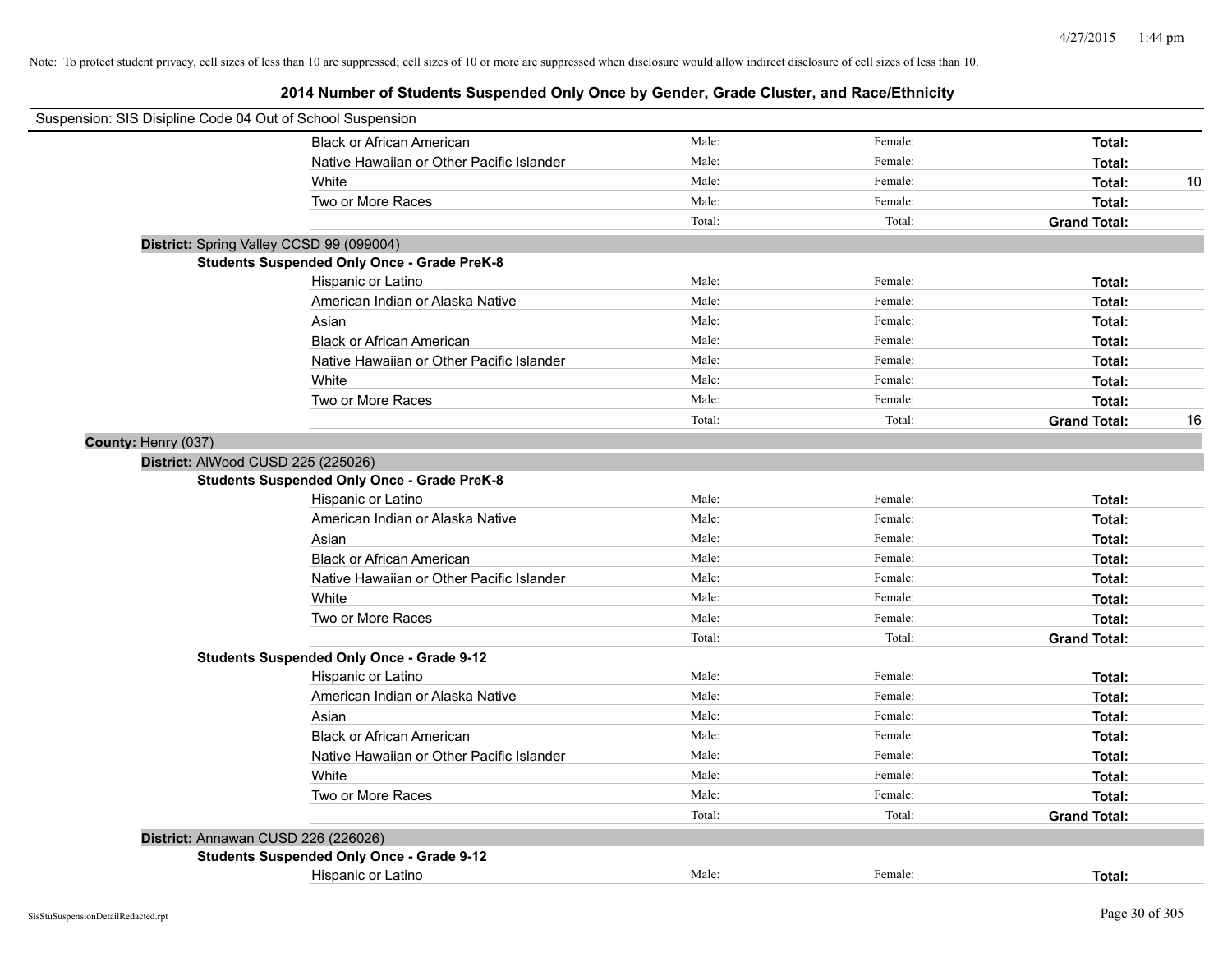| Suspension: SIS Disipline Code 04 Out of School Suspension |                                                    |        |         |                     |    |
|------------------------------------------------------------|----------------------------------------------------|--------|---------|---------------------|----|
|                                                            | <b>Black or African American</b>                   | Male:  | Female: | Total:              |    |
|                                                            | Native Hawaiian or Other Pacific Islander          | Male:  | Female: | Total:              |    |
|                                                            | White                                              | Male:  | Female: | Total:              | 10 |
|                                                            | Two or More Races                                  | Male:  | Female: | Total:              |    |
|                                                            |                                                    | Total: | Total:  | <b>Grand Total:</b> |    |
|                                                            | District: Spring Valley CCSD 99 (099004)           |        |         |                     |    |
|                                                            | <b>Students Suspended Only Once - Grade PreK-8</b> |        |         |                     |    |
|                                                            | Hispanic or Latino                                 | Male:  | Female: | Total:              |    |
|                                                            | American Indian or Alaska Native                   | Male:  | Female: | Total:              |    |
|                                                            | Asian                                              | Male:  | Female: | Total:              |    |
|                                                            | <b>Black or African American</b>                   | Male:  | Female: | Total:              |    |
|                                                            | Native Hawaiian or Other Pacific Islander          | Male:  | Female: | Total:              |    |
|                                                            | White                                              | Male:  | Female: | Total:              |    |
|                                                            | Two or More Races                                  | Male:  | Female: | Total:              |    |
|                                                            |                                                    | Total: | Total:  | <b>Grand Total:</b> | 16 |
| County: Henry (037)                                        |                                                    |        |         |                     |    |
| District: AlWood CUSD 225 (225026)                         |                                                    |        |         |                     |    |
|                                                            | <b>Students Suspended Only Once - Grade PreK-8</b> |        |         |                     |    |
|                                                            | Hispanic or Latino                                 | Male:  | Female: | Total:              |    |
|                                                            | American Indian or Alaska Native                   | Male:  | Female: | Total:              |    |
|                                                            | Asian                                              | Male:  | Female: | Total:              |    |
|                                                            | <b>Black or African American</b>                   | Male:  | Female: | Total:              |    |
|                                                            | Native Hawaiian or Other Pacific Islander          | Male:  | Female: | Total:              |    |
|                                                            | White                                              | Male:  | Female: | Total:              |    |
|                                                            | Two or More Races                                  | Male:  | Female: | Total:              |    |
|                                                            |                                                    | Total: | Total:  | <b>Grand Total:</b> |    |
|                                                            | <b>Students Suspended Only Once - Grade 9-12</b>   |        |         |                     |    |
|                                                            | Hispanic or Latino                                 | Male:  | Female: | Total:              |    |
|                                                            | American Indian or Alaska Native                   | Male:  | Female: | Total:              |    |
|                                                            | Asian                                              | Male:  | Female: | Total:              |    |
|                                                            | <b>Black or African American</b>                   | Male:  | Female: | Total:              |    |
|                                                            | Native Hawaiian or Other Pacific Islander          | Male:  | Female: | Total:              |    |
|                                                            | White                                              | Male:  | Female: | Total:              |    |
|                                                            | Two or More Races                                  | Male:  | Female: | Total:              |    |
|                                                            |                                                    | Total: | Total:  | <b>Grand Total:</b> |    |
| District: Annawan CUSD 226 (226026)                        |                                                    |        |         |                     |    |
|                                                            | <b>Students Suspended Only Once - Grade 9-12</b>   |        |         |                     |    |
|                                                            | Hispanic or Latino                                 | Male:  | Female: | Total:              |    |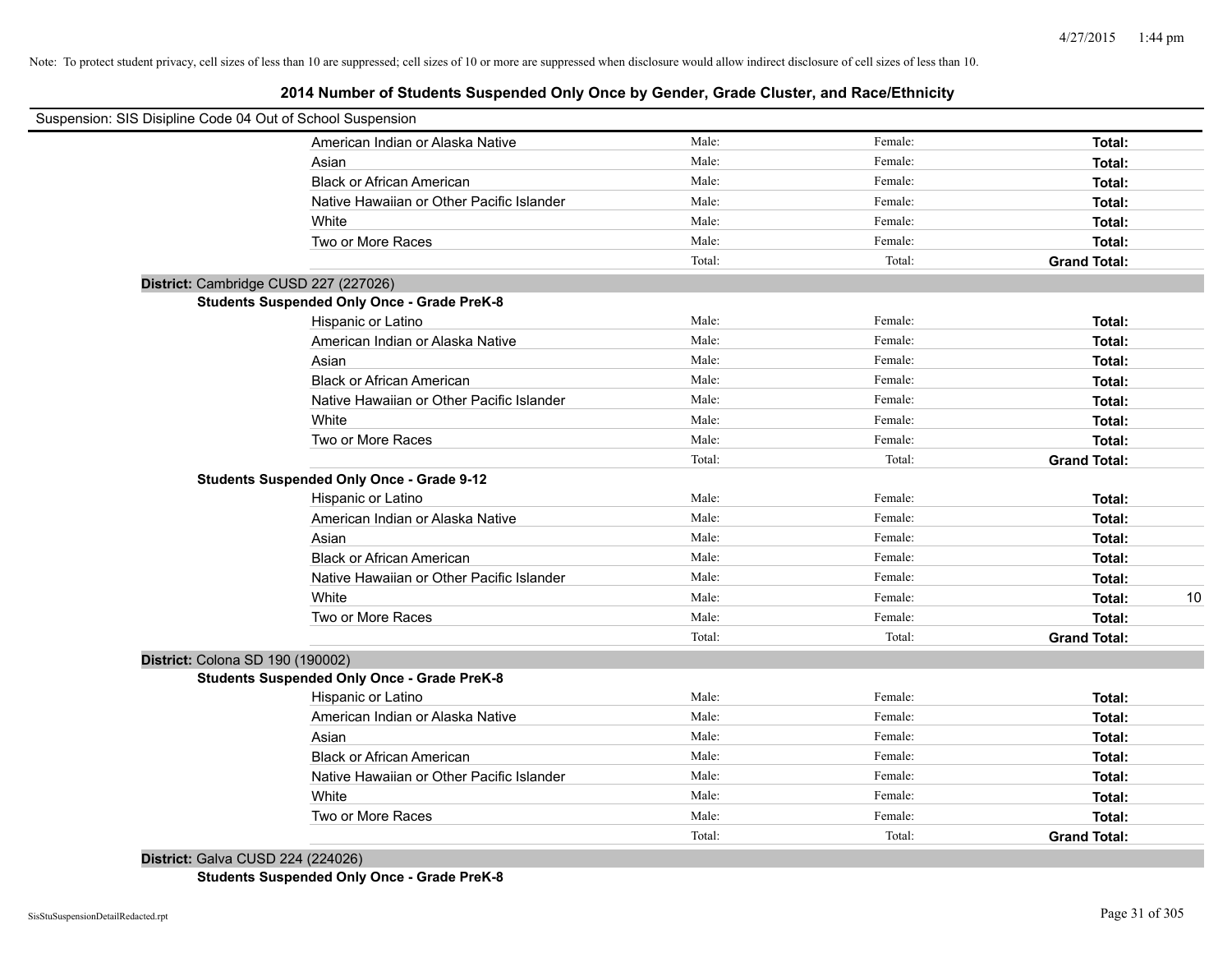# **2014 Number of Students Suspended Only Once by Gender, Grade Cluster, and Race/Ethnicity**

| Suspension: SIS Disipline Code 04 Out of School Suspension |                                           |        |         |                     |    |
|------------------------------------------------------------|-------------------------------------------|--------|---------|---------------------|----|
|                                                            | American Indian or Alaska Native          | Male:  | Female: | Total:              |    |
| Asian                                                      |                                           | Male:  | Female: | Total:              |    |
|                                                            | <b>Black or African American</b>          | Male:  | Female: | Total:              |    |
|                                                            | Native Hawaiian or Other Pacific Islander | Male:  | Female: | Total:              |    |
| White                                                      |                                           | Male:  | Female: | Total:              |    |
|                                                            | Two or More Races                         | Male:  | Female: | Total:              |    |
|                                                            |                                           | Total: | Total:  | <b>Grand Total:</b> |    |
| District: Cambridge CUSD 227 (227026)                      |                                           |        |         |                     |    |
| <b>Students Suspended Only Once - Grade PreK-8</b>         |                                           |        |         |                     |    |
| Hispanic or Latino                                         |                                           | Male:  | Female: | Total:              |    |
|                                                            | American Indian or Alaska Native          | Male:  | Female: | Total:              |    |
| Asian                                                      |                                           | Male:  | Female: | Total:              |    |
|                                                            | <b>Black or African American</b>          | Male:  | Female: | Total:              |    |
|                                                            | Native Hawaiian or Other Pacific Islander | Male:  | Female: | Total:              |    |
| White                                                      |                                           | Male:  | Female: | Total:              |    |
|                                                            | Two or More Races                         | Male:  | Female: | Total:              |    |
|                                                            |                                           | Total: | Total:  | <b>Grand Total:</b> |    |
| <b>Students Suspended Only Once - Grade 9-12</b>           |                                           |        |         |                     |    |
| Hispanic or Latino                                         |                                           | Male:  | Female: | Total:              |    |
|                                                            | American Indian or Alaska Native          | Male:  | Female: | Total:              |    |
| Asian                                                      |                                           | Male:  | Female: | Total:              |    |
|                                                            | <b>Black or African American</b>          | Male:  | Female: | Total:              |    |
|                                                            | Native Hawaiian or Other Pacific Islander | Male:  | Female: | Total:              |    |
| White                                                      |                                           | Male:  | Female: | Total:              | 10 |
|                                                            | Two or More Races                         | Male:  | Female: | Total:              |    |
|                                                            |                                           | Total: | Total:  | <b>Grand Total:</b> |    |
| District: Colona SD 190 (190002)                           |                                           |        |         |                     |    |
| <b>Students Suspended Only Once - Grade PreK-8</b>         |                                           |        |         |                     |    |
| Hispanic or Latino                                         |                                           | Male:  | Female: | Total:              |    |
|                                                            | American Indian or Alaska Native          | Male:  | Female: | Total:              |    |
| Asian                                                      |                                           | Male:  | Female: | Total:              |    |
|                                                            | <b>Black or African American</b>          | Male:  | Female: | Total:              |    |
|                                                            | Native Hawaiian or Other Pacific Islander | Male:  | Female: | Total:              |    |
| White                                                      |                                           | Male:  | Female: | Total:              |    |
|                                                            | Two or More Races                         | Male:  | Female: | Total:              |    |
|                                                            |                                           | Total: | Total:  | <b>Grand Total:</b> |    |

**District:** Galva CUSD 224 (224026) **Students Suspended Only Once - Grade PreK-8**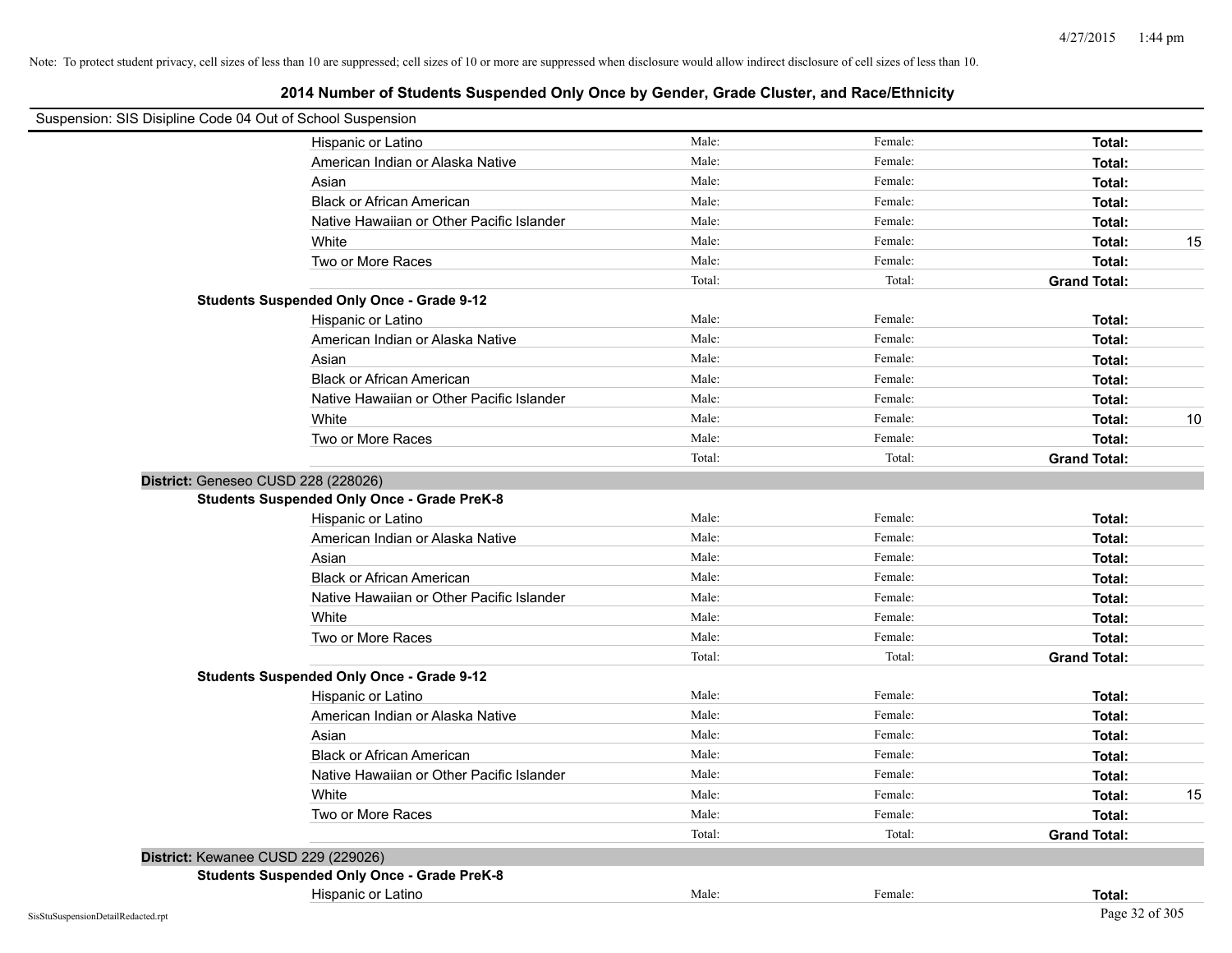| Suspension: SIS Disipline Code 04 Out of School Suspension |                                                    |        |         |                     |    |
|------------------------------------------------------------|----------------------------------------------------|--------|---------|---------------------|----|
|                                                            | Hispanic or Latino                                 | Male:  | Female: | Total:              |    |
|                                                            | American Indian or Alaska Native                   | Male:  | Female: | Total:              |    |
|                                                            | Asian                                              | Male:  | Female: | Total:              |    |
|                                                            | <b>Black or African American</b>                   | Male:  | Female: | Total:              |    |
|                                                            | Native Hawaiian or Other Pacific Islander          | Male:  | Female: | Total:              |    |
|                                                            | White                                              | Male:  | Female: | Total:              | 15 |
|                                                            | Two or More Races                                  | Male:  | Female: | Total:              |    |
|                                                            |                                                    | Total: | Total:  | <b>Grand Total:</b> |    |
|                                                            | <b>Students Suspended Only Once - Grade 9-12</b>   |        |         |                     |    |
|                                                            | Hispanic or Latino                                 | Male:  | Female: | Total:              |    |
|                                                            | American Indian or Alaska Native                   | Male:  | Female: | Total:              |    |
|                                                            | Asian                                              | Male:  | Female: | Total:              |    |
|                                                            | <b>Black or African American</b>                   | Male:  | Female: | Total:              |    |
|                                                            | Native Hawaiian or Other Pacific Islander          | Male:  | Female: | Total:              |    |
|                                                            | White                                              | Male:  | Female: | Total:              | 10 |
|                                                            | Two or More Races                                  | Male:  | Female: | Total:              |    |
|                                                            |                                                    | Total: | Total:  | <b>Grand Total:</b> |    |
| District: Geneseo CUSD 228 (228026)                        |                                                    |        |         |                     |    |
|                                                            | <b>Students Suspended Only Once - Grade PreK-8</b> |        |         |                     |    |
|                                                            | Hispanic or Latino                                 | Male:  | Female: | Total:              |    |
|                                                            | American Indian or Alaska Native                   | Male:  | Female: | Total:              |    |
|                                                            | Asian                                              | Male:  | Female: | Total:              |    |
|                                                            | <b>Black or African American</b>                   | Male:  | Female: | Total:              |    |
|                                                            | Native Hawaiian or Other Pacific Islander          | Male:  | Female: | Total:              |    |
|                                                            | White                                              | Male:  | Female: | Total:              |    |
|                                                            | Two or More Races                                  | Male:  | Female: | Total:              |    |
|                                                            |                                                    | Total: | Total:  | <b>Grand Total:</b> |    |
|                                                            | <b>Students Suspended Only Once - Grade 9-12</b>   |        |         |                     |    |
|                                                            | Hispanic or Latino                                 | Male:  | Female: | Total:              |    |
|                                                            | American Indian or Alaska Native                   | Male:  | Female: | Total:              |    |
|                                                            | Asian                                              | Male:  | Female: | Total:              |    |
|                                                            | <b>Black or African American</b>                   | Male:  | Female: | Total:              |    |
|                                                            | Native Hawaiian or Other Pacific Islander          | Male:  | Female: | Total:              |    |
|                                                            | White                                              | Male:  | Female: | Total:              | 15 |
|                                                            | Two or More Races                                  | Male:  | Female: | Total:              |    |
|                                                            |                                                    | Total: | Total:  | <b>Grand Total:</b> |    |
| District: Kewanee CUSD 229 (229026)                        |                                                    |        |         |                     |    |
|                                                            | <b>Students Suspended Only Once - Grade PreK-8</b> |        |         |                     |    |
|                                                            | Hispanic or Latino                                 | Male:  | Female: | Total:              |    |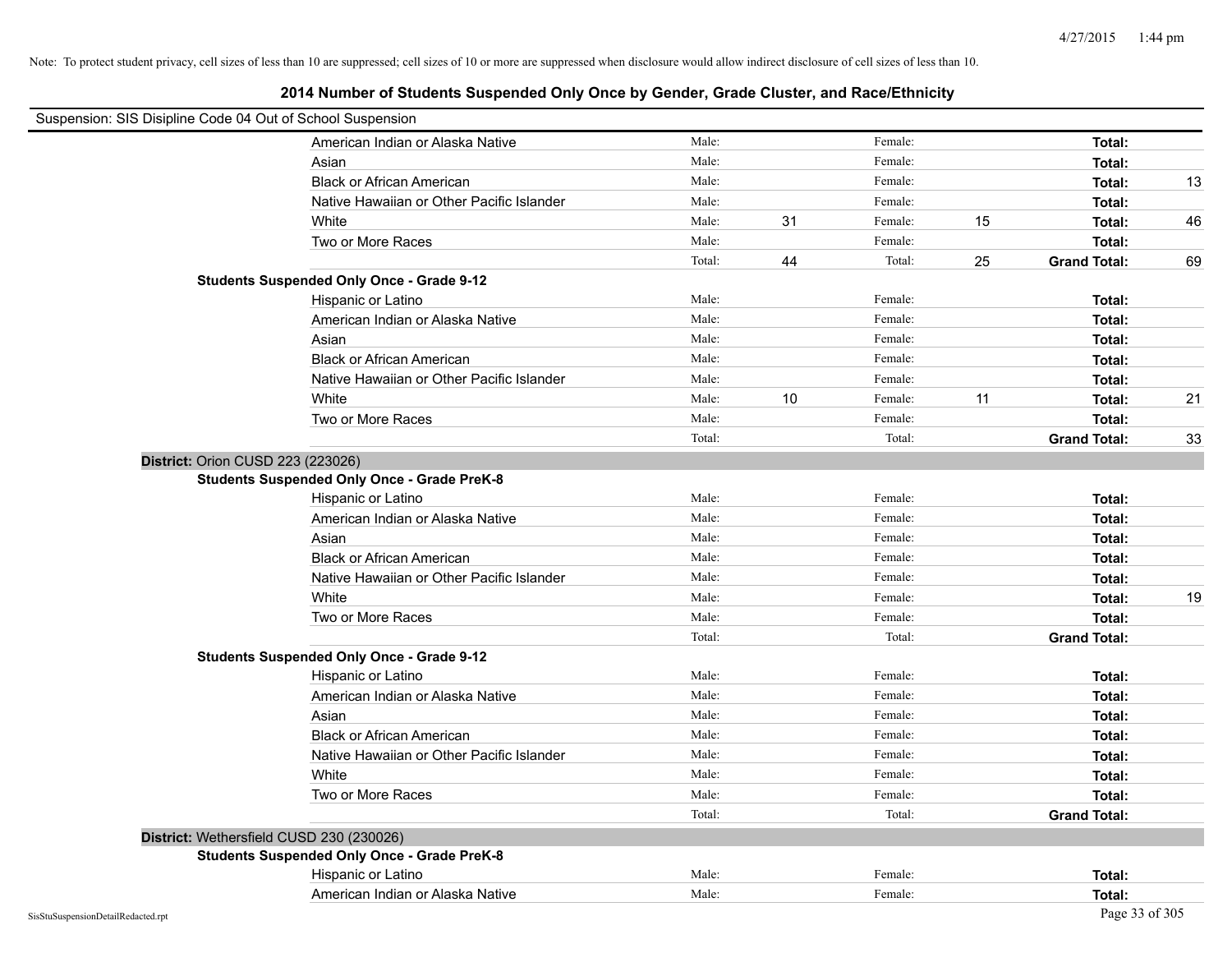| Suspension: SIS Disipline Code 04 Out of School Suspension |                                                    |        |    |         |    |                     |    |
|------------------------------------------------------------|----------------------------------------------------|--------|----|---------|----|---------------------|----|
|                                                            | American Indian or Alaska Native                   | Male:  |    | Female: |    | Total:              |    |
|                                                            | Asian                                              | Male:  |    | Female: |    | Total:              |    |
|                                                            | <b>Black or African American</b>                   | Male:  |    | Female: |    | Total:              | 13 |
|                                                            | Native Hawaiian or Other Pacific Islander          | Male:  |    | Female: |    | Total:              |    |
|                                                            | White                                              | Male:  | 31 | Female: | 15 | Total:              | 46 |
|                                                            | Two or More Races                                  | Male:  |    | Female: |    | Total:              |    |
|                                                            |                                                    | Total: | 44 | Total:  | 25 | <b>Grand Total:</b> | 69 |
|                                                            | <b>Students Suspended Only Once - Grade 9-12</b>   |        |    |         |    |                     |    |
|                                                            | Hispanic or Latino                                 | Male:  |    | Female: |    | Total:              |    |
|                                                            | American Indian or Alaska Native                   | Male:  |    | Female: |    | Total:              |    |
|                                                            | Asian                                              | Male:  |    | Female: |    | Total:              |    |
|                                                            | <b>Black or African American</b>                   | Male:  |    | Female: |    | Total:              |    |
|                                                            | Native Hawaiian or Other Pacific Islander          | Male:  |    | Female: |    | Total:              |    |
|                                                            | White                                              | Male:  | 10 | Female: | 11 | Total:              | 21 |
|                                                            | Two or More Races                                  | Male:  |    | Female: |    | Total:              |    |
|                                                            |                                                    | Total: |    | Total:  |    | <b>Grand Total:</b> | 33 |
|                                                            | District: Orion CUSD 223 (223026)                  |        |    |         |    |                     |    |
|                                                            | <b>Students Suspended Only Once - Grade PreK-8</b> |        |    |         |    |                     |    |
|                                                            | Hispanic or Latino                                 | Male:  |    | Female: |    | Total:              |    |
|                                                            | American Indian or Alaska Native                   | Male:  |    | Female: |    | Total:              |    |
|                                                            | Asian                                              | Male:  |    | Female: |    | Total:              |    |
|                                                            | <b>Black or African American</b>                   | Male:  |    | Female: |    | Total:              |    |
|                                                            | Native Hawaiian or Other Pacific Islander          | Male:  |    | Female: |    | Total:              |    |
|                                                            | White                                              | Male:  |    | Female: |    | Total:              | 19 |
|                                                            | Two or More Races                                  | Male:  |    | Female: |    | Total:              |    |
|                                                            |                                                    | Total: |    | Total:  |    | <b>Grand Total:</b> |    |
|                                                            | <b>Students Suspended Only Once - Grade 9-12</b>   |        |    |         |    |                     |    |
|                                                            | Hispanic or Latino                                 | Male:  |    | Female: |    | Total:              |    |
|                                                            | American Indian or Alaska Native                   | Male:  |    | Female: |    | Total:              |    |
|                                                            | Asian                                              | Male:  |    | Female: |    | Total:              |    |
|                                                            | <b>Black or African American</b>                   | Male:  |    | Female: |    | Total:              |    |
|                                                            | Native Hawaiian or Other Pacific Islander          | Male:  |    | Female: |    | Total:              |    |
|                                                            | White                                              | Male:  |    | Female: |    | Total:              |    |
|                                                            | Two or More Races                                  | Male:  |    | Female: |    | Total:              |    |
|                                                            |                                                    | Total: |    | Total:  |    | <b>Grand Total:</b> |    |
|                                                            | District: Wethersfield CUSD 230 (230026)           |        |    |         |    |                     |    |
|                                                            | <b>Students Suspended Only Once - Grade PreK-8</b> |        |    |         |    |                     |    |
|                                                            | Hispanic or Latino                                 | Male:  |    | Female: |    | Total:              |    |
|                                                            | American Indian or Alaska Native                   | Male:  |    | Female: |    | Total:              |    |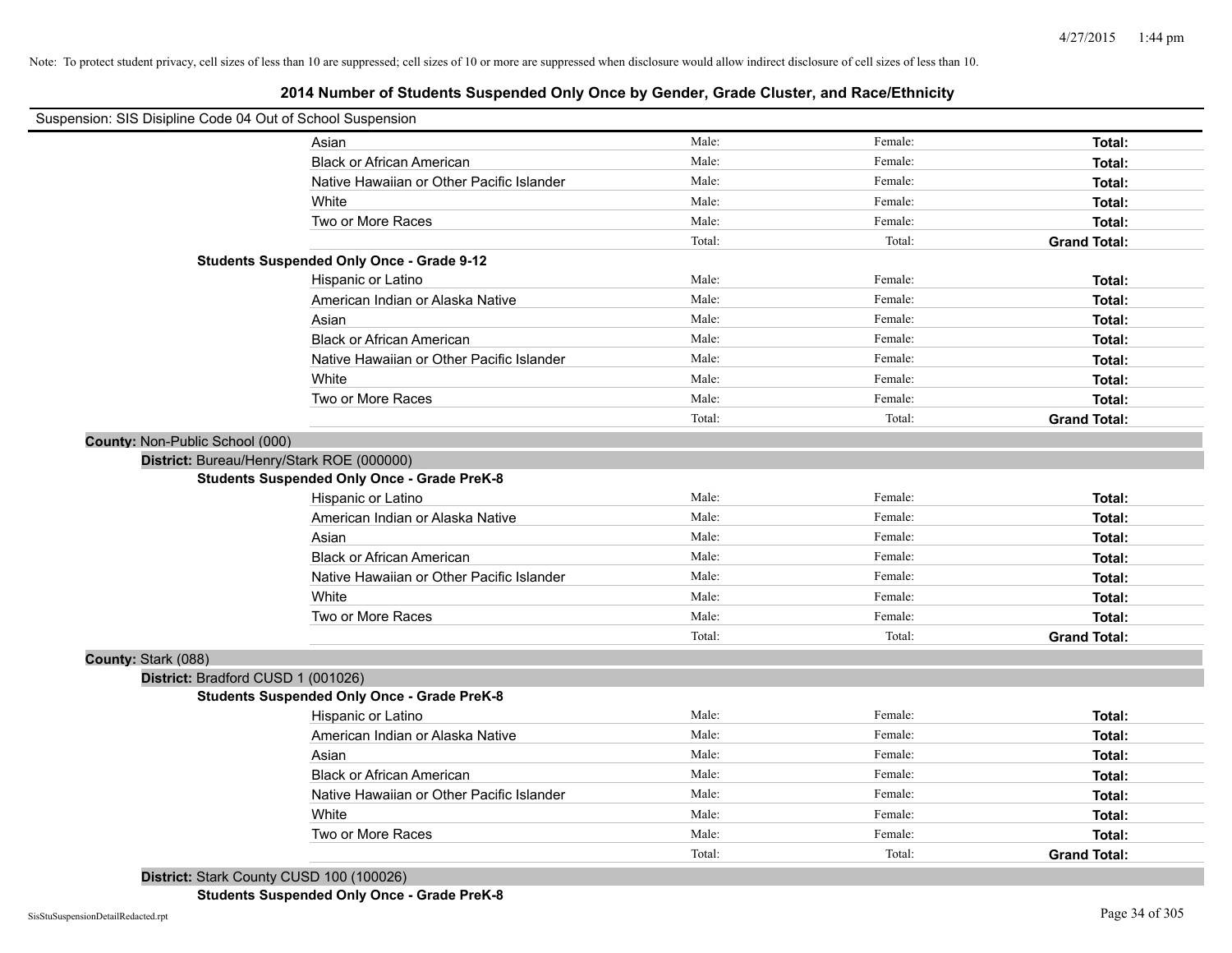# **2014 Number of Students Suspended Only Once by Gender, Grade Cluster, and Race/Ethnicity**

| Suspension: SIS Disipline Code 04 Out of School Suspension |                                                    |        |         |                     |
|------------------------------------------------------------|----------------------------------------------------|--------|---------|---------------------|
|                                                            | Asian                                              | Male:  | Female: | Total:              |
|                                                            | <b>Black or African American</b>                   | Male:  | Female: | Total:              |
|                                                            | Native Hawaiian or Other Pacific Islander          | Male:  | Female: | Total:              |
|                                                            | White                                              | Male:  | Female: | Total:              |
|                                                            | Two or More Races                                  | Male:  | Female: | Total:              |
|                                                            |                                                    | Total: | Total:  | <b>Grand Total:</b> |
|                                                            | <b>Students Suspended Only Once - Grade 9-12</b>   |        |         |                     |
|                                                            | Hispanic or Latino                                 | Male:  | Female: | Total:              |
|                                                            | American Indian or Alaska Native                   | Male:  | Female: | Total:              |
|                                                            | Asian                                              | Male:  | Female: | Total:              |
|                                                            | <b>Black or African American</b>                   | Male:  | Female: | Total:              |
|                                                            | Native Hawaiian or Other Pacific Islander          | Male:  | Female: | Total:              |
|                                                            | White                                              | Male:  | Female: | Total:              |
|                                                            | Two or More Races                                  | Male:  | Female: | Total:              |
|                                                            |                                                    | Total: | Total:  | <b>Grand Total:</b> |
| County: Non-Public School (000)                            |                                                    |        |         |                     |
|                                                            | District: Bureau/Henry/Stark ROE (000000)          |        |         |                     |
|                                                            | <b>Students Suspended Only Once - Grade PreK-8</b> |        |         |                     |
|                                                            | Hispanic or Latino                                 | Male:  | Female: | Total:              |
|                                                            | American Indian or Alaska Native                   | Male:  | Female: | Total:              |
|                                                            | Asian                                              | Male:  | Female: | Total:              |
|                                                            | <b>Black or African American</b>                   | Male:  | Female: | Total:              |
|                                                            | Native Hawaiian or Other Pacific Islander          | Male:  | Female: | Total:              |
|                                                            | White                                              | Male:  | Female: | Total:              |
|                                                            | Two or More Races                                  | Male:  | Female: | Total:              |
|                                                            |                                                    | Total: | Total:  | <b>Grand Total:</b> |
| County: Stark (088)                                        |                                                    |        |         |                     |
| District: Bradford CUSD 1 (001026)                         |                                                    |        |         |                     |
|                                                            | <b>Students Suspended Only Once - Grade PreK-8</b> |        |         |                     |
|                                                            | Hispanic or Latino                                 | Male:  | Female: | Total:              |
|                                                            | American Indian or Alaska Native                   | Male:  | Female: | Total:              |
|                                                            | Asian                                              | Male:  | Female: | Total:              |
|                                                            | <b>Black or African American</b>                   | Male:  | Female: | Total:              |
|                                                            | Native Hawaiian or Other Pacific Islander          | Male:  | Female: | Total:              |
|                                                            | White                                              | Male:  | Female: | Total:              |
|                                                            | Two or More Races                                  | Male:  | Female: | Total:              |
|                                                            |                                                    |        |         |                     |

**District:** Stark County CUSD 100 (100026)

**Students Suspended Only Once - Grade PreK-8**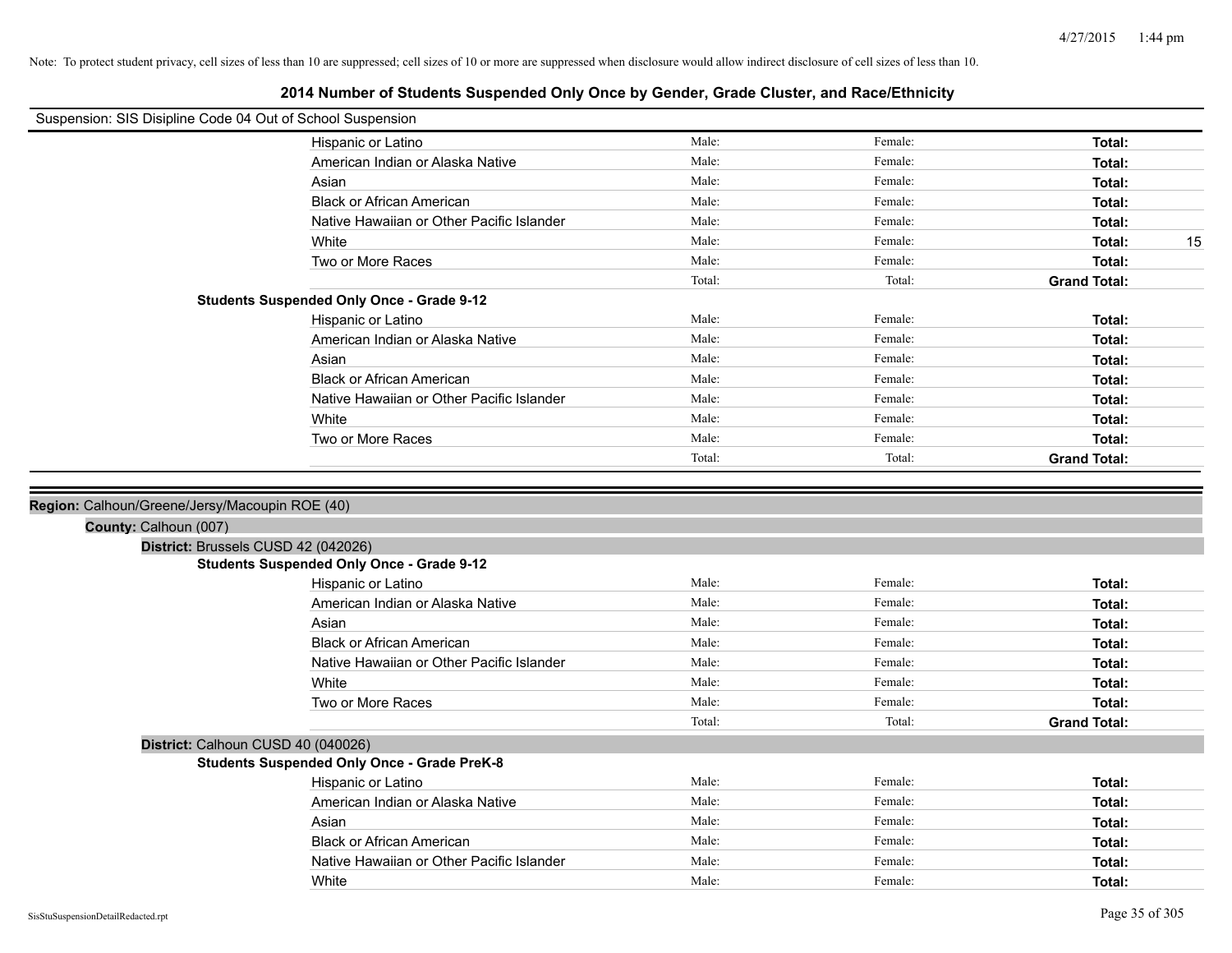| Suspension: SIS Disipline Code 04 Out of School Suspension |                                                    |        |         |                     |
|------------------------------------------------------------|----------------------------------------------------|--------|---------|---------------------|
|                                                            | Hispanic or Latino                                 | Male:  | Female: | Total:              |
|                                                            | American Indian or Alaska Native                   | Male:  | Female: | Total:              |
|                                                            | Asian                                              | Male:  | Female: | Total:              |
|                                                            | <b>Black or African American</b>                   | Male:  | Female: | Total:              |
|                                                            | Native Hawaiian or Other Pacific Islander          | Male:  | Female: | Total:              |
|                                                            | White                                              | Male:  | Female: | Total:<br>15        |
|                                                            | Two or More Races                                  | Male:  | Female: | Total:              |
|                                                            |                                                    | Total: | Total:  | <b>Grand Total:</b> |
|                                                            | <b>Students Suspended Only Once - Grade 9-12</b>   |        |         |                     |
|                                                            | Hispanic or Latino                                 | Male:  | Female: | Total:              |
|                                                            | American Indian or Alaska Native                   | Male:  | Female: | Total:              |
|                                                            | Asian                                              | Male:  | Female: | Total:              |
|                                                            | <b>Black or African American</b>                   | Male:  | Female: | Total:              |
|                                                            | Native Hawaiian or Other Pacific Islander          | Male:  | Female: | Total:              |
|                                                            | White                                              | Male:  | Female: | Total:              |
|                                                            | Two or More Races                                  | Male:  | Female: | Total:              |
|                                                            |                                                    | Total: | Total:  | <b>Grand Total:</b> |
| County: Calhoun (007)                                      | District: Brussels CUSD 42 (042026)                |        |         |                     |
|                                                            | <b>Students Suspended Only Once - Grade 9-12</b>   |        |         |                     |
|                                                            | Hispanic or Latino                                 | Male:  | Female: | Total:              |
|                                                            | American Indian or Alaska Native                   | Male:  | Female: | Total:              |
|                                                            | Asian                                              | Male:  | Female: | Total:              |
|                                                            | <b>Black or African American</b>                   | Male:  | Female: | Total:              |
|                                                            | Native Hawaiian or Other Pacific Islander          | Male:  | Female: | Total:              |
|                                                            | White                                              | Male:  | Female: | Total:              |
|                                                            | Two or More Races                                  | Male:  | Female: | Total:              |
|                                                            |                                                    | Total: | Total:  | <b>Grand Total:</b> |
|                                                            | District: Calhoun CUSD 40 (040026)                 |        |         |                     |
|                                                            | <b>Students Suspended Only Once - Grade PreK-8</b> |        |         |                     |
|                                                            | Hispanic or Latino                                 | Male:  | Female: | Total:              |
|                                                            | American Indian or Alaska Native                   | Male:  | Female: | Total:              |
|                                                            | Asian                                              | Male:  | Female: | Total:              |
|                                                            | <b>Black or African American</b>                   | Male:  | Female: | Total:              |
|                                                            | Native Hawaiian or Other Pacific Islander          | Male:  | Female: | Total:              |
|                                                            | White                                              | Male:  | Female: | Total:              |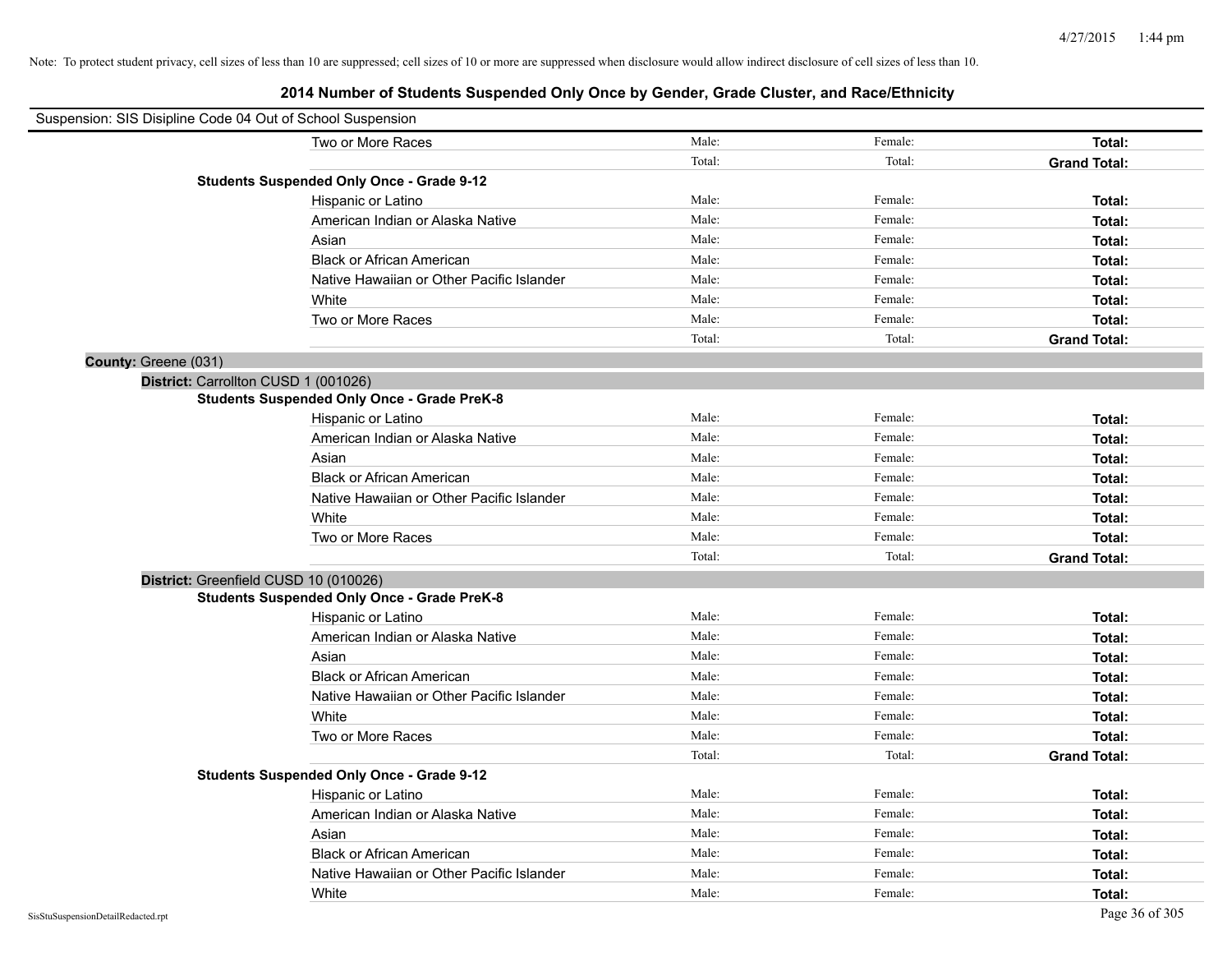|                      | Suspension: SIS Disipline Code 04 Out of School Suspension |        |         |                     |
|----------------------|------------------------------------------------------------|--------|---------|---------------------|
|                      | Two or More Races                                          | Male:  | Female: | Total:              |
|                      |                                                            | Total: | Total:  | <b>Grand Total:</b> |
|                      | <b>Students Suspended Only Once - Grade 9-12</b>           |        |         |                     |
|                      | Hispanic or Latino                                         | Male:  | Female: | Total:              |
|                      | American Indian or Alaska Native                           | Male:  | Female: | Total:              |
|                      | Asian                                                      | Male:  | Female: | Total:              |
|                      | <b>Black or African American</b>                           | Male:  | Female: | Total:              |
|                      | Native Hawaiian or Other Pacific Islander                  | Male:  | Female: | Total:              |
|                      | White                                                      | Male:  | Female: | Total:              |
|                      | Two or More Races                                          | Male:  | Female: | Total:              |
|                      |                                                            | Total: | Total:  | <b>Grand Total:</b> |
| County: Greene (031) |                                                            |        |         |                     |
|                      | District: Carrollton CUSD 1 (001026)                       |        |         |                     |
|                      | <b>Students Suspended Only Once - Grade PreK-8</b>         |        |         |                     |
|                      | Hispanic or Latino                                         | Male:  | Female: | Total:              |
|                      | American Indian or Alaska Native                           | Male:  | Female: | Total:              |
|                      | Asian                                                      | Male:  | Female: | Total:              |
|                      | <b>Black or African American</b>                           | Male:  | Female: | Total:              |
|                      | Native Hawaiian or Other Pacific Islander                  | Male:  | Female: | Total:              |
|                      | White                                                      | Male:  | Female: | Total:              |
|                      | Two or More Races                                          | Male:  | Female: | Total:              |
|                      |                                                            | Total: | Total:  | <b>Grand Total:</b> |
|                      | District: Greenfield CUSD 10 (010026)                      |        |         |                     |
|                      | <b>Students Suspended Only Once - Grade PreK-8</b>         |        |         |                     |
|                      | Hispanic or Latino                                         | Male:  | Female: | Total:              |
|                      | American Indian or Alaska Native                           | Male:  | Female: | Total:              |
|                      | Asian                                                      | Male:  | Female: | Total:              |
|                      | <b>Black or African American</b>                           | Male:  | Female: | Total:              |
|                      | Native Hawaiian or Other Pacific Islander                  | Male:  | Female: | Total:              |
|                      | White                                                      | Male:  | Female: | Total:              |
|                      | Two or More Races                                          | Male:  | Female: | Total:              |
|                      |                                                            | Total: | Total:  | <b>Grand Total:</b> |
|                      | <b>Students Suspended Only Once - Grade 9-12</b>           |        |         |                     |
|                      | Hispanic or Latino                                         | Male:  | Female: | Total:              |
|                      | American Indian or Alaska Native                           | Male:  | Female: | Total:              |
|                      | Asian                                                      | Male:  | Female: | Total:              |
|                      | <b>Black or African American</b>                           | Male:  | Female: | Total:              |
|                      | Native Hawaiian or Other Pacific Islander                  | Male:  | Female: | Total:              |
|                      | White                                                      | Male:  | Female: | Total:              |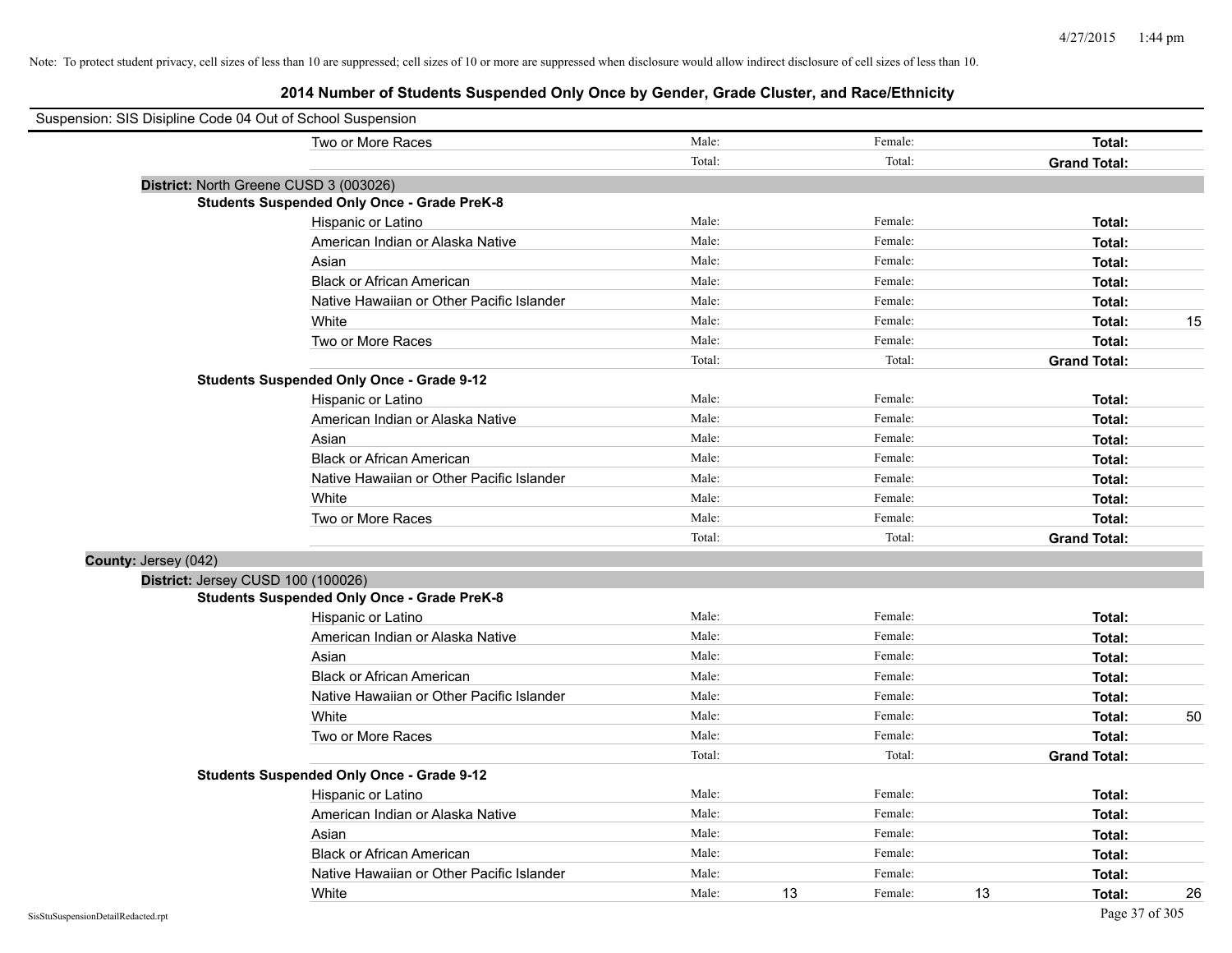| Suspension: SIS Disipline Code 04 Out of School Suspension |                                                    |        |    |         |    |                     |    |
|------------------------------------------------------------|----------------------------------------------------|--------|----|---------|----|---------------------|----|
|                                                            | Two or More Races                                  | Male:  |    | Female: |    | Total:              |    |
|                                                            |                                                    | Total: |    | Total:  |    | <b>Grand Total:</b> |    |
|                                                            | District: North Greene CUSD 3 (003026)             |        |    |         |    |                     |    |
|                                                            | <b>Students Suspended Only Once - Grade PreK-8</b> |        |    |         |    |                     |    |
|                                                            | Hispanic or Latino                                 | Male:  |    | Female: |    | Total:              |    |
|                                                            | American Indian or Alaska Native                   | Male:  |    | Female: |    | Total:              |    |
|                                                            | Asian                                              | Male:  |    | Female: |    | Total:              |    |
|                                                            | <b>Black or African American</b>                   | Male:  |    | Female: |    | Total:              |    |
|                                                            | Native Hawaiian or Other Pacific Islander          | Male:  |    | Female: |    | Total:              |    |
|                                                            | White                                              | Male:  |    | Female: |    | Total:              | 15 |
|                                                            | Two or More Races                                  | Male:  |    | Female: |    | Total:              |    |
|                                                            |                                                    | Total: |    | Total:  |    | <b>Grand Total:</b> |    |
|                                                            | <b>Students Suspended Only Once - Grade 9-12</b>   |        |    |         |    |                     |    |
|                                                            | Hispanic or Latino                                 | Male:  |    | Female: |    | Total:              |    |
|                                                            | American Indian or Alaska Native                   | Male:  |    | Female: |    | Total:              |    |
|                                                            | Asian                                              | Male:  |    | Female: |    | Total:              |    |
|                                                            | <b>Black or African American</b>                   | Male:  |    | Female: |    | Total:              |    |
|                                                            | Native Hawaiian or Other Pacific Islander          | Male:  |    | Female: |    | Total:              |    |
|                                                            | White                                              | Male:  |    | Female: |    | Total:              |    |
|                                                            | Two or More Races                                  | Male:  |    | Female: |    | Total:              |    |
|                                                            |                                                    | Total: |    | Total:  |    | <b>Grand Total:</b> |    |
| County: Jersey (042)                                       |                                                    |        |    |         |    |                     |    |
|                                                            | District: Jersey CUSD 100 (100026)                 |        |    |         |    |                     |    |
|                                                            | <b>Students Suspended Only Once - Grade PreK-8</b> |        |    |         |    |                     |    |
|                                                            | Hispanic or Latino                                 | Male:  |    | Female: |    | Total:              |    |
|                                                            | American Indian or Alaska Native                   | Male:  |    | Female: |    | Total:              |    |
|                                                            | Asian                                              | Male:  |    | Female: |    | Total:              |    |
|                                                            | <b>Black or African American</b>                   | Male:  |    | Female: |    | Total:              |    |
|                                                            | Native Hawaiian or Other Pacific Islander          | Male:  |    | Female: |    | Total:              |    |
|                                                            | White                                              | Male:  |    | Female: |    | Total:              | 50 |
|                                                            | Two or More Races                                  | Male:  |    | Female: |    | Total:              |    |
|                                                            |                                                    | Total: |    | Total:  |    | <b>Grand Total:</b> |    |
|                                                            | <b>Students Suspended Only Once - Grade 9-12</b>   |        |    |         |    |                     |    |
|                                                            | Hispanic or Latino                                 | Male:  |    | Female: |    | Total:              |    |
|                                                            | American Indian or Alaska Native                   | Male:  |    | Female: |    | Total:              |    |
|                                                            | Asian                                              | Male:  |    | Female: |    | Total:              |    |
|                                                            | <b>Black or African American</b>                   | Male:  |    | Female: |    | Total:              |    |
|                                                            | Native Hawaiian or Other Pacific Islander          | Male:  |    | Female: |    | Total:              |    |
|                                                            | White                                              | Male:  | 13 | Female: | 13 | Total:              | 26 |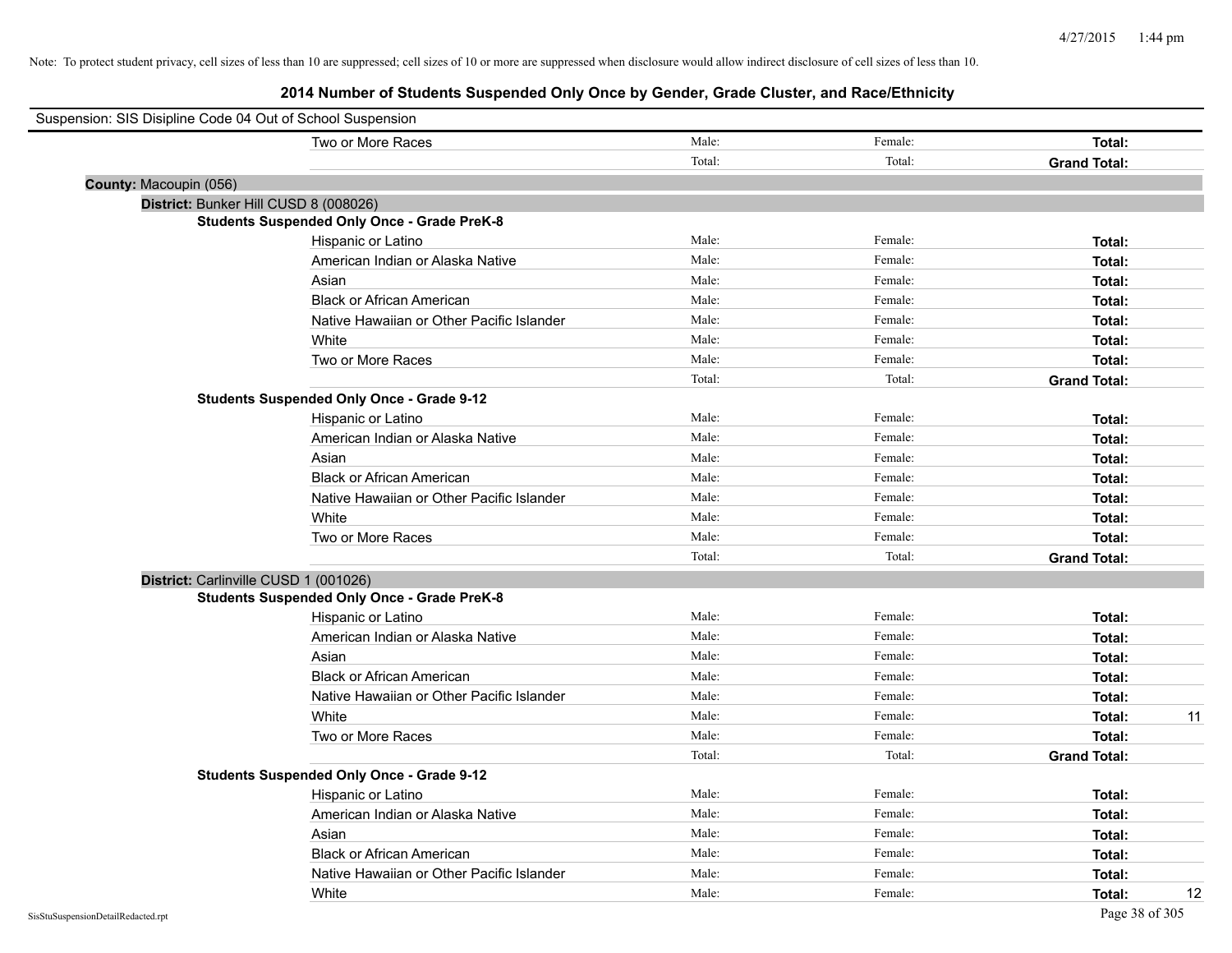| Suspension: SIS Disipline Code 04 Out of School Suspension |        |         |                     |
|------------------------------------------------------------|--------|---------|---------------------|
| Two or More Races                                          | Male:  | Female: | <b>Total:</b>       |
|                                                            | Total: | Total:  | <b>Grand Total:</b> |
| County: Macoupin (056)                                     |        |         |                     |
| District: Bunker Hill CUSD 8 (008026)                      |        |         |                     |
| <b>Students Suspended Only Once - Grade PreK-8</b>         |        |         |                     |
| Hispanic or Latino                                         | Male:  | Female: | Total:              |
| American Indian or Alaska Native                           | Male:  | Female: | Total:              |
| Asian                                                      | Male:  | Female: | Total:              |
| <b>Black or African American</b>                           | Male:  | Female: | Total:              |
| Native Hawaiian or Other Pacific Islander                  | Male:  | Female: | Total:              |
| White                                                      | Male:  | Female: | Total:              |
| Two or More Races                                          | Male:  | Female: | Total:              |
|                                                            | Total: | Total:  | <b>Grand Total:</b> |
| <b>Students Suspended Only Once - Grade 9-12</b>           |        |         |                     |
| Hispanic or Latino                                         | Male:  | Female: | Total:              |
| American Indian or Alaska Native                           | Male:  | Female: | Total:              |
| Asian                                                      | Male:  | Female: | Total:              |
| <b>Black or African American</b>                           | Male:  | Female: | Total:              |
| Native Hawaiian or Other Pacific Islander                  | Male:  | Female: | Total:              |
| White                                                      | Male:  | Female: | Total:              |
| Two or More Races                                          | Male:  | Female: | Total:              |
|                                                            | Total: | Total:  | <b>Grand Total:</b> |
| District: Carlinville CUSD 1 (001026)                      |        |         |                     |
| <b>Students Suspended Only Once - Grade PreK-8</b>         |        |         |                     |
| Hispanic or Latino                                         | Male:  | Female: | Total:              |
| American Indian or Alaska Native                           | Male:  | Female: | Total:              |
| Asian                                                      | Male:  | Female: | Total:              |
| <b>Black or African American</b>                           | Male:  | Female: | Total:              |
| Native Hawaiian or Other Pacific Islander                  | Male:  | Female: | Total:              |
| White                                                      | Male:  | Female: | 11<br>Total:        |
| Two or More Races                                          | Male:  | Female: | Total:              |
|                                                            | Total: | Total:  | <b>Grand Total:</b> |
| <b>Students Suspended Only Once - Grade 9-12</b>           |        |         |                     |
| Hispanic or Latino                                         | Male:  | Female: | Total:              |
| American Indian or Alaska Native                           | Male:  | Female: | Total:              |
| Asian                                                      | Male:  | Female: | Total:              |
| <b>Black or African American</b>                           | Male:  | Female: | Total:              |
| Native Hawaiian or Other Pacific Islander                  | Male:  | Female: | Total:              |
| White                                                      | Male:  | Female: | 12<br>Total:        |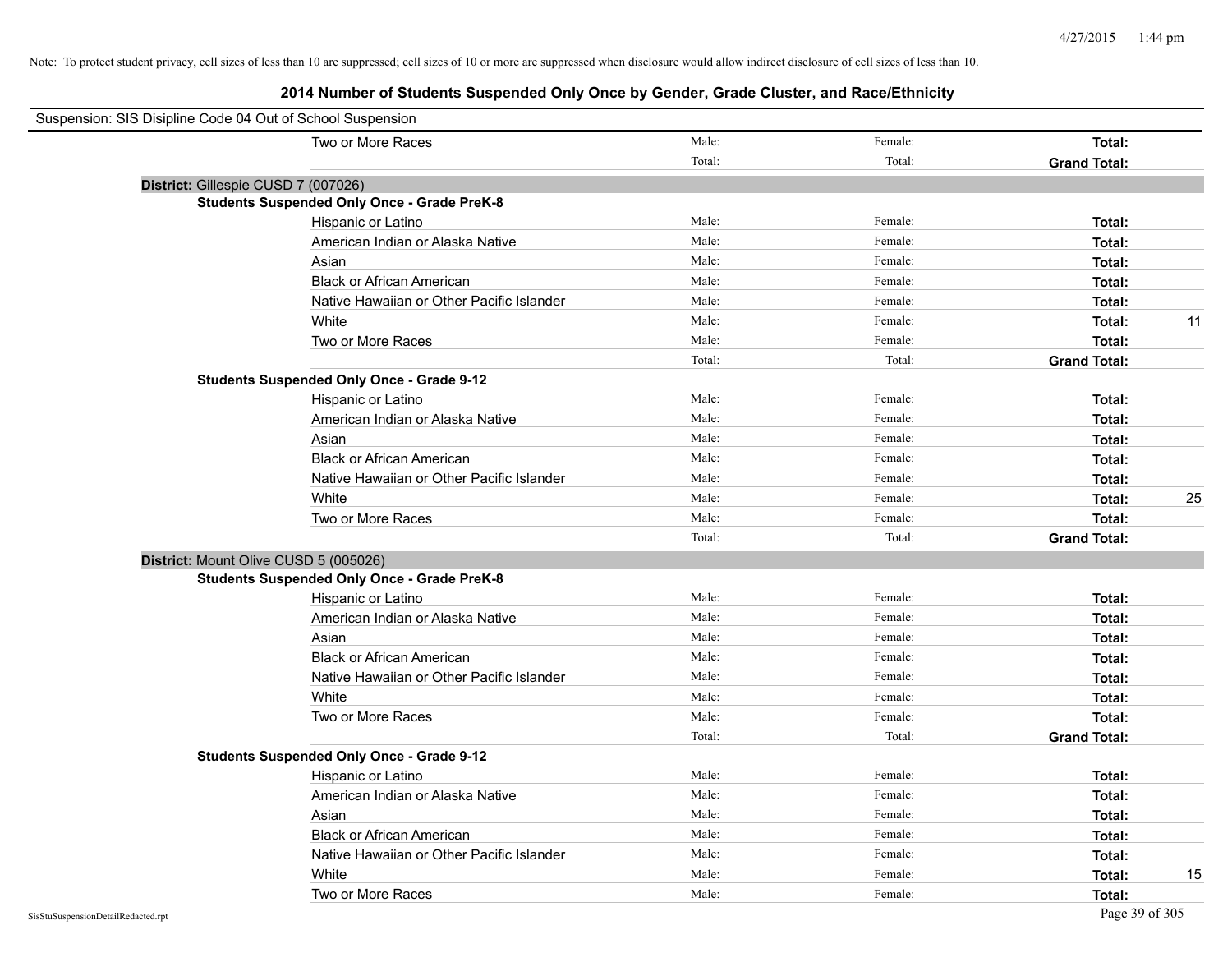| Suspension: SIS Disipline Code 04 Out of School Suspension |        |         |                     |    |
|------------------------------------------------------------|--------|---------|---------------------|----|
| Two or More Races                                          | Male:  | Female: | Total:              |    |
|                                                            | Total: | Total:  | <b>Grand Total:</b> |    |
| District: Gillespie CUSD 7 (007026)                        |        |         |                     |    |
| <b>Students Suspended Only Once - Grade PreK-8</b>         |        |         |                     |    |
| Hispanic or Latino                                         | Male:  | Female: | Total:              |    |
| American Indian or Alaska Native                           | Male:  | Female: | Total:              |    |
| Asian                                                      | Male:  | Female: | Total:              |    |
| <b>Black or African American</b>                           | Male:  | Female: | Total:              |    |
| Native Hawaiian or Other Pacific Islander                  | Male:  | Female: | Total:              |    |
| White                                                      | Male:  | Female: | Total:              | 11 |
| Two or More Races                                          | Male:  | Female: | Total:              |    |
|                                                            | Total: | Total:  | <b>Grand Total:</b> |    |
| <b>Students Suspended Only Once - Grade 9-12</b>           |        |         |                     |    |
| Hispanic or Latino                                         | Male:  | Female: | Total:              |    |
| American Indian or Alaska Native                           | Male:  | Female: | Total:              |    |
| Asian                                                      | Male:  | Female: | Total:              |    |
| <b>Black or African American</b>                           | Male:  | Female: | Total:              |    |
| Native Hawaiian or Other Pacific Islander                  | Male:  | Female: | Total:              |    |
| White                                                      | Male:  | Female: | Total:              | 25 |
| Two or More Races                                          | Male:  | Female: | Total:              |    |
|                                                            | Total: | Total:  | <b>Grand Total:</b> |    |
| District: Mount Olive CUSD 5 (005026)                      |        |         |                     |    |
| <b>Students Suspended Only Once - Grade PreK-8</b>         |        |         |                     |    |
| Hispanic or Latino                                         | Male:  | Female: | Total:              |    |
| American Indian or Alaska Native                           | Male:  | Female: | Total:              |    |
| Asian                                                      | Male:  | Female: | Total:              |    |
| <b>Black or African American</b>                           | Male:  | Female: | Total:              |    |
| Native Hawaiian or Other Pacific Islander                  | Male:  | Female: | Total:              |    |
| White                                                      | Male:  | Female: | Total:              |    |
| Two or More Races                                          | Male:  | Female: | Total:              |    |
|                                                            | Total: | Total:  | <b>Grand Total:</b> |    |
| <b>Students Suspended Only Once - Grade 9-12</b>           |        |         |                     |    |
| Hispanic or Latino                                         | Male:  | Female: | Total:              |    |
| American Indian or Alaska Native                           | Male:  | Female: | Total:              |    |
| Asian                                                      | Male:  | Female: | Total:              |    |
| <b>Black or African American</b>                           | Male:  | Female: | Total:              |    |
| Native Hawaiian or Other Pacific Islander                  | Male:  | Female: | Total:              |    |
| White                                                      | Male:  | Female: | Total:              | 15 |
| Two or More Races                                          | Male:  | Female: | Total:              |    |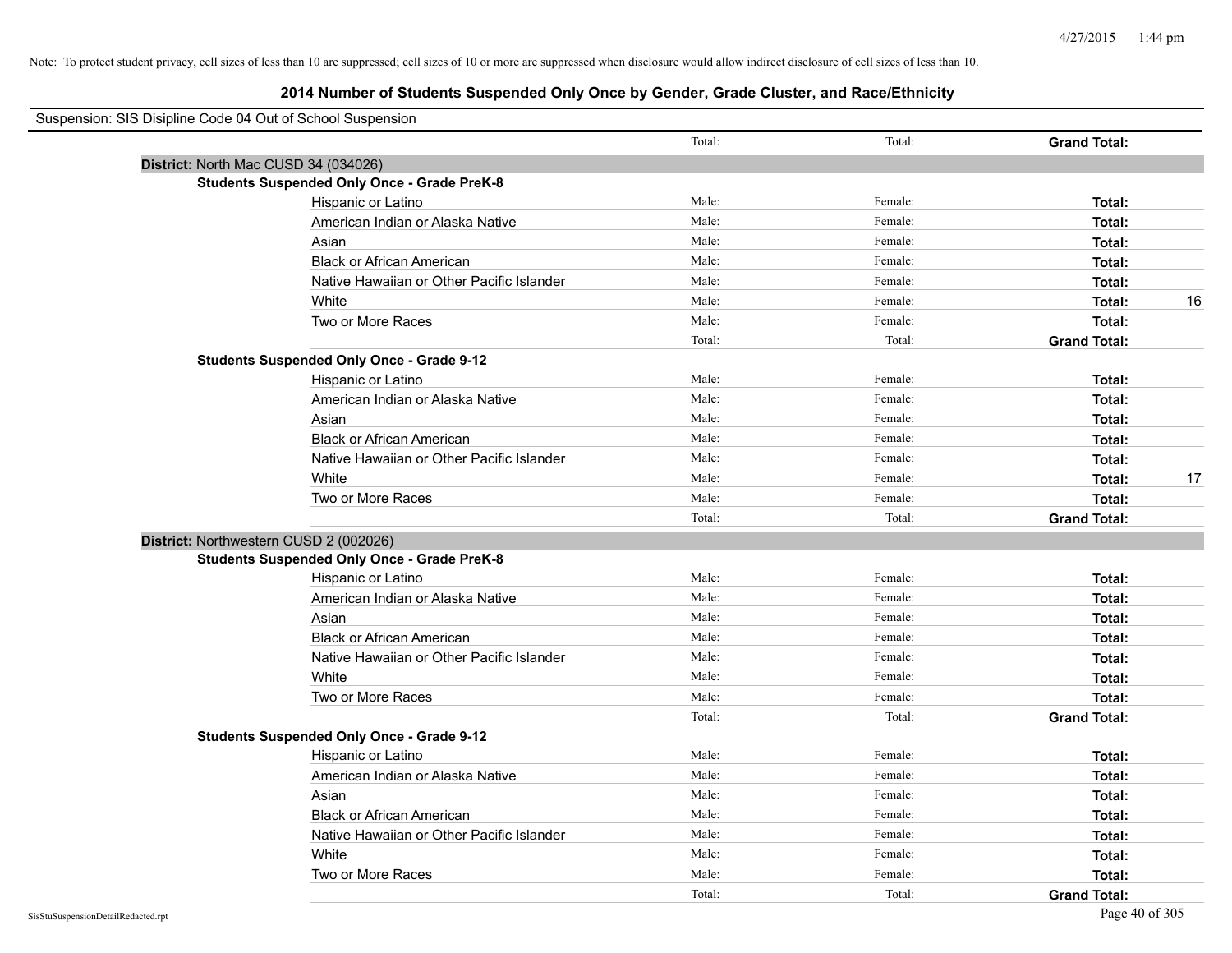| Suspension: SIS Disipline Code 04 Out of School Suspension |                                                    |        |         |                     |
|------------------------------------------------------------|----------------------------------------------------|--------|---------|---------------------|
|                                                            |                                                    | Total: | Total:  | <b>Grand Total:</b> |
|                                                            | District: North Mac CUSD 34 (034026)               |        |         |                     |
|                                                            | <b>Students Suspended Only Once - Grade PreK-8</b> |        |         |                     |
|                                                            | Hispanic or Latino                                 | Male:  | Female: | Total:              |
|                                                            | American Indian or Alaska Native                   | Male:  | Female: | Total:              |
|                                                            | Asian                                              | Male:  | Female: | Total:              |
|                                                            | <b>Black or African American</b>                   | Male:  | Female: | Total:              |
|                                                            | Native Hawaiian or Other Pacific Islander          | Male:  | Female: | Total:              |
|                                                            | White                                              | Male:  | Female: | 16<br>Total:        |
|                                                            | Two or More Races                                  | Male:  | Female: | Total:              |
|                                                            |                                                    | Total: | Total:  | <b>Grand Total:</b> |
|                                                            | <b>Students Suspended Only Once - Grade 9-12</b>   |        |         |                     |
|                                                            | Hispanic or Latino                                 | Male:  | Female: | Total:              |
|                                                            | American Indian or Alaska Native                   | Male:  | Female: | Total:              |
|                                                            | Asian                                              | Male:  | Female: | Total:              |
|                                                            | <b>Black or African American</b>                   | Male:  | Female: | Total:              |
|                                                            | Native Hawaiian or Other Pacific Islander          | Male:  | Female: | Total:              |
|                                                            | White                                              | Male:  | Female: | 17<br>Total:        |
|                                                            | Two or More Races                                  | Male:  | Female: | Total:              |
|                                                            |                                                    | Total: | Total:  | <b>Grand Total:</b> |
|                                                            | District: Northwestern CUSD 2 (002026)             |        |         |                     |
|                                                            | <b>Students Suspended Only Once - Grade PreK-8</b> |        |         |                     |
|                                                            | Hispanic or Latino                                 | Male:  | Female: | Total:              |
|                                                            | American Indian or Alaska Native                   | Male:  | Female: | Total:              |
|                                                            | Asian                                              | Male:  | Female: | Total:              |
|                                                            | <b>Black or African American</b>                   | Male:  | Female: | Total:              |
|                                                            | Native Hawaiian or Other Pacific Islander          | Male:  | Female: | Total:              |
|                                                            | White                                              | Male:  | Female: | Total:              |
|                                                            | Two or More Races                                  | Male:  | Female: | Total:              |
|                                                            |                                                    | Total: | Total:  | <b>Grand Total:</b> |
|                                                            | <b>Students Suspended Only Once - Grade 9-12</b>   |        |         |                     |
|                                                            | Hispanic or Latino                                 | Male:  | Female: | Total:              |
|                                                            | American Indian or Alaska Native                   | Male:  | Female: | Total:              |
|                                                            | Asian                                              | Male:  | Female: | Total:              |
|                                                            | <b>Black or African American</b>                   | Male:  | Female: | Total:              |
|                                                            | Native Hawaiian or Other Pacific Islander          | Male:  | Female: | Total:              |
|                                                            | White                                              | Male:  | Female: | Total:              |
|                                                            | Two or More Races                                  | Male:  | Female: | Total:              |
|                                                            |                                                    | Total: | Total:  | <b>Grand Total:</b> |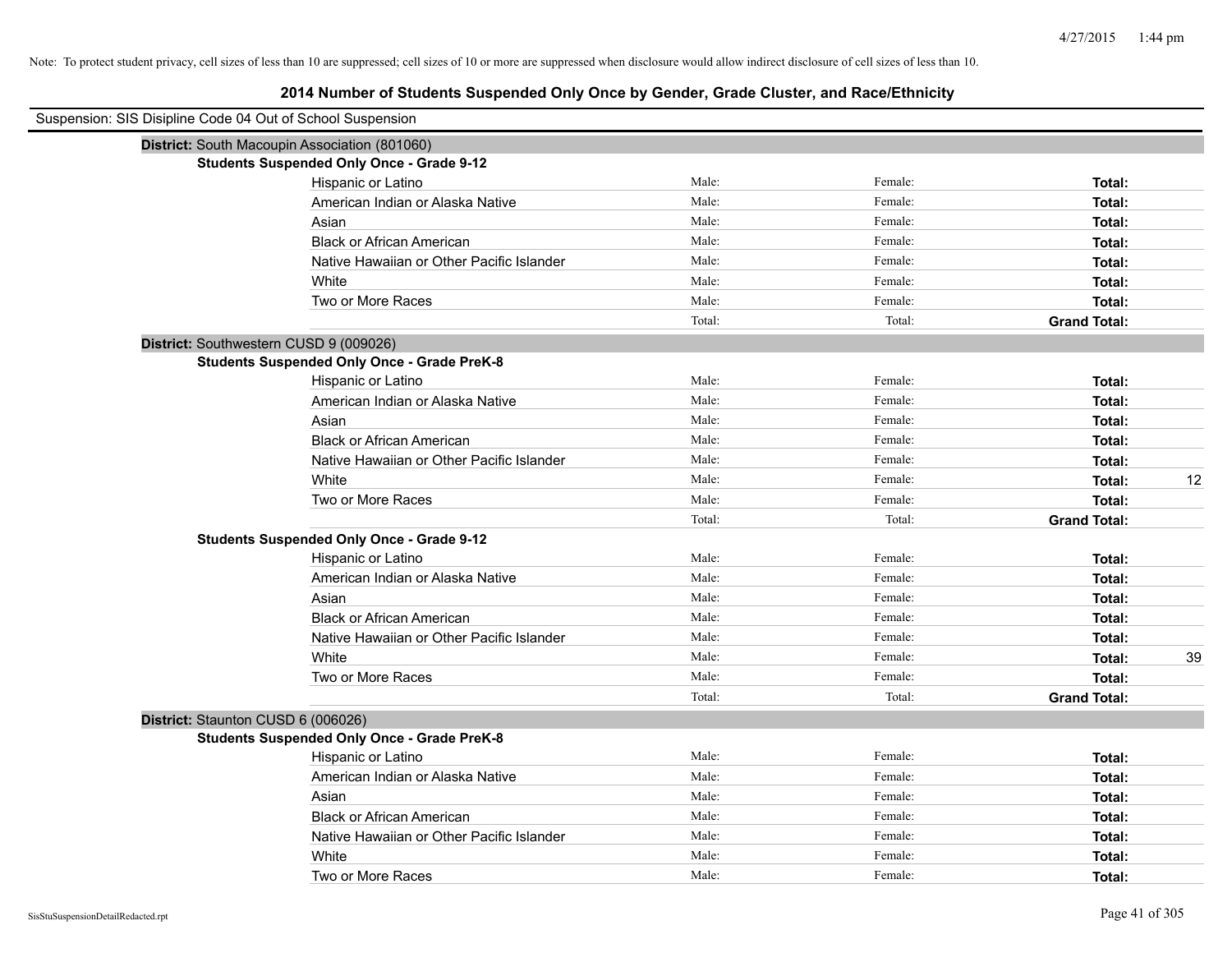| Suspension: SIS Disipline Code 04 Out of School Suspension |                                                    |        |         |                     |
|------------------------------------------------------------|----------------------------------------------------|--------|---------|---------------------|
| District: South Macoupin Association (801060)              |                                                    |        |         |                     |
|                                                            | <b>Students Suspended Only Once - Grade 9-12</b>   |        |         |                     |
|                                                            | Hispanic or Latino                                 | Male:  | Female: | Total:              |
|                                                            | American Indian or Alaska Native                   | Male:  | Female: | Total:              |
|                                                            | Asian                                              | Male:  | Female: | Total:              |
|                                                            | <b>Black or African American</b>                   | Male:  | Female: | Total:              |
|                                                            | Native Hawaiian or Other Pacific Islander          | Male:  | Female: | Total:              |
|                                                            | White                                              | Male:  | Female: | Total:              |
|                                                            | Two or More Races                                  | Male:  | Female: | Total:              |
|                                                            |                                                    | Total: | Total:  | <b>Grand Total:</b> |
| District: Southwestern CUSD 9 (009026)                     |                                                    |        |         |                     |
|                                                            | <b>Students Suspended Only Once - Grade PreK-8</b> |        |         |                     |
|                                                            | Hispanic or Latino                                 | Male:  | Female: | Total:              |
|                                                            | American Indian or Alaska Native                   | Male:  | Female: | Total:              |
|                                                            | Asian                                              | Male:  | Female: | Total:              |
|                                                            | <b>Black or African American</b>                   | Male:  | Female: | Total:              |
|                                                            | Native Hawaiian or Other Pacific Islander          | Male:  | Female: | Total:              |
|                                                            | White                                              | Male:  | Female: | 12<br>Total:        |
|                                                            | Two or More Races                                  | Male:  | Female: | Total:              |
|                                                            |                                                    | Total: | Total:  | <b>Grand Total:</b> |
|                                                            | <b>Students Suspended Only Once - Grade 9-12</b>   |        |         |                     |
|                                                            | Hispanic or Latino                                 | Male:  | Female: | Total:              |
|                                                            | American Indian or Alaska Native                   | Male:  | Female: | Total:              |
|                                                            | Asian                                              | Male:  | Female: | Total:              |
|                                                            | <b>Black or African American</b>                   | Male:  | Female: | Total:              |
|                                                            | Native Hawaiian or Other Pacific Islander          | Male:  | Female: | Total:              |
|                                                            | White                                              | Male:  | Female: | Total:<br>39        |
|                                                            | Two or More Races                                  | Male:  | Female: | Total:              |
|                                                            |                                                    | Total: | Total:  | <b>Grand Total:</b> |
| District: Staunton CUSD 6 (006026)                         |                                                    |        |         |                     |
|                                                            | <b>Students Suspended Only Once - Grade PreK-8</b> |        |         |                     |
|                                                            | Hispanic or Latino                                 | Male:  | Female: | Total:              |
|                                                            | American Indian or Alaska Native                   | Male:  | Female: | Total:              |
|                                                            | Asian                                              | Male:  | Female: | Total:              |
|                                                            | <b>Black or African American</b>                   | Male:  | Female: | Total:              |
|                                                            | Native Hawaiian or Other Pacific Islander          | Male:  | Female: | Total:              |
|                                                            | White                                              | Male:  | Female: | Total:              |
|                                                            | Two or More Races                                  | Male:  | Female: | Total:              |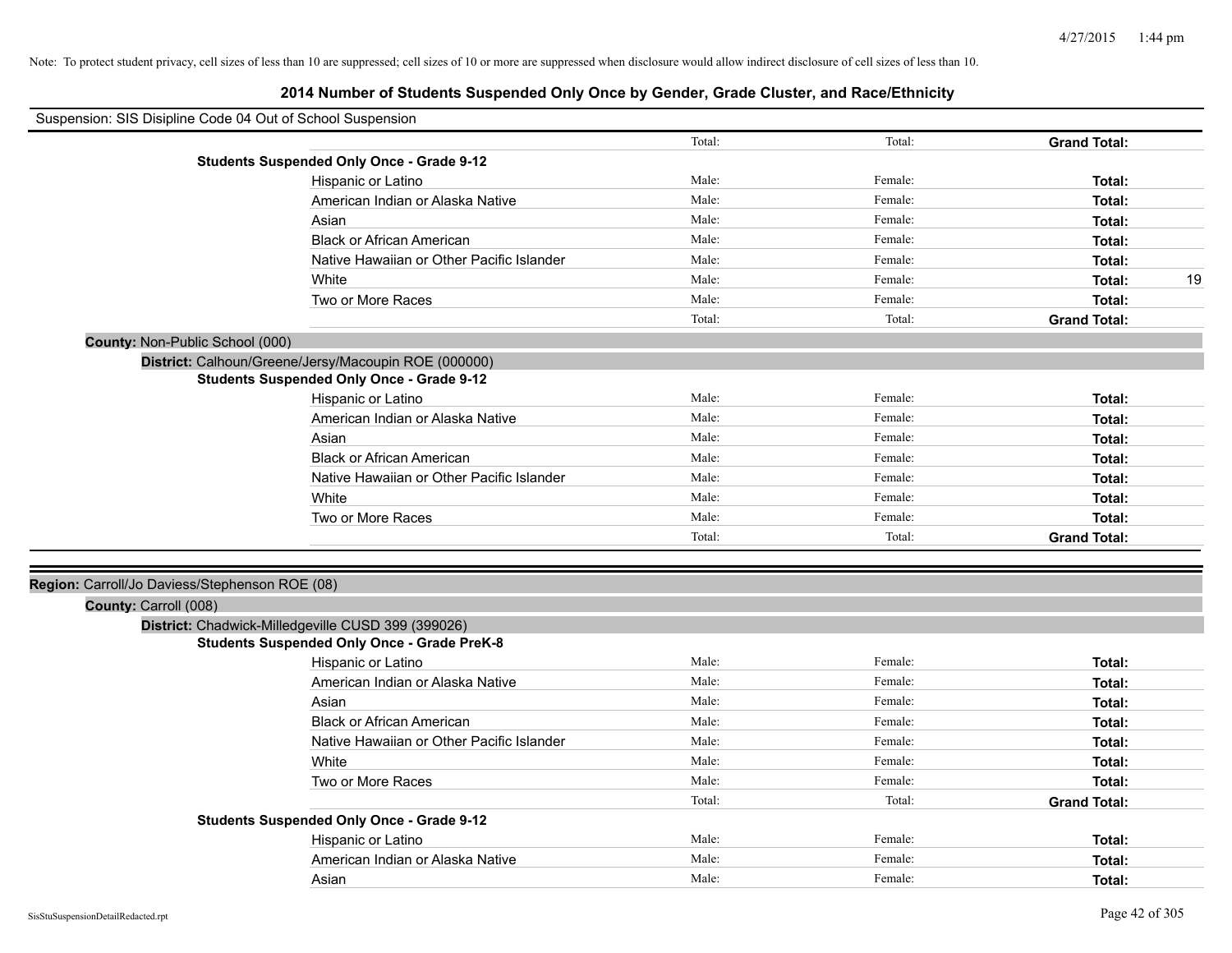| Total:<br>Total:<br><b>Grand Total:</b><br><b>Students Suspended Only Once - Grade 9-12</b><br>Male:<br>Hispanic or Latino<br>Female:<br>Total:<br>Male:<br>Female:<br>American Indian or Alaska Native<br>Total:<br>Male:<br>Asian<br>Female:<br>Total:<br><b>Black or African American</b><br>Male:<br>Female:<br>Total:<br>Male:<br>Native Hawaiian or Other Pacific Islander<br>Female:<br>Total:<br>White<br>Male:<br>Female:<br>Total:<br>19<br>Male:<br>Female:<br>Two or More Races<br>Total:<br>Total:<br>Total:<br><b>Grand Total:</b><br>County: Non-Public School (000)<br>District: Calhoun/Greene/Jersy/Macoupin ROE (000000)<br><b>Students Suspended Only Once - Grade 9-12</b><br>Hispanic or Latino<br>Male:<br>Female:<br>Total:<br>Male:<br>Female:<br>American Indian or Alaska Native<br>Total:<br>Male:<br>Female:<br>Asian<br>Total:<br><b>Black or African American</b><br>Male:<br>Female:<br>Total:<br>Native Hawaiian or Other Pacific Islander<br>Male:<br>Female:<br>Total:<br>Male:<br>Female:<br>White<br>Total:<br>Male:<br>Female:<br>Two or More Races<br>Total:<br>Total:<br>Total:<br><b>Grand Total:</b><br>Region: Carroll/Jo Daviess/Stephenson ROE (08) |
|--------------------------------------------------------------------------------------------------------------------------------------------------------------------------------------------------------------------------------------------------------------------------------------------------------------------------------------------------------------------------------------------------------------------------------------------------------------------------------------------------------------------------------------------------------------------------------------------------------------------------------------------------------------------------------------------------------------------------------------------------------------------------------------------------------------------------------------------------------------------------------------------------------------------------------------------------------------------------------------------------------------------------------------------------------------------------------------------------------------------------------------------------------------------------------------------------|
|                                                                                                                                                                                                                                                                                                                                                                                                                                                                                                                                                                                                                                                                                                                                                                                                                                                                                                                                                                                                                                                                                                                                                                                                  |
|                                                                                                                                                                                                                                                                                                                                                                                                                                                                                                                                                                                                                                                                                                                                                                                                                                                                                                                                                                                                                                                                                                                                                                                                  |
|                                                                                                                                                                                                                                                                                                                                                                                                                                                                                                                                                                                                                                                                                                                                                                                                                                                                                                                                                                                                                                                                                                                                                                                                  |
|                                                                                                                                                                                                                                                                                                                                                                                                                                                                                                                                                                                                                                                                                                                                                                                                                                                                                                                                                                                                                                                                                                                                                                                                  |
|                                                                                                                                                                                                                                                                                                                                                                                                                                                                                                                                                                                                                                                                                                                                                                                                                                                                                                                                                                                                                                                                                                                                                                                                  |
|                                                                                                                                                                                                                                                                                                                                                                                                                                                                                                                                                                                                                                                                                                                                                                                                                                                                                                                                                                                                                                                                                                                                                                                                  |
|                                                                                                                                                                                                                                                                                                                                                                                                                                                                                                                                                                                                                                                                                                                                                                                                                                                                                                                                                                                                                                                                                                                                                                                                  |
|                                                                                                                                                                                                                                                                                                                                                                                                                                                                                                                                                                                                                                                                                                                                                                                                                                                                                                                                                                                                                                                                                                                                                                                                  |
|                                                                                                                                                                                                                                                                                                                                                                                                                                                                                                                                                                                                                                                                                                                                                                                                                                                                                                                                                                                                                                                                                                                                                                                                  |
|                                                                                                                                                                                                                                                                                                                                                                                                                                                                                                                                                                                                                                                                                                                                                                                                                                                                                                                                                                                                                                                                                                                                                                                                  |
|                                                                                                                                                                                                                                                                                                                                                                                                                                                                                                                                                                                                                                                                                                                                                                                                                                                                                                                                                                                                                                                                                                                                                                                                  |
|                                                                                                                                                                                                                                                                                                                                                                                                                                                                                                                                                                                                                                                                                                                                                                                                                                                                                                                                                                                                                                                                                                                                                                                                  |
|                                                                                                                                                                                                                                                                                                                                                                                                                                                                                                                                                                                                                                                                                                                                                                                                                                                                                                                                                                                                                                                                                                                                                                                                  |
|                                                                                                                                                                                                                                                                                                                                                                                                                                                                                                                                                                                                                                                                                                                                                                                                                                                                                                                                                                                                                                                                                                                                                                                                  |
|                                                                                                                                                                                                                                                                                                                                                                                                                                                                                                                                                                                                                                                                                                                                                                                                                                                                                                                                                                                                                                                                                                                                                                                                  |
|                                                                                                                                                                                                                                                                                                                                                                                                                                                                                                                                                                                                                                                                                                                                                                                                                                                                                                                                                                                                                                                                                                                                                                                                  |
|                                                                                                                                                                                                                                                                                                                                                                                                                                                                                                                                                                                                                                                                                                                                                                                                                                                                                                                                                                                                                                                                                                                                                                                                  |
|                                                                                                                                                                                                                                                                                                                                                                                                                                                                                                                                                                                                                                                                                                                                                                                                                                                                                                                                                                                                                                                                                                                                                                                                  |
|                                                                                                                                                                                                                                                                                                                                                                                                                                                                                                                                                                                                                                                                                                                                                                                                                                                                                                                                                                                                                                                                                                                                                                                                  |
|                                                                                                                                                                                                                                                                                                                                                                                                                                                                                                                                                                                                                                                                                                                                                                                                                                                                                                                                                                                                                                                                                                                                                                                                  |
|                                                                                                                                                                                                                                                                                                                                                                                                                                                                                                                                                                                                                                                                                                                                                                                                                                                                                                                                                                                                                                                                                                                                                                                                  |
|                                                                                                                                                                                                                                                                                                                                                                                                                                                                                                                                                                                                                                                                                                                                                                                                                                                                                                                                                                                                                                                                                                                                                                                                  |
|                                                                                                                                                                                                                                                                                                                                                                                                                                                                                                                                                                                                                                                                                                                                                                                                                                                                                                                                                                                                                                                                                                                                                                                                  |
| County: Carroll (008)                                                                                                                                                                                                                                                                                                                                                                                                                                                                                                                                                                                                                                                                                                                                                                                                                                                                                                                                                                                                                                                                                                                                                                            |
| District: Chadwick-Milledgeville CUSD 399 (399026)<br><b>Students Suspended Only Once - Grade PreK-8</b>                                                                                                                                                                                                                                                                                                                                                                                                                                                                                                                                                                                                                                                                                                                                                                                                                                                                                                                                                                                                                                                                                         |
| Male:<br>Female:<br>Hispanic or Latino<br>Total:                                                                                                                                                                                                                                                                                                                                                                                                                                                                                                                                                                                                                                                                                                                                                                                                                                                                                                                                                                                                                                                                                                                                                 |
| Male:<br>American Indian or Alaska Native<br>Female:<br>Total:                                                                                                                                                                                                                                                                                                                                                                                                                                                                                                                                                                                                                                                                                                                                                                                                                                                                                                                                                                                                                                                                                                                                   |
| Male:<br>Female:<br>Asian<br>Total:                                                                                                                                                                                                                                                                                                                                                                                                                                                                                                                                                                                                                                                                                                                                                                                                                                                                                                                                                                                                                                                                                                                                                              |
| Male:<br>Female:<br><b>Black or African American</b><br>Total:                                                                                                                                                                                                                                                                                                                                                                                                                                                                                                                                                                                                                                                                                                                                                                                                                                                                                                                                                                                                                                                                                                                                   |
| Male:<br>Female:<br>Native Hawaiian or Other Pacific Islander<br>Total:                                                                                                                                                                                                                                                                                                                                                                                                                                                                                                                                                                                                                                                                                                                                                                                                                                                                                                                                                                                                                                                                                                                          |
| Male:<br>White<br>Female:<br>Total:                                                                                                                                                                                                                                                                                                                                                                                                                                                                                                                                                                                                                                                                                                                                                                                                                                                                                                                                                                                                                                                                                                                                                              |
| Two or More Races<br>Male:<br>Female:<br>Total:                                                                                                                                                                                                                                                                                                                                                                                                                                                                                                                                                                                                                                                                                                                                                                                                                                                                                                                                                                                                                                                                                                                                                  |
| Total:<br>Total:<br><b>Grand Total:</b>                                                                                                                                                                                                                                                                                                                                                                                                                                                                                                                                                                                                                                                                                                                                                                                                                                                                                                                                                                                                                                                                                                                                                          |
| <b>Students Suspended Only Once - Grade 9-12</b>                                                                                                                                                                                                                                                                                                                                                                                                                                                                                                                                                                                                                                                                                                                                                                                                                                                                                                                                                                                                                                                                                                                                                 |
| Male:<br>Hispanic or Latino<br>Female:<br>Total:                                                                                                                                                                                                                                                                                                                                                                                                                                                                                                                                                                                                                                                                                                                                                                                                                                                                                                                                                                                                                                                                                                                                                 |
| Male:<br>American Indian or Alaska Native<br>Female:<br>Total:                                                                                                                                                                                                                                                                                                                                                                                                                                                                                                                                                                                                                                                                                                                                                                                                                                                                                                                                                                                                                                                                                                                                   |
| Male:<br>Female:<br>Asian<br>Total:                                                                                                                                                                                                                                                                                                                                                                                                                                                                                                                                                                                                                                                                                                                                                                                                                                                                                                                                                                                                                                                                                                                                                              |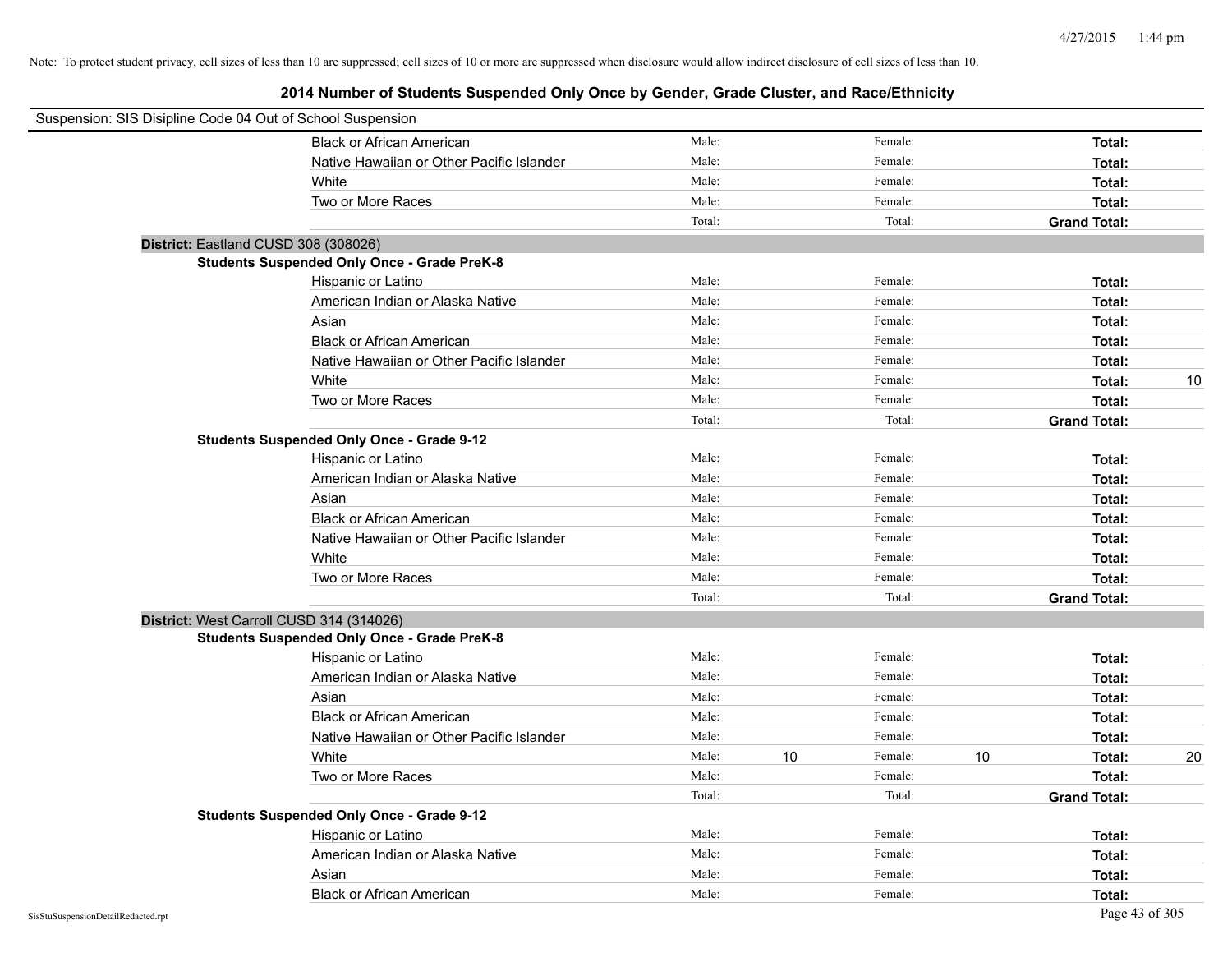| Suspension: SIS Disipline Code 04 Out of School Suspension |                                                    |        |    |         |    |                     |    |
|------------------------------------------------------------|----------------------------------------------------|--------|----|---------|----|---------------------|----|
|                                                            | <b>Black or African American</b>                   | Male:  |    | Female: |    | Total:              |    |
|                                                            | Native Hawaiian or Other Pacific Islander          | Male:  |    | Female: |    | Total:              |    |
|                                                            | White                                              | Male:  |    | Female: |    | Total:              |    |
|                                                            | Two or More Races                                  | Male:  |    | Female: |    | Total:              |    |
|                                                            |                                                    | Total: |    | Total:  |    | <b>Grand Total:</b> |    |
| District: Eastland CUSD 308 (308026)                       |                                                    |        |    |         |    |                     |    |
|                                                            | <b>Students Suspended Only Once - Grade PreK-8</b> |        |    |         |    |                     |    |
|                                                            | Hispanic or Latino                                 | Male:  |    | Female: |    | Total:              |    |
|                                                            | American Indian or Alaska Native                   | Male:  |    | Female: |    | Total:              |    |
|                                                            | Asian                                              | Male:  |    | Female: |    | Total:              |    |
|                                                            | <b>Black or African American</b>                   | Male:  |    | Female: |    | Total:              |    |
|                                                            | Native Hawaiian or Other Pacific Islander          | Male:  |    | Female: |    | Total:              |    |
|                                                            | White                                              | Male:  |    | Female: |    | Total:              | 10 |
|                                                            | Two or More Races                                  | Male:  |    | Female: |    | Total:              |    |
|                                                            |                                                    | Total: |    | Total:  |    | <b>Grand Total:</b> |    |
|                                                            | <b>Students Suspended Only Once - Grade 9-12</b>   |        |    |         |    |                     |    |
|                                                            | Hispanic or Latino                                 | Male:  |    | Female: |    | Total:              |    |
|                                                            | American Indian or Alaska Native                   | Male:  |    | Female: |    | Total:              |    |
|                                                            | Asian                                              | Male:  |    | Female: |    | Total:              |    |
|                                                            | <b>Black or African American</b>                   | Male:  |    | Female: |    | Total:              |    |
|                                                            | Native Hawaiian or Other Pacific Islander          | Male:  |    | Female: |    | Total:              |    |
|                                                            | White                                              | Male:  |    | Female: |    | Total:              |    |
|                                                            | Two or More Races                                  | Male:  |    | Female: |    | Total:              |    |
|                                                            |                                                    | Total: |    | Total:  |    | <b>Grand Total:</b> |    |
| District: West Carroll CUSD 314 (314026)                   |                                                    |        |    |         |    |                     |    |
|                                                            | <b>Students Suspended Only Once - Grade PreK-8</b> |        |    |         |    |                     |    |
|                                                            | Hispanic or Latino                                 | Male:  |    | Female: |    | Total:              |    |
|                                                            | American Indian or Alaska Native                   | Male:  |    | Female: |    | Total:              |    |
|                                                            | Asian                                              | Male:  |    | Female: |    | Total:              |    |
|                                                            | <b>Black or African American</b>                   | Male:  |    | Female: |    | Total:              |    |
|                                                            | Native Hawaiian or Other Pacific Islander          | Male:  |    | Female: |    | Total:              |    |
|                                                            | White                                              | Male:  | 10 | Female: | 10 | Total:              | 20 |
|                                                            | Two or More Races                                  | Male:  |    | Female: |    | Total:              |    |
|                                                            |                                                    | Total: |    | Total:  |    | <b>Grand Total:</b> |    |
|                                                            | <b>Students Suspended Only Once - Grade 9-12</b>   |        |    |         |    |                     |    |
|                                                            | Hispanic or Latino                                 | Male:  |    | Female: |    | Total:              |    |
|                                                            | American Indian or Alaska Native                   | Male:  |    | Female: |    | Total:              |    |
|                                                            | Asian                                              | Male:  |    | Female: |    | Total:              |    |
|                                                            | <b>Black or African American</b>                   | Male:  |    | Female: |    | Total:              |    |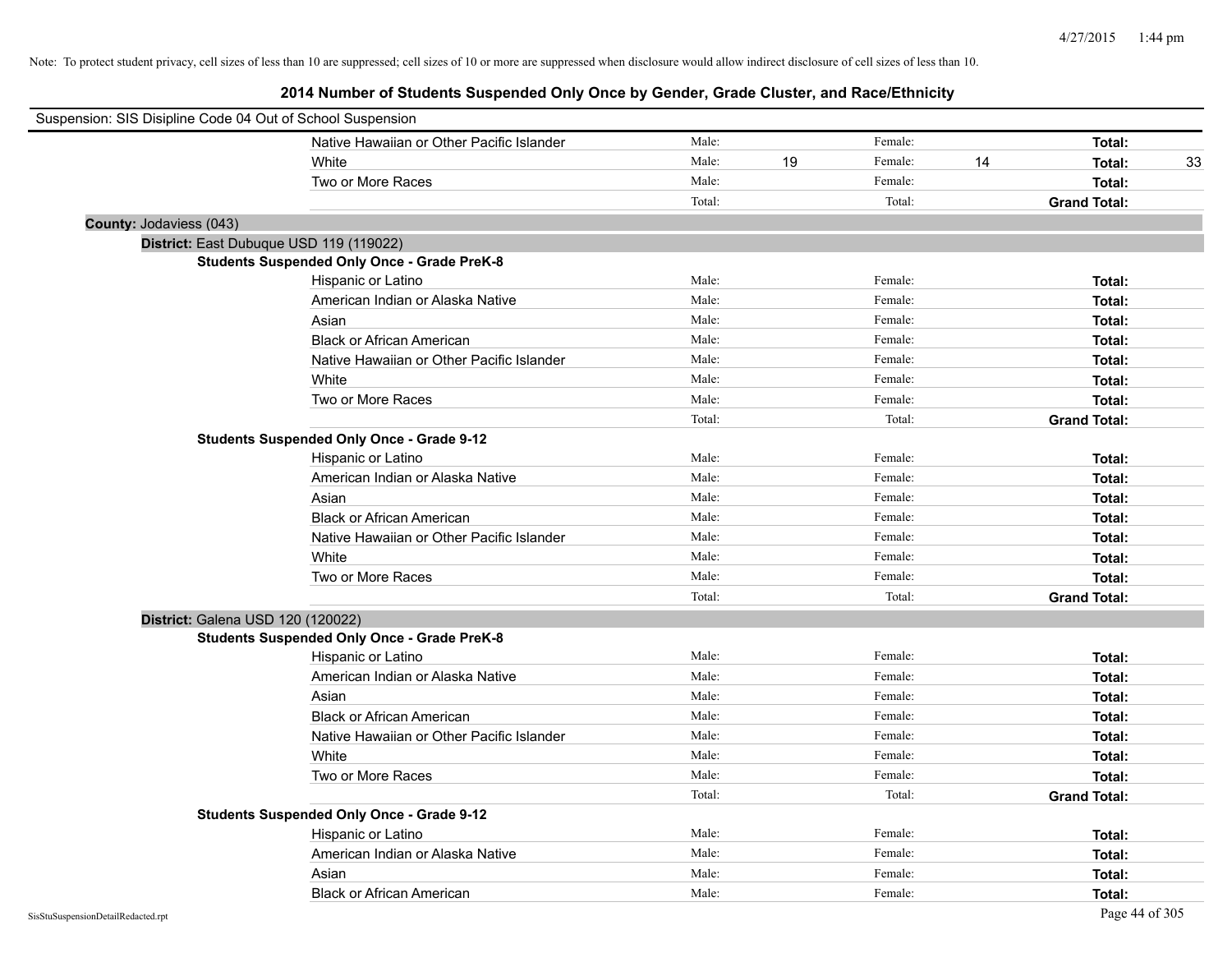| Suspension: SIS Disipline Code 04 Out of School Suspension |                                                    |        |    |         |    |                     |    |
|------------------------------------------------------------|----------------------------------------------------|--------|----|---------|----|---------------------|----|
|                                                            | Native Hawaiian or Other Pacific Islander          | Male:  |    | Female: |    | Total:              |    |
|                                                            | White                                              | Male:  | 19 | Female: | 14 | Total:              | 33 |
|                                                            | Two or More Races                                  | Male:  |    | Female: |    | Total:              |    |
|                                                            |                                                    | Total: |    | Total:  |    | <b>Grand Total:</b> |    |
| County: Jodaviess (043)                                    |                                                    |        |    |         |    |                     |    |
|                                                            | District: East Dubuque USD 119 (119022)            |        |    |         |    |                     |    |
|                                                            | <b>Students Suspended Only Once - Grade PreK-8</b> |        |    |         |    |                     |    |
|                                                            | Hispanic or Latino                                 | Male:  |    | Female: |    | Total:              |    |
|                                                            | American Indian or Alaska Native                   | Male:  |    | Female: |    | Total:              |    |
|                                                            | Asian                                              | Male:  |    | Female: |    | Total:              |    |
|                                                            | <b>Black or African American</b>                   | Male:  |    | Female: |    | Total:              |    |
|                                                            | Native Hawaiian or Other Pacific Islander          | Male:  |    | Female: |    | Total:              |    |
|                                                            | White                                              | Male:  |    | Female: |    | Total:              |    |
|                                                            | Two or More Races                                  | Male:  |    | Female: |    | Total:              |    |
|                                                            |                                                    | Total: |    | Total:  |    | <b>Grand Total:</b> |    |
|                                                            | <b>Students Suspended Only Once - Grade 9-12</b>   |        |    |         |    |                     |    |
|                                                            | Hispanic or Latino                                 | Male:  |    | Female: |    | Total:              |    |
|                                                            | American Indian or Alaska Native                   | Male:  |    | Female: |    | Total:              |    |
|                                                            | Asian                                              | Male:  |    | Female: |    | Total:              |    |
|                                                            | <b>Black or African American</b>                   | Male:  |    | Female: |    | Total:              |    |
|                                                            | Native Hawaiian or Other Pacific Islander          | Male:  |    | Female: |    | Total:              |    |
|                                                            | White                                              | Male:  |    | Female: |    | Total:              |    |
|                                                            | Two or More Races                                  | Male:  |    | Female: |    | Total:              |    |
|                                                            |                                                    | Total: |    | Total:  |    | <b>Grand Total:</b> |    |
|                                                            | District: Galena USD 120 (120022)                  |        |    |         |    |                     |    |
|                                                            | <b>Students Suspended Only Once - Grade PreK-8</b> |        |    |         |    |                     |    |
|                                                            | Hispanic or Latino                                 | Male:  |    | Female: |    | Total:              |    |
|                                                            | American Indian or Alaska Native                   | Male:  |    | Female: |    | Total:              |    |
|                                                            | Asian                                              | Male:  |    | Female: |    | Total:              |    |
|                                                            | <b>Black or African American</b>                   | Male:  |    | Female: |    | Total:              |    |
|                                                            | Native Hawaiian or Other Pacific Islander          | Male:  |    | Female: |    | Total:              |    |
|                                                            | White                                              | Male:  |    | Female: |    | Total:              |    |
|                                                            | Two or More Races                                  | Male:  |    | Female: |    | Total:              |    |
|                                                            |                                                    | Total: |    | Total:  |    | <b>Grand Total:</b> |    |
|                                                            | <b>Students Suspended Only Once - Grade 9-12</b>   |        |    |         |    |                     |    |
|                                                            | Hispanic or Latino                                 | Male:  |    | Female: |    | Total:              |    |
|                                                            | American Indian or Alaska Native                   | Male:  |    | Female: |    | Total:              |    |
|                                                            | Asian                                              | Male:  |    | Female: |    | Total:              |    |
|                                                            | <b>Black or African American</b>                   | Male:  |    | Female: |    | Total:              |    |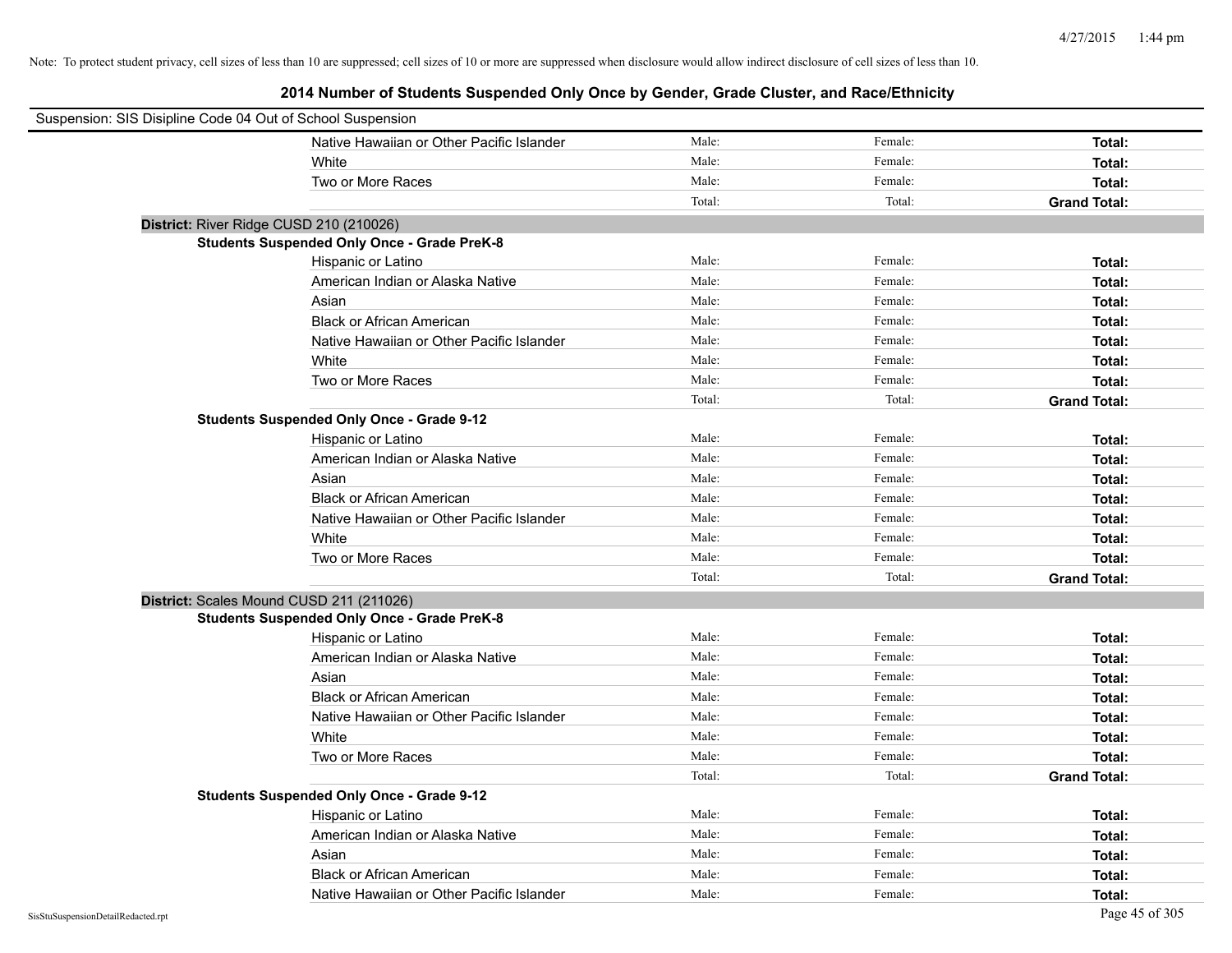| Suspension: SIS Disipline Code 04 Out of School Suspension |                                                    |        |         |                     |
|------------------------------------------------------------|----------------------------------------------------|--------|---------|---------------------|
|                                                            | Native Hawaiian or Other Pacific Islander          | Male:  | Female: | Total:              |
|                                                            | White                                              | Male:  | Female: | Total:              |
|                                                            | Two or More Races                                  | Male:  | Female: | Total:              |
|                                                            |                                                    | Total: | Total:  | <b>Grand Total:</b> |
| District: River Ridge CUSD 210 (210026)                    |                                                    |        |         |                     |
|                                                            | <b>Students Suspended Only Once - Grade PreK-8</b> |        |         |                     |
|                                                            | Hispanic or Latino                                 | Male:  | Female: | Total:              |
|                                                            | American Indian or Alaska Native                   | Male:  | Female: | Total:              |
|                                                            | Asian                                              | Male:  | Female: | Total:              |
|                                                            | <b>Black or African American</b>                   | Male:  | Female: | Total:              |
|                                                            | Native Hawaiian or Other Pacific Islander          | Male:  | Female: | Total:              |
|                                                            | White                                              | Male:  | Female: | Total:              |
|                                                            | Two or More Races                                  | Male:  | Female: | Total:              |
|                                                            |                                                    | Total: | Total:  | <b>Grand Total:</b> |
|                                                            | <b>Students Suspended Only Once - Grade 9-12</b>   |        |         |                     |
|                                                            | Hispanic or Latino                                 | Male:  | Female: | Total:              |
|                                                            | American Indian or Alaska Native                   | Male:  | Female: | Total:              |
|                                                            | Asian                                              | Male:  | Female: | Total:              |
|                                                            | <b>Black or African American</b>                   | Male:  | Female: | Total:              |
|                                                            | Native Hawaiian or Other Pacific Islander          | Male:  | Female: | Total:              |
|                                                            | White                                              | Male:  | Female: | Total:              |
|                                                            | Two or More Races                                  | Male:  | Female: | Total:              |
|                                                            |                                                    | Total: | Total:  | <b>Grand Total:</b> |
| District: Scales Mound CUSD 211 (211026)                   |                                                    |        |         |                     |
|                                                            | <b>Students Suspended Only Once - Grade PreK-8</b> |        |         |                     |
|                                                            | Hispanic or Latino                                 | Male:  | Female: | Total:              |
|                                                            | American Indian or Alaska Native                   | Male:  | Female: | Total:              |
|                                                            | Asian                                              | Male:  | Female: | Total:              |
|                                                            | <b>Black or African American</b>                   | Male:  | Female: | Total:              |
|                                                            | Native Hawaiian or Other Pacific Islander          | Male:  | Female: | Total:              |
|                                                            | White                                              | Male:  | Female: | Total:              |
|                                                            | Two or More Races                                  | Male:  | Female: | Total:              |
|                                                            |                                                    | Total: | Total:  | <b>Grand Total:</b> |
|                                                            | <b>Students Suspended Only Once - Grade 9-12</b>   |        |         |                     |
|                                                            | Hispanic or Latino                                 | Male:  | Female: | Total:              |
|                                                            | American Indian or Alaska Native                   | Male:  | Female: | Total:              |
|                                                            | Asian                                              | Male:  | Female: | Total:              |
|                                                            | <b>Black or African American</b>                   | Male:  | Female: | Total:              |
|                                                            | Native Hawaiian or Other Pacific Islander          | Male:  | Female: | Total:              |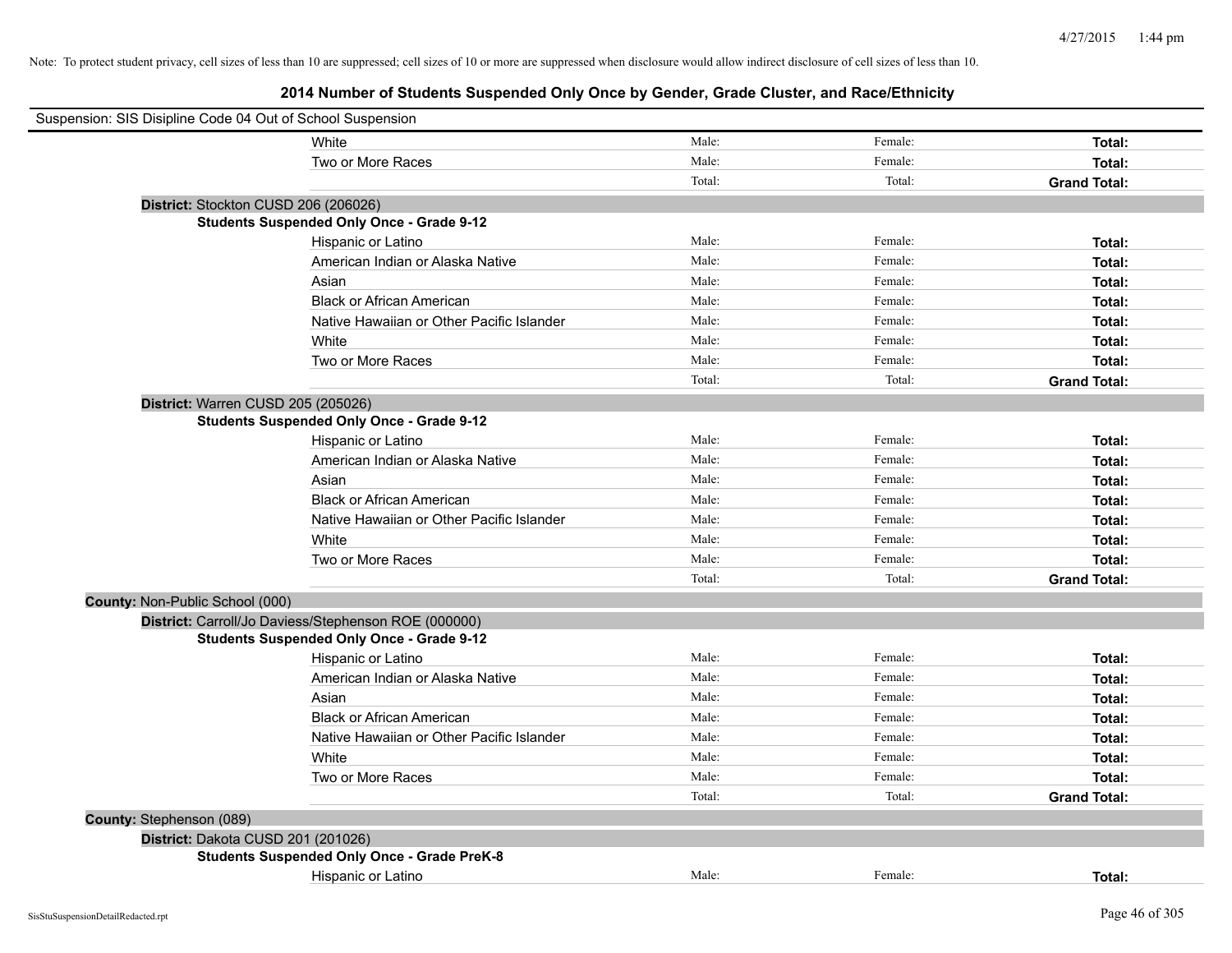| Suspension: SIS Disipline Code 04 Out of School Suspension |                                                      |        |         |                     |
|------------------------------------------------------------|------------------------------------------------------|--------|---------|---------------------|
|                                                            | White                                                | Male:  | Female: | Total:              |
|                                                            | Two or More Races                                    | Male:  | Female: | Total:              |
|                                                            |                                                      | Total: | Total:  | <b>Grand Total:</b> |
|                                                            | District: Stockton CUSD 206 (206026)                 |        |         |                     |
|                                                            | <b>Students Suspended Only Once - Grade 9-12</b>     |        |         |                     |
|                                                            | Hispanic or Latino                                   | Male:  | Female: | Total:              |
|                                                            | American Indian or Alaska Native                     | Male:  | Female: | Total:              |
|                                                            | Asian                                                | Male:  | Female: | Total:              |
|                                                            | <b>Black or African American</b>                     | Male:  | Female: | Total:              |
|                                                            | Native Hawaiian or Other Pacific Islander            | Male:  | Female: | Total:              |
|                                                            | White                                                | Male:  | Female: | Total:              |
|                                                            | Two or More Races                                    | Male:  | Female: | Total:              |
|                                                            |                                                      | Total: | Total:  | <b>Grand Total:</b> |
| District: Warren CUSD 205 (205026)                         |                                                      |        |         |                     |
|                                                            | <b>Students Suspended Only Once - Grade 9-12</b>     |        |         |                     |
|                                                            | Hispanic or Latino                                   | Male:  | Female: | Total:              |
|                                                            | American Indian or Alaska Native                     | Male:  | Female: | Total:              |
|                                                            | Asian                                                | Male:  | Female: | Total:              |
|                                                            | <b>Black or African American</b>                     | Male:  | Female: | Total:              |
|                                                            | Native Hawaiian or Other Pacific Islander            | Male:  | Female: | Total:              |
|                                                            | White                                                | Male:  | Female: | Total:              |
|                                                            | Two or More Races                                    | Male:  | Female: | Total:              |
|                                                            |                                                      | Total: | Total:  | <b>Grand Total:</b> |
| <b>County: Non-Public School (000)</b>                     |                                                      |        |         |                     |
|                                                            | District: Carroll/Jo Daviess/Stephenson ROE (000000) |        |         |                     |
|                                                            | <b>Students Suspended Only Once - Grade 9-12</b>     |        |         |                     |
|                                                            | Hispanic or Latino                                   | Male:  | Female: | Total:              |
|                                                            | American Indian or Alaska Native                     | Male:  | Female: | Total:              |
|                                                            | Asian                                                | Male:  | Female: | Total:              |
|                                                            | <b>Black or African American</b>                     | Male:  | Female: | Total:              |
|                                                            | Native Hawaiian or Other Pacific Islander            | Male:  | Female: | Total:              |
|                                                            | White                                                | Male:  | Female: | Total:              |
|                                                            | Two or More Races                                    | Male:  | Female: | Total:              |
|                                                            |                                                      | Total: | Total:  | <b>Grand Total:</b> |
| County: Stephenson (089)                                   |                                                      |        |         |                     |
| District: Dakota CUSD 201 (201026)                         |                                                      |        |         |                     |
|                                                            | <b>Students Suspended Only Once - Grade PreK-8</b>   |        |         |                     |
|                                                            | Hispanic or Latino                                   | Male:  | Female: | Total:              |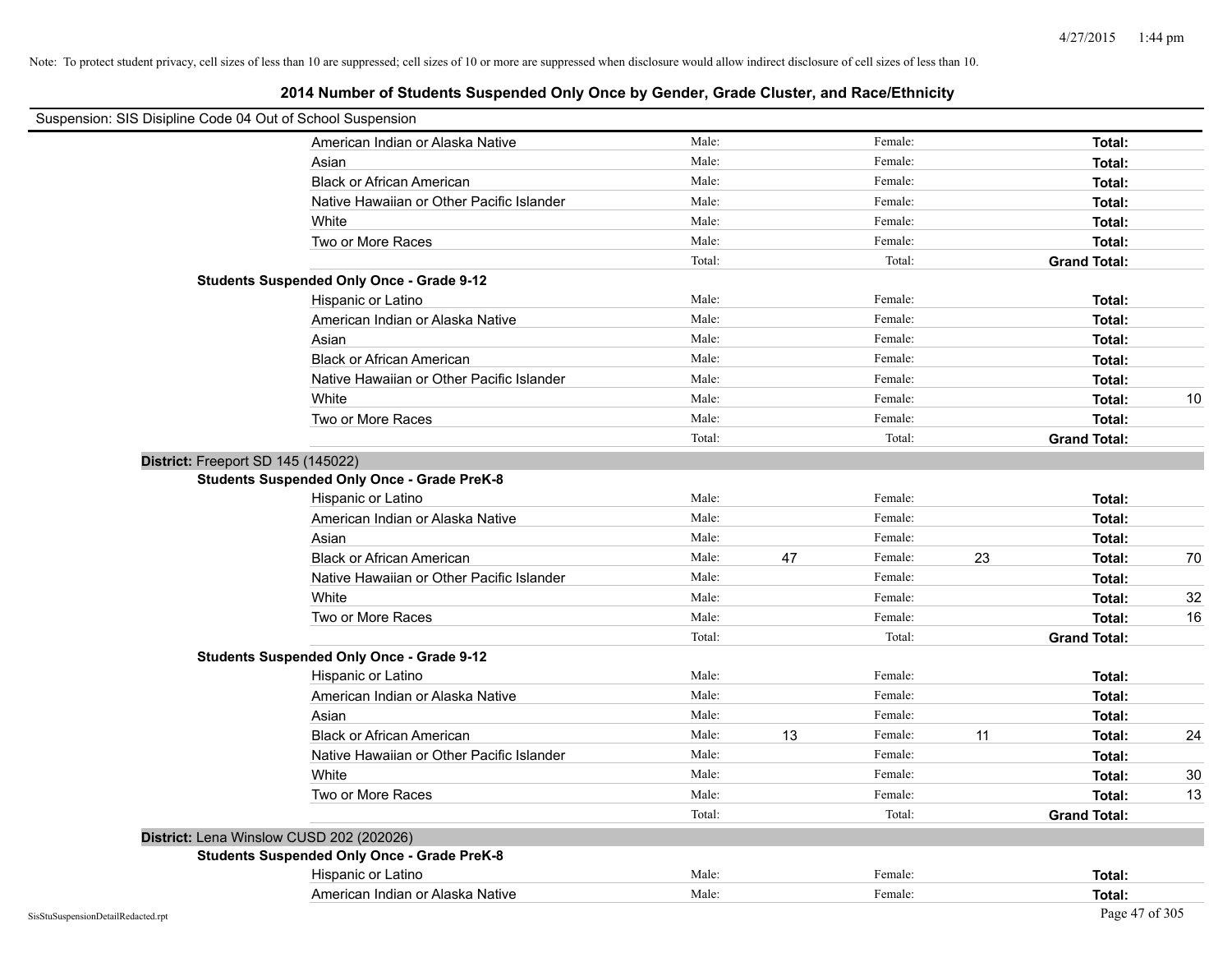| Suspension: SIS Disipline Code 04 Out of School Suspension |        |    |         |                     |    |
|------------------------------------------------------------|--------|----|---------|---------------------|----|
| American Indian or Alaska Native                           | Male:  |    | Female: | Total:              |    |
| Asian                                                      | Male:  |    | Female: | Total:              |    |
| <b>Black or African American</b>                           | Male:  |    | Female: | Total:              |    |
| Native Hawaiian or Other Pacific Islander                  | Male:  |    | Female: | Total:              |    |
| White                                                      | Male:  |    | Female: | Total:              |    |
| Two or More Races                                          | Male:  |    | Female: | Total:              |    |
|                                                            | Total: |    | Total:  | <b>Grand Total:</b> |    |
| <b>Students Suspended Only Once - Grade 9-12</b>           |        |    |         |                     |    |
| Hispanic or Latino                                         | Male:  |    | Female: | Total:              |    |
| American Indian or Alaska Native                           | Male:  |    | Female: | Total:              |    |
| Asian                                                      | Male:  |    | Female: | Total:              |    |
| <b>Black or African American</b>                           | Male:  |    | Female: | Total:              |    |
| Native Hawaiian or Other Pacific Islander                  | Male:  |    | Female: | Total:              |    |
| White                                                      | Male:  |    | Female: | Total:              | 10 |
| Two or More Races                                          | Male:  |    | Female: | Total:              |    |
|                                                            | Total: |    | Total:  | <b>Grand Total:</b> |    |
| District: Freeport SD 145 (145022)                         |        |    |         |                     |    |
| <b>Students Suspended Only Once - Grade PreK-8</b>         |        |    |         |                     |    |
| Hispanic or Latino                                         | Male:  |    | Female: | Total:              |    |
| American Indian or Alaska Native                           | Male:  |    | Female: | Total:              |    |
| Asian                                                      | Male:  |    | Female: | Total:              |    |
| <b>Black or African American</b>                           | Male:  | 47 | Female: | 23<br>Total:        | 70 |
| Native Hawaiian or Other Pacific Islander                  | Male:  |    | Female: | Total:              |    |
| White                                                      | Male:  |    | Female: | Total:              | 32 |
| Two or More Races                                          | Male:  |    | Female: | Total:              | 16 |
|                                                            | Total: |    | Total:  | <b>Grand Total:</b> |    |
| <b>Students Suspended Only Once - Grade 9-12</b>           |        |    |         |                     |    |
| Hispanic or Latino                                         | Male:  |    | Female: | Total:              |    |
| American Indian or Alaska Native                           | Male:  |    | Female: | Total:              |    |
| Asian                                                      | Male:  |    | Female: | Total:              |    |
| <b>Black or African American</b>                           | Male:  | 13 | Female: | 11<br>Total:        | 24 |
| Native Hawaiian or Other Pacific Islander                  | Male:  |    | Female: | Total:              |    |
| White                                                      | Male:  |    | Female: | Total:              | 30 |
| Two or More Races                                          | Male:  |    | Female: | Total:              | 13 |
|                                                            | Total: |    | Total:  | <b>Grand Total:</b> |    |
| District: Lena Winslow CUSD 202 (202026)                   |        |    |         |                     |    |
| <b>Students Suspended Only Once - Grade PreK-8</b>         |        |    |         |                     |    |
| Hispanic or Latino                                         | Male:  |    | Female: | Total:              |    |
| American Indian or Alaska Native                           | Male:  |    | Female: | Total:              |    |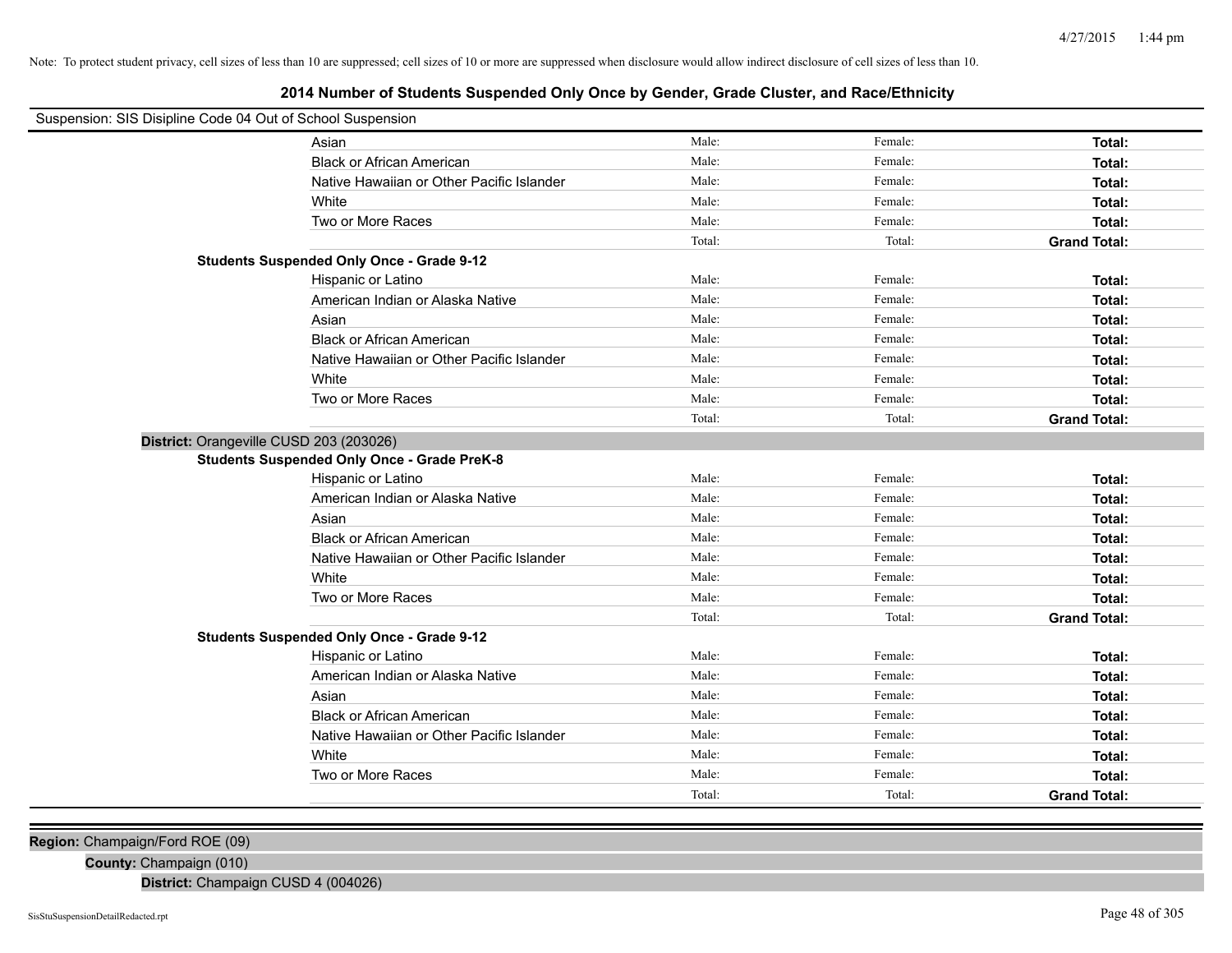# **2014 Number of Students Suspended Only Once by Gender, Grade Cluster, and Race/Ethnicity**

| Suspension: SIS Disipline Code 04 Out of School Suspension |                                                    |        |         |                     |
|------------------------------------------------------------|----------------------------------------------------|--------|---------|---------------------|
|                                                            | Asian                                              | Male:  | Female: | Total:              |
|                                                            | <b>Black or African American</b>                   | Male:  | Female: | Total:              |
|                                                            | Native Hawaiian or Other Pacific Islander          | Male:  | Female: | Total:              |
|                                                            | White                                              | Male:  | Female: | Total:              |
|                                                            | Two or More Races                                  | Male:  | Female: | Total:              |
|                                                            |                                                    | Total: | Total:  | <b>Grand Total:</b> |
|                                                            | <b>Students Suspended Only Once - Grade 9-12</b>   |        |         |                     |
|                                                            | Hispanic or Latino                                 | Male:  | Female: | Total:              |
|                                                            | American Indian or Alaska Native                   | Male:  | Female: | Total:              |
|                                                            | Asian                                              | Male:  | Female: | Total:              |
|                                                            | <b>Black or African American</b>                   | Male:  | Female: | Total:              |
|                                                            | Native Hawaiian or Other Pacific Islander          | Male:  | Female: | Total:              |
|                                                            | White                                              | Male:  | Female: | Total:              |
|                                                            | Two or More Races                                  | Male:  | Female: | Total:              |
|                                                            |                                                    | Total: | Total:  | <b>Grand Total:</b> |
| District: Orangeville CUSD 203 (203026)                    |                                                    |        |         |                     |
|                                                            | <b>Students Suspended Only Once - Grade PreK-8</b> |        |         |                     |
|                                                            | Hispanic or Latino                                 | Male:  | Female: | Total:              |
|                                                            | American Indian or Alaska Native                   | Male:  | Female: | Total:              |
|                                                            | Asian                                              | Male:  | Female: | Total:              |
|                                                            | <b>Black or African American</b>                   | Male:  | Female: | Total:              |
|                                                            | Native Hawaiian or Other Pacific Islander          | Male:  | Female: | Total:              |
|                                                            | White                                              | Male:  | Female: | Total:              |
|                                                            | Two or More Races                                  | Male:  | Female: | Total:              |
|                                                            |                                                    | Total: | Total:  | <b>Grand Total:</b> |
|                                                            | <b>Students Suspended Only Once - Grade 9-12</b>   |        |         |                     |
|                                                            | Hispanic or Latino                                 | Male:  | Female: | Total:              |
|                                                            | American Indian or Alaska Native                   | Male:  | Female: | Total:              |
|                                                            | Asian                                              | Male:  | Female: | Total:              |
|                                                            | <b>Black or African American</b>                   | Male:  | Female: | Total:              |
|                                                            | Native Hawaiian or Other Pacific Islander          | Male:  | Female: | Total:              |
|                                                            | White                                              | Male:  | Female: | Total:              |
|                                                            | Two or More Races                                  | Male:  | Female: | Total:              |
|                                                            |                                                    | Total: | Total:  | <b>Grand Total:</b> |

**Region:** Champaign/Ford ROE (09)

**County:** Champaign (010)

**District:** Champaign CUSD 4 (004026)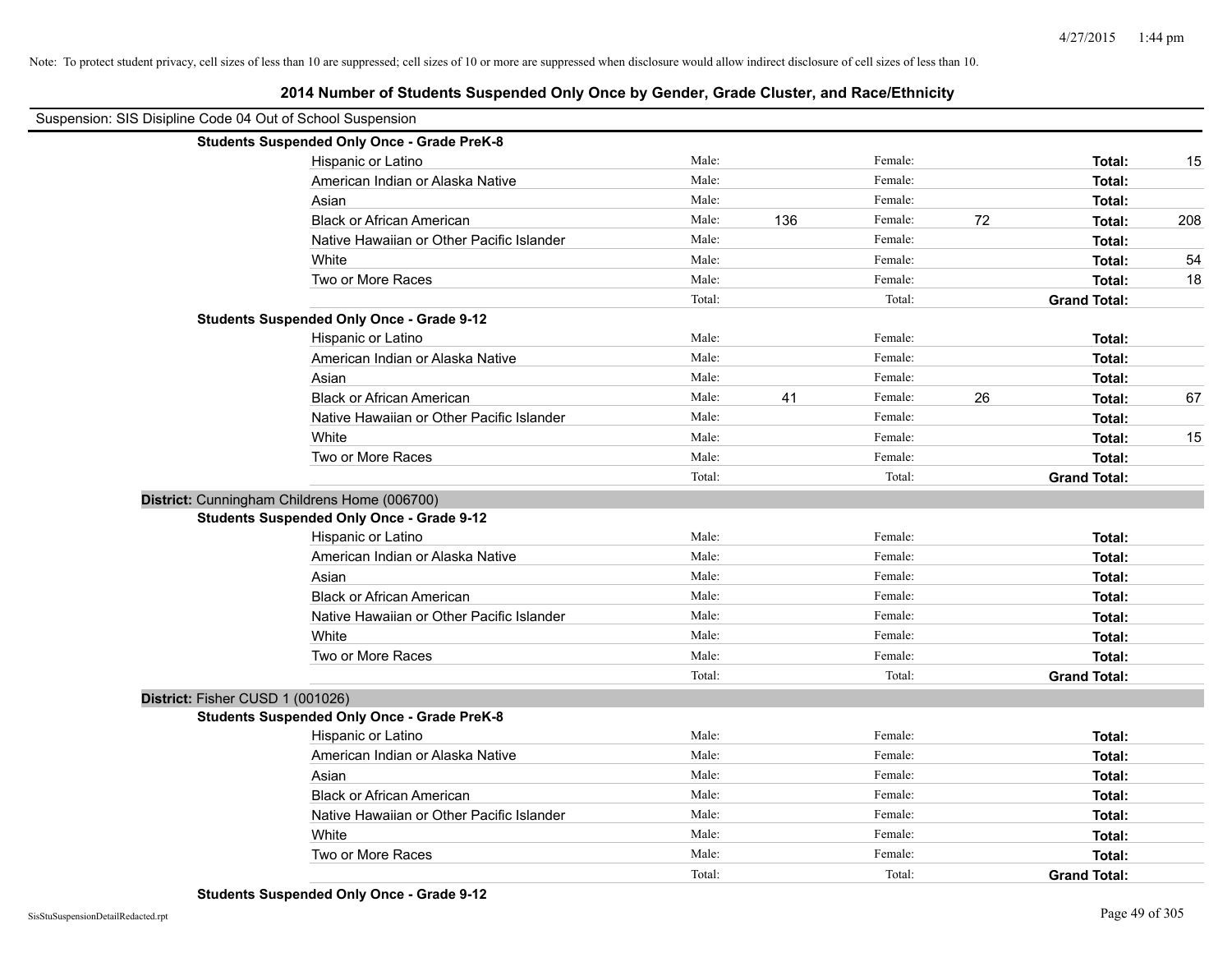| Suspension: SIS Disipline Code 04 Out of School Suspension |                                                    |        |     |         |    |                     |     |
|------------------------------------------------------------|----------------------------------------------------|--------|-----|---------|----|---------------------|-----|
|                                                            | <b>Students Suspended Only Once - Grade PreK-8</b> |        |     |         |    |                     |     |
|                                                            | Hispanic or Latino                                 | Male:  |     | Female: |    | Total:              | 15  |
|                                                            | American Indian or Alaska Native                   | Male:  |     | Female: |    | Total:              |     |
|                                                            | Asian                                              | Male:  |     | Female: |    | Total:              |     |
|                                                            | <b>Black or African American</b>                   | Male:  | 136 | Female: | 72 | Total:              | 208 |
|                                                            | Native Hawaiian or Other Pacific Islander          | Male:  |     | Female: |    | Total:              |     |
|                                                            | White                                              | Male:  |     | Female: |    | Total:              | 54  |
|                                                            | Two or More Races                                  | Male:  |     | Female: |    | Total:              | 18  |
|                                                            |                                                    | Total: |     | Total:  |    | <b>Grand Total:</b> |     |
|                                                            | <b>Students Suspended Only Once - Grade 9-12</b>   |        |     |         |    |                     |     |
|                                                            | Hispanic or Latino                                 | Male:  |     | Female: |    | Total:              |     |
|                                                            | American Indian or Alaska Native                   | Male:  |     | Female: |    | Total:              |     |
|                                                            | Asian                                              | Male:  |     | Female: |    | Total:              |     |
|                                                            | <b>Black or African American</b>                   | Male:  | 41  | Female: | 26 | Total:              | 67  |
|                                                            | Native Hawaiian or Other Pacific Islander          | Male:  |     | Female: |    | Total:              |     |
|                                                            | White                                              | Male:  |     | Female: |    | Total:              | 15  |
|                                                            | Two or More Races                                  | Male:  |     | Female: |    | Total:              |     |
|                                                            |                                                    | Total: |     | Total:  |    | <b>Grand Total:</b> |     |
|                                                            | District: Cunningham Childrens Home (006700)       |        |     |         |    |                     |     |
|                                                            | <b>Students Suspended Only Once - Grade 9-12</b>   |        |     |         |    |                     |     |
|                                                            | Hispanic or Latino                                 | Male:  |     | Female: |    | Total:              |     |
|                                                            | American Indian or Alaska Native                   | Male:  |     | Female: |    | Total:              |     |
|                                                            | Asian                                              | Male:  |     | Female: |    | Total:              |     |
|                                                            | <b>Black or African American</b>                   | Male:  |     | Female: |    | Total:              |     |
|                                                            | Native Hawaiian or Other Pacific Islander          | Male:  |     | Female: |    | Total:              |     |
|                                                            | White                                              | Male:  |     | Female: |    | Total:              |     |
|                                                            | Two or More Races                                  | Male:  |     | Female: |    | Total:              |     |
|                                                            |                                                    | Total: |     | Total:  |    | <b>Grand Total:</b> |     |
| District: Fisher CUSD 1 (001026)                           |                                                    |        |     |         |    |                     |     |
|                                                            | <b>Students Suspended Only Once - Grade PreK-8</b> |        |     |         |    |                     |     |
|                                                            | Hispanic or Latino                                 | Male:  |     | Female: |    | Total:              |     |
|                                                            | American Indian or Alaska Native                   | Male:  |     | Female: |    | Total:              |     |
|                                                            | Asian                                              | Male:  |     | Female: |    | Total:              |     |
|                                                            | <b>Black or African American</b>                   | Male:  |     | Female: |    | Total:              |     |
|                                                            | Native Hawaiian or Other Pacific Islander          | Male:  |     | Female: |    | Total:              |     |
|                                                            | White                                              | Male:  |     | Female: |    | Total:              |     |
|                                                            | Two or More Races                                  | Male:  |     | Female: |    | Total:              |     |
|                                                            |                                                    | Total: |     | Total:  |    | <b>Grand Total:</b> |     |

**2014 Number of Students Suspended Only Once by Gender, Grade Cluster, and Race/Ethnicity**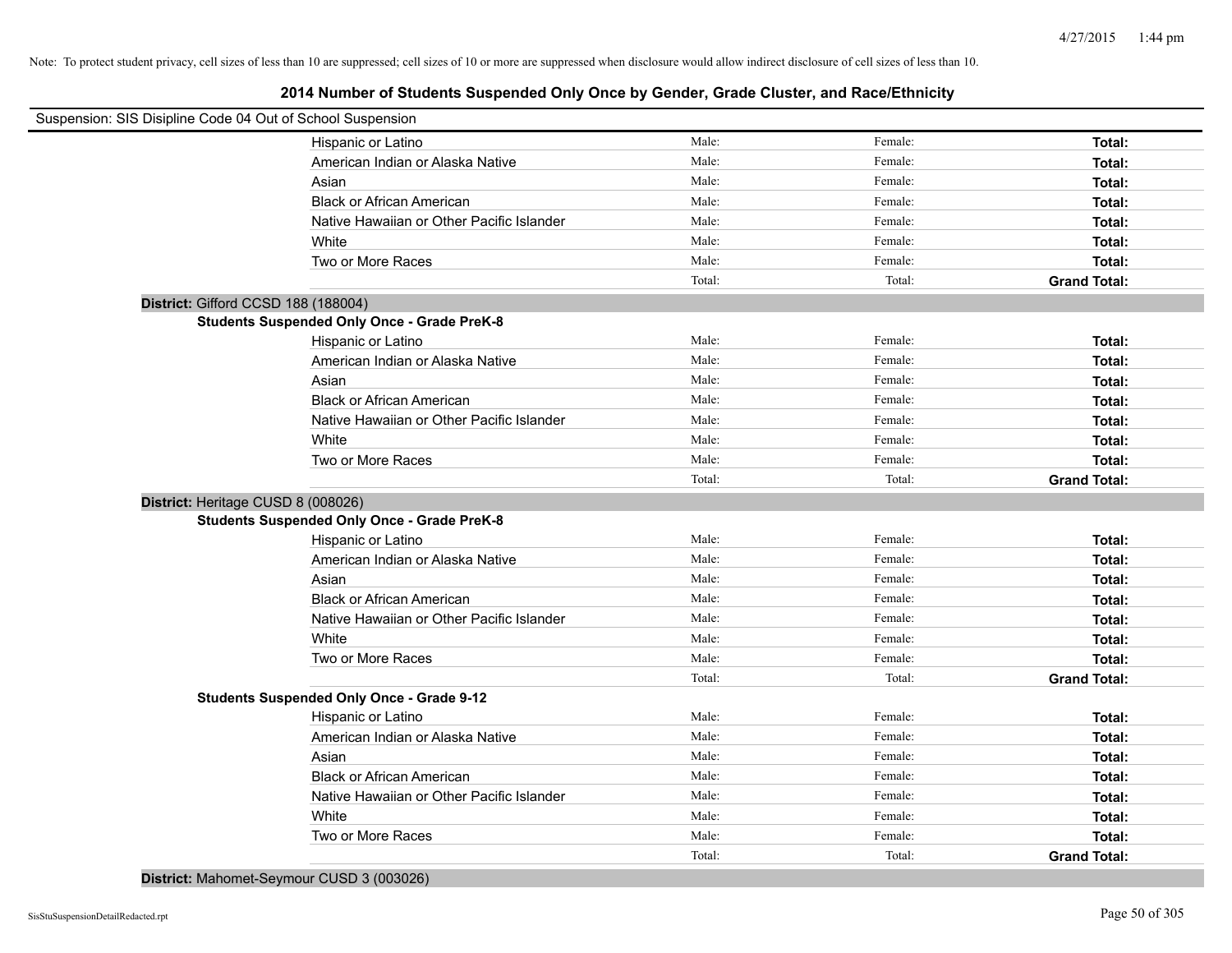# **2014 Number of Students Suspended Only Once by Gender, Grade Cluster, and Race/Ethnicity**

| Suspension: SIS Disipline Code 04 Out of School Suspension |                                                    |                 |                   |                               |
|------------------------------------------------------------|----------------------------------------------------|-----------------|-------------------|-------------------------------|
|                                                            | Hispanic or Latino                                 | Male:           | Female:           | Total:                        |
|                                                            | American Indian or Alaska Native                   | Male:           | Female:           | Total:                        |
|                                                            | Asian                                              | Male:           | Female:           | Total:                        |
|                                                            | <b>Black or African American</b>                   | Male:           | Female:           | Total:                        |
|                                                            | Native Hawaiian or Other Pacific Islander          | Male:           | Female:           | Total:                        |
|                                                            | White                                              | Male:           | Female:           | Total:                        |
|                                                            | Two or More Races                                  | Male:           | Female:           | Total:                        |
|                                                            |                                                    | Total:          | Total:            | <b>Grand Total:</b>           |
| District: Gifford CCSD 188 (188004)                        |                                                    |                 |                   |                               |
|                                                            | <b>Students Suspended Only Once - Grade PreK-8</b> |                 |                   |                               |
|                                                            | Hispanic or Latino                                 | Male:           | Female:           | Total:                        |
|                                                            | American Indian or Alaska Native                   | Male:           | Female:           | Total:                        |
|                                                            | Asian                                              | Male:           | Female:           | Total:                        |
|                                                            | <b>Black or African American</b>                   | Male:           | Female:           | Total:                        |
|                                                            | Native Hawaiian or Other Pacific Islander          | Male:           | Female:           | Total:                        |
|                                                            | White                                              | Male:           | Female:           | Total:                        |
|                                                            | Two or More Races                                  | Male:           | Female:           | Total:                        |
|                                                            |                                                    | Total:          | Total:            | <b>Grand Total:</b>           |
| District: Heritage CUSD 8 (008026)                         |                                                    |                 |                   |                               |
|                                                            | <b>Students Suspended Only Once - Grade PreK-8</b> |                 |                   |                               |
|                                                            | Hispanic or Latino                                 | Male:           | Female:           | Total:                        |
|                                                            | American Indian or Alaska Native                   | Male:           | Female:           | Total:                        |
|                                                            | Asian                                              | Male:           | Female:           | Total:                        |
|                                                            | <b>Black or African American</b>                   | Male:           | Female:           | Total:                        |
|                                                            | Native Hawaiian or Other Pacific Islander          | Male:           | Female:           | Total:                        |
|                                                            | White                                              | Male:           | Female:           | Total:                        |
|                                                            | Two or More Races                                  | Male:           | Female:           | Total:                        |
|                                                            |                                                    | Total:          | Total:            | <b>Grand Total:</b>           |
|                                                            | <b>Students Suspended Only Once - Grade 9-12</b>   |                 |                   |                               |
|                                                            | Hispanic or Latino                                 | Male:           | Female:           | Total:                        |
|                                                            | American Indian or Alaska Native                   | Male:           | Female:           | Total:                        |
|                                                            | Asian                                              | Male:           | Female:           | Total:                        |
|                                                            | <b>Black or African American</b>                   | Male:           | Female:           | Total:                        |
|                                                            | Native Hawaiian or Other Pacific Islander          | Male:           | Female:           | Total:                        |
|                                                            | White                                              | Male:           | Female:           | Total:                        |
|                                                            |                                                    |                 |                   |                               |
|                                                            | Two or More Races                                  | Male:<br>Total: | Female:<br>Total: | Total:<br><b>Grand Total:</b> |

**District:** Mahomet-Seymour CUSD 3 (003026)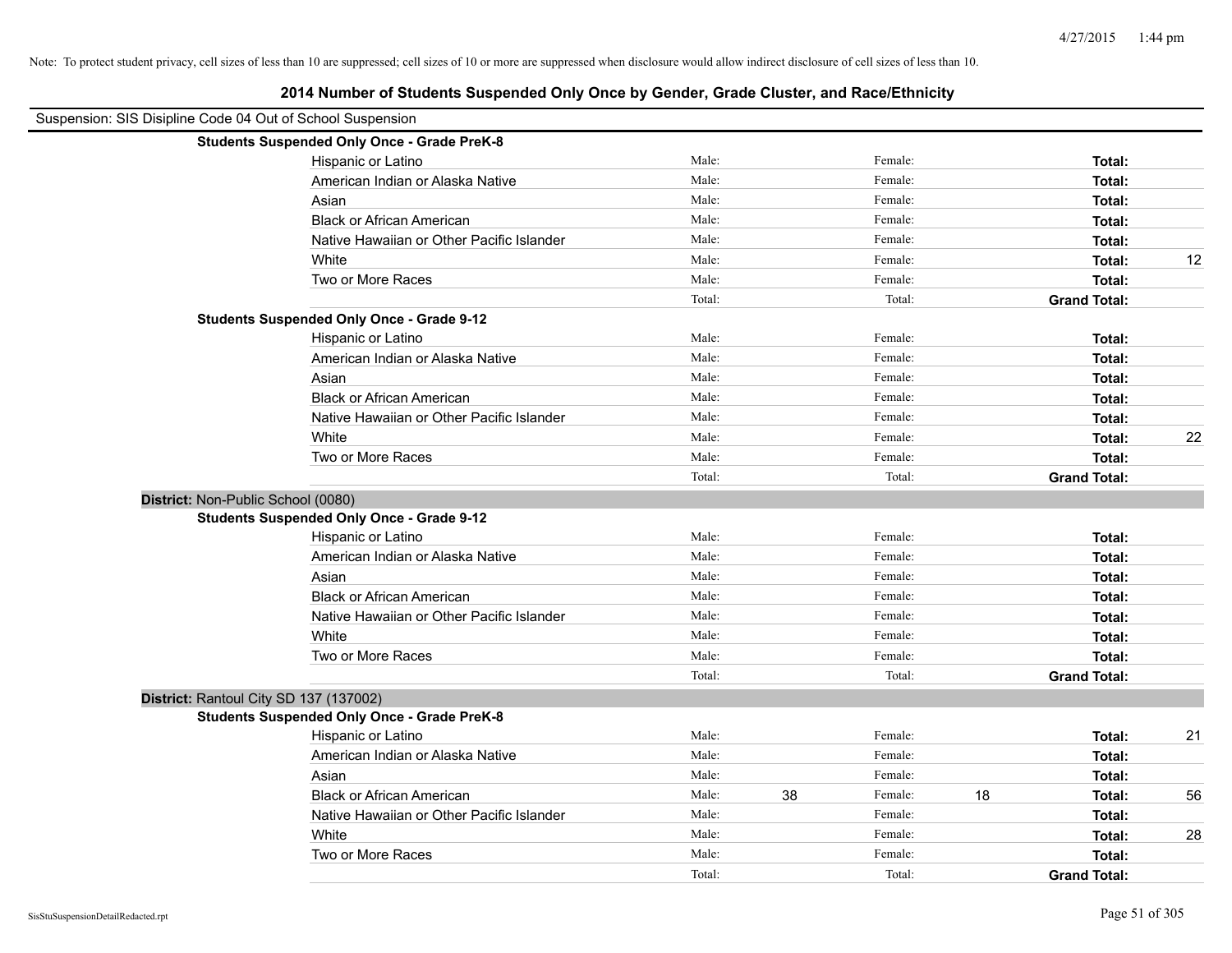|                                                            | 2014 Number of Students Suspended Only Once by Gender, Grade Cluster, and Race/Ethnicity |        |    |         |    |                     |    |
|------------------------------------------------------------|------------------------------------------------------------------------------------------|--------|----|---------|----|---------------------|----|
| Suspension: SIS Disipline Code 04 Out of School Suspension |                                                                                          |        |    |         |    |                     |    |
|                                                            | <b>Students Suspended Only Once - Grade PreK-8</b>                                       |        |    |         |    |                     |    |
|                                                            | Hispanic or Latino                                                                       | Male:  |    | Female: |    | Total:              |    |
|                                                            | American Indian or Alaska Native                                                         | Male:  |    | Female: |    | Total:              |    |
|                                                            | Asian                                                                                    | Male:  |    | Female: |    | Total:              |    |
|                                                            | <b>Black or African American</b>                                                         | Male:  |    | Female: |    | Total:              |    |
|                                                            | Native Hawaiian or Other Pacific Islander                                                | Male:  |    | Female: |    | Total:              |    |
|                                                            | White                                                                                    | Male:  |    | Female: |    | Total:              | 12 |
|                                                            | Two or More Races                                                                        | Male:  |    | Female: |    | Total:              |    |
|                                                            |                                                                                          | Total: |    | Total:  |    | <b>Grand Total:</b> |    |
|                                                            | <b>Students Suspended Only Once - Grade 9-12</b>                                         |        |    |         |    |                     |    |
|                                                            | Hispanic or Latino                                                                       | Male:  |    | Female: |    | Total:              |    |
|                                                            | American Indian or Alaska Native                                                         | Male:  |    | Female: |    | Total:              |    |
|                                                            | Asian                                                                                    | Male:  |    | Female: |    | Total:              |    |
|                                                            | <b>Black or African American</b>                                                         | Male:  |    | Female: |    | Total:              |    |
|                                                            | Native Hawaiian or Other Pacific Islander                                                | Male:  |    | Female: |    | Total:              |    |
|                                                            | White                                                                                    | Male:  |    | Female: |    | Total:              | 22 |
|                                                            | Two or More Races                                                                        | Male:  |    | Female: |    | Total:              |    |
|                                                            |                                                                                          | Total: |    | Total:  |    | <b>Grand Total:</b> |    |
|                                                            | District: Non-Public School (0080)                                                       |        |    |         |    |                     |    |
|                                                            | <b>Students Suspended Only Once - Grade 9-12</b>                                         |        |    |         |    |                     |    |
|                                                            | Hispanic or Latino                                                                       | Male:  |    | Female: |    | Total:              |    |
|                                                            | American Indian or Alaska Native                                                         | Male:  |    | Female: |    | Total:              |    |
|                                                            | Asian                                                                                    | Male:  |    | Female: |    | Total:              |    |
|                                                            | <b>Black or African American</b>                                                         | Male:  |    | Female: |    | Total:              |    |
|                                                            | Native Hawaiian or Other Pacific Islander                                                | Male:  |    | Female: |    | Total:              |    |
|                                                            | White                                                                                    | Male:  |    | Female: |    | Total:              |    |
|                                                            | Two or More Races                                                                        | Male:  |    | Female: |    | Total:              |    |
|                                                            |                                                                                          | Total: |    | Total:  |    | <b>Grand Total:</b> |    |
|                                                            | District: Rantoul City SD 137 (137002)                                                   |        |    |         |    |                     |    |
|                                                            | <b>Students Suspended Only Once - Grade PreK-8</b>                                       |        |    |         |    |                     |    |
|                                                            | Hispanic or Latino                                                                       | Male:  |    | Female: |    | Total:              | 21 |
|                                                            | American Indian or Alaska Native                                                         | Male:  |    | Female: |    | Total:              |    |
|                                                            | Asian                                                                                    | Male:  |    | Female: |    | Total:              |    |
|                                                            | <b>Black or African American</b>                                                         | Male:  | 38 | Female: | 18 | Total:              | 56 |
|                                                            | Native Hawaiian or Other Pacific Islander                                                | Male:  |    | Female: |    | Total:              |    |
|                                                            | White                                                                                    | Male:  |    | Female: |    | Total:              | 28 |
|                                                            | Two or More Races                                                                        | Male:  |    | Female: |    | Total:              |    |
|                                                            |                                                                                          | Total: |    | Total:  |    | <b>Grand Total:</b> |    |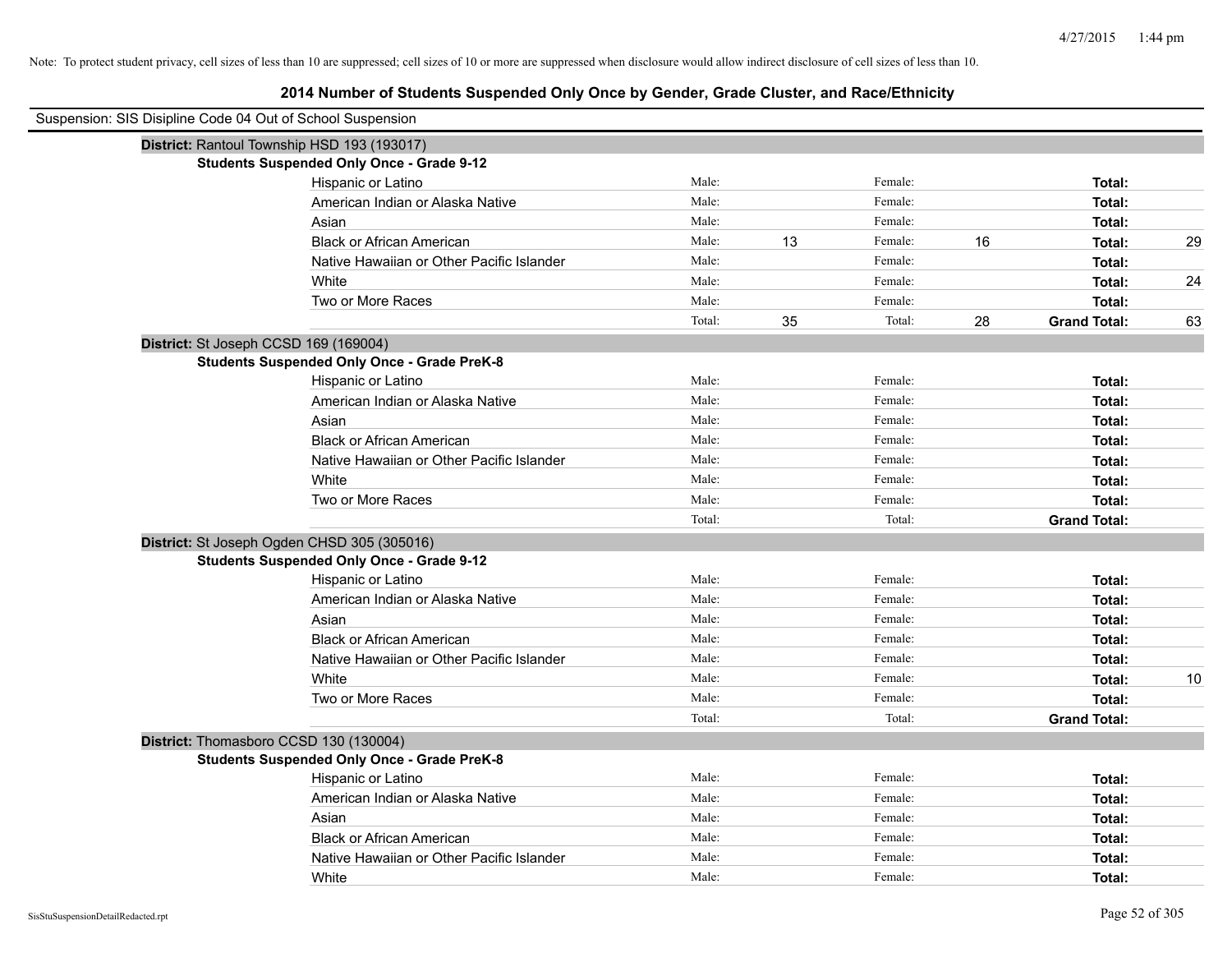# **2014 Number of Students Suspended Only Once by Gender, Grade Cluster, and Race/Ethnicity**

| Suspension: SIS Disipline Code 04 Out of School Suspension |                                                    |        |    |         |    |                     |    |
|------------------------------------------------------------|----------------------------------------------------|--------|----|---------|----|---------------------|----|
|                                                            | District: Rantoul Township HSD 193 (193017)        |        |    |         |    |                     |    |
|                                                            | <b>Students Suspended Only Once - Grade 9-12</b>   |        |    |         |    |                     |    |
|                                                            | Hispanic or Latino                                 | Male:  |    | Female: |    | Total:              |    |
|                                                            | American Indian or Alaska Native                   | Male:  |    | Female: |    | Total:              |    |
|                                                            | Asian                                              | Male:  |    | Female: |    | Total:              |    |
|                                                            | <b>Black or African American</b>                   | Male:  | 13 | Female: | 16 | Total:              | 29 |
|                                                            | Native Hawaiian or Other Pacific Islander          | Male:  |    | Female: |    | Total:              |    |
|                                                            | White                                              | Male:  |    | Female: |    | Total:              | 24 |
|                                                            | Two or More Races                                  | Male:  |    | Female: |    | Total:              |    |
|                                                            |                                                    | Total: | 35 | Total:  | 28 | <b>Grand Total:</b> | 63 |
| District: St Joseph CCSD 169 (169004)                      |                                                    |        |    |         |    |                     |    |
|                                                            | <b>Students Suspended Only Once - Grade PreK-8</b> |        |    |         |    |                     |    |
|                                                            | Hispanic or Latino                                 | Male:  |    | Female: |    | Total:              |    |
|                                                            | American Indian or Alaska Native                   | Male:  |    | Female: |    | Total:              |    |
|                                                            | Asian                                              | Male:  |    | Female: |    | Total:              |    |
|                                                            | <b>Black or African American</b>                   | Male:  |    | Female: |    | Total:              |    |
|                                                            | Native Hawaiian or Other Pacific Islander          | Male:  |    | Female: |    | Total:              |    |
|                                                            | White                                              | Male:  |    | Female: |    | Total:              |    |
|                                                            | Two or More Races                                  | Male:  |    | Female: |    | Total:              |    |
|                                                            |                                                    | Total: |    | Total:  |    | <b>Grand Total:</b> |    |
|                                                            | District: St Joseph Ogden CHSD 305 (305016)        |        |    |         |    |                     |    |
|                                                            | <b>Students Suspended Only Once - Grade 9-12</b>   |        |    |         |    |                     |    |
|                                                            | Hispanic or Latino                                 | Male:  |    | Female: |    | Total:              |    |
|                                                            | American Indian or Alaska Native                   | Male:  |    | Female: |    | Total:              |    |
|                                                            | Asian                                              | Male:  |    | Female: |    | Total:              |    |
|                                                            | <b>Black or African American</b>                   | Male:  |    | Female: |    | Total:              |    |
|                                                            | Native Hawaiian or Other Pacific Islander          | Male:  |    | Female: |    | Total:              |    |
|                                                            | White                                              | Male:  |    | Female: |    | Total:              | 10 |
|                                                            | Two or More Races                                  | Male:  |    | Female: |    | Total:              |    |
|                                                            |                                                    | Total: |    | Total:  |    | <b>Grand Total:</b> |    |
| District: Thomasboro CCSD 130 (130004)                     |                                                    |        |    |         |    |                     |    |
|                                                            | <b>Students Suspended Only Once - Grade PreK-8</b> |        |    |         |    |                     |    |
|                                                            | Hispanic or Latino                                 | Male:  |    | Female: |    | Total:              |    |
|                                                            | American Indian or Alaska Native                   | Male:  |    | Female: |    | Total:              |    |
|                                                            | Asian                                              | Male:  |    | Female: |    | Total:              |    |
|                                                            | <b>Black or African American</b>                   | Male:  |    | Female: |    | Total:              |    |
|                                                            | Native Hawaiian or Other Pacific Islander          | Male:  |    | Female: |    | Total:              |    |
|                                                            | White                                              | Male:  |    | Female: |    | Total:              |    |

 $\overline{\phantom{0}}$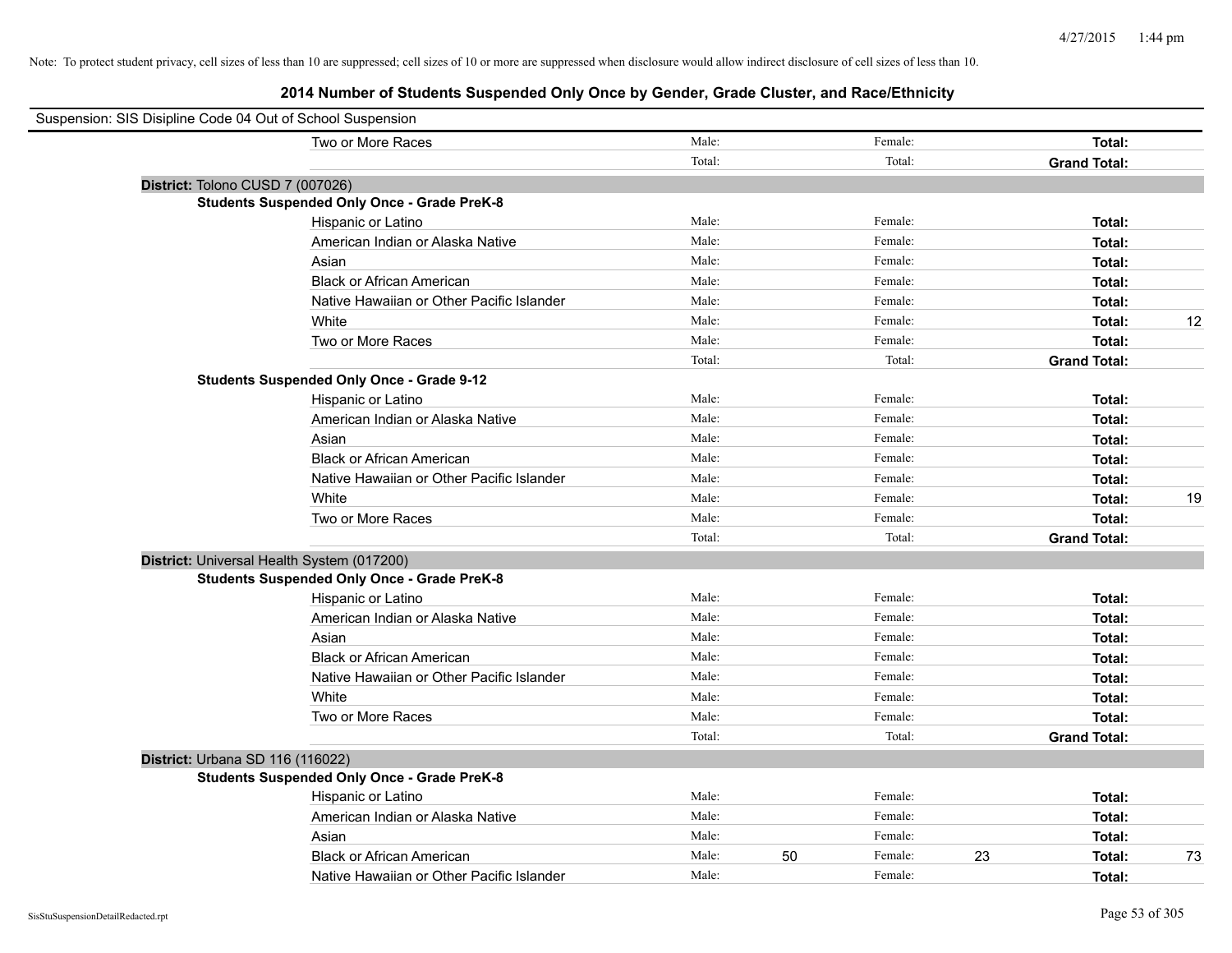| Suspension: SIS Disipline Code 04 Out of School Suspension |        |    |         |                     |        |    |
|------------------------------------------------------------|--------|----|---------|---------------------|--------|----|
| Two or More Races                                          | Male:  |    | Female: |                     | Total: |    |
|                                                            | Total: |    | Total:  | <b>Grand Total:</b> |        |    |
| District: Tolono CUSD 7 (007026)                           |        |    |         |                     |        |    |
| <b>Students Suspended Only Once - Grade PreK-8</b>         |        |    |         |                     |        |    |
| Hispanic or Latino                                         | Male:  |    | Female: |                     | Total: |    |
| American Indian or Alaska Native                           | Male:  |    | Female: |                     | Total: |    |
| Asian                                                      | Male:  |    | Female: |                     | Total: |    |
| <b>Black or African American</b>                           | Male:  |    | Female: |                     | Total: |    |
| Native Hawaiian or Other Pacific Islander                  | Male:  |    | Female: |                     | Total: |    |
| White                                                      | Male:  |    | Female: |                     | Total: | 12 |
| Two or More Races                                          | Male:  |    | Female: |                     | Total: |    |
|                                                            | Total: |    | Total:  | <b>Grand Total:</b> |        |    |
| <b>Students Suspended Only Once - Grade 9-12</b>           |        |    |         |                     |        |    |
| Hispanic or Latino                                         | Male:  |    | Female: |                     | Total: |    |
| American Indian or Alaska Native                           | Male:  |    | Female: |                     | Total: |    |
| Asian                                                      | Male:  |    | Female: |                     | Total: |    |
| <b>Black or African American</b>                           | Male:  |    | Female: |                     | Total: |    |
| Native Hawaiian or Other Pacific Islander                  | Male:  |    | Female: |                     | Total: |    |
| White                                                      | Male:  |    | Female: |                     | Total: | 19 |
| Two or More Races                                          | Male:  |    | Female: |                     | Total: |    |
|                                                            | Total: |    | Total:  | <b>Grand Total:</b> |        |    |
| District: Universal Health System (017200)                 |        |    |         |                     |        |    |
| <b>Students Suspended Only Once - Grade PreK-8</b>         |        |    |         |                     |        |    |
| Hispanic or Latino                                         | Male:  |    | Female: |                     | Total: |    |
| American Indian or Alaska Native                           | Male:  |    | Female: |                     | Total: |    |
| Asian                                                      | Male:  |    | Female: |                     | Total: |    |
| <b>Black or African American</b>                           | Male:  |    | Female: |                     | Total: |    |
| Native Hawaiian or Other Pacific Islander                  | Male:  |    | Female: |                     | Total: |    |
| White                                                      | Male:  |    | Female: |                     | Total: |    |
| Two or More Races                                          | Male:  |    | Female: |                     | Total: |    |
|                                                            | Total: |    | Total:  | <b>Grand Total:</b> |        |    |
| District: Urbana SD 116 (116022)                           |        |    |         |                     |        |    |
| <b>Students Suspended Only Once - Grade PreK-8</b>         |        |    |         |                     |        |    |
| Hispanic or Latino                                         | Male:  |    | Female: |                     | Total: |    |
| American Indian or Alaska Native                           | Male:  |    | Female: |                     | Total: |    |
| Asian                                                      | Male:  |    | Female: |                     | Total: |    |
| <b>Black or African American</b>                           | Male:  | 50 | Female: | 23                  | Total: | 73 |
| Native Hawaiian or Other Pacific Islander                  | Male:  |    | Female: |                     | Total: |    |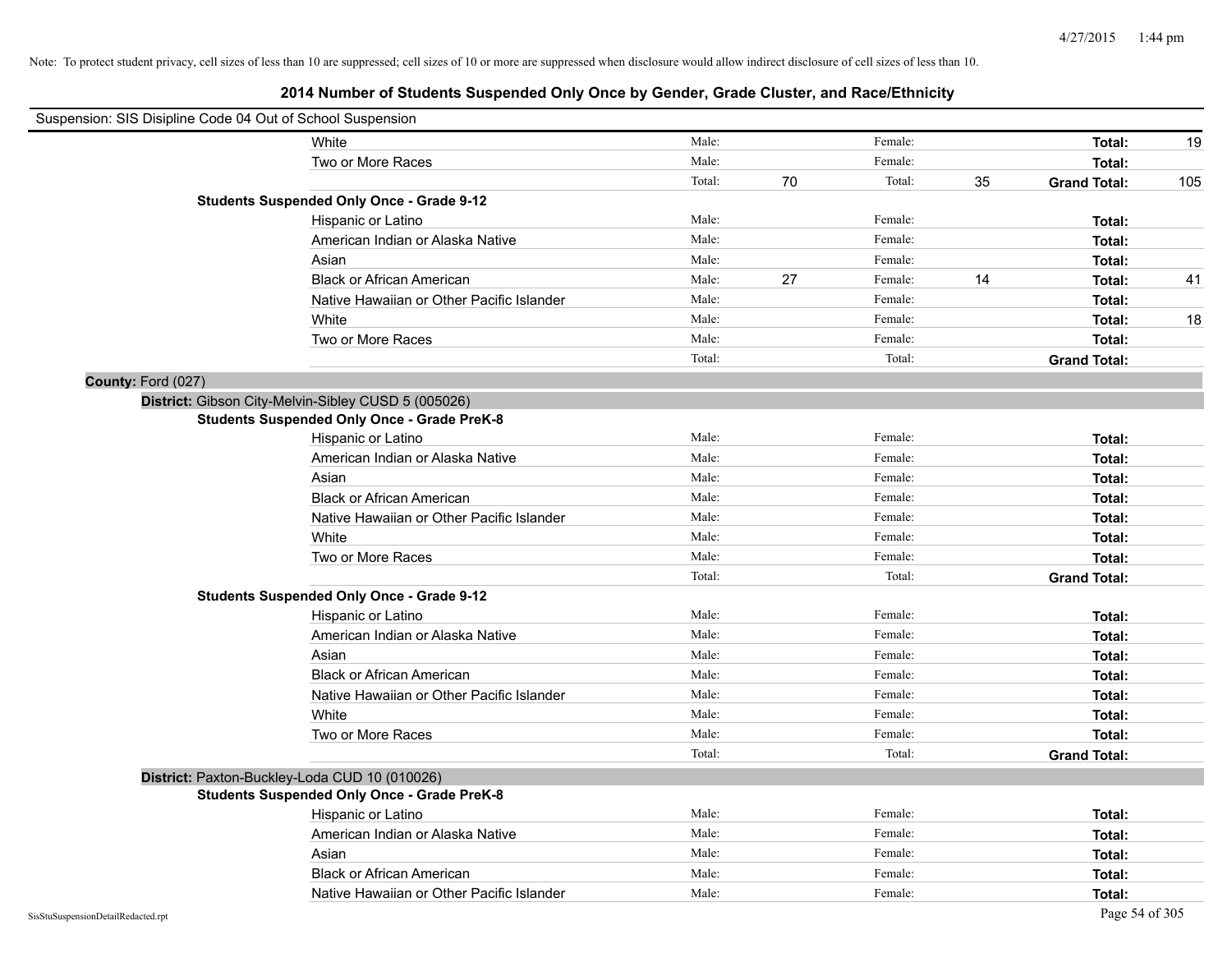|                                    | Suspension: SIS Disipline Code 04 Out of School Suspension |        |    |         |    |                     |     |
|------------------------------------|------------------------------------------------------------|--------|----|---------|----|---------------------|-----|
|                                    | White                                                      | Male:  |    | Female: |    | Total:              | 19  |
|                                    | Two or More Races                                          | Male:  |    | Female: |    | Total:              |     |
|                                    |                                                            | Total: | 70 | Total:  | 35 | <b>Grand Total:</b> | 105 |
|                                    | <b>Students Suspended Only Once - Grade 9-12</b>           |        |    |         |    |                     |     |
|                                    | Hispanic or Latino                                         | Male:  |    | Female: |    | Total:              |     |
|                                    | American Indian or Alaska Native                           | Male:  |    | Female: |    | Total:              |     |
|                                    | Asian                                                      | Male:  |    | Female: |    | Total:              |     |
|                                    | <b>Black or African American</b>                           | Male:  | 27 | Female: | 14 | Total:              | 41  |
|                                    | Native Hawaiian or Other Pacific Islander                  | Male:  |    | Female: |    | Total:              |     |
|                                    | White                                                      | Male:  |    | Female: |    | Total:              | 18  |
|                                    | Two or More Races                                          | Male:  |    | Female: |    | Total:              |     |
|                                    |                                                            | Total: |    | Total:  |    | <b>Grand Total:</b> |     |
| County: Ford (027)                 |                                                            |        |    |         |    |                     |     |
|                                    | District: Gibson City-Melvin-Sibley CUSD 5 (005026)        |        |    |         |    |                     |     |
|                                    | <b>Students Suspended Only Once - Grade PreK-8</b>         |        |    |         |    |                     |     |
|                                    | Hispanic or Latino                                         | Male:  |    | Female: |    | Total:              |     |
|                                    | American Indian or Alaska Native                           | Male:  |    | Female: |    | Total:              |     |
|                                    | Asian                                                      | Male:  |    | Female: |    | Total:              |     |
|                                    | <b>Black or African American</b>                           | Male:  |    | Female: |    | Total:              |     |
|                                    | Native Hawaiian or Other Pacific Islander                  | Male:  |    | Female: |    | Total:              |     |
|                                    | White                                                      | Male:  |    | Female: |    | Total:              |     |
|                                    | Two or More Races                                          | Male:  |    | Female: |    | Total:              |     |
|                                    |                                                            | Total: |    | Total:  |    | <b>Grand Total:</b> |     |
|                                    | <b>Students Suspended Only Once - Grade 9-12</b>           |        |    |         |    |                     |     |
|                                    | Hispanic or Latino                                         | Male:  |    | Female: |    | Total:              |     |
|                                    | American Indian or Alaska Native                           | Male:  |    | Female: |    | Total:              |     |
|                                    | Asian                                                      | Male:  |    | Female: |    | Total:              |     |
|                                    | <b>Black or African American</b>                           | Male:  |    | Female: |    | Total:              |     |
|                                    | Native Hawaiian or Other Pacific Islander                  | Male:  |    | Female: |    | Total:              |     |
|                                    | White                                                      | Male:  |    | Female: |    | Total:              |     |
|                                    | Two or More Races                                          | Male:  |    | Female: |    | Total:              |     |
|                                    |                                                            | Total: |    | Total:  |    | <b>Grand Total:</b> |     |
|                                    | District: Paxton-Buckley-Loda CUD 10 (010026)              |        |    |         |    |                     |     |
|                                    | <b>Students Suspended Only Once - Grade PreK-8</b>         |        |    |         |    |                     |     |
|                                    | Hispanic or Latino                                         | Male:  |    | Female: |    | Total:              |     |
|                                    | American Indian or Alaska Native                           | Male:  |    | Female: |    | Total:              |     |
|                                    | Asian                                                      | Male:  |    | Female: |    | Total:              |     |
|                                    | <b>Black or African American</b>                           | Male:  |    | Female: |    | Total:              |     |
|                                    | Native Hawaiian or Other Pacific Islander                  | Male:  |    | Female: |    | Total:              |     |
| SisStuSuspensionDetailRedacted.rpt |                                                            |        |    |         |    | Page 54 of 305      |     |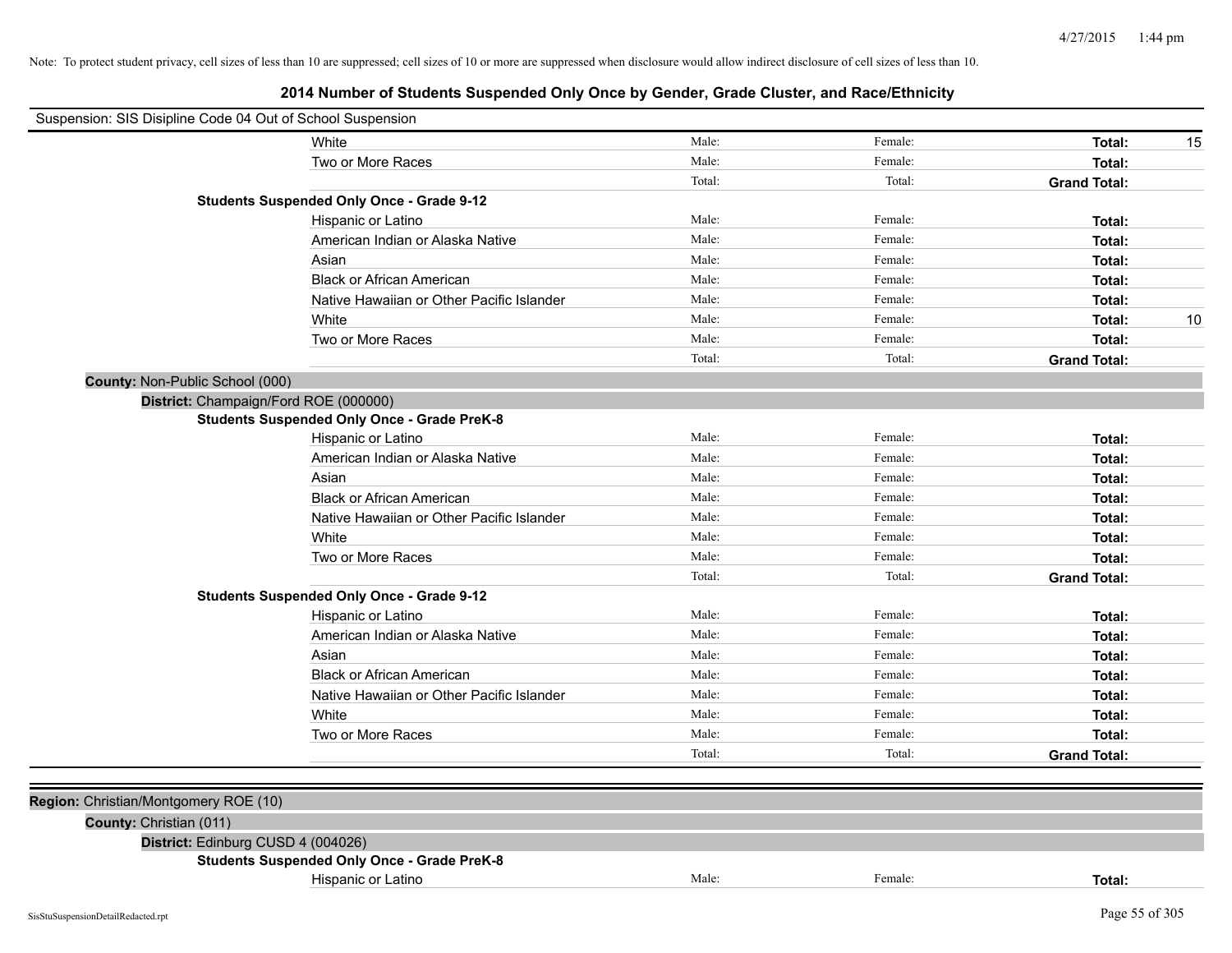| Suspension: SIS Disipline Code 04 Out of School Suspension |                                                    |        |         |                     |
|------------------------------------------------------------|----------------------------------------------------|--------|---------|---------------------|
|                                                            | White                                              | Male:  | Female: | Total:<br>15        |
|                                                            | Two or More Races                                  | Male:  | Female: | Total:              |
|                                                            |                                                    | Total: | Total:  | <b>Grand Total:</b> |
|                                                            | <b>Students Suspended Only Once - Grade 9-12</b>   |        |         |                     |
|                                                            | Hispanic or Latino                                 | Male:  | Female: | Total:              |
|                                                            | American Indian or Alaska Native                   | Male:  | Female: | Total:              |
|                                                            | Asian                                              | Male:  | Female: | Total:              |
|                                                            | <b>Black or African American</b>                   | Male:  | Female: | Total:              |
|                                                            | Native Hawaiian or Other Pacific Islander          | Male:  | Female: | Total:              |
|                                                            | White                                              | Male:  | Female: | 10<br>Total:        |
|                                                            | Two or More Races                                  | Male:  | Female: | Total:              |
|                                                            |                                                    | Total: | Total:  | <b>Grand Total:</b> |
| County: Non-Public School (000)                            |                                                    |        |         |                     |
|                                                            | District: Champaign/Ford ROE (000000)              |        |         |                     |
|                                                            | <b>Students Suspended Only Once - Grade PreK-8</b> |        |         |                     |
|                                                            | Hispanic or Latino                                 | Male:  | Female: | Total:              |
|                                                            | American Indian or Alaska Native                   | Male:  | Female: | Total:              |
|                                                            | Asian                                              | Male:  | Female: | Total:              |
|                                                            | <b>Black or African American</b>                   | Male:  | Female: | Total:              |
|                                                            | Native Hawaiian or Other Pacific Islander          | Male:  | Female: | Total:              |
|                                                            | White                                              | Male:  | Female: | Total:              |
|                                                            | Two or More Races                                  | Male:  | Female: | Total:              |
|                                                            |                                                    | Total: | Total:  | <b>Grand Total:</b> |
|                                                            | <b>Students Suspended Only Once - Grade 9-12</b>   |        |         |                     |
|                                                            | Hispanic or Latino                                 | Male:  | Female: | Total:              |
|                                                            | American Indian or Alaska Native                   | Male:  | Female: | Total:              |
|                                                            | Asian                                              | Male:  | Female: | Total:              |
|                                                            | <b>Black or African American</b>                   | Male:  | Female: | Total:              |
|                                                            | Native Hawaiian or Other Pacific Islander          | Male:  | Female: | Total:              |
|                                                            | White                                              | Male:  | Female: | Total:              |
|                                                            | Two or More Races                                  | Male:  | Female: | Total:              |
|                                                            |                                                    | Total: | Total:  | <b>Grand Total:</b> |
|                                                            |                                                    |        |         |                     |
| Region: Christian/Montgomery ROE (10)                      |                                                    |        |         |                     |
| County: Christian (011)                                    |                                                    |        |         |                     |
| District: Edinburg CUSD 4 (004026)                         |                                                    |        |         |                     |
|                                                            | <b>Students Suspended Only Once - Grade PreK-8</b> |        |         |                     |
|                                                            | Hispanic or Latino                                 | Male:  | Female: | Total:              |
|                                                            |                                                    |        |         |                     |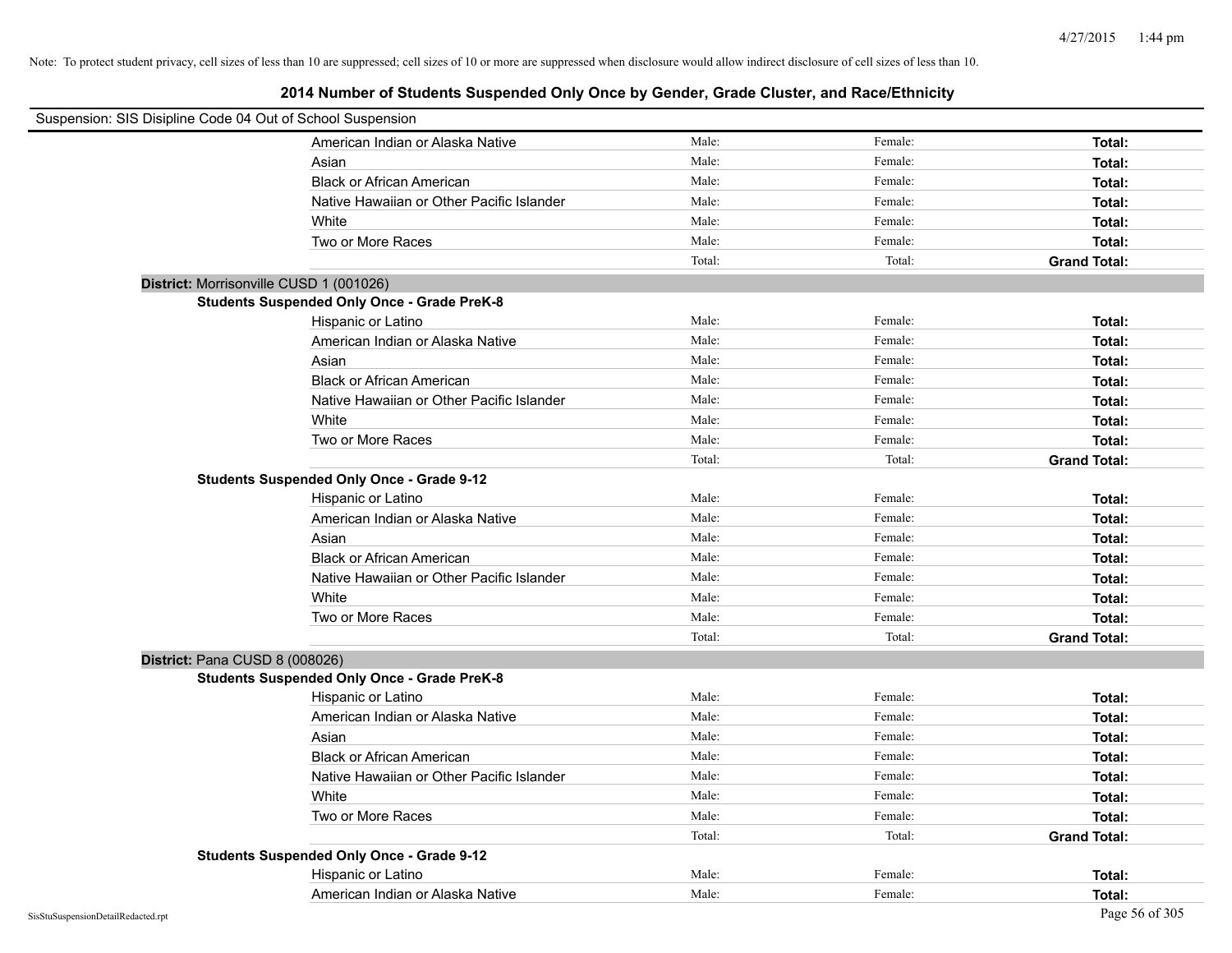| Suspension: SIS Disipline Code 04 Out of School Suspension |                                                    |        |         |                     |
|------------------------------------------------------------|----------------------------------------------------|--------|---------|---------------------|
|                                                            | American Indian or Alaska Native                   | Male:  | Female: | Total:              |
|                                                            | Asian                                              | Male:  | Female: | Total:              |
|                                                            | <b>Black or African American</b>                   | Male:  | Female: | Total:              |
|                                                            | Native Hawaiian or Other Pacific Islander          | Male:  | Female: | Total:              |
|                                                            | White                                              | Male:  | Female: | Total:              |
|                                                            | Two or More Races                                  | Male:  | Female: | Total:              |
|                                                            |                                                    | Total: | Total:  | <b>Grand Total:</b> |
| District: Morrisonville CUSD 1 (001026)                    |                                                    |        |         |                     |
|                                                            | <b>Students Suspended Only Once - Grade PreK-8</b> |        |         |                     |
|                                                            | Hispanic or Latino                                 | Male:  | Female: | Total:              |
|                                                            | American Indian or Alaska Native                   | Male:  | Female: | Total:              |
|                                                            | Asian                                              | Male:  | Female: | Total:              |
|                                                            | <b>Black or African American</b>                   | Male:  | Female: | Total:              |
|                                                            | Native Hawaiian or Other Pacific Islander          | Male:  | Female: | Total:              |
|                                                            | White                                              | Male:  | Female: | Total:              |
|                                                            | Two or More Races                                  | Male:  | Female: | Total:              |
|                                                            |                                                    | Total: | Total:  | <b>Grand Total:</b> |
|                                                            | <b>Students Suspended Only Once - Grade 9-12</b>   |        |         |                     |
|                                                            | Hispanic or Latino                                 | Male:  | Female: | Total:              |
|                                                            | American Indian or Alaska Native                   | Male:  | Female: | Total:              |
|                                                            | Asian                                              | Male:  | Female: | Total:              |
|                                                            | <b>Black or African American</b>                   | Male:  | Female: | Total:              |
|                                                            | Native Hawaiian or Other Pacific Islander          | Male:  | Female: | Total:              |
|                                                            | White                                              | Male:  | Female: | Total:              |
|                                                            | Two or More Races                                  | Male:  | Female: | Total:              |
|                                                            |                                                    | Total: | Total:  | <b>Grand Total:</b> |
| District: Pana CUSD 8 (008026)                             |                                                    |        |         |                     |
|                                                            | <b>Students Suspended Only Once - Grade PreK-8</b> |        |         |                     |
|                                                            | Hispanic or Latino                                 | Male:  | Female: | Total:              |
|                                                            | American Indian or Alaska Native                   | Male:  | Female: | Total:              |
|                                                            | Asian                                              | Male:  | Female: | Total:              |
|                                                            | <b>Black or African American</b>                   | Male:  | Female: | Total:              |
|                                                            | Native Hawaiian or Other Pacific Islander          | Male:  | Female: | Total:              |
|                                                            | White                                              | Male:  | Female: | Total:              |
|                                                            | Two or More Races                                  | Male:  | Female: | Total:              |
|                                                            |                                                    | Total: | Total:  | <b>Grand Total:</b> |
|                                                            | <b>Students Suspended Only Once - Grade 9-12</b>   |        |         |                     |
|                                                            | Hispanic or Latino                                 | Male:  | Female: | Total:              |
|                                                            | American Indian or Alaska Native                   | Male:  | Female: | Total:              |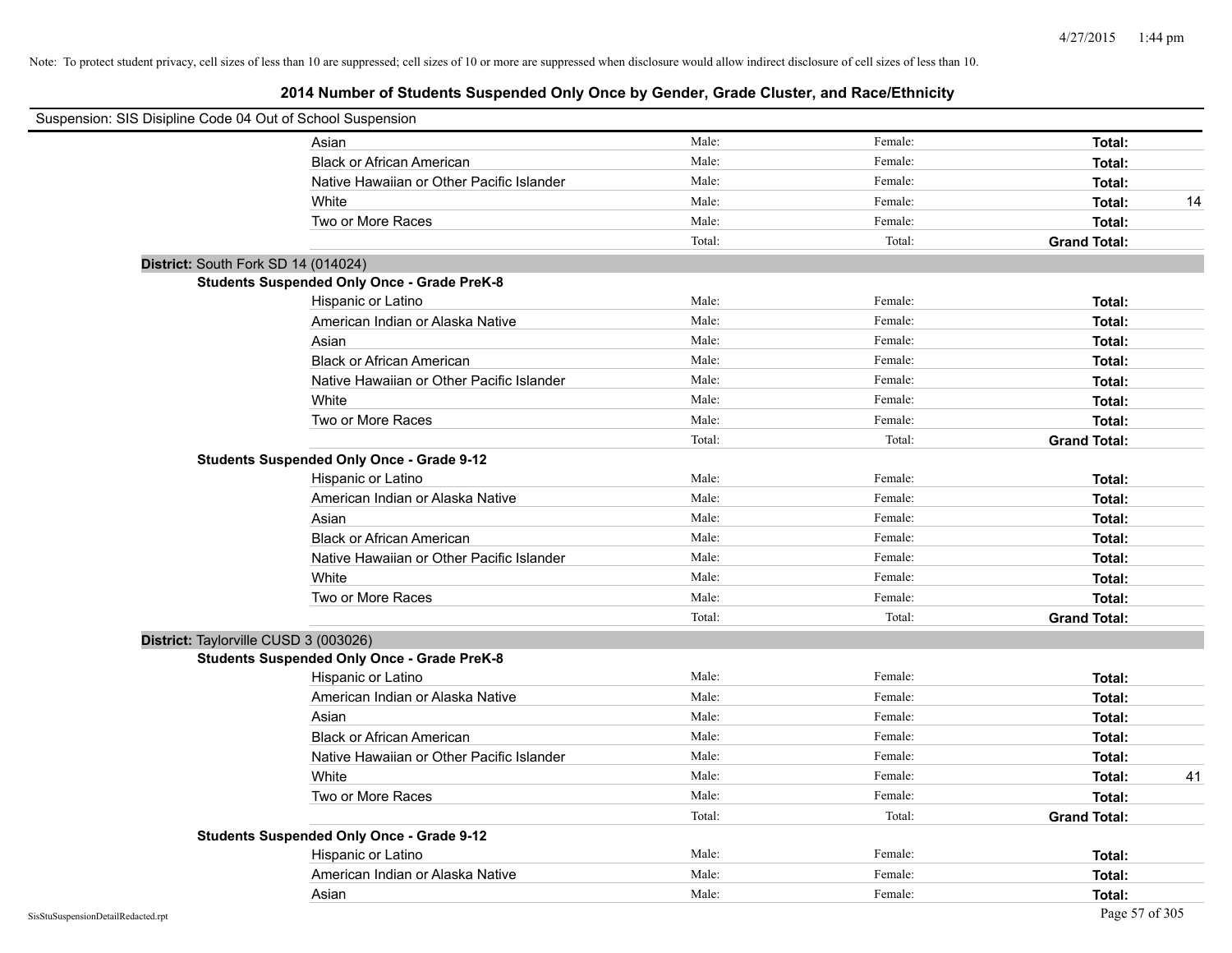| Suspension: SIS Disipline Code 04 Out of School Suspension |                                                    |        |         |                     |    |
|------------------------------------------------------------|----------------------------------------------------|--------|---------|---------------------|----|
|                                                            | Asian                                              | Male:  | Female: | Total:              |    |
|                                                            | <b>Black or African American</b>                   | Male:  | Female: | Total:              |    |
|                                                            | Native Hawaiian or Other Pacific Islander          | Male:  | Female: | Total:              |    |
|                                                            | White                                              | Male:  | Female: | Total:              | 14 |
|                                                            | Two or More Races                                  | Male:  | Female: | Total:              |    |
|                                                            |                                                    | Total: | Total:  | <b>Grand Total:</b> |    |
| District: South Fork SD 14 (014024)                        |                                                    |        |         |                     |    |
|                                                            | <b>Students Suspended Only Once - Grade PreK-8</b> |        |         |                     |    |
|                                                            | Hispanic or Latino                                 | Male:  | Female: | Total:              |    |
|                                                            | American Indian or Alaska Native                   | Male:  | Female: | Total:              |    |
|                                                            | Asian                                              | Male:  | Female: | Total:              |    |
|                                                            | <b>Black or African American</b>                   | Male:  | Female: | Total:              |    |
|                                                            | Native Hawaiian or Other Pacific Islander          | Male:  | Female: | Total:              |    |
|                                                            | White                                              | Male:  | Female: | Total:              |    |
|                                                            | Two or More Races                                  | Male:  | Female: | Total:              |    |
|                                                            |                                                    | Total: | Total:  | <b>Grand Total:</b> |    |
|                                                            | <b>Students Suspended Only Once - Grade 9-12</b>   |        |         |                     |    |
|                                                            | Hispanic or Latino                                 | Male:  | Female: | Total:              |    |
|                                                            | American Indian or Alaska Native                   | Male:  | Female: | Total:              |    |
|                                                            | Asian                                              | Male:  | Female: | Total:              |    |
|                                                            | <b>Black or African American</b>                   | Male:  | Female: | Total:              |    |
|                                                            | Native Hawaiian or Other Pacific Islander          | Male:  | Female: | Total:              |    |
|                                                            | White                                              | Male:  | Female: | Total:              |    |
|                                                            | Two or More Races                                  | Male:  | Female: | Total:              |    |
|                                                            |                                                    | Total: | Total:  | <b>Grand Total:</b> |    |
| District: Taylorville CUSD 3 (003026)                      |                                                    |        |         |                     |    |
|                                                            | <b>Students Suspended Only Once - Grade PreK-8</b> |        |         |                     |    |
|                                                            | Hispanic or Latino                                 | Male:  | Female: | Total:              |    |
|                                                            | American Indian or Alaska Native                   | Male:  | Female: | Total:              |    |
|                                                            | Asian                                              | Male:  | Female: | Total:              |    |
|                                                            | <b>Black or African American</b>                   | Male:  | Female: | Total:              |    |
|                                                            | Native Hawaiian or Other Pacific Islander          | Male:  | Female: | Total:              |    |
|                                                            | White                                              | Male:  | Female: | Total:              | 41 |
|                                                            | Two or More Races                                  | Male:  | Female: | Total:              |    |
|                                                            |                                                    | Total: | Total:  | <b>Grand Total:</b> |    |
|                                                            | <b>Students Suspended Only Once - Grade 9-12</b>   |        |         |                     |    |
|                                                            | Hispanic or Latino                                 | Male:  | Female: | Total:              |    |
|                                                            | American Indian or Alaska Native                   | Male:  | Female: | Total:              |    |
|                                                            | Asian                                              | Male:  | Female: | Total:              |    |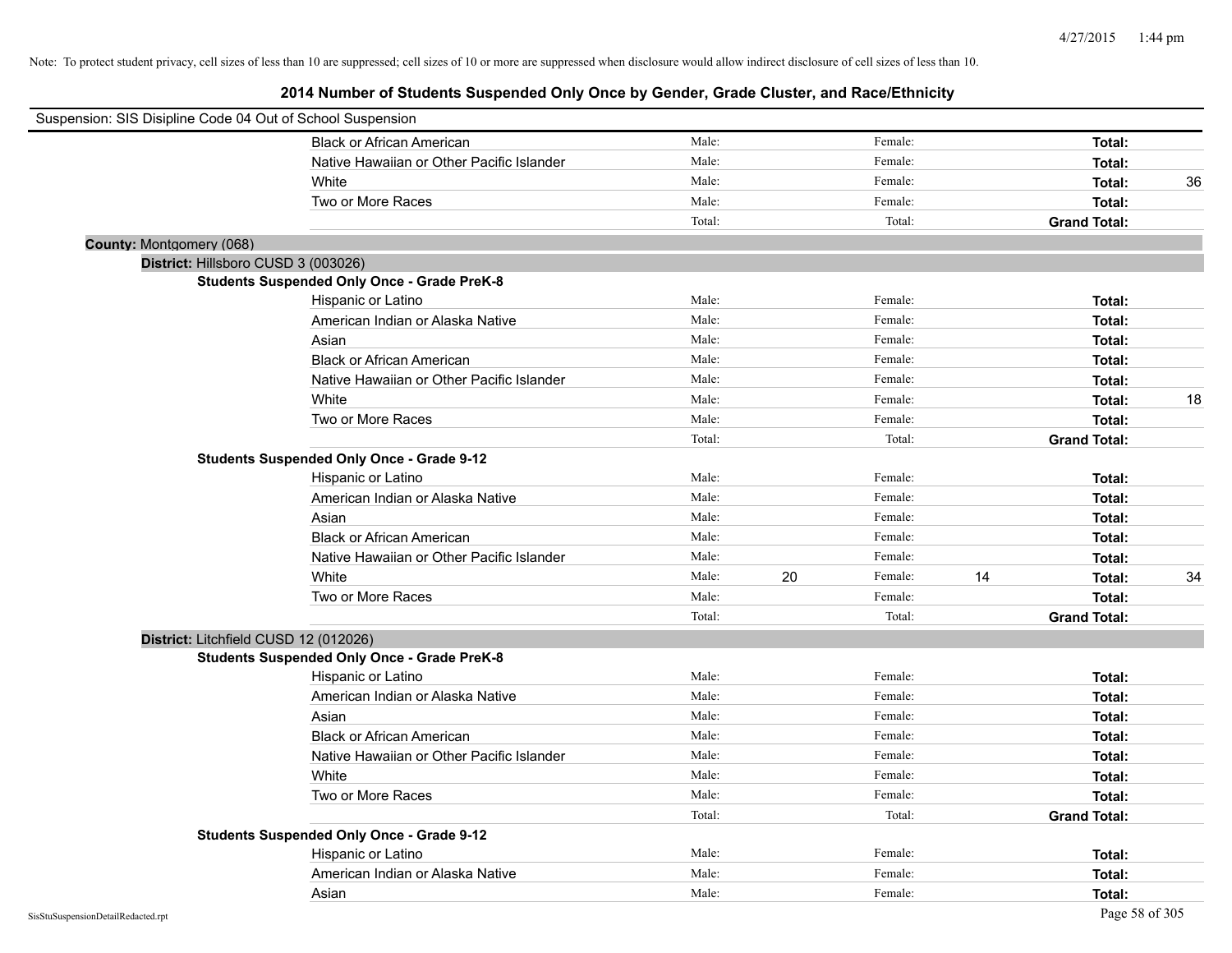| Suspension: SIS Disipline Code 04 Out of School Suspension |                                                    |        |    |         |    |                     |    |
|------------------------------------------------------------|----------------------------------------------------|--------|----|---------|----|---------------------|----|
|                                                            | <b>Black or African American</b>                   | Male:  |    | Female: |    | Total:              |    |
|                                                            | Native Hawaiian or Other Pacific Islander          | Male:  |    | Female: |    | Total:              |    |
|                                                            | White                                              | Male:  |    | Female: |    | Total:              | 36 |
|                                                            | Two or More Races                                  | Male:  |    | Female: |    | Total:              |    |
|                                                            |                                                    | Total: |    | Total:  |    | <b>Grand Total:</b> |    |
| County: Montgomery (068)                                   |                                                    |        |    |         |    |                     |    |
| District: Hillsboro CUSD 3 (003026)                        |                                                    |        |    |         |    |                     |    |
|                                                            | <b>Students Suspended Only Once - Grade PreK-8</b> |        |    |         |    |                     |    |
|                                                            | Hispanic or Latino                                 | Male:  |    | Female: |    | Total:              |    |
|                                                            | American Indian or Alaska Native                   | Male:  |    | Female: |    | Total:              |    |
|                                                            | Asian                                              | Male:  |    | Female: |    | Total:              |    |
|                                                            | <b>Black or African American</b>                   | Male:  |    | Female: |    | Total:              |    |
|                                                            | Native Hawaiian or Other Pacific Islander          | Male:  |    | Female: |    | Total:              |    |
|                                                            | White                                              | Male:  |    | Female: |    | Total:              | 18 |
|                                                            | Two or More Races                                  | Male:  |    | Female: |    | Total:              |    |
|                                                            |                                                    | Total: |    | Total:  |    | <b>Grand Total:</b> |    |
|                                                            | <b>Students Suspended Only Once - Grade 9-12</b>   |        |    |         |    |                     |    |
|                                                            | Hispanic or Latino                                 | Male:  |    | Female: |    | Total:              |    |
|                                                            | American Indian or Alaska Native                   | Male:  |    | Female: |    | Total:              |    |
|                                                            | Asian                                              | Male:  |    | Female: |    | Total:              |    |
|                                                            | <b>Black or African American</b>                   | Male:  |    | Female: |    | Total:              |    |
|                                                            | Native Hawaiian or Other Pacific Islander          | Male:  |    | Female: |    | Total:              |    |
|                                                            | White                                              | Male:  | 20 | Female: | 14 | Total:              | 34 |
|                                                            | Two or More Races                                  | Male:  |    | Female: |    | Total:              |    |
|                                                            |                                                    | Total: |    | Total:  |    | <b>Grand Total:</b> |    |
| District: Litchfield CUSD 12 (012026)                      |                                                    |        |    |         |    |                     |    |
|                                                            | <b>Students Suspended Only Once - Grade PreK-8</b> |        |    |         |    |                     |    |
|                                                            | Hispanic or Latino                                 | Male:  |    | Female: |    | Total:              |    |
|                                                            | American Indian or Alaska Native                   | Male:  |    | Female: |    | Total:              |    |
|                                                            | Asian                                              | Male:  |    | Female: |    | Total:              |    |
|                                                            | <b>Black or African American</b>                   | Male:  |    | Female: |    | Total:              |    |
|                                                            | Native Hawaiian or Other Pacific Islander          | Male:  |    | Female: |    | Total:              |    |
|                                                            | White                                              | Male:  |    | Female: |    | Total:              |    |
|                                                            | Two or More Races                                  | Male:  |    | Female: |    | Total:              |    |
|                                                            |                                                    | Total: |    | Total:  |    | <b>Grand Total:</b> |    |
|                                                            | <b>Students Suspended Only Once - Grade 9-12</b>   |        |    |         |    |                     |    |
|                                                            | Hispanic or Latino                                 | Male:  |    | Female: |    | Total:              |    |
|                                                            | American Indian or Alaska Native                   | Male:  |    | Female: |    | Total:              |    |
|                                                            | Asian                                              | Male:  |    | Female: |    | Total:              |    |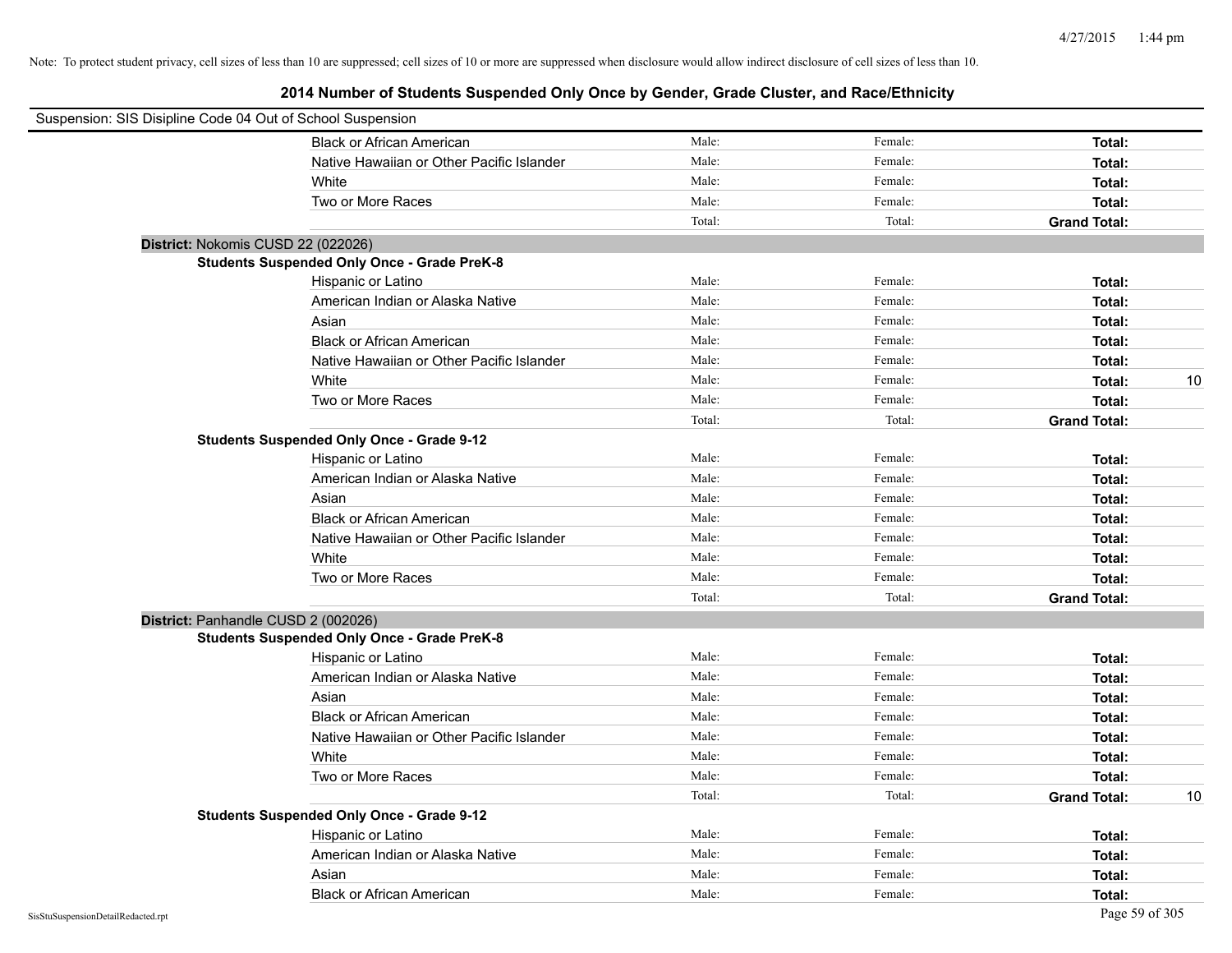| Suspension: SIS Disipline Code 04 Out of School Suspension |                                                    |        |         |                     |    |
|------------------------------------------------------------|----------------------------------------------------|--------|---------|---------------------|----|
|                                                            | <b>Black or African American</b>                   | Male:  | Female: | Total:              |    |
|                                                            | Native Hawaiian or Other Pacific Islander          | Male:  | Female: | Total:              |    |
|                                                            | White                                              | Male:  | Female: | Total:              |    |
|                                                            | Two or More Races                                  | Male:  | Female: | Total:              |    |
|                                                            |                                                    | Total: | Total:  | <b>Grand Total:</b> |    |
|                                                            | District: Nokomis CUSD 22 (022026)                 |        |         |                     |    |
|                                                            | <b>Students Suspended Only Once - Grade PreK-8</b> |        |         |                     |    |
|                                                            | Hispanic or Latino                                 | Male:  | Female: | Total:              |    |
|                                                            | American Indian or Alaska Native                   | Male:  | Female: | Total:              |    |
|                                                            | Asian                                              | Male:  | Female: | Total:              |    |
|                                                            | <b>Black or African American</b>                   | Male:  | Female: | Total:              |    |
|                                                            | Native Hawaiian or Other Pacific Islander          | Male:  | Female: | Total:              |    |
|                                                            | White                                              | Male:  | Female: | Total:              | 10 |
|                                                            | Two or More Races                                  | Male:  | Female: | Total:              |    |
|                                                            |                                                    | Total: | Total:  | <b>Grand Total:</b> |    |
|                                                            | <b>Students Suspended Only Once - Grade 9-12</b>   |        |         |                     |    |
|                                                            | Hispanic or Latino                                 | Male:  | Female: | Total:              |    |
|                                                            | American Indian or Alaska Native                   | Male:  | Female: | Total:              |    |
|                                                            | Asian                                              | Male:  | Female: | Total:              |    |
|                                                            | <b>Black or African American</b>                   | Male:  | Female: | Total:              |    |
|                                                            | Native Hawaiian or Other Pacific Islander          | Male:  | Female: | Total:              |    |
|                                                            | White                                              | Male:  | Female: | Total:              |    |
|                                                            | Two or More Races                                  | Male:  | Female: | Total:              |    |
|                                                            |                                                    | Total: | Total:  | <b>Grand Total:</b> |    |
|                                                            | District: Panhandle CUSD 2 (002026)                |        |         |                     |    |
|                                                            | <b>Students Suspended Only Once - Grade PreK-8</b> |        |         |                     |    |
|                                                            | Hispanic or Latino                                 | Male:  | Female: | Total:              |    |
|                                                            | American Indian or Alaska Native                   | Male:  | Female: | Total:              |    |
|                                                            | Asian                                              | Male:  | Female: | Total:              |    |
|                                                            | <b>Black or African American</b>                   | Male:  | Female: | Total:              |    |
|                                                            | Native Hawaiian or Other Pacific Islander          | Male:  | Female: | Total:              |    |
|                                                            | White                                              | Male:  | Female: | Total:              |    |
|                                                            | Two or More Races                                  | Male:  | Female: | Total:              |    |
|                                                            |                                                    | Total: | Total:  | <b>Grand Total:</b> | 10 |
|                                                            | <b>Students Suspended Only Once - Grade 9-12</b>   |        |         |                     |    |
|                                                            | Hispanic or Latino                                 | Male:  | Female: | Total:              |    |
|                                                            | American Indian or Alaska Native                   | Male:  | Female: | Total:              |    |
|                                                            | Asian                                              | Male:  | Female: | Total:              |    |
|                                                            | <b>Black or African American</b>                   | Male:  | Female: | Total:              |    |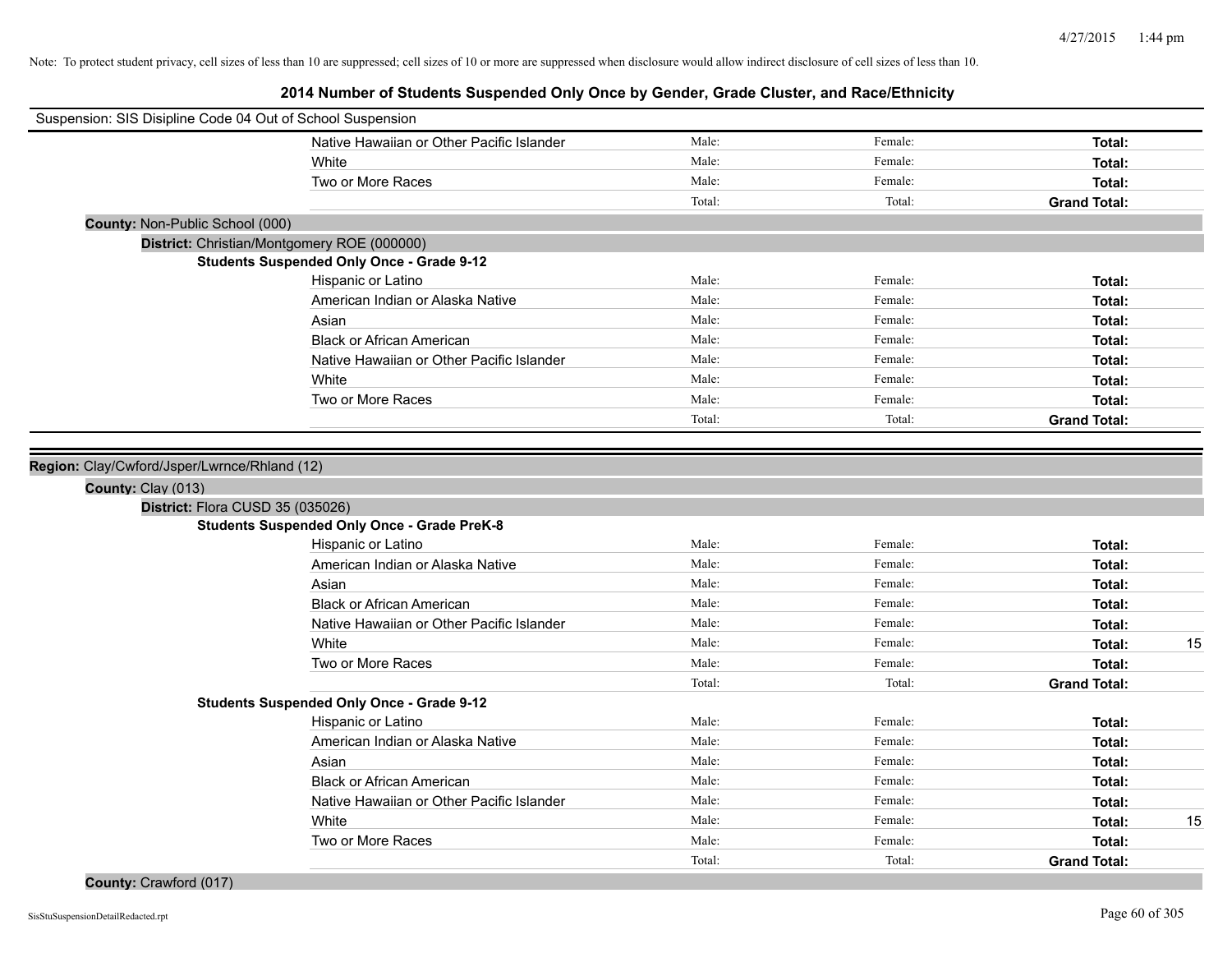| Suspension: SIS Disipline Code 04 Out of School Suspension |                                                    |        |         |                     |
|------------------------------------------------------------|----------------------------------------------------|--------|---------|---------------------|
|                                                            | Native Hawaiian or Other Pacific Islander          | Male:  | Female: | Total:              |
|                                                            | White                                              | Male:  | Female: | Total:              |
|                                                            | Two or More Races                                  | Male:  | Female: | Total:              |
|                                                            |                                                    | Total: | Total:  | <b>Grand Total:</b> |
| County: Non-Public School (000)                            |                                                    |        |         |                     |
|                                                            | District: Christian/Montgomery ROE (000000)        |        |         |                     |
|                                                            | <b>Students Suspended Only Once - Grade 9-12</b>   |        |         |                     |
|                                                            | Hispanic or Latino                                 | Male:  | Female: | Total:              |
|                                                            | American Indian or Alaska Native                   | Male:  | Female: | Total:              |
|                                                            | Asian                                              | Male:  | Female: | Total:              |
|                                                            | <b>Black or African American</b>                   | Male:  | Female: | Total:              |
|                                                            | Native Hawaiian or Other Pacific Islander          | Male:  | Female: | Total:              |
|                                                            | White                                              | Male:  | Female: | Total:              |
|                                                            | Two or More Races                                  | Male:  | Female: | Total:              |
|                                                            |                                                    | Total: | Total:  | <b>Grand Total:</b> |
|                                                            |                                                    |        |         |                     |
| County: Clay (013)<br>District: Flora CUSD 35 (035026)     | <b>Students Suspended Only Once - Grade PreK-8</b> |        |         |                     |
|                                                            | Hispanic or Latino                                 | Male:  | Female: | Total:              |
|                                                            | American Indian or Alaska Native                   | Male:  | Female: | Total:              |
|                                                            | Asian                                              | Male:  | Female: | Total:              |
|                                                            | <b>Black or African American</b>                   | Male:  | Female: | Total:              |
|                                                            | Native Hawaiian or Other Pacific Islander          | Male:  | Female: | Total:              |
|                                                            | White                                              | Male:  | Female: | 15<br>Total:        |
|                                                            | Two or More Races                                  | Male:  | Female: | Total:              |
|                                                            |                                                    | Total: | Total:  | <b>Grand Total:</b> |
|                                                            | <b>Students Suspended Only Once - Grade 9-12</b>   |        |         |                     |
|                                                            | Hispanic or Latino                                 | Male:  | Female: | Total:              |
|                                                            | American Indian or Alaska Native                   | Male:  | Female: | Total:              |
|                                                            | Asian                                              | Male:  | Female: | Total:              |
|                                                            | <b>Black or African American</b>                   | Male:  | Female: | Total:              |
|                                                            | Native Hawaiian or Other Pacific Islander          | Male:  | Female: | Total:              |
|                                                            | White                                              | Male:  | Female: | 15<br>Total:        |
|                                                            | Two or More Races                                  | Male:  | Female: | Total:              |
|                                                            |                                                    | Total: | Total:  | <b>Grand Total:</b> |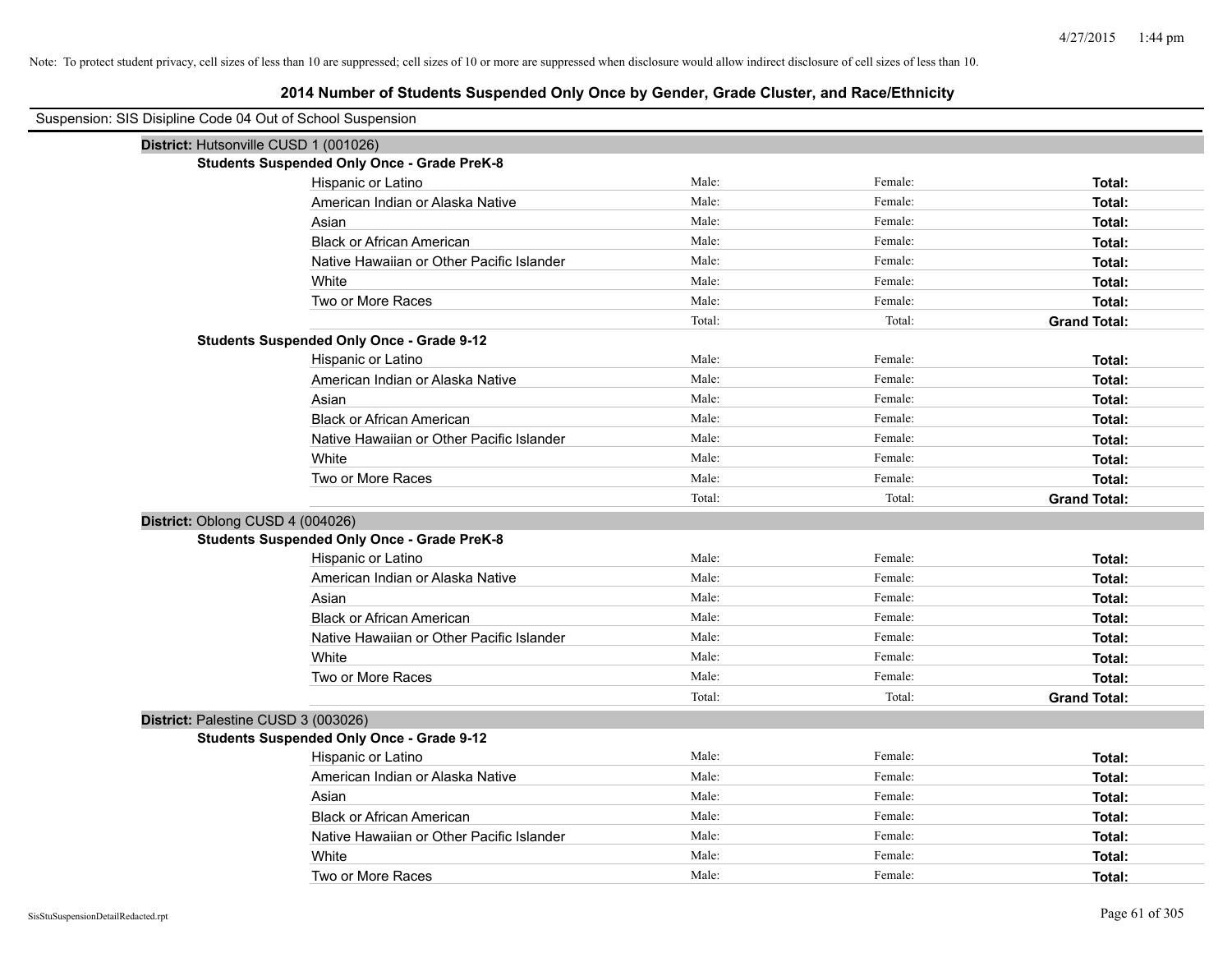|                                       | Suspension: SIS Disipline Code 04 Out of School Suspension |        |         |                     |  |  |
|---------------------------------------|------------------------------------------------------------|--------|---------|---------------------|--|--|
| District: Hutsonville CUSD 1 (001026) |                                                            |        |         |                     |  |  |
|                                       | <b>Students Suspended Only Once - Grade PreK-8</b>         |        |         |                     |  |  |
|                                       | Hispanic or Latino                                         | Male:  | Female: | Total:              |  |  |
|                                       | American Indian or Alaska Native                           | Male:  | Female: | Total:              |  |  |
|                                       | Asian                                                      | Male:  | Female: | Total:              |  |  |
|                                       | <b>Black or African American</b>                           | Male:  | Female: | Total:              |  |  |
|                                       | Native Hawaiian or Other Pacific Islander                  | Male:  | Female: | Total:              |  |  |
|                                       | White                                                      | Male:  | Female: | Total:              |  |  |
|                                       | Two or More Races                                          | Male:  | Female: | Total:              |  |  |
|                                       |                                                            | Total: | Total:  | <b>Grand Total:</b> |  |  |
|                                       | <b>Students Suspended Only Once - Grade 9-12</b>           |        |         |                     |  |  |
|                                       | Hispanic or Latino                                         | Male:  | Female: | Total:              |  |  |
|                                       | American Indian or Alaska Native                           | Male:  | Female: | Total:              |  |  |
|                                       | Asian                                                      | Male:  | Female: | Total:              |  |  |
|                                       | <b>Black or African American</b>                           | Male:  | Female: | Total:              |  |  |
|                                       | Native Hawaiian or Other Pacific Islander                  | Male:  | Female: | Total:              |  |  |
|                                       | White                                                      | Male:  | Female: | Total:              |  |  |
|                                       | Two or More Races                                          | Male:  | Female: | Total:              |  |  |
|                                       |                                                            | Total: | Total:  | <b>Grand Total:</b> |  |  |
| District: Oblong CUSD 4 (004026)      |                                                            |        |         |                     |  |  |
|                                       | <b>Students Suspended Only Once - Grade PreK-8</b>         |        |         |                     |  |  |
|                                       | Hispanic or Latino                                         | Male:  | Female: | Total:              |  |  |
|                                       | American Indian or Alaska Native                           | Male:  | Female: | Total:              |  |  |
|                                       | Asian                                                      | Male:  | Female: | Total:              |  |  |
|                                       | <b>Black or African American</b>                           | Male:  | Female: | Total:              |  |  |
|                                       | Native Hawaiian or Other Pacific Islander                  | Male:  | Female: | Total:              |  |  |
|                                       | White                                                      | Male:  | Female: | Total:              |  |  |
|                                       | Two or More Races                                          | Male:  | Female: | Total:              |  |  |
|                                       |                                                            | Total: | Total:  | <b>Grand Total:</b> |  |  |
| District: Palestine CUSD 3 (003026)   |                                                            |        |         |                     |  |  |
|                                       | <b>Students Suspended Only Once - Grade 9-12</b>           |        |         |                     |  |  |
|                                       | Hispanic or Latino                                         | Male:  | Female: | Total:              |  |  |
|                                       | American Indian or Alaska Native                           | Male:  | Female: | Total:              |  |  |
|                                       | Asian                                                      | Male:  | Female: | Total:              |  |  |
|                                       | <b>Black or African American</b>                           | Male:  | Female: | Total:              |  |  |
|                                       | Native Hawaiian or Other Pacific Islander                  | Male:  | Female: | Total:              |  |  |
|                                       | White                                                      | Male:  | Female: | Total:              |  |  |
|                                       | Two or More Races                                          | Male:  | Female: | Total:              |  |  |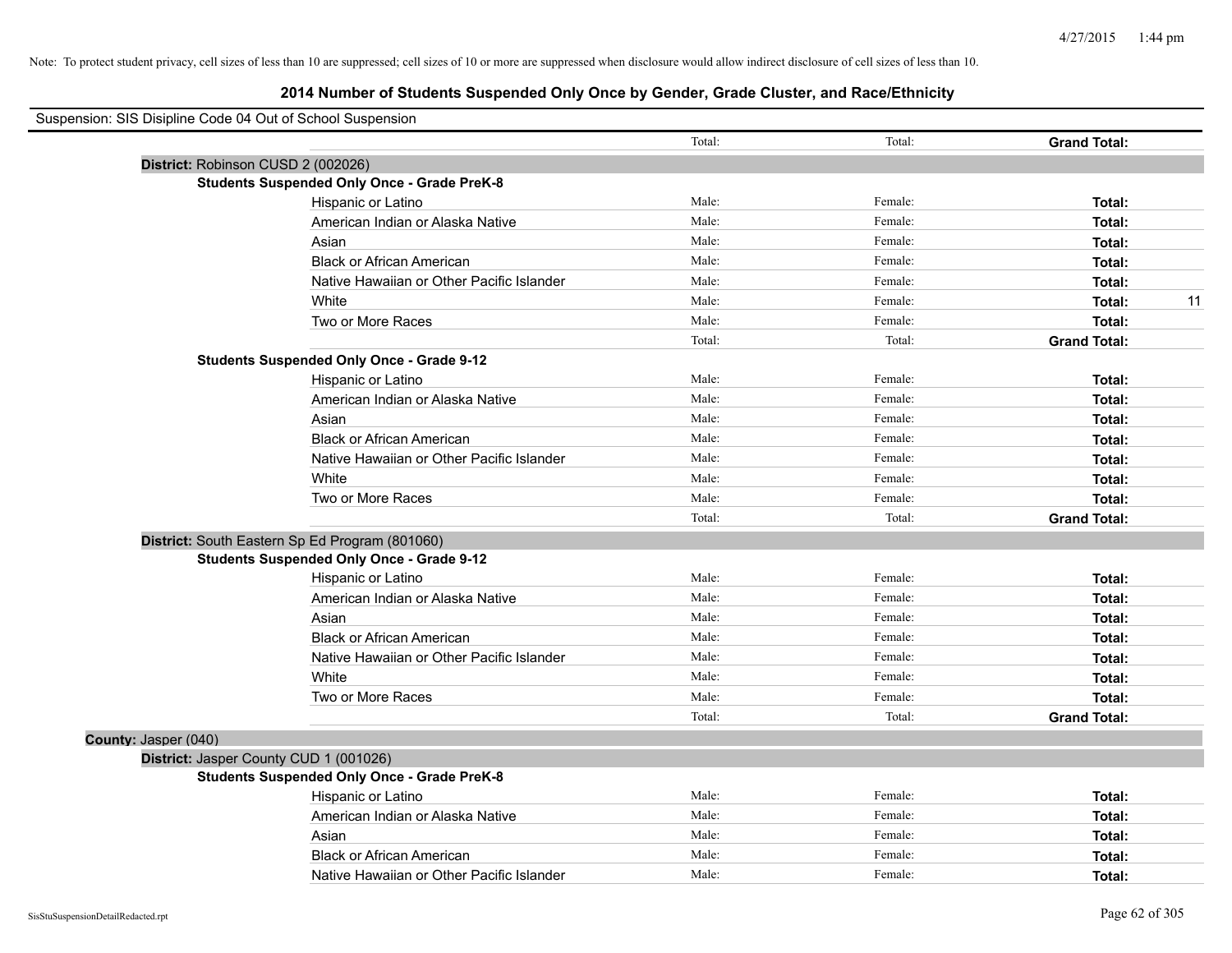| Suspension: SIS Disipline Code 04 Out of School Suspension |                                                    |        |         |                     |
|------------------------------------------------------------|----------------------------------------------------|--------|---------|---------------------|
|                                                            |                                                    | Total: | Total:  | <b>Grand Total:</b> |
|                                                            | District: Robinson CUSD 2 (002026)                 |        |         |                     |
|                                                            | <b>Students Suspended Only Once - Grade PreK-8</b> |        |         |                     |
|                                                            | Hispanic or Latino                                 | Male:  | Female: | Total:              |
|                                                            | American Indian or Alaska Native                   | Male:  | Female: | Total:              |
|                                                            | Asian                                              | Male:  | Female: | Total:              |
|                                                            | <b>Black or African American</b>                   | Male:  | Female: | Total:              |
|                                                            | Native Hawaiian or Other Pacific Islander          | Male:  | Female: | Total:              |
|                                                            | White                                              | Male:  | Female: | 11<br>Total:        |
|                                                            | Two or More Races                                  | Male:  | Female: | Total:              |
|                                                            |                                                    | Total: | Total:  | <b>Grand Total:</b> |
|                                                            | <b>Students Suspended Only Once - Grade 9-12</b>   |        |         |                     |
|                                                            | Hispanic or Latino                                 | Male:  | Female: | Total:              |
|                                                            | American Indian or Alaska Native                   | Male:  | Female: | Total:              |
|                                                            | Asian                                              | Male:  | Female: | Total:              |
|                                                            | <b>Black or African American</b>                   | Male:  | Female: | Total:              |
|                                                            | Native Hawaiian or Other Pacific Islander          | Male:  | Female: | Total:              |
|                                                            | White                                              | Male:  | Female: | Total:              |
|                                                            | Two or More Races                                  | Male:  | Female: | Total:              |
|                                                            |                                                    | Total: | Total:  | <b>Grand Total:</b> |
|                                                            | District: South Eastern Sp Ed Program (801060)     |        |         |                     |
|                                                            | <b>Students Suspended Only Once - Grade 9-12</b>   |        |         |                     |
|                                                            | Hispanic or Latino                                 | Male:  | Female: | Total:              |
|                                                            | American Indian or Alaska Native                   | Male:  | Female: | Total:              |
|                                                            | Asian                                              | Male:  | Female: | Total:              |
|                                                            | <b>Black or African American</b>                   | Male:  | Female: | Total:              |
|                                                            | Native Hawaiian or Other Pacific Islander          | Male:  | Female: | Total:              |
|                                                            | White                                              | Male:  | Female: | Total:              |
|                                                            | Two or More Races                                  | Male:  | Female: | Total:              |
|                                                            |                                                    | Total: | Total:  | <b>Grand Total:</b> |
| County: Jasper (040)                                       |                                                    |        |         |                     |
|                                                            | District: Jasper County CUD 1 (001026)             |        |         |                     |
|                                                            | <b>Students Suspended Only Once - Grade PreK-8</b> |        |         |                     |
|                                                            | Hispanic or Latino                                 | Male:  | Female: | Total:              |
|                                                            | American Indian or Alaska Native                   | Male:  | Female: | Total:              |
|                                                            | Asian                                              | Male:  | Female: | Total:              |
|                                                            | <b>Black or African American</b>                   | Male:  | Female: | Total:              |
|                                                            | Native Hawaiian or Other Pacific Islander          | Male:  | Female: | Total:              |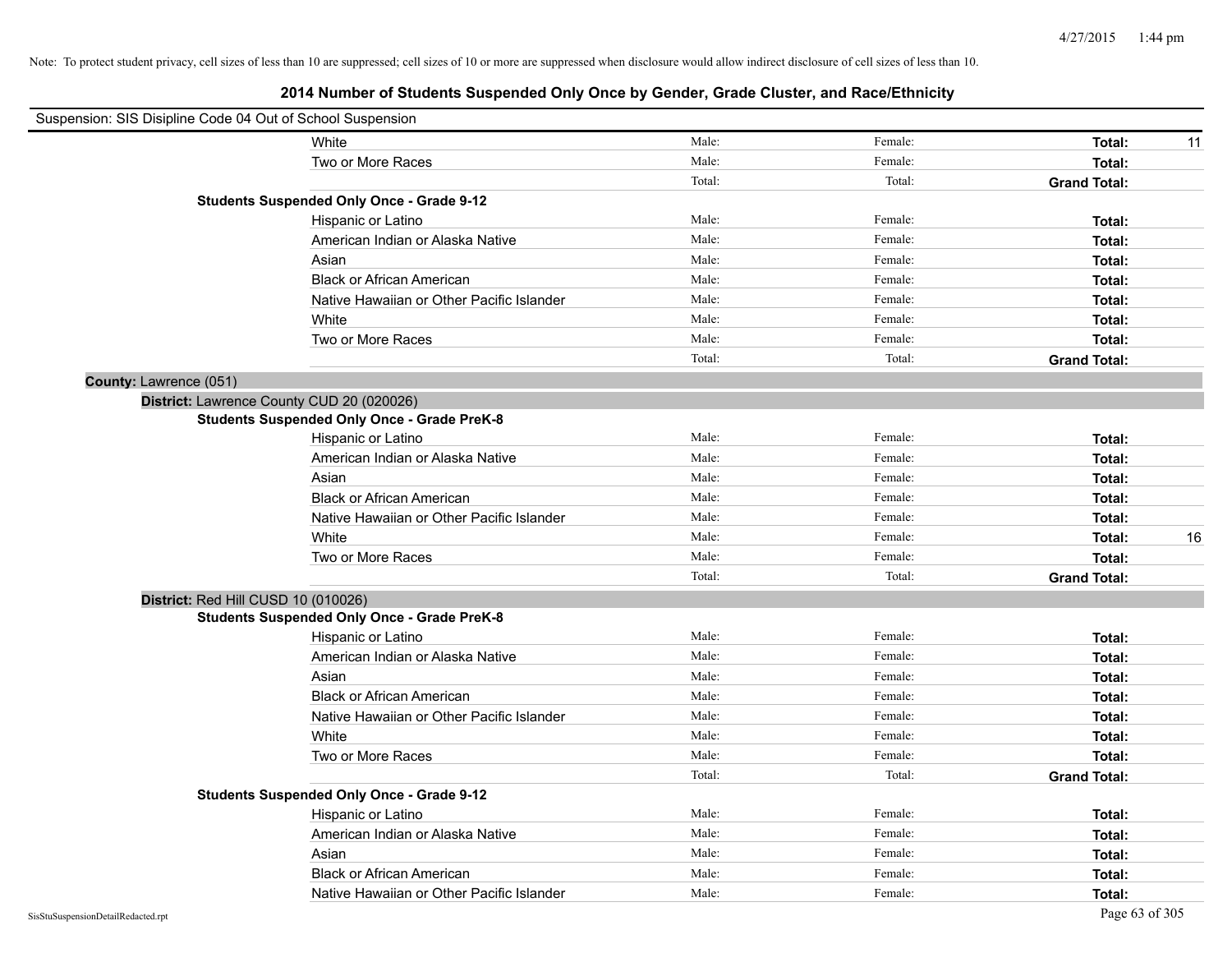| Suspension: SIS Disipline Code 04 Out of School Suspension |        |         |                     |    |
|------------------------------------------------------------|--------|---------|---------------------|----|
| White                                                      | Male:  | Female: | Total:              | 11 |
| Two or More Races                                          | Male:  | Female: | Total:              |    |
|                                                            | Total: | Total:  | <b>Grand Total:</b> |    |
| <b>Students Suspended Only Once - Grade 9-12</b>           |        |         |                     |    |
| Hispanic or Latino                                         | Male:  | Female: | Total:              |    |
| American Indian or Alaska Native                           | Male:  | Female: | Total:              |    |
| Asian                                                      | Male:  | Female: | Total:              |    |
| <b>Black or African American</b>                           | Male:  | Female: | Total:              |    |
| Native Hawaiian or Other Pacific Islander                  | Male:  | Female: | Total:              |    |
| White                                                      | Male:  | Female: | Total:              |    |
| Two or More Races                                          | Male:  | Female: | Total:              |    |
|                                                            | Total: | Total:  | <b>Grand Total:</b> |    |
| <b>County: Lawrence (051)</b>                              |        |         |                     |    |
| District: Lawrence County CUD 20 (020026)                  |        |         |                     |    |
| <b>Students Suspended Only Once - Grade PreK-8</b>         |        |         |                     |    |
| Hispanic or Latino                                         | Male:  | Female: | Total:              |    |
| American Indian or Alaska Native                           | Male:  | Female: | Total:              |    |
| Asian                                                      | Male:  | Female: | Total:              |    |
| <b>Black or African American</b>                           | Male:  | Female: | Total:              |    |
| Native Hawaiian or Other Pacific Islander                  | Male:  | Female: | Total:              |    |
| White                                                      | Male:  | Female: | Total:              | 16 |
| Two or More Races                                          | Male:  | Female: | Total:              |    |
|                                                            | Total: | Total:  | <b>Grand Total:</b> |    |
| District: Red Hill CUSD 10 (010026)                        |        |         |                     |    |
| <b>Students Suspended Only Once - Grade PreK-8</b>         |        |         |                     |    |
| Hispanic or Latino                                         | Male:  | Female: | Total:              |    |
| American Indian or Alaska Native                           | Male:  | Female: | Total:              |    |
| Asian                                                      | Male:  | Female: | Total:              |    |
| <b>Black or African American</b>                           | Male:  | Female: | Total:              |    |
| Native Hawaiian or Other Pacific Islander                  | Male:  | Female: | Total:              |    |
| White                                                      | Male:  | Female: | Total:              |    |
| Two or More Races                                          | Male:  | Female: | Total:              |    |
|                                                            | Total: | Total:  | <b>Grand Total:</b> |    |
| <b>Students Suspended Only Once - Grade 9-12</b>           |        |         |                     |    |
| Hispanic or Latino                                         | Male:  | Female: | Total:              |    |
| American Indian or Alaska Native                           | Male:  | Female: | Total:              |    |
| Asian                                                      | Male:  | Female: | Total:              |    |
| <b>Black or African American</b>                           | Male:  | Female: | Total:              |    |
| Native Hawaiian or Other Pacific Islander                  | Male:  | Female: | Total:              |    |
|                                                            |        |         |                     |    |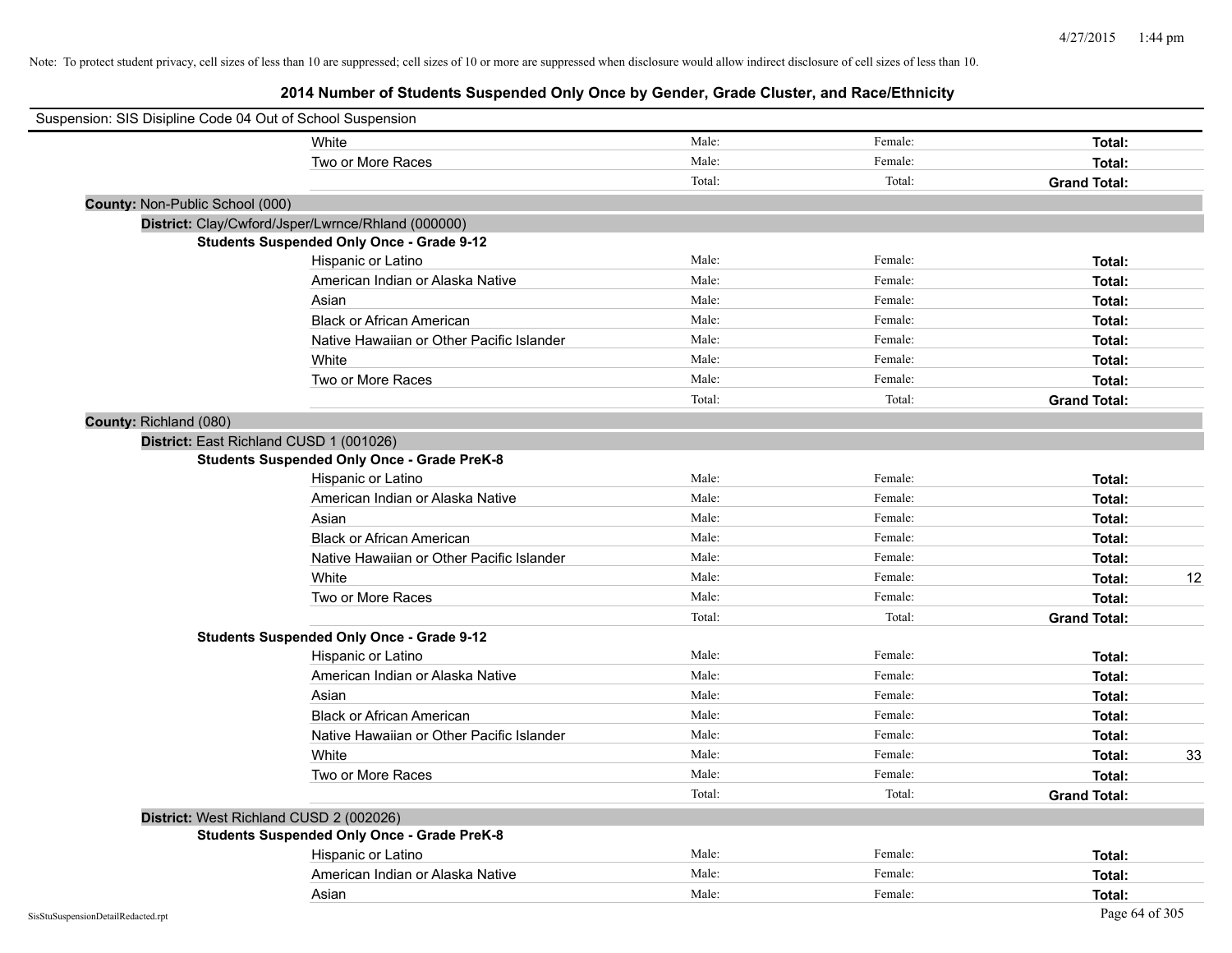| Suspension: SIS Disipline Code 04 Out of School Suspension |                                                    |        |         |                     |
|------------------------------------------------------------|----------------------------------------------------|--------|---------|---------------------|
|                                                            | White                                              | Male:  | Female: | Total:              |
|                                                            | Two or More Races                                  | Male:  | Female: | Total:              |
|                                                            |                                                    | Total: | Total:  | <b>Grand Total:</b> |
| County: Non-Public School (000)                            |                                                    |        |         |                     |
|                                                            | District: Clay/Cwford/Jsper/Lwrnce/Rhland (000000) |        |         |                     |
|                                                            | <b>Students Suspended Only Once - Grade 9-12</b>   |        |         |                     |
|                                                            | Hispanic or Latino                                 | Male:  | Female: | Total:              |
|                                                            | American Indian or Alaska Native                   | Male:  | Female: | Total:              |
|                                                            | Asian                                              | Male:  | Female: | Total:              |
|                                                            | <b>Black or African American</b>                   | Male:  | Female: | Total:              |
|                                                            | Native Hawaiian or Other Pacific Islander          | Male:  | Female: | Total:              |
|                                                            | White                                              | Male:  | Female: | Total:              |
|                                                            | Two or More Races                                  | Male:  | Female: | Total:              |
|                                                            |                                                    | Total: | Total:  | <b>Grand Total:</b> |
| County: Richland (080)                                     |                                                    |        |         |                     |
| District: East Richland CUSD 1 (001026)                    |                                                    |        |         |                     |
|                                                            | <b>Students Suspended Only Once - Grade PreK-8</b> |        |         |                     |
|                                                            | Hispanic or Latino                                 | Male:  | Female: | Total:              |
|                                                            | American Indian or Alaska Native                   | Male:  | Female: | Total:              |
|                                                            | Asian                                              | Male:  | Female: | Total:              |
|                                                            | <b>Black or African American</b>                   | Male:  | Female: | Total:              |
|                                                            | Native Hawaiian or Other Pacific Islander          | Male:  | Female: | Total:              |
|                                                            | White                                              | Male:  | Female: | 12<br>Total:        |
|                                                            | Two or More Races                                  | Male:  | Female: | Total:              |
|                                                            |                                                    | Total: | Total:  | <b>Grand Total:</b> |
|                                                            | <b>Students Suspended Only Once - Grade 9-12</b>   |        |         |                     |
|                                                            | Hispanic or Latino                                 | Male:  | Female: | Total:              |
|                                                            | American Indian or Alaska Native                   | Male:  | Female: | Total:              |
|                                                            | Asian                                              | Male:  | Female: | Total:              |
|                                                            | <b>Black or African American</b>                   | Male:  | Female: | Total:              |
|                                                            | Native Hawaiian or Other Pacific Islander          | Male:  | Female: | Total:              |
|                                                            | White                                              | Male:  | Female: | 33<br>Total:        |
|                                                            | Two or More Races                                  | Male:  | Female: | Total:              |
|                                                            |                                                    | Total: | Total:  | <b>Grand Total:</b> |
| District: West Richland CUSD 2 (002026)                    |                                                    |        |         |                     |
|                                                            | <b>Students Suspended Only Once - Grade PreK-8</b> |        |         |                     |
|                                                            | Hispanic or Latino                                 | Male:  | Female: | Total:              |
|                                                            | American Indian or Alaska Native                   | Male:  | Female: | Total:              |
|                                                            | Asian                                              | Male:  | Female: | Total:              |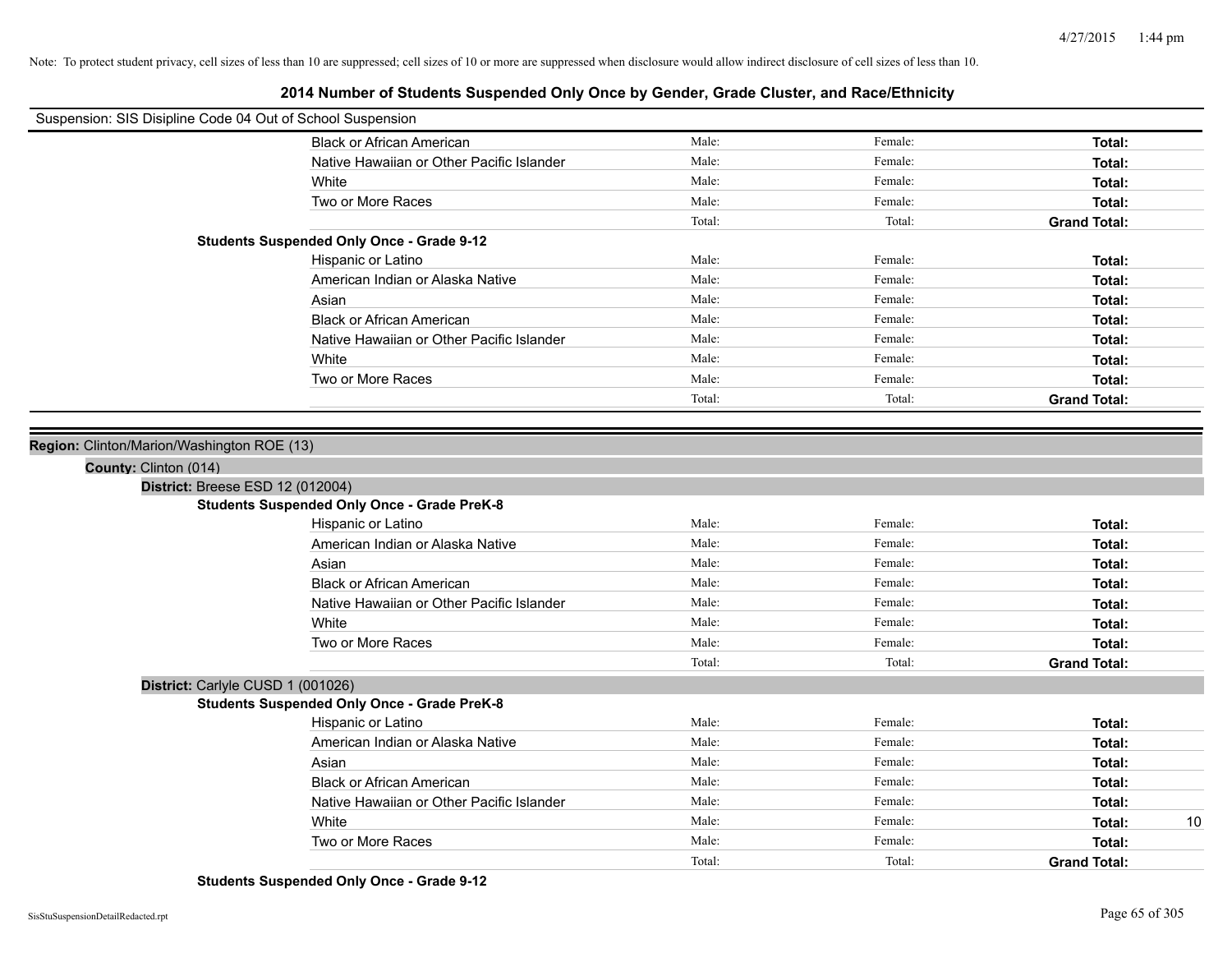# **2014 Number of Students Suspended Only Once by Gender, Grade Cluster, and Race/Ethnicity**

| Suspension: SIS Disipline Code 04 Out of School Suspension |                                                    |        |         |                     |
|------------------------------------------------------------|----------------------------------------------------|--------|---------|---------------------|
|                                                            | <b>Black or African American</b>                   | Male:  | Female: | Total:              |
|                                                            | Native Hawaiian or Other Pacific Islander          | Male:  | Female: | Total:              |
|                                                            | White                                              | Male:  | Female: | Total:              |
|                                                            | Two or More Races                                  | Male:  | Female: | Total:              |
|                                                            |                                                    | Total: | Total:  | <b>Grand Total:</b> |
|                                                            | <b>Students Suspended Only Once - Grade 9-12</b>   |        |         |                     |
|                                                            | Hispanic or Latino                                 | Male:  | Female: | Total:              |
|                                                            | American Indian or Alaska Native                   | Male:  | Female: | Total:              |
|                                                            | Asian                                              | Male:  | Female: | Total:              |
|                                                            | <b>Black or African American</b>                   | Male:  | Female: | Total:              |
|                                                            | Native Hawaiian or Other Pacific Islander          | Male:  | Female: | Total:              |
|                                                            | White                                              | Male:  | Female: | Total:              |
|                                                            | Two or More Races                                  | Male:  | Female: | Total:              |
|                                                            |                                                    | Total: | Total:  | <b>Grand Total:</b> |
|                                                            |                                                    |        |         |                     |
| Region: Clinton/Marion/Washington ROE (13)                 |                                                    |        |         |                     |
| County: Clinton (014)                                      |                                                    |        |         |                     |
| District: Breese ESD 12 (012004)                           |                                                    |        |         |                     |
|                                                            | <b>Students Suspended Only Once - Grade PreK-8</b> |        |         |                     |
|                                                            | Hispanic or Latino                                 | Male:  | Female: | Total:              |
|                                                            | American Indian or Alaska Native                   | Male:  | Female: | Total:              |
|                                                            | Asian                                              | Male:  | Female: | Total:              |
|                                                            | <b>Black or African American</b>                   | Male:  | Female: | Total:              |
|                                                            | Native Hawaiian or Other Pacific Islander          | Male:  | Female: | Total:              |
|                                                            | White                                              | Male:  | Female: | Total:              |
|                                                            | Two or More Races                                  | Male:  | Female: | Total:              |
|                                                            |                                                    | Total: | Total:  | <b>Grand Total:</b> |
| District: Carlyle CUSD 1 (001026)                          |                                                    |        |         |                     |
|                                                            | <b>Students Suspended Only Once - Grade PreK-8</b> |        |         |                     |
|                                                            | Hispanic or Latino                                 | Male:  | Female: | Total:              |
|                                                            | American Indian or Alaska Native                   | Male:  | Female: | Total:              |
|                                                            | Asian                                              | Male:  | Female: | Total:              |
|                                                            | <b>Black or African American</b>                   | Male:  | Female: | Total:              |
|                                                            | Native Hawaiian or Other Pacific Islander          | Male:  | Female: | Total:              |
|                                                            | White                                              | Male:  | Female: | 10<br>Total:        |
|                                                            | Two or More Races                                  | Male:  | Female: | Total:              |
|                                                            |                                                    | Total: | Total:  | <b>Grand Total:</b> |

**Students Suspended Only Once - Grade 9-12**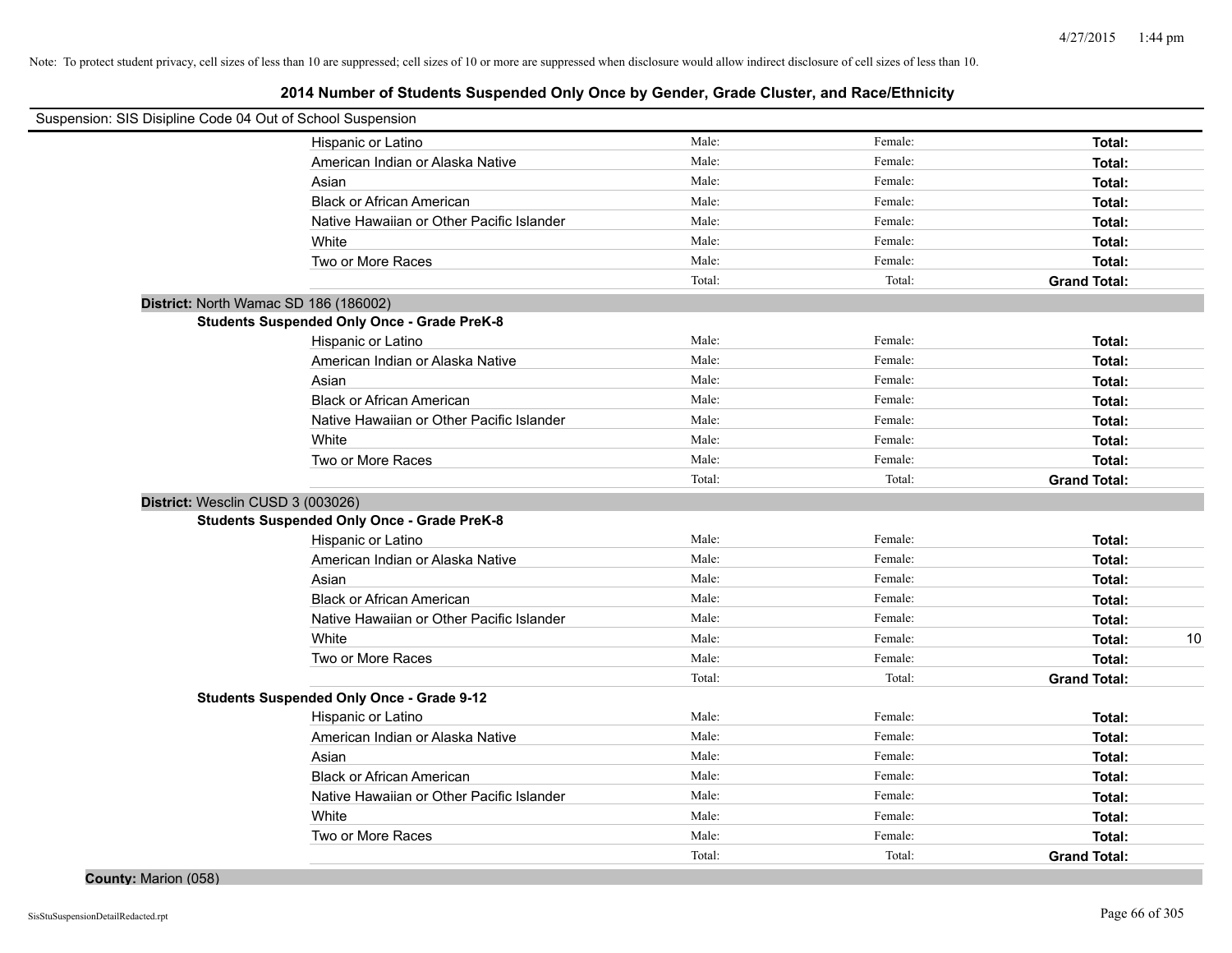# **2014 Number of Students Suspended Only Once by Gender, Grade Cluster, and Race/Ethnicity**

| Suspension: SIS Disipline Code 04 Out of School Suspension |                                                    |                 |                   |                               |
|------------------------------------------------------------|----------------------------------------------------|-----------------|-------------------|-------------------------------|
|                                                            | Hispanic or Latino                                 | Male:           | Female:           | Total:                        |
|                                                            | American Indian or Alaska Native                   | Male:           | Female:           | Total:                        |
|                                                            | Asian                                              | Male:           | Female:           | Total:                        |
|                                                            | <b>Black or African American</b>                   | Male:           | Female:           | Total:                        |
|                                                            | Native Hawaiian or Other Pacific Islander          | Male:           | Female:           | Total:                        |
|                                                            | White                                              | Male:           | Female:           | Total:                        |
|                                                            | Two or More Races                                  | Male:           | Female:           | Total:                        |
|                                                            |                                                    | Total:          | Total:            | <b>Grand Total:</b>           |
| District: North Wamac SD 186 (186002)                      |                                                    |                 |                   |                               |
|                                                            | <b>Students Suspended Only Once - Grade PreK-8</b> |                 |                   |                               |
|                                                            | Hispanic or Latino                                 | Male:           | Female:           | Total:                        |
|                                                            | American Indian or Alaska Native                   | Male:           | Female:           | Total:                        |
|                                                            | Asian                                              | Male:           | Female:           | Total:                        |
|                                                            | <b>Black or African American</b>                   | Male:           | Female:           | Total:                        |
|                                                            | Native Hawaiian or Other Pacific Islander          | Male:           | Female:           | Total:                        |
|                                                            | White                                              | Male:           | Female:           | Total:                        |
|                                                            | Two or More Races                                  | Male:           | Female:           | Total:                        |
|                                                            |                                                    | Total:          | Total:            | <b>Grand Total:</b>           |
| District: Wesclin CUSD 3 (003026)                          |                                                    |                 |                   |                               |
|                                                            | <b>Students Suspended Only Once - Grade PreK-8</b> |                 |                   |                               |
|                                                            | Hispanic or Latino                                 | Male:           | Female:           | Total:                        |
|                                                            | American Indian or Alaska Native                   | Male:           | Female:           | Total:                        |
|                                                            | Asian                                              | Male:           | Female:           | Total:                        |
|                                                            | <b>Black or African American</b>                   | Male:           | Female:           | Total:                        |
|                                                            | Native Hawaiian or Other Pacific Islander          | Male:           | Female:           | Total:                        |
|                                                            | White                                              | Male:           | Female:           | Total:<br>10                  |
|                                                            | Two or More Races                                  | Male:           | Female:           | Total:                        |
|                                                            |                                                    | Total:          | Total:            | <b>Grand Total:</b>           |
|                                                            | <b>Students Suspended Only Once - Grade 9-12</b>   |                 |                   |                               |
|                                                            | Hispanic or Latino                                 | Male:           | Female:           | Total:                        |
|                                                            | American Indian or Alaska Native                   | Male:           | Female:           | Total:                        |
|                                                            | Asian                                              | Male:           | Female:           | Total:                        |
|                                                            | <b>Black or African American</b>                   | Male:           | Female:           | Total:                        |
|                                                            | Native Hawaiian or Other Pacific Islander          | Male:           | Female:           | Total:                        |
|                                                            | White                                              | Male:           | Female:           | Total:                        |
|                                                            |                                                    |                 |                   |                               |
|                                                            | Two or More Races                                  | Male:<br>Total: | Female:<br>Total: | Total:<br><b>Grand Total:</b> |

**County:** Marion (058)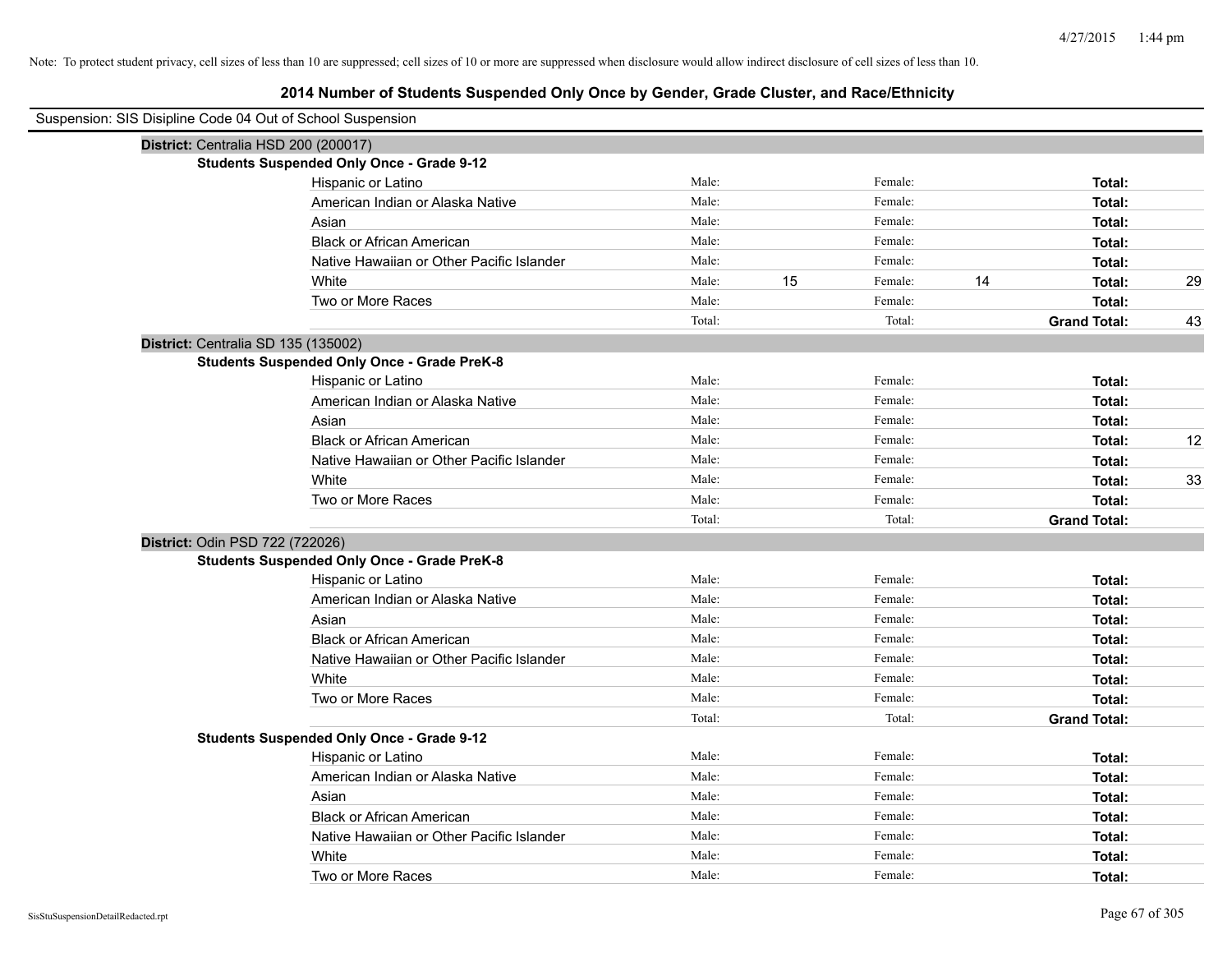| Suspension: SIS Disipline Code 04 Out of School Suspension |                                                    |        |    |         |    |                     |    |
|------------------------------------------------------------|----------------------------------------------------|--------|----|---------|----|---------------------|----|
| District: Centralia HSD 200 (200017)                       |                                                    |        |    |         |    |                     |    |
|                                                            | <b>Students Suspended Only Once - Grade 9-12</b>   |        |    |         |    |                     |    |
|                                                            | Hispanic or Latino                                 | Male:  |    | Female: |    | Total:              |    |
|                                                            | American Indian or Alaska Native                   | Male:  |    | Female: |    | Total:              |    |
|                                                            | Asian                                              | Male:  |    | Female: |    | Total:              |    |
|                                                            | <b>Black or African American</b>                   | Male:  |    | Female: |    | Total:              |    |
|                                                            | Native Hawaiian or Other Pacific Islander          | Male:  |    | Female: |    | Total:              |    |
|                                                            | White                                              | Male:  | 15 | Female: | 14 | Total:              | 29 |
|                                                            | Two or More Races                                  | Male:  |    | Female: |    | Total:              |    |
|                                                            |                                                    | Total: |    | Total:  |    | <b>Grand Total:</b> | 43 |
| District: Centralia SD 135 (135002)                        |                                                    |        |    |         |    |                     |    |
|                                                            | <b>Students Suspended Only Once - Grade PreK-8</b> |        |    |         |    |                     |    |
|                                                            | Hispanic or Latino                                 | Male:  |    | Female: |    | Total:              |    |
|                                                            | American Indian or Alaska Native                   | Male:  |    | Female: |    | Total:              |    |
|                                                            | Asian                                              | Male:  |    | Female: |    | Total:              |    |
|                                                            | <b>Black or African American</b>                   | Male:  |    | Female: |    | Total:              | 12 |
|                                                            | Native Hawaiian or Other Pacific Islander          | Male:  |    | Female: |    | Total:              |    |
|                                                            | White                                              | Male:  |    | Female: |    | Total:              | 33 |
|                                                            | Two or More Races                                  | Male:  |    | Female: |    | Total:              |    |
|                                                            |                                                    | Total: |    | Total:  |    | <b>Grand Total:</b> |    |
| District: Odin PSD 722 (722026)                            |                                                    |        |    |         |    |                     |    |
|                                                            | <b>Students Suspended Only Once - Grade PreK-8</b> |        |    |         |    |                     |    |
|                                                            | Hispanic or Latino                                 | Male:  |    | Female: |    | Total:              |    |
|                                                            | American Indian or Alaska Native                   | Male:  |    | Female: |    | Total:              |    |
|                                                            | Asian                                              | Male:  |    | Female: |    | Total:              |    |
|                                                            | <b>Black or African American</b>                   | Male:  |    | Female: |    | Total:              |    |
|                                                            | Native Hawaiian or Other Pacific Islander          | Male:  |    | Female: |    | Total:              |    |
|                                                            | White                                              | Male:  |    | Female: |    | Total:              |    |
|                                                            | Two or More Races                                  | Male:  |    | Female: |    | Total:              |    |
|                                                            |                                                    | Total: |    | Total:  |    | <b>Grand Total:</b> |    |
|                                                            | <b>Students Suspended Only Once - Grade 9-12</b>   |        |    |         |    |                     |    |
|                                                            | Hispanic or Latino                                 | Male:  |    | Female: |    | Total:              |    |
|                                                            | American Indian or Alaska Native                   | Male:  |    | Female: |    | Total:              |    |
|                                                            | Asian                                              | Male:  |    | Female: |    | Total:              |    |
|                                                            | <b>Black or African American</b>                   | Male:  |    | Female: |    | Total:              |    |
|                                                            | Native Hawaiian or Other Pacific Islander          | Male:  |    | Female: |    | Total:              |    |
|                                                            | White                                              | Male:  |    | Female: |    | Total:              |    |
|                                                            | Two or More Races                                  | Male:  |    | Female: |    | Total:              |    |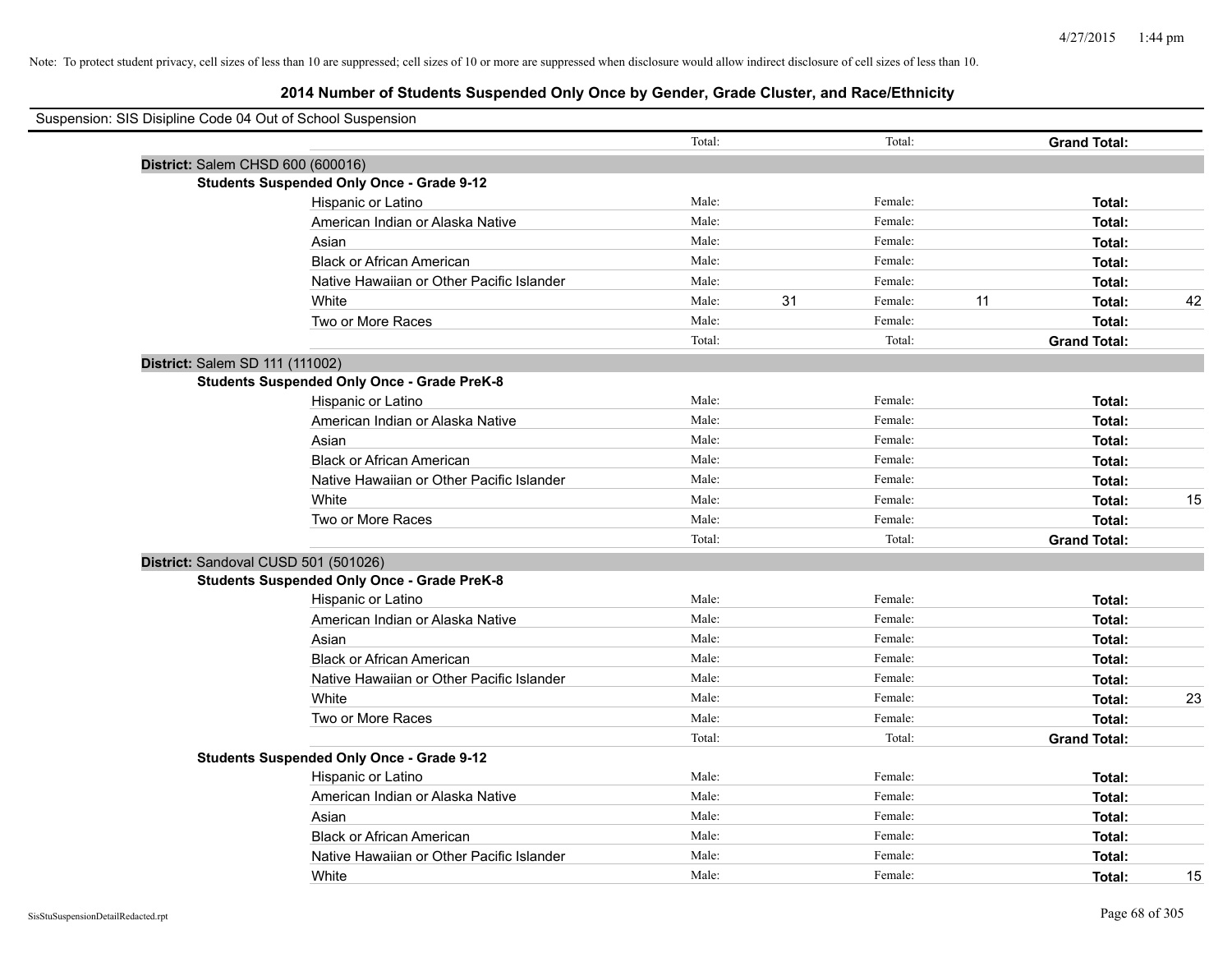# **2014 Number of Students Suspended Only Once by Gender, Grade Cluster, and Race/Ethnicity**

| Suspension: SIS Disipline Code 04 Out of School Suspension |                                                    |        |    |         |    |                     |    |
|------------------------------------------------------------|----------------------------------------------------|--------|----|---------|----|---------------------|----|
|                                                            |                                                    | Total: |    | Total:  |    | <b>Grand Total:</b> |    |
|                                                            | District: Salem CHSD 600 (600016)                  |        |    |         |    |                     |    |
|                                                            | <b>Students Suspended Only Once - Grade 9-12</b>   |        |    |         |    |                     |    |
|                                                            | Hispanic or Latino                                 | Male:  |    | Female: |    | Total:              |    |
|                                                            | American Indian or Alaska Native                   | Male:  |    | Female: |    | Total:              |    |
|                                                            | Asian                                              | Male:  |    | Female: |    | Total:              |    |
|                                                            | <b>Black or African American</b>                   | Male:  |    | Female: |    | Total:              |    |
|                                                            | Native Hawaiian or Other Pacific Islander          | Male:  |    | Female: |    | Total:              |    |
|                                                            | White                                              | Male:  | 31 | Female: | 11 | Total:              | 42 |
|                                                            | Two or More Races                                  | Male:  |    | Female: |    | Total:              |    |
|                                                            |                                                    | Total: |    | Total:  |    | <b>Grand Total:</b> |    |
| District: Salem SD 111 (111002)                            |                                                    |        |    |         |    |                     |    |
|                                                            | <b>Students Suspended Only Once - Grade PreK-8</b> |        |    |         |    |                     |    |
|                                                            | Hispanic or Latino                                 | Male:  |    | Female: |    | Total:              |    |
|                                                            | American Indian or Alaska Native                   | Male:  |    | Female: |    | Total:              |    |
|                                                            | Asian                                              | Male:  |    | Female: |    | Total:              |    |
|                                                            | <b>Black or African American</b>                   | Male:  |    | Female: |    | Total:              |    |
|                                                            | Native Hawaiian or Other Pacific Islander          | Male:  |    | Female: |    | Total:              |    |
|                                                            | White                                              | Male:  |    | Female: |    | Total:              | 15 |
|                                                            | Two or More Races                                  | Male:  |    | Female: |    | Total:              |    |
|                                                            |                                                    | Total: |    | Total:  |    | <b>Grand Total:</b> |    |
|                                                            | District: Sandoval CUSD 501 (501026)               |        |    |         |    |                     |    |
|                                                            | <b>Students Suspended Only Once - Grade PreK-8</b> |        |    |         |    |                     |    |
|                                                            | Hispanic or Latino                                 | Male:  |    | Female: |    | Total:              |    |
|                                                            | American Indian or Alaska Native                   | Male:  |    | Female: |    | Total:              |    |
|                                                            | Asian                                              | Male:  |    | Female: |    | Total:              |    |
|                                                            | <b>Black or African American</b>                   | Male:  |    | Female: |    | Total:              |    |
|                                                            | Native Hawaiian or Other Pacific Islander          | Male:  |    | Female: |    | Total:              |    |
|                                                            | White                                              | Male:  |    | Female: |    | Total:              | 23 |
|                                                            | Two or More Races                                  | Male:  |    | Female: |    | Total:              |    |
|                                                            |                                                    | Total: |    | Total:  |    | <b>Grand Total:</b> |    |
|                                                            | <b>Students Suspended Only Once - Grade 9-12</b>   |        |    |         |    |                     |    |
|                                                            | Hispanic or Latino                                 | Male:  |    | Female: |    | Total:              |    |
|                                                            | American Indian or Alaska Native                   | Male:  |    | Female: |    | Total:              |    |
|                                                            | Asian                                              | Male:  |    | Female: |    | Total:              |    |
|                                                            | <b>Black or African American</b>                   | Male:  |    | Female: |    | Total:              |    |
|                                                            | Native Hawaiian or Other Pacific Islander          | Male:  |    | Female: |    | Total:              |    |
|                                                            | White                                              | Male:  |    | Female: |    | Total:              | 15 |

÷,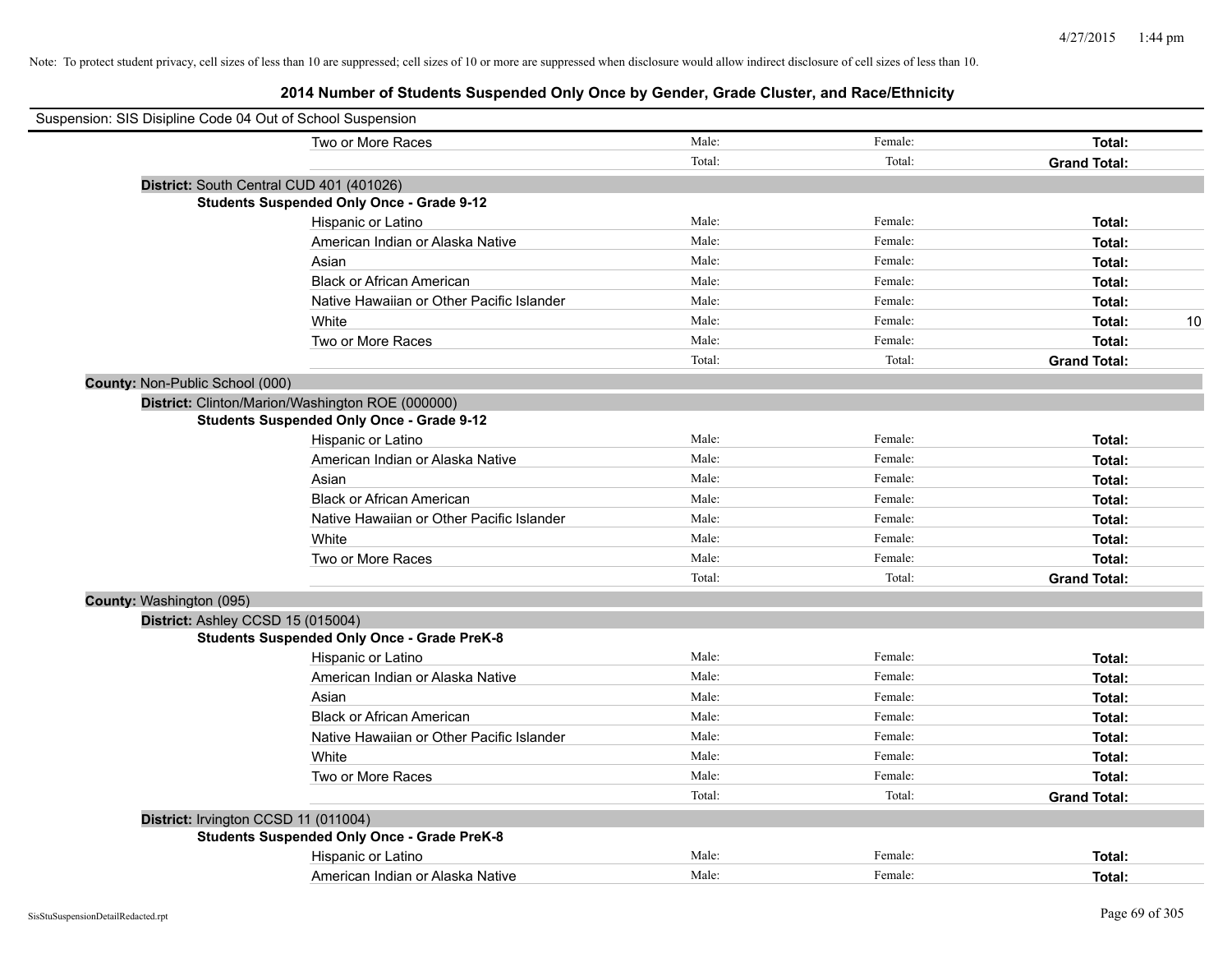| Suspension: SIS Disipline Code 04 Out of School Suspension |                                                    |        |         |                     |
|------------------------------------------------------------|----------------------------------------------------|--------|---------|---------------------|
|                                                            | Two or More Races                                  | Male:  | Female: | Total:              |
|                                                            |                                                    | Total: | Total:  | <b>Grand Total:</b> |
|                                                            | District: South Central CUD 401 (401026)           |        |         |                     |
|                                                            | <b>Students Suspended Only Once - Grade 9-12</b>   |        |         |                     |
|                                                            | Hispanic or Latino                                 | Male:  | Female: | Total:              |
|                                                            | American Indian or Alaska Native                   | Male:  | Female: | Total:              |
|                                                            | Asian                                              | Male:  | Female: | Total:              |
|                                                            | <b>Black or African American</b>                   | Male:  | Female: | Total:              |
|                                                            | Native Hawaiian or Other Pacific Islander          | Male:  | Female: | Total:              |
|                                                            | White                                              | Male:  | Female: | 10<br>Total:        |
|                                                            | Two or More Races                                  | Male:  | Female: | Total:              |
|                                                            |                                                    | Total: | Total:  | <b>Grand Total:</b> |
| County: Non-Public School (000)                            |                                                    |        |         |                     |
|                                                            | District: Clinton/Marion/Washington ROE (000000)   |        |         |                     |
|                                                            | <b>Students Suspended Only Once - Grade 9-12</b>   |        |         |                     |
|                                                            | Hispanic or Latino                                 | Male:  | Female: | Total:              |
|                                                            | American Indian or Alaska Native                   | Male:  | Female: | Total:              |
|                                                            | Asian                                              | Male:  | Female: | Total:              |
|                                                            | <b>Black or African American</b>                   | Male:  | Female: | Total:              |
|                                                            | Native Hawaiian or Other Pacific Islander          | Male:  | Female: | Total:              |
|                                                            | White                                              | Male:  | Female: | Total:              |
|                                                            | Two or More Races                                  | Male:  | Female: | Total:              |
|                                                            |                                                    | Total: | Total:  | <b>Grand Total:</b> |
| County: Washington (095)                                   |                                                    |        |         |                     |
| District: Ashley CCSD 15 (015004)                          |                                                    |        |         |                     |
|                                                            | <b>Students Suspended Only Once - Grade PreK-8</b> |        |         |                     |
|                                                            | Hispanic or Latino                                 | Male:  | Female: | Total:              |
|                                                            | American Indian or Alaska Native                   | Male:  | Female: | Total:              |
|                                                            | Asian                                              | Male:  | Female: | Total:              |
|                                                            | <b>Black or African American</b>                   | Male:  | Female: | Total:              |
|                                                            | Native Hawaiian or Other Pacific Islander          | Male:  | Female: | Total:              |
|                                                            | White                                              | Male:  | Female: | Total:              |
|                                                            | Two or More Races                                  | Male:  | Female: | Total:              |
|                                                            |                                                    | Total: | Total:  | <b>Grand Total:</b> |
| District: Irvington CCSD 11 (011004)                       |                                                    |        |         |                     |
|                                                            | <b>Students Suspended Only Once - Grade PreK-8</b> |        |         |                     |
|                                                            | Hispanic or Latino                                 | Male:  | Female: | Total:              |
|                                                            | American Indian or Alaska Native                   | Male:  | Female: | Total:              |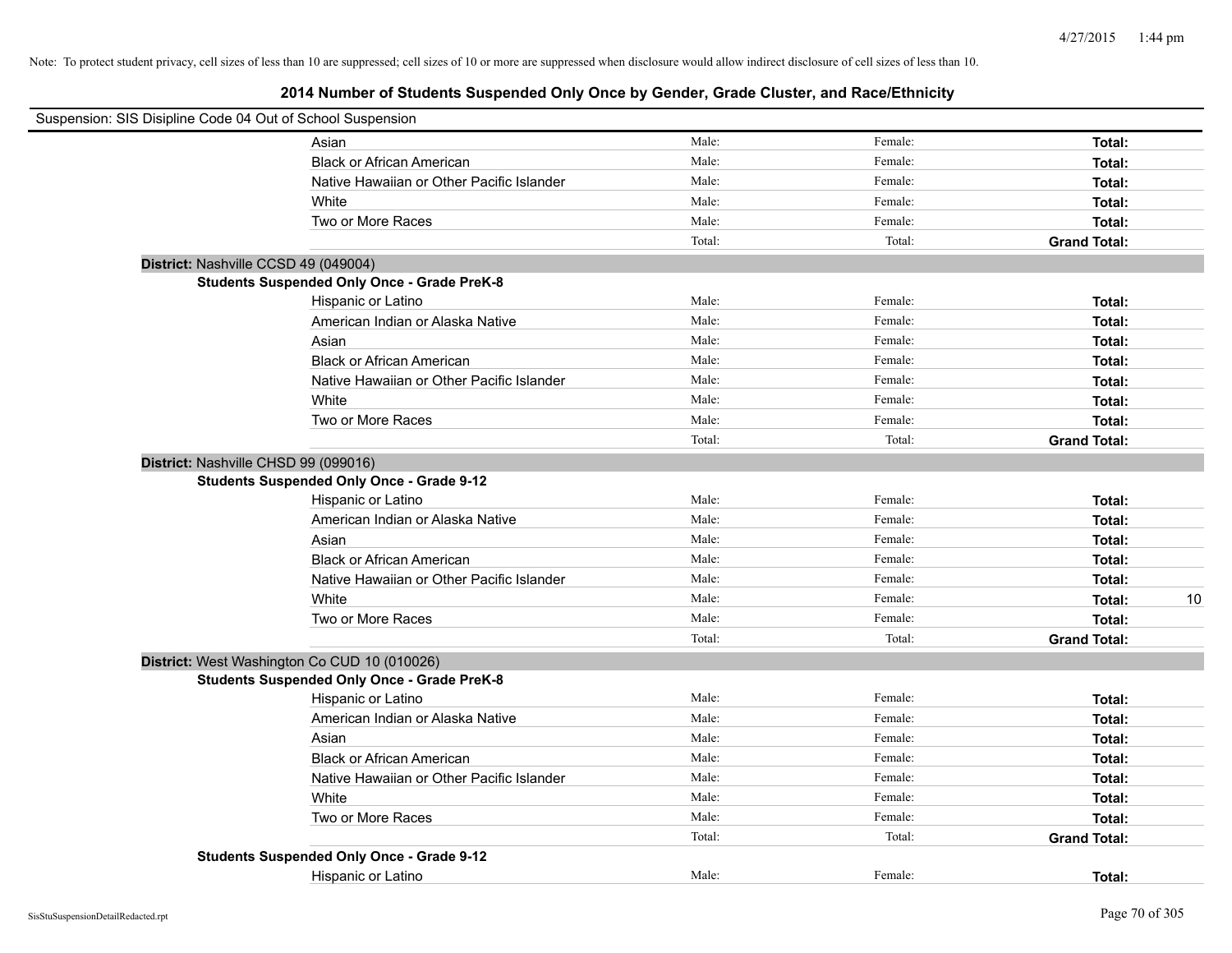| Suspension: SIS Disipline Code 04 Out of School Suspension |                                                    |        |         |                     |
|------------------------------------------------------------|----------------------------------------------------|--------|---------|---------------------|
|                                                            | Asian                                              | Male:  | Female: | Total:              |
|                                                            | <b>Black or African American</b>                   | Male:  | Female: | Total:              |
|                                                            | Native Hawaiian or Other Pacific Islander          | Male:  | Female: | Total:              |
|                                                            | White                                              | Male:  | Female: | Total:              |
|                                                            | Two or More Races                                  | Male:  | Female: | Total:              |
|                                                            |                                                    | Total: | Total:  | <b>Grand Total:</b> |
| District: Nashville CCSD 49 (049004)                       |                                                    |        |         |                     |
|                                                            | <b>Students Suspended Only Once - Grade PreK-8</b> |        |         |                     |
|                                                            | Hispanic or Latino                                 | Male:  | Female: | Total:              |
|                                                            | American Indian or Alaska Native                   | Male:  | Female: | Total:              |
|                                                            | Asian                                              | Male:  | Female: | Total:              |
|                                                            | <b>Black or African American</b>                   | Male:  | Female: | Total:              |
|                                                            | Native Hawaiian or Other Pacific Islander          | Male:  | Female: | Total:              |
|                                                            | White                                              | Male:  | Female: | Total:              |
|                                                            | Two or More Races                                  | Male:  | Female: | Total:              |
|                                                            |                                                    | Total: | Total:  | <b>Grand Total:</b> |
| District: Nashville CHSD 99 (099016)                       |                                                    |        |         |                     |
|                                                            | <b>Students Suspended Only Once - Grade 9-12</b>   |        |         |                     |
|                                                            | Hispanic or Latino                                 | Male:  | Female: | Total:              |
|                                                            | American Indian or Alaska Native                   | Male:  | Female: | Total:              |
|                                                            | Asian                                              | Male:  | Female: | Total:              |
|                                                            | <b>Black or African American</b>                   | Male:  | Female: | Total:              |
|                                                            | Native Hawaiian or Other Pacific Islander          | Male:  | Female: | Total:              |
|                                                            | White                                              | Male:  | Female: | 10<br>Total:        |
|                                                            | Two or More Races                                  | Male:  | Female: | Total:              |
|                                                            |                                                    | Total: | Total:  | <b>Grand Total:</b> |
|                                                            | District: West Washington Co CUD 10 (010026)       |        |         |                     |
|                                                            | <b>Students Suspended Only Once - Grade PreK-8</b> |        |         |                     |
|                                                            | Hispanic or Latino                                 | Male:  | Female: | Total:              |
|                                                            | American Indian or Alaska Native                   | Male:  | Female: | Total:              |
|                                                            | Asian                                              | Male:  | Female: | Total:              |
|                                                            | <b>Black or African American</b>                   | Male:  | Female: | Total:              |
|                                                            | Native Hawaiian or Other Pacific Islander          | Male:  | Female: | Total:              |
|                                                            | White                                              | Male:  | Female: | Total:              |
|                                                            | Two or More Races                                  | Male:  | Female: | Total:              |
|                                                            |                                                    | Total: | Total:  | <b>Grand Total:</b> |
|                                                            | <b>Students Suspended Only Once - Grade 9-12</b>   |        |         |                     |
|                                                            | Hispanic or Latino                                 | Male:  | Female: | Total:              |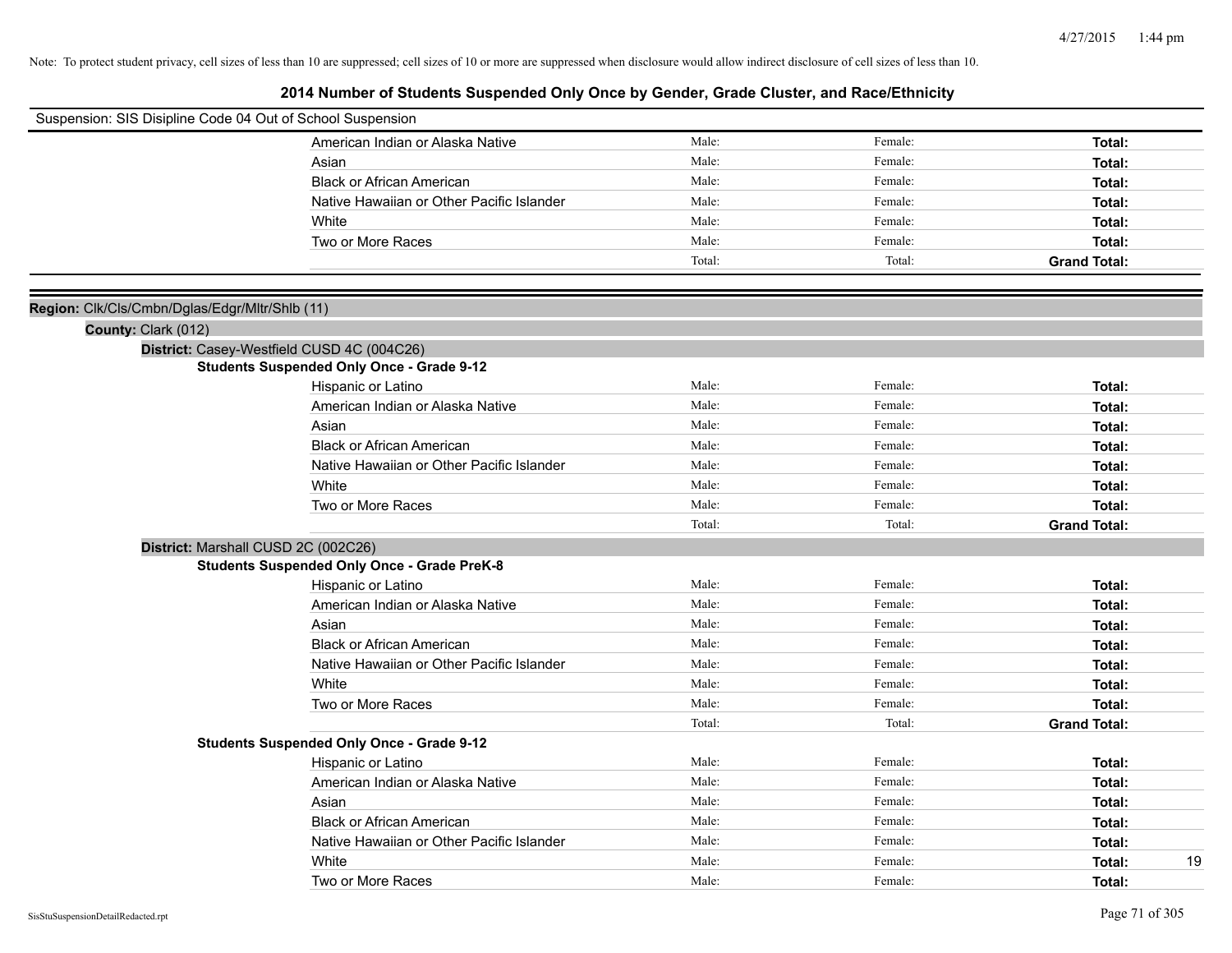| Suspension: SIS Disipline Code 04 Out of School Suspension |                                                    |        |         |                     |
|------------------------------------------------------------|----------------------------------------------------|--------|---------|---------------------|
|                                                            | American Indian or Alaska Native                   | Male:  | Female: | Total:              |
|                                                            | Asian                                              | Male:  | Female: | Total:              |
|                                                            | <b>Black or African American</b>                   | Male:  | Female: | Total:              |
|                                                            | Native Hawaiian or Other Pacific Islander          | Male:  | Female: | Total:              |
|                                                            | White                                              | Male:  | Female: | Total:              |
|                                                            | Two or More Races                                  | Male:  | Female: | Total:              |
|                                                            |                                                    | Total: | Total:  | <b>Grand Total:</b> |
|                                                            |                                                    |        |         |                     |
| Region: Clk/Cls/Cmbn/Dglas/Edgr/Mltr/Shlb (11)             |                                                    |        |         |                     |
| County: Clark (012)                                        |                                                    |        |         |                     |
|                                                            | District: Casey-Westfield CUSD 4C (004C26)         |        |         |                     |
|                                                            | <b>Students Suspended Only Once - Grade 9-12</b>   |        |         |                     |
|                                                            | Hispanic or Latino                                 | Male:  | Female: | Total:              |
|                                                            | American Indian or Alaska Native                   | Male:  | Female: | Total:              |
|                                                            | Asian                                              | Male:  | Female: | Total:              |
|                                                            | <b>Black or African American</b>                   | Male:  | Female: | Total:              |
|                                                            | Native Hawaiian or Other Pacific Islander          | Male:  | Female: | Total:              |
|                                                            | White                                              | Male:  | Female: | Total:              |
|                                                            | Two or More Races                                  | Male:  | Female: | Total:              |
|                                                            |                                                    | Total: | Total:  | <b>Grand Total:</b> |
|                                                            | District: Marshall CUSD 2C (002C26)                |        |         |                     |
|                                                            | <b>Students Suspended Only Once - Grade PreK-8</b> |        |         |                     |
|                                                            | Hispanic or Latino                                 | Male:  | Female: | Total:              |
|                                                            | American Indian or Alaska Native                   | Male:  | Female: | Total:              |
|                                                            | Asian                                              | Male:  | Female: | Total:              |
|                                                            | <b>Black or African American</b>                   | Male:  | Female: | Total:              |
|                                                            | Native Hawaiian or Other Pacific Islander          | Male:  | Female: | Total:              |
|                                                            | White                                              | Male:  | Female: | Total:              |
|                                                            | Two or More Races                                  | Male:  | Female: | Total:              |
|                                                            |                                                    | Total: | Total:  | <b>Grand Total:</b> |
|                                                            | <b>Students Suspended Only Once - Grade 9-12</b>   |        |         |                     |
|                                                            | Hispanic or Latino                                 | Male:  | Female: | Total:              |
|                                                            | American Indian or Alaska Native                   | Male:  | Female: | Total:              |
|                                                            | Asian                                              | Male:  | Female: | Total:              |
|                                                            | <b>Black or African American</b>                   | Male:  | Female: | Total:              |
|                                                            | Native Hawaiian or Other Pacific Islander          | Male:  | Female: | Total:              |
|                                                            | White                                              | Male:  | Female: | 19<br>Total:        |
|                                                            | Two or More Races                                  | Male:  | Female: | Total:              |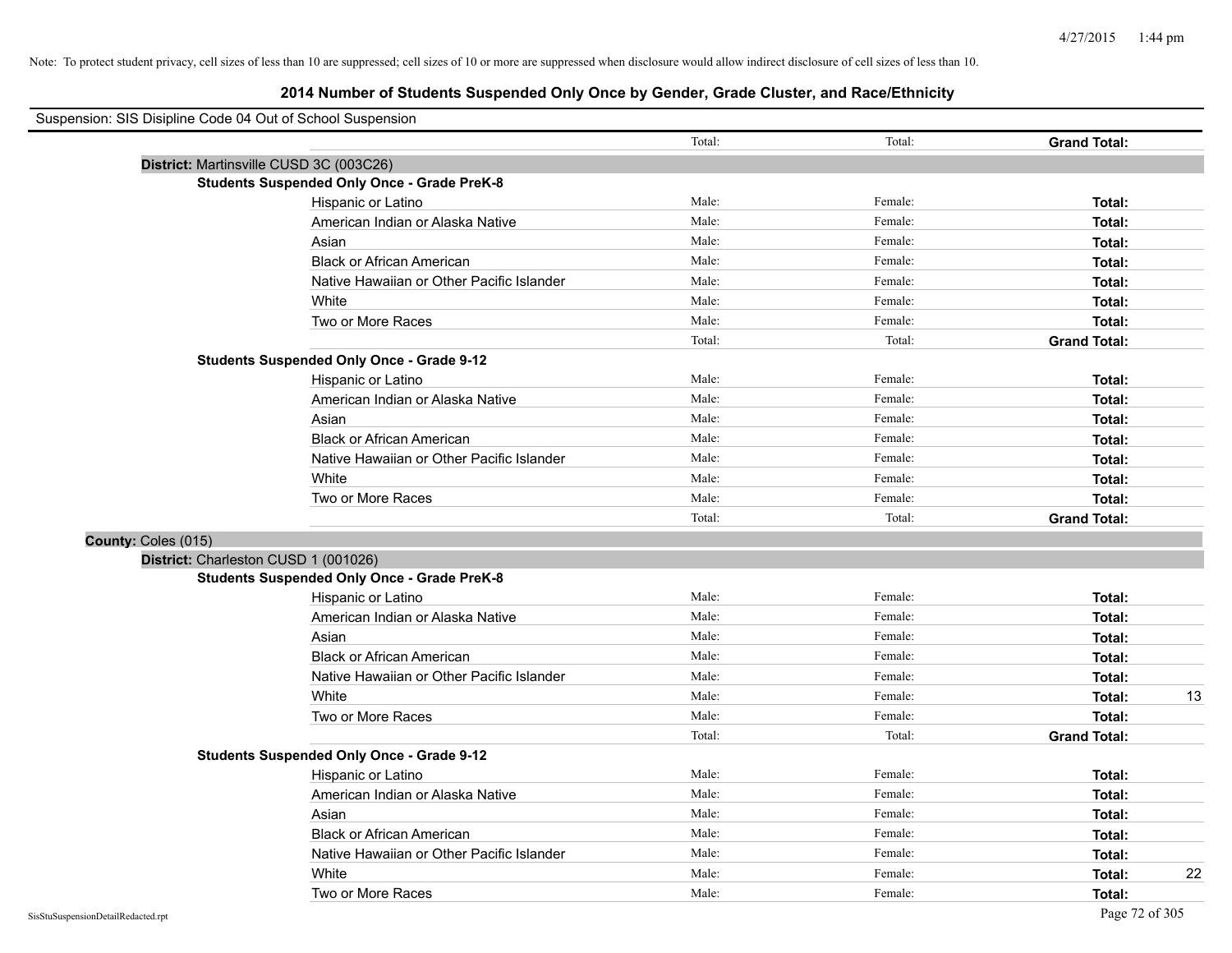# **2014 Number of Students Suspended Only Once by Gender, Grade Cluster, and Race/Ethnicity**

|                     | Suspension: SIS Disipline Code 04 Out of School Suspension |        |         |                     |
|---------------------|------------------------------------------------------------|--------|---------|---------------------|
|                     |                                                            | Total: | Total:  | <b>Grand Total:</b> |
|                     | District: Martinsville CUSD 3C (003C26)                    |        |         |                     |
|                     | <b>Students Suspended Only Once - Grade PreK-8</b>         |        |         |                     |
|                     | Hispanic or Latino                                         | Male:  | Female: | Total:              |
|                     | American Indian or Alaska Native                           | Male:  | Female: | Total:              |
|                     | Asian                                                      | Male:  | Female: | Total:              |
|                     | <b>Black or African American</b>                           | Male:  | Female: | Total:              |
|                     | Native Hawaiian or Other Pacific Islander                  | Male:  | Female: | Total:              |
|                     | White                                                      | Male:  | Female: | Total:              |
|                     | Two or More Races                                          | Male:  | Female: | Total:              |
|                     |                                                            | Total: | Total:  | <b>Grand Total:</b> |
|                     | <b>Students Suspended Only Once - Grade 9-12</b>           |        |         |                     |
|                     | Hispanic or Latino                                         | Male:  | Female: | Total:              |
|                     | American Indian or Alaska Native                           | Male:  | Female: | Total:              |
|                     | Asian                                                      | Male:  | Female: | Total:              |
|                     | <b>Black or African American</b>                           | Male:  | Female: | Total:              |
|                     | Native Hawaiian or Other Pacific Islander                  | Male:  | Female: | Total:              |
|                     | White                                                      | Male:  | Female: | Total:              |
|                     | Two or More Races                                          | Male:  | Female: | Total:              |
|                     |                                                            | Total: | Total:  | <b>Grand Total:</b> |
| County: Coles (015) |                                                            |        |         |                     |
|                     | District: Charleston CUSD 1 (001026)                       |        |         |                     |
|                     | <b>Students Suspended Only Once - Grade PreK-8</b>         |        |         |                     |
|                     | Hispanic or Latino                                         | Male:  | Female: | Total:              |
|                     | American Indian or Alaska Native                           | Male:  | Female: | Total:              |
|                     | Asian                                                      | Male:  | Female: | Total:              |
|                     | <b>Black or African American</b>                           | Male:  | Female: | Total:              |
|                     | Native Hawaiian or Other Pacific Islander                  | Male:  | Female: | Total:              |
|                     | White                                                      | Male:  | Female: | 13<br>Total:        |
|                     | Two or More Races                                          | Male:  | Female: | Total:              |
|                     |                                                            | Total: | Total:  | <b>Grand Total:</b> |
|                     | <b>Students Suspended Only Once - Grade 9-12</b>           |        |         |                     |
|                     | Hispanic or Latino                                         | Male:  | Female: | Total:              |
|                     | American Indian or Alaska Native                           | Male:  | Female: | Total:              |
|                     | Asian                                                      | Male:  | Female: | Total:              |
|                     | <b>Black or African American</b>                           | Male:  | Female: | Total:              |
|                     | Native Hawaiian or Other Pacific Islander                  | Male:  | Female: | Total:              |
|                     | White                                                      | Male:  | Female: | 22<br>Total:        |
|                     | Two or More Races                                          | Male:  | Female: | Total:              |

 $\blacksquare$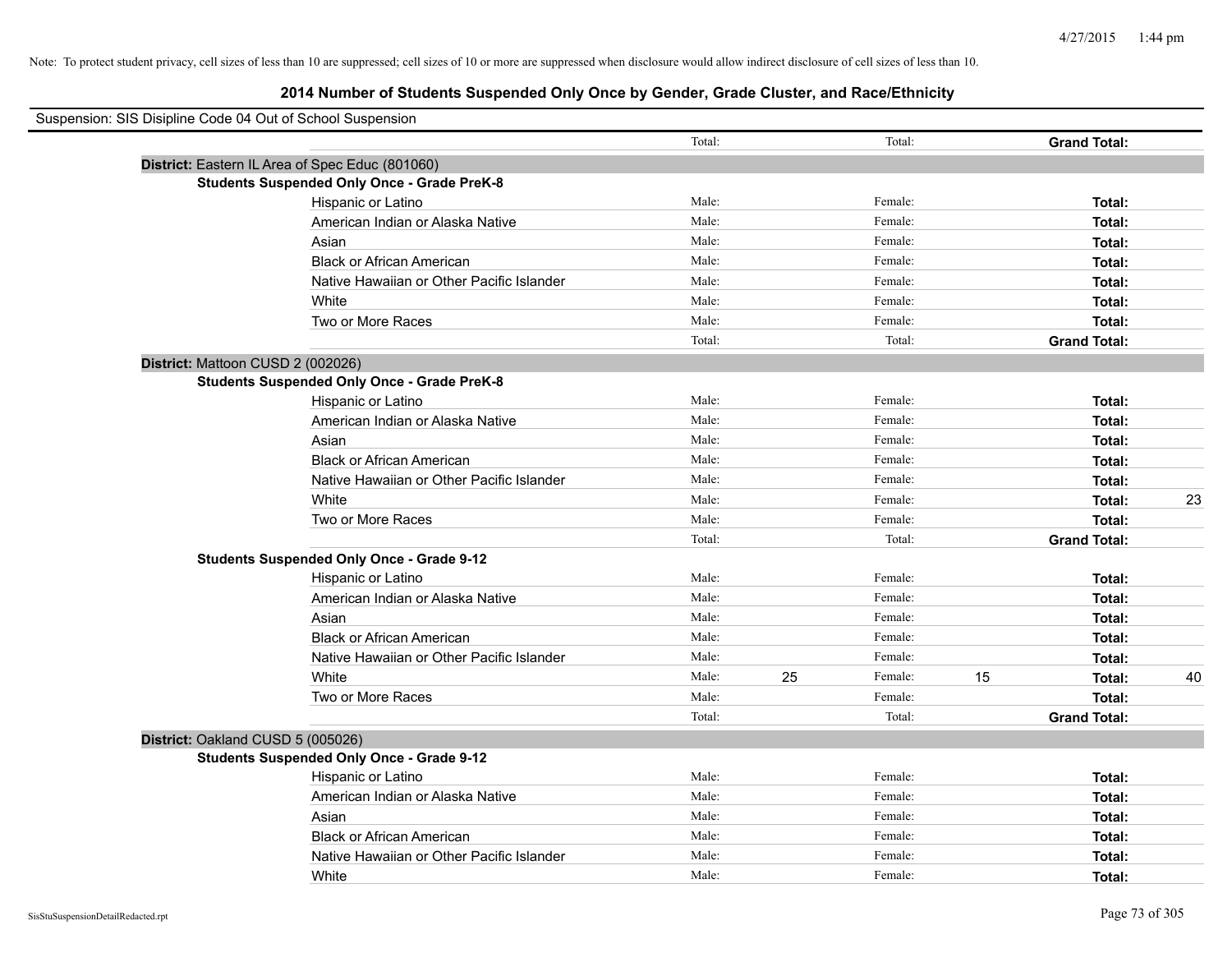| Suspension: SIS Disipline Code 04 Out of School Suspension |                                                    |        |    |         |    |                     |    |
|------------------------------------------------------------|----------------------------------------------------|--------|----|---------|----|---------------------|----|
|                                                            |                                                    | Total: |    | Total:  |    | <b>Grand Total:</b> |    |
| District: Eastern IL Area of Spec Educ (801060)            |                                                    |        |    |         |    |                     |    |
|                                                            | <b>Students Suspended Only Once - Grade PreK-8</b> |        |    |         |    |                     |    |
|                                                            | Hispanic or Latino                                 | Male:  |    | Female: |    | Total:              |    |
|                                                            | American Indian or Alaska Native                   | Male:  |    | Female: |    | Total:              |    |
|                                                            | Asian                                              | Male:  |    | Female: |    | Total:              |    |
|                                                            | <b>Black or African American</b>                   | Male:  |    | Female: |    | Total:              |    |
|                                                            | Native Hawaiian or Other Pacific Islander          | Male:  |    | Female: |    | Total:              |    |
|                                                            | White                                              | Male:  |    | Female: |    | Total:              |    |
|                                                            | Two or More Races                                  | Male:  |    | Female: |    | Total:              |    |
|                                                            |                                                    | Total: |    | Total:  |    | <b>Grand Total:</b> |    |
| District: Mattoon CUSD 2 (002026)                          |                                                    |        |    |         |    |                     |    |
|                                                            | <b>Students Suspended Only Once - Grade PreK-8</b> |        |    |         |    |                     |    |
|                                                            | Hispanic or Latino                                 | Male:  |    | Female: |    | Total:              |    |
|                                                            | American Indian or Alaska Native                   | Male:  |    | Female: |    | Total:              |    |
|                                                            | Asian                                              | Male:  |    | Female: |    | Total:              |    |
|                                                            | <b>Black or African American</b>                   | Male:  |    | Female: |    | Total:              |    |
|                                                            | Native Hawaiian or Other Pacific Islander          | Male:  |    | Female: |    | Total:              |    |
|                                                            | White                                              | Male:  |    | Female: |    | Total:              | 23 |
|                                                            | Two or More Races                                  | Male:  |    | Female: |    | Total:              |    |
|                                                            |                                                    | Total: |    | Total:  |    | <b>Grand Total:</b> |    |
|                                                            | <b>Students Suspended Only Once - Grade 9-12</b>   |        |    |         |    |                     |    |
|                                                            | Hispanic or Latino                                 | Male:  |    | Female: |    | Total:              |    |
|                                                            | American Indian or Alaska Native                   | Male:  |    | Female: |    | Total:              |    |
|                                                            | Asian                                              | Male:  |    | Female: |    | Total:              |    |
|                                                            | <b>Black or African American</b>                   | Male:  |    | Female: |    | Total:              |    |
|                                                            | Native Hawaiian or Other Pacific Islander          | Male:  |    | Female: |    | Total:              |    |
|                                                            | White                                              | Male:  | 25 | Female: | 15 | Total:              | 40 |
|                                                            | Two or More Races                                  | Male:  |    | Female: |    | Total:              |    |
|                                                            |                                                    | Total: |    | Total:  |    | <b>Grand Total:</b> |    |
| District: Oakland CUSD 5 (005026)                          |                                                    |        |    |         |    |                     |    |
|                                                            | <b>Students Suspended Only Once - Grade 9-12</b>   |        |    |         |    |                     |    |
|                                                            | Hispanic or Latino                                 | Male:  |    | Female: |    | Total:              |    |
|                                                            | American Indian or Alaska Native                   | Male:  |    | Female: |    | Total:              |    |
|                                                            | Asian                                              | Male:  |    | Female: |    | Total:              |    |
|                                                            | <b>Black or African American</b>                   | Male:  |    | Female: |    | Total:              |    |
|                                                            | Native Hawaiian or Other Pacific Islander          | Male:  |    | Female: |    | Total:              |    |
|                                                            | White                                              | Male:  |    | Female: |    | Total:              |    |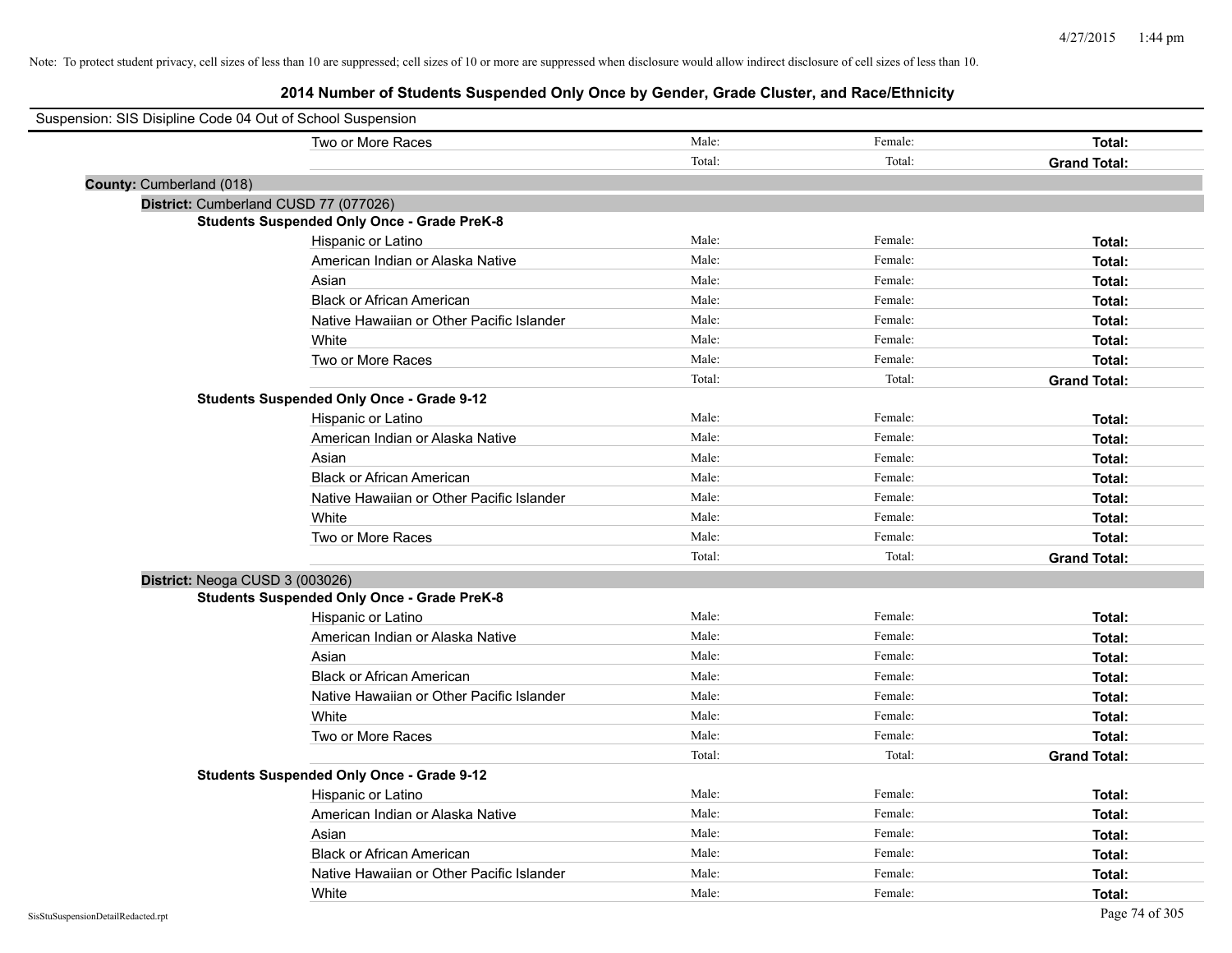| Suspension: SIS Disipline Code 04 Out of School Suspension |        |         |                     |
|------------------------------------------------------------|--------|---------|---------------------|
| Two or More Races                                          | Male:  | Female: | <b>Total:</b>       |
|                                                            | Total: | Total:  | <b>Grand Total:</b> |
| County: Cumberland (018)                                   |        |         |                     |
| District: Cumberland CUSD 77 (077026)                      |        |         |                     |
| <b>Students Suspended Only Once - Grade PreK-8</b>         |        |         |                     |
| Hispanic or Latino                                         | Male:  | Female: | Total:              |
| American Indian or Alaska Native                           | Male:  | Female: | Total:              |
| Asian                                                      | Male:  | Female: | Total:              |
| <b>Black or African American</b>                           | Male:  | Female: | Total:              |
| Native Hawaiian or Other Pacific Islander                  | Male:  | Female: | Total:              |
| White                                                      | Male:  | Female: | Total:              |
| Two or More Races                                          | Male:  | Female: | Total:              |
|                                                            | Total: | Total:  | <b>Grand Total:</b> |
| <b>Students Suspended Only Once - Grade 9-12</b>           |        |         |                     |
| Hispanic or Latino                                         | Male:  | Female: | Total:              |
| American Indian or Alaska Native                           | Male:  | Female: | Total:              |
| Asian                                                      | Male:  | Female: | Total:              |
| <b>Black or African American</b>                           | Male:  | Female: | Total:              |
| Native Hawaiian or Other Pacific Islander                  | Male:  | Female: | Total:              |
| White                                                      | Male:  | Female: | Total:              |
| Two or More Races                                          | Male:  | Female: | Total:              |
|                                                            | Total: | Total:  | <b>Grand Total:</b> |
| District: Neoga CUSD 3 (003026)                            |        |         |                     |
| <b>Students Suspended Only Once - Grade PreK-8</b>         |        |         |                     |
| Hispanic or Latino                                         | Male:  | Female: | Total:              |
| American Indian or Alaska Native                           | Male:  | Female: | Total:              |
| Asian                                                      | Male:  | Female: | Total:              |
| <b>Black or African American</b>                           | Male:  | Female: | Total:              |
| Native Hawaiian or Other Pacific Islander                  | Male:  | Female: | Total:              |
| White                                                      | Male:  | Female: | Total:              |
| Two or More Races                                          | Male:  | Female: | Total:              |
|                                                            | Total: | Total:  | <b>Grand Total:</b> |
| <b>Students Suspended Only Once - Grade 9-12</b>           |        |         |                     |
| Hispanic or Latino                                         | Male:  | Female: | Total:              |
| American Indian or Alaska Native                           | Male:  | Female: | Total:              |
| Asian                                                      | Male:  | Female: | Total:              |
| <b>Black or African American</b>                           | Male:  | Female: | Total:              |
| Native Hawaiian or Other Pacific Islander                  | Male:  | Female: | Total:              |
| White                                                      | Male:  | Female: | Total:              |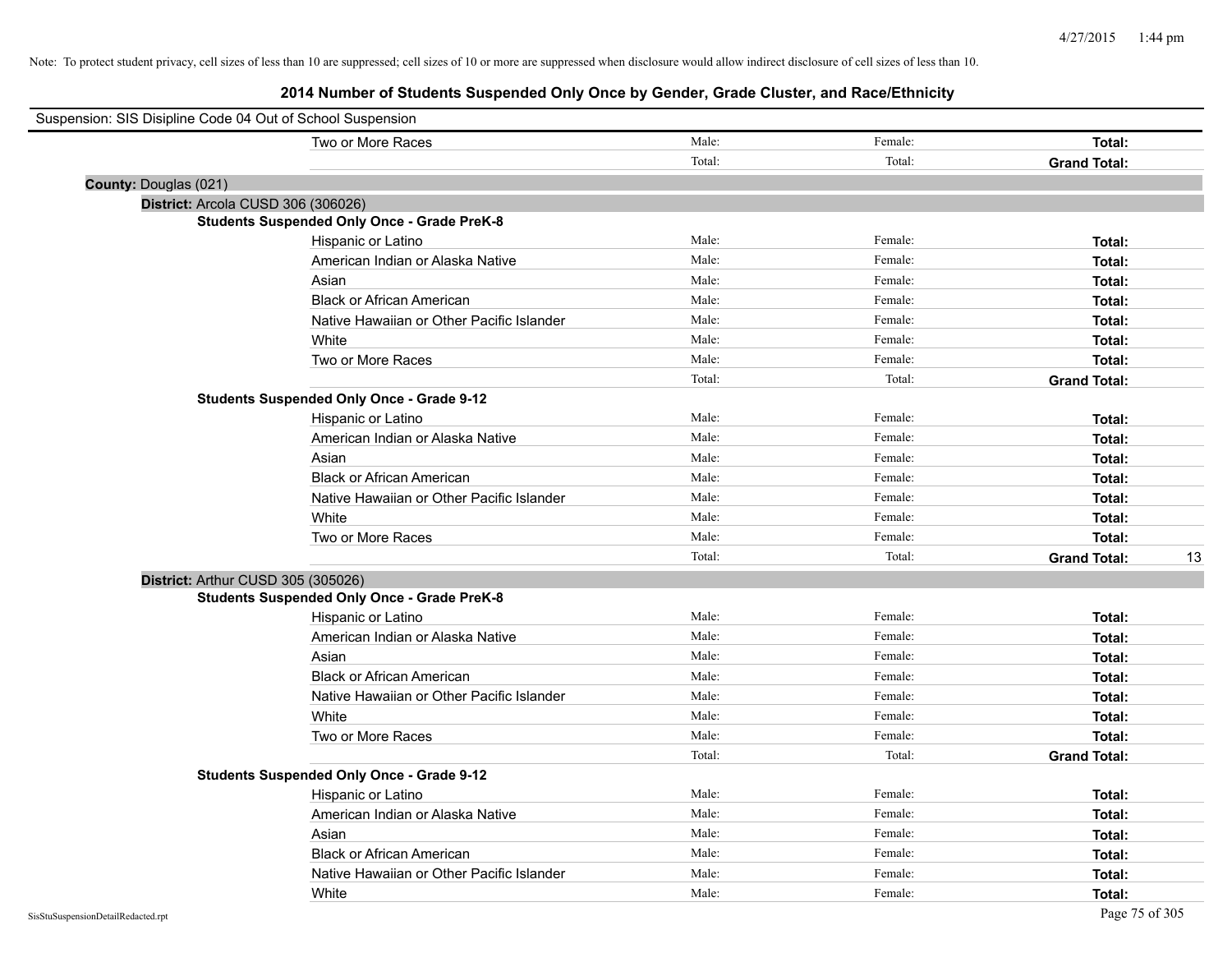| Suspension: SIS Disipline Code 04 Out of School Suspension |        |         |                           |
|------------------------------------------------------------|--------|---------|---------------------------|
| Two or More Races                                          | Male:  | Female: | <b>Total:</b>             |
|                                                            | Total: | Total:  | <b>Grand Total:</b>       |
| County: Douglas (021)                                      |        |         |                           |
| District: Arcola CUSD 306 (306026)                         |        |         |                           |
| <b>Students Suspended Only Once - Grade PreK-8</b>         |        |         |                           |
| Hispanic or Latino                                         | Male:  | Female: | Total:                    |
| American Indian or Alaska Native                           | Male:  | Female: | Total:                    |
| Asian                                                      | Male:  | Female: | Total:                    |
| <b>Black or African American</b>                           | Male:  | Female: | Total:                    |
| Native Hawaiian or Other Pacific Islander                  | Male:  | Female: | Total:                    |
| White                                                      | Male:  | Female: | Total:                    |
| Two or More Races                                          | Male:  | Female: | Total:                    |
|                                                            | Total: | Total:  | <b>Grand Total:</b>       |
| <b>Students Suspended Only Once - Grade 9-12</b>           |        |         |                           |
| Hispanic or Latino                                         | Male:  | Female: | Total:                    |
| American Indian or Alaska Native                           | Male:  | Female: | Total:                    |
| Asian                                                      | Male:  | Female: | Total:                    |
| <b>Black or African American</b>                           | Male:  | Female: | Total:                    |
| Native Hawaiian or Other Pacific Islander                  | Male:  | Female: | Total:                    |
| White                                                      | Male:  | Female: | Total:                    |
| Two or More Races                                          | Male:  | Female: | Total:                    |
|                                                            | Total: | Total:  | <b>Grand Total:</b><br>13 |
| District: Arthur CUSD 305 (305026)                         |        |         |                           |
| <b>Students Suspended Only Once - Grade PreK-8</b>         |        |         |                           |
| Hispanic or Latino                                         | Male:  | Female: | Total:                    |
| American Indian or Alaska Native                           | Male:  | Female: | Total:                    |
| Asian                                                      | Male:  | Female: | Total:                    |
| <b>Black or African American</b>                           | Male:  | Female: | Total:                    |
| Native Hawaiian or Other Pacific Islander                  | Male:  | Female: | Total:                    |
| White                                                      | Male:  | Female: | Total:                    |
| Two or More Races                                          | Male:  | Female: | Total:                    |
|                                                            | Total: | Total:  | <b>Grand Total:</b>       |
| <b>Students Suspended Only Once - Grade 9-12</b>           |        |         |                           |
| Hispanic or Latino                                         | Male:  | Female: | Total:                    |
| American Indian or Alaska Native                           | Male:  | Female: | Total:                    |
| Asian                                                      | Male:  | Female: | Total:                    |
| <b>Black or African American</b>                           | Male:  | Female: | Total:                    |
| Native Hawaiian or Other Pacific Islander                  | Male:  | Female: | Total:                    |
| White                                                      | Male:  | Female: | Total:                    |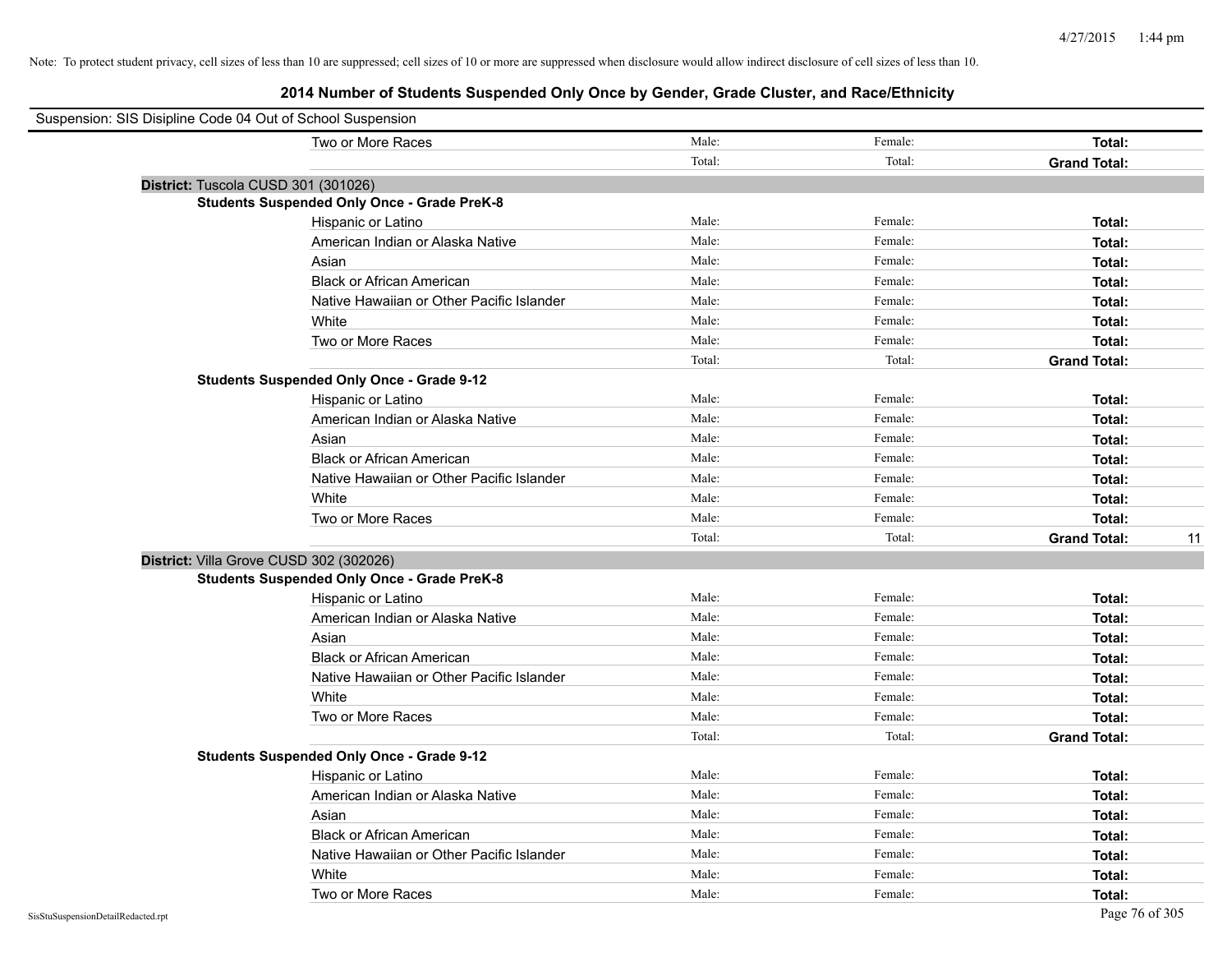| Suspension: SIS Disipline Code 04 Out of School Suspension |        |         |                     |    |
|------------------------------------------------------------|--------|---------|---------------------|----|
| Two or More Races                                          | Male:  | Female: | Total:              |    |
|                                                            | Total: | Total:  | <b>Grand Total:</b> |    |
| District: Tuscola CUSD 301 (301026)                        |        |         |                     |    |
| <b>Students Suspended Only Once - Grade PreK-8</b>         |        |         |                     |    |
| Hispanic or Latino                                         | Male:  | Female: | Total:              |    |
| American Indian or Alaska Native                           | Male:  | Female: | Total:              |    |
| Asian                                                      | Male:  | Female: | Total:              |    |
| <b>Black or African American</b>                           | Male:  | Female: | Total:              |    |
| Native Hawaiian or Other Pacific Islander                  | Male:  | Female: | Total:              |    |
| White                                                      | Male:  | Female: | Total:              |    |
| Two or More Races                                          | Male:  | Female: | Total:              |    |
|                                                            | Total: | Total:  | <b>Grand Total:</b> |    |
| <b>Students Suspended Only Once - Grade 9-12</b>           |        |         |                     |    |
| Hispanic or Latino                                         | Male:  | Female: | Total:              |    |
| American Indian or Alaska Native                           | Male:  | Female: | Total:              |    |
| Asian                                                      | Male:  | Female: | Total:              |    |
| <b>Black or African American</b>                           | Male:  | Female: | Total:              |    |
| Native Hawaiian or Other Pacific Islander                  | Male:  | Female: | Total:              |    |
| White                                                      | Male:  | Female: | Total:              |    |
| Two or More Races                                          | Male:  | Female: | Total:              |    |
|                                                            | Total: | Total:  | <b>Grand Total:</b> | 11 |
| District: Villa Grove CUSD 302 (302026)                    |        |         |                     |    |
| <b>Students Suspended Only Once - Grade PreK-8</b>         |        |         |                     |    |
| Hispanic or Latino                                         | Male:  | Female: | Total:              |    |
| American Indian or Alaska Native                           | Male:  | Female: | Total:              |    |
| Asian                                                      | Male:  | Female: | Total:              |    |
| <b>Black or African American</b>                           | Male:  | Female: | Total:              |    |
| Native Hawaiian or Other Pacific Islander                  | Male:  | Female: | Total:              |    |
| White                                                      | Male:  | Female: | Total:              |    |
| Two or More Races                                          | Male:  | Female: | Total:              |    |
|                                                            | Total: | Total:  | <b>Grand Total:</b> |    |
| <b>Students Suspended Only Once - Grade 9-12</b>           |        |         |                     |    |
| Hispanic or Latino                                         | Male:  | Female: | Total:              |    |
| American Indian or Alaska Native                           | Male:  | Female: | Total:              |    |
| Asian                                                      | Male:  | Female: | Total:              |    |
| <b>Black or African American</b>                           | Male:  | Female: | Total:              |    |
| Native Hawaiian or Other Pacific Islander                  | Male:  | Female: | Total:              |    |
| White                                                      | Male:  | Female: | Total:              |    |
| Two or More Races                                          | Male:  | Female: | Total:              |    |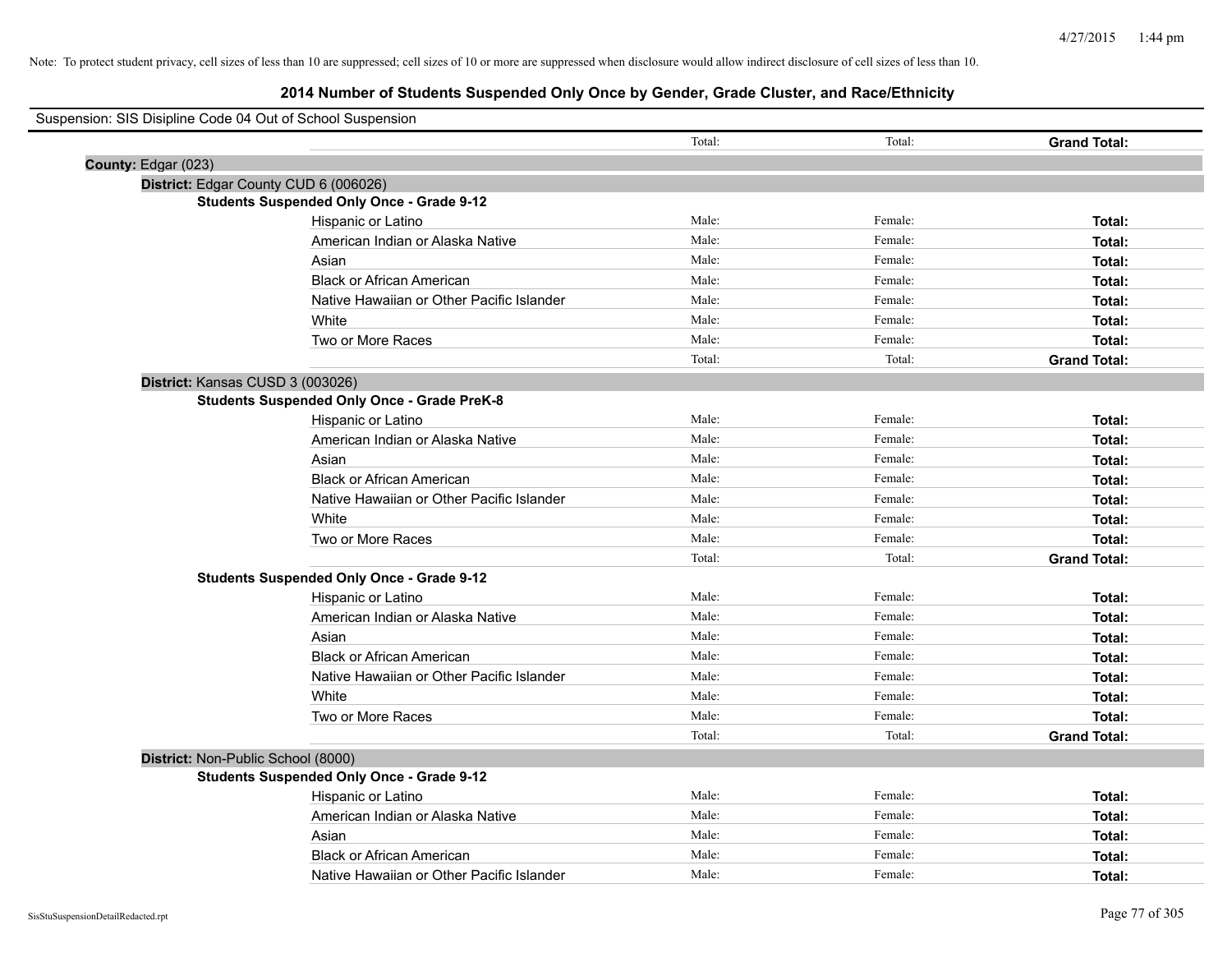| Suspension: SIS Disipline Code 04 Out of School Suspension |                                                    |        |         |                     |
|------------------------------------------------------------|----------------------------------------------------|--------|---------|---------------------|
|                                                            |                                                    | Total: | Total:  | <b>Grand Total:</b> |
| County: Edgar (023)                                        |                                                    |        |         |                     |
| District: Edgar County CUD 6 (006026)                      |                                                    |        |         |                     |
|                                                            | <b>Students Suspended Only Once - Grade 9-12</b>   |        |         |                     |
|                                                            | Hispanic or Latino                                 | Male:  | Female: | Total:              |
|                                                            | American Indian or Alaska Native                   | Male:  | Female: | Total:              |
|                                                            | Asian                                              | Male:  | Female: | Total:              |
|                                                            | <b>Black or African American</b>                   | Male:  | Female: | Total:              |
|                                                            | Native Hawaiian or Other Pacific Islander          | Male:  | Female: | Total:              |
|                                                            | White                                              | Male:  | Female: | Total:              |
|                                                            | Two or More Races                                  | Male:  | Female: | Total:              |
|                                                            |                                                    | Total: | Total:  | <b>Grand Total:</b> |
| District: Kansas CUSD 3 (003026)                           |                                                    |        |         |                     |
|                                                            | <b>Students Suspended Only Once - Grade PreK-8</b> |        |         |                     |
|                                                            | Hispanic or Latino                                 | Male:  | Female: | Total:              |
|                                                            | American Indian or Alaska Native                   | Male:  | Female: | Total:              |
|                                                            | Asian                                              | Male:  | Female: | Total:              |
|                                                            | <b>Black or African American</b>                   | Male:  | Female: | Total:              |
|                                                            | Native Hawaiian or Other Pacific Islander          | Male:  | Female: | Total:              |
|                                                            | White                                              | Male:  | Female: | Total:              |
|                                                            | Two or More Races                                  | Male:  | Female: | Total:              |
|                                                            |                                                    | Total: | Total:  | <b>Grand Total:</b> |
|                                                            | <b>Students Suspended Only Once - Grade 9-12</b>   |        |         |                     |
|                                                            | Hispanic or Latino                                 | Male:  | Female: | Total:              |
|                                                            | American Indian or Alaska Native                   | Male:  | Female: | Total:              |
|                                                            | Asian                                              | Male:  | Female: | Total:              |
|                                                            | <b>Black or African American</b>                   | Male:  | Female: | Total:              |
|                                                            | Native Hawaiian or Other Pacific Islander          | Male:  | Female: | Total:              |
|                                                            | White                                              | Male:  | Female: | Total:              |
|                                                            | Two or More Races                                  | Male:  | Female: | Total:              |
|                                                            |                                                    | Total: | Total:  | <b>Grand Total:</b> |
| District: Non-Public School (8000)                         |                                                    |        |         |                     |
|                                                            | <b>Students Suspended Only Once - Grade 9-12</b>   |        |         |                     |
|                                                            | Hispanic or Latino                                 | Male:  | Female: | Total:              |
|                                                            | American Indian or Alaska Native                   | Male:  | Female: | Total:              |
|                                                            | Asian                                              | Male:  | Female: | Total:              |
|                                                            | <b>Black or African American</b>                   | Male:  | Female: | Total:              |
|                                                            | Native Hawaiian or Other Pacific Islander          | Male:  | Female: | Total:              |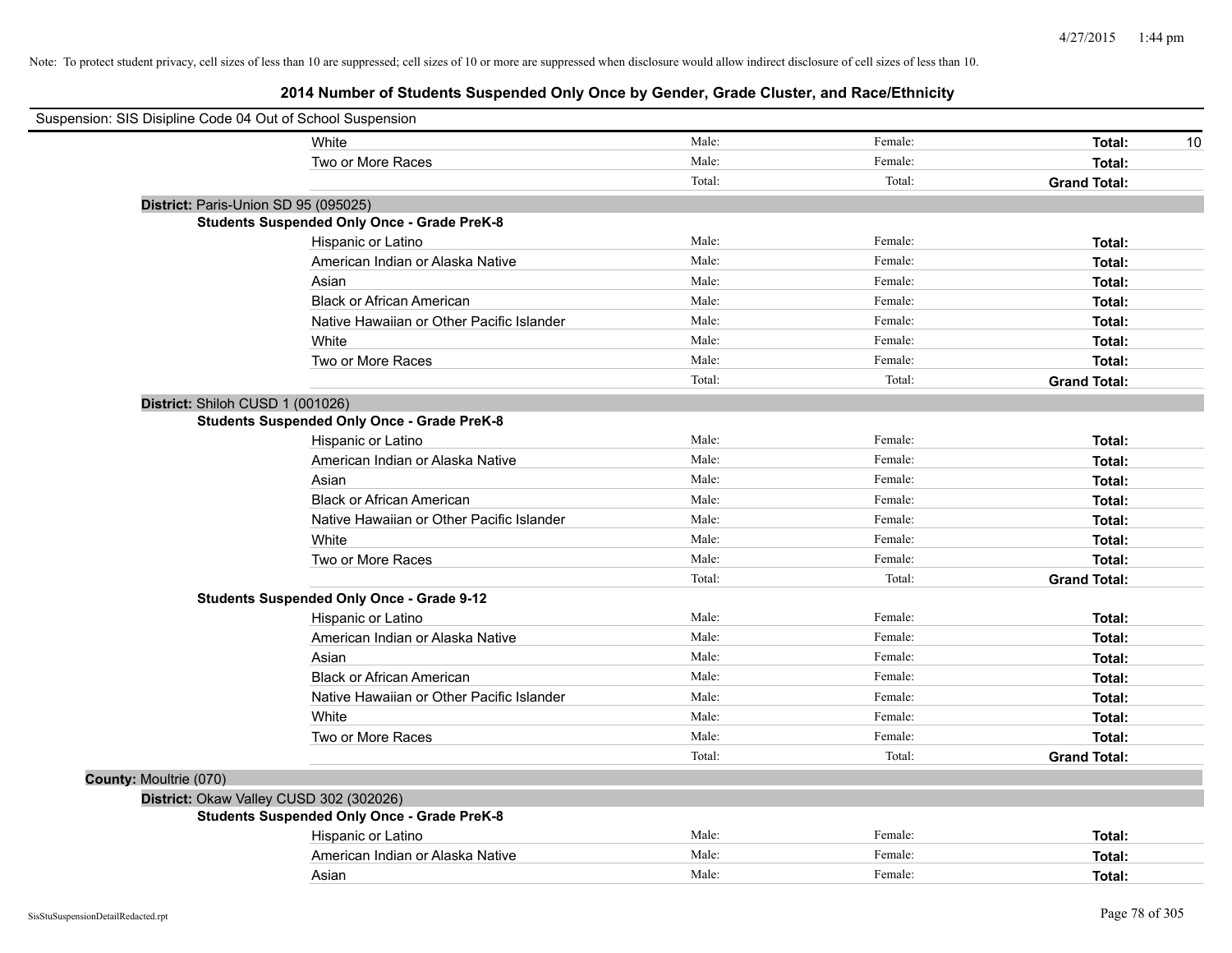| Suspension: SIS Disipline Code 04 Out of School Suspension |                                                    |        |         |                     |
|------------------------------------------------------------|----------------------------------------------------|--------|---------|---------------------|
|                                                            | White                                              | Male:  | Female: | Total:<br>10        |
|                                                            | Two or More Races                                  | Male:  | Female: | Total:              |
|                                                            |                                                    | Total: | Total:  | <b>Grand Total:</b> |
| District: Paris-Union SD 95 (095025)                       |                                                    |        |         |                     |
|                                                            | <b>Students Suspended Only Once - Grade PreK-8</b> |        |         |                     |
|                                                            | Hispanic or Latino                                 | Male:  | Female: | Total:              |
|                                                            | American Indian or Alaska Native                   | Male:  | Female: | Total:              |
|                                                            | Asian                                              | Male:  | Female: | Total:              |
|                                                            | <b>Black or African American</b>                   | Male:  | Female: | Total:              |
|                                                            | Native Hawaiian or Other Pacific Islander          | Male:  | Female: | Total:              |
|                                                            | White                                              | Male:  | Female: | Total:              |
|                                                            | Two or More Races                                  | Male:  | Female: | Total:              |
|                                                            |                                                    | Total: | Total:  | <b>Grand Total:</b> |
| District: Shiloh CUSD 1 (001026)                           |                                                    |        |         |                     |
|                                                            | <b>Students Suspended Only Once - Grade PreK-8</b> |        |         |                     |
|                                                            | Hispanic or Latino                                 | Male:  | Female: | Total:              |
|                                                            | American Indian or Alaska Native                   | Male:  | Female: | Total:              |
|                                                            | Asian                                              | Male:  | Female: | Total:              |
|                                                            | <b>Black or African American</b>                   | Male:  | Female: | Total:              |
|                                                            | Native Hawaiian or Other Pacific Islander          | Male:  | Female: | Total:              |
|                                                            | White                                              | Male:  | Female: | Total:              |
|                                                            | Two or More Races                                  | Male:  | Female: | Total:              |
|                                                            |                                                    | Total: | Total:  | <b>Grand Total:</b> |
|                                                            | <b>Students Suspended Only Once - Grade 9-12</b>   |        |         |                     |
|                                                            | Hispanic or Latino                                 | Male:  | Female: | Total:              |
|                                                            | American Indian or Alaska Native                   | Male:  | Female: | Total:              |
|                                                            | Asian                                              | Male:  | Female: | Total:              |
|                                                            | <b>Black or African American</b>                   | Male:  | Female: | Total:              |
|                                                            | Native Hawaiian or Other Pacific Islander          | Male:  | Female: | Total:              |
|                                                            | White                                              | Male:  | Female: | Total:              |
|                                                            | Two or More Races                                  | Male:  | Female: | Total:              |
|                                                            |                                                    | Total: | Total:  | <b>Grand Total:</b> |
| County: Moultrie (070)                                     |                                                    |        |         |                     |
|                                                            | District: Okaw Valley CUSD 302 (302026)            |        |         |                     |
|                                                            | <b>Students Suspended Only Once - Grade PreK-8</b> |        |         |                     |
|                                                            | Hispanic or Latino                                 | Male:  | Female: | Total:              |
|                                                            | American Indian or Alaska Native                   | Male:  | Female: | Total:              |
|                                                            | Asian                                              | Male:  | Female: | Total:              |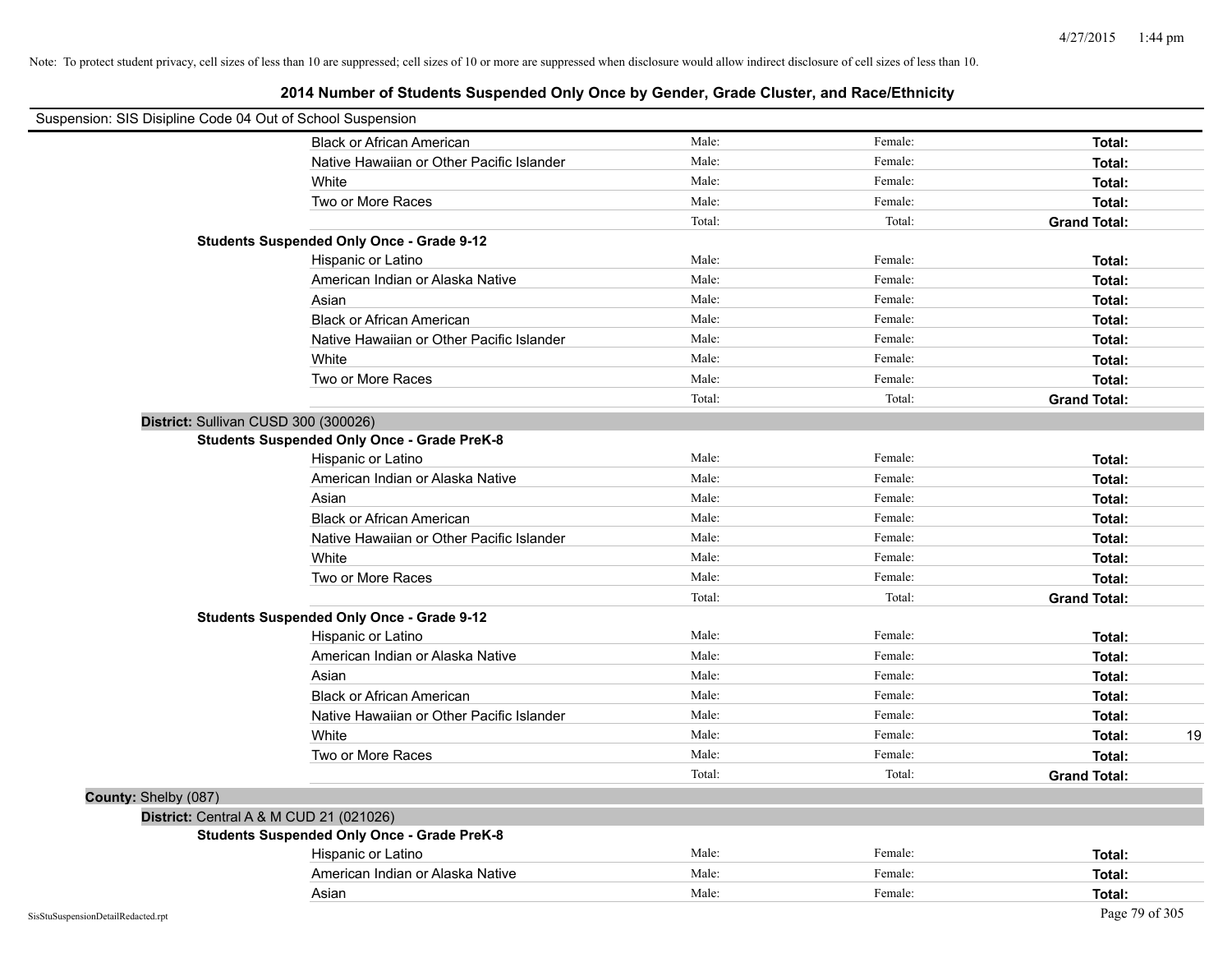| Suspension: SIS Disipline Code 04 Out of School Suspension |                                                    |        |         |                     |
|------------------------------------------------------------|----------------------------------------------------|--------|---------|---------------------|
|                                                            | <b>Black or African American</b>                   | Male:  | Female: | Total:              |
|                                                            | Native Hawaiian or Other Pacific Islander          | Male:  | Female: | Total:              |
|                                                            | White                                              | Male:  | Female: | Total:              |
|                                                            | Two or More Races                                  | Male:  | Female: | Total:              |
|                                                            |                                                    | Total: | Total:  | <b>Grand Total:</b> |
|                                                            | <b>Students Suspended Only Once - Grade 9-12</b>   |        |         |                     |
|                                                            | Hispanic or Latino                                 | Male:  | Female: | Total:              |
|                                                            | American Indian or Alaska Native                   | Male:  | Female: | Total:              |
|                                                            | Asian                                              | Male:  | Female: | Total:              |
|                                                            | <b>Black or African American</b>                   | Male:  | Female: | Total:              |
|                                                            | Native Hawaiian or Other Pacific Islander          | Male:  | Female: | Total:              |
|                                                            | White                                              | Male:  | Female: | Total:              |
|                                                            | Two or More Races                                  | Male:  | Female: | Total:              |
|                                                            |                                                    | Total: | Total:  | <b>Grand Total:</b> |
| District: Sullivan CUSD 300 (300026)                       |                                                    |        |         |                     |
|                                                            | <b>Students Suspended Only Once - Grade PreK-8</b> |        |         |                     |
|                                                            | Hispanic or Latino                                 | Male:  | Female: | Total:              |
|                                                            | American Indian or Alaska Native                   | Male:  | Female: | Total:              |
|                                                            | Asian                                              | Male:  | Female: | Total:              |
|                                                            | <b>Black or African American</b>                   | Male:  | Female: | Total:              |
|                                                            | Native Hawaiian or Other Pacific Islander          | Male:  | Female: | Total:              |
|                                                            | White                                              | Male:  | Female: | Total:              |
|                                                            | Two or More Races                                  | Male:  | Female: | Total:              |
|                                                            |                                                    | Total: | Total:  | <b>Grand Total:</b> |
|                                                            | <b>Students Suspended Only Once - Grade 9-12</b>   |        |         |                     |
|                                                            | Hispanic or Latino                                 | Male:  | Female: | Total:              |
|                                                            | American Indian or Alaska Native                   | Male:  | Female: | Total:              |
|                                                            | Asian                                              | Male:  | Female: | Total:              |
|                                                            | <b>Black or African American</b>                   | Male:  | Female: | Total:              |
|                                                            | Native Hawaiian or Other Pacific Islander          | Male:  | Female: | Total:              |
|                                                            | White                                              | Male:  | Female: | 19<br>Total:        |
|                                                            | Two or More Races                                  | Male:  | Female: | Total:              |
|                                                            |                                                    | Total: | Total:  | <b>Grand Total:</b> |
| County: Shelby (087)                                       |                                                    |        |         |                     |
| District: Central A & M CUD 21 (021026)                    |                                                    |        |         |                     |
|                                                            | <b>Students Suspended Only Once - Grade PreK-8</b> |        |         |                     |
|                                                            | Hispanic or Latino                                 | Male:  | Female: | Total:              |
|                                                            | American Indian or Alaska Native                   | Male:  | Female: | Total:              |
|                                                            | Asian                                              | Male:  | Female: | Total:              |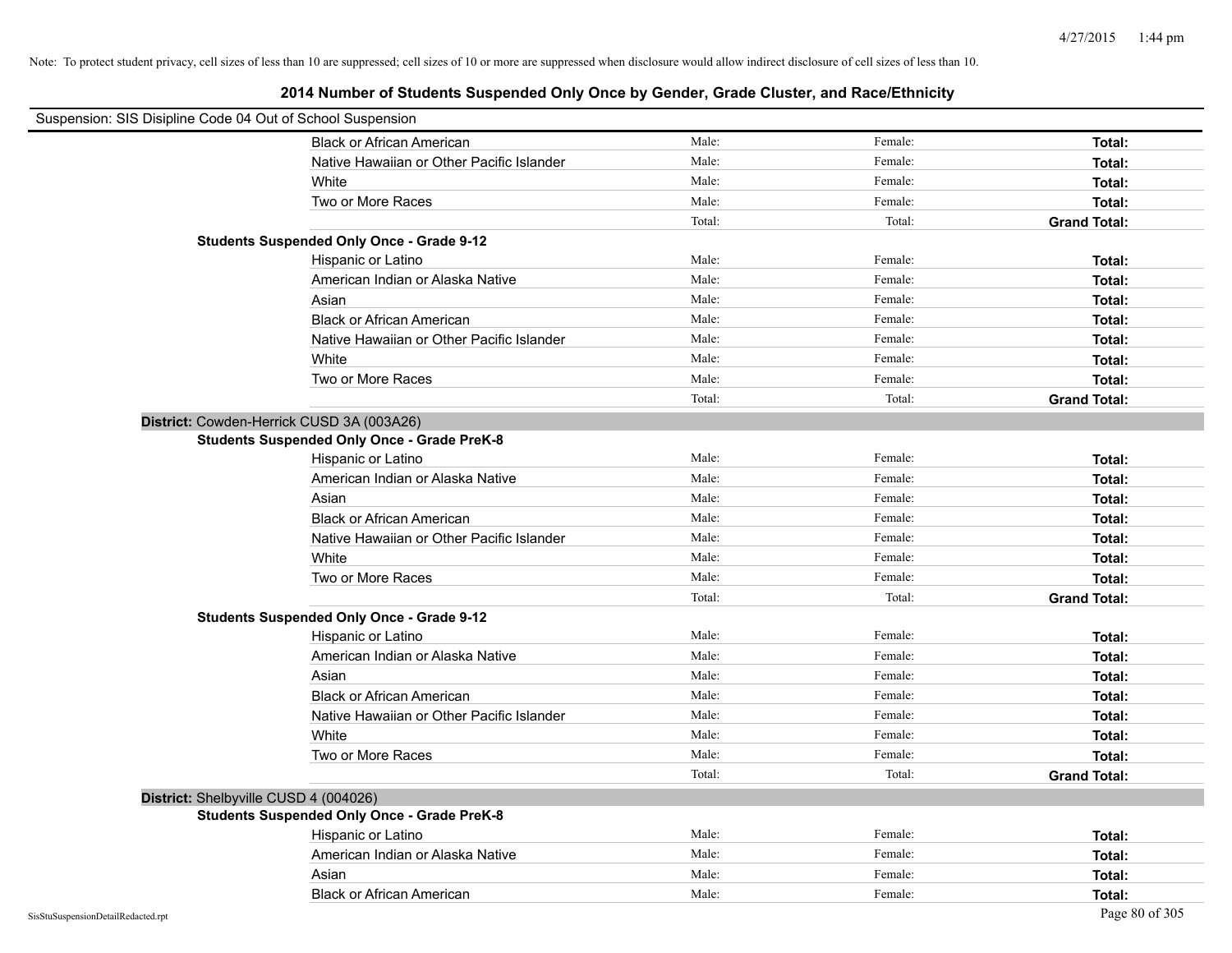| Suspension: SIS Disipline Code 04 Out of School Suspension |                                                    |        |         |                     |
|------------------------------------------------------------|----------------------------------------------------|--------|---------|---------------------|
|                                                            | <b>Black or African American</b>                   | Male:  | Female: | Total:              |
|                                                            | Native Hawaiian or Other Pacific Islander          | Male:  | Female: | Total:              |
|                                                            | White                                              | Male:  | Female: | Total:              |
|                                                            | Two or More Races                                  | Male:  | Female: | Total:              |
|                                                            |                                                    | Total: | Total:  | <b>Grand Total:</b> |
|                                                            | <b>Students Suspended Only Once - Grade 9-12</b>   |        |         |                     |
|                                                            | Hispanic or Latino                                 | Male:  | Female: | Total:              |
|                                                            | American Indian or Alaska Native                   | Male:  | Female: | Total:              |
|                                                            | Asian                                              | Male:  | Female: | Total:              |
|                                                            | <b>Black or African American</b>                   | Male:  | Female: | Total:              |
|                                                            | Native Hawaiian or Other Pacific Islander          | Male:  | Female: | Total:              |
|                                                            | White                                              | Male:  | Female: | Total:              |
|                                                            | Two or More Races                                  | Male:  | Female: | Total:              |
|                                                            |                                                    | Total: | Total:  | <b>Grand Total:</b> |
| District: Cowden-Herrick CUSD 3A (003A26)                  |                                                    |        |         |                     |
|                                                            | <b>Students Suspended Only Once - Grade PreK-8</b> |        |         |                     |
|                                                            | Hispanic or Latino                                 | Male:  | Female: | Total:              |
|                                                            | American Indian or Alaska Native                   | Male:  | Female: | Total:              |
|                                                            | Asian                                              | Male:  | Female: | Total:              |
|                                                            | <b>Black or African American</b>                   | Male:  | Female: | Total:              |
|                                                            | Native Hawaiian or Other Pacific Islander          | Male:  | Female: | Total:              |
|                                                            | White                                              | Male:  | Female: | Total:              |
|                                                            | Two or More Races                                  | Male:  | Female: | Total:              |
|                                                            |                                                    | Total: | Total:  | <b>Grand Total:</b> |
|                                                            | <b>Students Suspended Only Once - Grade 9-12</b>   |        |         |                     |
|                                                            | Hispanic or Latino                                 | Male:  | Female: | Total:              |
|                                                            | American Indian or Alaska Native                   | Male:  | Female: | Total:              |
|                                                            | Asian                                              | Male:  | Female: | Total:              |
|                                                            | <b>Black or African American</b>                   | Male:  | Female: | Total:              |
|                                                            | Native Hawaiian or Other Pacific Islander          | Male:  | Female: | Total:              |
|                                                            | White                                              | Male:  | Female: | Total:              |
|                                                            | Two or More Races                                  | Male:  | Female: | Total:              |
|                                                            |                                                    | Total: | Total:  | <b>Grand Total:</b> |
| District: Shelbyville CUSD 4 (004026)                      |                                                    |        |         |                     |
|                                                            | <b>Students Suspended Only Once - Grade PreK-8</b> |        |         |                     |
|                                                            | Hispanic or Latino                                 | Male:  | Female: | Total:              |
|                                                            | American Indian or Alaska Native                   | Male:  | Female: | Total:              |
|                                                            | Asian                                              | Male:  | Female: | Total:              |
|                                                            | <b>Black or African American</b>                   | Male:  | Female: | Total:              |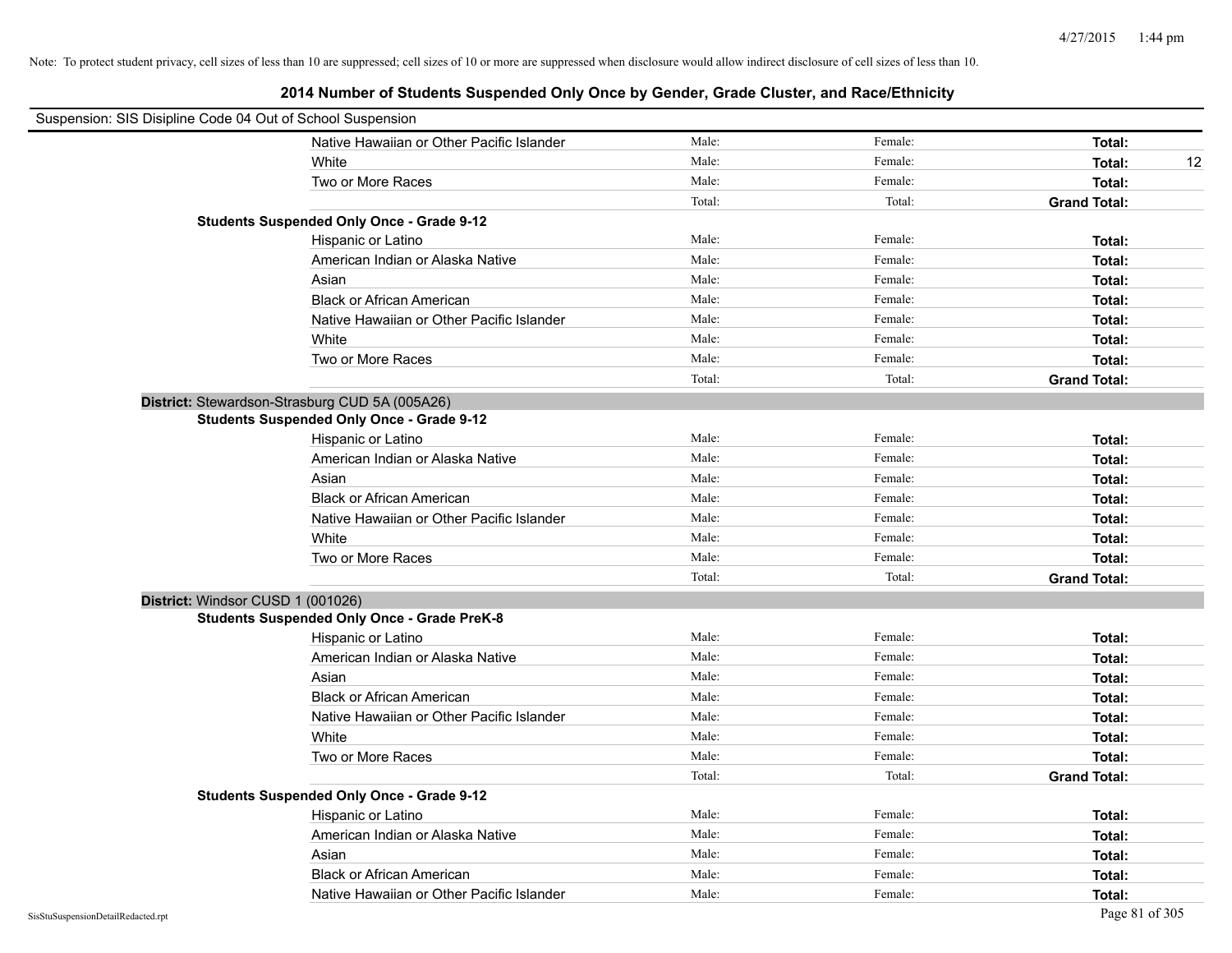| Suspension: SIS Disipline Code 04 Out of School Suspension |                                                    |        |         |                     |    |
|------------------------------------------------------------|----------------------------------------------------|--------|---------|---------------------|----|
|                                                            | Native Hawaiian or Other Pacific Islander          | Male:  | Female: | Total:              |    |
|                                                            | White                                              | Male:  | Female: | Total:              | 12 |
|                                                            | Two or More Races                                  | Male:  | Female: | Total:              |    |
|                                                            |                                                    | Total: | Total:  | <b>Grand Total:</b> |    |
|                                                            | <b>Students Suspended Only Once - Grade 9-12</b>   |        |         |                     |    |
|                                                            | Hispanic or Latino                                 | Male:  | Female: | Total:              |    |
|                                                            | American Indian or Alaska Native                   | Male:  | Female: | Total:              |    |
|                                                            | Asian                                              | Male:  | Female: | Total:              |    |
|                                                            | <b>Black or African American</b>                   | Male:  | Female: | Total:              |    |
|                                                            | Native Hawaiian or Other Pacific Islander          | Male:  | Female: | Total:              |    |
|                                                            | White                                              | Male:  | Female: | Total:              |    |
|                                                            | Two or More Races                                  | Male:  | Female: | Total:              |    |
|                                                            |                                                    | Total: | Total:  | <b>Grand Total:</b> |    |
|                                                            | District: Stewardson-Strasburg CUD 5A (005A26)     |        |         |                     |    |
|                                                            | <b>Students Suspended Only Once - Grade 9-12</b>   |        |         |                     |    |
|                                                            | Hispanic or Latino                                 | Male:  | Female: | Total:              |    |
|                                                            | American Indian or Alaska Native                   | Male:  | Female: | Total:              |    |
|                                                            | Asian                                              | Male:  | Female: | Total:              |    |
|                                                            | <b>Black or African American</b>                   | Male:  | Female: | Total:              |    |
|                                                            | Native Hawaiian or Other Pacific Islander          | Male:  | Female: | Total:              |    |
|                                                            | White                                              | Male:  | Female: | Total:              |    |
|                                                            | Two or More Races                                  | Male:  | Female: | Total:              |    |
|                                                            |                                                    | Total: | Total:  | <b>Grand Total:</b> |    |
| District: Windsor CUSD 1 (001026)                          |                                                    |        |         |                     |    |
|                                                            | <b>Students Suspended Only Once - Grade PreK-8</b> |        |         |                     |    |
|                                                            | Hispanic or Latino                                 | Male:  | Female: | Total:              |    |
|                                                            | American Indian or Alaska Native                   | Male:  | Female: | Total:              |    |
|                                                            | Asian                                              | Male:  | Female: | Total:              |    |
|                                                            | <b>Black or African American</b>                   | Male:  | Female: | Total:              |    |
|                                                            | Native Hawaiian or Other Pacific Islander          | Male:  | Female: | Total:              |    |
|                                                            | White                                              | Male:  | Female: | Total:              |    |
|                                                            | Two or More Races                                  | Male:  | Female: | Total:              |    |
|                                                            |                                                    | Total: | Total:  | <b>Grand Total:</b> |    |
|                                                            | <b>Students Suspended Only Once - Grade 9-12</b>   |        |         |                     |    |
|                                                            | Hispanic or Latino                                 | Male:  | Female: | Total:              |    |
|                                                            | American Indian or Alaska Native                   | Male:  | Female: | Total:              |    |
|                                                            | Asian                                              | Male:  | Female: | Total:              |    |
|                                                            | <b>Black or African American</b>                   | Male:  | Female: | Total:              |    |
|                                                            | Native Hawaiian or Other Pacific Islander          | Male:  | Female: | Total:              |    |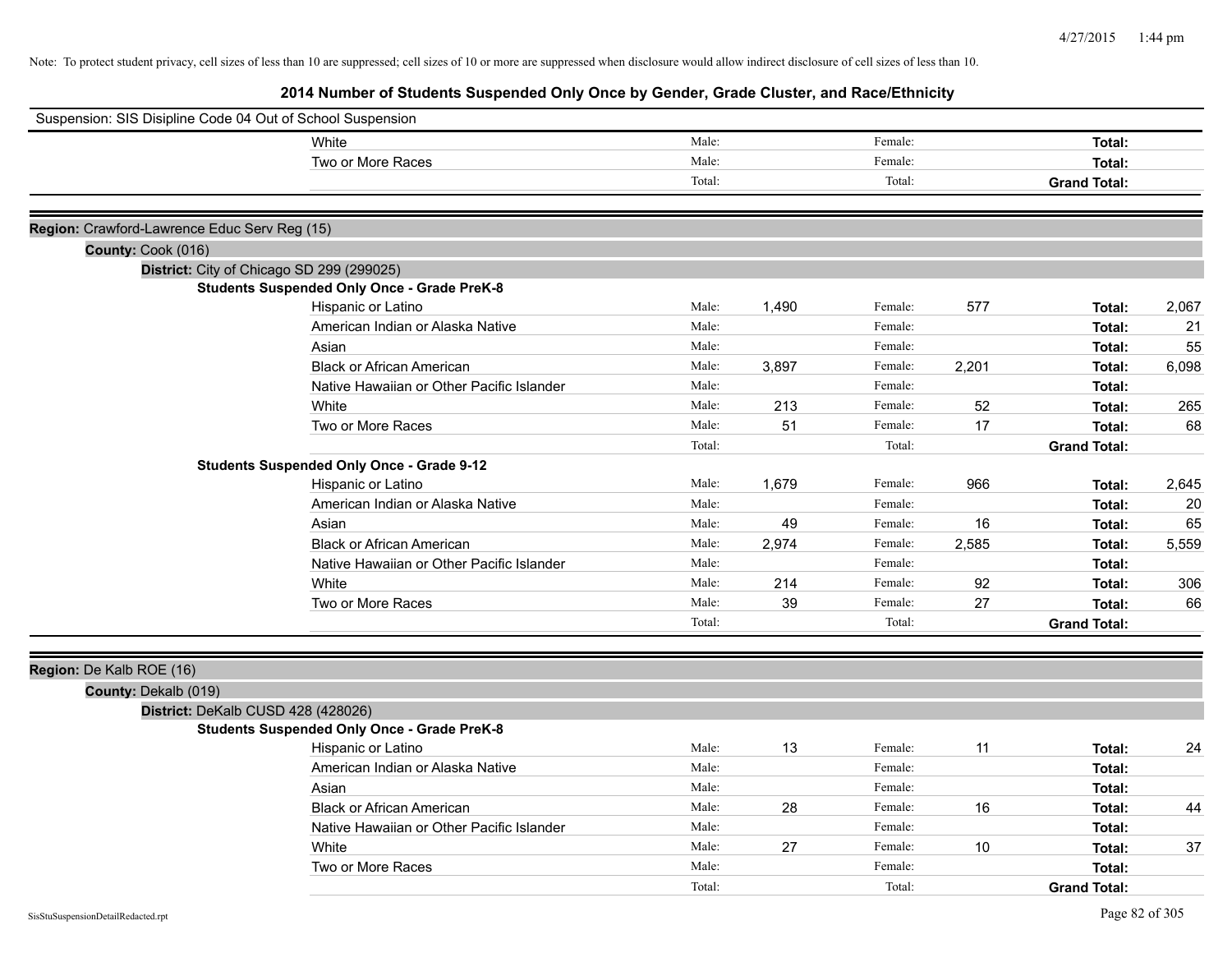| Suspension: SIS Disipline Code 04 Out of School Suspension |                                                                          |        |       |         |       |                     |       |
|------------------------------------------------------------|--------------------------------------------------------------------------|--------|-------|---------|-------|---------------------|-------|
|                                                            | White                                                                    | Male:  |       | Female: |       | Total:              |       |
|                                                            | Two or More Races                                                        | Male:  |       | Female: |       | Total:              |       |
|                                                            |                                                                          | Total: |       | Total:  |       | <b>Grand Total:</b> |       |
|                                                            |                                                                          |        |       |         |       |                     |       |
| Region: Crawford-Lawrence Educ Serv Reg (15)               |                                                                          |        |       |         |       |                     |       |
| County: Cook (016)                                         |                                                                          |        |       |         |       |                     |       |
| District: City of Chicago SD 299 (299025)                  | <b>Students Suspended Only Once - Grade PreK-8</b>                       |        |       |         |       |                     |       |
|                                                            | Hispanic or Latino                                                       | Male:  | 1,490 | Female: | 577   | Total:              | 2,067 |
|                                                            | American Indian or Alaska Native                                         | Male:  |       | Female: |       | Total:              | 21    |
|                                                            | Asian                                                                    | Male:  |       | Female: |       | Total:              | 55    |
|                                                            | <b>Black or African American</b>                                         | Male:  | 3,897 | Female: | 2,201 | Total:              | 6,098 |
|                                                            | Native Hawaiian or Other Pacific Islander                                | Male:  |       | Female: |       | Total:              |       |
|                                                            | White                                                                    | Male:  | 213   | Female: | 52    | Total:              | 265   |
|                                                            | Two or More Races                                                        | Male:  | 51    | Female: | 17    | Total:              | 68    |
|                                                            |                                                                          | Total: |       | Total:  |       | <b>Grand Total:</b> |       |
|                                                            | <b>Students Suspended Only Once - Grade 9-12</b>                         |        |       |         |       |                     |       |
|                                                            | Hispanic or Latino                                                       | Male:  | 1.679 | Female: | 966   | Total:              | 2,645 |
|                                                            | American Indian or Alaska Native                                         | Male:  |       | Female: |       | Total:              | 20    |
|                                                            | Asian                                                                    | Male:  | 49    | Female: | 16    | Total:              | 65    |
|                                                            | <b>Black or African American</b>                                         | Male:  | 2,974 | Female: | 2,585 | Total:              | 5,559 |
|                                                            | Native Hawaiian or Other Pacific Islander                                | Male:  |       | Female: |       | Total:              |       |
|                                                            | White                                                                    | Male:  | 214   | Female: | 92    | Total:              | 306   |
|                                                            | Two or More Races                                                        | Male:  | 39    | Female: | 27    | Total:              | 66    |
|                                                            |                                                                          | Total: |       | Total:  |       | <b>Grand Total:</b> |       |
|                                                            |                                                                          |        |       |         |       |                     |       |
| Region: De Kalb ROE (16)                                   |                                                                          |        |       |         |       |                     |       |
| County: Dekalb (019)                                       |                                                                          |        |       |         |       |                     |       |
| District: DeKalb CUSD 428 (428026)                         |                                                                          |        |       |         |       |                     |       |
|                                                            | <b>Students Suspended Only Once - Grade PreK-8</b><br>Hispanic or Latino | Male:  | 13    | Female: | 11    |                     |       |
|                                                            | American Indian or Alaska Native                                         | Male:  |       | Female: |       | Total:              | 24    |
|                                                            | Asian                                                                    | Male:  |       | Female: |       | Total:<br>Total:    |       |
|                                                            | <b>Black or African American</b>                                         | Male:  | 28    | Female: | 16    |                     | 44    |
|                                                            | Native Hawaiian or Other Pacific Islander                                | Male:  |       | Female: |       | Total:<br>Total:    |       |
|                                                            | White                                                                    | Male:  | 27    | Female: | 10    | Total:              | 37    |
|                                                            | Two or More Races                                                        | Male:  |       | Female: |       | Total:              |       |
|                                                            |                                                                          |        |       |         |       |                     |       |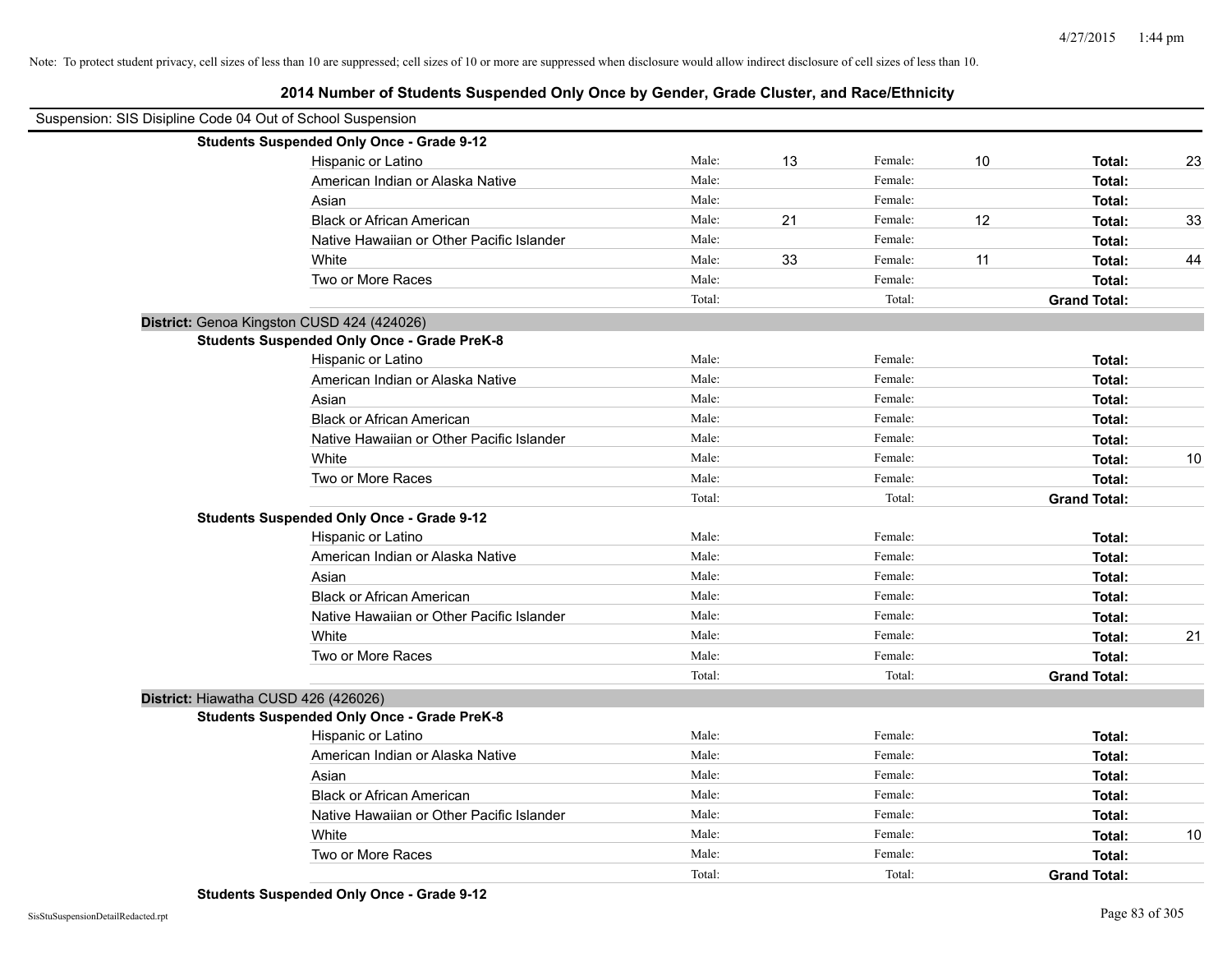# **2014 Number of Students Suspended Only Once by Gender, Grade Cluster, and Race/Ethnicity**

| Suspension: SIS Disipline Code 04 Out of School Suspension |                                                    |        |    |         |    |                     |    |
|------------------------------------------------------------|----------------------------------------------------|--------|----|---------|----|---------------------|----|
|                                                            | <b>Students Suspended Only Once - Grade 9-12</b>   |        |    |         |    |                     |    |
|                                                            | Hispanic or Latino                                 | Male:  | 13 | Female: | 10 | Total:              | 23 |
|                                                            | American Indian or Alaska Native                   | Male:  |    | Female: |    | Total:              |    |
|                                                            | Asian                                              | Male:  |    | Female: |    | Total:              |    |
|                                                            | <b>Black or African American</b>                   | Male:  | 21 | Female: | 12 | Total:              | 33 |
|                                                            | Native Hawaiian or Other Pacific Islander          | Male:  |    | Female: |    | Total:              |    |
|                                                            | White                                              | Male:  | 33 | Female: | 11 | Total:              | 44 |
|                                                            | Two or More Races                                  | Male:  |    | Female: |    | Total:              |    |
|                                                            |                                                    | Total: |    | Total:  |    | <b>Grand Total:</b> |    |
|                                                            | District: Genoa Kingston CUSD 424 (424026)         |        |    |         |    |                     |    |
|                                                            | <b>Students Suspended Only Once - Grade PreK-8</b> |        |    |         |    |                     |    |
|                                                            | Hispanic or Latino                                 | Male:  |    | Female: |    | Total:              |    |
|                                                            | American Indian or Alaska Native                   | Male:  |    | Female: |    | Total:              |    |
|                                                            | Asian                                              | Male:  |    | Female: |    | Total:              |    |
|                                                            | <b>Black or African American</b>                   | Male:  |    | Female: |    | Total:              |    |
|                                                            | Native Hawaiian or Other Pacific Islander          | Male:  |    | Female: |    | Total:              |    |
|                                                            | White                                              | Male:  |    | Female: |    | <b>Total:</b>       | 10 |
|                                                            | Two or More Races                                  | Male:  |    | Female: |    | Total:              |    |
|                                                            |                                                    | Total: |    | Total:  |    | <b>Grand Total:</b> |    |
|                                                            | <b>Students Suspended Only Once - Grade 9-12</b>   |        |    |         |    |                     |    |
|                                                            | Hispanic or Latino                                 | Male:  |    | Female: |    | Total:              |    |
|                                                            | American Indian or Alaska Native                   | Male:  |    | Female: |    | Total:              |    |
|                                                            | Asian                                              | Male:  |    | Female: |    | Total:              |    |
|                                                            | <b>Black or African American</b>                   | Male:  |    | Female: |    | Total:              |    |
|                                                            | Native Hawaiian or Other Pacific Islander          | Male:  |    | Female: |    | Total:              |    |
|                                                            | White                                              | Male:  |    | Female: |    | Total:              | 21 |
|                                                            | Two or More Races                                  | Male:  |    | Female: |    | Total:              |    |
|                                                            |                                                    | Total: |    | Total:  |    | <b>Grand Total:</b> |    |
|                                                            | District: Hiawatha CUSD 426 (426026)               |        |    |         |    |                     |    |
|                                                            | <b>Students Suspended Only Once - Grade PreK-8</b> |        |    |         |    |                     |    |
|                                                            | Hispanic or Latino                                 | Male:  |    | Female: |    | Total:              |    |
|                                                            | American Indian or Alaska Native                   | Male:  |    | Female: |    | Total:              |    |
|                                                            | Asian                                              | Male:  |    | Female: |    | Total:              |    |
|                                                            | <b>Black or African American</b>                   | Male:  |    | Female: |    | Total:              |    |
|                                                            | Native Hawaiian or Other Pacific Islander          | Male:  |    | Female: |    | Total:              |    |
|                                                            | White                                              | Male:  |    | Female: |    | Total:              | 10 |
|                                                            | Two or More Races                                  | Male:  |    | Female: |    | Total:              |    |
|                                                            |                                                    | Total: |    | Total:  |    | <b>Grand Total:</b> |    |

**Students Suspended Only Once - Grade 9-12**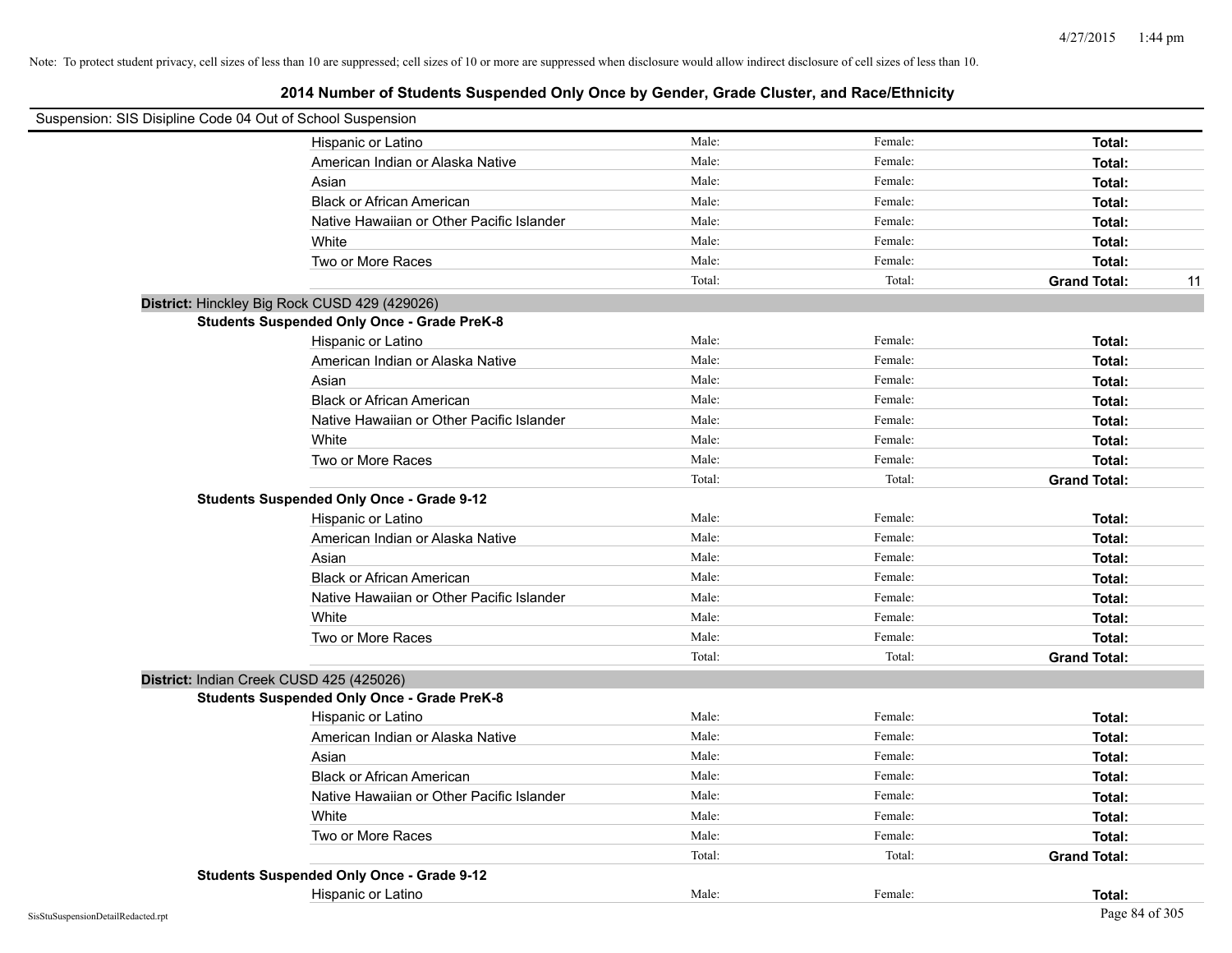| Suspension: SIS Disipline Code 04 Out of School Suspension |                                                    |        |         |                           |
|------------------------------------------------------------|----------------------------------------------------|--------|---------|---------------------------|
|                                                            | Hispanic or Latino                                 | Male:  | Female: | Total:                    |
|                                                            | American Indian or Alaska Native                   | Male:  | Female: | Total:                    |
|                                                            | Asian                                              | Male:  | Female: | Total:                    |
|                                                            | <b>Black or African American</b>                   | Male:  | Female: | Total:                    |
|                                                            | Native Hawaiian or Other Pacific Islander          | Male:  | Female: | Total:                    |
|                                                            | White                                              | Male:  | Female: | Total:                    |
|                                                            | Two or More Races                                  | Male:  | Female: | Total:                    |
|                                                            |                                                    | Total: | Total:  | <b>Grand Total:</b><br>11 |
|                                                            | District: Hinckley Big Rock CUSD 429 (429026)      |        |         |                           |
|                                                            | <b>Students Suspended Only Once - Grade PreK-8</b> |        |         |                           |
|                                                            | Hispanic or Latino                                 | Male:  | Female: | Total:                    |
|                                                            | American Indian or Alaska Native                   | Male:  | Female: | Total:                    |
|                                                            | Asian                                              | Male:  | Female: | Total:                    |
|                                                            | <b>Black or African American</b>                   | Male:  | Female: | Total:                    |
|                                                            | Native Hawaiian or Other Pacific Islander          | Male:  | Female: | Total:                    |
|                                                            | White                                              | Male:  | Female: | Total:                    |
|                                                            | Two or More Races                                  | Male:  | Female: | Total:                    |
|                                                            |                                                    | Total: | Total:  | <b>Grand Total:</b>       |
|                                                            | <b>Students Suspended Only Once - Grade 9-12</b>   |        |         |                           |
|                                                            | Hispanic or Latino                                 | Male:  | Female: | Total:                    |
|                                                            | American Indian or Alaska Native                   | Male:  | Female: | Total:                    |
|                                                            | Asian                                              | Male:  | Female: | Total:                    |
|                                                            | <b>Black or African American</b>                   | Male:  | Female: | Total:                    |
|                                                            | Native Hawaiian or Other Pacific Islander          | Male:  | Female: | Total:                    |
|                                                            | White                                              | Male:  | Female: | Total:                    |
|                                                            | Two or More Races                                  | Male:  | Female: | Total:                    |
|                                                            |                                                    | Total: | Total:  | <b>Grand Total:</b>       |
| District: Indian Creek CUSD 425 (425026)                   |                                                    |        |         |                           |
|                                                            | <b>Students Suspended Only Once - Grade PreK-8</b> |        |         |                           |
|                                                            | Hispanic or Latino                                 | Male:  | Female: | Total:                    |
|                                                            | American Indian or Alaska Native                   | Male:  | Female: | Total:                    |
|                                                            | Asian                                              | Male:  | Female: | Total:                    |
|                                                            | <b>Black or African American</b>                   | Male:  | Female: | Total:                    |
|                                                            | Native Hawaiian or Other Pacific Islander          | Male:  | Female: | Total:                    |
|                                                            | White                                              | Male:  | Female: | Total:                    |
|                                                            | Two or More Races                                  | Male:  | Female: | Total:                    |
|                                                            |                                                    | Total: | Total:  | <b>Grand Total:</b>       |
|                                                            | <b>Students Suspended Only Once - Grade 9-12</b>   |        |         |                           |
|                                                            | Hispanic or Latino                                 | Male:  | Female: | Total:                    |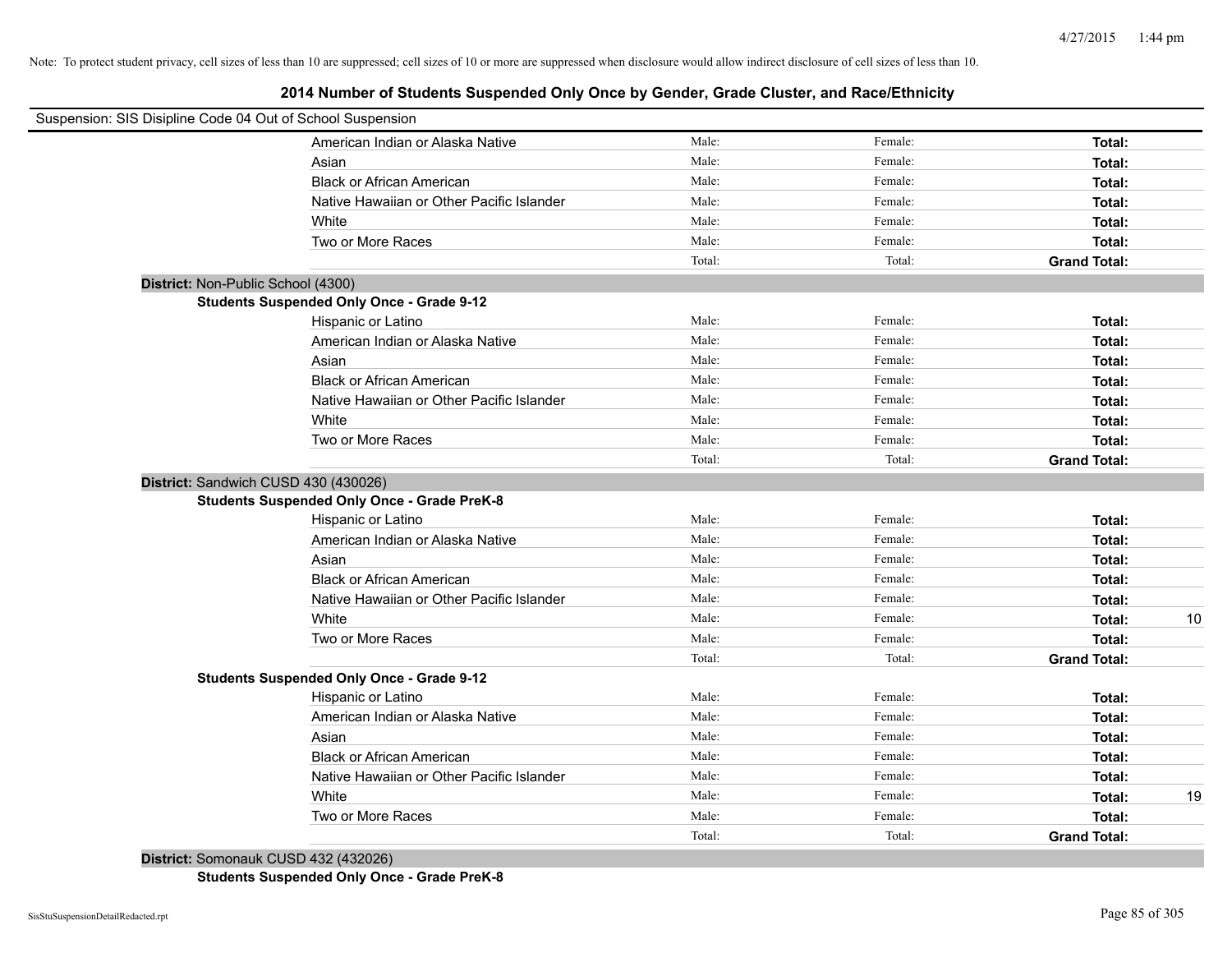**2014 Number of Students Suspended Only Once by Gender, Grade Cluster, and Race/Ethnicity**

| Male:<br>Female:<br>American Indian or Alaska Native<br>Total:<br>Male:<br>Female:<br>Asian<br>Total:<br>Male:<br>Female:<br><b>Black or African American</b><br>Total:<br>Male:<br>Native Hawaiian or Other Pacific Islander<br>Female:<br>Total:<br>Male:<br>White<br>Female:<br>Total:<br>Male:<br>Two or More Races<br>Female:<br>Total:<br>Total:<br>Total:<br><b>Grand Total:</b><br>District: Non-Public School (4300)<br><b>Students Suspended Only Once - Grade 9-12</b><br>Male:<br>Female:<br>Hispanic or Latino<br>Total:<br>Male:<br>American Indian or Alaska Native<br>Female:<br>Total:<br>Male:<br>Asian<br>Female:<br>Total:<br><b>Black or African American</b><br>Male:<br>Female:<br>Total:<br>Native Hawaiian or Other Pacific Islander<br>Male:<br>Female:<br>Total:<br>White<br>Male:<br>Female:<br>Total:<br>Two or More Races<br>Male:<br>Female:<br>Total:<br>Total:<br>Total:<br><b>Grand Total:</b><br>District: Sandwich CUSD 430 (430026)<br><b>Students Suspended Only Once - Grade PreK-8</b><br>Male:<br>Female:<br>Hispanic or Latino<br>Total:<br>Male:<br>Female:<br>American Indian or Alaska Native<br>Total:<br>Male:<br>Female:<br>Asian<br>Total:<br>Male:<br>Female:<br><b>Black or African American</b><br>Total:<br>Male:<br>Female:<br>Native Hawaiian or Other Pacific Islander<br>Total:<br>Male:<br>Female:<br>White<br>Total:<br>Male:<br>Female:<br>Two or More Races<br>Total:<br>Total:<br>Total:<br><b>Grand Total:</b><br><b>Students Suspended Only Once - Grade 9-12</b><br>Male:<br>Hispanic or Latino<br>Female:<br>Total:<br>Male:<br>American Indian or Alaska Native<br>Female:<br>Total:<br>Male:<br>Female:<br>Asian<br>Total:<br>Male:<br>Female:<br><b>Black or African American</b><br>Total:<br>Male:<br>Female:<br>Native Hawaiian or Other Pacific Islander<br>Total:<br>Male:<br>Female:<br>White<br>Total:<br>Male:<br>Female:<br>Two or More Races<br>Total: | Suspension: SIS Disipline Code 04 Out of School Suspension |  |    |
|---------------------------------------------------------------------------------------------------------------------------------------------------------------------------------------------------------------------------------------------------------------------------------------------------------------------------------------------------------------------------------------------------------------------------------------------------------------------------------------------------------------------------------------------------------------------------------------------------------------------------------------------------------------------------------------------------------------------------------------------------------------------------------------------------------------------------------------------------------------------------------------------------------------------------------------------------------------------------------------------------------------------------------------------------------------------------------------------------------------------------------------------------------------------------------------------------------------------------------------------------------------------------------------------------------------------------------------------------------------------------------------------------------------------------------------------------------------------------------------------------------------------------------------------------------------------------------------------------------------------------------------------------------------------------------------------------------------------------------------------------------------------------------------------------------------------------------------------------------------------------------------------------------------------------------------|------------------------------------------------------------|--|----|
|                                                                                                                                                                                                                                                                                                                                                                                                                                                                                                                                                                                                                                                                                                                                                                                                                                                                                                                                                                                                                                                                                                                                                                                                                                                                                                                                                                                                                                                                                                                                                                                                                                                                                                                                                                                                                                                                                                                                       |                                                            |  |    |
|                                                                                                                                                                                                                                                                                                                                                                                                                                                                                                                                                                                                                                                                                                                                                                                                                                                                                                                                                                                                                                                                                                                                                                                                                                                                                                                                                                                                                                                                                                                                                                                                                                                                                                                                                                                                                                                                                                                                       |                                                            |  |    |
|                                                                                                                                                                                                                                                                                                                                                                                                                                                                                                                                                                                                                                                                                                                                                                                                                                                                                                                                                                                                                                                                                                                                                                                                                                                                                                                                                                                                                                                                                                                                                                                                                                                                                                                                                                                                                                                                                                                                       |                                                            |  |    |
|                                                                                                                                                                                                                                                                                                                                                                                                                                                                                                                                                                                                                                                                                                                                                                                                                                                                                                                                                                                                                                                                                                                                                                                                                                                                                                                                                                                                                                                                                                                                                                                                                                                                                                                                                                                                                                                                                                                                       |                                                            |  |    |
|                                                                                                                                                                                                                                                                                                                                                                                                                                                                                                                                                                                                                                                                                                                                                                                                                                                                                                                                                                                                                                                                                                                                                                                                                                                                                                                                                                                                                                                                                                                                                                                                                                                                                                                                                                                                                                                                                                                                       |                                                            |  |    |
|                                                                                                                                                                                                                                                                                                                                                                                                                                                                                                                                                                                                                                                                                                                                                                                                                                                                                                                                                                                                                                                                                                                                                                                                                                                                                                                                                                                                                                                                                                                                                                                                                                                                                                                                                                                                                                                                                                                                       |                                                            |  |    |
|                                                                                                                                                                                                                                                                                                                                                                                                                                                                                                                                                                                                                                                                                                                                                                                                                                                                                                                                                                                                                                                                                                                                                                                                                                                                                                                                                                                                                                                                                                                                                                                                                                                                                                                                                                                                                                                                                                                                       |                                                            |  |    |
|                                                                                                                                                                                                                                                                                                                                                                                                                                                                                                                                                                                                                                                                                                                                                                                                                                                                                                                                                                                                                                                                                                                                                                                                                                                                                                                                                                                                                                                                                                                                                                                                                                                                                                                                                                                                                                                                                                                                       |                                                            |  |    |
|                                                                                                                                                                                                                                                                                                                                                                                                                                                                                                                                                                                                                                                                                                                                                                                                                                                                                                                                                                                                                                                                                                                                                                                                                                                                                                                                                                                                                                                                                                                                                                                                                                                                                                                                                                                                                                                                                                                                       |                                                            |  |    |
|                                                                                                                                                                                                                                                                                                                                                                                                                                                                                                                                                                                                                                                                                                                                                                                                                                                                                                                                                                                                                                                                                                                                                                                                                                                                                                                                                                                                                                                                                                                                                                                                                                                                                                                                                                                                                                                                                                                                       |                                                            |  |    |
|                                                                                                                                                                                                                                                                                                                                                                                                                                                                                                                                                                                                                                                                                                                                                                                                                                                                                                                                                                                                                                                                                                                                                                                                                                                                                                                                                                                                                                                                                                                                                                                                                                                                                                                                                                                                                                                                                                                                       |                                                            |  |    |
|                                                                                                                                                                                                                                                                                                                                                                                                                                                                                                                                                                                                                                                                                                                                                                                                                                                                                                                                                                                                                                                                                                                                                                                                                                                                                                                                                                                                                                                                                                                                                                                                                                                                                                                                                                                                                                                                                                                                       |                                                            |  |    |
|                                                                                                                                                                                                                                                                                                                                                                                                                                                                                                                                                                                                                                                                                                                                                                                                                                                                                                                                                                                                                                                                                                                                                                                                                                                                                                                                                                                                                                                                                                                                                                                                                                                                                                                                                                                                                                                                                                                                       |                                                            |  |    |
|                                                                                                                                                                                                                                                                                                                                                                                                                                                                                                                                                                                                                                                                                                                                                                                                                                                                                                                                                                                                                                                                                                                                                                                                                                                                                                                                                                                                                                                                                                                                                                                                                                                                                                                                                                                                                                                                                                                                       |                                                            |  |    |
|                                                                                                                                                                                                                                                                                                                                                                                                                                                                                                                                                                                                                                                                                                                                                                                                                                                                                                                                                                                                                                                                                                                                                                                                                                                                                                                                                                                                                                                                                                                                                                                                                                                                                                                                                                                                                                                                                                                                       |                                                            |  |    |
|                                                                                                                                                                                                                                                                                                                                                                                                                                                                                                                                                                                                                                                                                                                                                                                                                                                                                                                                                                                                                                                                                                                                                                                                                                                                                                                                                                                                                                                                                                                                                                                                                                                                                                                                                                                                                                                                                                                                       |                                                            |  |    |
|                                                                                                                                                                                                                                                                                                                                                                                                                                                                                                                                                                                                                                                                                                                                                                                                                                                                                                                                                                                                                                                                                                                                                                                                                                                                                                                                                                                                                                                                                                                                                                                                                                                                                                                                                                                                                                                                                                                                       |                                                            |  |    |
|                                                                                                                                                                                                                                                                                                                                                                                                                                                                                                                                                                                                                                                                                                                                                                                                                                                                                                                                                                                                                                                                                                                                                                                                                                                                                                                                                                                                                                                                                                                                                                                                                                                                                                                                                                                                                                                                                                                                       |                                                            |  |    |
|                                                                                                                                                                                                                                                                                                                                                                                                                                                                                                                                                                                                                                                                                                                                                                                                                                                                                                                                                                                                                                                                                                                                                                                                                                                                                                                                                                                                                                                                                                                                                                                                                                                                                                                                                                                                                                                                                                                                       |                                                            |  |    |
|                                                                                                                                                                                                                                                                                                                                                                                                                                                                                                                                                                                                                                                                                                                                                                                                                                                                                                                                                                                                                                                                                                                                                                                                                                                                                                                                                                                                                                                                                                                                                                                                                                                                                                                                                                                                                                                                                                                                       |                                                            |  |    |
|                                                                                                                                                                                                                                                                                                                                                                                                                                                                                                                                                                                                                                                                                                                                                                                                                                                                                                                                                                                                                                                                                                                                                                                                                                                                                                                                                                                                                                                                                                                                                                                                                                                                                                                                                                                                                                                                                                                                       |                                                            |  |    |
|                                                                                                                                                                                                                                                                                                                                                                                                                                                                                                                                                                                                                                                                                                                                                                                                                                                                                                                                                                                                                                                                                                                                                                                                                                                                                                                                                                                                                                                                                                                                                                                                                                                                                                                                                                                                                                                                                                                                       |                                                            |  |    |
|                                                                                                                                                                                                                                                                                                                                                                                                                                                                                                                                                                                                                                                                                                                                                                                                                                                                                                                                                                                                                                                                                                                                                                                                                                                                                                                                                                                                                                                                                                                                                                                                                                                                                                                                                                                                                                                                                                                                       |                                                            |  |    |
|                                                                                                                                                                                                                                                                                                                                                                                                                                                                                                                                                                                                                                                                                                                                                                                                                                                                                                                                                                                                                                                                                                                                                                                                                                                                                                                                                                                                                                                                                                                                                                                                                                                                                                                                                                                                                                                                                                                                       |                                                            |  |    |
|                                                                                                                                                                                                                                                                                                                                                                                                                                                                                                                                                                                                                                                                                                                                                                                                                                                                                                                                                                                                                                                                                                                                                                                                                                                                                                                                                                                                                                                                                                                                                                                                                                                                                                                                                                                                                                                                                                                                       |                                                            |  | 10 |
|                                                                                                                                                                                                                                                                                                                                                                                                                                                                                                                                                                                                                                                                                                                                                                                                                                                                                                                                                                                                                                                                                                                                                                                                                                                                                                                                                                                                                                                                                                                                                                                                                                                                                                                                                                                                                                                                                                                                       |                                                            |  |    |
|                                                                                                                                                                                                                                                                                                                                                                                                                                                                                                                                                                                                                                                                                                                                                                                                                                                                                                                                                                                                                                                                                                                                                                                                                                                                                                                                                                                                                                                                                                                                                                                                                                                                                                                                                                                                                                                                                                                                       |                                                            |  |    |
|                                                                                                                                                                                                                                                                                                                                                                                                                                                                                                                                                                                                                                                                                                                                                                                                                                                                                                                                                                                                                                                                                                                                                                                                                                                                                                                                                                                                                                                                                                                                                                                                                                                                                                                                                                                                                                                                                                                                       |                                                            |  |    |
|                                                                                                                                                                                                                                                                                                                                                                                                                                                                                                                                                                                                                                                                                                                                                                                                                                                                                                                                                                                                                                                                                                                                                                                                                                                                                                                                                                                                                                                                                                                                                                                                                                                                                                                                                                                                                                                                                                                                       |                                                            |  |    |
|                                                                                                                                                                                                                                                                                                                                                                                                                                                                                                                                                                                                                                                                                                                                                                                                                                                                                                                                                                                                                                                                                                                                                                                                                                                                                                                                                                                                                                                                                                                                                                                                                                                                                                                                                                                                                                                                                                                                       |                                                            |  |    |
|                                                                                                                                                                                                                                                                                                                                                                                                                                                                                                                                                                                                                                                                                                                                                                                                                                                                                                                                                                                                                                                                                                                                                                                                                                                                                                                                                                                                                                                                                                                                                                                                                                                                                                                                                                                                                                                                                                                                       |                                                            |  |    |
|                                                                                                                                                                                                                                                                                                                                                                                                                                                                                                                                                                                                                                                                                                                                                                                                                                                                                                                                                                                                                                                                                                                                                                                                                                                                                                                                                                                                                                                                                                                                                                                                                                                                                                                                                                                                                                                                                                                                       |                                                            |  |    |
|                                                                                                                                                                                                                                                                                                                                                                                                                                                                                                                                                                                                                                                                                                                                                                                                                                                                                                                                                                                                                                                                                                                                                                                                                                                                                                                                                                                                                                                                                                                                                                                                                                                                                                                                                                                                                                                                                                                                       |                                                            |  |    |
|                                                                                                                                                                                                                                                                                                                                                                                                                                                                                                                                                                                                                                                                                                                                                                                                                                                                                                                                                                                                                                                                                                                                                                                                                                                                                                                                                                                                                                                                                                                                                                                                                                                                                                                                                                                                                                                                                                                                       |                                                            |  | 19 |
|                                                                                                                                                                                                                                                                                                                                                                                                                                                                                                                                                                                                                                                                                                                                                                                                                                                                                                                                                                                                                                                                                                                                                                                                                                                                                                                                                                                                                                                                                                                                                                                                                                                                                                                                                                                                                                                                                                                                       |                                                            |  |    |
| Total:<br>Total:<br><b>Grand Total:</b>                                                                                                                                                                                                                                                                                                                                                                                                                                                                                                                                                                                                                                                                                                                                                                                                                                                                                                                                                                                                                                                                                                                                                                                                                                                                                                                                                                                                                                                                                                                                                                                                                                                                                                                                                                                                                                                                                               |                                                            |  |    |

**District:** Somonauk CUSD 432 (432026) **Students Suspended Only Once - Grade PreK-8**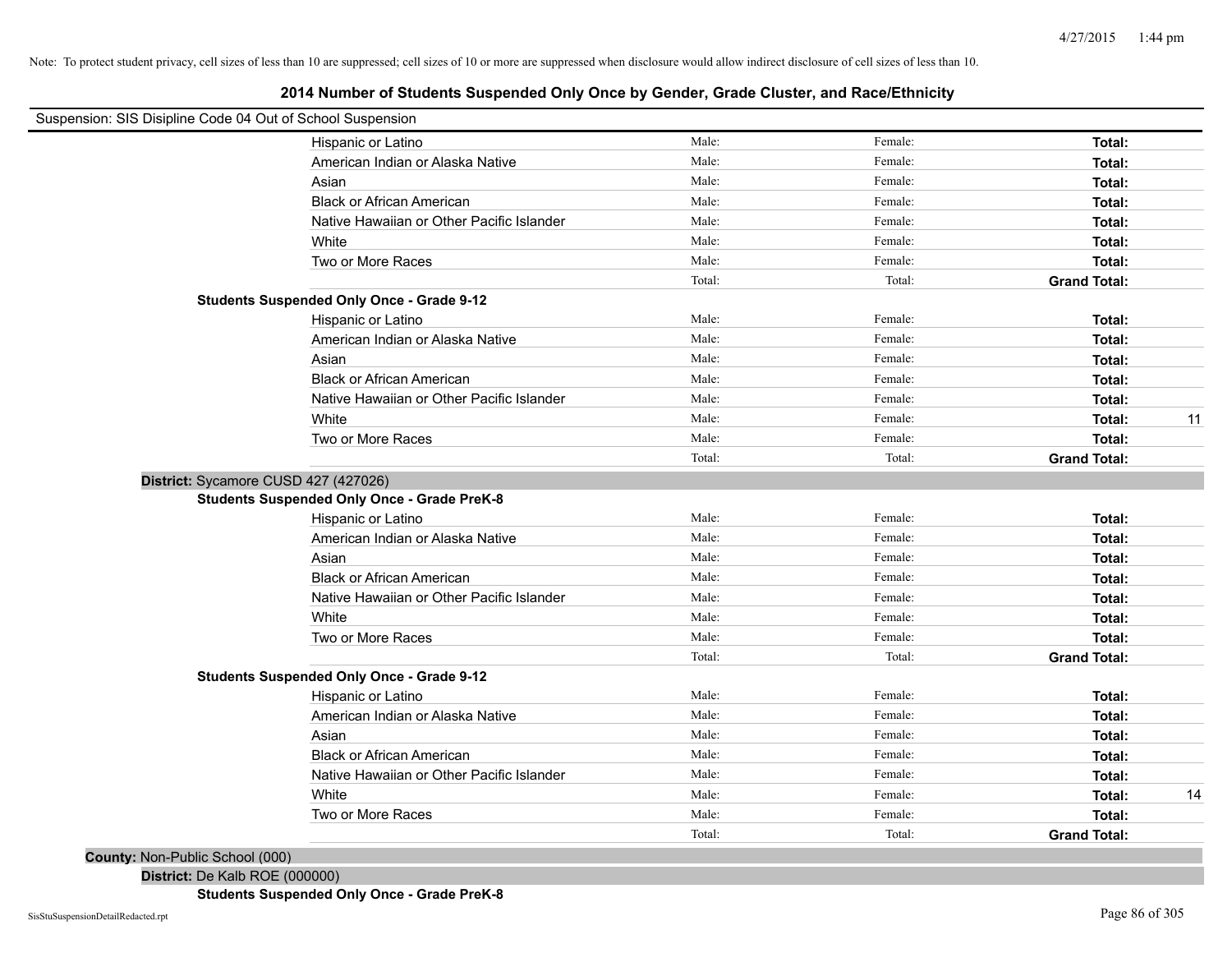# **2014 Number of Students Suspended Only Once by Gender, Grade Cluster, and Race/Ethnicity**

| Suspension: SIS Disipline Code 04 Out of School Suspension |                                                    |        |         |                     |    |
|------------------------------------------------------------|----------------------------------------------------|--------|---------|---------------------|----|
|                                                            | Hispanic or Latino                                 | Male:  | Female: | Total:              |    |
|                                                            | American Indian or Alaska Native                   | Male:  | Female: | Total:              |    |
|                                                            | Asian                                              | Male:  | Female: | Total:              |    |
|                                                            | <b>Black or African American</b>                   | Male:  | Female: | Total:              |    |
|                                                            | Native Hawaiian or Other Pacific Islander          | Male:  | Female: | Total:              |    |
|                                                            | White                                              | Male:  | Female: | Total:              |    |
|                                                            | Two or More Races                                  | Male:  | Female: | Total:              |    |
|                                                            |                                                    | Total: | Total:  | <b>Grand Total:</b> |    |
|                                                            | <b>Students Suspended Only Once - Grade 9-12</b>   |        |         |                     |    |
|                                                            | Hispanic or Latino                                 | Male:  | Female: | Total:              |    |
|                                                            | American Indian or Alaska Native                   | Male:  | Female: | Total:              |    |
|                                                            | Asian                                              | Male:  | Female: | Total:              |    |
|                                                            | <b>Black or African American</b>                   | Male:  | Female: | Total:              |    |
|                                                            | Native Hawaiian or Other Pacific Islander          | Male:  | Female: | Total:              |    |
|                                                            | White                                              | Male:  | Female: | Total:              | 11 |
|                                                            | Two or More Races                                  | Male:  | Female: | Total:              |    |
|                                                            |                                                    | Total: | Total:  | <b>Grand Total:</b> |    |
|                                                            | District: Sycamore CUSD 427 (427026)               |        |         |                     |    |
|                                                            | <b>Students Suspended Only Once - Grade PreK-8</b> |        |         |                     |    |
|                                                            | Hispanic or Latino                                 | Male:  | Female: | Total:              |    |
|                                                            | American Indian or Alaska Native                   | Male:  | Female: | Total:              |    |
|                                                            | Asian                                              | Male:  | Female: | Total:              |    |
|                                                            | <b>Black or African American</b>                   | Male:  | Female: | Total:              |    |
|                                                            | Native Hawaiian or Other Pacific Islander          | Male:  | Female: | Total:              |    |
|                                                            | White                                              | Male:  | Female: | Total:              |    |
|                                                            | Two or More Races                                  | Male:  | Female: | Total:              |    |
|                                                            |                                                    | Total: | Total:  | <b>Grand Total:</b> |    |
|                                                            | <b>Students Suspended Only Once - Grade 9-12</b>   |        |         |                     |    |
|                                                            | Hispanic or Latino                                 | Male:  | Female: | Total:              |    |
|                                                            | American Indian or Alaska Native                   | Male:  | Female: | Total:              |    |
|                                                            | Asian                                              | Male:  | Female: | Total:              |    |
|                                                            | <b>Black or African American</b>                   | Male:  | Female: | Total:              |    |
|                                                            | Native Hawaiian or Other Pacific Islander          | Male:  | Female: | Total:              |    |
|                                                            | White                                              | Male:  | Female: | Total:              | 14 |
|                                                            | Two or More Races                                  | Male:  | Female: | Total:              |    |
|                                                            |                                                    | Total: | Total:  | <b>Grand Total:</b> |    |
| <b>County: Non-Public School (000)</b>                     |                                                    |        |         |                     |    |

**District:** De Kalb ROE (000000)

**Students Suspended Only Once - Grade PreK-8**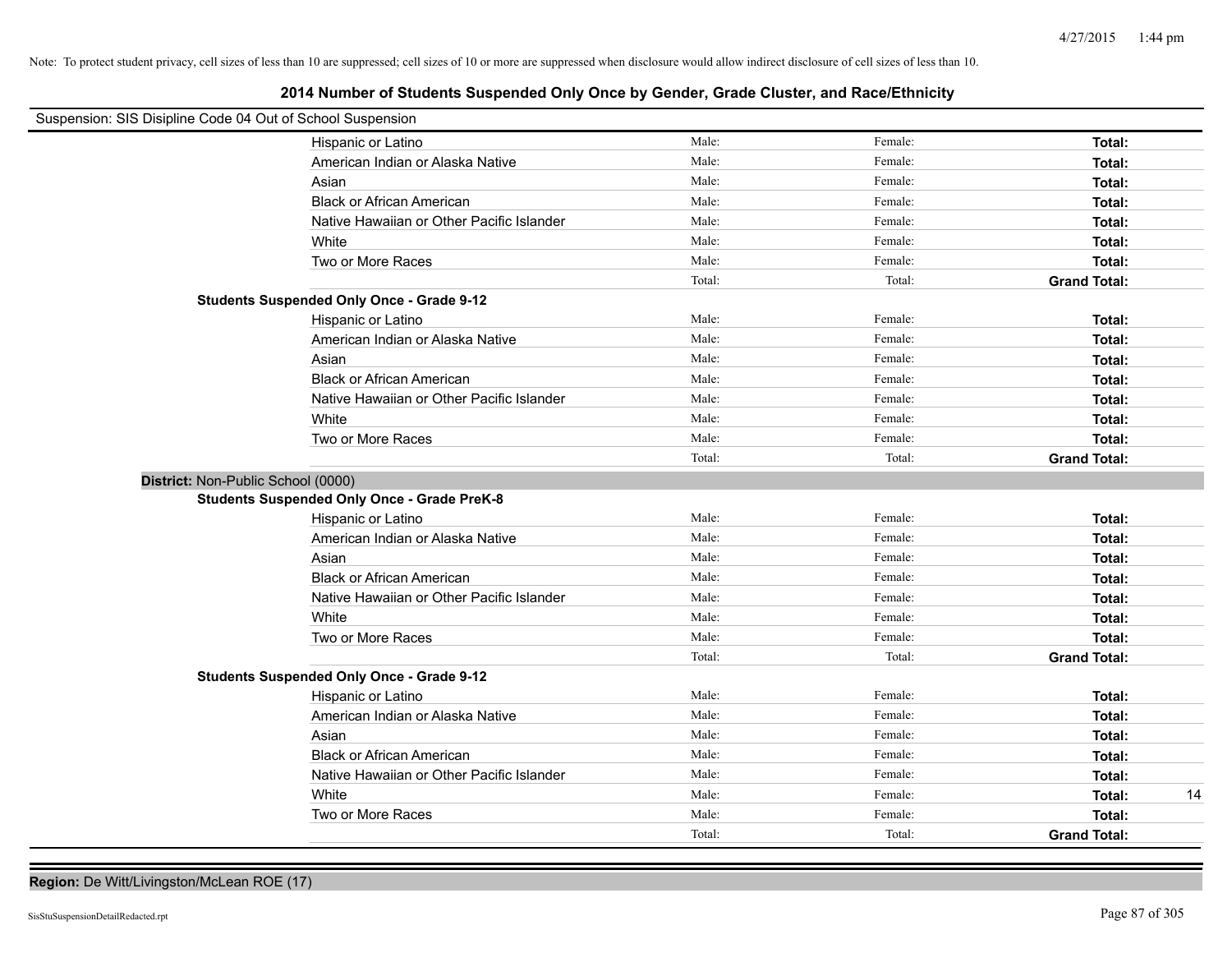# **2014 Number of Students Suspended Only Once by Gender, Grade Cluster, and Race/Ethnicity**

| Suspension: SIS Disipline Code 04 Out of School Suspension |                                                    |        |         |                     |
|------------------------------------------------------------|----------------------------------------------------|--------|---------|---------------------|
|                                                            | Hispanic or Latino                                 | Male:  | Female: | Total:              |
|                                                            | American Indian or Alaska Native                   | Male:  | Female: | Total:              |
|                                                            | Asian                                              | Male:  | Female: | Total:              |
|                                                            | <b>Black or African American</b>                   | Male:  | Female: | Total:              |
|                                                            | Native Hawaiian or Other Pacific Islander          | Male:  | Female: | Total:              |
|                                                            | White                                              | Male:  | Female: | Total:              |
|                                                            | Two or More Races                                  | Male:  | Female: | Total:              |
|                                                            |                                                    | Total: | Total:  | <b>Grand Total:</b> |
|                                                            | <b>Students Suspended Only Once - Grade 9-12</b>   |        |         |                     |
|                                                            | Hispanic or Latino                                 | Male:  | Female: | Total:              |
|                                                            | American Indian or Alaska Native                   | Male:  | Female: | Total:              |
|                                                            | Asian                                              | Male:  | Female: | Total:              |
|                                                            | <b>Black or African American</b>                   | Male:  | Female: | Total:              |
|                                                            | Native Hawaiian or Other Pacific Islander          | Male:  | Female: | Total:              |
|                                                            | White                                              | Male:  | Female: | Total:              |
|                                                            | Two or More Races                                  | Male:  | Female: | Total:              |
|                                                            |                                                    | Total: | Total:  | <b>Grand Total:</b> |
| District: Non-Public School (0000)                         |                                                    |        |         |                     |
|                                                            | <b>Students Suspended Only Once - Grade PreK-8</b> |        |         |                     |
|                                                            | Hispanic or Latino                                 | Male:  | Female: | Total:              |
|                                                            | American Indian or Alaska Native                   | Male:  | Female: | Total:              |
|                                                            | Asian                                              | Male:  | Female: | Total:              |
|                                                            | <b>Black or African American</b>                   | Male:  | Female: | Total:              |
|                                                            | Native Hawaiian or Other Pacific Islander          | Male:  | Female: | Total:              |
|                                                            | White                                              | Male:  | Female: | Total:              |
|                                                            | Two or More Races                                  | Male:  | Female: | Total:              |
|                                                            |                                                    | Total: | Total:  | <b>Grand Total:</b> |
|                                                            | <b>Students Suspended Only Once - Grade 9-12</b>   |        |         |                     |
|                                                            | Hispanic or Latino                                 | Male:  | Female: | Total:              |
|                                                            | American Indian or Alaska Native                   | Male:  | Female: | Total:              |
|                                                            | Asian                                              | Male:  | Female: | Total:              |
|                                                            | <b>Black or African American</b>                   | Male:  | Female: | Total:              |
|                                                            | Native Hawaiian or Other Pacific Islander          | Male:  | Female: | Total:              |
|                                                            | White                                              | Male:  | Female: | 14<br>Total:        |
|                                                            | Two or More Races                                  | Male:  | Female: | Total:              |
|                                                            |                                                    | Total: | Total:  | <b>Grand Total:</b> |

**Region:** De Witt/Livingston/McLean ROE (17)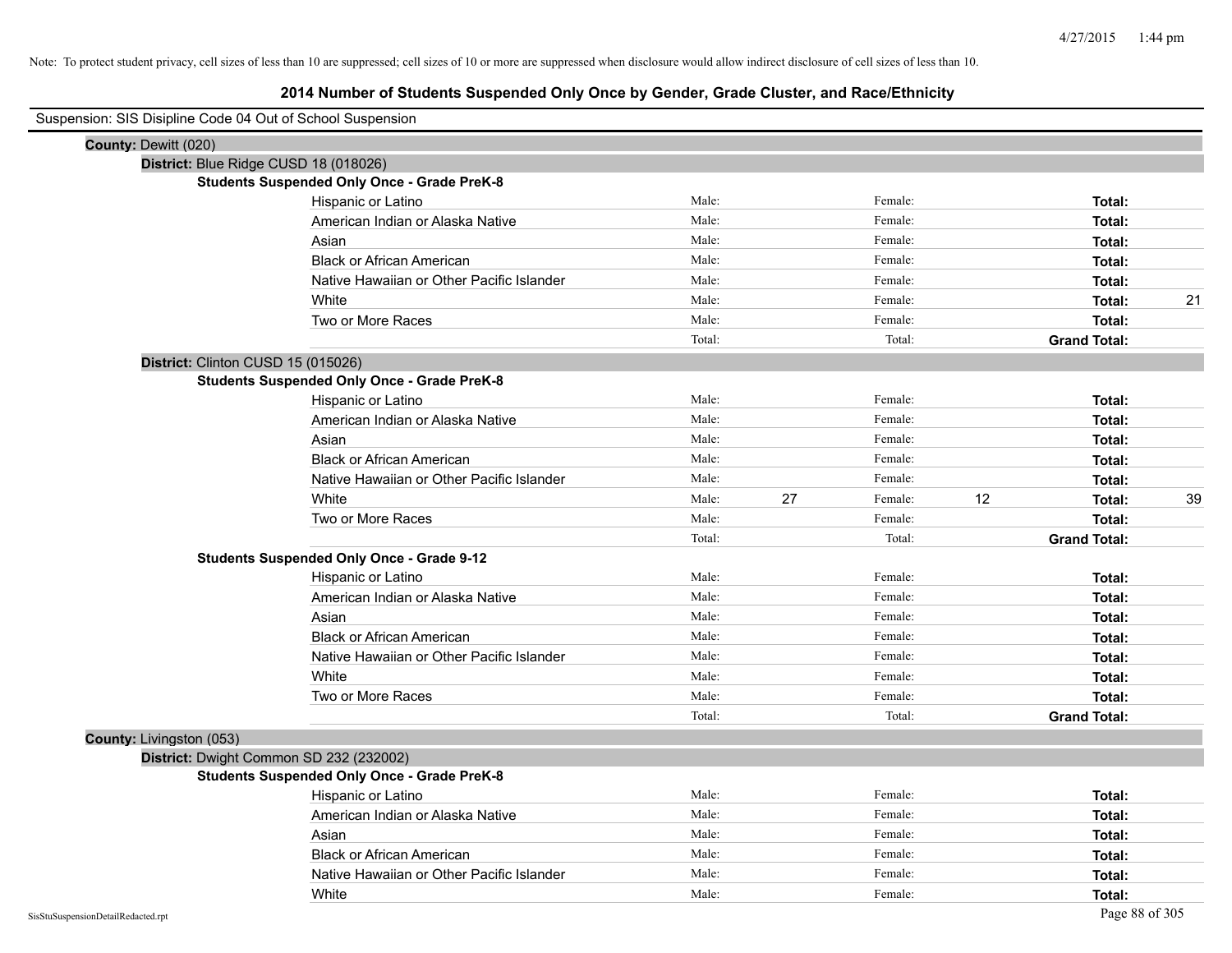# **2014 Number of Students Suspended Only Once by Gender, Grade Cluster, and Race/Ethnicity**

| Suspension: SIS Disipline Code 04 Out of School Suspension |                                                    |        |    |         |    |                     |    |
|------------------------------------------------------------|----------------------------------------------------|--------|----|---------|----|---------------------|----|
| County: Dewitt (020)                                       |                                                    |        |    |         |    |                     |    |
|                                                            | District: Blue Ridge CUSD 18 (018026)              |        |    |         |    |                     |    |
|                                                            | <b>Students Suspended Only Once - Grade PreK-8</b> |        |    |         |    |                     |    |
|                                                            | Hispanic or Latino                                 | Male:  |    | Female: |    | Total:              |    |
|                                                            | American Indian or Alaska Native                   | Male:  |    | Female: |    | Total:              |    |
|                                                            | Asian                                              | Male:  |    | Female: |    | Total:              |    |
|                                                            | <b>Black or African American</b>                   | Male:  |    | Female: |    | Total:              |    |
|                                                            | Native Hawaiian or Other Pacific Islander          | Male:  |    | Female: |    | Total:              |    |
|                                                            | White                                              | Male:  |    | Female: |    | Total:              | 21 |
|                                                            | Two or More Races                                  | Male:  |    | Female: |    | Total:              |    |
|                                                            |                                                    | Total: |    | Total:  |    | <b>Grand Total:</b> |    |
| District: Clinton CUSD 15 (015026)                         |                                                    |        |    |         |    |                     |    |
|                                                            | <b>Students Suspended Only Once - Grade PreK-8</b> |        |    |         |    |                     |    |
|                                                            | Hispanic or Latino                                 | Male:  |    | Female: |    | Total:              |    |
|                                                            | American Indian or Alaska Native                   | Male:  |    | Female: |    | Total:              |    |
|                                                            | Asian                                              | Male:  |    | Female: |    | Total:              |    |
|                                                            | <b>Black or African American</b>                   | Male:  |    | Female: |    | Total:              |    |
|                                                            | Native Hawaiian or Other Pacific Islander          | Male:  |    | Female: |    | Total:              |    |
|                                                            | White                                              | Male:  | 27 | Female: | 12 | Total:              | 39 |
|                                                            | Two or More Races                                  | Male:  |    | Female: |    | Total:              |    |
|                                                            |                                                    | Total: |    | Total:  |    | <b>Grand Total:</b> |    |
|                                                            | <b>Students Suspended Only Once - Grade 9-12</b>   |        |    |         |    |                     |    |
|                                                            | Hispanic or Latino                                 | Male:  |    | Female: |    | Total:              |    |
|                                                            | American Indian or Alaska Native                   | Male:  |    | Female: |    | Total:              |    |
|                                                            | Asian                                              | Male:  |    | Female: |    | Total:              |    |
|                                                            | <b>Black or African American</b>                   | Male:  |    | Female: |    | Total:              |    |
|                                                            | Native Hawaiian or Other Pacific Islander          | Male:  |    | Female: |    | Total:              |    |
|                                                            | White                                              | Male:  |    | Female: |    | Total:              |    |
|                                                            | Two or More Races                                  | Male:  |    | Female: |    | Total:              |    |
|                                                            |                                                    | Total: |    | Total:  |    | <b>Grand Total:</b> |    |
| County: Livingston (053)                                   |                                                    |        |    |         |    |                     |    |
|                                                            | District: Dwight Common SD 232 (232002)            |        |    |         |    |                     |    |
|                                                            | <b>Students Suspended Only Once - Grade PreK-8</b> |        |    |         |    |                     |    |
|                                                            | Hispanic or Latino                                 | Male:  |    | Female: |    | Total:              |    |
|                                                            | American Indian or Alaska Native                   | Male:  |    | Female: |    | Total:              |    |
|                                                            | Asian                                              | Male:  |    | Female: |    | Total:              |    |
|                                                            | <b>Black or African American</b>                   | Male:  |    | Female: |    | Total:              |    |
|                                                            | Native Hawaiian or Other Pacific Islander          | Male:  |    | Female: |    | Total:              |    |
|                                                            | White                                              | Male:  |    | Female: |    | Total:              |    |

 $\blacksquare$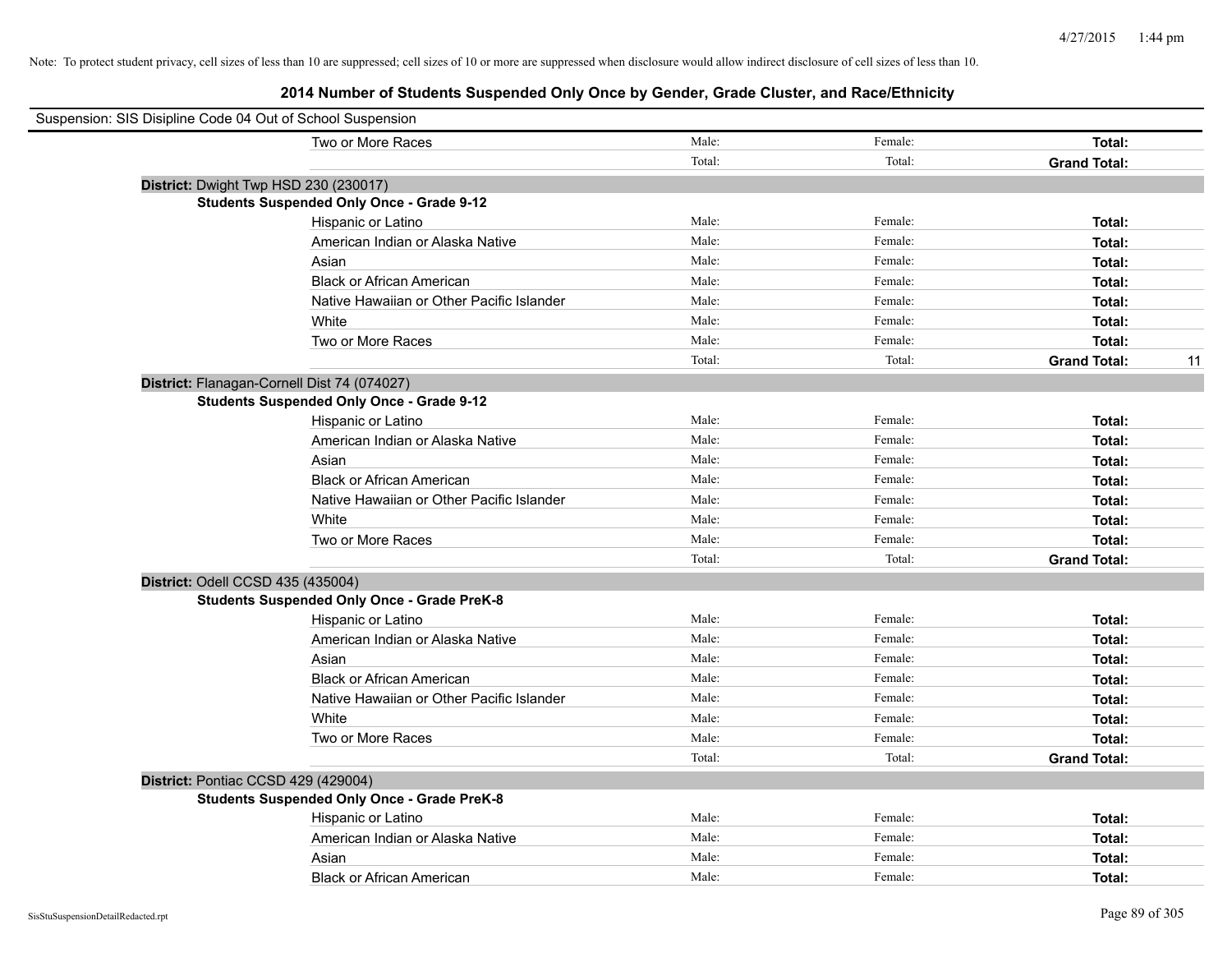| Suspension: SIS Disipline Code 04 Out of School Suspension |                                                    |        |         |                           |
|------------------------------------------------------------|----------------------------------------------------|--------|---------|---------------------------|
|                                                            | Two or More Races                                  | Male:  | Female: | Total:                    |
|                                                            |                                                    | Total: | Total:  | <b>Grand Total:</b>       |
| District: Dwight Twp HSD 230 (230017)                      |                                                    |        |         |                           |
|                                                            | <b>Students Suspended Only Once - Grade 9-12</b>   |        |         |                           |
|                                                            | Hispanic or Latino                                 | Male:  | Female: | Total:                    |
|                                                            | American Indian or Alaska Native                   | Male:  | Female: | Total:                    |
|                                                            | Asian                                              | Male:  | Female: | Total:                    |
|                                                            | <b>Black or African American</b>                   | Male:  | Female: | Total:                    |
|                                                            | Native Hawaiian or Other Pacific Islander          | Male:  | Female: | Total:                    |
|                                                            | White                                              | Male:  | Female: | Total:                    |
|                                                            | Two or More Races                                  | Male:  | Female: | Total:                    |
|                                                            |                                                    | Total: | Total:  | <b>Grand Total:</b><br>11 |
| District: Flanagan-Cornell Dist 74 (074027)                |                                                    |        |         |                           |
|                                                            | <b>Students Suspended Only Once - Grade 9-12</b>   |        |         |                           |
|                                                            | Hispanic or Latino                                 | Male:  | Female: | Total:                    |
|                                                            | American Indian or Alaska Native                   | Male:  | Female: | Total:                    |
|                                                            | Asian                                              | Male:  | Female: | Total:                    |
|                                                            | <b>Black or African American</b>                   | Male:  | Female: | Total:                    |
|                                                            | Native Hawaiian or Other Pacific Islander          | Male:  | Female: | Total:                    |
|                                                            | White                                              | Male:  | Female: | Total:                    |
|                                                            | Two or More Races                                  | Male:  | Female: | Total:                    |
|                                                            |                                                    | Total: | Total:  | <b>Grand Total:</b>       |
| District: Odell CCSD 435 (435004)                          |                                                    |        |         |                           |
|                                                            | <b>Students Suspended Only Once - Grade PreK-8</b> |        |         |                           |
|                                                            | Hispanic or Latino                                 | Male:  | Female: | Total:                    |
|                                                            | American Indian or Alaska Native                   | Male:  | Female: | Total:                    |
|                                                            | Asian                                              | Male:  | Female: | Total:                    |
|                                                            | <b>Black or African American</b>                   | Male:  | Female: | Total:                    |
|                                                            | Native Hawaiian or Other Pacific Islander          | Male:  | Female: | Total:                    |
|                                                            | White                                              | Male:  | Female: | Total:                    |
|                                                            | Two or More Races                                  | Male:  | Female: | Total:                    |
|                                                            |                                                    | Total: | Total:  | <b>Grand Total:</b>       |
| District: Pontiac CCSD 429 (429004)                        |                                                    |        |         |                           |
|                                                            | <b>Students Suspended Only Once - Grade PreK-8</b> |        |         |                           |
|                                                            | Hispanic or Latino                                 | Male:  | Female: | Total:                    |
|                                                            | American Indian or Alaska Native                   | Male:  | Female: | Total:                    |
|                                                            | Asian                                              | Male:  | Female: | Total:                    |
|                                                            | <b>Black or African American</b>                   | Male:  | Female: | Total:                    |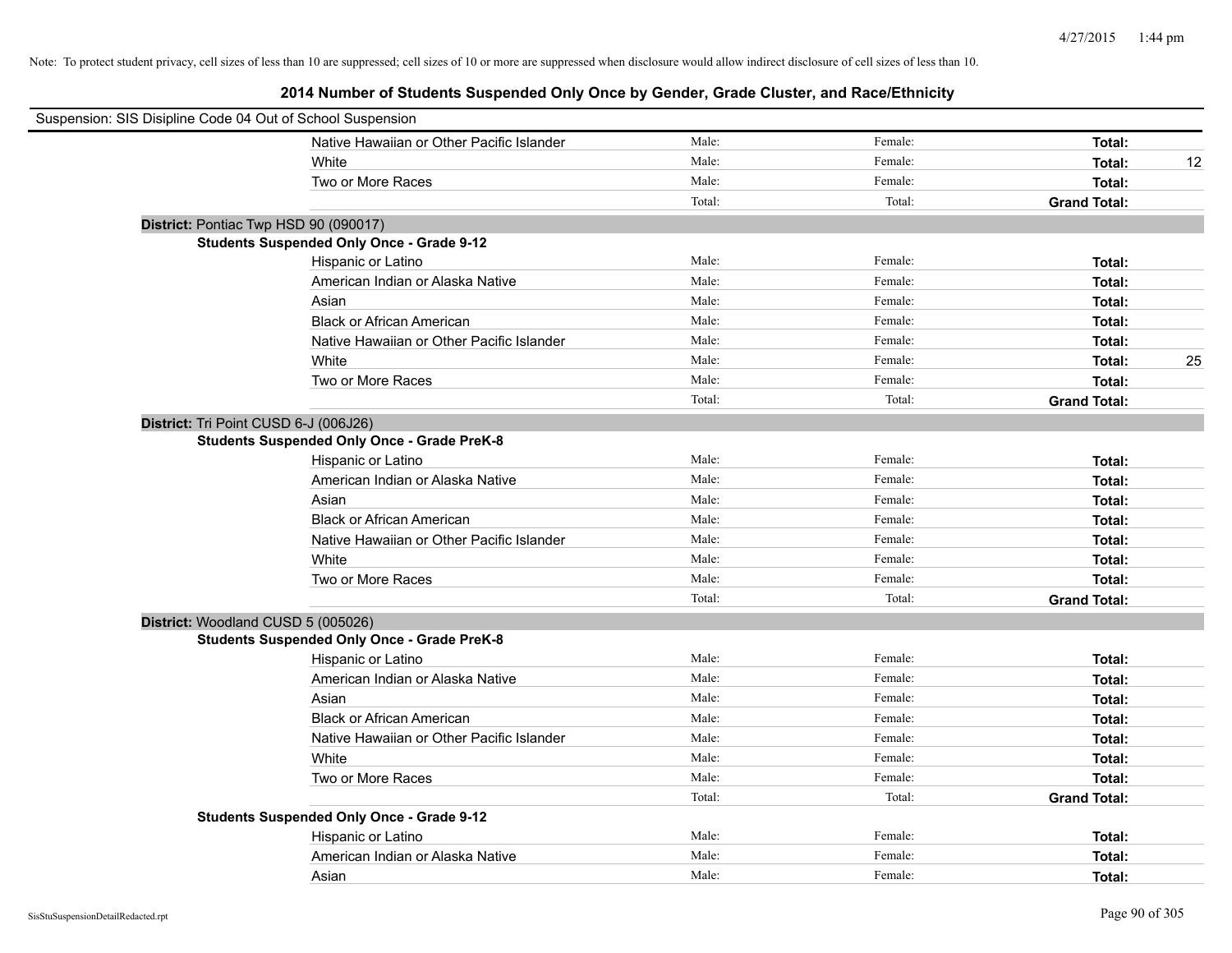| Suspension: SIS Disipline Code 04 Out of School Suspension |                                                    |        |         |                     |    |
|------------------------------------------------------------|----------------------------------------------------|--------|---------|---------------------|----|
|                                                            | Native Hawaiian or Other Pacific Islander          | Male:  | Female: | Total:              |    |
|                                                            | White                                              | Male:  | Female: | Total:              | 12 |
|                                                            | Two or More Races                                  | Male:  | Female: | Total:              |    |
|                                                            |                                                    | Total: | Total:  | <b>Grand Total:</b> |    |
|                                                            | District: Pontiac Twp HSD 90 (090017)              |        |         |                     |    |
|                                                            | <b>Students Suspended Only Once - Grade 9-12</b>   |        |         |                     |    |
|                                                            | Hispanic or Latino                                 | Male:  | Female: | Total:              |    |
|                                                            | American Indian or Alaska Native                   | Male:  | Female: | Total:              |    |
|                                                            | Asian                                              | Male:  | Female: | Total:              |    |
|                                                            | <b>Black or African American</b>                   | Male:  | Female: | Total:              |    |
|                                                            | Native Hawaiian or Other Pacific Islander          | Male:  | Female: | Total:              |    |
|                                                            | White                                              | Male:  | Female: | Total:              | 25 |
|                                                            | Two or More Races                                  | Male:  | Female: | Total:              |    |
|                                                            |                                                    | Total: | Total:  | <b>Grand Total:</b> |    |
|                                                            | District: Tri Point CUSD 6-J (006J26)              |        |         |                     |    |
|                                                            | <b>Students Suspended Only Once - Grade PreK-8</b> |        |         |                     |    |
|                                                            | Hispanic or Latino                                 | Male:  | Female: | Total:              |    |
|                                                            | American Indian or Alaska Native                   | Male:  | Female: | Total:              |    |
|                                                            | Asian                                              | Male:  | Female: | Total:              |    |
|                                                            | <b>Black or African American</b>                   | Male:  | Female: | Total:              |    |
|                                                            | Native Hawaiian or Other Pacific Islander          | Male:  | Female: | Total:              |    |
|                                                            | White                                              | Male:  | Female: | Total:              |    |
|                                                            | Two or More Races                                  | Male:  | Female: | Total:              |    |
|                                                            |                                                    | Total: | Total:  | <b>Grand Total:</b> |    |
|                                                            | District: Woodland CUSD 5 (005026)                 |        |         |                     |    |
|                                                            | <b>Students Suspended Only Once - Grade PreK-8</b> |        |         |                     |    |
|                                                            | Hispanic or Latino                                 | Male:  | Female: | Total:              |    |
|                                                            | American Indian or Alaska Native                   | Male:  | Female: | Total:              |    |
|                                                            | Asian                                              | Male:  | Female: | Total:              |    |
|                                                            | <b>Black or African American</b>                   | Male:  | Female: | Total:              |    |
|                                                            | Native Hawaiian or Other Pacific Islander          | Male:  | Female: | Total:              |    |
|                                                            | White                                              | Male:  | Female: | Total:              |    |
|                                                            | Two or More Races                                  | Male:  | Female: | Total:              |    |
|                                                            |                                                    | Total: | Total:  | <b>Grand Total:</b> |    |
|                                                            | <b>Students Suspended Only Once - Grade 9-12</b>   |        |         |                     |    |
|                                                            | Hispanic or Latino                                 | Male:  | Female: | Total:              |    |
|                                                            | American Indian or Alaska Native                   | Male:  | Female: | Total:              |    |
|                                                            | Asian                                              | Male:  | Female: | Total:              |    |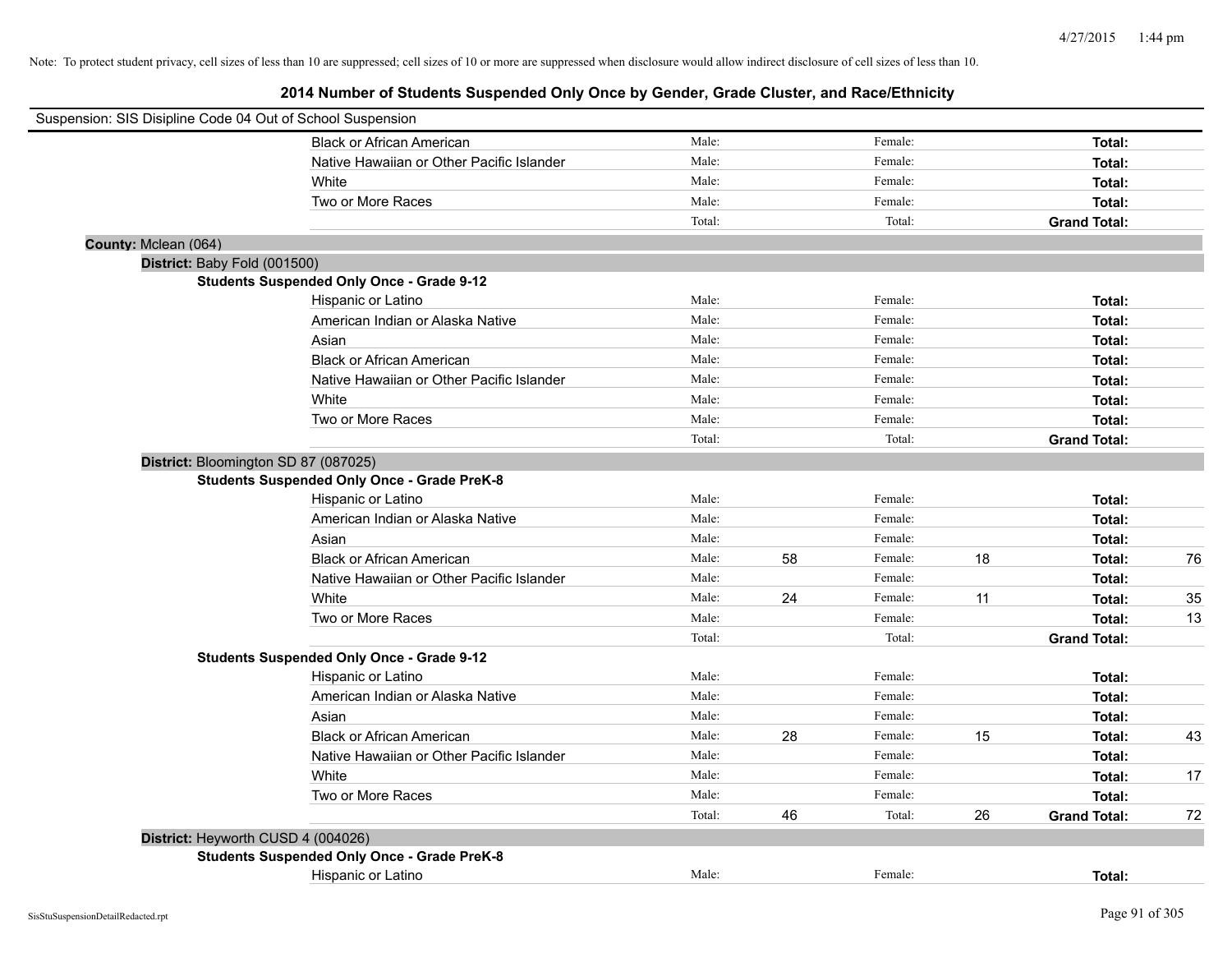| Suspension: SIS Disipline Code 04 Out of School Suspension |                                                    |        |    |         |    |                     |    |
|------------------------------------------------------------|----------------------------------------------------|--------|----|---------|----|---------------------|----|
|                                                            | <b>Black or African American</b>                   | Male:  |    | Female: |    | Total:              |    |
|                                                            | Native Hawaiian or Other Pacific Islander          | Male:  |    | Female: |    | Total:              |    |
| White                                                      |                                                    | Male:  |    | Female: |    | Total:              |    |
|                                                            | Two or More Races                                  | Male:  |    | Female: |    | Total:              |    |
|                                                            |                                                    | Total: |    | Total:  |    | <b>Grand Total:</b> |    |
| County: Mclean (064)                                       |                                                    |        |    |         |    |                     |    |
| District: Baby Fold (001500)                               |                                                    |        |    |         |    |                     |    |
|                                                            | <b>Students Suspended Only Once - Grade 9-12</b>   |        |    |         |    |                     |    |
|                                                            | Hispanic or Latino                                 | Male:  |    | Female: |    | Total:              |    |
|                                                            | American Indian or Alaska Native                   | Male:  |    | Female: |    | Total:              |    |
| Asian                                                      |                                                    | Male:  |    | Female: |    | Total:              |    |
|                                                            | <b>Black or African American</b>                   | Male:  |    | Female: |    | Total:              |    |
|                                                            | Native Hawaiian or Other Pacific Islander          | Male:  |    | Female: |    | Total:              |    |
| White                                                      |                                                    | Male:  |    | Female: |    | Total:              |    |
|                                                            | Two or More Races                                  | Male:  |    | Female: |    | Total:              |    |
|                                                            |                                                    | Total: |    | Total:  |    | <b>Grand Total:</b> |    |
| District: Bloomington SD 87 (087025)                       |                                                    |        |    |         |    |                     |    |
|                                                            | <b>Students Suspended Only Once - Grade PreK-8</b> |        |    |         |    |                     |    |
|                                                            | Hispanic or Latino                                 | Male:  |    | Female: |    | Total:              |    |
|                                                            | American Indian or Alaska Native                   | Male:  |    | Female: |    | Total:              |    |
| Asian                                                      |                                                    | Male:  |    | Female: |    | Total:              |    |
|                                                            | <b>Black or African American</b>                   | Male:  | 58 | Female: | 18 | Total:              | 76 |
|                                                            | Native Hawaiian or Other Pacific Islander          | Male:  |    | Female: |    | Total:              |    |
| White                                                      |                                                    | Male:  | 24 | Female: | 11 | Total:              | 35 |
|                                                            | Two or More Races                                  | Male:  |    | Female: |    | Total:              | 13 |
|                                                            |                                                    | Total: |    | Total:  |    | <b>Grand Total:</b> |    |
|                                                            | <b>Students Suspended Only Once - Grade 9-12</b>   |        |    |         |    |                     |    |
|                                                            | Hispanic or Latino                                 | Male:  |    | Female: |    | Total:              |    |
|                                                            | American Indian or Alaska Native                   | Male:  |    | Female: |    | Total:              |    |
| Asian                                                      |                                                    | Male:  |    | Female: |    | Total:              |    |
|                                                            | <b>Black or African American</b>                   | Male:  | 28 | Female: | 15 | Total:              | 43 |
|                                                            | Native Hawaiian or Other Pacific Islander          | Male:  |    | Female: |    | Total:              |    |
| White                                                      |                                                    | Male:  |    | Female: |    | Total:              | 17 |
|                                                            | Two or More Races                                  | Male:  |    | Female: |    | Total:              |    |
|                                                            |                                                    | Total: | 46 | Total:  | 26 | <b>Grand Total:</b> | 72 |
| District: Heyworth CUSD 4 (004026)                         |                                                    |        |    |         |    |                     |    |
|                                                            | <b>Students Suspended Only Once - Grade PreK-8</b> |        |    |         |    |                     |    |
|                                                            | Hispanic or Latino                                 | Male:  |    | Female: |    | Total:              |    |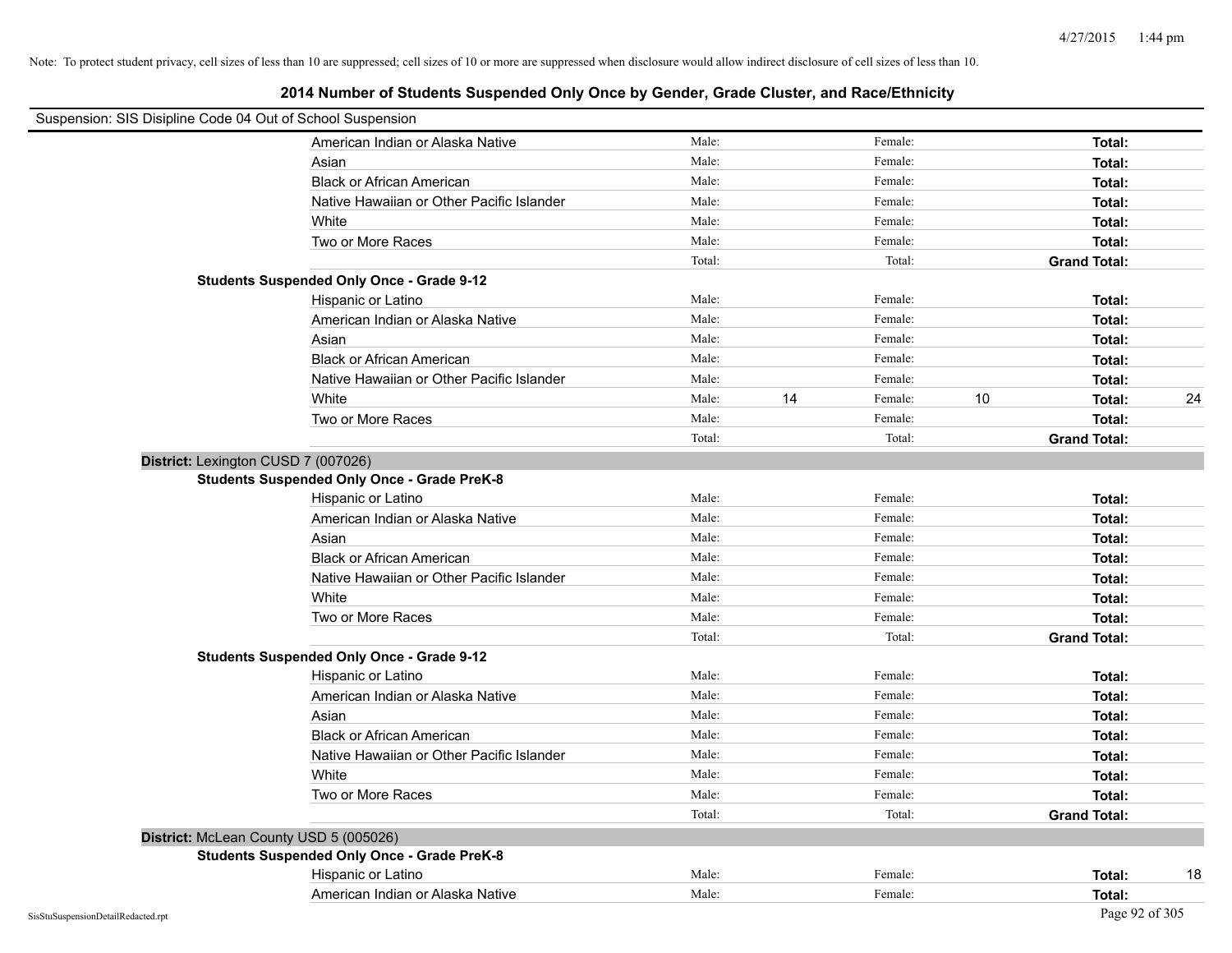| Suspension: SIS Disipline Code 04 Out of School Suspension |                                                    |        |    |         |    |                     |    |
|------------------------------------------------------------|----------------------------------------------------|--------|----|---------|----|---------------------|----|
|                                                            | American Indian or Alaska Native                   | Male:  |    | Female: |    | Total:              |    |
|                                                            | Asian                                              | Male:  |    | Female: |    | Total:              |    |
|                                                            | <b>Black or African American</b>                   | Male:  |    | Female: |    | Total:              |    |
|                                                            | Native Hawaiian or Other Pacific Islander          | Male:  |    | Female: |    | Total:              |    |
|                                                            | White                                              | Male:  |    | Female: |    | Total:              |    |
|                                                            | Two or More Races                                  | Male:  |    | Female: |    | Total:              |    |
|                                                            |                                                    | Total: |    | Total:  |    | <b>Grand Total:</b> |    |
|                                                            | <b>Students Suspended Only Once - Grade 9-12</b>   |        |    |         |    |                     |    |
|                                                            | Hispanic or Latino                                 | Male:  |    | Female: |    | Total:              |    |
|                                                            | American Indian or Alaska Native                   | Male:  |    | Female: |    | Total:              |    |
|                                                            | Asian                                              | Male:  |    | Female: |    | Total:              |    |
|                                                            | <b>Black or African American</b>                   | Male:  |    | Female: |    | Total:              |    |
|                                                            | Native Hawaiian or Other Pacific Islander          | Male:  |    | Female: |    | Total:              |    |
|                                                            | White                                              | Male:  | 14 | Female: | 10 | Total:              | 24 |
|                                                            | Two or More Races                                  | Male:  |    | Female: |    | Total:              |    |
|                                                            |                                                    | Total: |    | Total:  |    | <b>Grand Total:</b> |    |
| District: Lexington CUSD 7 (007026)                        |                                                    |        |    |         |    |                     |    |
|                                                            | <b>Students Suspended Only Once - Grade PreK-8</b> |        |    |         |    |                     |    |
|                                                            | Hispanic or Latino                                 | Male:  |    | Female: |    | Total:              |    |
|                                                            | American Indian or Alaska Native                   | Male:  |    | Female: |    | Total:              |    |
|                                                            | Asian                                              | Male:  |    | Female: |    | Total:              |    |
|                                                            | <b>Black or African American</b>                   | Male:  |    | Female: |    | Total:              |    |
|                                                            | Native Hawaiian or Other Pacific Islander          | Male:  |    | Female: |    | Total:              |    |
|                                                            | White                                              | Male:  |    | Female: |    | Total:              |    |
|                                                            | Two or More Races                                  | Male:  |    | Female: |    | Total:              |    |
|                                                            |                                                    | Total: |    | Total:  |    | <b>Grand Total:</b> |    |
|                                                            | <b>Students Suspended Only Once - Grade 9-12</b>   |        |    |         |    |                     |    |
|                                                            | Hispanic or Latino                                 | Male:  |    | Female: |    | Total:              |    |
|                                                            | American Indian or Alaska Native                   | Male:  |    | Female: |    | Total:              |    |
|                                                            | Asian                                              | Male:  |    | Female: |    | Total:              |    |
|                                                            | <b>Black or African American</b>                   | Male:  |    | Female: |    | Total:              |    |
|                                                            | Native Hawaiian or Other Pacific Islander          | Male:  |    | Female: |    | Total:              |    |
|                                                            | White                                              | Male:  |    | Female: |    | Total:              |    |
|                                                            | Two or More Races                                  | Male:  |    | Female: |    | Total:              |    |
|                                                            |                                                    | Total: |    | Total:  |    | <b>Grand Total:</b> |    |
| District: McLean County USD 5 (005026)                     |                                                    |        |    |         |    |                     |    |
|                                                            | <b>Students Suspended Only Once - Grade PreK-8</b> |        |    |         |    |                     |    |
|                                                            | Hispanic or Latino                                 | Male:  |    | Female: |    | Total:              | 18 |
|                                                            | American Indian or Alaska Native                   | Male:  |    | Female: |    | Total:              |    |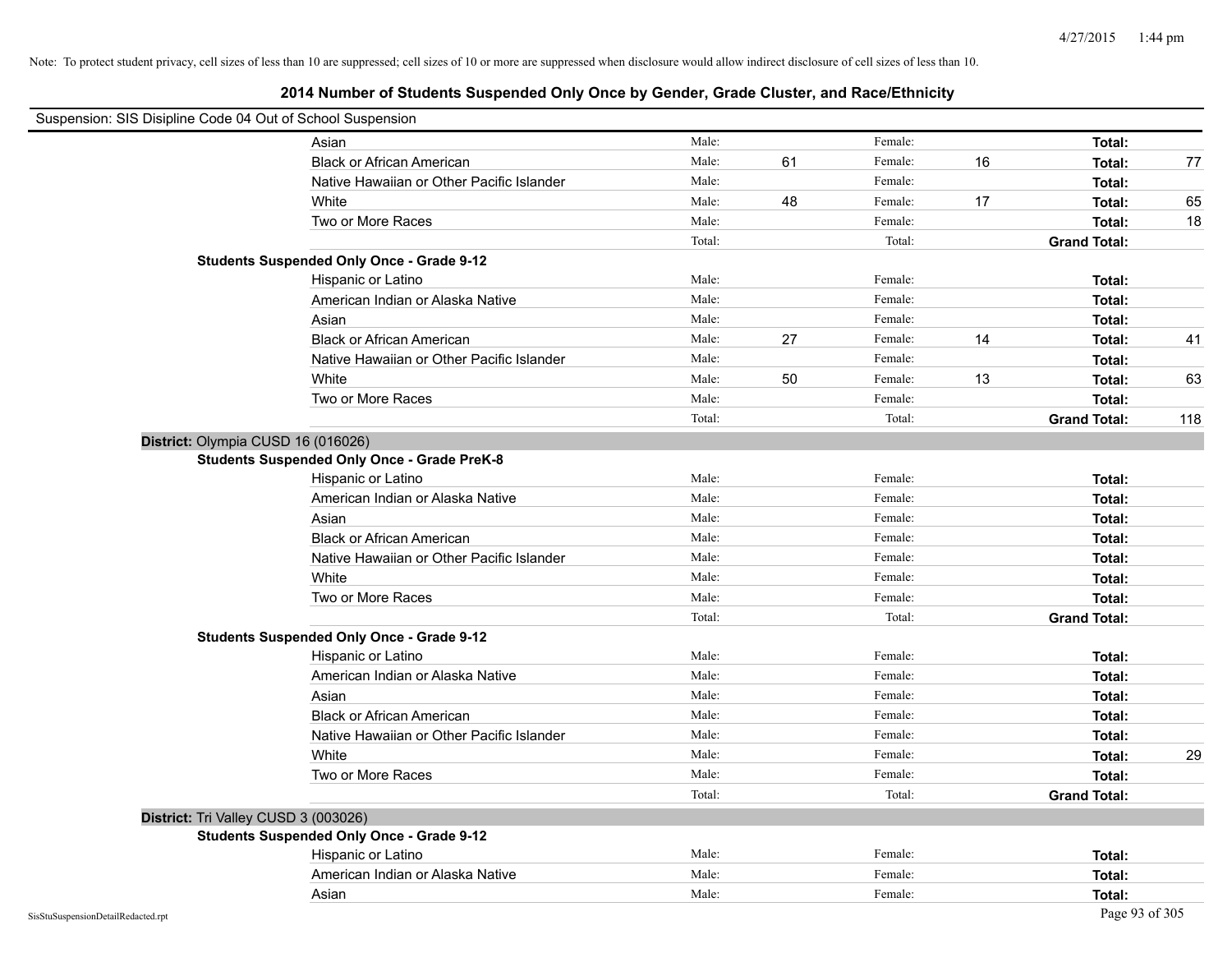| Suspension: SIS Disipline Code 04 Out of School Suspension |                                                    |        |    |         |    |                     |     |
|------------------------------------------------------------|----------------------------------------------------|--------|----|---------|----|---------------------|-----|
|                                                            | Asian                                              | Male:  |    | Female: |    | Total:              |     |
|                                                            | <b>Black or African American</b>                   | Male:  | 61 | Female: | 16 | Total:              | 77  |
|                                                            | Native Hawaiian or Other Pacific Islander          | Male:  |    | Female: |    | Total:              |     |
|                                                            | White                                              | Male:  | 48 | Female: | 17 | Total:              | 65  |
|                                                            | Two or More Races                                  | Male:  |    | Female: |    | Total:              | 18  |
|                                                            |                                                    | Total: |    | Total:  |    | <b>Grand Total:</b> |     |
|                                                            | <b>Students Suspended Only Once - Grade 9-12</b>   |        |    |         |    |                     |     |
|                                                            | Hispanic or Latino                                 | Male:  |    | Female: |    | Total:              |     |
|                                                            | American Indian or Alaska Native                   | Male:  |    | Female: |    | Total:              |     |
|                                                            | Asian                                              | Male:  |    | Female: |    | Total:              |     |
|                                                            | <b>Black or African American</b>                   | Male:  | 27 | Female: | 14 | Total:              | 41  |
|                                                            | Native Hawaiian or Other Pacific Islander          | Male:  |    | Female: |    | Total:              |     |
|                                                            | White                                              | Male:  | 50 | Female: | 13 | Total:              | 63  |
|                                                            | Two or More Races                                  | Male:  |    | Female: |    | Total:              |     |
|                                                            |                                                    | Total: |    | Total:  |    | <b>Grand Total:</b> | 118 |
| District: Olympia CUSD 16 (016026)                         |                                                    |        |    |         |    |                     |     |
|                                                            | <b>Students Suspended Only Once - Grade PreK-8</b> |        |    |         |    |                     |     |
|                                                            | Hispanic or Latino                                 | Male:  |    | Female: |    | Total:              |     |
|                                                            | American Indian or Alaska Native                   | Male:  |    | Female: |    | Total:              |     |
|                                                            | Asian                                              | Male:  |    | Female: |    | Total:              |     |
|                                                            | <b>Black or African American</b>                   | Male:  |    | Female: |    | Total:              |     |
|                                                            | Native Hawaiian or Other Pacific Islander          | Male:  |    | Female: |    | Total:              |     |
|                                                            | White                                              | Male:  |    | Female: |    | Total:              |     |
|                                                            | Two or More Races                                  | Male:  |    | Female: |    | Total:              |     |
|                                                            |                                                    | Total: |    | Total:  |    | <b>Grand Total:</b> |     |
|                                                            | <b>Students Suspended Only Once - Grade 9-12</b>   |        |    |         |    |                     |     |
|                                                            | Hispanic or Latino                                 | Male:  |    | Female: |    | Total:              |     |
|                                                            | American Indian or Alaska Native                   | Male:  |    | Female: |    | Total:              |     |
|                                                            | Asian                                              | Male:  |    | Female: |    | Total:              |     |
|                                                            | <b>Black or African American</b>                   | Male:  |    | Female: |    | Total:              |     |
|                                                            | Native Hawaiian or Other Pacific Islander          | Male:  |    | Female: |    | Total:              |     |
|                                                            | White                                              | Male:  |    | Female: |    | Total:              | 29  |
|                                                            | Two or More Races                                  | Male:  |    | Female: |    | Total:              |     |
|                                                            |                                                    | Total: |    | Total:  |    | <b>Grand Total:</b> |     |
| District: Tri Valley CUSD 3 (003026)                       |                                                    |        |    |         |    |                     |     |
|                                                            | <b>Students Suspended Only Once - Grade 9-12</b>   |        |    |         |    |                     |     |
|                                                            | Hispanic or Latino                                 | Male:  |    | Female: |    | Total:              |     |
|                                                            | American Indian or Alaska Native                   | Male:  |    | Female: |    | Total:              |     |
|                                                            | Asian                                              | Male:  |    | Female: |    | Total:              |     |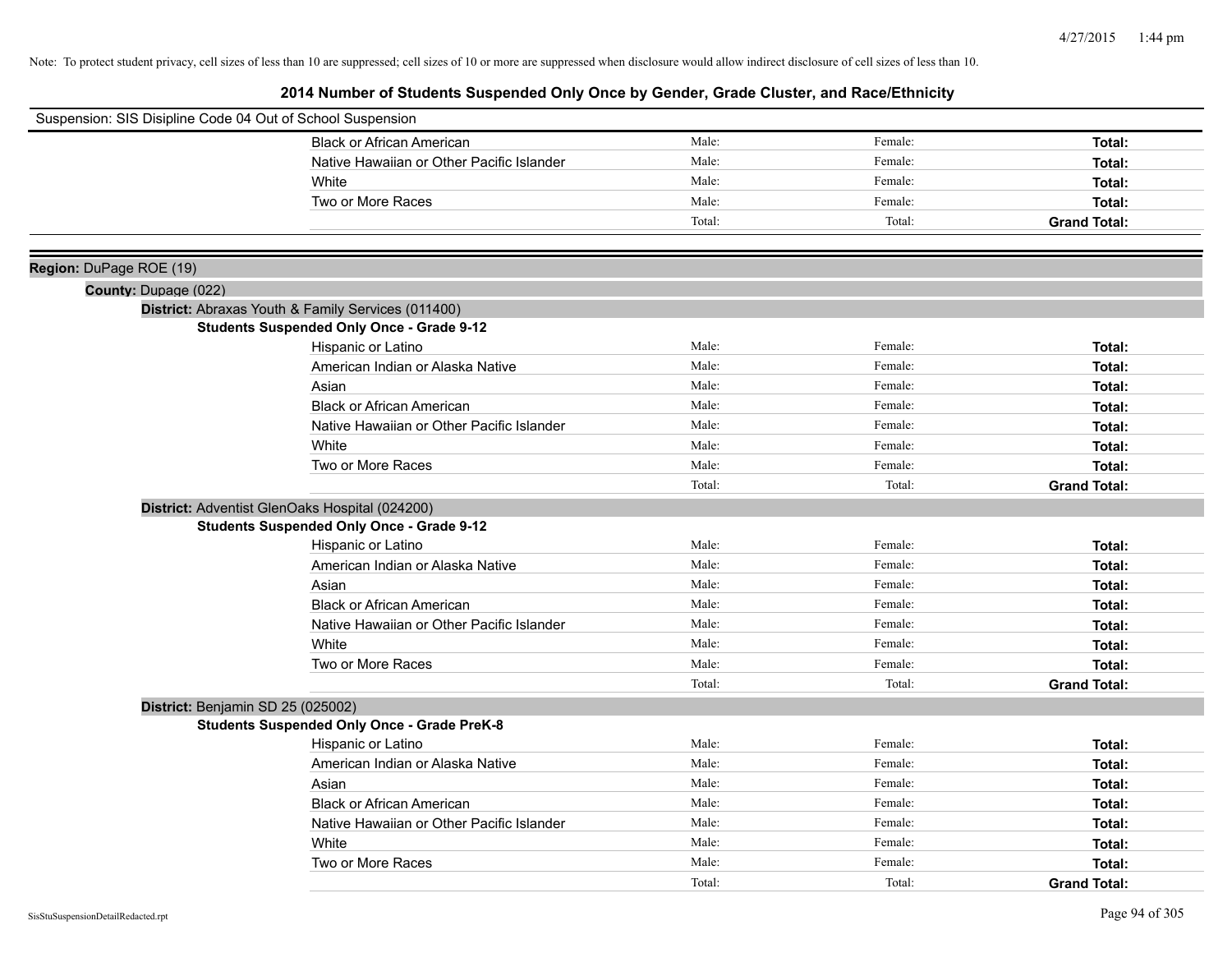| Suspension: SIS Disipline Code 04 Out of School Suspension |                                                    |        |         |                     |
|------------------------------------------------------------|----------------------------------------------------|--------|---------|---------------------|
|                                                            | <b>Black or African American</b>                   | Male:  | Female: | Total:              |
|                                                            | Native Hawaiian or Other Pacific Islander          | Male:  | Female: | Total:              |
|                                                            | White                                              | Male:  | Female: | Total:              |
|                                                            | Two or More Races                                  | Male:  | Female: | Total:              |
|                                                            |                                                    | Total: | Total:  | <b>Grand Total:</b> |
|                                                            |                                                    |        |         |                     |
| Region: DuPage ROE (19)                                    |                                                    |        |         |                     |
| County: Dupage (022)                                       |                                                    |        |         |                     |
|                                                            | District: Abraxas Youth & Family Services (011400) |        |         |                     |
|                                                            | <b>Students Suspended Only Once - Grade 9-12</b>   |        |         |                     |
|                                                            | Hispanic or Latino                                 | Male:  | Female: | Total:              |
|                                                            | American Indian or Alaska Native                   | Male:  | Female: | Total:              |
|                                                            | Asian                                              | Male:  | Female: | Total:              |
|                                                            | <b>Black or African American</b>                   | Male:  | Female: | Total:              |
|                                                            | Native Hawaiian or Other Pacific Islander          | Male:  | Female: | Total:              |
|                                                            | White                                              | Male:  | Female: | Total:              |
|                                                            | Two or More Races                                  | Male:  | Female: | Total:              |
|                                                            |                                                    | Total: | Total:  | <b>Grand Total:</b> |
|                                                            | District: Adventist GlenOaks Hospital (024200)     |        |         |                     |
|                                                            | <b>Students Suspended Only Once - Grade 9-12</b>   |        |         |                     |
|                                                            | Hispanic or Latino                                 | Male:  | Female: | Total:              |
|                                                            | American Indian or Alaska Native                   | Male:  | Female: | Total:              |
|                                                            | Asian                                              | Male:  | Female: | Total:              |
|                                                            | <b>Black or African American</b>                   | Male:  | Female: | Total:              |
|                                                            | Native Hawaiian or Other Pacific Islander          | Male:  | Female: | Total:              |
|                                                            | White                                              | Male:  | Female: | Total:              |
|                                                            | Two or More Races                                  | Male:  | Female: | Total:              |
|                                                            |                                                    | Total: | Total:  | <b>Grand Total:</b> |
|                                                            | District: Benjamin SD 25 (025002)                  |        |         |                     |
|                                                            | <b>Students Suspended Only Once - Grade PreK-8</b> |        |         |                     |
|                                                            | Hispanic or Latino                                 | Male:  | Female: | Total:              |
|                                                            | American Indian or Alaska Native                   | Male:  | Female: | Total:              |
|                                                            | Asian                                              | Male:  | Female: | Total:              |
|                                                            | <b>Black or African American</b>                   | Male:  | Female: | Total:              |
|                                                            | Native Hawaiian or Other Pacific Islander          | Male:  | Female: | Total:              |
|                                                            | White                                              | Male:  | Female: | Total:              |
|                                                            | Two or More Races                                  | Male:  | Female: | Total:              |
|                                                            |                                                    | Total: | Total:  | <b>Grand Total:</b> |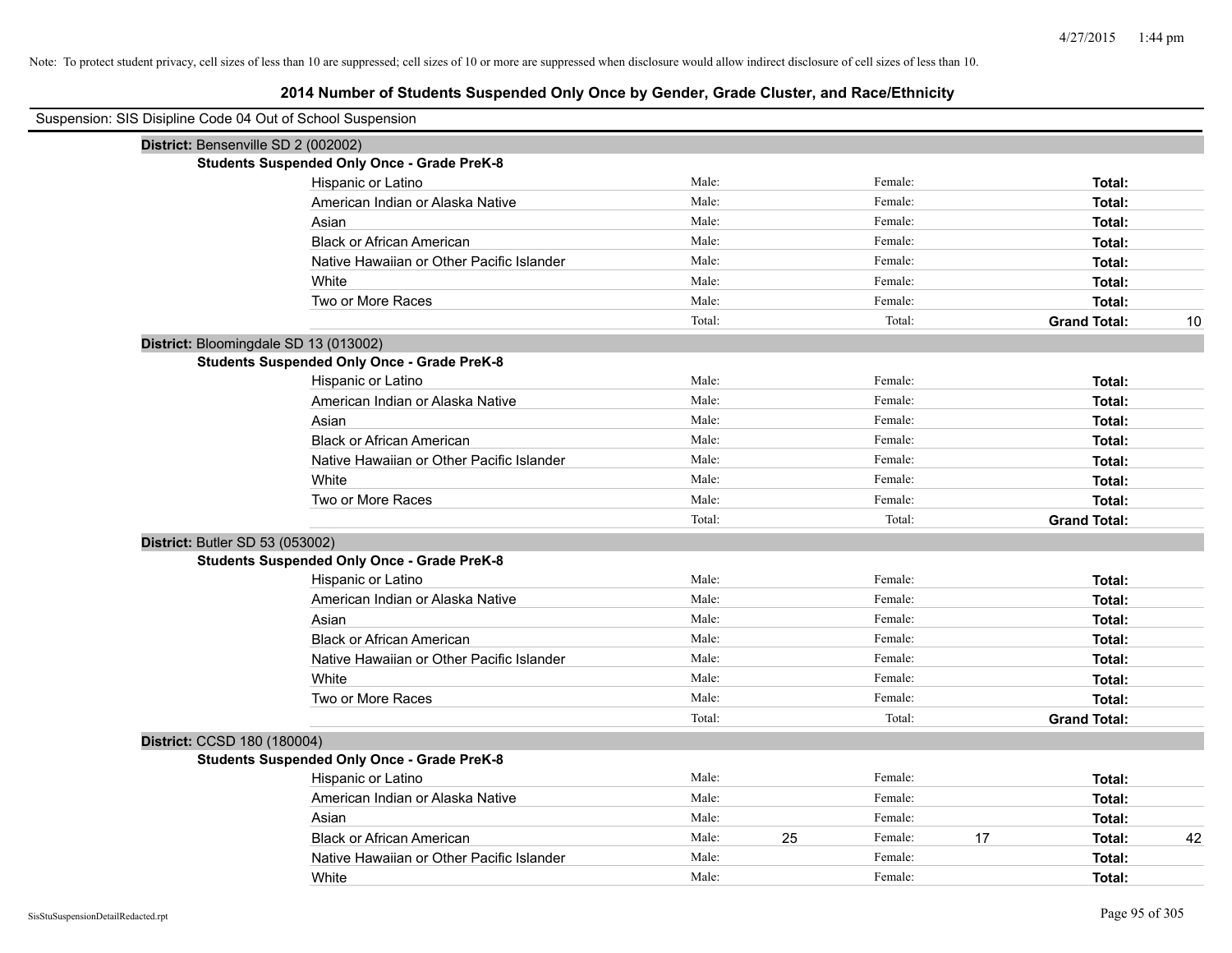| Suspension: SIS Disipline Code 04 Out of School Suspension |                                                    |        |    |         |    |                     |    |
|------------------------------------------------------------|----------------------------------------------------|--------|----|---------|----|---------------------|----|
| District: Bensenville SD 2 (002002)                        |                                                    |        |    |         |    |                     |    |
|                                                            | <b>Students Suspended Only Once - Grade PreK-8</b> |        |    |         |    |                     |    |
|                                                            | Hispanic or Latino                                 | Male:  |    | Female: |    | Total:              |    |
|                                                            | American Indian or Alaska Native                   | Male:  |    | Female: |    | Total:              |    |
|                                                            | Asian                                              | Male:  |    | Female: |    | Total:              |    |
|                                                            | <b>Black or African American</b>                   | Male:  |    | Female: |    | Total:              |    |
|                                                            | Native Hawaiian or Other Pacific Islander          | Male:  |    | Female: |    | Total:              |    |
|                                                            | White                                              | Male:  |    | Female: |    | Total:              |    |
|                                                            | Two or More Races                                  | Male:  |    | Female: |    | Total:              |    |
|                                                            |                                                    | Total: |    | Total:  |    | <b>Grand Total:</b> | 10 |
| District: Bloomingdale SD 13 (013002)                      |                                                    |        |    |         |    |                     |    |
|                                                            | <b>Students Suspended Only Once - Grade PreK-8</b> |        |    |         |    |                     |    |
|                                                            | Hispanic or Latino                                 | Male:  |    | Female: |    | Total:              |    |
|                                                            | American Indian or Alaska Native                   | Male:  |    | Female: |    | Total:              |    |
|                                                            | Asian                                              | Male:  |    | Female: |    | Total:              |    |
|                                                            | <b>Black or African American</b>                   | Male:  |    | Female: |    | Total:              |    |
|                                                            | Native Hawaiian or Other Pacific Islander          | Male:  |    | Female: |    | Total:              |    |
|                                                            | White                                              | Male:  |    | Female: |    | Total:              |    |
|                                                            | Two or More Races                                  | Male:  |    | Female: |    | Total:              |    |
|                                                            |                                                    | Total: |    | Total:  |    | <b>Grand Total:</b> |    |
| District: Butler SD 53 (053002)                            |                                                    |        |    |         |    |                     |    |
|                                                            | <b>Students Suspended Only Once - Grade PreK-8</b> |        |    |         |    |                     |    |
|                                                            | Hispanic or Latino                                 | Male:  |    | Female: |    | Total:              |    |
|                                                            | American Indian or Alaska Native                   | Male:  |    | Female: |    | Total:              |    |
|                                                            | Asian                                              | Male:  |    | Female: |    | Total:              |    |
|                                                            | <b>Black or African American</b>                   | Male:  |    | Female: |    | Total:              |    |
|                                                            | Native Hawaiian or Other Pacific Islander          | Male:  |    | Female: |    | Total:              |    |
|                                                            | White                                              | Male:  |    | Female: |    | Total:              |    |
|                                                            | Two or More Races                                  | Male:  |    | Female: |    | Total:              |    |
|                                                            |                                                    | Total: |    | Total:  |    | <b>Grand Total:</b> |    |
| District: CCSD 180 (180004)                                |                                                    |        |    |         |    |                     |    |
|                                                            | <b>Students Suspended Only Once - Grade PreK-8</b> |        |    |         |    |                     |    |
|                                                            | Hispanic or Latino                                 | Male:  |    | Female: |    | Total:              |    |
|                                                            | American Indian or Alaska Native                   | Male:  |    | Female: |    | Total:              |    |
|                                                            | Asian                                              | Male:  |    | Female: |    | Total:              |    |
|                                                            | <b>Black or African American</b>                   | Male:  | 25 | Female: | 17 | Total:              | 42 |
|                                                            | Native Hawaiian or Other Pacific Islander          | Male:  |    | Female: |    | Total:              |    |
|                                                            | White                                              | Male:  |    | Female: |    | Total:              |    |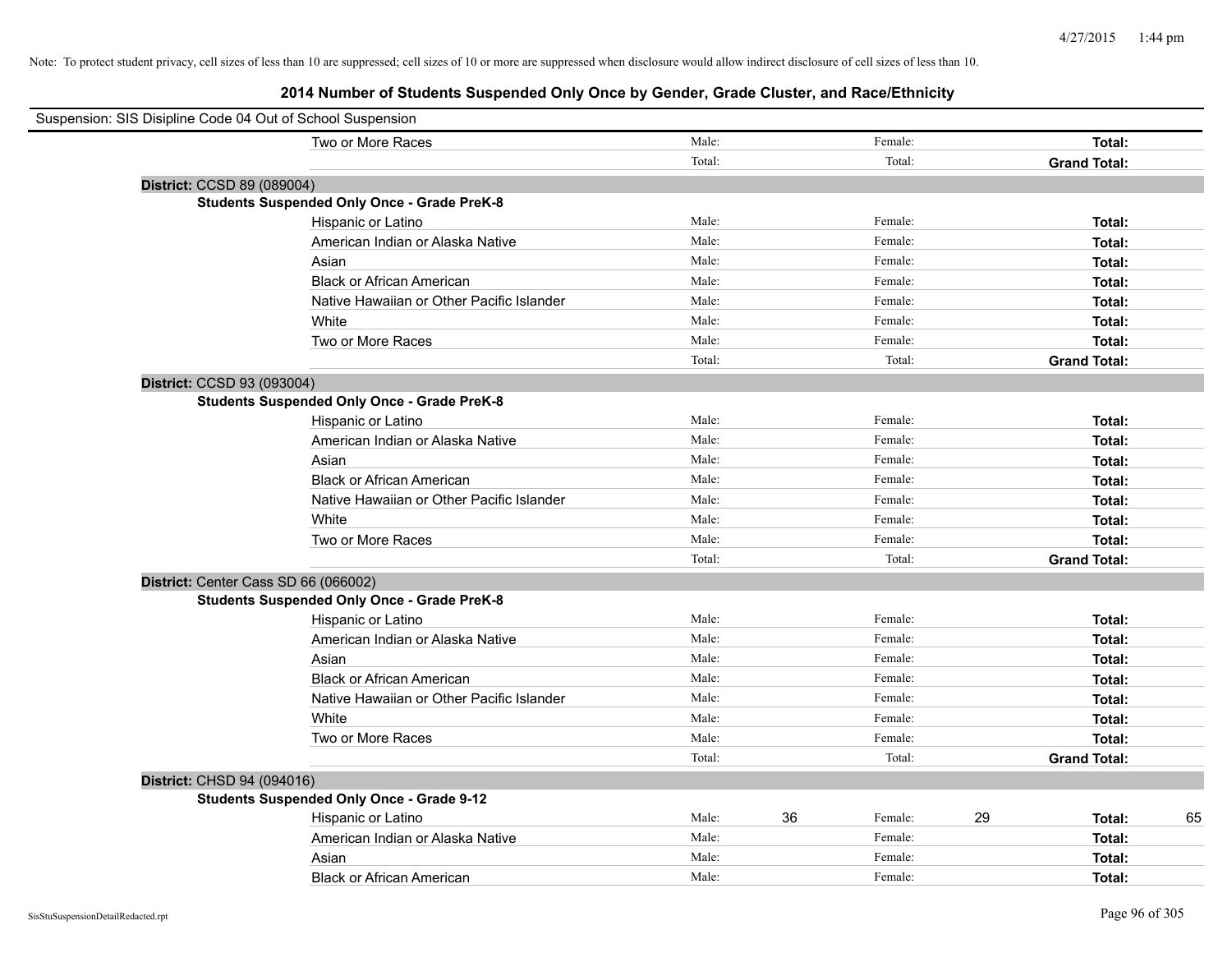| Suspension: SIS Disipline Code 04 Out of School Suspension |                                                    |        |               |                     |    |
|------------------------------------------------------------|----------------------------------------------------|--------|---------------|---------------------|----|
|                                                            | Two or More Races                                  | Male:  | Female:       | Total:              |    |
|                                                            |                                                    | Total: | Total:        | <b>Grand Total:</b> |    |
| District: CCSD 89 (089004)                                 |                                                    |        |               |                     |    |
|                                                            | <b>Students Suspended Only Once - Grade PreK-8</b> |        |               |                     |    |
|                                                            | Hispanic or Latino                                 | Male:  | Female:       | Total:              |    |
|                                                            | American Indian or Alaska Native                   | Male:  | Female:       | Total:              |    |
|                                                            | Asian                                              | Male:  | Female:       | Total:              |    |
|                                                            | <b>Black or African American</b>                   | Male:  | Female:       | Total:              |    |
|                                                            | Native Hawaiian or Other Pacific Islander          | Male:  | Female:       | Total:              |    |
|                                                            | White                                              | Male:  | Female:       | Total:              |    |
|                                                            | Two or More Races                                  | Male:  | Female:       | Total:              |    |
|                                                            |                                                    | Total: | Total:        | <b>Grand Total:</b> |    |
| District: CCSD 93 (093004)                                 |                                                    |        |               |                     |    |
|                                                            | <b>Students Suspended Only Once - Grade PreK-8</b> |        |               |                     |    |
|                                                            | Hispanic or Latino                                 | Male:  | Female:       | Total:              |    |
|                                                            | American Indian or Alaska Native                   | Male:  | Female:       | Total:              |    |
|                                                            | Asian                                              | Male:  | Female:       | Total:              |    |
|                                                            | <b>Black or African American</b>                   | Male:  | Female:       | Total:              |    |
|                                                            | Native Hawaiian or Other Pacific Islander          | Male:  | Female:       | Total:              |    |
|                                                            | White                                              | Male:  | Female:       | Total:              |    |
|                                                            | Two or More Races                                  | Male:  | Female:       | Total:              |    |
|                                                            |                                                    | Total: | Total:        | <b>Grand Total:</b> |    |
| District: Center Cass SD 66 (066002)                       |                                                    |        |               |                     |    |
|                                                            | <b>Students Suspended Only Once - Grade PreK-8</b> |        |               |                     |    |
|                                                            | Hispanic or Latino                                 | Male:  | Female:       | Total:              |    |
|                                                            | American Indian or Alaska Native                   | Male:  | Female:       | Total:              |    |
|                                                            | Asian                                              | Male:  | Female:       | Total:              |    |
|                                                            | <b>Black or African American</b>                   | Male:  | Female:       | Total:              |    |
|                                                            | Native Hawaiian or Other Pacific Islander          | Male:  | Female:       | Total:              |    |
|                                                            | White                                              | Male:  | Female:       | Total:              |    |
|                                                            | Two or More Races                                  | Male:  | Female:       | Total:              |    |
|                                                            |                                                    | Total: | Total:        | <b>Grand Total:</b> |    |
| District: CHSD 94 (094016)                                 |                                                    |        |               |                     |    |
|                                                            | <b>Students Suspended Only Once - Grade 9-12</b>   |        |               |                     |    |
|                                                            | Hispanic or Latino                                 | Male:  | 36<br>Female: | 29<br>Total:        | 65 |
|                                                            | American Indian or Alaska Native                   | Male:  | Female:       | Total:              |    |
|                                                            | Asian                                              | Male:  | Female:       | Total:              |    |
|                                                            | <b>Black or African American</b>                   | Male:  | Female:       | Total:              |    |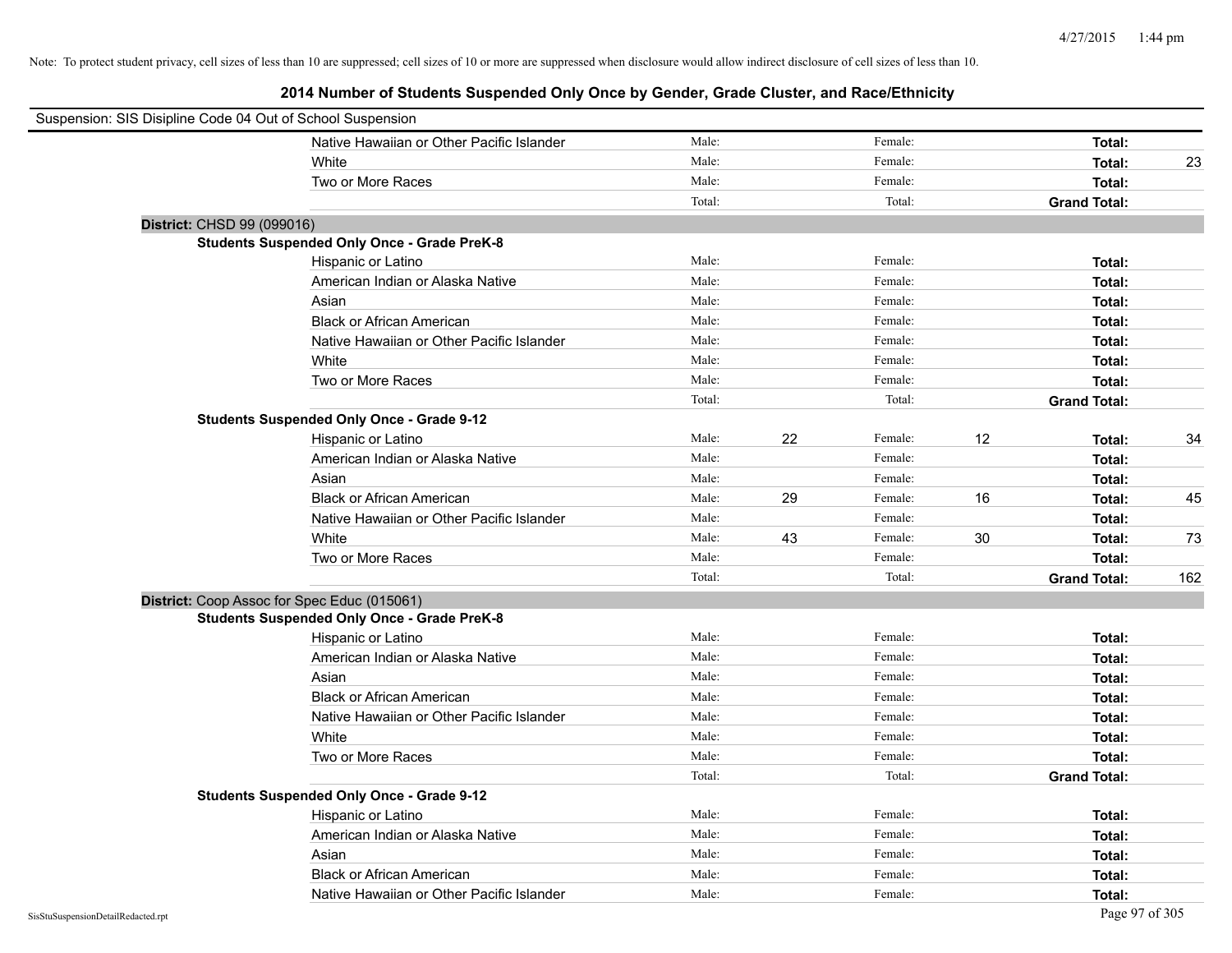| Suspension: SIS Disipline Code 04 Out of School Suspension |                                                    |        |    |         |    |                     |     |
|------------------------------------------------------------|----------------------------------------------------|--------|----|---------|----|---------------------|-----|
|                                                            | Native Hawaiian or Other Pacific Islander          | Male:  |    | Female: |    | Total:              |     |
|                                                            | White                                              | Male:  |    | Female: |    | Total:              | 23  |
|                                                            | Two or More Races                                  | Male:  |    | Female: |    | Total:              |     |
|                                                            |                                                    | Total: |    | Total:  |    | <b>Grand Total:</b> |     |
| District: CHSD 99 (099016)                                 |                                                    |        |    |         |    |                     |     |
|                                                            | <b>Students Suspended Only Once - Grade PreK-8</b> |        |    |         |    |                     |     |
|                                                            | Hispanic or Latino                                 | Male:  |    | Female: |    | Total:              |     |
|                                                            | American Indian or Alaska Native                   | Male:  |    | Female: |    | Total:              |     |
|                                                            | Asian                                              | Male:  |    | Female: |    | Total:              |     |
|                                                            | <b>Black or African American</b>                   | Male:  |    | Female: |    | Total:              |     |
|                                                            | Native Hawaiian or Other Pacific Islander          | Male:  |    | Female: |    | Total:              |     |
|                                                            | White                                              | Male:  |    | Female: |    | Total:              |     |
|                                                            | Two or More Races                                  | Male:  |    | Female: |    | Total:              |     |
|                                                            |                                                    | Total: |    | Total:  |    | <b>Grand Total:</b> |     |
|                                                            | <b>Students Suspended Only Once - Grade 9-12</b>   |        |    |         |    |                     |     |
|                                                            | Hispanic or Latino                                 | Male:  | 22 | Female: | 12 | Total:              | 34  |
|                                                            | American Indian or Alaska Native                   | Male:  |    | Female: |    | Total:              |     |
|                                                            | Asian                                              | Male:  |    | Female: |    | Total:              |     |
|                                                            | <b>Black or African American</b>                   | Male:  | 29 | Female: | 16 | Total:              | 45  |
|                                                            | Native Hawaiian or Other Pacific Islander          | Male:  |    | Female: |    | Total:              |     |
|                                                            | White                                              | Male:  | 43 | Female: | 30 | Total:              | 73  |
|                                                            | Two or More Races                                  | Male:  |    | Female: |    | Total:              |     |
|                                                            |                                                    | Total: |    | Total:  |    | <b>Grand Total:</b> | 162 |
| District: Coop Assoc for Spec Educ (015061)                |                                                    |        |    |         |    |                     |     |
|                                                            | <b>Students Suspended Only Once - Grade PreK-8</b> |        |    |         |    |                     |     |
|                                                            | Hispanic or Latino                                 | Male:  |    | Female: |    | Total:              |     |
|                                                            | American Indian or Alaska Native                   | Male:  |    | Female: |    | Total:              |     |
|                                                            | Asian                                              | Male:  |    | Female: |    | Total:              |     |
|                                                            | <b>Black or African American</b>                   | Male:  |    | Female: |    | Total:              |     |
|                                                            | Native Hawaiian or Other Pacific Islander          | Male:  |    | Female: |    | Total:              |     |
|                                                            | White                                              | Male:  |    | Female: |    | Total:              |     |
|                                                            | Two or More Races                                  | Male:  |    | Female: |    | Total:              |     |
|                                                            |                                                    | Total: |    | Total:  |    | <b>Grand Total:</b> |     |
|                                                            | <b>Students Suspended Only Once - Grade 9-12</b>   |        |    |         |    |                     |     |
|                                                            | Hispanic or Latino                                 | Male:  |    | Female: |    | Total:              |     |
|                                                            | American Indian or Alaska Native                   | Male:  |    | Female: |    | Total:              |     |
|                                                            | Asian                                              | Male:  |    | Female: |    | Total:              |     |
|                                                            | <b>Black or African American</b>                   | Male:  |    | Female: |    | Total:              |     |
|                                                            | Native Hawaiian or Other Pacific Islander          | Male:  |    | Female: |    | Total:              |     |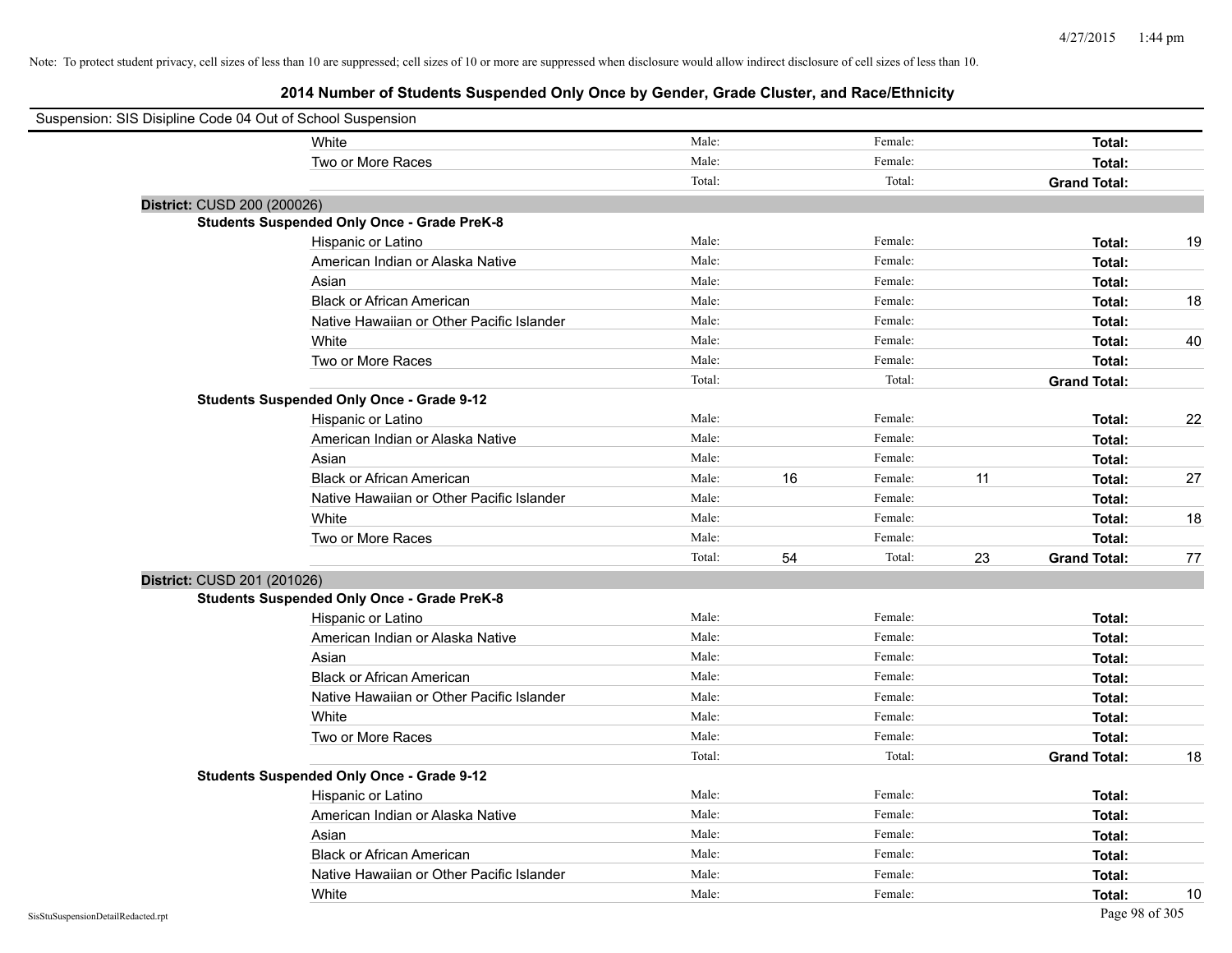| Suspension: SIS Disipline Code 04 Out of School Suspension |                                                    |        |    |         |    |                     |    |
|------------------------------------------------------------|----------------------------------------------------|--------|----|---------|----|---------------------|----|
|                                                            | White                                              | Male:  |    | Female: |    | Total:              |    |
|                                                            | Two or More Races                                  | Male:  |    | Female: |    | Total:              |    |
|                                                            |                                                    | Total: |    | Total:  |    | <b>Grand Total:</b> |    |
| District: CUSD 200 (200026)                                |                                                    |        |    |         |    |                     |    |
|                                                            | <b>Students Suspended Only Once - Grade PreK-8</b> |        |    |         |    |                     |    |
|                                                            | Hispanic or Latino                                 | Male:  |    | Female: |    | Total:              | 19 |
|                                                            | American Indian or Alaska Native                   | Male:  |    | Female: |    | Total:              |    |
|                                                            | Asian                                              | Male:  |    | Female: |    | Total:              |    |
|                                                            | <b>Black or African American</b>                   | Male:  |    | Female: |    | Total:              | 18 |
|                                                            | Native Hawaiian or Other Pacific Islander          | Male:  |    | Female: |    | Total:              |    |
|                                                            | White                                              | Male:  |    | Female: |    | Total:              | 40 |
|                                                            | Two or More Races                                  | Male:  |    | Female: |    | Total:              |    |
|                                                            |                                                    | Total: |    | Total:  |    | <b>Grand Total:</b> |    |
|                                                            | <b>Students Suspended Only Once - Grade 9-12</b>   |        |    |         |    |                     |    |
|                                                            | Hispanic or Latino                                 | Male:  |    | Female: |    | Total:              | 22 |
|                                                            | American Indian or Alaska Native                   | Male:  |    | Female: |    | Total:              |    |
|                                                            | Asian                                              | Male:  |    | Female: |    | Total:              |    |
|                                                            | <b>Black or African American</b>                   | Male:  | 16 | Female: | 11 | Total:              | 27 |
|                                                            | Native Hawaiian or Other Pacific Islander          | Male:  |    | Female: |    | Total:              |    |
|                                                            | White                                              | Male:  |    | Female: |    | Total:              | 18 |
|                                                            | Two or More Races                                  | Male:  |    | Female: |    | Total:              |    |
|                                                            |                                                    | Total: | 54 | Total:  | 23 | <b>Grand Total:</b> | 77 |
| District: CUSD 201 (201026)                                |                                                    |        |    |         |    |                     |    |
|                                                            | <b>Students Suspended Only Once - Grade PreK-8</b> |        |    |         |    |                     |    |
|                                                            | Hispanic or Latino                                 | Male:  |    | Female: |    | Total:              |    |
|                                                            | American Indian or Alaska Native                   | Male:  |    | Female: |    | Total:              |    |
|                                                            | Asian                                              | Male:  |    | Female: |    | Total:              |    |
|                                                            | <b>Black or African American</b>                   | Male:  |    | Female: |    | Total:              |    |
|                                                            | Native Hawaiian or Other Pacific Islander          | Male:  |    | Female: |    | Total:              |    |
|                                                            | White                                              | Male:  |    | Female: |    | Total:              |    |
|                                                            | Two or More Races                                  | Male:  |    | Female: |    | Total:              |    |
|                                                            |                                                    | Total: |    | Total:  |    | <b>Grand Total:</b> | 18 |
|                                                            | <b>Students Suspended Only Once - Grade 9-12</b>   |        |    |         |    |                     |    |
|                                                            | Hispanic or Latino                                 | Male:  |    | Female: |    | Total:              |    |
|                                                            | American Indian or Alaska Native                   | Male:  |    | Female: |    | Total:              |    |
|                                                            | Asian                                              | Male:  |    | Female: |    | Total:              |    |
|                                                            | <b>Black or African American</b>                   | Male:  |    | Female: |    | Total:              |    |
|                                                            | Native Hawaiian or Other Pacific Islander          | Male:  |    | Female: |    | Total:              |    |
|                                                            | White                                              | Male:  |    | Female: |    | Total:              | 10 |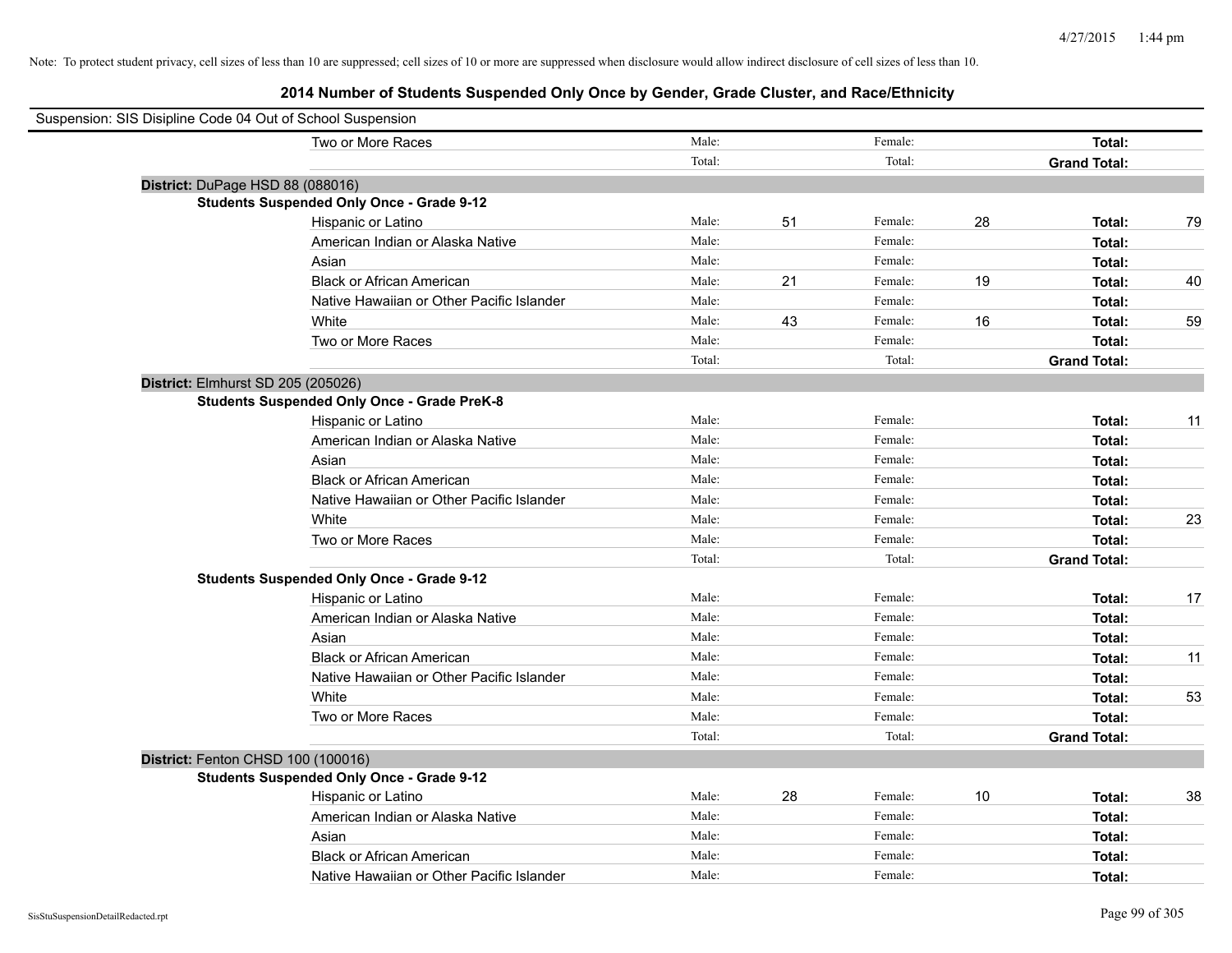| Suspension: SIS Disipline Code 04 Out of School Suspension |                                                    |        |    |         |    |                     |    |
|------------------------------------------------------------|----------------------------------------------------|--------|----|---------|----|---------------------|----|
|                                                            | Two or More Races                                  | Male:  |    | Female: |    | Total:              |    |
|                                                            |                                                    | Total: |    | Total:  |    | <b>Grand Total:</b> |    |
| District: DuPage HSD 88 (088016)                           |                                                    |        |    |         |    |                     |    |
|                                                            | <b>Students Suspended Only Once - Grade 9-12</b>   |        |    |         |    |                     |    |
|                                                            | Hispanic or Latino                                 | Male:  | 51 | Female: | 28 | Total:              | 79 |
|                                                            | American Indian or Alaska Native                   | Male:  |    | Female: |    | Total:              |    |
|                                                            | Asian                                              | Male:  |    | Female: |    | Total:              |    |
|                                                            | <b>Black or African American</b>                   | Male:  | 21 | Female: | 19 | Total:              | 40 |
|                                                            | Native Hawaiian or Other Pacific Islander          | Male:  |    | Female: |    | Total:              |    |
|                                                            | White                                              | Male:  | 43 | Female: | 16 | Total:              | 59 |
|                                                            | Two or More Races                                  | Male:  |    | Female: |    | Total:              |    |
|                                                            |                                                    | Total: |    | Total:  |    | <b>Grand Total:</b> |    |
| District: Elmhurst SD 205 (205026)                         |                                                    |        |    |         |    |                     |    |
|                                                            | <b>Students Suspended Only Once - Grade PreK-8</b> |        |    |         |    |                     |    |
|                                                            | Hispanic or Latino                                 | Male:  |    | Female: |    | Total:              | 11 |
|                                                            | American Indian or Alaska Native                   | Male:  |    | Female: |    | Total:              |    |
|                                                            | Asian                                              | Male:  |    | Female: |    | Total:              |    |
|                                                            | <b>Black or African American</b>                   | Male:  |    | Female: |    | Total:              |    |
|                                                            | Native Hawaiian or Other Pacific Islander          | Male:  |    | Female: |    | Total:              |    |
|                                                            | White                                              | Male:  |    | Female: |    | Total:              | 23 |
|                                                            | Two or More Races                                  | Male:  |    | Female: |    | Total:              |    |
|                                                            |                                                    | Total: |    | Total:  |    | <b>Grand Total:</b> |    |
|                                                            | <b>Students Suspended Only Once - Grade 9-12</b>   |        |    |         |    |                     |    |
|                                                            | Hispanic or Latino                                 | Male:  |    | Female: |    | Total:              | 17 |
|                                                            | American Indian or Alaska Native                   | Male:  |    | Female: |    | Total:              |    |
|                                                            | Asian                                              | Male:  |    | Female: |    | <b>Total:</b>       |    |
|                                                            | <b>Black or African American</b>                   | Male:  |    | Female: |    | Total:              | 11 |
|                                                            | Native Hawaiian or Other Pacific Islander          | Male:  |    | Female: |    | Total:              |    |
|                                                            | White                                              | Male:  |    | Female: |    | Total:              | 53 |
|                                                            | Two or More Races                                  | Male:  |    | Female: |    | Total:              |    |
|                                                            |                                                    | Total: |    | Total:  |    | <b>Grand Total:</b> |    |
| District: Fenton CHSD 100 (100016)                         |                                                    |        |    |         |    |                     |    |
|                                                            | <b>Students Suspended Only Once - Grade 9-12</b>   |        |    |         |    |                     |    |
|                                                            | Hispanic or Latino                                 | Male:  | 28 | Female: | 10 | Total:              | 38 |
|                                                            | American Indian or Alaska Native                   | Male:  |    | Female: |    | Total:              |    |
|                                                            | Asian                                              | Male:  |    | Female: |    | Total:              |    |
|                                                            | <b>Black or African American</b>                   | Male:  |    | Female: |    | Total:              |    |
|                                                            | Native Hawaiian or Other Pacific Islander          | Male:  |    | Female: |    | Total:              |    |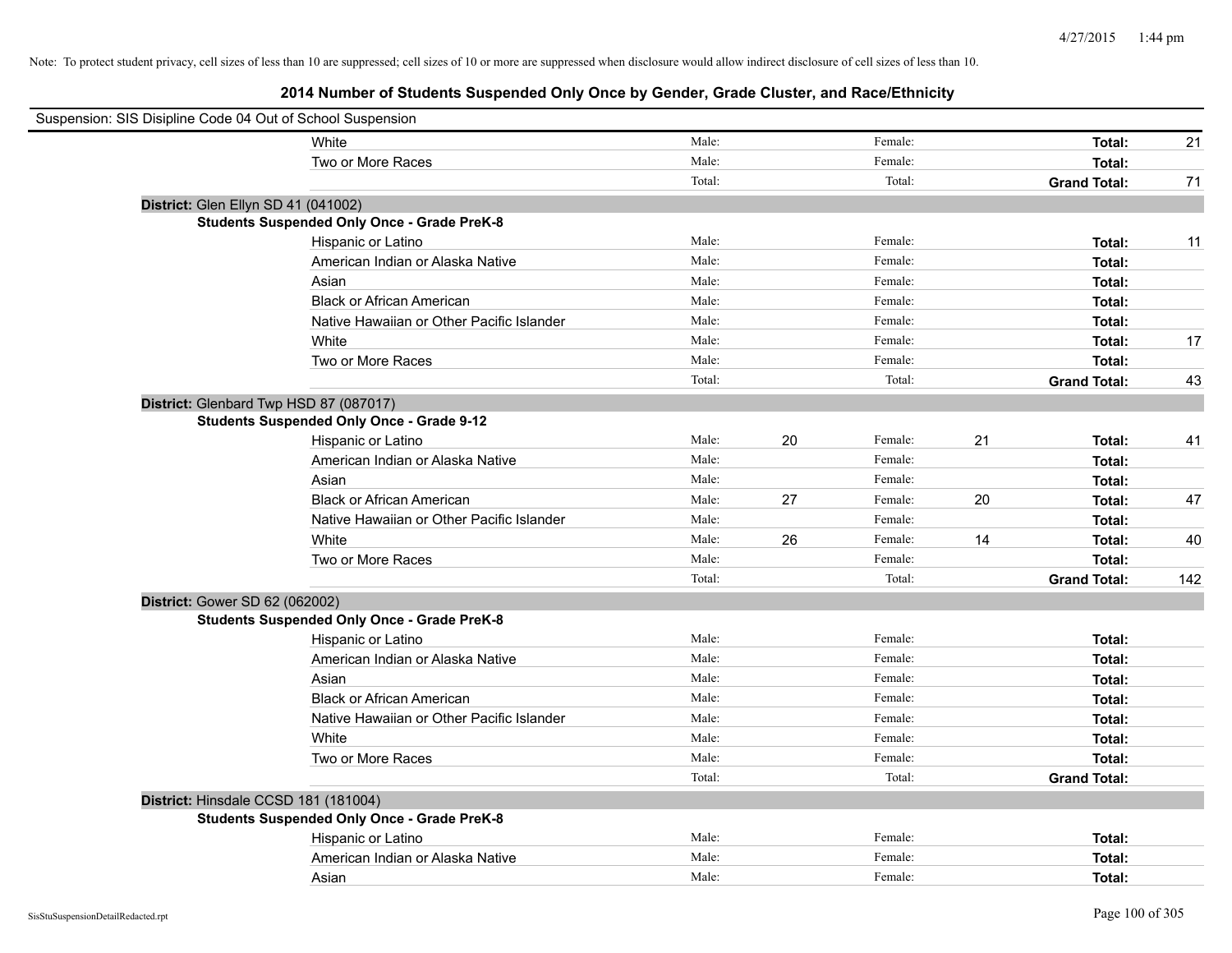| Suspension: SIS Disipline Code 04 Out of School Suspension |        |    |         |    |                     |     |
|------------------------------------------------------------|--------|----|---------|----|---------------------|-----|
| White                                                      | Male:  |    | Female: |    | Total:              | 21  |
| Two or More Races                                          | Male:  |    | Female: |    | Total:              |     |
|                                                            | Total: |    | Total:  |    | <b>Grand Total:</b> | 71  |
| District: Glen Ellyn SD 41 (041002)                        |        |    |         |    |                     |     |
| <b>Students Suspended Only Once - Grade PreK-8</b>         |        |    |         |    |                     |     |
| Hispanic or Latino                                         | Male:  |    | Female: |    | Total:              | 11  |
| American Indian or Alaska Native                           | Male:  |    | Female: |    | Total:              |     |
| Asian                                                      | Male:  |    | Female: |    | Total:              |     |
| <b>Black or African American</b>                           | Male:  |    | Female: |    | Total:              |     |
| Native Hawaiian or Other Pacific Islander                  | Male:  |    | Female: |    | Total:              |     |
| White                                                      | Male:  |    | Female: |    | Total:              | 17  |
| Two or More Races                                          | Male:  |    | Female: |    | Total:              |     |
|                                                            | Total: |    | Total:  |    | <b>Grand Total:</b> | 43  |
| District: Glenbard Twp HSD 87 (087017)                     |        |    |         |    |                     |     |
| <b>Students Suspended Only Once - Grade 9-12</b>           |        |    |         |    |                     |     |
| Hispanic or Latino                                         | Male:  | 20 | Female: | 21 | Total:              | 41  |
| American Indian or Alaska Native                           | Male:  |    | Female: |    | Total:              |     |
| Asian                                                      | Male:  |    | Female: |    | Total:              |     |
| <b>Black or African American</b>                           | Male:  | 27 | Female: | 20 | Total:              | 47  |
| Native Hawaiian or Other Pacific Islander                  | Male:  |    | Female: |    | Total:              |     |
| White                                                      | Male:  | 26 | Female: | 14 | Total:              | 40  |
| Two or More Races                                          | Male:  |    | Female: |    | Total:              |     |
|                                                            | Total: |    | Total:  |    | <b>Grand Total:</b> | 142 |
| District: Gower SD 62 (062002)                             |        |    |         |    |                     |     |
| <b>Students Suspended Only Once - Grade PreK-8</b>         |        |    |         |    |                     |     |
| Hispanic or Latino                                         | Male:  |    | Female: |    | Total:              |     |
| American Indian or Alaska Native                           | Male:  |    | Female: |    | Total:              |     |
| Asian                                                      | Male:  |    | Female: |    | Total:              |     |
| <b>Black or African American</b>                           | Male:  |    | Female: |    | Total:              |     |
| Native Hawaiian or Other Pacific Islander                  | Male:  |    | Female: |    | Total:              |     |
| White                                                      | Male:  |    | Female: |    | Total:              |     |
| Two or More Races                                          | Male:  |    | Female: |    | Total:              |     |
|                                                            | Total: |    | Total:  |    | <b>Grand Total:</b> |     |
| District: Hinsdale CCSD 181 (181004)                       |        |    |         |    |                     |     |
| <b>Students Suspended Only Once - Grade PreK-8</b>         |        |    |         |    |                     |     |
| Hispanic or Latino                                         | Male:  |    | Female: |    | Total:              |     |
| American Indian or Alaska Native                           | Male:  |    | Female: |    | Total:              |     |
| Asian                                                      | Male:  |    | Female: |    | Total:              |     |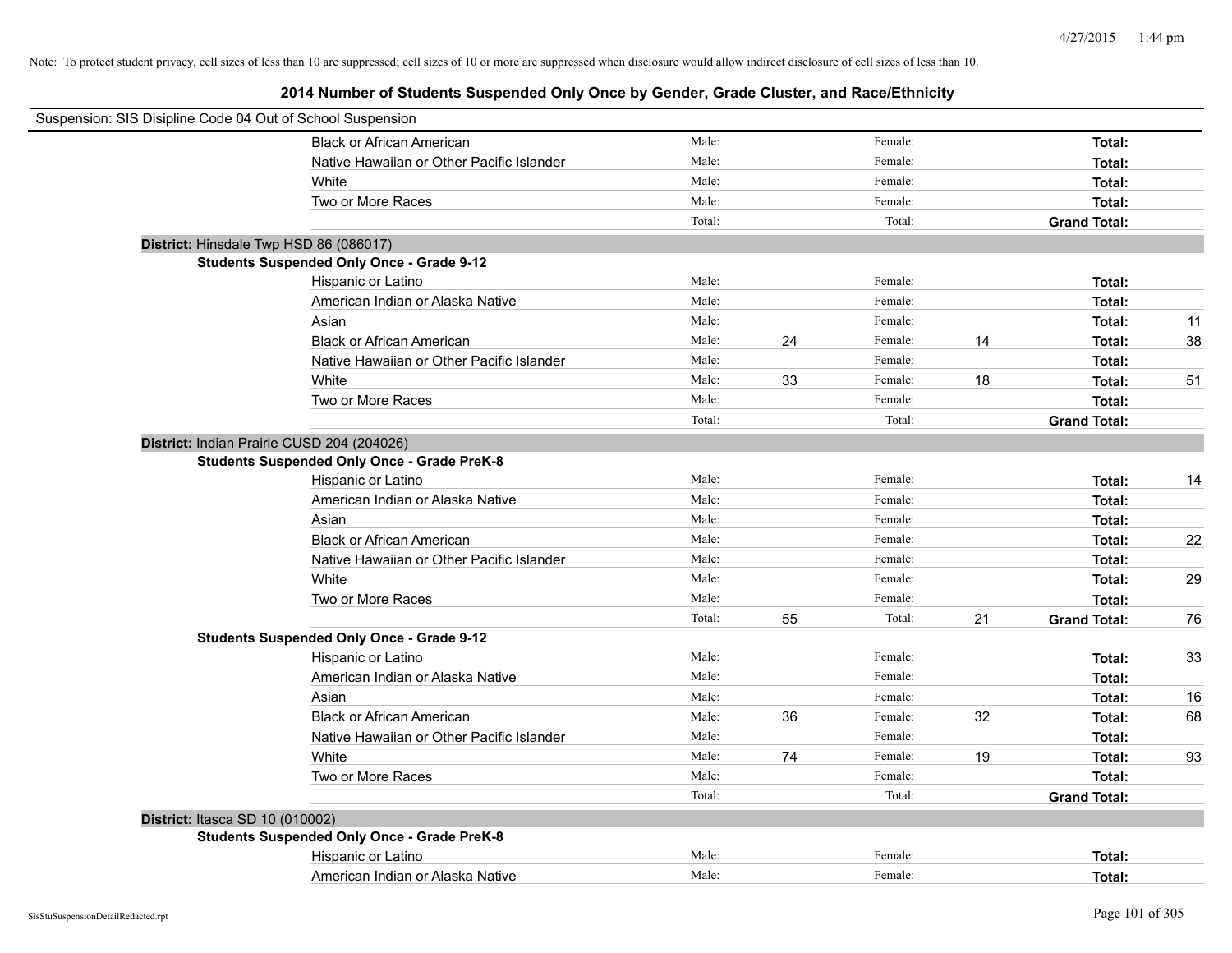| Suspension: SIS Disipline Code 04 Out of School Suspension |                                                    |        |    |         |    |                     |    |
|------------------------------------------------------------|----------------------------------------------------|--------|----|---------|----|---------------------|----|
|                                                            | <b>Black or African American</b>                   | Male:  |    | Female: |    | Total:              |    |
|                                                            | Native Hawaiian or Other Pacific Islander          | Male:  |    | Female: |    | Total:              |    |
| White                                                      |                                                    | Male:  |    | Female: |    | Total:              |    |
|                                                            | Two or More Races                                  | Male:  |    | Female: |    | Total:              |    |
|                                                            |                                                    | Total: |    | Total:  |    | <b>Grand Total:</b> |    |
| District: Hinsdale Twp HSD 86 (086017)                     |                                                    |        |    |         |    |                     |    |
|                                                            | <b>Students Suspended Only Once - Grade 9-12</b>   |        |    |         |    |                     |    |
|                                                            | Hispanic or Latino                                 | Male:  |    | Female: |    | Total:              |    |
|                                                            | American Indian or Alaska Native                   | Male:  |    | Female: |    | Total:              |    |
| Asian                                                      |                                                    | Male:  |    | Female: |    | Total:              | 11 |
|                                                            | <b>Black or African American</b>                   | Male:  | 24 | Female: | 14 | Total:              | 38 |
|                                                            | Native Hawaiian or Other Pacific Islander          | Male:  |    | Female: |    | Total:              |    |
| White                                                      |                                                    | Male:  | 33 | Female: | 18 | Total:              | 51 |
|                                                            | Two or More Races                                  | Male:  |    | Female: |    | Total:              |    |
|                                                            |                                                    | Total: |    | Total:  |    | <b>Grand Total:</b> |    |
| District: Indian Prairie CUSD 204 (204026)                 |                                                    |        |    |         |    |                     |    |
|                                                            | <b>Students Suspended Only Once - Grade PreK-8</b> |        |    |         |    |                     |    |
|                                                            | Hispanic or Latino                                 | Male:  |    | Female: |    | Total:              | 14 |
|                                                            | American Indian or Alaska Native                   | Male:  |    | Female: |    | Total:              |    |
| Asian                                                      |                                                    | Male:  |    | Female: |    | Total:              |    |
|                                                            | <b>Black or African American</b>                   | Male:  |    | Female: |    | Total:              | 22 |
|                                                            | Native Hawaiian or Other Pacific Islander          | Male:  |    | Female: |    | Total:              |    |
| White                                                      |                                                    | Male:  |    | Female: |    | Total:              | 29 |
|                                                            | Two or More Races                                  | Male:  |    | Female: |    | Total:              |    |
|                                                            |                                                    | Total: | 55 | Total:  | 21 | <b>Grand Total:</b> | 76 |
|                                                            | <b>Students Suspended Only Once - Grade 9-12</b>   |        |    |         |    |                     |    |
|                                                            | Hispanic or Latino                                 | Male:  |    | Female: |    | Total:              | 33 |
|                                                            | American Indian or Alaska Native                   | Male:  |    | Female: |    | Total:              |    |
| Asian                                                      |                                                    | Male:  |    | Female: |    | Total:              | 16 |
|                                                            | <b>Black or African American</b>                   | Male:  | 36 | Female: | 32 | Total:              | 68 |
|                                                            | Native Hawaiian or Other Pacific Islander          | Male:  |    | Female: |    | Total:              |    |
| White                                                      |                                                    | Male:  | 74 | Female: | 19 | Total:              | 93 |
|                                                            | Two or More Races                                  | Male:  |    | Female: |    | Total:              |    |
|                                                            |                                                    | Total: |    | Total:  |    | <b>Grand Total:</b> |    |
| District: Itasca SD 10 (010002)                            |                                                    |        |    |         |    |                     |    |
|                                                            | <b>Students Suspended Only Once - Grade PreK-8</b> |        |    |         |    |                     |    |
|                                                            | Hispanic or Latino                                 | Male:  |    | Female: |    | Total:              |    |
|                                                            | American Indian or Alaska Native                   | Male:  |    | Female: |    | Total:              |    |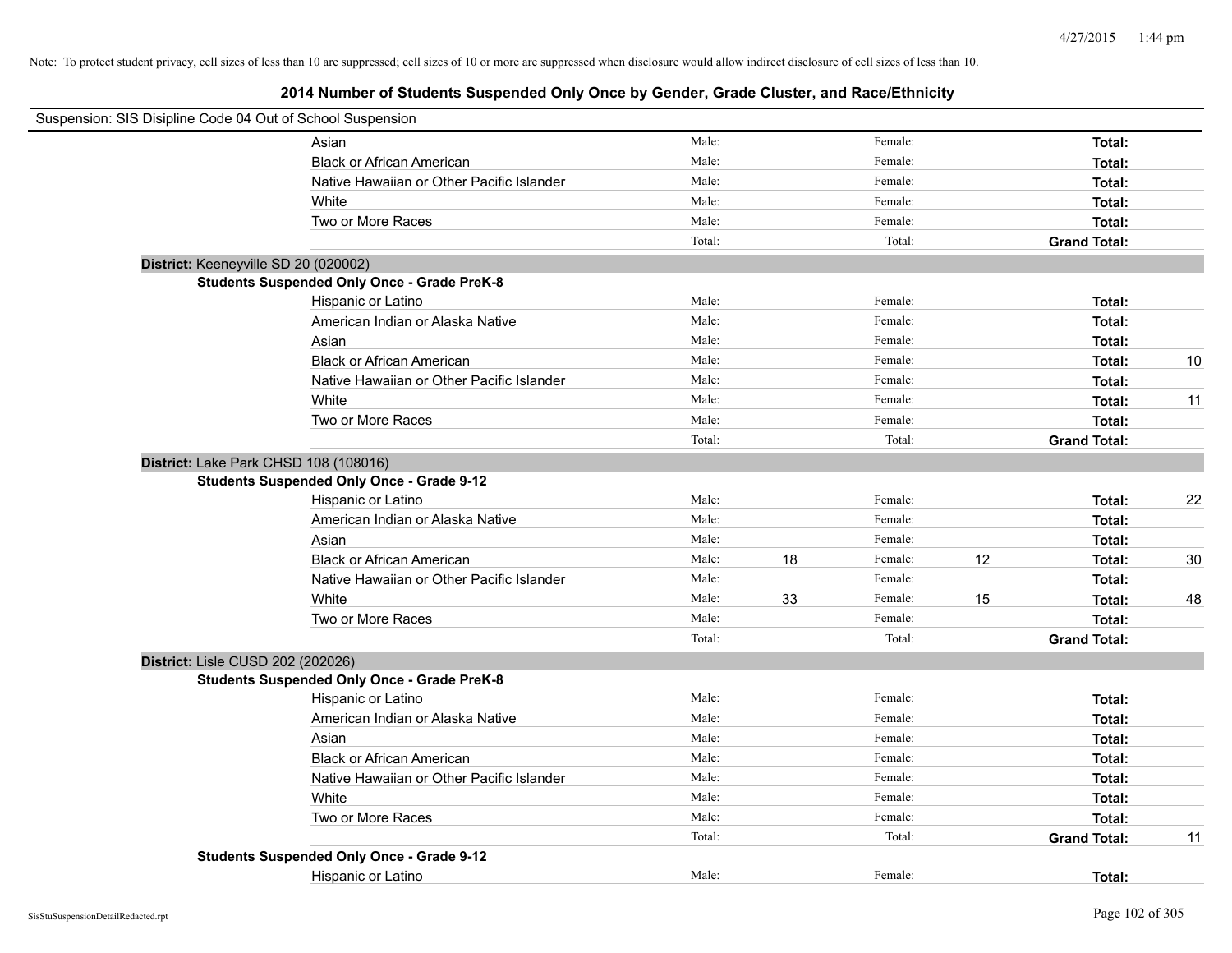| Suspension: SIS Disipline Code 04 Out of School Suspension |                                                    |        |    |         |    |                     |    |
|------------------------------------------------------------|----------------------------------------------------|--------|----|---------|----|---------------------|----|
|                                                            | Asian                                              | Male:  |    | Female: |    | Total:              |    |
|                                                            | <b>Black or African American</b>                   | Male:  |    | Female: |    | Total:              |    |
|                                                            | Native Hawaiian or Other Pacific Islander          | Male:  |    | Female: |    | Total:              |    |
|                                                            | White                                              | Male:  |    | Female: |    | Total:              |    |
|                                                            | Two or More Races                                  | Male:  |    | Female: |    | Total:              |    |
|                                                            |                                                    | Total: |    | Total:  |    | <b>Grand Total:</b> |    |
| District: Keeneyville SD 20 (020002)                       |                                                    |        |    |         |    |                     |    |
|                                                            | <b>Students Suspended Only Once - Grade PreK-8</b> |        |    |         |    |                     |    |
|                                                            | Hispanic or Latino                                 | Male:  |    | Female: |    | Total:              |    |
|                                                            | American Indian or Alaska Native                   | Male:  |    | Female: |    | Total:              |    |
|                                                            | Asian                                              | Male:  |    | Female: |    | Total:              |    |
|                                                            | <b>Black or African American</b>                   | Male:  |    | Female: |    | Total:              | 10 |
|                                                            | Native Hawaiian or Other Pacific Islander          | Male:  |    | Female: |    | Total:              |    |
|                                                            | White                                              | Male:  |    | Female: |    | Total:              | 11 |
|                                                            | Two or More Races                                  | Male:  |    | Female: |    | Total:              |    |
|                                                            |                                                    | Total: |    | Total:  |    | <b>Grand Total:</b> |    |
| District: Lake Park CHSD 108 (108016)                      |                                                    |        |    |         |    |                     |    |
|                                                            | <b>Students Suspended Only Once - Grade 9-12</b>   |        |    |         |    |                     |    |
|                                                            | Hispanic or Latino                                 | Male:  |    | Female: |    | Total:              | 22 |
|                                                            | American Indian or Alaska Native                   | Male:  |    | Female: |    | Total:              |    |
|                                                            | Asian                                              | Male:  |    | Female: |    | Total:              |    |
|                                                            | <b>Black or African American</b>                   | Male:  | 18 | Female: | 12 | Total:              | 30 |
|                                                            | Native Hawaiian or Other Pacific Islander          | Male:  |    | Female: |    | Total:              |    |
|                                                            | White                                              | Male:  | 33 | Female: | 15 | Total:              | 48 |
|                                                            | Two or More Races                                  | Male:  |    | Female: |    | Total:              |    |
|                                                            |                                                    | Total: |    | Total:  |    | <b>Grand Total:</b> |    |
| District: Lisle CUSD 202 (202026)                          |                                                    |        |    |         |    |                     |    |
|                                                            | <b>Students Suspended Only Once - Grade PreK-8</b> |        |    |         |    |                     |    |
|                                                            | Hispanic or Latino                                 | Male:  |    | Female: |    | Total:              |    |
|                                                            | American Indian or Alaska Native                   | Male:  |    | Female: |    | Total:              |    |
|                                                            | Asian                                              | Male:  |    | Female: |    | Total:              |    |
|                                                            | <b>Black or African American</b>                   | Male:  |    | Female: |    | Total:              |    |
|                                                            | Native Hawaiian or Other Pacific Islander          | Male:  |    | Female: |    | Total:              |    |
|                                                            | White                                              | Male:  |    | Female: |    | Total:              |    |
|                                                            | Two or More Races                                  | Male:  |    | Female: |    | Total:              |    |
|                                                            |                                                    | Total: |    | Total:  |    | <b>Grand Total:</b> | 11 |
|                                                            | <b>Students Suspended Only Once - Grade 9-12</b>   |        |    |         |    |                     |    |
|                                                            | Hispanic or Latino                                 | Male:  |    | Female: |    | Total:              |    |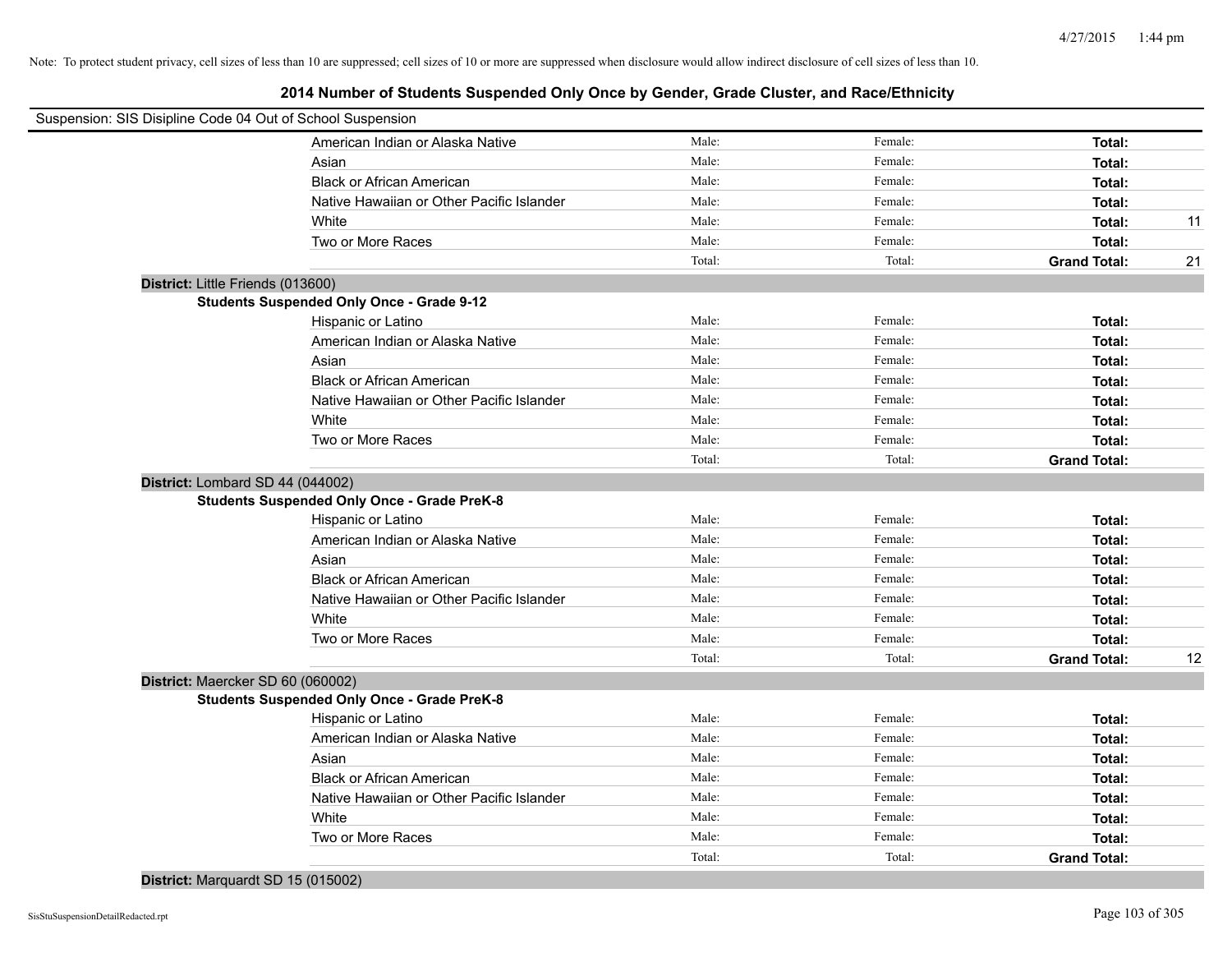**2014 Number of Students Suspended Only Once by Gender, Grade Cluster, and Race/Ethnicity**

| Suspension: SIS Disipline Code 04 Out of School Suspension |                                                    |        |         |                     |    |
|------------------------------------------------------------|----------------------------------------------------|--------|---------|---------------------|----|
|                                                            | American Indian or Alaska Native                   | Male:  | Female: | Total:              |    |
|                                                            | Asian                                              | Male:  | Female: | Total:              |    |
|                                                            | <b>Black or African American</b>                   | Male:  | Female: | Total:              |    |
|                                                            | Native Hawaiian or Other Pacific Islander          | Male:  | Female: | Total:              |    |
|                                                            | White                                              | Male:  | Female: | Total:              | 11 |
|                                                            | Two or More Races                                  | Male:  | Female: | Total:              |    |
|                                                            |                                                    | Total: | Total:  | <b>Grand Total:</b> | 21 |
| District: Little Friends (013600)                          |                                                    |        |         |                     |    |
|                                                            | <b>Students Suspended Only Once - Grade 9-12</b>   |        |         |                     |    |
|                                                            | Hispanic or Latino                                 | Male:  | Female: | Total:              |    |
|                                                            | American Indian or Alaska Native                   | Male:  | Female: | Total:              |    |
|                                                            | Asian                                              | Male:  | Female: | Total:              |    |
|                                                            | <b>Black or African American</b>                   | Male:  | Female: | Total:              |    |
|                                                            | Native Hawaiian or Other Pacific Islander          | Male:  | Female: | Total:              |    |
|                                                            | White                                              | Male:  | Female: | Total:              |    |
|                                                            | Two or More Races                                  | Male:  | Female: | Total:              |    |
|                                                            |                                                    | Total: | Total:  | <b>Grand Total:</b> |    |
|                                                            | District: Lombard SD 44 (044002)                   |        |         |                     |    |
|                                                            | <b>Students Suspended Only Once - Grade PreK-8</b> |        |         |                     |    |
|                                                            | Hispanic or Latino                                 | Male:  | Female: | Total:              |    |
|                                                            | American Indian or Alaska Native                   | Male:  | Female: | Total:              |    |
|                                                            | Asian                                              | Male:  | Female: | Total:              |    |
|                                                            | <b>Black or African American</b>                   | Male:  | Female: | Total:              |    |
|                                                            | Native Hawaiian or Other Pacific Islander          | Male:  | Female: | Total:              |    |
|                                                            | White                                              | Male:  | Female: | Total:              |    |
|                                                            | Two or More Races                                  | Male:  | Female: | Total:              |    |
|                                                            |                                                    | Total: | Total:  | <b>Grand Total:</b> | 12 |
|                                                            | District: Maercker SD 60 (060002)                  |        |         |                     |    |
|                                                            | <b>Students Suspended Only Once - Grade PreK-8</b> |        |         |                     |    |
|                                                            | Hispanic or Latino                                 | Male:  | Female: | Total:              |    |
|                                                            | American Indian or Alaska Native                   | Male:  | Female: | Total:              |    |
|                                                            | Asian                                              | Male:  | Female: | Total:              |    |
|                                                            | <b>Black or African American</b>                   | Male:  | Female: | Total:              |    |
|                                                            | Native Hawaiian or Other Pacific Islander          | Male:  | Female: | Total:              |    |
|                                                            | White                                              | Male:  | Female: | Total:              |    |
|                                                            | Two or More Races                                  | Male:  | Female: | Total:              |    |
|                                                            |                                                    | Total: | Total:  | <b>Grand Total:</b> |    |

# **District:** Marquardt SD 15 (015002)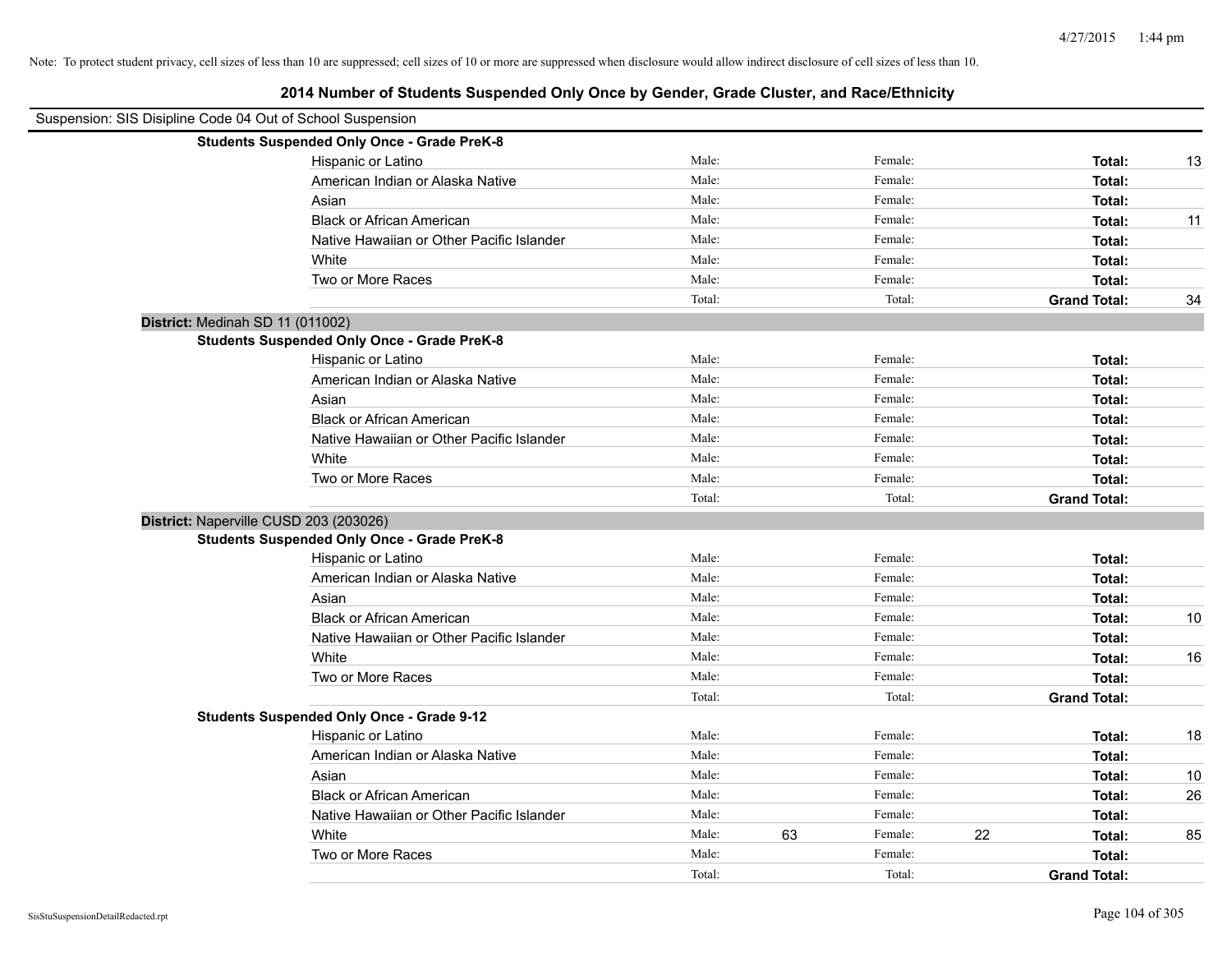| Suspension: SIS Disipline Code 04 Out of School Suspension |                                                    |        |    |         |    |                     |    |
|------------------------------------------------------------|----------------------------------------------------|--------|----|---------|----|---------------------|----|
|                                                            | <b>Students Suspended Only Once - Grade PreK-8</b> |        |    |         |    |                     |    |
|                                                            | Hispanic or Latino                                 | Male:  |    | Female: |    | Total:              | 13 |
|                                                            | American Indian or Alaska Native                   | Male:  |    | Female: |    | Total:              |    |
|                                                            | Asian                                              | Male:  |    | Female: |    | Total:              |    |
|                                                            | <b>Black or African American</b>                   | Male:  |    | Female: |    | Total:              | 11 |
|                                                            | Native Hawaiian or Other Pacific Islander          | Male:  |    | Female: |    | Total:              |    |
|                                                            | White                                              | Male:  |    | Female: |    | Total:              |    |
|                                                            | Two or More Races                                  | Male:  |    | Female: |    | Total:              |    |
|                                                            |                                                    | Total: |    | Total:  |    | <b>Grand Total:</b> | 34 |
| District: Medinah SD 11 (011002)                           |                                                    |        |    |         |    |                     |    |
|                                                            | <b>Students Suspended Only Once - Grade PreK-8</b> |        |    |         |    |                     |    |
|                                                            | Hispanic or Latino                                 | Male:  |    | Female: |    | Total:              |    |
|                                                            | American Indian or Alaska Native                   | Male:  |    | Female: |    | Total:              |    |
|                                                            | Asian                                              | Male:  |    | Female: |    | Total:              |    |
|                                                            | <b>Black or African American</b>                   | Male:  |    | Female: |    | Total:              |    |
|                                                            | Native Hawaiian or Other Pacific Islander          | Male:  |    | Female: |    | Total:              |    |
|                                                            | White                                              | Male:  |    | Female: |    | Total:              |    |
|                                                            | Two or More Races                                  | Male:  |    | Female: |    | Total:              |    |
|                                                            |                                                    | Total: |    | Total:  |    | <b>Grand Total:</b> |    |
| District: Naperville CUSD 203 (203026)                     |                                                    |        |    |         |    |                     |    |
|                                                            | <b>Students Suspended Only Once - Grade PreK-8</b> |        |    |         |    |                     |    |
|                                                            | Hispanic or Latino                                 | Male:  |    | Female: |    | Total:              |    |
|                                                            | American Indian or Alaska Native                   | Male:  |    | Female: |    | Total:              |    |
|                                                            | Asian                                              | Male:  |    | Female: |    | Total:              |    |
|                                                            | <b>Black or African American</b>                   | Male:  |    | Female: |    | Total:              | 10 |
|                                                            | Native Hawaiian or Other Pacific Islander          | Male:  |    | Female: |    | Total:              |    |
|                                                            | White                                              | Male:  |    | Female: |    | Total:              | 16 |
|                                                            | Two or More Races                                  | Male:  |    | Female: |    | Total:              |    |
|                                                            |                                                    | Total: |    | Total:  |    | <b>Grand Total:</b> |    |
|                                                            | <b>Students Suspended Only Once - Grade 9-12</b>   |        |    |         |    |                     |    |
|                                                            | Hispanic or Latino                                 | Male:  |    | Female: |    | Total:              | 18 |
|                                                            | American Indian or Alaska Native                   | Male:  |    | Female: |    | Total:              |    |
|                                                            | Asian                                              | Male:  |    | Female: |    | Total:              | 10 |
|                                                            | <b>Black or African American</b>                   | Male:  |    | Female: |    | Total:              | 26 |
|                                                            | Native Hawaiian or Other Pacific Islander          | Male:  |    | Female: |    | Total:              |    |
|                                                            | White                                              | Male:  | 63 | Female: | 22 | Total:              | 85 |
|                                                            | Two or More Races                                  | Male:  |    | Female: |    | Total:              |    |
|                                                            |                                                    | Total: |    | Total:  |    | <b>Grand Total:</b> |    |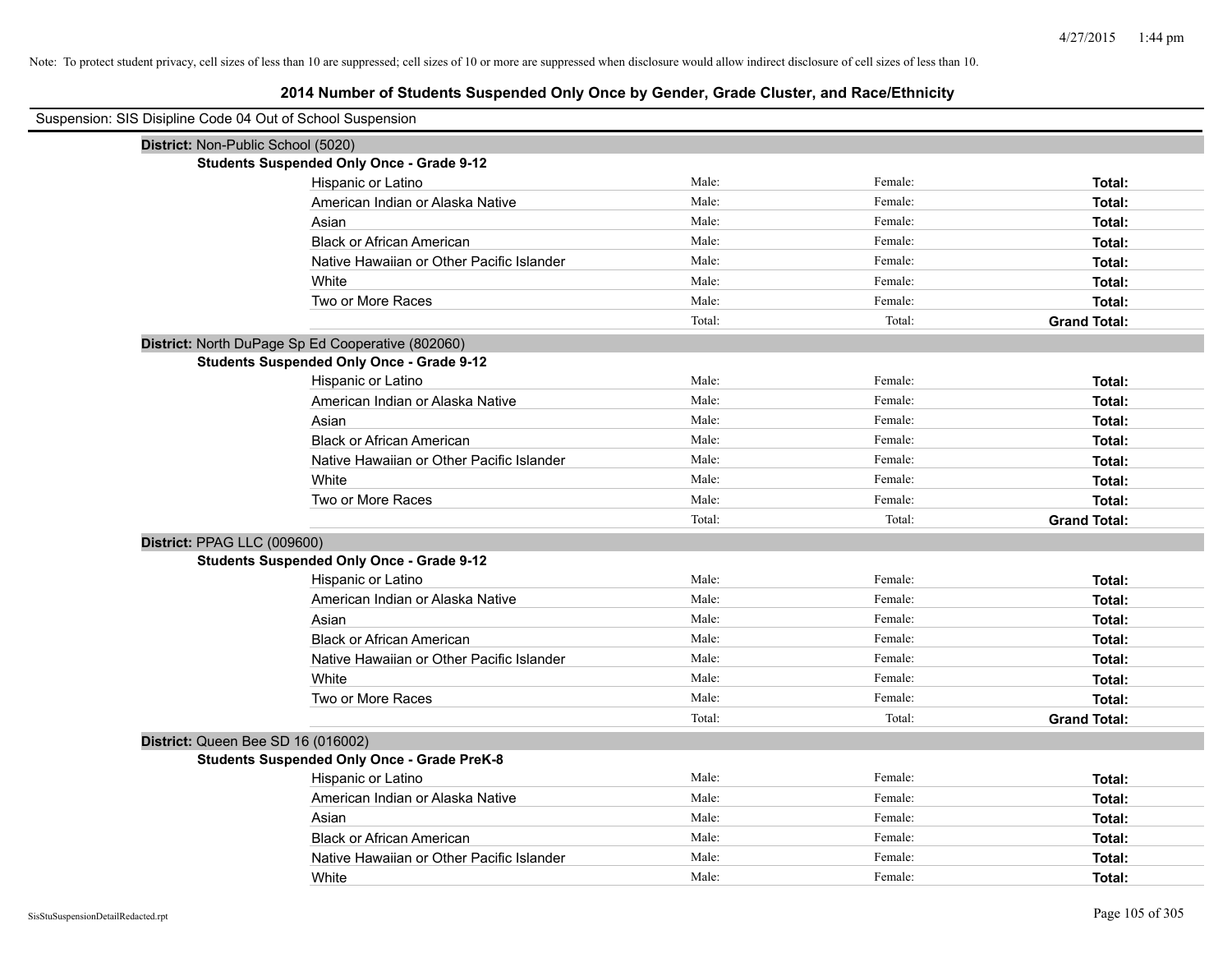| Suspension: SIS Disipline Code 04 Out of School Suspension |                                                    |        |         |                     |
|------------------------------------------------------------|----------------------------------------------------|--------|---------|---------------------|
| District: Non-Public School (5020)                         |                                                    |        |         |                     |
|                                                            | <b>Students Suspended Only Once - Grade 9-12</b>   |        |         |                     |
|                                                            | Hispanic or Latino                                 | Male:  | Female: | Total:              |
|                                                            | American Indian or Alaska Native                   | Male:  | Female: | Total:              |
|                                                            | Asian                                              | Male:  | Female: | Total:              |
|                                                            | <b>Black or African American</b>                   | Male:  | Female: | Total:              |
|                                                            | Native Hawaiian or Other Pacific Islander          | Male:  | Female: | Total:              |
|                                                            | White                                              | Male:  | Female: | Total:              |
|                                                            | Two or More Races                                  | Male:  | Female: | Total:              |
|                                                            |                                                    | Total: | Total:  | <b>Grand Total:</b> |
|                                                            | District: North DuPage Sp Ed Cooperative (802060)  |        |         |                     |
|                                                            | <b>Students Suspended Only Once - Grade 9-12</b>   |        |         |                     |
|                                                            | Hispanic or Latino                                 | Male:  | Female: | Total:              |
|                                                            | American Indian or Alaska Native                   | Male:  | Female: | Total:              |
|                                                            | Asian                                              | Male:  | Female: | Total:              |
|                                                            | <b>Black or African American</b>                   | Male:  | Female: | Total:              |
|                                                            | Native Hawaiian or Other Pacific Islander          | Male:  | Female: | Total:              |
|                                                            | White                                              | Male:  | Female: | Total:              |
|                                                            | Two or More Races                                  | Male:  | Female: | Total:              |
|                                                            |                                                    | Total: | Total:  | <b>Grand Total:</b> |
| District: PPAG LLC (009600)                                |                                                    |        |         |                     |
|                                                            | <b>Students Suspended Only Once - Grade 9-12</b>   |        |         |                     |
|                                                            | Hispanic or Latino                                 | Male:  | Female: | Total:              |
|                                                            | American Indian or Alaska Native                   | Male:  | Female: | Total:              |
|                                                            | Asian                                              | Male:  | Female: | Total:              |
|                                                            | <b>Black or African American</b>                   | Male:  | Female: | Total:              |
|                                                            | Native Hawaiian or Other Pacific Islander          | Male:  | Female: | Total:              |
|                                                            | White                                              | Male:  | Female: | Total:              |
|                                                            | Two or More Races                                  | Male:  | Female: | Total:              |
|                                                            |                                                    | Total: | Total:  | <b>Grand Total:</b> |
| District: Queen Bee SD 16 (016002)                         |                                                    |        |         |                     |
|                                                            | <b>Students Suspended Only Once - Grade PreK-8</b> |        |         |                     |
|                                                            | Hispanic or Latino                                 | Male:  | Female: | Total:              |
|                                                            | American Indian or Alaska Native                   | Male:  | Female: | Total:              |
|                                                            | Asian                                              | Male:  | Female: | Total:              |
|                                                            | <b>Black or African American</b>                   | Male:  | Female: | Total:              |
|                                                            | Native Hawaiian or Other Pacific Islander          | Male:  | Female: | Total:              |
|                                                            | White                                              | Male:  | Female: | Total:              |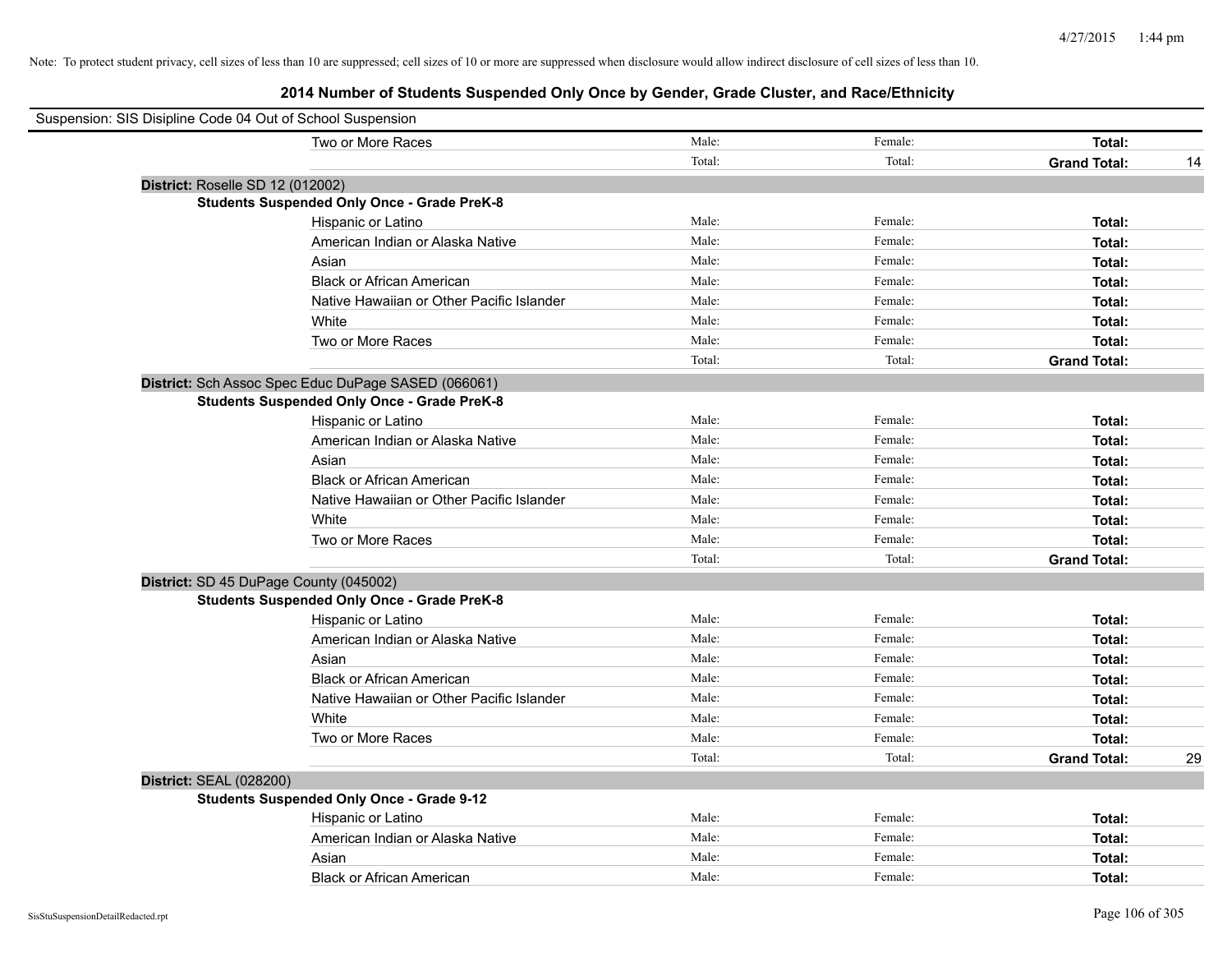| Suspension: SIS Disipline Code 04 Out of School Suspension |                                                     |        |         |                     |    |
|------------------------------------------------------------|-----------------------------------------------------|--------|---------|---------------------|----|
|                                                            | Two or More Races                                   | Male:  | Female: | Total:              |    |
|                                                            |                                                     | Total: | Total:  | <b>Grand Total:</b> | 14 |
| District: Roselle SD 12 (012002)                           |                                                     |        |         |                     |    |
|                                                            | <b>Students Suspended Only Once - Grade PreK-8</b>  |        |         |                     |    |
|                                                            | Hispanic or Latino                                  | Male:  | Female: | Total:              |    |
|                                                            | American Indian or Alaska Native                    | Male:  | Female: | Total:              |    |
|                                                            | Asian                                               | Male:  | Female: | Total:              |    |
|                                                            | <b>Black or African American</b>                    | Male:  | Female: | Total:              |    |
|                                                            | Native Hawaiian or Other Pacific Islander           | Male:  | Female: | Total:              |    |
|                                                            | White                                               | Male:  | Female: | Total:              |    |
|                                                            | Two or More Races                                   | Male:  | Female: | Total:              |    |
|                                                            |                                                     | Total: | Total:  | <b>Grand Total:</b> |    |
|                                                            | District: Sch Assoc Spec Educ DuPage SASED (066061) |        |         |                     |    |
|                                                            | <b>Students Suspended Only Once - Grade PreK-8</b>  |        |         |                     |    |
|                                                            | Hispanic or Latino                                  | Male:  | Female: | Total:              |    |
|                                                            | American Indian or Alaska Native                    | Male:  | Female: | Total:              |    |
|                                                            | Asian                                               | Male:  | Female: | Total:              |    |
|                                                            | <b>Black or African American</b>                    | Male:  | Female: | Total:              |    |
|                                                            | Native Hawaiian or Other Pacific Islander           | Male:  | Female: | Total:              |    |
|                                                            | White                                               | Male:  | Female: | Total:              |    |
|                                                            | Two or More Races                                   | Male:  | Female: | Total:              |    |
|                                                            |                                                     | Total: | Total:  | <b>Grand Total:</b> |    |
| District: SD 45 DuPage County (045002)                     |                                                     |        |         |                     |    |
|                                                            | <b>Students Suspended Only Once - Grade PreK-8</b>  |        |         |                     |    |
|                                                            | Hispanic or Latino                                  | Male:  | Female: | Total:              |    |
|                                                            | American Indian or Alaska Native                    | Male:  | Female: | Total:              |    |
|                                                            | Asian                                               | Male:  | Female: | Total:              |    |
|                                                            | <b>Black or African American</b>                    | Male:  | Female: | Total:              |    |
|                                                            | Native Hawaiian or Other Pacific Islander           | Male:  | Female: | Total:              |    |
|                                                            | White                                               | Male:  | Female: | Total:              |    |
|                                                            | Two or More Races                                   | Male:  | Female: | Total:              |    |
|                                                            |                                                     | Total: | Total:  | <b>Grand Total:</b> | 29 |
| <b>District: SEAL (028200)</b>                             |                                                     |        |         |                     |    |
|                                                            | <b>Students Suspended Only Once - Grade 9-12</b>    |        |         |                     |    |
|                                                            | Hispanic or Latino                                  | Male:  | Female: | Total:              |    |
|                                                            | American Indian or Alaska Native                    | Male:  | Female: | Total:              |    |
|                                                            | Asian                                               | Male:  | Female: | Total:              |    |
|                                                            | <b>Black or African American</b>                    | Male:  | Female: | Total:              |    |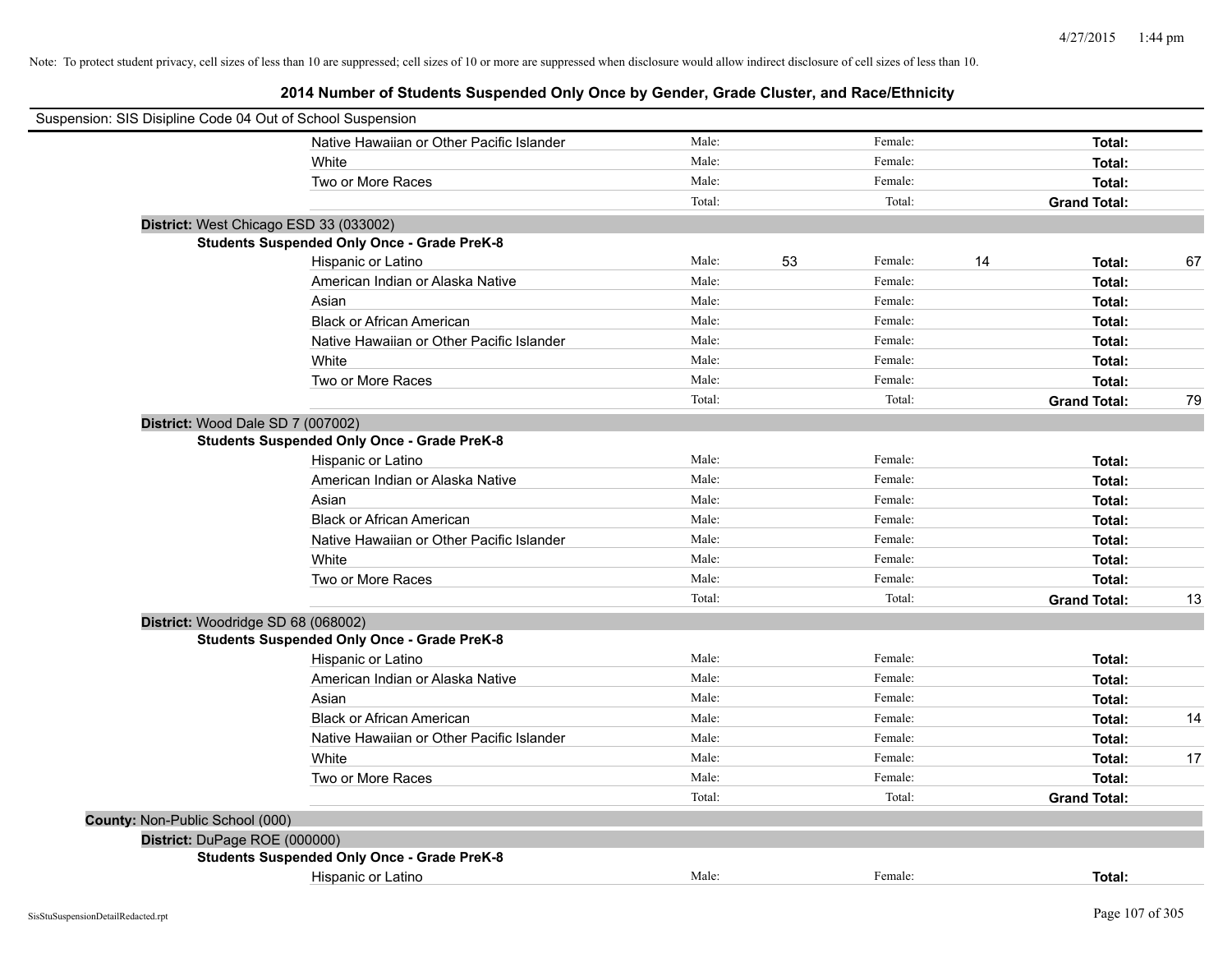| Suspension: SIS Disipline Code 04 Out of School Suspension |                                                    |        |    |         |                     |    |
|------------------------------------------------------------|----------------------------------------------------|--------|----|---------|---------------------|----|
|                                                            | Native Hawaiian or Other Pacific Islander          | Male:  |    | Female: | Total:              |    |
|                                                            | White                                              | Male:  |    | Female: | Total:              |    |
|                                                            | Two or More Races                                  | Male:  |    | Female: | Total:              |    |
|                                                            |                                                    | Total: |    | Total:  | <b>Grand Total:</b> |    |
|                                                            | District: West Chicago ESD 33 (033002)             |        |    |         |                     |    |
|                                                            | <b>Students Suspended Only Once - Grade PreK-8</b> |        |    |         |                     |    |
|                                                            | Hispanic or Latino                                 | Male:  | 53 | Female: | 14<br>Total:        | 67 |
|                                                            | American Indian or Alaska Native                   | Male:  |    | Female: | Total:              |    |
|                                                            | Asian                                              | Male:  |    | Female: | Total:              |    |
|                                                            | <b>Black or African American</b>                   | Male:  |    | Female: | Total:              |    |
|                                                            | Native Hawaiian or Other Pacific Islander          | Male:  |    | Female: | Total:              |    |
|                                                            | White                                              | Male:  |    | Female: | Total:              |    |
|                                                            | Two or More Races                                  | Male:  |    | Female: | Total:              |    |
|                                                            |                                                    | Total: |    | Total:  | <b>Grand Total:</b> | 79 |
|                                                            | District: Wood Dale SD 7 (007002)                  |        |    |         |                     |    |
|                                                            | <b>Students Suspended Only Once - Grade PreK-8</b> |        |    |         |                     |    |
|                                                            | Hispanic or Latino                                 | Male:  |    | Female: | Total:              |    |
|                                                            | American Indian or Alaska Native                   | Male:  |    | Female: | Total:              |    |
|                                                            | Asian                                              | Male:  |    | Female: | Total:              |    |
|                                                            | <b>Black or African American</b>                   | Male:  |    | Female: | Total:              |    |
|                                                            | Native Hawaiian or Other Pacific Islander          | Male:  |    | Female: | Total:              |    |
|                                                            | White                                              | Male:  |    | Female: | Total:              |    |
|                                                            | Two or More Races                                  | Male:  |    | Female: | Total:              |    |
|                                                            |                                                    | Total: |    | Total:  | <b>Grand Total:</b> | 13 |
|                                                            | District: Woodridge SD 68 (068002)                 |        |    |         |                     |    |
|                                                            | <b>Students Suspended Only Once - Grade PreK-8</b> |        |    |         |                     |    |
|                                                            | Hispanic or Latino                                 | Male:  |    | Female: | Total:              |    |
|                                                            | American Indian or Alaska Native                   | Male:  |    | Female: | Total:              |    |
|                                                            | Asian                                              | Male:  |    | Female: | Total:              |    |
|                                                            | <b>Black or African American</b>                   | Male:  |    | Female: | Total:              | 14 |
|                                                            | Native Hawaiian or Other Pacific Islander          | Male:  |    | Female: | Total:              |    |
|                                                            | White                                              | Male:  |    | Female: | Total:              | 17 |
|                                                            | Two or More Races                                  | Male:  |    | Female: | Total:              |    |
|                                                            |                                                    | Total: |    | Total:  | <b>Grand Total:</b> |    |
| County: Non-Public School (000)                            |                                                    |        |    |         |                     |    |
| District: DuPage ROE (000000)                              |                                                    |        |    |         |                     |    |
|                                                            | <b>Students Suspended Only Once - Grade PreK-8</b> |        |    |         |                     |    |
|                                                            | Hispanic or Latino                                 | Male:  |    | Female: | Total:              |    |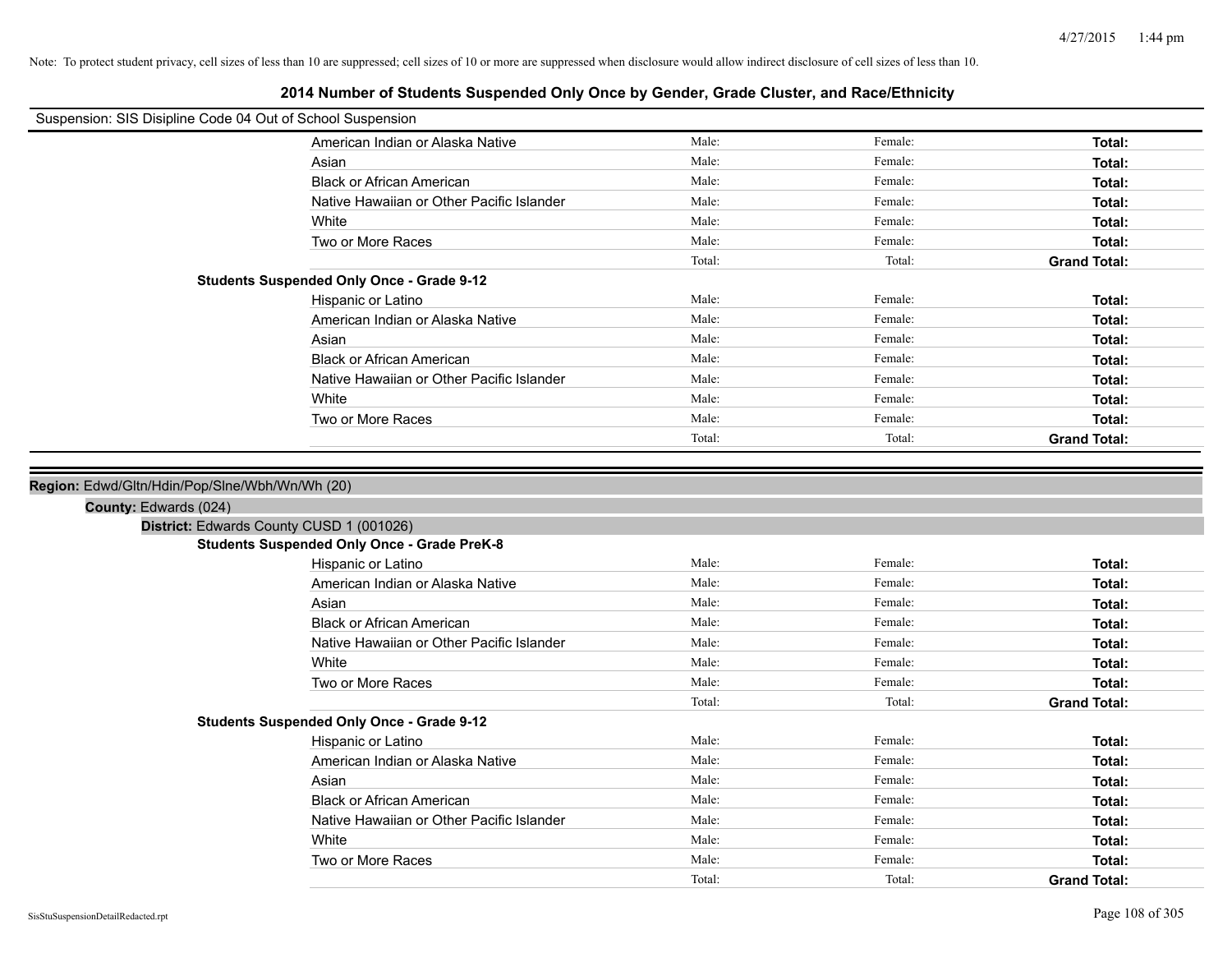| Suspension: SIS Disipline Code 04 Out of School Suspension |                                                    |                 |                   |                               |
|------------------------------------------------------------|----------------------------------------------------|-----------------|-------------------|-------------------------------|
|                                                            |                                                    |                 |                   |                               |
|                                                            | American Indian or Alaska Native                   | Male:           | Female:           | Total:                        |
|                                                            | Asian                                              | Male:           | Female:           | Total:                        |
|                                                            | <b>Black or African American</b>                   | Male:           | Female:           | Total:                        |
|                                                            | Native Hawaiian or Other Pacific Islander          | Male:           | Female:           | Total:                        |
|                                                            | White                                              | Male:           | Female:           | Total:                        |
|                                                            | Two or More Races                                  | Male:           | Female:           | Total:                        |
|                                                            |                                                    | Total:          | Total:            | <b>Grand Total:</b>           |
|                                                            | <b>Students Suspended Only Once - Grade 9-12</b>   |                 |                   |                               |
|                                                            | Hispanic or Latino                                 | Male:           | Female:           | Total:                        |
|                                                            | American Indian or Alaska Native                   | Male:           | Female:           | Total:                        |
|                                                            | Asian                                              | Male:           | Female:           | Total:                        |
|                                                            | <b>Black or African American</b>                   | Male:           | Female:           | Total:                        |
|                                                            | Native Hawaiian or Other Pacific Islander          | Male:           | Female:           | Total:                        |
|                                                            | White                                              | Male:           | Female:           | Total:                        |
|                                                            | Two or More Races                                  | Male:           | Female:           | Total:                        |
|                                                            |                                                    | Total:          | Total:            | <b>Grand Total:</b>           |
|                                                            |                                                    |                 |                   |                               |
| Region: Edwd/Gltn/Hdin/Pop/Slne/Wbh/Wn/Wh (20)             |                                                    |                 |                   |                               |
| County: Edwards (024)                                      |                                                    |                 |                   |                               |
|                                                            | District: Edwards County CUSD 1 (001026)           |                 |                   |                               |
|                                                            | <b>Students Suspended Only Once - Grade PreK-8</b> |                 |                   |                               |
|                                                            | Hispanic or Latino                                 | Male:           | Female:           | Total:                        |
|                                                            | American Indian or Alaska Native                   | Male:           | Female:           | Total:                        |
|                                                            | Asian                                              | Male:           | Female:           | Total:                        |
|                                                            | <b>Black or African American</b>                   | Male:           | Female:           | Total:                        |
|                                                            | Native Hawaiian or Other Pacific Islander          | Male:           | Female:           | Total:                        |
|                                                            | White                                              | Male:           | Female:           | Total:                        |
|                                                            | Two or More Races                                  | Male:           | Female:           | Total:                        |
|                                                            |                                                    | Total:          | Total:            | <b>Grand Total:</b>           |
|                                                            | <b>Students Suspended Only Once - Grade 9-12</b>   |                 |                   |                               |
|                                                            | Hispanic or Latino                                 | Male:           | Female:           | Total:                        |
|                                                            | American Indian or Alaska Native                   | Male:           | Female:           | Total:                        |
|                                                            |                                                    | Male:           | Female:           |                               |
|                                                            | Asian                                              | Male:           | Female:           | Total:                        |
|                                                            | <b>Black or African American</b>                   |                 |                   | Total:                        |
|                                                            | Native Hawaiian or Other Pacific Islander          | Male:           | Female:           | Total:                        |
|                                                            |                                                    |                 |                   |                               |
|                                                            | White                                              | Male:           | Female:           | Total:                        |
|                                                            | Two or More Races                                  | Male:<br>Total: | Female:<br>Total: | Total:<br><b>Grand Total:</b> |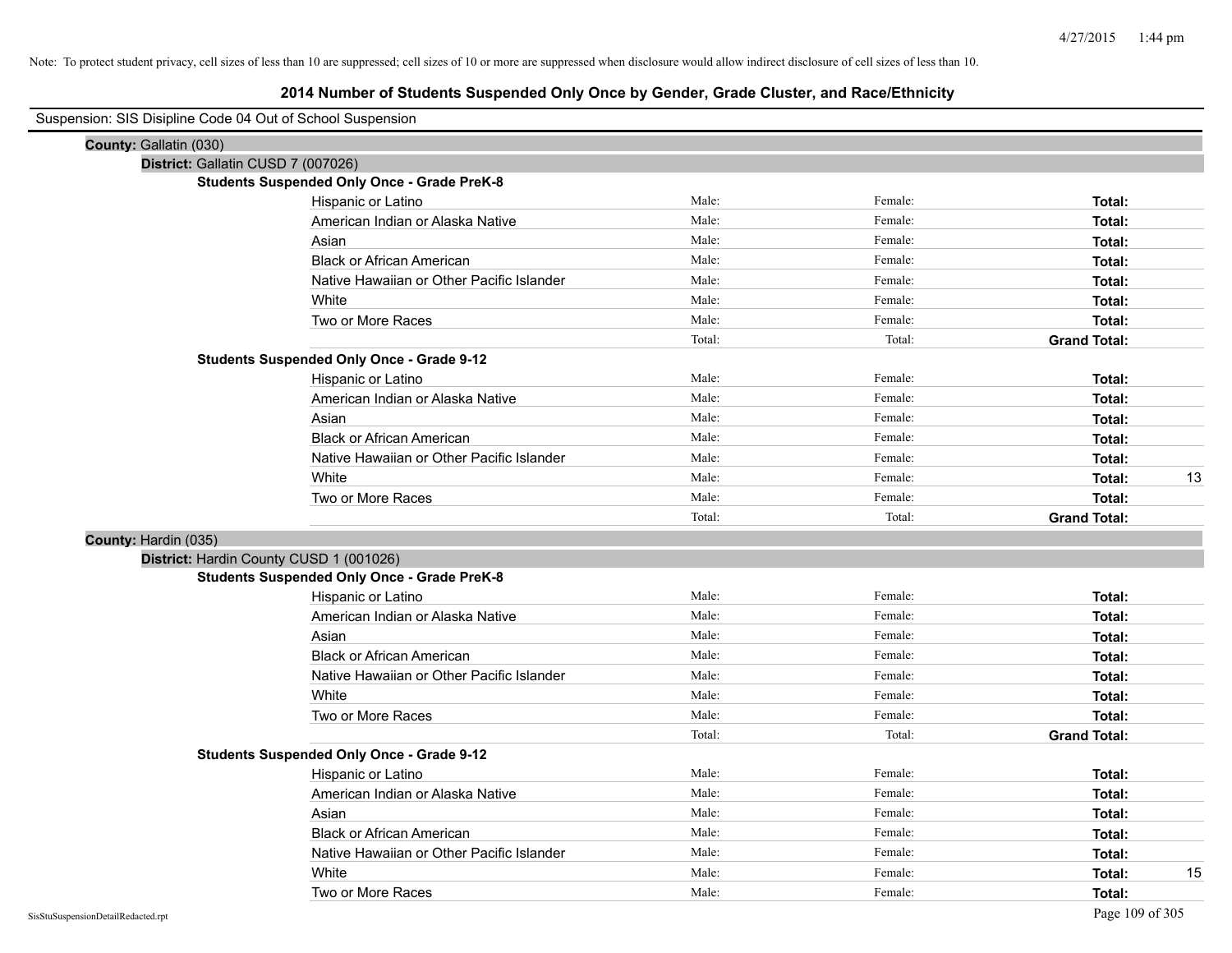| Suspension: SIS Disipline Code 04 Out of School Suspension |                                                    |        |         |                     |    |
|------------------------------------------------------------|----------------------------------------------------|--------|---------|---------------------|----|
| County: Gallatin (030)                                     |                                                    |        |         |                     |    |
|                                                            | District: Gallatin CUSD 7 (007026)                 |        |         |                     |    |
|                                                            | <b>Students Suspended Only Once - Grade PreK-8</b> |        |         |                     |    |
|                                                            | Hispanic or Latino                                 | Male:  | Female: | Total:              |    |
|                                                            | American Indian or Alaska Native                   | Male:  | Female: | Total:              |    |
|                                                            | Asian                                              | Male:  | Female: | Total:              |    |
|                                                            | <b>Black or African American</b>                   | Male:  | Female: | Total:              |    |
|                                                            | Native Hawaiian or Other Pacific Islander          | Male:  | Female: | Total:              |    |
|                                                            | White                                              | Male:  | Female: | Total:              |    |
|                                                            | Two or More Races                                  | Male:  | Female: | Total:              |    |
|                                                            |                                                    | Total: | Total:  | <b>Grand Total:</b> |    |
|                                                            | <b>Students Suspended Only Once - Grade 9-12</b>   |        |         |                     |    |
|                                                            | Hispanic or Latino                                 | Male:  | Female: | Total:              |    |
|                                                            | American Indian or Alaska Native                   | Male:  | Female: | Total:              |    |
|                                                            | Asian                                              | Male:  | Female: | Total:              |    |
|                                                            | <b>Black or African American</b>                   | Male:  | Female: | Total:              |    |
|                                                            | Native Hawaiian or Other Pacific Islander          | Male:  | Female: | Total:              |    |
|                                                            | White                                              | Male:  | Female: | Total:              | 13 |
|                                                            | Two or More Races                                  | Male:  | Female: | Total:              |    |
|                                                            |                                                    | Total: | Total:  | <b>Grand Total:</b> |    |
| County: Hardin (035)                                       |                                                    |        |         |                     |    |
|                                                            | District: Hardin County CUSD 1 (001026)            |        |         |                     |    |
|                                                            | <b>Students Suspended Only Once - Grade PreK-8</b> |        |         |                     |    |
|                                                            | Hispanic or Latino                                 | Male:  | Female: | Total:              |    |
|                                                            | American Indian or Alaska Native                   | Male:  | Female: | Total:              |    |
|                                                            | Asian                                              | Male:  | Female: | Total:              |    |
|                                                            | <b>Black or African American</b>                   | Male:  | Female: | Total:              |    |
|                                                            | Native Hawaiian or Other Pacific Islander          | Male:  | Female: | Total:              |    |
|                                                            | White                                              | Male:  | Female: | Total:              |    |
|                                                            | Two or More Races                                  | Male:  | Female: | Total:              |    |
|                                                            |                                                    | Total: | Total:  | <b>Grand Total:</b> |    |
|                                                            | <b>Students Suspended Only Once - Grade 9-12</b>   |        |         |                     |    |
|                                                            | Hispanic or Latino                                 | Male:  | Female: | Total:              |    |
|                                                            | American Indian or Alaska Native                   | Male:  | Female: | Total:              |    |
|                                                            | Asian                                              | Male:  | Female: | Total:              |    |
|                                                            | <b>Black or African American</b>                   | Male:  | Female: | Total:              |    |
|                                                            | Native Hawaiian or Other Pacific Islander          | Male:  | Female: | Total:              |    |
|                                                            | White                                              | Male:  | Female: | Total:              | 15 |
|                                                            | Two or More Races                                  | Male:  | Female: | Total:              |    |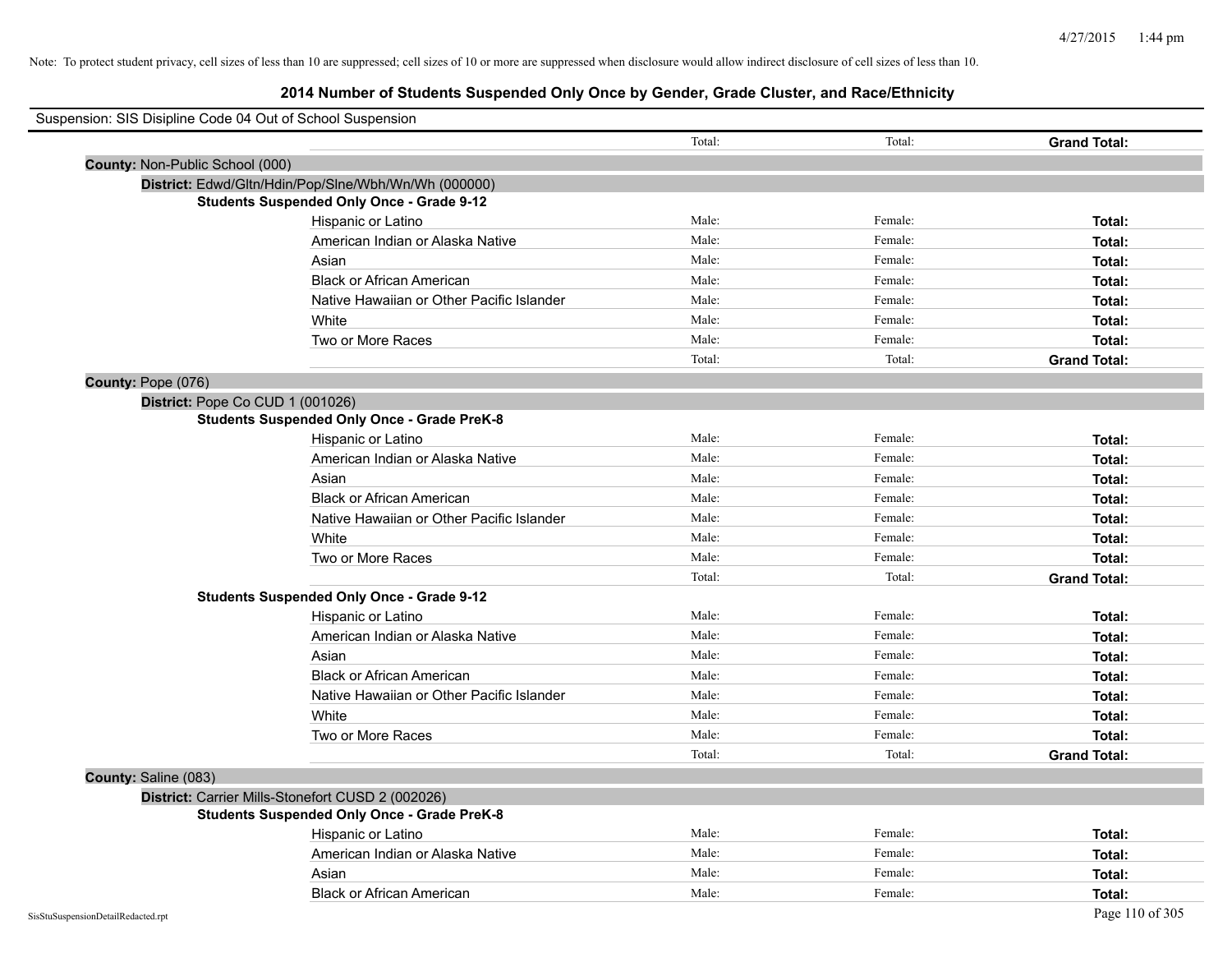| Suspension: SIS Disipline Code 04 Out of School Suspension |        |         |                     |
|------------------------------------------------------------|--------|---------|---------------------|
|                                                            | Total: | Total:  | <b>Grand Total:</b> |
| County: Non-Public School (000)                            |        |         |                     |
| District: Edwd/Gltn/Hdin/Pop/Slne/Wbh/Wn/Wh (000000)       |        |         |                     |
| <b>Students Suspended Only Once - Grade 9-12</b>           |        |         |                     |
| Hispanic or Latino                                         | Male:  | Female: | Total:              |
| American Indian or Alaska Native                           | Male:  | Female: | Total:              |
| Asian                                                      | Male:  | Female: | Total:              |
| <b>Black or African American</b>                           | Male:  | Female: | Total:              |
| Native Hawaiian or Other Pacific Islander                  | Male:  | Female: | Total:              |
| White                                                      | Male:  | Female: | Total:              |
| Two or More Races                                          | Male:  | Female: | Total:              |
|                                                            | Total: | Total:  | <b>Grand Total:</b> |
| County: Pope (076)                                         |        |         |                     |
| District: Pope Co CUD 1 (001026)                           |        |         |                     |
| <b>Students Suspended Only Once - Grade PreK-8</b>         |        |         |                     |
| Hispanic or Latino                                         | Male:  | Female: | Total:              |
| American Indian or Alaska Native                           | Male:  | Female: | Total:              |
| Asian                                                      | Male:  | Female: | Total:              |
| <b>Black or African American</b>                           | Male:  | Female: | Total:              |
| Native Hawaiian or Other Pacific Islander                  | Male:  | Female: | Total:              |
| White                                                      | Male:  | Female: | Total:              |
| Two or More Races                                          | Male:  | Female: | Total:              |
|                                                            | Total: | Total:  | <b>Grand Total:</b> |
| <b>Students Suspended Only Once - Grade 9-12</b>           |        |         |                     |
| Hispanic or Latino                                         | Male:  | Female: | Total:              |
| American Indian or Alaska Native                           | Male:  | Female: | Total:              |
| Asian                                                      | Male:  | Female: | Total:              |
| <b>Black or African American</b>                           | Male:  | Female: | Total:              |
| Native Hawaiian or Other Pacific Islander                  | Male:  | Female: | Total:              |
| White                                                      | Male:  | Female: | Total:              |
| Two or More Races                                          | Male:  | Female: | Total:              |
|                                                            | Total: | Total:  | <b>Grand Total:</b> |
| County: Saline (083)                                       |        |         |                     |
| District: Carrier Mills-Stonefort CUSD 2 (002026)          |        |         |                     |
| <b>Students Suspended Only Once - Grade PreK-8</b>         |        |         |                     |
| Hispanic or Latino                                         | Male:  | Female: | Total:              |
| American Indian or Alaska Native                           | Male:  | Female: | Total:              |
| Asian                                                      | Male:  | Female: | Total:              |
| <b>Black or African American</b>                           | Male:  | Female: | Total:              |
| SisStuSuspensionDetailRedacted.rpt                         |        |         | Page 110 of 305     |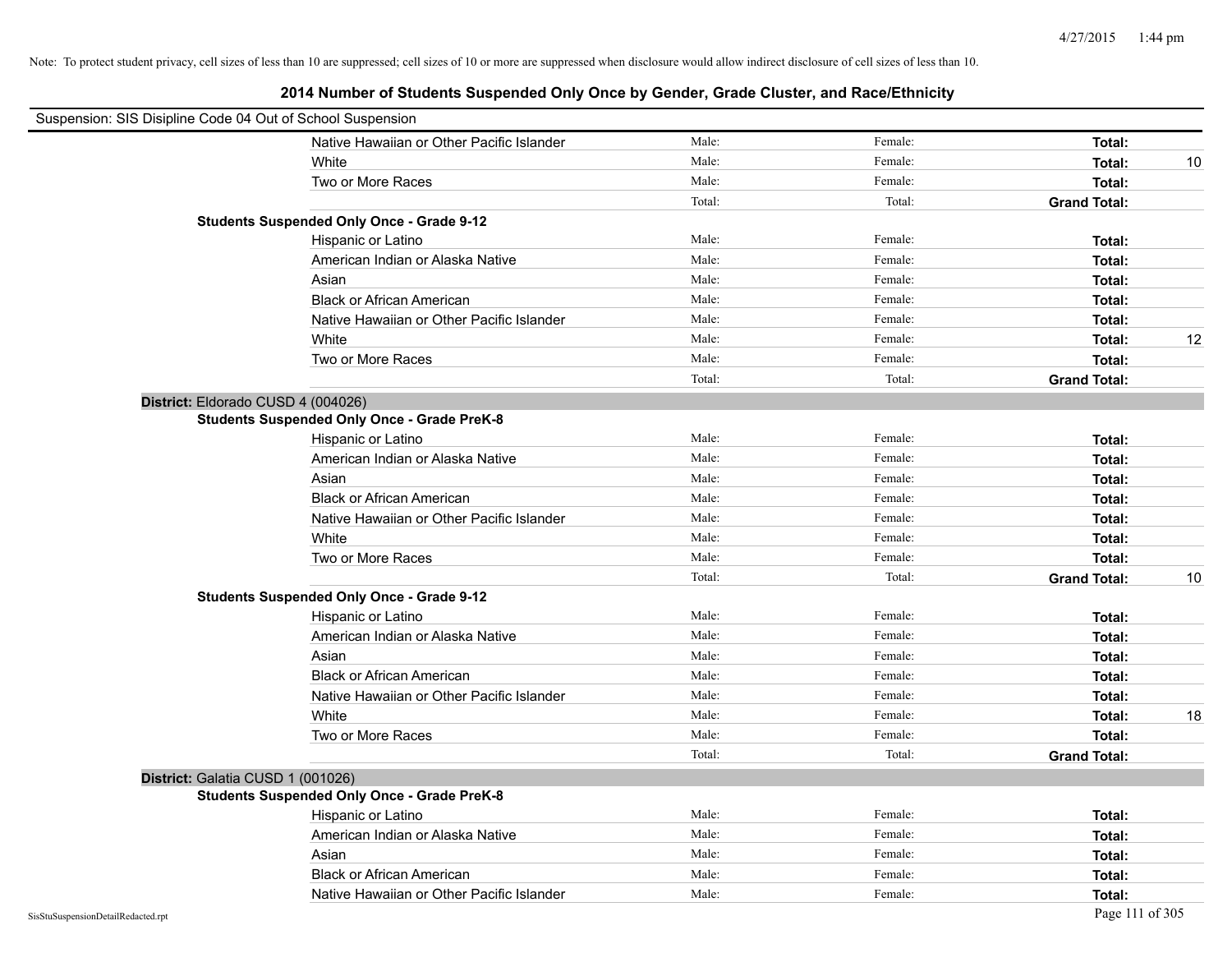|                                    | Suspension: SIS Disipline Code 04 Out of School Suspension |        |         |                     |    |
|------------------------------------|------------------------------------------------------------|--------|---------|---------------------|----|
|                                    | Native Hawaiian or Other Pacific Islander                  | Male:  | Female: | Total:              |    |
|                                    | White                                                      | Male:  | Female: | Total:              | 10 |
|                                    | Two or More Races                                          | Male:  | Female: | Total:              |    |
|                                    |                                                            | Total: | Total:  | <b>Grand Total:</b> |    |
|                                    | <b>Students Suspended Only Once - Grade 9-12</b>           |        |         |                     |    |
|                                    | Hispanic or Latino                                         | Male:  | Female: | Total:              |    |
|                                    | American Indian or Alaska Native                           | Male:  | Female: | Total:              |    |
|                                    | Asian                                                      | Male:  | Female: | Total:              |    |
|                                    | <b>Black or African American</b>                           | Male:  | Female: | Total:              |    |
|                                    | Native Hawaiian or Other Pacific Islander                  | Male:  | Female: | Total:              |    |
|                                    | White                                                      | Male:  | Female: | Total:              | 12 |
|                                    | Two or More Races                                          | Male:  | Female: | Total:              |    |
|                                    |                                                            | Total: | Total:  | <b>Grand Total:</b> |    |
|                                    | District: Eldorado CUSD 4 (004026)                         |        |         |                     |    |
|                                    | <b>Students Suspended Only Once - Grade PreK-8</b>         |        |         |                     |    |
|                                    | Hispanic or Latino                                         | Male:  | Female: | Total:              |    |
|                                    | American Indian or Alaska Native                           | Male:  | Female: | Total:              |    |
|                                    | Asian                                                      | Male:  | Female: | Total:              |    |
|                                    | <b>Black or African American</b>                           | Male:  | Female: | Total:              |    |
|                                    | Native Hawaiian or Other Pacific Islander                  | Male:  | Female: | Total:              |    |
|                                    | White                                                      | Male:  | Female: | Total:              |    |
|                                    | Two or More Races                                          | Male:  | Female: | Total:              |    |
|                                    |                                                            | Total: | Total:  | <b>Grand Total:</b> | 10 |
|                                    | <b>Students Suspended Only Once - Grade 9-12</b>           |        |         |                     |    |
|                                    | Hispanic or Latino                                         | Male:  | Female: | Total:              |    |
|                                    | American Indian or Alaska Native                           | Male:  | Female: | Total:              |    |
|                                    | Asian                                                      | Male:  | Female: | Total:              |    |
|                                    | <b>Black or African American</b>                           | Male:  | Female: | Total:              |    |
|                                    | Native Hawaiian or Other Pacific Islander                  | Male:  | Female: | Total:              |    |
|                                    | White                                                      | Male:  | Female: | Total:              | 18 |
|                                    | Two or More Races                                          | Male:  | Female: | Total:              |    |
|                                    |                                                            | Total: | Total:  | <b>Grand Total:</b> |    |
|                                    | District: Galatia CUSD 1 (001026)                          |        |         |                     |    |
|                                    | <b>Students Suspended Only Once - Grade PreK-8</b>         |        |         |                     |    |
|                                    | Hispanic or Latino                                         | Male:  | Female: | Total:              |    |
|                                    | American Indian or Alaska Native                           | Male:  | Female: | Total:              |    |
|                                    | Asian                                                      | Male:  | Female: | Total:              |    |
|                                    | <b>Black or African American</b>                           | Male:  | Female: | Total:              |    |
|                                    | Native Hawaiian or Other Pacific Islander                  | Male:  | Female: | Total:              |    |
| SisStuSuspensionDetailRedacted.rpt |                                                            |        |         | Page 111 of 305     |    |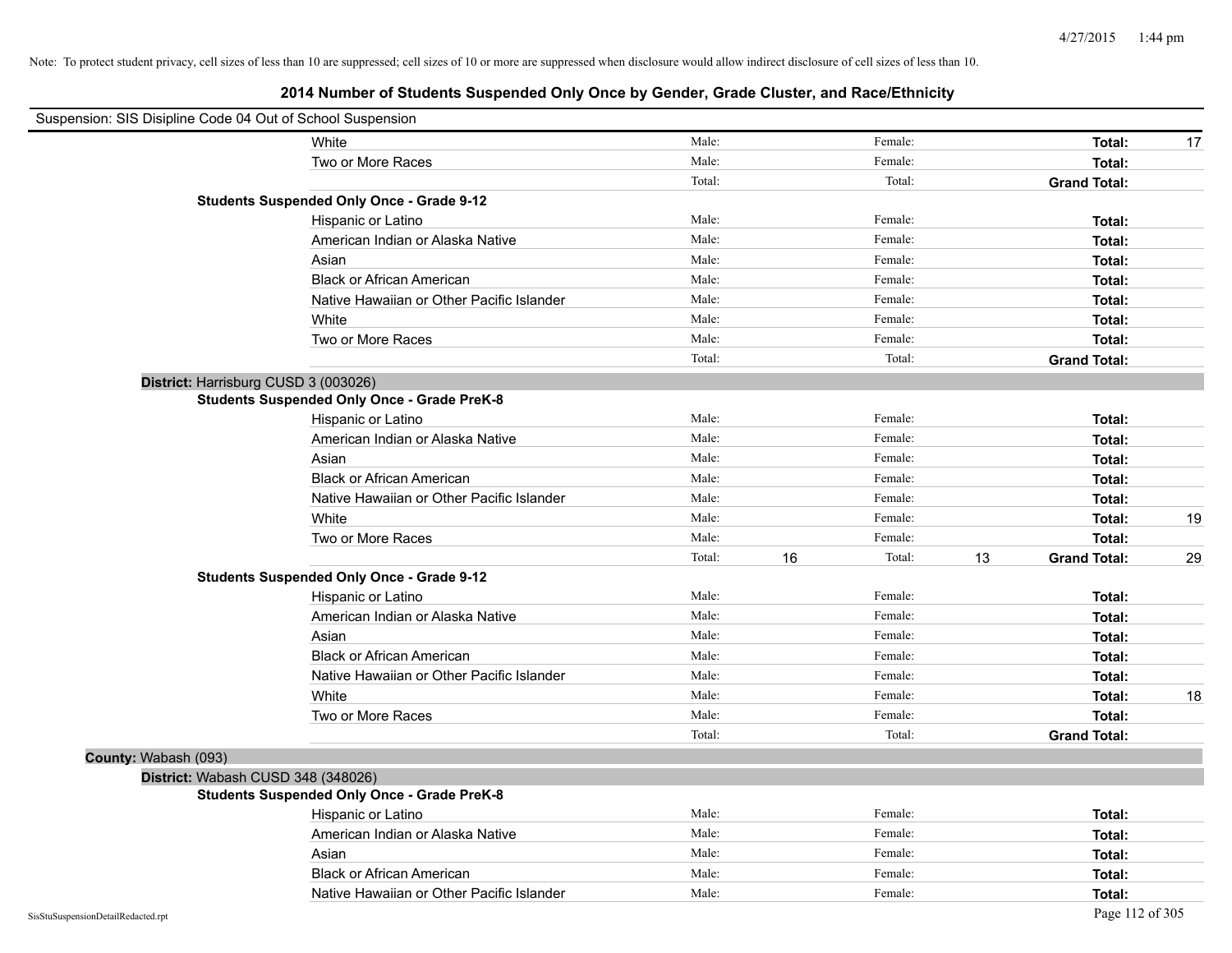| Suspension: SIS Disipline Code 04 Out of School Suspension |                                                    |        |              |                           |    |
|------------------------------------------------------------|----------------------------------------------------|--------|--------------|---------------------------|----|
|                                                            | White                                              | Male:  | Female:      | Total:                    | 17 |
|                                                            | Two or More Races                                  | Male:  | Female:      | Total:                    |    |
|                                                            |                                                    | Total: | Total:       | <b>Grand Total:</b>       |    |
|                                                            | <b>Students Suspended Only Once - Grade 9-12</b>   |        |              |                           |    |
|                                                            | Hispanic or Latino                                 | Male:  | Female:      | Total:                    |    |
|                                                            | American Indian or Alaska Native                   | Male:  | Female:      | Total:                    |    |
|                                                            | Asian                                              | Male:  | Female:      | Total:                    |    |
|                                                            | <b>Black or African American</b>                   | Male:  | Female:      | Total:                    |    |
|                                                            | Native Hawaiian or Other Pacific Islander          | Male:  | Female:      | Total:                    |    |
|                                                            | White                                              | Male:  | Female:      | Total:                    |    |
|                                                            | Two or More Races                                  | Male:  | Female:      | Total:                    |    |
|                                                            |                                                    | Total: | Total:       | <b>Grand Total:</b>       |    |
|                                                            | District: Harrisburg CUSD 3 (003026)               |        |              |                           |    |
|                                                            | <b>Students Suspended Only Once - Grade PreK-8</b> |        |              |                           |    |
|                                                            | Hispanic or Latino                                 | Male:  | Female:      | Total:                    |    |
|                                                            | American Indian or Alaska Native                   | Male:  | Female:      | Total:                    |    |
|                                                            | Asian                                              | Male:  | Female:      | Total:                    |    |
|                                                            | <b>Black or African American</b>                   | Male:  | Female:      | Total:                    |    |
|                                                            | Native Hawaiian or Other Pacific Islander          | Male:  | Female:      | Total:                    |    |
|                                                            | White                                              | Male:  | Female:      | Total:                    | 19 |
|                                                            | Two or More Races                                  | Male:  | Female:      | Total:                    |    |
|                                                            |                                                    | Total: | 16<br>Total: | 13<br><b>Grand Total:</b> | 29 |
|                                                            | <b>Students Suspended Only Once - Grade 9-12</b>   |        |              |                           |    |
|                                                            | Hispanic or Latino                                 | Male:  | Female:      | Total:                    |    |
|                                                            | American Indian or Alaska Native                   | Male:  | Female:      | Total:                    |    |
|                                                            | Asian                                              | Male:  | Female:      | Total:                    |    |
|                                                            | <b>Black or African American</b>                   | Male:  | Female:      | Total:                    |    |
|                                                            | Native Hawaiian or Other Pacific Islander          | Male:  | Female:      | Total:                    |    |
|                                                            | White                                              | Male:  | Female:      | Total:                    | 18 |
|                                                            | Two or More Races                                  | Male:  | Female:      | Total:                    |    |
|                                                            |                                                    | Total: | Total:       | <b>Grand Total:</b>       |    |
| County: Wabash (093)                                       |                                                    |        |              |                           |    |
|                                                            | District: Wabash CUSD 348 (348026)                 |        |              |                           |    |
|                                                            | <b>Students Suspended Only Once - Grade PreK-8</b> |        |              |                           |    |
|                                                            | Hispanic or Latino                                 | Male:  | Female:      | Total:                    |    |
|                                                            | American Indian or Alaska Native                   | Male:  | Female:      | Total:                    |    |
|                                                            | Asian                                              | Male:  | Female:      | Total:                    |    |
|                                                            | <b>Black or African American</b>                   | Male:  | Female:      | Total:                    |    |
|                                                            | Native Hawaiian or Other Pacific Islander          | Male:  | Female:      | Total:                    |    |
| SisStuSuspensionDetailRedacted.rpt                         |                                                    |        |              | Page 112 of 305           |    |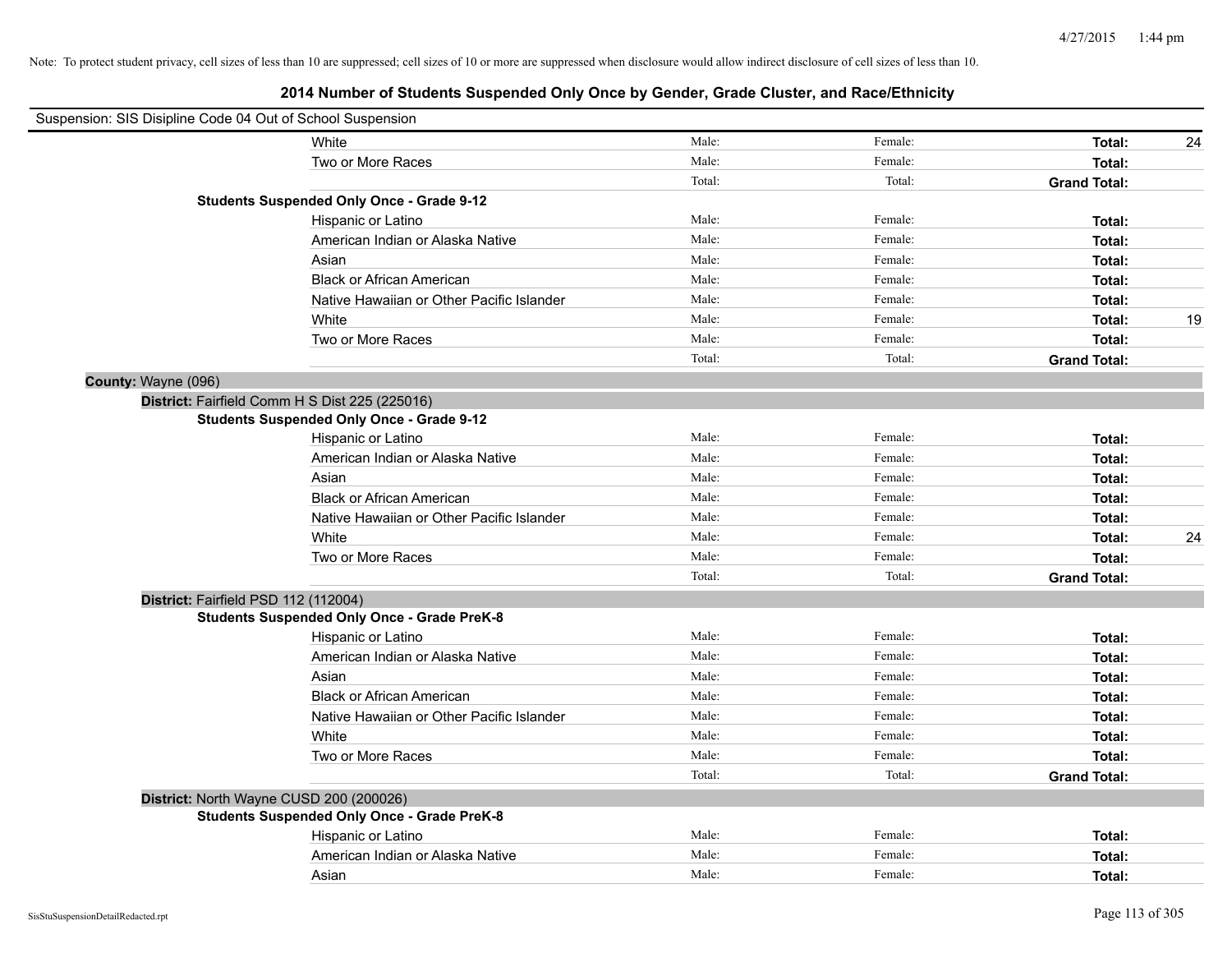|                     | Suspension: SIS Disipline Code 04 Out of School Suspension |        |         |                     |    |
|---------------------|------------------------------------------------------------|--------|---------|---------------------|----|
|                     | White                                                      | Male:  | Female: | Total:              | 24 |
|                     | Two or More Races                                          | Male:  | Female: | Total:              |    |
|                     |                                                            | Total: | Total:  | <b>Grand Total:</b> |    |
|                     | <b>Students Suspended Only Once - Grade 9-12</b>           |        |         |                     |    |
|                     | Hispanic or Latino                                         | Male:  | Female: | Total:              |    |
|                     | American Indian or Alaska Native                           | Male:  | Female: | Total:              |    |
|                     | Asian                                                      | Male:  | Female: | Total:              |    |
|                     | <b>Black or African American</b>                           | Male:  | Female: | Total:              |    |
|                     | Native Hawaiian or Other Pacific Islander                  | Male:  | Female: | Total:              |    |
|                     | White                                                      | Male:  | Female: | Total:              | 19 |
|                     | Two or More Races                                          | Male:  | Female: | Total:              |    |
|                     |                                                            | Total: | Total:  | <b>Grand Total:</b> |    |
| County: Wayne (096) |                                                            |        |         |                     |    |
|                     | District: Fairfield Comm H S Dist 225 (225016)             |        |         |                     |    |
|                     | <b>Students Suspended Only Once - Grade 9-12</b>           |        |         |                     |    |
|                     | Hispanic or Latino                                         | Male:  | Female: | Total:              |    |
|                     | American Indian or Alaska Native                           | Male:  | Female: | Total:              |    |
|                     | Asian                                                      | Male:  | Female: | Total:              |    |
|                     | <b>Black or African American</b>                           | Male:  | Female: | Total:              |    |
|                     | Native Hawaiian or Other Pacific Islander                  | Male:  | Female: | Total:              |    |
|                     | White                                                      | Male:  | Female: | Total:              | 24 |
|                     | Two or More Races                                          | Male:  | Female: | Total:              |    |
|                     |                                                            | Total: | Total:  | <b>Grand Total:</b> |    |
|                     | District: Fairfield PSD 112 (112004)                       |        |         |                     |    |
|                     | <b>Students Suspended Only Once - Grade PreK-8</b>         |        |         |                     |    |
|                     | Hispanic or Latino                                         | Male:  | Female: | Total:              |    |
|                     | American Indian or Alaska Native                           | Male:  | Female: | Total:              |    |
|                     | Asian                                                      | Male:  | Female: | Total:              |    |
|                     | <b>Black or African American</b>                           | Male:  | Female: | Total:              |    |
|                     | Native Hawaiian or Other Pacific Islander                  | Male:  | Female: | Total:              |    |
|                     | White                                                      | Male:  | Female: | Total:              |    |
|                     | Two or More Races                                          | Male:  | Female: | Total:              |    |
|                     |                                                            | Total: | Total:  | <b>Grand Total:</b> |    |
|                     | District: North Wayne CUSD 200 (200026)                    |        |         |                     |    |
|                     | <b>Students Suspended Only Once - Grade PreK-8</b>         |        |         |                     |    |
|                     | Hispanic or Latino                                         | Male:  | Female: | Total:              |    |
|                     | American Indian or Alaska Native                           | Male:  | Female: | Total:              |    |
|                     | Asian                                                      | Male:  | Female: | Total:              |    |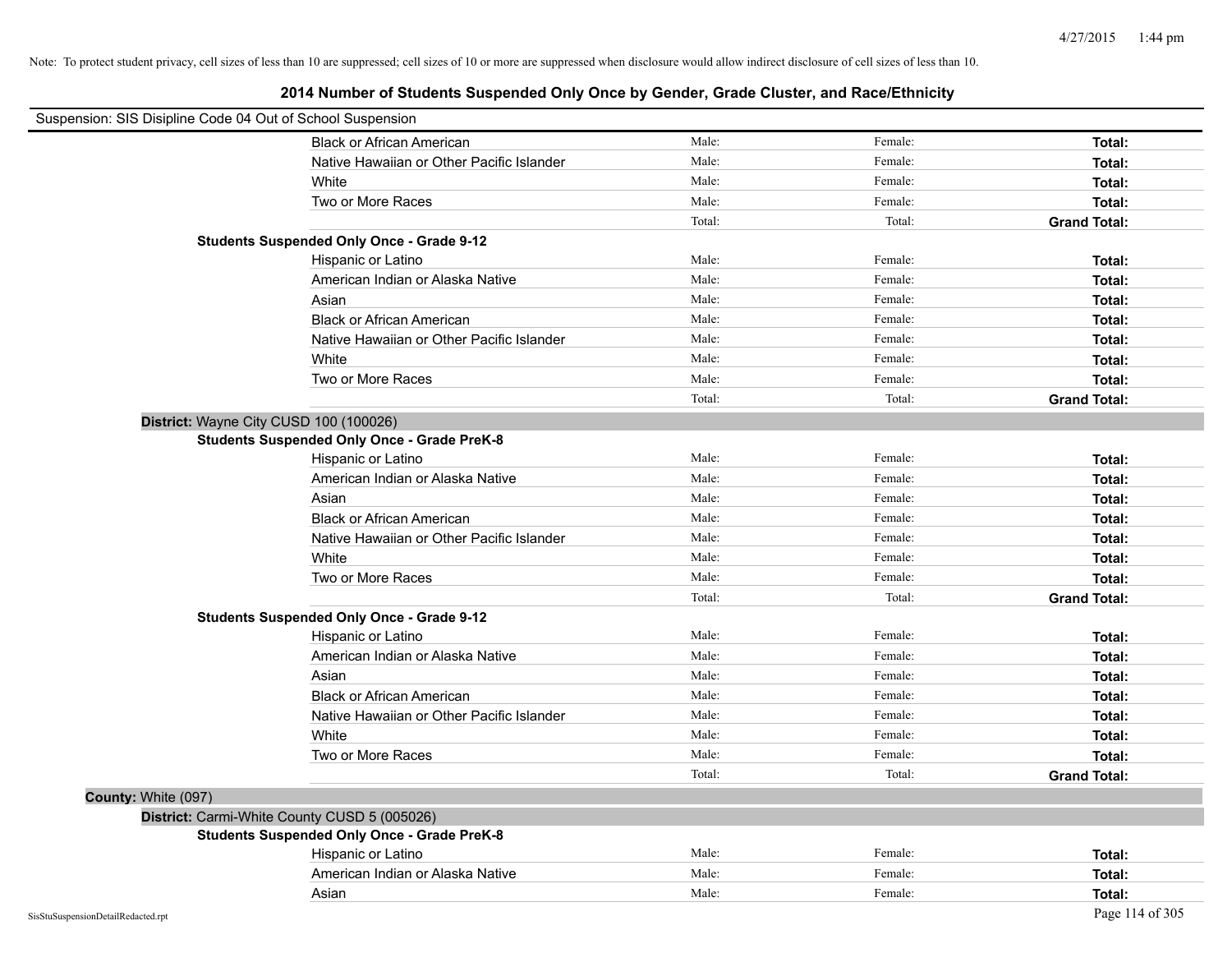| Suspension: SIS Disipline Code 04 Out of School Suspension |                                                    |        |         |                     |
|------------------------------------------------------------|----------------------------------------------------|--------|---------|---------------------|
|                                                            | <b>Black or African American</b>                   | Male:  | Female: | Total:              |
|                                                            | Native Hawaiian or Other Pacific Islander          | Male:  | Female: | Total:              |
|                                                            | White                                              | Male:  | Female: | Total:              |
|                                                            | Two or More Races                                  | Male:  | Female: | Total:              |
|                                                            |                                                    | Total: | Total:  | <b>Grand Total:</b> |
|                                                            | <b>Students Suspended Only Once - Grade 9-12</b>   |        |         |                     |
|                                                            | Hispanic or Latino                                 | Male:  | Female: | Total:              |
|                                                            | American Indian or Alaska Native                   | Male:  | Female: | Total:              |
|                                                            | Asian                                              | Male:  | Female: | Total:              |
|                                                            | <b>Black or African American</b>                   | Male:  | Female: | Total:              |
|                                                            | Native Hawaiian or Other Pacific Islander          | Male:  | Female: | Total:              |
|                                                            | White                                              | Male:  | Female: | Total:              |
|                                                            | Two or More Races                                  | Male:  | Female: | Total:              |
|                                                            |                                                    | Total: | Total:  | <b>Grand Total:</b> |
| District: Wayne City CUSD 100 (100026)                     |                                                    |        |         |                     |
|                                                            | <b>Students Suspended Only Once - Grade PreK-8</b> |        |         |                     |
|                                                            | Hispanic or Latino                                 | Male:  | Female: | Total:              |
|                                                            | American Indian or Alaska Native                   | Male:  | Female: | Total:              |
|                                                            | Asian                                              | Male:  | Female: | Total:              |
|                                                            | <b>Black or African American</b>                   | Male:  | Female: | Total:              |
|                                                            | Native Hawaiian or Other Pacific Islander          | Male:  | Female: | Total:              |
|                                                            | White                                              | Male:  | Female: | Total:              |
|                                                            | Two or More Races                                  | Male:  | Female: | Total:              |
|                                                            |                                                    | Total: | Total:  | <b>Grand Total:</b> |
|                                                            | <b>Students Suspended Only Once - Grade 9-12</b>   |        |         |                     |
|                                                            | Hispanic or Latino                                 | Male:  | Female: | Total:              |
|                                                            | American Indian or Alaska Native                   | Male:  | Female: | Total:              |
|                                                            | Asian                                              | Male:  | Female: | Total:              |
|                                                            | <b>Black or African American</b>                   | Male:  | Female: | Total:              |
|                                                            | Native Hawaiian or Other Pacific Islander          | Male:  | Female: | Total:              |
|                                                            | White                                              | Male:  | Female: | Total:              |
|                                                            | Two or More Races                                  | Male:  | Female: | Total:              |
|                                                            |                                                    | Total: | Total:  | <b>Grand Total:</b> |
| County: White (097)                                        |                                                    |        |         |                     |
| District: Carmi-White County CUSD 5 (005026)               |                                                    |        |         |                     |
|                                                            | <b>Students Suspended Only Once - Grade PreK-8</b> |        |         |                     |
|                                                            | Hispanic or Latino                                 | Male:  | Female: | Total:              |
|                                                            | American Indian or Alaska Native                   | Male:  | Female: | Total:              |
|                                                            | Asian                                              | Male:  | Female: | Total:              |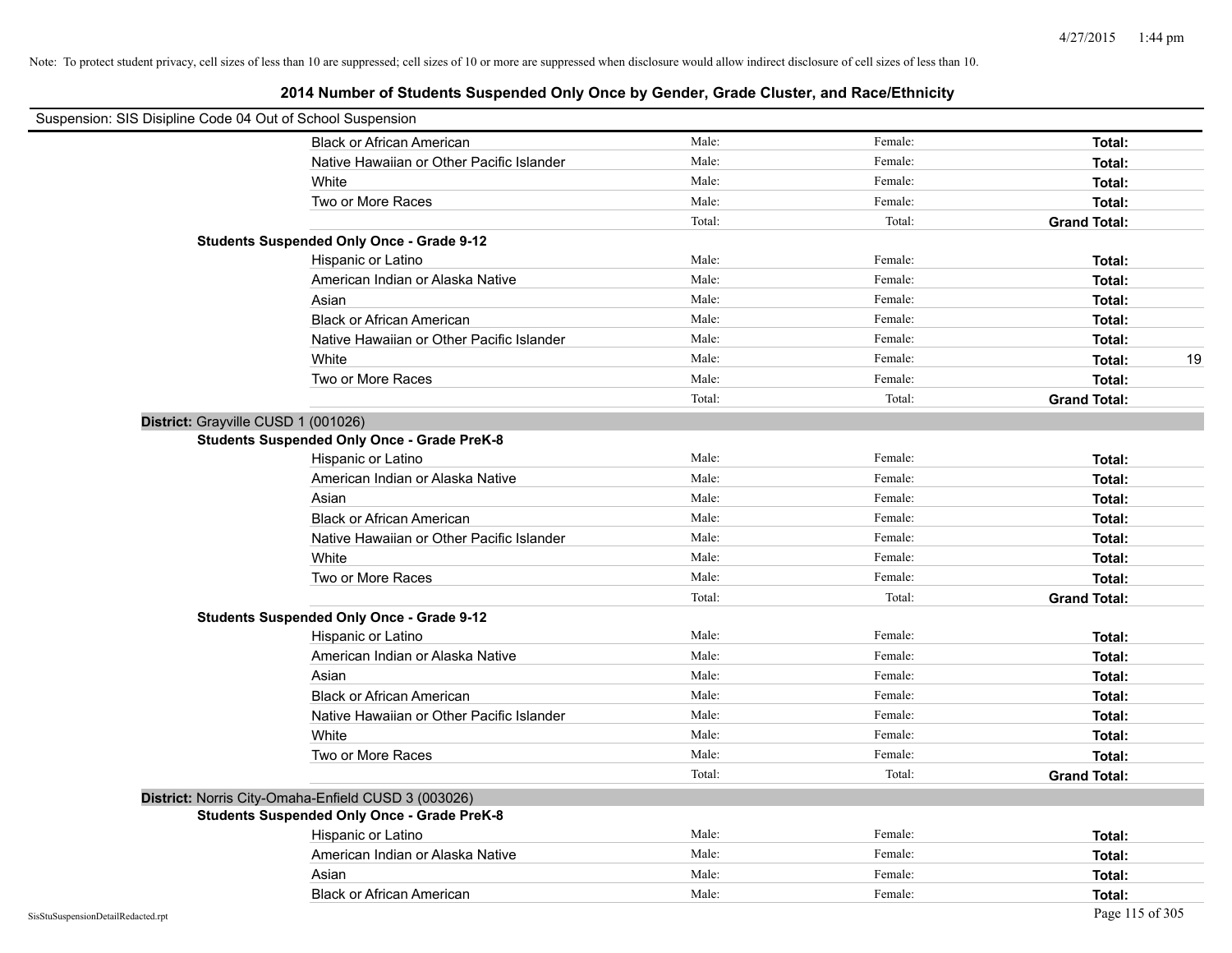| Suspension: SIS Disipline Code 04 Out of School Suspension |                                                     |        |         |                     |
|------------------------------------------------------------|-----------------------------------------------------|--------|---------|---------------------|
|                                                            | <b>Black or African American</b>                    | Male:  | Female: | Total:              |
|                                                            | Native Hawaiian or Other Pacific Islander           | Male:  | Female: | Total:              |
|                                                            | White                                               | Male:  | Female: | Total:              |
|                                                            | Two or More Races                                   | Male:  | Female: | Total:              |
|                                                            |                                                     | Total: | Total:  | <b>Grand Total:</b> |
|                                                            | <b>Students Suspended Only Once - Grade 9-12</b>    |        |         |                     |
|                                                            | Hispanic or Latino                                  | Male:  | Female: | Total:              |
|                                                            | American Indian or Alaska Native                    | Male:  | Female: | Total:              |
|                                                            | Asian                                               | Male:  | Female: | Total:              |
|                                                            | <b>Black or African American</b>                    | Male:  | Female: | Total:              |
|                                                            | Native Hawaiian or Other Pacific Islander           | Male:  | Female: | Total:              |
|                                                            | White                                               | Male:  | Female: | 19<br>Total:        |
|                                                            | Two or More Races                                   | Male:  | Female: | Total:              |
|                                                            |                                                     | Total: | Total:  | <b>Grand Total:</b> |
| District: Grayville CUSD 1 (001026)                        |                                                     |        |         |                     |
|                                                            | <b>Students Suspended Only Once - Grade PreK-8</b>  |        |         |                     |
|                                                            | Hispanic or Latino                                  | Male:  | Female: | Total:              |
|                                                            | American Indian or Alaska Native                    | Male:  | Female: | Total:              |
|                                                            | Asian                                               | Male:  | Female: | Total:              |
|                                                            | <b>Black or African American</b>                    | Male:  | Female: | Total:              |
|                                                            | Native Hawaiian or Other Pacific Islander           | Male:  | Female: | Total:              |
|                                                            | White                                               | Male:  | Female: | Total:              |
|                                                            | Two or More Races                                   | Male:  | Female: | Total:              |
|                                                            |                                                     | Total: | Total:  | <b>Grand Total:</b> |
|                                                            | <b>Students Suspended Only Once - Grade 9-12</b>    |        |         |                     |
|                                                            | Hispanic or Latino                                  | Male:  | Female: | Total:              |
|                                                            | American Indian or Alaska Native                    | Male:  | Female: | Total:              |
|                                                            | Asian                                               | Male:  | Female: | Total:              |
|                                                            | <b>Black or African American</b>                    | Male:  | Female: | Total:              |
|                                                            | Native Hawaiian or Other Pacific Islander           | Male:  | Female: | Total:              |
|                                                            | White                                               | Male:  | Female: | Total:              |
|                                                            | Two or More Races                                   | Male:  | Female: | Total:              |
|                                                            |                                                     | Total: | Total:  | <b>Grand Total:</b> |
|                                                            | District: Norris City-Omaha-Enfield CUSD 3 (003026) |        |         |                     |
|                                                            | <b>Students Suspended Only Once - Grade PreK-8</b>  |        |         |                     |
|                                                            | Hispanic or Latino                                  | Male:  | Female: | Total:              |
|                                                            | American Indian or Alaska Native                    | Male:  | Female: | Total:              |
|                                                            | Asian                                               | Male:  | Female: | Total:              |
|                                                            | <b>Black or African American</b>                    | Male:  | Female: | Total:              |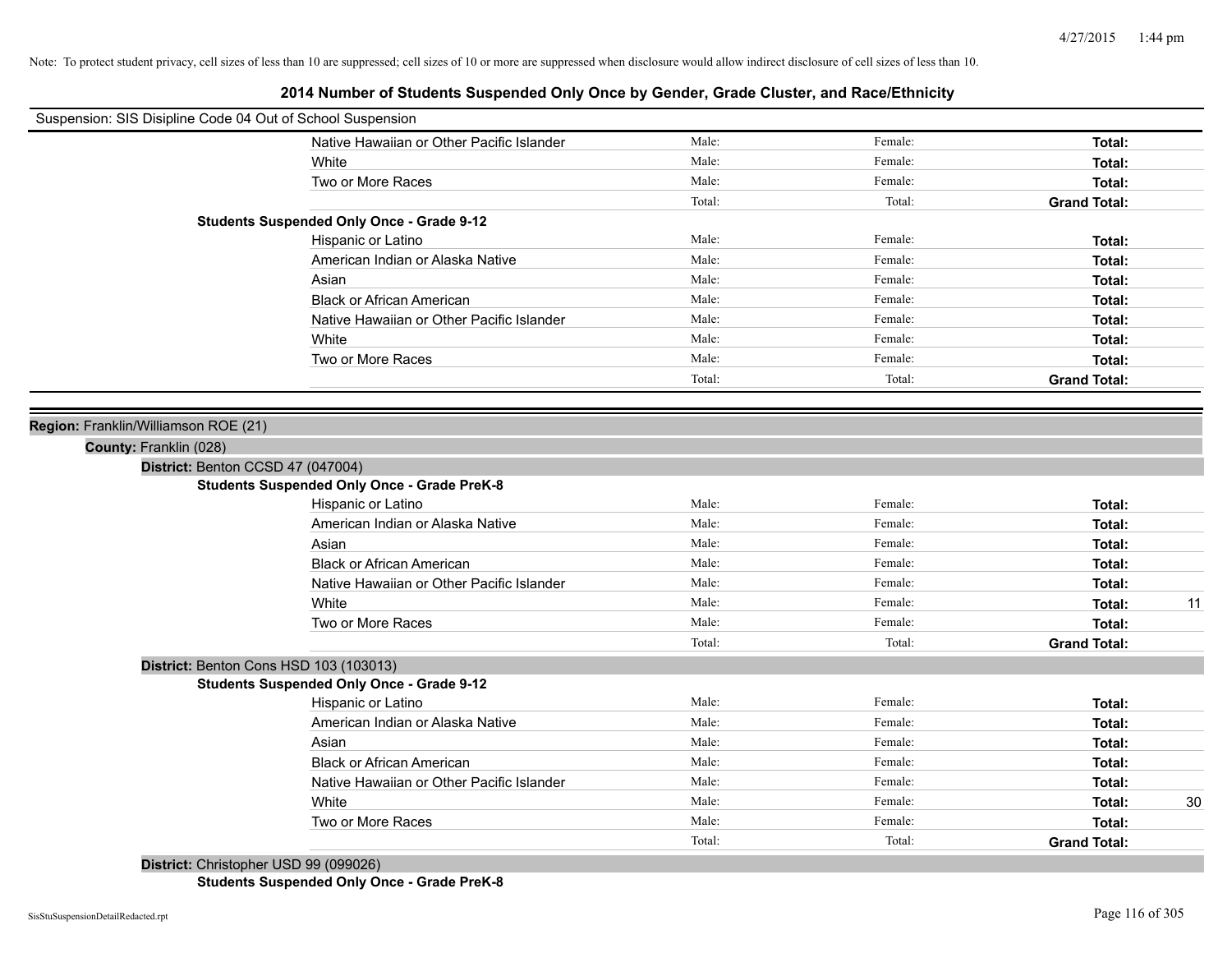| Suspension: SIS Disipline Code 04 Out of School Suspension |                                                    |        |         |                     |    |
|------------------------------------------------------------|----------------------------------------------------|--------|---------|---------------------|----|
|                                                            | Native Hawaiian or Other Pacific Islander          | Male:  | Female: | Total:              |    |
|                                                            | White                                              | Male:  | Female: | Total:              |    |
|                                                            | Two or More Races                                  | Male:  | Female: | Total:              |    |
|                                                            |                                                    | Total: | Total:  | <b>Grand Total:</b> |    |
|                                                            | <b>Students Suspended Only Once - Grade 9-12</b>   |        |         |                     |    |
|                                                            | Hispanic or Latino                                 | Male:  | Female: | Total:              |    |
|                                                            | American Indian or Alaska Native                   | Male:  | Female: | Total:              |    |
|                                                            | Asian                                              | Male:  | Female: | Total:              |    |
|                                                            | <b>Black or African American</b>                   | Male:  | Female: | Total:              |    |
|                                                            | Native Hawaiian or Other Pacific Islander          | Male:  | Female: | Total:              |    |
|                                                            | White                                              | Male:  | Female: | Total:              |    |
|                                                            | Two or More Races                                  | Male:  | Female: | Total:              |    |
|                                                            |                                                    | Total: | Total:  | <b>Grand Total:</b> |    |
|                                                            |                                                    |        |         |                     |    |
| Region: Franklin/Williamson ROE (21)                       |                                                    |        |         |                     |    |
| County: Franklin (028)                                     |                                                    |        |         |                     |    |
| District: Benton CCSD 47 (047004)                          |                                                    |        |         |                     |    |
|                                                            | <b>Students Suspended Only Once - Grade PreK-8</b> |        |         |                     |    |
|                                                            | Hispanic or Latino                                 | Male:  | Female: | Total:              |    |
|                                                            | American Indian or Alaska Native                   | Male:  | Female: | Total:              |    |
|                                                            | Asian                                              | Male:  | Female: | Total:              |    |
|                                                            | <b>Black or African American</b>                   | Male:  | Female: | Total:              |    |
|                                                            | Native Hawaiian or Other Pacific Islander          | Male:  | Female: | Total:              |    |
|                                                            | White                                              | Male:  | Female: | Total:              | 11 |
|                                                            | Two or More Races                                  | Male:  | Female: | Total:              |    |
|                                                            |                                                    | Total: | Total:  | <b>Grand Total:</b> |    |
| District: Benton Cons HSD 103 (103013)                     |                                                    |        |         |                     |    |
|                                                            | <b>Students Suspended Only Once - Grade 9-12</b>   |        |         |                     |    |
|                                                            | Hispanic or Latino                                 | Male:  | Female: | Total:              |    |
|                                                            | American Indian or Alaska Native                   | Male:  | Female: | Total:              |    |
|                                                            | Asian                                              | Male:  | Female: | Total:              |    |
|                                                            | <b>Black or African American</b>                   | Male:  | Female: | Total:              |    |
|                                                            | Native Hawaiian or Other Pacific Islander          | Male:  | Female: | Total:              |    |
|                                                            | White                                              | Male:  | Female: | Total:              | 30 |
|                                                            | Two or More Races                                  | Male:  | Female: | Total:              |    |
|                                                            |                                                    | Total: | Total:  | <b>Grand Total:</b> |    |
| District: Christopher USD 99 (099026)                      |                                                    |        |         |                     |    |

**Students Suspended Only Once - Grade PreK-8**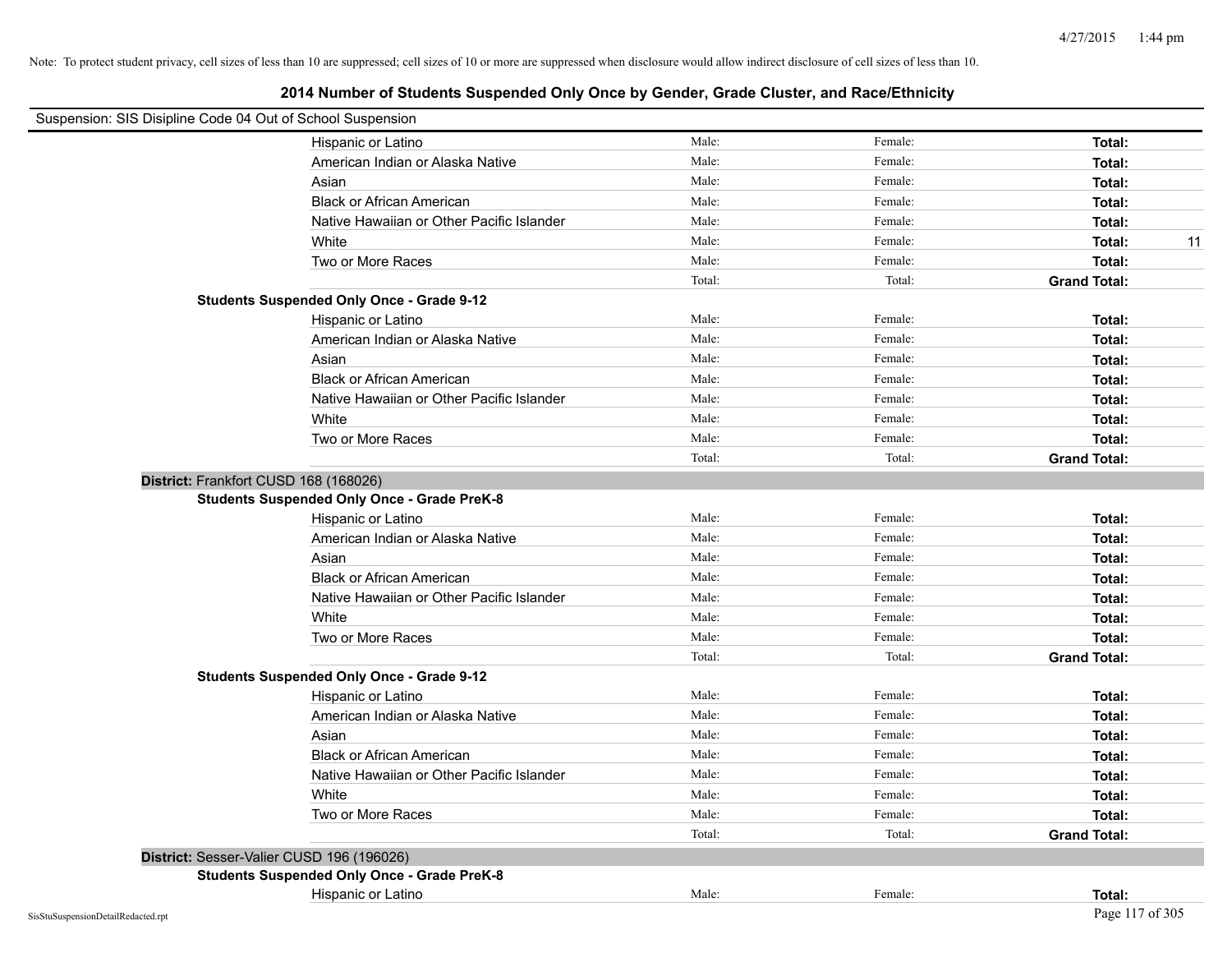| Suspension: SIS Disipline Code 04 Out of School Suspension |                                                    |        |         |                     |
|------------------------------------------------------------|----------------------------------------------------|--------|---------|---------------------|
|                                                            | Hispanic or Latino                                 | Male:  | Female: | Total:              |
|                                                            | American Indian or Alaska Native                   | Male:  | Female: | Total:              |
|                                                            | Asian                                              | Male:  | Female: | Total:              |
|                                                            | <b>Black or African American</b>                   | Male:  | Female: | Total:              |
|                                                            | Native Hawaiian or Other Pacific Islander          | Male:  | Female: | Total:              |
|                                                            | White                                              | Male:  | Female: | 11<br>Total:        |
|                                                            | Two or More Races                                  | Male:  | Female: | Total:              |
|                                                            |                                                    | Total: | Total:  | <b>Grand Total:</b> |
|                                                            | <b>Students Suspended Only Once - Grade 9-12</b>   |        |         |                     |
|                                                            | Hispanic or Latino                                 | Male:  | Female: | Total:              |
|                                                            | American Indian or Alaska Native                   | Male:  | Female: | Total:              |
|                                                            | Asian                                              | Male:  | Female: | Total:              |
|                                                            | <b>Black or African American</b>                   | Male:  | Female: | Total:              |
|                                                            | Native Hawaiian or Other Pacific Islander          | Male:  | Female: | Total:              |
|                                                            | White                                              | Male:  | Female: | Total:              |
|                                                            | Two or More Races                                  | Male:  | Female: | Total:              |
|                                                            |                                                    | Total: | Total:  | <b>Grand Total:</b> |
| District: Frankfort CUSD 168 (168026)                      |                                                    |        |         |                     |
|                                                            | <b>Students Suspended Only Once - Grade PreK-8</b> |        |         |                     |
|                                                            | Hispanic or Latino                                 | Male:  | Female: | Total:              |
|                                                            | American Indian or Alaska Native                   | Male:  | Female: | Total:              |
|                                                            | Asian                                              | Male:  | Female: | Total:              |
|                                                            | <b>Black or African American</b>                   | Male:  | Female: | Total:              |
|                                                            | Native Hawaiian or Other Pacific Islander          | Male:  | Female: | Total:              |
|                                                            | White                                              | Male:  | Female: | Total:              |
|                                                            | Two or More Races                                  | Male:  | Female: | Total:              |
|                                                            |                                                    | Total: | Total:  | <b>Grand Total:</b> |
|                                                            | <b>Students Suspended Only Once - Grade 9-12</b>   |        |         |                     |
|                                                            | Hispanic or Latino                                 | Male:  | Female: | Total:              |
|                                                            | American Indian or Alaska Native                   | Male:  | Female: | Total:              |
|                                                            | Asian                                              | Male:  | Female: | Total:              |
|                                                            | <b>Black or African American</b>                   | Male:  | Female: | Total:              |
|                                                            | Native Hawaiian or Other Pacific Islander          | Male:  | Female: | Total:              |
|                                                            | White                                              | Male:  | Female: | Total:              |
|                                                            | Two or More Races                                  | Male:  | Female: | Total:              |
|                                                            |                                                    | Total: | Total:  | <b>Grand Total:</b> |
| District: Sesser-Valier CUSD 196 (196026)                  |                                                    |        |         |                     |
|                                                            | <b>Students Suspended Only Once - Grade PreK-8</b> |        |         |                     |
|                                                            | Hispanic or Latino                                 | Male:  | Female: | Total:              |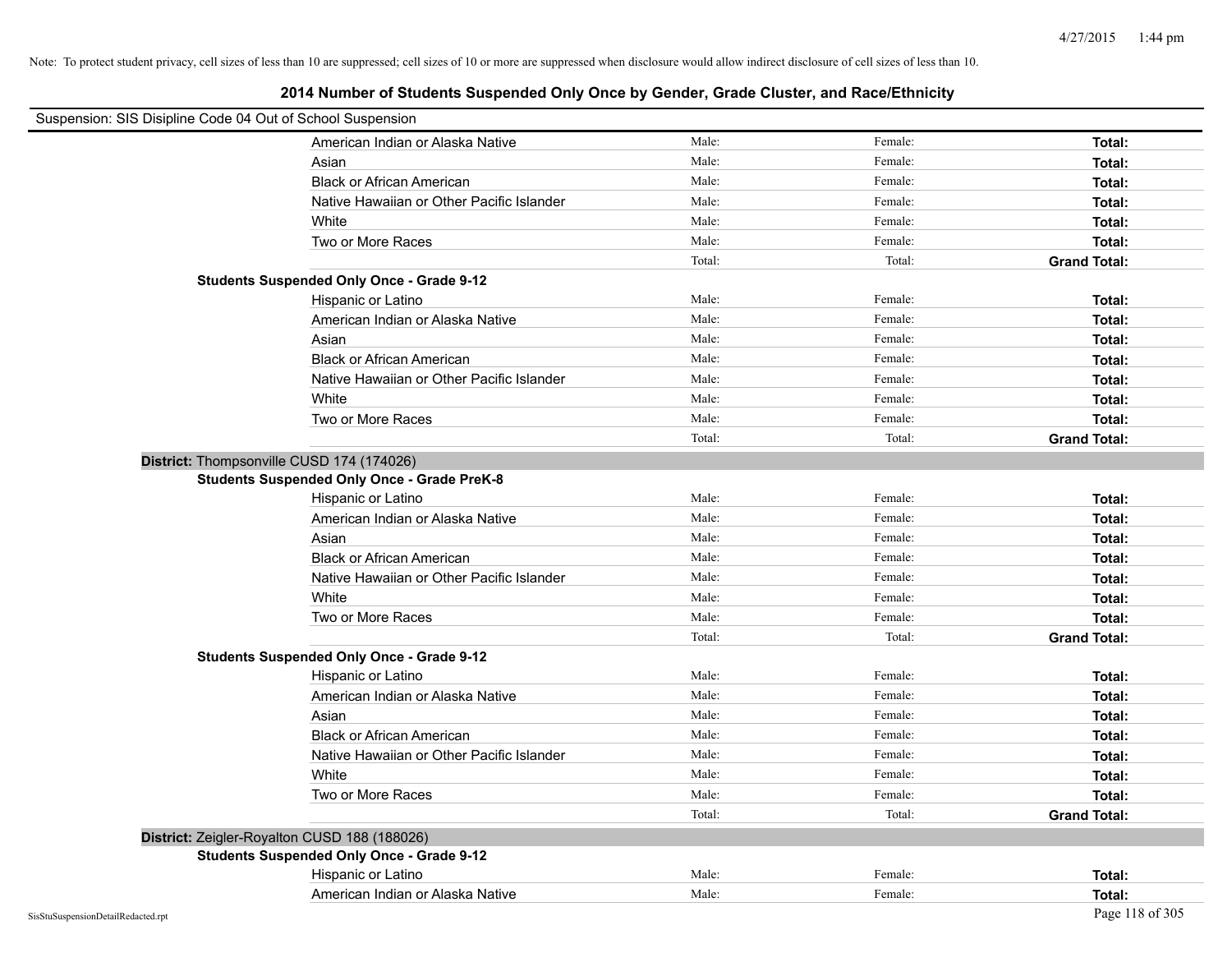| Suspension: SIS Disipline Code 04 Out of School Suspension |                                                    |        |         |                     |
|------------------------------------------------------------|----------------------------------------------------|--------|---------|---------------------|
|                                                            | American Indian or Alaska Native                   | Male:  | Female: | Total:              |
|                                                            | Asian                                              | Male:  | Female: | Total:              |
|                                                            | <b>Black or African American</b>                   | Male:  | Female: | Total:              |
|                                                            | Native Hawaiian or Other Pacific Islander          | Male:  | Female: | Total:              |
|                                                            | White                                              | Male:  | Female: | Total:              |
|                                                            | Two or More Races                                  | Male:  | Female: | Total:              |
|                                                            |                                                    | Total: | Total:  | <b>Grand Total:</b> |
|                                                            | <b>Students Suspended Only Once - Grade 9-12</b>   |        |         |                     |
|                                                            | Hispanic or Latino                                 | Male:  | Female: | Total:              |
|                                                            | American Indian or Alaska Native                   | Male:  | Female: | Total:              |
|                                                            | Asian                                              | Male:  | Female: | Total:              |
|                                                            | <b>Black or African American</b>                   | Male:  | Female: | Total:              |
|                                                            | Native Hawaiian or Other Pacific Islander          | Male:  | Female: | Total:              |
|                                                            | White                                              | Male:  | Female: | Total:              |
|                                                            | Two or More Races                                  | Male:  | Female: | Total:              |
|                                                            |                                                    | Total: | Total:  | <b>Grand Total:</b> |
|                                                            | District: Thompsonville CUSD 174 (174026)          |        |         |                     |
|                                                            | <b>Students Suspended Only Once - Grade PreK-8</b> |        |         |                     |
|                                                            | Hispanic or Latino                                 | Male:  | Female: | Total:              |
|                                                            | American Indian or Alaska Native                   | Male:  | Female: | Total:              |
|                                                            | Asian                                              | Male:  | Female: | Total:              |
|                                                            | <b>Black or African American</b>                   | Male:  | Female: | Total:              |
|                                                            | Native Hawaiian or Other Pacific Islander          | Male:  | Female: | Total:              |
|                                                            | White                                              | Male:  | Female: | Total:              |
|                                                            | Two or More Races                                  | Male:  | Female: | Total:              |
|                                                            |                                                    | Total: | Total:  | <b>Grand Total:</b> |
|                                                            | <b>Students Suspended Only Once - Grade 9-12</b>   |        |         |                     |
|                                                            | Hispanic or Latino                                 | Male:  | Female: | Total:              |
|                                                            | American Indian or Alaska Native                   | Male:  | Female: | Total:              |
|                                                            | Asian                                              | Male:  | Female: | Total:              |
|                                                            | <b>Black or African American</b>                   | Male:  | Female: | Total:              |
|                                                            | Native Hawaiian or Other Pacific Islander          | Male:  | Female: | Total:              |
|                                                            | White                                              | Male:  | Female: | Total:              |
|                                                            | Two or More Races                                  | Male:  | Female: | Total:              |
|                                                            |                                                    | Total: | Total:  | <b>Grand Total:</b> |
|                                                            | District: Zeigler-Royalton CUSD 188 (188026)       |        |         |                     |
|                                                            | <b>Students Suspended Only Once - Grade 9-12</b>   |        |         |                     |
|                                                            | Hispanic or Latino                                 | Male:  | Female: | Total:              |
|                                                            | American Indian or Alaska Native                   | Male:  | Female: | Total:              |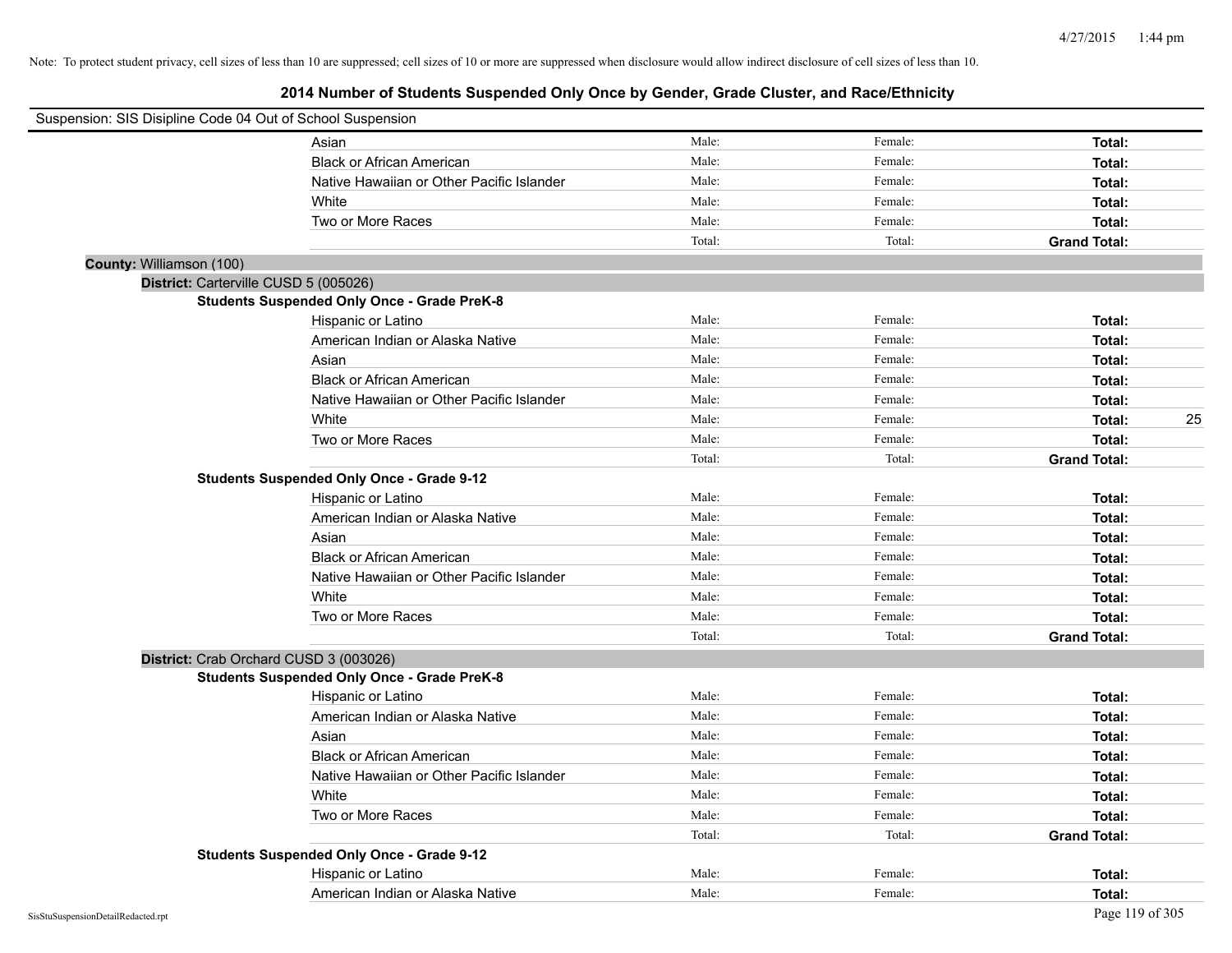|                          | Suspension: SIS Disipline Code 04 Out of School Suspension |        |         |                     |    |
|--------------------------|------------------------------------------------------------|--------|---------|---------------------|----|
|                          | Asian                                                      | Male:  | Female: | Total:              |    |
|                          | <b>Black or African American</b>                           | Male:  | Female: | Total:              |    |
|                          | Native Hawaiian or Other Pacific Islander                  | Male:  | Female: | Total:              |    |
|                          | White                                                      | Male:  | Female: | Total:              |    |
|                          | Two or More Races                                          | Male:  | Female: | Total:              |    |
|                          |                                                            | Total: | Total:  | <b>Grand Total:</b> |    |
| County: Williamson (100) |                                                            |        |         |                     |    |
|                          | District: Carterville CUSD 5 (005026)                      |        |         |                     |    |
|                          | <b>Students Suspended Only Once - Grade PreK-8</b>         |        |         |                     |    |
|                          | Hispanic or Latino                                         | Male:  | Female: | Total:              |    |
|                          | American Indian or Alaska Native                           | Male:  | Female: | Total:              |    |
|                          | Asian                                                      | Male:  | Female: | Total:              |    |
|                          | <b>Black or African American</b>                           | Male:  | Female: | Total:              |    |
|                          | Native Hawaiian or Other Pacific Islander                  | Male:  | Female: | Total:              |    |
|                          | White                                                      | Male:  | Female: | Total:              | 25 |
|                          | Two or More Races                                          | Male:  | Female: | Total:              |    |
|                          |                                                            | Total: | Total:  | <b>Grand Total:</b> |    |
|                          | <b>Students Suspended Only Once - Grade 9-12</b>           |        |         |                     |    |
|                          | Hispanic or Latino                                         | Male:  | Female: | Total:              |    |
|                          | American Indian or Alaska Native                           | Male:  | Female: | Total:              |    |
|                          | Asian                                                      | Male:  | Female: | Total:              |    |
|                          | <b>Black or African American</b>                           | Male:  | Female: | Total:              |    |
|                          | Native Hawaiian or Other Pacific Islander                  | Male:  | Female: | Total:              |    |
|                          | White                                                      | Male:  | Female: | Total:              |    |
|                          | Two or More Races                                          | Male:  | Female: | Total:              |    |
|                          |                                                            | Total: | Total:  | <b>Grand Total:</b> |    |
|                          | District: Crab Orchard CUSD 3 (003026)                     |        |         |                     |    |
|                          | <b>Students Suspended Only Once - Grade PreK-8</b>         |        |         |                     |    |
|                          | Hispanic or Latino                                         | Male:  | Female: | Total:              |    |
|                          | American Indian or Alaska Native                           | Male:  | Female: | Total:              |    |
|                          | Asian                                                      | Male:  | Female: | Total:              |    |
|                          | <b>Black or African American</b>                           | Male:  | Female: | Total:              |    |
|                          | Native Hawaiian or Other Pacific Islander                  | Male:  | Female: | Total:              |    |
|                          | White                                                      | Male:  | Female: | Total:              |    |
|                          | Two or More Races                                          | Male:  | Female: | Total:              |    |
|                          |                                                            | Total: | Total:  | <b>Grand Total:</b> |    |
|                          | <b>Students Suspended Only Once - Grade 9-12</b>           |        |         |                     |    |
|                          | Hispanic or Latino                                         | Male:  | Female: | Total:              |    |
|                          | American Indian or Alaska Native                           | Male:  | Female: | Total:              |    |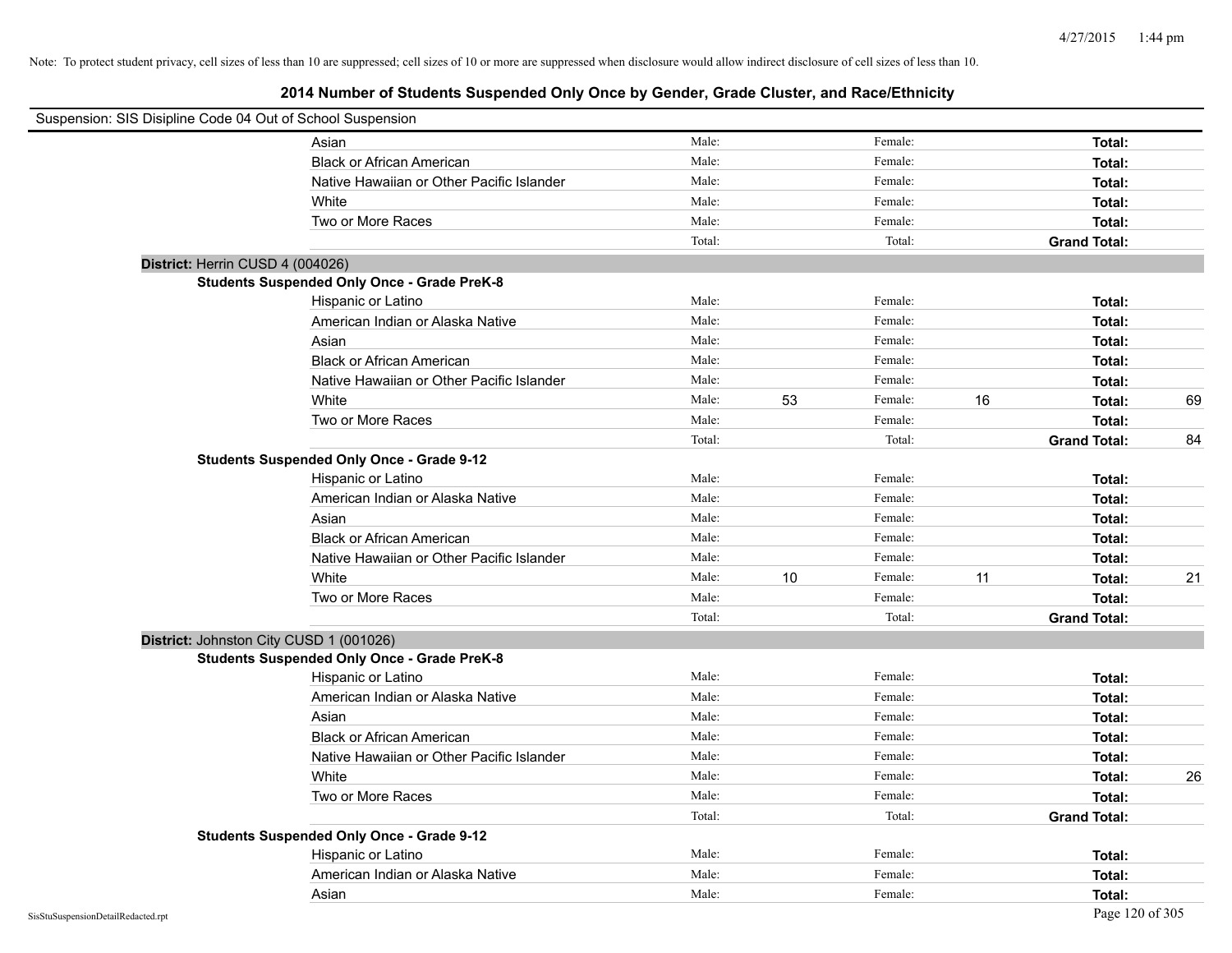| Suspension: SIS Disipline Code 04 Out of School Suspension |        |    |         |    |                     |    |
|------------------------------------------------------------|--------|----|---------|----|---------------------|----|
| Asian                                                      | Male:  |    | Female: |    | Total:              |    |
| <b>Black or African American</b>                           | Male:  |    | Female: |    | Total:              |    |
| Native Hawaiian or Other Pacific Islander                  | Male:  |    | Female: |    | Total:              |    |
| White                                                      | Male:  |    | Female: |    | Total:              |    |
| Two or More Races                                          | Male:  |    | Female: |    | Total:              |    |
|                                                            | Total: |    | Total:  |    | <b>Grand Total:</b> |    |
| District: Herrin CUSD 4 (004026)                           |        |    |         |    |                     |    |
| <b>Students Suspended Only Once - Grade PreK-8</b>         |        |    |         |    |                     |    |
| Hispanic or Latino                                         | Male:  |    | Female: |    | Total:              |    |
| American Indian or Alaska Native                           | Male:  |    | Female: |    | Total:              |    |
| Asian                                                      | Male:  |    | Female: |    | Total:              |    |
| <b>Black or African American</b>                           | Male:  |    | Female: |    | Total:              |    |
| Native Hawaiian or Other Pacific Islander                  | Male:  |    | Female: |    | Total:              |    |
| White                                                      | Male:  | 53 | Female: | 16 | Total:              | 69 |
| Two or More Races                                          | Male:  |    | Female: |    | Total:              |    |
|                                                            | Total: |    | Total:  |    | <b>Grand Total:</b> | 84 |
| <b>Students Suspended Only Once - Grade 9-12</b>           |        |    |         |    |                     |    |
| Hispanic or Latino                                         | Male:  |    | Female: |    | Total:              |    |
| American Indian or Alaska Native                           | Male:  |    | Female: |    | Total:              |    |
| Asian                                                      | Male:  |    | Female: |    | Total:              |    |
| <b>Black or African American</b>                           | Male:  |    | Female: |    | Total:              |    |
| Native Hawaiian or Other Pacific Islander                  | Male:  |    | Female: |    | Total:              |    |
| White                                                      | Male:  | 10 | Female: | 11 | Total:              | 21 |
| Two or More Races                                          | Male:  |    | Female: |    | Total:              |    |
|                                                            | Total: |    | Total:  |    | <b>Grand Total:</b> |    |
| District: Johnston City CUSD 1 (001026)                    |        |    |         |    |                     |    |
| <b>Students Suspended Only Once - Grade PreK-8</b>         |        |    |         |    |                     |    |
| Hispanic or Latino                                         | Male:  |    | Female: |    | Total:              |    |
| American Indian or Alaska Native                           | Male:  |    | Female: |    | Total:              |    |
| Asian                                                      | Male:  |    | Female: |    | Total:              |    |
| <b>Black or African American</b>                           | Male:  |    | Female: |    | Total:              |    |
| Native Hawaiian or Other Pacific Islander                  | Male:  |    | Female: |    | Total:              |    |
| White                                                      | Male:  |    | Female: |    | Total:              | 26 |
| Two or More Races                                          | Male:  |    | Female: |    | Total:              |    |
|                                                            | Total: |    | Total:  |    | <b>Grand Total:</b> |    |
| <b>Students Suspended Only Once - Grade 9-12</b>           |        |    |         |    |                     |    |
| Hispanic or Latino                                         | Male:  |    | Female: |    | Total:              |    |
| American Indian or Alaska Native                           | Male:  |    | Female: |    | Total:              |    |
| Asian                                                      | Male:  |    | Female: |    | Total:              |    |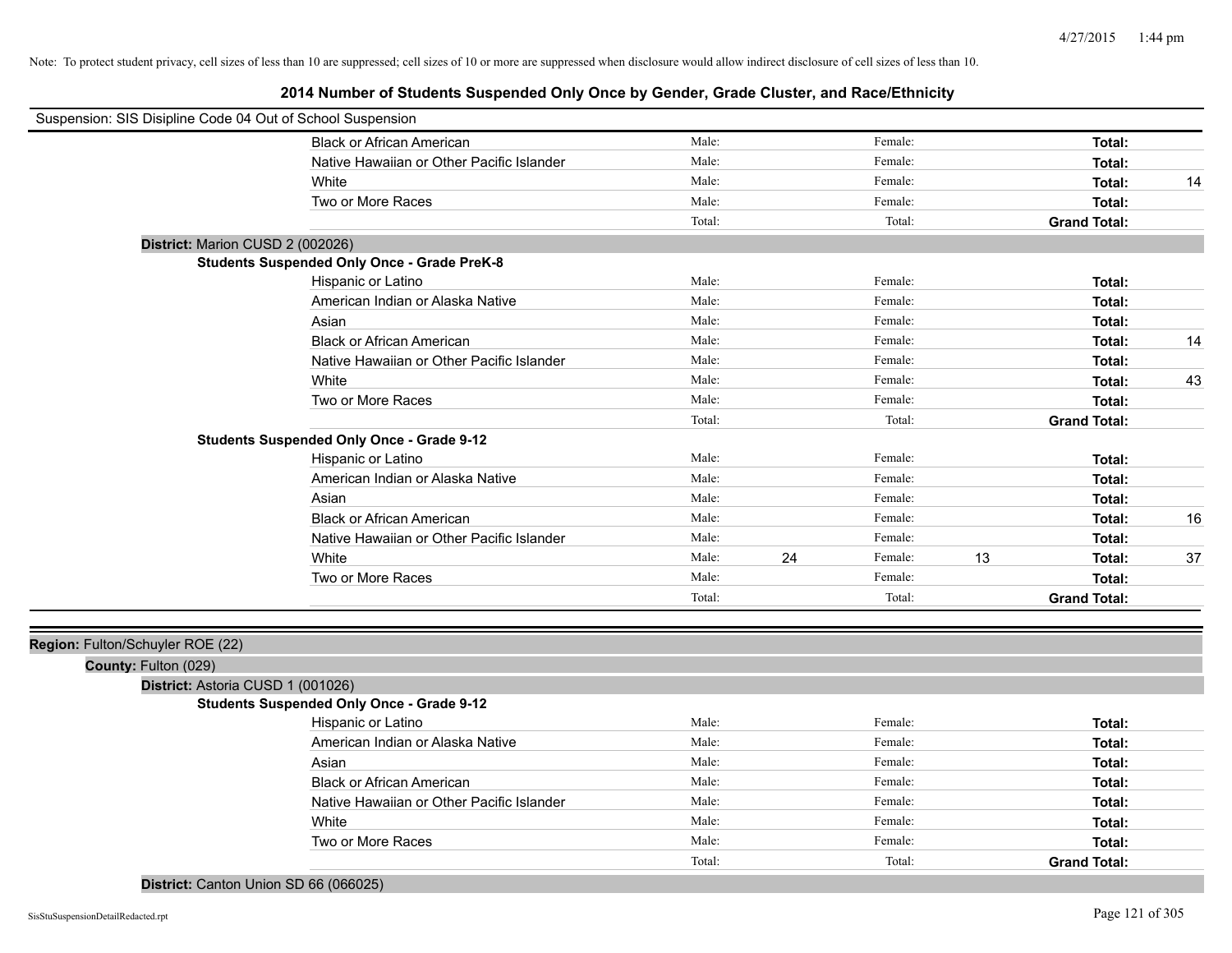**2014 Number of Students Suspended Only Once by Gender, Grade Cluster, and Race/Ethnicity**

| Suspension: SIS Disipline Code 04 Out of School Suspension |                                                    |        |    |         |    |                     |    |
|------------------------------------------------------------|----------------------------------------------------|--------|----|---------|----|---------------------|----|
|                                                            | <b>Black or African American</b>                   | Male:  |    | Female: |    | Total:              |    |
|                                                            | Native Hawaiian or Other Pacific Islander          | Male:  |    | Female: |    | Total:              |    |
|                                                            | White                                              | Male:  |    | Female: |    | Total:              | 14 |
|                                                            | Two or More Races                                  | Male:  |    | Female: |    | Total:              |    |
|                                                            |                                                    | Total: |    | Total:  |    | <b>Grand Total:</b> |    |
| District: Marion CUSD 2 (002026)                           |                                                    |        |    |         |    |                     |    |
|                                                            | <b>Students Suspended Only Once - Grade PreK-8</b> |        |    |         |    |                     |    |
|                                                            | Hispanic or Latino                                 | Male:  |    | Female: |    | Total:              |    |
|                                                            | American Indian or Alaska Native                   | Male:  |    | Female: |    | Total:              |    |
|                                                            | Asian                                              | Male:  |    | Female: |    | Total:              |    |
|                                                            | <b>Black or African American</b>                   | Male:  |    | Female: |    | Total:              | 14 |
|                                                            | Native Hawaiian or Other Pacific Islander          | Male:  |    | Female: |    | Total:              |    |
|                                                            | White                                              | Male:  |    | Female: |    | Total:              | 43 |
|                                                            | Two or More Races                                  | Male:  |    | Female: |    | Total:              |    |
|                                                            |                                                    | Total: |    | Total:  |    | <b>Grand Total:</b> |    |
|                                                            | <b>Students Suspended Only Once - Grade 9-12</b>   |        |    |         |    |                     |    |
|                                                            | Hispanic or Latino                                 | Male:  |    | Female: |    | Total:              |    |
|                                                            | American Indian or Alaska Native                   | Male:  |    | Female: |    | Total:              |    |
|                                                            | Asian                                              | Male:  |    | Female: |    | Total:              |    |
|                                                            | <b>Black or African American</b>                   | Male:  |    | Female: |    | Total:              | 16 |
|                                                            | Native Hawaiian or Other Pacific Islander          | Male:  |    | Female: |    | Total:              |    |
|                                                            | White                                              | Male:  | 24 | Female: | 13 | Total:              | 37 |
|                                                            | Two or More Races                                  | Male:  |    | Female: |    | Total:              |    |
|                                                            |                                                    | Total: |    | Total:  |    | <b>Grand Total:</b> |    |
|                                                            |                                                    |        |    |         |    |                     |    |
| Region: Fulton/Schuyler ROE (22)                           |                                                    |        |    |         |    |                     |    |
| County: Fulton (029)                                       |                                                    |        |    |         |    |                     |    |
| District: Astoria CUSD 1 (001026)                          |                                                    |        |    |         |    |                     |    |
|                                                            | <b>Students Suspended Only Once - Grade 9-12</b>   |        |    |         |    |                     |    |
|                                                            | Hispanic or Latino                                 | Male:  |    | Female: |    | Total:              |    |
|                                                            | American Indian or Alaska Native                   | Male:  |    | Female: |    | Total:              |    |
|                                                            | Asian                                              | Male:  |    | Female: |    | Total:              |    |
|                                                            | <b>Black or African American</b>                   | Male:  |    | Female: |    | Total:              |    |
|                                                            | Native Hawaiian or Other Pacific Islander          | Male:  |    | Female: |    | Total:              |    |
|                                                            | White                                              | Male:  |    | Female: |    | Total:              |    |
|                                                            | Two or More Races                                  | Male:  |    | Female: |    | Total:              |    |
|                                                            |                                                    | Total: |    | Total:  |    | <b>Grand Total:</b> |    |

**District:** Canton Union SD 66 (066025)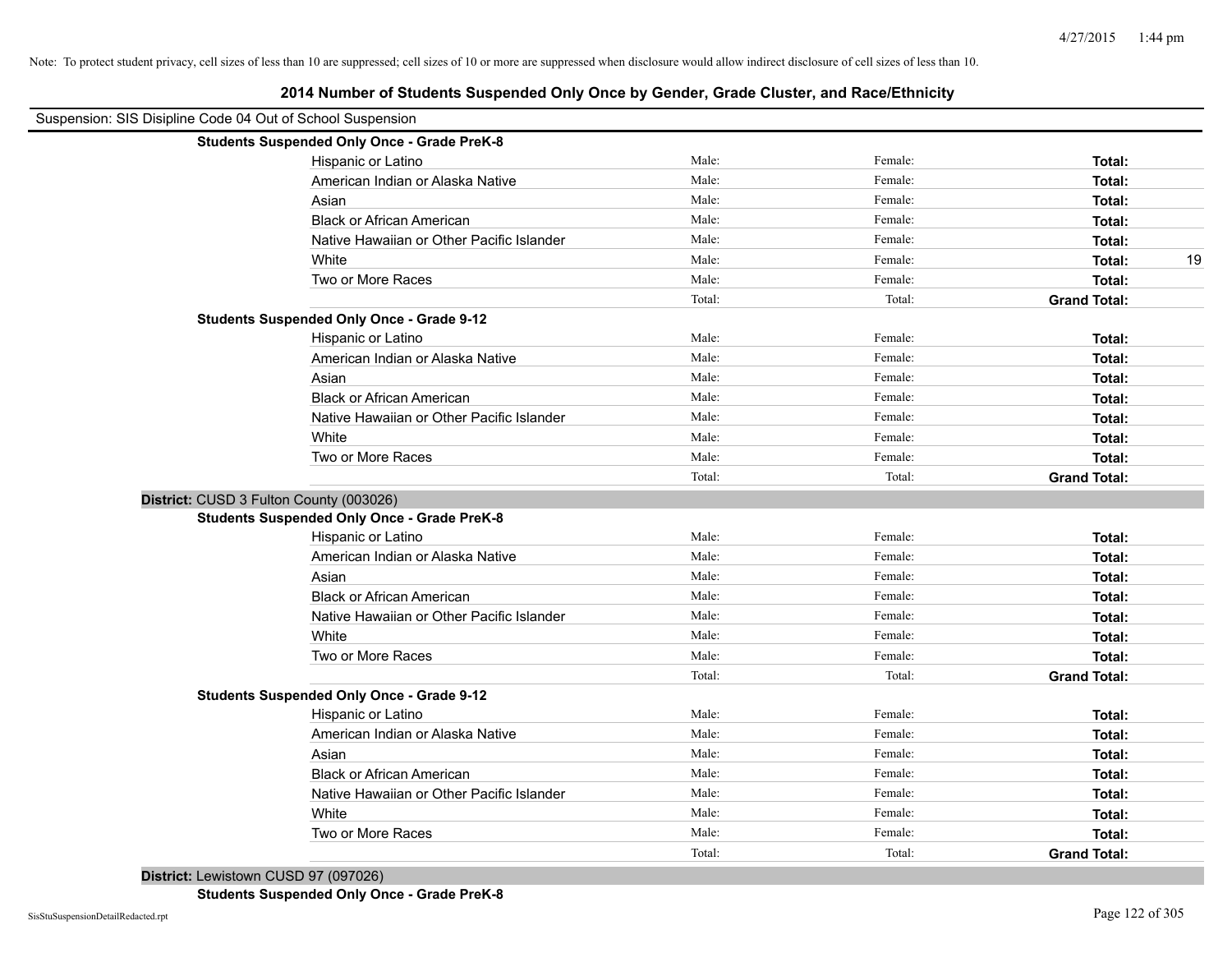| Suspension: SIS Disipline Code 04 Out of School Suspension |        |         |                     |
|------------------------------------------------------------|--------|---------|---------------------|
| <b>Students Suspended Only Once - Grade PreK-8</b>         |        |         |                     |
| Hispanic or Latino                                         | Male:  | Female: | Total:              |
| American Indian or Alaska Native                           | Male:  | Female: | Total:              |
| Asian                                                      | Male:  | Female: | Total:              |
| <b>Black or African American</b>                           | Male:  | Female: | Total:              |
| Native Hawaiian or Other Pacific Islander                  | Male:  | Female: | Total:              |
| White                                                      | Male:  | Female: | 19<br>Total:        |
| Two or More Races                                          | Male:  | Female: | Total:              |
|                                                            | Total: | Total:  | <b>Grand Total:</b> |
| <b>Students Suspended Only Once - Grade 9-12</b>           |        |         |                     |
| Hispanic or Latino                                         | Male:  | Female: | Total:              |
| American Indian or Alaska Native                           | Male:  | Female: | Total:              |
| Asian                                                      | Male:  | Female: | Total:              |
| <b>Black or African American</b>                           | Male:  | Female: | Total:              |
| Native Hawaiian or Other Pacific Islander                  | Male:  | Female: | Total:              |
| White                                                      | Male:  | Female: | Total:              |
| Two or More Races                                          | Male:  | Female: | Total:              |
|                                                            | Total: | Total:  | <b>Grand Total:</b> |
| District: CUSD 3 Fulton County (003026)                    |        |         |                     |
| <b>Students Suspended Only Once - Grade PreK-8</b>         |        |         |                     |
| Hispanic or Latino                                         | Male:  | Female: | Total:              |
| American Indian or Alaska Native                           | Male:  | Female: | Total:              |
| Asian                                                      | Male:  | Female: | Total:              |
| <b>Black or African American</b>                           | Male:  | Female: | Total:              |
| Native Hawaiian or Other Pacific Islander                  | Male:  | Female: | Total:              |
| White                                                      | Male:  | Female: | Total:              |
| Two or More Races                                          | Male:  | Female: | Total:              |
|                                                            | Total: | Total:  | <b>Grand Total:</b> |
| <b>Students Suspended Only Once - Grade 9-12</b>           |        |         |                     |
| Hispanic or Latino                                         | Male:  | Female: | Total:              |
| American Indian or Alaska Native                           | Male:  | Female: | Total:              |
| Asian                                                      | Male:  | Female: | Total:              |
| <b>Black or African American</b>                           | Male:  | Female: | Total:              |
| Native Hawaiian or Other Pacific Islander                  | Male:  | Female: | Total:              |
| White                                                      | Male:  | Female: | Total:              |
| Two or More Races                                          | Male:  | Female: | Total:              |
|                                                            | Total: | Total:  | <b>Grand Total:</b> |

**2014 Number of Students Suspended Only Once by Gender, Grade Cluster, and Race/Ethnicity**

**District:** Lewistown CUSD 97 (097026)

**Students Suspended Only Once - Grade PreK-8**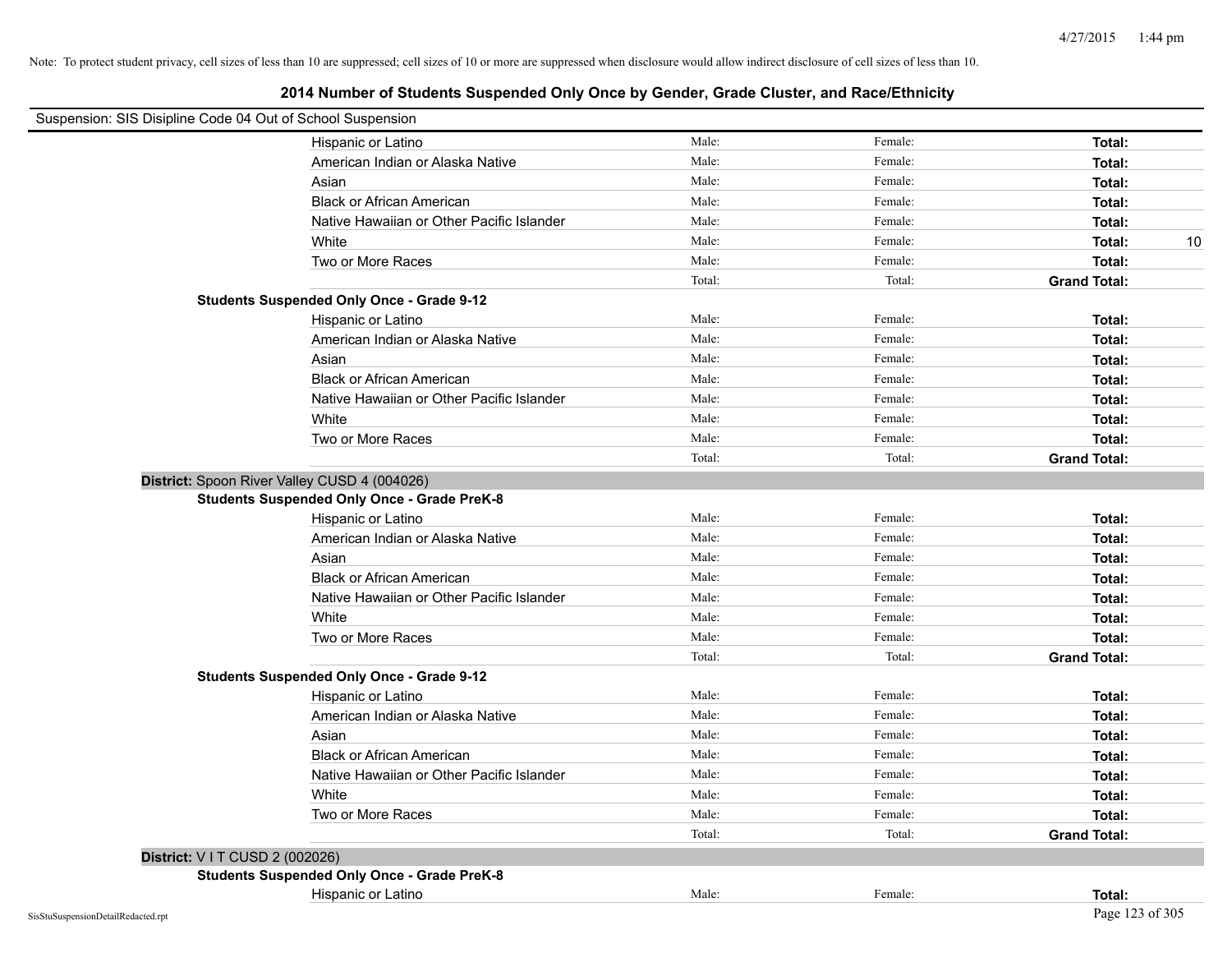| Suspension: SIS Disipline Code 04 Out of School Suspension |                                                    |        |         |                     |
|------------------------------------------------------------|----------------------------------------------------|--------|---------|---------------------|
|                                                            | Hispanic or Latino                                 | Male:  | Female: | Total:              |
|                                                            | American Indian or Alaska Native                   | Male:  | Female: | Total:              |
|                                                            | Asian                                              | Male:  | Female: | Total:              |
|                                                            | <b>Black or African American</b>                   | Male:  | Female: | Total:              |
|                                                            | Native Hawaiian or Other Pacific Islander          | Male:  | Female: | Total:              |
|                                                            | White                                              | Male:  | Female: | 10<br>Total:        |
|                                                            | Two or More Races                                  | Male:  | Female: | Total:              |
|                                                            |                                                    | Total: | Total:  | <b>Grand Total:</b> |
|                                                            | <b>Students Suspended Only Once - Grade 9-12</b>   |        |         |                     |
|                                                            | Hispanic or Latino                                 | Male:  | Female: | Total:              |
|                                                            | American Indian or Alaska Native                   | Male:  | Female: | Total:              |
|                                                            | Asian                                              | Male:  | Female: | Total:              |
|                                                            | <b>Black or African American</b>                   | Male:  | Female: | Total:              |
|                                                            | Native Hawaiian or Other Pacific Islander          | Male:  | Female: | Total:              |
|                                                            | White                                              | Male:  | Female: | Total:              |
|                                                            | Two or More Races                                  | Male:  | Female: | Total:              |
|                                                            |                                                    | Total: | Total:  | <b>Grand Total:</b> |
| District: Spoon River Valley CUSD 4 (004026)               |                                                    |        |         |                     |
|                                                            | <b>Students Suspended Only Once - Grade PreK-8</b> |        |         |                     |
|                                                            | Hispanic or Latino                                 | Male:  | Female: | Total:              |
|                                                            | American Indian or Alaska Native                   | Male:  | Female: | Total:              |
|                                                            | Asian                                              | Male:  | Female: | Total:              |
|                                                            | <b>Black or African American</b>                   | Male:  | Female: | Total:              |
|                                                            | Native Hawaiian or Other Pacific Islander          | Male:  | Female: | Total:              |
|                                                            | White                                              | Male:  | Female: | Total:              |
|                                                            | Two or More Races                                  | Male:  | Female: | Total:              |
|                                                            |                                                    | Total: | Total:  | <b>Grand Total:</b> |
|                                                            | <b>Students Suspended Only Once - Grade 9-12</b>   |        |         |                     |
|                                                            | Hispanic or Latino                                 | Male:  | Female: | Total:              |
|                                                            | American Indian or Alaska Native                   | Male:  | Female: | Total:              |
|                                                            | Asian                                              | Male:  | Female: | Total:              |
|                                                            | <b>Black or African American</b>                   | Male:  | Female: | Total:              |
|                                                            | Native Hawaiian or Other Pacific Islander          | Male:  | Female: | Total:              |
|                                                            | White                                              | Male:  | Female: | Total:              |
|                                                            | Two or More Races                                  | Male:  | Female: | Total:              |
|                                                            |                                                    | Total: | Total:  | <b>Grand Total:</b> |
| District: V I T CUSD 2 (002026)                            |                                                    |        |         |                     |
|                                                            | <b>Students Suspended Only Once - Grade PreK-8</b> |        |         |                     |
|                                                            | Hispanic or Latino                                 | Male:  | Female: | Total:              |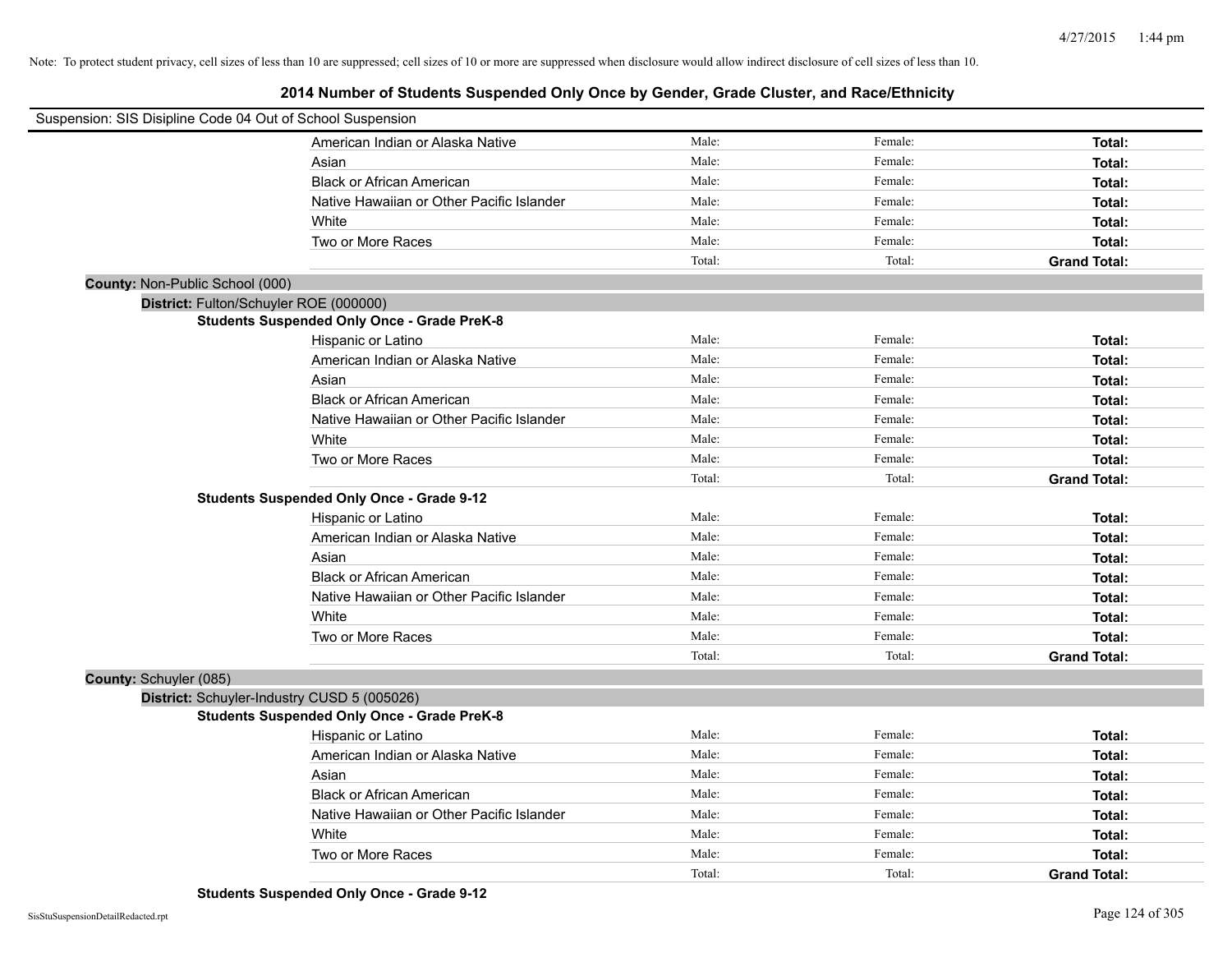| Suspension: SIS Disipline Code 04 Out of School Suspension |                                                    |        |         |                     |
|------------------------------------------------------------|----------------------------------------------------|--------|---------|---------------------|
|                                                            | American Indian or Alaska Native                   | Male:  | Female: | Total:              |
|                                                            | Asian                                              | Male:  | Female: | Total:              |
|                                                            | <b>Black or African American</b>                   | Male:  | Female: | Total:              |
|                                                            | Native Hawaiian or Other Pacific Islander          | Male:  | Female: | Total:              |
|                                                            | White                                              | Male:  | Female: | Total:              |
|                                                            | Two or More Races                                  | Male:  | Female: | Total:              |
|                                                            |                                                    | Total: | Total:  | <b>Grand Total:</b> |
| County: Non-Public School (000)                            |                                                    |        |         |                     |
| District: Fulton/Schuyler ROE (000000)                     |                                                    |        |         |                     |
|                                                            | <b>Students Suspended Only Once - Grade PreK-8</b> |        |         |                     |
|                                                            | Hispanic or Latino                                 | Male:  | Female: | Total:              |
|                                                            | American Indian or Alaska Native                   | Male:  | Female: | Total:              |
|                                                            | Asian                                              | Male:  | Female: | Total:              |
|                                                            | <b>Black or African American</b>                   | Male:  | Female: | Total:              |
|                                                            | Native Hawaiian or Other Pacific Islander          | Male:  | Female: | Total:              |
|                                                            | White                                              | Male:  | Female: | Total:              |
|                                                            | Two or More Races                                  | Male:  | Female: | Total:              |
|                                                            |                                                    | Total: | Total:  | <b>Grand Total:</b> |
|                                                            | <b>Students Suspended Only Once - Grade 9-12</b>   |        |         |                     |
|                                                            | Hispanic or Latino                                 | Male:  | Female: | Total:              |
|                                                            | American Indian or Alaska Native                   | Male:  | Female: | Total:              |
|                                                            | Asian                                              | Male:  | Female: | Total:              |
|                                                            | <b>Black or African American</b>                   | Male:  | Female: | Total:              |
|                                                            | Native Hawaiian or Other Pacific Islander          | Male:  | Female: | Total:              |
|                                                            | White                                              | Male:  | Female: | Total:              |
|                                                            | Two or More Races                                  | Male:  | Female: | Total:              |
|                                                            |                                                    | Total: | Total:  | <b>Grand Total:</b> |
| County: Schuyler (085)                                     |                                                    |        |         |                     |
| District: Schuyler-Industry CUSD 5 (005026)                |                                                    |        |         |                     |
|                                                            | <b>Students Suspended Only Once - Grade PreK-8</b> |        |         |                     |
|                                                            | Hispanic or Latino                                 | Male:  | Female: | Total:              |
|                                                            | American Indian or Alaska Native                   | Male:  | Female: | Total:              |
|                                                            | Asian                                              | Male:  | Female: | Total:              |
|                                                            | <b>Black or African American</b>                   | Male:  | Female: | Total:              |
|                                                            | Native Hawaiian or Other Pacific Islander          | Male:  | Female: | Total:              |
|                                                            | White                                              | Male:  | Female: | Total:              |
|                                                            | Two or More Races                                  | Male:  | Female: | Total:              |
|                                                            |                                                    | Total: | Total:  | <b>Grand Total:</b> |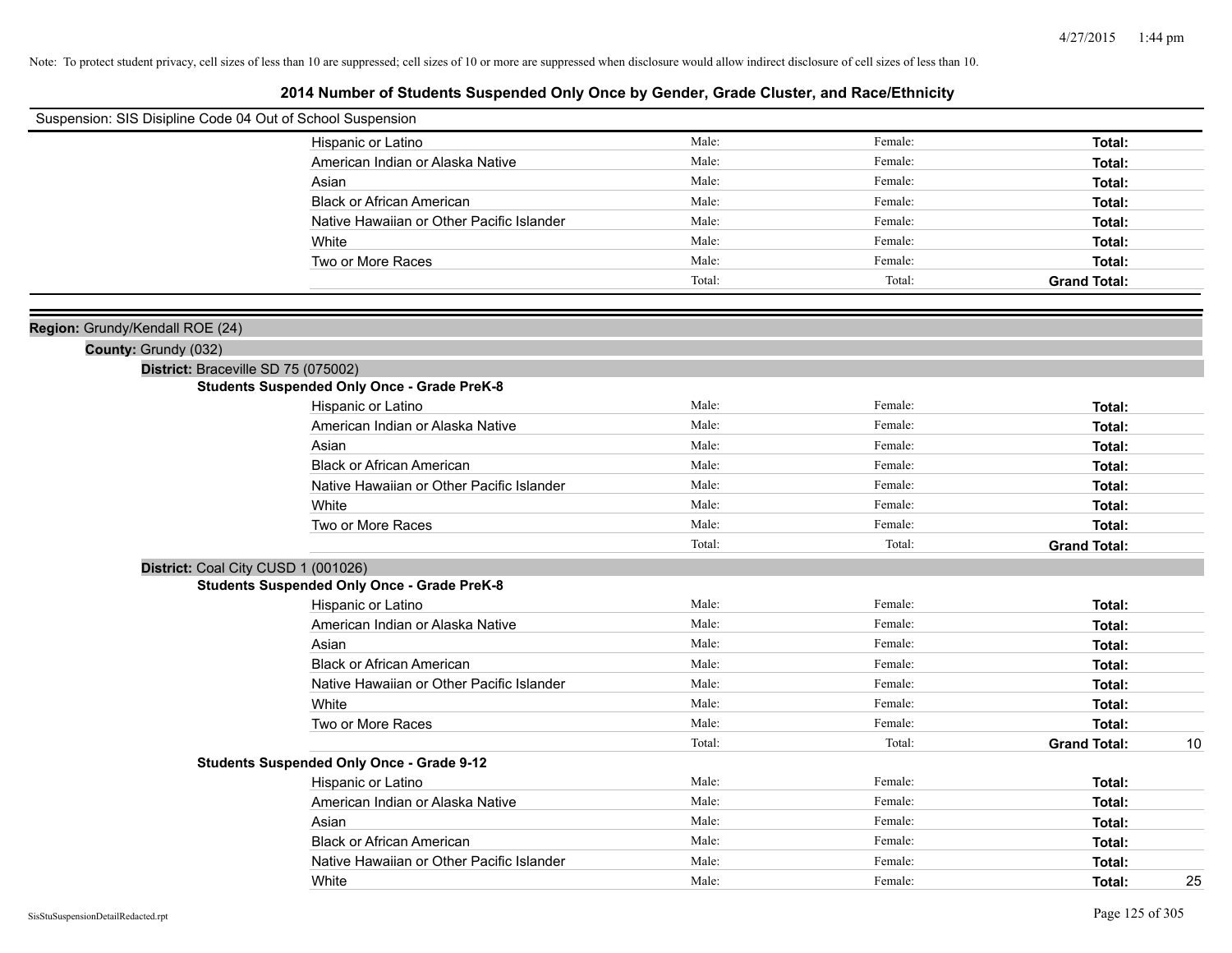| Suspension: SIS Disipline Code 04 Out of School Suspension |                                                    |        |         |                     |    |
|------------------------------------------------------------|----------------------------------------------------|--------|---------|---------------------|----|
|                                                            | Hispanic or Latino                                 | Male:  | Female: | Total:              |    |
|                                                            | American Indian or Alaska Native                   | Male:  | Female: | Total:              |    |
|                                                            | Asian                                              | Male:  | Female: | Total:              |    |
|                                                            | <b>Black or African American</b>                   | Male:  | Female: | Total:              |    |
|                                                            | Native Hawaiian or Other Pacific Islander          | Male:  | Female: | Total:              |    |
|                                                            | White                                              | Male:  | Female: | Total:              |    |
|                                                            | Two or More Races                                  | Male:  | Female: | Total:              |    |
|                                                            |                                                    | Total: | Total:  | <b>Grand Total:</b> |    |
|                                                            |                                                    |        |         |                     |    |
| Region: Grundy/Kendall ROE (24)                            |                                                    |        |         |                     |    |
| County: Grundy (032)                                       |                                                    |        |         |                     |    |
|                                                            | District: Braceville SD 75 (075002)                |        |         |                     |    |
|                                                            | <b>Students Suspended Only Once - Grade PreK-8</b> |        |         |                     |    |
|                                                            | Hispanic or Latino                                 | Male:  | Female: | Total:              |    |
|                                                            | American Indian or Alaska Native                   | Male:  | Female: | Total:              |    |
|                                                            | Asian                                              | Male:  | Female: | Total:              |    |
|                                                            | <b>Black or African American</b>                   | Male:  | Female: | Total:              |    |
|                                                            | Native Hawaiian or Other Pacific Islander          | Male:  | Female: | Total:              |    |
|                                                            | White                                              | Male:  | Female: | Total:              |    |
|                                                            | Two or More Races                                  | Male:  | Female: | Total:              |    |
|                                                            |                                                    | Total: | Total:  | <b>Grand Total:</b> |    |
|                                                            | District: Coal City CUSD 1 (001026)                |        |         |                     |    |
|                                                            | <b>Students Suspended Only Once - Grade PreK-8</b> |        |         |                     |    |
|                                                            | Hispanic or Latino                                 | Male:  | Female: | Total:              |    |
|                                                            | American Indian or Alaska Native                   | Male:  | Female: | Total:              |    |
|                                                            | Asian                                              | Male:  | Female: | Total:              |    |
|                                                            | <b>Black or African American</b>                   | Male:  | Female: | Total:              |    |
|                                                            | Native Hawaiian or Other Pacific Islander          | Male:  | Female: | Total:              |    |
|                                                            | White                                              | Male:  | Female: | Total:              |    |
|                                                            | Two or More Races                                  | Male:  | Female: | Total:              |    |
|                                                            |                                                    | Total: | Total:  | <b>Grand Total:</b> | 10 |
|                                                            | <b>Students Suspended Only Once - Grade 9-12</b>   |        |         |                     |    |
|                                                            | Hispanic or Latino                                 | Male:  | Female: | Total:              |    |
|                                                            | American Indian or Alaska Native                   | Male:  | Female: | Total:              |    |
|                                                            | Asian                                              | Male:  | Female: | Total:              |    |
|                                                            | <b>Black or African American</b>                   | Male:  | Female: | Total:              |    |
|                                                            | Native Hawaiian or Other Pacific Islander          | Male:  | Female: | Total:              |    |
|                                                            | White                                              | Male:  | Female: | Total:              | 25 |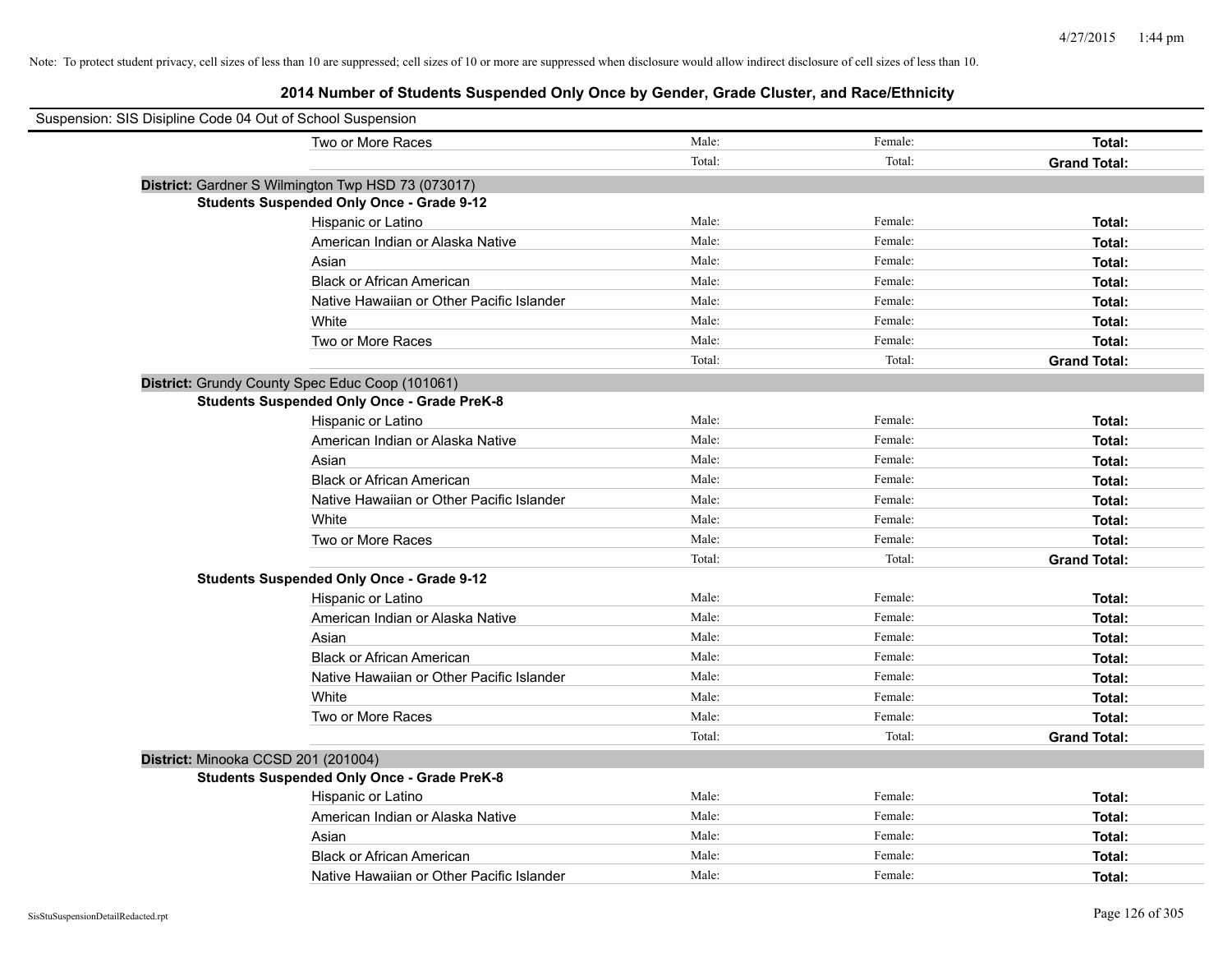| Suspension: SIS Disipline Code 04 Out of School Suspension |                                                    |        |         |                     |
|------------------------------------------------------------|----------------------------------------------------|--------|---------|---------------------|
|                                                            | Two or More Races                                  | Male:  | Female: | Total:              |
|                                                            |                                                    | Total: | Total:  | <b>Grand Total:</b> |
|                                                            | District: Gardner S Wilmington Twp HSD 73 (073017) |        |         |                     |
|                                                            | <b>Students Suspended Only Once - Grade 9-12</b>   |        |         |                     |
|                                                            | Hispanic or Latino                                 | Male:  | Female: | Total:              |
|                                                            | American Indian or Alaska Native                   | Male:  | Female: | Total:              |
|                                                            | Asian                                              | Male:  | Female: | Total:              |
|                                                            | <b>Black or African American</b>                   | Male:  | Female: | Total:              |
|                                                            | Native Hawaiian or Other Pacific Islander          | Male:  | Female: | Total:              |
|                                                            | White                                              | Male:  | Female: | Total:              |
|                                                            | Two or More Races                                  | Male:  | Female: | Total:              |
|                                                            |                                                    | Total: | Total:  | <b>Grand Total:</b> |
|                                                            | District: Grundy County Spec Educ Coop (101061)    |        |         |                     |
|                                                            | <b>Students Suspended Only Once - Grade PreK-8</b> |        |         |                     |
|                                                            | Hispanic or Latino                                 | Male:  | Female: | Total:              |
|                                                            | American Indian or Alaska Native                   | Male:  | Female: | Total:              |
|                                                            | Asian                                              | Male:  | Female: | Total:              |
|                                                            | <b>Black or African American</b>                   | Male:  | Female: | Total:              |
|                                                            | Native Hawaiian or Other Pacific Islander          | Male:  | Female: | Total:              |
|                                                            | White                                              | Male:  | Female: | Total:              |
|                                                            | Two or More Races                                  | Male:  | Female: | Total:              |
|                                                            |                                                    | Total: | Total:  | <b>Grand Total:</b> |
|                                                            | <b>Students Suspended Only Once - Grade 9-12</b>   |        |         |                     |
|                                                            | Hispanic or Latino                                 | Male:  | Female: | Total:              |
|                                                            | American Indian or Alaska Native                   | Male:  | Female: | Total:              |
|                                                            | Asian                                              | Male:  | Female: | Total:              |
|                                                            | <b>Black or African American</b>                   | Male:  | Female: | Total:              |
|                                                            | Native Hawaiian or Other Pacific Islander          | Male:  | Female: | Total:              |
|                                                            | White                                              | Male:  | Female: | Total:              |
|                                                            | Two or More Races                                  | Male:  | Female: | Total:              |
|                                                            |                                                    | Total: | Total:  | <b>Grand Total:</b> |
| District: Minooka CCSD 201 (201004)                        |                                                    |        |         |                     |
|                                                            | <b>Students Suspended Only Once - Grade PreK-8</b> |        |         |                     |
|                                                            | Hispanic or Latino                                 | Male:  | Female: | Total:              |
|                                                            | American Indian or Alaska Native                   | Male:  | Female: | Total:              |
|                                                            | Asian                                              | Male:  | Female: | Total:              |
|                                                            | <b>Black or African American</b>                   | Male:  | Female: | Total:              |
|                                                            | Native Hawaiian or Other Pacific Islander          | Male:  | Female: | Total:              |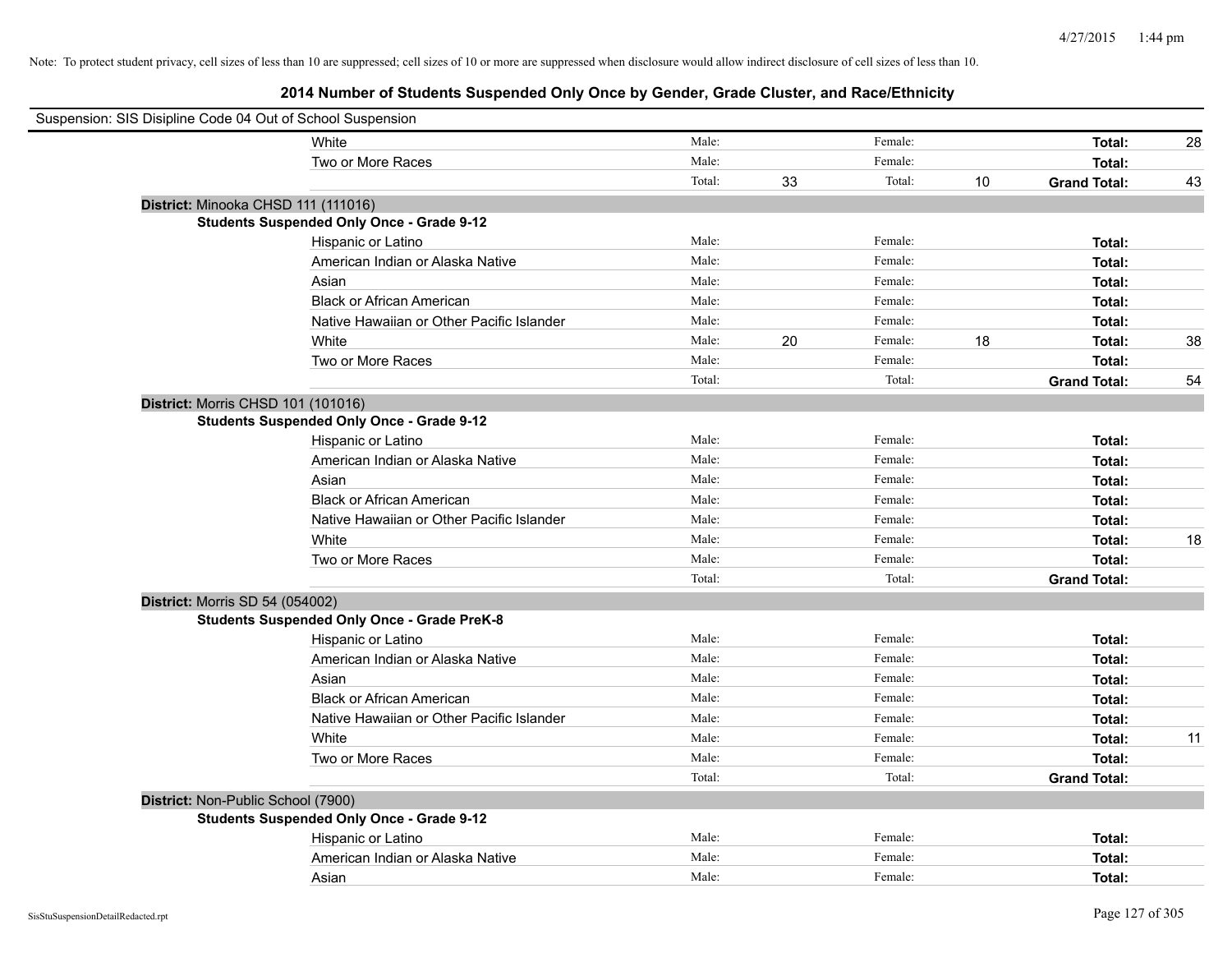| Suspension: SIS Disipline Code 04 Out of School Suspension |                                                    |        |    |         |    |                     |    |
|------------------------------------------------------------|----------------------------------------------------|--------|----|---------|----|---------------------|----|
|                                                            | White                                              | Male:  |    | Female: |    | Total:              | 28 |
|                                                            | Two or More Races                                  | Male:  |    | Female: |    | Total:              |    |
|                                                            |                                                    | Total: | 33 | Total:  | 10 | <b>Grand Total:</b> | 43 |
| District: Minooka CHSD 111 (111016)                        |                                                    |        |    |         |    |                     |    |
|                                                            | <b>Students Suspended Only Once - Grade 9-12</b>   |        |    |         |    |                     |    |
|                                                            | Hispanic or Latino                                 | Male:  |    | Female: |    | Total:              |    |
|                                                            | American Indian or Alaska Native                   | Male:  |    | Female: |    | Total:              |    |
|                                                            | Asian                                              | Male:  |    | Female: |    | Total:              |    |
|                                                            | <b>Black or African American</b>                   | Male:  |    | Female: |    | Total:              |    |
|                                                            | Native Hawaiian or Other Pacific Islander          | Male:  |    | Female: |    | Total:              |    |
|                                                            | White                                              | Male:  | 20 | Female: | 18 | Total:              | 38 |
|                                                            | Two or More Races                                  | Male:  |    | Female: |    | Total:              |    |
|                                                            |                                                    | Total: |    | Total:  |    | <b>Grand Total:</b> | 54 |
| District: Morris CHSD 101 (101016)                         |                                                    |        |    |         |    |                     |    |
|                                                            | <b>Students Suspended Only Once - Grade 9-12</b>   |        |    |         |    |                     |    |
|                                                            | Hispanic or Latino                                 | Male:  |    | Female: |    | Total:              |    |
|                                                            | American Indian or Alaska Native                   | Male:  |    | Female: |    | Total:              |    |
|                                                            | Asian                                              | Male:  |    | Female: |    | Total:              |    |
|                                                            | <b>Black or African American</b>                   | Male:  |    | Female: |    | Total:              |    |
|                                                            | Native Hawaiian or Other Pacific Islander          | Male:  |    | Female: |    | Total:              |    |
|                                                            | White                                              | Male:  |    | Female: |    | Total:              | 18 |
|                                                            | Two or More Races                                  | Male:  |    | Female: |    | Total:              |    |
|                                                            |                                                    | Total: |    | Total:  |    | <b>Grand Total:</b> |    |
| District: Morris SD 54 (054002)                            |                                                    |        |    |         |    |                     |    |
|                                                            | <b>Students Suspended Only Once - Grade PreK-8</b> |        |    |         |    |                     |    |
|                                                            | Hispanic or Latino                                 | Male:  |    | Female: |    | Total:              |    |
|                                                            | American Indian or Alaska Native                   | Male:  |    | Female: |    | Total:              |    |
|                                                            | Asian                                              | Male:  |    | Female: |    | Total:              |    |
|                                                            | <b>Black or African American</b>                   | Male:  |    | Female: |    | Total:              |    |
|                                                            | Native Hawaiian or Other Pacific Islander          | Male:  |    | Female: |    | Total:              |    |
|                                                            | White                                              | Male:  |    | Female: |    | Total:              | 11 |
|                                                            | Two or More Races                                  | Male:  |    | Female: |    | Total:              |    |
|                                                            |                                                    | Total: |    | Total:  |    | <b>Grand Total:</b> |    |
| District: Non-Public School (7900)                         |                                                    |        |    |         |    |                     |    |
|                                                            | <b>Students Suspended Only Once - Grade 9-12</b>   |        |    |         |    |                     |    |
|                                                            | Hispanic or Latino                                 | Male:  |    | Female: |    | Total:              |    |
|                                                            | American Indian or Alaska Native                   | Male:  |    | Female: |    | Total:              |    |
|                                                            | Asian                                              | Male:  |    | Female: |    | Total:              |    |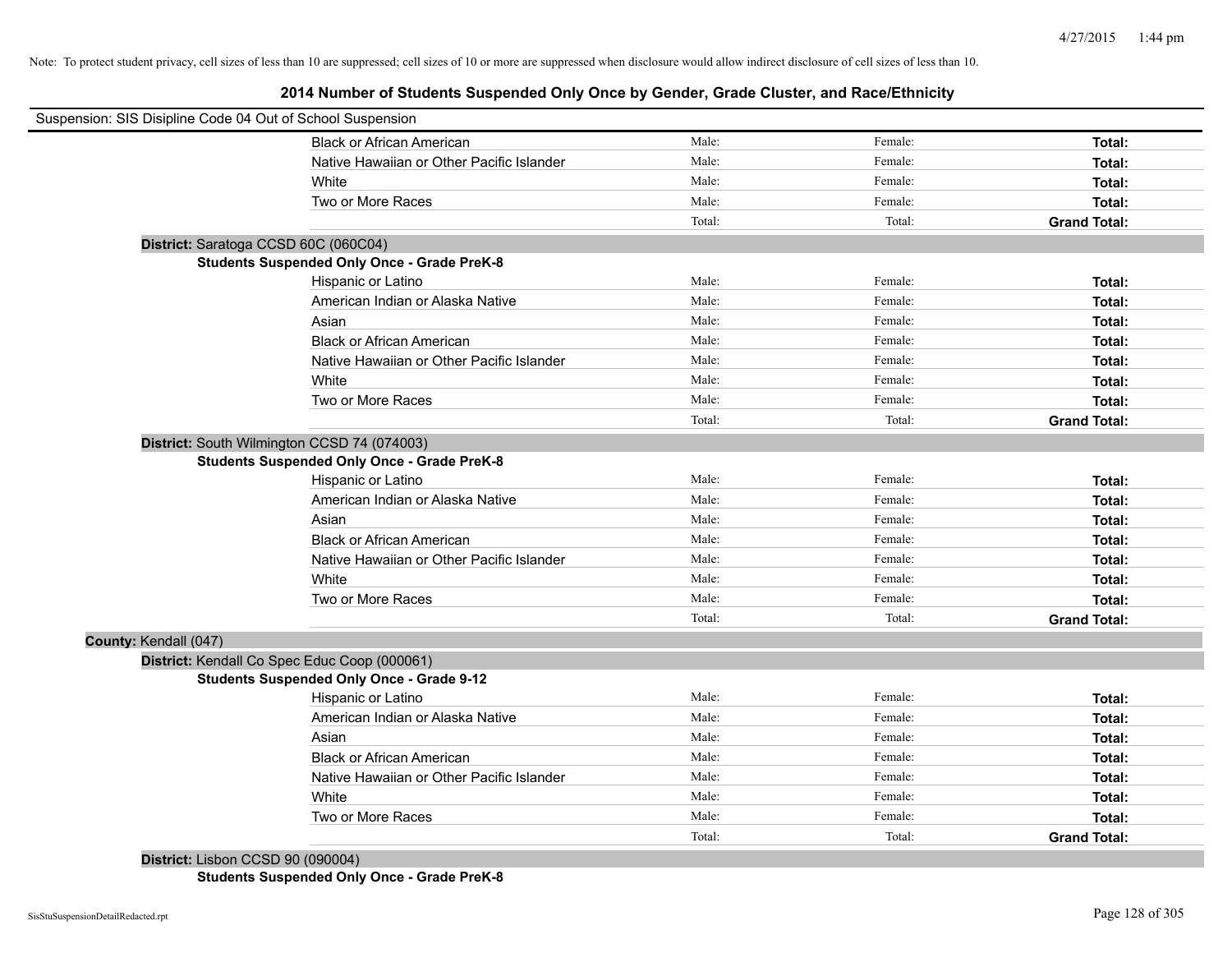# **2014 Number of Students Suspended Only Once by Gender, Grade Cluster, and Race/Ethnicity**

| Suspension: SIS Disipline Code 04 Out of School Suspension |                                                    |        |         |                     |
|------------------------------------------------------------|----------------------------------------------------|--------|---------|---------------------|
|                                                            | <b>Black or African American</b>                   | Male:  | Female: | Total:              |
|                                                            | Native Hawaiian or Other Pacific Islander          | Male:  | Female: | Total:              |
|                                                            | White                                              | Male:  | Female: | Total:              |
|                                                            | Two or More Races                                  | Male:  | Female: | Total:              |
|                                                            |                                                    | Total: | Total:  | <b>Grand Total:</b> |
|                                                            | District: Saratoga CCSD 60C (060C04)               |        |         |                     |
|                                                            | <b>Students Suspended Only Once - Grade PreK-8</b> |        |         |                     |
|                                                            | Hispanic or Latino                                 | Male:  | Female: | Total:              |
|                                                            | American Indian or Alaska Native                   | Male:  | Female: | Total:              |
|                                                            | Asian                                              | Male:  | Female: | Total:              |
|                                                            | <b>Black or African American</b>                   | Male:  | Female: | Total:              |
|                                                            | Native Hawaiian or Other Pacific Islander          | Male:  | Female: | Total:              |
|                                                            | White                                              | Male:  | Female: | Total:              |
|                                                            | Two or More Races                                  | Male:  | Female: | Total:              |
|                                                            |                                                    | Total: | Total:  | <b>Grand Total:</b> |
|                                                            | District: South Wilmington CCSD 74 (074003)        |        |         |                     |
|                                                            | <b>Students Suspended Only Once - Grade PreK-8</b> |        |         |                     |
|                                                            | Hispanic or Latino                                 | Male:  | Female: | Total:              |
|                                                            | American Indian or Alaska Native                   | Male:  | Female: | Total:              |
|                                                            | Asian                                              | Male:  | Female: | Total:              |
|                                                            | <b>Black or African American</b>                   | Male:  | Female: | Total:              |
|                                                            | Native Hawaiian or Other Pacific Islander          | Male:  | Female: | Total:              |
|                                                            | White                                              | Male:  | Female: | Total:              |
|                                                            | Two or More Races                                  | Male:  | Female: | Total:              |
|                                                            |                                                    | Total: | Total:  | <b>Grand Total:</b> |
| County: Kendall (047)                                      |                                                    |        |         |                     |
|                                                            | District: Kendall Co Spec Educ Coop (000061)       |        |         |                     |
|                                                            | <b>Students Suspended Only Once - Grade 9-12</b>   |        |         |                     |
|                                                            | Hispanic or Latino                                 | Male:  | Female: | Total:              |
|                                                            | American Indian or Alaska Native                   | Male:  | Female: | Total:              |
|                                                            | Asian                                              | Male:  | Female: | Total:              |
|                                                            | <b>Black or African American</b>                   | Male:  | Female: | Total:              |
|                                                            | Native Hawaiian or Other Pacific Islander          | Male:  | Female: | Total:              |
|                                                            | White                                              | Male:  | Female: | Total:              |
|                                                            | Two or More Races                                  | Male:  | Female: | Total:              |
|                                                            |                                                    | Total: | Total:  | <b>Grand Total:</b> |
|                                                            |                                                    |        |         |                     |

**District:** Lisbon CCSD 90 (090004) **Students Suspended Only Once - Grade PreK-8**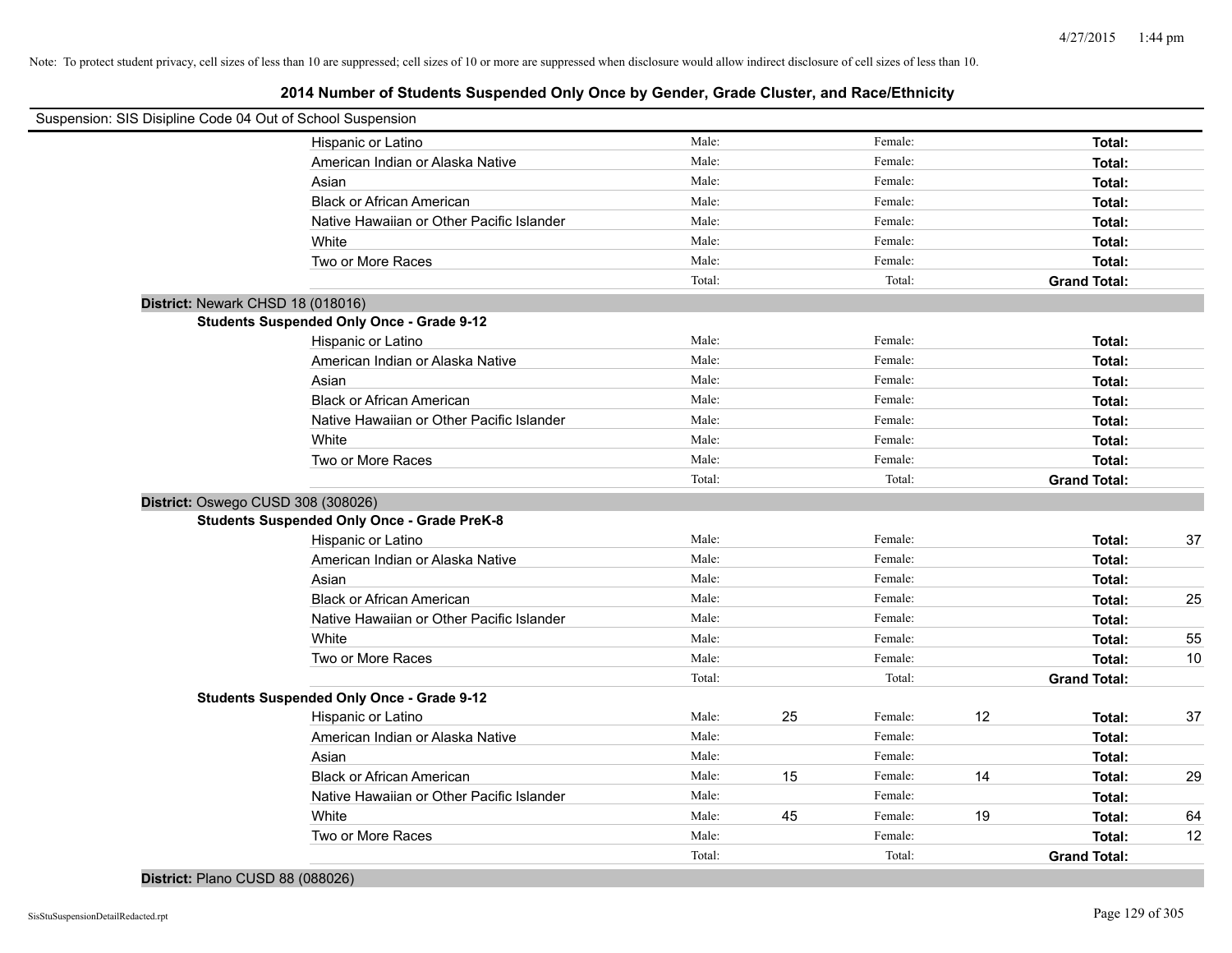| Suspension: SIS Disipline Code 04 Out of School Suspension |                                                    |        |    |         |    |                     |    |
|------------------------------------------------------------|----------------------------------------------------|--------|----|---------|----|---------------------|----|
|                                                            | Hispanic or Latino                                 | Male:  |    | Female: |    | Total:              |    |
|                                                            | American Indian or Alaska Native                   | Male:  |    | Female: |    | Total:              |    |
|                                                            | Asian                                              | Male:  |    | Female: |    | Total:              |    |
|                                                            | <b>Black or African American</b>                   | Male:  |    | Female: |    | Total:              |    |
|                                                            | Native Hawaiian or Other Pacific Islander          | Male:  |    | Female: |    | Total:              |    |
|                                                            | White                                              | Male:  |    | Female: |    | Total:              |    |
|                                                            | Two or More Races                                  | Male:  |    | Female: |    | Total:              |    |
|                                                            |                                                    | Total: |    | Total:  |    | <b>Grand Total:</b> |    |
| District: Newark CHSD 18 (018016)                          |                                                    |        |    |         |    |                     |    |
|                                                            | <b>Students Suspended Only Once - Grade 9-12</b>   |        |    |         |    |                     |    |
|                                                            | Hispanic or Latino                                 | Male:  |    | Female: |    | Total:              |    |
|                                                            | American Indian or Alaska Native                   | Male:  |    | Female: |    | Total:              |    |
|                                                            | Asian                                              | Male:  |    | Female: |    | Total:              |    |
|                                                            | <b>Black or African American</b>                   | Male:  |    | Female: |    | Total:              |    |
|                                                            | Native Hawaiian or Other Pacific Islander          | Male:  |    | Female: |    | Total:              |    |
|                                                            | White                                              | Male:  |    | Female: |    | Total:              |    |
|                                                            | Two or More Races                                  | Male:  |    | Female: |    | Total:              |    |
|                                                            |                                                    | Total: |    | Total:  |    | <b>Grand Total:</b> |    |
| District: Oswego CUSD 308 (308026)                         |                                                    |        |    |         |    |                     |    |
|                                                            | <b>Students Suspended Only Once - Grade PreK-8</b> |        |    |         |    |                     |    |
|                                                            | Hispanic or Latino                                 | Male:  |    | Female: |    | Total:              | 37 |
|                                                            | American Indian or Alaska Native                   | Male:  |    | Female: |    | Total:              |    |
|                                                            | Asian                                              | Male:  |    | Female: |    | Total:              |    |
|                                                            | <b>Black or African American</b>                   | Male:  |    | Female: |    | Total:              | 25 |
|                                                            | Native Hawaiian or Other Pacific Islander          | Male:  |    | Female: |    | Total:              |    |
|                                                            | White                                              | Male:  |    | Female: |    | Total:              | 55 |
|                                                            | Two or More Races                                  | Male:  |    | Female: |    | Total:              | 10 |
|                                                            |                                                    | Total: |    | Total:  |    | <b>Grand Total:</b> |    |
|                                                            | <b>Students Suspended Only Once - Grade 9-12</b>   |        |    |         |    |                     |    |
|                                                            | Hispanic or Latino                                 | Male:  | 25 | Female: | 12 | Total:              | 37 |
|                                                            | American Indian or Alaska Native                   | Male:  |    | Female: |    | Total:              |    |
|                                                            | Asian                                              | Male:  |    | Female: |    | Total:              |    |
|                                                            | <b>Black or African American</b>                   | Male:  | 15 | Female: | 14 | Total:              | 29 |
|                                                            | Native Hawaiian or Other Pacific Islander          | Male:  |    | Female: |    | Total:              |    |
|                                                            | White                                              | Male:  | 45 | Female: | 19 | Total:              | 64 |
|                                                            | Two or More Races                                  | Male:  |    | Female: |    | Total:              | 12 |
|                                                            |                                                    | Total: |    | Total:  |    | <b>Grand Total:</b> |    |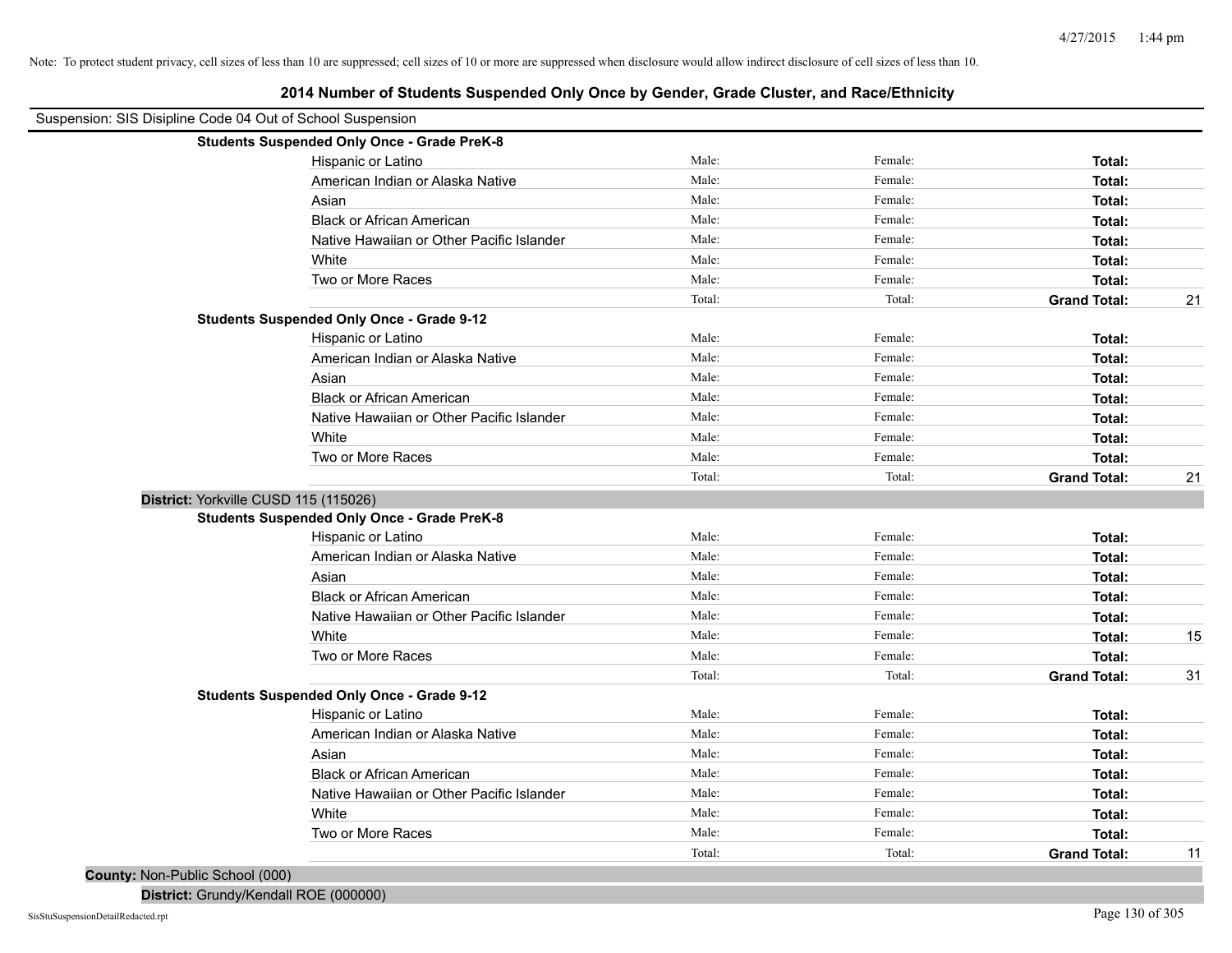| Suspension: SIS Disipline Code 04 Out of School Suspension | Let it number of olducing ougletings only once by ochuer, order onder, and nuclearment |        |         |                     |    |
|------------------------------------------------------------|----------------------------------------------------------------------------------------|--------|---------|---------------------|----|
|                                                            | <b>Students Suspended Only Once - Grade PreK-8</b>                                     |        |         |                     |    |
|                                                            | Hispanic or Latino                                                                     | Male:  | Female: | Total:              |    |
|                                                            | American Indian or Alaska Native                                                       | Male:  | Female: | Total:              |    |
|                                                            | Asian                                                                                  | Male:  | Female: | Total:              |    |
|                                                            | <b>Black or African American</b>                                                       | Male:  | Female: | Total:              |    |
|                                                            | Native Hawaiian or Other Pacific Islander                                              | Male:  | Female: | Total:              |    |
|                                                            | White                                                                                  | Male:  | Female: | Total:              |    |
|                                                            | Two or More Races                                                                      | Male:  | Female: | Total:              |    |
|                                                            |                                                                                        | Total: | Total:  | <b>Grand Total:</b> | 21 |
|                                                            | <b>Students Suspended Only Once - Grade 9-12</b>                                       |        |         |                     |    |
|                                                            | Hispanic or Latino                                                                     | Male:  | Female: | Total:              |    |
|                                                            | American Indian or Alaska Native                                                       | Male:  | Female: | Total:              |    |
|                                                            | Asian                                                                                  | Male:  | Female: | Total:              |    |
|                                                            | <b>Black or African American</b>                                                       | Male:  | Female: | Total:              |    |
|                                                            | Native Hawaiian or Other Pacific Islander                                              | Male:  | Female: | Total:              |    |
|                                                            | White                                                                                  | Male:  | Female: | Total:              |    |
|                                                            | Two or More Races                                                                      | Male:  | Female: | Total:              |    |
|                                                            |                                                                                        | Total: | Total:  | <b>Grand Total:</b> | 21 |
|                                                            | District: Yorkville CUSD 115 (115026)                                                  |        |         |                     |    |
|                                                            | <b>Students Suspended Only Once - Grade PreK-8</b>                                     |        |         |                     |    |
|                                                            | Hispanic or Latino                                                                     | Male:  | Female: | Total:              |    |
|                                                            | American Indian or Alaska Native                                                       | Male:  | Female: | Total:              |    |
|                                                            | Asian                                                                                  | Male:  | Female: | Total:              |    |
|                                                            | <b>Black or African American</b>                                                       | Male:  | Female: | Total:              |    |
|                                                            | Native Hawaiian or Other Pacific Islander                                              | Male:  | Female: | Total:              |    |
|                                                            | White                                                                                  | Male:  | Female: | Total:              | 15 |
|                                                            | Two or More Races                                                                      | Male:  | Female: | Total:              |    |
|                                                            |                                                                                        | Total: | Total:  | <b>Grand Total:</b> | 31 |
|                                                            | <b>Students Suspended Only Once - Grade 9-12</b>                                       |        |         |                     |    |
|                                                            | Hispanic or Latino                                                                     | Male:  | Female: | Total:              |    |
|                                                            | American Indian or Alaska Native                                                       | Male:  | Female: | Total:              |    |
|                                                            | Asian                                                                                  | Male:  | Female: | Total:              |    |
|                                                            | <b>Black or African American</b>                                                       | Male:  | Female: | Total:              |    |
|                                                            | Native Hawaiian or Other Pacific Islander                                              | Male:  | Female: | Total:              |    |
|                                                            | White                                                                                  | Male:  | Female: | Total:              |    |
|                                                            | Two or More Races                                                                      | Male:  | Female: | Total:              |    |
|                                                            |                                                                                        | Total: | Total:  | <b>Grand Total:</b> | 11 |

**2014 Number of Students Suspended Only Once by Gender, Grade Cluster, and Race/Ethnicity**

**County:** Non-Public School (000)

**District:** Grundy/Kendall ROE (000000)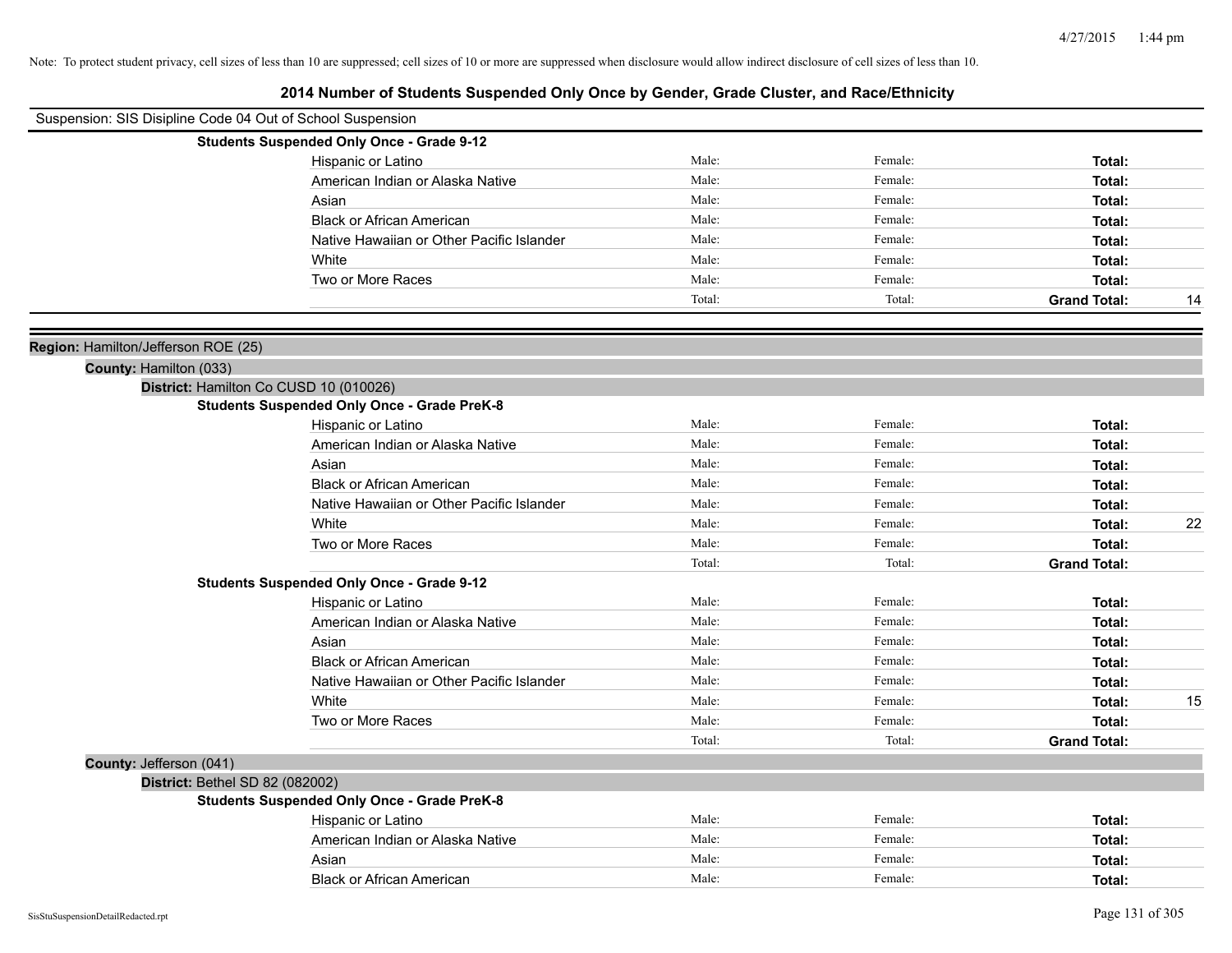| Suspension: SIS Disipline Code 04 Out of School Suspension    |                                                    |        |         |                     |    |
|---------------------------------------------------------------|----------------------------------------------------|--------|---------|---------------------|----|
|                                                               | <b>Students Suspended Only Once - Grade 9-12</b>   |        |         |                     |    |
|                                                               | Hispanic or Latino                                 | Male:  | Female: | Total:              |    |
|                                                               | American Indian or Alaska Native                   | Male:  | Female: | Total:              |    |
|                                                               | Asian                                              | Male:  | Female: | Total:              |    |
|                                                               | <b>Black or African American</b>                   | Male:  | Female: | Total:              |    |
|                                                               | Native Hawaiian or Other Pacific Islander          | Male:  | Female: | Total:              |    |
|                                                               | White                                              | Male:  | Female: | Total:              |    |
|                                                               | Two or More Races                                  | Male:  | Female: | Total:              |    |
|                                                               |                                                    | Total: | Total:  | <b>Grand Total:</b> | 14 |
|                                                               |                                                    |        |         |                     |    |
| Region: Hamilton/Jefferson ROE (25)<br>County: Hamilton (033) |                                                    |        |         |                     |    |
|                                                               | District: Hamilton Co CUSD 10 (010026)             |        |         |                     |    |
|                                                               | <b>Students Suspended Only Once - Grade PreK-8</b> |        |         |                     |    |
|                                                               | Hispanic or Latino                                 | Male:  | Female: | Total:              |    |
|                                                               | American Indian or Alaska Native                   | Male:  | Female: | Total:              |    |
|                                                               | Asian                                              | Male:  | Female: | Total:              |    |
|                                                               | <b>Black or African American</b>                   | Male:  | Female: | Total:              |    |
|                                                               | Native Hawaiian or Other Pacific Islander          | Male:  | Female: | Total:              |    |
|                                                               | White                                              | Male:  | Female: | Total:              | 22 |
|                                                               | Two or More Races                                  | Male:  | Female: | Total:              |    |
|                                                               |                                                    | Total: | Total:  | <b>Grand Total:</b> |    |
|                                                               | <b>Students Suspended Only Once - Grade 9-12</b>   |        |         |                     |    |
|                                                               | Hispanic or Latino                                 | Male:  | Female: | Total:              |    |
|                                                               | American Indian or Alaska Native                   | Male:  | Female: | Total:              |    |
|                                                               | Asian                                              | Male:  | Female: | Total:              |    |
|                                                               | <b>Black or African American</b>                   | Male:  | Female: | Total:              |    |
|                                                               | Native Hawaiian or Other Pacific Islander          | Male:  | Female: | Total:              |    |
|                                                               | White                                              | Male:  | Female: | Total:              | 15 |
|                                                               | Two or More Races                                  | Male:  | Female: | Total:              |    |
|                                                               |                                                    | Total: | Total:  | <b>Grand Total:</b> |    |
| County: Jefferson (041)                                       |                                                    |        |         |                     |    |
| District: Bethel SD 82 (082002)                               | <b>Students Suspended Only Once - Grade PreK-8</b> |        |         |                     |    |
|                                                               | Hispanic or Latino                                 | Male:  | Female: | Total:              |    |
|                                                               | American Indian or Alaska Native                   | Male:  | Female: | Total:              |    |
|                                                               | Asian                                              | Male:  | Female: | Total:              |    |
|                                                               | <b>Black or African American</b>                   | Male:  | Female: | Total:              |    |
|                                                               |                                                    |        |         |                     |    |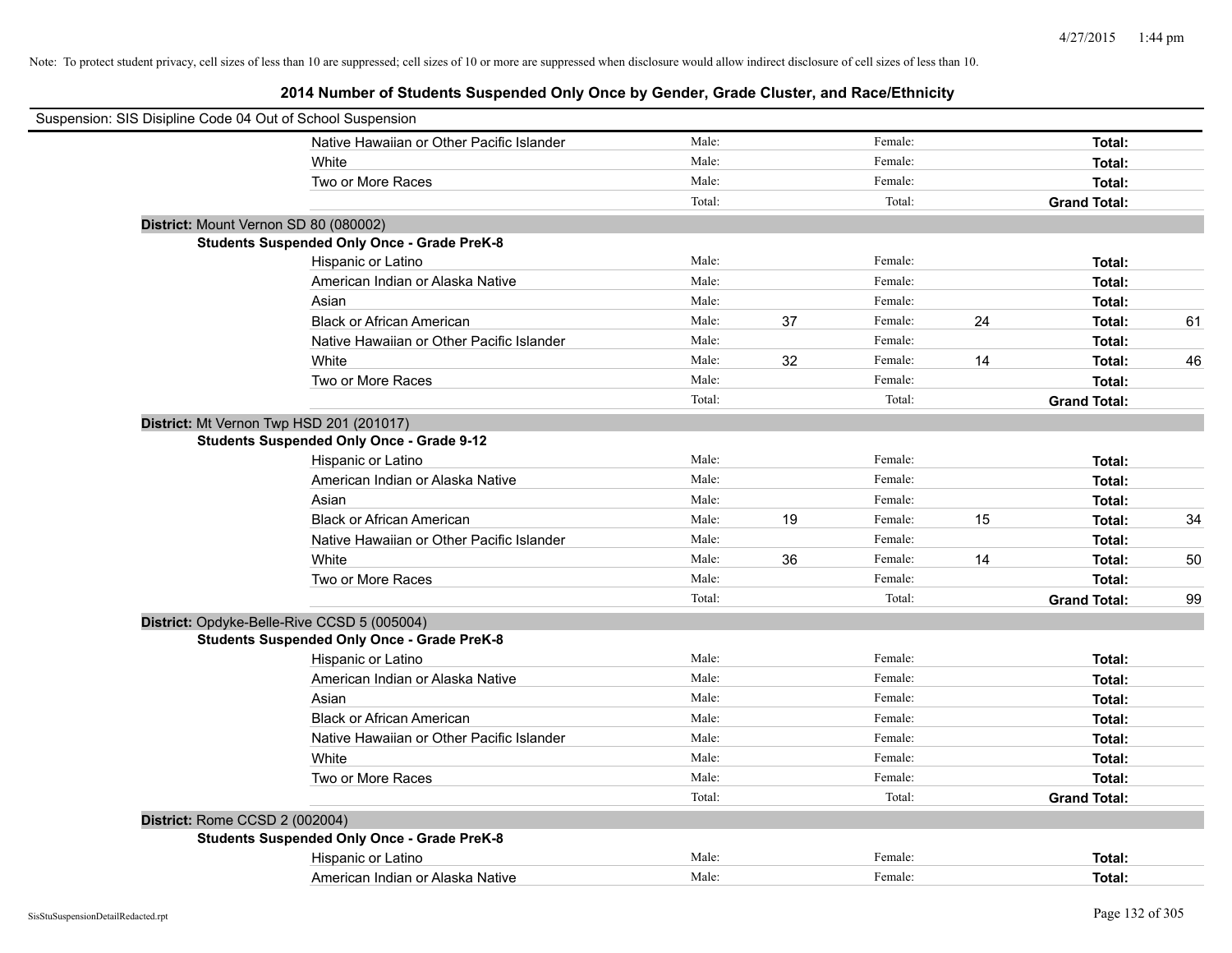|                                | Suspension: SIS Disipline Code 04 Out of School Suspension |        |    |         |    |                     |    |
|--------------------------------|------------------------------------------------------------|--------|----|---------|----|---------------------|----|
|                                | Native Hawaiian or Other Pacific Islander                  | Male:  |    | Female: |    | Total:              |    |
|                                | White                                                      | Male:  |    | Female: |    | Total:              |    |
|                                | Two or More Races                                          | Male:  |    | Female: |    | Total:              |    |
|                                |                                                            | Total: |    | Total:  |    | <b>Grand Total:</b> |    |
|                                | District: Mount Vernon SD 80 (080002)                      |        |    |         |    |                     |    |
|                                | <b>Students Suspended Only Once - Grade PreK-8</b>         |        |    |         |    |                     |    |
|                                | Hispanic or Latino                                         | Male:  |    | Female: |    | Total:              |    |
|                                | American Indian or Alaska Native                           | Male:  |    | Female: |    | Total:              |    |
|                                | Asian                                                      | Male:  |    | Female: |    | Total:              |    |
|                                | <b>Black or African American</b>                           | Male:  | 37 | Female: | 24 | Total:              | 61 |
|                                | Native Hawaiian or Other Pacific Islander                  | Male:  |    | Female: |    | Total:              |    |
|                                | White                                                      | Male:  | 32 | Female: | 14 | Total:              | 46 |
|                                | Two or More Races                                          | Male:  |    | Female: |    | Total:              |    |
|                                |                                                            | Total: |    | Total:  |    | <b>Grand Total:</b> |    |
|                                | District: Mt Vernon Twp HSD 201 (201017)                   |        |    |         |    |                     |    |
|                                | <b>Students Suspended Only Once - Grade 9-12</b>           |        |    |         |    |                     |    |
|                                | Hispanic or Latino                                         | Male:  |    | Female: |    | Total:              |    |
|                                | American Indian or Alaska Native                           | Male:  |    | Female: |    | Total:              |    |
|                                | Asian                                                      | Male:  |    | Female: |    | Total:              |    |
|                                | <b>Black or African American</b>                           | Male:  | 19 | Female: | 15 | Total:              | 34 |
|                                | Native Hawaiian or Other Pacific Islander                  | Male:  |    | Female: |    | Total:              |    |
|                                | White                                                      | Male:  | 36 | Female: | 14 | Total:              | 50 |
|                                | Two or More Races                                          | Male:  |    | Female: |    | Total:              |    |
|                                |                                                            | Total: |    | Total:  |    | <b>Grand Total:</b> | 99 |
|                                | District: Opdyke-Belle-Rive CCSD 5 (005004)                |        |    |         |    |                     |    |
|                                | <b>Students Suspended Only Once - Grade PreK-8</b>         |        |    |         |    |                     |    |
|                                | Hispanic or Latino                                         | Male:  |    | Female: |    | Total:              |    |
|                                | American Indian or Alaska Native                           | Male:  |    | Female: |    | Total:              |    |
|                                | Asian                                                      | Male:  |    | Female: |    | Total:              |    |
|                                | <b>Black or African American</b>                           | Male:  |    | Female: |    | Total:              |    |
|                                | Native Hawaiian or Other Pacific Islander                  | Male:  |    | Female: |    | Total:              |    |
|                                | White                                                      | Male:  |    | Female: |    | Total:              |    |
|                                | Two or More Races                                          | Male:  |    | Female: |    | Total:              |    |
|                                |                                                            | Total: |    | Total:  |    | <b>Grand Total:</b> |    |
| District: Rome CCSD 2 (002004) |                                                            |        |    |         |    |                     |    |
|                                | <b>Students Suspended Only Once - Grade PreK-8</b>         |        |    |         |    |                     |    |
|                                | Hispanic or Latino                                         | Male:  |    | Female: |    | Total:              |    |
|                                | American Indian or Alaska Native                           | Male:  |    | Female: |    | Total:              |    |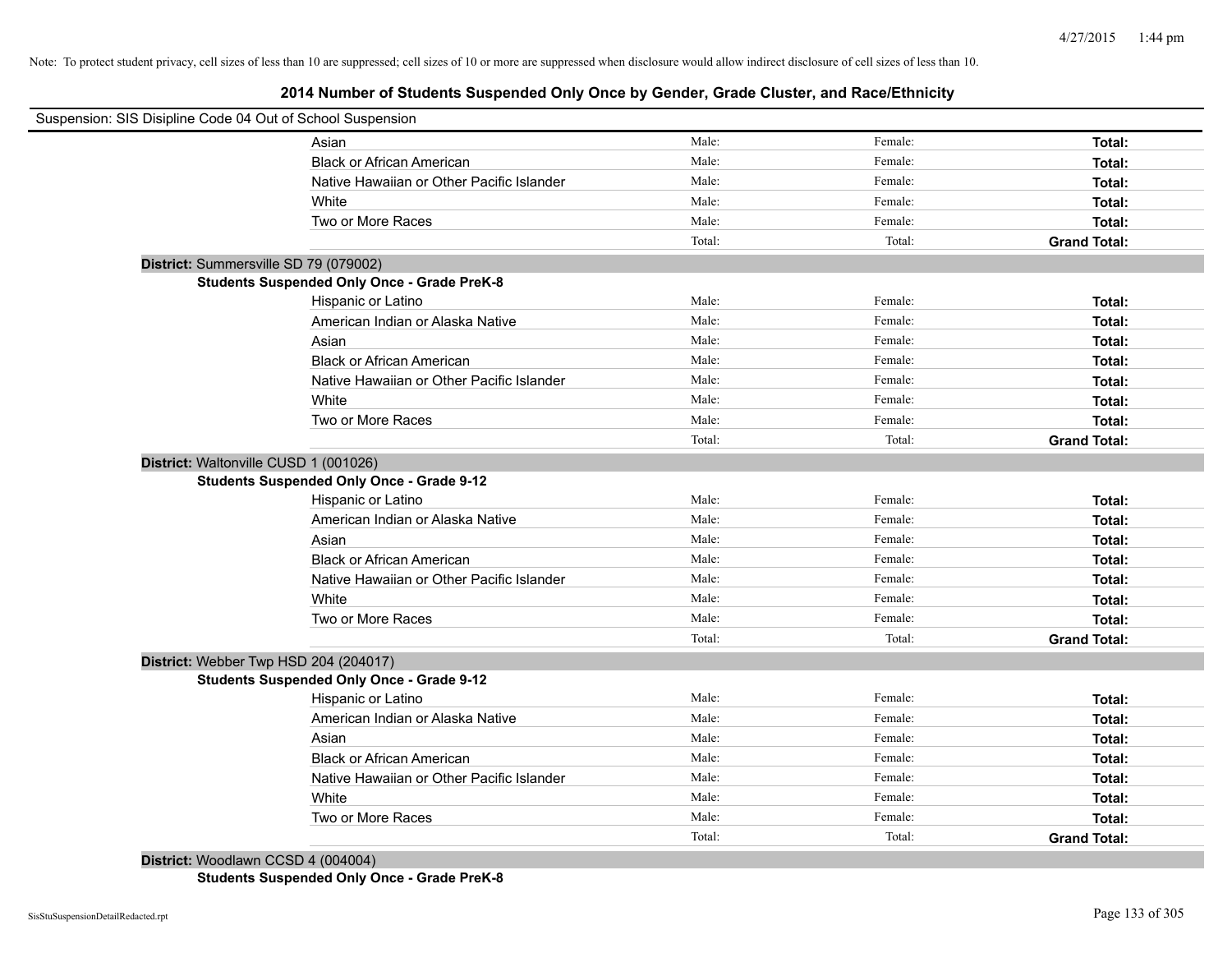# **2014 Number of Students Suspended Only Once by Gender, Grade Cluster, and Race/Ethnicity**

| Suspension: SIS Disipline Code 04 Out of School Suspension |                                                    |        |         |                     |
|------------------------------------------------------------|----------------------------------------------------|--------|---------|---------------------|
|                                                            | Asian                                              | Male:  | Female: | Total:              |
|                                                            | <b>Black or African American</b>                   | Male:  | Female: | Total:              |
|                                                            | Native Hawaiian or Other Pacific Islander          | Male:  | Female: | Total:              |
|                                                            | White                                              | Male:  | Female: | Total:              |
|                                                            | Two or More Races                                  | Male:  | Female: | Total:              |
|                                                            |                                                    | Total: | Total:  | <b>Grand Total:</b> |
| District: Summersville SD 79 (079002)                      |                                                    |        |         |                     |
|                                                            | <b>Students Suspended Only Once - Grade PreK-8</b> |        |         |                     |
|                                                            | Hispanic or Latino                                 | Male:  | Female: | Total:              |
|                                                            | American Indian or Alaska Native                   | Male:  | Female: | Total:              |
|                                                            | Asian                                              | Male:  | Female: | Total:              |
|                                                            | <b>Black or African American</b>                   | Male:  | Female: | Total:              |
|                                                            | Native Hawaiian or Other Pacific Islander          | Male:  | Female: | Total:              |
|                                                            | White                                              | Male:  | Female: | Total:              |
|                                                            | Two or More Races                                  | Male:  | Female: | Total:              |
|                                                            |                                                    | Total: | Total:  | <b>Grand Total:</b> |
| District: Waltonville CUSD 1 (001026)                      |                                                    |        |         |                     |
|                                                            | <b>Students Suspended Only Once - Grade 9-12</b>   |        |         |                     |
|                                                            | Hispanic or Latino                                 | Male:  | Female: | Total:              |
|                                                            | American Indian or Alaska Native                   | Male:  | Female: | Total:              |
|                                                            | Asian                                              | Male:  | Female: | Total:              |
|                                                            | <b>Black or African American</b>                   | Male:  | Female: | Total:              |
|                                                            | Native Hawaiian or Other Pacific Islander          | Male:  | Female: | Total:              |
|                                                            | White                                              | Male:  | Female: | Total:              |
|                                                            | Two or More Races                                  | Male:  | Female: | Total:              |
|                                                            |                                                    | Total: | Total:  | <b>Grand Total:</b> |
| District: Webber Twp HSD 204 (204017)                      |                                                    |        |         |                     |
|                                                            | <b>Students Suspended Only Once - Grade 9-12</b>   |        |         |                     |
|                                                            | Hispanic or Latino                                 | Male:  | Female: | Total:              |
|                                                            | American Indian or Alaska Native                   | Male:  | Female: | Total:              |
|                                                            | Asian                                              | Male:  | Female: | Total:              |
|                                                            | <b>Black or African American</b>                   | Male:  | Female: | Total:              |
|                                                            | Native Hawaiian or Other Pacific Islander          | Male:  | Female: | Total:              |
|                                                            | White                                              | Male:  | Female: | Total:              |
|                                                            | Two or More Races                                  | Male:  | Female: | Total:              |
|                                                            |                                                    | Total: | Total:  | <b>Grand Total:</b> |
|                                                            |                                                    |        |         |                     |

**District:** Woodlawn CCSD 4 (004004)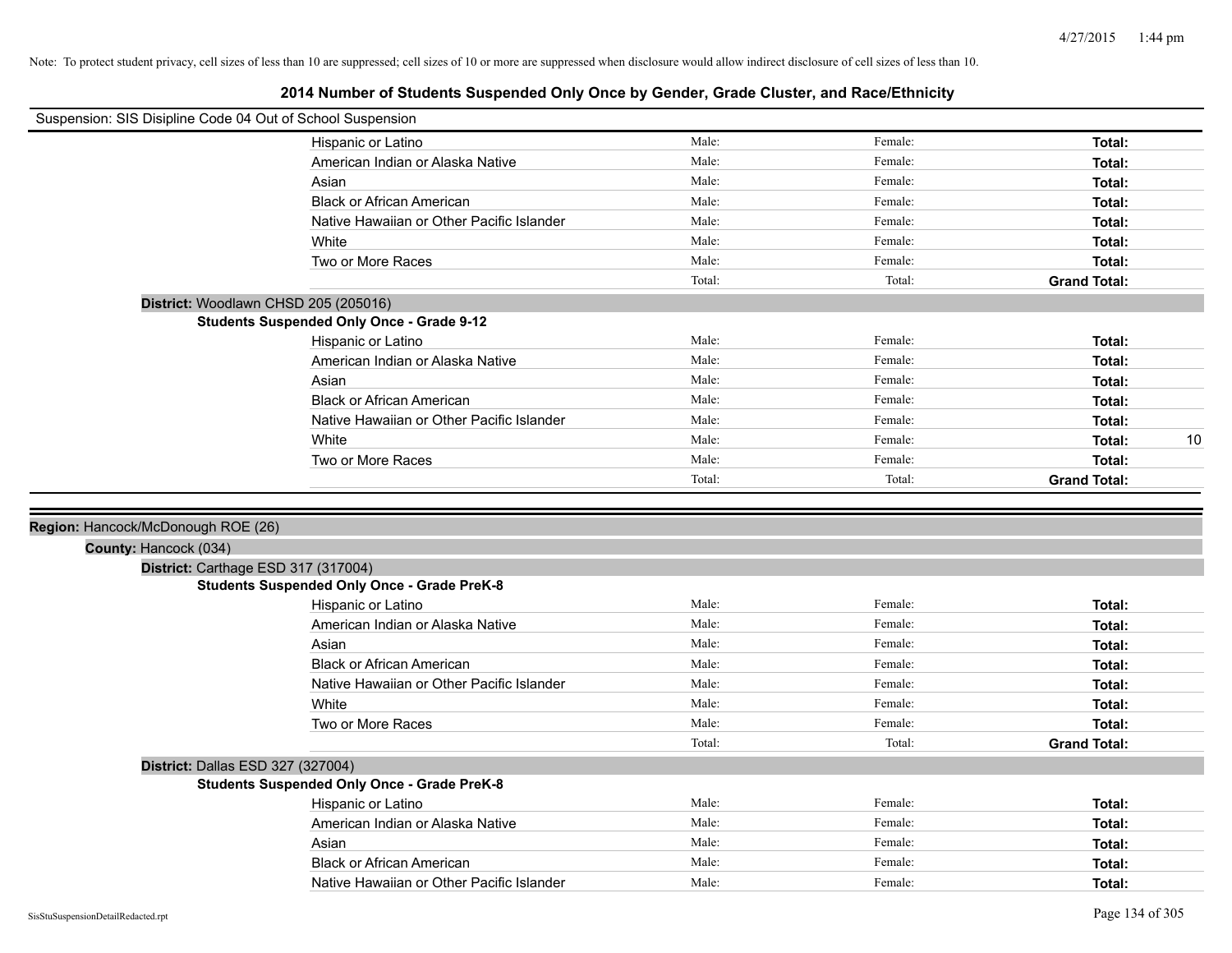| Suspension: SIS Disipline Code 04 Out of School Suspension |                                                                                           |        |         |                     |
|------------------------------------------------------------|-------------------------------------------------------------------------------------------|--------|---------|---------------------|
|                                                            | Hispanic or Latino                                                                        | Male:  | Female: | Total:              |
|                                                            | American Indian or Alaska Native                                                          | Male:  | Female: | Total:              |
|                                                            | Asian                                                                                     | Male:  | Female: | Total:              |
|                                                            | <b>Black or African American</b>                                                          | Male:  | Female: | Total:              |
|                                                            | Native Hawaiian or Other Pacific Islander                                                 | Male:  | Female: | Total:              |
|                                                            | White                                                                                     | Male:  | Female: | Total:              |
|                                                            | Two or More Races                                                                         | Male:  | Female: | Total:              |
|                                                            |                                                                                           | Total: | Total:  | <b>Grand Total:</b> |
|                                                            | District: Woodlawn CHSD 205 (205016)                                                      |        |         |                     |
|                                                            | <b>Students Suspended Only Once - Grade 9-12</b>                                          |        |         |                     |
|                                                            | Hispanic or Latino                                                                        | Male:  | Female: | Total:              |
|                                                            | American Indian or Alaska Native                                                          | Male:  | Female: | Total:              |
|                                                            | Asian                                                                                     | Male:  | Female: | Total:              |
|                                                            | <b>Black or African American</b>                                                          | Male:  | Female: | Total:              |
|                                                            | Native Hawaiian or Other Pacific Islander                                                 | Male:  | Female: | Total:              |
|                                                            | White                                                                                     | Male:  | Female: | 10<br>Total:        |
|                                                            | Two or More Races                                                                         | Male:  | Female: | Total:              |
|                                                            |                                                                                           | Total: | Total:  | <b>Grand Total:</b> |
|                                                            |                                                                                           |        |         |                     |
|                                                            |                                                                                           |        |         |                     |
| Region: Hancock/McDonough ROE (26)                         |                                                                                           |        |         |                     |
| County: Hancock (034)                                      |                                                                                           |        |         |                     |
|                                                            |                                                                                           |        |         |                     |
|                                                            | District: Carthage ESD 317 (317004)<br><b>Students Suspended Only Once - Grade PreK-8</b> |        |         |                     |
|                                                            | Hispanic or Latino                                                                        | Male:  | Female: | Total:              |
|                                                            | American Indian or Alaska Native                                                          | Male:  | Female: | Total:              |
|                                                            | Asian                                                                                     | Male:  | Female: | Total:              |
|                                                            | <b>Black or African American</b>                                                          | Male:  | Female: | Total:              |
|                                                            | Native Hawaiian or Other Pacific Islander                                                 | Male:  | Female: | Total:              |
|                                                            | White                                                                                     | Male:  | Female: | Total:              |
|                                                            | Two or More Races                                                                         | Male:  | Female: | Total:              |
|                                                            |                                                                                           | Total: | Total:  | <b>Grand Total:</b> |
| District: Dallas ESD 327 (327004)                          |                                                                                           |        |         |                     |
|                                                            | <b>Students Suspended Only Once - Grade PreK-8</b>                                        |        |         |                     |
|                                                            | Hispanic or Latino                                                                        | Male:  | Female: | Total:              |
|                                                            | American Indian or Alaska Native                                                          | Male:  | Female: | Total:              |
|                                                            | Asian                                                                                     | Male:  | Female: | Total:              |
|                                                            | <b>Black or African American</b>                                                          | Male:  | Female: | Total:              |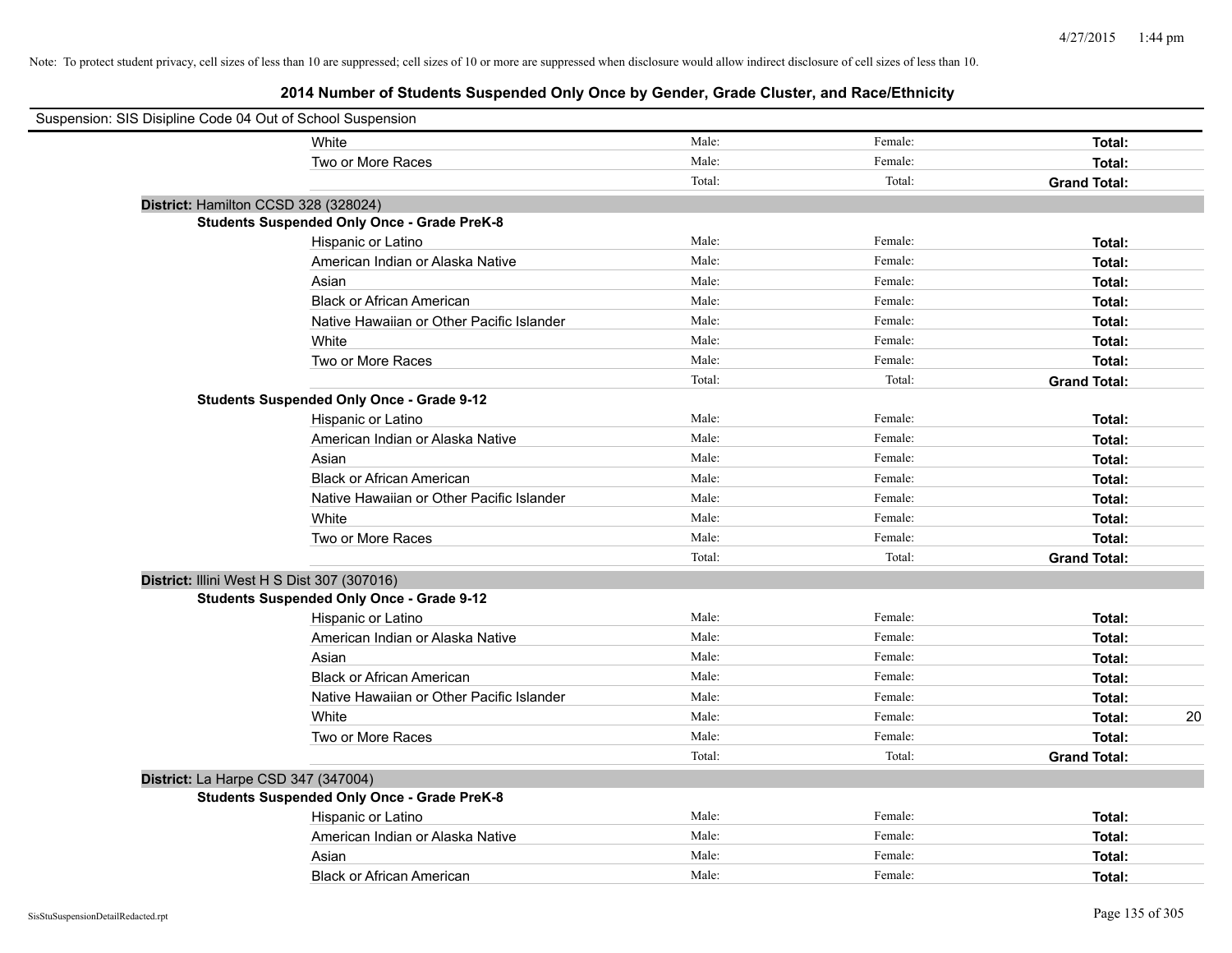| Suspension: SIS Disipline Code 04 Out of School Suspension |                                                    |        |         |                     |    |
|------------------------------------------------------------|----------------------------------------------------|--------|---------|---------------------|----|
|                                                            | White                                              | Male:  | Female: | Total:              |    |
|                                                            | Two or More Races                                  | Male:  | Female: | Total:              |    |
|                                                            |                                                    | Total: | Total:  | <b>Grand Total:</b> |    |
| District: Hamilton CCSD 328 (328024)                       |                                                    |        |         |                     |    |
|                                                            | <b>Students Suspended Only Once - Grade PreK-8</b> |        |         |                     |    |
|                                                            | Hispanic or Latino                                 | Male:  | Female: | Total:              |    |
|                                                            | American Indian or Alaska Native                   | Male:  | Female: | Total:              |    |
|                                                            | Asian                                              | Male:  | Female: | Total:              |    |
|                                                            | <b>Black or African American</b>                   | Male:  | Female: | Total:              |    |
|                                                            | Native Hawaiian or Other Pacific Islander          | Male:  | Female: | Total:              |    |
|                                                            | White                                              | Male:  | Female: | Total:              |    |
|                                                            | Two or More Races                                  | Male:  | Female: | Total:              |    |
|                                                            |                                                    | Total: | Total:  | <b>Grand Total:</b> |    |
|                                                            | <b>Students Suspended Only Once - Grade 9-12</b>   |        |         |                     |    |
|                                                            | Hispanic or Latino                                 | Male:  | Female: | Total:              |    |
|                                                            | American Indian or Alaska Native                   | Male:  | Female: | Total:              |    |
|                                                            | Asian                                              | Male:  | Female: | Total:              |    |
|                                                            | <b>Black or African American</b>                   | Male:  | Female: | Total:              |    |
|                                                            | Native Hawaiian or Other Pacific Islander          | Male:  | Female: | Total:              |    |
|                                                            | White                                              | Male:  | Female: | Total:              |    |
|                                                            | Two or More Races                                  | Male:  | Female: | Total:              |    |
|                                                            |                                                    | Total: | Total:  | <b>Grand Total:</b> |    |
| District: Illini West H S Dist 307 (307016)                |                                                    |        |         |                     |    |
|                                                            | <b>Students Suspended Only Once - Grade 9-12</b>   |        |         |                     |    |
|                                                            | Hispanic or Latino                                 | Male:  | Female: | Total:              |    |
|                                                            | American Indian or Alaska Native                   | Male:  | Female: | Total:              |    |
|                                                            | Asian                                              | Male:  | Female: | Total:              |    |
|                                                            | <b>Black or African American</b>                   | Male:  | Female: | Total:              |    |
|                                                            | Native Hawaiian or Other Pacific Islander          | Male:  | Female: | Total:              |    |
|                                                            | White                                              | Male:  | Female: | Total:              | 20 |
|                                                            | Two or More Races                                  | Male:  | Female: | Total:              |    |
|                                                            |                                                    | Total: | Total:  | <b>Grand Total:</b> |    |
| District: La Harpe CSD 347 (347004)                        |                                                    |        |         |                     |    |
|                                                            | <b>Students Suspended Only Once - Grade PreK-8</b> |        |         |                     |    |
|                                                            | Hispanic or Latino                                 | Male:  | Female: | Total:              |    |
|                                                            | American Indian or Alaska Native                   | Male:  | Female: | Total:              |    |
|                                                            | Asian                                              | Male:  | Female: | Total:              |    |
|                                                            | <b>Black or African American</b>                   | Male:  | Female: | Total:              |    |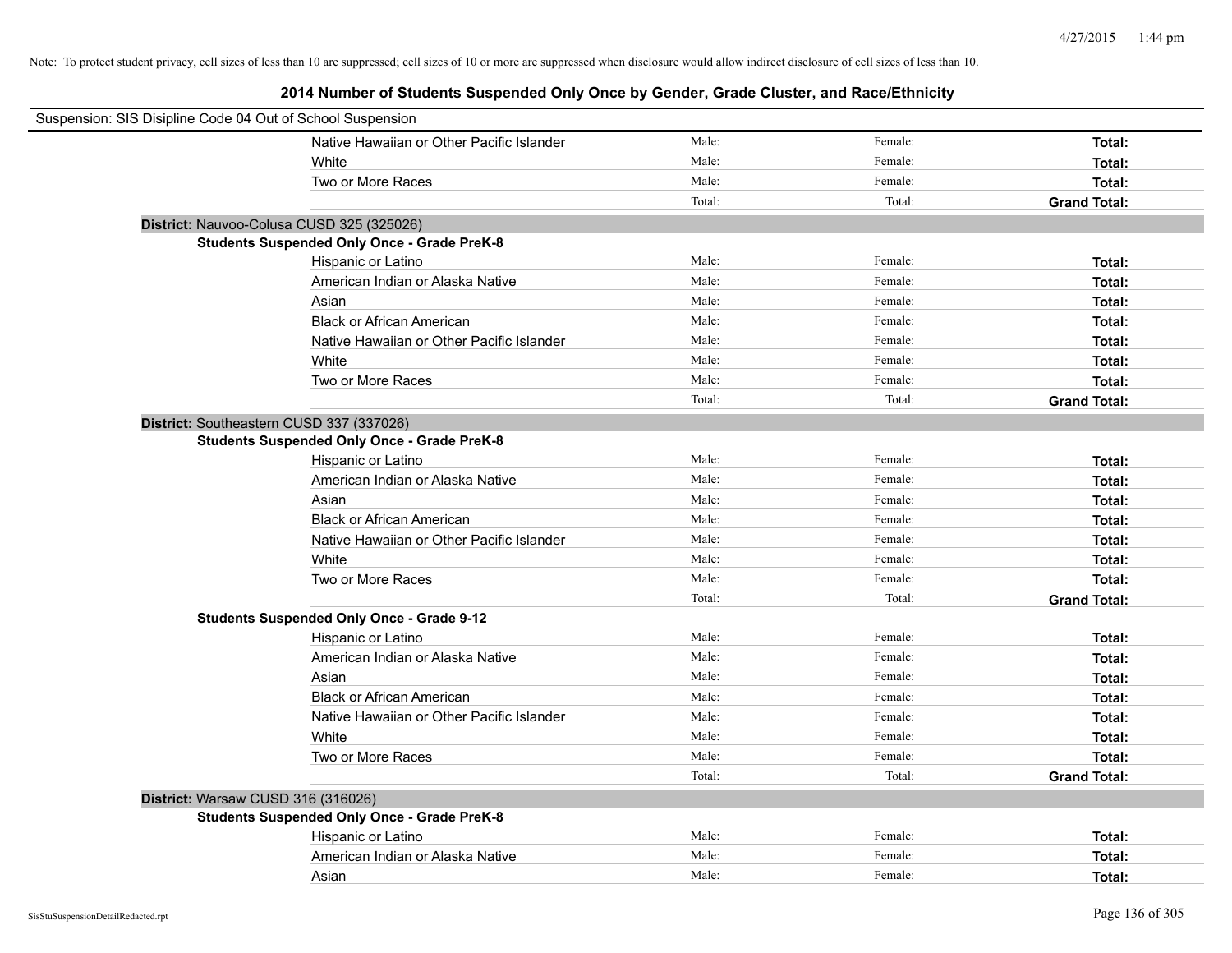| Suspension: SIS Disipline Code 04 Out of School Suspension |                                                    |        |         |                     |
|------------------------------------------------------------|----------------------------------------------------|--------|---------|---------------------|
|                                                            | Native Hawaiian or Other Pacific Islander          | Male:  | Female: | Total:              |
|                                                            | White                                              | Male:  | Female: | Total:              |
|                                                            | Two or More Races                                  | Male:  | Female: | Total:              |
|                                                            |                                                    | Total: | Total:  | <b>Grand Total:</b> |
| District: Nauvoo-Colusa CUSD 325 (325026)                  |                                                    |        |         |                     |
|                                                            | <b>Students Suspended Only Once - Grade PreK-8</b> |        |         |                     |
|                                                            | Hispanic or Latino                                 | Male:  | Female: | Total:              |
|                                                            | American Indian or Alaska Native                   | Male:  | Female: | Total:              |
|                                                            | Asian                                              | Male:  | Female: | Total:              |
|                                                            | <b>Black or African American</b>                   | Male:  | Female: | Total:              |
|                                                            | Native Hawaiian or Other Pacific Islander          | Male:  | Female: | Total:              |
|                                                            | White                                              | Male:  | Female: | Total:              |
|                                                            | Two or More Races                                  | Male:  | Female: | Total:              |
|                                                            |                                                    | Total: | Total:  | <b>Grand Total:</b> |
| District: Southeastern CUSD 337 (337026)                   |                                                    |        |         |                     |
|                                                            | <b>Students Suspended Only Once - Grade PreK-8</b> |        |         |                     |
|                                                            | Hispanic or Latino                                 | Male:  | Female: | Total:              |
|                                                            | American Indian or Alaska Native                   | Male:  | Female: | Total:              |
|                                                            | Asian                                              | Male:  | Female: | Total:              |
|                                                            | <b>Black or African American</b>                   | Male:  | Female: | Total:              |
|                                                            | Native Hawaiian or Other Pacific Islander          | Male:  | Female: | Total:              |
|                                                            | White                                              | Male:  | Female: | Total:              |
|                                                            | Two or More Races                                  | Male:  | Female: | Total:              |
|                                                            |                                                    | Total: | Total:  | <b>Grand Total:</b> |
|                                                            | <b>Students Suspended Only Once - Grade 9-12</b>   |        |         |                     |
|                                                            | Hispanic or Latino                                 | Male:  | Female: | Total:              |
|                                                            | American Indian or Alaska Native                   | Male:  | Female: | Total:              |
|                                                            | Asian                                              | Male:  | Female: | Total:              |
|                                                            | <b>Black or African American</b>                   | Male:  | Female: | Total:              |
|                                                            | Native Hawaiian or Other Pacific Islander          | Male:  | Female: | Total:              |
|                                                            | White                                              | Male:  | Female: | Total:              |
|                                                            | Two or More Races                                  | Male:  | Female: | Total:              |
|                                                            |                                                    | Total: | Total:  | <b>Grand Total:</b> |
| District: Warsaw CUSD 316 (316026)                         |                                                    |        |         |                     |
|                                                            | <b>Students Suspended Only Once - Grade PreK-8</b> |        |         |                     |
|                                                            | Hispanic or Latino                                 | Male:  | Female: | Total:              |
|                                                            | American Indian or Alaska Native                   | Male:  | Female: | Total:              |
|                                                            | Asian                                              | Male:  | Female: | Total:              |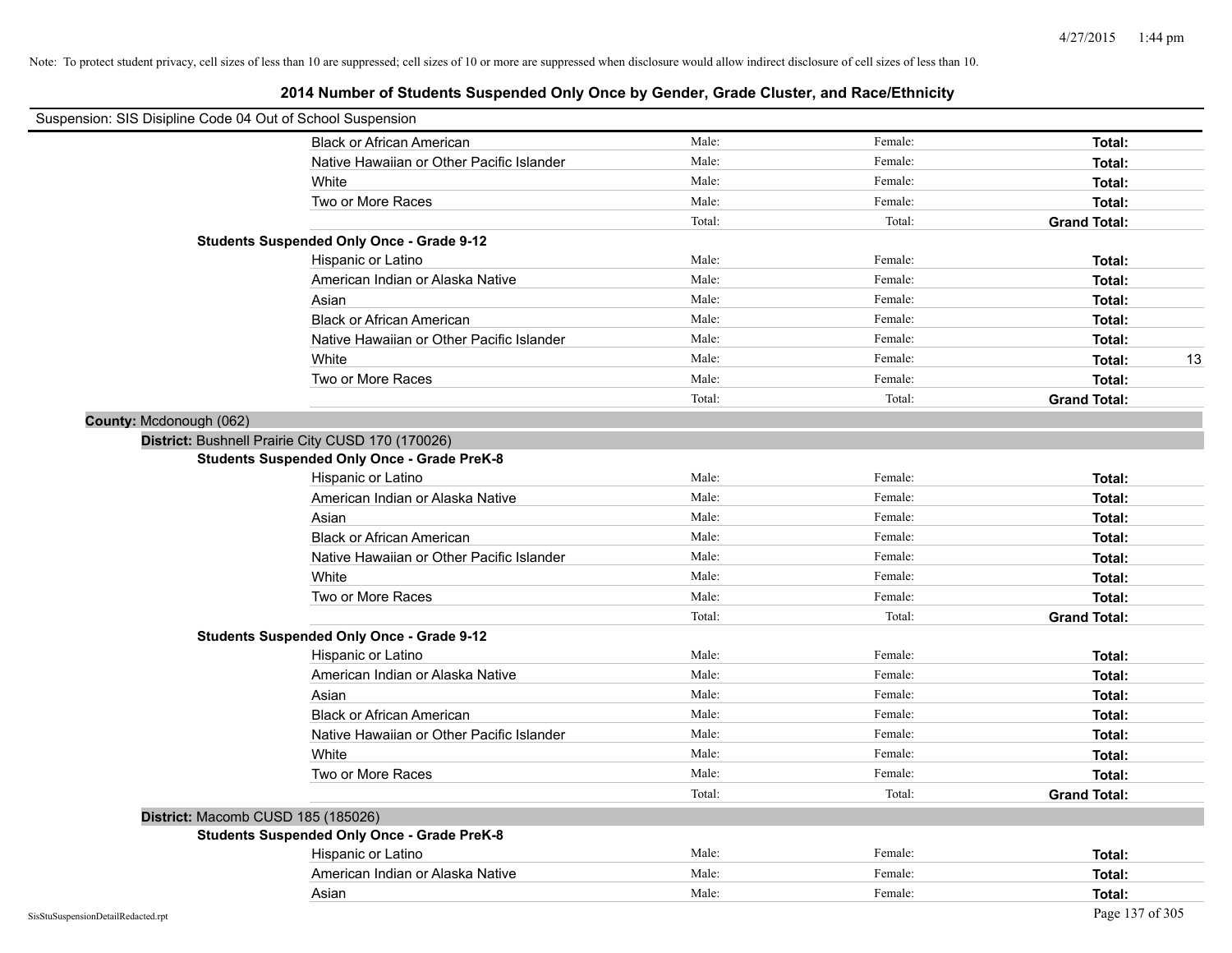| Suspension: SIS Disipline Code 04 Out of School Suspension |                                                    |        |         |                     |
|------------------------------------------------------------|----------------------------------------------------|--------|---------|---------------------|
|                                                            | <b>Black or African American</b>                   | Male:  | Female: | Total:              |
|                                                            | Native Hawaiian or Other Pacific Islander          | Male:  | Female: | Total:              |
|                                                            | White                                              | Male:  | Female: | Total:              |
|                                                            | Two or More Races                                  | Male:  | Female: | Total:              |
|                                                            |                                                    | Total: | Total:  | <b>Grand Total:</b> |
|                                                            | <b>Students Suspended Only Once - Grade 9-12</b>   |        |         |                     |
|                                                            | Hispanic or Latino                                 | Male:  | Female: | Total:              |
|                                                            | American Indian or Alaska Native                   | Male:  | Female: | Total:              |
|                                                            | Asian                                              | Male:  | Female: | Total:              |
|                                                            | <b>Black or African American</b>                   | Male:  | Female: | Total:              |
|                                                            | Native Hawaiian or Other Pacific Islander          | Male:  | Female: | Total:              |
|                                                            | White                                              | Male:  | Female: | 13<br>Total:        |
|                                                            | Two or More Races                                  | Male:  | Female: | Total:              |
|                                                            |                                                    | Total: | Total:  | <b>Grand Total:</b> |
| County: Mcdonough (062)                                    |                                                    |        |         |                     |
| District: Bushnell Prairie City CUSD 170 (170026)          |                                                    |        |         |                     |
|                                                            | <b>Students Suspended Only Once - Grade PreK-8</b> |        |         |                     |
|                                                            | Hispanic or Latino                                 | Male:  | Female: | Total:              |
|                                                            | American Indian or Alaska Native                   | Male:  | Female: | Total:              |
|                                                            | Asian                                              | Male:  | Female: | Total:              |
|                                                            | <b>Black or African American</b>                   | Male:  | Female: | Total:              |
|                                                            | Native Hawaiian or Other Pacific Islander          | Male:  | Female: | Total:              |
|                                                            | White                                              | Male:  | Female: | Total:              |
|                                                            | Two or More Races                                  | Male:  | Female: | Total:              |
|                                                            |                                                    | Total: | Total:  | <b>Grand Total:</b> |
|                                                            | <b>Students Suspended Only Once - Grade 9-12</b>   |        |         |                     |
|                                                            | Hispanic or Latino                                 | Male:  | Female: | Total:              |
|                                                            | American Indian or Alaska Native                   | Male:  | Female: | Total:              |
|                                                            | Asian                                              | Male:  | Female: | Total:              |
|                                                            | <b>Black or African American</b>                   | Male:  | Female: | Total:              |
|                                                            | Native Hawaiian or Other Pacific Islander          | Male:  | Female: | Total:              |
|                                                            | White                                              | Male:  | Female: | Total:              |
|                                                            | Two or More Races                                  | Male:  | Female: | Total:              |
|                                                            |                                                    | Total: | Total:  | <b>Grand Total:</b> |
| District: Macomb CUSD 185 (185026)                         |                                                    |        |         |                     |
|                                                            | <b>Students Suspended Only Once - Grade PreK-8</b> |        |         |                     |
|                                                            | Hispanic or Latino                                 | Male:  | Female: | Total:              |
|                                                            | American Indian or Alaska Native                   | Male:  | Female: | Total:              |
|                                                            | Asian                                              | Male:  | Female: | Total:              |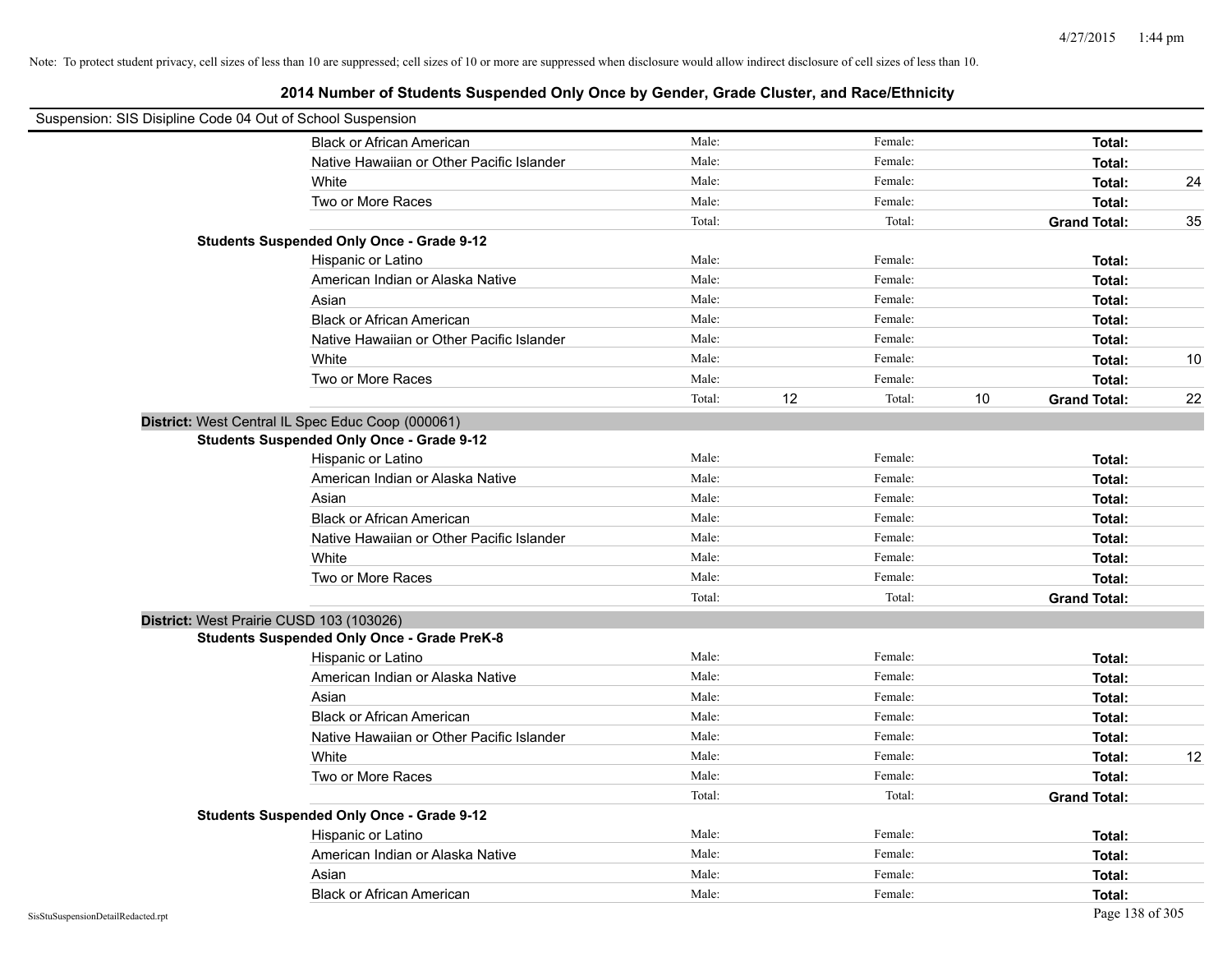| Suspension: SIS Disipline Code 04 Out of School Suspension |                                                    |        |    |         |    |                     |                   |
|------------------------------------------------------------|----------------------------------------------------|--------|----|---------|----|---------------------|-------------------|
|                                                            | <b>Black or African American</b>                   | Male:  |    | Female: |    | Total:              |                   |
|                                                            | Native Hawaiian or Other Pacific Islander          | Male:  |    | Female: |    | Total:              |                   |
|                                                            | White                                              | Male:  |    | Female: |    | Total:              | 24                |
|                                                            | Two or More Races                                  | Male:  |    | Female: |    | Total:              |                   |
|                                                            |                                                    | Total: |    | Total:  |    | <b>Grand Total:</b> | 35                |
|                                                            | <b>Students Suspended Only Once - Grade 9-12</b>   |        |    |         |    |                     |                   |
|                                                            | Hispanic or Latino                                 | Male:  |    | Female: |    | Total:              |                   |
|                                                            | American Indian or Alaska Native                   | Male:  |    | Female: |    | Total:              |                   |
|                                                            | Asian                                              | Male:  |    | Female: |    | Total:              |                   |
|                                                            | <b>Black or African American</b>                   | Male:  |    | Female: |    | Total:              |                   |
|                                                            | Native Hawaiian or Other Pacific Islander          | Male:  |    | Female: |    | Total:              |                   |
|                                                            | White                                              | Male:  |    | Female: |    | Total:              | 10                |
|                                                            | Two or More Races                                  | Male:  |    | Female: |    | Total:              |                   |
|                                                            |                                                    | Total: | 12 | Total:  | 10 | <b>Grand Total:</b> | 22                |
|                                                            | District: West Central IL Spec Educ Coop (000061)  |        |    |         |    |                     |                   |
|                                                            | <b>Students Suspended Only Once - Grade 9-12</b>   |        |    |         |    |                     |                   |
|                                                            | Hispanic or Latino                                 | Male:  |    | Female: |    | Total:              |                   |
|                                                            | American Indian or Alaska Native                   | Male:  |    | Female: |    | Total:              |                   |
|                                                            | Asian                                              | Male:  |    | Female: |    | Total:              |                   |
|                                                            | <b>Black or African American</b>                   | Male:  |    | Female: |    | Total:              |                   |
|                                                            | Native Hawaiian or Other Pacific Islander          | Male:  |    | Female: |    | Total:              |                   |
|                                                            | White                                              | Male:  |    | Female: |    | Total:              |                   |
|                                                            | Two or More Races                                  | Male:  |    | Female: |    | Total:              |                   |
|                                                            |                                                    | Total: |    | Total:  |    | <b>Grand Total:</b> |                   |
| District: West Prairie CUSD 103 (103026)                   |                                                    |        |    |         |    |                     |                   |
|                                                            | <b>Students Suspended Only Once - Grade PreK-8</b> |        |    |         |    |                     |                   |
|                                                            | Hispanic or Latino                                 | Male:  |    | Female: |    | Total:              |                   |
|                                                            | American Indian or Alaska Native                   | Male:  |    | Female: |    | Total:              |                   |
|                                                            | Asian                                              | Male:  |    | Female: |    | Total:              |                   |
|                                                            | <b>Black or African American</b>                   | Male:  |    | Female: |    | Total:              |                   |
|                                                            | Native Hawaiian or Other Pacific Islander          | Male:  |    | Female: |    | Total:              |                   |
|                                                            | White                                              | Male:  |    | Female: |    | Total:              | $12 \overline{ }$ |
|                                                            | Two or More Races                                  | Male:  |    | Female: |    | Total:              |                   |
|                                                            |                                                    | Total: |    | Total:  |    | <b>Grand Total:</b> |                   |
|                                                            | <b>Students Suspended Only Once - Grade 9-12</b>   |        |    |         |    |                     |                   |
|                                                            | Hispanic or Latino                                 | Male:  |    | Female: |    | Total:              |                   |
|                                                            | American Indian or Alaska Native                   | Male:  |    | Female: |    | Total:              |                   |
|                                                            | Asian                                              | Male:  |    | Female: |    | Total:              |                   |
|                                                            | <b>Black or African American</b>                   | Male:  |    | Female: |    | Total:              |                   |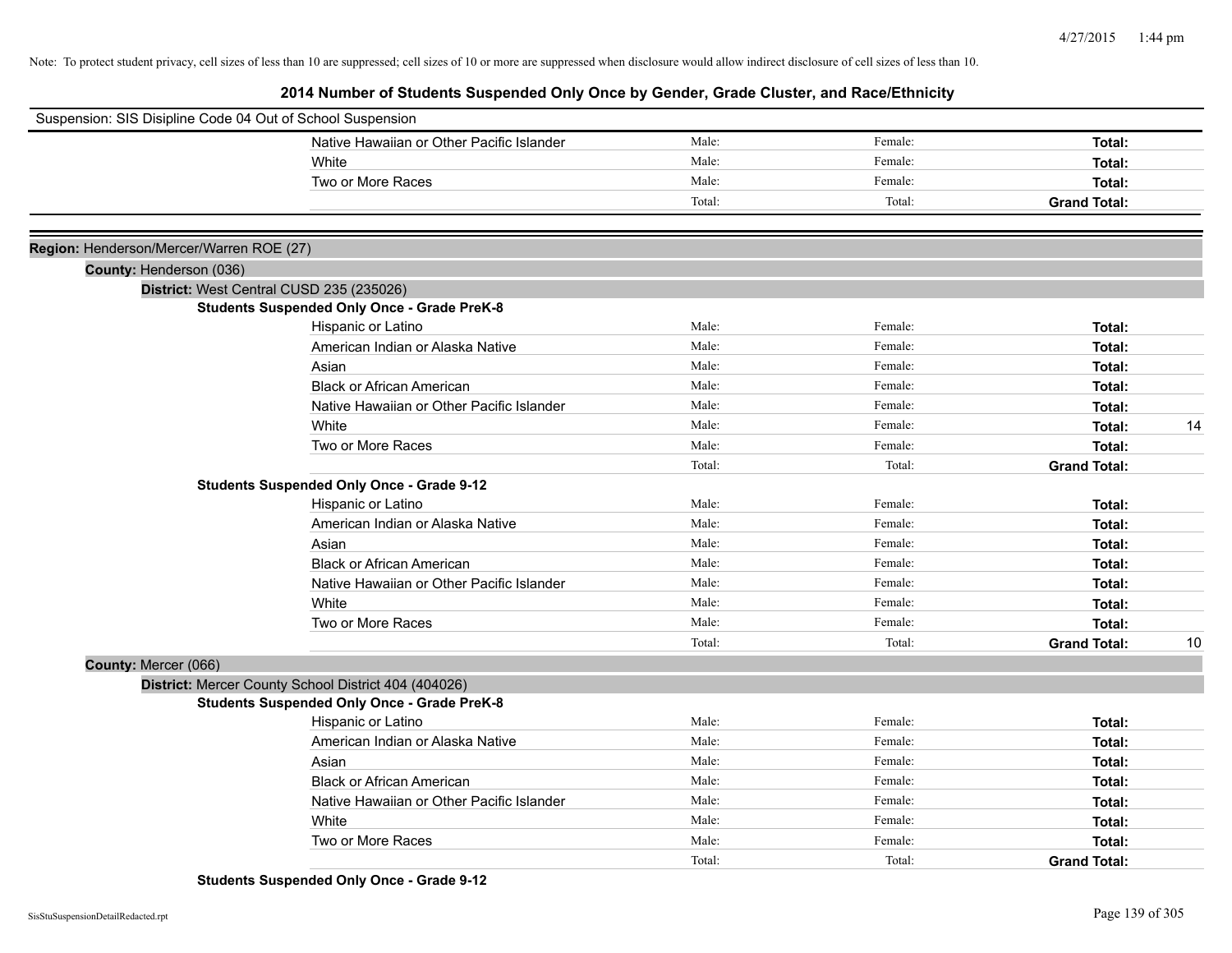**2014 Number of Students Suspended Only Once by Gender, Grade Cluster, and Race/Ethnicity**

| Suspension: SIS Disipline Code 04 Out of School Suspension |        |         |                     |    |
|------------------------------------------------------------|--------|---------|---------------------|----|
| Native Hawaiian or Other Pacific Islander                  | Male:  | Female: | Total:              |    |
| White                                                      | Male:  | Female: | Total:              |    |
| Two or More Races                                          | Male:  | Female: | Total:              |    |
|                                                            | Total: | Total:  | <b>Grand Total:</b> |    |
|                                                            |        |         |                     |    |
| Region: Henderson/Mercer/Warren ROE (27)                   |        |         |                     |    |
| County: Henderson (036)                                    |        |         |                     |    |
| District: West Central CUSD 235 (235026)                   |        |         |                     |    |
| <b>Students Suspended Only Once - Grade PreK-8</b>         |        |         |                     |    |
| Hispanic or Latino                                         | Male:  | Female: | Total:              |    |
| American Indian or Alaska Native                           | Male:  | Female: | Total:              |    |
| Asian                                                      | Male:  | Female: | Total:              |    |
| <b>Black or African American</b>                           | Male:  | Female: | Total:              |    |
| Native Hawaiian or Other Pacific Islander                  | Male:  | Female: | Total:              |    |
| White                                                      | Male:  | Female: | Total:              | 14 |
| Two or More Races                                          | Male:  | Female: | Total:              |    |
|                                                            | Total: | Total:  | <b>Grand Total:</b> |    |
| <b>Students Suspended Only Once - Grade 9-12</b>           |        |         |                     |    |
| Hispanic or Latino                                         | Male:  | Female: | Total:              |    |
| American Indian or Alaska Native                           | Male:  | Female: | Total:              |    |
| Asian                                                      | Male:  | Female: | Total:              |    |
| <b>Black or African American</b>                           | Male:  | Female: | Total:              |    |
| Native Hawaiian or Other Pacific Islander                  | Male:  | Female: | Total:              |    |
| White                                                      | Male:  | Female: | Total:              |    |
| Two or More Races                                          | Male:  | Female: | Total:              |    |
|                                                            | Total: | Total:  | <b>Grand Total:</b> | 10 |
| County: Mercer (066)                                       |        |         |                     |    |
| District: Mercer County School District 404 (404026)       |        |         |                     |    |
| <b>Students Suspended Only Once - Grade PreK-8</b>         |        |         |                     |    |
| Hispanic or Latino                                         | Male:  | Female: | Total:              |    |
| American Indian or Alaska Native                           | Male:  | Female: | Total:              |    |
| Asian                                                      | Male:  | Female: | Total:              |    |
| <b>Black or African American</b>                           | Male:  | Female: | Total:              |    |
| Native Hawaiian or Other Pacific Islander                  | Male:  | Female: | Total:              |    |
| White                                                      | Male:  | Female: | Total:              |    |
| Two or More Races                                          | Male:  | Female: | Total:              |    |
|                                                            | Total: | Total:  | <b>Grand Total:</b> |    |

**Students Suspended Only Once - Grade 9-12**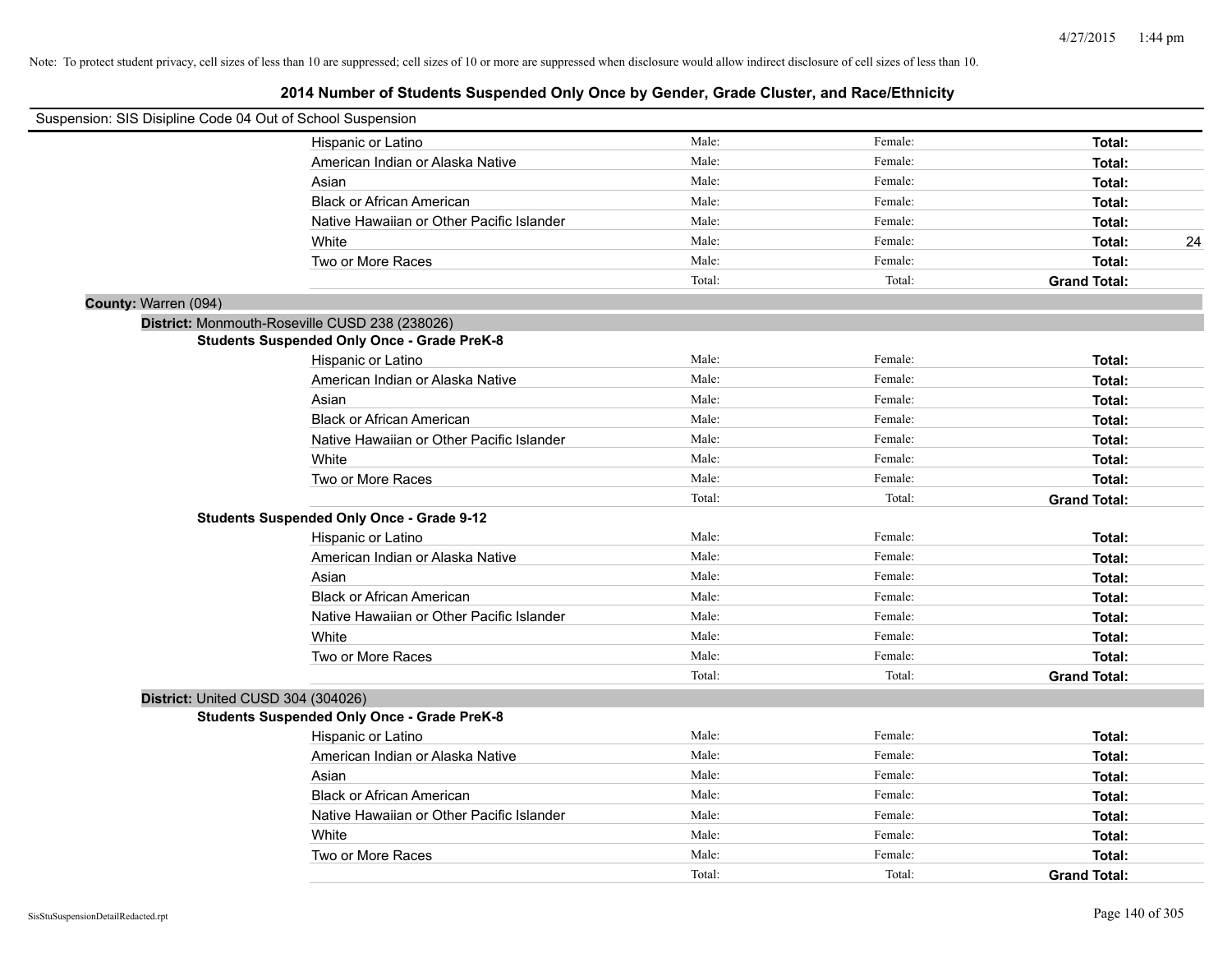| Suspension: SIS Disipline Code 04 Out of School Suspension |                                                    |        |         |                     |
|------------------------------------------------------------|----------------------------------------------------|--------|---------|---------------------|
|                                                            | Hispanic or Latino                                 | Male:  | Female: | Total:              |
|                                                            | American Indian or Alaska Native                   | Male:  | Female: | Total:              |
|                                                            | Asian                                              | Male:  | Female: | Total:              |
|                                                            | <b>Black or African American</b>                   | Male:  | Female: | Total:              |
|                                                            | Native Hawaiian or Other Pacific Islander          | Male:  | Female: | Total:              |
|                                                            | White                                              | Male:  | Female: | 24<br>Total:        |
|                                                            | Two or More Races                                  | Male:  | Female: | Total:              |
|                                                            |                                                    | Total: | Total:  | <b>Grand Total:</b> |
| County: Warren (094)                                       |                                                    |        |         |                     |
| District: Monmouth-Roseville CUSD 238 (238026)             |                                                    |        |         |                     |
|                                                            | <b>Students Suspended Only Once - Grade PreK-8</b> |        |         |                     |
|                                                            | Hispanic or Latino                                 | Male:  | Female: | Total:              |
|                                                            | American Indian or Alaska Native                   | Male:  | Female: | Total:              |
|                                                            | Asian                                              | Male:  | Female: | Total:              |
|                                                            | <b>Black or African American</b>                   | Male:  | Female: | Total:              |
|                                                            | Native Hawaiian or Other Pacific Islander          | Male:  | Female: | Total:              |
|                                                            | White                                              | Male:  | Female: | Total:              |
|                                                            | Two or More Races                                  | Male:  | Female: | Total:              |
|                                                            |                                                    | Total: | Total:  | <b>Grand Total:</b> |
|                                                            | <b>Students Suspended Only Once - Grade 9-12</b>   |        |         |                     |
|                                                            | Hispanic or Latino                                 | Male:  | Female: | Total:              |
|                                                            | American Indian or Alaska Native                   | Male:  | Female: | Total:              |
|                                                            | Asian                                              | Male:  | Female: | Total:              |
|                                                            | <b>Black or African American</b>                   | Male:  | Female: | Total:              |
|                                                            | Native Hawaiian or Other Pacific Islander          | Male:  | Female: | Total:              |
|                                                            | White                                              | Male:  | Female: | Total:              |
|                                                            | Two or More Races                                  | Male:  | Female: | Total:              |
|                                                            |                                                    | Total: | Total:  | <b>Grand Total:</b> |
| District: United CUSD 304 (304026)                         |                                                    |        |         |                     |
|                                                            | <b>Students Suspended Only Once - Grade PreK-8</b> |        |         |                     |
|                                                            | Hispanic or Latino                                 | Male:  | Female: | Total:              |
|                                                            | American Indian or Alaska Native                   | Male:  | Female: | Total:              |
|                                                            | Asian                                              | Male:  | Female: | Total:              |
|                                                            | <b>Black or African American</b>                   | Male:  | Female: | Total:              |
|                                                            | Native Hawaiian or Other Pacific Islander          | Male:  | Female: | Total:              |
|                                                            | White                                              | Male:  | Female: | Total:              |
|                                                            | Two or More Races                                  | Male:  | Female: | Total:              |
|                                                            |                                                    | Total: | Total:  | <b>Grand Total:</b> |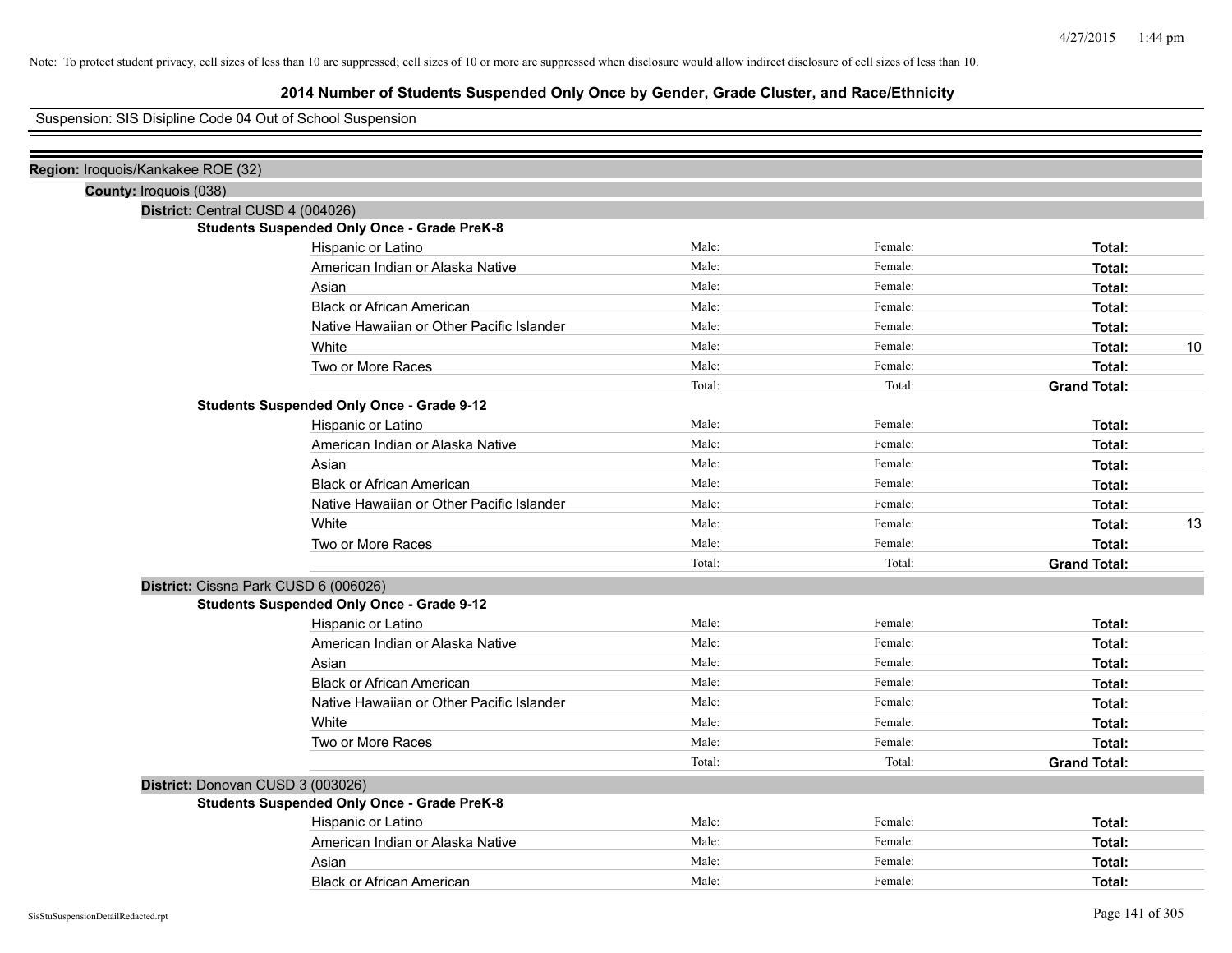# **2014 Number of Students Suspended Only Once by Gender, Grade Cluster, and Race/Ethnicity**

## Suspension: SIS Disipline Code 04 Out of School Suspension

| Region: Iroquois/Kankakee ROE (32) |                                                    |        |         |                     |
|------------------------------------|----------------------------------------------------|--------|---------|---------------------|
| County: Iroquois (038)             |                                                    |        |         |                     |
|                                    | District: Central CUSD 4 (004026)                  |        |         |                     |
|                                    | <b>Students Suspended Only Once - Grade PreK-8</b> |        |         |                     |
|                                    | Hispanic or Latino                                 | Male:  | Female: | Total:              |
|                                    | American Indian or Alaska Native                   | Male:  | Female: | Total:              |
|                                    | Asian                                              | Male:  | Female: | Total:              |
|                                    | <b>Black or African American</b>                   | Male:  | Female: | Total:              |
|                                    | Native Hawaiian or Other Pacific Islander          | Male:  | Female: | Total:              |
|                                    | White                                              | Male:  | Female: | 10<br>Total:        |
|                                    | Two or More Races                                  | Male:  | Female: | Total:              |
|                                    |                                                    | Total: | Total:  | <b>Grand Total:</b> |
|                                    | <b>Students Suspended Only Once - Grade 9-12</b>   |        |         |                     |
|                                    | Hispanic or Latino                                 | Male:  | Female: | Total:              |
|                                    | American Indian or Alaska Native                   | Male:  | Female: | Total:              |
|                                    | Asian                                              | Male:  | Female: | Total:              |
|                                    | <b>Black or African American</b>                   | Male:  | Female: | Total:              |
|                                    | Native Hawaiian or Other Pacific Islander          | Male:  | Female: | Total:              |
|                                    | White                                              | Male:  | Female: | 13<br>Total:        |
|                                    | Two or More Races                                  | Male:  | Female: | Total:              |
|                                    |                                                    | Total: | Total:  | <b>Grand Total:</b> |
|                                    | District: Cissna Park CUSD 6 (006026)              |        |         |                     |
|                                    | <b>Students Suspended Only Once - Grade 9-12</b>   |        |         |                     |
|                                    | Hispanic or Latino                                 | Male:  | Female: | Total:              |
|                                    | American Indian or Alaska Native                   | Male:  | Female: | Total:              |
|                                    | Asian                                              | Male:  | Female: | Total:              |
|                                    | <b>Black or African American</b>                   | Male:  | Female: | Total:              |
|                                    | Native Hawaiian or Other Pacific Islander          | Male:  | Female: | Total:              |
|                                    | White                                              | Male:  | Female: | Total:              |
|                                    | Two or More Races                                  | Male:  | Female: | Total:              |
|                                    |                                                    | Total: | Total:  | <b>Grand Total:</b> |
|                                    | District: Donovan CUSD 3 (003026)                  |        |         |                     |
|                                    | <b>Students Suspended Only Once - Grade PreK-8</b> |        |         |                     |
|                                    | Hispanic or Latino                                 | Male:  | Female: | Total:              |
|                                    | American Indian or Alaska Native                   | Male:  | Female: | Total:              |
|                                    | Asian                                              | Male:  | Female: | Total:              |
|                                    | <b>Black or African American</b>                   | Male:  | Female: | Total:              |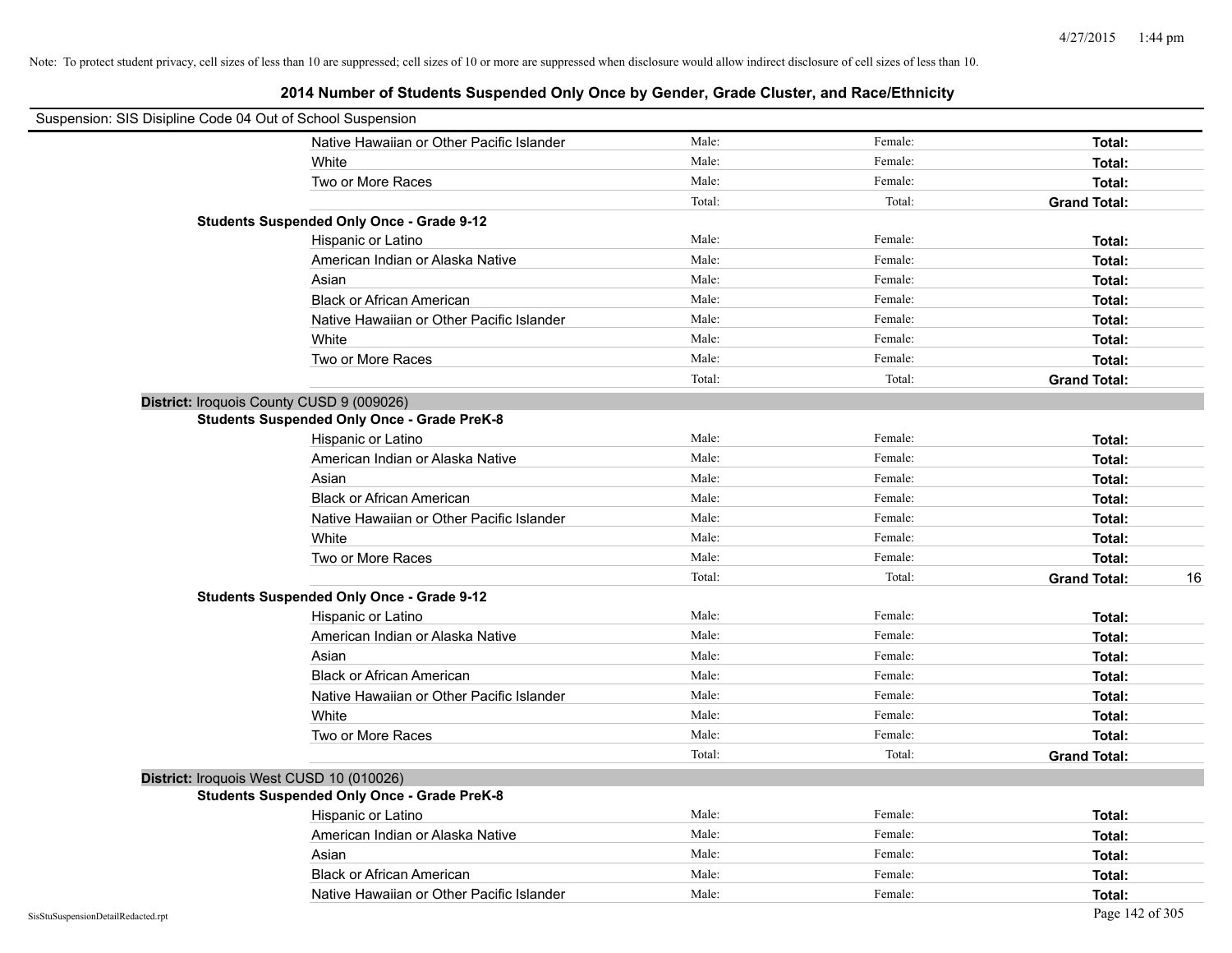| Suspension: SIS Disipline Code 04 Out of School Suspension |                                                    |        |         |                           |
|------------------------------------------------------------|----------------------------------------------------|--------|---------|---------------------------|
|                                                            | Native Hawaiian or Other Pacific Islander          | Male:  | Female: | Total:                    |
|                                                            | White                                              | Male:  | Female: | Total:                    |
|                                                            | Two or More Races                                  | Male:  | Female: | Total:                    |
|                                                            |                                                    | Total: | Total:  | <b>Grand Total:</b>       |
|                                                            | <b>Students Suspended Only Once - Grade 9-12</b>   |        |         |                           |
|                                                            | Hispanic or Latino                                 | Male:  | Female: | Total:                    |
|                                                            | American Indian or Alaska Native                   | Male:  | Female: | Total:                    |
|                                                            | Asian                                              | Male:  | Female: | Total:                    |
|                                                            | <b>Black or African American</b>                   | Male:  | Female: | Total:                    |
|                                                            | Native Hawaiian or Other Pacific Islander          | Male:  | Female: | Total:                    |
|                                                            | White                                              | Male:  | Female: | Total:                    |
|                                                            | Two or More Races                                  | Male:  | Female: | Total:                    |
|                                                            |                                                    | Total: | Total:  | <b>Grand Total:</b>       |
|                                                            | District: Iroquois County CUSD 9 (009026)          |        |         |                           |
|                                                            | <b>Students Suspended Only Once - Grade PreK-8</b> |        |         |                           |
|                                                            | Hispanic or Latino                                 | Male:  | Female: | Total:                    |
|                                                            | American Indian or Alaska Native                   | Male:  | Female: | Total:                    |
|                                                            | Asian                                              | Male:  | Female: | Total:                    |
|                                                            | <b>Black or African American</b>                   | Male:  | Female: | Total:                    |
|                                                            | Native Hawaiian or Other Pacific Islander          | Male:  | Female: | Total:                    |
|                                                            | White                                              | Male:  | Female: | Total:                    |
|                                                            | Two or More Races                                  | Male:  | Female: | Total:                    |
|                                                            |                                                    | Total: | Total:  | <b>Grand Total:</b><br>16 |
|                                                            | <b>Students Suspended Only Once - Grade 9-12</b>   |        |         |                           |
|                                                            | Hispanic or Latino                                 | Male:  | Female: | Total:                    |
|                                                            | American Indian or Alaska Native                   | Male:  | Female: | Total:                    |
|                                                            | Asian                                              | Male:  | Female: | Total:                    |
|                                                            | Black or African American                          | Male:  | Female: | Total:                    |
|                                                            | Native Hawaiian or Other Pacific Islander          | Male:  | Female: | Total:                    |
|                                                            | White                                              | Male:  | Female: | Total:                    |
|                                                            | Two or More Races                                  | Male:  | Female: | Total:                    |
|                                                            |                                                    | Total: | Total:  | <b>Grand Total:</b>       |
|                                                            | District: Iroquois West CUSD 10 (010026)           |        |         |                           |
|                                                            | <b>Students Suspended Only Once - Grade PreK-8</b> |        |         |                           |
|                                                            | Hispanic or Latino                                 | Male:  | Female: | Total:                    |
|                                                            | American Indian or Alaska Native                   | Male:  | Female: | Total:                    |
|                                                            | Asian                                              | Male:  | Female: | Total:                    |
|                                                            | <b>Black or African American</b>                   | Male:  | Female: | Total:                    |
|                                                            | Native Hawaiian or Other Pacific Islander          | Male:  | Female: | Total:                    |
| SisStuSuspensionDetailRedacted.rpt                         |                                                    |        |         | Page 142 of 305           |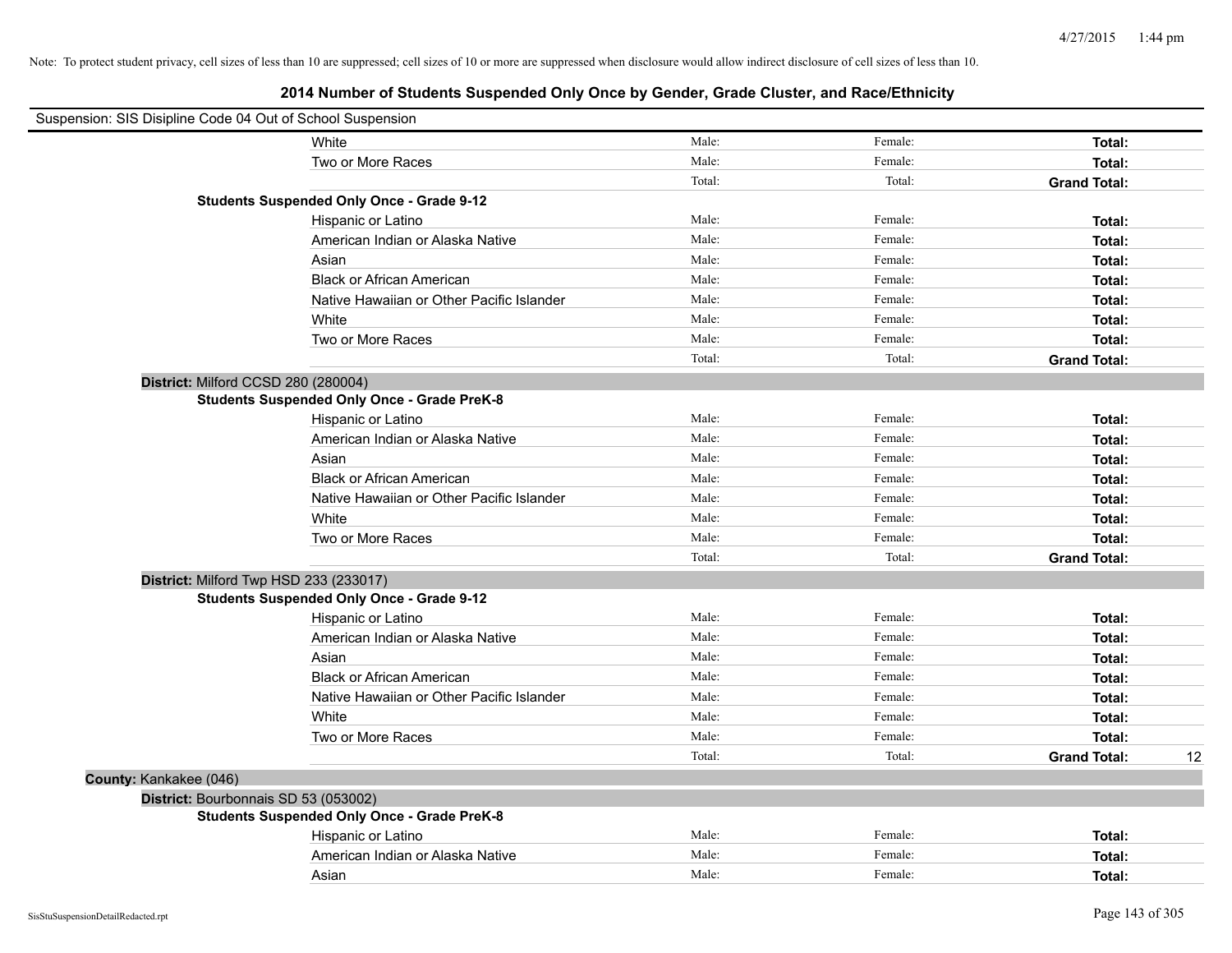| Suspension: SIS Disipline Code 04 Out of School Suspension |                                                    |        |         |                     |    |
|------------------------------------------------------------|----------------------------------------------------|--------|---------|---------------------|----|
|                                                            | White                                              | Male:  | Female: | Total:              |    |
|                                                            | Two or More Races                                  | Male:  | Female: | Total:              |    |
|                                                            |                                                    | Total: | Total:  | <b>Grand Total:</b> |    |
|                                                            | <b>Students Suspended Only Once - Grade 9-12</b>   |        |         |                     |    |
|                                                            | Hispanic or Latino                                 | Male:  | Female: | Total:              |    |
|                                                            | American Indian or Alaska Native                   | Male:  | Female: | Total:              |    |
|                                                            | Asian                                              | Male:  | Female: | Total:              |    |
|                                                            | <b>Black or African American</b>                   | Male:  | Female: | Total:              |    |
|                                                            | Native Hawaiian or Other Pacific Islander          | Male:  | Female: | Total:              |    |
|                                                            | White                                              | Male:  | Female: | Total:              |    |
|                                                            | Two or More Races                                  | Male:  | Female: | Total:              |    |
|                                                            |                                                    | Total: | Total:  | <b>Grand Total:</b> |    |
| District: Milford CCSD 280 (280004)                        |                                                    |        |         |                     |    |
|                                                            | <b>Students Suspended Only Once - Grade PreK-8</b> |        |         |                     |    |
|                                                            | Hispanic or Latino                                 | Male:  | Female: | Total:              |    |
|                                                            | American Indian or Alaska Native                   | Male:  | Female: | Total:              |    |
|                                                            | Asian                                              | Male:  | Female: | Total:              |    |
|                                                            | <b>Black or African American</b>                   | Male:  | Female: | Total:              |    |
|                                                            | Native Hawaiian or Other Pacific Islander          | Male:  | Female: | Total:              |    |
|                                                            | White                                              | Male:  | Female: | Total:              |    |
|                                                            | Two or More Races                                  | Male:  | Female: | Total:              |    |
|                                                            |                                                    | Total: | Total:  | <b>Grand Total:</b> |    |
|                                                            | District: Milford Twp HSD 233 (233017)             |        |         |                     |    |
|                                                            | <b>Students Suspended Only Once - Grade 9-12</b>   |        |         |                     |    |
|                                                            | Hispanic or Latino                                 | Male:  | Female: | Total:              |    |
|                                                            | American Indian or Alaska Native                   | Male:  | Female: | Total:              |    |
|                                                            | Asian                                              | Male:  | Female: | Total:              |    |
|                                                            | <b>Black or African American</b>                   | Male:  | Female: | Total:              |    |
|                                                            | Native Hawaiian or Other Pacific Islander          | Male:  | Female: | Total:              |    |
|                                                            | White                                              | Male:  | Female: | Total:              |    |
|                                                            | Two or More Races                                  | Male:  | Female: | Total:              |    |
|                                                            |                                                    | Total: | Total:  | <b>Grand Total:</b> | 12 |
| County: Kankakee (046)                                     |                                                    |        |         |                     |    |
| District: Bourbonnais SD 53 (053002)                       |                                                    |        |         |                     |    |
|                                                            | <b>Students Suspended Only Once - Grade PreK-8</b> |        |         |                     |    |
|                                                            | Hispanic or Latino                                 | Male:  | Female: | Total:              |    |
|                                                            | American Indian or Alaska Native                   | Male:  | Female: | Total:              |    |
|                                                            | Asian                                              | Male:  | Female: | Total:              |    |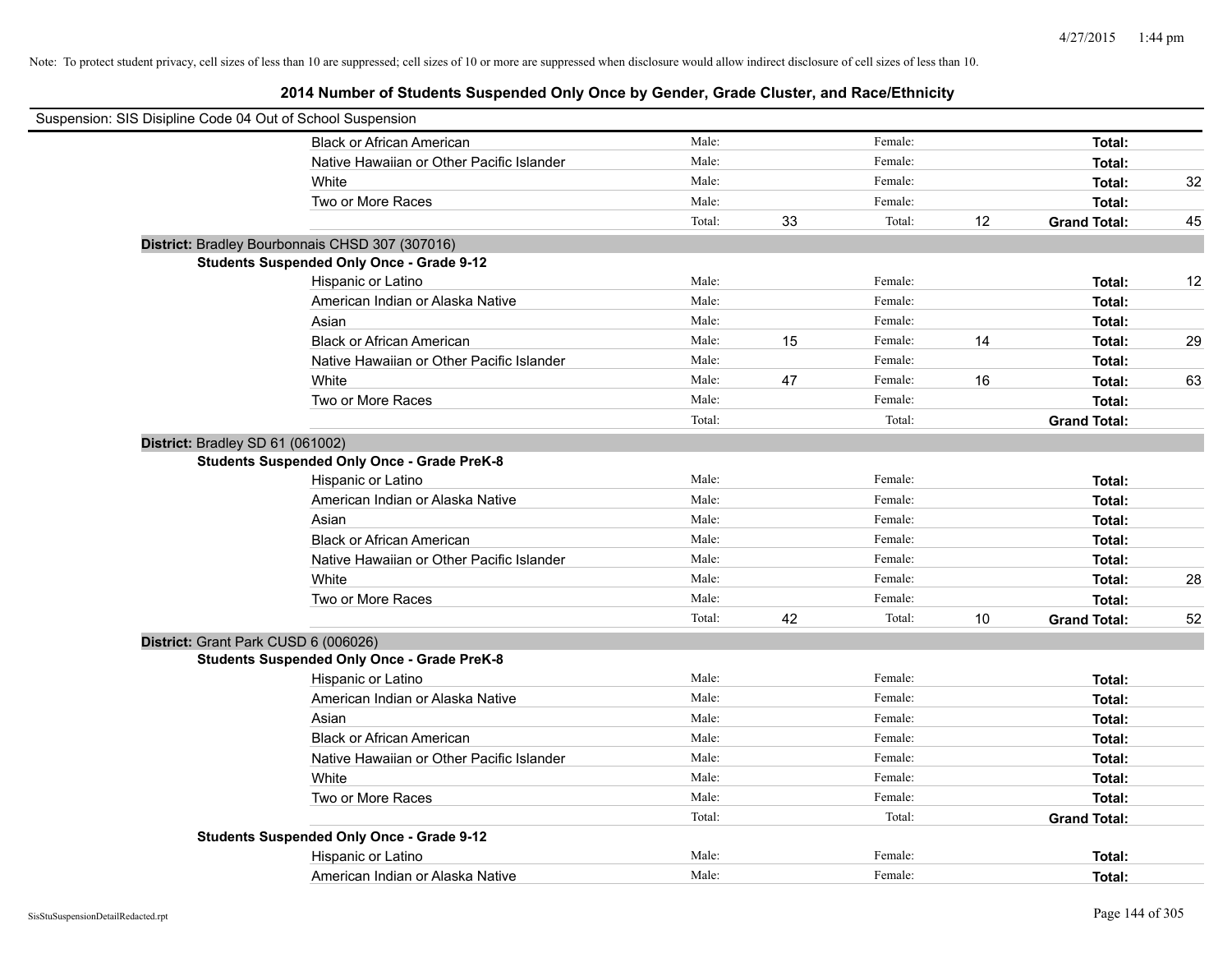| Suspension: SIS Disipline Code 04 Out of School Suspension |                                                    |        |    |         |      |                     |    |
|------------------------------------------------------------|----------------------------------------------------|--------|----|---------|------|---------------------|----|
|                                                            | <b>Black or African American</b>                   | Male:  |    | Female: |      | Total:              |    |
|                                                            | Native Hawaiian or Other Pacific Islander          | Male:  |    | Female: |      | Total:              |    |
|                                                            | White                                              | Male:  |    | Female: |      | Total:              | 32 |
|                                                            | Two or More Races                                  | Male:  |    | Female: |      | Total:              |    |
|                                                            |                                                    | Total: | 33 | Total:  | 12   | <b>Grand Total:</b> | 45 |
|                                                            | District: Bradley Bourbonnais CHSD 307 (307016)    |        |    |         |      |                     |    |
|                                                            | <b>Students Suspended Only Once - Grade 9-12</b>   |        |    |         |      |                     |    |
|                                                            | Hispanic or Latino                                 | Male:  |    | Female: |      | Total:              | 12 |
|                                                            | American Indian or Alaska Native                   | Male:  |    | Female: |      | Total:              |    |
|                                                            | Asian                                              | Male:  |    | Female: |      | Total:              |    |
|                                                            | <b>Black or African American</b>                   | Male:  | 15 | Female: | 14   | Total:              | 29 |
|                                                            | Native Hawaiian or Other Pacific Islander          | Male:  |    | Female: |      | Total:              |    |
|                                                            | White                                              | Male:  | 47 | Female: | 16   | Total:              | 63 |
|                                                            | Two or More Races                                  | Male:  |    | Female: |      | Total:              |    |
|                                                            |                                                    | Total: |    | Total:  |      | <b>Grand Total:</b> |    |
| District: Bradley SD 61 (061002)                           |                                                    |        |    |         |      |                     |    |
|                                                            | <b>Students Suspended Only Once - Grade PreK-8</b> |        |    |         |      |                     |    |
|                                                            | Hispanic or Latino                                 | Male:  |    | Female: |      | Total:              |    |
|                                                            | American Indian or Alaska Native                   | Male:  |    | Female: |      | Total:              |    |
|                                                            | Asian                                              | Male:  |    | Female: |      | Total:              |    |
|                                                            | <b>Black or African American</b>                   | Male:  |    | Female: |      | Total:              |    |
|                                                            | Native Hawaiian or Other Pacific Islander          | Male:  |    | Female: |      | Total:              |    |
|                                                            | White                                              | Male:  |    | Female: |      | Total:              | 28 |
|                                                            | Two or More Races                                  | Male:  |    | Female: |      | Total:              |    |
|                                                            |                                                    | Total: | 42 | Total:  | $10$ | <b>Grand Total:</b> | 52 |
| District: Grant Park CUSD 6 (006026)                       |                                                    |        |    |         |      |                     |    |
|                                                            | <b>Students Suspended Only Once - Grade PreK-8</b> |        |    |         |      |                     |    |
|                                                            | Hispanic or Latino                                 | Male:  |    | Female: |      | Total:              |    |
|                                                            | American Indian or Alaska Native                   | Male:  |    | Female: |      | Total:              |    |
|                                                            | Asian                                              | Male:  |    | Female: |      | Total:              |    |
|                                                            | <b>Black or African American</b>                   | Male:  |    | Female: |      | Total:              |    |
|                                                            | Native Hawaiian or Other Pacific Islander          | Male:  |    | Female: |      | Total:              |    |
|                                                            | White                                              | Male:  |    | Female: |      | Total:              |    |
|                                                            | Two or More Races                                  | Male:  |    | Female: |      | Total:              |    |
|                                                            |                                                    | Total: |    | Total:  |      | <b>Grand Total:</b> |    |
|                                                            | <b>Students Suspended Only Once - Grade 9-12</b>   |        |    |         |      |                     |    |
|                                                            | Hispanic or Latino                                 | Male:  |    | Female: |      | Total:              |    |
|                                                            | American Indian or Alaska Native                   | Male:  |    | Female: |      | Total:              |    |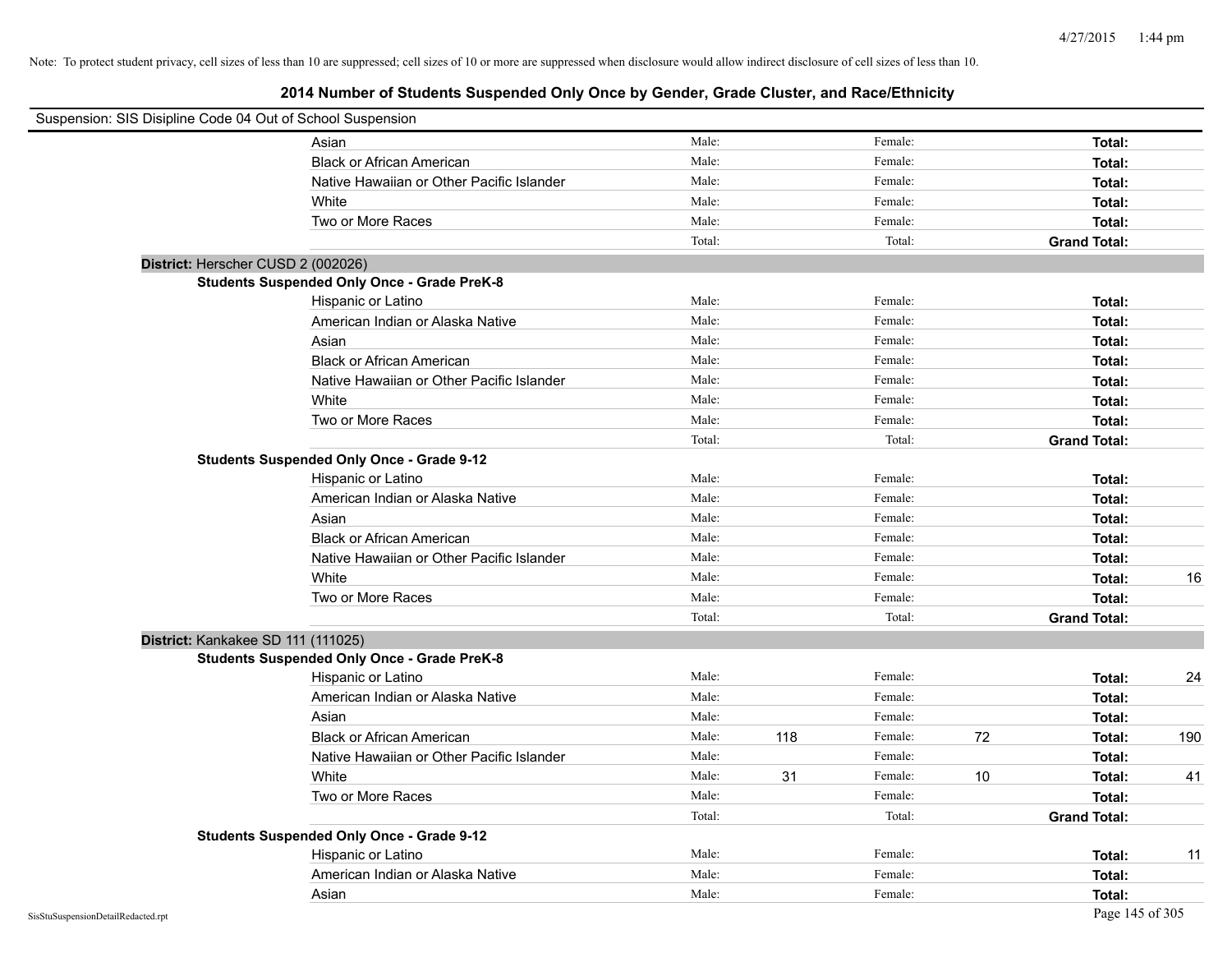| Suspension: SIS Disipline Code 04 Out of School Suspension |                                                    |        |     |         |    |                     |     |
|------------------------------------------------------------|----------------------------------------------------|--------|-----|---------|----|---------------------|-----|
|                                                            | Asian                                              | Male:  |     | Female: |    | Total:              |     |
|                                                            | <b>Black or African American</b>                   | Male:  |     | Female: |    | Total:              |     |
|                                                            | Native Hawaiian or Other Pacific Islander          | Male:  |     | Female: |    | Total:              |     |
|                                                            | White                                              | Male:  |     | Female: |    | Total:              |     |
|                                                            | Two or More Races                                  | Male:  |     | Female: |    | Total:              |     |
|                                                            |                                                    | Total: |     | Total:  |    | <b>Grand Total:</b> |     |
| District: Herscher CUSD 2 (002026)                         |                                                    |        |     |         |    |                     |     |
|                                                            | <b>Students Suspended Only Once - Grade PreK-8</b> |        |     |         |    |                     |     |
|                                                            | Hispanic or Latino                                 | Male:  |     | Female: |    | Total:              |     |
|                                                            | American Indian or Alaska Native                   | Male:  |     | Female: |    | Total:              |     |
|                                                            | Asian                                              | Male:  |     | Female: |    | Total:              |     |
|                                                            | <b>Black or African American</b>                   | Male:  |     | Female: |    | Total:              |     |
|                                                            | Native Hawaiian or Other Pacific Islander          | Male:  |     | Female: |    | Total:              |     |
|                                                            | White                                              | Male:  |     | Female: |    | Total:              |     |
|                                                            | Two or More Races                                  | Male:  |     | Female: |    | Total:              |     |
|                                                            |                                                    | Total: |     | Total:  |    | <b>Grand Total:</b> |     |
|                                                            | <b>Students Suspended Only Once - Grade 9-12</b>   |        |     |         |    |                     |     |
|                                                            | Hispanic or Latino                                 | Male:  |     | Female: |    | Total:              |     |
|                                                            | American Indian or Alaska Native                   | Male:  |     | Female: |    | Total:              |     |
|                                                            | Asian                                              | Male:  |     | Female: |    | Total:              |     |
|                                                            | <b>Black or African American</b>                   | Male:  |     | Female: |    | Total:              |     |
|                                                            | Native Hawaiian or Other Pacific Islander          | Male:  |     | Female: |    | Total:              |     |
|                                                            | White                                              | Male:  |     | Female: |    | Total:              | 16  |
|                                                            | Two or More Races                                  | Male:  |     | Female: |    | Total:              |     |
|                                                            |                                                    | Total: |     | Total:  |    | <b>Grand Total:</b> |     |
| District: Kankakee SD 111 (111025)                         |                                                    |        |     |         |    |                     |     |
|                                                            | <b>Students Suspended Only Once - Grade PreK-8</b> |        |     |         |    |                     |     |
|                                                            | Hispanic or Latino                                 | Male:  |     | Female: |    | Total:              | 24  |
|                                                            | American Indian or Alaska Native                   | Male:  |     | Female: |    | Total:              |     |
|                                                            | Asian                                              | Male:  |     | Female: |    | Total:              |     |
|                                                            | <b>Black or African American</b>                   | Male:  | 118 | Female: | 72 | Total:              | 190 |
|                                                            | Native Hawaiian or Other Pacific Islander          | Male:  |     | Female: |    | Total:              |     |
|                                                            | White                                              | Male:  | 31  | Female: | 10 | Total:              | 41  |
|                                                            | Two or More Races                                  | Male:  |     | Female: |    | Total:              |     |
|                                                            |                                                    | Total: |     | Total:  |    | <b>Grand Total:</b> |     |
|                                                            | <b>Students Suspended Only Once - Grade 9-12</b>   |        |     |         |    |                     |     |
|                                                            | Hispanic or Latino                                 | Male:  |     | Female: |    | Total:              | 11  |
|                                                            | American Indian or Alaska Native                   | Male:  |     | Female: |    | Total:              |     |
|                                                            | Asian                                              | Male:  |     | Female: |    | Total:              |     |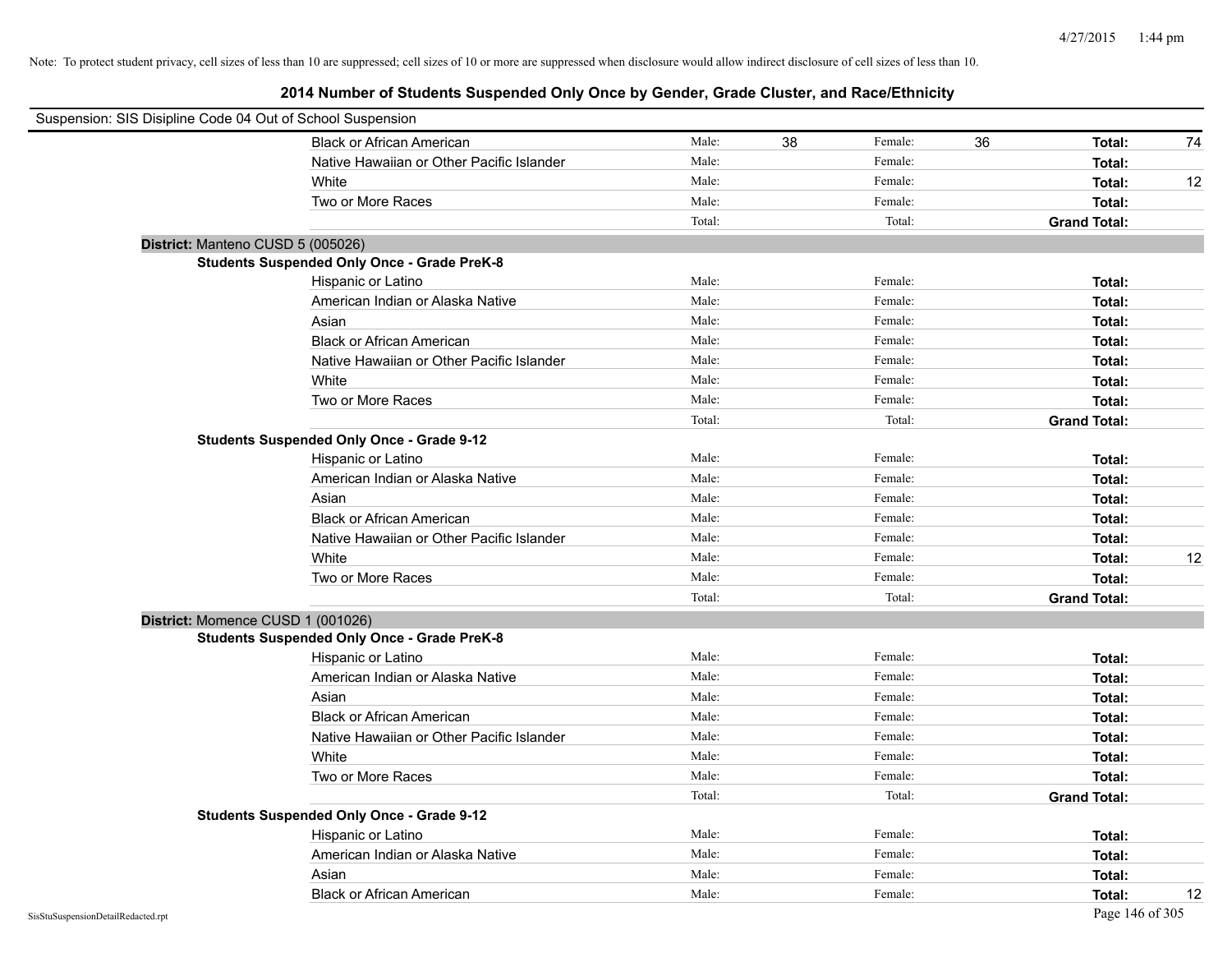| Suspension: SIS Disipline Code 04 Out of School Suspension |                                                    |        |    |         |    |                     |    |
|------------------------------------------------------------|----------------------------------------------------|--------|----|---------|----|---------------------|----|
|                                                            | <b>Black or African American</b>                   | Male:  | 38 | Female: | 36 | Total:              | 74 |
|                                                            | Native Hawaiian or Other Pacific Islander          | Male:  |    | Female: |    | Total:              |    |
|                                                            | White                                              | Male:  |    | Female: |    | Total:              | 12 |
|                                                            | Two or More Races                                  | Male:  |    | Female: |    | Total:              |    |
|                                                            |                                                    | Total: |    | Total:  |    | <b>Grand Total:</b> |    |
| District: Manteno CUSD 5 (005026)                          |                                                    |        |    |         |    |                     |    |
|                                                            | <b>Students Suspended Only Once - Grade PreK-8</b> |        |    |         |    |                     |    |
|                                                            | Hispanic or Latino                                 | Male:  |    | Female: |    | Total:              |    |
|                                                            | American Indian or Alaska Native                   | Male:  |    | Female: |    | Total:              |    |
|                                                            | Asian                                              | Male:  |    | Female: |    | Total:              |    |
|                                                            | <b>Black or African American</b>                   | Male:  |    | Female: |    | Total:              |    |
|                                                            | Native Hawaiian or Other Pacific Islander          | Male:  |    | Female: |    | Total:              |    |
|                                                            | White                                              | Male:  |    | Female: |    | Total:              |    |
|                                                            | Two or More Races                                  | Male:  |    | Female: |    | Total:              |    |
|                                                            |                                                    | Total: |    | Total:  |    | <b>Grand Total:</b> |    |
|                                                            | <b>Students Suspended Only Once - Grade 9-12</b>   |        |    |         |    |                     |    |
|                                                            | Hispanic or Latino                                 | Male:  |    | Female: |    | Total:              |    |
|                                                            | American Indian or Alaska Native                   | Male:  |    | Female: |    | Total:              |    |
|                                                            | Asian                                              | Male:  |    | Female: |    | Total:              |    |
|                                                            | <b>Black or African American</b>                   | Male:  |    | Female: |    | Total:              |    |
|                                                            | Native Hawaiian or Other Pacific Islander          | Male:  |    | Female: |    | Total:              |    |
|                                                            | White                                              | Male:  |    | Female: |    | Total:              | 12 |
|                                                            | Two or More Races                                  | Male:  |    | Female: |    | Total:              |    |
|                                                            |                                                    | Total: |    | Total:  |    | <b>Grand Total:</b> |    |
| District: Momence CUSD 1 (001026)                          |                                                    |        |    |         |    |                     |    |
|                                                            | <b>Students Suspended Only Once - Grade PreK-8</b> |        |    |         |    |                     |    |
|                                                            | Hispanic or Latino                                 | Male:  |    | Female: |    | Total:              |    |
|                                                            | American Indian or Alaska Native                   | Male:  |    | Female: |    | Total:              |    |
|                                                            | Asian                                              | Male:  |    | Female: |    | Total:              |    |
|                                                            | <b>Black or African American</b>                   | Male:  |    | Female: |    | Total:              |    |
|                                                            | Native Hawaiian or Other Pacific Islander          | Male:  |    | Female: |    | Total:              |    |
|                                                            | White                                              | Male:  |    | Female: |    | Total:              |    |
|                                                            | Two or More Races                                  | Male:  |    | Female: |    | Total:              |    |
|                                                            |                                                    | Total: |    | Total:  |    | <b>Grand Total:</b> |    |
|                                                            | <b>Students Suspended Only Once - Grade 9-12</b>   |        |    |         |    |                     |    |
|                                                            | Hispanic or Latino                                 | Male:  |    | Female: |    | Total:              |    |
|                                                            | American Indian or Alaska Native                   | Male:  |    | Female: |    | Total:              |    |
|                                                            | Asian                                              | Male:  |    | Female: |    | Total:              |    |
|                                                            | <b>Black or African American</b>                   | Male:  |    | Female: |    | Total:              | 12 |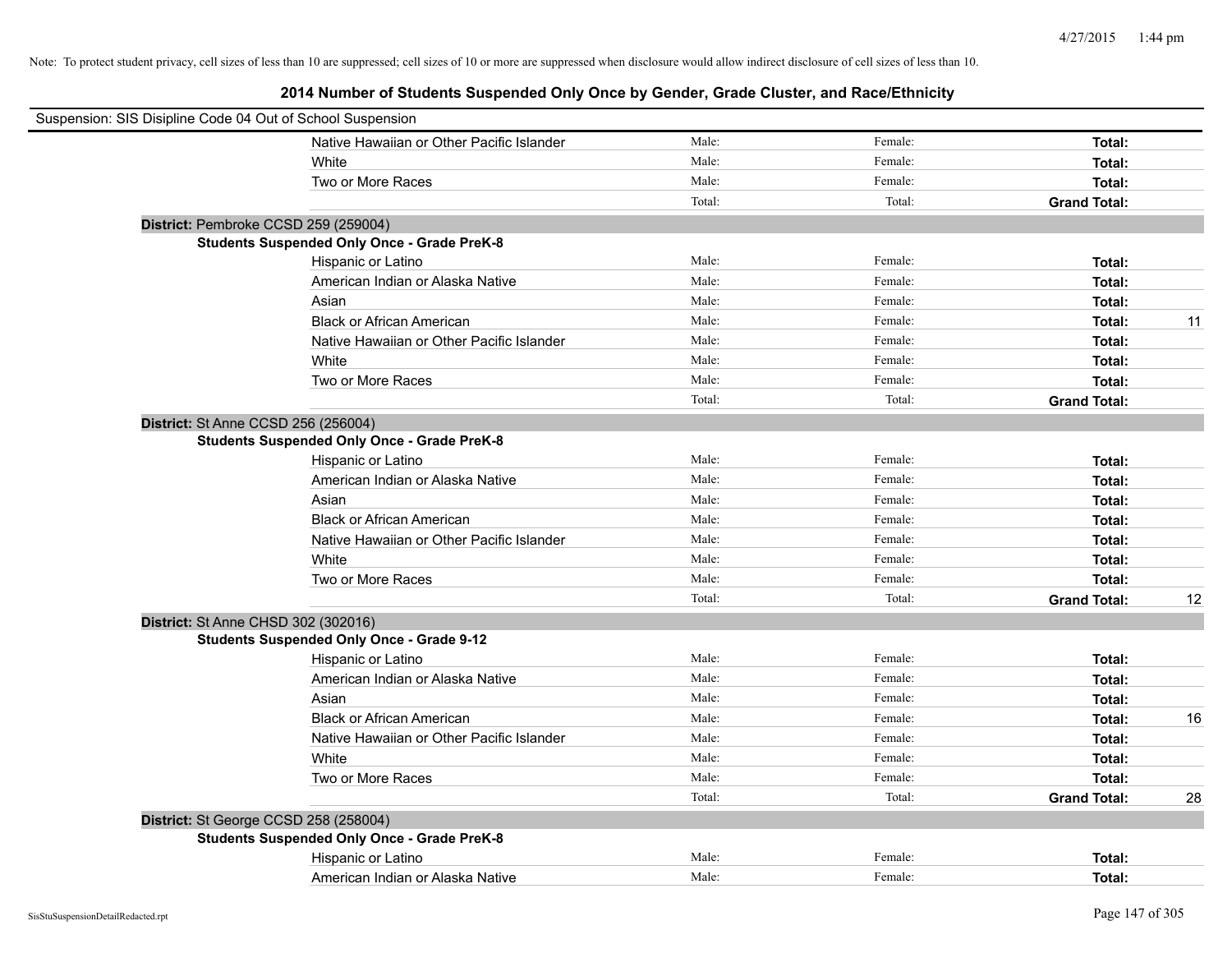| Suspension: SIS Disipline Code 04 Out of School Suspension |        |         |                     |    |
|------------------------------------------------------------|--------|---------|---------------------|----|
| Native Hawaiian or Other Pacific Islander                  | Male:  | Female: | Total:              |    |
| White                                                      | Male:  | Female: | Total:              |    |
| Two or More Races                                          | Male:  | Female: | Total:              |    |
|                                                            | Total: | Total:  | <b>Grand Total:</b> |    |
| District: Pembroke CCSD 259 (259004)                       |        |         |                     |    |
| <b>Students Suspended Only Once - Grade PreK-8</b>         |        |         |                     |    |
| Hispanic or Latino                                         | Male:  | Female: | Total:              |    |
| American Indian or Alaska Native                           | Male:  | Female: | Total:              |    |
| Asian                                                      | Male:  | Female: | Total:              |    |
| <b>Black or African American</b>                           | Male:  | Female: | Total:              | 11 |
| Native Hawaiian or Other Pacific Islander                  | Male:  | Female: | Total:              |    |
| White                                                      | Male:  | Female: | Total:              |    |
| Two or More Races                                          | Male:  | Female: | Total:              |    |
|                                                            | Total: | Total:  | <b>Grand Total:</b> |    |
| District: St Anne CCSD 256 (256004)                        |        |         |                     |    |
| <b>Students Suspended Only Once - Grade PreK-8</b>         |        |         |                     |    |
| Hispanic or Latino                                         | Male:  | Female: | Total:              |    |
| American Indian or Alaska Native                           | Male:  | Female: | Total:              |    |
| Asian                                                      | Male:  | Female: | Total:              |    |
| <b>Black or African American</b>                           | Male:  | Female: | Total:              |    |
| Native Hawaiian or Other Pacific Islander                  | Male:  | Female: | Total:              |    |
| White                                                      | Male:  | Female: | Total:              |    |
| Two or More Races                                          | Male:  | Female: | Total:              |    |
|                                                            | Total: | Total:  | <b>Grand Total:</b> | 12 |
| District: St Anne CHSD 302 (302016)                        |        |         |                     |    |
| <b>Students Suspended Only Once - Grade 9-12</b>           |        |         |                     |    |
| Hispanic or Latino                                         | Male:  | Female: | Total:              |    |
| American Indian or Alaska Native                           | Male:  | Female: | Total:              |    |
| Asian                                                      | Male:  | Female: | Total:              |    |
| <b>Black or African American</b>                           | Male:  | Female: | Total:              | 16 |
| Native Hawaiian or Other Pacific Islander                  | Male:  | Female: | Total:              |    |
| White                                                      | Male:  | Female: | Total:              |    |
| Two or More Races                                          | Male:  | Female: | Total:              |    |
|                                                            | Total: | Total:  | <b>Grand Total:</b> | 28 |
| District: St George CCSD 258 (258004)                      |        |         |                     |    |
| <b>Students Suspended Only Once - Grade PreK-8</b>         |        |         |                     |    |
| Hispanic or Latino                                         | Male:  | Female: | Total:              |    |
| American Indian or Alaska Native                           | Male:  | Female: | Total:              |    |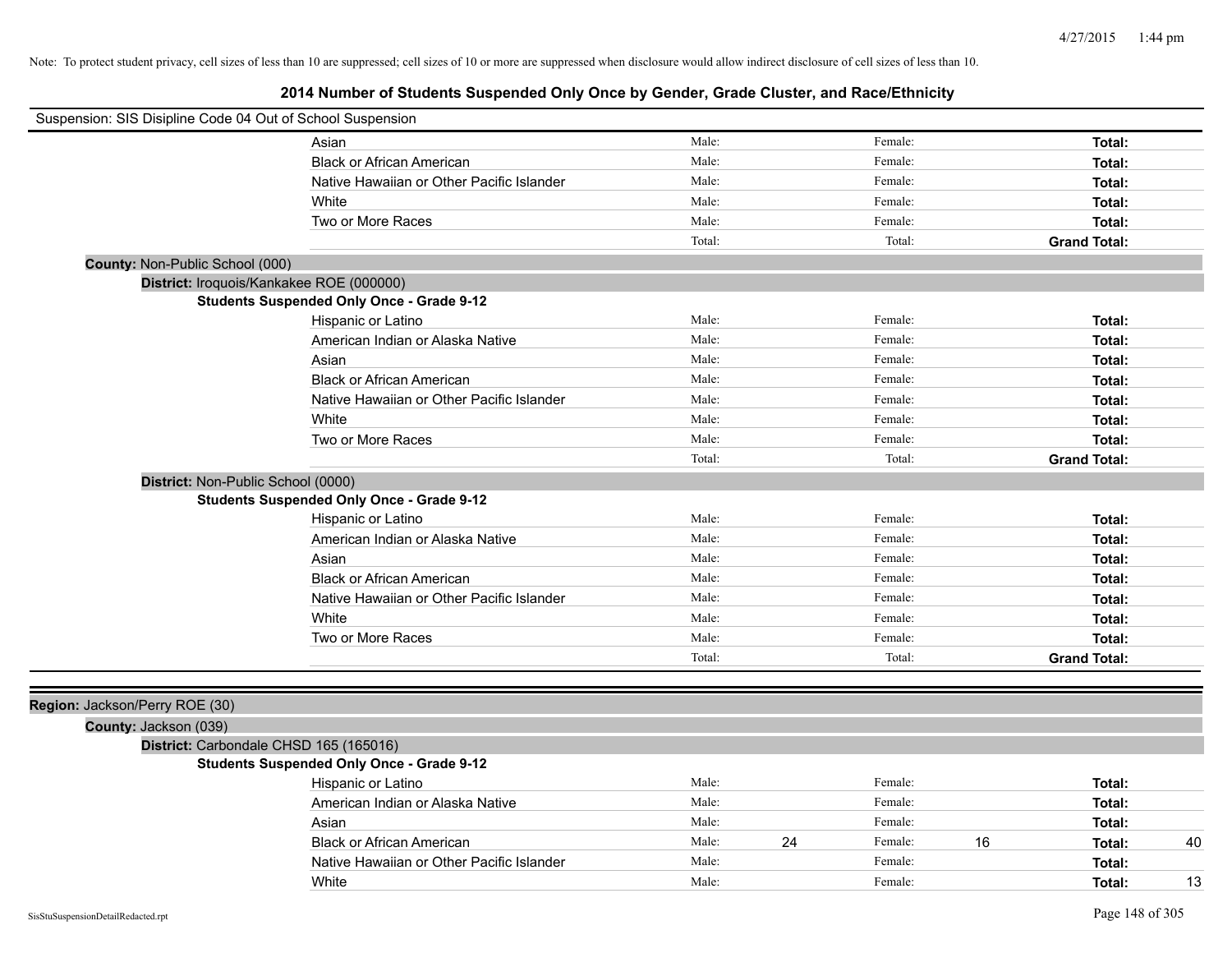| Suspension: SIS Disipline Code 04 Out of School Suspension |                                                  |        |               |                     |
|------------------------------------------------------------|--------------------------------------------------|--------|---------------|---------------------|
|                                                            | Asian                                            | Male:  | Female:       | Total:              |
|                                                            | <b>Black or African American</b>                 | Male:  | Female:       | Total:              |
|                                                            | Native Hawaiian or Other Pacific Islander        | Male:  | Female:       | Total:              |
|                                                            | White                                            | Male:  | Female:       | Total:              |
|                                                            | Two or More Races                                | Male:  | Female:       | Total:              |
|                                                            |                                                  | Total: | Total:        | <b>Grand Total:</b> |
| County: Non-Public School (000)                            |                                                  |        |               |                     |
| District: Iroquois/Kankakee ROE (000000)                   |                                                  |        |               |                     |
|                                                            | <b>Students Suspended Only Once - Grade 9-12</b> |        |               |                     |
|                                                            | Hispanic or Latino                               | Male:  | Female:       | Total:              |
|                                                            | American Indian or Alaska Native                 | Male:  | Female:       | Total:              |
|                                                            | Asian                                            | Male:  | Female:       | Total:              |
|                                                            | <b>Black or African American</b>                 | Male:  | Female:       | Total:              |
|                                                            | Native Hawaiian or Other Pacific Islander        | Male:  | Female:       | Total:              |
|                                                            | White                                            | Male:  | Female:       | Total:              |
|                                                            | Two or More Races                                | Male:  | Female:       | Total:              |
|                                                            |                                                  | Total: | Total:        | <b>Grand Total:</b> |
| District: Non-Public School (0000)                         |                                                  |        |               |                     |
|                                                            | <b>Students Suspended Only Once - Grade 9-12</b> |        |               |                     |
|                                                            | Hispanic or Latino                               | Male:  | Female:       | Total:              |
|                                                            | American Indian or Alaska Native                 | Male:  | Female:       | Total:              |
|                                                            | Asian                                            | Male:  | Female:       | Total:              |
|                                                            | <b>Black or African American</b>                 | Male:  | Female:       | Total:              |
|                                                            | Native Hawaiian or Other Pacific Islander        | Male:  | Female:       | Total:              |
|                                                            | White                                            | Male:  | Female:       | Total:              |
|                                                            | Two or More Races                                | Male:  | Female:       | Total:              |
|                                                            |                                                  | Total: | Total:        | <b>Grand Total:</b> |
|                                                            |                                                  |        |               |                     |
| Region: Jackson/Perry ROE (30)                             |                                                  |        |               |                     |
| County: Jackson (039)                                      |                                                  |        |               |                     |
| District: Carbondale CHSD 165 (165016)                     |                                                  |        |               |                     |
|                                                            | <b>Students Suspended Only Once - Grade 9-12</b> |        |               |                     |
|                                                            | Hispanic or Latino                               | Male:  | Female:       | Total:              |
|                                                            | American Indian or Alaska Native                 | Male:  | Female:       | Total:              |
|                                                            | Asian                                            | Male:  | Female:       | Total:              |
|                                                            | <b>Black or African American</b>                 | Male:  | 24<br>Female: | 16<br>40<br>Total:  |
|                                                            | Native Hawaiian or Other Pacific Islander        | Male:  | Female:       | Total:              |
|                                                            | White                                            | Male:  | Female:       | 13<br>Total:        |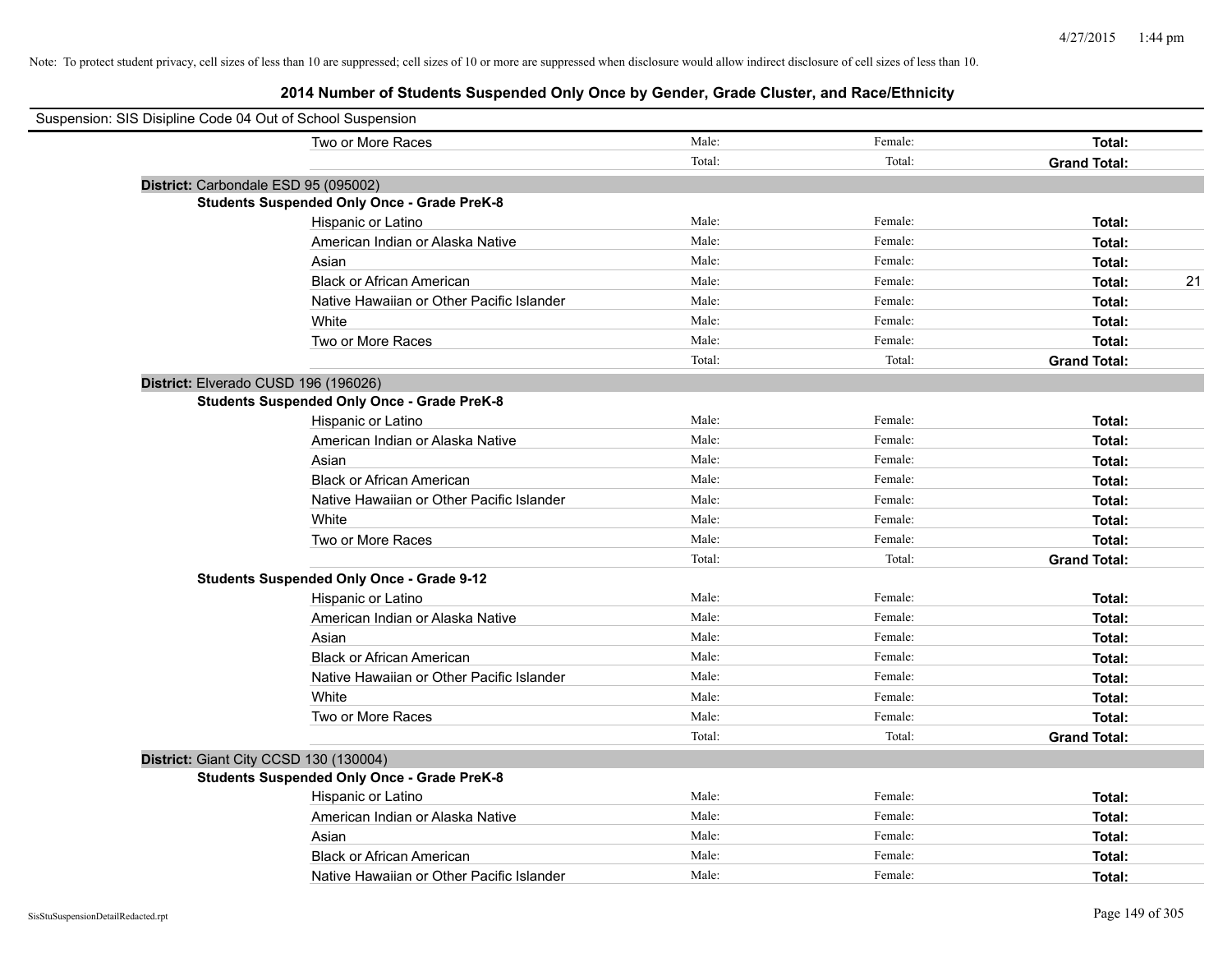| Suspension: SIS Disipline Code 04 Out of School Suspension |                                                    |        |         |                     |    |
|------------------------------------------------------------|----------------------------------------------------|--------|---------|---------------------|----|
|                                                            | Two or More Races                                  | Male:  | Female: | Total:              |    |
|                                                            |                                                    | Total: | Total:  | <b>Grand Total:</b> |    |
| District: Carbondale ESD 95 (095002)                       |                                                    |        |         |                     |    |
|                                                            | <b>Students Suspended Only Once - Grade PreK-8</b> |        |         |                     |    |
|                                                            | Hispanic or Latino                                 | Male:  | Female: | Total:              |    |
|                                                            | American Indian or Alaska Native                   | Male:  | Female: | Total:              |    |
|                                                            | Asian                                              | Male:  | Female: | Total:              |    |
|                                                            | <b>Black or African American</b>                   | Male:  | Female: | Total:              | 21 |
|                                                            | Native Hawaiian or Other Pacific Islander          | Male:  | Female: | Total:              |    |
|                                                            | White                                              | Male:  | Female: | Total:              |    |
|                                                            | Two or More Races                                  | Male:  | Female: | Total:              |    |
|                                                            |                                                    | Total: | Total:  | <b>Grand Total:</b> |    |
| District: Elverado CUSD 196 (196026)                       |                                                    |        |         |                     |    |
|                                                            | <b>Students Suspended Only Once - Grade PreK-8</b> |        |         |                     |    |
|                                                            | Hispanic or Latino                                 | Male:  | Female: | Total:              |    |
|                                                            | American Indian or Alaska Native                   | Male:  | Female: | Total:              |    |
|                                                            | Asian                                              | Male:  | Female: | Total:              |    |
|                                                            | <b>Black or African American</b>                   | Male:  | Female: | Total:              |    |
|                                                            | Native Hawaiian or Other Pacific Islander          | Male:  | Female: | Total:              |    |
|                                                            | White                                              | Male:  | Female: | Total:              |    |
|                                                            | Two or More Races                                  | Male:  | Female: | Total:              |    |
|                                                            |                                                    | Total: | Total:  | <b>Grand Total:</b> |    |
|                                                            | <b>Students Suspended Only Once - Grade 9-12</b>   |        |         |                     |    |
|                                                            | Hispanic or Latino                                 | Male:  | Female: | Total:              |    |
|                                                            | American Indian or Alaska Native                   | Male:  | Female: | Total:              |    |
|                                                            | Asian                                              | Male:  | Female: | Total:              |    |
|                                                            | <b>Black or African American</b>                   | Male:  | Female: | Total:              |    |
|                                                            | Native Hawaiian or Other Pacific Islander          | Male:  | Female: | Total:              |    |
|                                                            | White                                              | Male:  | Female: | Total:              |    |
|                                                            | Two or More Races                                  | Male:  | Female: | Total:              |    |
|                                                            |                                                    | Total: | Total:  | <b>Grand Total:</b> |    |
| District: Giant City CCSD 130 (130004)                     |                                                    |        |         |                     |    |
|                                                            | <b>Students Suspended Only Once - Grade PreK-8</b> |        |         |                     |    |
|                                                            | Hispanic or Latino                                 | Male:  | Female: | Total:              |    |
|                                                            | American Indian or Alaska Native                   | Male:  | Female: | Total:              |    |
|                                                            | Asian                                              | Male:  | Female: | Total:              |    |
|                                                            | <b>Black or African American</b>                   | Male:  | Female: | Total:              |    |
|                                                            | Native Hawaiian or Other Pacific Islander          | Male:  | Female: | Total:              |    |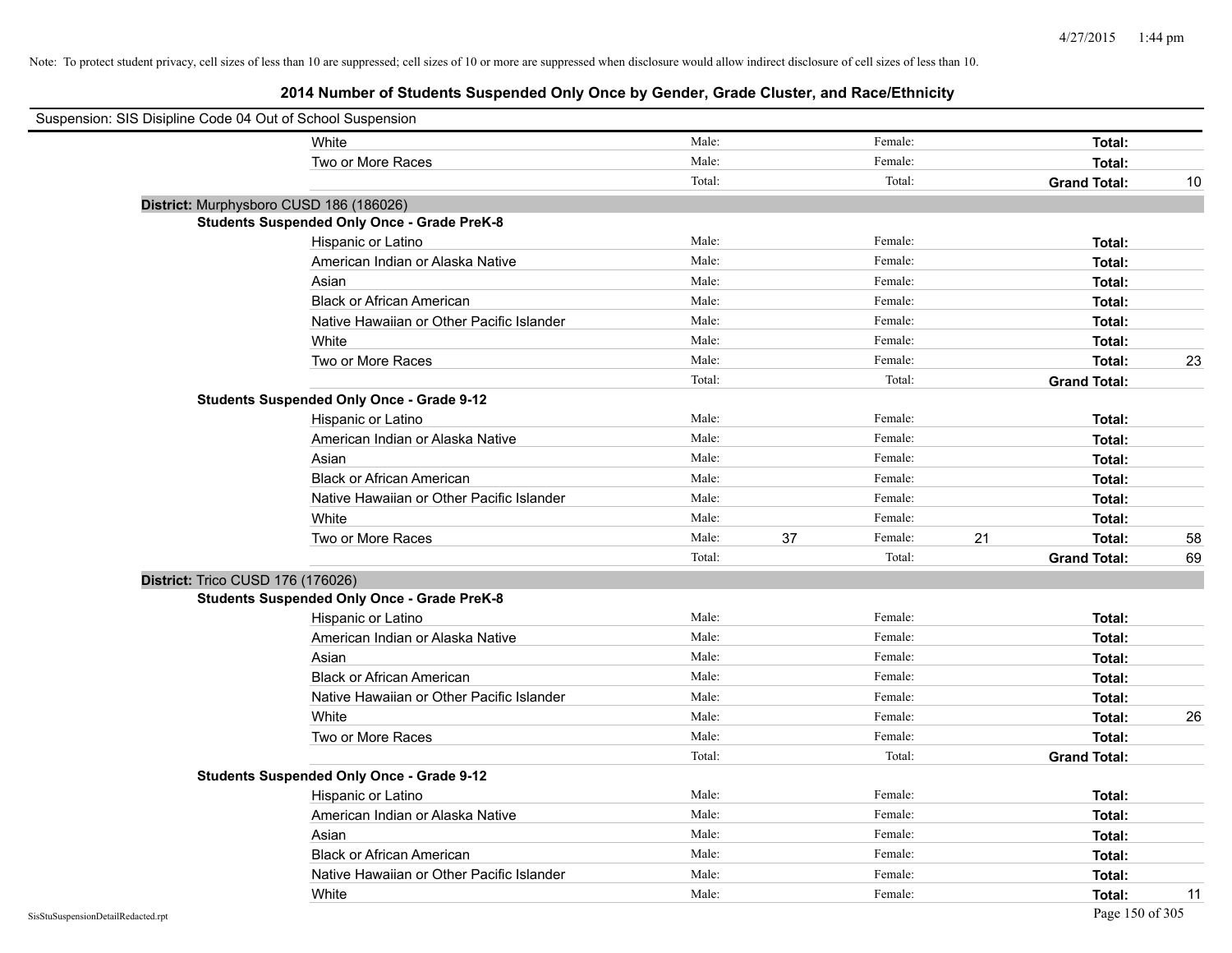| Suspension: SIS Disipline Code 04 Out of School Suspension |                                                    |        |               |    |                     |    |
|------------------------------------------------------------|----------------------------------------------------|--------|---------------|----|---------------------|----|
|                                                            | White                                              | Male:  | Female:       |    | Total:              |    |
|                                                            | Two or More Races                                  | Male:  | Female:       |    | Total:              |    |
|                                                            |                                                    | Total: | Total:        |    | <b>Grand Total:</b> | 10 |
| District: Murphysboro CUSD 186 (186026)                    |                                                    |        |               |    |                     |    |
|                                                            | <b>Students Suspended Only Once - Grade PreK-8</b> |        |               |    |                     |    |
|                                                            | Hispanic or Latino                                 | Male:  | Female:       |    | Total:              |    |
|                                                            | American Indian or Alaska Native                   | Male:  | Female:       |    | Total:              |    |
|                                                            | Asian                                              | Male:  | Female:       |    | Total:              |    |
|                                                            | <b>Black or African American</b>                   | Male:  | Female:       |    | Total:              |    |
|                                                            | Native Hawaiian or Other Pacific Islander          | Male:  | Female:       |    | Total:              |    |
|                                                            | White                                              | Male:  | Female:       |    | Total:              |    |
|                                                            | Two or More Races                                  | Male:  | Female:       |    | Total:              | 23 |
|                                                            |                                                    | Total: | Total:        |    | <b>Grand Total:</b> |    |
|                                                            | <b>Students Suspended Only Once - Grade 9-12</b>   |        |               |    |                     |    |
|                                                            | Hispanic or Latino                                 | Male:  | Female:       |    | Total:              |    |
|                                                            | American Indian or Alaska Native                   | Male:  | Female:       |    | Total:              |    |
|                                                            | Asian                                              | Male:  | Female:       |    | Total:              |    |
|                                                            | <b>Black or African American</b>                   | Male:  | Female:       |    | Total:              |    |
|                                                            | Native Hawaiian or Other Pacific Islander          | Male:  | Female:       |    | Total:              |    |
|                                                            | White                                              | Male:  | Female:       |    | Total:              |    |
|                                                            | Two or More Races                                  | Male:  | 37<br>Female: | 21 | Total:              | 58 |
|                                                            |                                                    | Total: | Total:        |    | <b>Grand Total:</b> | 69 |
| District: Trico CUSD 176 (176026)                          |                                                    |        |               |    |                     |    |
|                                                            | <b>Students Suspended Only Once - Grade PreK-8</b> |        |               |    |                     |    |
|                                                            | Hispanic or Latino                                 | Male:  | Female:       |    | Total:              |    |
|                                                            | American Indian or Alaska Native                   | Male:  | Female:       |    | Total:              |    |
|                                                            | Asian                                              | Male:  | Female:       |    | Total:              |    |
|                                                            | <b>Black or African American</b>                   | Male:  | Female:       |    | Total:              |    |
|                                                            | Native Hawaiian or Other Pacific Islander          | Male:  | Female:       |    | Total:              |    |
|                                                            | White                                              | Male:  | Female:       |    | Total:              | 26 |
|                                                            | Two or More Races                                  | Male:  | Female:       |    | Total:              |    |
|                                                            |                                                    | Total: | Total:        |    | <b>Grand Total:</b> |    |
|                                                            | <b>Students Suspended Only Once - Grade 9-12</b>   |        |               |    |                     |    |
|                                                            | Hispanic or Latino                                 | Male:  | Female:       |    | Total:              |    |
|                                                            | American Indian or Alaska Native                   | Male:  | Female:       |    | Total:              |    |
|                                                            | Asian                                              | Male:  | Female:       |    | Total:              |    |
|                                                            | <b>Black or African American</b>                   | Male:  | Female:       |    | Total:              |    |
|                                                            | Native Hawaiian or Other Pacific Islander          | Male:  | Female:       |    | Total:              |    |
|                                                            | White                                              | Male:  | Female:       |    | Total:              | 11 |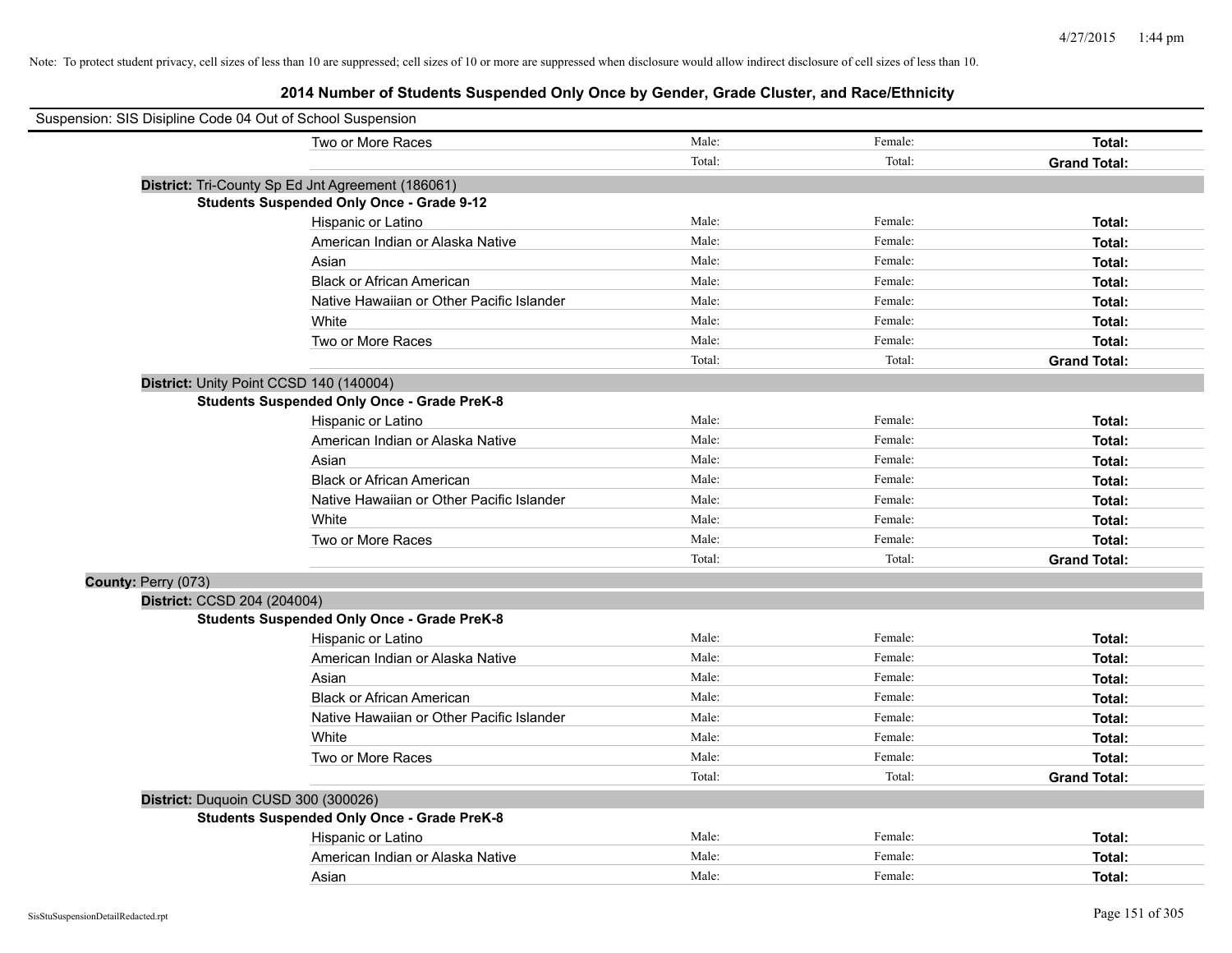|                     | Suspension: SIS Disipline Code 04 Out of School Suspension |        |         |                     |
|---------------------|------------------------------------------------------------|--------|---------|---------------------|
|                     | Two or More Races                                          | Male:  | Female: | Total:              |
|                     |                                                            | Total: | Total:  | <b>Grand Total:</b> |
|                     | District: Tri-County Sp Ed Jnt Agreement (186061)          |        |         |                     |
|                     | <b>Students Suspended Only Once - Grade 9-12</b>           |        |         |                     |
|                     | Hispanic or Latino                                         | Male:  | Female: | Total:              |
|                     | American Indian or Alaska Native                           | Male:  | Female: | Total:              |
|                     | Asian                                                      | Male:  | Female: | Total:              |
|                     | <b>Black or African American</b>                           | Male:  | Female: | Total:              |
|                     | Native Hawaiian or Other Pacific Islander                  | Male:  | Female: | Total:              |
|                     | White                                                      | Male:  | Female: | Total:              |
|                     | Two or More Races                                          | Male:  | Female: | Total:              |
|                     |                                                            | Total: | Total:  | <b>Grand Total:</b> |
|                     | District: Unity Point CCSD 140 (140004)                    |        |         |                     |
|                     | <b>Students Suspended Only Once - Grade PreK-8</b>         |        |         |                     |
|                     | Hispanic or Latino                                         | Male:  | Female: | Total:              |
|                     | American Indian or Alaska Native                           | Male:  | Female: | Total:              |
|                     | Asian                                                      | Male:  | Female: | Total:              |
|                     | <b>Black or African American</b>                           | Male:  | Female: | Total:              |
|                     | Native Hawaiian or Other Pacific Islander                  | Male:  | Female: | Total:              |
|                     | White                                                      | Male:  | Female: | Total:              |
|                     | Two or More Races                                          | Male:  | Female: | Total:              |
|                     |                                                            | Total: | Total:  | <b>Grand Total:</b> |
| County: Perry (073) |                                                            |        |         |                     |
|                     | District: CCSD 204 (204004)                                |        |         |                     |
|                     | <b>Students Suspended Only Once - Grade PreK-8</b>         |        |         |                     |
|                     | Hispanic or Latino                                         | Male:  | Female: | Total:              |
|                     | American Indian or Alaska Native                           | Male:  | Female: | Total:              |
|                     | Asian                                                      | Male:  | Female: | Total:              |
|                     | <b>Black or African American</b>                           | Male:  | Female: | Total:              |
|                     | Native Hawaiian or Other Pacific Islander                  | Male:  | Female: | Total:              |
|                     | White                                                      | Male:  | Female: | Total:              |
|                     | Two or More Races                                          | Male:  | Female: | Total:              |
|                     |                                                            | Total: | Total:  | <b>Grand Total:</b> |
|                     | District: Duquoin CUSD 300 (300026)                        |        |         |                     |
|                     | <b>Students Suspended Only Once - Grade PreK-8</b>         |        |         |                     |
|                     | Hispanic or Latino                                         | Male:  | Female: | Total:              |
|                     | American Indian or Alaska Native                           | Male:  | Female: | Total:              |
|                     | Asian                                                      | Male:  | Female: | Total:              |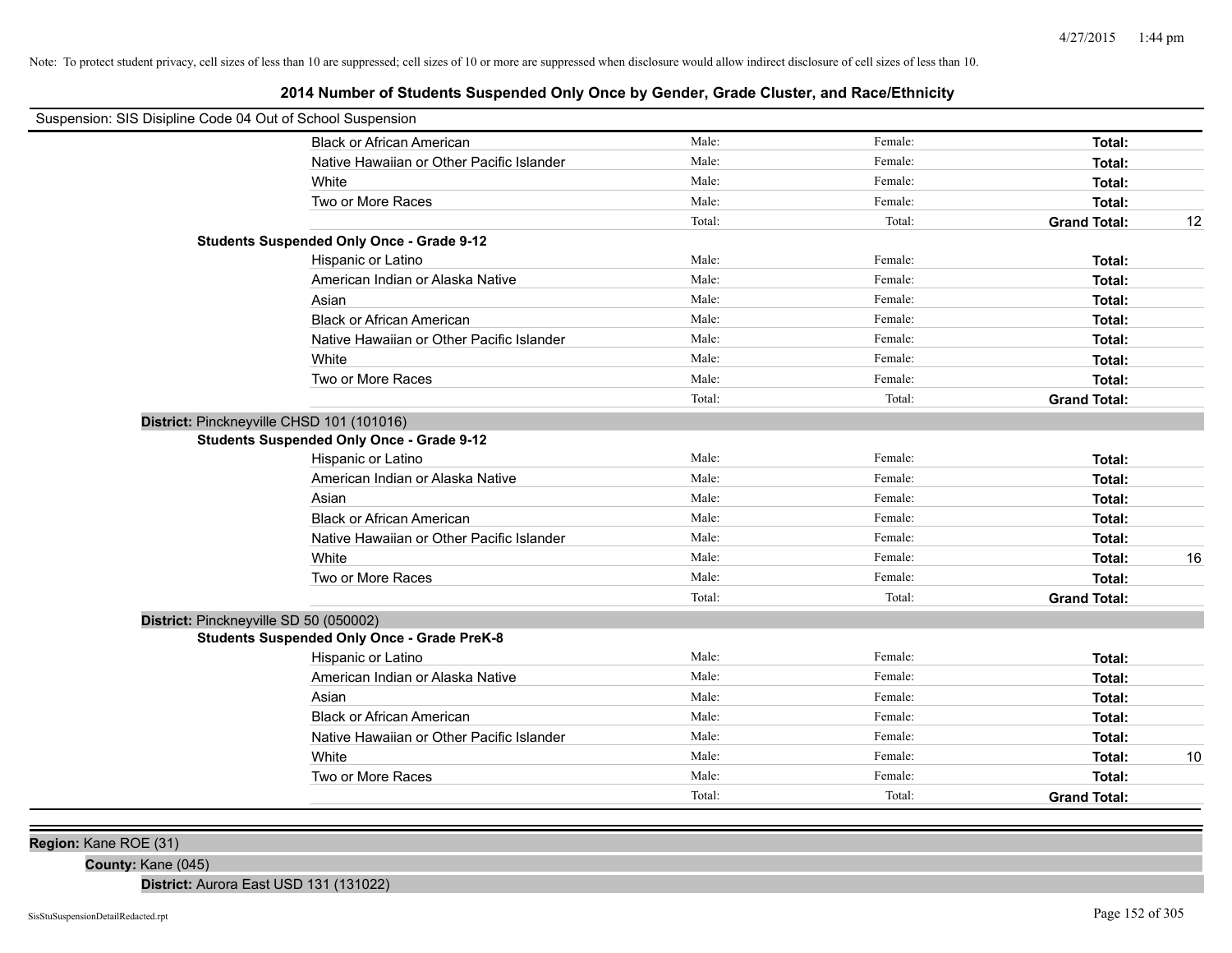# **2014 Number of Students Suspended Only Once by Gender, Grade Cluster, and Race/Ethnicity**

| Female:<br>Male:<br><b>Black or African American</b><br>Total:<br>Male:<br>Female:<br>Native Hawaiian or Other Pacific Islander<br>Total:<br>Male:<br>Female:<br>White<br>Total:<br>Male:<br>Two or More Races<br>Female:<br>Total:<br>Total:<br>Total:<br><b>Grand Total:</b><br>12<br><b>Students Suspended Only Once - Grade 9-12</b><br>Male:<br>Female:<br>Hispanic or Latino<br>Total:<br>Male:<br>Female:<br>American Indian or Alaska Native<br>Total:<br>Male:<br>Female:<br>Asian<br>Total:<br>Male:<br>Female:<br><b>Black or African American</b><br>Total:<br>Male:<br>Female:<br>Native Hawaiian or Other Pacific Islander<br>Total:<br>Female:<br>White<br>Male:<br>Total:<br>Male:<br>Female:<br>Two or More Races<br>Total:<br>Total:<br>Total:<br><b>Grand Total:</b><br>District: Pinckneyville CHSD 101 (101016)<br><b>Students Suspended Only Once - Grade 9-12</b><br>Male:<br>Female:<br>Hispanic or Latino<br>Total:<br>American Indian or Alaska Native<br>Male:<br>Female:<br><b>Total:</b><br>Male:<br>Female:<br>Asian<br>Total:<br>Male:<br><b>Black or African American</b><br>Female:<br>Total:<br>Male:<br>Female:<br>Native Hawaiian or Other Pacific Islander<br>Total:<br>Male:<br>White<br>Female:<br>16<br>Total:<br>Two or More Races<br>Male:<br>Female:<br>Total:<br>Total:<br>Total:<br><b>Grand Total:</b><br>District: Pinckneyville SD 50 (050002)<br><b>Students Suspended Only Once - Grade PreK-8</b><br>Male:<br>Female:<br>Hispanic or Latino<br>Total:<br>Male:<br>Female:<br>American Indian or Alaska Native<br>Total:<br>Male:<br>Female:<br>Total:<br>Asian<br>Male:<br>Female:<br><b>Black or African American</b><br>Total:<br>Male:<br>Female:<br>Native Hawaiian or Other Pacific Islander<br>Total:<br>Male:<br>Female:<br>White<br>10<br>Total:<br>Male:<br>Female:<br>Two or More Races<br>Total:<br>Total:<br>Total:<br><b>Grand Total:</b> | Suspension: SIS Disipline Code 04 Out of School Suspension |  |  |  |
|-----------------------------------------------------------------------------------------------------------------------------------------------------------------------------------------------------------------------------------------------------------------------------------------------------------------------------------------------------------------------------------------------------------------------------------------------------------------------------------------------------------------------------------------------------------------------------------------------------------------------------------------------------------------------------------------------------------------------------------------------------------------------------------------------------------------------------------------------------------------------------------------------------------------------------------------------------------------------------------------------------------------------------------------------------------------------------------------------------------------------------------------------------------------------------------------------------------------------------------------------------------------------------------------------------------------------------------------------------------------------------------------------------------------------------------------------------------------------------------------------------------------------------------------------------------------------------------------------------------------------------------------------------------------------------------------------------------------------------------------------------------------------------------------------------------------------------------------------------------------------------------------------------------|------------------------------------------------------------|--|--|--|
|                                                                                                                                                                                                                                                                                                                                                                                                                                                                                                                                                                                                                                                                                                                                                                                                                                                                                                                                                                                                                                                                                                                                                                                                                                                                                                                                                                                                                                                                                                                                                                                                                                                                                                                                                                                                                                                                                                           |                                                            |  |  |  |
|                                                                                                                                                                                                                                                                                                                                                                                                                                                                                                                                                                                                                                                                                                                                                                                                                                                                                                                                                                                                                                                                                                                                                                                                                                                                                                                                                                                                                                                                                                                                                                                                                                                                                                                                                                                                                                                                                                           |                                                            |  |  |  |
|                                                                                                                                                                                                                                                                                                                                                                                                                                                                                                                                                                                                                                                                                                                                                                                                                                                                                                                                                                                                                                                                                                                                                                                                                                                                                                                                                                                                                                                                                                                                                                                                                                                                                                                                                                                                                                                                                                           |                                                            |  |  |  |
|                                                                                                                                                                                                                                                                                                                                                                                                                                                                                                                                                                                                                                                                                                                                                                                                                                                                                                                                                                                                                                                                                                                                                                                                                                                                                                                                                                                                                                                                                                                                                                                                                                                                                                                                                                                                                                                                                                           |                                                            |  |  |  |
|                                                                                                                                                                                                                                                                                                                                                                                                                                                                                                                                                                                                                                                                                                                                                                                                                                                                                                                                                                                                                                                                                                                                                                                                                                                                                                                                                                                                                                                                                                                                                                                                                                                                                                                                                                                                                                                                                                           |                                                            |  |  |  |
|                                                                                                                                                                                                                                                                                                                                                                                                                                                                                                                                                                                                                                                                                                                                                                                                                                                                                                                                                                                                                                                                                                                                                                                                                                                                                                                                                                                                                                                                                                                                                                                                                                                                                                                                                                                                                                                                                                           |                                                            |  |  |  |
|                                                                                                                                                                                                                                                                                                                                                                                                                                                                                                                                                                                                                                                                                                                                                                                                                                                                                                                                                                                                                                                                                                                                                                                                                                                                                                                                                                                                                                                                                                                                                                                                                                                                                                                                                                                                                                                                                                           |                                                            |  |  |  |
|                                                                                                                                                                                                                                                                                                                                                                                                                                                                                                                                                                                                                                                                                                                                                                                                                                                                                                                                                                                                                                                                                                                                                                                                                                                                                                                                                                                                                                                                                                                                                                                                                                                                                                                                                                                                                                                                                                           |                                                            |  |  |  |
|                                                                                                                                                                                                                                                                                                                                                                                                                                                                                                                                                                                                                                                                                                                                                                                                                                                                                                                                                                                                                                                                                                                                                                                                                                                                                                                                                                                                                                                                                                                                                                                                                                                                                                                                                                                                                                                                                                           |                                                            |  |  |  |
|                                                                                                                                                                                                                                                                                                                                                                                                                                                                                                                                                                                                                                                                                                                                                                                                                                                                                                                                                                                                                                                                                                                                                                                                                                                                                                                                                                                                                                                                                                                                                                                                                                                                                                                                                                                                                                                                                                           |                                                            |  |  |  |
|                                                                                                                                                                                                                                                                                                                                                                                                                                                                                                                                                                                                                                                                                                                                                                                                                                                                                                                                                                                                                                                                                                                                                                                                                                                                                                                                                                                                                                                                                                                                                                                                                                                                                                                                                                                                                                                                                                           |                                                            |  |  |  |
|                                                                                                                                                                                                                                                                                                                                                                                                                                                                                                                                                                                                                                                                                                                                                                                                                                                                                                                                                                                                                                                                                                                                                                                                                                                                                                                                                                                                                                                                                                                                                                                                                                                                                                                                                                                                                                                                                                           |                                                            |  |  |  |
|                                                                                                                                                                                                                                                                                                                                                                                                                                                                                                                                                                                                                                                                                                                                                                                                                                                                                                                                                                                                                                                                                                                                                                                                                                                                                                                                                                                                                                                                                                                                                                                                                                                                                                                                                                                                                                                                                                           |                                                            |  |  |  |
|                                                                                                                                                                                                                                                                                                                                                                                                                                                                                                                                                                                                                                                                                                                                                                                                                                                                                                                                                                                                                                                                                                                                                                                                                                                                                                                                                                                                                                                                                                                                                                                                                                                                                                                                                                                                                                                                                                           |                                                            |  |  |  |
|                                                                                                                                                                                                                                                                                                                                                                                                                                                                                                                                                                                                                                                                                                                                                                                                                                                                                                                                                                                                                                                                                                                                                                                                                                                                                                                                                                                                                                                                                                                                                                                                                                                                                                                                                                                                                                                                                                           |                                                            |  |  |  |
|                                                                                                                                                                                                                                                                                                                                                                                                                                                                                                                                                                                                                                                                                                                                                                                                                                                                                                                                                                                                                                                                                                                                                                                                                                                                                                                                                                                                                                                                                                                                                                                                                                                                                                                                                                                                                                                                                                           |                                                            |  |  |  |
|                                                                                                                                                                                                                                                                                                                                                                                                                                                                                                                                                                                                                                                                                                                                                                                                                                                                                                                                                                                                                                                                                                                                                                                                                                                                                                                                                                                                                                                                                                                                                                                                                                                                                                                                                                                                                                                                                                           |                                                            |  |  |  |
|                                                                                                                                                                                                                                                                                                                                                                                                                                                                                                                                                                                                                                                                                                                                                                                                                                                                                                                                                                                                                                                                                                                                                                                                                                                                                                                                                                                                                                                                                                                                                                                                                                                                                                                                                                                                                                                                                                           |                                                            |  |  |  |
|                                                                                                                                                                                                                                                                                                                                                                                                                                                                                                                                                                                                                                                                                                                                                                                                                                                                                                                                                                                                                                                                                                                                                                                                                                                                                                                                                                                                                                                                                                                                                                                                                                                                                                                                                                                                                                                                                                           |                                                            |  |  |  |
|                                                                                                                                                                                                                                                                                                                                                                                                                                                                                                                                                                                                                                                                                                                                                                                                                                                                                                                                                                                                                                                                                                                                                                                                                                                                                                                                                                                                                                                                                                                                                                                                                                                                                                                                                                                                                                                                                                           |                                                            |  |  |  |
|                                                                                                                                                                                                                                                                                                                                                                                                                                                                                                                                                                                                                                                                                                                                                                                                                                                                                                                                                                                                                                                                                                                                                                                                                                                                                                                                                                                                                                                                                                                                                                                                                                                                                                                                                                                                                                                                                                           |                                                            |  |  |  |
|                                                                                                                                                                                                                                                                                                                                                                                                                                                                                                                                                                                                                                                                                                                                                                                                                                                                                                                                                                                                                                                                                                                                                                                                                                                                                                                                                                                                                                                                                                                                                                                                                                                                                                                                                                                                                                                                                                           |                                                            |  |  |  |
|                                                                                                                                                                                                                                                                                                                                                                                                                                                                                                                                                                                                                                                                                                                                                                                                                                                                                                                                                                                                                                                                                                                                                                                                                                                                                                                                                                                                                                                                                                                                                                                                                                                                                                                                                                                                                                                                                                           |                                                            |  |  |  |
|                                                                                                                                                                                                                                                                                                                                                                                                                                                                                                                                                                                                                                                                                                                                                                                                                                                                                                                                                                                                                                                                                                                                                                                                                                                                                                                                                                                                                                                                                                                                                                                                                                                                                                                                                                                                                                                                                                           |                                                            |  |  |  |
|                                                                                                                                                                                                                                                                                                                                                                                                                                                                                                                                                                                                                                                                                                                                                                                                                                                                                                                                                                                                                                                                                                                                                                                                                                                                                                                                                                                                                                                                                                                                                                                                                                                                                                                                                                                                                                                                                                           |                                                            |  |  |  |
|                                                                                                                                                                                                                                                                                                                                                                                                                                                                                                                                                                                                                                                                                                                                                                                                                                                                                                                                                                                                                                                                                                                                                                                                                                                                                                                                                                                                                                                                                                                                                                                                                                                                                                                                                                                                                                                                                                           |                                                            |  |  |  |
|                                                                                                                                                                                                                                                                                                                                                                                                                                                                                                                                                                                                                                                                                                                                                                                                                                                                                                                                                                                                                                                                                                                                                                                                                                                                                                                                                                                                                                                                                                                                                                                                                                                                                                                                                                                                                                                                                                           |                                                            |  |  |  |
|                                                                                                                                                                                                                                                                                                                                                                                                                                                                                                                                                                                                                                                                                                                                                                                                                                                                                                                                                                                                                                                                                                                                                                                                                                                                                                                                                                                                                                                                                                                                                                                                                                                                                                                                                                                                                                                                                                           |                                                            |  |  |  |
|                                                                                                                                                                                                                                                                                                                                                                                                                                                                                                                                                                                                                                                                                                                                                                                                                                                                                                                                                                                                                                                                                                                                                                                                                                                                                                                                                                                                                                                                                                                                                                                                                                                                                                                                                                                                                                                                                                           |                                                            |  |  |  |
|                                                                                                                                                                                                                                                                                                                                                                                                                                                                                                                                                                                                                                                                                                                                                                                                                                                                                                                                                                                                                                                                                                                                                                                                                                                                                                                                                                                                                                                                                                                                                                                                                                                                                                                                                                                                                                                                                                           |                                                            |  |  |  |
|                                                                                                                                                                                                                                                                                                                                                                                                                                                                                                                                                                                                                                                                                                                                                                                                                                                                                                                                                                                                                                                                                                                                                                                                                                                                                                                                                                                                                                                                                                                                                                                                                                                                                                                                                                                                                                                                                                           |                                                            |  |  |  |
|                                                                                                                                                                                                                                                                                                                                                                                                                                                                                                                                                                                                                                                                                                                                                                                                                                                                                                                                                                                                                                                                                                                                                                                                                                                                                                                                                                                                                                                                                                                                                                                                                                                                                                                                                                                                                                                                                                           |                                                            |  |  |  |
|                                                                                                                                                                                                                                                                                                                                                                                                                                                                                                                                                                                                                                                                                                                                                                                                                                                                                                                                                                                                                                                                                                                                                                                                                                                                                                                                                                                                                                                                                                                                                                                                                                                                                                                                                                                                                                                                                                           |                                                            |  |  |  |
|                                                                                                                                                                                                                                                                                                                                                                                                                                                                                                                                                                                                                                                                                                                                                                                                                                                                                                                                                                                                                                                                                                                                                                                                                                                                                                                                                                                                                                                                                                                                                                                                                                                                                                                                                                                                                                                                                                           |                                                            |  |  |  |

**Region:** Kane ROE (31)

**County:** Kane (045)

**District:** Aurora East USD 131 (131022)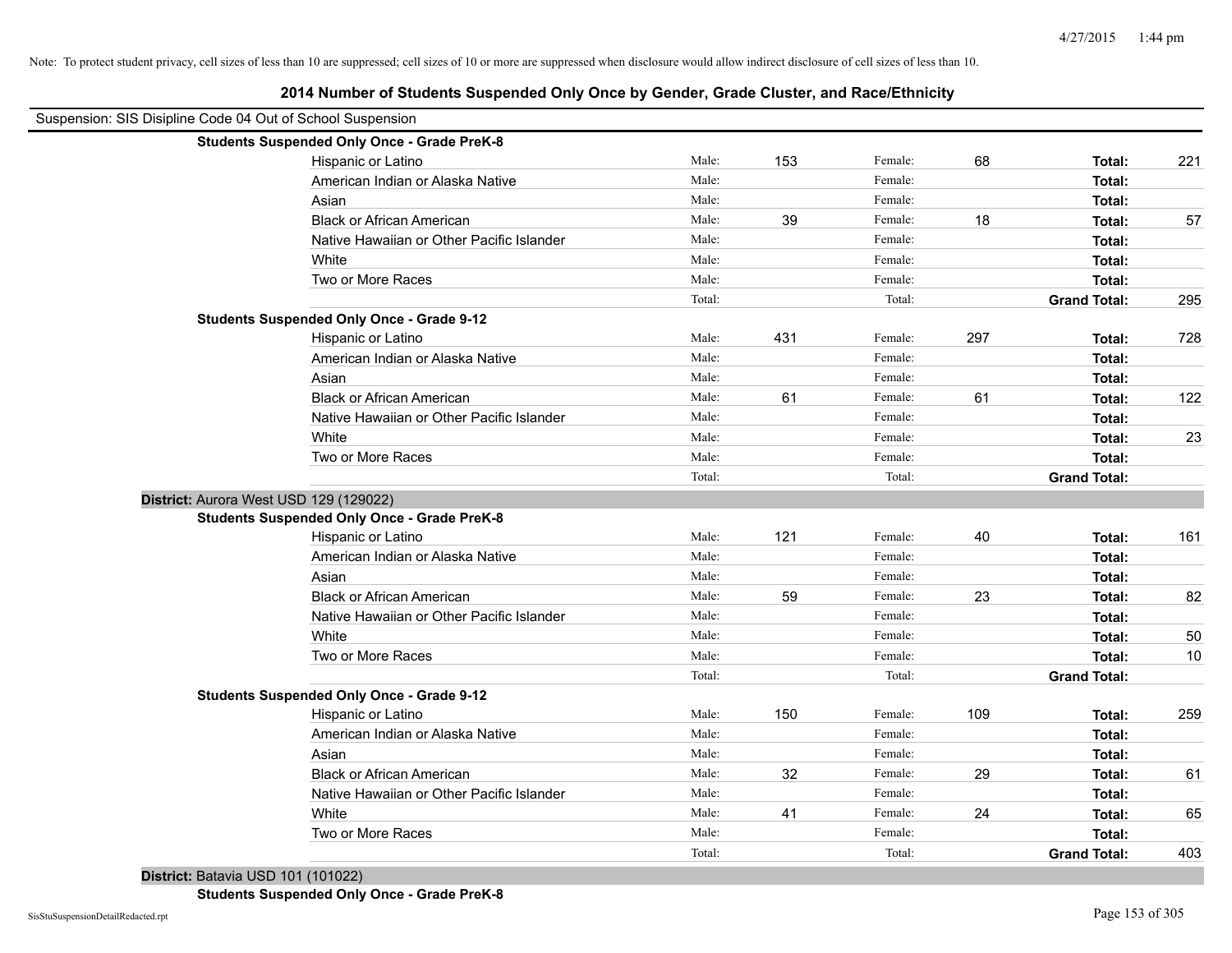| Suspension: SIS Disipline Code 04 Out of School Suspension |                                                    |        |     |         |     |                     |     |
|------------------------------------------------------------|----------------------------------------------------|--------|-----|---------|-----|---------------------|-----|
|                                                            | <b>Students Suspended Only Once - Grade PreK-8</b> |        |     |         |     |                     |     |
|                                                            | Hispanic or Latino                                 | Male:  | 153 | Female: | 68  | Total:              | 221 |
|                                                            | American Indian or Alaska Native                   | Male:  |     | Female: |     | Total:              |     |
|                                                            | Asian                                              | Male:  |     | Female: |     | Total:              |     |
|                                                            | <b>Black or African American</b>                   | Male:  | 39  | Female: | 18  | Total:              | 57  |
|                                                            | Native Hawaiian or Other Pacific Islander          | Male:  |     | Female: |     | Total:              |     |
|                                                            | White                                              | Male:  |     | Female: |     | Total:              |     |
|                                                            | Two or More Races                                  | Male:  |     | Female: |     | Total:              |     |
|                                                            |                                                    | Total: |     | Total:  |     | <b>Grand Total:</b> | 295 |
|                                                            | <b>Students Suspended Only Once - Grade 9-12</b>   |        |     |         |     |                     |     |
|                                                            | Hispanic or Latino                                 | Male:  | 431 | Female: | 297 | Total:              | 728 |
|                                                            | American Indian or Alaska Native                   | Male:  |     | Female: |     | Total:              |     |
|                                                            | Asian                                              | Male:  |     | Female: |     | Total:              |     |
|                                                            | <b>Black or African American</b>                   | Male:  | 61  | Female: | 61  | Total:              | 122 |
|                                                            | Native Hawaiian or Other Pacific Islander          | Male:  |     | Female: |     | Total:              |     |
|                                                            | White                                              | Male:  |     | Female: |     | Total:              | 23  |
|                                                            | Two or More Races                                  | Male:  |     | Female: |     | Total:              |     |
|                                                            |                                                    | Total: |     | Total:  |     | <b>Grand Total:</b> |     |
| District: Aurora West USD 129 (129022)                     |                                                    |        |     |         |     |                     |     |
|                                                            | <b>Students Suspended Only Once - Grade PreK-8</b> |        |     |         |     |                     |     |
|                                                            | Hispanic or Latino                                 | Male:  | 121 | Female: | 40  | Total:              | 161 |
|                                                            | American Indian or Alaska Native                   | Male:  |     | Female: |     | Total:              |     |
|                                                            | Asian                                              | Male:  |     | Female: |     | Total:              |     |
|                                                            | <b>Black or African American</b>                   | Male:  | 59  | Female: | 23  | Total:              | 82  |
|                                                            | Native Hawaiian or Other Pacific Islander          | Male:  |     | Female: |     | Total:              |     |
|                                                            | White                                              | Male:  |     | Female: |     | Total:              | 50  |
|                                                            | Two or More Races                                  | Male:  |     | Female: |     | Total:              | 10  |
|                                                            |                                                    | Total: |     | Total:  |     | <b>Grand Total:</b> |     |
|                                                            | <b>Students Suspended Only Once - Grade 9-12</b>   |        |     |         |     |                     |     |
|                                                            | Hispanic or Latino                                 | Male:  | 150 | Female: | 109 | Total:              | 259 |
|                                                            | American Indian or Alaska Native                   | Male:  |     | Female: |     | Total:              |     |
|                                                            | Asian                                              | Male:  |     | Female: |     | Total:              |     |
|                                                            | <b>Black or African American</b>                   | Male:  | 32  | Female: | 29  | Total:              | 61  |
|                                                            | Native Hawaiian or Other Pacific Islander          | Male:  |     | Female: |     | Total:              |     |
|                                                            | White                                              | Male:  | 41  | Female: | 24  | Total:              | 65  |
|                                                            | Two or More Races                                  | Male:  |     | Female: |     | Total:              |     |
|                                                            |                                                    | Total: |     | Total:  |     | <b>Grand Total:</b> | 403 |

**2014 Number of Students Suspended Only Once by Gender, Grade Cluster, and Race/Ethnicity**

**District:** Batavia USD 101 (101022)

**Students Suspended Only Once - Grade PreK-8**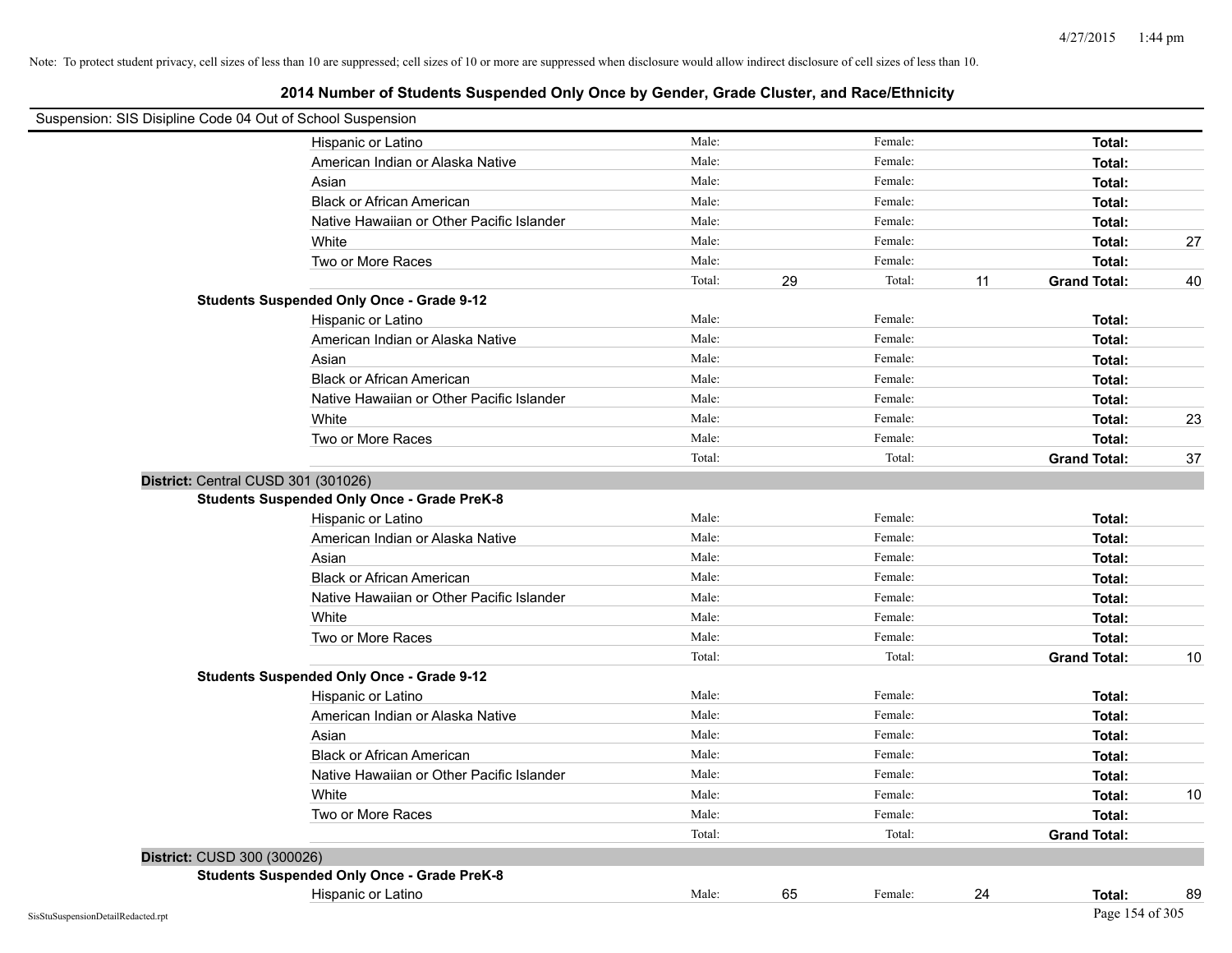| Suspension: SIS Disipline Code 04 Out of School Suspension |                                                    |        |    |         |    |                     |    |
|------------------------------------------------------------|----------------------------------------------------|--------|----|---------|----|---------------------|----|
|                                                            | Hispanic or Latino                                 | Male:  |    | Female: |    | Total:              |    |
|                                                            | American Indian or Alaska Native                   | Male:  |    | Female: |    | Total:              |    |
|                                                            | Asian                                              | Male:  |    | Female: |    | Total:              |    |
|                                                            | <b>Black or African American</b>                   | Male:  |    | Female: |    | Total:              |    |
|                                                            | Native Hawaiian or Other Pacific Islander          | Male:  |    | Female: |    | Total:              |    |
|                                                            | White                                              | Male:  |    | Female: |    | Total:              | 27 |
|                                                            | Two or More Races                                  | Male:  |    | Female: |    | Total:              |    |
|                                                            |                                                    | Total: | 29 | Total:  | 11 | <b>Grand Total:</b> | 40 |
|                                                            | <b>Students Suspended Only Once - Grade 9-12</b>   |        |    |         |    |                     |    |
|                                                            | Hispanic or Latino                                 | Male:  |    | Female: |    | Total:              |    |
|                                                            | American Indian or Alaska Native                   | Male:  |    | Female: |    | Total:              |    |
|                                                            | Asian                                              | Male:  |    | Female: |    | Total:              |    |
|                                                            | <b>Black or African American</b>                   | Male:  |    | Female: |    | Total:              |    |
|                                                            | Native Hawaiian or Other Pacific Islander          | Male:  |    | Female: |    | Total:              |    |
|                                                            | White                                              | Male:  |    | Female: |    | Total:              | 23 |
|                                                            | Two or More Races                                  | Male:  |    | Female: |    | Total:              |    |
|                                                            |                                                    | Total: |    | Total:  |    | <b>Grand Total:</b> | 37 |
| District: Central CUSD 301 (301026)                        |                                                    |        |    |         |    |                     |    |
|                                                            | <b>Students Suspended Only Once - Grade PreK-8</b> |        |    |         |    |                     |    |
|                                                            | Hispanic or Latino                                 | Male:  |    | Female: |    | Total:              |    |
|                                                            | American Indian or Alaska Native                   | Male:  |    | Female: |    | Total:              |    |
|                                                            | Asian                                              | Male:  |    | Female: |    | Total:              |    |
|                                                            | <b>Black or African American</b>                   | Male:  |    | Female: |    | Total:              |    |
|                                                            | Native Hawaiian or Other Pacific Islander          | Male:  |    | Female: |    | Total:              |    |
|                                                            | White                                              | Male:  |    | Female: |    | Total:              |    |
|                                                            | Two or More Races                                  | Male:  |    | Female: |    | Total:              |    |
|                                                            |                                                    | Total: |    | Total:  |    | <b>Grand Total:</b> | 10 |
|                                                            | <b>Students Suspended Only Once - Grade 9-12</b>   |        |    |         |    |                     |    |
|                                                            | Hispanic or Latino                                 | Male:  |    | Female: |    | Total:              |    |
|                                                            | American Indian or Alaska Native                   | Male:  |    | Female: |    | Total:              |    |
|                                                            | Asian                                              | Male:  |    | Female: |    | Total:              |    |
|                                                            | <b>Black or African American</b>                   | Male:  |    | Female: |    | Total:              |    |
|                                                            | Native Hawaiian or Other Pacific Islander          | Male:  |    | Female: |    | Total:              |    |
|                                                            | White                                              | Male:  |    | Female: |    | Total:              | 10 |
|                                                            | Two or More Races                                  | Male:  |    | Female: |    | Total:              |    |
|                                                            |                                                    | Total: |    | Total:  |    | <b>Grand Total:</b> |    |
| District: CUSD 300 (300026)                                |                                                    |        |    |         |    |                     |    |
|                                                            | <b>Students Suspended Only Once - Grade PreK-8</b> |        |    |         |    |                     |    |
|                                                            | Hispanic or Latino                                 | Male:  | 65 | Female: | 24 | Total:              | 89 |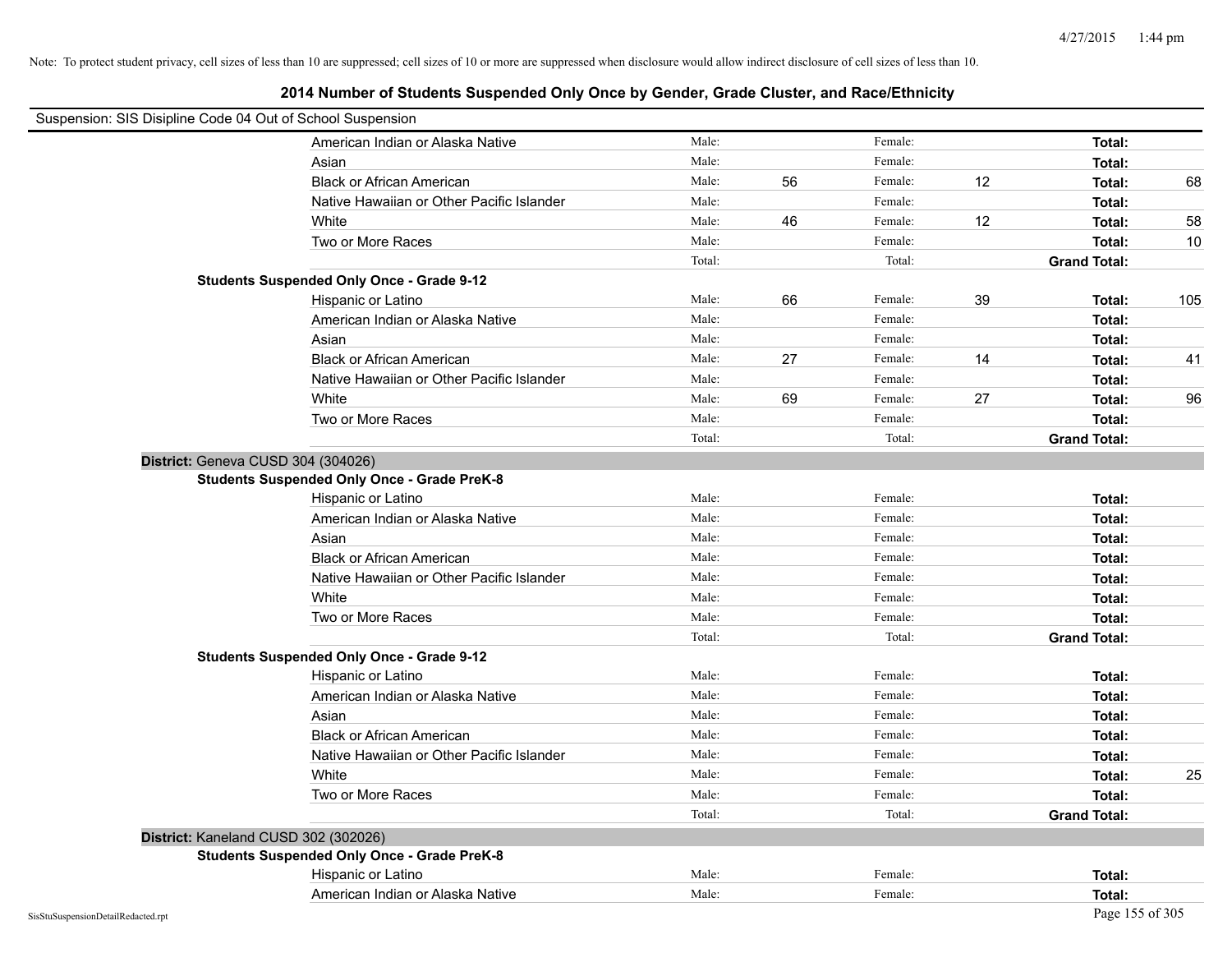| Suspension: SIS Disipline Code 04 Out of School Suspension |        |    |         |    |                     |     |
|------------------------------------------------------------|--------|----|---------|----|---------------------|-----|
| American Indian or Alaska Native                           | Male:  |    | Female: |    | Total:              |     |
| Asian                                                      | Male:  |    | Female: |    | Total:              |     |
| <b>Black or African American</b>                           | Male:  | 56 | Female: | 12 | Total:              | 68  |
| Native Hawaiian or Other Pacific Islander                  | Male:  |    | Female: |    | Total:              |     |
| White                                                      | Male:  | 46 | Female: | 12 | Total:              | 58  |
| Two or More Races                                          | Male:  |    | Female: |    | Total:              | 10  |
|                                                            | Total: |    | Total:  |    | <b>Grand Total:</b> |     |
| <b>Students Suspended Only Once - Grade 9-12</b>           |        |    |         |    |                     |     |
| Hispanic or Latino                                         | Male:  | 66 | Female: | 39 | Total:              | 105 |
| American Indian or Alaska Native                           | Male:  |    | Female: |    | Total:              |     |
| Asian                                                      | Male:  |    | Female: |    | Total:              |     |
| <b>Black or African American</b>                           | Male:  | 27 | Female: | 14 | Total:              | 41  |
| Native Hawaiian or Other Pacific Islander                  | Male:  |    | Female: |    | Total:              |     |
| White                                                      | Male:  | 69 | Female: | 27 | Total:              | 96  |
| Two or More Races                                          | Male:  |    | Female: |    | Total:              |     |
|                                                            | Total: |    | Total:  |    | <b>Grand Total:</b> |     |
| District: Geneva CUSD 304 (304026)                         |        |    |         |    |                     |     |
| <b>Students Suspended Only Once - Grade PreK-8</b>         |        |    |         |    |                     |     |
| Hispanic or Latino                                         | Male:  |    | Female: |    | Total:              |     |
| American Indian or Alaska Native                           | Male:  |    | Female: |    | Total:              |     |
| Asian                                                      | Male:  |    | Female: |    | Total:              |     |
| <b>Black or African American</b>                           | Male:  |    | Female: |    | Total:              |     |
| Native Hawaiian or Other Pacific Islander                  | Male:  |    | Female: |    | Total:              |     |
| White                                                      | Male:  |    | Female: |    | Total:              |     |
| Two or More Races                                          | Male:  |    | Female: |    | Total:              |     |
|                                                            | Total: |    | Total:  |    | <b>Grand Total:</b> |     |
| <b>Students Suspended Only Once - Grade 9-12</b>           |        |    |         |    |                     |     |
| Hispanic or Latino                                         | Male:  |    | Female: |    | Total:              |     |
| American Indian or Alaska Native                           | Male:  |    | Female: |    | Total:              |     |
| Asian                                                      | Male:  |    | Female: |    | Total:              |     |
| <b>Black or African American</b>                           | Male:  |    | Female: |    | Total:              |     |
| Native Hawaiian or Other Pacific Islander                  | Male:  |    | Female: |    | Total:              |     |
| White                                                      | Male:  |    | Female: |    | Total:              | 25  |
| Two or More Races                                          | Male:  |    | Female: |    | Total:              |     |
|                                                            | Total: |    | Total:  |    | <b>Grand Total:</b> |     |
| District: Kaneland CUSD 302 (302026)                       |        |    |         |    |                     |     |
| <b>Students Suspended Only Once - Grade PreK-8</b>         |        |    |         |    |                     |     |
| Hispanic or Latino                                         | Male:  |    | Female: |    | Total:              |     |
| American Indian or Alaska Native                           | Male:  |    | Female: |    | Total:              |     |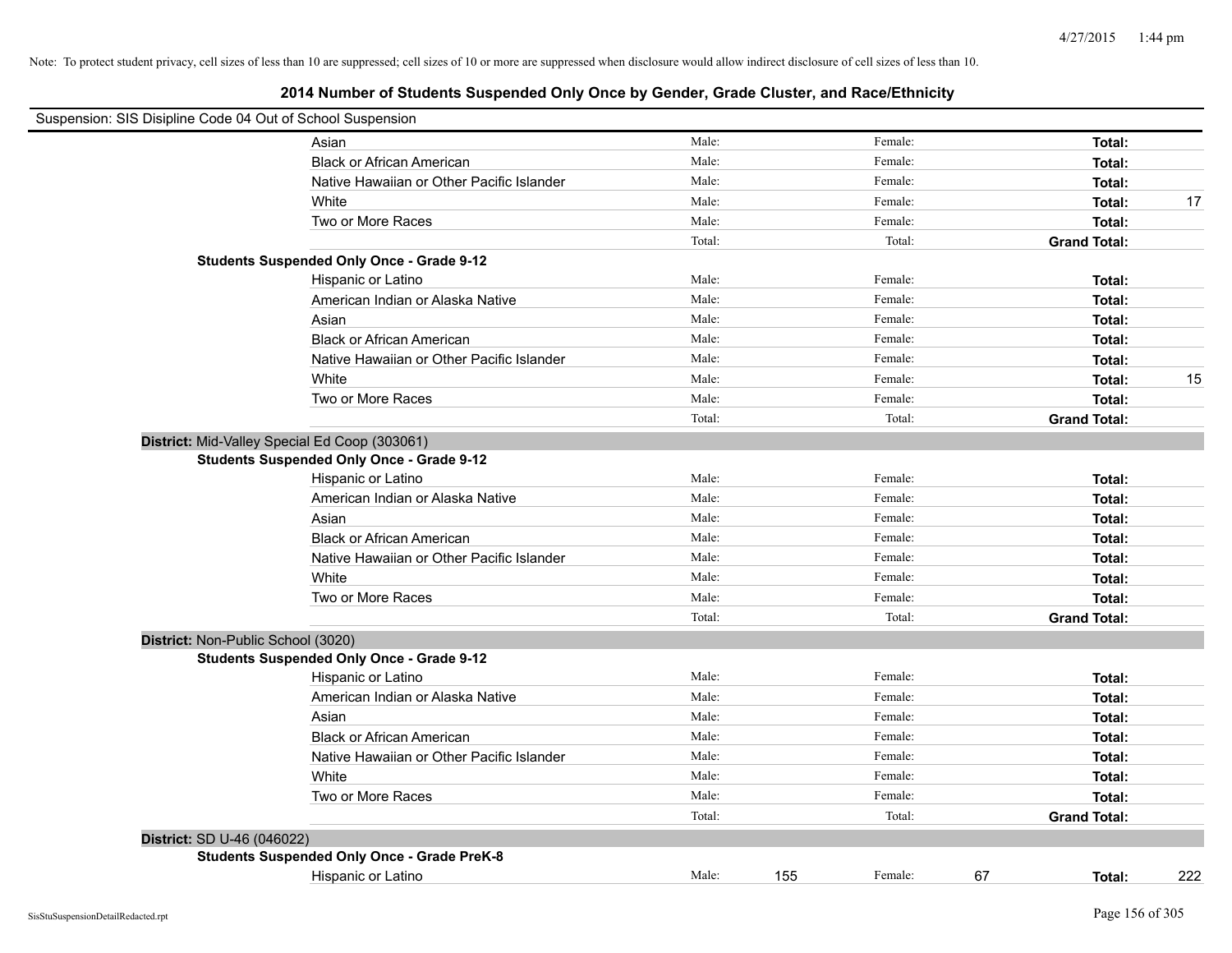|                                    | Suspension: SIS Disipline Code 04 Out of School Suspension |        |                |                     |     |
|------------------------------------|------------------------------------------------------------|--------|----------------|---------------------|-----|
|                                    | Asian                                                      | Male:  | Female:        | Total:              |     |
|                                    | <b>Black or African American</b>                           | Male:  | Female:        | Total:              |     |
|                                    | Native Hawaiian or Other Pacific Islander                  | Male:  | Female:        | Total:              |     |
|                                    | White                                                      | Male:  | Female:        | Total:              | 17  |
|                                    | Two or More Races                                          | Male:  | Female:        | Total:              |     |
|                                    |                                                            | Total: | Total:         | <b>Grand Total:</b> |     |
|                                    | <b>Students Suspended Only Once - Grade 9-12</b>           |        |                |                     |     |
|                                    | Hispanic or Latino                                         | Male:  | Female:        | Total:              |     |
|                                    | American Indian or Alaska Native                           | Male:  | Female:        | Total:              |     |
|                                    | Asian                                                      | Male:  | Female:        | Total:              |     |
|                                    | <b>Black or African American</b>                           | Male:  | Female:        | Total:              |     |
|                                    | Native Hawaiian or Other Pacific Islander                  | Male:  | Female:        | Total:              |     |
|                                    | White                                                      | Male:  | Female:        | Total:              | 15  |
|                                    | Two or More Races                                          | Male:  | Female:        | Total:              |     |
|                                    |                                                            | Total: | Total:         | <b>Grand Total:</b> |     |
|                                    | District: Mid-Valley Special Ed Coop (303061)              |        |                |                     |     |
|                                    | <b>Students Suspended Only Once - Grade 9-12</b>           |        |                |                     |     |
|                                    | Hispanic or Latino                                         | Male:  | Female:        | Total:              |     |
|                                    | American Indian or Alaska Native                           | Male:  | Female:        | Total:              |     |
|                                    | Asian                                                      | Male:  | Female:        | Total:              |     |
|                                    | <b>Black or African American</b>                           | Male:  | Female:        | Total:              |     |
|                                    | Native Hawaiian or Other Pacific Islander                  | Male:  | Female:        | Total:              |     |
|                                    | White                                                      | Male:  | Female:        | Total:              |     |
|                                    | Two or More Races                                          | Male:  | Female:        | Total:              |     |
|                                    |                                                            | Total: | Total:         | <b>Grand Total:</b> |     |
| District: Non-Public School (3020) |                                                            |        |                |                     |     |
|                                    | <b>Students Suspended Only Once - Grade 9-12</b>           |        |                |                     |     |
|                                    | Hispanic or Latino                                         | Male:  | Female:        | Total:              |     |
|                                    | American Indian or Alaska Native                           | Male:  | Female:        | Total:              |     |
|                                    | Asian                                                      | Male:  | Female:        | Total:              |     |
|                                    | <b>Black or African American</b>                           | Male:  | Female:        | Total:              |     |
|                                    | Native Hawaiian or Other Pacific Islander                  | Male:  | Female:        | Total:              |     |
|                                    | White                                                      | Male:  | Female:        | Total:              |     |
|                                    | Two or More Races                                          | Male:  | Female:        | Total:              |     |
|                                    |                                                            | Total: | Total:         | <b>Grand Total:</b> |     |
| District: SD U-46 (046022)         |                                                            |        |                |                     |     |
|                                    | <b>Students Suspended Only Once - Grade PreK-8</b>         |        |                |                     |     |
|                                    | Hispanic or Latino                                         | Male:  | 155<br>Female: | 67<br>Total:        | 222 |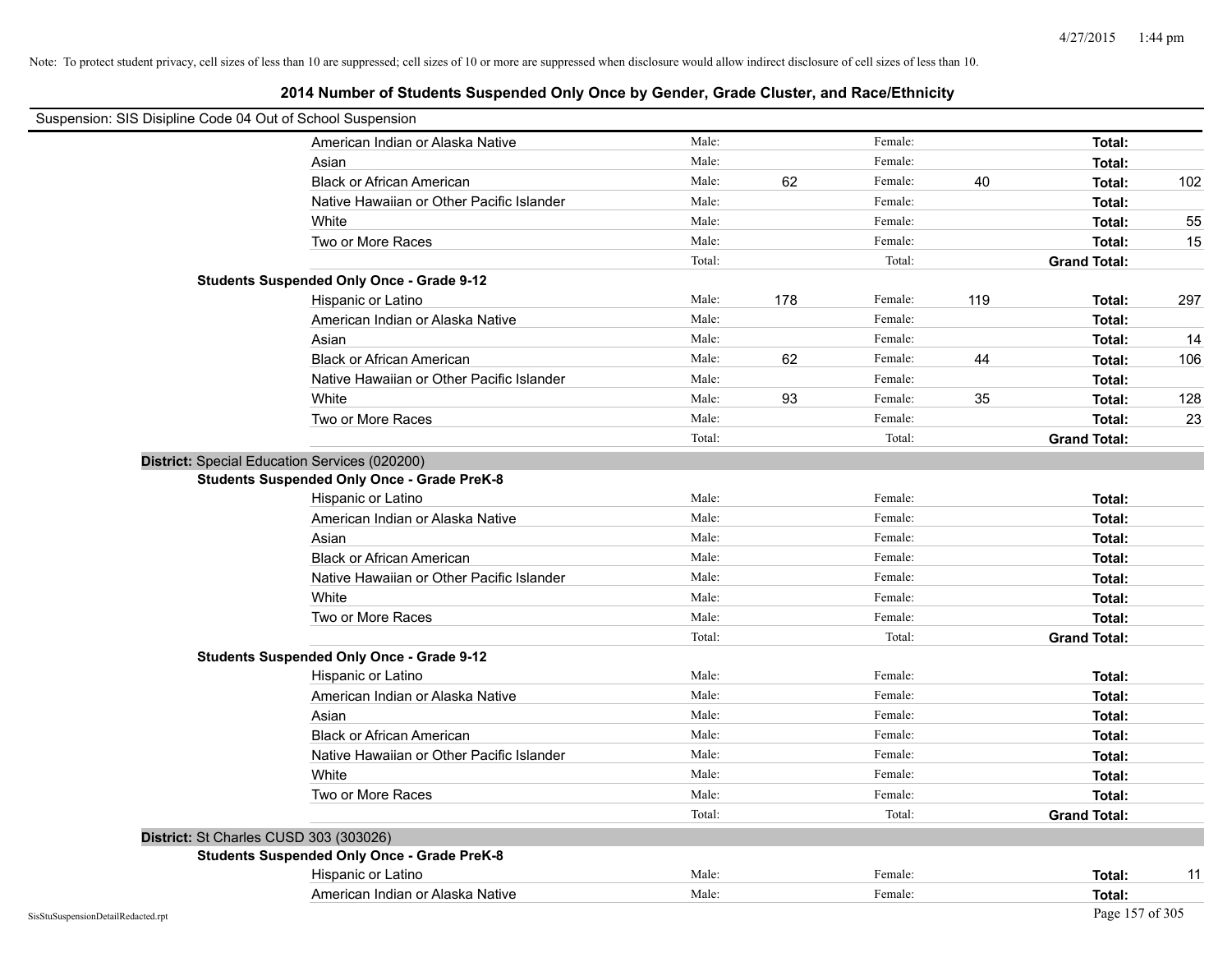|                                        | Suspension: SIS Disipline Code 04 Out of School Suspension |        |     |         |     |                     |     |
|----------------------------------------|------------------------------------------------------------|--------|-----|---------|-----|---------------------|-----|
|                                        | American Indian or Alaska Native                           | Male:  |     | Female: |     | Total:              |     |
|                                        | Asian                                                      | Male:  |     | Female: |     | Total:              |     |
|                                        | <b>Black or African American</b>                           | Male:  | 62  | Female: | 40  | Total:              | 102 |
|                                        | Native Hawaiian or Other Pacific Islander                  | Male:  |     | Female: |     | Total:              |     |
|                                        | White                                                      | Male:  |     | Female: |     | Total:              | 55  |
|                                        | Two or More Races                                          | Male:  |     | Female: |     | Total:              | 15  |
|                                        |                                                            | Total: |     | Total:  |     | <b>Grand Total:</b> |     |
|                                        | <b>Students Suspended Only Once - Grade 9-12</b>           |        |     |         |     |                     |     |
|                                        | Hispanic or Latino                                         | Male:  | 178 | Female: | 119 | Total:              | 297 |
|                                        | American Indian or Alaska Native                           | Male:  |     | Female: |     | Total:              |     |
|                                        | Asian                                                      | Male:  |     | Female: |     | Total:              | 14  |
|                                        | <b>Black or African American</b>                           | Male:  | 62  | Female: | 44  | Total:              | 106 |
|                                        | Native Hawaiian or Other Pacific Islander                  | Male:  |     | Female: |     | Total:              |     |
|                                        | White                                                      | Male:  | 93  | Female: | 35  | Total:              | 128 |
|                                        | Two or More Races                                          | Male:  |     | Female: |     | Total:              | 23  |
|                                        |                                                            | Total: |     | Total:  |     | <b>Grand Total:</b> |     |
|                                        | District: Special Education Services (020200)              |        |     |         |     |                     |     |
|                                        | <b>Students Suspended Only Once - Grade PreK-8</b>         |        |     |         |     |                     |     |
|                                        | Hispanic or Latino                                         | Male:  |     | Female: |     | Total:              |     |
|                                        | American Indian or Alaska Native                           | Male:  |     | Female: |     | Total:              |     |
|                                        | Asian                                                      | Male:  |     | Female: |     | Total:              |     |
|                                        | <b>Black or African American</b>                           | Male:  |     | Female: |     | Total:              |     |
|                                        | Native Hawaiian or Other Pacific Islander                  | Male:  |     | Female: |     | Total:              |     |
|                                        | White                                                      | Male:  |     | Female: |     | Total:              |     |
|                                        | Two or More Races                                          | Male:  |     | Female: |     | Total:              |     |
|                                        |                                                            | Total: |     | Total:  |     | <b>Grand Total:</b> |     |
|                                        | <b>Students Suspended Only Once - Grade 9-12</b>           |        |     |         |     |                     |     |
|                                        | Hispanic or Latino                                         | Male:  |     | Female: |     | Total:              |     |
|                                        | American Indian or Alaska Native                           | Male:  |     | Female: |     | Total:              |     |
|                                        | Asian                                                      | Male:  |     | Female: |     | Total:              |     |
|                                        | <b>Black or African American</b>                           | Male:  |     | Female: |     | Total:              |     |
|                                        | Native Hawaiian or Other Pacific Islander                  | Male:  |     | Female: |     | Total:              |     |
|                                        | White                                                      | Male:  |     | Female: |     | Total:              |     |
|                                        | Two or More Races                                          | Male:  |     | Female: |     | Total:              |     |
|                                        |                                                            | Total: |     | Total:  |     | <b>Grand Total:</b> |     |
| District: St Charles CUSD 303 (303026) |                                                            |        |     |         |     |                     |     |
|                                        | <b>Students Suspended Only Once - Grade PreK-8</b>         |        |     |         |     |                     |     |
|                                        | Hispanic or Latino                                         | Male:  |     | Female: |     | Total:              | 11  |
|                                        | American Indian or Alaska Native                           | Male:  |     | Female: |     | Total:              |     |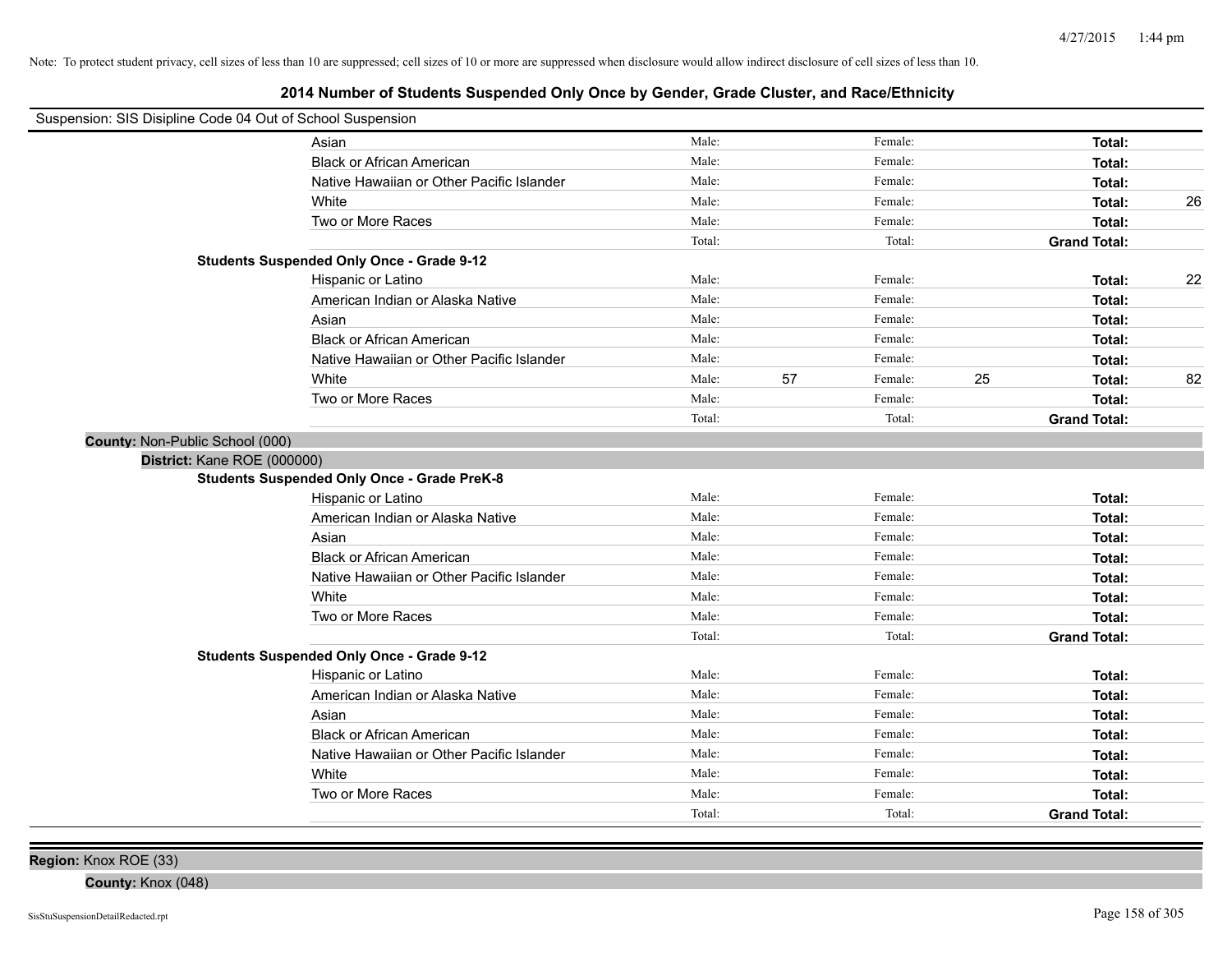# **2014 Number of Students Suspended Only Once by Gender, Grade Cluster, and Race/Ethnicity**

| Suspension: SIS Disipline Code 04 Out of School Suspension |                                                    |        |    |         |    |                     |    |
|------------------------------------------------------------|----------------------------------------------------|--------|----|---------|----|---------------------|----|
|                                                            | Asian                                              | Male:  |    | Female: |    | Total:              |    |
|                                                            | <b>Black or African American</b>                   | Male:  |    | Female: |    | Total:              |    |
|                                                            | Native Hawaiian or Other Pacific Islander          | Male:  |    | Female: |    | Total:              |    |
|                                                            | White                                              | Male:  |    | Female: |    | Total:              | 26 |
|                                                            | Two or More Races                                  | Male:  |    | Female: |    | Total:              |    |
|                                                            |                                                    | Total: |    | Total:  |    | <b>Grand Total:</b> |    |
|                                                            | <b>Students Suspended Only Once - Grade 9-12</b>   |        |    |         |    |                     |    |
|                                                            | Hispanic or Latino                                 | Male:  |    | Female: |    | Total:              | 22 |
|                                                            | American Indian or Alaska Native                   | Male:  |    | Female: |    | Total:              |    |
|                                                            | Asian                                              | Male:  |    | Female: |    | Total:              |    |
|                                                            | <b>Black or African American</b>                   | Male:  |    | Female: |    | Total:              |    |
|                                                            | Native Hawaiian or Other Pacific Islander          | Male:  |    | Female: |    | Total:              |    |
|                                                            | White                                              | Male:  | 57 | Female: | 25 | Total:              | 82 |
|                                                            | Two or More Races                                  | Male:  |    | Female: |    | Total:              |    |
|                                                            |                                                    | Total: |    | Total:  |    | <b>Grand Total:</b> |    |
| County: Non-Public School (000)                            |                                                    |        |    |         |    |                     |    |
| District: Kane ROE (000000)                                |                                                    |        |    |         |    |                     |    |
|                                                            | <b>Students Suspended Only Once - Grade PreK-8</b> |        |    |         |    |                     |    |
|                                                            | Hispanic or Latino                                 | Male:  |    | Female: |    | Total:              |    |
|                                                            | American Indian or Alaska Native                   | Male:  |    | Female: |    | Total:              |    |
|                                                            | Asian                                              | Male:  |    | Female: |    | Total:              |    |
|                                                            | <b>Black or African American</b>                   | Male:  |    | Female: |    | Total:              |    |
|                                                            | Native Hawaiian or Other Pacific Islander          | Male:  |    | Female: |    | Total:              |    |
|                                                            | White                                              | Male:  |    | Female: |    | Total:              |    |
|                                                            | Two or More Races                                  | Male:  |    | Female: |    | Total:              |    |
|                                                            |                                                    | Total: |    | Total:  |    | <b>Grand Total:</b> |    |
|                                                            | <b>Students Suspended Only Once - Grade 9-12</b>   |        |    |         |    |                     |    |
|                                                            | Hispanic or Latino                                 | Male:  |    | Female: |    | Total:              |    |
|                                                            | American Indian or Alaska Native                   | Male:  |    | Female: |    | Total:              |    |
|                                                            | Asian                                              | Male:  |    | Female: |    | Total:              |    |
|                                                            | <b>Black or African American</b>                   | Male:  |    | Female: |    | Total:              |    |
|                                                            | Native Hawaiian or Other Pacific Islander          | Male:  |    | Female: |    | Total:              |    |
|                                                            | White                                              | Male:  |    | Female: |    | Total:              |    |
|                                                            | Two or More Races                                  | Male:  |    | Female: |    | Total:              |    |
|                                                            |                                                    | Total: |    | Total:  |    | <b>Grand Total:</b> |    |

**Region:** Knox ROE (33)

**County:** Knox (048)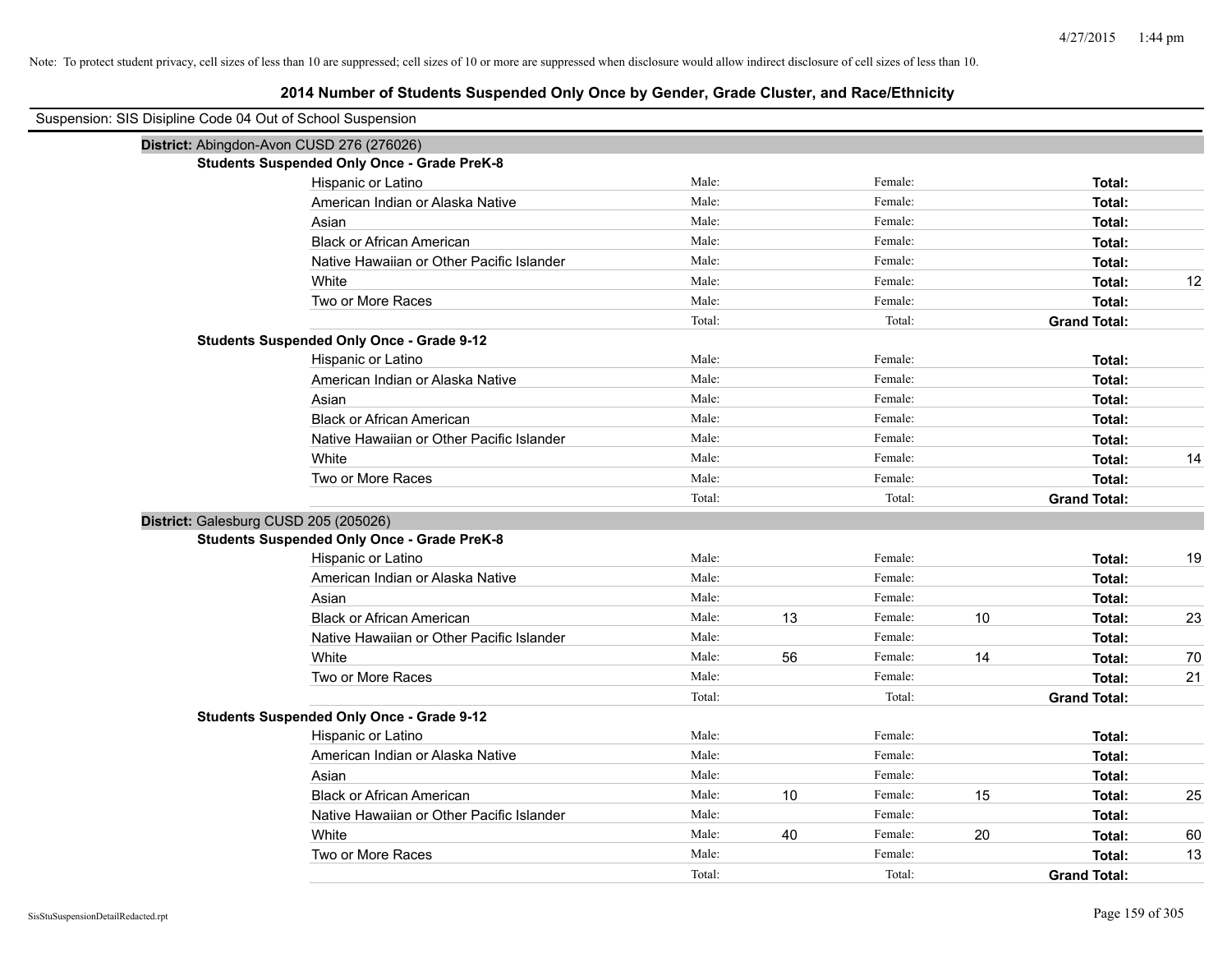| Suspension: SIS Disipline Code 04 Out of School Suspension |                                                    |        |    |         |    |                     |    |
|------------------------------------------------------------|----------------------------------------------------|--------|----|---------|----|---------------------|----|
| District: Abingdon-Avon CUSD 276 (276026)                  |                                                    |        |    |         |    |                     |    |
|                                                            | <b>Students Suspended Only Once - Grade PreK-8</b> |        |    |         |    |                     |    |
|                                                            | Hispanic or Latino                                 | Male:  |    | Female: |    | Total:              |    |
|                                                            | American Indian or Alaska Native                   | Male:  |    | Female: |    | Total:              |    |
|                                                            | Asian                                              | Male:  |    | Female: |    | Total:              |    |
|                                                            | <b>Black or African American</b>                   | Male:  |    | Female: |    | Total:              |    |
|                                                            | Native Hawaiian or Other Pacific Islander          | Male:  |    | Female: |    | Total:              |    |
|                                                            | White                                              | Male:  |    | Female: |    | Total:              | 12 |
|                                                            | Two or More Races                                  | Male:  |    | Female: |    | Total:              |    |
|                                                            |                                                    | Total: |    | Total:  |    | <b>Grand Total:</b> |    |
|                                                            | <b>Students Suspended Only Once - Grade 9-12</b>   |        |    |         |    |                     |    |
|                                                            | Hispanic or Latino                                 | Male:  |    | Female: |    | Total:              |    |
|                                                            | American Indian or Alaska Native                   | Male:  |    | Female: |    | Total:              |    |
|                                                            | Asian                                              | Male:  |    | Female: |    | Total:              |    |
|                                                            | <b>Black or African American</b>                   | Male:  |    | Female: |    | Total:              |    |
|                                                            | Native Hawaiian or Other Pacific Islander          | Male:  |    | Female: |    | Total:              |    |
|                                                            | White                                              | Male:  |    | Female: |    | Total:              | 14 |
|                                                            | Two or More Races                                  | Male:  |    | Female: |    | Total:              |    |
|                                                            |                                                    | Total: |    | Total:  |    | <b>Grand Total:</b> |    |
| District: Galesburg CUSD 205 (205026)                      |                                                    |        |    |         |    |                     |    |
|                                                            | <b>Students Suspended Only Once - Grade PreK-8</b> | Male:  |    | Female: |    |                     |    |
|                                                            | Hispanic or Latino                                 | Male:  |    | Female: |    | Total:              | 19 |
|                                                            | American Indian or Alaska Native                   | Male:  |    | Female: |    | Total:              |    |
|                                                            | Asian<br><b>Black or African American</b>          | Male:  | 13 | Female: | 10 | Total:              | 23 |
|                                                            |                                                    | Male:  |    | Female: |    | Total:              |    |
|                                                            | Native Hawaiian or Other Pacific Islander<br>White | Male:  | 56 | Female: | 14 | Total:<br>Total:    | 70 |
|                                                            | Two or More Races                                  | Male:  |    | Female: |    | Total:              | 21 |
|                                                            |                                                    | Total: |    | Total:  |    | <b>Grand Total:</b> |    |
|                                                            | <b>Students Suspended Only Once - Grade 9-12</b>   |        |    |         |    |                     |    |
|                                                            | Hispanic or Latino                                 | Male:  |    | Female: |    | Total:              |    |
|                                                            | American Indian or Alaska Native                   | Male:  |    | Female: |    | Total:              |    |
|                                                            | Asian                                              | Male:  |    | Female: |    | Total:              |    |
|                                                            | <b>Black or African American</b>                   | Male:  | 10 | Female: | 15 | Total:              | 25 |
|                                                            | Native Hawaiian or Other Pacific Islander          | Male:  |    | Female: |    | Total:              |    |
|                                                            | White                                              | Male:  | 40 | Female: | 20 | Total:              | 60 |
|                                                            | Two or More Races                                  | Male:  |    | Female: |    | Total:              | 13 |
|                                                            |                                                    | Total: |    | Total:  |    | <b>Grand Total:</b> |    |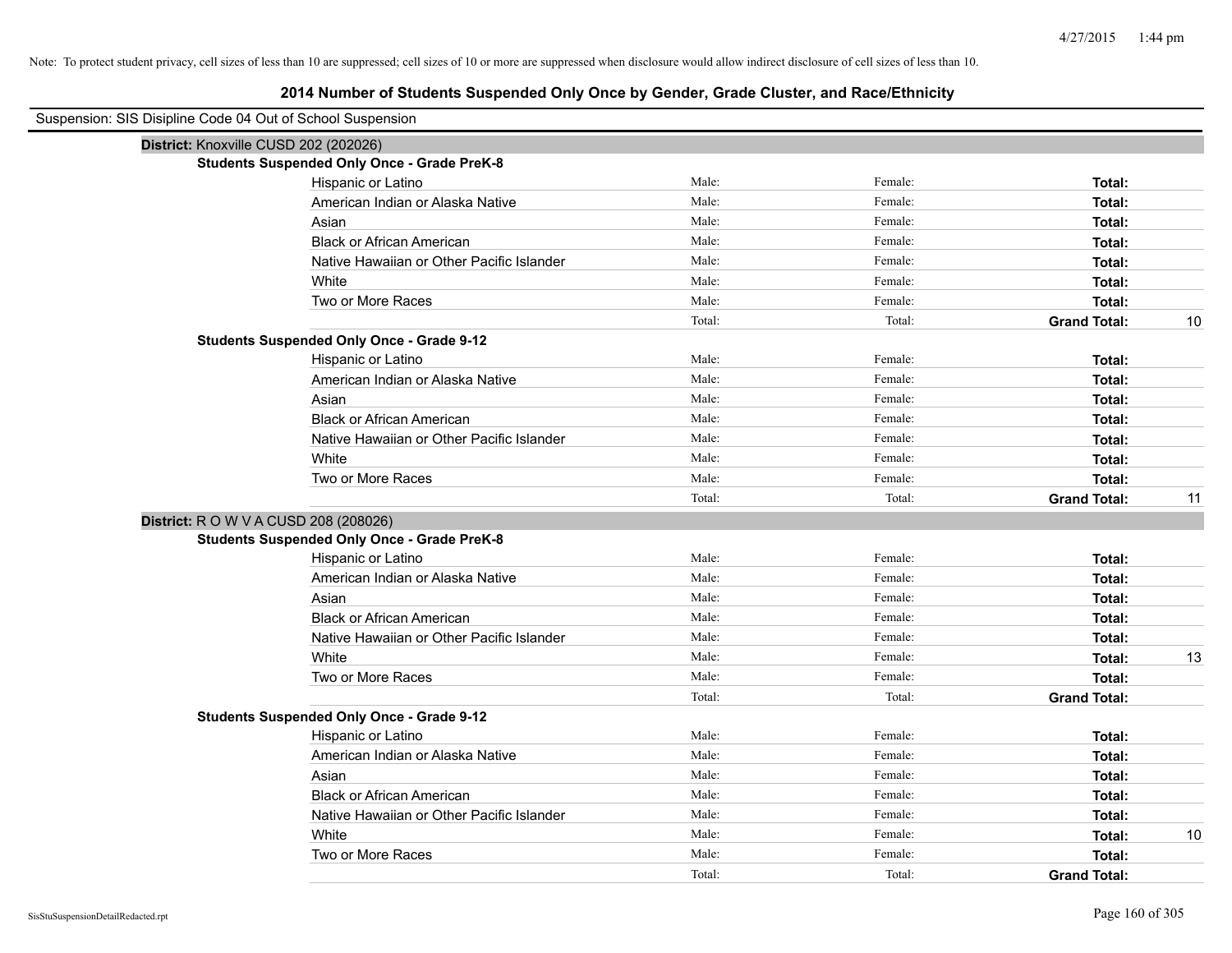| Suspension: SIS Disipline Code 04 Out of School Suspension |                                                    |        |         |                     |    |
|------------------------------------------------------------|----------------------------------------------------|--------|---------|---------------------|----|
| District: Knoxville CUSD 202 (202026)                      |                                                    |        |         |                     |    |
|                                                            | <b>Students Suspended Only Once - Grade PreK-8</b> |        |         |                     |    |
|                                                            | Hispanic or Latino                                 | Male:  | Female: | Total:              |    |
|                                                            | American Indian or Alaska Native                   | Male:  | Female: | Total:              |    |
|                                                            | Asian                                              | Male:  | Female: | Total:              |    |
|                                                            | <b>Black or African American</b>                   | Male:  | Female: | Total:              |    |
|                                                            | Native Hawaiian or Other Pacific Islander          | Male:  | Female: | Total:              |    |
|                                                            | White                                              | Male:  | Female: | Total:              |    |
|                                                            | Two or More Races                                  | Male:  | Female: | Total:              |    |
|                                                            |                                                    | Total: | Total:  | <b>Grand Total:</b> | 10 |
|                                                            | <b>Students Suspended Only Once - Grade 9-12</b>   |        |         |                     |    |
|                                                            | Hispanic or Latino                                 | Male:  | Female: | Total:              |    |
|                                                            | American Indian or Alaska Native                   | Male:  | Female: | Total:              |    |
|                                                            | Asian                                              | Male:  | Female: | Total:              |    |
|                                                            | <b>Black or African American</b>                   | Male:  | Female: | Total:              |    |
|                                                            | Native Hawaiian or Other Pacific Islander          | Male:  | Female: | Total:              |    |
|                                                            | White                                              | Male:  | Female: | <b>Total:</b>       |    |
|                                                            | Two or More Races                                  | Male:  | Female: | Total:              |    |
|                                                            |                                                    | Total: | Total:  | <b>Grand Total:</b> | 11 |
| District: R O W V A CUSD 208 (208026)                      |                                                    |        |         |                     |    |
|                                                            | <b>Students Suspended Only Once - Grade PreK-8</b> |        |         |                     |    |
|                                                            | Hispanic or Latino                                 | Male:  | Female: | Total:              |    |
|                                                            | American Indian or Alaska Native                   | Male:  | Female: | Total:              |    |
|                                                            | Asian                                              | Male:  | Female: | Total:              |    |
|                                                            | <b>Black or African American</b>                   | Male:  | Female: | Total:              |    |
|                                                            | Native Hawaiian or Other Pacific Islander          | Male:  | Female: | Total:              |    |
|                                                            | White                                              | Male:  | Female: | Total:              | 13 |
|                                                            | Two or More Races                                  | Male:  | Female: | Total:              |    |
|                                                            |                                                    | Total: | Total:  | <b>Grand Total:</b> |    |
|                                                            | <b>Students Suspended Only Once - Grade 9-12</b>   |        |         |                     |    |
|                                                            | Hispanic or Latino                                 | Male:  | Female: | Total:              |    |
|                                                            | American Indian or Alaska Native                   | Male:  | Female: | Total:              |    |
|                                                            | Asian                                              | Male:  | Female: | Total:              |    |
|                                                            | <b>Black or African American</b>                   | Male:  | Female: | Total:              |    |
|                                                            | Native Hawaiian or Other Pacific Islander          | Male:  | Female: | Total:              |    |
|                                                            | White                                              | Male:  | Female: | Total:              | 10 |
|                                                            | Two or More Races                                  | Male:  | Female: | Total:              |    |
|                                                            |                                                    | Total: | Total:  | <b>Grand Total:</b> |    |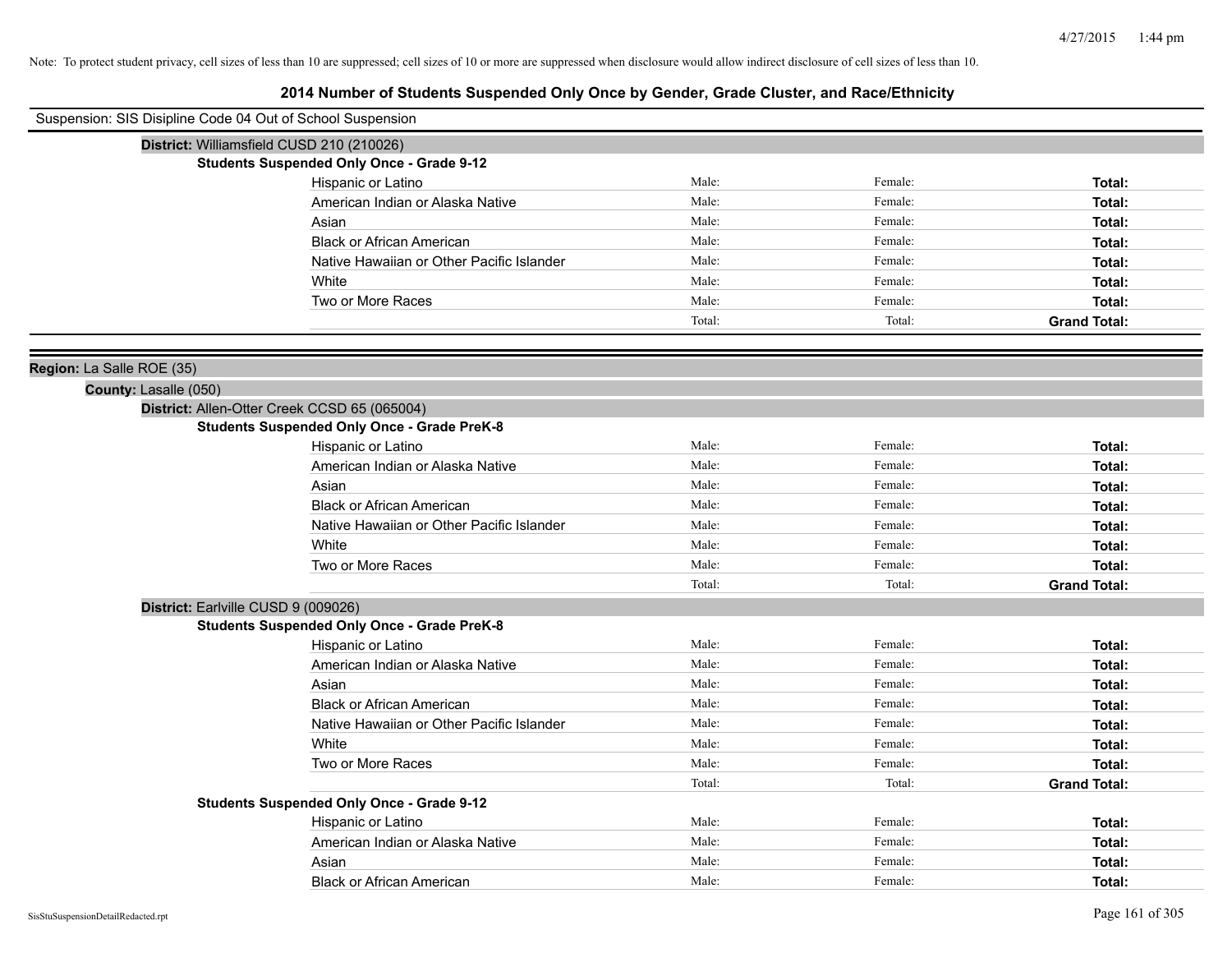| Suspension: SIS Disipline Code 04 Out of School Suspension |                                                    |        |         |                     |
|------------------------------------------------------------|----------------------------------------------------|--------|---------|---------------------|
|                                                            | District: Williamsfield CUSD 210 (210026)          |        |         |                     |
|                                                            | <b>Students Suspended Only Once - Grade 9-12</b>   |        |         |                     |
|                                                            | Hispanic or Latino                                 | Male:  | Female: | Total:              |
|                                                            | American Indian or Alaska Native                   | Male:  | Female: | Total:              |
|                                                            | Asian                                              | Male:  | Female: | Total:              |
|                                                            | <b>Black or African American</b>                   | Male:  | Female: | Total:              |
|                                                            | Native Hawaiian or Other Pacific Islander          | Male:  | Female: | Total:              |
|                                                            | White                                              | Male:  | Female: | Total:              |
|                                                            | Two or More Races                                  | Male:  | Female: | Total:              |
|                                                            |                                                    | Total: | Total:  | <b>Grand Total:</b> |
| Region: La Salle ROE (35)                                  |                                                    |        |         |                     |
| County: Lasalle (050)                                      |                                                    |        |         |                     |
|                                                            | District: Allen-Otter Creek CCSD 65 (065004)       |        |         |                     |
|                                                            | <b>Students Suspended Only Once - Grade PreK-8</b> |        |         |                     |
|                                                            | Hispanic or Latino                                 | Male:  | Female: | Total:              |
|                                                            | American Indian or Alaska Native                   | Male:  | Female: | Total:              |
|                                                            | Asian                                              | Male:  | Female: | Total:              |
|                                                            | <b>Black or African American</b>                   | Male:  | Female: | Total:              |
|                                                            | Native Hawaiian or Other Pacific Islander          | Male:  | Female: | Total:              |
|                                                            | White                                              | Male:  | Female: | Total:              |
|                                                            | Two or More Races                                  | Male:  | Female: | Total:              |
|                                                            |                                                    | Total: | Total:  | <b>Grand Total:</b> |
| District: Earlville CUSD 9 (009026)                        |                                                    |        |         |                     |
|                                                            | <b>Students Suspended Only Once - Grade PreK-8</b> |        |         |                     |
|                                                            | Hispanic or Latino                                 | Male:  | Female: | Total:              |
|                                                            | American Indian or Alaska Native                   | Male:  | Female: | Total:              |
|                                                            | Asian                                              | Male:  | Female: | Total:              |
|                                                            | <b>Black or African American</b>                   | Male:  | Female: | Total:              |
|                                                            | Native Hawaiian or Other Pacific Islander          | Male:  | Female: | Total:              |
|                                                            | White                                              | Male:  | Female: | Total:              |
|                                                            | Two or More Races                                  | Male:  | Female: | Total:              |
|                                                            |                                                    | Total: | Total:  | <b>Grand Total:</b> |
|                                                            | <b>Students Suspended Only Once - Grade 9-12</b>   |        |         |                     |
|                                                            | Hispanic or Latino                                 | Male:  | Female: | Total:              |
|                                                            | American Indian or Alaska Native                   | Male:  | Female: | Total:              |
|                                                            | Asian                                              | Male:  | Female: | Total:              |
|                                                            | <b>Black or African American</b>                   | Male:  | Female: | Total:              |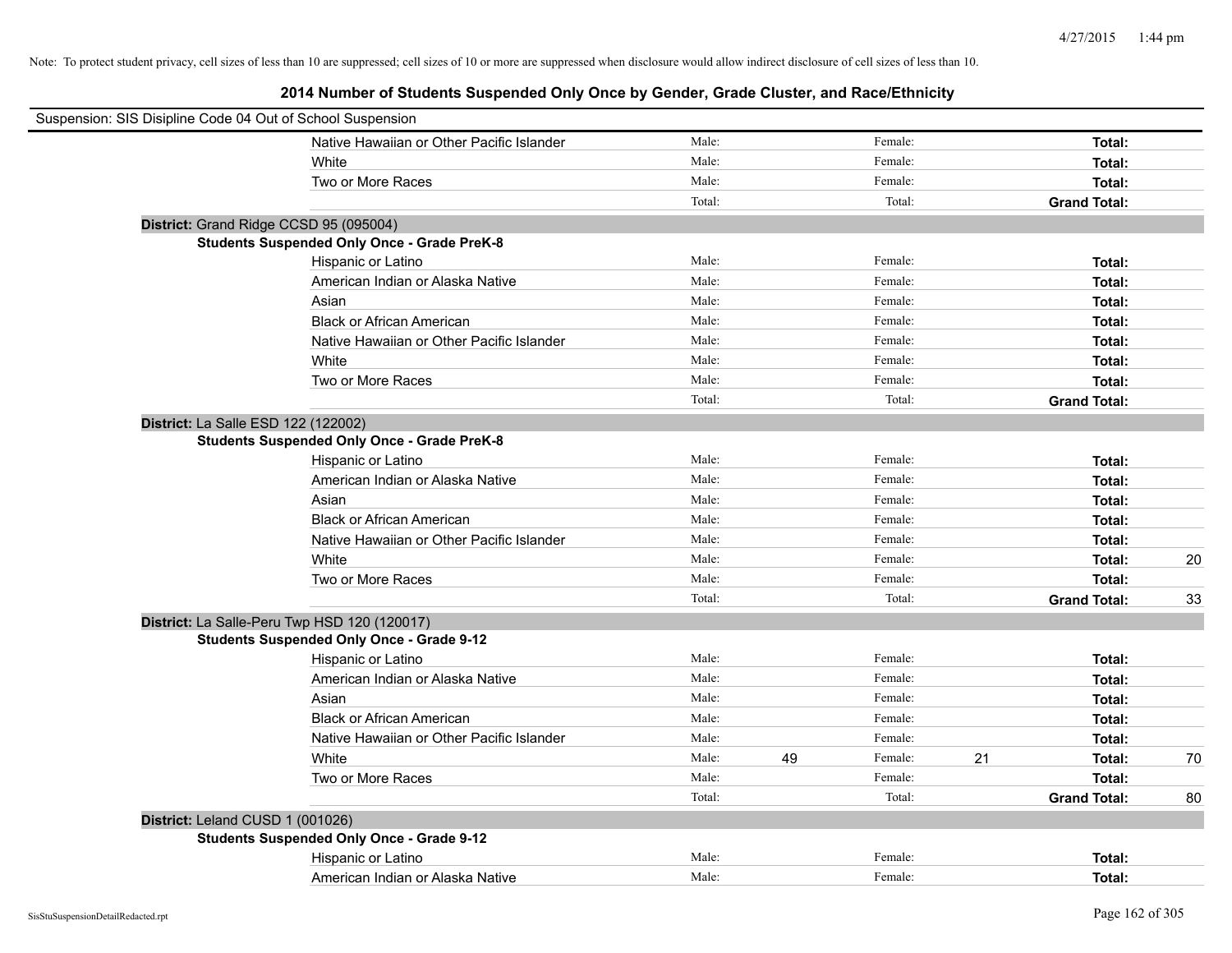| Suspension: SIS Disipline Code 04 Out of School Suspension |                                                    |        |    |         |    |                     |    |
|------------------------------------------------------------|----------------------------------------------------|--------|----|---------|----|---------------------|----|
|                                                            | Native Hawaiian or Other Pacific Islander          | Male:  |    | Female: |    | Total:              |    |
|                                                            | White                                              | Male:  |    | Female: |    | Total:              |    |
|                                                            | Two or More Races                                  | Male:  |    | Female: |    | Total:              |    |
|                                                            |                                                    | Total: |    | Total:  |    | <b>Grand Total:</b> |    |
| District: Grand Ridge CCSD 95 (095004)                     |                                                    |        |    |         |    |                     |    |
|                                                            | <b>Students Suspended Only Once - Grade PreK-8</b> |        |    |         |    |                     |    |
|                                                            | Hispanic or Latino                                 | Male:  |    | Female: |    | Total:              |    |
|                                                            | American Indian or Alaska Native                   | Male:  |    | Female: |    | Total:              |    |
|                                                            | Asian                                              | Male:  |    | Female: |    | Total:              |    |
|                                                            | <b>Black or African American</b>                   | Male:  |    | Female: |    | Total:              |    |
|                                                            | Native Hawaiian or Other Pacific Islander          | Male:  |    | Female: |    | Total:              |    |
|                                                            | White                                              | Male:  |    | Female: |    | Total:              |    |
|                                                            | Two or More Races                                  | Male:  |    | Female: |    | Total:              |    |
|                                                            |                                                    | Total: |    | Total:  |    | <b>Grand Total:</b> |    |
| District: La Salle ESD 122 (122002)                        |                                                    |        |    |         |    |                     |    |
|                                                            | <b>Students Suspended Only Once - Grade PreK-8</b> |        |    |         |    |                     |    |
|                                                            | Hispanic or Latino                                 | Male:  |    | Female: |    | Total:              |    |
|                                                            | American Indian or Alaska Native                   | Male:  |    | Female: |    | Total:              |    |
|                                                            | Asian                                              | Male:  |    | Female: |    | Total:              |    |
|                                                            | <b>Black or African American</b>                   | Male:  |    | Female: |    | Total:              |    |
|                                                            | Native Hawaiian or Other Pacific Islander          | Male:  |    | Female: |    | Total:              |    |
|                                                            | White                                              | Male:  |    | Female: |    | Total:              | 20 |
|                                                            | Two or More Races                                  | Male:  |    | Female: |    | Total:              |    |
|                                                            |                                                    | Total: |    | Total:  |    | <b>Grand Total:</b> | 33 |
| District: La Salle-Peru Twp HSD 120 (120017)               |                                                    |        |    |         |    |                     |    |
|                                                            | <b>Students Suspended Only Once - Grade 9-12</b>   |        |    |         |    |                     |    |
|                                                            | Hispanic or Latino                                 | Male:  |    | Female: |    | Total:              |    |
|                                                            | American Indian or Alaska Native                   | Male:  |    | Female: |    | Total:              |    |
|                                                            | Asian                                              | Male:  |    | Female: |    | Total:              |    |
|                                                            | <b>Black or African American</b>                   | Male:  |    | Female: |    | Total:              |    |
|                                                            | Native Hawaiian or Other Pacific Islander          | Male:  |    | Female: |    | Total:              |    |
|                                                            | White                                              | Male:  | 49 | Female: | 21 | Total:              | 70 |
|                                                            | Two or More Races                                  | Male:  |    | Female: |    | Total:              |    |
|                                                            |                                                    | Total: |    | Total:  |    | <b>Grand Total:</b> | 80 |
| District: Leland CUSD 1 (001026)                           |                                                    |        |    |         |    |                     |    |
|                                                            | <b>Students Suspended Only Once - Grade 9-12</b>   |        |    |         |    |                     |    |
|                                                            | Hispanic or Latino                                 | Male:  |    | Female: |    | Total:              |    |
|                                                            | American Indian or Alaska Native                   | Male:  |    | Female: |    | Total:              |    |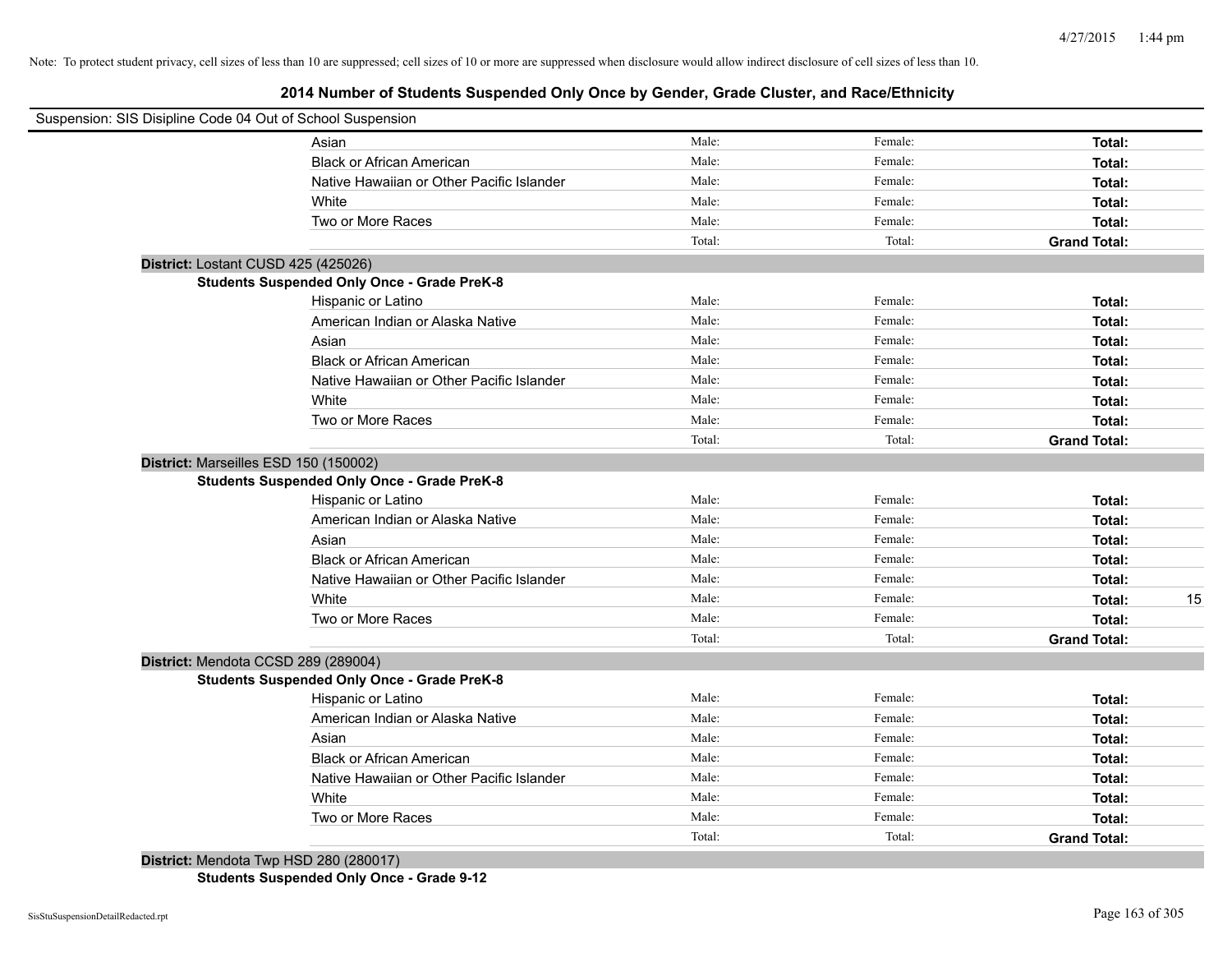# **2014 Number of Students Suspended Only Once by Gender, Grade Cluster, and Race/Ethnicity**

|                                       | Suspension: SIS Disipline Code 04 Out of School Suspension |        |         |                     |    |
|---------------------------------------|------------------------------------------------------------|--------|---------|---------------------|----|
|                                       | Asian                                                      | Male:  | Female: | Total:              |    |
|                                       | <b>Black or African American</b>                           | Male:  | Female: | Total:              |    |
|                                       | Native Hawaiian or Other Pacific Islander                  | Male:  | Female: | Total:              |    |
|                                       | White                                                      | Male:  | Female: | Total:              |    |
|                                       | Two or More Races                                          | Male:  | Female: | Total:              |    |
|                                       |                                                            | Total: | Total:  | <b>Grand Total:</b> |    |
| District: Lostant CUSD 425 (425026)   |                                                            |        |         |                     |    |
|                                       | <b>Students Suspended Only Once - Grade PreK-8</b>         |        |         |                     |    |
|                                       | Hispanic or Latino                                         | Male:  | Female: | Total:              |    |
|                                       | American Indian or Alaska Native                           | Male:  | Female: | Total:              |    |
|                                       | Asian                                                      | Male:  | Female: | Total:              |    |
|                                       | <b>Black or African American</b>                           | Male:  | Female: | Total:              |    |
|                                       | Native Hawaiian or Other Pacific Islander                  | Male:  | Female: | Total:              |    |
|                                       | White                                                      | Male:  | Female: | Total:              |    |
|                                       | Two or More Races                                          | Male:  | Female: | Total:              |    |
|                                       |                                                            | Total: | Total:  | <b>Grand Total:</b> |    |
| District: Marseilles ESD 150 (150002) |                                                            |        |         |                     |    |
|                                       | <b>Students Suspended Only Once - Grade PreK-8</b>         |        |         |                     |    |
|                                       | Hispanic or Latino                                         | Male:  | Female: | Total:              |    |
|                                       | American Indian or Alaska Native                           | Male:  | Female: | Total:              |    |
|                                       | Asian                                                      | Male:  | Female: | Total:              |    |
|                                       | <b>Black or African American</b>                           | Male:  | Female: | Total:              |    |
|                                       | Native Hawaiian or Other Pacific Islander                  | Male:  | Female: | Total:              |    |
|                                       | White                                                      | Male:  | Female: | Total:              | 15 |
|                                       | Two or More Races                                          | Male:  | Female: | Total:              |    |
|                                       |                                                            | Total: | Total:  | <b>Grand Total:</b> |    |
| District: Mendota CCSD 289 (289004)   |                                                            |        |         |                     |    |
|                                       | <b>Students Suspended Only Once - Grade PreK-8</b>         |        |         |                     |    |
|                                       | Hispanic or Latino                                         | Male:  | Female: | Total:              |    |
|                                       | American Indian or Alaska Native                           | Male:  | Female: | Total:              |    |
|                                       | Asian                                                      | Male:  | Female: | Total:              |    |
|                                       | <b>Black or African American</b>                           | Male:  | Female: | Total:              |    |
|                                       | Native Hawaiian or Other Pacific Islander                  | Male:  | Female: | Total:              |    |
|                                       | White                                                      | Male:  | Female: | Total:              |    |
|                                       | Two or More Races                                          | Male:  | Female: | Total:              |    |
|                                       |                                                            | Total: | Total:  | <b>Grand Total:</b> |    |
|                                       | District: Mendota Twp HSD 280 (280017)                     |        |         |                     |    |

**Students Suspended Only Once - Grade 9-12**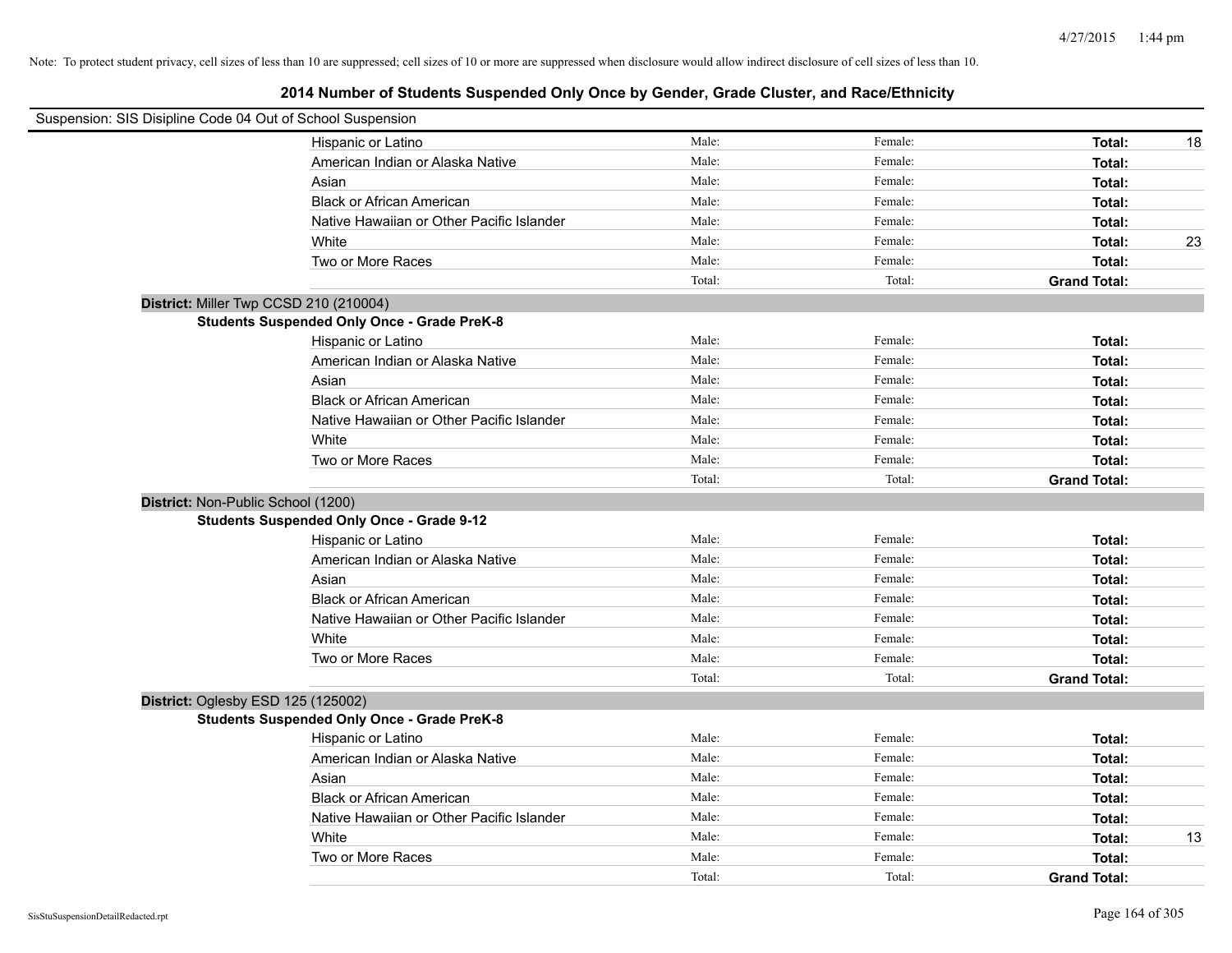| Suspension: SIS Disipline Code 04 Out of School Suspension |                                                    |        |         |                     |
|------------------------------------------------------------|----------------------------------------------------|--------|---------|---------------------|
|                                                            | Hispanic or Latino                                 | Male:  | Female: | Total:<br>18        |
|                                                            | American Indian or Alaska Native                   | Male:  | Female: | Total:              |
|                                                            | Asian                                              | Male:  | Female: | Total:              |
|                                                            | <b>Black or African American</b>                   | Male:  | Female: | Total:              |
|                                                            | Native Hawaiian or Other Pacific Islander          | Male:  | Female: | Total:              |
|                                                            | White                                              | Male:  | Female: | 23<br>Total:        |
|                                                            | Two or More Races                                  | Male:  | Female: | Total:              |
|                                                            |                                                    | Total: | Total:  | <b>Grand Total:</b> |
| District: Miller Twp CCSD 210 (210004)                     |                                                    |        |         |                     |
|                                                            | <b>Students Suspended Only Once - Grade PreK-8</b> |        |         |                     |
|                                                            | Hispanic or Latino                                 | Male:  | Female: | Total:              |
|                                                            | American Indian or Alaska Native                   | Male:  | Female: | Total:              |
|                                                            | Asian                                              | Male:  | Female: | Total:              |
|                                                            | <b>Black or African American</b>                   | Male:  | Female: | Total:              |
|                                                            | Native Hawaiian or Other Pacific Islander          | Male:  | Female: | Total:              |
|                                                            | White                                              | Male:  | Female: | Total:              |
|                                                            | Two or More Races                                  | Male:  | Female: | Total:              |
|                                                            |                                                    | Total: | Total:  | <b>Grand Total:</b> |
| District: Non-Public School (1200)                         |                                                    |        |         |                     |
|                                                            | <b>Students Suspended Only Once - Grade 9-12</b>   |        |         |                     |
|                                                            | Hispanic or Latino                                 | Male:  | Female: | Total:              |
|                                                            | American Indian or Alaska Native                   | Male:  | Female: | Total:              |
|                                                            | Asian                                              | Male:  | Female: | Total:              |
|                                                            | <b>Black or African American</b>                   | Male:  | Female: | Total:              |
|                                                            | Native Hawaiian or Other Pacific Islander          | Male:  | Female: | Total:              |
|                                                            | White                                              | Male:  | Female: | Total:              |
|                                                            | Two or More Races                                  | Male:  | Female: | Total:              |
|                                                            |                                                    | Total: | Total:  | <b>Grand Total:</b> |
| District: Oglesby ESD 125 (125002)                         |                                                    |        |         |                     |
|                                                            | <b>Students Suspended Only Once - Grade PreK-8</b> |        |         |                     |
|                                                            | Hispanic or Latino                                 | Male:  | Female: | Total:              |
|                                                            | American Indian or Alaska Native                   | Male:  | Female: | Total:              |
|                                                            | Asian                                              | Male:  | Female: | Total:              |
|                                                            | <b>Black or African American</b>                   | Male:  | Female: | Total:              |
|                                                            | Native Hawaiian or Other Pacific Islander          | Male:  | Female: | Total:              |
|                                                            | White                                              | Male:  | Female: | 13<br>Total:        |
|                                                            | Two or More Races                                  | Male:  | Female: | Total:              |
|                                                            |                                                    | Total: | Total:  | <b>Grand Total:</b> |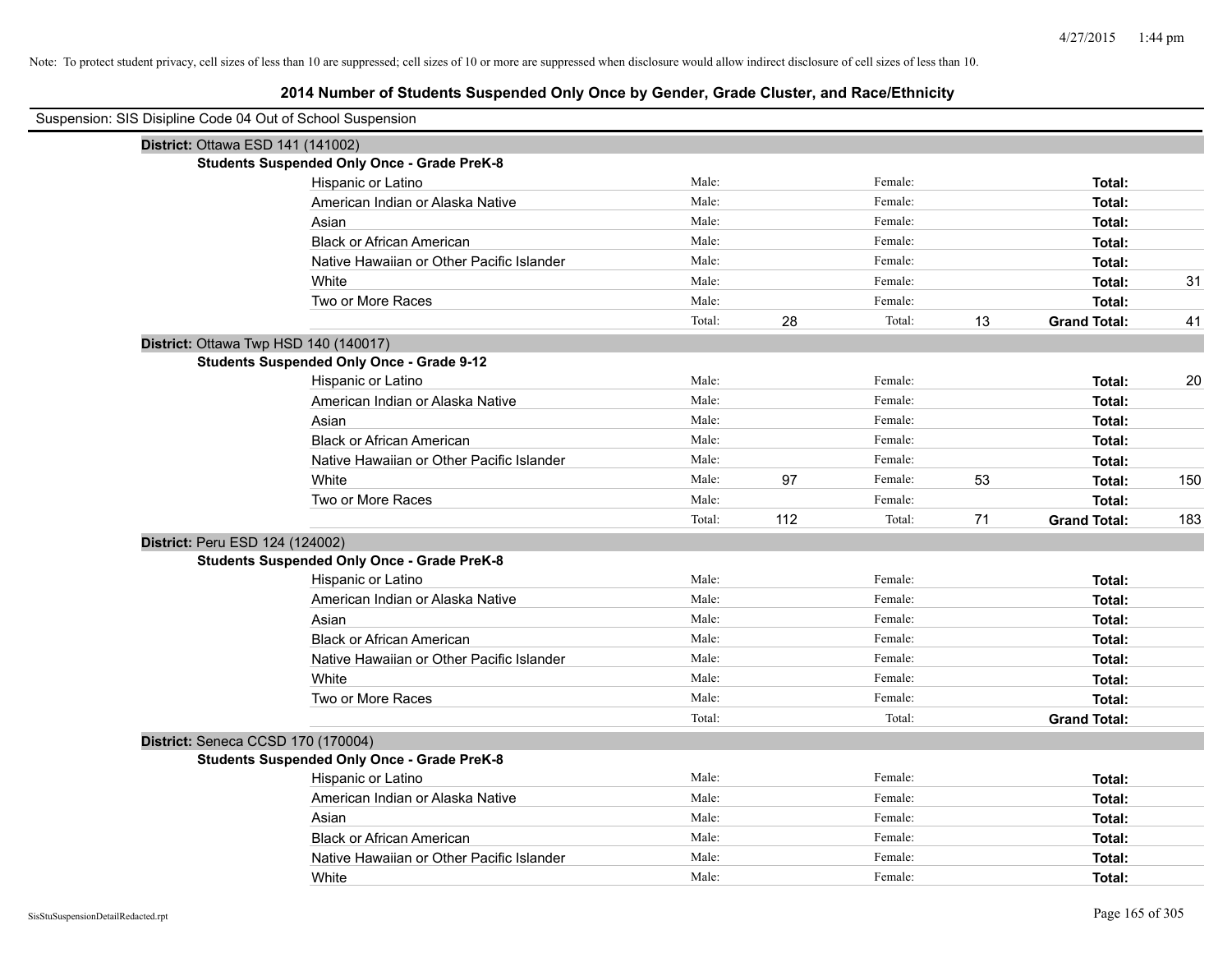| Suspension: SIS Disipline Code 04 Out of School Suspension |                                                    |        |     |         |    |                     |     |
|------------------------------------------------------------|----------------------------------------------------|--------|-----|---------|----|---------------------|-----|
| District: Ottawa ESD 141 (141002)                          |                                                    |        |     |         |    |                     |     |
|                                                            | <b>Students Suspended Only Once - Grade PreK-8</b> |        |     |         |    |                     |     |
|                                                            | Hispanic or Latino                                 | Male:  |     | Female: |    | Total:              |     |
|                                                            | American Indian or Alaska Native                   | Male:  |     | Female: |    | Total:              |     |
|                                                            | Asian                                              | Male:  |     | Female: |    | Total:              |     |
|                                                            | <b>Black or African American</b>                   | Male:  |     | Female: |    | Total:              |     |
|                                                            | Native Hawaiian or Other Pacific Islander          | Male:  |     | Female: |    | Total:              |     |
|                                                            | White                                              | Male:  |     | Female: |    | Total:              | 31  |
|                                                            | Two or More Races                                  | Male:  |     | Female: |    | Total:              |     |
|                                                            |                                                    | Total: | 28  | Total:  | 13 | <b>Grand Total:</b> | 41  |
| District: Ottawa Twp HSD 140 (140017)                      |                                                    |        |     |         |    |                     |     |
|                                                            | <b>Students Suspended Only Once - Grade 9-12</b>   |        |     |         |    |                     |     |
|                                                            | Hispanic or Latino                                 | Male:  |     | Female: |    | Total:              | 20  |
|                                                            | American Indian or Alaska Native                   | Male:  |     | Female: |    | Total:              |     |
|                                                            | Asian                                              | Male:  |     | Female: |    | Total:              |     |
|                                                            | <b>Black or African American</b>                   | Male:  |     | Female: |    | Total:              |     |
|                                                            | Native Hawaiian or Other Pacific Islander          | Male:  |     | Female: |    | Total:              |     |
|                                                            | White                                              | Male:  | 97  | Female: | 53 | Total:              | 150 |
|                                                            | Two or More Races                                  | Male:  |     | Female: |    | Total:              |     |
|                                                            |                                                    | Total: | 112 | Total:  | 71 | <b>Grand Total:</b> | 183 |
| District: Peru ESD 124 (124002)                            |                                                    |        |     |         |    |                     |     |
|                                                            | <b>Students Suspended Only Once - Grade PreK-8</b> |        |     |         |    |                     |     |
|                                                            | Hispanic or Latino                                 | Male:  |     | Female: |    | Total:              |     |
|                                                            | American Indian or Alaska Native                   | Male:  |     | Female: |    | Total:              |     |
|                                                            | Asian                                              | Male:  |     | Female: |    | Total:              |     |
|                                                            | <b>Black or African American</b>                   | Male:  |     | Female: |    | Total:              |     |
|                                                            | Native Hawaiian or Other Pacific Islander          | Male:  |     | Female: |    | Total:              |     |
|                                                            | White                                              | Male:  |     | Female: |    | Total:              |     |
|                                                            | Two or More Races                                  | Male:  |     | Female: |    | Total:              |     |
|                                                            |                                                    | Total: |     | Total:  |    | <b>Grand Total:</b> |     |
| District: Seneca CCSD 170 (170004)                         |                                                    |        |     |         |    |                     |     |
|                                                            | <b>Students Suspended Only Once - Grade PreK-8</b> |        |     |         |    |                     |     |
|                                                            | Hispanic or Latino                                 | Male:  |     | Female: |    | Total:              |     |
|                                                            | American Indian or Alaska Native                   | Male:  |     | Female: |    | Total:              |     |
|                                                            | Asian                                              | Male:  |     | Female: |    | Total:              |     |
|                                                            | <b>Black or African American</b>                   | Male:  |     | Female: |    | Total:              |     |
|                                                            | Native Hawaiian or Other Pacific Islander          | Male:  |     | Female: |    | Total:              |     |
|                                                            | White                                              | Male:  |     | Female: |    | Total:              |     |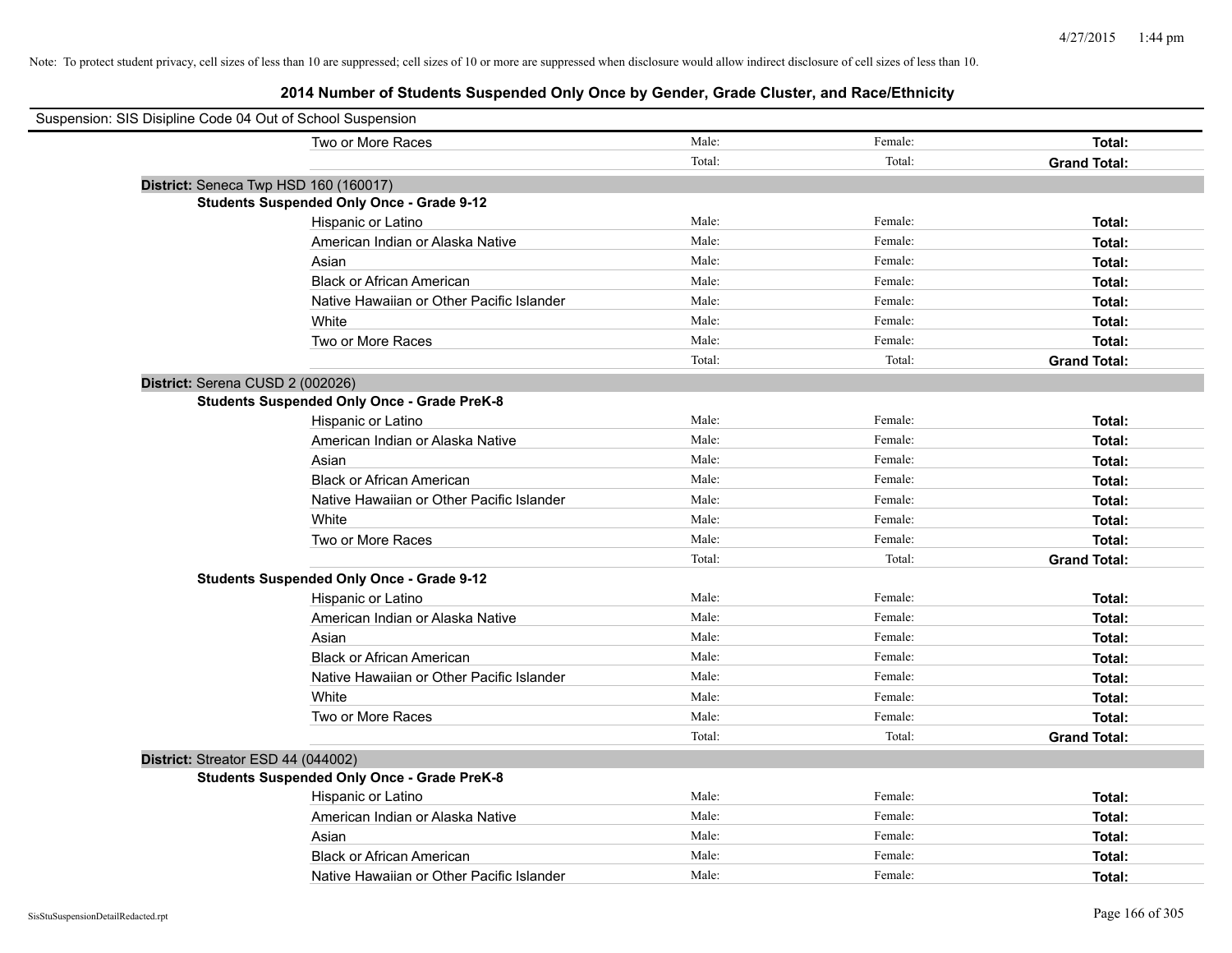| Suspension: SIS Disipline Code 04 Out of School Suspension |                                                    |        |         |                     |
|------------------------------------------------------------|----------------------------------------------------|--------|---------|---------------------|
|                                                            | Two or More Races                                  | Male:  | Female: | Total:              |
|                                                            |                                                    | Total: | Total:  | <b>Grand Total:</b> |
| District: Seneca Twp HSD 160 (160017)                      |                                                    |        |         |                     |
|                                                            | <b>Students Suspended Only Once - Grade 9-12</b>   |        |         |                     |
|                                                            | Hispanic or Latino                                 | Male:  | Female: | Total:              |
|                                                            | American Indian or Alaska Native                   | Male:  | Female: | Total:              |
|                                                            | Asian                                              | Male:  | Female: | Total:              |
|                                                            | <b>Black or African American</b>                   | Male:  | Female: | Total:              |
|                                                            | Native Hawaiian or Other Pacific Islander          | Male:  | Female: | Total:              |
|                                                            | White                                              | Male:  | Female: | Total:              |
|                                                            | Two or More Races                                  | Male:  | Female: | Total:              |
|                                                            |                                                    | Total: | Total:  | <b>Grand Total:</b> |
| District: Serena CUSD 2 (002026)                           |                                                    |        |         |                     |
|                                                            | <b>Students Suspended Only Once - Grade PreK-8</b> |        |         |                     |
|                                                            | Hispanic or Latino                                 | Male:  | Female: | Total:              |
|                                                            | American Indian or Alaska Native                   | Male:  | Female: | Total:              |
|                                                            | Asian                                              | Male:  | Female: | Total:              |
|                                                            | <b>Black or African American</b>                   | Male:  | Female: | Total:              |
|                                                            | Native Hawaiian or Other Pacific Islander          | Male:  | Female: | Total:              |
|                                                            | White                                              | Male:  | Female: | Total:              |
|                                                            | Two or More Races                                  | Male:  | Female: | Total:              |
|                                                            |                                                    | Total: | Total:  | <b>Grand Total:</b> |
|                                                            | <b>Students Suspended Only Once - Grade 9-12</b>   |        |         |                     |
|                                                            | Hispanic or Latino                                 | Male:  | Female: | Total:              |
|                                                            | American Indian or Alaska Native                   | Male:  | Female: | Total:              |
|                                                            | Asian                                              | Male:  | Female: | Total:              |
|                                                            | <b>Black or African American</b>                   | Male:  | Female: | Total:              |
|                                                            | Native Hawaiian or Other Pacific Islander          | Male:  | Female: | Total:              |
|                                                            | White                                              | Male:  | Female: | Total:              |
|                                                            | Two or More Races                                  | Male:  | Female: | Total:              |
|                                                            |                                                    | Total: | Total:  | <b>Grand Total:</b> |
| District: Streator ESD 44 (044002)                         |                                                    |        |         |                     |
|                                                            | <b>Students Suspended Only Once - Grade PreK-8</b> |        |         |                     |
|                                                            | Hispanic or Latino                                 | Male:  | Female: | Total:              |
|                                                            | American Indian or Alaska Native                   | Male:  | Female: | Total:              |
|                                                            | Asian                                              | Male:  | Female: | Total:              |
|                                                            | <b>Black or African American</b>                   | Male:  | Female: | Total:              |
|                                                            | Native Hawaiian or Other Pacific Islander          | Male:  | Female: | Total:              |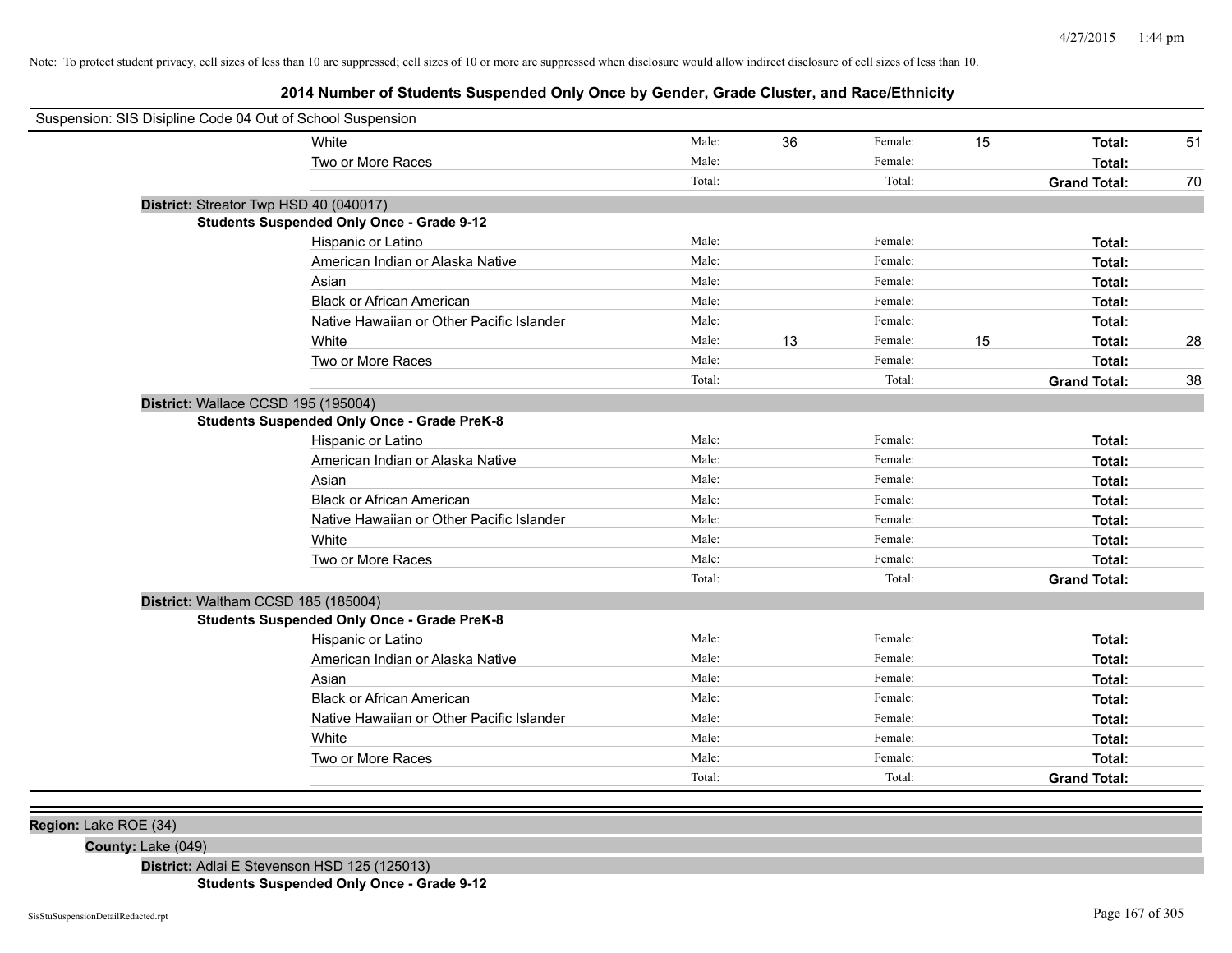# **2014 Number of Students Suspended Only Once by Gender, Grade Cluster, and Race/Ethnicity**

| Suspension: SIS Disipline Code 04 Out of School Suspension |        |    |         |    |                     |    |
|------------------------------------------------------------|--------|----|---------|----|---------------------|----|
| White                                                      | Male:  | 36 | Female: | 15 | Total:              | 51 |
| Two or More Races                                          | Male:  |    | Female: |    | Total:              |    |
|                                                            | Total: |    | Total:  |    | <b>Grand Total:</b> | 70 |
| District: Streator Twp HSD 40 (040017)                     |        |    |         |    |                     |    |
| <b>Students Suspended Only Once - Grade 9-12</b>           |        |    |         |    |                     |    |
| Hispanic or Latino                                         | Male:  |    | Female: |    | Total:              |    |
| American Indian or Alaska Native                           | Male:  |    | Female: |    | Total:              |    |
| Asian                                                      | Male:  |    | Female: |    | Total:              |    |
| <b>Black or African American</b>                           | Male:  |    | Female: |    | Total:              |    |
| Native Hawaiian or Other Pacific Islander                  | Male:  |    | Female: |    | Total:              |    |
| White                                                      | Male:  | 13 | Female: | 15 | Total:              | 28 |
| Two or More Races                                          | Male:  |    | Female: |    | Total:              |    |
|                                                            | Total: |    | Total:  |    | <b>Grand Total:</b> | 38 |
| District: Wallace CCSD 195 (195004)                        |        |    |         |    |                     |    |
| <b>Students Suspended Only Once - Grade PreK-8</b>         |        |    |         |    |                     |    |
| Hispanic or Latino                                         | Male:  |    | Female: |    | Total:              |    |
| American Indian or Alaska Native                           | Male:  |    | Female: |    | Total:              |    |
| Asian                                                      | Male:  |    | Female: |    | Total:              |    |
| <b>Black or African American</b>                           | Male:  |    | Female: |    | Total:              |    |
| Native Hawaiian or Other Pacific Islander                  | Male:  |    | Female: |    | Total:              |    |
| White                                                      | Male:  |    | Female: |    | Total:              |    |
| Two or More Races                                          | Male:  |    | Female: |    | Total:              |    |
|                                                            | Total: |    | Total:  |    | <b>Grand Total:</b> |    |
| District: Waltham CCSD 185 (185004)                        |        |    |         |    |                     |    |
| <b>Students Suspended Only Once - Grade PreK-8</b>         |        |    |         |    |                     |    |
| Hispanic or Latino                                         | Male:  |    | Female: |    | Total:              |    |
| American Indian or Alaska Native                           | Male:  |    | Female: |    | Total:              |    |
| Asian                                                      | Male:  |    | Female: |    | Total:              |    |
| <b>Black or African American</b>                           | Male:  |    | Female: |    | Total:              |    |
| Native Hawaiian or Other Pacific Islander                  | Male:  |    | Female: |    | Total:              |    |
| White                                                      | Male:  |    | Female: |    | Total:              |    |
| Two or More Races                                          | Male:  |    | Female: |    | Total:              |    |
|                                                            | Total: |    | Total:  |    | <b>Grand Total:</b> |    |
|                                                            |        |    |         |    |                     |    |

**Region:** Lake ROE (34)

**County:** Lake (049)

**District:** Adlai E Stevenson HSD 125 (125013)

**Students Suspended Only Once - Grade 9-12**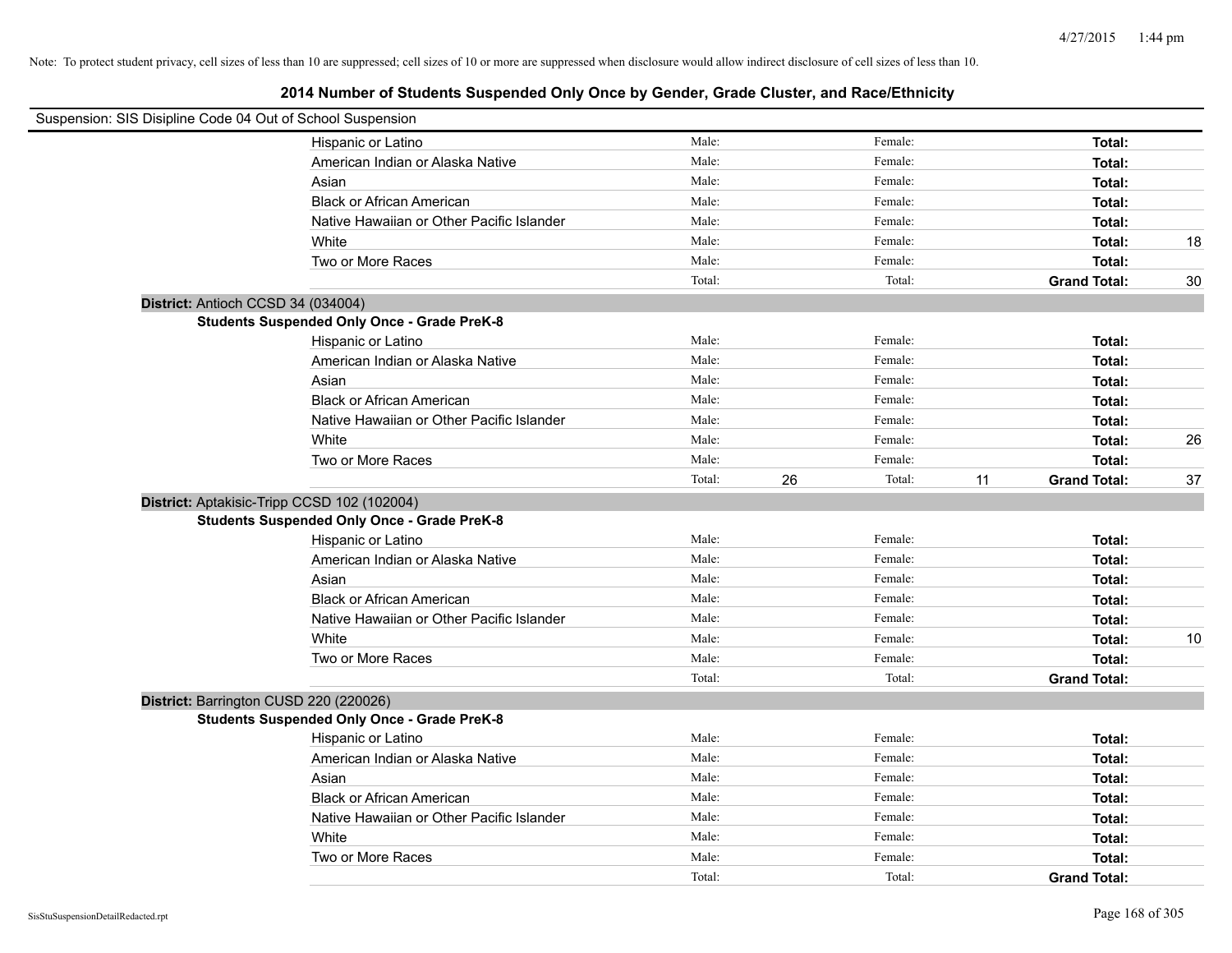| Suspension: SIS Disipline Code 04 Out of School Suspension |                                                    |        |              |                           |    |
|------------------------------------------------------------|----------------------------------------------------|--------|--------------|---------------------------|----|
|                                                            | Hispanic or Latino                                 | Male:  | Female:      | Total:                    |    |
|                                                            | American Indian or Alaska Native                   | Male:  | Female:      | Total:                    |    |
|                                                            | Asian                                              | Male:  | Female:      | Total:                    |    |
|                                                            | <b>Black or African American</b>                   | Male:  | Female:      | Total:                    |    |
|                                                            | Native Hawaiian or Other Pacific Islander          | Male:  | Female:      | Total:                    |    |
|                                                            | White                                              | Male:  | Female:      | Total:                    | 18 |
|                                                            | Two or More Races                                  | Male:  | Female:      | Total:                    |    |
|                                                            |                                                    | Total: | Total:       | <b>Grand Total:</b>       | 30 |
|                                                            | District: Antioch CCSD 34 (034004)                 |        |              |                           |    |
|                                                            | <b>Students Suspended Only Once - Grade PreK-8</b> |        |              |                           |    |
|                                                            | Hispanic or Latino                                 | Male:  | Female:      | Total:                    |    |
|                                                            | American Indian or Alaska Native                   | Male:  | Female:      | Total:                    |    |
|                                                            | Asian                                              | Male:  | Female:      | Total:                    |    |
|                                                            | <b>Black or African American</b>                   | Male:  | Female:      | Total:                    |    |
|                                                            | Native Hawaiian or Other Pacific Islander          | Male:  | Female:      | Total:                    |    |
|                                                            | White                                              | Male:  | Female:      | Total:                    | 26 |
|                                                            | Two or More Races                                  | Male:  | Female:      | Total:                    |    |
|                                                            |                                                    | Total: | 26<br>Total: | 11<br><b>Grand Total:</b> | 37 |
|                                                            | District: Aptakisic-Tripp CCSD 102 (102004)        |        |              |                           |    |
|                                                            | <b>Students Suspended Only Once - Grade PreK-8</b> |        |              |                           |    |
|                                                            | Hispanic or Latino                                 | Male:  | Female:      | Total:                    |    |
|                                                            | American Indian or Alaska Native                   | Male:  | Female:      | Total:                    |    |
|                                                            | Asian                                              | Male:  | Female:      | Total:                    |    |
|                                                            | <b>Black or African American</b>                   | Male:  | Female:      | Total:                    |    |
|                                                            | Native Hawaiian or Other Pacific Islander          | Male:  | Female:      | Total:                    |    |
|                                                            | White                                              | Male:  | Female:      | Total:                    | 10 |
|                                                            | Two or More Races                                  | Male:  | Female:      | Total:                    |    |
|                                                            |                                                    | Total: | Total:       | <b>Grand Total:</b>       |    |
|                                                            | District: Barrington CUSD 220 (220026)             |        |              |                           |    |
|                                                            | <b>Students Suspended Only Once - Grade PreK-8</b> |        |              |                           |    |
|                                                            | Hispanic or Latino                                 | Male:  | Female:      | Total:                    |    |
|                                                            | American Indian or Alaska Native                   | Male:  | Female:      | Total:                    |    |
|                                                            | Asian                                              | Male:  | Female:      | Total:                    |    |
|                                                            | <b>Black or African American</b>                   | Male:  | Female:      | Total:                    |    |
|                                                            | Native Hawaiian or Other Pacific Islander          | Male:  | Female:      | Total:                    |    |
|                                                            | White                                              | Male:  | Female:      | Total:                    |    |
|                                                            | Two or More Races                                  | Male:  | Female:      | Total:                    |    |
|                                                            |                                                    | Total: | Total:       | <b>Grand Total:</b>       |    |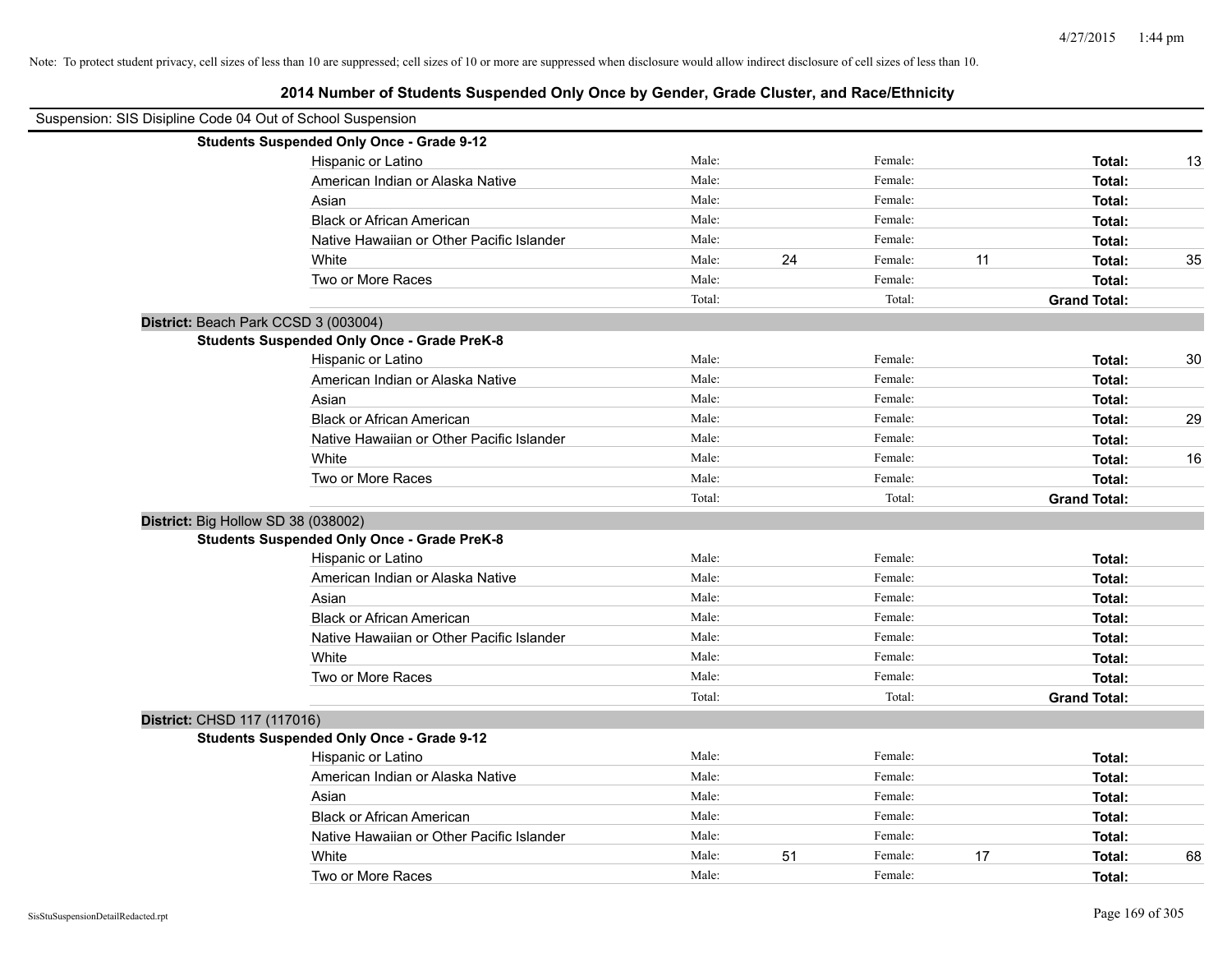| Suspension: SIS Disipline Code 04 Out of School Suspension |                                                    |        |    |         |    |                     |    |
|------------------------------------------------------------|----------------------------------------------------|--------|----|---------|----|---------------------|----|
|                                                            | <b>Students Suspended Only Once - Grade 9-12</b>   |        |    |         |    |                     |    |
|                                                            | Hispanic or Latino                                 | Male:  |    | Female: |    | Total:              | 13 |
|                                                            | American Indian or Alaska Native                   | Male:  |    | Female: |    | Total:              |    |
|                                                            | Asian                                              | Male:  |    | Female: |    | Total:              |    |
|                                                            | <b>Black or African American</b>                   | Male:  |    | Female: |    | Total:              |    |
|                                                            | Native Hawaiian or Other Pacific Islander          | Male:  |    | Female: |    | Total:              |    |
|                                                            | White                                              | Male:  | 24 | Female: | 11 | Total:              | 35 |
|                                                            | Two or More Races                                  | Male:  |    | Female: |    | Total:              |    |
|                                                            |                                                    | Total: |    | Total:  |    | <b>Grand Total:</b> |    |
| District: Beach Park CCSD 3 (003004)                       |                                                    |        |    |         |    |                     |    |
|                                                            | <b>Students Suspended Only Once - Grade PreK-8</b> |        |    |         |    |                     |    |
|                                                            | Hispanic or Latino                                 | Male:  |    | Female: |    | Total:              | 30 |
|                                                            | American Indian or Alaska Native                   | Male:  |    | Female: |    | Total:              |    |
|                                                            | Asian                                              | Male:  |    | Female: |    | Total:              |    |
|                                                            | <b>Black or African American</b>                   | Male:  |    | Female: |    | Total:              | 29 |
|                                                            | Native Hawaiian or Other Pacific Islander          | Male:  |    | Female: |    | Total:              |    |
|                                                            | White                                              | Male:  |    | Female: |    | Total:              | 16 |
|                                                            | Two or More Races                                  | Male:  |    | Female: |    | Total:              |    |
|                                                            |                                                    | Total: |    | Total:  |    | <b>Grand Total:</b> |    |
| District: Big Hollow SD 38 (038002)                        |                                                    |        |    |         |    |                     |    |
|                                                            | <b>Students Suspended Only Once - Grade PreK-8</b> |        |    |         |    |                     |    |
|                                                            | Hispanic or Latino                                 | Male:  |    | Female: |    | Total:              |    |
|                                                            | American Indian or Alaska Native                   | Male:  |    | Female: |    | Total:              |    |
|                                                            | Asian                                              | Male:  |    | Female: |    | Total:              |    |
|                                                            | <b>Black or African American</b>                   | Male:  |    | Female: |    | Total:              |    |
|                                                            | Native Hawaiian or Other Pacific Islander          | Male:  |    | Female: |    | Total:              |    |
|                                                            | White                                              | Male:  |    | Female: |    | Total:              |    |
|                                                            | Two or More Races                                  | Male:  |    | Female: |    | Total:              |    |
|                                                            |                                                    | Total: |    | Total:  |    | <b>Grand Total:</b> |    |
| District: CHSD 117 (117016)                                |                                                    |        |    |         |    |                     |    |
|                                                            | <b>Students Suspended Only Once - Grade 9-12</b>   |        |    |         |    |                     |    |
|                                                            | Hispanic or Latino                                 | Male:  |    | Female: |    | Total:              |    |
|                                                            | American Indian or Alaska Native                   | Male:  |    | Female: |    | Total:              |    |
|                                                            | Asian                                              | Male:  |    | Female: |    | Total:              |    |
|                                                            | <b>Black or African American</b>                   | Male:  |    | Female: |    | Total:              |    |
|                                                            | Native Hawaiian or Other Pacific Islander          | Male:  |    | Female: |    | Total:              |    |
|                                                            | White                                              | Male:  | 51 | Female: | 17 | Total:              | 68 |
|                                                            | Two or More Races                                  | Male:  |    | Female: |    | Total:              |    |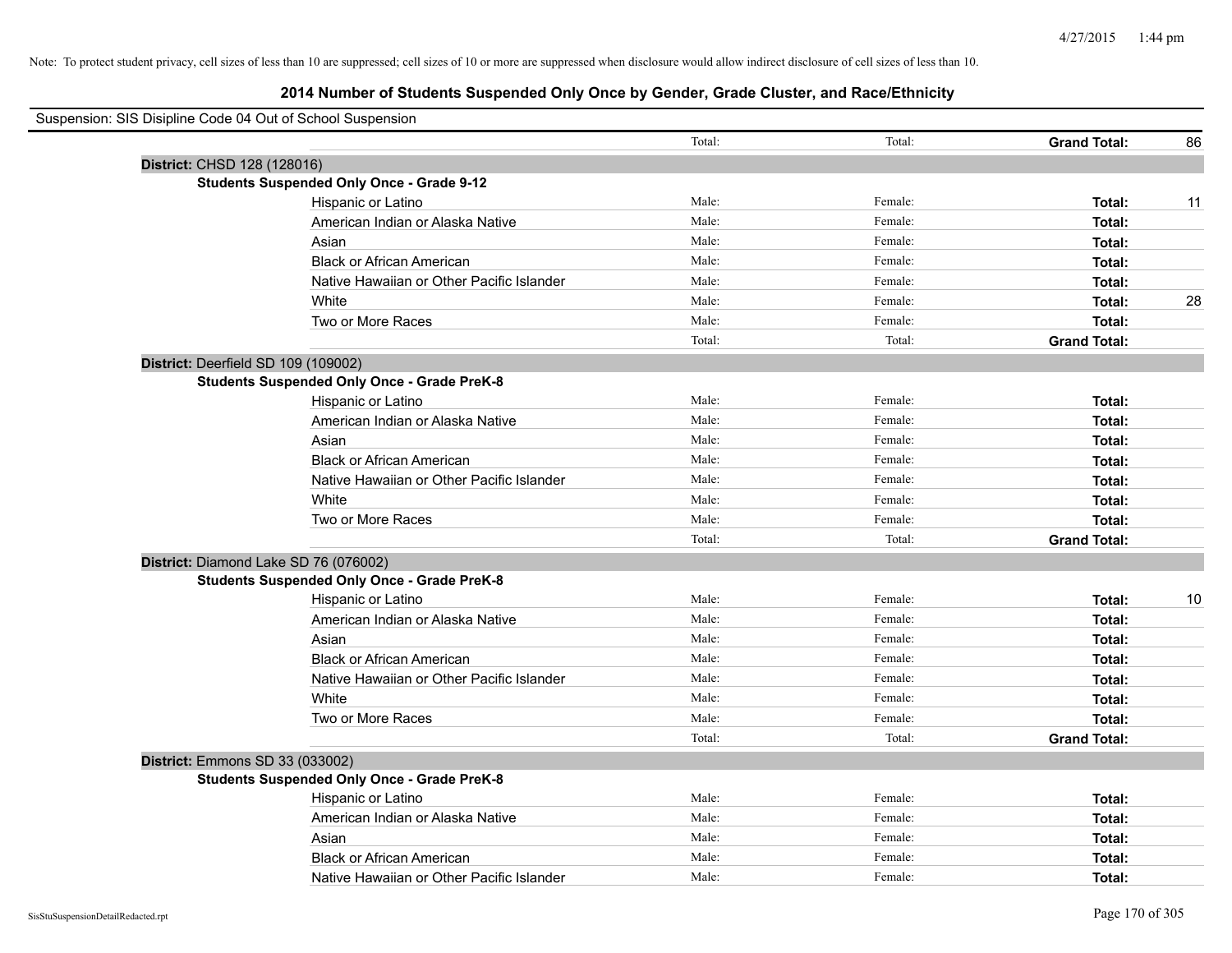| Suspension: SIS Disipline Code 04 Out of School Suspension |        |         |                     |    |
|------------------------------------------------------------|--------|---------|---------------------|----|
|                                                            | Total: | Total:  | <b>Grand Total:</b> | 86 |
| District: CHSD 128 (128016)                                |        |         |                     |    |
| <b>Students Suspended Only Once - Grade 9-12</b>           |        |         |                     |    |
| Hispanic or Latino                                         | Male:  | Female: | Total:              | 11 |
| American Indian or Alaska Native                           | Male:  | Female: | Total:              |    |
| Asian                                                      | Male:  | Female: | Total:              |    |
| <b>Black or African American</b>                           | Male:  | Female: | Total:              |    |
| Native Hawaiian or Other Pacific Islander                  | Male:  | Female: | Total:              |    |
| White                                                      | Male:  | Female: | Total:              | 28 |
| Two or More Races                                          | Male:  | Female: | Total:              |    |
|                                                            | Total: | Total:  | <b>Grand Total:</b> |    |
| District: Deerfield SD 109 (109002)                        |        |         |                     |    |
| <b>Students Suspended Only Once - Grade PreK-8</b>         |        |         |                     |    |
| Hispanic or Latino                                         | Male:  | Female: | Total:              |    |
| American Indian or Alaska Native                           | Male:  | Female: | Total:              |    |
| Asian                                                      | Male:  | Female: | Total:              |    |
| <b>Black or African American</b>                           | Male:  | Female: | Total:              |    |
| Native Hawaiian or Other Pacific Islander                  | Male:  | Female: | Total:              |    |
| White                                                      | Male:  | Female: | Total:              |    |
| Two or More Races                                          | Male:  | Female: | Total:              |    |
|                                                            | Total: | Total:  | <b>Grand Total:</b> |    |
| District: Diamond Lake SD 76 (076002)                      |        |         |                     |    |
| <b>Students Suspended Only Once - Grade PreK-8</b>         |        |         |                     |    |
| Hispanic or Latino                                         | Male:  | Female: | Total:              | 10 |
| American Indian or Alaska Native                           | Male:  | Female: | Total:              |    |
| Asian                                                      | Male:  | Female: | Total:              |    |
| <b>Black or African American</b>                           | Male:  | Female: | Total:              |    |
| Native Hawaiian or Other Pacific Islander                  | Male:  | Female: | Total:              |    |
| White                                                      | Male:  | Female: | Total:              |    |
| Two or More Races                                          | Male:  | Female: | Total:              |    |
|                                                            | Total: | Total:  | <b>Grand Total:</b> |    |
| District: Emmons SD 33 (033002)                            |        |         |                     |    |
| <b>Students Suspended Only Once - Grade PreK-8</b>         |        |         |                     |    |
| Hispanic or Latino                                         | Male:  | Female: | Total:              |    |
| American Indian or Alaska Native                           | Male:  | Female: | Total:              |    |
| Asian                                                      | Male:  | Female: | Total:              |    |
| <b>Black or African American</b>                           | Male:  | Female: | Total:              |    |
| Native Hawaiian or Other Pacific Islander                  | Male:  | Female: | Total:              |    |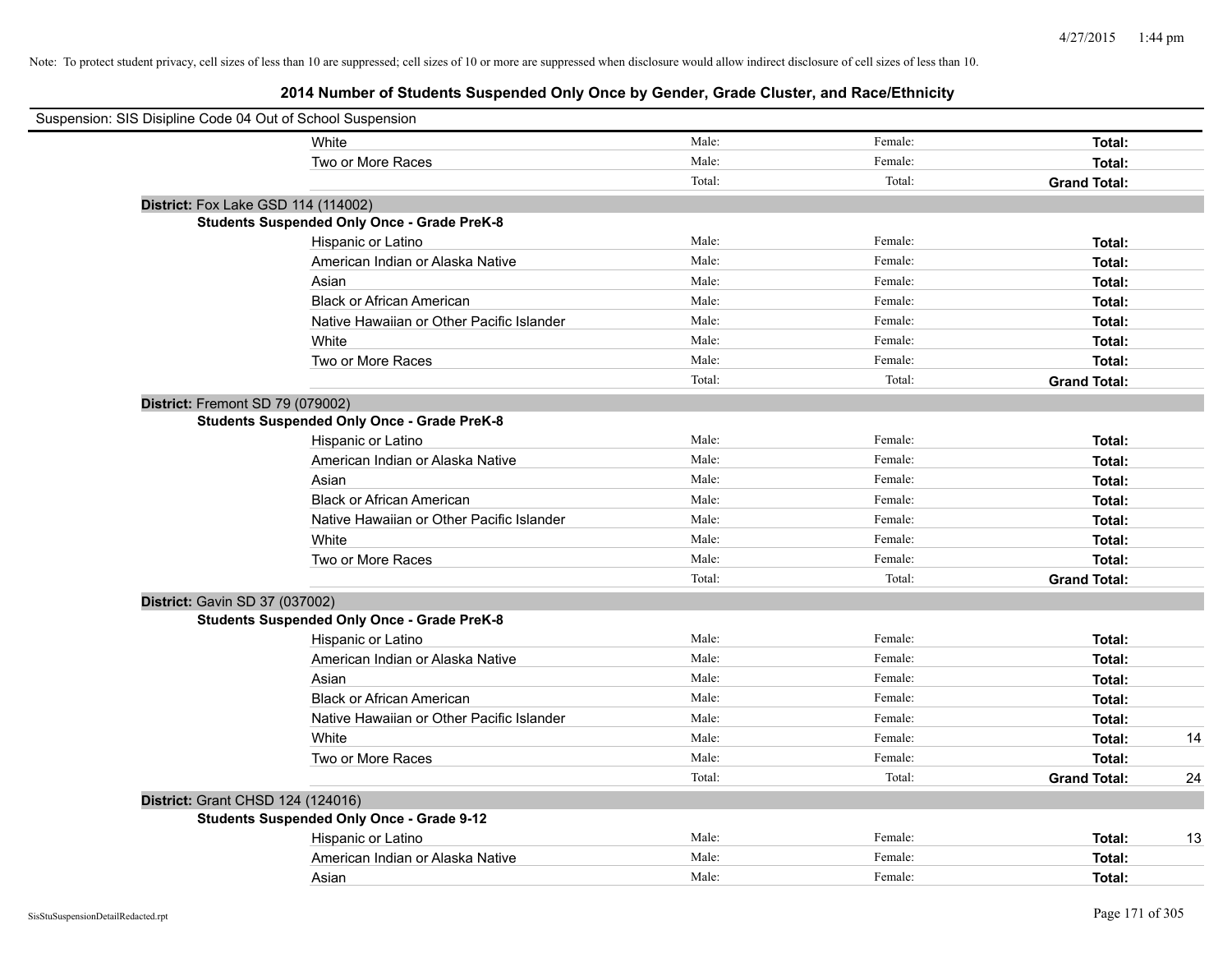| Suspension: SIS Disipline Code 04 Out of School Suspension |                                                    |        |         |                     |    |
|------------------------------------------------------------|----------------------------------------------------|--------|---------|---------------------|----|
|                                                            | White                                              | Male:  | Female: | Total:              |    |
|                                                            | Two or More Races                                  | Male:  | Female: | Total:              |    |
|                                                            |                                                    | Total: | Total:  | <b>Grand Total:</b> |    |
|                                                            | District: Fox Lake GSD 114 (114002)                |        |         |                     |    |
|                                                            | <b>Students Suspended Only Once - Grade PreK-8</b> |        |         |                     |    |
|                                                            | Hispanic or Latino                                 | Male:  | Female: | Total:              |    |
|                                                            | American Indian or Alaska Native                   | Male:  | Female: | Total:              |    |
|                                                            | Asian                                              | Male:  | Female: | Total:              |    |
|                                                            | <b>Black or African American</b>                   | Male:  | Female: | Total:              |    |
|                                                            | Native Hawaiian or Other Pacific Islander          | Male:  | Female: | Total:              |    |
|                                                            | White                                              | Male:  | Female: | Total:              |    |
|                                                            | Two or More Races                                  | Male:  | Female: | Total:              |    |
|                                                            |                                                    | Total: | Total:  | <b>Grand Total:</b> |    |
| District: Fremont SD 79 (079002)                           |                                                    |        |         |                     |    |
|                                                            | <b>Students Suspended Only Once - Grade PreK-8</b> |        |         |                     |    |
|                                                            | Hispanic or Latino                                 | Male:  | Female: | Total:              |    |
|                                                            | American Indian or Alaska Native                   | Male:  | Female: | Total:              |    |
|                                                            | Asian                                              | Male:  | Female: | Total:              |    |
|                                                            | <b>Black or African American</b>                   | Male:  | Female: | Total:              |    |
|                                                            | Native Hawaiian or Other Pacific Islander          | Male:  | Female: | Total:              |    |
|                                                            | White                                              | Male:  | Female: | Total:              |    |
|                                                            | Two or More Races                                  | Male:  | Female: | Total:              |    |
|                                                            |                                                    | Total: | Total:  | <b>Grand Total:</b> |    |
| District: Gavin SD 37 (037002)                             |                                                    |        |         |                     |    |
|                                                            | <b>Students Suspended Only Once - Grade PreK-8</b> |        |         |                     |    |
|                                                            | Hispanic or Latino                                 | Male:  | Female: | Total:              |    |
|                                                            | American Indian or Alaska Native                   | Male:  | Female: | Total:              |    |
|                                                            | Asian                                              | Male:  | Female: | Total:              |    |
|                                                            | <b>Black or African American</b>                   | Male:  | Female: | Total:              |    |
|                                                            | Native Hawaiian or Other Pacific Islander          | Male:  | Female: | Total:              |    |
|                                                            | White                                              | Male:  | Female: | Total:              | 14 |
|                                                            | Two or More Races                                  | Male:  | Female: | Total:              |    |
|                                                            |                                                    | Total: | Total:  | <b>Grand Total:</b> | 24 |
| District: Grant CHSD 124 (124016)                          |                                                    |        |         |                     |    |
|                                                            | <b>Students Suspended Only Once - Grade 9-12</b>   |        |         |                     |    |
|                                                            | Hispanic or Latino                                 | Male:  | Female: | Total:              | 13 |
|                                                            | American Indian or Alaska Native                   | Male:  | Female: | Total:              |    |
|                                                            | Asian                                              | Male:  | Female: | Total:              |    |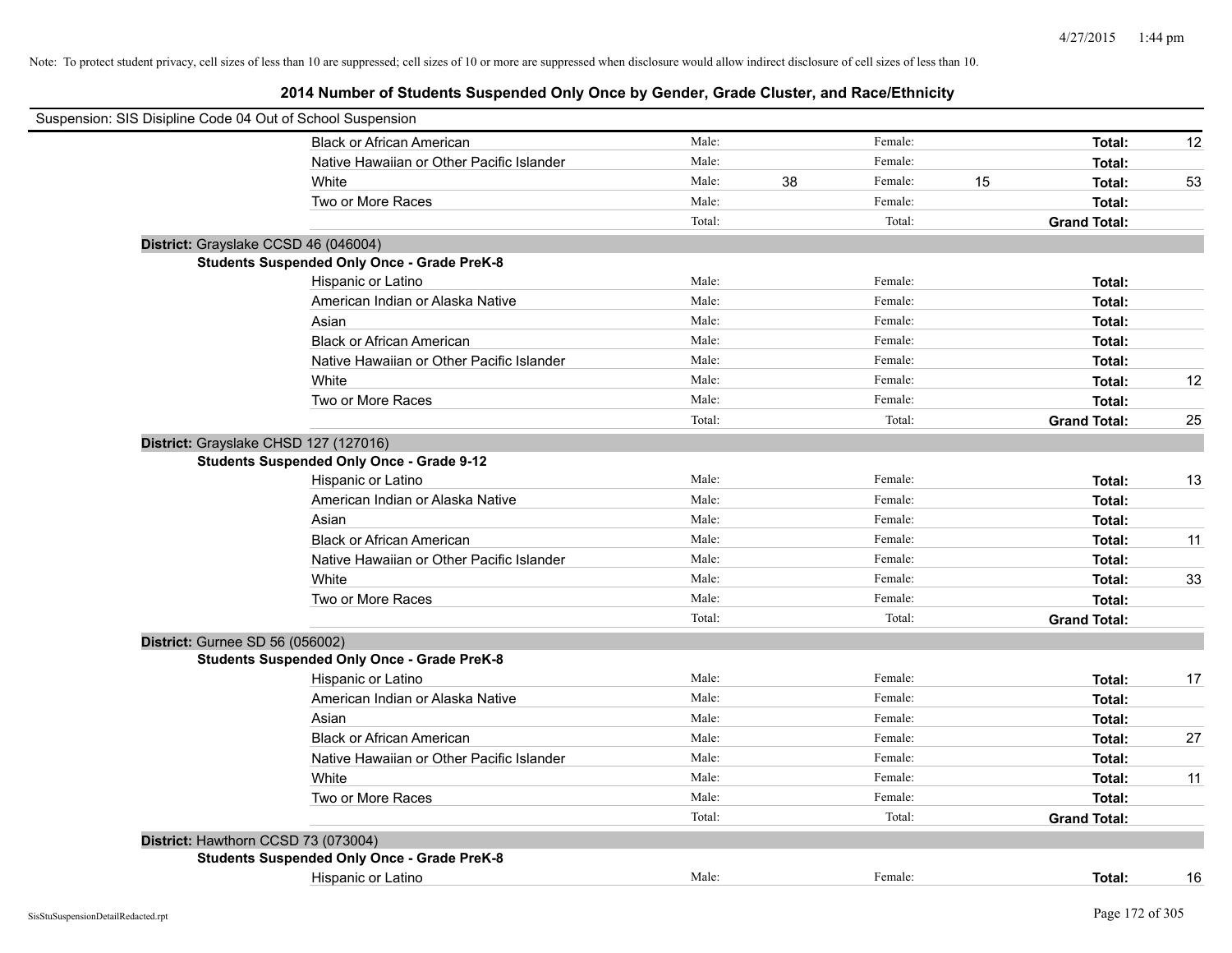| Suspension: SIS Disipline Code 04 Out of School Suspension |                                                    |        |    |         |    |                     |    |
|------------------------------------------------------------|----------------------------------------------------|--------|----|---------|----|---------------------|----|
|                                                            | <b>Black or African American</b>                   | Male:  |    | Female: |    | Total:              | 12 |
|                                                            | Native Hawaiian or Other Pacific Islander          | Male:  |    | Female: |    | Total:              |    |
|                                                            | White                                              | Male:  | 38 | Female: | 15 | Total:              | 53 |
|                                                            | Two or More Races                                  | Male:  |    | Female: |    | Total:              |    |
|                                                            |                                                    | Total: |    | Total:  |    | <b>Grand Total:</b> |    |
| District: Grayslake CCSD 46 (046004)                       |                                                    |        |    |         |    |                     |    |
|                                                            | <b>Students Suspended Only Once - Grade PreK-8</b> |        |    |         |    |                     |    |
|                                                            | Hispanic or Latino                                 | Male:  |    | Female: |    | Total:              |    |
|                                                            | American Indian or Alaska Native                   | Male:  |    | Female: |    | Total:              |    |
|                                                            | Asian                                              | Male:  |    | Female: |    | Total:              |    |
|                                                            | <b>Black or African American</b>                   | Male:  |    | Female: |    | Total:              |    |
|                                                            | Native Hawaiian or Other Pacific Islander          | Male:  |    | Female: |    | Total:              |    |
|                                                            | White                                              | Male:  |    | Female: |    | Total:              | 12 |
|                                                            | Two or More Races                                  | Male:  |    | Female: |    | Total:              |    |
|                                                            |                                                    | Total: |    | Total:  |    | <b>Grand Total:</b> | 25 |
| District: Grayslake CHSD 127 (127016)                      |                                                    |        |    |         |    |                     |    |
|                                                            | <b>Students Suspended Only Once - Grade 9-12</b>   |        |    |         |    |                     |    |
|                                                            | Hispanic or Latino                                 | Male:  |    | Female: |    | Total:              | 13 |
|                                                            | American Indian or Alaska Native                   | Male:  |    | Female: |    | Total:              |    |
|                                                            | Asian                                              | Male:  |    | Female: |    | Total:              |    |
|                                                            | <b>Black or African American</b>                   | Male:  |    | Female: |    | Total:              | 11 |
|                                                            | Native Hawaiian or Other Pacific Islander          | Male:  |    | Female: |    | Total:              |    |
|                                                            | White                                              | Male:  |    | Female: |    | Total:              | 33 |
|                                                            | Two or More Races                                  | Male:  |    | Female: |    | Total:              |    |
|                                                            |                                                    | Total: |    | Total:  |    | <b>Grand Total:</b> |    |
| District: Gurnee SD 56 (056002)                            |                                                    |        |    |         |    |                     |    |
|                                                            | <b>Students Suspended Only Once - Grade PreK-8</b> |        |    |         |    |                     |    |
|                                                            | Hispanic or Latino                                 | Male:  |    | Female: |    | Total:              | 17 |
|                                                            | American Indian or Alaska Native                   | Male:  |    | Female: |    | Total:              |    |
|                                                            | Asian                                              | Male:  |    | Female: |    | Total:              |    |
|                                                            | <b>Black or African American</b>                   | Male:  |    | Female: |    | Total:              | 27 |
|                                                            | Native Hawaiian or Other Pacific Islander          | Male:  |    | Female: |    | Total:              |    |
|                                                            | White                                              | Male:  |    | Female: |    | Total:              | 11 |
|                                                            | Two or More Races                                  | Male:  |    | Female: |    | Total:              |    |
|                                                            |                                                    | Total: |    | Total:  |    | <b>Grand Total:</b> |    |
| District: Hawthorn CCSD 73 (073004)                        |                                                    |        |    |         |    |                     |    |
|                                                            | <b>Students Suspended Only Once - Grade PreK-8</b> |        |    |         |    |                     |    |
|                                                            | Hispanic or Latino                                 | Male:  |    | Female: |    | Total:              | 16 |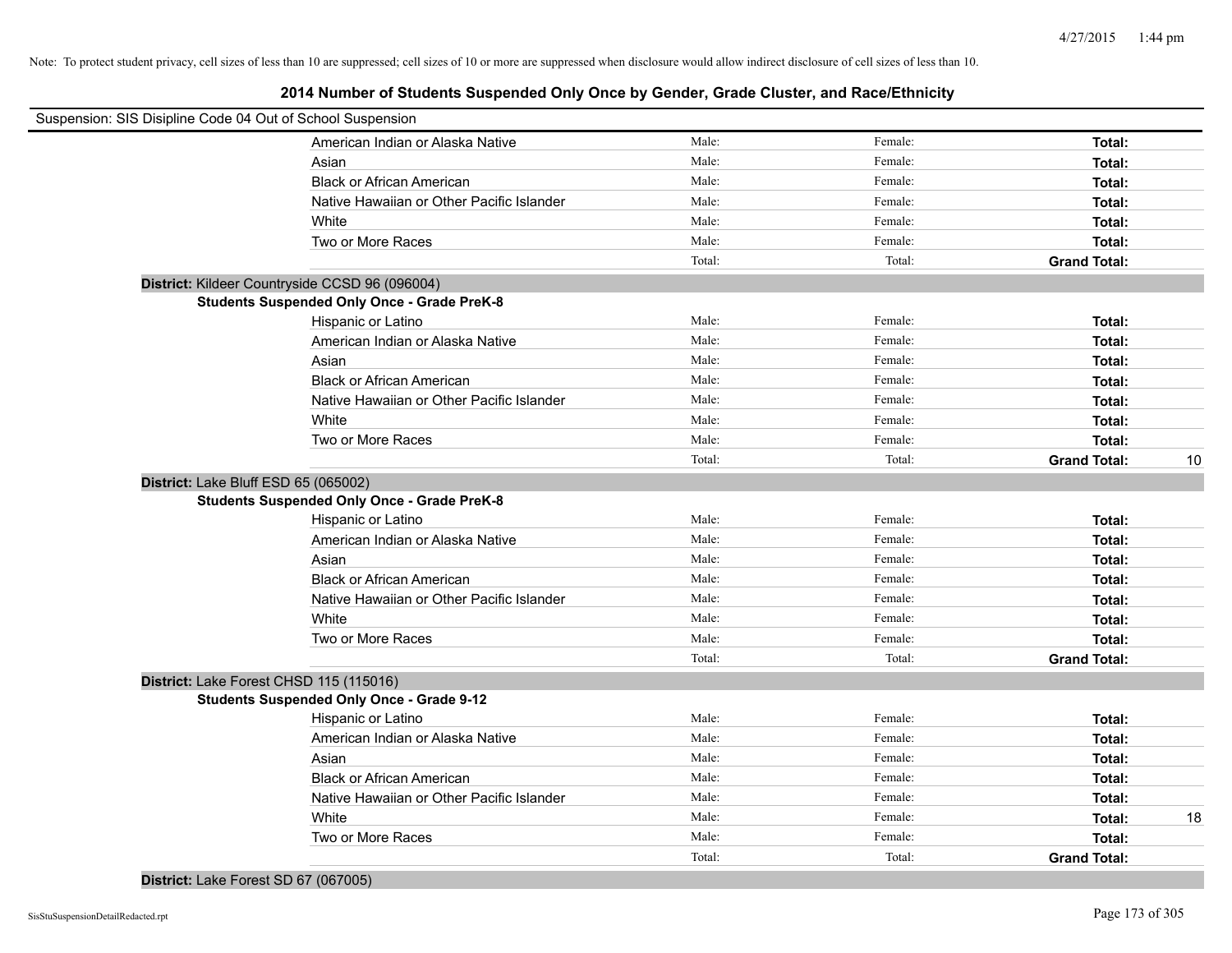| Suspension: SIS Disipline Code 04 Out of School Suspension |        |         |                     |    |
|------------------------------------------------------------|--------|---------|---------------------|----|
| American Indian or Alaska Native                           | Male:  | Female: | Total:              |    |
| Asian                                                      | Male:  | Female: | Total:              |    |
| <b>Black or African American</b>                           | Male:  | Female: | Total:              |    |
| Native Hawaiian or Other Pacific Islander                  | Male:  | Female: | Total:              |    |
| White                                                      | Male:  | Female: | Total:              |    |
| Two or More Races                                          | Male:  | Female: | Total:              |    |
|                                                            | Total: | Total:  | <b>Grand Total:</b> |    |
| District: Kildeer Countryside CCSD 96 (096004)             |        |         |                     |    |
| <b>Students Suspended Only Once - Grade PreK-8</b>         |        |         |                     |    |
| Hispanic or Latino                                         | Male:  | Female: | Total:              |    |
| American Indian or Alaska Native                           | Male:  | Female: | Total:              |    |
| Asian                                                      | Male:  | Female: | Total:              |    |
| <b>Black or African American</b>                           | Male:  | Female: | Total:              |    |
| Native Hawaiian or Other Pacific Islander                  | Male:  | Female: | Total:              |    |
| White                                                      | Male:  | Female: | Total:              |    |
| Two or More Races                                          | Male:  | Female: | Total:              |    |
|                                                            | Total: | Total:  | <b>Grand Total:</b> | 10 |
| District: Lake Bluff ESD 65 (065002)                       |        |         |                     |    |
| <b>Students Suspended Only Once - Grade PreK-8</b>         |        |         |                     |    |
| Hispanic or Latino                                         | Male:  | Female: | Total:              |    |
| American Indian or Alaska Native                           | Male:  | Female: | Total:              |    |
| Asian                                                      | Male:  | Female: | Total:              |    |
| <b>Black or African American</b>                           | Male:  | Female: | Total:              |    |
| Native Hawaiian or Other Pacific Islander                  | Male:  | Female: | Total:              |    |
| White                                                      | Male:  | Female: | Total:              |    |
| Two or More Races                                          | Male:  | Female: | Total:              |    |
|                                                            | Total: | Total:  | <b>Grand Total:</b> |    |
| District: Lake Forest CHSD 115 (115016)                    |        |         |                     |    |
| <b>Students Suspended Only Once - Grade 9-12</b>           |        |         |                     |    |
| Hispanic or Latino                                         | Male:  | Female: | Total:              |    |
| American Indian or Alaska Native                           | Male:  | Female: | Total:              |    |
| Asian                                                      | Male:  | Female: | Total:              |    |
| <b>Black or African American</b>                           | Male:  | Female: | Total:              |    |
| Native Hawaiian or Other Pacific Islander                  | Male:  | Female: | Total:              |    |
| White                                                      | Male:  | Female: | Total:              | 18 |
| Two or More Races                                          | Male:  | Female: | Total:              |    |
|                                                            | Total: | Total:  | <b>Grand Total:</b> |    |
|                                                            |        |         |                     |    |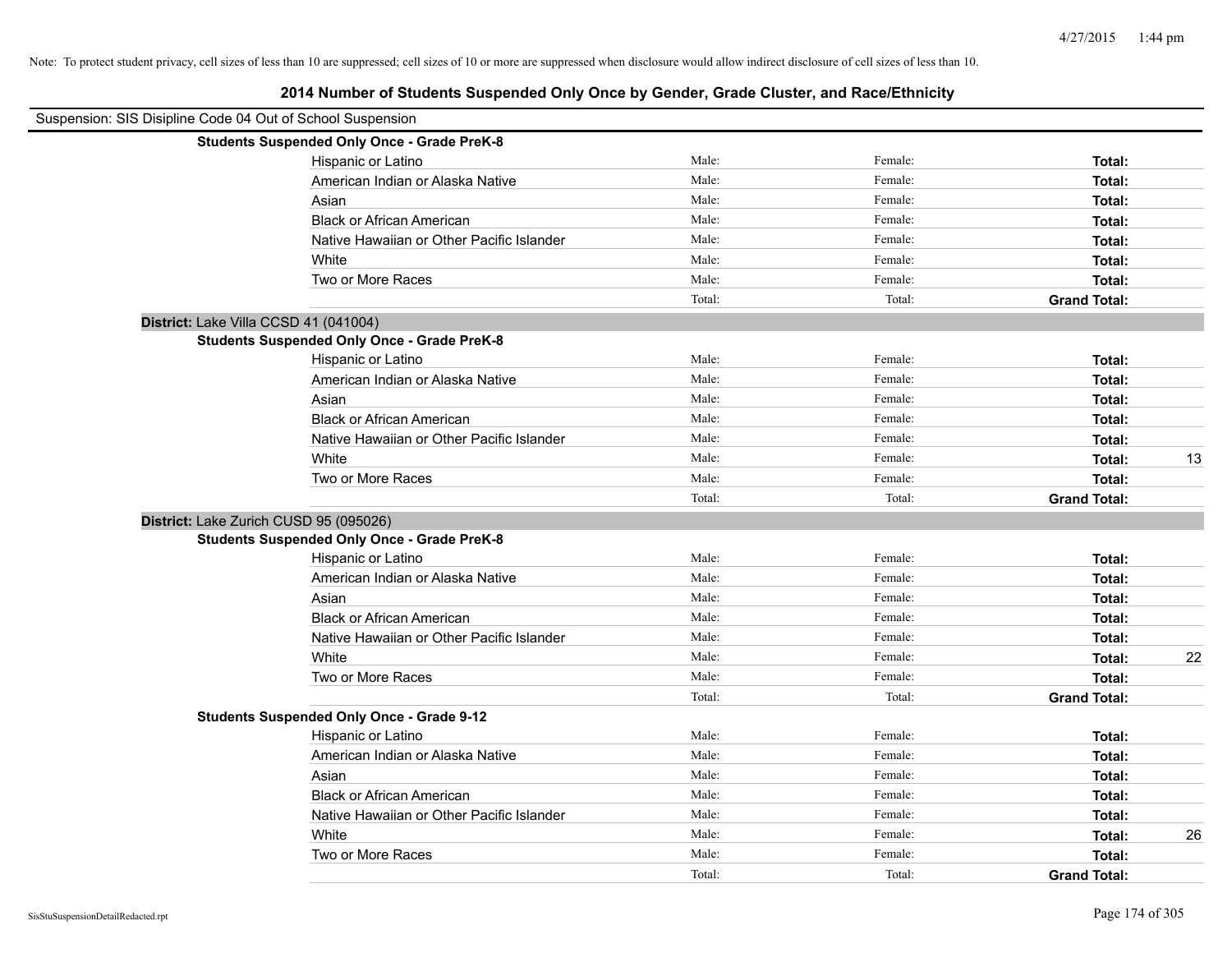| Suspension: SIS Disipline Code 04 Out of School Suspension |                                                    |        |         |                     |    |
|------------------------------------------------------------|----------------------------------------------------|--------|---------|---------------------|----|
|                                                            | <b>Students Suspended Only Once - Grade PreK-8</b> |        |         |                     |    |
|                                                            | Hispanic or Latino                                 | Male:  | Female: | Total:              |    |
|                                                            | American Indian or Alaska Native                   | Male:  | Female: | Total:              |    |
|                                                            | Asian                                              | Male:  | Female: | Total:              |    |
|                                                            | <b>Black or African American</b>                   | Male:  | Female: | Total:              |    |
|                                                            | Native Hawaiian or Other Pacific Islander          | Male:  | Female: | Total:              |    |
|                                                            | White                                              | Male:  | Female: | Total:              |    |
|                                                            | Two or More Races                                  | Male:  | Female: | Total:              |    |
|                                                            |                                                    | Total: | Total:  | <b>Grand Total:</b> |    |
|                                                            | District: Lake Villa CCSD 41 (041004)              |        |         |                     |    |
|                                                            | <b>Students Suspended Only Once - Grade PreK-8</b> |        |         |                     |    |
|                                                            | Hispanic or Latino                                 | Male:  | Female: | Total:              |    |
|                                                            | American Indian or Alaska Native                   | Male:  | Female: | Total:              |    |
|                                                            | Asian                                              | Male:  | Female: | Total:              |    |
|                                                            | <b>Black or African American</b>                   | Male:  | Female: | Total:              |    |
|                                                            | Native Hawaiian or Other Pacific Islander          | Male:  | Female: | Total:              |    |
|                                                            | White                                              | Male:  | Female: | Total:              | 13 |
|                                                            | Two or More Races                                  | Male:  | Female: | Total:              |    |
|                                                            |                                                    | Total: | Total:  | <b>Grand Total:</b> |    |
|                                                            | District: Lake Zurich CUSD 95 (095026)             |        |         |                     |    |
|                                                            | <b>Students Suspended Only Once - Grade PreK-8</b> |        |         |                     |    |
|                                                            | Hispanic or Latino                                 | Male:  | Female: | Total:              |    |
|                                                            | American Indian or Alaska Native                   | Male:  | Female: | Total:              |    |
|                                                            | Asian                                              | Male:  | Female: | Total:              |    |
|                                                            | <b>Black or African American</b>                   | Male:  | Female: | Total:              |    |
|                                                            | Native Hawaiian or Other Pacific Islander          | Male:  | Female: | Total:              |    |
|                                                            | White                                              | Male:  | Female: | Total:              | 22 |
|                                                            | Two or More Races                                  | Male:  | Female: | Total:              |    |
|                                                            |                                                    | Total: | Total:  | <b>Grand Total:</b> |    |
|                                                            | <b>Students Suspended Only Once - Grade 9-12</b>   |        |         |                     |    |
|                                                            | Hispanic or Latino                                 | Male:  | Female: | Total:              |    |
|                                                            | American Indian or Alaska Native                   | Male:  | Female: | Total:              |    |
|                                                            | Asian                                              | Male:  | Female: | Total:              |    |
|                                                            | <b>Black or African American</b>                   | Male:  | Female: | Total:              |    |
|                                                            | Native Hawaiian or Other Pacific Islander          | Male:  | Female: | Total:              |    |
|                                                            | White                                              | Male:  | Female: | Total:              | 26 |
|                                                            | Two or More Races                                  | Male:  | Female: | Total:              |    |
|                                                            |                                                    | Total: | Total:  | <b>Grand Total:</b> |    |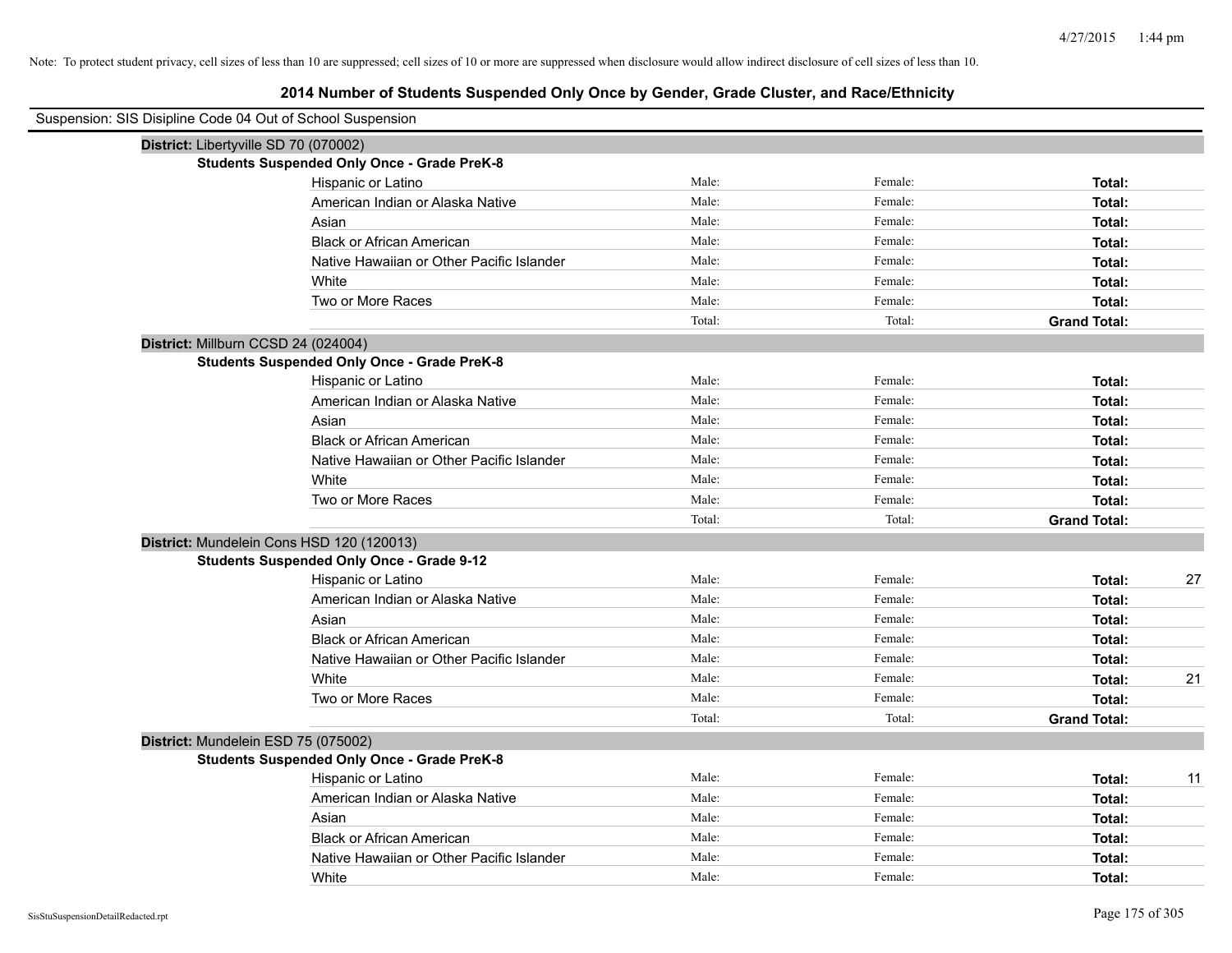| Suspension: SIS Disipline Code 04 Out of School Suspension |                                                    |        |         |                     |
|------------------------------------------------------------|----------------------------------------------------|--------|---------|---------------------|
| District: Libertyville SD 70 (070002)                      |                                                    |        |         |                     |
|                                                            | <b>Students Suspended Only Once - Grade PreK-8</b> |        |         |                     |
|                                                            | Hispanic or Latino                                 | Male:  | Female: | Total:              |
|                                                            | American Indian or Alaska Native                   | Male:  | Female: | Total:              |
|                                                            | Asian                                              | Male:  | Female: | Total:              |
|                                                            | <b>Black or African American</b>                   | Male:  | Female: | Total:              |
|                                                            | Native Hawaiian or Other Pacific Islander          | Male:  | Female: | Total:              |
|                                                            | White                                              | Male:  | Female: | Total:              |
|                                                            | Two or More Races                                  | Male:  | Female: | Total:              |
|                                                            |                                                    | Total: | Total:  | <b>Grand Total:</b> |
| District: Millburn CCSD 24 (024004)                        |                                                    |        |         |                     |
|                                                            | <b>Students Suspended Only Once - Grade PreK-8</b> |        |         |                     |
|                                                            | Hispanic or Latino                                 | Male:  | Female: | Total:              |
|                                                            | American Indian or Alaska Native                   | Male:  | Female: | Total:              |
|                                                            | Asian                                              | Male:  | Female: | Total:              |
|                                                            | <b>Black or African American</b>                   | Male:  | Female: | Total:              |
|                                                            | Native Hawaiian or Other Pacific Islander          | Male:  | Female: | Total:              |
|                                                            | White                                              | Male:  | Female: | Total:              |
|                                                            | Two or More Races                                  | Male:  | Female: | Total:              |
|                                                            |                                                    | Total: | Total:  | <b>Grand Total:</b> |
| District: Mundelein Cons HSD 120 (120013)                  |                                                    |        |         |                     |
|                                                            | <b>Students Suspended Only Once - Grade 9-12</b>   |        |         |                     |
|                                                            | Hispanic or Latino                                 | Male:  | Female: | 27<br>Total:        |
|                                                            | American Indian or Alaska Native                   | Male:  | Female: | Total:              |
|                                                            | Asian                                              | Male:  | Female: | Total:              |
|                                                            | <b>Black or African American</b>                   | Male:  | Female: | Total:              |
|                                                            | Native Hawaiian or Other Pacific Islander          | Male:  | Female: | Total:              |
|                                                            | White                                              | Male:  | Female: | 21<br>Total:        |
|                                                            | Two or More Races                                  | Male:  | Female: | Total:              |
|                                                            |                                                    | Total: | Total:  | <b>Grand Total:</b> |
| District: Mundelein ESD 75 (075002)                        |                                                    |        |         |                     |
|                                                            | <b>Students Suspended Only Once - Grade PreK-8</b> |        |         |                     |
|                                                            | Hispanic or Latino                                 | Male:  | Female: | Total:<br>11        |
|                                                            | American Indian or Alaska Native                   | Male:  | Female: | Total:              |
|                                                            | Asian                                              | Male:  | Female: | Total:              |
|                                                            | <b>Black or African American</b>                   | Male:  | Female: | Total:              |
|                                                            | Native Hawaiian or Other Pacific Islander          | Male:  | Female: | Total:              |
|                                                            | White                                              | Male:  | Female: | Total:              |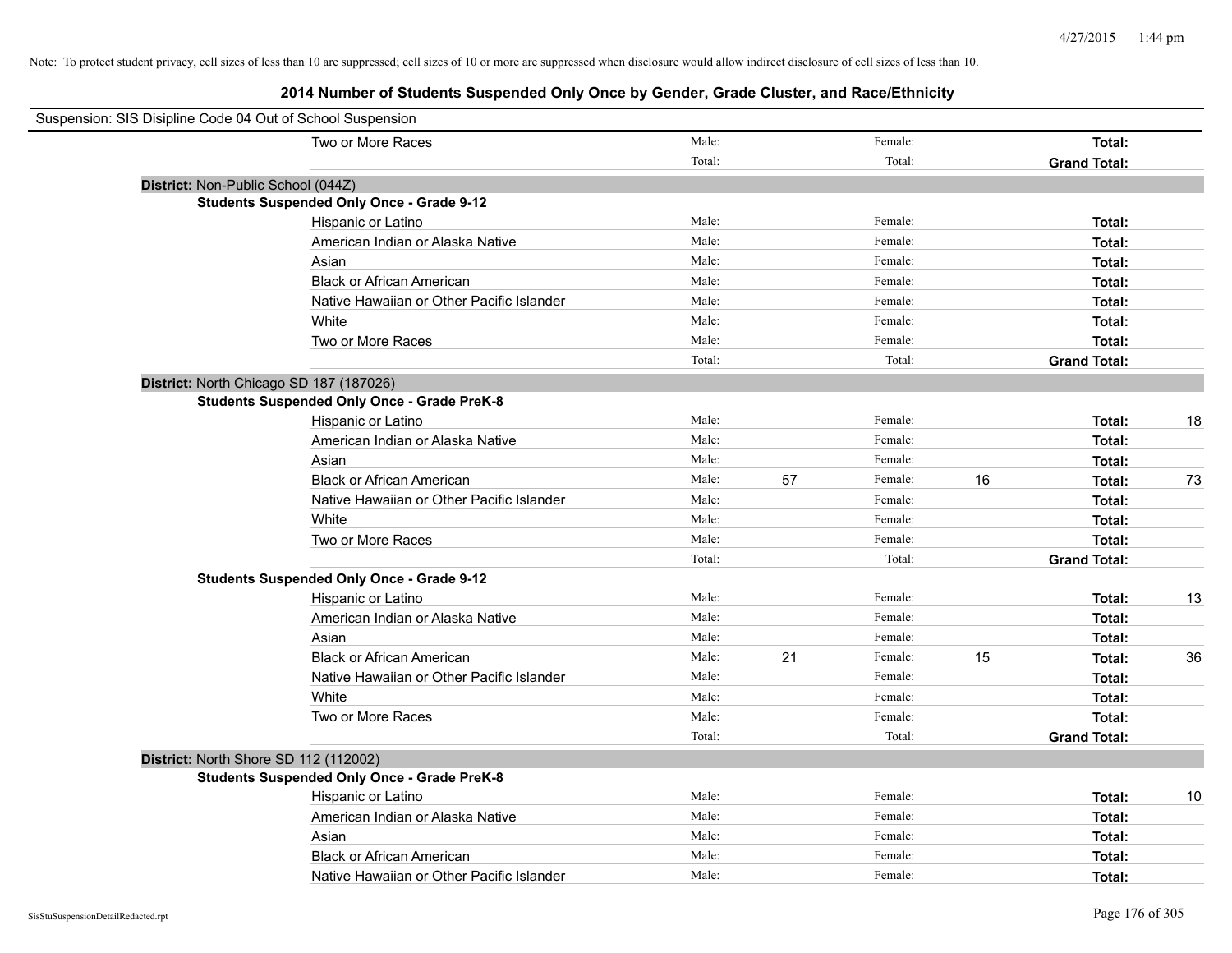| Suspension: SIS Disipline Code 04 Out of School Suspension |        |    |         |    |                     |    |
|------------------------------------------------------------|--------|----|---------|----|---------------------|----|
| Two or More Races                                          | Male:  |    | Female: |    | Total:              |    |
|                                                            | Total: |    | Total:  |    | <b>Grand Total:</b> |    |
| District: Non-Public School (044Z)                         |        |    |         |    |                     |    |
| <b>Students Suspended Only Once - Grade 9-12</b>           |        |    |         |    |                     |    |
| Hispanic or Latino                                         | Male:  |    | Female: |    | Total:              |    |
| American Indian or Alaska Native                           | Male:  |    | Female: |    | Total:              |    |
| Asian                                                      | Male:  |    | Female: |    | Total:              |    |
| <b>Black or African American</b>                           | Male:  |    | Female: |    | Total:              |    |
| Native Hawaiian or Other Pacific Islander                  | Male:  |    | Female: |    | Total:              |    |
| White                                                      | Male:  |    | Female: |    | Total:              |    |
| Two or More Races                                          | Male:  |    | Female: |    | Total:              |    |
|                                                            | Total: |    | Total:  |    | <b>Grand Total:</b> |    |
| District: North Chicago SD 187 (187026)                    |        |    |         |    |                     |    |
| <b>Students Suspended Only Once - Grade PreK-8</b>         |        |    |         |    |                     |    |
| Hispanic or Latino                                         | Male:  |    | Female: |    | Total:              | 18 |
| American Indian or Alaska Native                           | Male:  |    | Female: |    | Total:              |    |
| Asian                                                      | Male:  |    | Female: |    | Total:              |    |
| <b>Black or African American</b>                           | Male:  | 57 | Female: | 16 | Total:              | 73 |
| Native Hawaiian or Other Pacific Islander                  | Male:  |    | Female: |    | Total:              |    |
| White                                                      | Male:  |    | Female: |    | Total:              |    |
| Two or More Races                                          | Male:  |    | Female: |    | Total:              |    |
|                                                            | Total: |    | Total:  |    | <b>Grand Total:</b> |    |
| <b>Students Suspended Only Once - Grade 9-12</b>           |        |    |         |    |                     |    |
| Hispanic or Latino                                         | Male:  |    | Female: |    | Total:              | 13 |
| American Indian or Alaska Native                           | Male:  |    | Female: |    | Total:              |    |
| Asian                                                      | Male:  |    | Female: |    | Total:              |    |
| <b>Black or African American</b>                           | Male:  | 21 | Female: | 15 | Total:              | 36 |
| Native Hawaiian or Other Pacific Islander                  | Male:  |    | Female: |    | Total:              |    |
| White                                                      | Male:  |    | Female: |    | Total:              |    |
| Two or More Races                                          | Male:  |    | Female: |    | Total:              |    |
|                                                            | Total: |    | Total:  |    | <b>Grand Total:</b> |    |
| District: North Shore SD 112 (112002)                      |        |    |         |    |                     |    |
| <b>Students Suspended Only Once - Grade PreK-8</b>         |        |    |         |    |                     |    |
| Hispanic or Latino                                         | Male:  |    | Female: |    | Total:              | 10 |
| American Indian or Alaska Native                           | Male:  |    | Female: |    | Total:              |    |
| Asian                                                      | Male:  |    | Female: |    | Total:              |    |
| <b>Black or African American</b>                           | Male:  |    | Female: |    | Total:              |    |
| Native Hawaiian or Other Pacific Islander                  | Male:  |    | Female: |    | Total:              |    |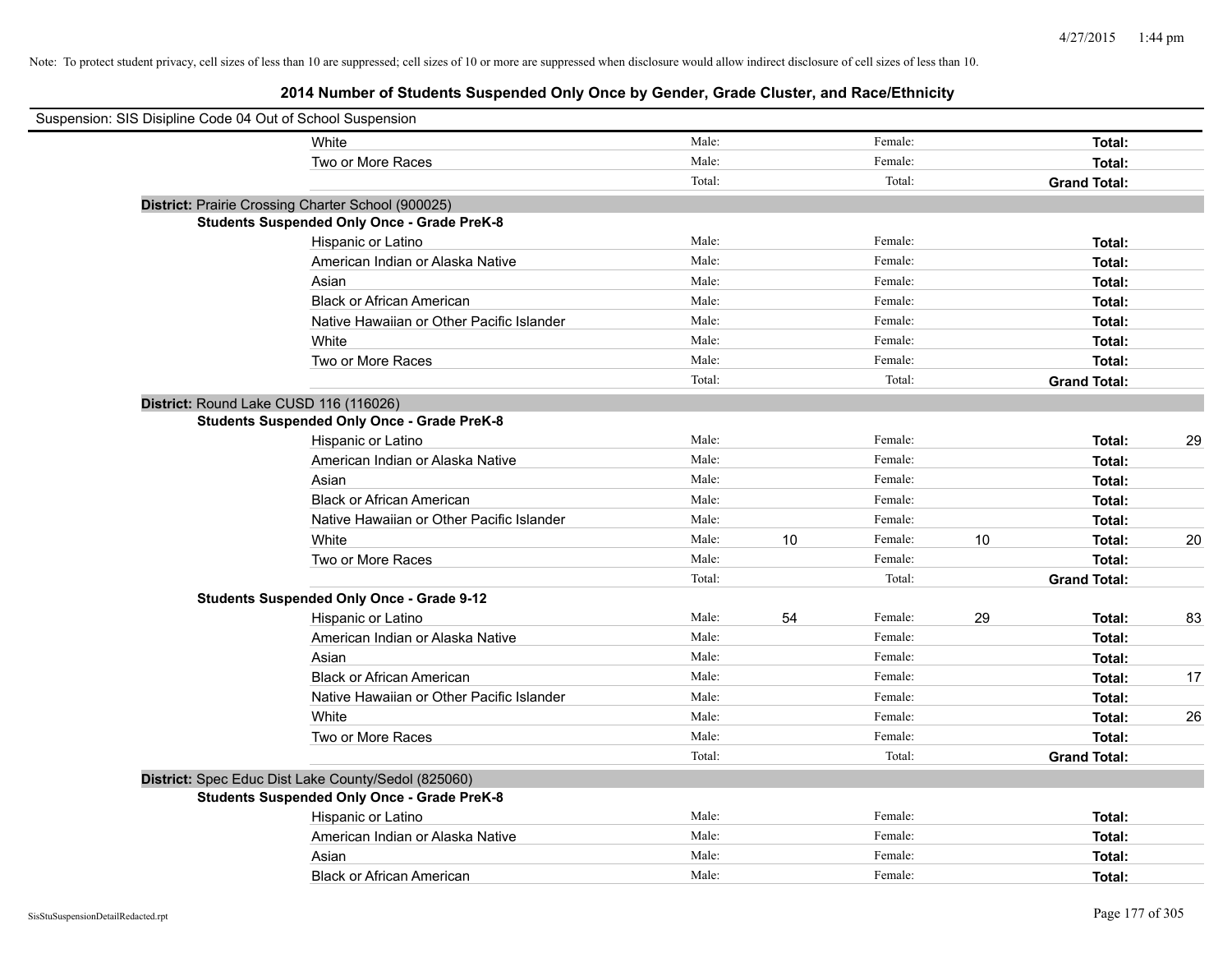| Suspension: SIS Disipline Code 04 Out of School Suspension |                                                     |        |    |         |    |                     |    |
|------------------------------------------------------------|-----------------------------------------------------|--------|----|---------|----|---------------------|----|
|                                                            | White                                               | Male:  |    | Female: |    | Total:              |    |
|                                                            | Two or More Races                                   | Male:  |    | Female: |    | Total:              |    |
|                                                            |                                                     | Total: |    | Total:  |    | <b>Grand Total:</b> |    |
|                                                            | District: Prairie Crossing Charter School (900025)  |        |    |         |    |                     |    |
|                                                            | <b>Students Suspended Only Once - Grade PreK-8</b>  |        |    |         |    |                     |    |
|                                                            | Hispanic or Latino                                  | Male:  |    | Female: |    | Total:              |    |
|                                                            | American Indian or Alaska Native                    | Male:  |    | Female: |    | Total:              |    |
|                                                            | Asian                                               | Male:  |    | Female: |    | Total:              |    |
|                                                            | <b>Black or African American</b>                    | Male:  |    | Female: |    | Total:              |    |
|                                                            | Native Hawaiian or Other Pacific Islander           | Male:  |    | Female: |    | Total:              |    |
|                                                            | White                                               | Male:  |    | Female: |    | Total:              |    |
|                                                            | Two or More Races                                   | Male:  |    | Female: |    | Total:              |    |
|                                                            |                                                     | Total: |    | Total:  |    | <b>Grand Total:</b> |    |
|                                                            | District: Round Lake CUSD 116 (116026)              |        |    |         |    |                     |    |
|                                                            | <b>Students Suspended Only Once - Grade PreK-8</b>  |        |    |         |    |                     |    |
|                                                            | Hispanic or Latino                                  | Male:  |    | Female: |    | Total:              | 29 |
|                                                            | American Indian or Alaska Native                    | Male:  |    | Female: |    | Total:              |    |
|                                                            | Asian                                               | Male:  |    | Female: |    | Total:              |    |
|                                                            | <b>Black or African American</b>                    | Male:  |    | Female: |    | Total:              |    |
|                                                            | Native Hawaiian or Other Pacific Islander           | Male:  |    | Female: |    | Total:              |    |
|                                                            | White                                               | Male:  | 10 | Female: | 10 | Total:              | 20 |
|                                                            | Two or More Races                                   | Male:  |    | Female: |    | Total:              |    |
|                                                            |                                                     | Total: |    | Total:  |    | <b>Grand Total:</b> |    |
|                                                            | <b>Students Suspended Only Once - Grade 9-12</b>    |        |    |         |    |                     |    |
|                                                            | Hispanic or Latino                                  | Male:  | 54 | Female: | 29 | Total:              | 83 |
|                                                            | American Indian or Alaska Native                    | Male:  |    | Female: |    | Total:              |    |
|                                                            | Asian                                               | Male:  |    | Female: |    | Total:              |    |
|                                                            | <b>Black or African American</b>                    | Male:  |    | Female: |    | Total:              | 17 |
|                                                            | Native Hawaiian or Other Pacific Islander           | Male:  |    | Female: |    | Total:              |    |
|                                                            | White                                               | Male:  |    | Female: |    | Total:              | 26 |
|                                                            | Two or More Races                                   | Male:  |    | Female: |    | Total:              |    |
|                                                            |                                                     | Total: |    | Total:  |    | <b>Grand Total:</b> |    |
|                                                            | District: Spec Educ Dist Lake County/Sedol (825060) |        |    |         |    |                     |    |
|                                                            | <b>Students Suspended Only Once - Grade PreK-8</b>  |        |    |         |    |                     |    |
|                                                            | Hispanic or Latino                                  | Male:  |    | Female: |    | Total:              |    |
|                                                            | American Indian or Alaska Native                    | Male:  |    | Female: |    | Total:              |    |
|                                                            | Asian                                               | Male:  |    | Female: |    | Total:              |    |
|                                                            | <b>Black or African American</b>                    | Male:  |    | Female: |    | Total:              |    |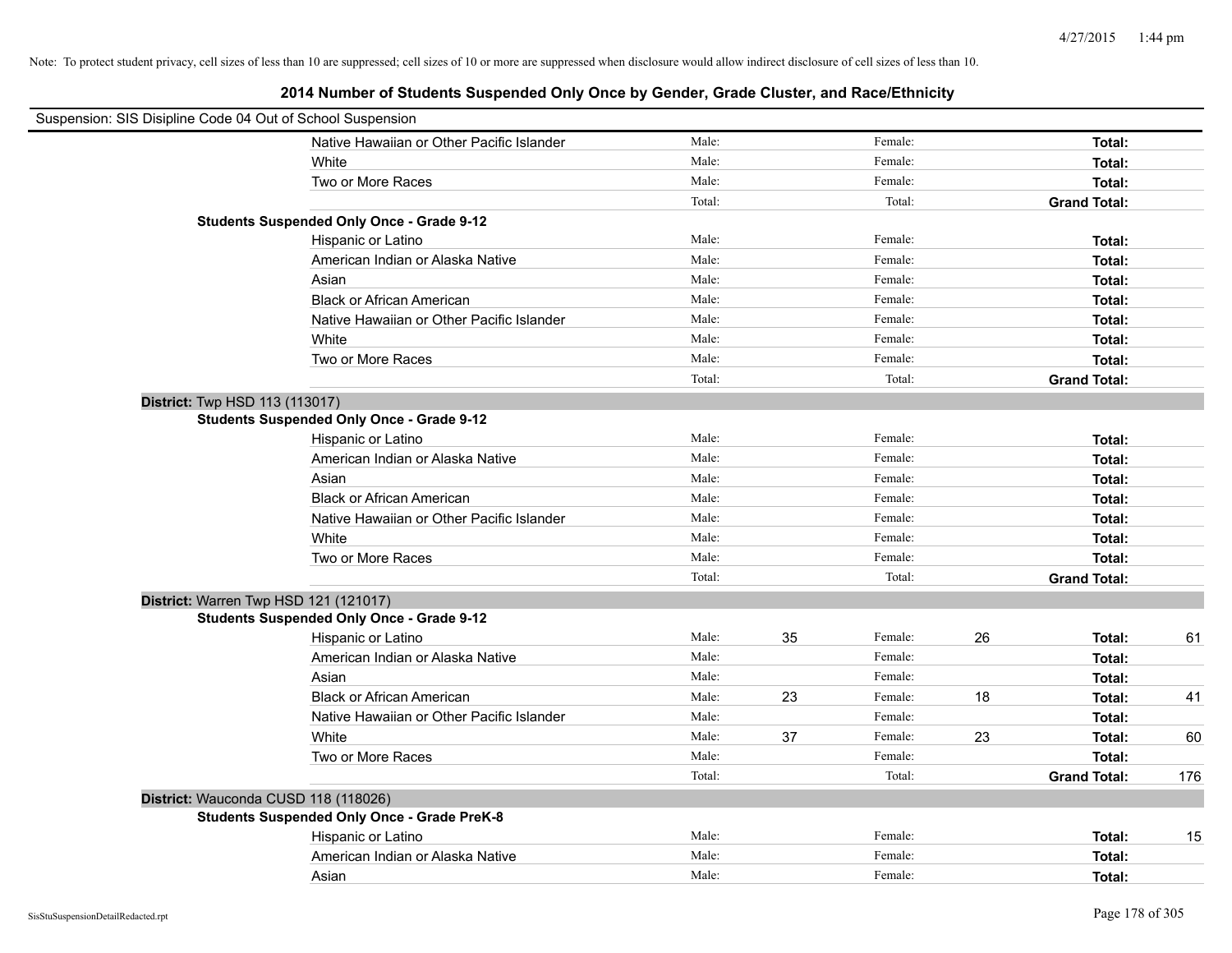| Suspension: SIS Disipline Code 04 Out of School Suspension |                                                    |        |    |         |    |                     |     |
|------------------------------------------------------------|----------------------------------------------------|--------|----|---------|----|---------------------|-----|
|                                                            | Native Hawaiian or Other Pacific Islander          | Male:  |    | Female: |    | Total:              |     |
|                                                            | White                                              | Male:  |    | Female: |    | Total:              |     |
|                                                            | Two or More Races                                  | Male:  |    | Female: |    | Total:              |     |
|                                                            |                                                    | Total: |    | Total:  |    | <b>Grand Total:</b> |     |
|                                                            | <b>Students Suspended Only Once - Grade 9-12</b>   |        |    |         |    |                     |     |
|                                                            | Hispanic or Latino                                 | Male:  |    | Female: |    | Total:              |     |
|                                                            | American Indian or Alaska Native                   | Male:  |    | Female: |    | Total:              |     |
|                                                            | Asian                                              | Male:  |    | Female: |    | Total:              |     |
|                                                            | <b>Black or African American</b>                   | Male:  |    | Female: |    | Total:              |     |
|                                                            | Native Hawaiian or Other Pacific Islander          | Male:  |    | Female: |    | Total:              |     |
|                                                            | White                                              | Male:  |    | Female: |    | Total:              |     |
|                                                            | Two or More Races                                  | Male:  |    | Female: |    | Total:              |     |
|                                                            |                                                    | Total: |    | Total:  |    | <b>Grand Total:</b> |     |
| District: Twp HSD 113 (113017)                             |                                                    |        |    |         |    |                     |     |
|                                                            | <b>Students Suspended Only Once - Grade 9-12</b>   |        |    |         |    |                     |     |
|                                                            | Hispanic or Latino                                 | Male:  |    | Female: |    | Total:              |     |
|                                                            | American Indian or Alaska Native                   | Male:  |    | Female: |    | Total:              |     |
|                                                            | Asian                                              | Male:  |    | Female: |    | Total:              |     |
|                                                            | <b>Black or African American</b>                   | Male:  |    | Female: |    | Total:              |     |
|                                                            | Native Hawaiian or Other Pacific Islander          | Male:  |    | Female: |    | Total:              |     |
|                                                            | White                                              | Male:  |    | Female: |    | Total:              |     |
|                                                            | Two or More Races                                  | Male:  |    | Female: |    | Total:              |     |
|                                                            |                                                    | Total: |    | Total:  |    | <b>Grand Total:</b> |     |
| District: Warren Twp HSD 121 (121017)                      |                                                    |        |    |         |    |                     |     |
|                                                            | <b>Students Suspended Only Once - Grade 9-12</b>   |        |    |         |    |                     |     |
|                                                            | Hispanic or Latino                                 | Male:  | 35 | Female: | 26 | Total:              | 61  |
|                                                            | American Indian or Alaska Native                   | Male:  |    | Female: |    | Total:              |     |
|                                                            | Asian                                              | Male:  |    | Female: |    | Total:              |     |
|                                                            | <b>Black or African American</b>                   | Male:  | 23 | Female: | 18 | Total:              | 41  |
|                                                            | Native Hawaiian or Other Pacific Islander          | Male:  |    | Female: |    | Total:              |     |
|                                                            | White                                              | Male:  | 37 | Female: | 23 | Total:              | 60  |
|                                                            | Two or More Races                                  | Male:  |    | Female: |    | Total:              |     |
|                                                            |                                                    | Total: |    | Total:  |    | <b>Grand Total:</b> | 176 |
| District: Wauconda CUSD 118 (118026)                       |                                                    |        |    |         |    |                     |     |
|                                                            | <b>Students Suspended Only Once - Grade PreK-8</b> |        |    |         |    |                     |     |
|                                                            | Hispanic or Latino                                 | Male:  |    | Female: |    | Total:              | 15  |
|                                                            | American Indian or Alaska Native                   | Male:  |    | Female: |    | Total:              |     |
|                                                            | Asian                                              | Male:  |    | Female: |    | Total:              |     |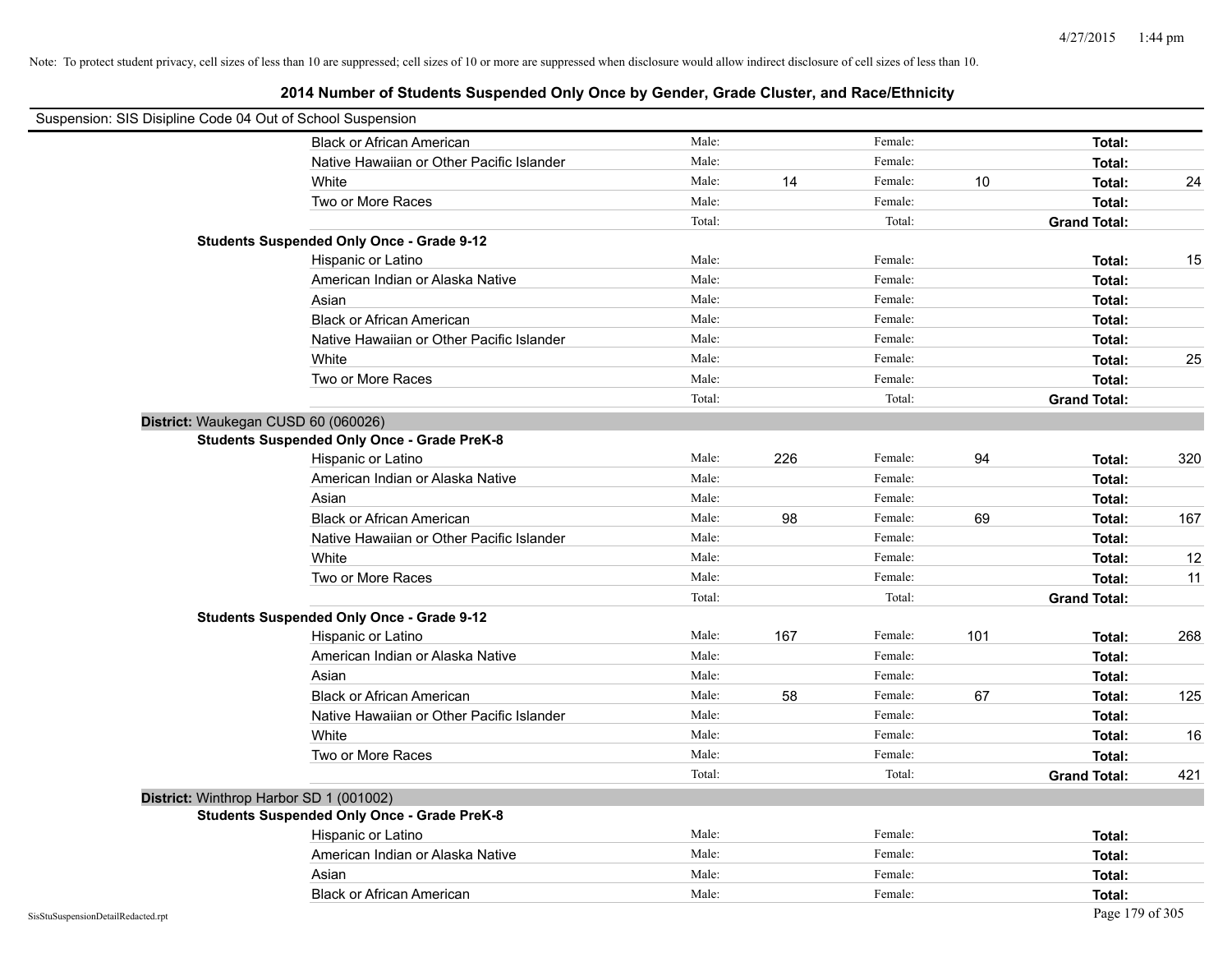| Suspension: SIS Disipline Code 04 Out of School Suspension |                                                    |        |     |         |     |                     |                   |
|------------------------------------------------------------|----------------------------------------------------|--------|-----|---------|-----|---------------------|-------------------|
|                                                            | <b>Black or African American</b>                   | Male:  |     | Female: |     | Total:              |                   |
|                                                            | Native Hawaiian or Other Pacific Islander          | Male:  |     | Female: |     | Total:              |                   |
|                                                            | White                                              | Male:  | 14  | Female: | 10  | Total:              | 24                |
|                                                            | Two or More Races                                  | Male:  |     | Female: |     | Total:              |                   |
|                                                            |                                                    | Total: |     | Total:  |     | <b>Grand Total:</b> |                   |
|                                                            | <b>Students Suspended Only Once - Grade 9-12</b>   |        |     |         |     |                     |                   |
|                                                            | Hispanic or Latino                                 | Male:  |     | Female: |     | Total:              | 15                |
|                                                            | American Indian or Alaska Native                   | Male:  |     | Female: |     | Total:              |                   |
|                                                            | Asian                                              | Male:  |     | Female: |     | Total:              |                   |
|                                                            | <b>Black or African American</b>                   | Male:  |     | Female: |     | Total:              |                   |
|                                                            | Native Hawaiian or Other Pacific Islander          | Male:  |     | Female: |     | Total:              |                   |
|                                                            | White                                              | Male:  |     | Female: |     | Total:              | 25                |
|                                                            | Two or More Races                                  | Male:  |     | Female: |     | Total:              |                   |
|                                                            |                                                    | Total: |     | Total:  |     | <b>Grand Total:</b> |                   |
| District: Waukegan CUSD 60 (060026)                        |                                                    |        |     |         |     |                     |                   |
|                                                            | <b>Students Suspended Only Once - Grade PreK-8</b> |        |     |         |     |                     |                   |
|                                                            | Hispanic or Latino                                 | Male:  | 226 | Female: | 94  | Total:              | 320               |
|                                                            | American Indian or Alaska Native                   | Male:  |     | Female: |     | Total:              |                   |
|                                                            | Asian                                              | Male:  |     | Female: |     | Total:              |                   |
|                                                            | <b>Black or African American</b>                   | Male:  | 98  | Female: | 69  | Total:              | 167               |
|                                                            | Native Hawaiian or Other Pacific Islander          | Male:  |     | Female: |     | Total:              |                   |
|                                                            | White                                              | Male:  |     | Female: |     | Total:              | $12 \overline{ }$ |
|                                                            | Two or More Races                                  | Male:  |     | Female: |     | Total:              | 11                |
|                                                            |                                                    | Total: |     | Total:  |     | <b>Grand Total:</b> |                   |
|                                                            | <b>Students Suspended Only Once - Grade 9-12</b>   |        |     |         |     |                     |                   |
|                                                            | Hispanic or Latino                                 | Male:  | 167 | Female: | 101 | Total:              | 268               |
|                                                            | American Indian or Alaska Native                   | Male:  |     | Female: |     | Total:              |                   |
|                                                            | Asian                                              | Male:  |     | Female: |     | Total:              |                   |
|                                                            | <b>Black or African American</b>                   | Male:  | 58  | Female: | 67  | Total:              | 125               |
|                                                            | Native Hawaiian or Other Pacific Islander          | Male:  |     | Female: |     | Total:              |                   |
|                                                            | White                                              | Male:  |     | Female: |     | Total:              | 16                |
|                                                            | Two or More Races                                  | Male:  |     | Female: |     | Total:              |                   |
|                                                            |                                                    | Total: |     | Total:  |     | <b>Grand Total:</b> | 421               |
| District: Winthrop Harbor SD 1 (001002)                    |                                                    |        |     |         |     |                     |                   |
|                                                            | <b>Students Suspended Only Once - Grade PreK-8</b> |        |     |         |     |                     |                   |
|                                                            | Hispanic or Latino                                 | Male:  |     | Female: |     | Total:              |                   |
|                                                            | American Indian or Alaska Native                   | Male:  |     | Female: |     | Total:              |                   |
|                                                            | Asian                                              | Male:  |     | Female: |     | Total:              |                   |
|                                                            | <b>Black or African American</b>                   | Male:  |     | Female: |     | Total:              |                   |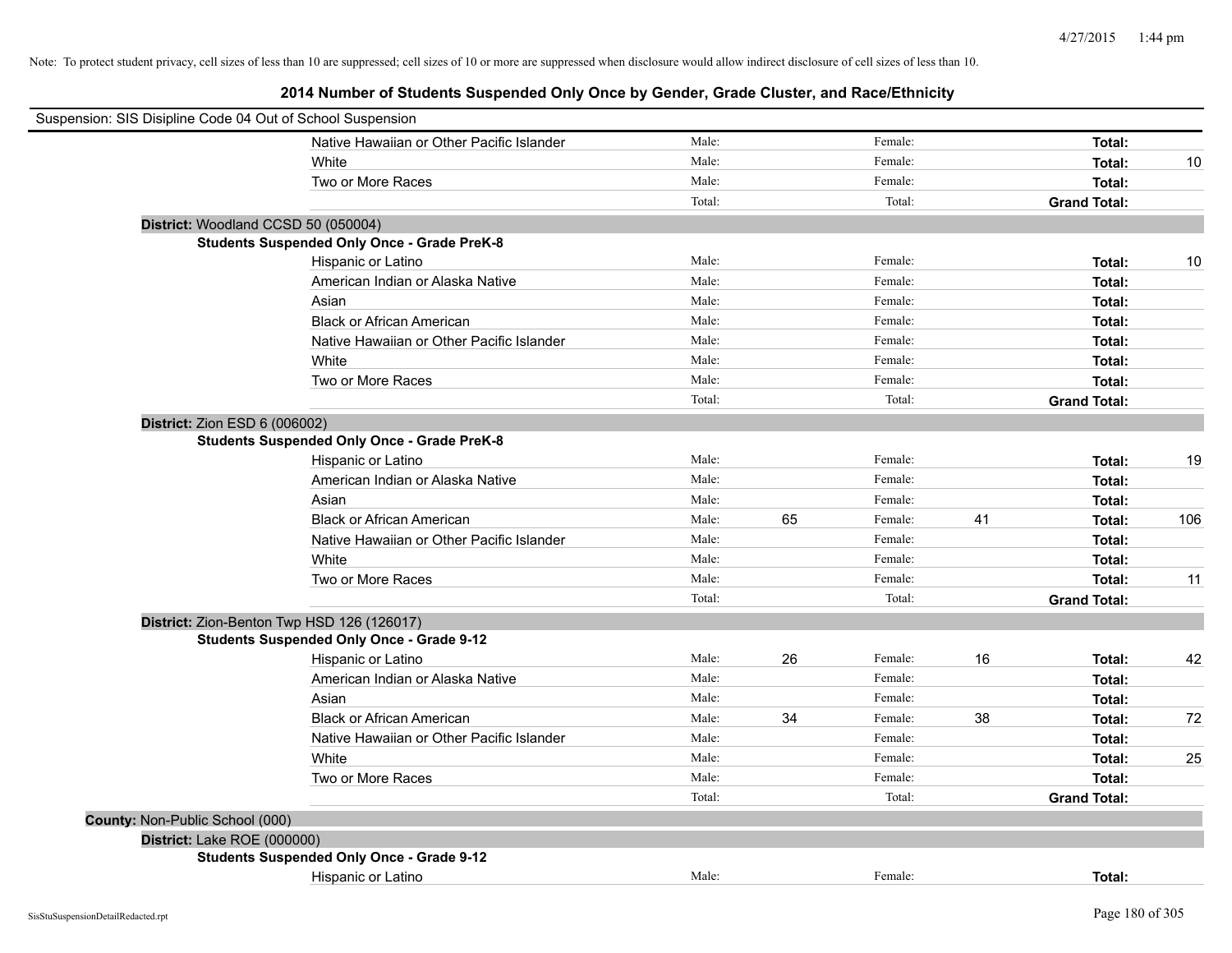| Suspension: SIS Disipline Code 04 Out of School Suspension |                                                    |        |    |         |    |                     |     |
|------------------------------------------------------------|----------------------------------------------------|--------|----|---------|----|---------------------|-----|
|                                                            | Native Hawaiian or Other Pacific Islander          | Male:  |    | Female: |    | Total:              |     |
|                                                            | White                                              | Male:  |    | Female: |    | Total:              | 10  |
|                                                            | Two or More Races                                  | Male:  |    | Female: |    | Total:              |     |
|                                                            |                                                    | Total: |    | Total:  |    | <b>Grand Total:</b> |     |
|                                                            | District: Woodland CCSD 50 (050004)                |        |    |         |    |                     |     |
|                                                            | <b>Students Suspended Only Once - Grade PreK-8</b> |        |    |         |    |                     |     |
|                                                            | Hispanic or Latino                                 | Male:  |    | Female: |    | Total:              | 10  |
|                                                            | American Indian or Alaska Native                   | Male:  |    | Female: |    | Total:              |     |
|                                                            | Asian                                              | Male:  |    | Female: |    | Total:              |     |
|                                                            | <b>Black or African American</b>                   | Male:  |    | Female: |    | Total:              |     |
|                                                            | Native Hawaiian or Other Pacific Islander          | Male:  |    | Female: |    | Total:              |     |
|                                                            | White                                              | Male:  |    | Female: |    | Total:              |     |
|                                                            | Two or More Races                                  | Male:  |    | Female: |    | Total:              |     |
|                                                            |                                                    | Total: |    | Total:  |    | <b>Grand Total:</b> |     |
| District: Zion ESD 6 (006002)                              |                                                    |        |    |         |    |                     |     |
|                                                            | <b>Students Suspended Only Once - Grade PreK-8</b> |        |    |         |    |                     |     |
|                                                            | Hispanic or Latino                                 | Male:  |    | Female: |    | Total:              | 19  |
|                                                            | American Indian or Alaska Native                   | Male:  |    | Female: |    | Total:              |     |
|                                                            | Asian                                              | Male:  |    | Female: |    | Total:              |     |
|                                                            | <b>Black or African American</b>                   | Male:  | 65 | Female: | 41 | Total:              | 106 |
|                                                            | Native Hawaiian or Other Pacific Islander          | Male:  |    | Female: |    | Total:              |     |
|                                                            | White                                              | Male:  |    | Female: |    | Total:              |     |
|                                                            | Two or More Races                                  | Male:  |    | Female: |    | Total:              | 11  |
|                                                            |                                                    | Total: |    | Total:  |    | <b>Grand Total:</b> |     |
|                                                            | District: Zion-Benton Twp HSD 126 (126017)         |        |    |         |    |                     |     |
|                                                            | <b>Students Suspended Only Once - Grade 9-12</b>   |        |    |         |    |                     |     |
|                                                            | Hispanic or Latino                                 | Male:  | 26 | Female: | 16 | Total:              | 42  |
|                                                            | American Indian or Alaska Native                   | Male:  |    | Female: |    | Total:              |     |
|                                                            | Asian                                              | Male:  |    | Female: |    | Total:              |     |
|                                                            | <b>Black or African American</b>                   | Male:  | 34 | Female: | 38 | Total:              | 72  |
|                                                            | Native Hawaiian or Other Pacific Islander          | Male:  |    | Female: |    | Total:              |     |
|                                                            | White                                              | Male:  |    | Female: |    | Total:              | 25  |
|                                                            | Two or More Races                                  | Male:  |    | Female: |    | Total:              |     |
|                                                            |                                                    | Total: |    | Total:  |    | <b>Grand Total:</b> |     |
| County: Non-Public School (000)                            |                                                    |        |    |         |    |                     |     |
| District: Lake ROE (000000)                                |                                                    |        |    |         |    |                     |     |
|                                                            | <b>Students Suspended Only Once - Grade 9-12</b>   |        |    |         |    |                     |     |
|                                                            | Hispanic or Latino                                 | Male:  |    | Female: |    | Total:              |     |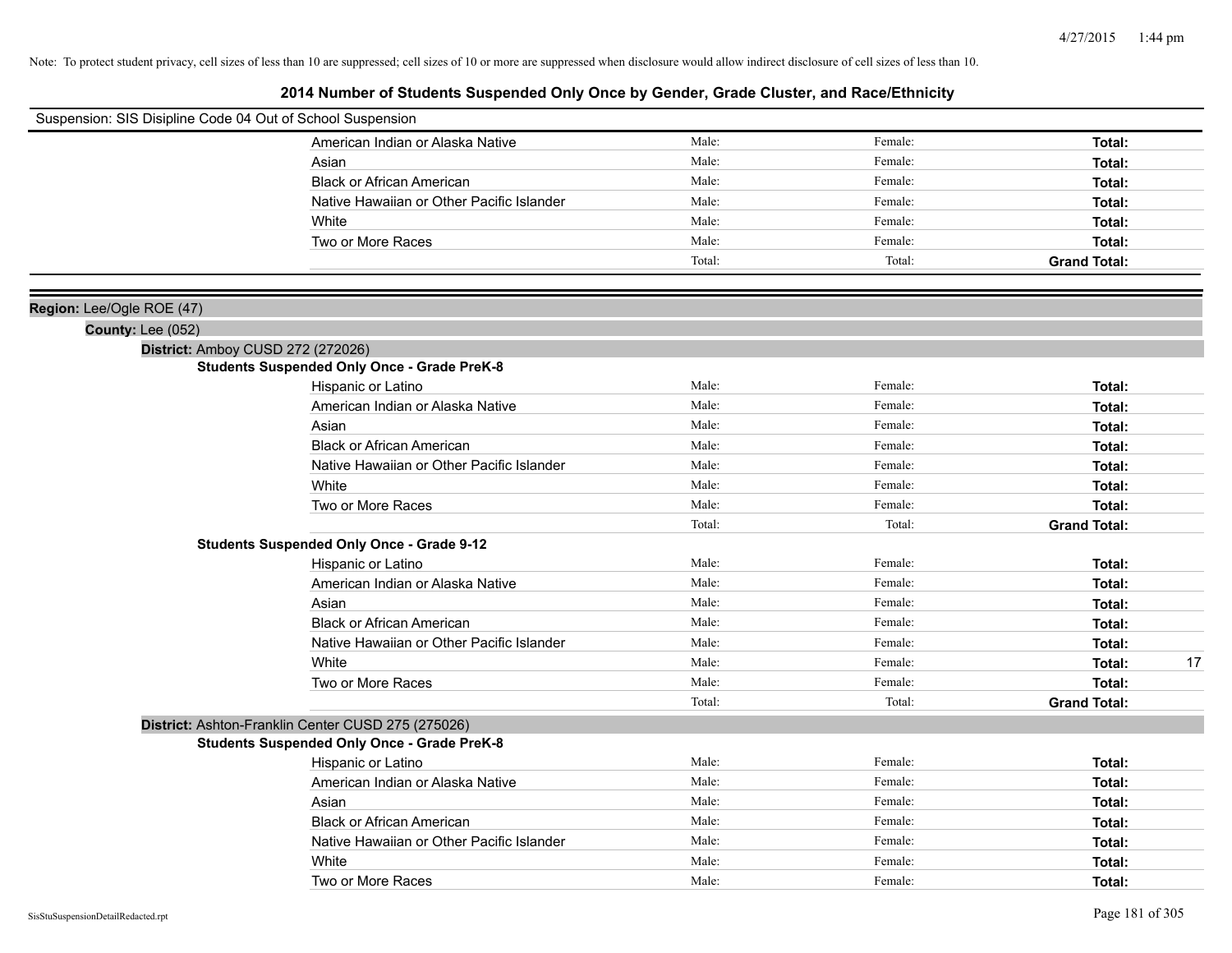| Suspension: SIS Disipline Code 04 Out of School Suspension |                                                    |        |         |                     |
|------------------------------------------------------------|----------------------------------------------------|--------|---------|---------------------|
|                                                            | American Indian or Alaska Native                   | Male:  | Female: | Total:              |
|                                                            | Asian                                              | Male:  | Female: | Total:              |
|                                                            | <b>Black or African American</b>                   | Male:  | Female: | Total:              |
|                                                            | Native Hawaiian or Other Pacific Islander          | Male:  | Female: | Total:              |
|                                                            | White                                              | Male:  | Female: | Total:              |
|                                                            | Two or More Races                                  | Male:  | Female: | Total:              |
|                                                            |                                                    | Total: | Total:  | <b>Grand Total:</b> |
|                                                            |                                                    |        |         |                     |
| Region: Lee/Ogle ROE (47)                                  |                                                    |        |         |                     |
| <b>County: Lee (052)</b>                                   |                                                    |        |         |                     |
|                                                            | District: Amboy CUSD 272 (272026)                  |        |         |                     |
|                                                            | <b>Students Suspended Only Once - Grade PreK-8</b> |        |         |                     |
|                                                            | Hispanic or Latino                                 | Male:  | Female: | Total:              |
|                                                            | American Indian or Alaska Native                   | Male:  | Female: | Total:              |
|                                                            | Asian                                              | Male:  | Female: | Total:              |
|                                                            | <b>Black or African American</b>                   | Male:  | Female: | Total:              |
|                                                            | Native Hawaiian or Other Pacific Islander          | Male:  | Female: | Total:              |
|                                                            | White                                              | Male:  | Female: | Total:              |
|                                                            | Two or More Races                                  | Male:  | Female: | Total:              |
|                                                            |                                                    | Total: | Total:  | <b>Grand Total:</b> |
|                                                            | <b>Students Suspended Only Once - Grade 9-12</b>   |        |         |                     |
|                                                            | Hispanic or Latino                                 | Male:  | Female: | Total:              |
|                                                            | American Indian or Alaska Native                   | Male:  | Female: | Total:              |
|                                                            | Asian                                              | Male:  | Female: | Total:              |
|                                                            | <b>Black or African American</b>                   | Male:  | Female: | Total:              |
|                                                            | Native Hawaiian or Other Pacific Islander          | Male:  | Female: | Total:              |
|                                                            | White                                              | Male:  | Female: | Total:<br>17        |
|                                                            | Two or More Races                                  | Male:  | Female: | Total:              |
|                                                            |                                                    | Total: | Total:  | <b>Grand Total:</b> |
|                                                            | District: Ashton-Franklin Center CUSD 275 (275026) |        |         |                     |
|                                                            | <b>Students Suspended Only Once - Grade PreK-8</b> |        |         |                     |
|                                                            | Hispanic or Latino                                 | Male:  | Female: | Total:              |
|                                                            | American Indian or Alaska Native                   | Male:  | Female: | Total:              |
|                                                            | Asian                                              | Male:  | Female: | Total:              |
|                                                            | <b>Black or African American</b>                   | Male:  | Female: | Total:              |
|                                                            | Native Hawaiian or Other Pacific Islander          | Male:  | Female: | Total:              |
|                                                            | White                                              | Male:  | Female: | Total:              |
|                                                            | Two or More Races                                  | Male:  | Female: | Total:              |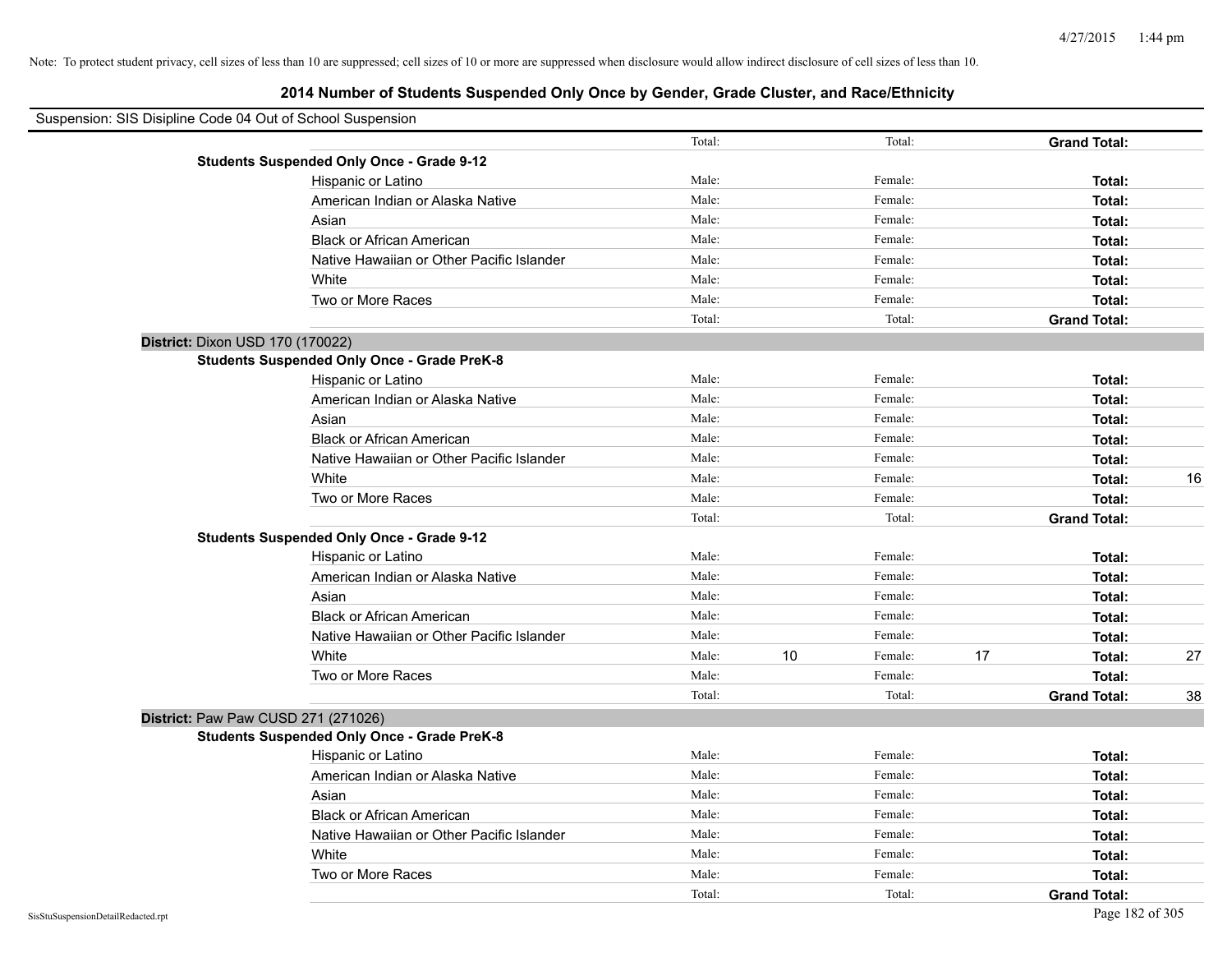| Suspension: SIS Disipline Code 04 Out of School Suspension |                                                    |        |    |         |    |                     |    |
|------------------------------------------------------------|----------------------------------------------------|--------|----|---------|----|---------------------|----|
|                                                            |                                                    | Total: |    | Total:  |    | <b>Grand Total:</b> |    |
|                                                            | <b>Students Suspended Only Once - Grade 9-12</b>   |        |    |         |    |                     |    |
|                                                            | Hispanic or Latino                                 | Male:  |    | Female: |    | Total:              |    |
|                                                            | American Indian or Alaska Native                   | Male:  |    | Female: |    | Total:              |    |
|                                                            | Asian                                              | Male:  |    | Female: |    | Total:              |    |
|                                                            | <b>Black or African American</b>                   | Male:  |    | Female: |    | Total:              |    |
|                                                            | Native Hawaiian or Other Pacific Islander          | Male:  |    | Female: |    | Total:              |    |
|                                                            | White                                              | Male:  |    | Female: |    | Total:              |    |
|                                                            | Two or More Races                                  | Male:  |    | Female: |    | Total:              |    |
|                                                            |                                                    | Total: |    | Total:  |    | <b>Grand Total:</b> |    |
| District: Dixon USD 170 (170022)                           |                                                    |        |    |         |    |                     |    |
|                                                            | <b>Students Suspended Only Once - Grade PreK-8</b> |        |    |         |    |                     |    |
|                                                            | Hispanic or Latino                                 | Male:  |    | Female: |    | Total:              |    |
|                                                            | American Indian or Alaska Native                   | Male:  |    | Female: |    | Total:              |    |
|                                                            | Asian                                              | Male:  |    | Female: |    | Total:              |    |
|                                                            | <b>Black or African American</b>                   | Male:  |    | Female: |    | Total:              |    |
|                                                            | Native Hawaiian or Other Pacific Islander          | Male:  |    | Female: |    | Total:              |    |
|                                                            | White                                              | Male:  |    | Female: |    | Total:              | 16 |
|                                                            | Two or More Races                                  | Male:  |    | Female: |    | Total:              |    |
|                                                            |                                                    | Total: |    | Total:  |    | <b>Grand Total:</b> |    |
|                                                            | <b>Students Suspended Only Once - Grade 9-12</b>   |        |    |         |    |                     |    |
|                                                            | Hispanic or Latino                                 | Male:  |    | Female: |    | Total:              |    |
|                                                            | American Indian or Alaska Native                   | Male:  |    | Female: |    | Total:              |    |
|                                                            | Asian                                              | Male:  |    | Female: |    | Total:              |    |
|                                                            | <b>Black or African American</b>                   | Male:  |    | Female: |    | Total:              |    |
|                                                            | Native Hawaiian or Other Pacific Islander          | Male:  |    | Female: |    | Total:              |    |
|                                                            | White                                              | Male:  | 10 | Female: | 17 | Total:              | 27 |
|                                                            | Two or More Races                                  | Male:  |    | Female: |    | Total:              |    |
|                                                            |                                                    | Total: |    | Total:  |    | <b>Grand Total:</b> | 38 |
| District: Paw Paw CUSD 271 (271026)                        |                                                    |        |    |         |    |                     |    |
|                                                            | <b>Students Suspended Only Once - Grade PreK-8</b> |        |    |         |    |                     |    |
|                                                            | Hispanic or Latino                                 | Male:  |    | Female: |    | Total:              |    |
|                                                            | American Indian or Alaska Native                   | Male:  |    | Female: |    | Total:              |    |
|                                                            | Asian                                              | Male:  |    | Female: |    | Total:              |    |
|                                                            | <b>Black or African American</b>                   | Male:  |    | Female: |    | Total:              |    |
|                                                            | Native Hawaiian or Other Pacific Islander          | Male:  |    | Female: |    | Total:              |    |
|                                                            | White                                              | Male:  |    | Female: |    | Total:              |    |
|                                                            | Two or More Races                                  | Male:  |    | Female: |    | Total:              |    |
|                                                            |                                                    | Total: |    | Total:  |    | <b>Grand Total:</b> |    |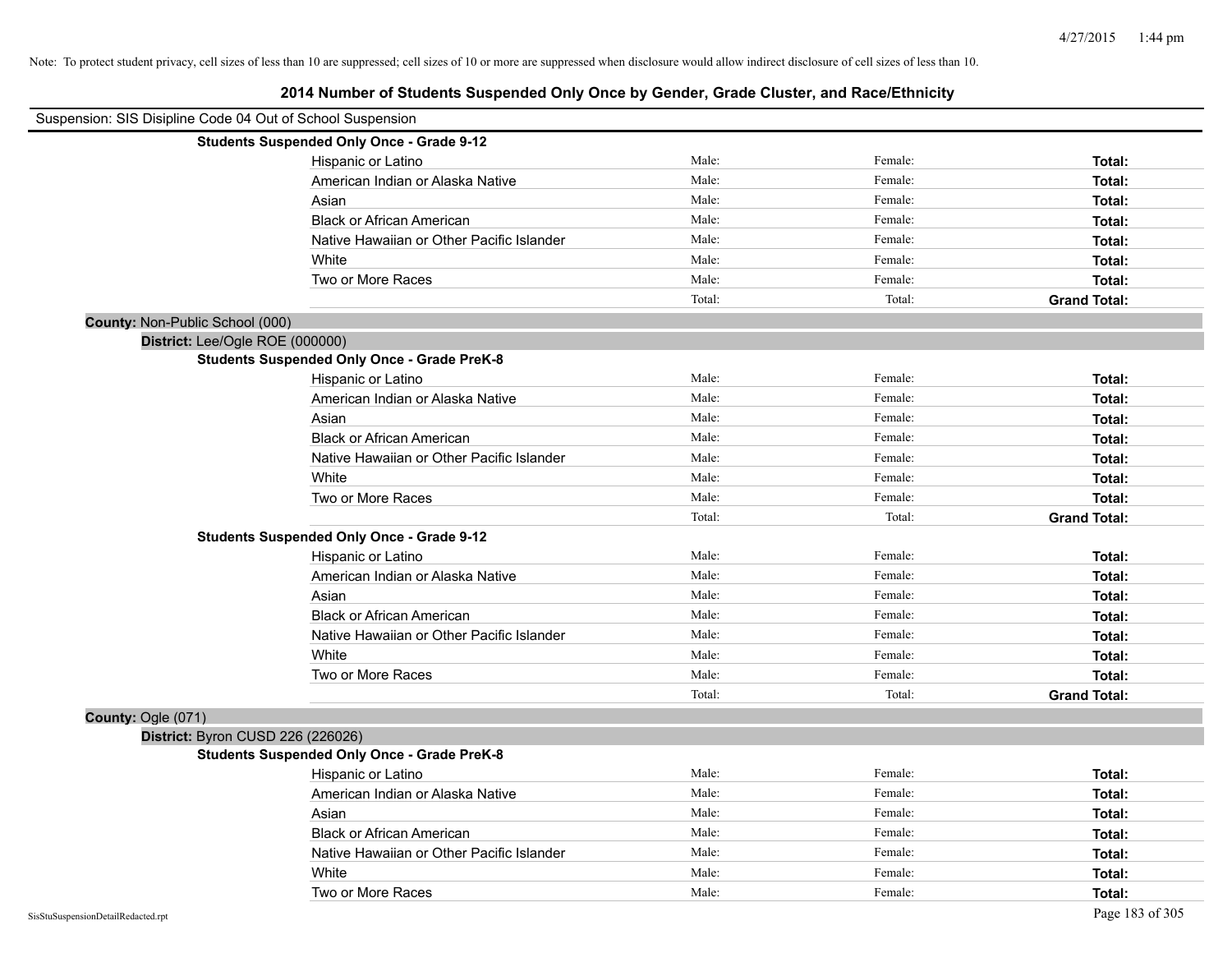| Suspension: SIS Disipline Code 04 Out of School Suspension |                                                    |        |         |                     |
|------------------------------------------------------------|----------------------------------------------------|--------|---------|---------------------|
|                                                            | <b>Students Suspended Only Once - Grade 9-12</b>   |        |         |                     |
|                                                            | Hispanic or Latino                                 | Male:  | Female: | Total:              |
|                                                            | American Indian or Alaska Native                   | Male:  | Female: | Total:              |
|                                                            | Asian                                              | Male:  | Female: | Total:              |
|                                                            | <b>Black or African American</b>                   | Male:  | Female: | Total:              |
|                                                            | Native Hawaiian or Other Pacific Islander          | Male:  | Female: | Total:              |
|                                                            | White                                              | Male:  | Female: | Total:              |
|                                                            | Two or More Races                                  | Male:  | Female: | Total:              |
|                                                            |                                                    | Total: | Total:  | <b>Grand Total:</b> |
| County: Non-Public School (000)                            |                                                    |        |         |                     |
| District: Lee/Ogle ROE (000000)                            |                                                    |        |         |                     |
|                                                            | <b>Students Suspended Only Once - Grade PreK-8</b> |        |         |                     |
|                                                            | Hispanic or Latino                                 | Male:  | Female: | Total:              |
|                                                            | American Indian or Alaska Native                   | Male:  | Female: | Total:              |
|                                                            | Asian                                              | Male:  | Female: | Total:              |
|                                                            | <b>Black or African American</b>                   | Male:  | Female: | Total:              |
|                                                            | Native Hawaiian or Other Pacific Islander          | Male:  | Female: | Total:              |
|                                                            | White                                              | Male:  | Female: | Total:              |
|                                                            | Two or More Races                                  | Male:  | Female: | Total:              |
|                                                            |                                                    | Total: | Total:  | <b>Grand Total:</b> |
|                                                            | <b>Students Suspended Only Once - Grade 9-12</b>   |        |         |                     |
|                                                            | Hispanic or Latino                                 | Male:  | Female: | Total:              |
|                                                            | American Indian or Alaska Native                   | Male:  | Female: | Total:              |
|                                                            | Asian                                              | Male:  | Female: | Total:              |
|                                                            | <b>Black or African American</b>                   | Male:  | Female: | Total:              |
|                                                            | Native Hawaiian or Other Pacific Islander          | Male:  | Female: | Total:              |
|                                                            | White                                              | Male:  | Female: | Total:              |
|                                                            | Two or More Races                                  | Male:  | Female: | Total:              |
|                                                            |                                                    | Total: | Total:  | <b>Grand Total:</b> |
| County: Ogle (071)                                         |                                                    |        |         |                     |
| District: Byron CUSD 226 (226026)                          |                                                    |        |         |                     |
|                                                            | <b>Students Suspended Only Once - Grade PreK-8</b> |        |         |                     |
|                                                            | Hispanic or Latino                                 | Male:  | Female: | Total:              |
|                                                            | American Indian or Alaska Native                   | Male:  | Female: | Total:              |
|                                                            | Asian                                              | Male:  | Female: | Total:              |
|                                                            | <b>Black or African American</b>                   | Male:  | Female: | Total:              |
|                                                            | Native Hawaiian or Other Pacific Islander          | Male:  | Female: | Total:              |
|                                                            | White                                              | Male:  | Female: | Total:              |
|                                                            | Two or More Races                                  | Male:  | Female: | Total:              |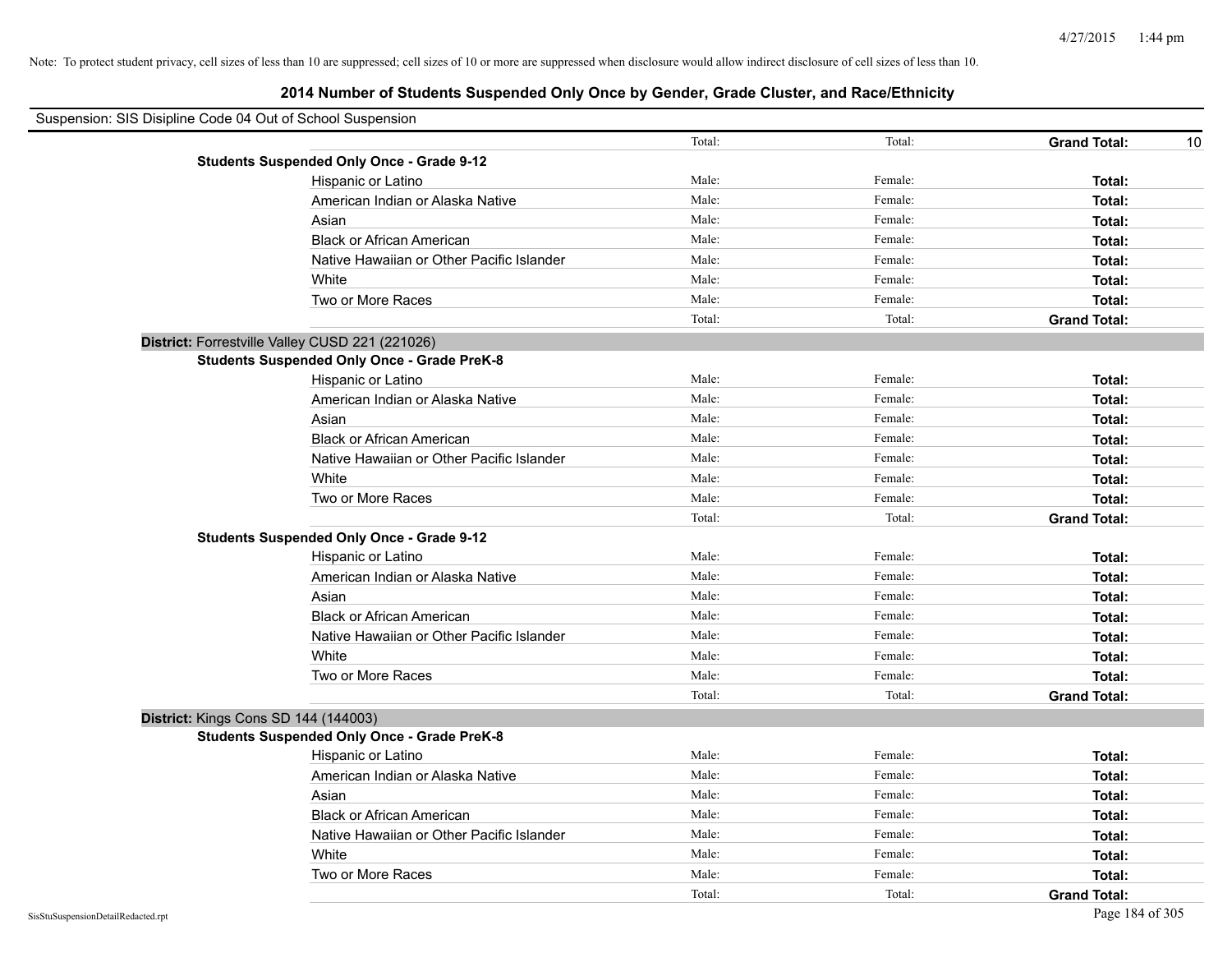| Suspension: SIS Disipline Code 04 Out of School Suspension |                                                    |        |         |                           |
|------------------------------------------------------------|----------------------------------------------------|--------|---------|---------------------------|
|                                                            |                                                    | Total: | Total:  | <b>Grand Total:</b><br>10 |
|                                                            | <b>Students Suspended Only Once - Grade 9-12</b>   |        |         |                           |
|                                                            | Hispanic or Latino                                 | Male:  | Female: | Total:                    |
|                                                            | American Indian or Alaska Native                   | Male:  | Female: | Total:                    |
|                                                            | Asian                                              | Male:  | Female: | Total:                    |
|                                                            | <b>Black or African American</b>                   | Male:  | Female: | Total:                    |
|                                                            | Native Hawaiian or Other Pacific Islander          | Male:  | Female: | Total:                    |
|                                                            | White                                              | Male:  | Female: | Total:                    |
|                                                            | Two or More Races                                  | Male:  | Female: | Total:                    |
|                                                            |                                                    | Total: | Total:  | <b>Grand Total:</b>       |
|                                                            | District: Forrestville Valley CUSD 221 (221026)    |        |         |                           |
|                                                            | <b>Students Suspended Only Once - Grade PreK-8</b> |        |         |                           |
|                                                            | Hispanic or Latino                                 | Male:  | Female: | Total:                    |
|                                                            | American Indian or Alaska Native                   | Male:  | Female: | Total:                    |
|                                                            | Asian                                              | Male:  | Female: | Total:                    |
|                                                            | <b>Black or African American</b>                   | Male:  | Female: | Total:                    |
|                                                            | Native Hawaiian or Other Pacific Islander          | Male:  | Female: | Total:                    |
|                                                            | White                                              | Male:  | Female: | Total:                    |
|                                                            | Two or More Races                                  | Male:  | Female: | Total:                    |
|                                                            |                                                    | Total: | Total:  | <b>Grand Total:</b>       |
|                                                            | <b>Students Suspended Only Once - Grade 9-12</b>   |        |         |                           |
|                                                            | Hispanic or Latino                                 | Male:  | Female: | Total:                    |
|                                                            | American Indian or Alaska Native                   | Male:  | Female: | Total:                    |
|                                                            | Asian                                              | Male:  | Female: | Total:                    |
|                                                            | <b>Black or African American</b>                   | Male:  | Female: | Total:                    |
|                                                            | Native Hawaiian or Other Pacific Islander          | Male:  | Female: | Total:                    |
|                                                            | White                                              | Male:  | Female: | Total:                    |
|                                                            | Two or More Races                                  | Male:  | Female: | Total:                    |
|                                                            |                                                    | Total: | Total:  | <b>Grand Total:</b>       |
|                                                            | District: Kings Cons SD 144 (144003)               |        |         |                           |
|                                                            | <b>Students Suspended Only Once - Grade PreK-8</b> |        |         |                           |
|                                                            | Hispanic or Latino                                 | Male:  | Female: | Total:                    |
|                                                            | American Indian or Alaska Native                   | Male:  | Female: | Total:                    |
|                                                            | Asian                                              | Male:  | Female: | Total:                    |
|                                                            | <b>Black or African American</b>                   | Male:  | Female: | Total:                    |
|                                                            | Native Hawaiian or Other Pacific Islander          | Male:  | Female: | Total:                    |
|                                                            | White                                              | Male:  | Female: | Total:                    |
|                                                            | Two or More Races                                  | Male:  | Female: | Total:                    |
|                                                            |                                                    | Total: | Total:  | <b>Grand Total:</b>       |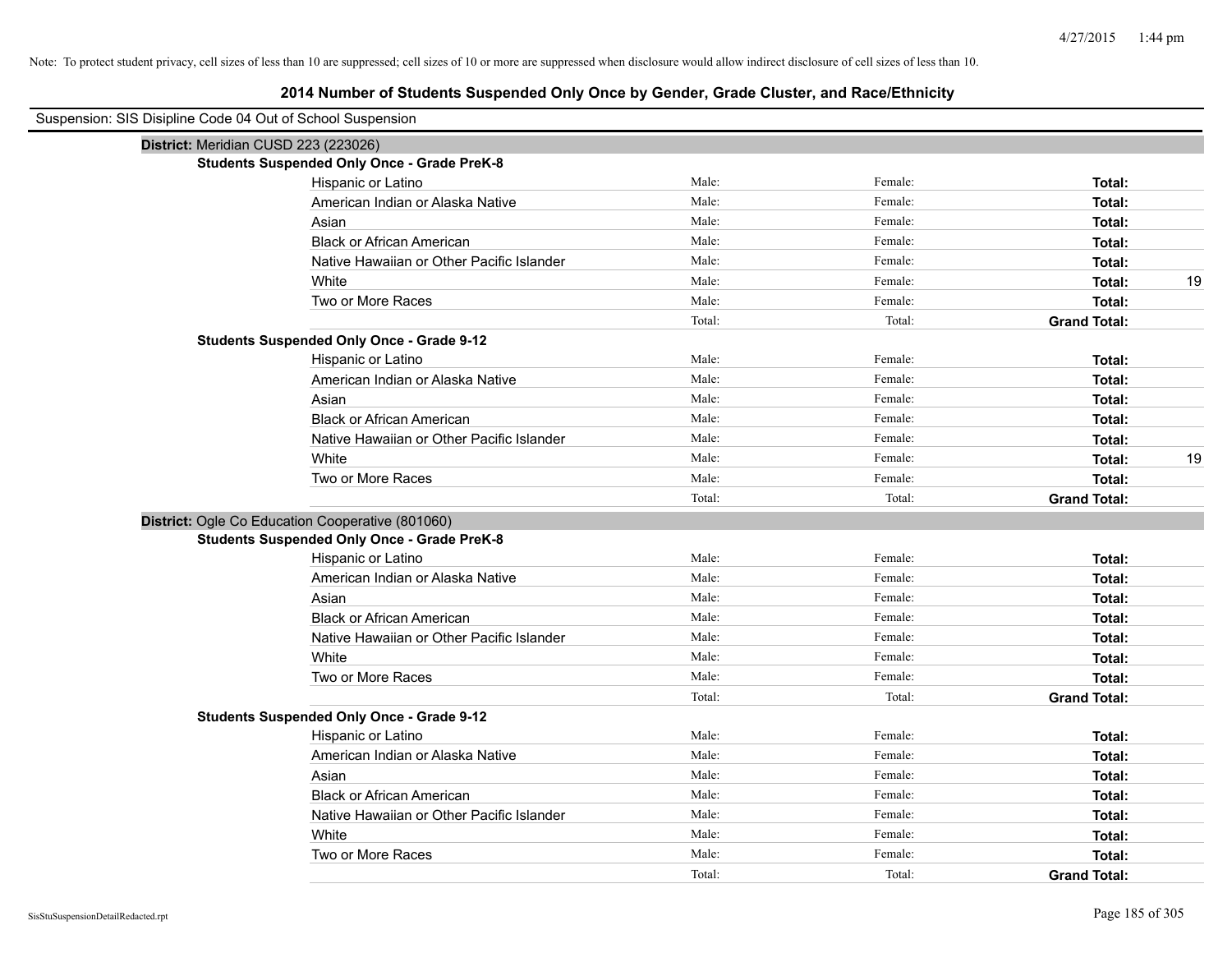| Suspension: SIS Disipline Code 04 Out of School Suspension |                                                    |        |         |                     |
|------------------------------------------------------------|----------------------------------------------------|--------|---------|---------------------|
| District: Meridian CUSD 223 (223026)                       |                                                    |        |         |                     |
|                                                            | <b>Students Suspended Only Once - Grade PreK-8</b> |        |         |                     |
|                                                            | Hispanic or Latino                                 | Male:  | Female: | Total:              |
|                                                            | American Indian or Alaska Native                   | Male:  | Female: | Total:              |
|                                                            | Asian                                              | Male:  | Female: | Total:              |
|                                                            | <b>Black or African American</b>                   | Male:  | Female: | Total:              |
|                                                            | Native Hawaiian or Other Pacific Islander          | Male:  | Female: | Total:              |
|                                                            | White                                              | Male:  | Female: | 19<br>Total:        |
|                                                            | Two or More Races                                  | Male:  | Female: | Total:              |
|                                                            |                                                    | Total: | Total:  | <b>Grand Total:</b> |
|                                                            | <b>Students Suspended Only Once - Grade 9-12</b>   |        |         |                     |
|                                                            | Hispanic or Latino                                 | Male:  | Female: | Total:              |
|                                                            | American Indian or Alaska Native                   | Male:  | Female: | Total:              |
|                                                            | Asian                                              | Male:  | Female: | Total:              |
|                                                            | <b>Black or African American</b>                   | Male:  | Female: | Total:              |
|                                                            | Native Hawaiian or Other Pacific Islander          | Male:  | Female: | Total:              |
|                                                            | White                                              | Male:  | Female: | 19<br>Total:        |
|                                                            | Two or More Races                                  | Male:  | Female: | Total:              |
|                                                            |                                                    | Total: | Total:  | <b>Grand Total:</b> |
|                                                            | District: Ogle Co Education Cooperative (801060)   |        |         |                     |
|                                                            | <b>Students Suspended Only Once - Grade PreK-8</b> |        |         |                     |
|                                                            | Hispanic or Latino                                 | Male:  | Female: | Total:              |
|                                                            | American Indian or Alaska Native                   | Male:  | Female: | Total:              |
|                                                            | Asian                                              | Male:  | Female: | Total:              |
|                                                            | <b>Black or African American</b>                   | Male:  | Female: | Total:              |
|                                                            | Native Hawaiian or Other Pacific Islander          | Male:  | Female: | Total:              |
|                                                            | White                                              | Male:  | Female: | Total:              |
|                                                            | Two or More Races                                  | Male:  | Female: | Total:              |
|                                                            |                                                    | Total: | Total:  | <b>Grand Total:</b> |
|                                                            | <b>Students Suspended Only Once - Grade 9-12</b>   |        |         |                     |
|                                                            | Hispanic or Latino                                 | Male:  | Female: | Total:              |
|                                                            | American Indian or Alaska Native                   | Male:  | Female: | Total:              |
|                                                            | Asian                                              | Male:  | Female: | Total:              |
|                                                            | <b>Black or African American</b>                   | Male:  | Female: | Total:              |
|                                                            | Native Hawaiian or Other Pacific Islander          | Male:  | Female: | Total:              |
|                                                            | White                                              | Male:  | Female: | Total:              |
|                                                            | Two or More Races                                  | Male:  | Female: | Total:              |
|                                                            |                                                    | Total: | Total:  | <b>Grand Total:</b> |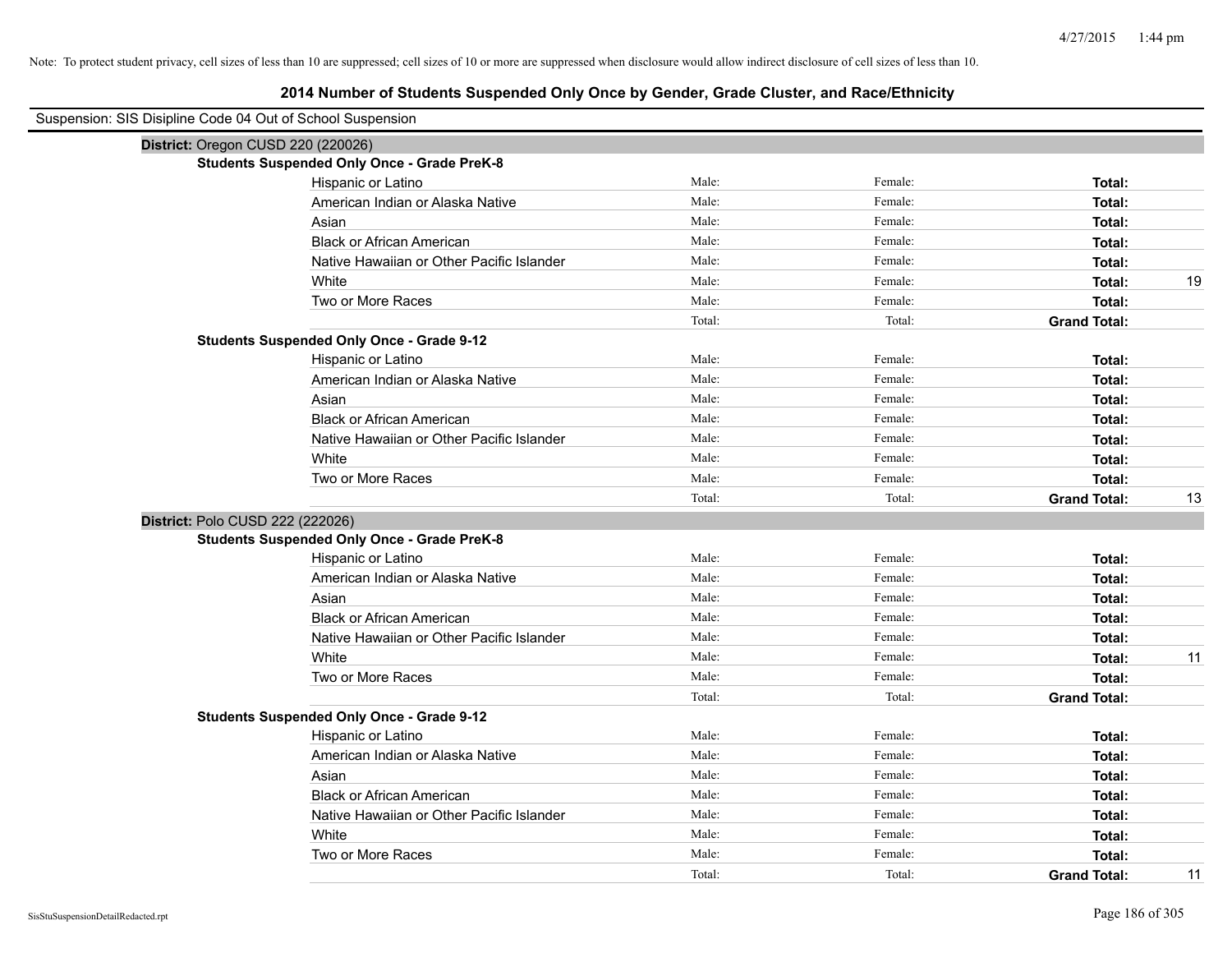| Suspension: SIS Disipline Code 04 Out of School Suspension |                                                    |        |         |                           |
|------------------------------------------------------------|----------------------------------------------------|--------|---------|---------------------------|
| District: Oregon CUSD 220 (220026)                         |                                                    |        |         |                           |
|                                                            | <b>Students Suspended Only Once - Grade PreK-8</b> |        |         |                           |
|                                                            | Hispanic or Latino                                 | Male:  | Female: | Total:                    |
|                                                            | American Indian or Alaska Native                   | Male:  | Female: | Total:                    |
|                                                            | Asian                                              | Male:  | Female: | Total:                    |
|                                                            | <b>Black or African American</b>                   | Male:  | Female: | Total:                    |
|                                                            | Native Hawaiian or Other Pacific Islander          | Male:  | Female: | Total:                    |
|                                                            | White                                              | Male:  | Female: | 19<br>Total:              |
|                                                            | Two or More Races                                  | Male:  | Female: | Total:                    |
|                                                            |                                                    | Total: | Total:  | <b>Grand Total:</b>       |
|                                                            | <b>Students Suspended Only Once - Grade 9-12</b>   |        |         |                           |
|                                                            | Hispanic or Latino                                 | Male:  | Female: | Total:                    |
|                                                            | American Indian or Alaska Native                   | Male:  | Female: | Total:                    |
|                                                            | Asian                                              | Male:  | Female: | Total:                    |
|                                                            | <b>Black or African American</b>                   | Male:  | Female: | Total:                    |
|                                                            | Native Hawaiian or Other Pacific Islander          | Male:  | Female: | Total:                    |
|                                                            | White                                              | Male:  | Female: | Total:                    |
|                                                            | Two or More Races                                  | Male:  | Female: | Total:                    |
|                                                            |                                                    | Total: | Total:  | <b>Grand Total:</b><br>13 |
| District: Polo CUSD 222 (222026)                           |                                                    |        |         |                           |
|                                                            | <b>Students Suspended Only Once - Grade PreK-8</b> |        |         |                           |
|                                                            | Hispanic or Latino                                 | Male:  | Female: | Total:                    |
|                                                            | American Indian or Alaska Native                   | Male:  | Female: | Total:                    |
|                                                            | Asian                                              | Male:  | Female: | Total:                    |
|                                                            | <b>Black or African American</b>                   | Male:  | Female: | Total:                    |
|                                                            | Native Hawaiian or Other Pacific Islander          | Male:  | Female: | Total:                    |
|                                                            | White                                              | Male:  | Female: | Total:<br>11              |
|                                                            | Two or More Races                                  | Male:  | Female: | Total:                    |
|                                                            |                                                    | Total: | Total:  | <b>Grand Total:</b>       |
|                                                            | <b>Students Suspended Only Once - Grade 9-12</b>   |        |         |                           |
|                                                            | Hispanic or Latino                                 | Male:  | Female: | Total:                    |
|                                                            | American Indian or Alaska Native                   | Male:  | Female: | Total:                    |
|                                                            | Asian                                              | Male:  | Female: | Total:                    |
|                                                            | <b>Black or African American</b>                   | Male:  | Female: | Total:                    |
|                                                            | Native Hawaiian or Other Pacific Islander          | Male:  | Female: | Total:                    |
|                                                            | White                                              | Male:  | Female: | Total:                    |
|                                                            | Two or More Races                                  | Male:  | Female: | Total:                    |
|                                                            |                                                    | Total: | Total:  | <b>Grand Total:</b><br>11 |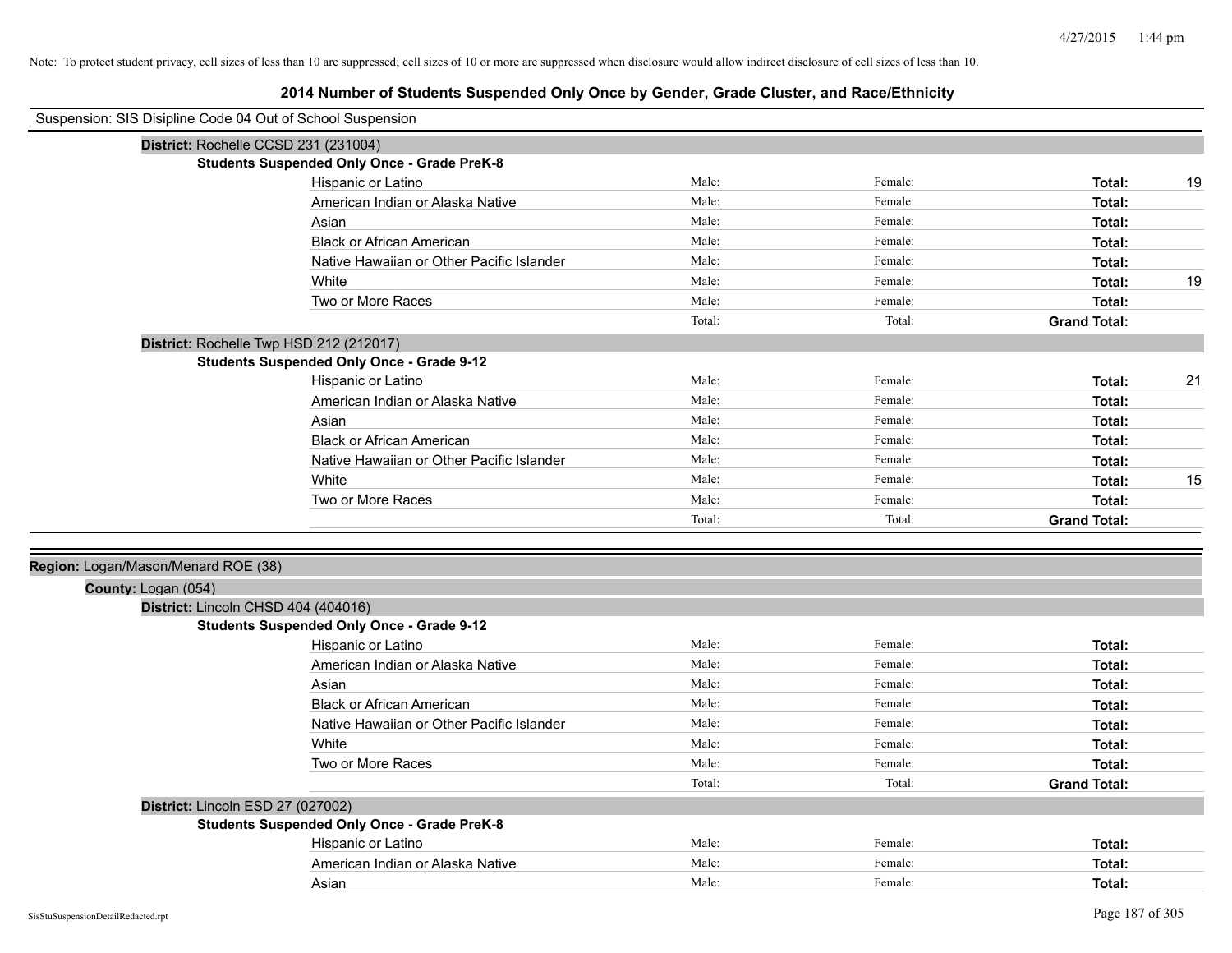|                                     | Suspension: SIS Disipline Code 04 Out of School Suspension |        |         |                     |    |
|-------------------------------------|------------------------------------------------------------|--------|---------|---------------------|----|
|                                     | District: Rochelle CCSD 231 (231004)                       |        |         |                     |    |
|                                     | <b>Students Suspended Only Once - Grade PreK-8</b>         |        |         |                     |    |
|                                     | Hispanic or Latino                                         | Male:  | Female: | Total:              | 19 |
|                                     | American Indian or Alaska Native                           | Male:  | Female: | Total:              |    |
|                                     | Asian                                                      | Male:  | Female: | Total:              |    |
|                                     | <b>Black or African American</b>                           | Male:  | Female: | Total:              |    |
|                                     | Native Hawaiian or Other Pacific Islander                  | Male:  | Female: | Total:              |    |
|                                     | White                                                      | Male:  | Female: | Total:              | 19 |
|                                     | Two or More Races                                          | Male:  | Female: | Total:              |    |
|                                     |                                                            | Total: | Total:  | <b>Grand Total:</b> |    |
|                                     | District: Rochelle Twp HSD 212 (212017)                    |        |         |                     |    |
|                                     | <b>Students Suspended Only Once - Grade 9-12</b>           |        |         |                     |    |
|                                     | Hispanic or Latino                                         | Male:  | Female: | Total:              | 21 |
|                                     | American Indian or Alaska Native                           | Male:  | Female: | Total:              |    |
|                                     | Asian                                                      | Male:  | Female: | Total:              |    |
|                                     | <b>Black or African American</b>                           | Male:  | Female: | Total:              |    |
|                                     | Native Hawaiian or Other Pacific Islander                  | Male:  | Female: | Total:              |    |
|                                     | White                                                      | Male:  | Female: | Total:              | 15 |
|                                     | Two or More Races                                          | Male:  | Female: | Total:              |    |
|                                     |                                                            | Total: | Total:  | <b>Grand Total:</b> |    |
|                                     |                                                            |        |         |                     |    |
| Region: Logan/Mason/Menard ROE (38) |                                                            |        |         |                     |    |
| County: Logan (054)                 |                                                            |        |         |                     |    |
|                                     | District: Lincoln CHSD 404 (404016)                        |        |         |                     |    |
|                                     | <b>Students Suspended Only Once - Grade 9-12</b>           |        |         |                     |    |
|                                     | Hispanic or Latino                                         | Male:  | Female: | Total:              |    |
|                                     | American Indian or Alaska Native                           | Male:  | Female: | Total:              |    |
|                                     | Asian                                                      | Male:  | Female: | Total:              |    |
|                                     | <b>Black or African American</b>                           | Male:  | Female: | Total:              |    |
|                                     | Native Hawaiian or Other Pacific Islander                  | Male:  | Female: | Total:              |    |
|                                     | White                                                      | Male:  | Female: | Total:              |    |
|                                     | Two or More Races                                          | Male:  | Female: | Total:              |    |
|                                     |                                                            | Total: | Total:  | <b>Grand Total:</b> |    |
|                                     | District: Lincoln ESD 27 (027002)                          |        |         |                     |    |
|                                     | <b>Students Suspended Only Once - Grade PreK-8</b>         |        |         |                     |    |
|                                     | Hispanic or Latino                                         | Male:  | Female: | Total:              |    |
|                                     | American Indian or Alaska Native                           | Male:  | Female: | Total:              |    |
|                                     | Asian                                                      | Male:  | Female: | Total:              |    |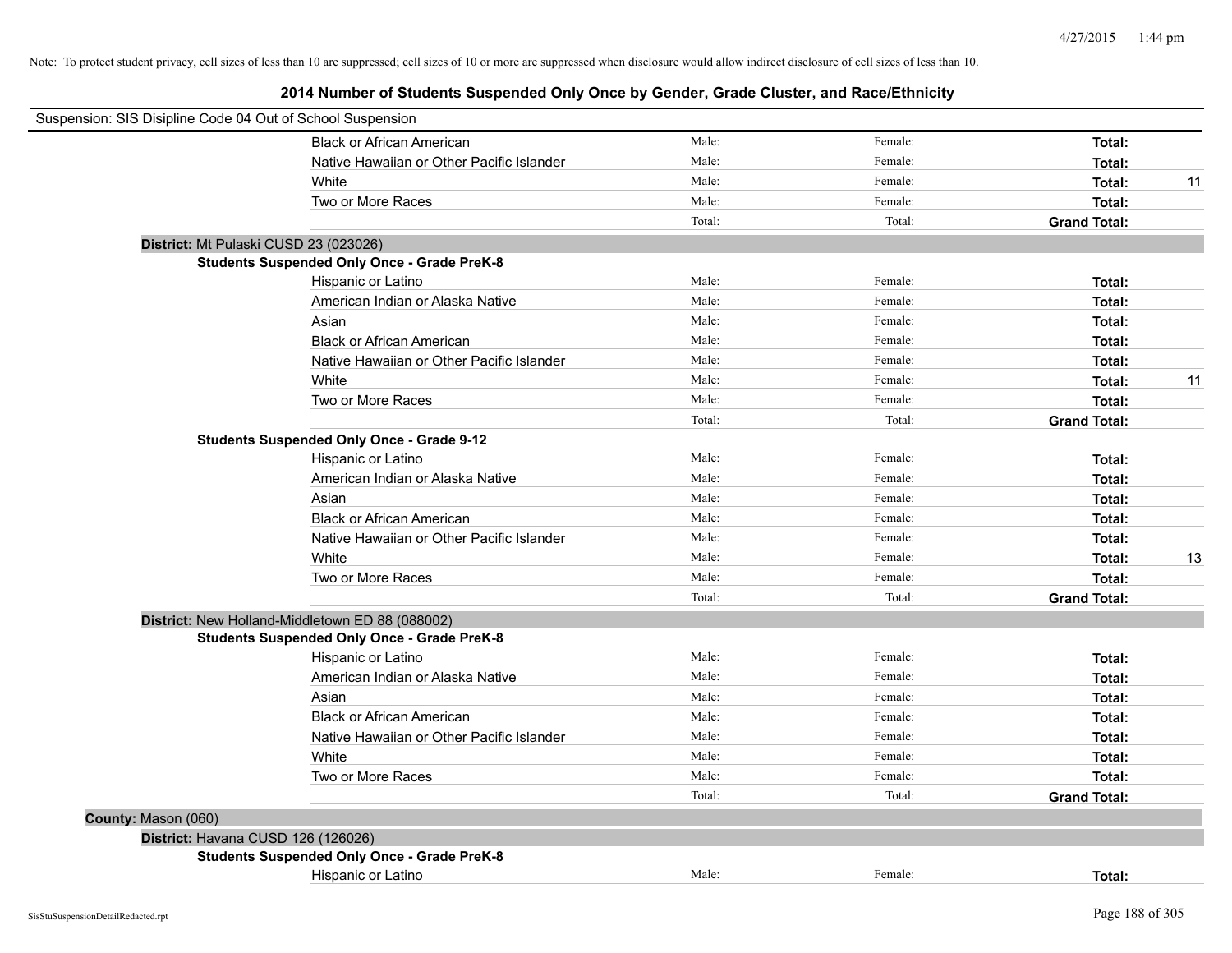|                     | Suspension: SIS Disipline Code 04 Out of School Suspension |        |         |                     |    |
|---------------------|------------------------------------------------------------|--------|---------|---------------------|----|
|                     | <b>Black or African American</b>                           | Male:  | Female: | Total:              |    |
|                     | Native Hawaiian or Other Pacific Islander                  | Male:  | Female: | Total:              |    |
|                     | White                                                      | Male:  | Female: | Total:              | 11 |
|                     | Two or More Races                                          | Male:  | Female: | Total:              |    |
|                     |                                                            | Total: | Total:  | <b>Grand Total:</b> |    |
|                     | District: Mt Pulaski CUSD 23 (023026)                      |        |         |                     |    |
|                     | <b>Students Suspended Only Once - Grade PreK-8</b>         |        |         |                     |    |
|                     | Hispanic or Latino                                         | Male:  | Female: | Total:              |    |
|                     | American Indian or Alaska Native                           | Male:  | Female: | Total:              |    |
|                     | Asian                                                      | Male:  | Female: | Total:              |    |
|                     | <b>Black or African American</b>                           | Male:  | Female: | Total:              |    |
|                     | Native Hawaiian or Other Pacific Islander                  | Male:  | Female: | Total:              |    |
|                     | White                                                      | Male:  | Female: | Total:              | 11 |
|                     | Two or More Races                                          | Male:  | Female: | Total:              |    |
|                     |                                                            | Total: | Total:  | <b>Grand Total:</b> |    |
|                     | <b>Students Suspended Only Once - Grade 9-12</b>           |        |         |                     |    |
|                     | Hispanic or Latino                                         | Male:  | Female: | Total:              |    |
|                     | American Indian or Alaska Native                           | Male:  | Female: | Total:              |    |
|                     | Asian                                                      | Male:  | Female: | Total:              |    |
|                     | <b>Black or African American</b>                           | Male:  | Female: | Total:              |    |
|                     | Native Hawaiian or Other Pacific Islander                  | Male:  | Female: | Total:              |    |
|                     | White                                                      | Male:  | Female: | Total:              | 13 |
|                     | Two or More Races                                          | Male:  | Female: | Total:              |    |
|                     |                                                            | Total: | Total:  | <b>Grand Total:</b> |    |
|                     | District: New Holland-Middletown ED 88 (088002)            |        |         |                     |    |
|                     | <b>Students Suspended Only Once - Grade PreK-8</b>         |        |         |                     |    |
|                     | Hispanic or Latino                                         | Male:  | Female: | Total:              |    |
|                     | American Indian or Alaska Native                           | Male:  | Female: | Total:              |    |
|                     | Asian                                                      | Male:  | Female: | Total:              |    |
|                     | <b>Black or African American</b>                           | Male:  | Female: | Total:              |    |
|                     | Native Hawaiian or Other Pacific Islander                  | Male:  | Female: | Total:              |    |
|                     | White                                                      | Male:  | Female: | Total:              |    |
|                     | Two or More Races                                          | Male:  | Female: | Total:              |    |
|                     |                                                            | Total: | Total:  | <b>Grand Total:</b> |    |
| County: Mason (060) |                                                            |        |         |                     |    |
|                     | District: Havana CUSD 126 (126026)                         |        |         |                     |    |
|                     | <b>Students Suspended Only Once - Grade PreK-8</b>         |        |         |                     |    |
|                     | Hispanic or Latino                                         | Male:  | Female: | Total:              |    |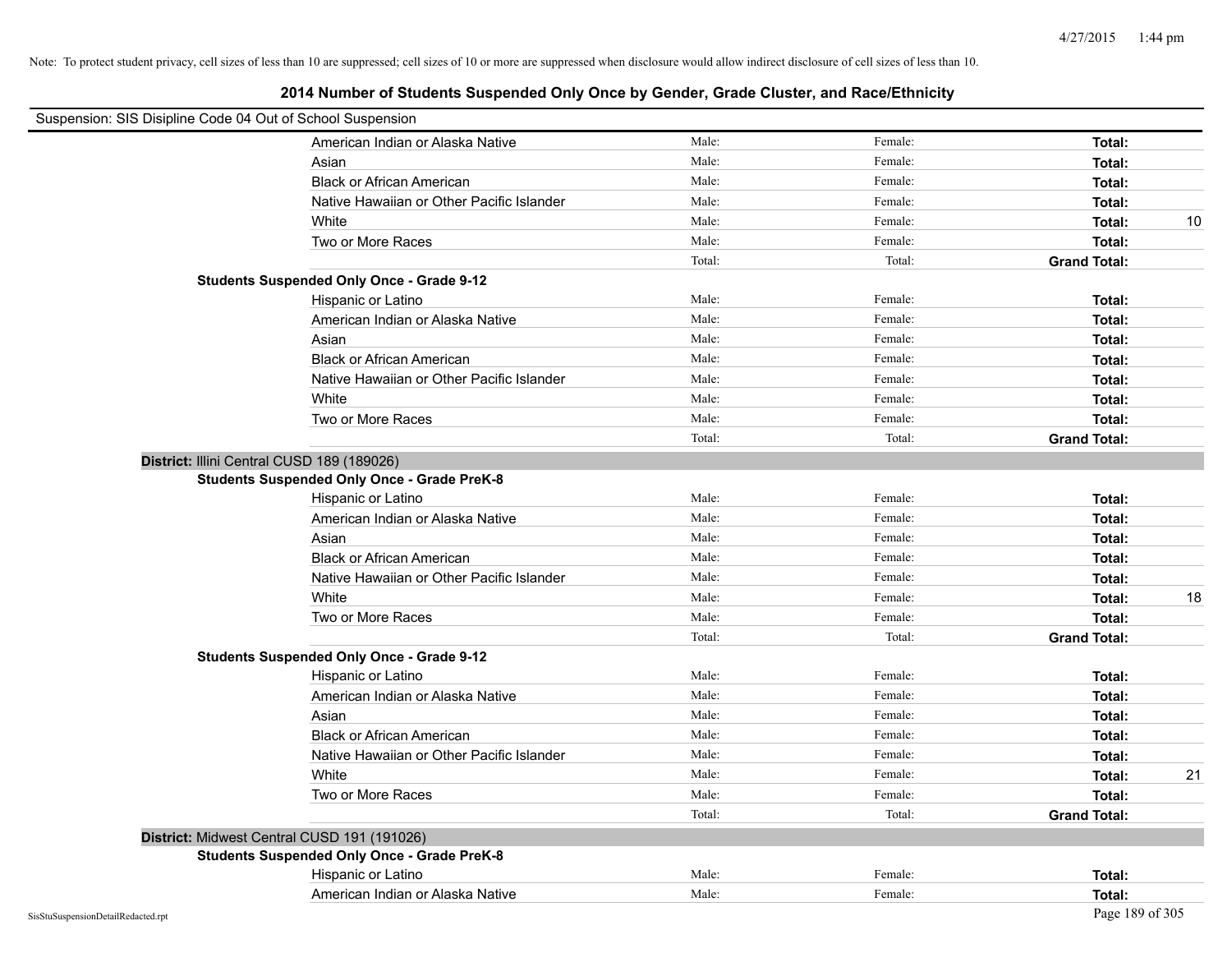| Suspension: SIS Disipline Code 04 Out of School Suspension |        |         |                     |    |
|------------------------------------------------------------|--------|---------|---------------------|----|
| American Indian or Alaska Native                           | Male:  | Female: | Total:              |    |
| Asian                                                      | Male:  | Female: | Total:              |    |
| <b>Black or African American</b>                           | Male:  | Female: | Total:              |    |
| Native Hawaiian or Other Pacific Islander                  | Male:  | Female: | Total:              |    |
| White                                                      | Male:  | Female: | Total:              | 10 |
| Two or More Races                                          | Male:  | Female: | Total:              |    |
|                                                            | Total: | Total:  | <b>Grand Total:</b> |    |
| <b>Students Suspended Only Once - Grade 9-12</b>           |        |         |                     |    |
| Hispanic or Latino                                         | Male:  | Female: | Total:              |    |
| American Indian or Alaska Native                           | Male:  | Female: | Total:              |    |
| Asian                                                      | Male:  | Female: | Total:              |    |
| <b>Black or African American</b>                           | Male:  | Female: | Total:              |    |
| Native Hawaiian or Other Pacific Islander                  | Male:  | Female: | Total:              |    |
| White                                                      | Male:  | Female: | Total:              |    |
| Two or More Races                                          | Male:  | Female: | Total:              |    |
|                                                            | Total: | Total:  | <b>Grand Total:</b> |    |
| District: Illini Central CUSD 189 (189026)                 |        |         |                     |    |
| <b>Students Suspended Only Once - Grade PreK-8</b>         |        |         |                     |    |
| Hispanic or Latino                                         | Male:  | Female: | Total:              |    |
| American Indian or Alaska Native                           | Male:  | Female: | Total:              |    |
| Asian                                                      | Male:  | Female: | Total:              |    |
| <b>Black or African American</b>                           | Male:  | Female: | Total:              |    |
| Native Hawaiian or Other Pacific Islander                  | Male:  | Female: | Total:              |    |
| White                                                      | Male:  | Female: | Total:              | 18 |
| Two or More Races                                          | Male:  | Female: | Total:              |    |
|                                                            | Total: | Total:  | <b>Grand Total:</b> |    |
| <b>Students Suspended Only Once - Grade 9-12</b>           |        |         |                     |    |
| Hispanic or Latino                                         | Male:  | Female: | Total:              |    |
| American Indian or Alaska Native                           | Male:  | Female: | Total:              |    |
| Asian                                                      | Male:  | Female: | Total:              |    |
| <b>Black or African American</b>                           | Male:  | Female: | Total:              |    |
| Native Hawaiian or Other Pacific Islander                  | Male:  | Female: | Total:              |    |
| White                                                      | Male:  | Female: | Total:              | 21 |
| Two or More Races                                          | Male:  | Female: | Total:              |    |
|                                                            | Total: | Total:  | <b>Grand Total:</b> |    |
| District: Midwest Central CUSD 191 (191026)                |        |         |                     |    |
| <b>Students Suspended Only Once - Grade PreK-8</b>         |        |         |                     |    |
| Hispanic or Latino                                         | Male:  | Female: | Total:              |    |
| American Indian or Alaska Native                           | Male:  | Female: | Total:              |    |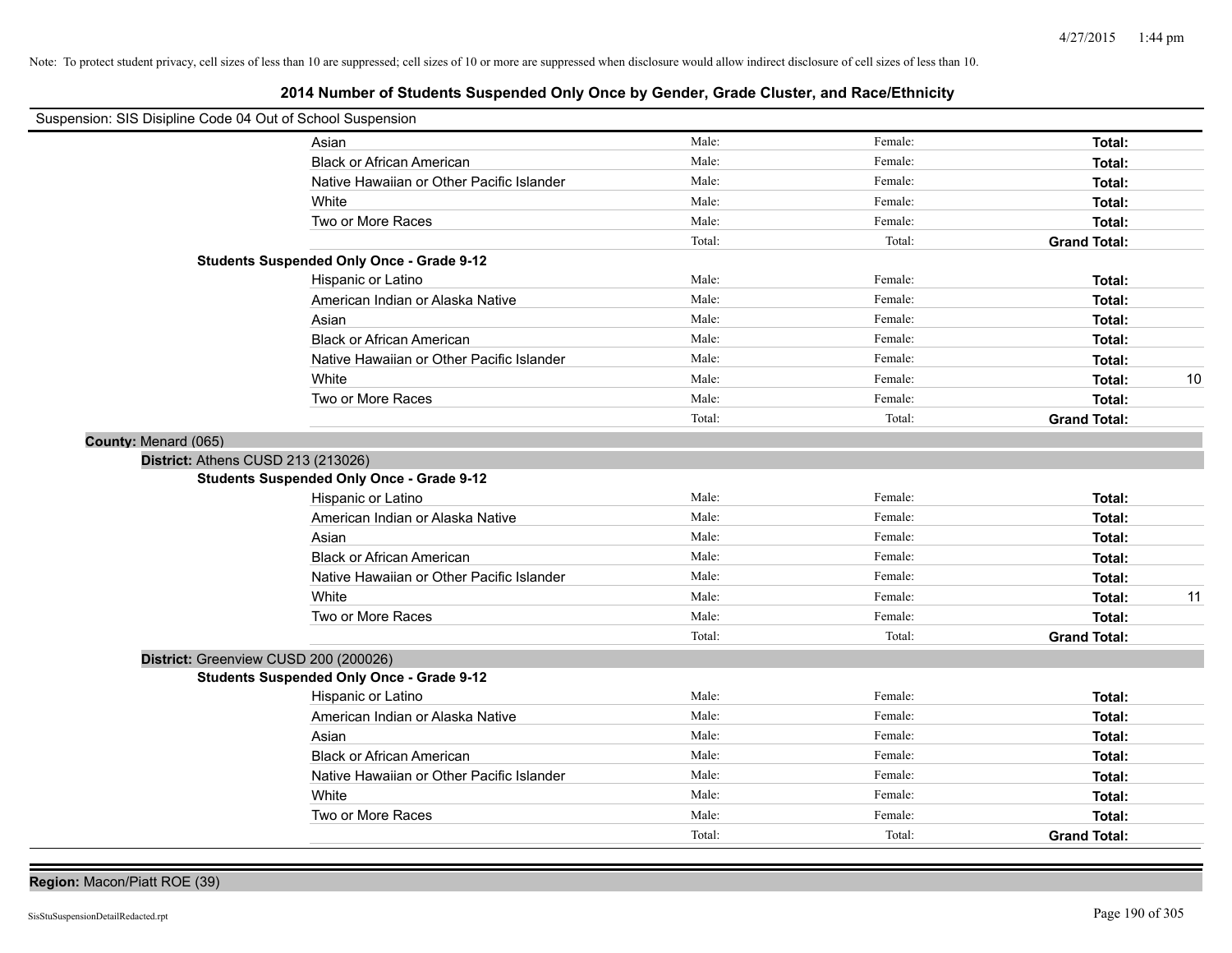# **2014 Number of Students Suspended Only Once by Gender, Grade Cluster, and Race/Ethnicity**

| Suspension: SIS Disipline Code 04 Out of School Suspension |                                           |        |         |                     |    |
|------------------------------------------------------------|-------------------------------------------|--------|---------|---------------------|----|
| Asian                                                      |                                           | Male:  | Female: | Total:              |    |
|                                                            | <b>Black or African American</b>          | Male:  | Female: | Total:              |    |
|                                                            | Native Hawaiian or Other Pacific Islander | Male:  | Female: | Total:              |    |
| White                                                      |                                           | Male:  | Female: | Total:              |    |
| Two or More Races                                          |                                           | Male:  | Female: | Total:              |    |
|                                                            |                                           | Total: | Total:  | <b>Grand Total:</b> |    |
| <b>Students Suspended Only Once - Grade 9-12</b>           |                                           |        |         |                     |    |
| Hispanic or Latino                                         |                                           | Male:  | Female: | Total:              |    |
|                                                            | American Indian or Alaska Native          | Male:  | Female: | Total:              |    |
| Asian                                                      |                                           | Male:  | Female: | Total:              |    |
|                                                            | <b>Black or African American</b>          | Male:  | Female: | Total:              |    |
|                                                            | Native Hawaiian or Other Pacific Islander | Male:  | Female: | Total:              |    |
| White                                                      |                                           | Male:  | Female: | Total:              | 10 |
| Two or More Races                                          |                                           | Male:  | Female: | Total:              |    |
|                                                            |                                           | Total: | Total:  | <b>Grand Total:</b> |    |
| County: Menard (065)                                       |                                           |        |         |                     |    |
| District: Athens CUSD 213 (213026)                         |                                           |        |         |                     |    |
| <b>Students Suspended Only Once - Grade 9-12</b>           |                                           |        |         |                     |    |
| Hispanic or Latino                                         |                                           | Male:  | Female: | Total:              |    |
|                                                            | American Indian or Alaska Native          | Male:  | Female: | Total:              |    |
| Asian                                                      |                                           | Male:  | Female: | Total:              |    |
|                                                            | <b>Black or African American</b>          | Male:  | Female: | Total:              |    |
|                                                            | Native Hawaiian or Other Pacific Islander | Male:  | Female: | Total:              |    |
| White                                                      |                                           | Male:  | Female: | Total:              | 11 |
| Two or More Races                                          |                                           | Male:  | Female: | Total:              |    |
|                                                            |                                           | Total: | Total:  | <b>Grand Total:</b> |    |
| District: Greenview CUSD 200 (200026)                      |                                           |        |         |                     |    |
| <b>Students Suspended Only Once - Grade 9-12</b>           |                                           |        |         |                     |    |
| Hispanic or Latino                                         |                                           | Male:  | Female: | Total:              |    |
|                                                            | American Indian or Alaska Native          | Male:  | Female: | Total:              |    |
| Asian                                                      |                                           | Male:  | Female: | Total:              |    |
|                                                            | <b>Black or African American</b>          | Male:  | Female: | Total:              |    |
|                                                            | Native Hawaiian or Other Pacific Islander | Male:  | Female: | Total:              |    |
| White                                                      |                                           | Male:  | Female: | Total:              |    |
| Two or More Races                                          |                                           | Male:  | Female: | Total:              |    |
|                                                            |                                           | Total: | Total:  | <b>Grand Total:</b> |    |

**Region:** Macon/Piatt ROE (39)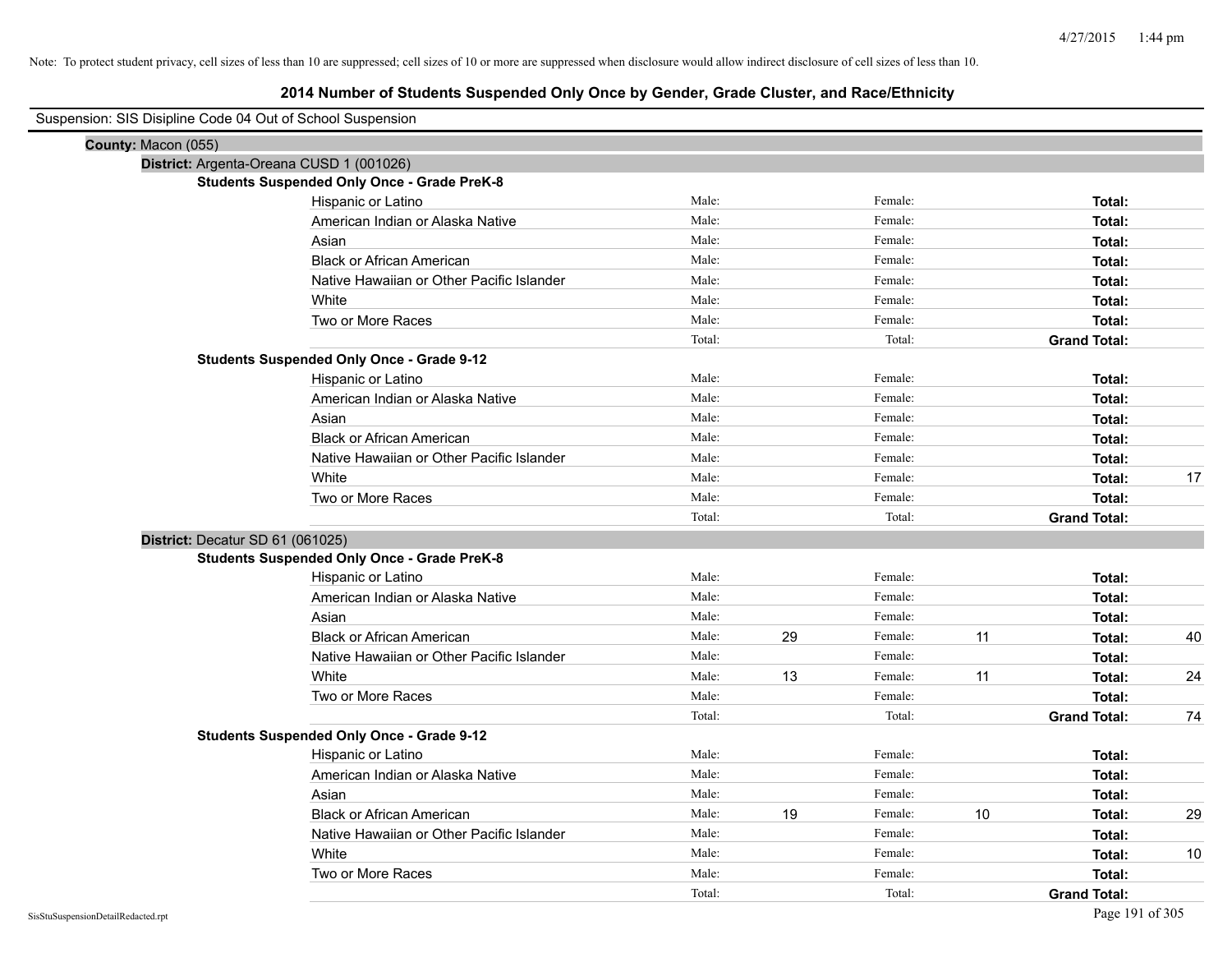| Suspension: SIS Disipline Code 04 Out of School Suspension |                                                    |        |    |         |    |                     |    |
|------------------------------------------------------------|----------------------------------------------------|--------|----|---------|----|---------------------|----|
| County: Macon (055)                                        |                                                    |        |    |         |    |                     |    |
|                                                            | District: Argenta-Oreana CUSD 1 (001026)           |        |    |         |    |                     |    |
|                                                            | <b>Students Suspended Only Once - Grade PreK-8</b> |        |    |         |    |                     |    |
|                                                            | Hispanic or Latino                                 | Male:  |    | Female: |    | Total:              |    |
|                                                            | American Indian or Alaska Native                   | Male:  |    | Female: |    | Total:              |    |
|                                                            | Asian                                              | Male:  |    | Female: |    | Total:              |    |
|                                                            | <b>Black or African American</b>                   | Male:  |    | Female: |    | Total:              |    |
|                                                            | Native Hawaiian or Other Pacific Islander          | Male:  |    | Female: |    | Total:              |    |
|                                                            | White                                              | Male:  |    | Female: |    | Total:              |    |
|                                                            | Two or More Races                                  | Male:  |    | Female: |    | Total:              |    |
|                                                            |                                                    | Total: |    | Total:  |    | <b>Grand Total:</b> |    |
|                                                            | <b>Students Suspended Only Once - Grade 9-12</b>   |        |    |         |    |                     |    |
|                                                            | Hispanic or Latino                                 | Male:  |    | Female: |    | Total:              |    |
|                                                            | American Indian or Alaska Native                   | Male:  |    | Female: |    | Total:              |    |
|                                                            | Asian                                              | Male:  |    | Female: |    | Total:              |    |
|                                                            | <b>Black or African American</b>                   | Male:  |    | Female: |    | Total:              |    |
|                                                            | Native Hawaiian or Other Pacific Islander          | Male:  |    | Female: |    | Total:              |    |
|                                                            | White                                              | Male:  |    | Female: |    | Total:              | 17 |
|                                                            | Two or More Races                                  | Male:  |    | Female: |    | Total:              |    |
|                                                            |                                                    | Total: |    | Total:  |    | <b>Grand Total:</b> |    |
| District: Decatur SD 61 (061025)                           |                                                    |        |    |         |    |                     |    |
|                                                            | <b>Students Suspended Only Once - Grade PreK-8</b> |        |    |         |    |                     |    |
|                                                            | Hispanic or Latino                                 | Male:  |    | Female: |    | Total:              |    |
|                                                            | American Indian or Alaska Native                   | Male:  |    | Female: |    | Total:              |    |
|                                                            | Asian                                              | Male:  |    | Female: |    | Total:              |    |
|                                                            | <b>Black or African American</b>                   | Male:  | 29 | Female: | 11 | Total:              | 40 |
|                                                            | Native Hawaiian or Other Pacific Islander          | Male:  |    | Female: |    | Total:              |    |
|                                                            | White                                              | Male:  | 13 | Female: | 11 | Total:              | 24 |
|                                                            | Two or More Races                                  | Male:  |    | Female: |    | Total:              |    |
|                                                            |                                                    | Total: |    | Total:  |    | <b>Grand Total:</b> | 74 |
|                                                            | <b>Students Suspended Only Once - Grade 9-12</b>   |        |    |         |    |                     |    |
|                                                            | Hispanic or Latino                                 | Male:  |    | Female: |    | Total:              |    |
|                                                            | American Indian or Alaska Native                   | Male:  |    | Female: |    | Total:              |    |
|                                                            | Asian                                              | Male:  |    | Female: |    | Total:              |    |
|                                                            | <b>Black or African American</b>                   | Male:  | 19 | Female: | 10 | Total:              | 29 |
|                                                            | Native Hawaiian or Other Pacific Islander          | Male:  |    | Female: |    | Total:              |    |
|                                                            | White                                              | Male:  |    | Female: |    | Total:              | 10 |
|                                                            | Two or More Races                                  | Male:  |    | Female: |    | Total:              |    |
|                                                            |                                                    | Total: |    | Total:  |    | <b>Grand Total:</b> |    |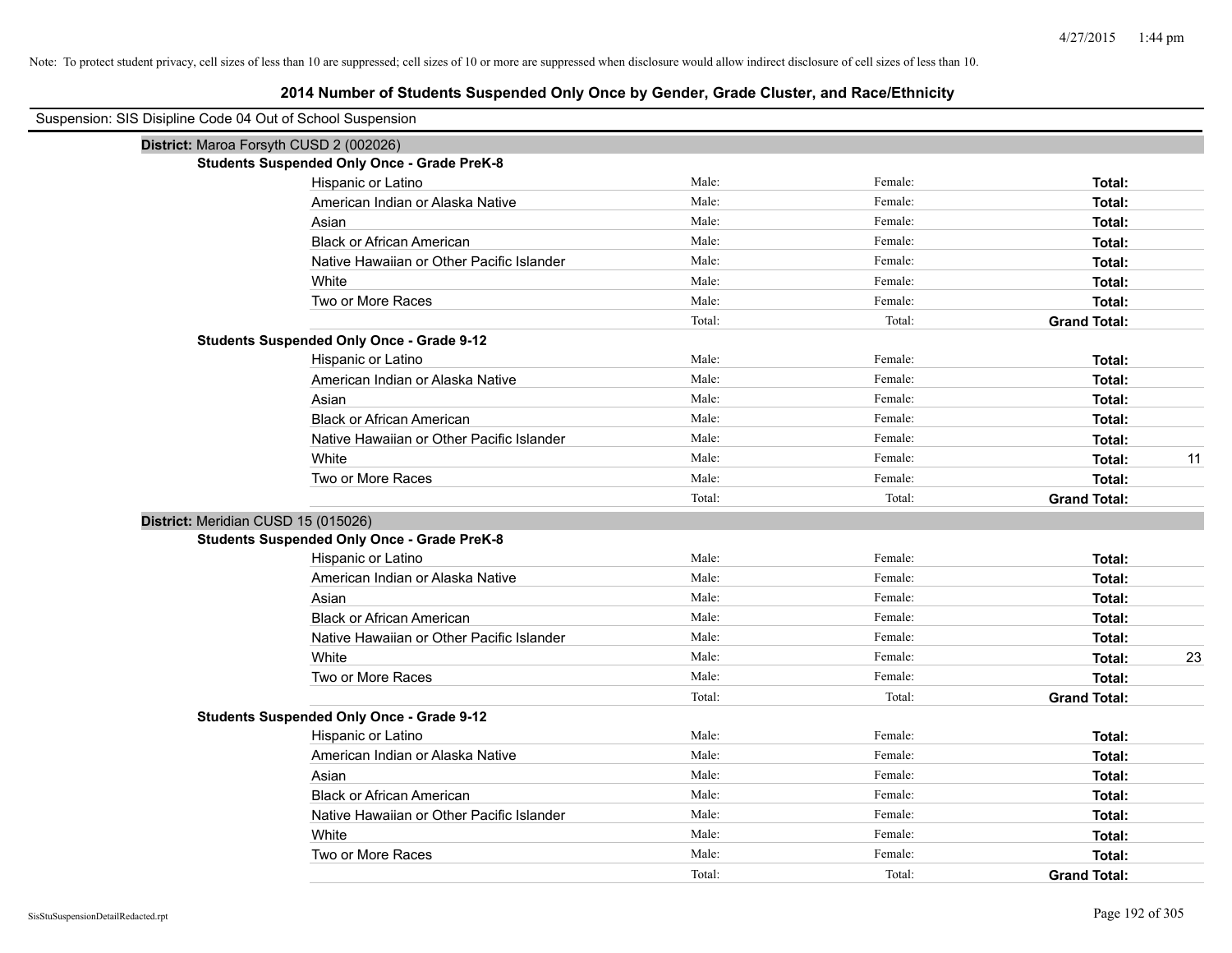| Suspension: SIS Disipline Code 04 Out of School Suspension |                                                    |        |         |                     |
|------------------------------------------------------------|----------------------------------------------------|--------|---------|---------------------|
|                                                            | District: Maroa Forsyth CUSD 2 (002026)            |        |         |                     |
|                                                            | <b>Students Suspended Only Once - Grade PreK-8</b> |        |         |                     |
|                                                            | Hispanic or Latino                                 | Male:  | Female: | Total:              |
|                                                            | American Indian or Alaska Native                   | Male:  | Female: | Total:              |
|                                                            | Asian                                              | Male:  | Female: | Total:              |
|                                                            | <b>Black or African American</b>                   | Male:  | Female: | Total:              |
|                                                            | Native Hawaiian or Other Pacific Islander          | Male:  | Female: | Total:              |
|                                                            | White                                              | Male:  | Female: | Total:              |
|                                                            | Two or More Races                                  | Male:  | Female: | Total:              |
|                                                            |                                                    | Total: | Total:  | <b>Grand Total:</b> |
|                                                            | <b>Students Suspended Only Once - Grade 9-12</b>   |        |         |                     |
|                                                            | Hispanic or Latino                                 | Male:  | Female: | Total:              |
|                                                            | American Indian or Alaska Native                   | Male:  | Female: | Total:              |
|                                                            | Asian                                              | Male:  | Female: | Total:              |
|                                                            | <b>Black or African American</b>                   | Male:  | Female: | Total:              |
|                                                            | Native Hawaiian or Other Pacific Islander          | Male:  | Female: | Total:              |
|                                                            | White                                              | Male:  | Female: | 11<br>Total:        |
|                                                            | Two or More Races                                  | Male:  | Female: | Total:              |
|                                                            |                                                    | Total: | Total:  | <b>Grand Total:</b> |
| District: Meridian CUSD 15 (015026)                        |                                                    |        |         |                     |
|                                                            | <b>Students Suspended Only Once - Grade PreK-8</b> |        |         |                     |
|                                                            | Hispanic or Latino                                 | Male:  | Female: | Total:              |
|                                                            | American Indian or Alaska Native                   | Male:  | Female: | Total:              |
|                                                            | Asian                                              | Male:  | Female: | Total:              |
|                                                            | <b>Black or African American</b>                   | Male:  | Female: | Total:              |
|                                                            | Native Hawaiian or Other Pacific Islander          | Male:  | Female: | Total:              |
|                                                            | White                                              | Male:  | Female: | 23<br>Total:        |
|                                                            | Two or More Races                                  | Male:  | Female: | Total:              |
|                                                            |                                                    | Total: | Total:  | <b>Grand Total:</b> |
|                                                            | <b>Students Suspended Only Once - Grade 9-12</b>   |        |         |                     |
|                                                            | Hispanic or Latino                                 | Male:  | Female: | Total:              |
|                                                            | American Indian or Alaska Native                   | Male:  | Female: | Total:              |
|                                                            | Asian                                              | Male:  | Female: | Total:              |
|                                                            | <b>Black or African American</b>                   | Male:  | Female: | Total:              |
|                                                            | Native Hawaiian or Other Pacific Islander          | Male:  | Female: | Total:              |
|                                                            | White                                              | Male:  | Female: | Total:              |
|                                                            | Two or More Races                                  | Male:  | Female: | Total:              |
|                                                            |                                                    | Total: | Total:  | <b>Grand Total:</b> |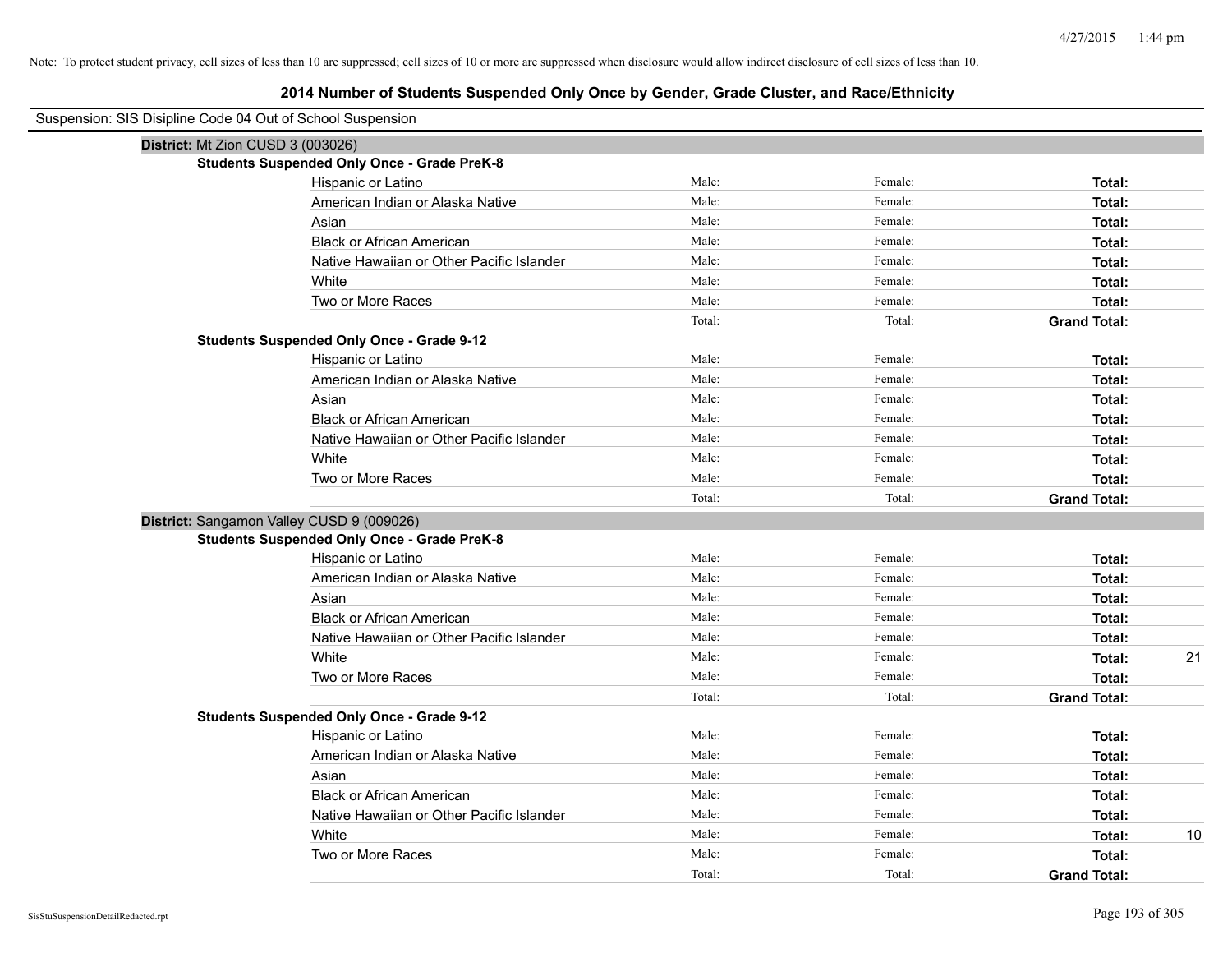| Suspension: SIS Disipline Code 04 Out of School Suspension |                                                    |        |         |                     |    |
|------------------------------------------------------------|----------------------------------------------------|--------|---------|---------------------|----|
| District: Mt Zion CUSD 3 (003026)                          |                                                    |        |         |                     |    |
|                                                            | <b>Students Suspended Only Once - Grade PreK-8</b> |        |         |                     |    |
|                                                            | Hispanic or Latino                                 | Male:  | Female: | Total:              |    |
|                                                            | American Indian or Alaska Native                   | Male:  | Female: | Total:              |    |
|                                                            | Asian                                              | Male:  | Female: | Total:              |    |
|                                                            | <b>Black or African American</b>                   | Male:  | Female: | Total:              |    |
|                                                            | Native Hawaiian or Other Pacific Islander          | Male:  | Female: | Total:              |    |
|                                                            | White                                              | Male:  | Female: | Total:              |    |
|                                                            | Two or More Races                                  | Male:  | Female: | Total:              |    |
|                                                            |                                                    | Total: | Total:  | <b>Grand Total:</b> |    |
|                                                            | <b>Students Suspended Only Once - Grade 9-12</b>   |        |         |                     |    |
|                                                            | Hispanic or Latino                                 | Male:  | Female: | Total:              |    |
|                                                            | American Indian or Alaska Native                   | Male:  | Female: | Total:              |    |
|                                                            | Asian                                              | Male:  | Female: | Total:              |    |
|                                                            | <b>Black or African American</b>                   | Male:  | Female: | Total:              |    |
|                                                            | Native Hawaiian or Other Pacific Islander          | Male:  | Female: | Total:              |    |
|                                                            | White                                              | Male:  | Female: | Total:              |    |
|                                                            | Two or More Races                                  | Male:  | Female: | Total:              |    |
|                                                            |                                                    | Total: | Total:  | <b>Grand Total:</b> |    |
|                                                            | District: Sangamon Valley CUSD 9 (009026)          |        |         |                     |    |
|                                                            | <b>Students Suspended Only Once - Grade PreK-8</b> |        |         |                     |    |
|                                                            | Hispanic or Latino                                 | Male:  | Female: | Total:              |    |
|                                                            | American Indian or Alaska Native                   | Male:  | Female: | Total:              |    |
|                                                            | Asian                                              | Male:  | Female: | Total:              |    |
|                                                            | <b>Black or African American</b>                   | Male:  | Female: | Total:              |    |
|                                                            | Native Hawaiian or Other Pacific Islander          | Male:  | Female: | Total:              |    |
|                                                            | White                                              | Male:  | Female: | Total:              | 21 |
|                                                            | Two or More Races                                  | Male:  | Female: | Total:              |    |
|                                                            |                                                    | Total: | Total:  | <b>Grand Total:</b> |    |
|                                                            | <b>Students Suspended Only Once - Grade 9-12</b>   |        |         |                     |    |
|                                                            | Hispanic or Latino                                 | Male:  | Female: | Total:              |    |
|                                                            | American Indian or Alaska Native                   | Male:  | Female: | Total:              |    |
|                                                            | Asian                                              | Male:  | Female: | Total:              |    |
|                                                            | <b>Black or African American</b>                   | Male:  | Female: | Total:              |    |
|                                                            | Native Hawaiian or Other Pacific Islander          | Male:  | Female: | Total:              |    |
|                                                            | White                                              | Male:  | Female: | Total:              | 10 |
|                                                            | Two or More Races                                  | Male:  | Female: | Total:              |    |
|                                                            |                                                    | Total: | Total:  | <b>Grand Total:</b> |    |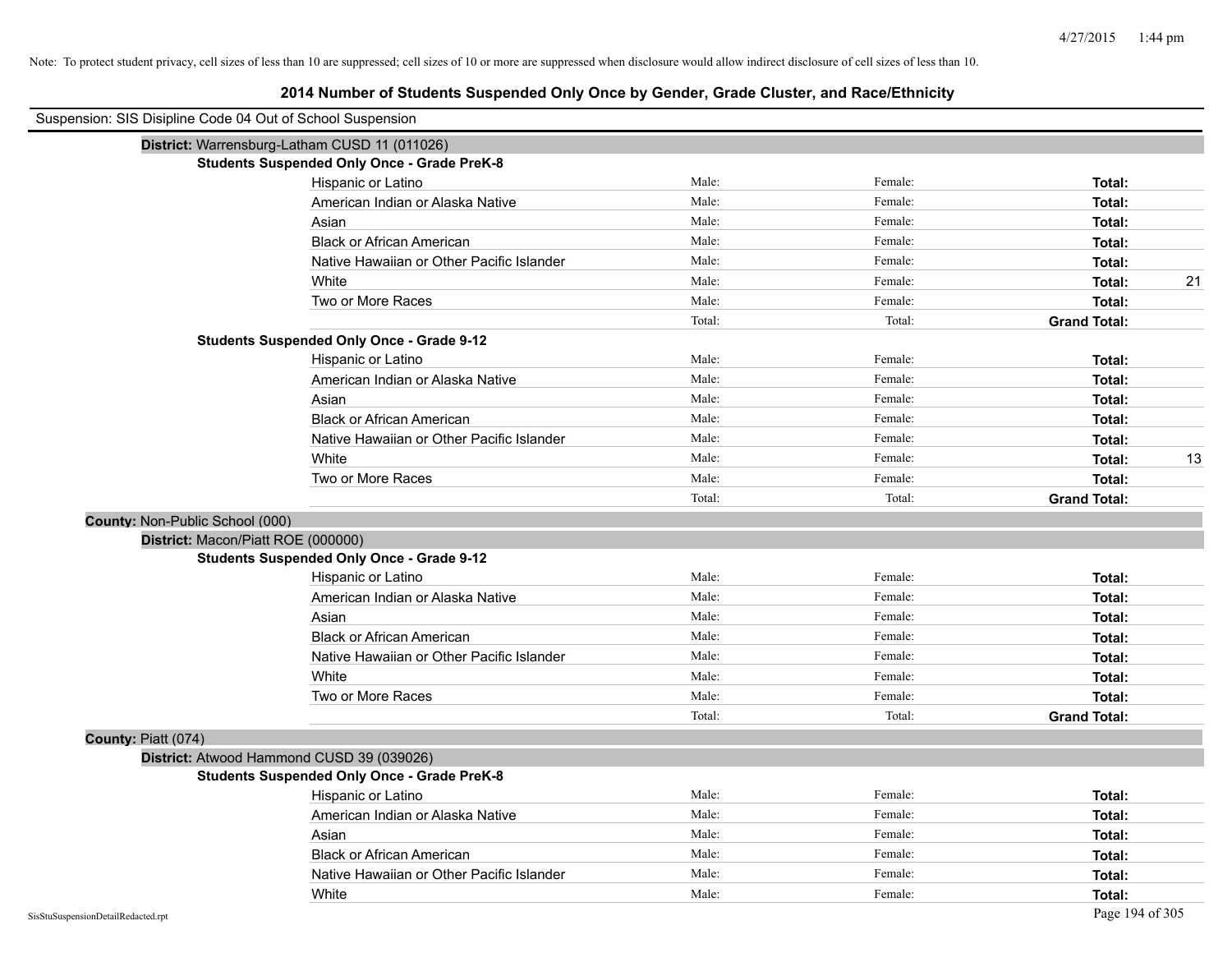| Suspension: SIS Disipline Code 04 Out of School Suspension |                                                    |        |         |                     |    |
|------------------------------------------------------------|----------------------------------------------------|--------|---------|---------------------|----|
|                                                            | District: Warrensburg-Latham CUSD 11 (011026)      |        |         |                     |    |
|                                                            | <b>Students Suspended Only Once - Grade PreK-8</b> |        |         |                     |    |
|                                                            | Hispanic or Latino                                 | Male:  | Female: | Total:              |    |
|                                                            | American Indian or Alaska Native                   | Male:  | Female: | Total:              |    |
|                                                            | Asian                                              | Male:  | Female: | Total:              |    |
|                                                            | <b>Black or African American</b>                   | Male:  | Female: | Total:              |    |
|                                                            | Native Hawaiian or Other Pacific Islander          | Male:  | Female: | Total:              |    |
|                                                            | White                                              | Male:  | Female: | Total:              | 21 |
|                                                            | Two or More Races                                  | Male:  | Female: | Total:              |    |
|                                                            |                                                    | Total: | Total:  | <b>Grand Total:</b> |    |
|                                                            | <b>Students Suspended Only Once - Grade 9-12</b>   |        |         |                     |    |
|                                                            | Hispanic or Latino                                 | Male:  | Female: | Total:              |    |
|                                                            | American Indian or Alaska Native                   | Male:  | Female: | Total:              |    |
|                                                            | Asian                                              | Male:  | Female: | Total:              |    |
|                                                            | <b>Black or African American</b>                   | Male:  | Female: | Total:              |    |
|                                                            | Native Hawaiian or Other Pacific Islander          | Male:  | Female: | Total:              |    |
|                                                            | White                                              | Male:  | Female: | Total:              | 13 |
|                                                            | Two or More Races                                  | Male:  | Female: | Total:              |    |
|                                                            |                                                    | Total: | Total:  | <b>Grand Total:</b> |    |
| County: Non-Public School (000)                            |                                                    |        |         |                     |    |
| District: Macon/Piatt ROE (000000)                         |                                                    |        |         |                     |    |
|                                                            | <b>Students Suspended Only Once - Grade 9-12</b>   |        |         |                     |    |
|                                                            | Hispanic or Latino                                 | Male:  | Female: | Total:              |    |
|                                                            | American Indian or Alaska Native                   | Male:  | Female: | Total:              |    |
|                                                            | Asian                                              | Male:  | Female: | Total:              |    |
|                                                            | <b>Black or African American</b>                   | Male:  | Female: | Total:              |    |
|                                                            | Native Hawaiian or Other Pacific Islander          | Male:  | Female: | Total:              |    |
|                                                            | White                                              | Male:  | Female: | Total:              |    |
|                                                            | Two or More Races                                  | Male:  | Female: | Total:              |    |
|                                                            |                                                    | Total: | Total:  | <b>Grand Total:</b> |    |
| County: Piatt (074)                                        |                                                    |        |         |                     |    |
|                                                            | District: Atwood Hammond CUSD 39 (039026)          |        |         |                     |    |
|                                                            | <b>Students Suspended Only Once - Grade PreK-8</b> |        |         |                     |    |
|                                                            | Hispanic or Latino                                 | Male:  | Female: | Total:              |    |
|                                                            | American Indian or Alaska Native                   | Male:  | Female: | Total:              |    |
|                                                            | Asian                                              | Male:  | Female: | Total:              |    |
|                                                            | <b>Black or African American</b>                   | Male:  | Female: | Total:              |    |
|                                                            | Native Hawaiian or Other Pacific Islander          | Male:  | Female: | Total:              |    |
|                                                            | White                                              | Male:  | Female: | Total:              |    |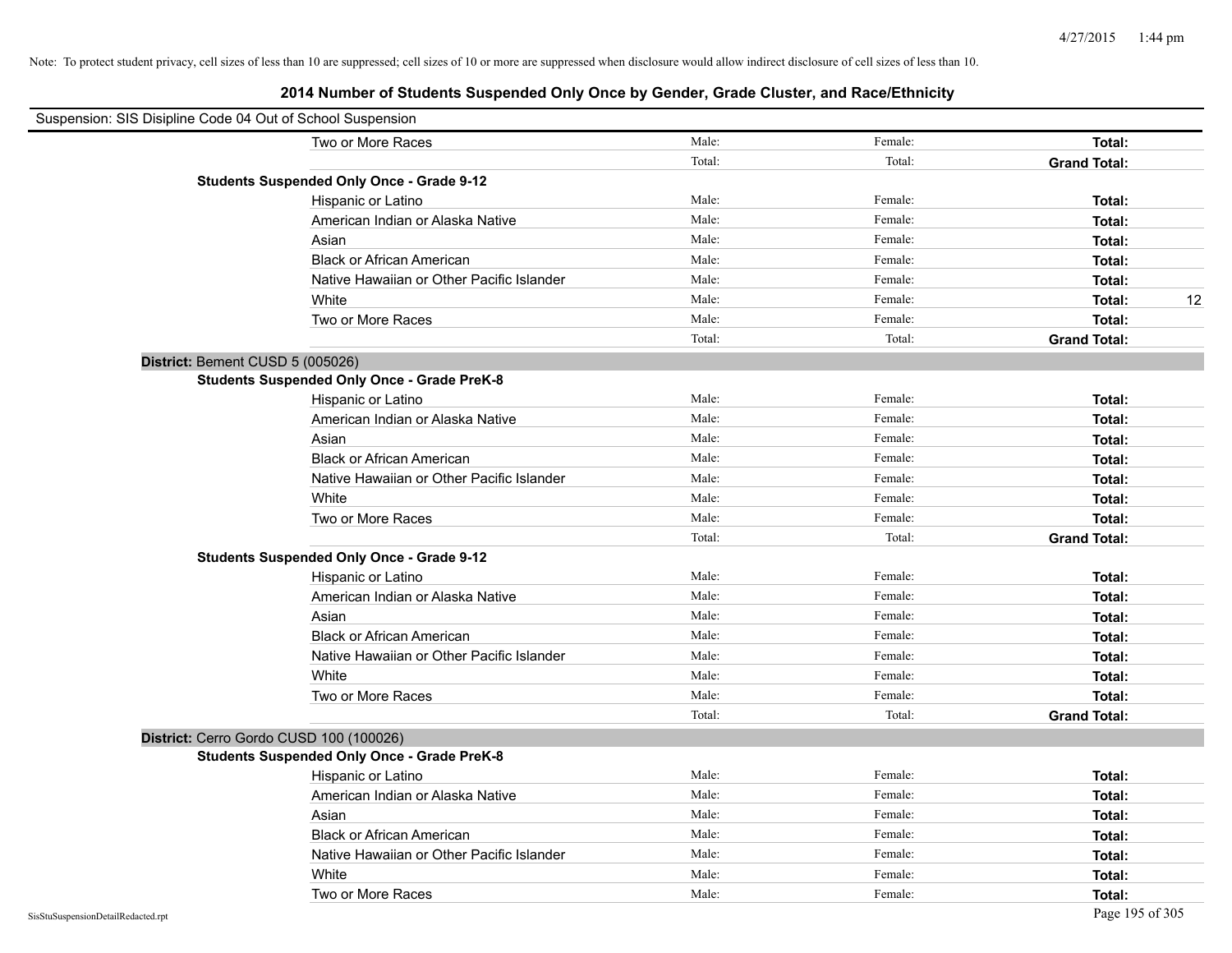| Suspension: SIS Disipline Code 04 Out of School Suspension |                                                    |        |         |                     |
|------------------------------------------------------------|----------------------------------------------------|--------|---------|---------------------|
|                                                            | Two or More Races                                  | Male:  | Female: | <b>Total:</b>       |
|                                                            |                                                    | Total: | Total:  | <b>Grand Total:</b> |
|                                                            | <b>Students Suspended Only Once - Grade 9-12</b>   |        |         |                     |
|                                                            | Hispanic or Latino                                 | Male:  | Female: | Total:              |
|                                                            | American Indian or Alaska Native                   | Male:  | Female: | Total:              |
|                                                            | Asian                                              | Male:  | Female: | Total:              |
|                                                            | <b>Black or African American</b>                   | Male:  | Female: | Total:              |
|                                                            | Native Hawaiian or Other Pacific Islander          | Male:  | Female: | Total:              |
|                                                            | White                                              | Male:  | Female: | 12<br>Total:        |
|                                                            | Two or More Races                                  | Male:  | Female: | Total:              |
|                                                            |                                                    | Total: | Total:  | <b>Grand Total:</b> |
| District: Bement CUSD 5 (005026)                           |                                                    |        |         |                     |
|                                                            | <b>Students Suspended Only Once - Grade PreK-8</b> |        |         |                     |
|                                                            | Hispanic or Latino                                 | Male:  | Female: | Total:              |
|                                                            | American Indian or Alaska Native                   | Male:  | Female: | Total:              |
|                                                            | Asian                                              | Male:  | Female: | Total:              |
|                                                            | <b>Black or African American</b>                   | Male:  | Female: | Total:              |
|                                                            | Native Hawaiian or Other Pacific Islander          | Male:  | Female: | Total:              |
|                                                            | White                                              | Male:  | Female: | Total:              |
|                                                            | Two or More Races                                  | Male:  | Female: | Total:              |
|                                                            |                                                    | Total: | Total:  | <b>Grand Total:</b> |
|                                                            | <b>Students Suspended Only Once - Grade 9-12</b>   |        |         |                     |
|                                                            | Hispanic or Latino                                 | Male:  | Female: | Total:              |
|                                                            | American Indian or Alaska Native                   | Male:  | Female: | Total:              |
|                                                            | Asian                                              | Male:  | Female: | Total:              |
|                                                            | <b>Black or African American</b>                   | Male:  | Female: | Total:              |
|                                                            | Native Hawaiian or Other Pacific Islander          | Male:  | Female: | Total:              |
|                                                            | White                                              | Male:  | Female: | Total:              |
|                                                            | Two or More Races                                  | Male:  | Female: | Total:              |
|                                                            |                                                    | Total: | Total:  | <b>Grand Total:</b> |
| District: Cerro Gordo CUSD 100 (100026)                    |                                                    |        |         |                     |
|                                                            | <b>Students Suspended Only Once - Grade PreK-8</b> |        |         |                     |
|                                                            | Hispanic or Latino                                 | Male:  | Female: | Total:              |
|                                                            | American Indian or Alaska Native                   | Male:  | Female: | Total:              |
|                                                            | Asian                                              | Male:  | Female: | Total:              |
|                                                            | <b>Black or African American</b>                   | Male:  | Female: | Total:              |
|                                                            | Native Hawaiian or Other Pacific Islander          | Male:  | Female: | Total:              |
|                                                            | White                                              | Male:  | Female: | Total:              |
|                                                            | Two or More Races                                  | Male:  | Female: | Total:              |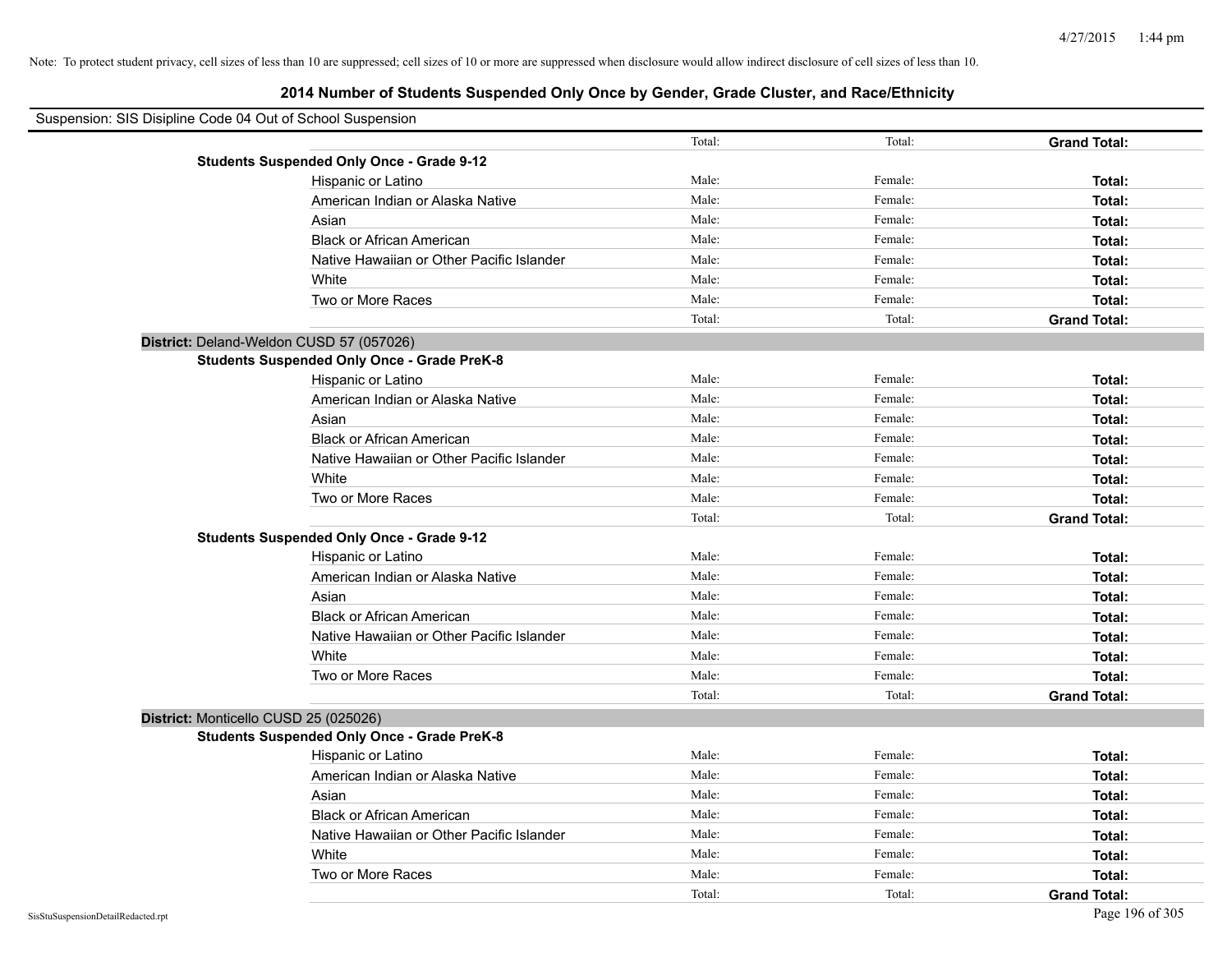| Suspension: SIS Disipline Code 04 Out of School Suspension |                                                    |        |         |                     |
|------------------------------------------------------------|----------------------------------------------------|--------|---------|---------------------|
|                                                            |                                                    | Total: | Total:  | <b>Grand Total:</b> |
|                                                            | <b>Students Suspended Only Once - Grade 9-12</b>   |        |         |                     |
|                                                            | Hispanic or Latino                                 | Male:  | Female: | Total:              |
|                                                            | American Indian or Alaska Native                   | Male:  | Female: | Total:              |
|                                                            | Asian                                              | Male:  | Female: | Total:              |
|                                                            | <b>Black or African American</b>                   | Male:  | Female: | Total:              |
|                                                            | Native Hawaiian or Other Pacific Islander          | Male:  | Female: | Total:              |
|                                                            | White                                              | Male:  | Female: | Total:              |
|                                                            | Two or More Races                                  | Male:  | Female: | Total:              |
|                                                            |                                                    | Total: | Total:  | <b>Grand Total:</b> |
| District: Deland-Weldon CUSD 57 (057026)                   |                                                    |        |         |                     |
|                                                            | <b>Students Suspended Only Once - Grade PreK-8</b> |        |         |                     |
|                                                            | Hispanic or Latino                                 | Male:  | Female: | Total:              |
|                                                            | American Indian or Alaska Native                   | Male:  | Female: | Total:              |
|                                                            | Asian                                              | Male:  | Female: | Total:              |
|                                                            | <b>Black or African American</b>                   | Male:  | Female: | Total:              |
|                                                            | Native Hawaiian or Other Pacific Islander          | Male:  | Female: | Total:              |
|                                                            | White                                              | Male:  | Female: | Total:              |
|                                                            | Two or More Races                                  | Male:  | Female: | Total:              |
|                                                            |                                                    | Total: | Total:  | <b>Grand Total:</b> |
|                                                            | <b>Students Suspended Only Once - Grade 9-12</b>   |        |         |                     |
|                                                            | Hispanic or Latino                                 | Male:  | Female: | Total:              |
|                                                            | American Indian or Alaska Native                   | Male:  | Female: | Total:              |
|                                                            | Asian                                              | Male:  | Female: | Total:              |
|                                                            | <b>Black or African American</b>                   | Male:  | Female: | Total:              |
|                                                            | Native Hawaiian or Other Pacific Islander          | Male:  | Female: | Total:              |
|                                                            | White                                              | Male:  | Female: | Total:              |
|                                                            | Two or More Races                                  | Male:  | Female: | Total:              |
|                                                            |                                                    | Total: | Total:  | <b>Grand Total:</b> |
| District: Monticello CUSD 25 (025026)                      |                                                    |        |         |                     |
|                                                            | <b>Students Suspended Only Once - Grade PreK-8</b> |        |         |                     |
|                                                            | Hispanic or Latino                                 | Male:  | Female: | Total:              |
|                                                            | American Indian or Alaska Native                   | Male:  | Female: | Total:              |
|                                                            | Asian                                              | Male:  | Female: | Total:              |
|                                                            | <b>Black or African American</b>                   | Male:  | Female: | Total:              |
|                                                            | Native Hawaiian or Other Pacific Islander          | Male:  | Female: | Total:              |
|                                                            | White                                              | Male:  | Female: | Total:              |
|                                                            | Two or More Races                                  | Male:  | Female: | Total:              |
|                                                            |                                                    | Total: | Total:  | <b>Grand Total:</b> |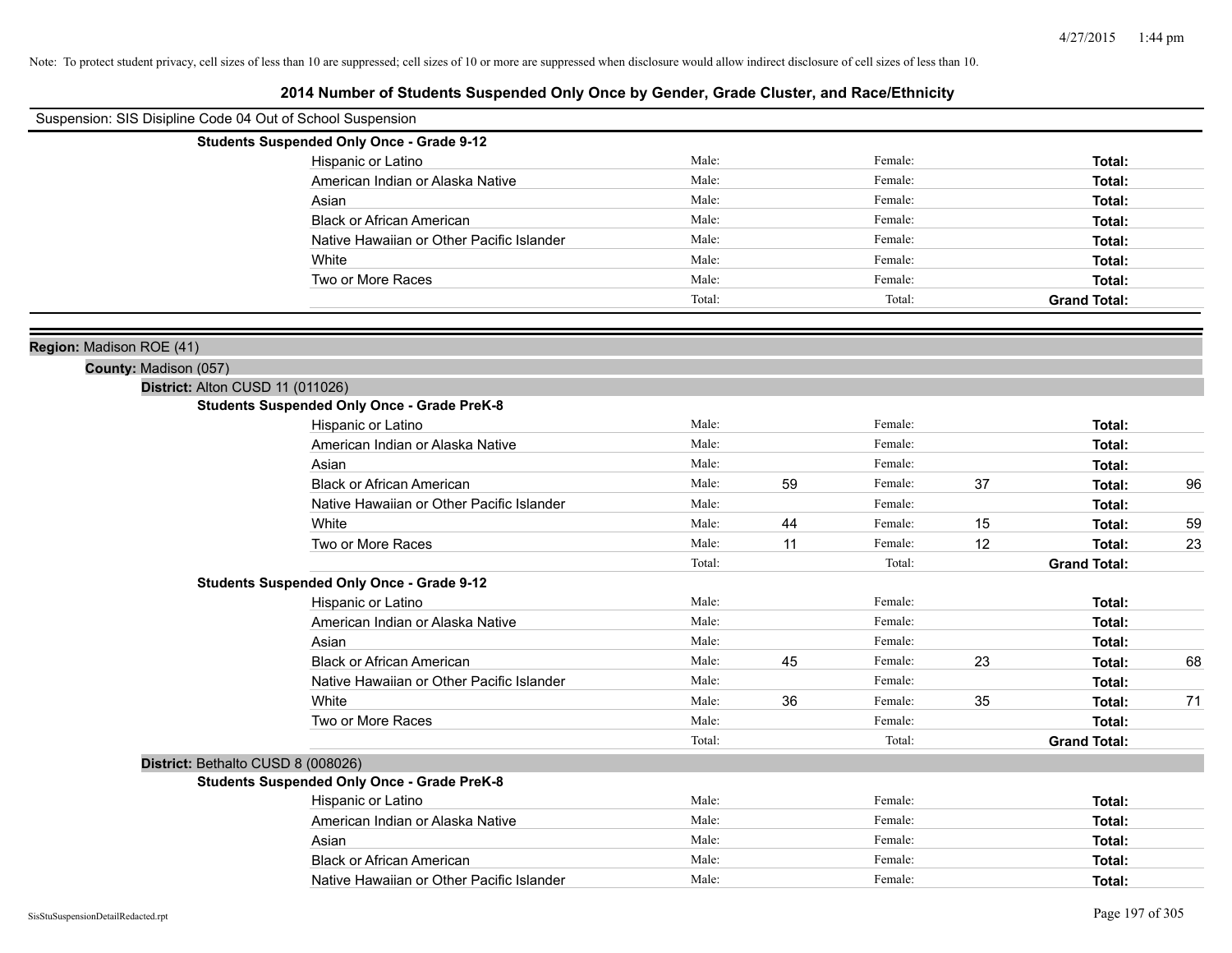| Suspension: SIS Disipline Code 04 Out of School Suspension |                                                    |        |    |         |    |                     |    |
|------------------------------------------------------------|----------------------------------------------------|--------|----|---------|----|---------------------|----|
|                                                            | <b>Students Suspended Only Once - Grade 9-12</b>   |        |    |         |    |                     |    |
|                                                            | Hispanic or Latino                                 | Male:  |    | Female: |    | Total:              |    |
|                                                            | American Indian or Alaska Native                   | Male:  |    | Female: |    | Total:              |    |
|                                                            | Asian                                              | Male:  |    | Female: |    | Total:              |    |
|                                                            | <b>Black or African American</b>                   | Male:  |    | Female: |    | Total:              |    |
|                                                            | Native Hawaiian or Other Pacific Islander          | Male:  |    | Female: |    | Total:              |    |
|                                                            | White                                              | Male:  |    | Female: |    | Total:              |    |
|                                                            | Two or More Races                                  | Male:  |    | Female: |    | Total:              |    |
|                                                            |                                                    | Total: |    | Total:  |    | <b>Grand Total:</b> |    |
|                                                            |                                                    |        |    |         |    |                     |    |
| Region: Madison ROE (41)                                   |                                                    |        |    |         |    |                     |    |
| County: Madison (057)                                      |                                                    |        |    |         |    |                     |    |
| District: Alton CUSD 11 (011026)                           | <b>Students Suspended Only Once - Grade PreK-8</b> |        |    |         |    |                     |    |
|                                                            | Hispanic or Latino                                 | Male:  |    | Female: |    | Total:              |    |
|                                                            | American Indian or Alaska Native                   | Male:  |    | Female: |    | Total:              |    |
|                                                            | Asian                                              | Male:  |    | Female: |    | Total:              |    |
|                                                            | <b>Black or African American</b>                   | Male:  | 59 | Female: | 37 | Total:              | 96 |
|                                                            | Native Hawaiian or Other Pacific Islander          | Male:  |    | Female: |    | Total:              |    |
|                                                            | White                                              | Male:  | 44 | Female: | 15 | Total:              | 59 |
|                                                            | Two or More Races                                  | Male:  | 11 | Female: | 12 | Total:              | 23 |
|                                                            |                                                    | Total: |    | Total:  |    | <b>Grand Total:</b> |    |
|                                                            | <b>Students Suspended Only Once - Grade 9-12</b>   |        |    |         |    |                     |    |
|                                                            | Hispanic or Latino                                 | Male:  |    | Female: |    | Total:              |    |
|                                                            | American Indian or Alaska Native                   | Male:  |    | Female: |    | Total:              |    |
|                                                            | Asian                                              | Male:  |    | Female: |    | Total:              |    |
|                                                            | <b>Black or African American</b>                   | Male:  | 45 | Female: | 23 | Total:              | 68 |
|                                                            | Native Hawaiian or Other Pacific Islander          | Male:  |    | Female: |    | Total:              |    |
|                                                            | White                                              | Male:  | 36 | Female: | 35 | Total:              | 71 |
|                                                            | Two or More Races                                  | Male:  |    | Female: |    | Total:              |    |
|                                                            |                                                    | Total: |    | Total:  |    | <b>Grand Total:</b> |    |
| District: Bethalto CUSD 8 (008026)                         |                                                    |        |    |         |    |                     |    |
|                                                            | <b>Students Suspended Only Once - Grade PreK-8</b> |        |    |         |    |                     |    |
|                                                            | Hispanic or Latino                                 | Male:  |    | Female: |    | Total:              |    |
|                                                            | American Indian or Alaska Native                   | Male:  |    | Female: |    | Total:              |    |
|                                                            | Asian                                              | Male:  |    | Female: |    | Total:              |    |
|                                                            | <b>Black or African American</b>                   | Male:  |    | Female: |    | Total:              |    |
|                                                            | Native Hawaiian or Other Pacific Islander          | Male:  |    | Female: |    | Total:              |    |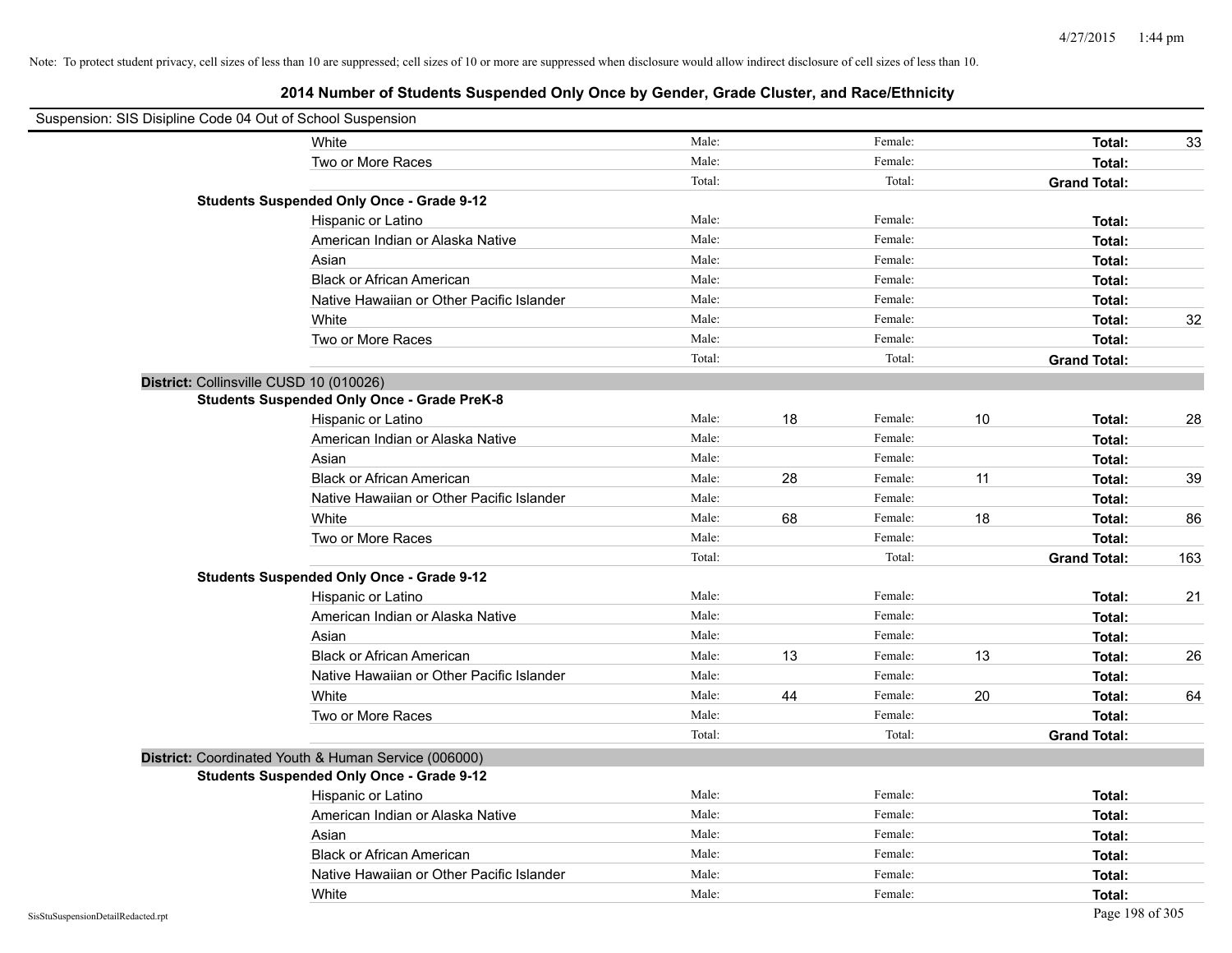| Suspension: SIS Disipline Code 04 Out of School Suspension |                                                      |        |    |         |    |                     |     |
|------------------------------------------------------------|------------------------------------------------------|--------|----|---------|----|---------------------|-----|
|                                                            | White                                                | Male:  |    | Female: |    | Total:              | 33  |
|                                                            | Two or More Races                                    | Male:  |    | Female: |    | Total:              |     |
|                                                            |                                                      | Total: |    | Total:  |    | <b>Grand Total:</b> |     |
|                                                            | <b>Students Suspended Only Once - Grade 9-12</b>     |        |    |         |    |                     |     |
|                                                            | Hispanic or Latino                                   | Male:  |    | Female: |    | Total:              |     |
|                                                            | American Indian or Alaska Native                     | Male:  |    | Female: |    | Total:              |     |
|                                                            | Asian                                                | Male:  |    | Female: |    | Total:              |     |
|                                                            | <b>Black or African American</b>                     | Male:  |    | Female: |    | Total:              |     |
|                                                            | Native Hawaiian or Other Pacific Islander            | Male:  |    | Female: |    | Total:              |     |
|                                                            | White                                                | Male:  |    | Female: |    | Total:              | 32  |
|                                                            | Two or More Races                                    | Male:  |    | Female: |    | Total:              |     |
|                                                            |                                                      | Total: |    | Total:  |    | <b>Grand Total:</b> |     |
| District: Collinsville CUSD 10 (010026)                    |                                                      |        |    |         |    |                     |     |
|                                                            | <b>Students Suspended Only Once - Grade PreK-8</b>   |        |    |         |    |                     |     |
|                                                            | Hispanic or Latino                                   | Male:  | 18 | Female: | 10 | Total:              | 28  |
|                                                            | American Indian or Alaska Native                     | Male:  |    | Female: |    | Total:              |     |
|                                                            | Asian                                                | Male:  |    | Female: |    | Total:              |     |
|                                                            | <b>Black or African American</b>                     | Male:  | 28 | Female: | 11 | Total:              | 39  |
|                                                            | Native Hawaiian or Other Pacific Islander            | Male:  |    | Female: |    | Total:              |     |
|                                                            | White                                                | Male:  | 68 | Female: | 18 | Total:              | 86  |
|                                                            | Two or More Races                                    | Male:  |    | Female: |    | Total:              |     |
|                                                            |                                                      | Total: |    | Total:  |    | <b>Grand Total:</b> | 163 |
|                                                            | <b>Students Suspended Only Once - Grade 9-12</b>     |        |    |         |    |                     |     |
|                                                            | Hispanic or Latino                                   | Male:  |    | Female: |    | Total:              | 21  |
|                                                            | American Indian or Alaska Native                     | Male:  |    | Female: |    | Total:              |     |
|                                                            | Asian                                                | Male:  |    | Female: |    | Total:              |     |
|                                                            | <b>Black or African American</b>                     | Male:  | 13 | Female: | 13 | Total:              | 26  |
|                                                            | Native Hawaiian or Other Pacific Islander            | Male:  |    | Female: |    | Total:              |     |
|                                                            | White                                                | Male:  | 44 | Female: | 20 | Total:              | 64  |
|                                                            | Two or More Races                                    | Male:  |    | Female: |    | Total:              |     |
|                                                            |                                                      | Total: |    | Total:  |    | <b>Grand Total:</b> |     |
|                                                            | District: Coordinated Youth & Human Service (006000) |        |    |         |    |                     |     |
|                                                            | <b>Students Suspended Only Once - Grade 9-12</b>     |        |    |         |    |                     |     |
|                                                            | Hispanic or Latino                                   | Male:  |    | Female: |    | Total:              |     |
|                                                            | American Indian or Alaska Native                     | Male:  |    | Female: |    | Total:              |     |
|                                                            | Asian                                                | Male:  |    | Female: |    | Total:              |     |
|                                                            | <b>Black or African American</b>                     | Male:  |    | Female: |    | Total:              |     |
|                                                            | Native Hawaiian or Other Pacific Islander            | Male:  |    | Female: |    | Total:              |     |
|                                                            | White                                                | Male:  |    | Female: |    | Total:              |     |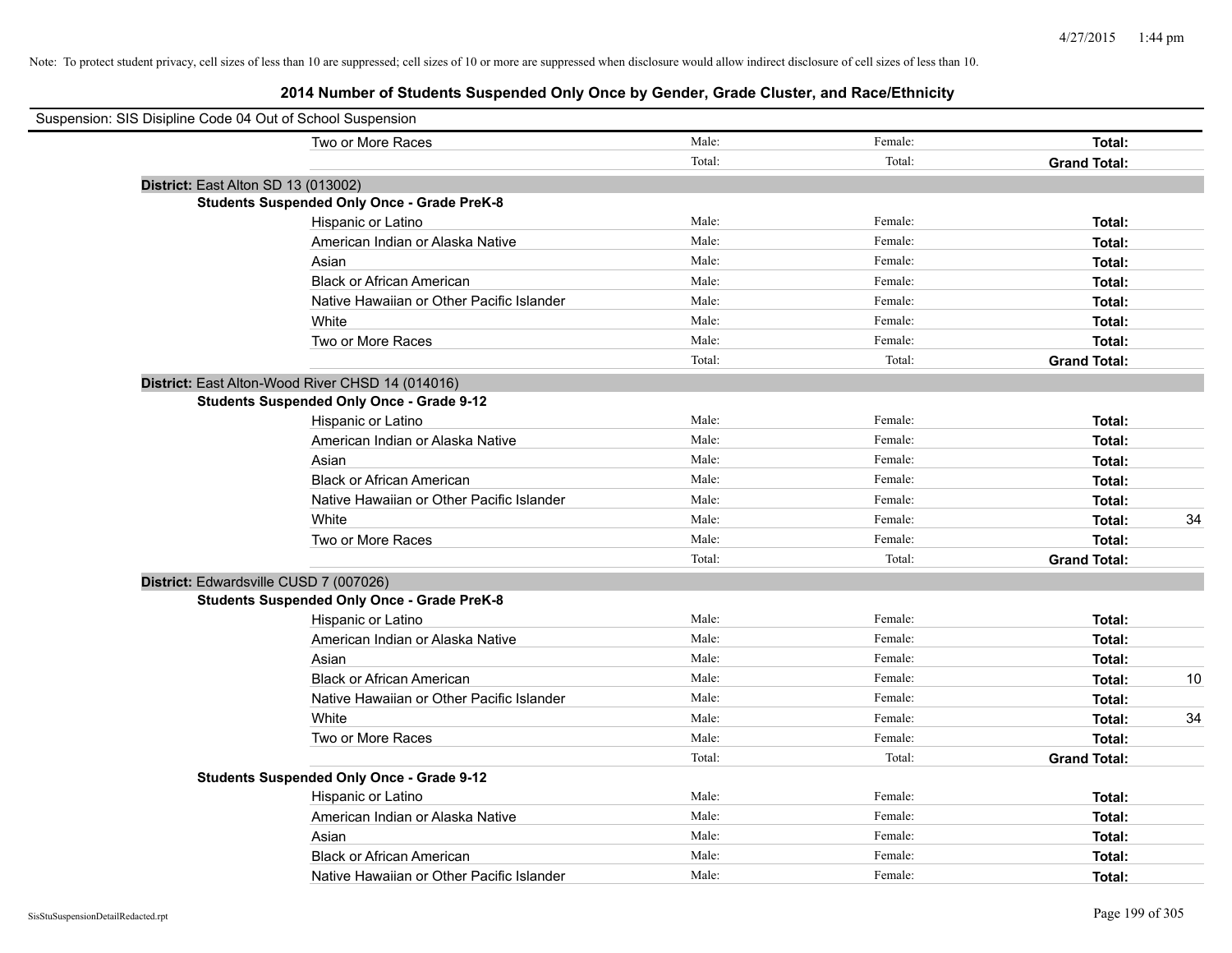# **2014 Number of Students Suspended Only Once by Gender, Grade Cluster, and Race/Ethnicity**

| Suspension: SIS Disipline Code 04 Out of School Suspension |                                                    |        |         |                     |    |
|------------------------------------------------------------|----------------------------------------------------|--------|---------|---------------------|----|
|                                                            | Two or More Races                                  | Male:  | Female: | Total:              |    |
|                                                            |                                                    | Total: | Total:  | <b>Grand Total:</b> |    |
| District: East Alton SD 13 (013002)                        |                                                    |        |         |                     |    |
|                                                            | <b>Students Suspended Only Once - Grade PreK-8</b> |        |         |                     |    |
|                                                            | Hispanic or Latino                                 | Male:  | Female: | Total:              |    |
|                                                            | American Indian or Alaska Native                   | Male:  | Female: | Total:              |    |
|                                                            | Asian                                              | Male:  | Female: | Total:              |    |
|                                                            | <b>Black or African American</b>                   | Male:  | Female: | Total:              |    |
|                                                            | Native Hawaiian or Other Pacific Islander          | Male:  | Female: | Total:              |    |
|                                                            | White                                              | Male:  | Female: | Total:              |    |
|                                                            | Two or More Races                                  | Male:  | Female: | Total:              |    |
|                                                            |                                                    | Total: | Total:  | <b>Grand Total:</b> |    |
|                                                            | District: East Alton-Wood River CHSD 14 (014016)   |        |         |                     |    |
|                                                            | <b>Students Suspended Only Once - Grade 9-12</b>   |        |         |                     |    |
|                                                            | Hispanic or Latino                                 | Male:  | Female: | Total:              |    |
|                                                            | American Indian or Alaska Native                   | Male:  | Female: | Total:              |    |
|                                                            | Asian                                              | Male:  | Female: | Total:              |    |
|                                                            | <b>Black or African American</b>                   | Male:  | Female: | Total:              |    |
|                                                            | Native Hawaiian or Other Pacific Islander          | Male:  | Female: | Total:              |    |
|                                                            | White                                              | Male:  | Female: | Total:              | 34 |
|                                                            | Two or More Races                                  | Male:  | Female: | Total:              |    |
|                                                            |                                                    | Total: | Total:  | <b>Grand Total:</b> |    |
|                                                            | District: Edwardsville CUSD 7 (007026)             |        |         |                     |    |
|                                                            | <b>Students Suspended Only Once - Grade PreK-8</b> |        |         |                     |    |
|                                                            | Hispanic or Latino                                 | Male:  | Female: | Total:              |    |
|                                                            | American Indian or Alaska Native                   | Male:  | Female: | Total:              |    |
|                                                            | Asian                                              | Male:  | Female: | Total:              |    |
|                                                            | <b>Black or African American</b>                   | Male:  | Female: | Total:              | 10 |
|                                                            | Native Hawaiian or Other Pacific Islander          | Male:  | Female: | Total:              |    |
|                                                            | White                                              | Male:  | Female: | Total:              | 34 |
|                                                            | Two or More Races                                  | Male:  | Female: | Total:              |    |
|                                                            |                                                    | Total: | Total:  | <b>Grand Total:</b> |    |
|                                                            | <b>Students Suspended Only Once - Grade 9-12</b>   |        |         |                     |    |
|                                                            | Hispanic or Latino                                 | Male:  | Female: | Total:              |    |
|                                                            | American Indian or Alaska Native                   | Male:  | Female: | Total:              |    |
|                                                            | Asian                                              | Male:  | Female: | Total:              |    |
|                                                            | <b>Black or African American</b>                   | Male:  | Female: | Total:              |    |
|                                                            | Native Hawaiian or Other Pacific Islander          | Male:  | Female: | Total:              |    |

 $\blacksquare$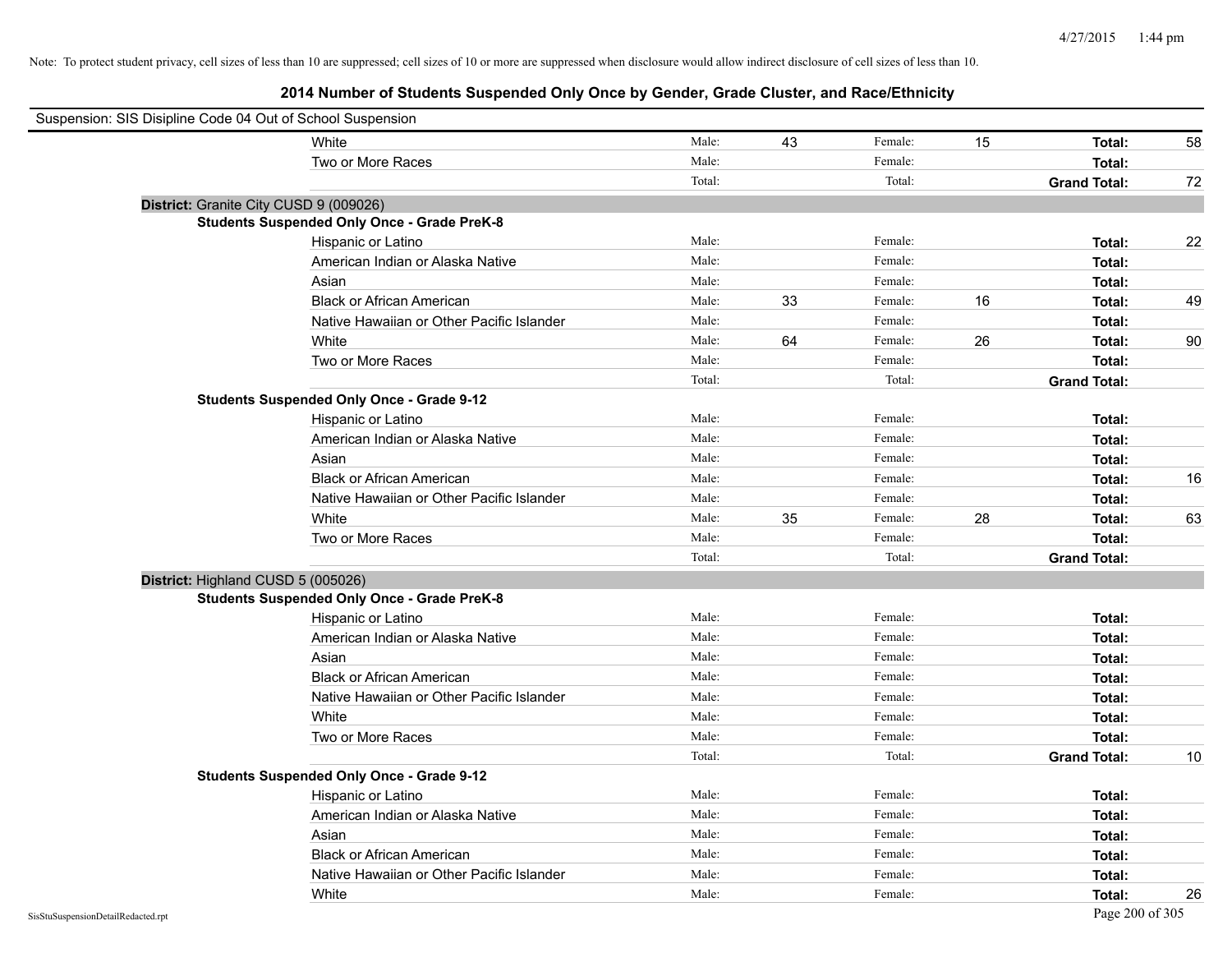| Suspension: SIS Disipline Code 04 Out of School Suspension |                                                    |        |    |         |    |                     |    |
|------------------------------------------------------------|----------------------------------------------------|--------|----|---------|----|---------------------|----|
|                                                            | White                                              | Male:  | 43 | Female: | 15 | Total:              | 58 |
|                                                            | Two or More Races                                  | Male:  |    | Female: |    | Total:              |    |
|                                                            |                                                    | Total: |    | Total:  |    | <b>Grand Total:</b> | 72 |
| District: Granite City CUSD 9 (009026)                     |                                                    |        |    |         |    |                     |    |
|                                                            | <b>Students Suspended Only Once - Grade PreK-8</b> |        |    |         |    |                     |    |
|                                                            | Hispanic or Latino                                 | Male:  |    | Female: |    | Total:              | 22 |
|                                                            | American Indian or Alaska Native                   | Male:  |    | Female: |    | Total:              |    |
|                                                            | Asian                                              | Male:  |    | Female: |    | Total:              |    |
|                                                            | <b>Black or African American</b>                   | Male:  | 33 | Female: | 16 | Total:              | 49 |
|                                                            | Native Hawaiian or Other Pacific Islander          | Male:  |    | Female: |    | Total:              |    |
|                                                            | White                                              | Male:  | 64 | Female: | 26 | Total:              | 90 |
|                                                            | Two or More Races                                  | Male:  |    | Female: |    | Total:              |    |
|                                                            |                                                    | Total: |    | Total:  |    | <b>Grand Total:</b> |    |
|                                                            | <b>Students Suspended Only Once - Grade 9-12</b>   |        |    |         |    |                     |    |
|                                                            | Hispanic or Latino                                 | Male:  |    | Female: |    | Total:              |    |
|                                                            | American Indian or Alaska Native                   | Male:  |    | Female: |    | Total:              |    |
|                                                            | Asian                                              | Male:  |    | Female: |    | Total:              |    |
|                                                            | <b>Black or African American</b>                   | Male:  |    | Female: |    | Total:              | 16 |
|                                                            | Native Hawaiian or Other Pacific Islander          | Male:  |    | Female: |    | Total:              |    |
|                                                            | White                                              | Male:  | 35 | Female: | 28 | Total:              | 63 |
|                                                            | Two or More Races                                  | Male:  |    | Female: |    | Total:              |    |
|                                                            |                                                    | Total: |    | Total:  |    | <b>Grand Total:</b> |    |
| District: Highland CUSD 5 (005026)                         |                                                    |        |    |         |    |                     |    |
|                                                            | <b>Students Suspended Only Once - Grade PreK-8</b> |        |    |         |    |                     |    |
|                                                            | Hispanic or Latino                                 | Male:  |    | Female: |    | Total:              |    |
|                                                            | American Indian or Alaska Native                   | Male:  |    | Female: |    | Total:              |    |
|                                                            | Asian                                              | Male:  |    | Female: |    | Total:              |    |
|                                                            | <b>Black or African American</b>                   | Male:  |    | Female: |    | Total:              |    |
|                                                            | Native Hawaiian or Other Pacific Islander          | Male:  |    | Female: |    | Total:              |    |
|                                                            | White                                              | Male:  |    | Female: |    | Total:              |    |
|                                                            | Two or More Races                                  | Male:  |    | Female: |    | Total:              |    |
|                                                            |                                                    | Total: |    | Total:  |    | <b>Grand Total:</b> | 10 |
|                                                            | <b>Students Suspended Only Once - Grade 9-12</b>   |        |    |         |    |                     |    |
|                                                            | Hispanic or Latino                                 | Male:  |    | Female: |    | Total:              |    |
|                                                            | American Indian or Alaska Native                   | Male:  |    | Female: |    | Total:              |    |
|                                                            | Asian                                              | Male:  |    | Female: |    | Total:              |    |
|                                                            | <b>Black or African American</b>                   | Male:  |    | Female: |    | Total:              |    |
|                                                            | Native Hawaiian or Other Pacific Islander          | Male:  |    | Female: |    | Total:              |    |
|                                                            | White                                              | Male:  |    | Female: |    | Total:              | 26 |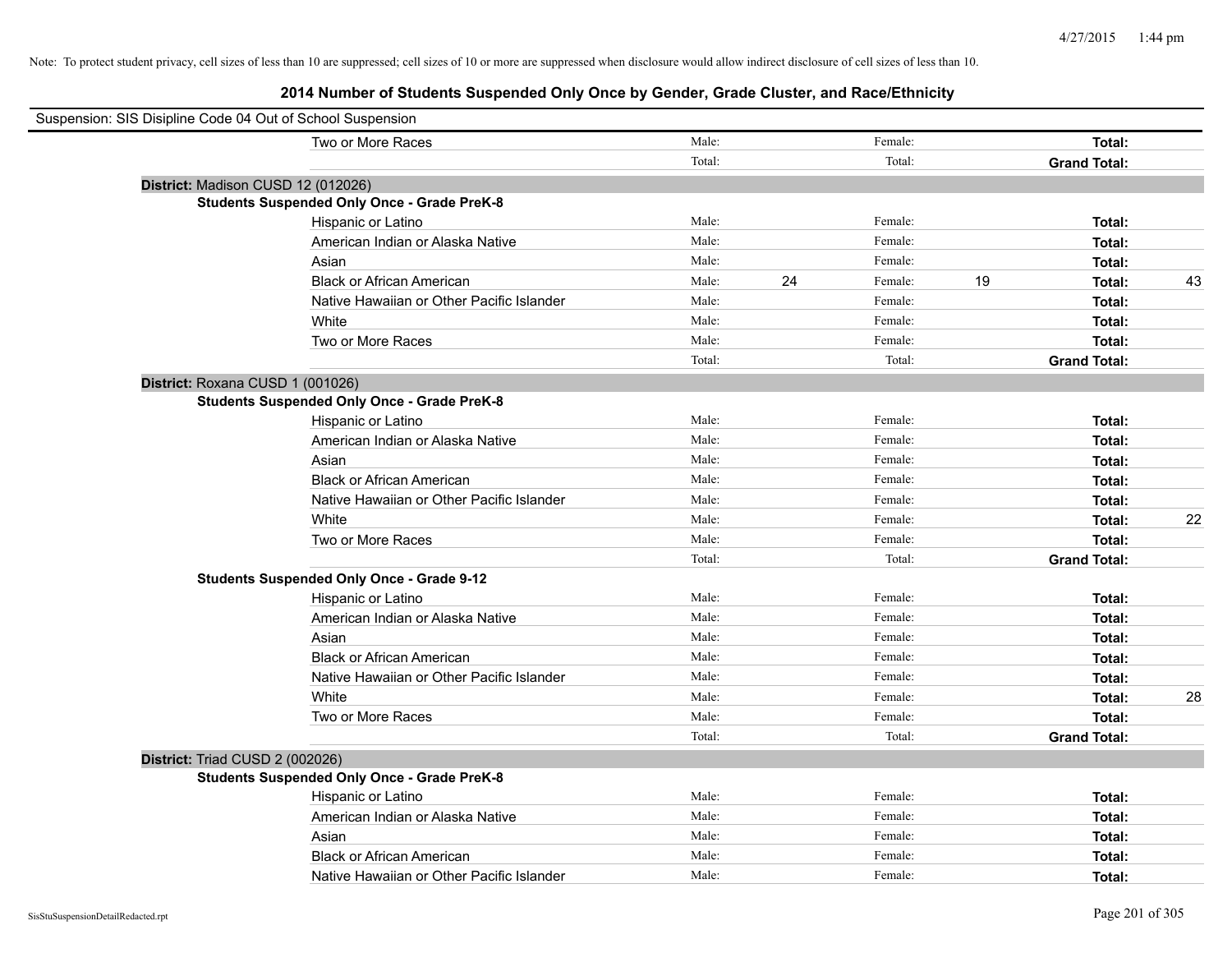| Suspension: SIS Disipline Code 04 Out of School Suspension |                                                    |        |    |         |    |                     |    |
|------------------------------------------------------------|----------------------------------------------------|--------|----|---------|----|---------------------|----|
|                                                            | Two or More Races                                  | Male:  |    | Female: |    | Total:              |    |
|                                                            |                                                    | Total: |    | Total:  |    | <b>Grand Total:</b> |    |
|                                                            | District: Madison CUSD 12 (012026)                 |        |    |         |    |                     |    |
|                                                            | <b>Students Suspended Only Once - Grade PreK-8</b> |        |    |         |    |                     |    |
|                                                            | Hispanic or Latino                                 | Male:  |    | Female: |    | Total:              |    |
|                                                            | American Indian or Alaska Native                   | Male:  |    | Female: |    | Total:              |    |
|                                                            | Asian                                              | Male:  |    | Female: |    | Total:              |    |
|                                                            | <b>Black or African American</b>                   | Male:  | 24 | Female: | 19 | Total:              | 43 |
|                                                            | Native Hawaiian or Other Pacific Islander          | Male:  |    | Female: |    | Total:              |    |
|                                                            | White                                              | Male:  |    | Female: |    | Total:              |    |
|                                                            | Two or More Races                                  | Male:  |    | Female: |    | Total:              |    |
|                                                            |                                                    | Total: |    | Total:  |    | <b>Grand Total:</b> |    |
|                                                            | District: Roxana CUSD 1 (001026)                   |        |    |         |    |                     |    |
|                                                            | <b>Students Suspended Only Once - Grade PreK-8</b> |        |    |         |    |                     |    |
|                                                            | Hispanic or Latino                                 | Male:  |    | Female: |    | Total:              |    |
|                                                            | American Indian or Alaska Native                   | Male:  |    | Female: |    | Total:              |    |
|                                                            | Asian                                              | Male:  |    | Female: |    | Total:              |    |
|                                                            | <b>Black or African American</b>                   | Male:  |    | Female: |    | Total:              |    |
|                                                            | Native Hawaiian or Other Pacific Islander          | Male:  |    | Female: |    | Total:              |    |
|                                                            | White                                              | Male:  |    | Female: |    | Total:              | 22 |
|                                                            | Two or More Races                                  | Male:  |    | Female: |    | Total:              |    |
|                                                            |                                                    | Total: |    | Total:  |    | <b>Grand Total:</b> |    |
|                                                            | <b>Students Suspended Only Once - Grade 9-12</b>   |        |    |         |    |                     |    |
|                                                            | Hispanic or Latino                                 | Male:  |    | Female: |    | Total:              |    |
|                                                            | American Indian or Alaska Native                   | Male:  |    | Female: |    | Total:              |    |
|                                                            | Asian                                              | Male:  |    | Female: |    | Total:              |    |
|                                                            | <b>Black or African American</b>                   | Male:  |    | Female: |    | Total:              |    |
|                                                            | Native Hawaiian or Other Pacific Islander          | Male:  |    | Female: |    | Total:              |    |
|                                                            | White                                              | Male:  |    | Female: |    | Total:              | 28 |
|                                                            | Two or More Races                                  | Male:  |    | Female: |    | Total:              |    |
|                                                            |                                                    | Total: |    | Total:  |    | <b>Grand Total:</b> |    |
| District: Triad CUSD 2 (002026)                            |                                                    |        |    |         |    |                     |    |
|                                                            | <b>Students Suspended Only Once - Grade PreK-8</b> |        |    |         |    |                     |    |
|                                                            | Hispanic or Latino                                 | Male:  |    | Female: |    | Total:              |    |
|                                                            | American Indian or Alaska Native                   | Male:  |    | Female: |    | Total:              |    |
|                                                            | Asian                                              | Male:  |    | Female: |    | Total:              |    |
|                                                            | <b>Black or African American</b>                   | Male:  |    | Female: |    | Total:              |    |
|                                                            | Native Hawaiian or Other Pacific Islander          | Male:  |    | Female: |    | Total:              |    |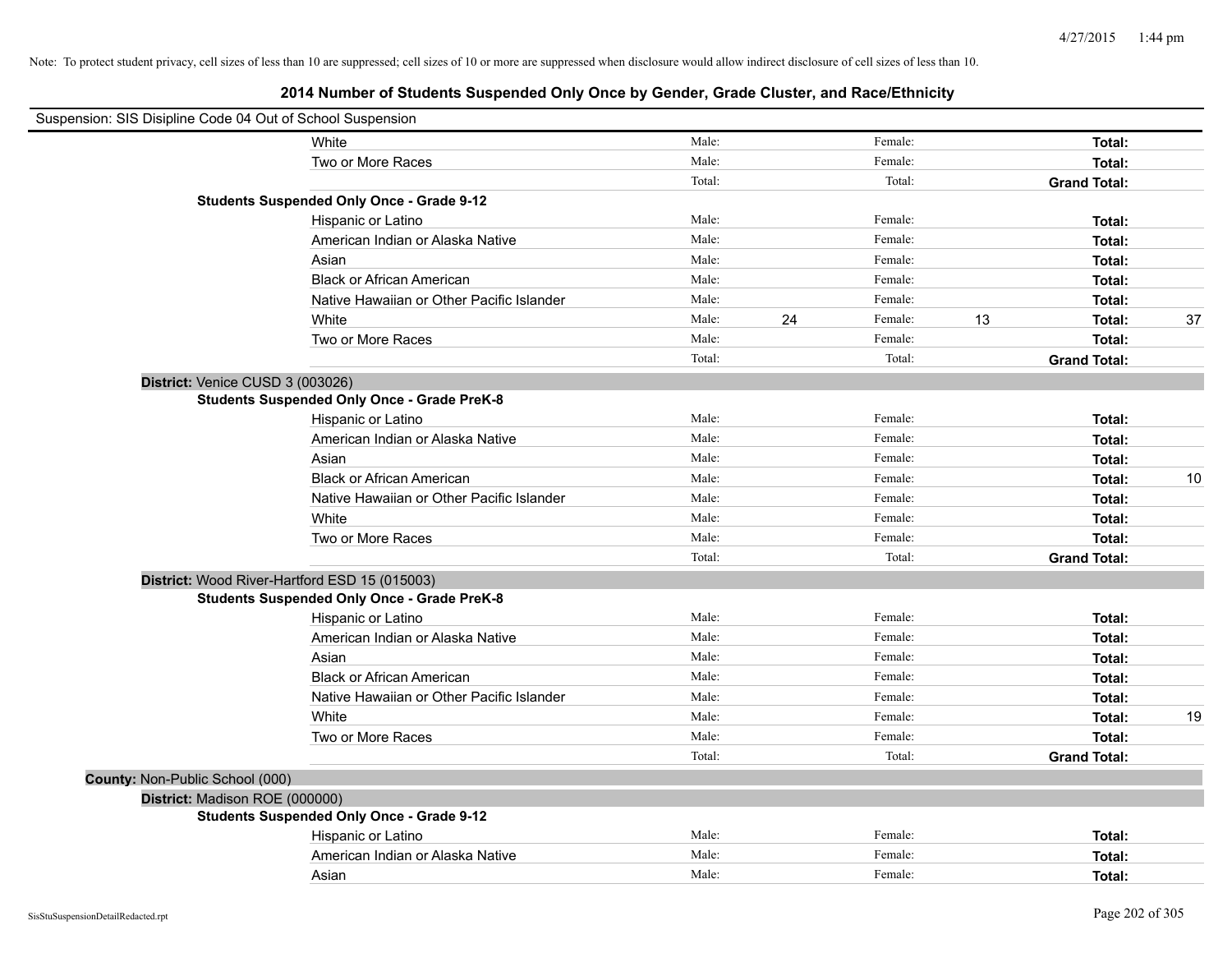| Suspension: SIS Disipline Code 04 Out of School Suspension |                                                    |        |    |         |    |                     |    |
|------------------------------------------------------------|----------------------------------------------------|--------|----|---------|----|---------------------|----|
|                                                            | White                                              | Male:  |    | Female: |    | Total:              |    |
|                                                            | Two or More Races                                  | Male:  |    | Female: |    | Total:              |    |
|                                                            |                                                    | Total: |    | Total:  |    | <b>Grand Total:</b> |    |
|                                                            | <b>Students Suspended Only Once - Grade 9-12</b>   |        |    |         |    |                     |    |
|                                                            | Hispanic or Latino                                 | Male:  |    | Female: |    | Total:              |    |
|                                                            | American Indian or Alaska Native                   | Male:  |    | Female: |    | Total:              |    |
|                                                            | Asian                                              | Male:  |    | Female: |    | Total:              |    |
|                                                            | <b>Black or African American</b>                   | Male:  |    | Female: |    | Total:              |    |
|                                                            | Native Hawaiian or Other Pacific Islander          | Male:  |    | Female: |    | Total:              |    |
|                                                            | White                                              | Male:  | 24 | Female: | 13 | Total:              | 37 |
|                                                            | Two or More Races                                  | Male:  |    | Female: |    | Total:              |    |
|                                                            |                                                    | Total: |    | Total:  |    | <b>Grand Total:</b> |    |
| District: Venice CUSD 3 (003026)                           |                                                    |        |    |         |    |                     |    |
|                                                            | <b>Students Suspended Only Once - Grade PreK-8</b> |        |    |         |    |                     |    |
|                                                            | Hispanic or Latino                                 | Male:  |    | Female: |    | Total:              |    |
|                                                            | American Indian or Alaska Native                   | Male:  |    | Female: |    | Total:              |    |
|                                                            | Asian                                              | Male:  |    | Female: |    | Total:              |    |
|                                                            | <b>Black or African American</b>                   | Male:  |    | Female: |    | Total:              | 10 |
|                                                            | Native Hawaiian or Other Pacific Islander          | Male:  |    | Female: |    | Total:              |    |
|                                                            | White                                              | Male:  |    | Female: |    | Total:              |    |
|                                                            | Two or More Races                                  | Male:  |    | Female: |    | Total:              |    |
|                                                            |                                                    | Total: |    | Total:  |    | <b>Grand Total:</b> |    |
|                                                            | District: Wood River-Hartford ESD 15 (015003)      |        |    |         |    |                     |    |
|                                                            | <b>Students Suspended Only Once - Grade PreK-8</b> |        |    |         |    |                     |    |
|                                                            | Hispanic or Latino                                 | Male:  |    | Female: |    | Total:              |    |
|                                                            | American Indian or Alaska Native                   | Male:  |    | Female: |    | Total:              |    |
|                                                            | Asian                                              | Male:  |    | Female: |    | Total:              |    |
|                                                            | <b>Black or African American</b>                   | Male:  |    | Female: |    | Total:              |    |
|                                                            | Native Hawaiian or Other Pacific Islander          | Male:  |    | Female: |    | Total:              |    |
|                                                            | White                                              | Male:  |    | Female: |    | Total:              | 19 |
|                                                            | Two or More Races                                  | Male:  |    | Female: |    | Total:              |    |
|                                                            |                                                    | Total: |    | Total:  |    | <b>Grand Total:</b> |    |
| County: Non-Public School (000)                            |                                                    |        |    |         |    |                     |    |
| District: Madison ROE (000000)                             |                                                    |        |    |         |    |                     |    |
|                                                            | <b>Students Suspended Only Once - Grade 9-12</b>   |        |    |         |    |                     |    |
|                                                            | Hispanic or Latino                                 | Male:  |    | Female: |    | Total:              |    |
|                                                            | American Indian or Alaska Native                   | Male:  |    | Female: |    | Total:              |    |
|                                                            | Asian                                              | Male:  |    | Female: |    | Total:              |    |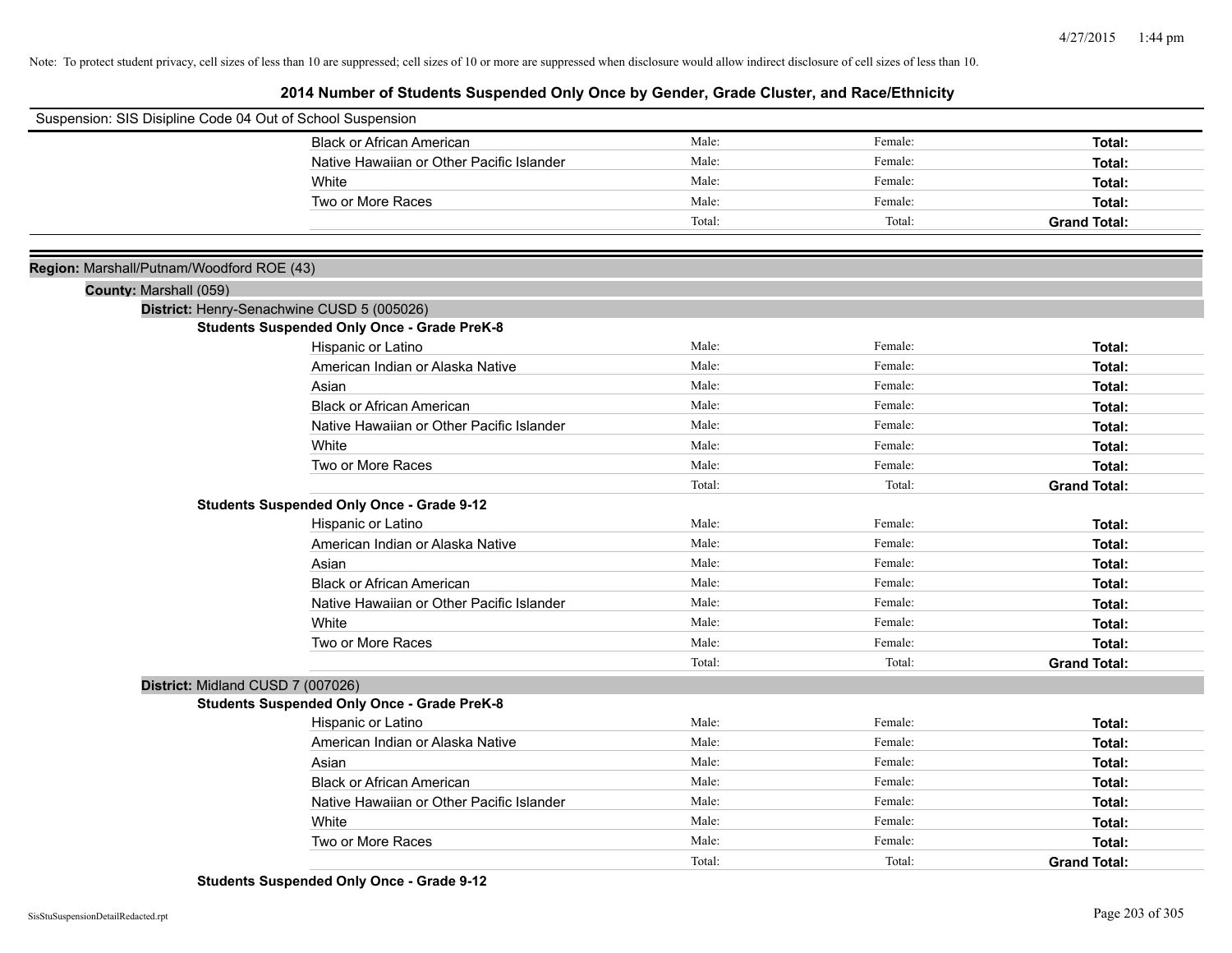# **2014 Number of Students Suspended Only Once by Gender, Grade Cluster, and Race/Ethnicity**

| Suspension: SIS Disipline Code 04 Out of School Suspension |                                                    |        |         |                     |
|------------------------------------------------------------|----------------------------------------------------|--------|---------|---------------------|
|                                                            | <b>Black or African American</b>                   | Male:  | Female: | Total:              |
|                                                            | Native Hawaiian or Other Pacific Islander          | Male:  | Female: | Total:              |
|                                                            | White                                              | Male:  | Female: | Total:              |
|                                                            | Two or More Races                                  | Male:  | Female: | Total:              |
|                                                            |                                                    | Total: | Total:  | <b>Grand Total:</b> |
|                                                            |                                                    |        |         |                     |
| Region: Marshall/Putnam/Woodford ROE (43)                  |                                                    |        |         |                     |
| County: Marshall (059)                                     |                                                    |        |         |                     |
|                                                            | District: Henry-Senachwine CUSD 5 (005026)         |        |         |                     |
|                                                            | <b>Students Suspended Only Once - Grade PreK-8</b> |        |         |                     |
|                                                            | Hispanic or Latino                                 | Male:  | Female: | Total:              |
|                                                            | American Indian or Alaska Native                   | Male:  | Female: | Total:              |
|                                                            | Asian                                              | Male:  | Female: | Total:              |
|                                                            | <b>Black or African American</b>                   | Male:  | Female: | Total:              |
|                                                            | Native Hawaiian or Other Pacific Islander          | Male:  | Female: | Total:              |
|                                                            | White                                              | Male:  | Female: | Total:              |
|                                                            | Two or More Races                                  | Male:  | Female: | Total:              |
|                                                            |                                                    | Total: | Total:  | <b>Grand Total:</b> |
|                                                            | <b>Students Suspended Only Once - Grade 9-12</b>   |        |         |                     |
|                                                            | Hispanic or Latino                                 | Male:  | Female: | Total:              |
|                                                            | American Indian or Alaska Native                   | Male:  | Female: | Total:              |
|                                                            | Asian                                              | Male:  | Female: | Total:              |
|                                                            | <b>Black or African American</b>                   | Male:  | Female: | Total:              |
|                                                            | Native Hawaiian or Other Pacific Islander          | Male:  | Female: | Total:              |
|                                                            | White                                              | Male:  | Female: | Total:              |
|                                                            | Two or More Races                                  | Male:  | Female: | Total:              |
|                                                            |                                                    | Total: | Total:  | <b>Grand Total:</b> |
| District: Midland CUSD 7 (007026)                          |                                                    |        |         |                     |
|                                                            | <b>Students Suspended Only Once - Grade PreK-8</b> |        |         |                     |
|                                                            | Hispanic or Latino                                 | Male:  | Female: | Total:              |
|                                                            | American Indian or Alaska Native                   | Male:  | Female: | Total:              |
|                                                            | Asian                                              | Male:  | Female: | Total:              |
|                                                            | <b>Black or African American</b>                   | Male:  | Female: | Total:              |
|                                                            | Native Hawaiian or Other Pacific Islander          | Male:  | Female: | Total:              |
|                                                            | White                                              | Male:  | Female: | Total:              |
|                                                            | Two or More Races                                  | Male:  | Female: | Total:              |
|                                                            |                                                    | Total: | Total:  | <b>Grand Total:</b> |

**Students Suspended Only Once - Grade 9-12**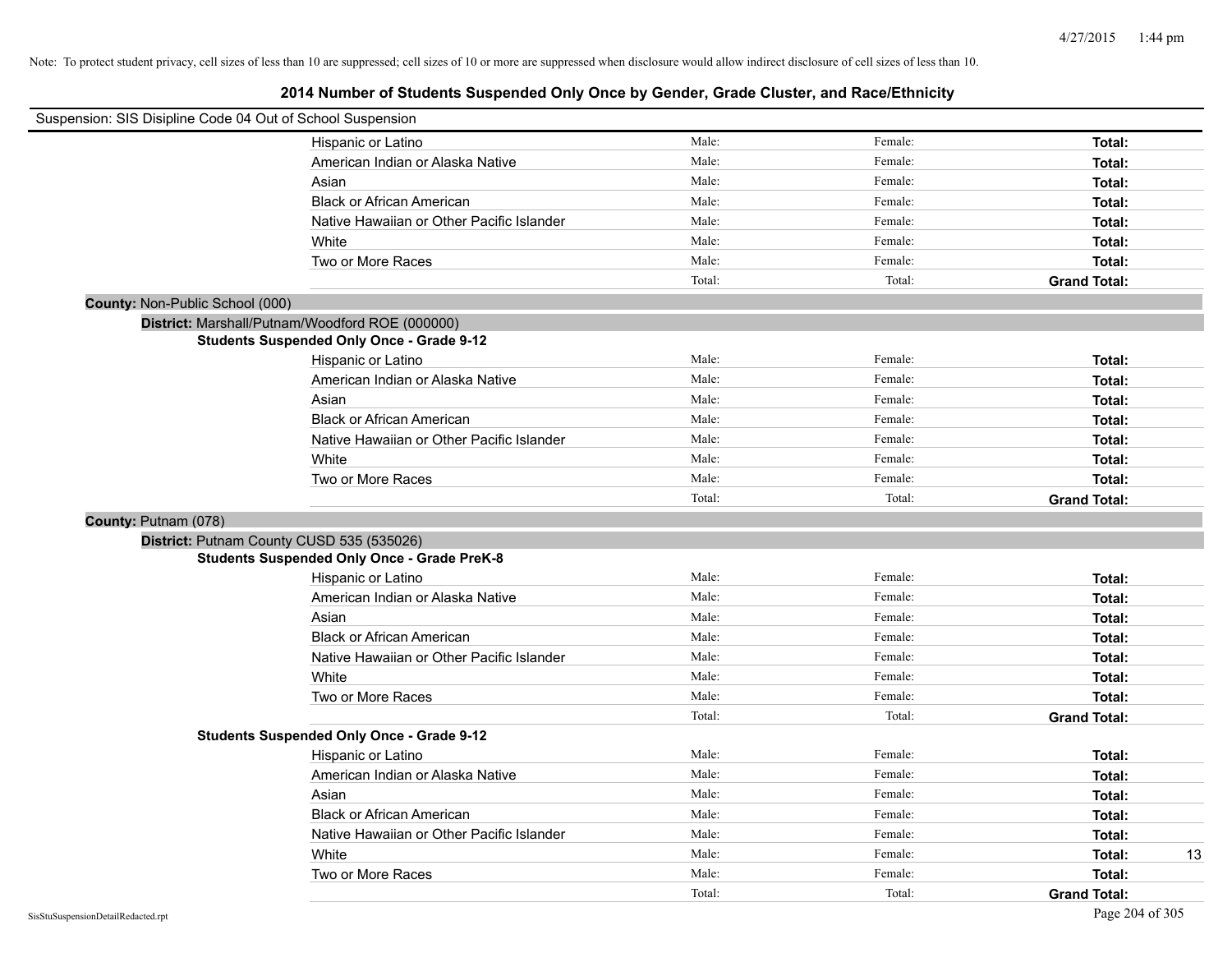| Suspension: SIS Disipline Code 04 Out of School Suspension |                                                    |        |         |                     |
|------------------------------------------------------------|----------------------------------------------------|--------|---------|---------------------|
|                                                            | Hispanic or Latino                                 | Male:  | Female: | Total:              |
|                                                            | American Indian or Alaska Native                   | Male:  | Female: | Total:              |
|                                                            | Asian                                              | Male:  | Female: | Total:              |
|                                                            | <b>Black or African American</b>                   | Male:  | Female: | Total:              |
|                                                            | Native Hawaiian or Other Pacific Islander          | Male:  | Female: | Total:              |
|                                                            | White                                              | Male:  | Female: | Total:              |
|                                                            | Two or More Races                                  | Male:  | Female: | Total:              |
|                                                            |                                                    | Total: | Total:  | <b>Grand Total:</b> |
| County: Non-Public School (000)                            |                                                    |        |         |                     |
|                                                            | District: Marshall/Putnam/Woodford ROE (000000)    |        |         |                     |
|                                                            | <b>Students Suspended Only Once - Grade 9-12</b>   |        |         |                     |
|                                                            | Hispanic or Latino                                 | Male:  | Female: | Total:              |
|                                                            | American Indian or Alaska Native                   | Male:  | Female: | Total:              |
|                                                            | Asian                                              | Male:  | Female: | Total:              |
|                                                            | <b>Black or African American</b>                   | Male:  | Female: | Total:              |
|                                                            | Native Hawaiian or Other Pacific Islander          | Male:  | Female: | Total:              |
|                                                            | White                                              | Male:  | Female: | Total:              |
|                                                            | Two or More Races                                  | Male:  | Female: | Total:              |
|                                                            |                                                    | Total: | Total:  | <b>Grand Total:</b> |
|                                                            |                                                    |        |         |                     |
| County: Putnam (078)                                       |                                                    |        |         |                     |
|                                                            | District: Putnam County CUSD 535 (535026)          |        |         |                     |
|                                                            | <b>Students Suspended Only Once - Grade PreK-8</b> |        |         |                     |
|                                                            | Hispanic or Latino                                 | Male:  | Female: | Total:              |
|                                                            | American Indian or Alaska Native                   | Male:  | Female: | Total:              |
|                                                            | Asian                                              | Male:  | Female: | Total:              |
|                                                            | <b>Black or African American</b>                   | Male:  | Female: | Total:              |
|                                                            | Native Hawaiian or Other Pacific Islander          | Male:  | Female: | Total:              |
|                                                            | White                                              | Male:  | Female: | Total:              |
|                                                            | Two or More Races                                  | Male:  | Female: | Total:              |
|                                                            |                                                    | Total: | Total:  | <b>Grand Total:</b> |
|                                                            | <b>Students Suspended Only Once - Grade 9-12</b>   |        |         |                     |
|                                                            | Hispanic or Latino                                 | Male:  | Female: | Total:              |
|                                                            | American Indian or Alaska Native                   | Male:  | Female: | Total:              |
|                                                            | Asian                                              | Male:  | Female: | Total:              |
|                                                            | <b>Black or African American</b>                   | Male:  | Female: | Total:              |
|                                                            | Native Hawaiian or Other Pacific Islander          | Male:  | Female: | Total:              |
|                                                            | White                                              | Male:  | Female: | 13<br>Total:        |
|                                                            | Two or More Races                                  | Male:  | Female: | Total:              |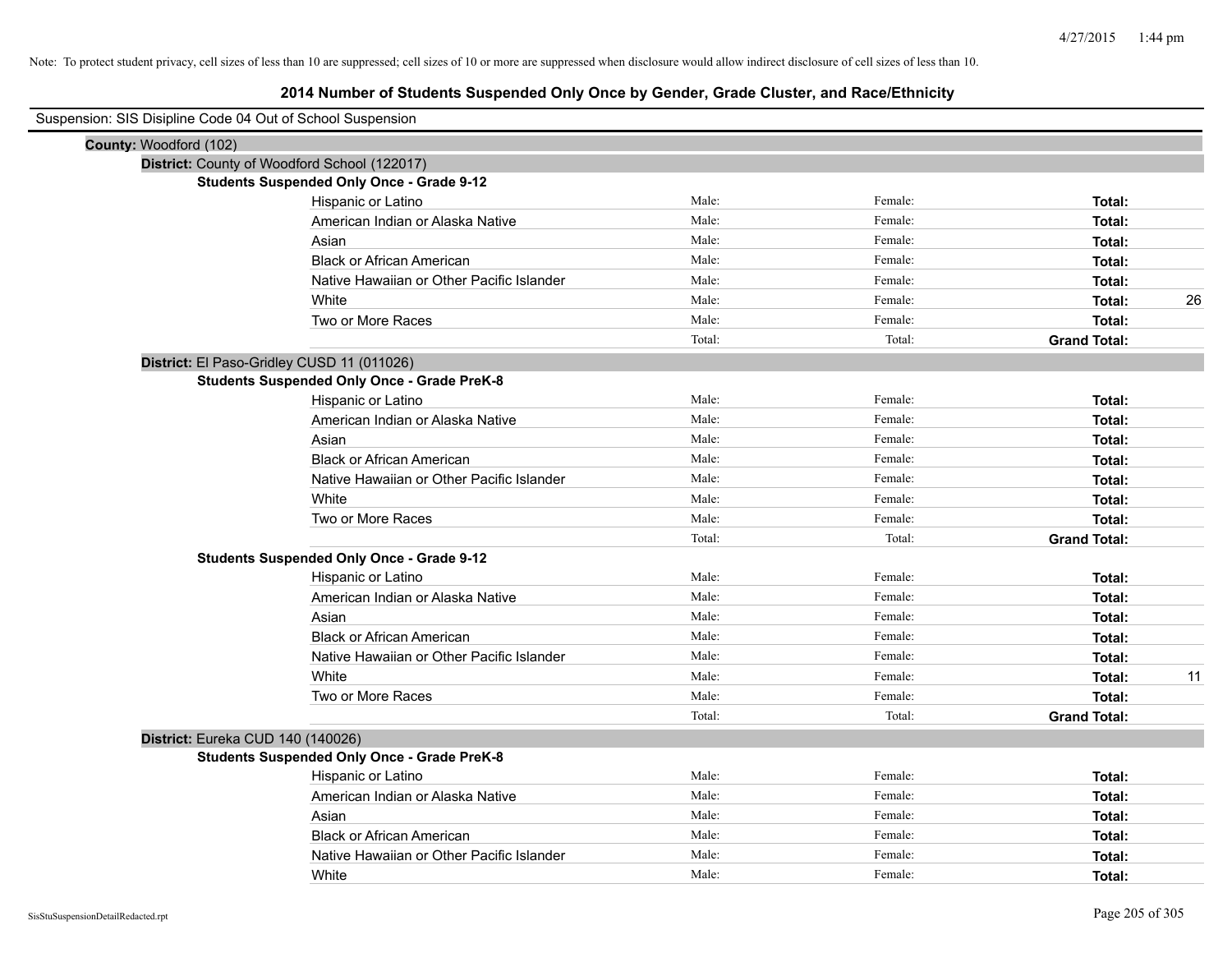| Suspension: SIS Disipline Code 04 Out of School Suspension |                                                    |        |         |                     |
|------------------------------------------------------------|----------------------------------------------------|--------|---------|---------------------|
| County: Woodford (102)                                     |                                                    |        |         |                     |
|                                                            | District: County of Woodford School (122017)       |        |         |                     |
|                                                            | <b>Students Suspended Only Once - Grade 9-12</b>   |        |         |                     |
|                                                            | Hispanic or Latino                                 | Male:  | Female: | Total:              |
|                                                            | American Indian or Alaska Native                   | Male:  | Female: | Total:              |
|                                                            | Asian                                              | Male:  | Female: | Total:              |
|                                                            | <b>Black or African American</b>                   | Male:  | Female: | Total:              |
|                                                            | Native Hawaiian or Other Pacific Islander          | Male:  | Female: | Total:              |
|                                                            | White                                              | Male:  | Female: | 26<br>Total:        |
|                                                            | Two or More Races                                  | Male:  | Female: | Total:              |
|                                                            |                                                    | Total: | Total:  | <b>Grand Total:</b> |
|                                                            | District: El Paso-Gridley CUSD 11 (011026)         |        |         |                     |
|                                                            | <b>Students Suspended Only Once - Grade PreK-8</b> |        |         |                     |
|                                                            | Hispanic or Latino                                 | Male:  | Female: | Total:              |
|                                                            | American Indian or Alaska Native                   | Male:  | Female: | Total:              |
|                                                            | Asian                                              | Male:  | Female: | Total:              |
|                                                            | <b>Black or African American</b>                   | Male:  | Female: | Total:              |
|                                                            | Native Hawaiian or Other Pacific Islander          | Male:  | Female: | Total:              |
|                                                            | White                                              | Male:  | Female: | Total:              |
|                                                            | Two or More Races                                  | Male:  | Female: | Total:              |
|                                                            |                                                    | Total: | Total:  | <b>Grand Total:</b> |
|                                                            | <b>Students Suspended Only Once - Grade 9-12</b>   |        |         |                     |
|                                                            | Hispanic or Latino                                 | Male:  | Female: | Total:              |
|                                                            | American Indian or Alaska Native                   | Male:  | Female: | Total:              |
|                                                            | Asian                                              | Male:  | Female: | Total:              |
|                                                            | <b>Black or African American</b>                   | Male:  | Female: | Total:              |
|                                                            | Native Hawaiian or Other Pacific Islander          | Male:  | Female: | Total:              |
|                                                            | White                                              | Male:  | Female: | 11<br>Total:        |
|                                                            | Two or More Races                                  | Male:  | Female: | Total:              |
|                                                            |                                                    | Total: | Total:  | <b>Grand Total:</b> |
| District: Eureka CUD 140 (140026)                          |                                                    |        |         |                     |
|                                                            | <b>Students Suspended Only Once - Grade PreK-8</b> |        |         |                     |
|                                                            | Hispanic or Latino                                 | Male:  | Female: | Total:              |
|                                                            | American Indian or Alaska Native                   | Male:  | Female: | Total:              |
|                                                            | Asian                                              | Male:  | Female: | Total:              |
|                                                            | <b>Black or African American</b>                   | Male:  | Female: | Total:              |
|                                                            | Native Hawaiian or Other Pacific Islander          | Male:  | Female: | Total:              |
|                                                            | White                                              | Male:  | Female: | Total:              |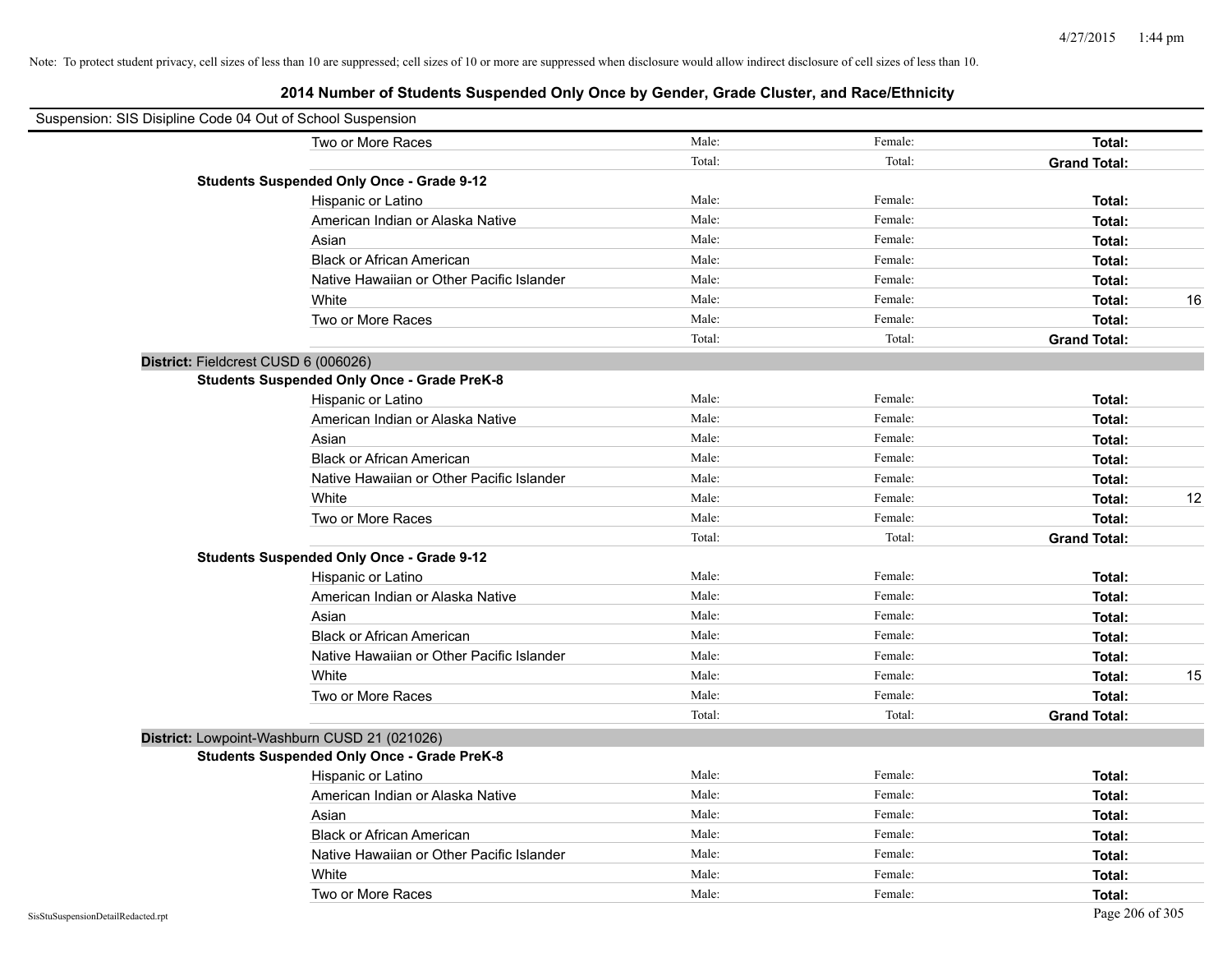| Suspension: SIS Disipline Code 04 Out of School Suspension |                                                    |        |         |                     |    |
|------------------------------------------------------------|----------------------------------------------------|--------|---------|---------------------|----|
|                                                            | Two or More Races                                  | Male:  | Female: | <b>Total:</b>       |    |
|                                                            |                                                    | Total: | Total:  | <b>Grand Total:</b> |    |
|                                                            | <b>Students Suspended Only Once - Grade 9-12</b>   |        |         |                     |    |
|                                                            | Hispanic or Latino                                 | Male:  | Female: | Total:              |    |
|                                                            | American Indian or Alaska Native                   | Male:  | Female: | Total:              |    |
|                                                            | Asian                                              | Male:  | Female: | Total:              |    |
|                                                            | <b>Black or African American</b>                   | Male:  | Female: | Total:              |    |
|                                                            | Native Hawaiian or Other Pacific Islander          | Male:  | Female: | Total:              |    |
|                                                            | White                                              | Male:  | Female: | Total:              | 16 |
|                                                            | Two or More Races                                  | Male:  | Female: | Total:              |    |
|                                                            |                                                    | Total: | Total:  | <b>Grand Total:</b> |    |
| District: Fieldcrest CUSD 6 (006026)                       |                                                    |        |         |                     |    |
|                                                            | <b>Students Suspended Only Once - Grade PreK-8</b> |        |         |                     |    |
|                                                            | Hispanic or Latino                                 | Male:  | Female: | Total:              |    |
|                                                            | American Indian or Alaska Native                   | Male:  | Female: | Total:              |    |
|                                                            | Asian                                              | Male:  | Female: | Total:              |    |
|                                                            | <b>Black or African American</b>                   | Male:  | Female: | Total:              |    |
|                                                            | Native Hawaiian or Other Pacific Islander          | Male:  | Female: | Total:              |    |
|                                                            | White                                              | Male:  | Female: | Total:              | 12 |
|                                                            | Two or More Races                                  | Male:  | Female: | Total:              |    |
|                                                            |                                                    | Total: | Total:  | <b>Grand Total:</b> |    |
|                                                            | <b>Students Suspended Only Once - Grade 9-12</b>   |        |         |                     |    |
|                                                            | Hispanic or Latino                                 | Male:  | Female: | Total:              |    |
|                                                            | American Indian or Alaska Native                   | Male:  | Female: | Total:              |    |
|                                                            | Asian                                              | Male:  | Female: | Total:              |    |
|                                                            | <b>Black or African American</b>                   | Male:  | Female: | Total:              |    |
|                                                            | Native Hawaiian or Other Pacific Islander          | Male:  | Female: | Total:              |    |
|                                                            | White                                              | Male:  | Female: | Total:              | 15 |
|                                                            | Two or More Races                                  | Male:  | Female: | Total:              |    |
|                                                            |                                                    | Total: | Total:  | <b>Grand Total:</b> |    |
| District: Lowpoint-Washburn CUSD 21 (021026)               |                                                    |        |         |                     |    |
|                                                            | <b>Students Suspended Only Once - Grade PreK-8</b> |        |         |                     |    |
|                                                            | Hispanic or Latino                                 | Male:  | Female: | Total:              |    |
|                                                            | American Indian or Alaska Native                   | Male:  | Female: | Total:              |    |
|                                                            | Asian                                              | Male:  | Female: | Total:              |    |
|                                                            | <b>Black or African American</b>                   | Male:  | Female: | Total:              |    |
|                                                            | Native Hawaiian or Other Pacific Islander          | Male:  | Female: | Total:              |    |
|                                                            | White                                              | Male:  | Female: | Total:              |    |
|                                                            | Two or More Races                                  | Male:  | Female: | Total:              |    |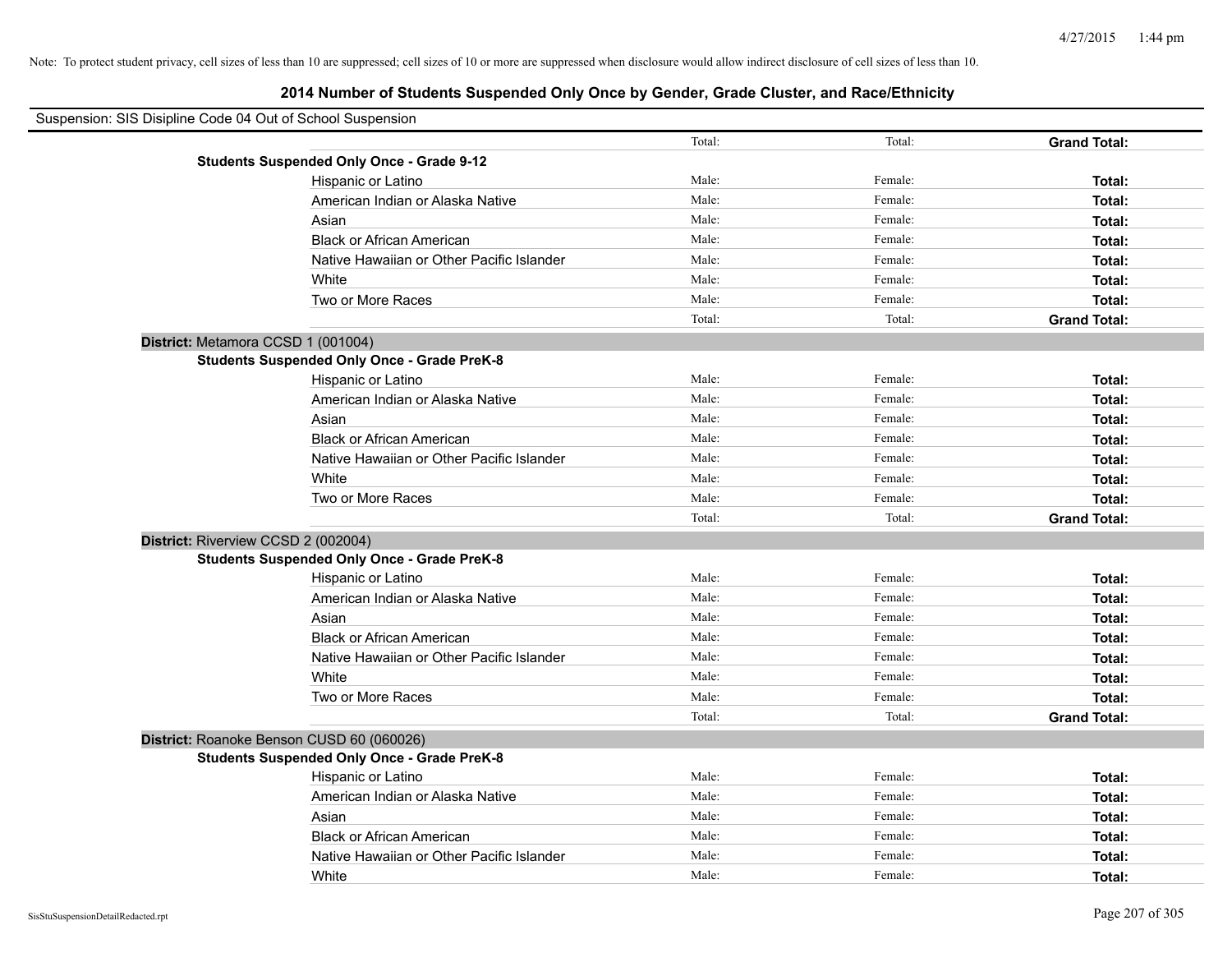# **2014 Number of Students Suspended Only Once by Gender, Grade Cluster, and Race/Ethnicity**

| Suspension: SIS Disipline Code 04 Out of School Suspension |                                                    |        |         |                     |  |  |
|------------------------------------------------------------|----------------------------------------------------|--------|---------|---------------------|--|--|
|                                                            |                                                    | Total: | Total:  | <b>Grand Total:</b> |  |  |
|                                                            | <b>Students Suspended Only Once - Grade 9-12</b>   |        |         |                     |  |  |
|                                                            | Hispanic or Latino                                 | Male:  | Female: | Total:              |  |  |
|                                                            | American Indian or Alaska Native                   | Male:  | Female: | Total:              |  |  |
|                                                            | Asian                                              | Male:  | Female: | Total:              |  |  |
|                                                            | <b>Black or African American</b>                   | Male:  | Female: | Total:              |  |  |
|                                                            | Native Hawaiian or Other Pacific Islander          | Male:  | Female: | Total:              |  |  |
|                                                            | White                                              | Male:  | Female: | Total:              |  |  |
|                                                            | Two or More Races                                  | Male:  | Female: | Total:              |  |  |
|                                                            |                                                    | Total: | Total:  | <b>Grand Total:</b> |  |  |
| District: Metamora CCSD 1 (001004)                         |                                                    |        |         |                     |  |  |
|                                                            | <b>Students Suspended Only Once - Grade PreK-8</b> |        |         |                     |  |  |
|                                                            | Hispanic or Latino                                 | Male:  | Female: | Total:              |  |  |
|                                                            | American Indian or Alaska Native                   | Male:  | Female: | Total:              |  |  |
|                                                            | Asian                                              | Male:  | Female: | Total:              |  |  |
|                                                            | <b>Black or African American</b>                   | Male:  | Female: | Total:              |  |  |
|                                                            | Native Hawaiian or Other Pacific Islander          | Male:  | Female: | Total:              |  |  |
|                                                            | White                                              | Male:  | Female: | Total:              |  |  |
|                                                            | Two or More Races                                  | Male:  | Female: | Total:              |  |  |
|                                                            |                                                    | Total: | Total:  | <b>Grand Total:</b> |  |  |
| District: Riverview CCSD 2 (002004)                        |                                                    |        |         |                     |  |  |
|                                                            | <b>Students Suspended Only Once - Grade PreK-8</b> |        |         |                     |  |  |
|                                                            | Hispanic or Latino                                 | Male:  | Female: | Total:              |  |  |
|                                                            | American Indian or Alaska Native                   | Male:  | Female: | Total:              |  |  |
|                                                            | Asian                                              | Male:  | Female: | Total:              |  |  |
|                                                            | <b>Black or African American</b>                   | Male:  | Female: | Total:              |  |  |
|                                                            | Native Hawaiian or Other Pacific Islander          | Male:  | Female: | Total:              |  |  |
|                                                            | White                                              | Male:  | Female: | Total:              |  |  |
|                                                            | Two or More Races                                  | Male:  | Female: | Total:              |  |  |
|                                                            |                                                    | Total: | Total:  | <b>Grand Total:</b> |  |  |
|                                                            | District: Roanoke Benson CUSD 60 (060026)          |        |         |                     |  |  |
|                                                            | <b>Students Suspended Only Once - Grade PreK-8</b> |        |         |                     |  |  |
|                                                            | Hispanic or Latino                                 | Male:  | Female: | Total:              |  |  |
|                                                            | American Indian or Alaska Native                   | Male:  | Female: | Total:              |  |  |
|                                                            | Asian                                              | Male:  | Female: | Total:              |  |  |
|                                                            | <b>Black or African American</b>                   | Male:  | Female: | Total:              |  |  |
|                                                            | Native Hawaiian or Other Pacific Islander          | Male:  | Female: | Total:              |  |  |
|                                                            | White                                              | Male:  | Female: | Total:              |  |  |

 $\blacksquare$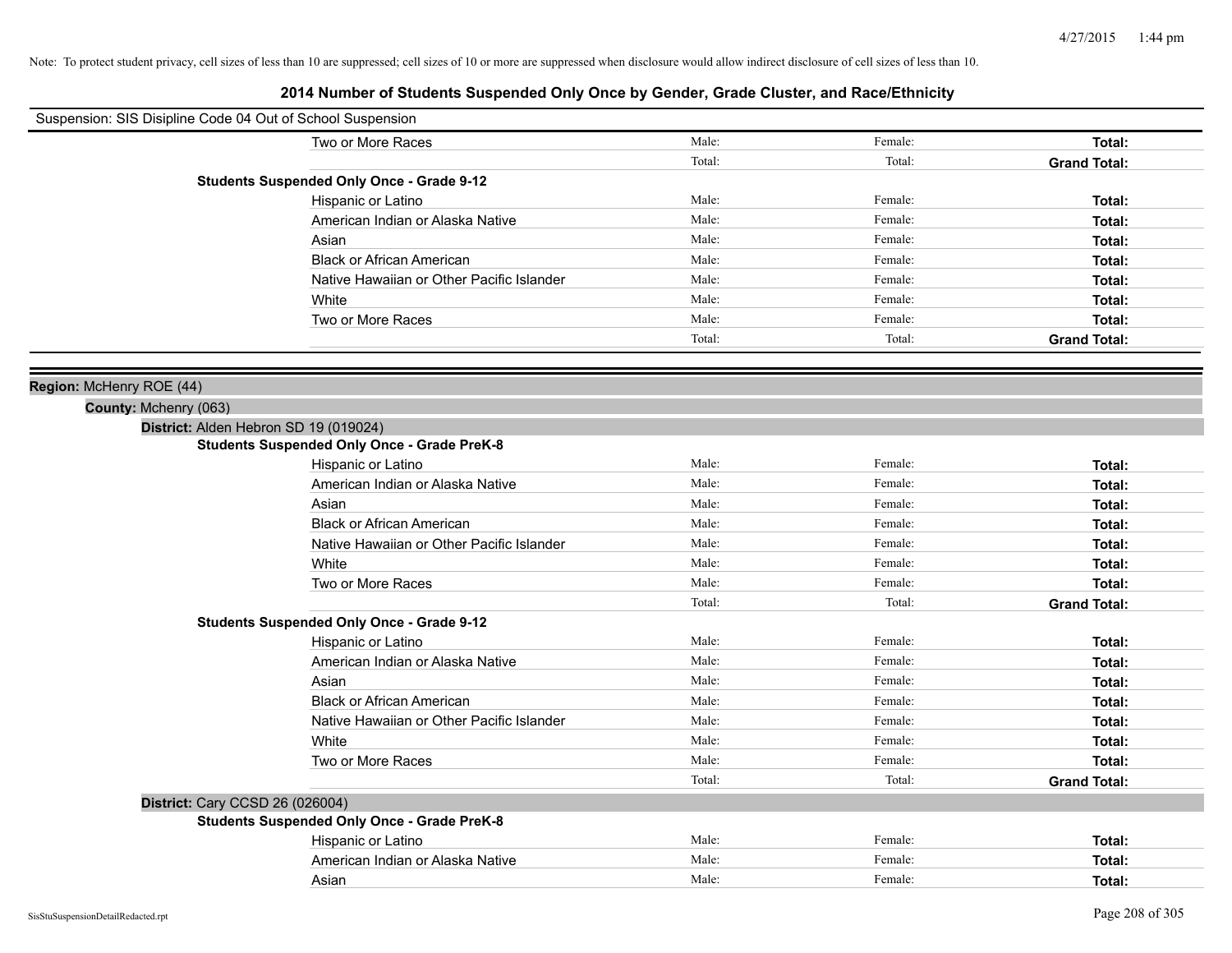| Suspension: SIS Disipline Code 04 Out of School Suspension |                                                    |        |         |                     |
|------------------------------------------------------------|----------------------------------------------------|--------|---------|---------------------|
|                                                            | Two or More Races                                  | Male:  | Female: | Total:              |
|                                                            |                                                    | Total: | Total:  | <b>Grand Total:</b> |
|                                                            | <b>Students Suspended Only Once - Grade 9-12</b>   |        |         |                     |
|                                                            | Hispanic or Latino                                 | Male:  | Female: | Total:              |
|                                                            | American Indian or Alaska Native                   | Male:  | Female: | Total:              |
|                                                            | Asian                                              | Male:  | Female: | Total:              |
|                                                            | <b>Black or African American</b>                   | Male:  | Female: | Total:              |
|                                                            | Native Hawaiian or Other Pacific Islander          | Male:  | Female: | Total:              |
|                                                            | White                                              | Male:  | Female: | Total:              |
|                                                            | Two or More Races                                  | Male:  | Female: | Total:              |
|                                                            |                                                    | Total: | Total:  | <b>Grand Total:</b> |
|                                                            |                                                    |        |         |                     |
| Region: McHenry ROE (44)                                   |                                                    |        |         |                     |
| County: Mchenry (063)                                      |                                                    |        |         |                     |
| District: Alden Hebron SD 19 (019024)                      |                                                    |        |         |                     |
|                                                            | <b>Students Suspended Only Once - Grade PreK-8</b> |        |         |                     |
|                                                            | Hispanic or Latino                                 | Male:  | Female: | Total:              |
|                                                            | American Indian or Alaska Native                   | Male:  | Female: | Total:              |
|                                                            | Asian                                              | Male:  | Female: | Total:              |
|                                                            | <b>Black or African American</b>                   | Male:  | Female: | Total:              |
|                                                            | Native Hawaiian or Other Pacific Islander          | Male:  | Female: | Total:              |
|                                                            | White                                              | Male:  | Female: | Total:              |
|                                                            | Two or More Races                                  | Male:  | Female: | Total:              |
|                                                            |                                                    | Total: | Total:  | <b>Grand Total:</b> |
|                                                            | <b>Students Suspended Only Once - Grade 9-12</b>   |        |         |                     |
|                                                            | Hispanic or Latino                                 | Male:  | Female: | Total:              |
|                                                            | American Indian or Alaska Native                   | Male:  | Female: | Total:              |
|                                                            | Asian                                              | Male:  | Female: | Total:              |
|                                                            | <b>Black or African American</b>                   | Male:  | Female: | Total:              |
|                                                            | Native Hawaiian or Other Pacific Islander          | Male:  | Female: | Total:              |
|                                                            | White                                              | Male:  | Female: | Total:              |
|                                                            | Two or More Races                                  | Male:  | Female: | Total:              |
|                                                            |                                                    | Total: | Total:  | <b>Grand Total:</b> |
| District: Cary CCSD 26 (026004)                            |                                                    |        |         |                     |
|                                                            | <b>Students Suspended Only Once - Grade PreK-8</b> |        |         |                     |
|                                                            | Hispanic or Latino                                 | Male:  | Female: | Total:              |
|                                                            | American Indian or Alaska Native                   | Male:  | Female: | Total:              |
|                                                            | Asian                                              | Male:  | Female: | Total:              |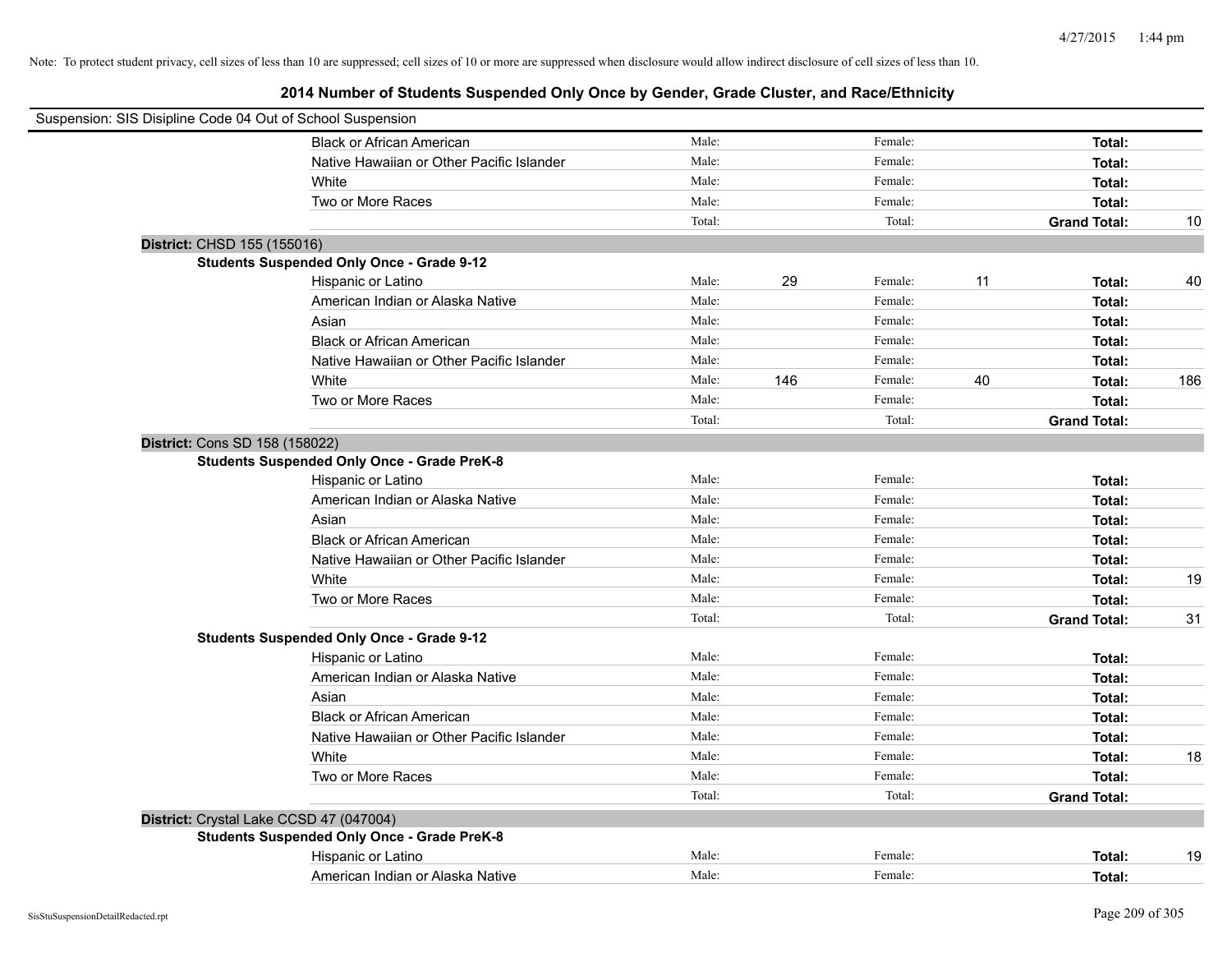| Suspension: SIS Disipline Code 04 Out of School Suspension |        |     |         |    |                     |     |
|------------------------------------------------------------|--------|-----|---------|----|---------------------|-----|
| <b>Black or African American</b>                           | Male:  |     | Female: |    | Total:              |     |
| Native Hawaiian or Other Pacific Islander                  | Male:  |     | Female: |    | Total:              |     |
| White                                                      | Male:  |     | Female: |    | Total:              |     |
| Two or More Races                                          | Male:  |     | Female: |    | Total:              |     |
|                                                            | Total: |     | Total:  |    | <b>Grand Total:</b> | 10  |
| District: CHSD 155 (155016)                                |        |     |         |    |                     |     |
| <b>Students Suspended Only Once - Grade 9-12</b>           |        |     |         |    |                     |     |
| Hispanic or Latino                                         | Male:  | 29  | Female: | 11 | Total:              | 40  |
| American Indian or Alaska Native                           | Male:  |     | Female: |    | Total:              |     |
| Asian                                                      | Male:  |     | Female: |    | Total:              |     |
| <b>Black or African American</b>                           | Male:  |     | Female: |    | Total:              |     |
| Native Hawaiian or Other Pacific Islander                  | Male:  |     | Female: |    | Total:              |     |
| White                                                      | Male:  | 146 | Female: | 40 | Total:              | 186 |
| Two or More Races                                          | Male:  |     | Female: |    | Total:              |     |
|                                                            | Total: |     | Total:  |    | <b>Grand Total:</b> |     |
| District: Cons SD 158 (158022)                             |        |     |         |    |                     |     |
| <b>Students Suspended Only Once - Grade PreK-8</b>         |        |     |         |    |                     |     |
| Hispanic or Latino                                         | Male:  |     | Female: |    | Total:              |     |
| American Indian or Alaska Native                           | Male:  |     | Female: |    | Total:              |     |
| Asian                                                      | Male:  |     | Female: |    | Total:              |     |
| <b>Black or African American</b>                           | Male:  |     | Female: |    | Total:              |     |
| Native Hawaiian or Other Pacific Islander                  | Male:  |     | Female: |    | Total:              |     |
| White                                                      | Male:  |     | Female: |    | Total:              | 19  |
| Two or More Races                                          | Male:  |     | Female: |    | Total:              |     |
|                                                            | Total: |     | Total:  |    | <b>Grand Total:</b> | 31  |
| <b>Students Suspended Only Once - Grade 9-12</b>           |        |     |         |    |                     |     |
| Hispanic or Latino                                         | Male:  |     | Female: |    | Total:              |     |
| American Indian or Alaska Native                           | Male:  |     | Female: |    | Total:              |     |
| Asian                                                      | Male:  |     | Female: |    | Total:              |     |
| <b>Black or African American</b>                           | Male:  |     | Female: |    | Total:              |     |
| Native Hawaiian or Other Pacific Islander                  | Male:  |     | Female: |    | Total:              |     |
| White                                                      | Male:  |     | Female: |    | Total:              | 18  |
| Two or More Races                                          | Male:  |     | Female: |    | Total:              |     |
|                                                            | Total: |     | Total:  |    | <b>Grand Total:</b> |     |
| District: Crystal Lake CCSD 47 (047004)                    |        |     |         |    |                     |     |
| <b>Students Suspended Only Once - Grade PreK-8</b>         |        |     |         |    |                     |     |
| Hispanic or Latino                                         | Male:  |     | Female: |    | Total:              | 19  |
| American Indian or Alaska Native                           | Male:  |     | Female: |    | Total:              |     |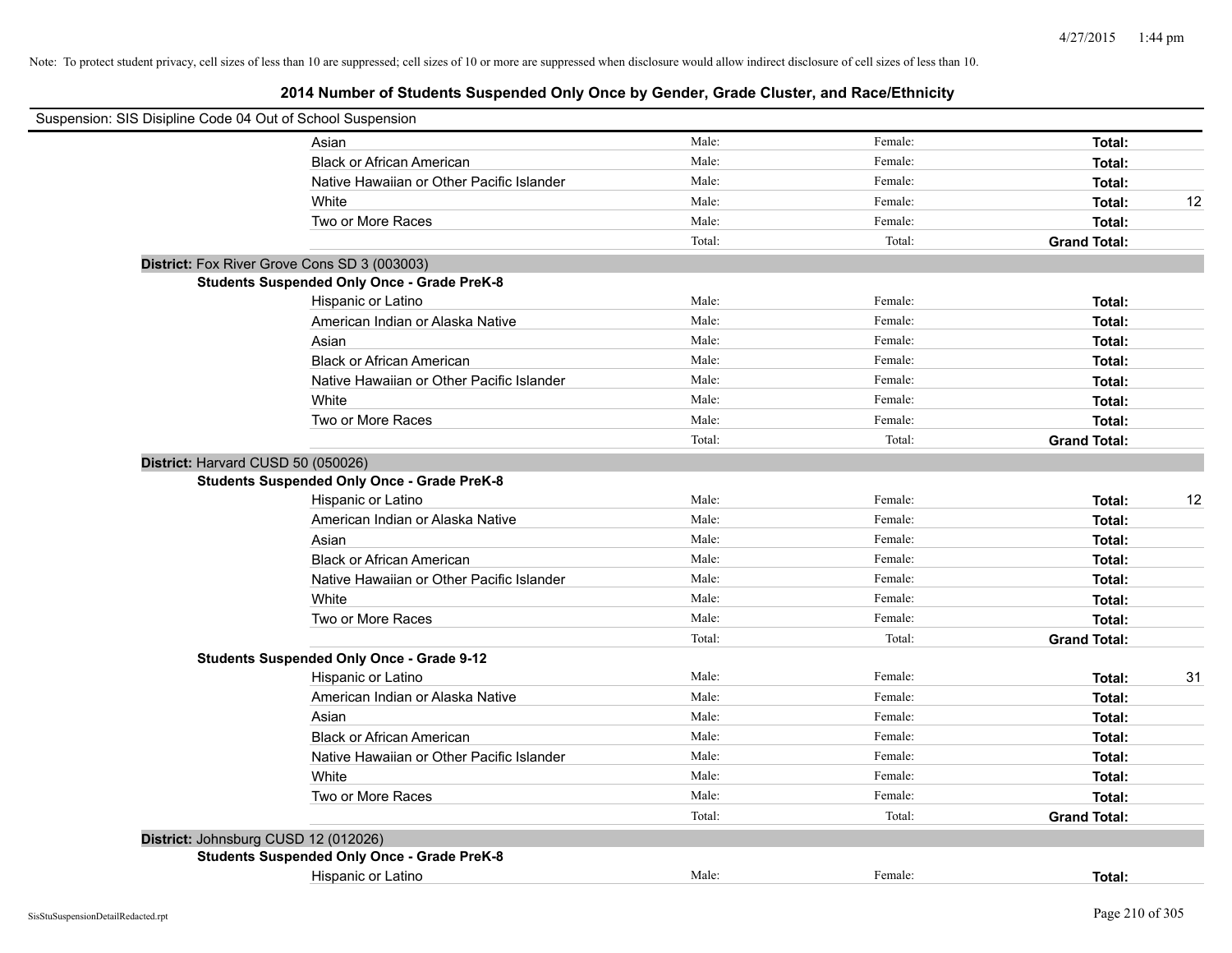| Suspension: SIS Disipline Code 04 Out of School Suspension |                                                    |        |         |                     |    |
|------------------------------------------------------------|----------------------------------------------------|--------|---------|---------------------|----|
|                                                            | Asian                                              | Male:  | Female: | Total:              |    |
|                                                            | <b>Black or African American</b>                   | Male:  | Female: | Total:              |    |
|                                                            | Native Hawaiian or Other Pacific Islander          | Male:  | Female: | Total:              |    |
|                                                            | White                                              | Male:  | Female: | Total:              | 12 |
|                                                            | Two or More Races                                  | Male:  | Female: | Total:              |    |
|                                                            |                                                    | Total: | Total:  | <b>Grand Total:</b> |    |
|                                                            | District: Fox River Grove Cons SD 3 (003003)       |        |         |                     |    |
|                                                            | <b>Students Suspended Only Once - Grade PreK-8</b> |        |         |                     |    |
|                                                            | Hispanic or Latino                                 | Male:  | Female: | Total:              |    |
|                                                            | American Indian or Alaska Native                   | Male:  | Female: | Total:              |    |
|                                                            | Asian                                              | Male:  | Female: | Total:              |    |
|                                                            | <b>Black or African American</b>                   | Male:  | Female: | Total:              |    |
|                                                            | Native Hawaiian or Other Pacific Islander          | Male:  | Female: | Total:              |    |
|                                                            | White                                              | Male:  | Female: | Total:              |    |
|                                                            | Two or More Races                                  | Male:  | Female: | Total:              |    |
|                                                            |                                                    | Total: | Total:  | <b>Grand Total:</b> |    |
| District: Harvard CUSD 50 (050026)                         |                                                    |        |         |                     |    |
|                                                            | <b>Students Suspended Only Once - Grade PreK-8</b> |        |         |                     |    |
|                                                            | Hispanic or Latino                                 | Male:  | Female: | Total:              | 12 |
|                                                            | American Indian or Alaska Native                   | Male:  | Female: | Total:              |    |
|                                                            | Asian                                              | Male:  | Female: | Total:              |    |
|                                                            | <b>Black or African American</b>                   | Male:  | Female: | Total:              |    |
|                                                            | Native Hawaiian or Other Pacific Islander          | Male:  | Female: | Total:              |    |
|                                                            | White                                              | Male:  | Female: | Total:              |    |
|                                                            | Two or More Races                                  | Male:  | Female: | Total:              |    |
|                                                            |                                                    | Total: | Total:  | <b>Grand Total:</b> |    |
|                                                            | <b>Students Suspended Only Once - Grade 9-12</b>   |        |         |                     |    |
|                                                            | Hispanic or Latino                                 | Male:  | Female: | Total:              | 31 |
|                                                            | American Indian or Alaska Native                   | Male:  | Female: | Total:              |    |
|                                                            | Asian                                              | Male:  | Female: | Total:              |    |
|                                                            | <b>Black or African American</b>                   | Male:  | Female: | Total:              |    |
|                                                            | Native Hawaiian or Other Pacific Islander          | Male:  | Female: | Total:              |    |
|                                                            | White                                              | Male:  | Female: | Total:              |    |
|                                                            | Two or More Races                                  | Male:  | Female: | Total:              |    |
|                                                            |                                                    | Total: | Total:  | <b>Grand Total:</b> |    |
|                                                            | District: Johnsburg CUSD 12 (012026)               |        |         |                     |    |
|                                                            | <b>Students Suspended Only Once - Grade PreK-8</b> |        |         |                     |    |
|                                                            | Hispanic or Latino                                 | Male:  | Female: | Total:              |    |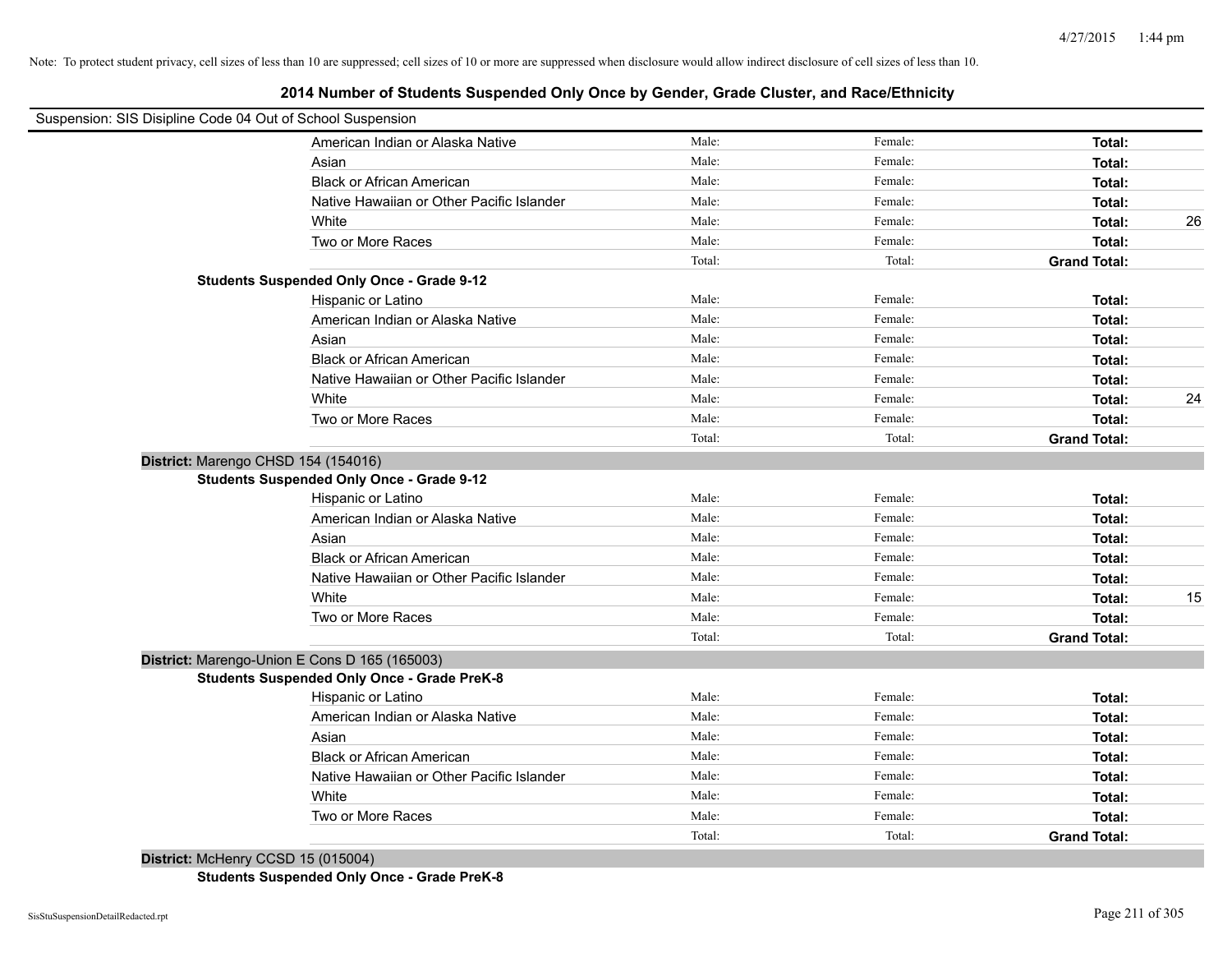# **2014 Number of Students Suspended Only Once by Gender, Grade Cluster, and Race/Ethnicity**

| Suspension: SIS Disipline Code 04 Out of School Suspension |        |         |                     |    |
|------------------------------------------------------------|--------|---------|---------------------|----|
| American Indian or Alaska Native                           | Male:  | Female: | Total:              |    |
| Asian                                                      | Male:  | Female: | Total:              |    |
| <b>Black or African American</b>                           | Male:  | Female: | Total:              |    |
| Native Hawaiian or Other Pacific Islander                  | Male:  | Female: | Total:              |    |
| White                                                      | Male:  | Female: | Total:              | 26 |
| Two or More Races                                          | Male:  | Female: | Total:              |    |
|                                                            | Total: | Total:  | <b>Grand Total:</b> |    |
| <b>Students Suspended Only Once - Grade 9-12</b>           |        |         |                     |    |
| Hispanic or Latino                                         | Male:  | Female: | Total:              |    |
| American Indian or Alaska Native                           | Male:  | Female: | Total:              |    |
| Asian                                                      | Male:  | Female: | Total:              |    |
| <b>Black or African American</b>                           | Male:  | Female: | Total:              |    |
| Native Hawaiian or Other Pacific Islander                  | Male:  | Female: | Total:              |    |
| White                                                      | Male:  | Female: | Total:              | 24 |
| Two or More Races                                          | Male:  | Female: | Total:              |    |
|                                                            | Total: | Total:  | <b>Grand Total:</b> |    |
| District: Marengo CHSD 154 (154016)                        |        |         |                     |    |
| <b>Students Suspended Only Once - Grade 9-12</b>           |        |         |                     |    |
| Hispanic or Latino                                         | Male:  | Female: | Total:              |    |
| American Indian or Alaska Native                           | Male:  | Female: | Total:              |    |
| Asian                                                      | Male:  | Female: | Total:              |    |
| <b>Black or African American</b>                           | Male:  | Female: | Total:              |    |
| Native Hawaiian or Other Pacific Islander                  | Male:  | Female: | Total:              |    |
| White                                                      | Male:  | Female: | Total:              | 15 |
| Two or More Races                                          | Male:  | Female: | Total:              |    |
|                                                            | Total: | Total:  | <b>Grand Total:</b> |    |
| District: Marengo-Union E Cons D 165 (165003)              |        |         |                     |    |
| <b>Students Suspended Only Once - Grade PreK-8</b>         |        |         |                     |    |
| Hispanic or Latino                                         | Male:  | Female: | Total:              |    |
| American Indian or Alaska Native                           | Male:  | Female: | Total:              |    |
| Asian                                                      | Male:  | Female: | Total:              |    |
| <b>Black or African American</b>                           | Male:  | Female: | Total:              |    |
| Native Hawaiian or Other Pacific Islander                  | Male:  | Female: | Total:              |    |
| White                                                      | Male:  | Female: | Total:              |    |
| Two or More Races                                          | Male:  | Female: | Total:              |    |
|                                                            | Total: | Total:  | <b>Grand Total:</b> |    |

**District:** McHenry CCSD 15 (015004) **Students Suspended Only Once - Grade PreK-8**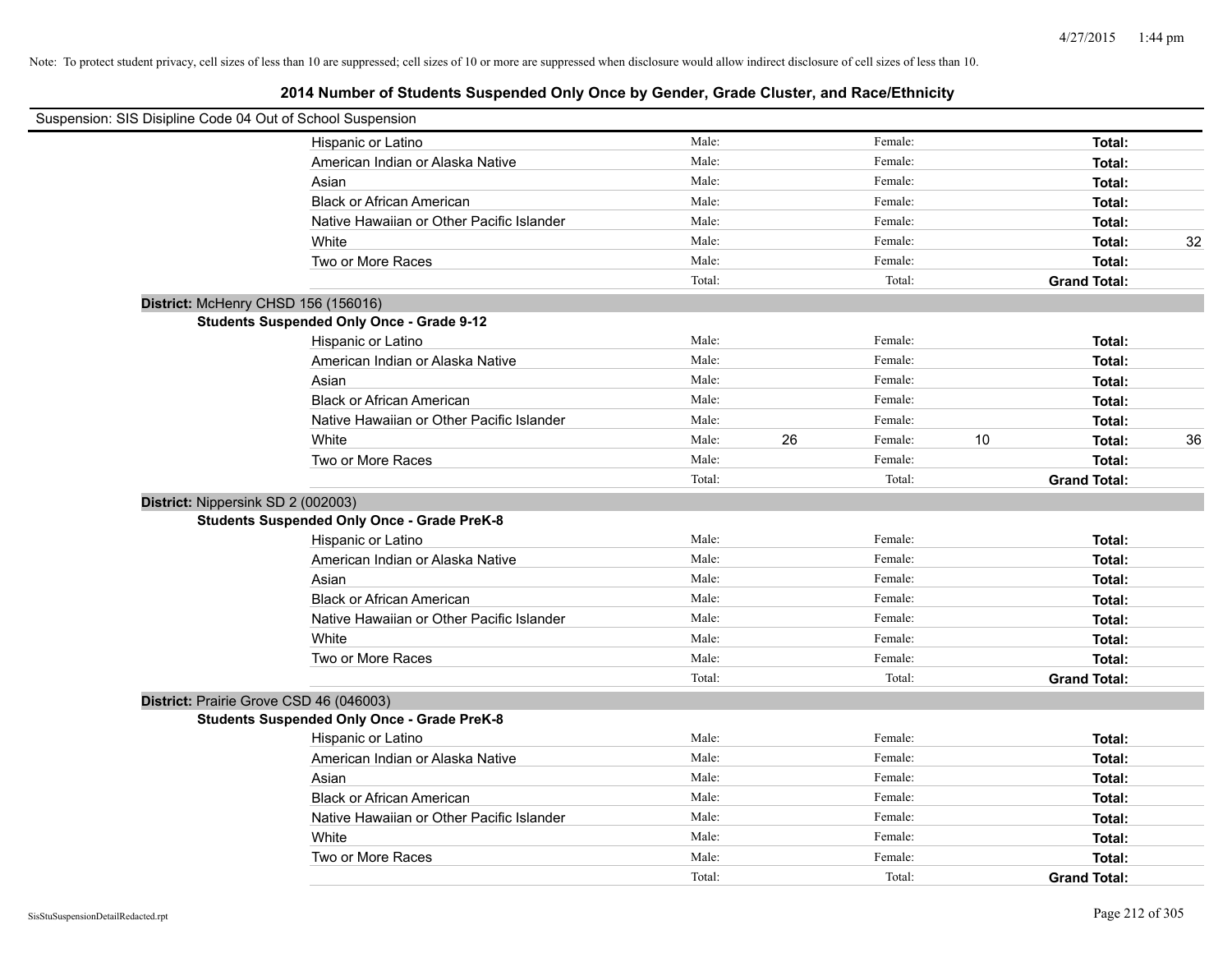| Suspension: SIS Disipline Code 04 Out of School Suspension |                                                    |        |    |         |    |                     |    |
|------------------------------------------------------------|----------------------------------------------------|--------|----|---------|----|---------------------|----|
|                                                            | Hispanic or Latino                                 | Male:  |    | Female: |    | Total:              |    |
|                                                            | American Indian or Alaska Native                   | Male:  |    | Female: |    | Total:              |    |
|                                                            | Asian                                              | Male:  |    | Female: |    | Total:              |    |
|                                                            | <b>Black or African American</b>                   | Male:  |    | Female: |    | Total:              |    |
|                                                            | Native Hawaiian or Other Pacific Islander          | Male:  |    | Female: |    | Total:              |    |
|                                                            | White                                              | Male:  |    | Female: |    | Total:              | 32 |
|                                                            | Two or More Races                                  | Male:  |    | Female: |    | Total:              |    |
|                                                            |                                                    | Total: |    | Total:  |    | <b>Grand Total:</b> |    |
| District: McHenry CHSD 156 (156016)                        |                                                    |        |    |         |    |                     |    |
|                                                            | <b>Students Suspended Only Once - Grade 9-12</b>   |        |    |         |    |                     |    |
|                                                            | Hispanic or Latino                                 | Male:  |    | Female: |    | Total:              |    |
|                                                            | American Indian or Alaska Native                   | Male:  |    | Female: |    | Total:              |    |
|                                                            | Asian                                              | Male:  |    | Female: |    | Total:              |    |
|                                                            | <b>Black or African American</b>                   | Male:  |    | Female: |    | Total:              |    |
|                                                            | Native Hawaiian or Other Pacific Islander          | Male:  |    | Female: |    | Total:              |    |
|                                                            | White                                              | Male:  | 26 | Female: | 10 | Total:              | 36 |
|                                                            | Two or More Races                                  | Male:  |    | Female: |    | Total:              |    |
|                                                            |                                                    | Total: |    | Total:  |    | <b>Grand Total:</b> |    |
| District: Nippersink SD 2 (002003)                         |                                                    |        |    |         |    |                     |    |
|                                                            | <b>Students Suspended Only Once - Grade PreK-8</b> |        |    |         |    |                     |    |
|                                                            | Hispanic or Latino                                 | Male:  |    | Female: |    | Total:              |    |
|                                                            | American Indian or Alaska Native                   | Male:  |    | Female: |    | Total:              |    |
|                                                            | Asian                                              | Male:  |    | Female: |    | Total:              |    |
|                                                            | <b>Black or African American</b>                   | Male:  |    | Female: |    | Total:              |    |
|                                                            | Native Hawaiian or Other Pacific Islander          | Male:  |    | Female: |    | Total:              |    |
|                                                            | White                                              | Male:  |    | Female: |    | Total:              |    |
|                                                            | Two or More Races                                  | Male:  |    | Female: |    | Total:              |    |
|                                                            |                                                    | Total: |    | Total:  |    | <b>Grand Total:</b> |    |
| District: Prairie Grove CSD 46 (046003)                    |                                                    |        |    |         |    |                     |    |
|                                                            | <b>Students Suspended Only Once - Grade PreK-8</b> |        |    |         |    |                     |    |
|                                                            | Hispanic or Latino                                 | Male:  |    | Female: |    | Total:              |    |
|                                                            | American Indian or Alaska Native                   | Male:  |    | Female: |    | Total:              |    |
|                                                            | Asian                                              | Male:  |    | Female: |    | Total:              |    |
|                                                            | <b>Black or African American</b>                   | Male:  |    | Female: |    | Total:              |    |
|                                                            | Native Hawaiian or Other Pacific Islander          | Male:  |    | Female: |    | Total:              |    |
|                                                            | White                                              | Male:  |    | Female: |    | Total:              |    |
|                                                            | Two or More Races                                  | Male:  |    | Female: |    | Total:              |    |
|                                                            |                                                    | Total: |    | Total:  |    | <b>Grand Total:</b> |    |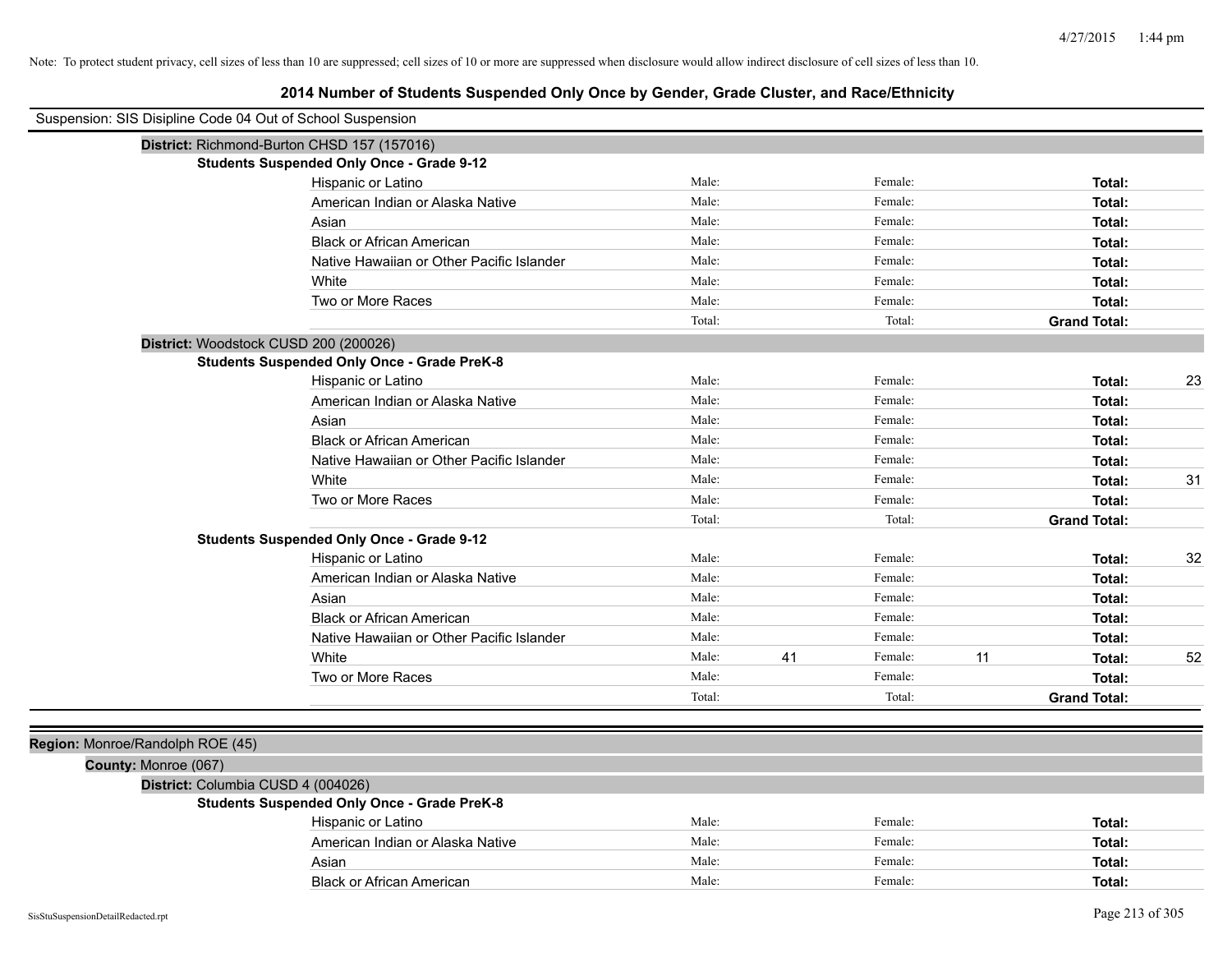| Suspension: SIS Disipline Code 04 Out of School Suspension |                                                    |        |    |         |    |                     |    |
|------------------------------------------------------------|----------------------------------------------------|--------|----|---------|----|---------------------|----|
|                                                            | District: Richmond-Burton CHSD 157 (157016)        |        |    |         |    |                     |    |
|                                                            | <b>Students Suspended Only Once - Grade 9-12</b>   |        |    |         |    |                     |    |
|                                                            | Hispanic or Latino                                 | Male:  |    | Female: |    | Total:              |    |
|                                                            | American Indian or Alaska Native                   | Male:  |    | Female: |    | Total:              |    |
|                                                            | Asian                                              | Male:  |    | Female: |    | Total:              |    |
|                                                            | <b>Black or African American</b>                   | Male:  |    | Female: |    | Total:              |    |
|                                                            | Native Hawaiian or Other Pacific Islander          | Male:  |    | Female: |    | Total:              |    |
|                                                            | White                                              | Male:  |    | Female: |    | Total:              |    |
|                                                            | Two or More Races                                  | Male:  |    | Female: |    | Total:              |    |
|                                                            |                                                    | Total: |    | Total:  |    | <b>Grand Total:</b> |    |
| District: Woodstock CUSD 200 (200026)                      |                                                    |        |    |         |    |                     |    |
|                                                            | <b>Students Suspended Only Once - Grade PreK-8</b> |        |    |         |    |                     |    |
|                                                            | Hispanic or Latino                                 | Male:  |    | Female: |    | Total:              | 23 |
|                                                            | American Indian or Alaska Native                   | Male:  |    | Female: |    | Total:              |    |
|                                                            | Asian                                              | Male:  |    | Female: |    | Total:              |    |
|                                                            | <b>Black or African American</b>                   | Male:  |    | Female: |    | Total:              |    |
|                                                            | Native Hawaiian or Other Pacific Islander          | Male:  |    | Female: |    | Total:              |    |
|                                                            | White                                              | Male:  |    | Female: |    | Total:              | 31 |
|                                                            | Two or More Races                                  | Male:  |    | Female: |    | Total:              |    |
|                                                            |                                                    | Total: |    | Total:  |    | <b>Grand Total:</b> |    |
|                                                            | <b>Students Suspended Only Once - Grade 9-12</b>   |        |    |         |    |                     |    |
|                                                            | Hispanic or Latino                                 | Male:  |    | Female: |    | Total:              | 32 |
|                                                            | American Indian or Alaska Native                   | Male:  |    | Female: |    | Total:              |    |
|                                                            | Asian                                              | Male:  |    | Female: |    | Total:              |    |
|                                                            | <b>Black or African American</b>                   | Male:  |    | Female: |    | Total:              |    |
|                                                            | Native Hawaiian or Other Pacific Islander          | Male:  |    | Female: |    | Total:              |    |
|                                                            | White                                              | Male:  | 41 | Female: | 11 | Total:              | 52 |
|                                                            | Two or More Races                                  | Male:  |    | Female: |    | Total:              |    |
|                                                            |                                                    | Total: |    | Total:  |    | <b>Grand Total:</b> |    |
|                                                            |                                                    |        |    |         |    |                     |    |
| Region: Monroe/Randolph ROE (45)                           |                                                    |        |    |         |    |                     |    |
| County: Monroe (067)                                       |                                                    |        |    |         |    |                     |    |
| District: Columbia CUSD 4 (004026)                         |                                                    |        |    |         |    |                     |    |
|                                                            | <b>Students Suspended Only Once - Grade PreK-8</b> |        |    |         |    |                     |    |
|                                                            | Hispanic or Latino                                 | Male:  |    | Female: |    | Total:              |    |
|                                                            | American Indian or Alaska Native                   | Male:  |    | Female: |    | Total:              |    |
|                                                            | Asian                                              | Male:  |    | Female: |    | Total:              |    |
|                                                            | <b>Black or African American</b>                   | Male:  |    | Female: |    | Total:              |    |
| SisStuSuspensionDetailRedacted.rpt                         |                                                    |        |    |         |    | Page 213 of 305     |    |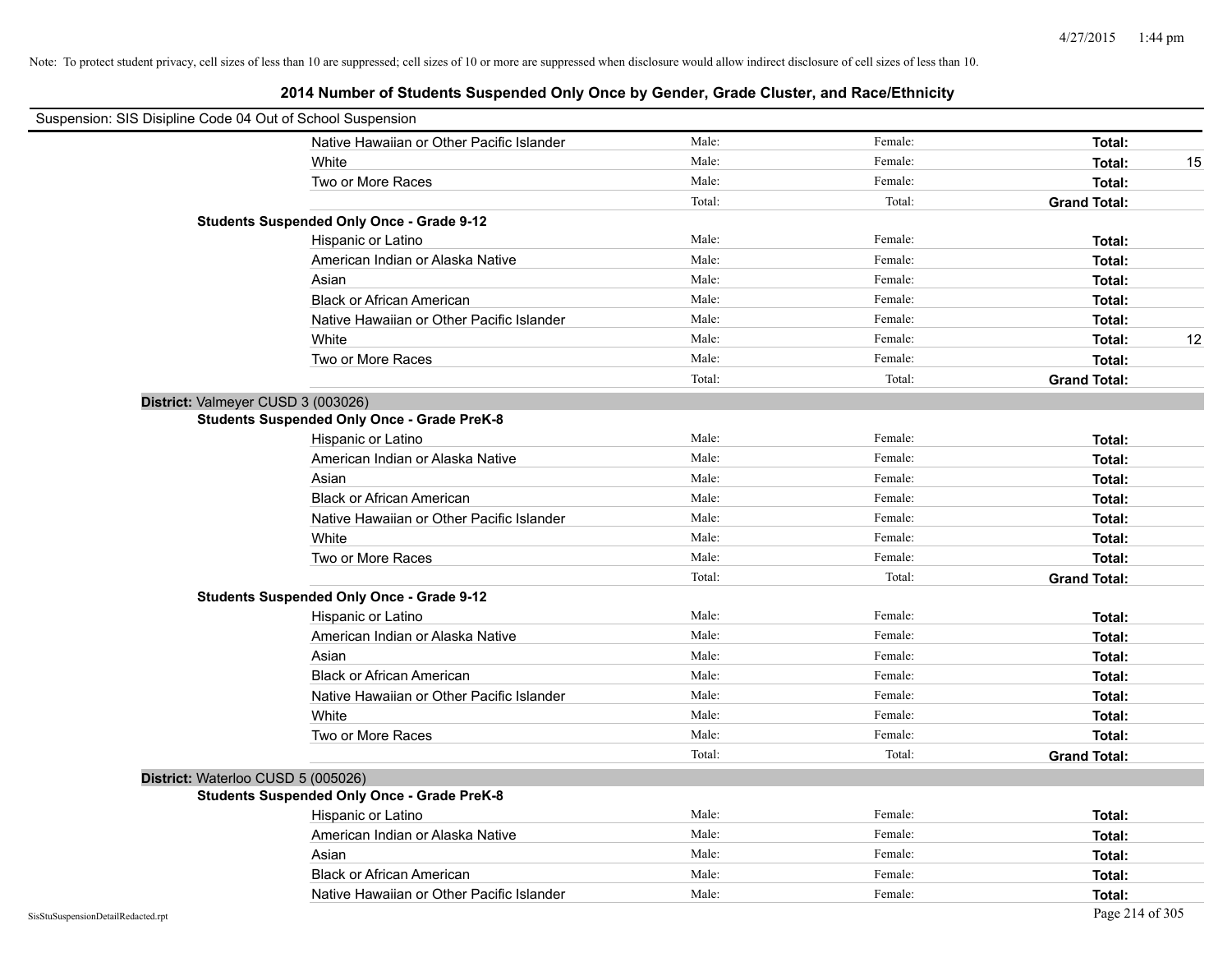|                                    | Suspension: SIS Disipline Code 04 Out of School Suspension |        |         |                     |
|------------------------------------|------------------------------------------------------------|--------|---------|---------------------|
|                                    | Native Hawaiian or Other Pacific Islander                  | Male:  | Female: | Total:              |
|                                    | White                                                      | Male:  | Female: | Total:<br>15        |
|                                    | Two or More Races                                          | Male:  | Female: | Total:              |
|                                    |                                                            | Total: | Total:  | <b>Grand Total:</b> |
|                                    | <b>Students Suspended Only Once - Grade 9-12</b>           |        |         |                     |
|                                    | Hispanic or Latino                                         | Male:  | Female: | Total:              |
|                                    | American Indian or Alaska Native                           | Male:  | Female: | Total:              |
|                                    | Asian                                                      | Male:  | Female: | Total:              |
|                                    | <b>Black or African American</b>                           | Male:  | Female: | Total:              |
|                                    | Native Hawaiian or Other Pacific Islander                  | Male:  | Female: | Total:              |
|                                    | White                                                      | Male:  | Female: | 12<br>Total:        |
|                                    | Two or More Races                                          | Male:  | Female: | Total:              |
|                                    |                                                            | Total: | Total:  | <b>Grand Total:</b> |
|                                    | District: Valmeyer CUSD 3 (003026)                         |        |         |                     |
|                                    | <b>Students Suspended Only Once - Grade PreK-8</b>         |        |         |                     |
|                                    | Hispanic or Latino                                         | Male:  | Female: | Total:              |
|                                    | American Indian or Alaska Native                           | Male:  | Female: | Total:              |
|                                    | Asian                                                      | Male:  | Female: | Total:              |
|                                    | <b>Black or African American</b>                           | Male:  | Female: | Total:              |
|                                    | Native Hawaiian or Other Pacific Islander                  | Male:  | Female: | Total:              |
|                                    | White                                                      | Male:  | Female: | Total:              |
|                                    | Two or More Races                                          | Male:  | Female: | Total:              |
|                                    |                                                            | Total: | Total:  | <b>Grand Total:</b> |
|                                    | <b>Students Suspended Only Once - Grade 9-12</b>           |        |         |                     |
|                                    | Hispanic or Latino                                         | Male:  | Female: | Total:              |
|                                    | American Indian or Alaska Native                           | Male:  | Female: | Total:              |
|                                    | Asian                                                      | Male:  | Female: | Total:              |
|                                    | <b>Black or African American</b>                           | Male:  | Female: | Total:              |
|                                    | Native Hawaiian or Other Pacific Islander                  | Male:  | Female: | Total:              |
|                                    | White                                                      | Male:  | Female: | Total:              |
|                                    | Two or More Races                                          | Male:  | Female: | Total:              |
|                                    |                                                            | Total: | Total:  | <b>Grand Total:</b> |
|                                    | District: Waterloo CUSD 5 (005026)                         |        |         |                     |
|                                    | <b>Students Suspended Only Once - Grade PreK-8</b>         |        |         |                     |
|                                    | Hispanic or Latino                                         | Male:  | Female: | Total:              |
|                                    | American Indian or Alaska Native                           | Male:  | Female: | Total:              |
|                                    | Asian                                                      | Male:  | Female: | Total:              |
|                                    | <b>Black or African American</b>                           | Male:  | Female: | Total:              |
|                                    | Native Hawaiian or Other Pacific Islander                  | Male:  | Female: | Total:              |
| SisStuSuspensionDetailRedacted.rpt |                                                            |        |         | Page 214 of 305     |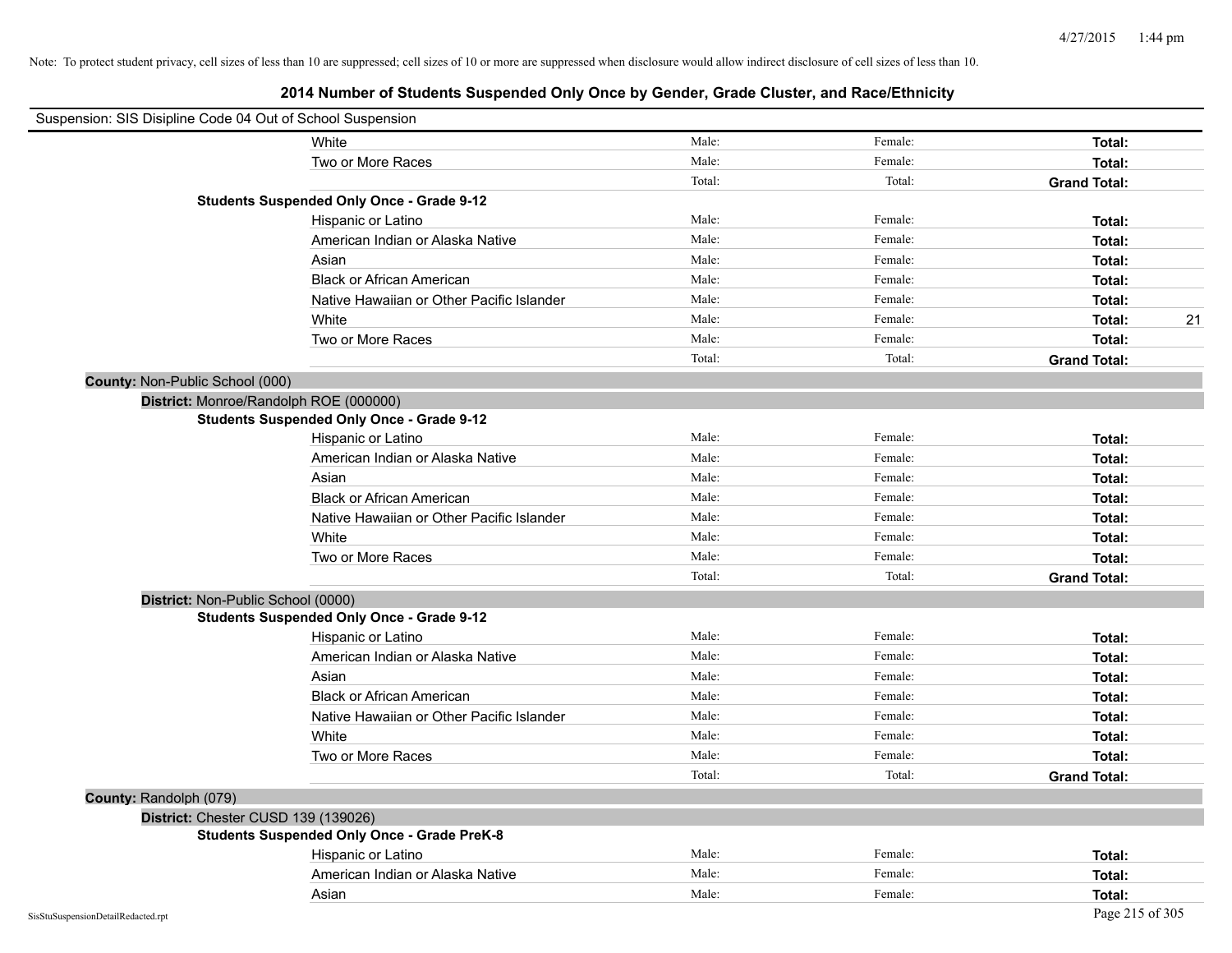| Suspension: SIS Disipline Code 04 Out of School Suspension |                                                    |        |         |                     |
|------------------------------------------------------------|----------------------------------------------------|--------|---------|---------------------|
|                                                            | White                                              | Male:  | Female: | Total:              |
|                                                            | Two or More Races                                  | Male:  | Female: | Total:              |
|                                                            |                                                    | Total: | Total:  | <b>Grand Total:</b> |
|                                                            | <b>Students Suspended Only Once - Grade 9-12</b>   |        |         |                     |
|                                                            | Hispanic or Latino                                 | Male:  | Female: | Total:              |
|                                                            | American Indian or Alaska Native                   | Male:  | Female: | Total:              |
|                                                            | Asian                                              | Male:  | Female: | Total:              |
|                                                            | <b>Black or African American</b>                   | Male:  | Female: | Total:              |
|                                                            | Native Hawaiian or Other Pacific Islander          | Male:  | Female: | Total:              |
|                                                            | White                                              | Male:  | Female: | Total:<br>21        |
|                                                            | Two or More Races                                  | Male:  | Female: | Total:              |
|                                                            |                                                    | Total: | Total:  | <b>Grand Total:</b> |
| County: Non-Public School (000)                            |                                                    |        |         |                     |
|                                                            | District: Monroe/Randolph ROE (000000)             |        |         |                     |
|                                                            | <b>Students Suspended Only Once - Grade 9-12</b>   |        |         |                     |
|                                                            | Hispanic or Latino                                 | Male:  | Female: | Total:              |
|                                                            | American Indian or Alaska Native                   | Male:  | Female: | Total:              |
|                                                            | Asian                                              | Male:  | Female: | Total:              |
|                                                            | <b>Black or African American</b>                   | Male:  | Female: | Total:              |
|                                                            | Native Hawaiian or Other Pacific Islander          | Male:  | Female: | Total:              |
|                                                            | White                                              | Male:  | Female: | Total:              |
|                                                            | Two or More Races                                  | Male:  | Female: | Total:              |
|                                                            |                                                    | Total: | Total:  | <b>Grand Total:</b> |
| District: Non-Public School (0000)                         |                                                    |        |         |                     |
|                                                            | <b>Students Suspended Only Once - Grade 9-12</b>   |        |         |                     |
|                                                            | Hispanic or Latino                                 | Male:  | Female: | Total:              |
|                                                            | American Indian or Alaska Native                   | Male:  | Female: | Total:              |
|                                                            | Asian                                              | Male:  | Female: | Total:              |
|                                                            | <b>Black or African American</b>                   | Male:  | Female: | Total:              |
|                                                            | Native Hawaiian or Other Pacific Islander          | Male:  | Female: | Total:              |
|                                                            | White                                              | Male:  | Female: | Total:              |
|                                                            | Two or More Races                                  | Male:  | Female: | Total:              |
|                                                            |                                                    | Total: | Total:  | <b>Grand Total:</b> |
| County: Randolph (079)                                     |                                                    |        |         |                     |
| District: Chester CUSD 139 (139026)                        |                                                    |        |         |                     |
|                                                            | <b>Students Suspended Only Once - Grade PreK-8</b> |        |         |                     |
|                                                            | Hispanic or Latino                                 | Male:  | Female: | Total:              |
|                                                            | American Indian or Alaska Native                   | Male:  | Female: | Total:              |
|                                                            | Asian                                              | Male:  | Female: | Total:              |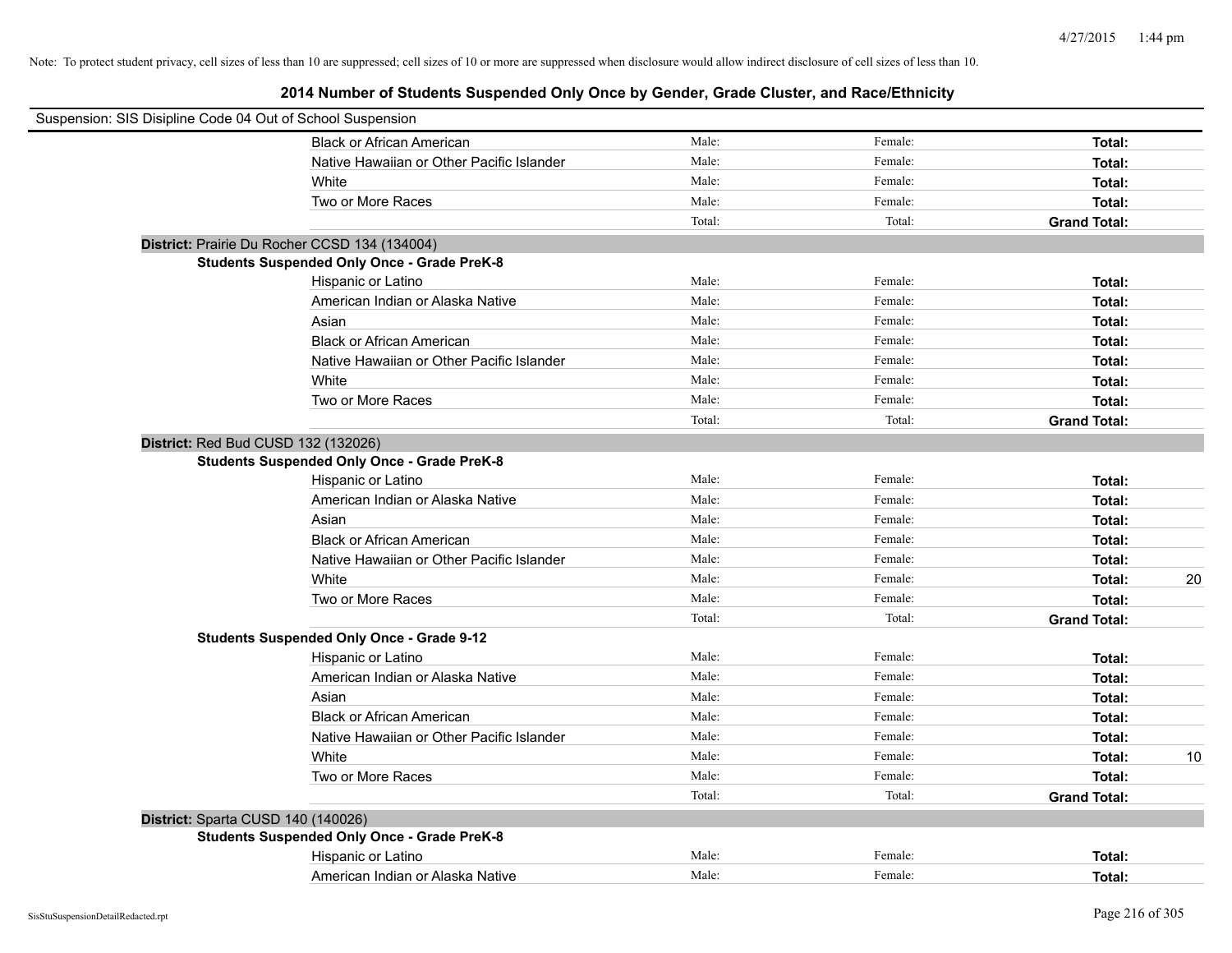| Suspension: SIS Disipline Code 04 Out of School Suspension |                                                    |        |         |                     |
|------------------------------------------------------------|----------------------------------------------------|--------|---------|---------------------|
|                                                            | <b>Black or African American</b>                   | Male:  | Female: | Total:              |
|                                                            | Native Hawaiian or Other Pacific Islander          | Male:  | Female: | Total:              |
|                                                            | White                                              | Male:  | Female: | Total:              |
|                                                            | Two or More Races                                  | Male:  | Female: | Total:              |
|                                                            |                                                    | Total: | Total:  | <b>Grand Total:</b> |
|                                                            | District: Prairie Du Rocher CCSD 134 (134004)      |        |         |                     |
|                                                            | <b>Students Suspended Only Once - Grade PreK-8</b> |        |         |                     |
|                                                            | Hispanic or Latino                                 | Male:  | Female: | Total:              |
|                                                            | American Indian or Alaska Native                   | Male:  | Female: | Total:              |
|                                                            | Asian                                              | Male:  | Female: | Total:              |
|                                                            | <b>Black or African American</b>                   | Male:  | Female: | Total:              |
|                                                            | Native Hawaiian or Other Pacific Islander          | Male:  | Female: | Total:              |
|                                                            | White                                              | Male:  | Female: | Total:              |
|                                                            | Two or More Races                                  | Male:  | Female: | Total:              |
|                                                            |                                                    | Total: | Total:  | <b>Grand Total:</b> |
| District: Red Bud CUSD 132 (132026)                        |                                                    |        |         |                     |
|                                                            | <b>Students Suspended Only Once - Grade PreK-8</b> |        |         |                     |
|                                                            | Hispanic or Latino                                 | Male:  | Female: | Total:              |
|                                                            | American Indian or Alaska Native                   | Male:  | Female: | Total:              |
|                                                            | Asian                                              | Male:  | Female: | Total:              |
|                                                            | <b>Black or African American</b>                   | Male:  | Female: | Total:              |
|                                                            | Native Hawaiian or Other Pacific Islander          | Male:  | Female: | Total:              |
|                                                            | White                                              | Male:  | Female: | 20<br>Total:        |
|                                                            | Two or More Races                                  | Male:  | Female: | Total:              |
|                                                            |                                                    | Total: | Total:  | <b>Grand Total:</b> |
|                                                            | <b>Students Suspended Only Once - Grade 9-12</b>   |        |         |                     |
|                                                            | Hispanic or Latino                                 | Male:  | Female: | Total:              |
|                                                            | American Indian or Alaska Native                   | Male:  | Female: | Total:              |
|                                                            | Asian                                              | Male:  | Female: | Total:              |
|                                                            | <b>Black or African American</b>                   | Male:  | Female: | Total:              |
|                                                            | Native Hawaiian or Other Pacific Islander          | Male:  | Female: | Total:              |
|                                                            | White                                              | Male:  | Female: | 10<br>Total:        |
|                                                            | Two or More Races                                  | Male:  | Female: | Total:              |
|                                                            |                                                    | Total: | Total:  | <b>Grand Total:</b> |
| District: Sparta CUSD 140 (140026)                         |                                                    |        |         |                     |
|                                                            | <b>Students Suspended Only Once - Grade PreK-8</b> |        |         |                     |
|                                                            | Hispanic or Latino                                 | Male:  | Female: | Total:              |
|                                                            | American Indian or Alaska Native                   | Male:  | Female: | Total:              |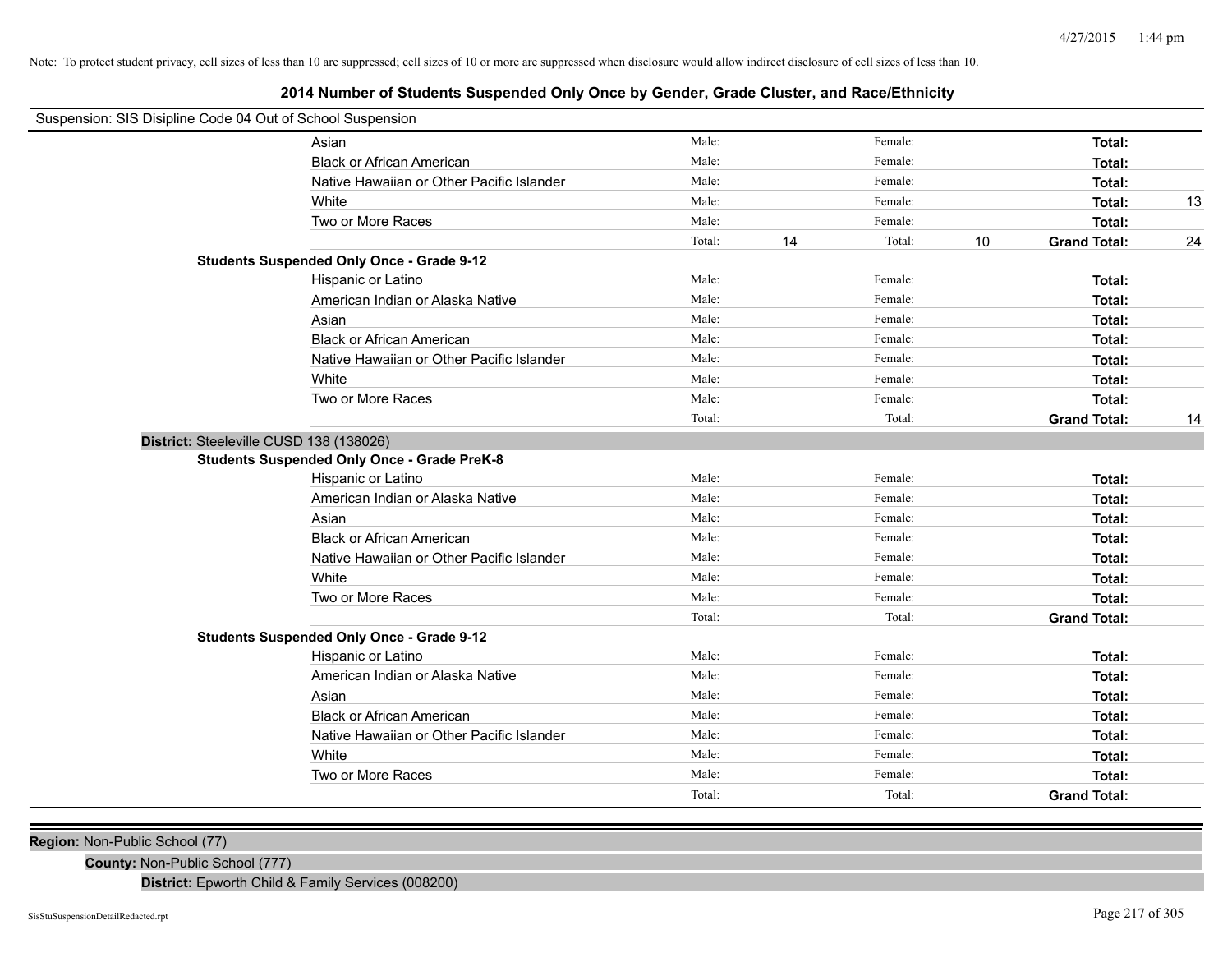# **2014 Number of Students Suspended Only Once by Gender, Grade Cluster, and Race/Ethnicity**

| Suspension: SIS Disipline Code 04 Out of School Suspension |                                                    |        |              |                           |    |
|------------------------------------------------------------|----------------------------------------------------|--------|--------------|---------------------------|----|
|                                                            | Asian                                              | Male:  | Female:      | Total:                    |    |
|                                                            | <b>Black or African American</b>                   | Male:  | Female:      | Total:                    |    |
|                                                            | Native Hawaiian or Other Pacific Islander          | Male:  | Female:      | Total:                    |    |
|                                                            | White                                              | Male:  | Female:      | Total:                    | 13 |
|                                                            | Two or More Races                                  | Male:  | Female:      | Total:                    |    |
|                                                            |                                                    | Total: | Total:<br>14 | 10<br><b>Grand Total:</b> | 24 |
|                                                            | <b>Students Suspended Only Once - Grade 9-12</b>   |        |              |                           |    |
|                                                            | Hispanic or Latino                                 | Male:  | Female:      | Total:                    |    |
|                                                            | American Indian or Alaska Native                   | Male:  | Female:      | Total:                    |    |
|                                                            | Asian                                              | Male:  | Female:      | Total:                    |    |
|                                                            | <b>Black or African American</b>                   | Male:  | Female:      | Total:                    |    |
|                                                            | Native Hawaiian or Other Pacific Islander          | Male:  | Female:      | Total:                    |    |
|                                                            | White                                              | Male:  | Female:      | Total:                    |    |
|                                                            | Two or More Races                                  | Male:  | Female:      | Total:                    |    |
|                                                            |                                                    | Total: | Total:       | <b>Grand Total:</b>       | 14 |
| District: Steeleville CUSD 138 (138026)                    |                                                    |        |              |                           |    |
|                                                            | <b>Students Suspended Only Once - Grade PreK-8</b> |        |              |                           |    |
|                                                            | Hispanic or Latino                                 | Male:  | Female:      | Total:                    |    |
|                                                            | American Indian or Alaska Native                   | Male:  | Female:      | Total:                    |    |
|                                                            | Asian                                              | Male:  | Female:      | Total:                    |    |
|                                                            | <b>Black or African American</b>                   | Male:  | Female:      | Total:                    |    |
|                                                            | Native Hawaiian or Other Pacific Islander          | Male:  | Female:      | Total:                    |    |
|                                                            | White                                              | Male:  | Female:      | Total:                    |    |
|                                                            | Two or More Races                                  | Male:  | Female:      | Total:                    |    |
|                                                            |                                                    | Total: | Total:       | <b>Grand Total:</b>       |    |
|                                                            | <b>Students Suspended Only Once - Grade 9-12</b>   |        |              |                           |    |
|                                                            | Hispanic or Latino                                 | Male:  | Female:      | Total:                    |    |
|                                                            | American Indian or Alaska Native                   | Male:  | Female:      | Total:                    |    |
|                                                            | Asian                                              | Male:  | Female:      | Total:                    |    |
|                                                            | <b>Black or African American</b>                   | Male:  | Female:      | Total:                    |    |
|                                                            | Native Hawaiian or Other Pacific Islander          | Male:  | Female:      | Total:                    |    |
|                                                            | White                                              | Male:  | Female:      | Total:                    |    |
|                                                            | Two or More Races                                  | Male:  | Female:      | Total:                    |    |
|                                                            |                                                    | Total: | Total:       | <b>Grand Total:</b>       |    |
|                                                            |                                                    |        |              |                           |    |

**Region:** Non-Public School (77)

**County:** Non-Public School (777)

**District:** Epworth Child & Family Services (008200)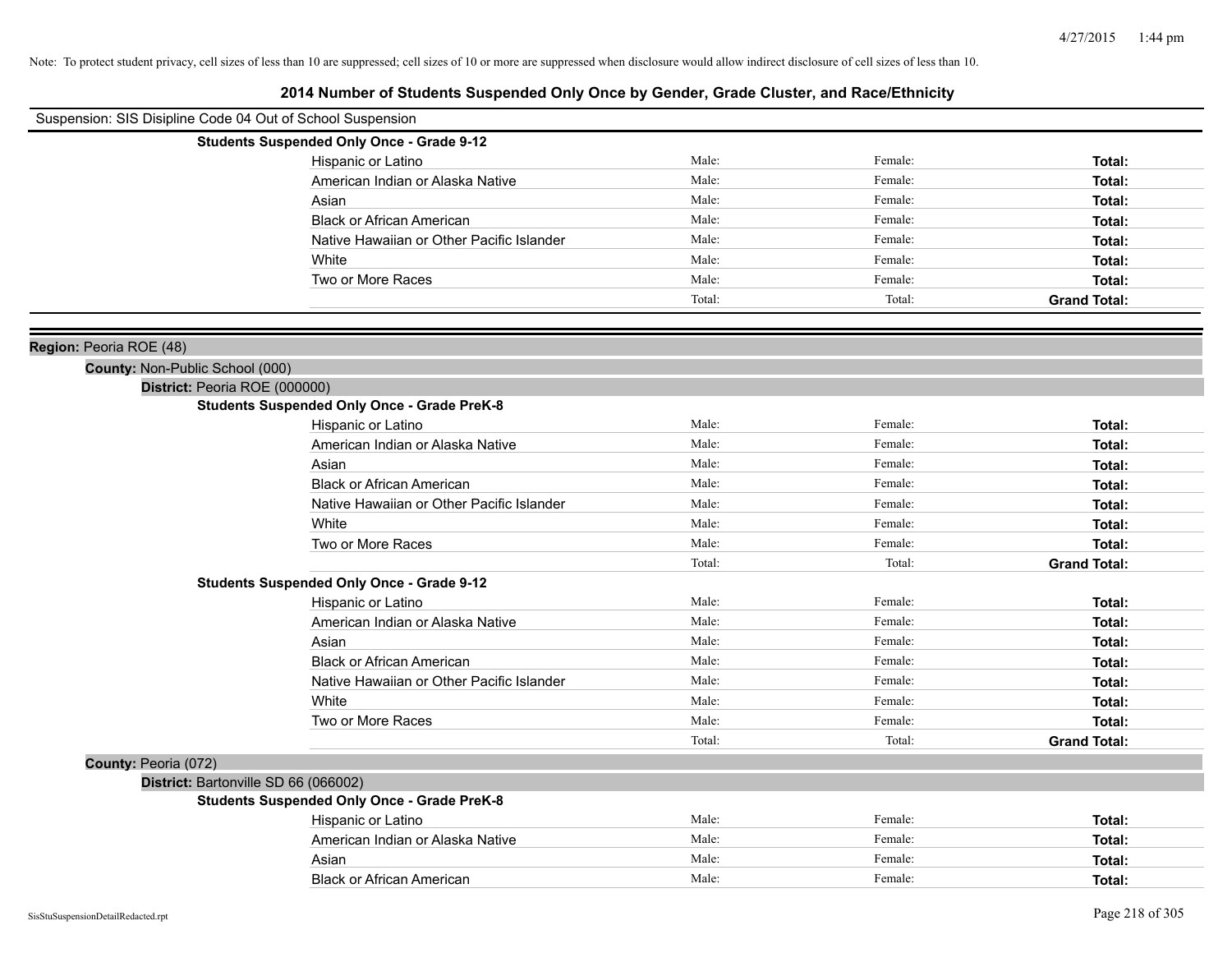| Suspension: SIS Disipline Code 04 Out of School Suspension |                                                    |        |         |                     |
|------------------------------------------------------------|----------------------------------------------------|--------|---------|---------------------|
|                                                            | <b>Students Suspended Only Once - Grade 9-12</b>   |        |         |                     |
|                                                            | Hispanic or Latino                                 | Male:  | Female: | Total:              |
|                                                            | American Indian or Alaska Native                   | Male:  | Female: | Total:              |
|                                                            | Asian                                              | Male:  | Female: | Total:              |
|                                                            | <b>Black or African American</b>                   | Male:  | Female: | Total:              |
|                                                            | Native Hawaiian or Other Pacific Islander          | Male:  | Female: | Total:              |
|                                                            | White                                              | Male:  | Female: | Total:              |
|                                                            | Two or More Races                                  | Male:  | Female: | Total:              |
|                                                            |                                                    | Total: | Total:  | <b>Grand Total:</b> |
|                                                            |                                                    |        |         |                     |
| Region: Peoria ROE (48)                                    |                                                    |        |         |                     |
| County: Non-Public School (000)                            |                                                    |        |         |                     |
| District: Peoria ROE (000000)                              |                                                    |        |         |                     |
|                                                            | <b>Students Suspended Only Once - Grade PreK-8</b> |        |         |                     |
|                                                            | Hispanic or Latino                                 | Male:  | Female: | Total:              |
|                                                            | American Indian or Alaska Native                   | Male:  | Female: | Total:              |
|                                                            | Asian                                              | Male:  | Female: | Total:              |
|                                                            | <b>Black or African American</b>                   | Male:  | Female: | Total:              |
|                                                            | Native Hawaiian or Other Pacific Islander          | Male:  | Female: | Total:              |
|                                                            | White                                              | Male:  | Female: | Total:              |
|                                                            | Two or More Races                                  | Male:  | Female: | Total:              |
|                                                            |                                                    | Total: | Total:  | <b>Grand Total:</b> |
|                                                            | <b>Students Suspended Only Once - Grade 9-12</b>   |        |         |                     |
|                                                            | Hispanic or Latino                                 | Male:  | Female: | Total:              |
|                                                            | American Indian or Alaska Native                   | Male:  | Female: | Total:              |
|                                                            | Asian                                              | Male:  | Female: | Total:              |
|                                                            | <b>Black or African American</b>                   | Male:  | Female: | Total:              |
|                                                            | Native Hawaiian or Other Pacific Islander          | Male:  | Female: | Total:              |
|                                                            | White                                              | Male:  | Female: | Total:              |
|                                                            | Two or More Races                                  | Male:  | Female: | Total:              |
|                                                            |                                                    | Total: | Total:  | <b>Grand Total:</b> |
| County: Peoria (072)                                       |                                                    |        |         |                     |
| District: Bartonville SD 66 (066002)                       |                                                    |        |         |                     |
|                                                            | <b>Students Suspended Only Once - Grade PreK-8</b> |        |         |                     |
|                                                            | Hispanic or Latino                                 | Male:  | Female: | Total:              |
|                                                            | American Indian or Alaska Native                   | Male:  | Female: | Total:              |
|                                                            | Asian                                              | Male:  | Female: | Total:              |
|                                                            | <b>Black or African American</b>                   | Male:  | Female: | Total:              |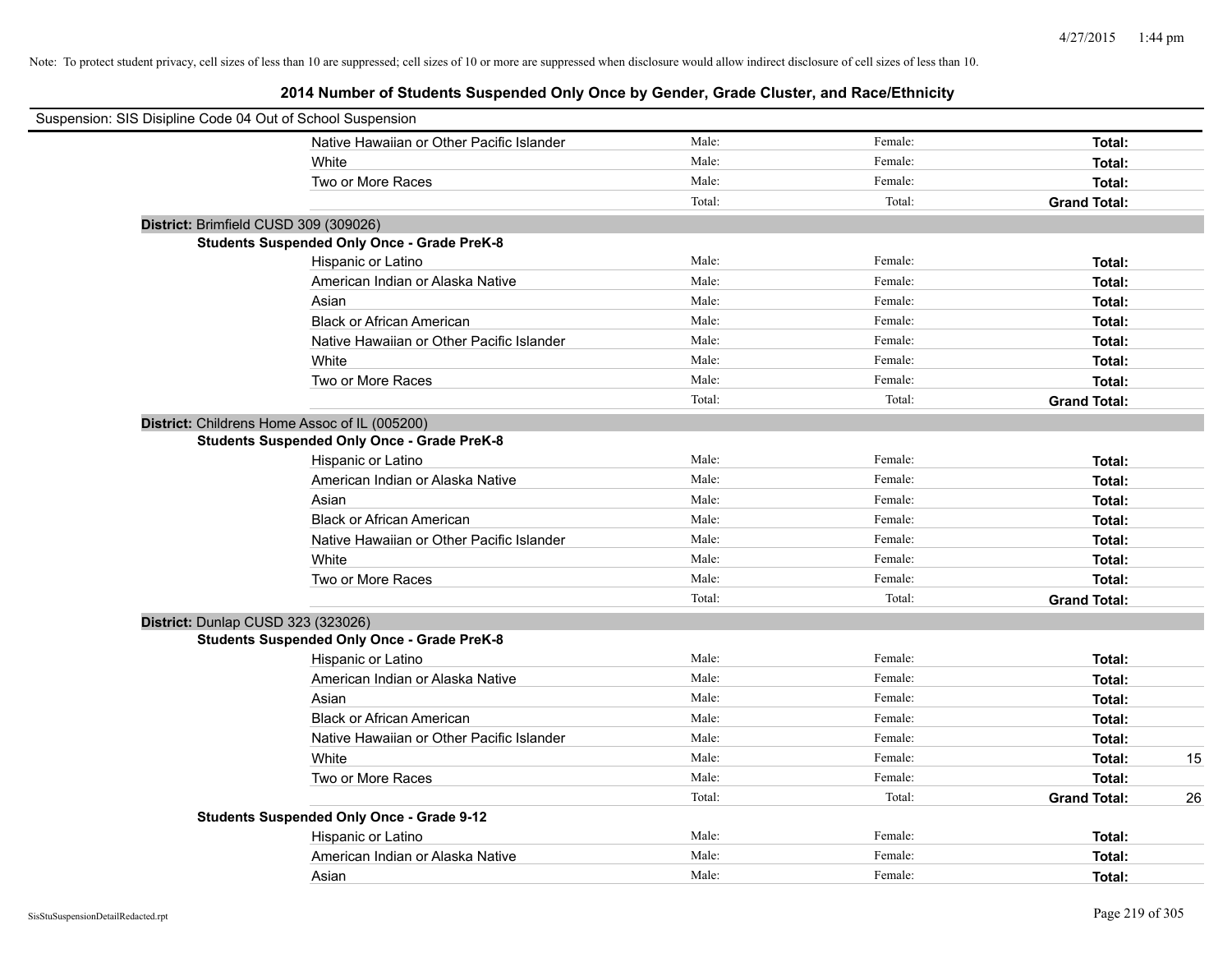| Suspension: SIS Disipline Code 04 Out of School Suspension |                                                    |        |         |                     |    |
|------------------------------------------------------------|----------------------------------------------------|--------|---------|---------------------|----|
|                                                            | Native Hawaiian or Other Pacific Islander          | Male:  | Female: | Total:              |    |
|                                                            | White                                              | Male:  | Female: | Total:              |    |
|                                                            | Two or More Races                                  | Male:  | Female: | Total:              |    |
|                                                            |                                                    | Total: | Total:  | <b>Grand Total:</b> |    |
| District: Brimfield CUSD 309 (309026)                      |                                                    |        |         |                     |    |
|                                                            | <b>Students Suspended Only Once - Grade PreK-8</b> |        |         |                     |    |
|                                                            | Hispanic or Latino                                 | Male:  | Female: | Total:              |    |
|                                                            | American Indian or Alaska Native                   | Male:  | Female: | Total:              |    |
|                                                            | Asian                                              | Male:  | Female: | Total:              |    |
|                                                            | <b>Black or African American</b>                   | Male:  | Female: | Total:              |    |
|                                                            | Native Hawaiian or Other Pacific Islander          | Male:  | Female: | Total:              |    |
|                                                            | White                                              | Male:  | Female: | Total:              |    |
|                                                            | Two or More Races                                  | Male:  | Female: | Total:              |    |
|                                                            |                                                    | Total: | Total:  | <b>Grand Total:</b> |    |
| District: Childrens Home Assoc of IL (005200)              |                                                    |        |         |                     |    |
|                                                            | <b>Students Suspended Only Once - Grade PreK-8</b> |        |         |                     |    |
|                                                            | Hispanic or Latino                                 | Male:  | Female: | Total:              |    |
|                                                            | American Indian or Alaska Native                   | Male:  | Female: | Total:              |    |
|                                                            | Asian                                              | Male:  | Female: | Total:              |    |
|                                                            | <b>Black or African American</b>                   | Male:  | Female: | Total:              |    |
|                                                            | Native Hawaiian or Other Pacific Islander          | Male:  | Female: | Total:              |    |
|                                                            | White                                              | Male:  | Female: | Total:              |    |
|                                                            | Two or More Races                                  | Male:  | Female: | Total:              |    |
|                                                            |                                                    | Total: | Total:  | <b>Grand Total:</b> |    |
| District: Dunlap CUSD 323 (323026)                         |                                                    |        |         |                     |    |
|                                                            | <b>Students Suspended Only Once - Grade PreK-8</b> |        |         |                     |    |
|                                                            | Hispanic or Latino                                 | Male:  | Female: | Total:              |    |
|                                                            | American Indian or Alaska Native                   | Male:  | Female: | Total:              |    |
|                                                            | Asian                                              | Male:  | Female: | Total:              |    |
|                                                            | <b>Black or African American</b>                   | Male:  | Female: | Total:              |    |
|                                                            | Native Hawaiian or Other Pacific Islander          | Male:  | Female: | Total:              |    |
|                                                            | White                                              | Male:  | Female: | Total:              | 15 |
|                                                            | Two or More Races                                  | Male:  | Female: | Total:              |    |
|                                                            |                                                    | Total: | Total:  | <b>Grand Total:</b> | 26 |
|                                                            | <b>Students Suspended Only Once - Grade 9-12</b>   |        |         |                     |    |
|                                                            | Hispanic or Latino                                 | Male:  | Female: | Total:              |    |
|                                                            | American Indian or Alaska Native                   | Male:  | Female: | Total:              |    |
|                                                            | Asian                                              | Male:  | Female: | Total:              |    |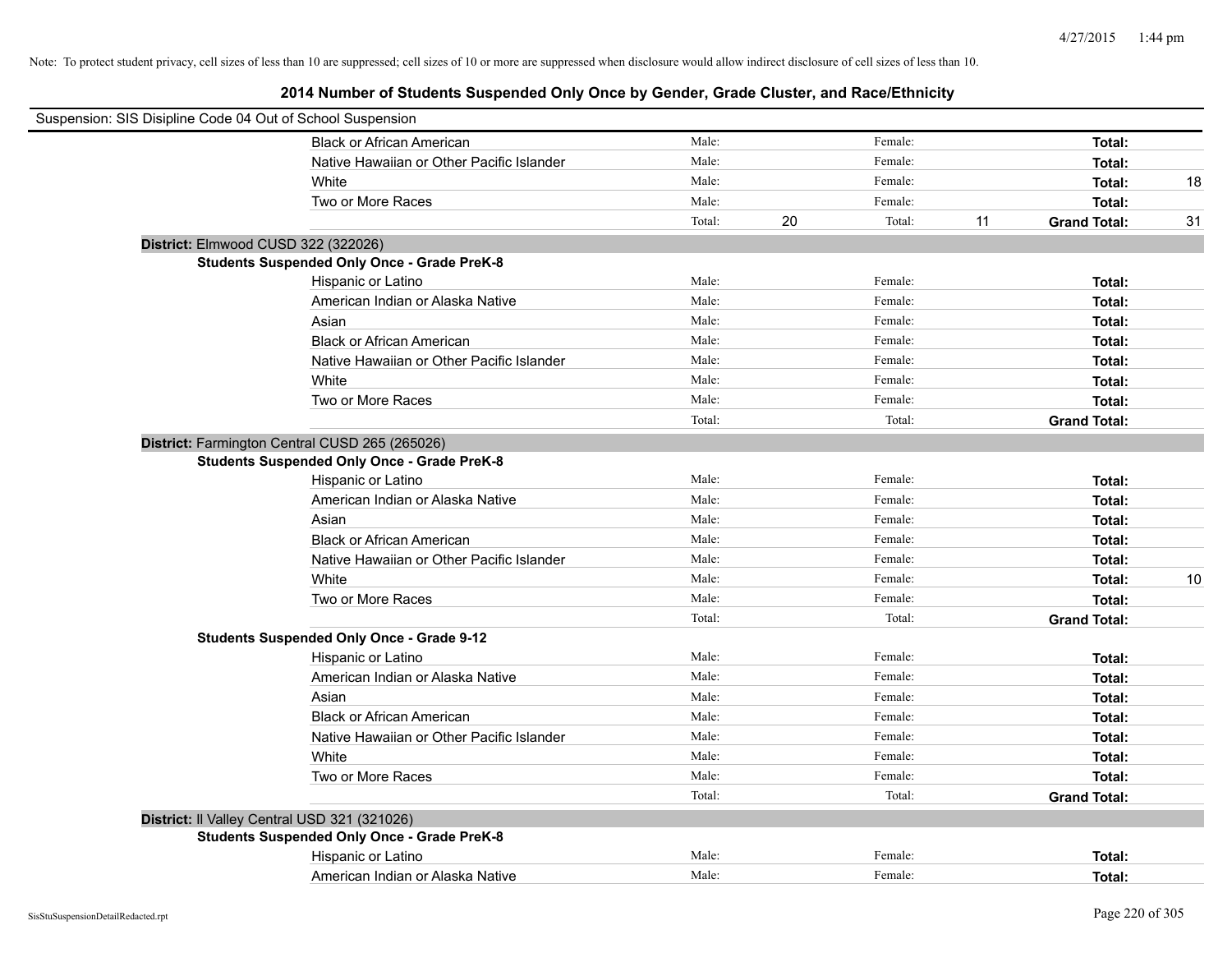| Suspension: SIS Disipline Code 04 Out of School Suspension |                                           |        |              |    |                     |    |
|------------------------------------------------------------|-------------------------------------------|--------|--------------|----|---------------------|----|
|                                                            | <b>Black or African American</b>          | Male:  | Female:      |    | Total:              |    |
|                                                            | Native Hawaiian or Other Pacific Islander | Male:  | Female:      |    | Total:              |    |
| White                                                      |                                           | Male:  | Female:      |    | Total:              | 18 |
|                                                            | Two or More Races                         | Male:  | Female:      |    | Total:              |    |
|                                                            |                                           | Total: | 20<br>Total: | 11 | <b>Grand Total:</b> | 31 |
| District: Elmwood CUSD 322 (322026)                        |                                           |        |              |    |                     |    |
| <b>Students Suspended Only Once - Grade PreK-8</b>         |                                           |        |              |    |                     |    |
|                                                            | Hispanic or Latino                        | Male:  | Female:      |    | Total:              |    |
|                                                            | American Indian or Alaska Native          | Male:  | Female:      |    | Total:              |    |
| Asian                                                      |                                           | Male:  | Female:      |    | Total:              |    |
|                                                            | <b>Black or African American</b>          | Male:  | Female:      |    | Total:              |    |
|                                                            | Native Hawaiian or Other Pacific Islander | Male:  | Female:      |    | Total:              |    |
| White                                                      |                                           | Male:  | Female:      |    | Total:              |    |
|                                                            | Two or More Races                         | Male:  | Female:      |    | Total:              |    |
|                                                            |                                           | Total: | Total:       |    | <b>Grand Total:</b> |    |
| District: Farmington Central CUSD 265 (265026)             |                                           |        |              |    |                     |    |
| <b>Students Suspended Only Once - Grade PreK-8</b>         |                                           |        |              |    |                     |    |
|                                                            | Hispanic or Latino                        | Male:  | Female:      |    | Total:              |    |
|                                                            | American Indian or Alaska Native          | Male:  | Female:      |    | Total:              |    |
| Asian                                                      |                                           | Male:  | Female:      |    | Total:              |    |
|                                                            | <b>Black or African American</b>          | Male:  | Female:      |    | Total:              |    |
|                                                            | Native Hawaiian or Other Pacific Islander | Male:  | Female:      |    | Total:              |    |
| White                                                      |                                           | Male:  | Female:      |    | Total:              | 10 |
|                                                            | Two or More Races                         | Male:  | Female:      |    | Total:              |    |
|                                                            |                                           | Total: | Total:       |    | <b>Grand Total:</b> |    |
| <b>Students Suspended Only Once - Grade 9-12</b>           |                                           |        |              |    |                     |    |
|                                                            | Hispanic or Latino                        | Male:  | Female:      |    | Total:              |    |
|                                                            | American Indian or Alaska Native          | Male:  | Female:      |    | Total:              |    |
| Asian                                                      |                                           | Male:  | Female:      |    | Total:              |    |
|                                                            | <b>Black or African American</b>          | Male:  | Female:      |    | Total:              |    |
|                                                            | Native Hawaiian or Other Pacific Islander | Male:  | Female:      |    | Total:              |    |
| White                                                      |                                           | Male:  | Female:      |    | Total:              |    |
|                                                            | Two or More Races                         | Male:  | Female:      |    | Total:              |    |
|                                                            |                                           | Total: | Total:       |    | <b>Grand Total:</b> |    |
| District: Il Valley Central USD 321 (321026)               |                                           |        |              |    |                     |    |
| <b>Students Suspended Only Once - Grade PreK-8</b>         |                                           |        |              |    |                     |    |
|                                                            | Hispanic or Latino                        | Male:  | Female:      |    | Total:              |    |
|                                                            | American Indian or Alaska Native          | Male:  | Female:      |    | Total:              |    |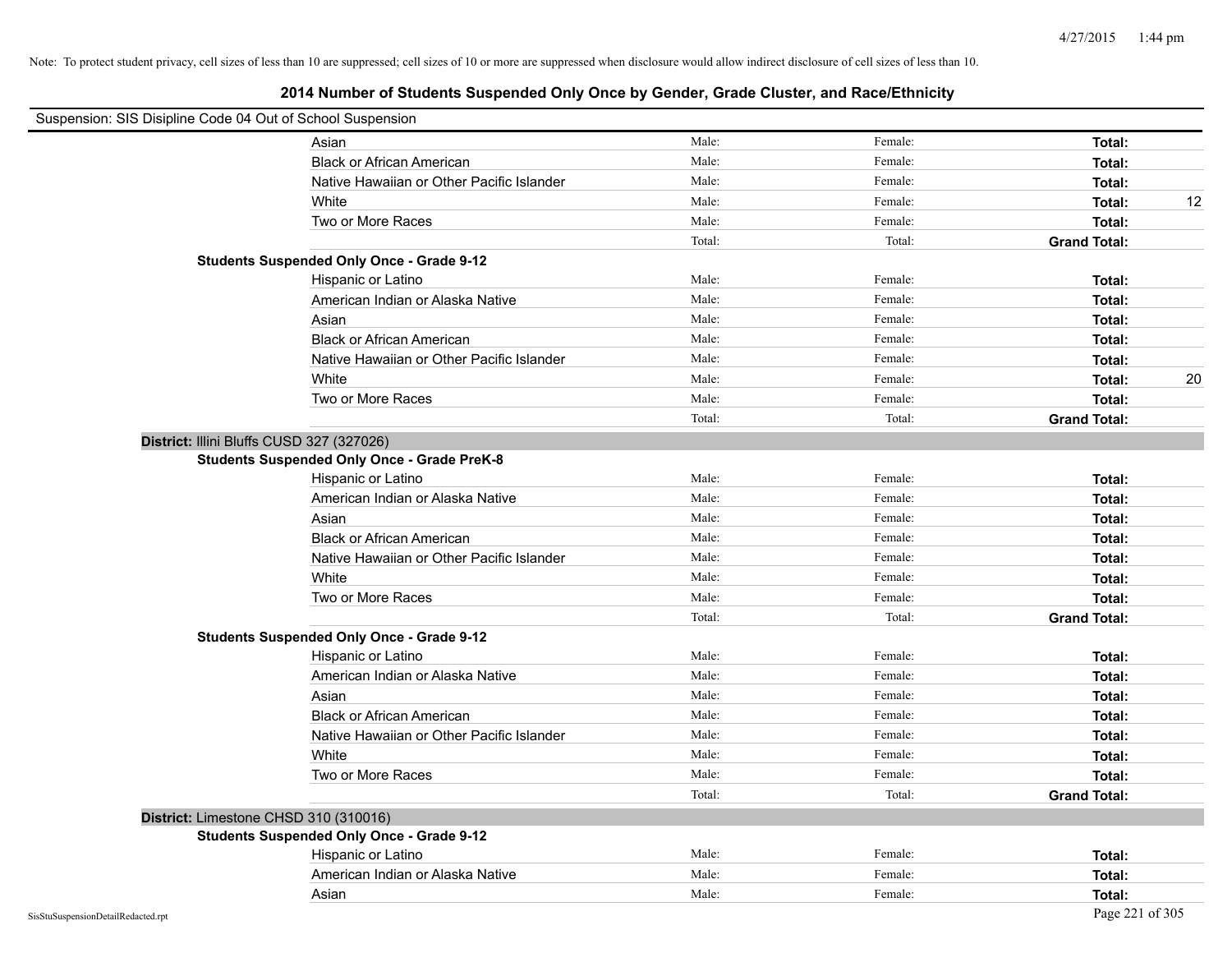| Suspension: SIS Disipline Code 04 Out of School Suspension |                                                    |        |         |                     |    |
|------------------------------------------------------------|----------------------------------------------------|--------|---------|---------------------|----|
|                                                            | Asian                                              | Male:  | Female: | Total:              |    |
|                                                            | <b>Black or African American</b>                   | Male:  | Female: | Total:              |    |
|                                                            | Native Hawaiian or Other Pacific Islander          | Male:  | Female: | Total:              |    |
|                                                            | White                                              | Male:  | Female: | Total:              | 12 |
|                                                            | Two or More Races                                  | Male:  | Female: | Total:              |    |
|                                                            |                                                    | Total: | Total:  | <b>Grand Total:</b> |    |
|                                                            | <b>Students Suspended Only Once - Grade 9-12</b>   |        |         |                     |    |
|                                                            | Hispanic or Latino                                 | Male:  | Female: | Total:              |    |
|                                                            | American Indian or Alaska Native                   | Male:  | Female: | Total:              |    |
|                                                            | Asian                                              | Male:  | Female: | Total:              |    |
|                                                            | <b>Black or African American</b>                   | Male:  | Female: | Total:              |    |
|                                                            | Native Hawaiian or Other Pacific Islander          | Male:  | Female: | Total:              |    |
|                                                            | White                                              | Male:  | Female: | Total:              | 20 |
|                                                            | Two or More Races                                  | Male:  | Female: | Total:              |    |
|                                                            |                                                    | Total: | Total:  | <b>Grand Total:</b> |    |
| District: Illini Bluffs CUSD 327 (327026)                  |                                                    |        |         |                     |    |
|                                                            | <b>Students Suspended Only Once - Grade PreK-8</b> |        |         |                     |    |
|                                                            | Hispanic or Latino                                 | Male:  | Female: | Total:              |    |
|                                                            | American Indian or Alaska Native                   | Male:  | Female: | Total:              |    |
|                                                            | Asian                                              | Male:  | Female: | Total:              |    |
|                                                            | <b>Black or African American</b>                   | Male:  | Female: | Total:              |    |
|                                                            | Native Hawaiian or Other Pacific Islander          | Male:  | Female: | Total:              |    |
|                                                            | White                                              | Male:  | Female: | Total:              |    |
|                                                            | Two or More Races                                  | Male:  | Female: | Total:              |    |
|                                                            |                                                    | Total: | Total:  | <b>Grand Total:</b> |    |
|                                                            | <b>Students Suspended Only Once - Grade 9-12</b>   |        |         |                     |    |
|                                                            | Hispanic or Latino                                 | Male:  | Female: | Total:              |    |
|                                                            | American Indian or Alaska Native                   | Male:  | Female: | Total:              |    |
|                                                            | Asian                                              | Male:  | Female: | Total:              |    |
|                                                            | <b>Black or African American</b>                   | Male:  | Female: | Total:              |    |
|                                                            | Native Hawaiian or Other Pacific Islander          | Male:  | Female: | Total:              |    |
|                                                            | White                                              | Male:  | Female: | Total:              |    |
|                                                            | Two or More Races                                  | Male:  | Female: | Total:              |    |
|                                                            |                                                    | Total: | Total:  | <b>Grand Total:</b> |    |
| District: Limestone CHSD 310 (310016)                      |                                                    |        |         |                     |    |
|                                                            | <b>Students Suspended Only Once - Grade 9-12</b>   |        |         |                     |    |
|                                                            | Hispanic or Latino                                 | Male:  | Female: | Total:              |    |
|                                                            | American Indian or Alaska Native                   | Male:  | Female: | Total:              |    |
|                                                            | Asian                                              | Male:  | Female: | Total:              |    |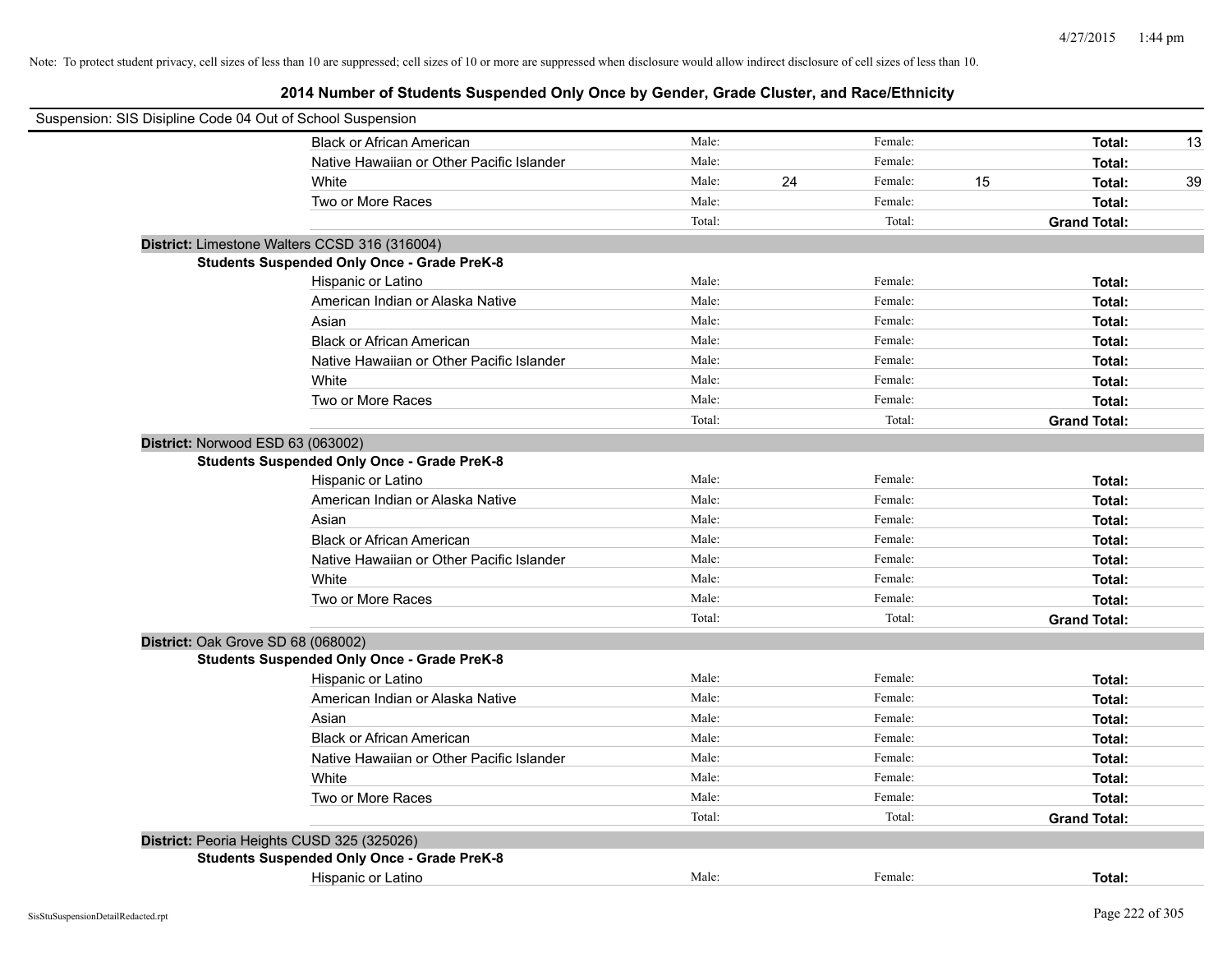| Suspension: SIS Disipline Code 04 Out of School Suspension |                                                    |        |    |         |    |                     |    |
|------------------------------------------------------------|----------------------------------------------------|--------|----|---------|----|---------------------|----|
|                                                            | <b>Black or African American</b>                   | Male:  |    | Female: |    | Total:              | 13 |
|                                                            | Native Hawaiian or Other Pacific Islander          | Male:  |    | Female: |    | Total:              |    |
|                                                            | White                                              | Male:  | 24 | Female: | 15 | Total:              | 39 |
|                                                            | Two or More Races                                  | Male:  |    | Female: |    | Total:              |    |
|                                                            |                                                    | Total: |    | Total:  |    | <b>Grand Total:</b> |    |
|                                                            | District: Limestone Walters CCSD 316 (316004)      |        |    |         |    |                     |    |
|                                                            | <b>Students Suspended Only Once - Grade PreK-8</b> |        |    |         |    |                     |    |
|                                                            | Hispanic or Latino                                 | Male:  |    | Female: |    | Total:              |    |
|                                                            | American Indian or Alaska Native                   | Male:  |    | Female: |    | Total:              |    |
|                                                            | Asian                                              | Male:  |    | Female: |    | Total:              |    |
|                                                            | <b>Black or African American</b>                   | Male:  |    | Female: |    | Total:              |    |
|                                                            | Native Hawaiian or Other Pacific Islander          | Male:  |    | Female: |    | Total:              |    |
|                                                            | White                                              | Male:  |    | Female: |    | Total:              |    |
|                                                            | Two or More Races                                  | Male:  |    | Female: |    | Total:              |    |
|                                                            |                                                    | Total: |    | Total:  |    | <b>Grand Total:</b> |    |
| District: Norwood ESD 63 (063002)                          |                                                    |        |    |         |    |                     |    |
|                                                            | <b>Students Suspended Only Once - Grade PreK-8</b> |        |    |         |    |                     |    |
|                                                            | Hispanic or Latino                                 | Male:  |    | Female: |    | Total:              |    |
|                                                            | American Indian or Alaska Native                   | Male:  |    | Female: |    | Total:              |    |
|                                                            | Asian                                              | Male:  |    | Female: |    | Total:              |    |
|                                                            | <b>Black or African American</b>                   | Male:  |    | Female: |    | Total:              |    |
|                                                            | Native Hawaiian or Other Pacific Islander          | Male:  |    | Female: |    | Total:              |    |
|                                                            | White                                              | Male:  |    | Female: |    | Total:              |    |
|                                                            | Two or More Races                                  | Male:  |    | Female: |    | Total:              |    |
|                                                            |                                                    | Total: |    | Total:  |    | <b>Grand Total:</b> |    |
| District: Oak Grove SD 68 (068002)                         |                                                    |        |    |         |    |                     |    |
|                                                            | <b>Students Suspended Only Once - Grade PreK-8</b> |        |    |         |    |                     |    |
|                                                            | Hispanic or Latino                                 | Male:  |    | Female: |    | Total:              |    |
|                                                            | American Indian or Alaska Native                   | Male:  |    | Female: |    | Total:              |    |
|                                                            | Asian                                              | Male:  |    | Female: |    | Total:              |    |
|                                                            | <b>Black or African American</b>                   | Male:  |    | Female: |    | Total:              |    |
|                                                            | Native Hawaiian or Other Pacific Islander          | Male:  |    | Female: |    | Total:              |    |
|                                                            | White                                              | Male:  |    | Female: |    | Total:              |    |
|                                                            | Two or More Races                                  | Male:  |    | Female: |    | Total:              |    |
|                                                            |                                                    | Total: |    | Total:  |    | <b>Grand Total:</b> |    |
| District: Peoria Heights CUSD 325 (325026)                 |                                                    |        |    |         |    |                     |    |
|                                                            | <b>Students Suspended Only Once - Grade PreK-8</b> |        |    |         |    |                     |    |
|                                                            | Hispanic or Latino                                 | Male:  |    | Female: |    | Total:              |    |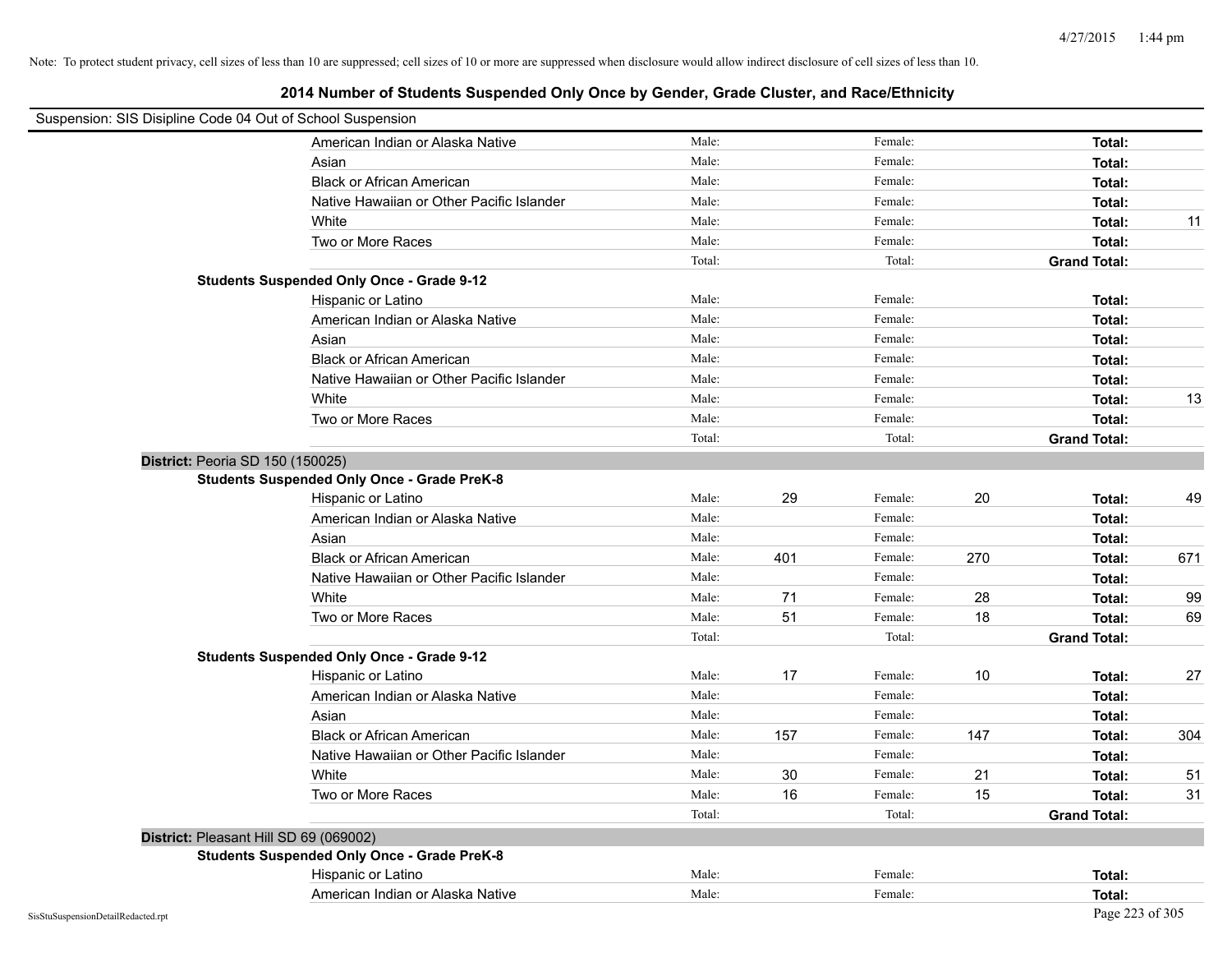| Suspension: SIS Disipline Code 04 Out of School Suspension |        |     |         |      |                     |     |
|------------------------------------------------------------|--------|-----|---------|------|---------------------|-----|
| American Indian or Alaska Native                           | Male:  |     | Female: |      | Total:              |     |
| Asian                                                      | Male:  |     | Female: |      | Total:              |     |
| <b>Black or African American</b>                           | Male:  |     | Female: |      | Total:              |     |
| Native Hawaiian or Other Pacific Islander                  | Male:  |     | Female: |      | Total:              |     |
| White                                                      | Male:  |     | Female: |      | Total:              | 11  |
| Two or More Races                                          | Male:  |     | Female: |      | Total:              |     |
|                                                            | Total: |     | Total:  |      | <b>Grand Total:</b> |     |
| <b>Students Suspended Only Once - Grade 9-12</b>           |        |     |         |      |                     |     |
| Hispanic or Latino                                         | Male:  |     | Female: |      | Total:              |     |
| American Indian or Alaska Native                           | Male:  |     | Female: |      | Total:              |     |
| Asian                                                      | Male:  |     | Female: |      | Total:              |     |
| <b>Black or African American</b>                           | Male:  |     | Female: |      | Total:              |     |
| Native Hawaiian or Other Pacific Islander                  | Male:  |     | Female: |      | Total:              |     |
| White                                                      | Male:  |     | Female: |      | Total:              | 13  |
| Two or More Races                                          | Male:  |     | Female: |      | Total:              |     |
|                                                            | Total: |     | Total:  |      | <b>Grand Total:</b> |     |
| District: Peoria SD 150 (150025)                           |        |     |         |      |                     |     |
| <b>Students Suspended Only Once - Grade PreK-8</b>         |        |     |         |      |                     |     |
| Hispanic or Latino                                         | Male:  | 29  | Female: | 20   | Total:              | 49  |
| American Indian or Alaska Native                           | Male:  |     | Female: |      | Total:              |     |
| Asian                                                      | Male:  |     | Female: |      | Total:              |     |
| <b>Black or African American</b>                           | Male:  | 401 | Female: | 270  | Total:              | 671 |
| Native Hawaiian or Other Pacific Islander                  | Male:  |     | Female: |      | Total:              |     |
| White                                                      | Male:  | 71  | Female: | 28   | Total:              | 99  |
| Two or More Races                                          | Male:  | 51  | Female: | 18   | Total:              | 69  |
|                                                            | Total: |     | Total:  |      | <b>Grand Total:</b> |     |
| <b>Students Suspended Only Once - Grade 9-12</b>           |        |     |         |      |                     |     |
| Hispanic or Latino                                         | Male:  | 17  | Female: | $10$ | Total:              | 27  |
| American Indian or Alaska Native                           | Male:  |     | Female: |      | Total:              |     |
| Asian                                                      | Male:  |     | Female: |      | Total:              |     |
| <b>Black or African American</b>                           | Male:  | 157 | Female: | 147  | Total:              | 304 |
| Native Hawaiian or Other Pacific Islander                  | Male:  |     | Female: |      | Total:              |     |
| White                                                      | Male:  | 30  | Female: | 21   | Total:              | 51  |
| Two or More Races                                          | Male:  | 16  | Female: | 15   | Total:              | 31  |
|                                                            | Total: |     | Total:  |      | <b>Grand Total:</b> |     |
| District: Pleasant Hill SD 69 (069002)                     |        |     |         |      |                     |     |
| <b>Students Suspended Only Once - Grade PreK-8</b>         |        |     |         |      |                     |     |
| Hispanic or Latino                                         | Male:  |     | Female: |      | Total:              |     |
| American Indian or Alaska Native                           | Male:  |     | Female: |      | Total:              |     |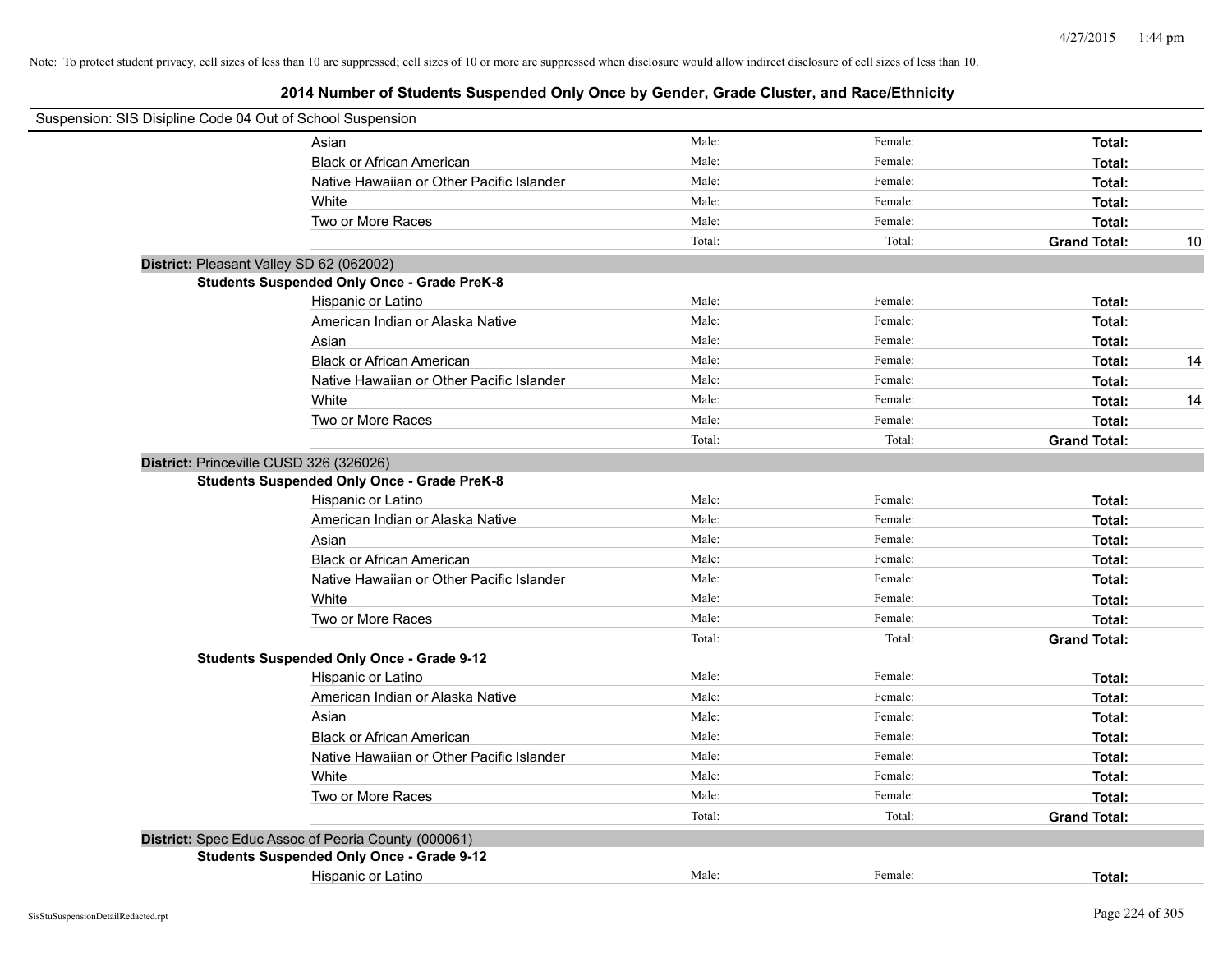| Suspension: SIS Disipline Code 04 Out of School Suspension |                                                     |        |         |                     |    |
|------------------------------------------------------------|-----------------------------------------------------|--------|---------|---------------------|----|
|                                                            | Asian                                               | Male:  | Female: | Total:              |    |
|                                                            | <b>Black or African American</b>                    | Male:  | Female: | Total:              |    |
|                                                            | Native Hawaiian or Other Pacific Islander           | Male:  | Female: | Total:              |    |
|                                                            | White                                               | Male:  | Female: | Total:              |    |
|                                                            | Two or More Races                                   | Male:  | Female: | Total:              |    |
|                                                            |                                                     | Total: | Total:  | <b>Grand Total:</b> | 10 |
| District: Pleasant Valley SD 62 (062002)                   |                                                     |        |         |                     |    |
|                                                            | <b>Students Suspended Only Once - Grade PreK-8</b>  |        |         |                     |    |
|                                                            | Hispanic or Latino                                  | Male:  | Female: | Total:              |    |
|                                                            | American Indian or Alaska Native                    | Male:  | Female: | Total:              |    |
|                                                            | Asian                                               | Male:  | Female: | Total:              |    |
|                                                            | <b>Black or African American</b>                    | Male:  | Female: | Total:              | 14 |
|                                                            | Native Hawaiian or Other Pacific Islander           | Male:  | Female: | Total:              |    |
|                                                            | White                                               | Male:  | Female: | Total:              | 14 |
|                                                            | Two or More Races                                   | Male:  | Female: | Total:              |    |
|                                                            |                                                     | Total: | Total:  | <b>Grand Total:</b> |    |
| District: Princeville CUSD 326 (326026)                    |                                                     |        |         |                     |    |
|                                                            | <b>Students Suspended Only Once - Grade PreK-8</b>  |        |         |                     |    |
|                                                            | Hispanic or Latino                                  | Male:  | Female: | Total:              |    |
|                                                            | American Indian or Alaska Native                    | Male:  | Female: | Total:              |    |
|                                                            | Asian                                               | Male:  | Female: | Total:              |    |
|                                                            | <b>Black or African American</b>                    | Male:  | Female: | Total:              |    |
|                                                            | Native Hawaiian or Other Pacific Islander           | Male:  | Female: | Total:              |    |
|                                                            | White                                               | Male:  | Female: | Total:              |    |
|                                                            | Two or More Races                                   | Male:  | Female: | Total:              |    |
|                                                            |                                                     | Total: | Total:  | <b>Grand Total:</b> |    |
|                                                            | <b>Students Suspended Only Once - Grade 9-12</b>    |        |         |                     |    |
|                                                            | Hispanic or Latino                                  | Male:  | Female: | Total:              |    |
|                                                            | American Indian or Alaska Native                    | Male:  | Female: | Total:              |    |
|                                                            | Asian                                               | Male:  | Female: | Total:              |    |
|                                                            | <b>Black or African American</b>                    | Male:  | Female: | Total:              |    |
|                                                            | Native Hawaiian or Other Pacific Islander           | Male:  | Female: | Total:              |    |
|                                                            | White                                               | Male:  | Female: | Total:              |    |
|                                                            | Two or More Races                                   | Male:  | Female: | Total:              |    |
|                                                            |                                                     | Total: | Total:  | <b>Grand Total:</b> |    |
|                                                            | District: Spec Educ Assoc of Peoria County (000061) |        |         |                     |    |
|                                                            | <b>Students Suspended Only Once - Grade 9-12</b>    |        |         |                     |    |
|                                                            | Hispanic or Latino                                  | Male:  | Female: | Total:              |    |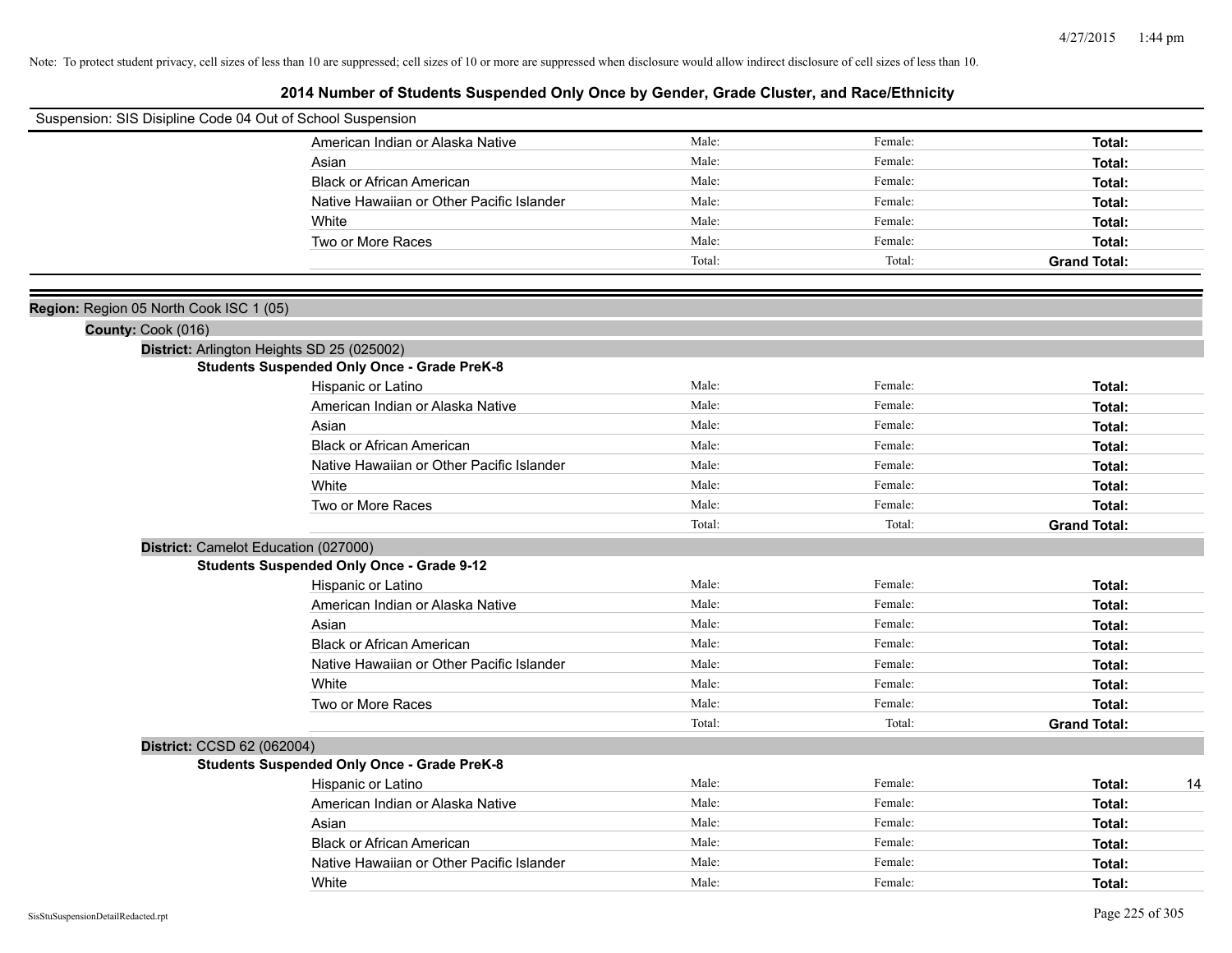| Suspension: SIS Disipline Code 04 Out of School Suspension |                                                    |        |         |                     |
|------------------------------------------------------------|----------------------------------------------------|--------|---------|---------------------|
|                                                            | American Indian or Alaska Native                   | Male:  | Female: | Total:              |
|                                                            | Asian                                              | Male:  | Female: | Total:              |
|                                                            | <b>Black or African American</b>                   | Male:  | Female: | Total:              |
|                                                            | Native Hawaiian or Other Pacific Islander          | Male:  | Female: | Total:              |
|                                                            | White                                              | Male:  | Female: | Total:              |
|                                                            | Two or More Races                                  | Male:  | Female: | Total:              |
|                                                            |                                                    | Total: | Total:  | <b>Grand Total:</b> |
|                                                            |                                                    |        |         |                     |
| Region: Region 05 North Cook ISC 1 (05)                    |                                                    |        |         |                     |
| County: Cook (016)                                         |                                                    |        |         |                     |
|                                                            | District: Arlington Heights SD 25 (025002)         |        |         |                     |
|                                                            | <b>Students Suspended Only Once - Grade PreK-8</b> |        |         |                     |
|                                                            | Hispanic or Latino                                 | Male:  | Female: | Total:              |
|                                                            | American Indian or Alaska Native                   | Male:  | Female: | Total:              |
|                                                            | Asian                                              | Male:  | Female: | Total:              |
|                                                            | <b>Black or African American</b>                   | Male:  | Female: | Total:              |
|                                                            | Native Hawaiian or Other Pacific Islander          | Male:  | Female: | Total:              |
|                                                            | White                                              | Male:  | Female: | Total:              |
|                                                            | Two or More Races                                  | Male:  | Female: | Total:              |
|                                                            |                                                    | Total: | Total:  | <b>Grand Total:</b> |
| District: Camelot Education (027000)                       |                                                    |        |         |                     |
|                                                            | <b>Students Suspended Only Once - Grade 9-12</b>   |        |         |                     |
|                                                            | Hispanic or Latino                                 | Male:  | Female: | Total:              |
|                                                            | American Indian or Alaska Native                   | Male:  | Female: | Total:              |
|                                                            | Asian                                              | Male:  | Female: | Total:              |
|                                                            | <b>Black or African American</b>                   | Male:  | Female: | Total:              |
|                                                            | Native Hawaiian or Other Pacific Islander          | Male:  | Female: | Total:              |
|                                                            | White                                              | Male:  | Female: | Total:              |
|                                                            | Two or More Races                                  | Male:  | Female: | Total:              |
|                                                            |                                                    | Total: | Total:  | <b>Grand Total:</b> |
| District: CCSD 62 (062004)                                 |                                                    |        |         |                     |
|                                                            | <b>Students Suspended Only Once - Grade PreK-8</b> |        |         |                     |
|                                                            | Hispanic or Latino                                 | Male:  | Female: | Total:<br>14        |
|                                                            | American Indian or Alaska Native                   | Male:  | Female: | Total:              |
|                                                            | Asian                                              | Male:  | Female: | Total:              |
|                                                            | <b>Black or African American</b>                   | Male:  | Female: | Total:              |
|                                                            | Native Hawaiian or Other Pacific Islander          | Male:  | Female: | Total:              |
|                                                            | White                                              | Male:  | Female: | Total:              |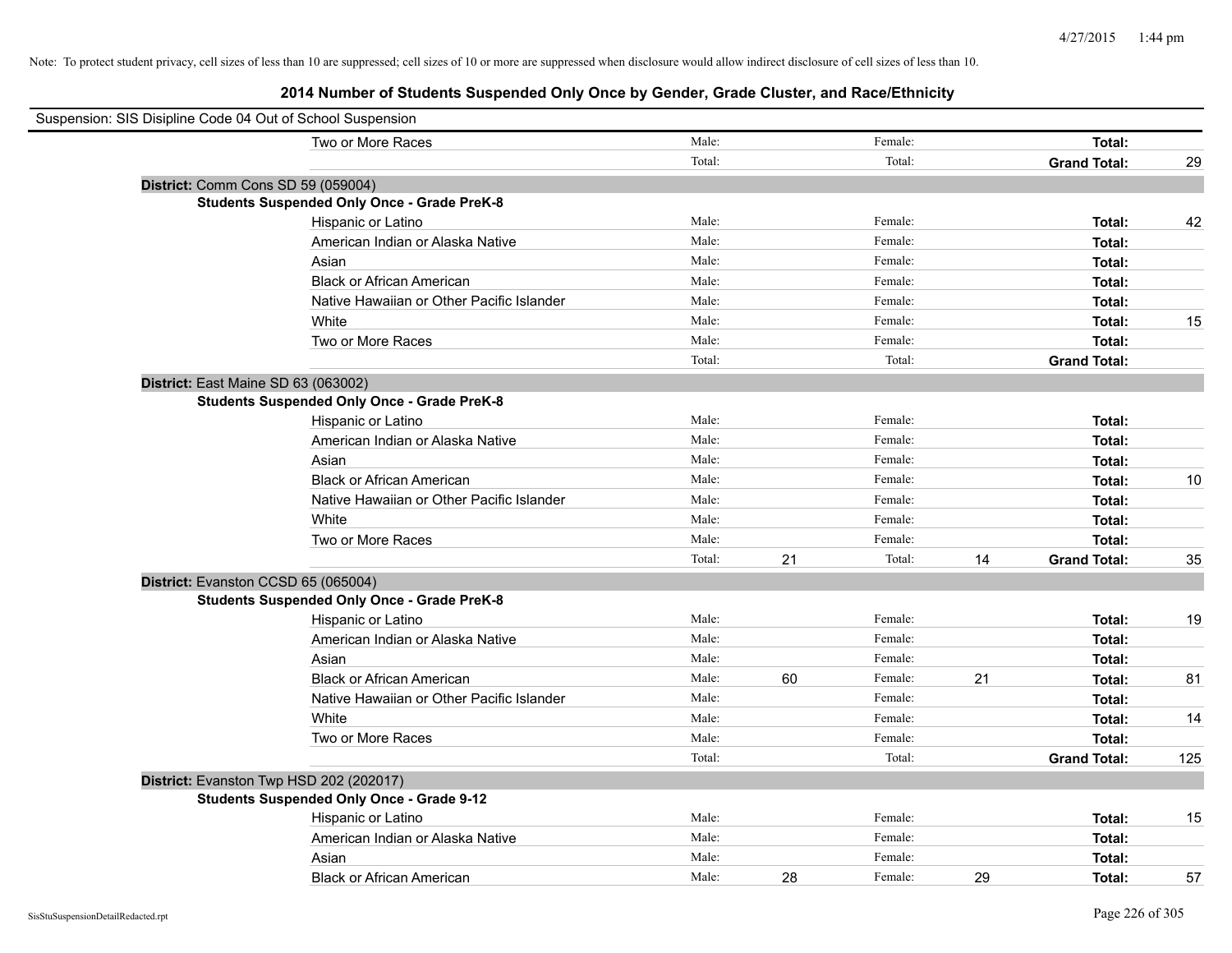| Suspension: SIS Disipline Code 04 Out of School Suspension |                                                    |        |    |         |    |                     |     |
|------------------------------------------------------------|----------------------------------------------------|--------|----|---------|----|---------------------|-----|
|                                                            | Two or More Races                                  | Male:  |    | Female: |    | Total:              |     |
|                                                            |                                                    | Total: |    | Total:  |    | <b>Grand Total:</b> | 29  |
| District: Comm Cons SD 59 (059004)                         |                                                    |        |    |         |    |                     |     |
|                                                            | <b>Students Suspended Only Once - Grade PreK-8</b> |        |    |         |    |                     |     |
|                                                            | Hispanic or Latino                                 | Male:  |    | Female: |    | Total:              | 42  |
|                                                            | American Indian or Alaska Native                   | Male:  |    | Female: |    | Total:              |     |
|                                                            | Asian                                              | Male:  |    | Female: |    | Total:              |     |
|                                                            | <b>Black or African American</b>                   | Male:  |    | Female: |    | Total:              |     |
|                                                            | Native Hawaiian or Other Pacific Islander          | Male:  |    | Female: |    | Total:              |     |
|                                                            | White                                              | Male:  |    | Female: |    | Total:              | 15  |
|                                                            | Two or More Races                                  | Male:  |    | Female: |    | Total:              |     |
|                                                            |                                                    | Total: |    | Total:  |    | <b>Grand Total:</b> |     |
| District: East Maine SD 63 (063002)                        |                                                    |        |    |         |    |                     |     |
|                                                            | <b>Students Suspended Only Once - Grade PreK-8</b> |        |    |         |    |                     |     |
|                                                            | Hispanic or Latino                                 | Male:  |    | Female: |    | Total:              |     |
|                                                            | American Indian or Alaska Native                   | Male:  |    | Female: |    | Total:              |     |
|                                                            | Asian                                              | Male:  |    | Female: |    | Total:              |     |
|                                                            | <b>Black or African American</b>                   | Male:  |    | Female: |    | Total:              | 10  |
|                                                            | Native Hawaiian or Other Pacific Islander          | Male:  |    | Female: |    | Total:              |     |
|                                                            | White                                              | Male:  |    | Female: |    | Total:              |     |
|                                                            | Two or More Races                                  | Male:  |    | Female: |    | Total:              |     |
|                                                            |                                                    | Total: | 21 | Total:  | 14 | <b>Grand Total:</b> | 35  |
| District: Evanston CCSD 65 (065004)                        |                                                    |        |    |         |    |                     |     |
|                                                            | <b>Students Suspended Only Once - Grade PreK-8</b> |        |    |         |    |                     |     |
|                                                            | Hispanic or Latino                                 | Male:  |    | Female: |    | Total:              | 19  |
|                                                            | American Indian or Alaska Native                   | Male:  |    | Female: |    | Total:              |     |
|                                                            | Asian                                              | Male:  |    | Female: |    | Total:              |     |
|                                                            | <b>Black or African American</b>                   | Male:  | 60 | Female: | 21 | Total:              | 81  |
|                                                            | Native Hawaiian or Other Pacific Islander          | Male:  |    | Female: |    | Total:              |     |
|                                                            | White                                              | Male:  |    | Female: |    | Total:              | 14  |
|                                                            | Two or More Races                                  | Male:  |    | Female: |    | Total:              |     |
|                                                            |                                                    | Total: |    | Total:  |    | <b>Grand Total:</b> | 125 |
| District: Evanston Twp HSD 202 (202017)                    |                                                    |        |    |         |    |                     |     |
|                                                            | <b>Students Suspended Only Once - Grade 9-12</b>   |        |    |         |    |                     |     |
|                                                            | Hispanic or Latino                                 | Male:  |    | Female: |    | Total:              | 15  |
|                                                            | American Indian or Alaska Native                   | Male:  |    | Female: |    | Total:              |     |
|                                                            | Asian                                              | Male:  |    | Female: |    | Total:              |     |
|                                                            | <b>Black or African American</b>                   | Male:  | 28 | Female: | 29 | Total:              | 57  |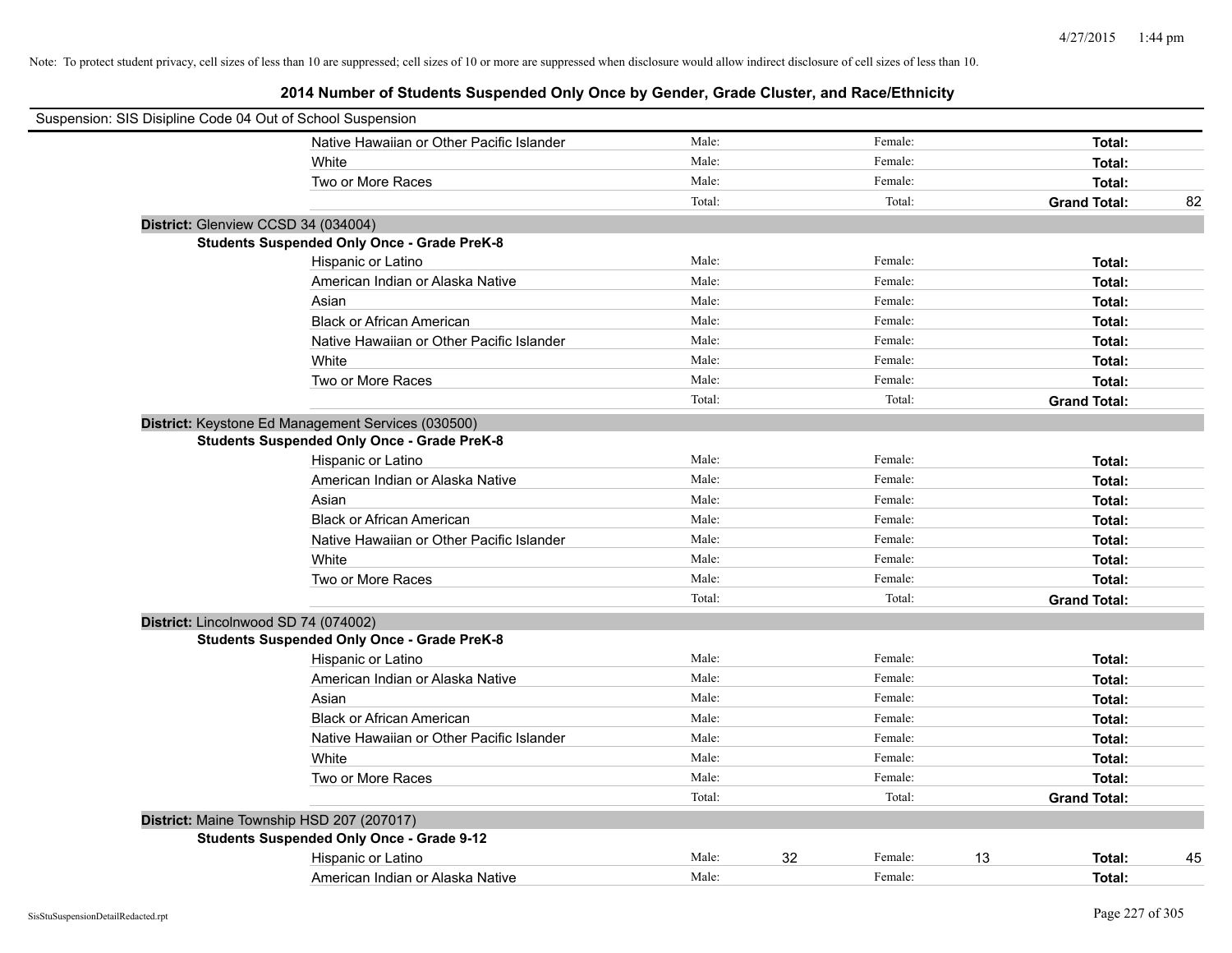| Suspension: SIS Disipline Code 04 Out of School Suspension |                                                    |        |    |         |                     |    |
|------------------------------------------------------------|----------------------------------------------------|--------|----|---------|---------------------|----|
|                                                            | Native Hawaiian or Other Pacific Islander          | Male:  |    | Female: | Total:              |    |
|                                                            | White                                              | Male:  |    | Female: | Total:              |    |
|                                                            | Two or More Races                                  | Male:  |    | Female: | Total:              |    |
|                                                            |                                                    | Total: |    | Total:  | <b>Grand Total:</b> | 82 |
|                                                            | District: Glenview CCSD 34 (034004)                |        |    |         |                     |    |
|                                                            | <b>Students Suspended Only Once - Grade PreK-8</b> |        |    |         |                     |    |
|                                                            | Hispanic or Latino                                 | Male:  |    | Female: | Total:              |    |
|                                                            | American Indian or Alaska Native                   | Male:  |    | Female: | Total:              |    |
|                                                            | Asian                                              | Male:  |    | Female: | Total:              |    |
|                                                            | <b>Black or African American</b>                   | Male:  |    | Female: | Total:              |    |
|                                                            | Native Hawaiian or Other Pacific Islander          | Male:  |    | Female: | Total:              |    |
|                                                            | White                                              | Male:  |    | Female: | Total:              |    |
|                                                            | Two or More Races                                  | Male:  |    | Female: | Total:              |    |
|                                                            |                                                    | Total: |    | Total:  | <b>Grand Total:</b> |    |
|                                                            | District: Keystone Ed Management Services (030500) |        |    |         |                     |    |
|                                                            | <b>Students Suspended Only Once - Grade PreK-8</b> |        |    |         |                     |    |
|                                                            | Hispanic or Latino                                 | Male:  |    | Female: | Total:              |    |
|                                                            | American Indian or Alaska Native                   | Male:  |    | Female: | Total:              |    |
|                                                            | Asian                                              | Male:  |    | Female: | Total:              |    |
|                                                            | <b>Black or African American</b>                   | Male:  |    | Female: | Total:              |    |
|                                                            | Native Hawaiian or Other Pacific Islander          | Male:  |    | Female: | Total:              |    |
|                                                            | White                                              | Male:  |    | Female: | Total:              |    |
|                                                            | Two or More Races                                  | Male:  |    | Female: | Total:              |    |
|                                                            |                                                    | Total: |    | Total:  | <b>Grand Total:</b> |    |
|                                                            | District: Lincolnwood SD 74 (074002)               |        |    |         |                     |    |
|                                                            | <b>Students Suspended Only Once - Grade PreK-8</b> |        |    |         |                     |    |
|                                                            | Hispanic or Latino                                 | Male:  |    | Female: | Total:              |    |
|                                                            | American Indian or Alaska Native                   | Male:  |    | Female: | Total:              |    |
|                                                            | Asian                                              | Male:  |    | Female: | Total:              |    |
|                                                            | <b>Black or African American</b>                   | Male:  |    | Female: | Total:              |    |
|                                                            | Native Hawaiian or Other Pacific Islander          | Male:  |    | Female: | Total:              |    |
|                                                            | White                                              | Male:  |    | Female: | Total:              |    |
|                                                            | Two or More Races                                  | Male:  |    | Female: | Total:              |    |
|                                                            |                                                    | Total: |    | Total:  | <b>Grand Total:</b> |    |
|                                                            | District: Maine Township HSD 207 (207017)          |        |    |         |                     |    |
|                                                            | <b>Students Suspended Only Once - Grade 9-12</b>   |        |    |         |                     |    |
|                                                            | Hispanic or Latino                                 | Male:  | 32 | Female: | 13<br>Total:        | 45 |
|                                                            | American Indian or Alaska Native                   | Male:  |    | Female: | Total:              |    |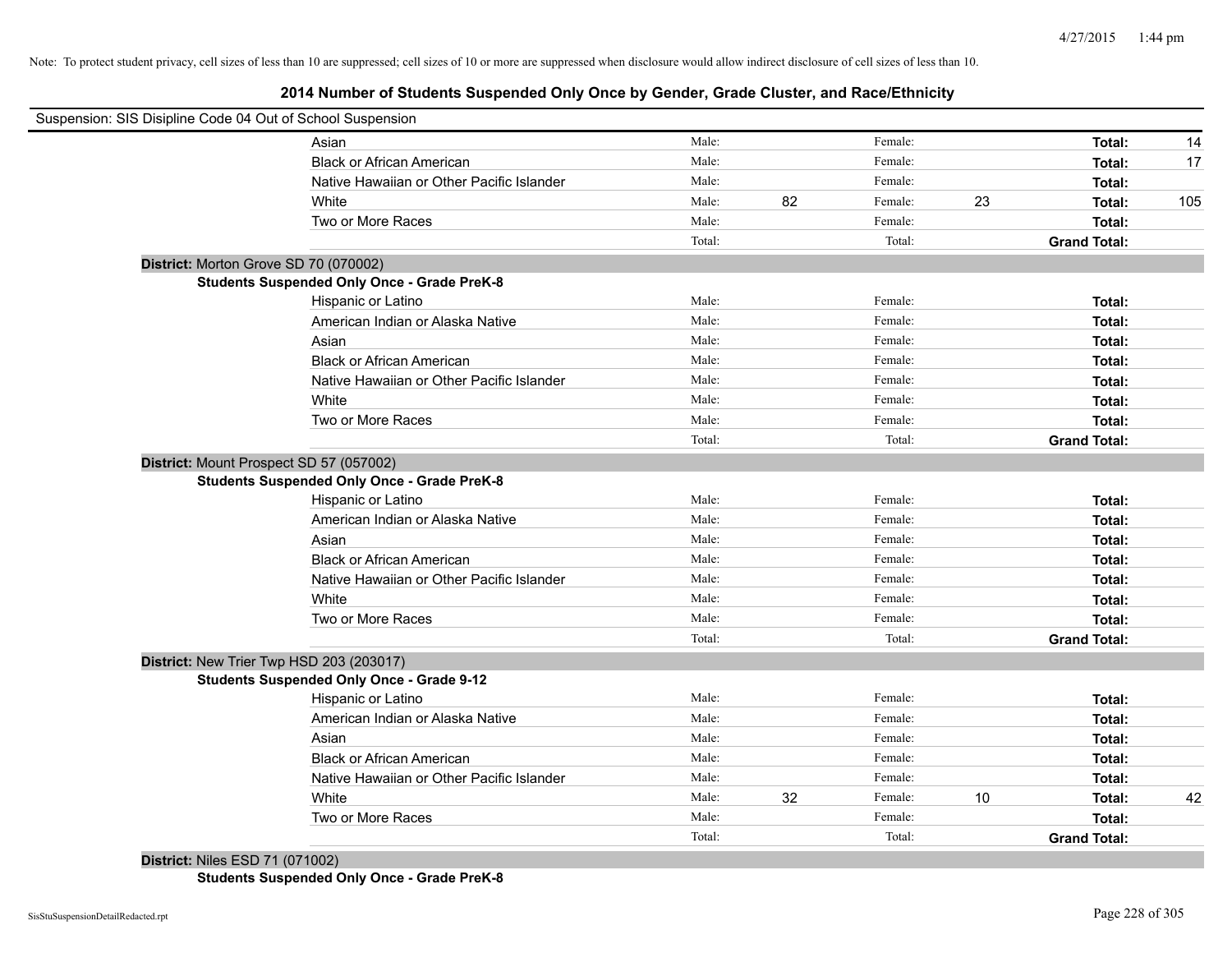# **2014 Number of Students Suspended Only Once by Gender, Grade Cluster, and Race/Ethnicity**

| Suspension: SIS Disipline Code 04 Out of School Suspension |                                                    |        |    |         |    |                     |     |
|------------------------------------------------------------|----------------------------------------------------|--------|----|---------|----|---------------------|-----|
|                                                            | Asian                                              | Male:  |    | Female: |    | Total:              | 14  |
|                                                            | <b>Black or African American</b>                   | Male:  |    | Female: |    | Total:              | 17  |
|                                                            | Native Hawaiian or Other Pacific Islander          | Male:  |    | Female: |    | Total:              |     |
|                                                            | White                                              | Male:  | 82 | Female: | 23 | Total:              | 105 |
|                                                            | Two or More Races                                  | Male:  |    | Female: |    | Total:              |     |
|                                                            |                                                    | Total: |    | Total:  |    | <b>Grand Total:</b> |     |
| District: Morton Grove SD 70 (070002)                      |                                                    |        |    |         |    |                     |     |
|                                                            | <b>Students Suspended Only Once - Grade PreK-8</b> |        |    |         |    |                     |     |
|                                                            | Hispanic or Latino                                 | Male:  |    | Female: |    | Total:              |     |
|                                                            | American Indian or Alaska Native                   | Male:  |    | Female: |    | Total:              |     |
|                                                            | Asian                                              | Male:  |    | Female: |    | Total:              |     |
|                                                            | <b>Black or African American</b>                   | Male:  |    | Female: |    | Total:              |     |
|                                                            | Native Hawaiian or Other Pacific Islander          | Male:  |    | Female: |    | Total:              |     |
|                                                            | White                                              | Male:  |    | Female: |    | Total:              |     |
|                                                            | Two or More Races                                  | Male:  |    | Female: |    | Total:              |     |
|                                                            |                                                    | Total: |    | Total:  |    | <b>Grand Total:</b> |     |
| District: Mount Prospect SD 57 (057002)                    |                                                    |        |    |         |    |                     |     |
|                                                            | <b>Students Suspended Only Once - Grade PreK-8</b> |        |    |         |    |                     |     |
|                                                            | Hispanic or Latino                                 | Male:  |    | Female: |    | Total:              |     |
|                                                            | American Indian or Alaska Native                   | Male:  |    | Female: |    | Total:              |     |
|                                                            | Asian                                              | Male:  |    | Female: |    | Total:              |     |
|                                                            | <b>Black or African American</b>                   | Male:  |    | Female: |    | Total:              |     |
|                                                            | Native Hawaiian or Other Pacific Islander          | Male:  |    | Female: |    | Total:              |     |
|                                                            | White                                              | Male:  |    | Female: |    | Total:              |     |
|                                                            | Two or More Races                                  | Male:  |    | Female: |    | Total:              |     |
|                                                            |                                                    | Total: |    | Total:  |    | <b>Grand Total:</b> |     |
| District: New Trier Twp HSD 203 (203017)                   |                                                    |        |    |         |    |                     |     |
|                                                            | <b>Students Suspended Only Once - Grade 9-12</b>   |        |    |         |    |                     |     |
|                                                            | Hispanic or Latino                                 | Male:  |    | Female: |    | Total:              |     |
|                                                            | American Indian or Alaska Native                   | Male:  |    | Female: |    | Total:              |     |
|                                                            | Asian                                              | Male:  |    | Female: |    | Total:              |     |
|                                                            | <b>Black or African American</b>                   | Male:  |    | Female: |    | Total:              |     |
|                                                            | Native Hawaiian or Other Pacific Islander          | Male:  |    | Female: |    | Total:              |     |
|                                                            | White                                              | Male:  | 32 | Female: | 10 | Total:              | 42  |
|                                                            | Two or More Races                                  | Male:  |    | Female: |    | Total:              |     |
|                                                            |                                                    | Total: |    | Total:  |    | <b>Grand Total:</b> |     |

**District:** Niles ESD 71 (071002)

**Students Suspended Only Once - Grade PreK-8**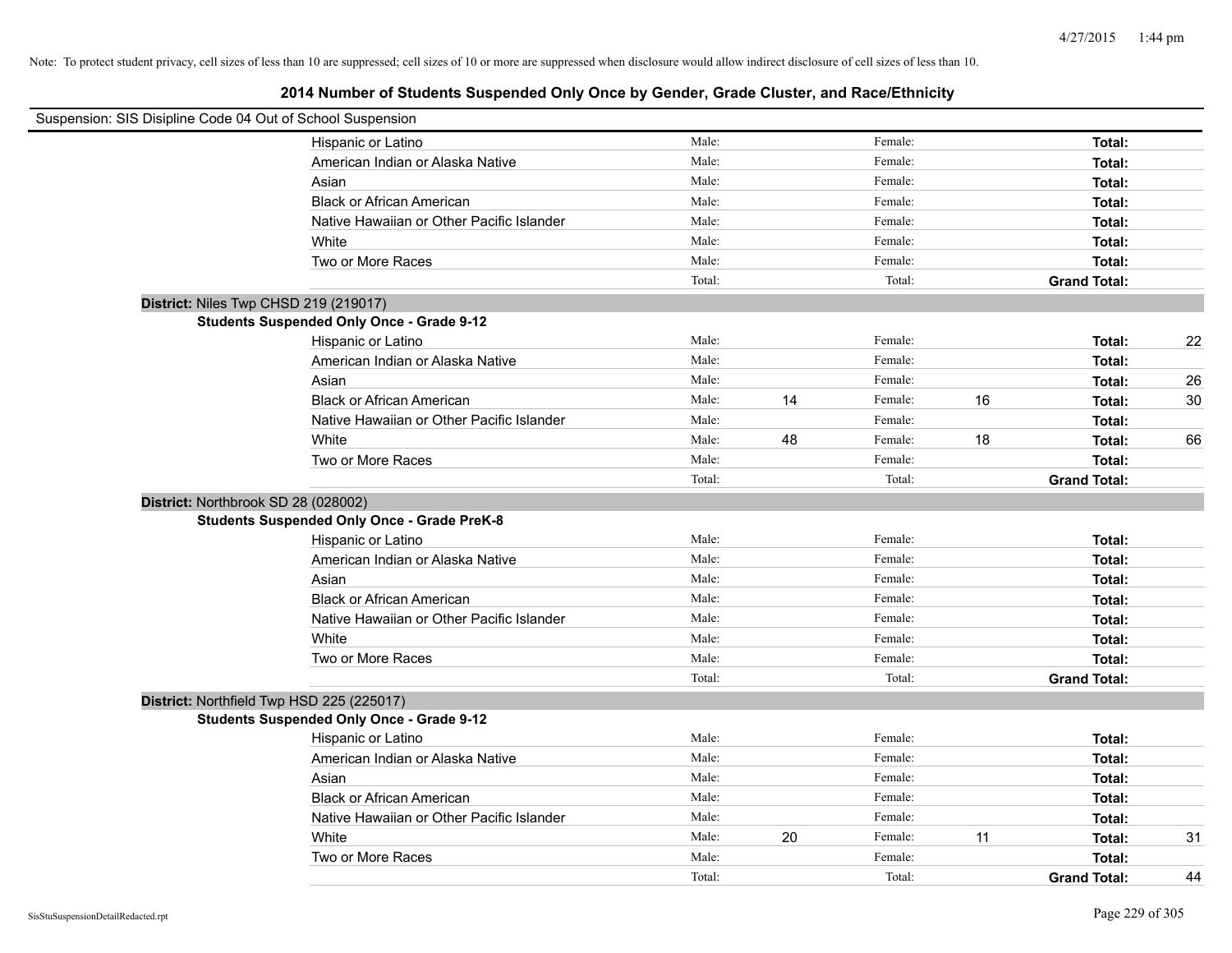| Suspension: SIS Disipline Code 04 Out of School Suspension |                                                    |        |    |         |    |                     |    |
|------------------------------------------------------------|----------------------------------------------------|--------|----|---------|----|---------------------|----|
|                                                            | Hispanic or Latino                                 | Male:  |    | Female: |    | Total:              |    |
|                                                            | American Indian or Alaska Native                   | Male:  |    | Female: |    | Total:              |    |
|                                                            | Asian                                              | Male:  |    | Female: |    | Total:              |    |
|                                                            | <b>Black or African American</b>                   | Male:  |    | Female: |    | Total:              |    |
|                                                            | Native Hawaiian or Other Pacific Islander          | Male:  |    | Female: |    | Total:              |    |
|                                                            | White                                              | Male:  |    | Female: |    | Total:              |    |
|                                                            | Two or More Races                                  | Male:  |    | Female: |    | Total:              |    |
|                                                            |                                                    | Total: |    | Total:  |    | <b>Grand Total:</b> |    |
|                                                            | District: Niles Twp CHSD 219 (219017)              |        |    |         |    |                     |    |
|                                                            | <b>Students Suspended Only Once - Grade 9-12</b>   |        |    |         |    |                     |    |
|                                                            | Hispanic or Latino                                 | Male:  |    | Female: |    | Total:              | 22 |
|                                                            | American Indian or Alaska Native                   | Male:  |    | Female: |    | Total:              |    |
|                                                            | Asian                                              | Male:  |    | Female: |    | Total:              | 26 |
|                                                            | <b>Black or African American</b>                   | Male:  | 14 | Female: | 16 | Total:              | 30 |
|                                                            | Native Hawaiian or Other Pacific Islander          | Male:  |    | Female: |    | Total:              |    |
|                                                            | White                                              | Male:  | 48 | Female: | 18 | Total:              | 66 |
|                                                            | Two or More Races                                  | Male:  |    | Female: |    | Total:              |    |
|                                                            |                                                    | Total: |    | Total:  |    | <b>Grand Total:</b> |    |
|                                                            | District: Northbrook SD 28 (028002)                |        |    |         |    |                     |    |
|                                                            | <b>Students Suspended Only Once - Grade PreK-8</b> |        |    |         |    |                     |    |
|                                                            | Hispanic or Latino                                 | Male:  |    | Female: |    | Total:              |    |
|                                                            | American Indian or Alaska Native                   | Male:  |    | Female: |    | Total:              |    |
|                                                            | Asian                                              | Male:  |    | Female: |    | Total:              |    |
|                                                            | <b>Black or African American</b>                   | Male:  |    | Female: |    | Total:              |    |
|                                                            | Native Hawaiian or Other Pacific Islander          | Male:  |    | Female: |    | Total:              |    |
|                                                            | White                                              | Male:  |    | Female: |    | Total:              |    |
|                                                            | Two or More Races                                  | Male:  |    | Female: |    | Total:              |    |
|                                                            |                                                    | Total: |    | Total:  |    | <b>Grand Total:</b> |    |
|                                                            | District: Northfield Twp HSD 225 (225017)          |        |    |         |    |                     |    |
|                                                            | <b>Students Suspended Only Once - Grade 9-12</b>   |        |    |         |    |                     |    |
|                                                            | Hispanic or Latino                                 | Male:  |    | Female: |    | Total:              |    |
|                                                            | American Indian or Alaska Native                   | Male:  |    | Female: |    | Total:              |    |
|                                                            | Asian                                              | Male:  |    | Female: |    | Total:              |    |
|                                                            | <b>Black or African American</b>                   | Male:  |    | Female: |    | Total:              |    |
|                                                            | Native Hawaiian or Other Pacific Islander          | Male:  |    | Female: |    | Total:              |    |
|                                                            | White                                              | Male:  | 20 | Female: | 11 | Total:              | 31 |
|                                                            | Two or More Races                                  | Male:  |    | Female: |    | Total:              |    |
|                                                            |                                                    | Total: |    | Total:  |    | <b>Grand Total:</b> | 44 |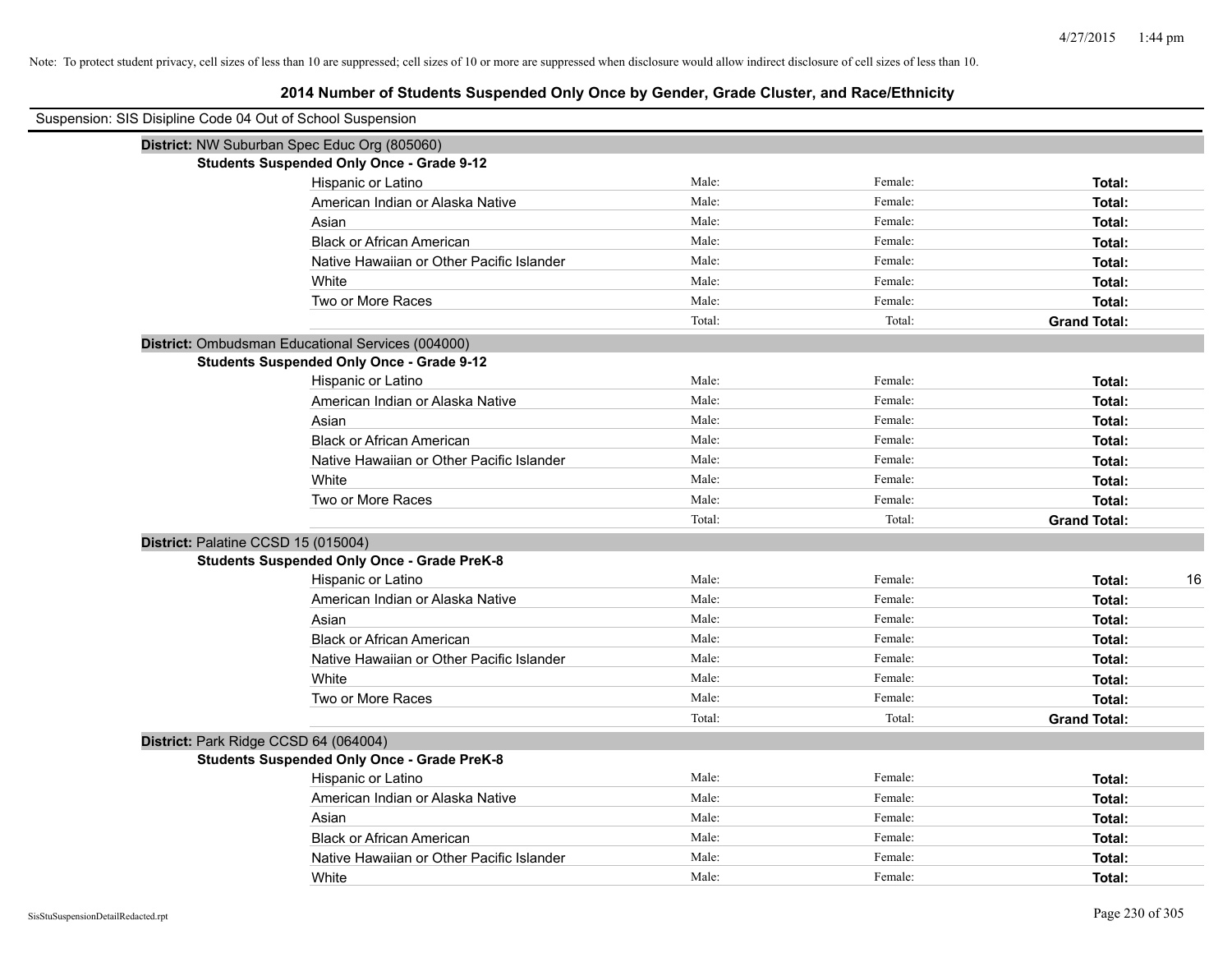# **2014 Number of Students Suspended Only Once by Gender, Grade Cluster, and Race/Ethnicity**

| Suspension: SIS Disipline Code 04 Out of School Suspension |                                                    |        |         |                     |
|------------------------------------------------------------|----------------------------------------------------|--------|---------|---------------------|
|                                                            | District: NW Suburban Spec Educ Org (805060)       |        |         |                     |
|                                                            | <b>Students Suspended Only Once - Grade 9-12</b>   |        |         |                     |
|                                                            | Hispanic or Latino                                 | Male:  | Female: | Total:              |
|                                                            | American Indian or Alaska Native                   | Male:  | Female: | Total:              |
|                                                            | Asian                                              | Male:  | Female: | Total:              |
|                                                            | <b>Black or African American</b>                   | Male:  | Female: | Total:              |
|                                                            | Native Hawaiian or Other Pacific Islander          | Male:  | Female: | Total:              |
|                                                            | White                                              | Male:  | Female: | Total:              |
|                                                            | Two or More Races                                  | Male:  | Female: | Total:              |
|                                                            |                                                    | Total: | Total:  | <b>Grand Total:</b> |
|                                                            | District: Ombudsman Educational Services (004000)  |        |         |                     |
|                                                            | <b>Students Suspended Only Once - Grade 9-12</b>   |        |         |                     |
|                                                            | Hispanic or Latino                                 | Male:  | Female: | Total:              |
|                                                            | American Indian or Alaska Native                   | Male:  | Female: | Total:              |
|                                                            | Asian                                              | Male:  | Female: | Total:              |
|                                                            | <b>Black or African American</b>                   | Male:  | Female: | Total:              |
|                                                            | Native Hawaiian or Other Pacific Islander          | Male:  | Female: | Total:              |
|                                                            | White                                              | Male:  | Female: | Total:              |
|                                                            | Two or More Races                                  | Male:  | Female: | Total:              |
|                                                            |                                                    | Total: | Total:  | <b>Grand Total:</b> |
|                                                            | District: Palatine CCSD 15 (015004)                |        |         |                     |
|                                                            | <b>Students Suspended Only Once - Grade PreK-8</b> |        |         |                     |
|                                                            | Hispanic or Latino                                 | Male:  | Female: | 16<br>Total:        |
|                                                            | American Indian or Alaska Native                   | Male:  | Female: | Total:              |
|                                                            | Asian                                              | Male:  | Female: | Total:              |
|                                                            | <b>Black or African American</b>                   | Male:  | Female: | Total:              |
|                                                            | Native Hawaiian or Other Pacific Islander          | Male:  | Female: | Total:              |
|                                                            | White                                              | Male:  | Female: | Total:              |
|                                                            | Two or More Races                                  | Male:  | Female: | Total:              |
|                                                            |                                                    | Total: | Total:  | <b>Grand Total:</b> |
|                                                            | District: Park Ridge CCSD 64 (064004)              |        |         |                     |
|                                                            | <b>Students Suspended Only Once - Grade PreK-8</b> |        |         |                     |
|                                                            | Hispanic or Latino                                 | Male:  | Female: | Total:              |
|                                                            | American Indian or Alaska Native                   | Male:  | Female: | Total:              |
|                                                            | Asian                                              | Male:  | Female: | Total:              |
|                                                            | <b>Black or African American</b>                   | Male:  | Female: | Total:              |
|                                                            | Native Hawaiian or Other Pacific Islander          | Male:  | Female: | Total:              |
|                                                            | White                                              | Male:  | Female: | Total:              |

 $\blacksquare$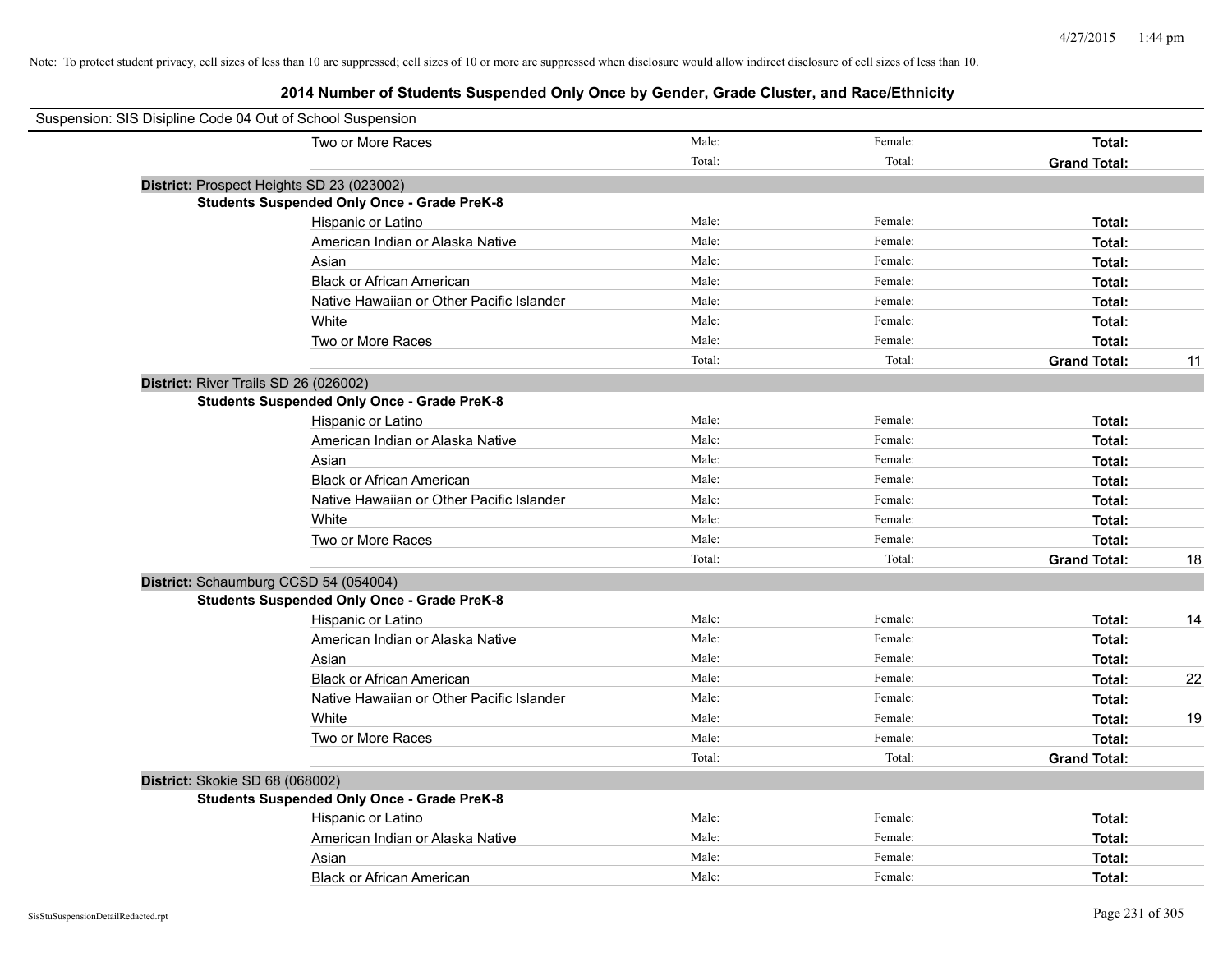| Suspension: SIS Disipline Code 04 Out of School Suspension |                                                    |        |         |                     |    |
|------------------------------------------------------------|----------------------------------------------------|--------|---------|---------------------|----|
|                                                            | Two or More Races                                  | Male:  | Female: | Total:              |    |
|                                                            |                                                    | Total: | Total:  | <b>Grand Total:</b> |    |
| District: Prospect Heights SD 23 (023002)                  |                                                    |        |         |                     |    |
|                                                            | <b>Students Suspended Only Once - Grade PreK-8</b> |        |         |                     |    |
|                                                            | Hispanic or Latino                                 | Male:  | Female: | Total:              |    |
|                                                            | American Indian or Alaska Native                   | Male:  | Female: | Total:              |    |
|                                                            | Asian                                              | Male:  | Female: | Total:              |    |
|                                                            | <b>Black or African American</b>                   | Male:  | Female: | Total:              |    |
|                                                            | Native Hawaiian or Other Pacific Islander          | Male:  | Female: | Total:              |    |
|                                                            | White                                              | Male:  | Female: | Total:              |    |
|                                                            | Two or More Races                                  | Male:  | Female: | Total:              |    |
|                                                            |                                                    | Total: | Total:  | <b>Grand Total:</b> | 11 |
| District: River Trails SD 26 (026002)                      |                                                    |        |         |                     |    |
|                                                            | <b>Students Suspended Only Once - Grade PreK-8</b> |        |         |                     |    |
|                                                            | Hispanic or Latino                                 | Male:  | Female: | Total:              |    |
|                                                            | American Indian or Alaska Native                   | Male:  | Female: | Total:              |    |
|                                                            | Asian                                              | Male:  | Female: | Total:              |    |
|                                                            | <b>Black or African American</b>                   | Male:  | Female: | Total:              |    |
|                                                            | Native Hawaiian or Other Pacific Islander          | Male:  | Female: | Total:              |    |
|                                                            | White                                              | Male:  | Female: | Total:              |    |
|                                                            | Two or More Races                                  | Male:  | Female: | Total:              |    |
|                                                            |                                                    | Total: | Total:  | <b>Grand Total:</b> | 18 |
| District: Schaumburg CCSD 54 (054004)                      |                                                    |        |         |                     |    |
|                                                            | <b>Students Suspended Only Once - Grade PreK-8</b> |        |         |                     |    |
|                                                            | Hispanic or Latino                                 | Male:  | Female: | Total:              | 14 |
|                                                            | American Indian or Alaska Native                   | Male:  | Female: | Total:              |    |
|                                                            | Asian                                              | Male:  | Female: | Total:              |    |
|                                                            | <b>Black or African American</b>                   | Male:  | Female: | Total:              | 22 |
|                                                            | Native Hawaiian or Other Pacific Islander          | Male:  | Female: | Total:              |    |
|                                                            | White                                              | Male:  | Female: | Total:              | 19 |
|                                                            | Two or More Races                                  | Male:  | Female: | Total:              |    |
|                                                            |                                                    | Total: | Total:  | <b>Grand Total:</b> |    |
| District: Skokie SD 68 (068002)                            |                                                    |        |         |                     |    |
|                                                            | <b>Students Suspended Only Once - Grade PreK-8</b> |        |         |                     |    |
|                                                            | Hispanic or Latino                                 | Male:  | Female: | Total:              |    |
|                                                            | American Indian or Alaska Native                   | Male:  | Female: | Total:              |    |
|                                                            | Asian                                              | Male:  | Female: | Total:              |    |
|                                                            | <b>Black or African American</b>                   | Male:  | Female: | Total:              |    |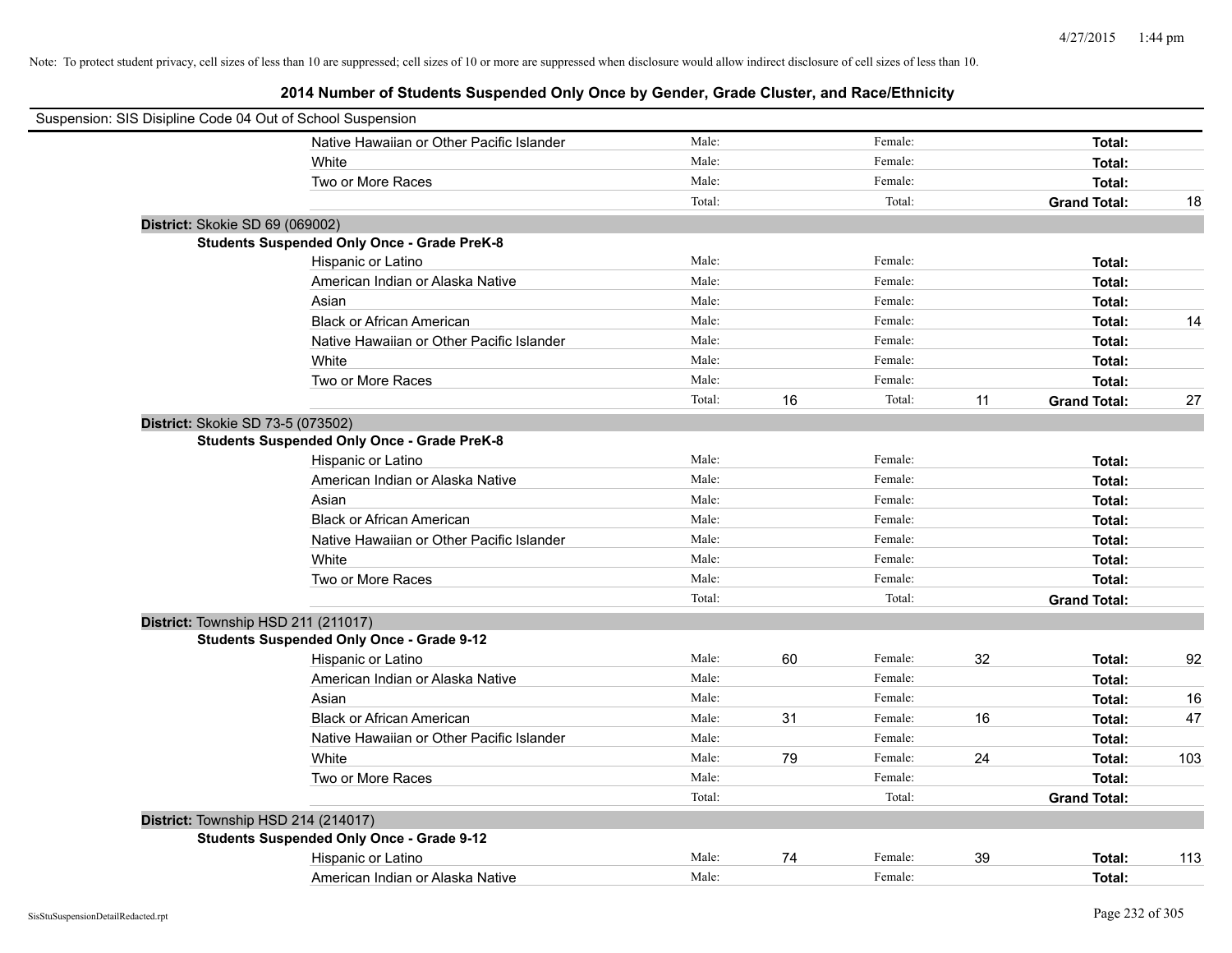|                                 | Suspension: SIS Disipline Code 04 Out of School Suspension |        |    |         |    |                     |     |
|---------------------------------|------------------------------------------------------------|--------|----|---------|----|---------------------|-----|
|                                 | Native Hawaiian or Other Pacific Islander                  | Male:  |    | Female: |    | Total:              |     |
|                                 | White                                                      | Male:  |    | Female: |    | Total:              |     |
|                                 | Two or More Races                                          | Male:  |    | Female: |    | Total:              |     |
|                                 |                                                            | Total: |    | Total:  |    | <b>Grand Total:</b> | 18  |
| District: Skokie SD 69 (069002) |                                                            |        |    |         |    |                     |     |
|                                 | <b>Students Suspended Only Once - Grade PreK-8</b>         |        |    |         |    |                     |     |
|                                 | Hispanic or Latino                                         | Male:  |    | Female: |    | Total:              |     |
|                                 | American Indian or Alaska Native                           | Male:  |    | Female: |    | Total:              |     |
|                                 | Asian                                                      | Male:  |    | Female: |    | Total:              |     |
|                                 | <b>Black or African American</b>                           | Male:  |    | Female: |    | Total:              | 14  |
|                                 | Native Hawaiian or Other Pacific Islander                  | Male:  |    | Female: |    | Total:              |     |
|                                 | White                                                      | Male:  |    | Female: |    | Total:              |     |
|                                 | Two or More Races                                          | Male:  |    | Female: |    | Total:              |     |
|                                 |                                                            | Total: | 16 | Total:  | 11 | <b>Grand Total:</b> | 27  |
|                                 | District: Skokie SD 73-5 (073502)                          |        |    |         |    |                     |     |
|                                 | <b>Students Suspended Only Once - Grade PreK-8</b>         |        |    |         |    |                     |     |
|                                 | Hispanic or Latino                                         | Male:  |    | Female: |    | Total:              |     |
|                                 | American Indian or Alaska Native                           | Male:  |    | Female: |    | Total:              |     |
|                                 | Asian                                                      | Male:  |    | Female: |    | Total:              |     |
|                                 | <b>Black or African American</b>                           | Male:  |    | Female: |    | Total:              |     |
|                                 | Native Hawaiian or Other Pacific Islander                  | Male:  |    | Female: |    | Total:              |     |
|                                 | White                                                      | Male:  |    | Female: |    | Total:              |     |
|                                 | Two or More Races                                          | Male:  |    | Female: |    | Total:              |     |
|                                 |                                                            | Total: |    | Total:  |    | <b>Grand Total:</b> |     |
|                                 | District: Township HSD 211 (211017)                        |        |    |         |    |                     |     |
|                                 | <b>Students Suspended Only Once - Grade 9-12</b>           |        |    |         |    |                     |     |
|                                 | Hispanic or Latino                                         | Male:  | 60 | Female: | 32 | Total:              | 92  |
|                                 | American Indian or Alaska Native                           | Male:  |    | Female: |    | Total:              |     |
|                                 | Asian                                                      | Male:  |    | Female: |    | Total:              | 16  |
|                                 | <b>Black or African American</b>                           | Male:  | 31 | Female: | 16 | Total:              | 47  |
|                                 | Native Hawaiian or Other Pacific Islander                  | Male:  |    | Female: |    | Total:              |     |
|                                 | White                                                      | Male:  | 79 | Female: | 24 | Total:              | 103 |
|                                 | Two or More Races                                          | Male:  |    | Female: |    | Total:              |     |
|                                 |                                                            | Total: |    | Total:  |    | <b>Grand Total:</b> |     |
|                                 | District: Township HSD 214 (214017)                        |        |    |         |    |                     |     |
|                                 | <b>Students Suspended Only Once - Grade 9-12</b>           |        |    |         |    |                     |     |
|                                 | Hispanic or Latino                                         | Male:  | 74 | Female: | 39 | Total:              | 113 |
|                                 | American Indian or Alaska Native                           | Male:  |    | Female: |    | Total:              |     |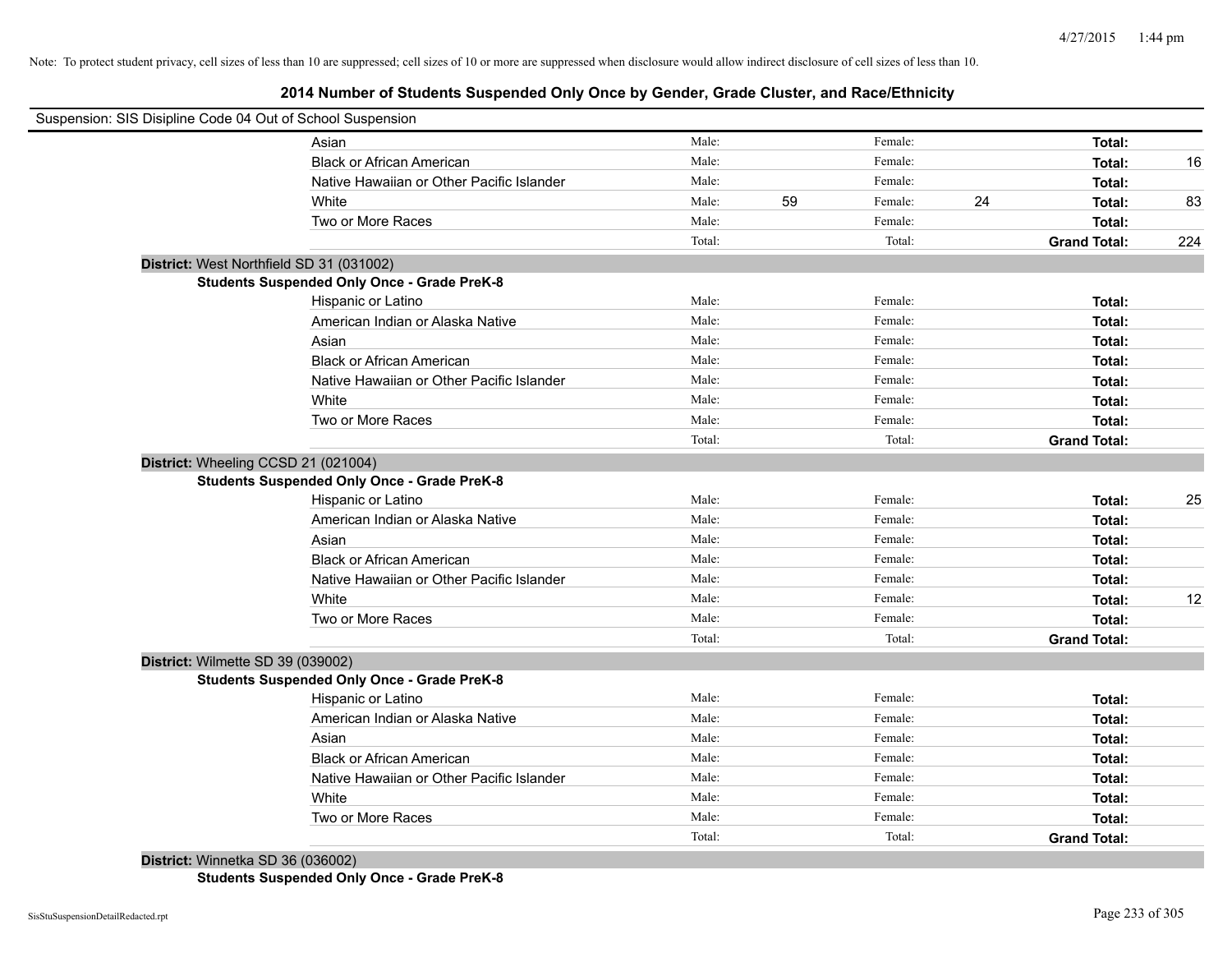# **2014 Number of Students Suspended Only Once by Gender, Grade Cluster, and Race/Ethnicity**

| Suspension: SIS Disipline Code 04 Out of School Suspension |        |    |         |    |                     |     |
|------------------------------------------------------------|--------|----|---------|----|---------------------|-----|
| Asian                                                      | Male:  |    | Female: |    | Total:              |     |
| <b>Black or African American</b>                           | Male:  |    | Female: |    | Total:              | 16  |
| Native Hawaiian or Other Pacific Islander                  | Male:  |    | Female: |    | Total:              |     |
| White                                                      | Male:  | 59 | Female: | 24 | Total:              | 83  |
| Two or More Races                                          | Male:  |    | Female: |    | Total:              |     |
|                                                            | Total: |    | Total:  |    | <b>Grand Total:</b> | 224 |
| District: West Northfield SD 31 (031002)                   |        |    |         |    |                     |     |
| <b>Students Suspended Only Once - Grade PreK-8</b>         |        |    |         |    |                     |     |
| Hispanic or Latino                                         | Male:  |    | Female: |    | Total:              |     |
| American Indian or Alaska Native                           | Male:  |    | Female: |    | Total:              |     |
| Asian                                                      | Male:  |    | Female: |    | Total:              |     |
| <b>Black or African American</b>                           | Male:  |    | Female: |    | Total:              |     |
| Native Hawaiian or Other Pacific Islander                  | Male:  |    | Female: |    | Total:              |     |
| White                                                      | Male:  |    | Female: |    | Total:              |     |
| Two or More Races                                          | Male:  |    | Female: |    | Total:              |     |
|                                                            | Total: |    | Total:  |    | <b>Grand Total:</b> |     |
| District: Wheeling CCSD 21 (021004)                        |        |    |         |    |                     |     |
| <b>Students Suspended Only Once - Grade PreK-8</b>         |        |    |         |    |                     |     |
| Hispanic or Latino                                         | Male:  |    | Female: |    | Total:              | 25  |
| American Indian or Alaska Native                           | Male:  |    | Female: |    | Total:              |     |
| Asian                                                      | Male:  |    | Female: |    | Total:              |     |
| <b>Black or African American</b>                           | Male:  |    | Female: |    | Total:              |     |
| Native Hawaiian or Other Pacific Islander                  | Male:  |    | Female: |    | <b>Total:</b>       |     |
| White                                                      | Male:  |    | Female: |    | Total:              | 12  |
| Two or More Races                                          | Male:  |    | Female: |    | Total:              |     |
|                                                            | Total: |    | Total:  |    | <b>Grand Total:</b> |     |
| District: Wilmette SD 39 (039002)                          |        |    |         |    |                     |     |
| <b>Students Suspended Only Once - Grade PreK-8</b>         |        |    |         |    |                     |     |
| Hispanic or Latino                                         | Male:  |    | Female: |    | Total:              |     |
| American Indian or Alaska Native                           | Male:  |    | Female: |    | Total:              |     |
| Asian                                                      | Male:  |    | Female: |    | Total:              |     |
| <b>Black or African American</b>                           | Male:  |    | Female: |    | Total:              |     |
| Native Hawaiian or Other Pacific Islander                  | Male:  |    | Female: |    | Total:              |     |
| White                                                      | Male:  |    | Female: |    | Total:              |     |
| Two or More Races                                          | Male:  |    | Female: |    | Total:              |     |
|                                                            | Total: |    | Total:  |    | <b>Grand Total:</b> |     |

**District:** Winnetka SD 36 (036002)

**Students Suspended Only Once - Grade PreK-8**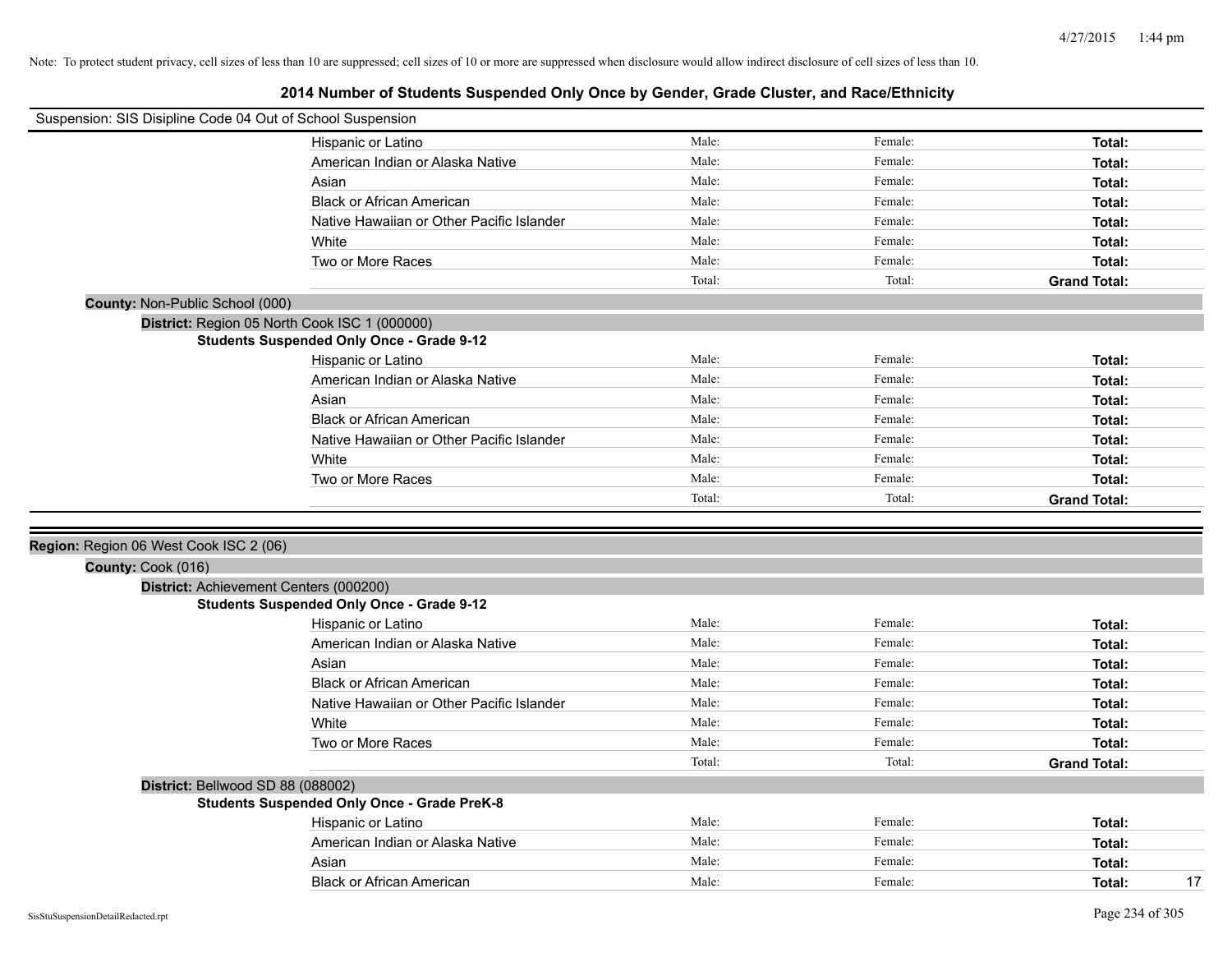|                                                              | Suspension: SIS Disipline Code 04 Out of School Suspension |                |                    |                     |
|--------------------------------------------------------------|------------------------------------------------------------|----------------|--------------------|---------------------|
|                                                              | Hispanic or Latino                                         | Male:          | Female:            | Total:              |
|                                                              | American Indian or Alaska Native                           | Male:          | Female:            | Total:              |
|                                                              | Asian                                                      | Male:          | Female:            | Total:              |
|                                                              | <b>Black or African American</b>                           | Male:          | Female:            | Total:              |
|                                                              | Native Hawaiian or Other Pacific Islander                  | Male:          | Female:            | Total:              |
|                                                              | White                                                      | Male:          | Female:            | Total:              |
|                                                              | Two or More Races                                          | Male:          | Female:            | Total:              |
|                                                              |                                                            | Total:         | Total:             | <b>Grand Total:</b> |
| County: Non-Public School (000)                              |                                                            |                |                    |                     |
|                                                              | District: Region 05 North Cook ISC 1 (000000)              |                |                    |                     |
|                                                              | <b>Students Suspended Only Once - Grade 9-12</b>           |                |                    |                     |
|                                                              | Hispanic or Latino                                         | Male:          | Female:            | Total:              |
|                                                              | American Indian or Alaska Native                           | Male:          | Female:            | Total:              |
|                                                              | Asian                                                      | Male:          | Female:            | Total:              |
|                                                              | <b>Black or African American</b>                           | Male:          | Female:            | Total:              |
|                                                              | Native Hawaiian or Other Pacific Islander                  | Male:          | Female:            | Total:              |
|                                                              | White                                                      | Male:          | Female:            | Total:              |
|                                                              | Two or More Races                                          | Male:          | Female:            | Total:              |
|                                                              |                                                            | Total:         | Total:             | <b>Grand Total:</b> |
| Region: Region 06 West Cook ISC 2 (06)<br>County: Cook (016) |                                                            |                |                    |                     |
| District: Achievement Centers (000200)                       |                                                            |                |                    |                     |
|                                                              |                                                            |                |                    |                     |
|                                                              | <b>Students Suspended Only Once - Grade 9-12</b>           |                |                    |                     |
|                                                              | Hispanic or Latino                                         | Male:          | Female:            | Total:              |
|                                                              | American Indian or Alaska Native                           | Male:          | Female:            | Total:              |
|                                                              | Asian                                                      | Male:          | Female:            | Total:              |
|                                                              | <b>Black or African American</b>                           | Male:          | Female:            | Total:              |
|                                                              | Native Hawaiian or Other Pacific Islander                  | Male:          | Female:            | Total:              |
|                                                              | White                                                      | Male:<br>Male: | Female:<br>Female: | Total:              |
|                                                              | Two or More Races                                          |                | Total:             | Total:              |
|                                                              |                                                            | Total:         |                    | <b>Grand Total:</b> |
| District: Bellwood SD 88 (088002)                            |                                                            |                |                    |                     |
|                                                              | <b>Students Suspended Only Once - Grade PreK-8</b>         | Male:          | Female:            | Total:              |
|                                                              | Hispanic or Latino<br>American Indian or Alaska Native     | Male:          | Female:            | Total:              |
|                                                              | Asian                                                      | Male:          | Female:            | Total:              |
|                                                              | <b>Black or African American</b>                           | Male:          | Female:            | 17<br>Total:        |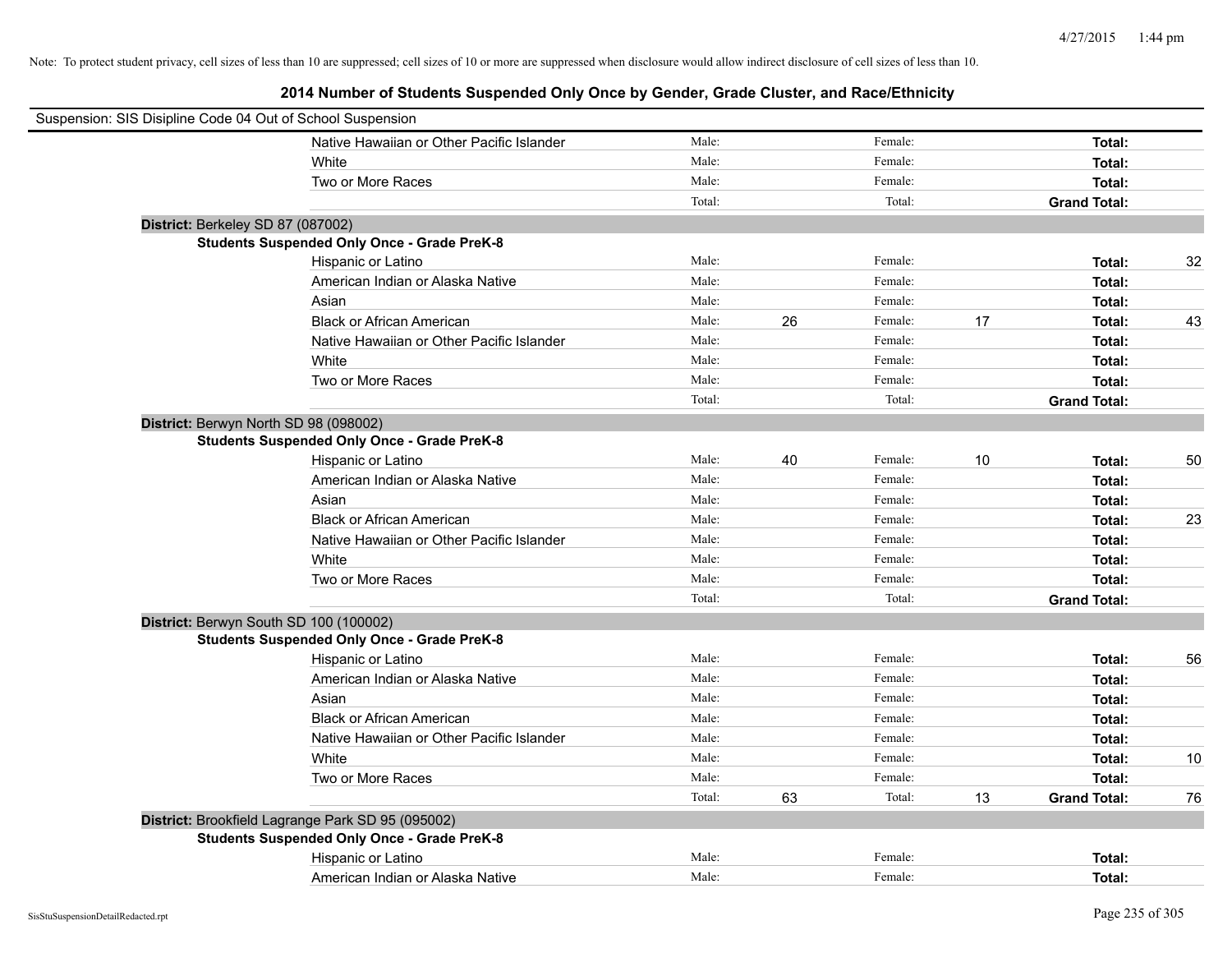| Suspension: SIS Disipline Code 04 Out of School Suspension |                                                    |        |    |         |    |                     |    |
|------------------------------------------------------------|----------------------------------------------------|--------|----|---------|----|---------------------|----|
|                                                            | Native Hawaiian or Other Pacific Islander          | Male:  |    | Female: |    | Total:              |    |
|                                                            | White                                              | Male:  |    | Female: |    | Total:              |    |
|                                                            | Two or More Races                                  | Male:  |    | Female: |    | Total:              |    |
|                                                            |                                                    | Total: |    | Total:  |    | <b>Grand Total:</b> |    |
| District: Berkeley SD 87 (087002)                          |                                                    |        |    |         |    |                     |    |
|                                                            | <b>Students Suspended Only Once - Grade PreK-8</b> |        |    |         |    |                     |    |
|                                                            | Hispanic or Latino                                 | Male:  |    | Female: |    | Total:              | 32 |
|                                                            | American Indian or Alaska Native                   | Male:  |    | Female: |    | Total:              |    |
|                                                            | Asian                                              | Male:  |    | Female: |    | Total:              |    |
|                                                            | <b>Black or African American</b>                   | Male:  | 26 | Female: | 17 | Total:              | 43 |
|                                                            | Native Hawaiian or Other Pacific Islander          | Male:  |    | Female: |    | Total:              |    |
|                                                            | White                                              | Male:  |    | Female: |    | Total:              |    |
|                                                            | Two or More Races                                  | Male:  |    | Female: |    | Total:              |    |
|                                                            |                                                    | Total: |    | Total:  |    | <b>Grand Total:</b> |    |
| District: Berwyn North SD 98 (098002)                      |                                                    |        |    |         |    |                     |    |
|                                                            | <b>Students Suspended Only Once - Grade PreK-8</b> |        |    |         |    |                     |    |
|                                                            | Hispanic or Latino                                 | Male:  | 40 | Female: | 10 | Total:              | 50 |
|                                                            | American Indian or Alaska Native                   | Male:  |    | Female: |    | Total:              |    |
|                                                            | Asian                                              | Male:  |    | Female: |    | Total:              |    |
|                                                            | <b>Black or African American</b>                   | Male:  |    | Female: |    | Total:              | 23 |
|                                                            | Native Hawaiian or Other Pacific Islander          | Male:  |    | Female: |    | Total:              |    |
|                                                            | White                                              | Male:  |    | Female: |    | Total:              |    |
|                                                            | Two or More Races                                  | Male:  |    | Female: |    | Total:              |    |
|                                                            |                                                    | Total: |    | Total:  |    | <b>Grand Total:</b> |    |
|                                                            | District: Berwyn South SD 100 (100002)             |        |    |         |    |                     |    |
|                                                            | <b>Students Suspended Only Once - Grade PreK-8</b> |        |    |         |    |                     |    |
|                                                            | Hispanic or Latino                                 | Male:  |    | Female: |    | Total:              | 56 |
|                                                            | American Indian or Alaska Native                   | Male:  |    | Female: |    | Total:              |    |
|                                                            | Asian                                              | Male:  |    | Female: |    | Total:              |    |
|                                                            | <b>Black or African American</b>                   | Male:  |    | Female: |    | Total:              |    |
|                                                            | Native Hawaiian or Other Pacific Islander          | Male:  |    | Female: |    | Total:              |    |
|                                                            | White                                              | Male:  |    | Female: |    | Total:              | 10 |
|                                                            | Two or More Races                                  | Male:  |    | Female: |    | Total:              |    |
|                                                            |                                                    | Total: | 63 | Total:  | 13 | <b>Grand Total:</b> | 76 |
|                                                            | District: Brookfield Lagrange Park SD 95 (095002)  |        |    |         |    |                     |    |
|                                                            | <b>Students Suspended Only Once - Grade PreK-8</b> |        |    |         |    |                     |    |
|                                                            | Hispanic or Latino                                 | Male:  |    | Female: |    | Total:              |    |
|                                                            | American Indian or Alaska Native                   | Male:  |    | Female: |    | Total:              |    |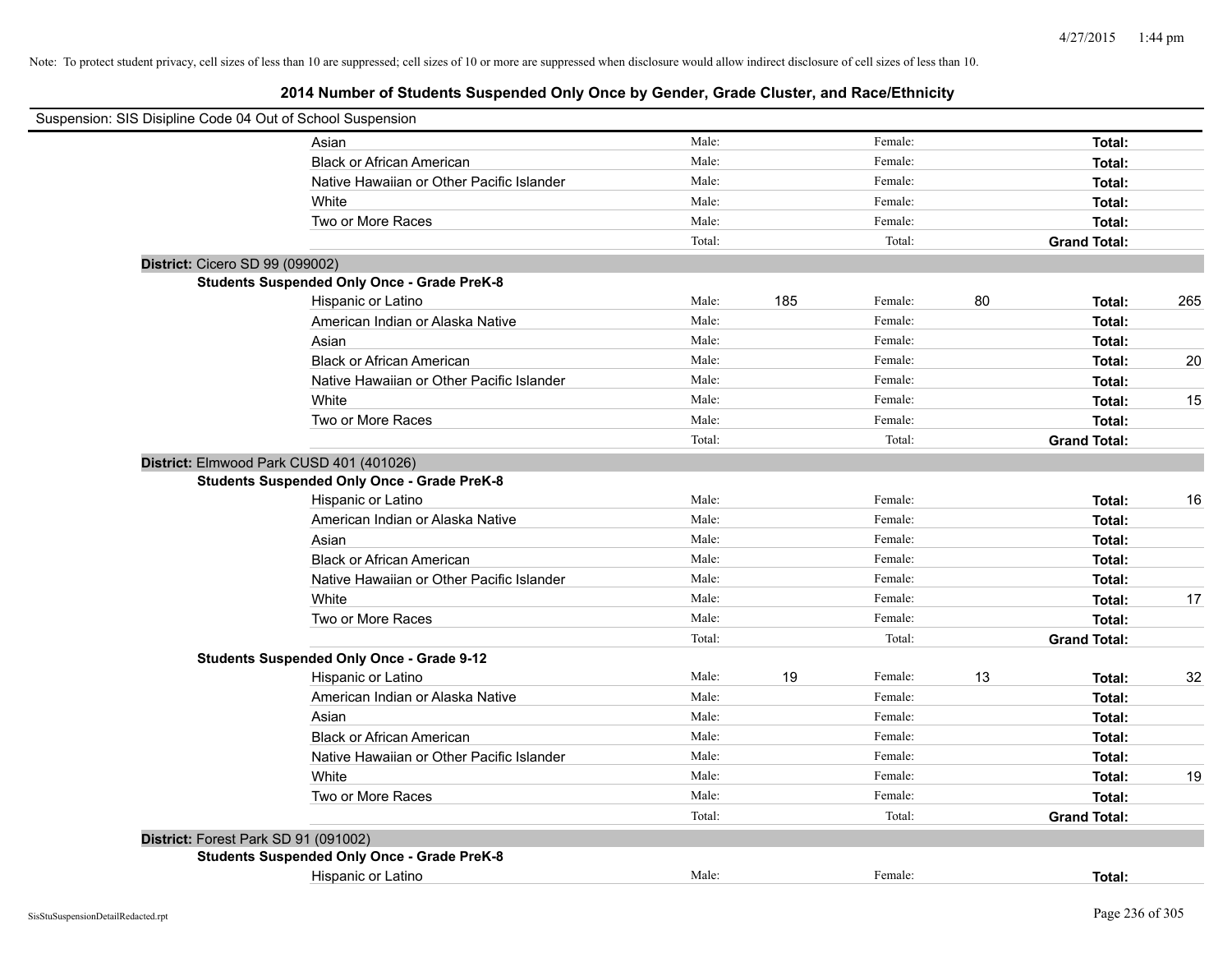| Suspension: SIS Disipline Code 04 Out of School Suspension |                                                    |        |     |         |    |                     |     |
|------------------------------------------------------------|----------------------------------------------------|--------|-----|---------|----|---------------------|-----|
|                                                            | Asian                                              | Male:  |     | Female: |    | Total:              |     |
|                                                            | <b>Black or African American</b>                   | Male:  |     | Female: |    | Total:              |     |
|                                                            | Native Hawaiian or Other Pacific Islander          | Male:  |     | Female: |    | Total:              |     |
|                                                            | White                                              | Male:  |     | Female: |    | Total:              |     |
|                                                            | Two or More Races                                  | Male:  |     | Female: |    | Total:              |     |
|                                                            |                                                    | Total: |     | Total:  |    | <b>Grand Total:</b> |     |
| District: Cicero SD 99 (099002)                            |                                                    |        |     |         |    |                     |     |
|                                                            | <b>Students Suspended Only Once - Grade PreK-8</b> |        |     |         |    |                     |     |
|                                                            | Hispanic or Latino                                 | Male:  | 185 | Female: | 80 | Total:              | 265 |
|                                                            | American Indian or Alaska Native                   | Male:  |     | Female: |    | Total:              |     |
|                                                            | Asian                                              | Male:  |     | Female: |    | Total:              |     |
|                                                            | <b>Black or African American</b>                   | Male:  |     | Female: |    | Total:              | 20  |
|                                                            | Native Hawaiian or Other Pacific Islander          | Male:  |     | Female: |    | Total:              |     |
|                                                            | White                                              | Male:  |     | Female: |    | Total:              | 15  |
|                                                            | Two or More Races                                  | Male:  |     | Female: |    | Total:              |     |
|                                                            |                                                    | Total: |     | Total:  |    | <b>Grand Total:</b> |     |
| District: Elmwood Park CUSD 401 (401026)                   |                                                    |        |     |         |    |                     |     |
|                                                            | <b>Students Suspended Only Once - Grade PreK-8</b> |        |     |         |    |                     |     |
|                                                            | Hispanic or Latino                                 | Male:  |     | Female: |    | Total:              | 16  |
|                                                            | American Indian or Alaska Native                   | Male:  |     | Female: |    | Total:              |     |
|                                                            | Asian                                              | Male:  |     | Female: |    | Total:              |     |
|                                                            | <b>Black or African American</b>                   | Male:  |     | Female: |    | Total:              |     |
|                                                            | Native Hawaiian or Other Pacific Islander          | Male:  |     | Female: |    | Total:              |     |
|                                                            | White                                              | Male:  |     | Female: |    | Total:              | 17  |
|                                                            | Two or More Races                                  | Male:  |     | Female: |    | Total:              |     |
|                                                            |                                                    | Total: |     | Total:  |    | <b>Grand Total:</b> |     |
|                                                            | <b>Students Suspended Only Once - Grade 9-12</b>   |        |     |         |    |                     |     |
|                                                            | Hispanic or Latino                                 | Male:  | 19  | Female: | 13 | Total:              | 32  |
|                                                            | American Indian or Alaska Native                   | Male:  |     | Female: |    | Total:              |     |
|                                                            | Asian                                              | Male:  |     | Female: |    | Total:              |     |
|                                                            | <b>Black or African American</b>                   | Male:  |     | Female: |    | Total:              |     |
|                                                            | Native Hawaiian or Other Pacific Islander          | Male:  |     | Female: |    | Total:              |     |
|                                                            | White                                              | Male:  |     | Female: |    | Total:              | 19  |
|                                                            | Two or More Races                                  | Male:  |     | Female: |    | Total:              |     |
|                                                            |                                                    | Total: |     | Total:  |    | <b>Grand Total:</b> |     |
| District: Forest Park SD 91 (091002)                       |                                                    |        |     |         |    |                     |     |
|                                                            | <b>Students Suspended Only Once - Grade PreK-8</b> |        |     |         |    |                     |     |
|                                                            | Hispanic or Latino                                 | Male:  |     | Female: |    | Total:              |     |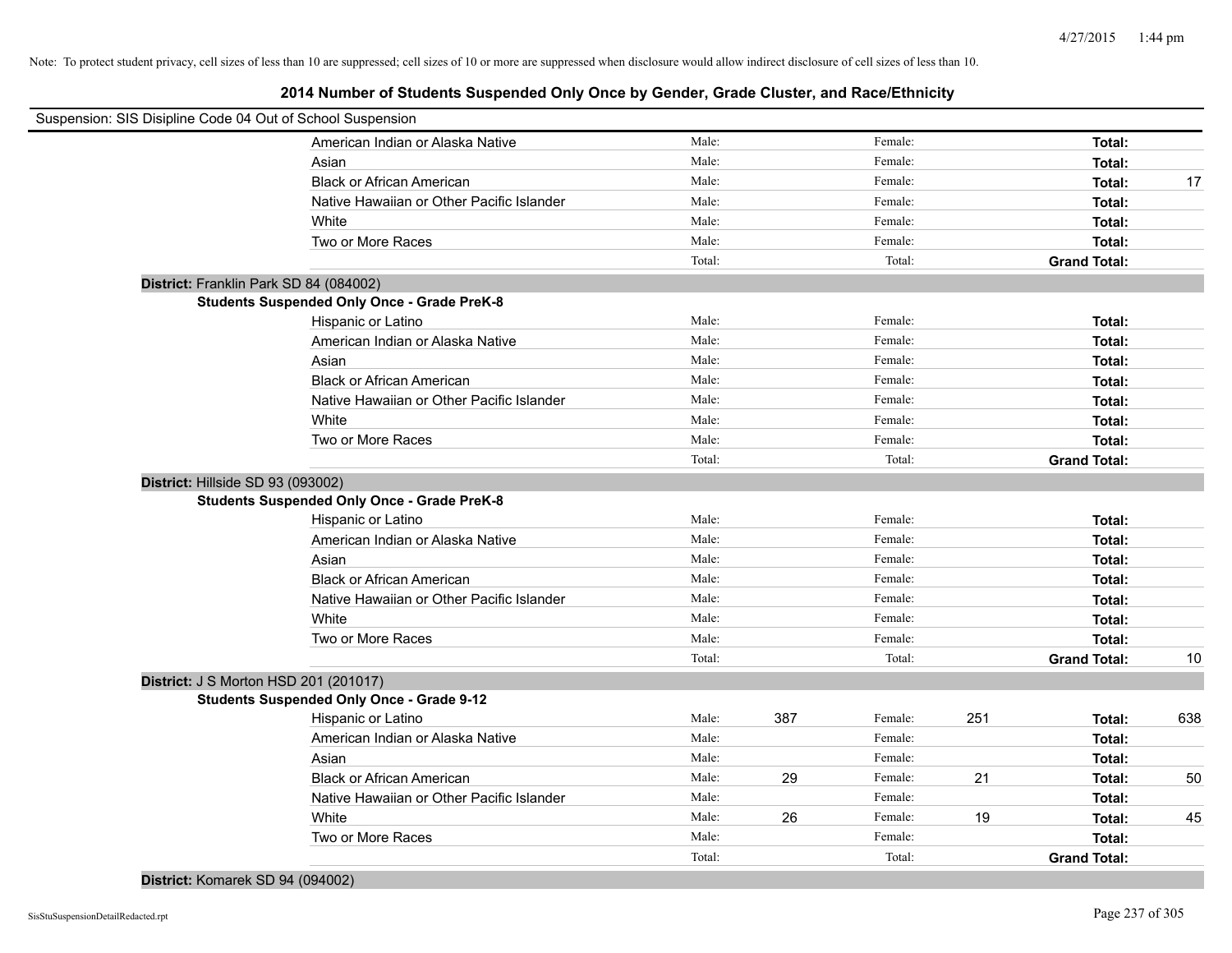# **2014 Number of Students Suspended Only Once by Gender, Grade Cluster, and Race/Ethnicity**

| Suspension: SIS Disipline Code 04 Out of School Suspension |        |     |         |     |                     |     |
|------------------------------------------------------------|--------|-----|---------|-----|---------------------|-----|
| American Indian or Alaska Native                           | Male:  |     | Female: |     | Total:              |     |
| Asian                                                      | Male:  |     | Female: |     | Total:              |     |
| <b>Black or African American</b>                           | Male:  |     | Female: |     | Total:              | 17  |
| Native Hawaiian or Other Pacific Islander                  | Male:  |     | Female: |     | Total:              |     |
| White                                                      | Male:  |     | Female: |     | Total:              |     |
| Two or More Races                                          | Male:  |     | Female: |     | Total:              |     |
|                                                            | Total: |     | Total:  |     | <b>Grand Total:</b> |     |
| District: Franklin Park SD 84 (084002)                     |        |     |         |     |                     |     |
| <b>Students Suspended Only Once - Grade PreK-8</b>         |        |     |         |     |                     |     |
| Hispanic or Latino                                         | Male:  |     | Female: |     | Total:              |     |
| American Indian or Alaska Native                           | Male:  |     | Female: |     | Total:              |     |
| Asian                                                      | Male:  |     | Female: |     | Total:              |     |
| <b>Black or African American</b>                           | Male:  |     | Female: |     | Total:              |     |
| Native Hawaiian or Other Pacific Islander                  | Male:  |     | Female: |     | Total:              |     |
| White                                                      | Male:  |     | Female: |     | Total:              |     |
| Two or More Races                                          | Male:  |     | Female: |     | Total:              |     |
|                                                            | Total: |     | Total:  |     | <b>Grand Total:</b> |     |
| District: Hillside SD 93 (093002)                          |        |     |         |     |                     |     |
| <b>Students Suspended Only Once - Grade PreK-8</b>         |        |     |         |     |                     |     |
| Hispanic or Latino                                         | Male:  |     | Female: |     | Total:              |     |
| American Indian or Alaska Native                           | Male:  |     | Female: |     | Total:              |     |
| Asian                                                      | Male:  |     | Female: |     | Total:              |     |
| <b>Black or African American</b>                           | Male:  |     | Female: |     | Total:              |     |
| Native Hawaiian or Other Pacific Islander                  | Male:  |     | Female: |     | Total:              |     |
| White                                                      | Male:  |     | Female: |     | Total:              |     |
| Two or More Races                                          | Male:  |     | Female: |     | Total:              |     |
|                                                            | Total: |     | Total:  |     | <b>Grand Total:</b> | 10  |
| District: J S Morton HSD 201 (201017)                      |        |     |         |     |                     |     |
| <b>Students Suspended Only Once - Grade 9-12</b>           |        |     |         |     |                     |     |
| Hispanic or Latino                                         | Male:  | 387 | Female: | 251 | Total:              | 638 |
| American Indian or Alaska Native                           | Male:  |     | Female: |     | Total:              |     |
| Asian                                                      | Male:  |     | Female: |     | Total:              |     |
| <b>Black or African American</b>                           | Male:  | 29  | Female: | 21  | Total:              | 50  |
| Native Hawaiian or Other Pacific Islander                  | Male:  |     | Female: |     | Total:              |     |
| White                                                      | Male:  | 26  | Female: | 19  | Total:              | 45  |
| Two or More Races                                          | Male:  |     | Female: |     | Total:              |     |
|                                                            | Total: |     | Total:  |     | <b>Grand Total:</b> |     |

## **District:** Komarek SD 94 (094002)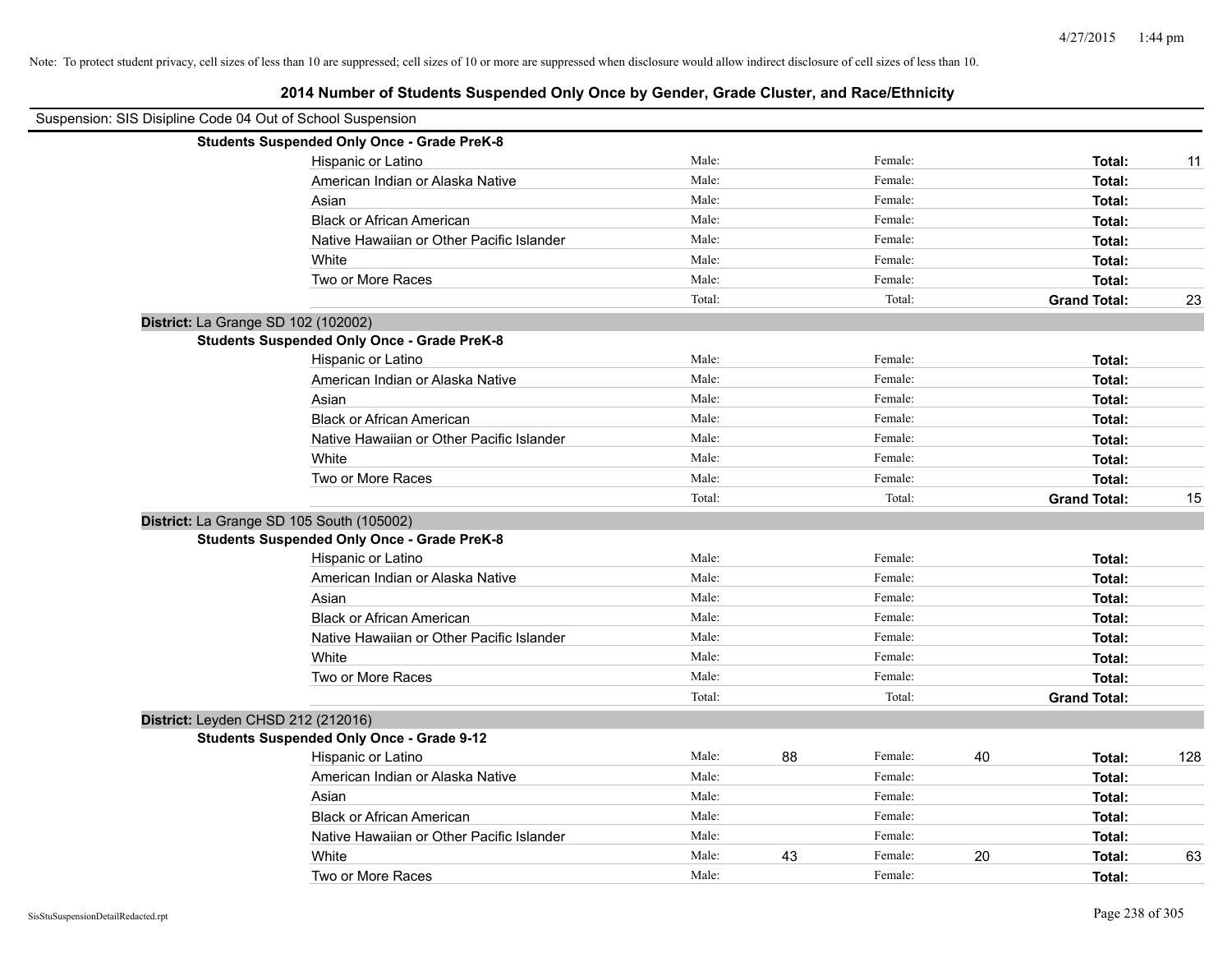| Suspension: SIS Disipline Code 04 Out of School Suspension |        |    |         |    |                     |     |
|------------------------------------------------------------|--------|----|---------|----|---------------------|-----|
| <b>Students Suspended Only Once - Grade PreK-8</b>         |        |    |         |    |                     |     |
| Hispanic or Latino                                         | Male:  |    | Female: |    | Total:              | 11  |
| American Indian or Alaska Native                           | Male:  |    | Female: |    | Total:              |     |
| Asian                                                      | Male:  |    | Female: |    | Total:              |     |
| <b>Black or African American</b>                           | Male:  |    | Female: |    | Total:              |     |
| Native Hawaiian or Other Pacific Islander                  | Male:  |    | Female: |    | Total:              |     |
| White                                                      | Male:  |    | Female: |    | Total:              |     |
| Two or More Races                                          | Male:  |    | Female: |    | Total:              |     |
|                                                            | Total: |    | Total:  |    | <b>Grand Total:</b> | 23  |
| District: La Grange SD 102 (102002)                        |        |    |         |    |                     |     |
| <b>Students Suspended Only Once - Grade PreK-8</b>         |        |    |         |    |                     |     |
| Hispanic or Latino                                         | Male:  |    | Female: |    | Total:              |     |
| American Indian or Alaska Native                           | Male:  |    | Female: |    | Total:              |     |
| Asian                                                      | Male:  |    | Female: |    | Total:              |     |
| <b>Black or African American</b>                           | Male:  |    | Female: |    | Total:              |     |
| Native Hawaiian or Other Pacific Islander                  | Male:  |    | Female: |    | Total:              |     |
| White                                                      | Male:  |    | Female: |    | Total:              |     |
| Two or More Races                                          | Male:  |    | Female: |    | Total:              |     |
|                                                            | Total: |    | Total:  |    | <b>Grand Total:</b> | 15  |
| District: La Grange SD 105 South (105002)                  |        |    |         |    |                     |     |
| <b>Students Suspended Only Once - Grade PreK-8</b>         |        |    |         |    |                     |     |
| Hispanic or Latino                                         | Male:  |    | Female: |    | Total:              |     |
| American Indian or Alaska Native                           | Male:  |    | Female: |    | Total:              |     |
| Asian                                                      | Male:  |    | Female: |    | Total:              |     |
| <b>Black or African American</b>                           | Male:  |    | Female: |    | Total:              |     |
| Native Hawaiian or Other Pacific Islander                  | Male:  |    | Female: |    | Total:              |     |
| White                                                      | Male:  |    | Female: |    | Total:              |     |
| Two or More Races                                          | Male:  |    | Female: |    | Total:              |     |
|                                                            | Total: |    | Total:  |    | <b>Grand Total:</b> |     |
| District: Leyden CHSD 212 (212016)                         |        |    |         |    |                     |     |
| <b>Students Suspended Only Once - Grade 9-12</b>           |        |    |         |    |                     |     |
| Hispanic or Latino                                         | Male:  | 88 | Female: | 40 | Total:              | 128 |
| American Indian or Alaska Native                           | Male:  |    | Female: |    | Total:              |     |
| Asian                                                      | Male:  |    | Female: |    | Total:              |     |
| <b>Black or African American</b>                           | Male:  |    | Female: |    | Total:              |     |
| Native Hawaiian or Other Pacific Islander                  | Male:  |    | Female: |    | Total:              |     |
| White                                                      | Male:  | 43 | Female: | 20 | Total:              | 63  |
| Two or More Races                                          | Male:  |    | Female: |    | Total:              |     |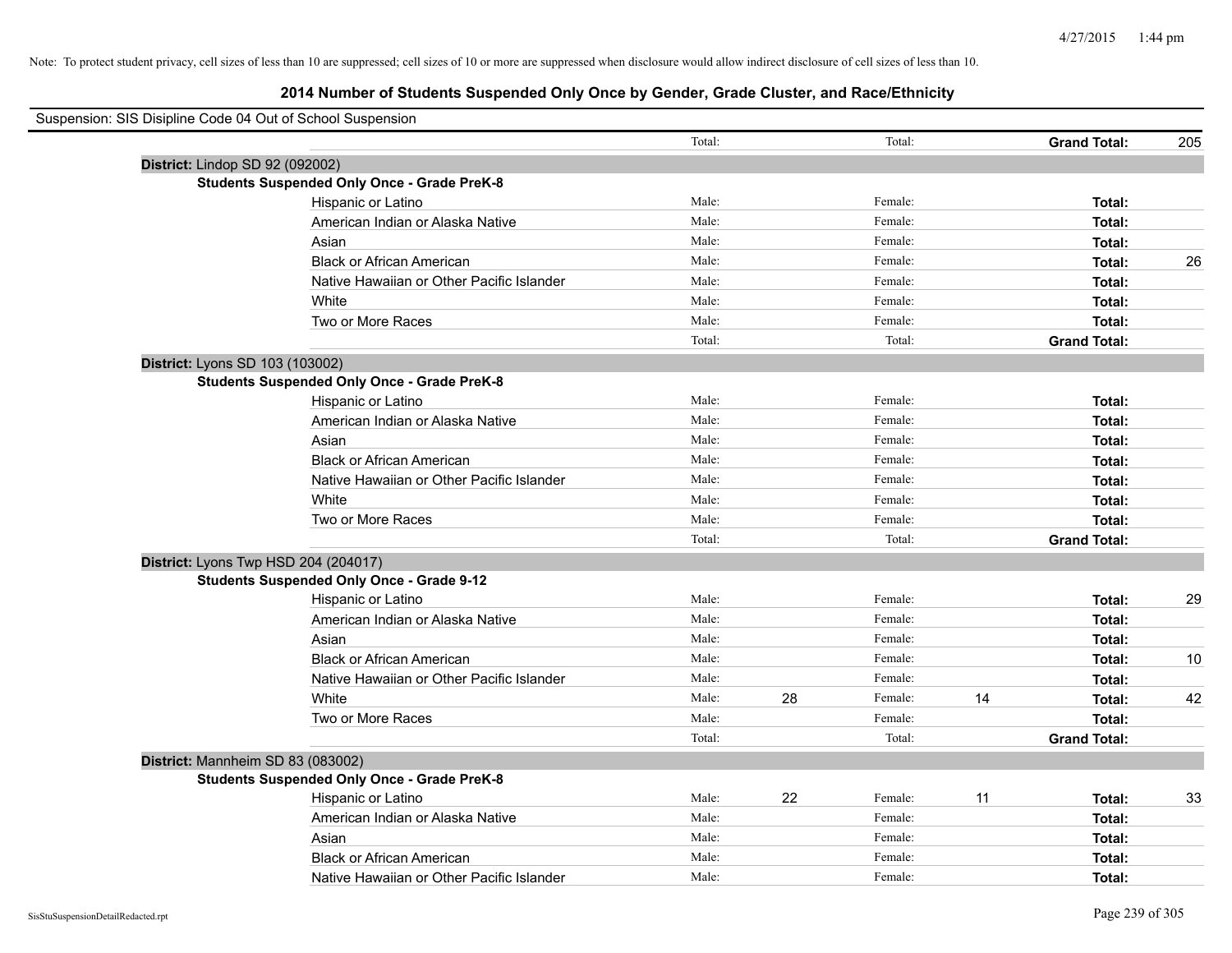| Suspension: SIS Disipline Code 04 Out of School Suspension |                                                    |        |    |         |    |                     |     |
|------------------------------------------------------------|----------------------------------------------------|--------|----|---------|----|---------------------|-----|
|                                                            |                                                    | Total: |    | Total:  |    | <b>Grand Total:</b> | 205 |
| District: Lindop SD 92 (092002)                            |                                                    |        |    |         |    |                     |     |
|                                                            | <b>Students Suspended Only Once - Grade PreK-8</b> |        |    |         |    |                     |     |
|                                                            | Hispanic or Latino                                 | Male:  |    | Female: |    | Total:              |     |
|                                                            | American Indian or Alaska Native                   | Male:  |    | Female: |    | Total:              |     |
|                                                            | Asian                                              | Male:  |    | Female: |    | Total:              |     |
|                                                            | <b>Black or African American</b>                   | Male:  |    | Female: |    | Total:              | 26  |
|                                                            | Native Hawaiian or Other Pacific Islander          | Male:  |    | Female: |    | Total:              |     |
|                                                            | White                                              | Male:  |    | Female: |    | Total:              |     |
|                                                            | Two or More Races                                  | Male:  |    | Female: |    | Total:              |     |
|                                                            |                                                    | Total: |    | Total:  |    | <b>Grand Total:</b> |     |
| District: Lyons SD 103 (103002)                            |                                                    |        |    |         |    |                     |     |
|                                                            | <b>Students Suspended Only Once - Grade PreK-8</b> |        |    |         |    |                     |     |
|                                                            | Hispanic or Latino                                 | Male:  |    | Female: |    | Total:              |     |
|                                                            | American Indian or Alaska Native                   | Male:  |    | Female: |    | Total:              |     |
|                                                            | Asian                                              | Male:  |    | Female: |    | Total:              |     |
|                                                            | <b>Black or African American</b>                   | Male:  |    | Female: |    | Total:              |     |
|                                                            | Native Hawaiian or Other Pacific Islander          | Male:  |    | Female: |    | Total:              |     |
|                                                            | White                                              | Male:  |    | Female: |    | Total:              |     |
|                                                            | Two or More Races                                  | Male:  |    | Female: |    | Total:              |     |
|                                                            |                                                    | Total: |    | Total:  |    | <b>Grand Total:</b> |     |
|                                                            | District: Lyons Twp HSD 204 (204017)               |        |    |         |    |                     |     |
|                                                            | <b>Students Suspended Only Once - Grade 9-12</b>   |        |    |         |    |                     |     |
|                                                            | Hispanic or Latino                                 | Male:  |    | Female: |    | Total:              | 29  |
|                                                            | American Indian or Alaska Native                   | Male:  |    | Female: |    | Total:              |     |
|                                                            | Asian                                              | Male:  |    | Female: |    | Total:              |     |
|                                                            | <b>Black or African American</b>                   | Male:  |    | Female: |    | Total:              | 10  |
|                                                            | Native Hawaiian or Other Pacific Islander          | Male:  |    | Female: |    | Total:              |     |
|                                                            | White                                              | Male:  | 28 | Female: | 14 | Total:              | 42  |
|                                                            | Two or More Races                                  | Male:  |    | Female: |    | Total:              |     |
|                                                            |                                                    | Total: |    | Total:  |    | <b>Grand Total:</b> |     |
|                                                            | District: Mannheim SD 83 (083002)                  |        |    |         |    |                     |     |
|                                                            | <b>Students Suspended Only Once - Grade PreK-8</b> |        |    |         |    |                     |     |
|                                                            | Hispanic or Latino                                 | Male:  | 22 | Female: | 11 | Total:              | 33  |
|                                                            | American Indian or Alaska Native                   | Male:  |    | Female: |    | Total:              |     |
|                                                            | Asian                                              | Male:  |    | Female: |    | Total:              |     |
|                                                            | <b>Black or African American</b>                   | Male:  |    | Female: |    | Total:              |     |
|                                                            | Native Hawaiian or Other Pacific Islander          | Male:  |    | Female: |    | Total:              |     |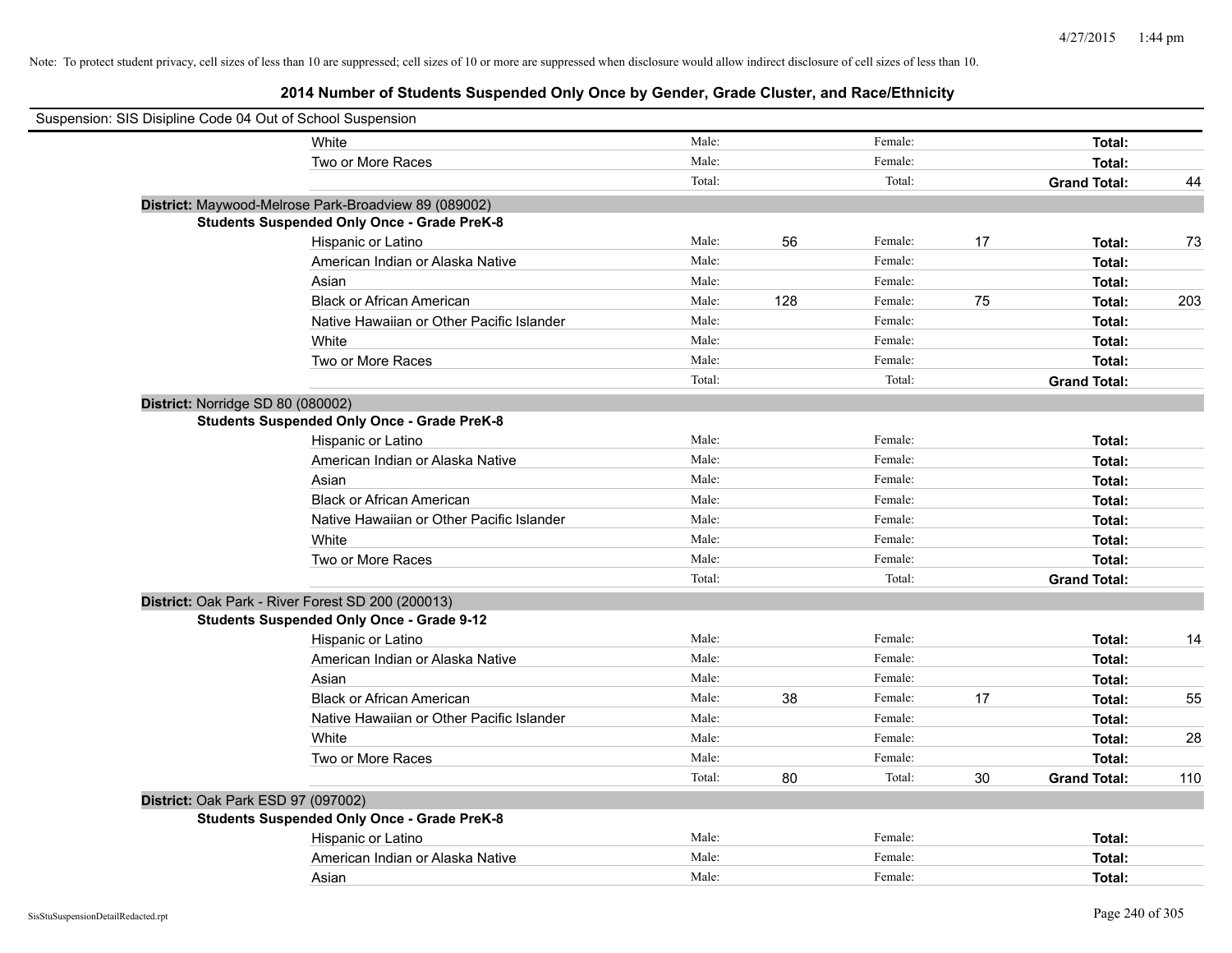| Suspension: SIS Disipline Code 04 Out of School Suspension |        |     |         |        |                     |     |
|------------------------------------------------------------|--------|-----|---------|--------|---------------------|-----|
| White                                                      | Male:  |     | Female: |        | Total:              |     |
| Two or More Races                                          | Male:  |     | Female: |        | Total:              |     |
|                                                            | Total: |     | Total:  |        | <b>Grand Total:</b> | 44  |
| District: Maywood-Melrose Park-Broadview 89 (089002)       |        |     |         |        |                     |     |
| <b>Students Suspended Only Once - Grade PreK-8</b>         |        |     |         |        |                     |     |
| Hispanic or Latino                                         | Male:  | 56  | Female: | 17     | Total:              | 73  |
| American Indian or Alaska Native                           | Male:  |     | Female: |        | Total:              |     |
| Asian                                                      | Male:  |     | Female: |        | Total:              |     |
| <b>Black or African American</b>                           | Male:  | 128 | Female: | 75     | Total:              | 203 |
| Native Hawaiian or Other Pacific Islander                  | Male:  |     | Female: |        | Total:              |     |
| White                                                      | Male:  |     | Female: |        | Total:              |     |
| Two or More Races                                          | Male:  |     | Female: |        | Total:              |     |
|                                                            | Total: |     | Total:  |        | <b>Grand Total:</b> |     |
| District: Norridge SD 80 (080002)                          |        |     |         |        |                     |     |
| <b>Students Suspended Only Once - Grade PreK-8</b>         |        |     |         |        |                     |     |
| Hispanic or Latino                                         | Male:  |     | Female: |        | Total:              |     |
| American Indian or Alaska Native                           | Male:  |     | Female: |        | Total:              |     |
| Asian                                                      | Male:  |     | Female: |        | Total:              |     |
| <b>Black or African American</b>                           | Male:  |     | Female: |        | Total:              |     |
| Native Hawaiian or Other Pacific Islander                  | Male:  |     | Female: |        | Total:              |     |
| White                                                      | Male:  |     | Female: |        | Total:              |     |
| Two or More Races                                          | Male:  |     | Female: |        | Total:              |     |
|                                                            | Total: |     | Total:  |        | <b>Grand Total:</b> |     |
| District: Oak Park - River Forest SD 200 (200013)          |        |     |         |        |                     |     |
| <b>Students Suspended Only Once - Grade 9-12</b>           |        |     |         |        |                     |     |
| Hispanic or Latino                                         | Male:  |     | Female: |        | Total:              | 14  |
| American Indian or Alaska Native                           | Male:  |     | Female: |        | Total:              |     |
| Asian                                                      | Male:  |     | Female: |        | Total:              |     |
| <b>Black or African American</b>                           | Male:  | 38  | Female: | 17     | Total:              | 55  |
| Native Hawaiian or Other Pacific Islander                  | Male:  |     | Female: |        | Total:              |     |
| White                                                      | Male:  |     | Female: |        | Total:              | 28  |
| Two or More Races                                          | Male:  |     | Female: |        | Total:              |     |
|                                                            | Total: | 80  | Total:  | $30\,$ | <b>Grand Total:</b> | 110 |
| District: Oak Park ESD 97 (097002)                         |        |     |         |        |                     |     |
| <b>Students Suspended Only Once - Grade PreK-8</b>         |        |     |         |        |                     |     |
| Hispanic or Latino                                         | Male:  |     | Female: |        | Total:              |     |
| American Indian or Alaska Native                           | Male:  |     | Female: |        | Total:              |     |
| Asian                                                      | Male:  |     | Female: |        | Total:              |     |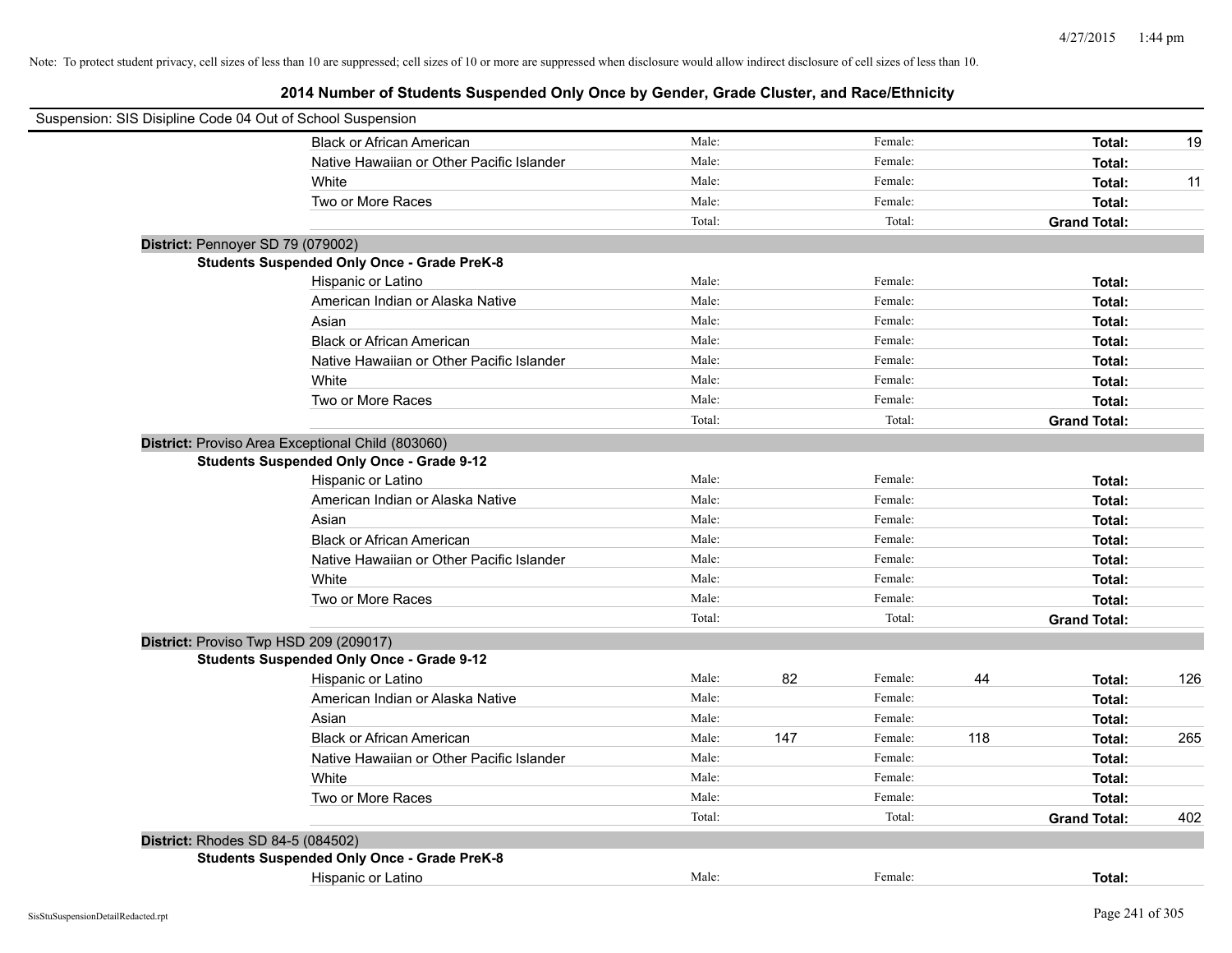| Suspension: SIS Disipline Code 04 Out of School Suspension |                                                    |        |     |         |     |                     |     |
|------------------------------------------------------------|----------------------------------------------------|--------|-----|---------|-----|---------------------|-----|
|                                                            | <b>Black or African American</b>                   | Male:  |     | Female: |     | Total:              | 19  |
|                                                            | Native Hawaiian or Other Pacific Islander          | Male:  |     | Female: |     | Total:              |     |
|                                                            | White                                              | Male:  |     | Female: |     | Total:              | 11  |
|                                                            | Two or More Races                                  | Male:  |     | Female: |     | Total:              |     |
|                                                            |                                                    | Total: |     | Total:  |     | <b>Grand Total:</b> |     |
| District: Pennoyer SD 79 (079002)                          |                                                    |        |     |         |     |                     |     |
|                                                            | <b>Students Suspended Only Once - Grade PreK-8</b> |        |     |         |     |                     |     |
|                                                            | Hispanic or Latino                                 | Male:  |     | Female: |     | Total:              |     |
|                                                            | American Indian or Alaska Native                   | Male:  |     | Female: |     | Total:              |     |
|                                                            | Asian                                              | Male:  |     | Female: |     | Total:              |     |
|                                                            | <b>Black or African American</b>                   | Male:  |     | Female: |     | Total:              |     |
|                                                            | Native Hawaiian or Other Pacific Islander          | Male:  |     | Female: |     | Total:              |     |
|                                                            | White                                              | Male:  |     | Female: |     | Total:              |     |
|                                                            | Two or More Races                                  | Male:  |     | Female: |     | Total:              |     |
|                                                            |                                                    | Total: |     | Total:  |     | <b>Grand Total:</b> |     |
|                                                            | District: Proviso Area Exceptional Child (803060)  |        |     |         |     |                     |     |
|                                                            | <b>Students Suspended Only Once - Grade 9-12</b>   |        |     |         |     |                     |     |
|                                                            | Hispanic or Latino                                 | Male:  |     | Female: |     | Total:              |     |
|                                                            | American Indian or Alaska Native                   | Male:  |     | Female: |     | Total:              |     |
|                                                            | Asian                                              | Male:  |     | Female: |     | Total:              |     |
|                                                            | <b>Black or African American</b>                   | Male:  |     | Female: |     | Total:              |     |
|                                                            | Native Hawaiian or Other Pacific Islander          | Male:  |     | Female: |     | Total:              |     |
|                                                            | White                                              | Male:  |     | Female: |     | Total:              |     |
|                                                            | Two or More Races                                  | Male:  |     | Female: |     | Total:              |     |
|                                                            |                                                    | Total: |     | Total:  |     | <b>Grand Total:</b> |     |
|                                                            | District: Proviso Twp HSD 209 (209017)             |        |     |         |     |                     |     |
|                                                            | <b>Students Suspended Only Once - Grade 9-12</b>   |        |     |         |     |                     |     |
|                                                            | Hispanic or Latino                                 | Male:  | 82  | Female: | 44  | Total:              | 126 |
|                                                            | American Indian or Alaska Native                   | Male:  |     | Female: |     | Total:              |     |
|                                                            | Asian                                              | Male:  |     | Female: |     | Total:              |     |
|                                                            | <b>Black or African American</b>                   | Male:  | 147 | Female: | 118 | Total:              | 265 |
|                                                            | Native Hawaiian or Other Pacific Islander          | Male:  |     | Female: |     | Total:              |     |
|                                                            | White                                              | Male:  |     | Female: |     | Total:              |     |
|                                                            | Two or More Races                                  | Male:  |     | Female: |     | Total:              |     |
|                                                            |                                                    | Total: |     | Total:  |     | <b>Grand Total:</b> | 402 |
| District: Rhodes SD 84-5 (084502)                          |                                                    |        |     |         |     |                     |     |
|                                                            | <b>Students Suspended Only Once - Grade PreK-8</b> |        |     |         |     |                     |     |
|                                                            | Hispanic or Latino                                 | Male:  |     | Female: |     | Total:              |     |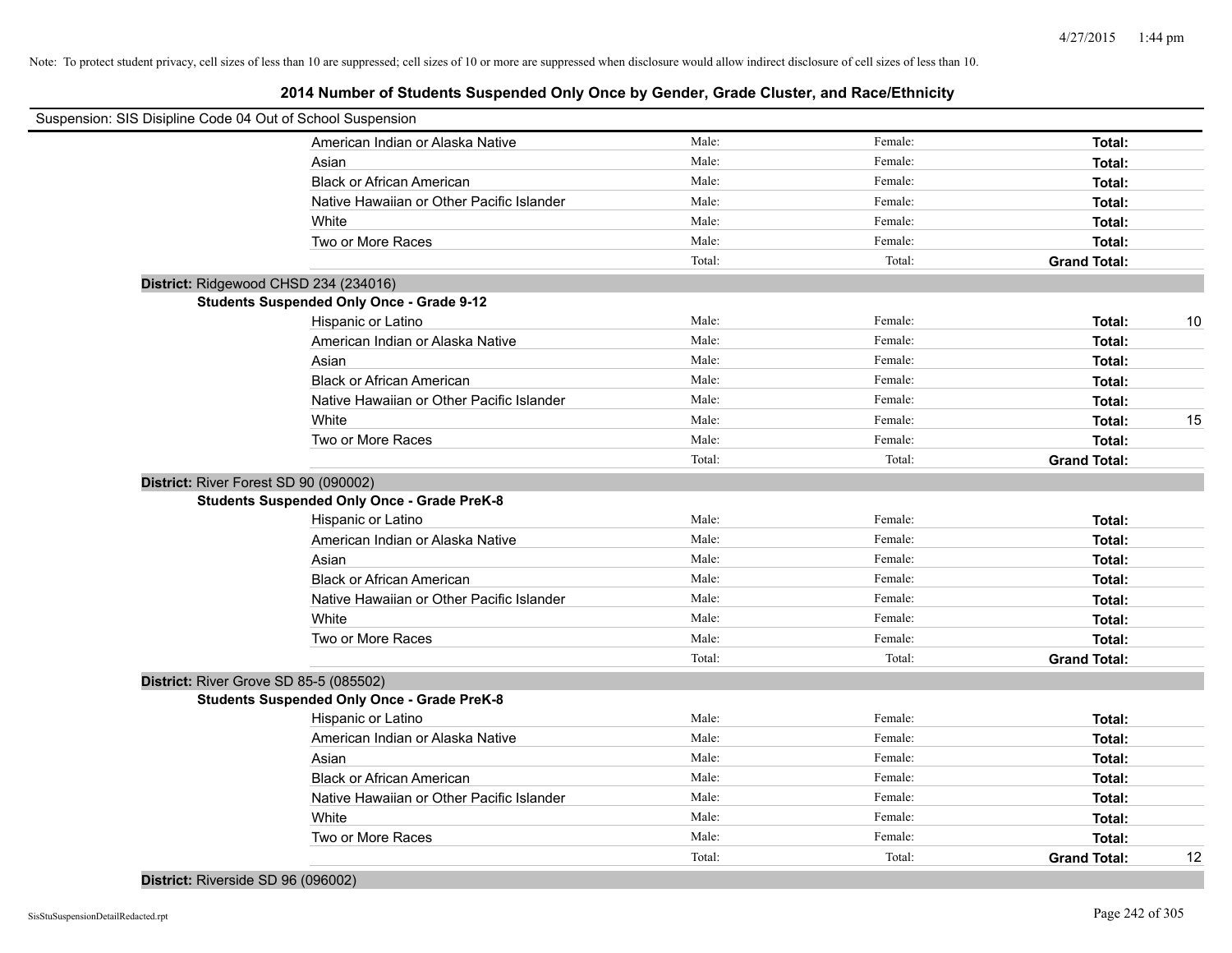| Suspension: SIS Disipline Code 04 Out of School Suspension |                                                    |        |         |                     |    |
|------------------------------------------------------------|----------------------------------------------------|--------|---------|---------------------|----|
|                                                            | American Indian or Alaska Native                   | Male:  | Female: | Total:              |    |
|                                                            | Asian                                              | Male:  | Female: | Total:              |    |
|                                                            | <b>Black or African American</b>                   | Male:  | Female: | Total:              |    |
|                                                            | Native Hawaiian or Other Pacific Islander          | Male:  | Female: | Total:              |    |
|                                                            | White                                              | Male:  | Female: | Total:              |    |
|                                                            | Two or More Races                                  | Male:  | Female: | Total:              |    |
|                                                            |                                                    | Total: | Total:  | <b>Grand Total:</b> |    |
|                                                            | District: Ridgewood CHSD 234 (234016)              |        |         |                     |    |
|                                                            | <b>Students Suspended Only Once - Grade 9-12</b>   |        |         |                     |    |
|                                                            | Hispanic or Latino                                 | Male:  | Female: | Total:              | 10 |
|                                                            | American Indian or Alaska Native                   | Male:  | Female: | Total:              |    |
|                                                            | Asian                                              | Male:  | Female: | Total:              |    |
|                                                            | <b>Black or African American</b>                   | Male:  | Female: | Total:              |    |
|                                                            | Native Hawaiian or Other Pacific Islander          | Male:  | Female: | Total:              |    |
|                                                            | White                                              | Male:  | Female: | Total:              | 15 |
|                                                            | Two or More Races                                  | Male:  | Female: | Total:              |    |
|                                                            |                                                    | Total: | Total:  | <b>Grand Total:</b> |    |
|                                                            | District: River Forest SD 90 (090002)              |        |         |                     |    |
|                                                            | <b>Students Suspended Only Once - Grade PreK-8</b> |        |         |                     |    |
|                                                            | Hispanic or Latino                                 | Male:  | Female: | Total:              |    |
|                                                            | American Indian or Alaska Native                   | Male:  | Female: | Total:              |    |
|                                                            | Asian                                              | Male:  | Female: | Total:              |    |
|                                                            | <b>Black or African American</b>                   | Male:  | Female: | Total:              |    |
|                                                            | Native Hawaiian or Other Pacific Islander          | Male:  | Female: | Total:              |    |
|                                                            | White                                              | Male:  | Female: | Total:              |    |
|                                                            | Two or More Races                                  | Male:  | Female: | Total:              |    |
|                                                            |                                                    | Total: | Total:  | <b>Grand Total:</b> |    |
|                                                            | District: River Grove SD 85-5 (085502)             |        |         |                     |    |
|                                                            | <b>Students Suspended Only Once - Grade PreK-8</b> |        |         |                     |    |
|                                                            | Hispanic or Latino                                 | Male:  | Female: | Total:              |    |
|                                                            | American Indian or Alaska Native                   | Male:  | Female: | Total:              |    |
|                                                            | Asian                                              | Male:  | Female: | Total:              |    |
|                                                            | <b>Black or African American</b>                   | Male:  | Female: | Total:              |    |
|                                                            | Native Hawaiian or Other Pacific Islander          | Male:  | Female: | Total:              |    |
|                                                            | White                                              | Male:  | Female: | Total:              |    |
|                                                            | Two or More Races                                  | Male:  | Female: | Total:              |    |
|                                                            |                                                    | Total: | Total:  | <b>Grand Total:</b> | 12 |
|                                                            |                                                    |        |         |                     |    |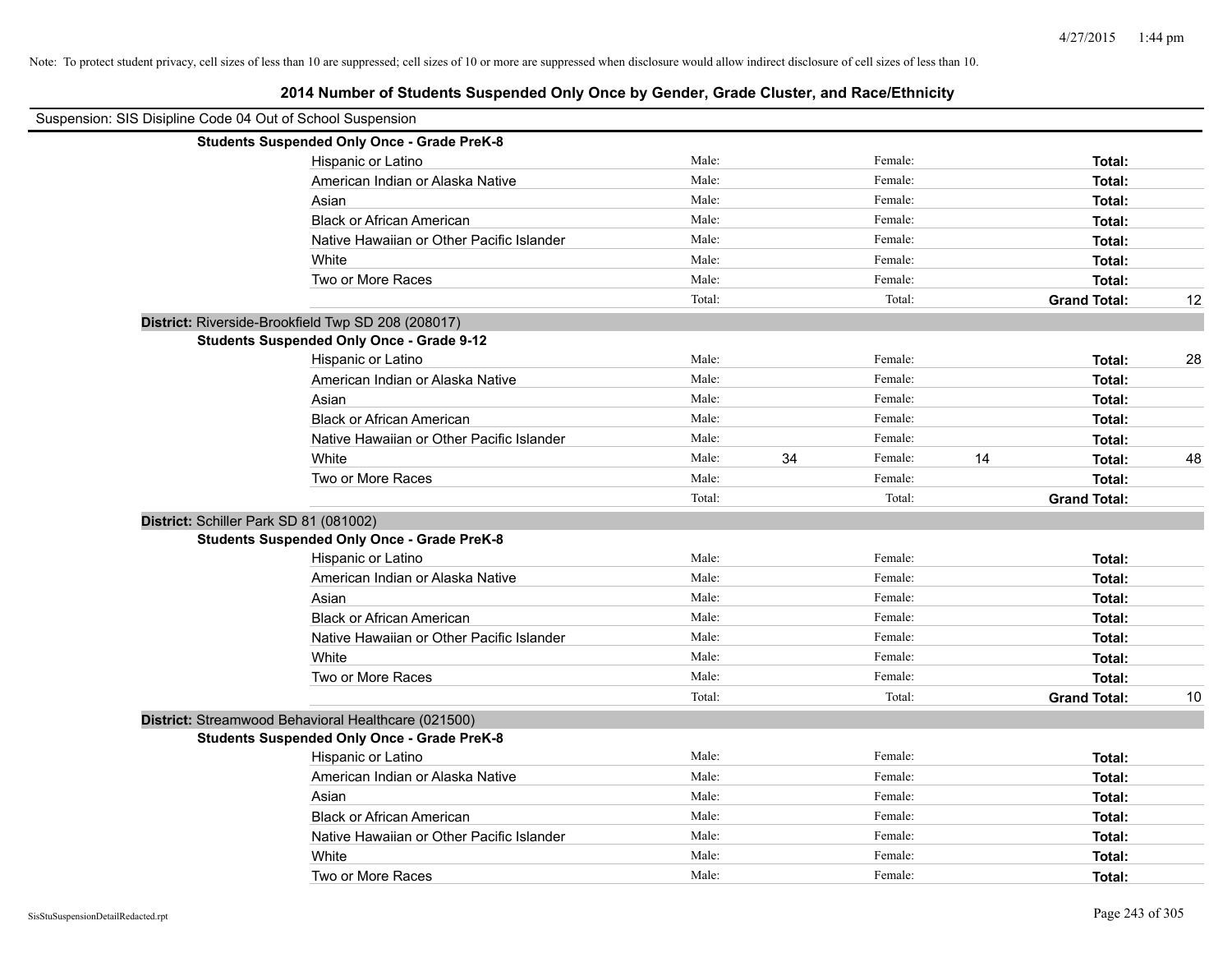| Suspension: SIS Disipline Code 04 Out of School Suspension |                                                     |        |    |         |    |                     |    |
|------------------------------------------------------------|-----------------------------------------------------|--------|----|---------|----|---------------------|----|
|                                                            | <b>Students Suspended Only Once - Grade PreK-8</b>  |        |    |         |    |                     |    |
|                                                            | Hispanic or Latino                                  | Male:  |    | Female: |    | Total:              |    |
|                                                            | American Indian or Alaska Native                    | Male:  |    | Female: |    | Total:              |    |
|                                                            | Asian                                               | Male:  |    | Female: |    | Total:              |    |
|                                                            | <b>Black or African American</b>                    | Male:  |    | Female: |    | Total:              |    |
|                                                            | Native Hawaiian or Other Pacific Islander           | Male:  |    | Female: |    | Total:              |    |
|                                                            | White                                               | Male:  |    | Female: |    | Total:              |    |
|                                                            | Two or More Races                                   | Male:  |    | Female: |    | Total:              |    |
|                                                            |                                                     | Total: |    | Total:  |    | <b>Grand Total:</b> | 12 |
|                                                            | District: Riverside-Brookfield Twp SD 208 (208017)  |        |    |         |    |                     |    |
|                                                            | <b>Students Suspended Only Once - Grade 9-12</b>    |        |    |         |    |                     |    |
|                                                            | Hispanic or Latino                                  | Male:  |    | Female: |    | Total:              | 28 |
|                                                            | American Indian or Alaska Native                    | Male:  |    | Female: |    | Total:              |    |
|                                                            | Asian                                               | Male:  |    | Female: |    | Total:              |    |
|                                                            | <b>Black or African American</b>                    | Male:  |    | Female: |    | Total:              |    |
|                                                            | Native Hawaiian or Other Pacific Islander           | Male:  |    | Female: |    | Total:              |    |
|                                                            | White                                               | Male:  | 34 | Female: | 14 | Total:              | 48 |
|                                                            | Two or More Races                                   | Male:  |    | Female: |    | Total:              |    |
|                                                            |                                                     | Total: |    | Total:  |    | <b>Grand Total:</b> |    |
| District: Schiller Park SD 81 (081002)                     |                                                     |        |    |         |    |                     |    |
|                                                            | <b>Students Suspended Only Once - Grade PreK-8</b>  |        |    |         |    |                     |    |
|                                                            | Hispanic or Latino                                  | Male:  |    | Female: |    | Total:              |    |
|                                                            | American Indian or Alaska Native                    | Male:  |    | Female: |    | Total:              |    |
|                                                            | Asian                                               | Male:  |    | Female: |    | Total:              |    |
|                                                            | <b>Black or African American</b>                    | Male:  |    | Female: |    | Total:              |    |
|                                                            | Native Hawaiian or Other Pacific Islander           | Male:  |    | Female: |    | Total:              |    |
|                                                            | White                                               | Male:  |    | Female: |    | Total:              |    |
|                                                            | Two or More Races                                   | Male:  |    | Female: |    | Total:              |    |
|                                                            |                                                     | Total: |    | Total:  |    | <b>Grand Total:</b> | 10 |
|                                                            | District: Streamwood Behavioral Healthcare (021500) |        |    |         |    |                     |    |
|                                                            | <b>Students Suspended Only Once - Grade PreK-8</b>  |        |    |         |    |                     |    |
|                                                            | Hispanic or Latino                                  | Male:  |    | Female: |    | Total:              |    |
|                                                            | American Indian or Alaska Native                    | Male:  |    | Female: |    | Total:              |    |
|                                                            | Asian                                               | Male:  |    | Female: |    | Total:              |    |
|                                                            | <b>Black or African American</b>                    | Male:  |    | Female: |    | Total:              |    |
|                                                            | Native Hawaiian or Other Pacific Islander           | Male:  |    | Female: |    | Total:              |    |
|                                                            | White                                               | Male:  |    | Female: |    | Total:              |    |
|                                                            | Two or More Races                                   | Male:  |    | Female: |    | Total:              |    |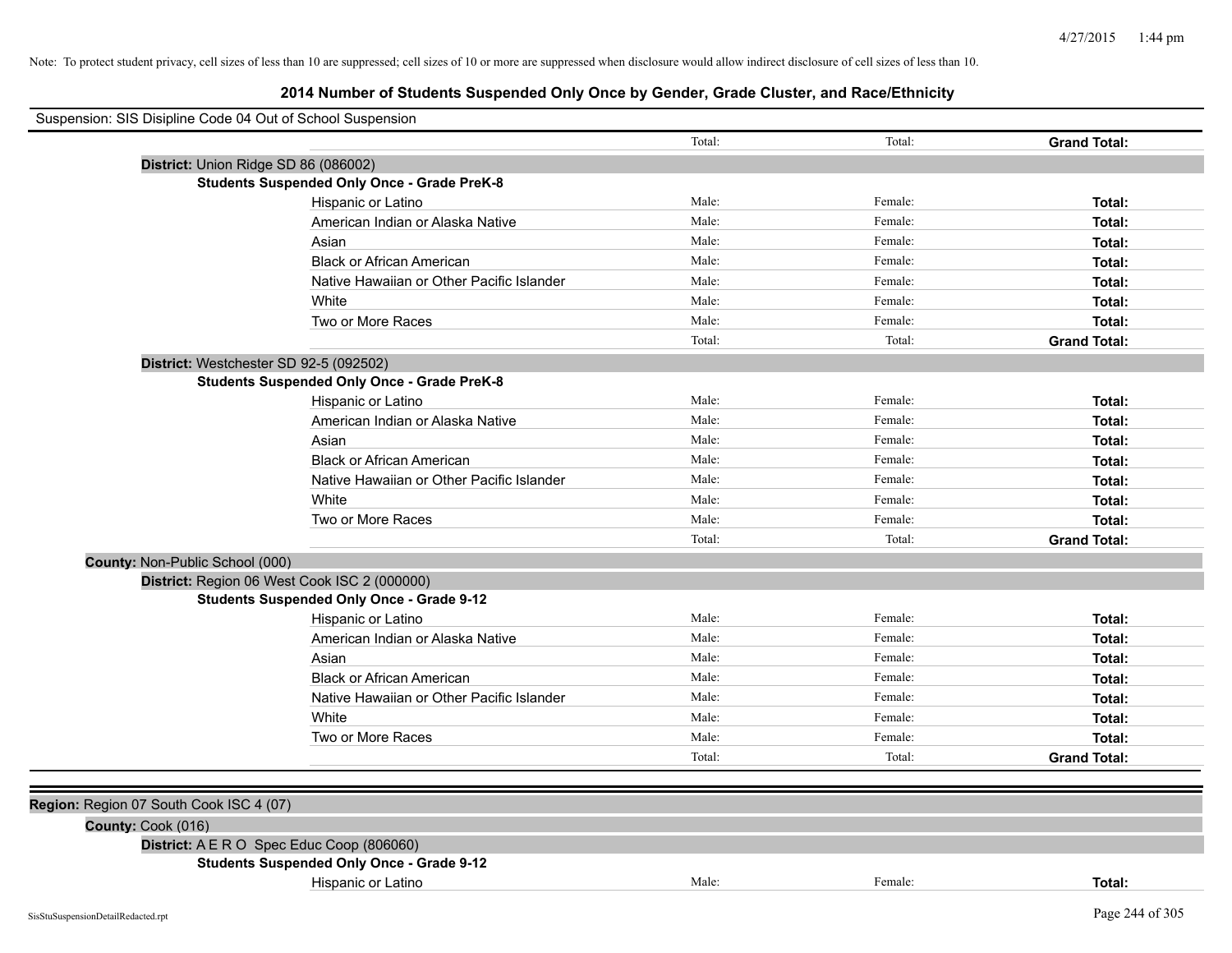| Suspension: SIS Disipline Code 04 Out of School Suspension |                                                    |        |         |                     |
|------------------------------------------------------------|----------------------------------------------------|--------|---------|---------------------|
|                                                            |                                                    | Total: | Total:  | <b>Grand Total:</b> |
|                                                            | District: Union Ridge SD 86 (086002)               |        |         |                     |
|                                                            | <b>Students Suspended Only Once - Grade PreK-8</b> |        |         |                     |
|                                                            | Hispanic or Latino                                 | Male:  | Female: | Total:              |
|                                                            | American Indian or Alaska Native                   | Male:  | Female: | Total:              |
|                                                            | Asian                                              | Male:  | Female: | Total:              |
|                                                            | <b>Black or African American</b>                   | Male:  | Female: | Total:              |
|                                                            | Native Hawaiian or Other Pacific Islander          | Male:  | Female: | Total:              |
|                                                            | White                                              | Male:  | Female: | Total:              |
|                                                            | Two or More Races                                  | Male:  | Female: | Total:              |
|                                                            |                                                    | Total: | Total:  | <b>Grand Total:</b> |
|                                                            | District: Westchester SD 92-5 (092502)             |        |         |                     |
|                                                            | <b>Students Suspended Only Once - Grade PreK-8</b> |        |         |                     |
|                                                            | Hispanic or Latino                                 | Male:  | Female: | Total:              |
|                                                            | American Indian or Alaska Native                   | Male:  | Female: | Total:              |
|                                                            | Asian                                              | Male:  | Female: | Total:              |
|                                                            | <b>Black or African American</b>                   | Male:  | Female: | Total:              |
|                                                            | Native Hawaiian or Other Pacific Islander          | Male:  | Female: | Total:              |
|                                                            | White                                              | Male:  | Female: | Total:              |
|                                                            | Two or More Races                                  | Male:  | Female: | Total:              |
|                                                            |                                                    | Total: | Total:  | <b>Grand Total:</b> |
| County: Non-Public School (000)                            |                                                    |        |         |                     |
|                                                            | District: Region 06 West Cook ISC 2 (000000)       |        |         |                     |
|                                                            | <b>Students Suspended Only Once - Grade 9-12</b>   |        |         |                     |
|                                                            | Hispanic or Latino                                 | Male:  | Female: | Total:              |
|                                                            | American Indian or Alaska Native                   | Male:  | Female: | Total:              |
|                                                            | Asian                                              | Male:  | Female: | Total:              |
|                                                            | <b>Black or African American</b>                   | Male:  | Female: | Total:              |
|                                                            | Native Hawaiian or Other Pacific Islander          | Male:  | Female: | Total:              |
|                                                            | White                                              | Male:  | Female: | Total:              |
|                                                            | Two or More Races                                  | Male:  | Female: | Total:              |
|                                                            |                                                    | Total: | Total:  | <b>Grand Total:</b> |
|                                                            |                                                    |        |         |                     |
| Region: Region 07 South Cook ISC 4 (07)                    |                                                    |        |         |                     |
| County: Cook (016)                                         |                                                    |        |         |                     |
|                                                            | District: A E R O Spec Educ Coop (806060)          |        |         |                     |
|                                                            | <b>Students Suspended Only Once - Grade 9-12</b>   |        |         |                     |
|                                                            | Hispanic or Latino                                 | Male:  | Female: | Total:              |
|                                                            |                                                    |        |         |                     |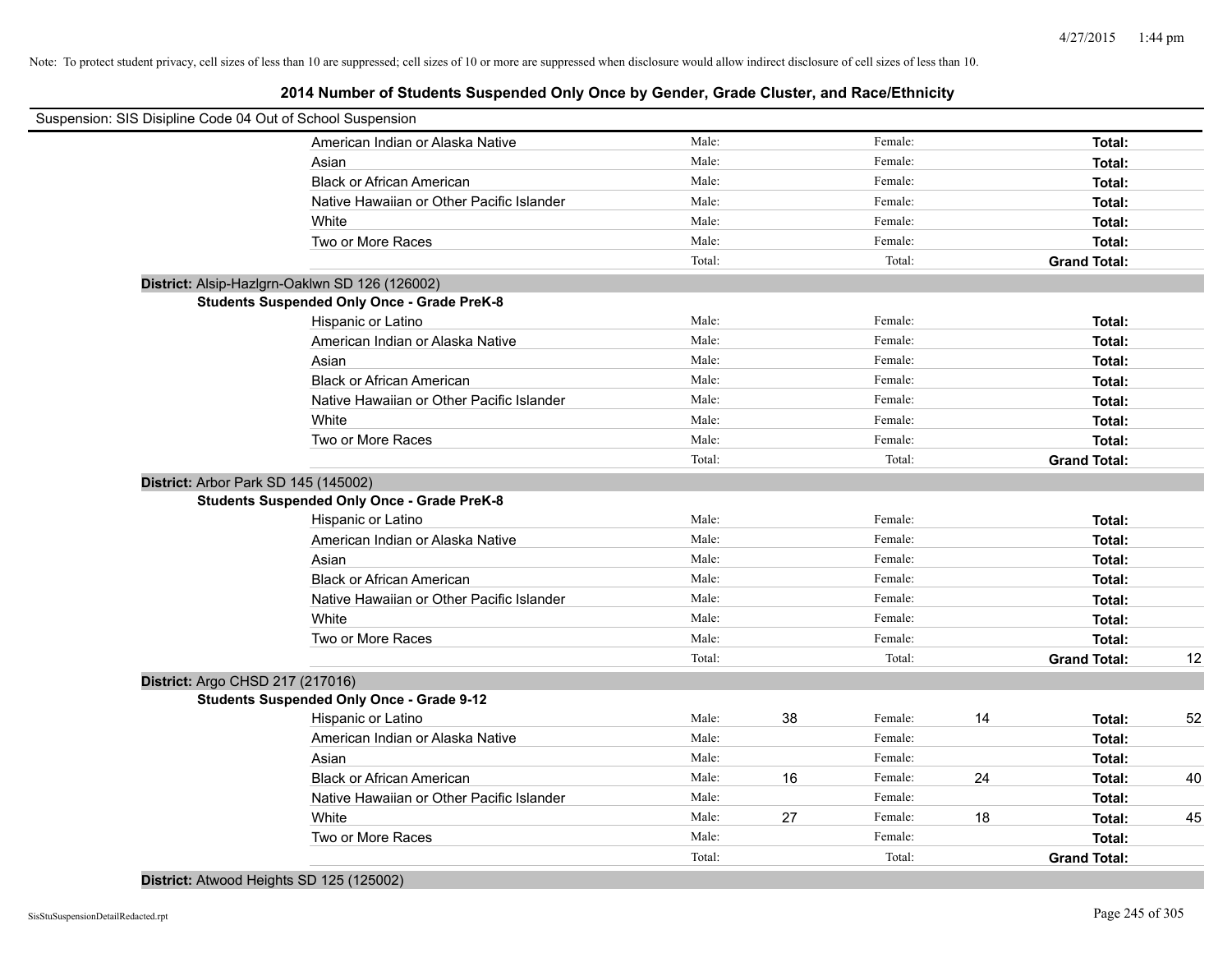| Suspension: SIS Disipline Code 04 Out of School Suspension |                                                    |        |    |         |    |                     |    |
|------------------------------------------------------------|----------------------------------------------------|--------|----|---------|----|---------------------|----|
|                                                            | American Indian or Alaska Native                   | Male:  |    | Female: |    | Total:              |    |
|                                                            | Asian                                              | Male:  |    | Female: |    | Total:              |    |
|                                                            | <b>Black or African American</b>                   | Male:  |    | Female: |    | Total:              |    |
|                                                            | Native Hawaiian or Other Pacific Islander          | Male:  |    | Female: |    | Total:              |    |
|                                                            | White                                              | Male:  |    | Female: |    | Total:              |    |
|                                                            | Two or More Races                                  | Male:  |    | Female: |    | Total:              |    |
|                                                            |                                                    | Total: |    | Total:  |    | <b>Grand Total:</b> |    |
| District: Alsip-Hazlgrn-Oaklwn SD 126 (126002)             |                                                    |        |    |         |    |                     |    |
|                                                            | <b>Students Suspended Only Once - Grade PreK-8</b> |        |    |         |    |                     |    |
|                                                            | Hispanic or Latino                                 | Male:  |    | Female: |    | Total:              |    |
|                                                            | American Indian or Alaska Native                   | Male:  |    | Female: |    | Total:              |    |
|                                                            | Asian                                              | Male:  |    | Female: |    | Total:              |    |
|                                                            | <b>Black or African American</b>                   | Male:  |    | Female: |    | Total:              |    |
|                                                            | Native Hawaiian or Other Pacific Islander          | Male:  |    | Female: |    | Total:              |    |
|                                                            | White                                              | Male:  |    | Female: |    | Total:              |    |
|                                                            | Two or More Races                                  | Male:  |    | Female: |    | Total:              |    |
|                                                            |                                                    | Total: |    | Total:  |    | <b>Grand Total:</b> |    |
| District: Arbor Park SD 145 (145002)                       |                                                    |        |    |         |    |                     |    |
|                                                            | <b>Students Suspended Only Once - Grade PreK-8</b> |        |    |         |    |                     |    |
|                                                            | Hispanic or Latino                                 | Male:  |    | Female: |    | Total:              |    |
|                                                            | American Indian or Alaska Native                   | Male:  |    | Female: |    | Total:              |    |
|                                                            | Asian                                              | Male:  |    | Female: |    | Total:              |    |
|                                                            | <b>Black or African American</b>                   | Male:  |    | Female: |    | Total:              |    |
|                                                            | Native Hawaiian or Other Pacific Islander          | Male:  |    | Female: |    | Total:              |    |
|                                                            | White                                              | Male:  |    | Female: |    | Total:              |    |
|                                                            | Two or More Races                                  | Male:  |    | Female: |    | Total:              |    |
|                                                            |                                                    | Total: |    | Total:  |    | <b>Grand Total:</b> | 12 |
| District: Argo CHSD 217 (217016)                           |                                                    |        |    |         |    |                     |    |
|                                                            | <b>Students Suspended Only Once - Grade 9-12</b>   |        |    |         |    |                     |    |
|                                                            | Hispanic or Latino                                 | Male:  | 38 | Female: | 14 | Total:              | 52 |
|                                                            | American Indian or Alaska Native                   | Male:  |    | Female: |    | Total:              |    |
|                                                            | Asian                                              | Male:  |    | Female: |    | Total:              |    |
|                                                            | <b>Black or African American</b>                   | Male:  | 16 | Female: | 24 | Total:              | 40 |
|                                                            | Native Hawaiian or Other Pacific Islander          | Male:  |    | Female: |    | Total:              |    |
|                                                            | White                                              | Male:  | 27 | Female: | 18 | Total:              | 45 |
|                                                            | Two or More Races                                  | Male:  |    | Female: |    | Total:              |    |
|                                                            |                                                    | Total: |    | Total:  |    | <b>Grand Total:</b> |    |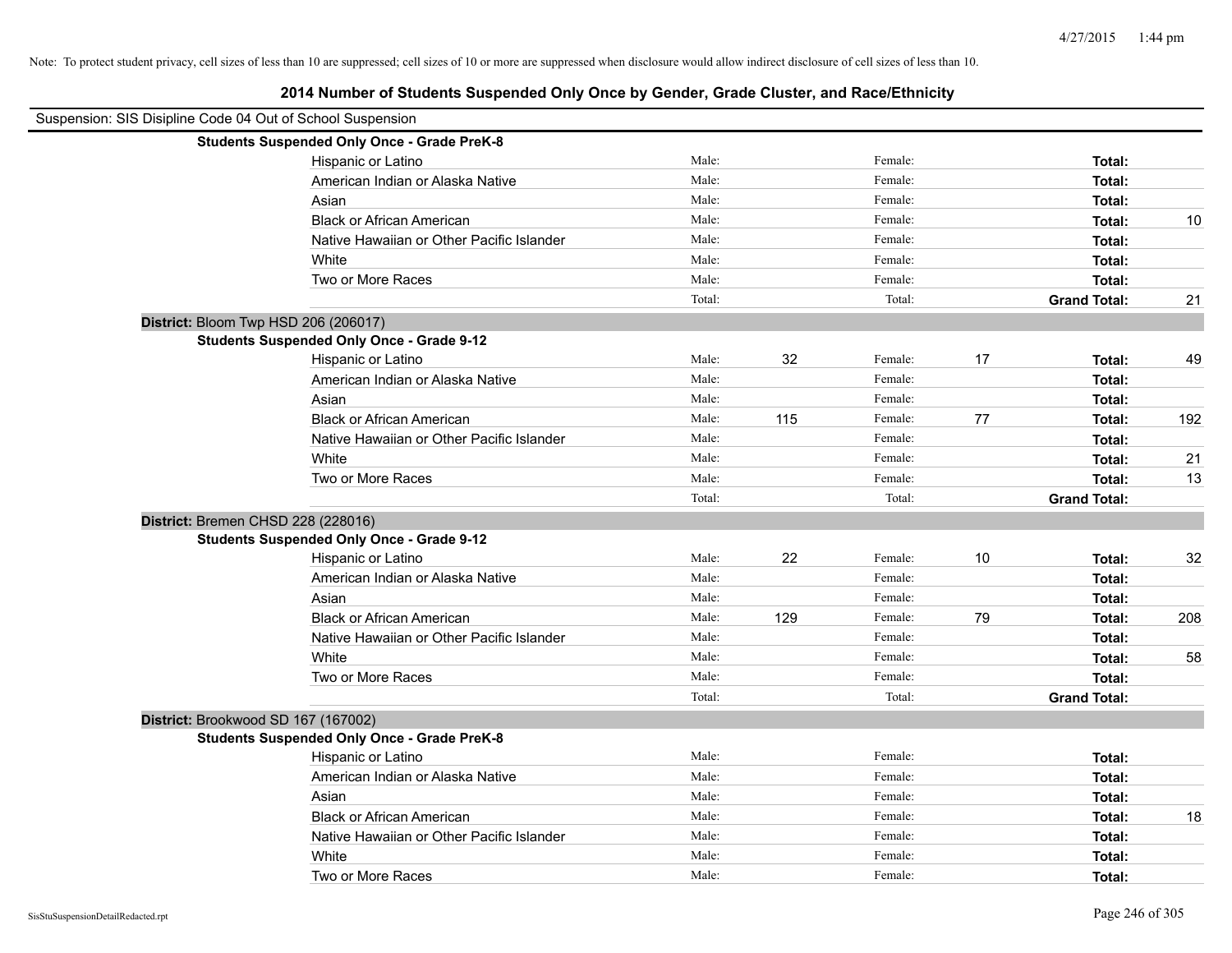| Suspension: SIS Disipline Code 04 Out of School Suspension |                                                    |        |     |         |    |                     |     |
|------------------------------------------------------------|----------------------------------------------------|--------|-----|---------|----|---------------------|-----|
|                                                            | <b>Students Suspended Only Once - Grade PreK-8</b> |        |     |         |    |                     |     |
|                                                            | Hispanic or Latino                                 | Male:  |     | Female: |    | Total:              |     |
|                                                            | American Indian or Alaska Native                   | Male:  |     | Female: |    | Total:              |     |
|                                                            | Asian                                              | Male:  |     | Female: |    | Total:              |     |
|                                                            | <b>Black or African American</b>                   | Male:  |     | Female: |    | Total:              | 10  |
|                                                            | Native Hawaiian or Other Pacific Islander          | Male:  |     | Female: |    | Total:              |     |
|                                                            | White                                              | Male:  |     | Female: |    | Total:              |     |
|                                                            | Two or More Races                                  | Male:  |     | Female: |    | Total:              |     |
|                                                            |                                                    | Total: |     | Total:  |    | <b>Grand Total:</b> | 21  |
| District: Bloom Twp HSD 206 (206017)                       |                                                    |        |     |         |    |                     |     |
|                                                            | <b>Students Suspended Only Once - Grade 9-12</b>   |        |     |         |    |                     |     |
|                                                            | Hispanic or Latino                                 | Male:  | 32  | Female: | 17 | Total:              | 49  |
|                                                            | American Indian or Alaska Native                   | Male:  |     | Female: |    | Total:              |     |
|                                                            | Asian                                              | Male:  |     | Female: |    | Total:              |     |
|                                                            | <b>Black or African American</b>                   | Male:  | 115 | Female: | 77 | Total:              | 192 |
|                                                            | Native Hawaiian or Other Pacific Islander          | Male:  |     | Female: |    | Total:              |     |
|                                                            | White                                              | Male:  |     | Female: |    | Total:              | 21  |
|                                                            | Two or More Races                                  | Male:  |     | Female: |    | Total:              | 13  |
|                                                            |                                                    | Total: |     | Total:  |    | <b>Grand Total:</b> |     |
| District: Bremen CHSD 228 (228016)                         |                                                    |        |     |         |    |                     |     |
|                                                            | <b>Students Suspended Only Once - Grade 9-12</b>   |        |     |         |    |                     |     |
|                                                            | Hispanic or Latino                                 | Male:  | 22  | Female: | 10 | Total:              | 32  |
|                                                            | American Indian or Alaska Native                   | Male:  |     | Female: |    | Total:              |     |
|                                                            | Asian                                              | Male:  |     | Female: |    | Total:              |     |
|                                                            | <b>Black or African American</b>                   | Male:  | 129 | Female: | 79 | Total:              | 208 |
|                                                            | Native Hawaiian or Other Pacific Islander          | Male:  |     | Female: |    | Total:              |     |
|                                                            | White                                              | Male:  |     | Female: |    | Total:              | 58  |
|                                                            | Two or More Races                                  | Male:  |     | Female: |    | Total:              |     |
|                                                            |                                                    | Total: |     | Total:  |    | <b>Grand Total:</b> |     |
| District: Brookwood SD 167 (167002)                        |                                                    |        |     |         |    |                     |     |
|                                                            | <b>Students Suspended Only Once - Grade PreK-8</b> |        |     |         |    |                     |     |
|                                                            | Hispanic or Latino                                 | Male:  |     | Female: |    | Total:              |     |
|                                                            | American Indian or Alaska Native                   | Male:  |     | Female: |    | Total:              |     |
|                                                            | Asian                                              | Male:  |     | Female: |    | Total:              |     |
|                                                            | <b>Black or African American</b>                   | Male:  |     | Female: |    | Total:              | 18  |
|                                                            | Native Hawaiian or Other Pacific Islander          | Male:  |     | Female: |    | Total:              |     |
|                                                            | White                                              | Male:  |     | Female: |    | Total:              |     |
|                                                            | Two or More Races                                  | Male:  |     | Female: |    | Total:              |     |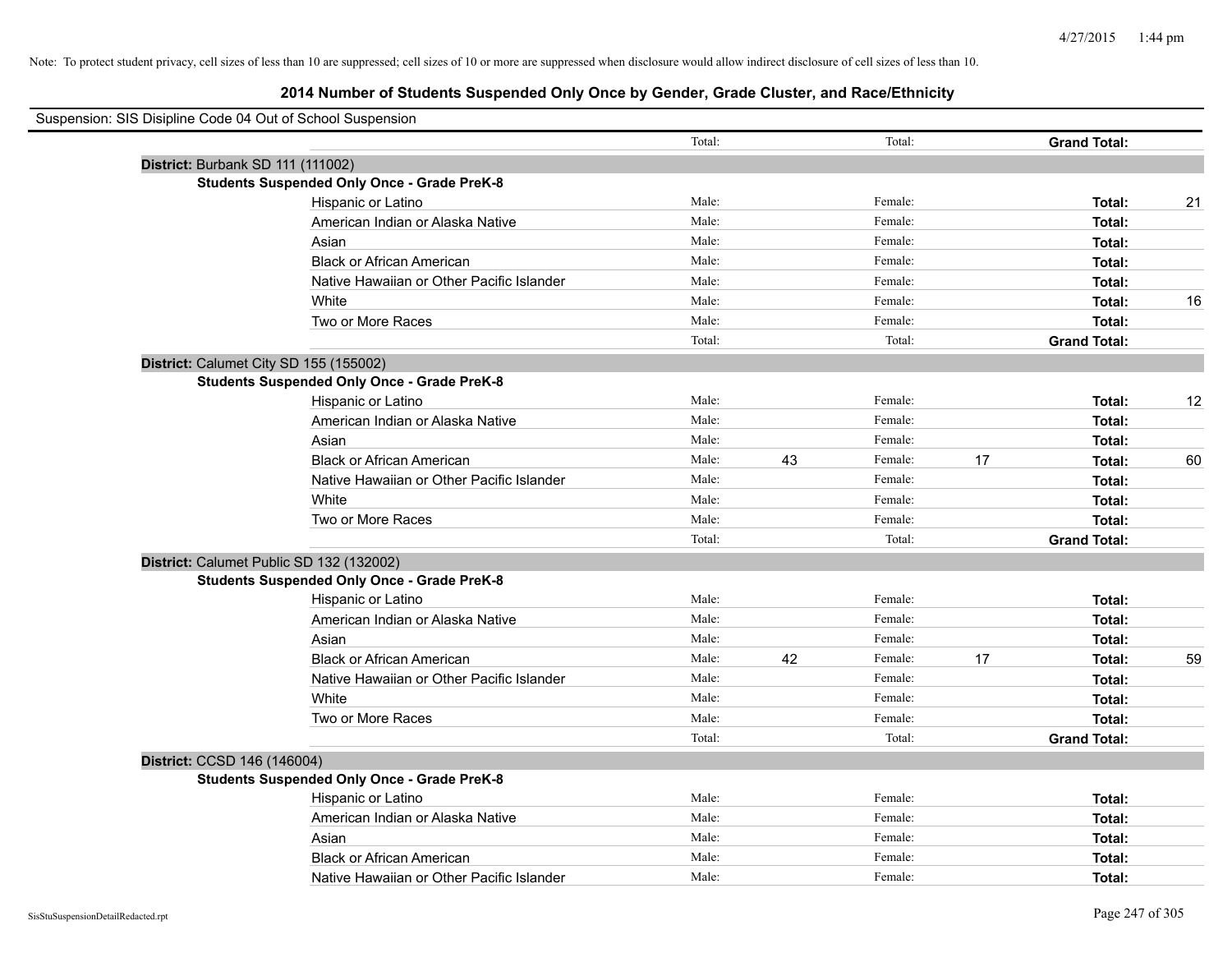| Suspension: SIS Disipline Code 04 Out of School Suspension |                                                    |        |    |         |    |                     |    |
|------------------------------------------------------------|----------------------------------------------------|--------|----|---------|----|---------------------|----|
|                                                            |                                                    | Total: |    | Total:  |    | <b>Grand Total:</b> |    |
| District: Burbank SD 111 (111002)                          |                                                    |        |    |         |    |                     |    |
|                                                            | <b>Students Suspended Only Once - Grade PreK-8</b> |        |    |         |    |                     |    |
|                                                            | Hispanic or Latino                                 | Male:  |    | Female: |    | Total:              | 21 |
|                                                            | American Indian or Alaska Native                   | Male:  |    | Female: |    | Total:              |    |
|                                                            | Asian                                              | Male:  |    | Female: |    | Total:              |    |
|                                                            | <b>Black or African American</b>                   | Male:  |    | Female: |    | Total:              |    |
|                                                            | Native Hawaiian or Other Pacific Islander          | Male:  |    | Female: |    | Total:              |    |
|                                                            | White                                              | Male:  |    | Female: |    | Total:              | 16 |
|                                                            | Two or More Races                                  | Male:  |    | Female: |    | Total:              |    |
|                                                            |                                                    | Total: |    | Total:  |    | <b>Grand Total:</b> |    |
| District: Calumet City SD 155 (155002)                     |                                                    |        |    |         |    |                     |    |
|                                                            | <b>Students Suspended Only Once - Grade PreK-8</b> |        |    |         |    |                     |    |
|                                                            | Hispanic or Latino                                 | Male:  |    | Female: |    | Total:              | 12 |
|                                                            | American Indian or Alaska Native                   | Male:  |    | Female: |    | Total:              |    |
|                                                            | Asian                                              | Male:  |    | Female: |    | Total:              |    |
|                                                            | <b>Black or African American</b>                   | Male:  | 43 | Female: | 17 | Total:              | 60 |
|                                                            | Native Hawaiian or Other Pacific Islander          | Male:  |    | Female: |    | Total:              |    |
|                                                            | White                                              | Male:  |    | Female: |    | Total:              |    |
|                                                            | Two or More Races                                  | Male:  |    | Female: |    | Total:              |    |
|                                                            |                                                    | Total: |    | Total:  |    | <b>Grand Total:</b> |    |
| District: Calumet Public SD 132 (132002)                   |                                                    |        |    |         |    |                     |    |
|                                                            | <b>Students Suspended Only Once - Grade PreK-8</b> |        |    |         |    |                     |    |
|                                                            | Hispanic or Latino                                 | Male:  |    | Female: |    | Total:              |    |
|                                                            | American Indian or Alaska Native                   | Male:  |    | Female: |    | Total:              |    |
|                                                            | Asian                                              | Male:  |    | Female: |    | Total:              |    |
|                                                            | <b>Black or African American</b>                   | Male:  | 42 | Female: | 17 | Total:              | 59 |
|                                                            | Native Hawaiian or Other Pacific Islander          | Male:  |    | Female: |    | Total:              |    |
|                                                            | White                                              | Male:  |    | Female: |    | Total:              |    |
|                                                            | Two or More Races                                  | Male:  |    | Female: |    | Total:              |    |
|                                                            |                                                    | Total: |    | Total:  |    | <b>Grand Total:</b> |    |
| District: CCSD 146 (146004)                                |                                                    |        |    |         |    |                     |    |
|                                                            | <b>Students Suspended Only Once - Grade PreK-8</b> |        |    |         |    |                     |    |
|                                                            | Hispanic or Latino                                 | Male:  |    | Female: |    | Total:              |    |
|                                                            | American Indian or Alaska Native                   | Male:  |    | Female: |    | Total:              |    |
|                                                            | Asian                                              | Male:  |    | Female: |    | Total:              |    |
|                                                            | <b>Black or African American</b>                   | Male:  |    | Female: |    | Total:              |    |
|                                                            | Native Hawaiian or Other Pacific Islander          | Male:  |    | Female: |    | Total:              |    |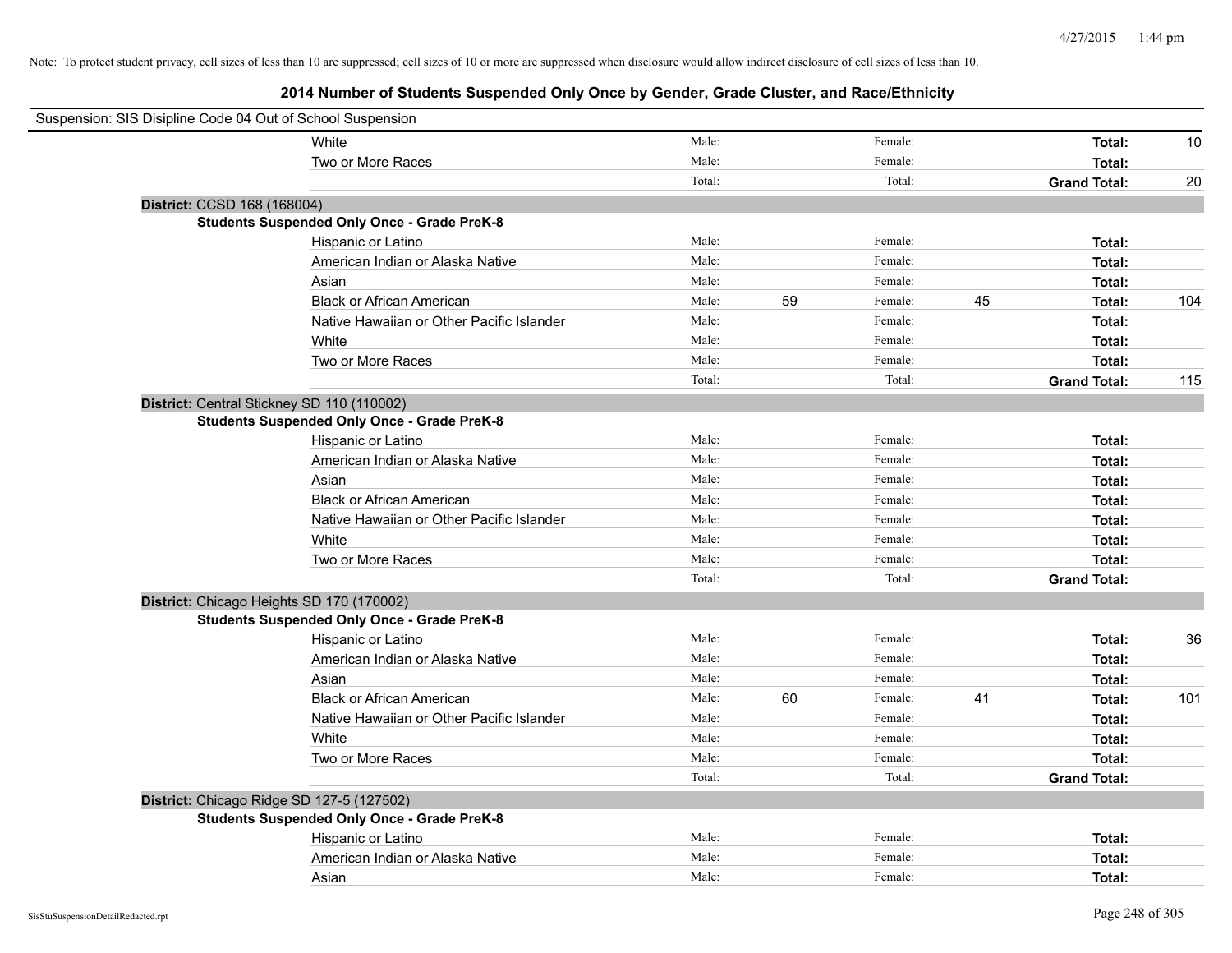| Suspension: SIS Disipline Code 04 Out of School Suspension |                                                    |        |    |         |    |                     |     |
|------------------------------------------------------------|----------------------------------------------------|--------|----|---------|----|---------------------|-----|
|                                                            | White                                              | Male:  |    | Female: |    | Total:              | 10  |
|                                                            | Two or More Races                                  | Male:  |    | Female: |    | Total:              |     |
|                                                            |                                                    | Total: |    | Total:  |    | <b>Grand Total:</b> | 20  |
| District: CCSD 168 (168004)                                |                                                    |        |    |         |    |                     |     |
|                                                            | <b>Students Suspended Only Once - Grade PreK-8</b> |        |    |         |    |                     |     |
|                                                            | Hispanic or Latino                                 | Male:  |    | Female: |    | Total:              |     |
|                                                            | American Indian or Alaska Native                   | Male:  |    | Female: |    | Total:              |     |
|                                                            | Asian                                              | Male:  |    | Female: |    | Total:              |     |
|                                                            | <b>Black or African American</b>                   | Male:  | 59 | Female: | 45 | Total:              | 104 |
|                                                            | Native Hawaiian or Other Pacific Islander          | Male:  |    | Female: |    | Total:              |     |
|                                                            | White                                              | Male:  |    | Female: |    | Total:              |     |
|                                                            | Two or More Races                                  | Male:  |    | Female: |    | Total:              |     |
|                                                            |                                                    | Total: |    | Total:  |    | <b>Grand Total:</b> | 115 |
| District: Central Stickney SD 110 (110002)                 |                                                    |        |    |         |    |                     |     |
|                                                            | <b>Students Suspended Only Once - Grade PreK-8</b> |        |    |         |    |                     |     |
|                                                            | Hispanic or Latino                                 | Male:  |    | Female: |    | Total:              |     |
|                                                            | American Indian or Alaska Native                   | Male:  |    | Female: |    | Total:              |     |
|                                                            | Asian                                              | Male:  |    | Female: |    | Total:              |     |
|                                                            | <b>Black or African American</b>                   | Male:  |    | Female: |    | Total:              |     |
|                                                            | Native Hawaiian or Other Pacific Islander          | Male:  |    | Female: |    | Total:              |     |
|                                                            | White                                              | Male:  |    | Female: |    | Total:              |     |
|                                                            | Two or More Races                                  | Male:  |    | Female: |    | Total:              |     |
|                                                            |                                                    | Total: |    | Total:  |    | <b>Grand Total:</b> |     |
| District: Chicago Heights SD 170 (170002)                  |                                                    |        |    |         |    |                     |     |
|                                                            | <b>Students Suspended Only Once - Grade PreK-8</b> |        |    |         |    |                     |     |
|                                                            | Hispanic or Latino                                 | Male:  |    | Female: |    | Total:              | 36  |
|                                                            | American Indian or Alaska Native                   | Male:  |    | Female: |    | Total:              |     |
|                                                            | Asian                                              | Male:  |    | Female: |    | Total:              |     |
|                                                            | <b>Black or African American</b>                   | Male:  | 60 | Female: | 41 | Total:              | 101 |
|                                                            | Native Hawaiian or Other Pacific Islander          | Male:  |    | Female: |    | Total:              |     |
|                                                            | White                                              | Male:  |    | Female: |    | Total:              |     |
|                                                            | Two or More Races                                  | Male:  |    | Female: |    | Total:              |     |
|                                                            |                                                    | Total: |    | Total:  |    | <b>Grand Total:</b> |     |
| District: Chicago Ridge SD 127-5 (127502)                  |                                                    |        |    |         |    |                     |     |
|                                                            | <b>Students Suspended Only Once - Grade PreK-8</b> |        |    |         |    |                     |     |
|                                                            | Hispanic or Latino                                 | Male:  |    | Female: |    | Total:              |     |
|                                                            | American Indian or Alaska Native                   | Male:  |    | Female: |    | Total:              |     |
|                                                            | Asian                                              | Male:  |    | Female: |    | Total:              |     |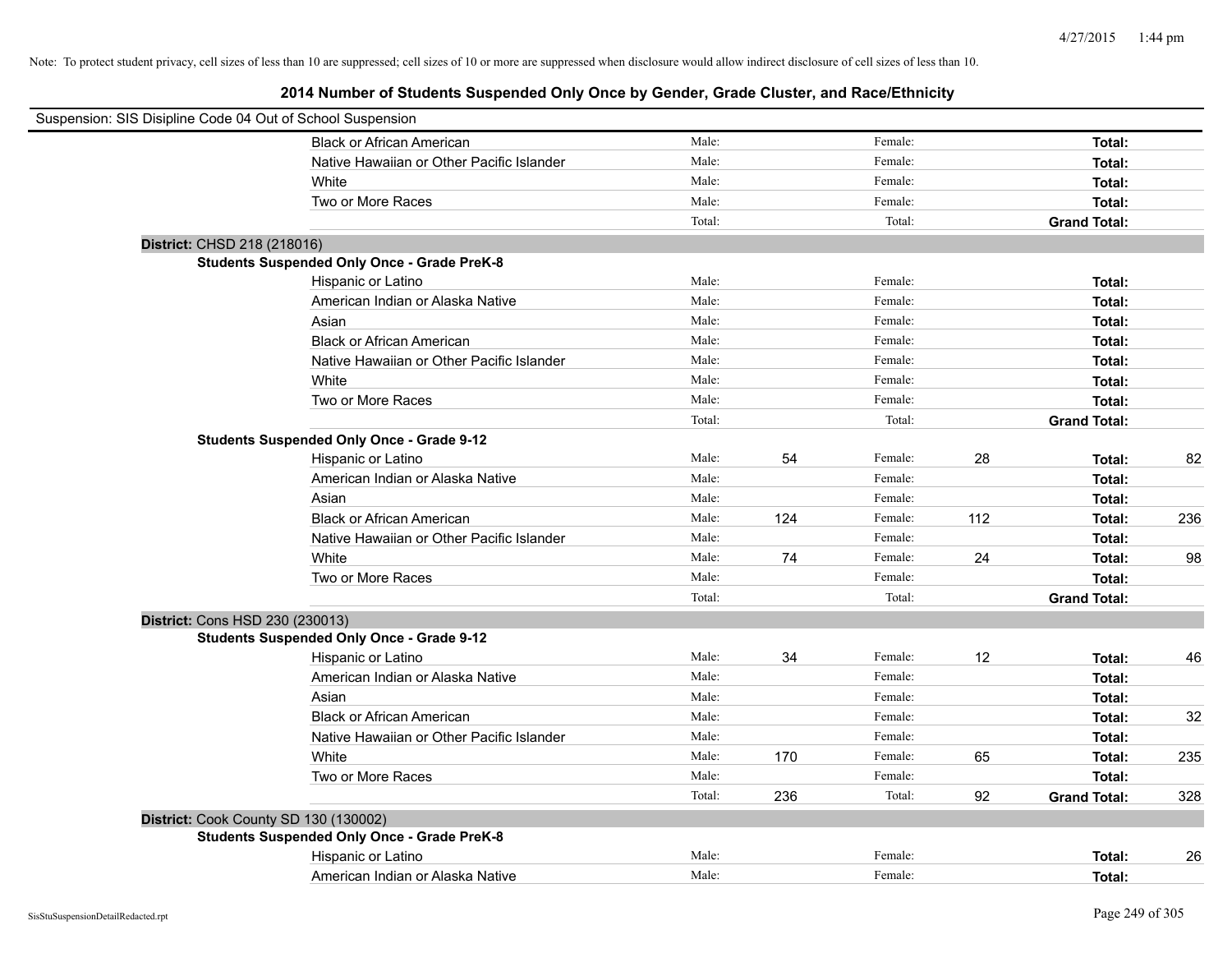| Suspension: SIS Disipline Code 04 Out of School Suspension |                                                    |        |     |         |     |                     |     |
|------------------------------------------------------------|----------------------------------------------------|--------|-----|---------|-----|---------------------|-----|
|                                                            | <b>Black or African American</b>                   | Male:  |     | Female: |     | Total:              |     |
|                                                            | Native Hawaiian or Other Pacific Islander          | Male:  |     | Female: |     | Total:              |     |
|                                                            | White                                              | Male:  |     | Female: |     | Total:              |     |
|                                                            | Two or More Races                                  | Male:  |     | Female: |     | Total:              |     |
|                                                            |                                                    | Total: |     | Total:  |     | <b>Grand Total:</b> |     |
| District: CHSD 218 (218016)                                |                                                    |        |     |         |     |                     |     |
|                                                            | <b>Students Suspended Only Once - Grade PreK-8</b> |        |     |         |     |                     |     |
|                                                            | Hispanic or Latino                                 | Male:  |     | Female: |     | Total:              |     |
|                                                            | American Indian or Alaska Native                   | Male:  |     | Female: |     | Total:              |     |
|                                                            | Asian                                              | Male:  |     | Female: |     | Total:              |     |
|                                                            | <b>Black or African American</b>                   | Male:  |     | Female: |     | Total:              |     |
|                                                            | Native Hawaiian or Other Pacific Islander          | Male:  |     | Female: |     | Total:              |     |
|                                                            | White                                              | Male:  |     | Female: |     | Total:              |     |
|                                                            | Two or More Races                                  | Male:  |     | Female: |     | Total:              |     |
|                                                            |                                                    | Total: |     | Total:  |     | <b>Grand Total:</b> |     |
|                                                            | <b>Students Suspended Only Once - Grade 9-12</b>   |        |     |         |     |                     |     |
|                                                            | Hispanic or Latino                                 | Male:  | 54  | Female: | 28  | Total:              | 82  |
|                                                            | American Indian or Alaska Native                   | Male:  |     | Female: |     | Total:              |     |
|                                                            | Asian                                              | Male:  |     | Female: |     | Total:              |     |
|                                                            | <b>Black or African American</b>                   | Male:  | 124 | Female: | 112 | Total:              | 236 |
|                                                            | Native Hawaiian or Other Pacific Islander          | Male:  |     | Female: |     | Total:              |     |
|                                                            | White                                              | Male:  | 74  | Female: | 24  | Total:              | 98  |
|                                                            | Two or More Races                                  | Male:  |     | Female: |     | Total:              |     |
|                                                            |                                                    | Total: |     | Total:  |     | <b>Grand Total:</b> |     |
| District: Cons HSD 230 (230013)                            |                                                    |        |     |         |     |                     |     |
|                                                            | <b>Students Suspended Only Once - Grade 9-12</b>   |        |     |         |     |                     |     |
|                                                            | Hispanic or Latino                                 | Male:  | 34  | Female: | 12  | Total:              | 46  |
|                                                            | American Indian or Alaska Native                   | Male:  |     | Female: |     | Total:              |     |
|                                                            | Asian                                              | Male:  |     | Female: |     | Total:              |     |
|                                                            | <b>Black or African American</b>                   | Male:  |     | Female: |     | Total:              | 32  |
|                                                            | Native Hawaiian or Other Pacific Islander          | Male:  |     | Female: |     | Total:              |     |
|                                                            | White                                              | Male:  | 170 | Female: | 65  | Total:              | 235 |
|                                                            | Two or More Races                                  | Male:  |     | Female: |     | Total:              |     |
|                                                            |                                                    | Total: | 236 | Total:  | 92  | <b>Grand Total:</b> | 328 |
| District: Cook County SD 130 (130002)                      |                                                    |        |     |         |     |                     |     |
|                                                            | <b>Students Suspended Only Once - Grade PreK-8</b> |        |     |         |     |                     |     |
|                                                            | Hispanic or Latino                                 | Male:  |     | Female: |     | Total:              | 26  |
|                                                            | American Indian or Alaska Native                   | Male:  |     | Female: |     | Total:              |     |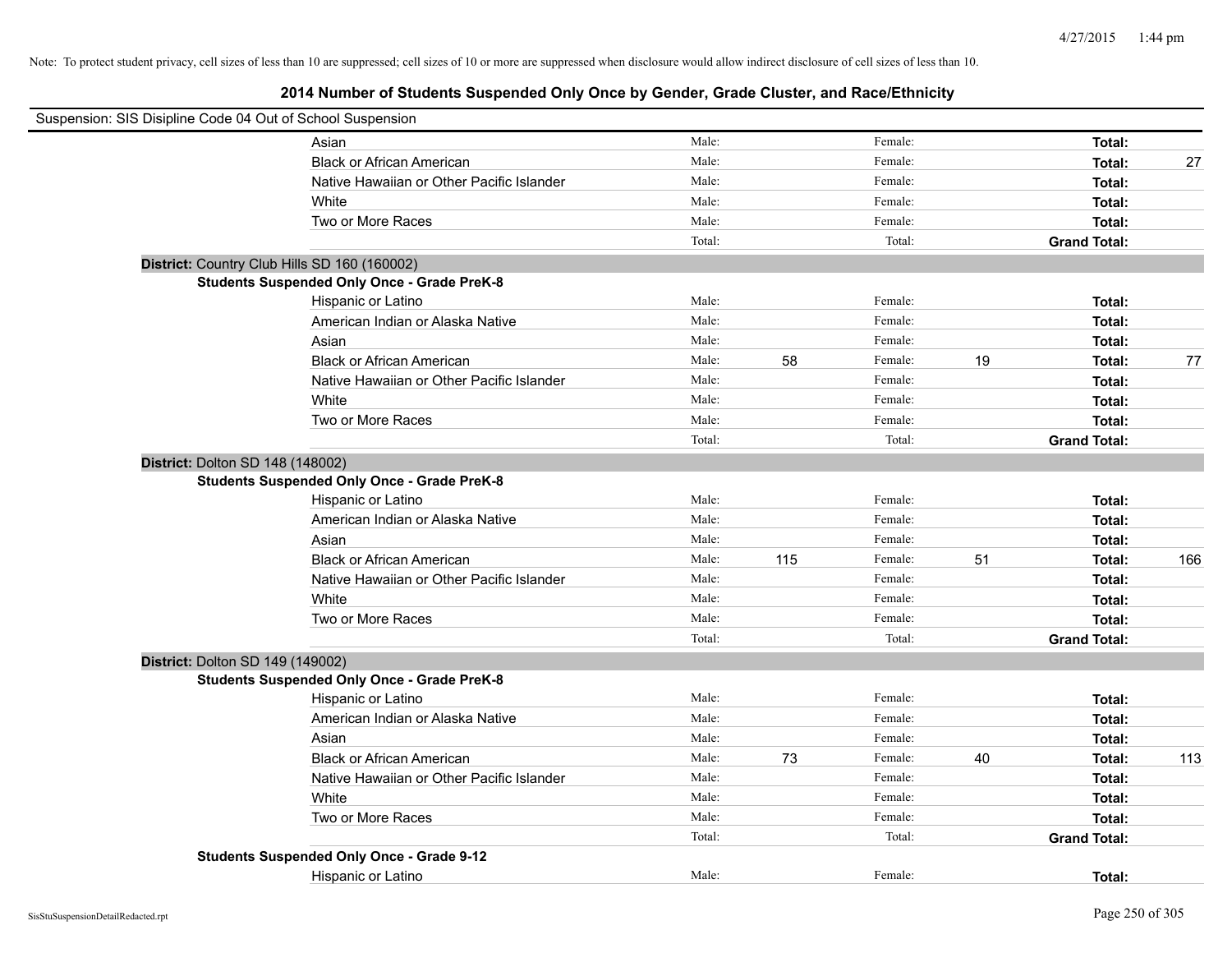| Suspension: SIS Disipline Code 04 Out of School Suspension |                                                    |        |     |         |    |                     |     |
|------------------------------------------------------------|----------------------------------------------------|--------|-----|---------|----|---------------------|-----|
|                                                            | Asian                                              | Male:  |     | Female: |    | Total:              |     |
|                                                            | <b>Black or African American</b>                   | Male:  |     | Female: |    | Total:              | 27  |
|                                                            | Native Hawaiian or Other Pacific Islander          | Male:  |     | Female: |    | Total:              |     |
|                                                            | White                                              | Male:  |     | Female: |    | Total:              |     |
|                                                            | Two or More Races                                  | Male:  |     | Female: |    | Total:              |     |
|                                                            |                                                    | Total: |     | Total:  |    | <b>Grand Total:</b> |     |
| District: Country Club Hills SD 160 (160002)               |                                                    |        |     |         |    |                     |     |
|                                                            | <b>Students Suspended Only Once - Grade PreK-8</b> |        |     |         |    |                     |     |
|                                                            | Hispanic or Latino                                 | Male:  |     | Female: |    | Total:              |     |
|                                                            | American Indian or Alaska Native                   | Male:  |     | Female: |    | Total:              |     |
|                                                            | Asian                                              | Male:  |     | Female: |    | Total:              |     |
|                                                            | <b>Black or African American</b>                   | Male:  | 58  | Female: | 19 | Total:              | 77  |
|                                                            | Native Hawaiian or Other Pacific Islander          | Male:  |     | Female: |    | Total:              |     |
|                                                            | White                                              | Male:  |     | Female: |    | Total:              |     |
|                                                            | Two or More Races                                  | Male:  |     | Female: |    | Total:              |     |
|                                                            |                                                    | Total: |     | Total:  |    | <b>Grand Total:</b> |     |
| District: Dolton SD 148 (148002)                           |                                                    |        |     |         |    |                     |     |
|                                                            | <b>Students Suspended Only Once - Grade PreK-8</b> |        |     |         |    |                     |     |
|                                                            | Hispanic or Latino                                 | Male:  |     | Female: |    | Total:              |     |
|                                                            | American Indian or Alaska Native                   | Male:  |     | Female: |    | Total:              |     |
|                                                            | Asian                                              | Male:  |     | Female: |    | Total:              |     |
|                                                            | <b>Black or African American</b>                   | Male:  | 115 | Female: | 51 | Total:              | 166 |
|                                                            | Native Hawaiian or Other Pacific Islander          | Male:  |     | Female: |    | Total:              |     |
|                                                            | White                                              | Male:  |     | Female: |    | Total:              |     |
|                                                            | Two or More Races                                  | Male:  |     | Female: |    | Total:              |     |
|                                                            |                                                    | Total: |     | Total:  |    | <b>Grand Total:</b> |     |
| District: Dolton SD 149 (149002)                           |                                                    |        |     |         |    |                     |     |
|                                                            | <b>Students Suspended Only Once - Grade PreK-8</b> |        |     |         |    |                     |     |
|                                                            | Hispanic or Latino                                 | Male:  |     | Female: |    | Total:              |     |
|                                                            | American Indian or Alaska Native                   | Male:  |     | Female: |    | Total:              |     |
|                                                            | Asian                                              | Male:  |     | Female: |    | Total:              |     |
|                                                            | <b>Black or African American</b>                   | Male:  | 73  | Female: | 40 | Total:              | 113 |
|                                                            | Native Hawaiian or Other Pacific Islander          | Male:  |     | Female: |    | Total:              |     |
|                                                            | White                                              | Male:  |     | Female: |    | Total:              |     |
|                                                            | Two or More Races                                  | Male:  |     | Female: |    | Total:              |     |
|                                                            |                                                    | Total: |     | Total:  |    | <b>Grand Total:</b> |     |
|                                                            | <b>Students Suspended Only Once - Grade 9-12</b>   |        |     |         |    |                     |     |
|                                                            | Hispanic or Latino                                 | Male:  |     | Female: |    | Total:              |     |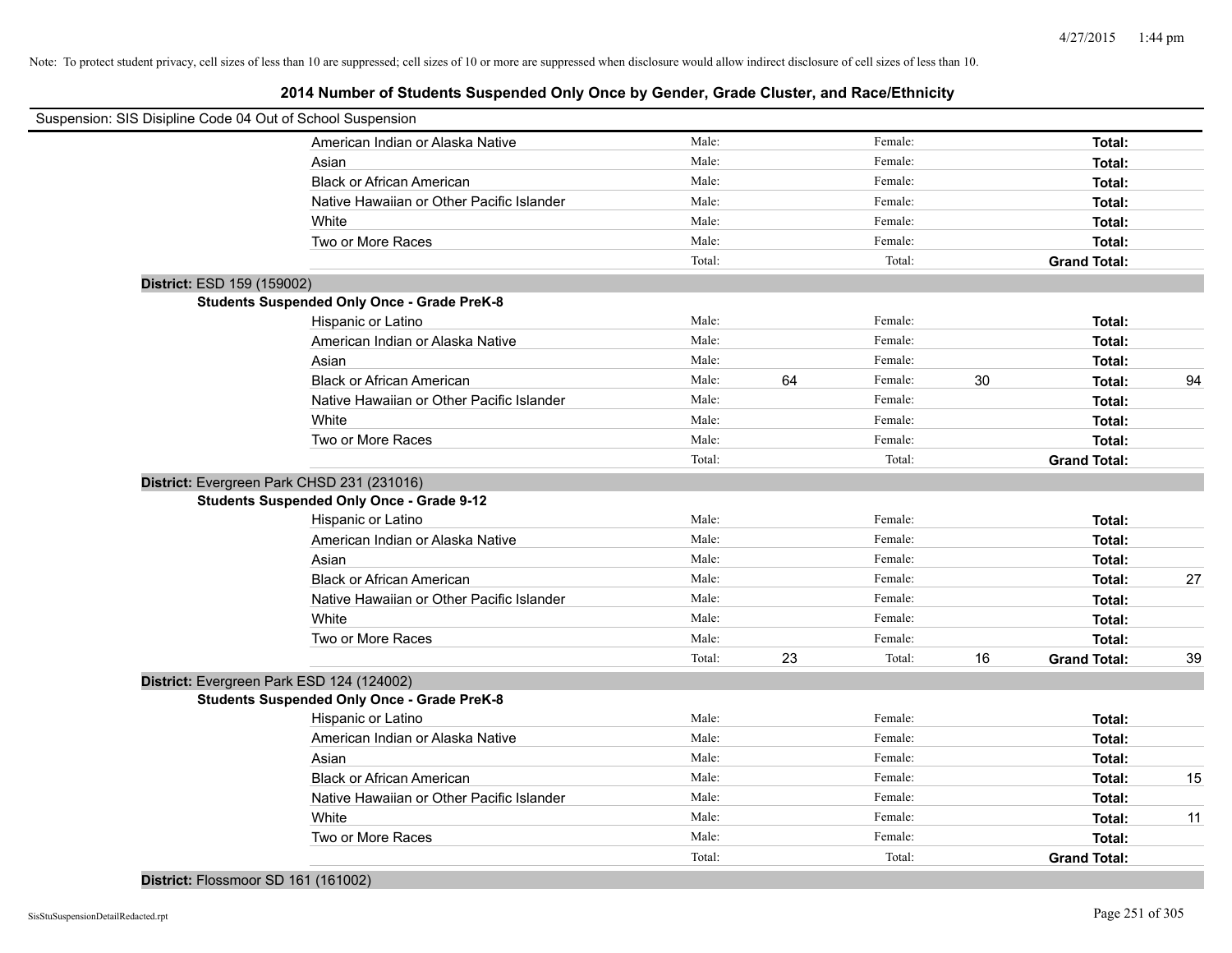**2014 Number of Students Suspended Only Once by Gender, Grade Cluster, and Race/Ethnicity**

| Suspension: SIS Disipline Code 04 Out of School Suspension |                                                    |        |    |         |    |                     |    |
|------------------------------------------------------------|----------------------------------------------------|--------|----|---------|----|---------------------|----|
|                                                            | American Indian or Alaska Native                   | Male:  |    | Female: |    | Total:              |    |
|                                                            | Asian                                              | Male:  |    | Female: |    | Total:              |    |
|                                                            | <b>Black or African American</b>                   | Male:  |    | Female: |    | Total:              |    |
|                                                            | Native Hawaiian or Other Pacific Islander          | Male:  |    | Female: |    | Total:              |    |
|                                                            | White                                              | Male:  |    | Female: |    | Total:              |    |
|                                                            | Two or More Races                                  | Male:  |    | Female: |    | Total:              |    |
|                                                            |                                                    | Total: |    | Total:  |    | <b>Grand Total:</b> |    |
| District: ESD 159 (159002)                                 |                                                    |        |    |         |    |                     |    |
|                                                            | <b>Students Suspended Only Once - Grade PreK-8</b> |        |    |         |    |                     |    |
|                                                            | Hispanic or Latino                                 | Male:  |    | Female: |    | Total:              |    |
|                                                            | American Indian or Alaska Native                   | Male:  |    | Female: |    | Total:              |    |
|                                                            | Asian                                              | Male:  |    | Female: |    | Total:              |    |
|                                                            | <b>Black or African American</b>                   | Male:  | 64 | Female: | 30 | Total:              | 94 |
|                                                            | Native Hawaiian or Other Pacific Islander          | Male:  |    | Female: |    | Total:              |    |
|                                                            | White                                              | Male:  |    | Female: |    | Total:              |    |
|                                                            | Two or More Races                                  | Male:  |    | Female: |    | Total:              |    |
|                                                            |                                                    | Total: |    | Total:  |    | <b>Grand Total:</b> |    |
|                                                            | District: Evergreen Park CHSD 231 (231016)         |        |    |         |    |                     |    |
|                                                            | <b>Students Suspended Only Once - Grade 9-12</b>   |        |    |         |    |                     |    |
|                                                            | Hispanic or Latino                                 | Male:  |    | Female: |    | Total:              |    |
|                                                            | American Indian or Alaska Native                   | Male:  |    | Female: |    | Total:              |    |
|                                                            | Asian                                              | Male:  |    | Female: |    | Total:              |    |
|                                                            | <b>Black or African American</b>                   | Male:  |    | Female: |    | Total:              | 27 |
|                                                            | Native Hawaiian or Other Pacific Islander          | Male:  |    | Female: |    | Total:              |    |
|                                                            | White                                              | Male:  |    | Female: |    | Total:              |    |
|                                                            | Two or More Races                                  | Male:  |    | Female: |    | Total:              |    |
|                                                            |                                                    | Total: | 23 | Total:  | 16 | <b>Grand Total:</b> | 39 |
|                                                            | District: Evergreen Park ESD 124 (124002)          |        |    |         |    |                     |    |
|                                                            | <b>Students Suspended Only Once - Grade PreK-8</b> |        |    |         |    |                     |    |
|                                                            | Hispanic or Latino                                 | Male:  |    | Female: |    | Total:              |    |
|                                                            | American Indian or Alaska Native                   | Male:  |    | Female: |    | Total:              |    |
|                                                            | Asian                                              | Male:  |    | Female: |    | Total:              |    |
|                                                            | <b>Black or African American</b>                   | Male:  |    | Female: |    | Total:              | 15 |
|                                                            | Native Hawaiian or Other Pacific Islander          | Male:  |    | Female: |    | Total:              |    |
|                                                            | White                                              | Male:  |    | Female: |    | Total:              | 11 |
|                                                            | Two or More Races                                  | Male:  |    | Female: |    | Total:              |    |
|                                                            |                                                    | Total: |    | Total:  |    | <b>Grand Total:</b> |    |

## **District:** Flossmoor SD 161 (161002)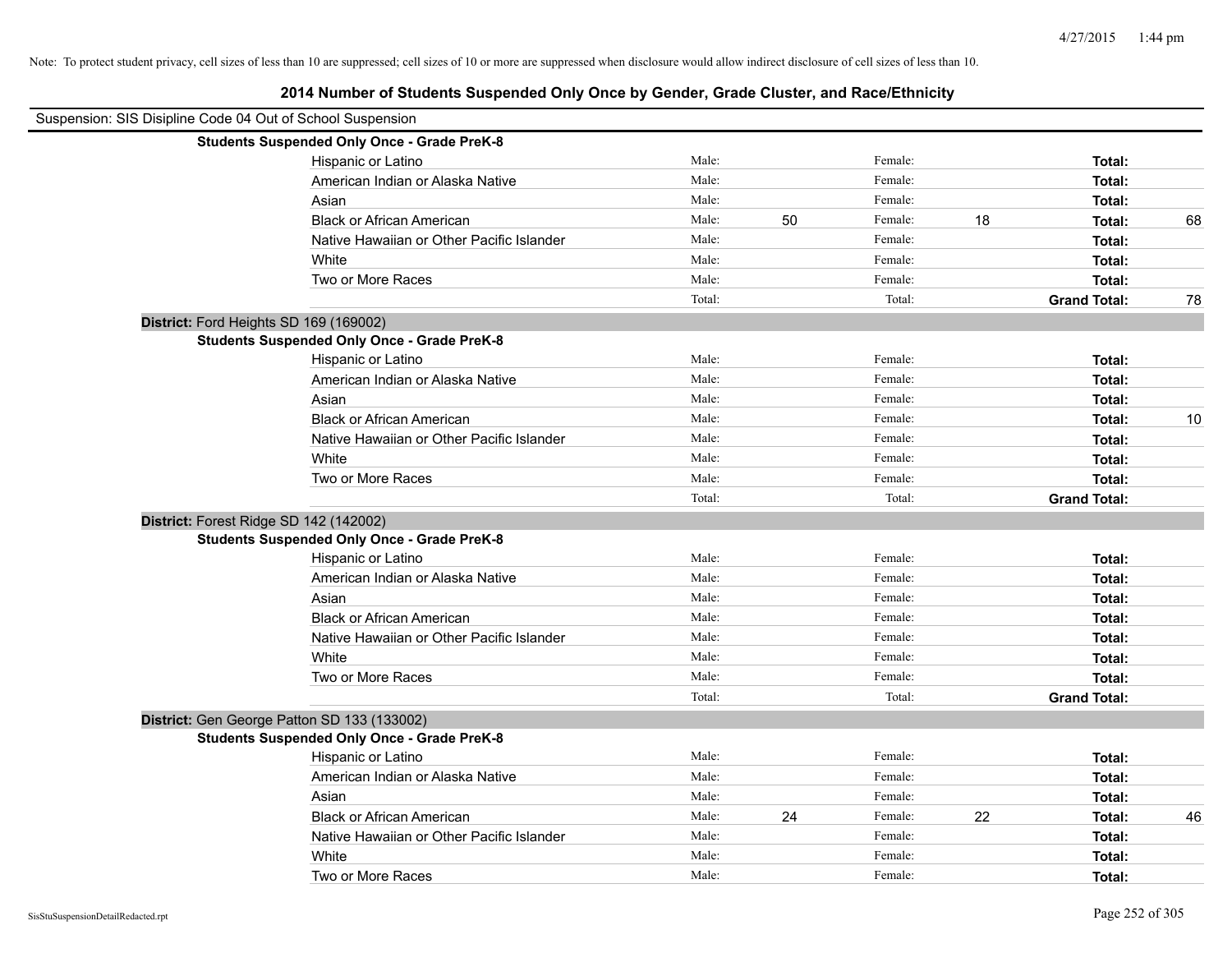| Suspension: SIS Disipline Code 04 Out of School Suspension |                                                    |        |    |         |    |                     |    |
|------------------------------------------------------------|----------------------------------------------------|--------|----|---------|----|---------------------|----|
|                                                            | <b>Students Suspended Only Once - Grade PreK-8</b> |        |    |         |    |                     |    |
|                                                            | Hispanic or Latino                                 | Male:  |    | Female: |    | Total:              |    |
|                                                            | American Indian or Alaska Native                   | Male:  |    | Female: |    | Total:              |    |
|                                                            | Asian                                              | Male:  |    | Female: |    | Total:              |    |
|                                                            | <b>Black or African American</b>                   | Male:  | 50 | Female: | 18 | Total:              | 68 |
|                                                            | Native Hawaiian or Other Pacific Islander          | Male:  |    | Female: |    | Total:              |    |
|                                                            | White                                              | Male:  |    | Female: |    | Total:              |    |
|                                                            | Two or More Races                                  | Male:  |    | Female: |    | Total:              |    |
|                                                            |                                                    | Total: |    | Total:  |    | <b>Grand Total:</b> | 78 |
|                                                            | District: Ford Heights SD 169 (169002)             |        |    |         |    |                     |    |
|                                                            | <b>Students Suspended Only Once - Grade PreK-8</b> |        |    |         |    |                     |    |
|                                                            | Hispanic or Latino                                 | Male:  |    | Female: |    | Total:              |    |
|                                                            | American Indian or Alaska Native                   | Male:  |    | Female: |    | Total:              |    |
|                                                            | Asian                                              | Male:  |    | Female: |    | Total:              |    |
|                                                            | <b>Black or African American</b>                   | Male:  |    | Female: |    | Total:              | 10 |
|                                                            | Native Hawaiian or Other Pacific Islander          | Male:  |    | Female: |    | Total:              |    |
|                                                            | White                                              | Male:  |    | Female: |    | Total:              |    |
|                                                            | Two or More Races                                  | Male:  |    | Female: |    | Total:              |    |
|                                                            |                                                    | Total: |    | Total:  |    | <b>Grand Total:</b> |    |
|                                                            | District: Forest Ridge SD 142 (142002)             |        |    |         |    |                     |    |
|                                                            | <b>Students Suspended Only Once - Grade PreK-8</b> |        |    |         |    |                     |    |
|                                                            | Hispanic or Latino                                 | Male:  |    | Female: |    | Total:              |    |
|                                                            | American Indian or Alaska Native                   | Male:  |    | Female: |    | Total:              |    |
|                                                            | Asian                                              | Male:  |    | Female: |    | Total:              |    |
|                                                            | <b>Black or African American</b>                   | Male:  |    | Female: |    | Total:              |    |
|                                                            | Native Hawaiian or Other Pacific Islander          | Male:  |    | Female: |    | Total:              |    |
|                                                            | White                                              | Male:  |    | Female: |    | Total:              |    |
|                                                            | Two or More Races                                  | Male:  |    | Female: |    | Total:              |    |
|                                                            |                                                    | Total: |    | Total:  |    | <b>Grand Total:</b> |    |
|                                                            | District: Gen George Patton SD 133 (133002)        |        |    |         |    |                     |    |
|                                                            | <b>Students Suspended Only Once - Grade PreK-8</b> |        |    |         |    |                     |    |
|                                                            | Hispanic or Latino                                 | Male:  |    | Female: |    | Total:              |    |
|                                                            | American Indian or Alaska Native                   | Male:  |    | Female: |    | Total:              |    |
|                                                            | Asian                                              | Male:  |    | Female: |    | Total:              |    |
|                                                            | <b>Black or African American</b>                   | Male:  | 24 | Female: | 22 | Total:              | 46 |
|                                                            | Native Hawaiian or Other Pacific Islander          | Male:  |    | Female: |    | Total:              |    |
|                                                            | White                                              | Male:  |    | Female: |    | Total:              |    |
|                                                            | Two or More Races                                  | Male:  |    | Female: |    | Total:              |    |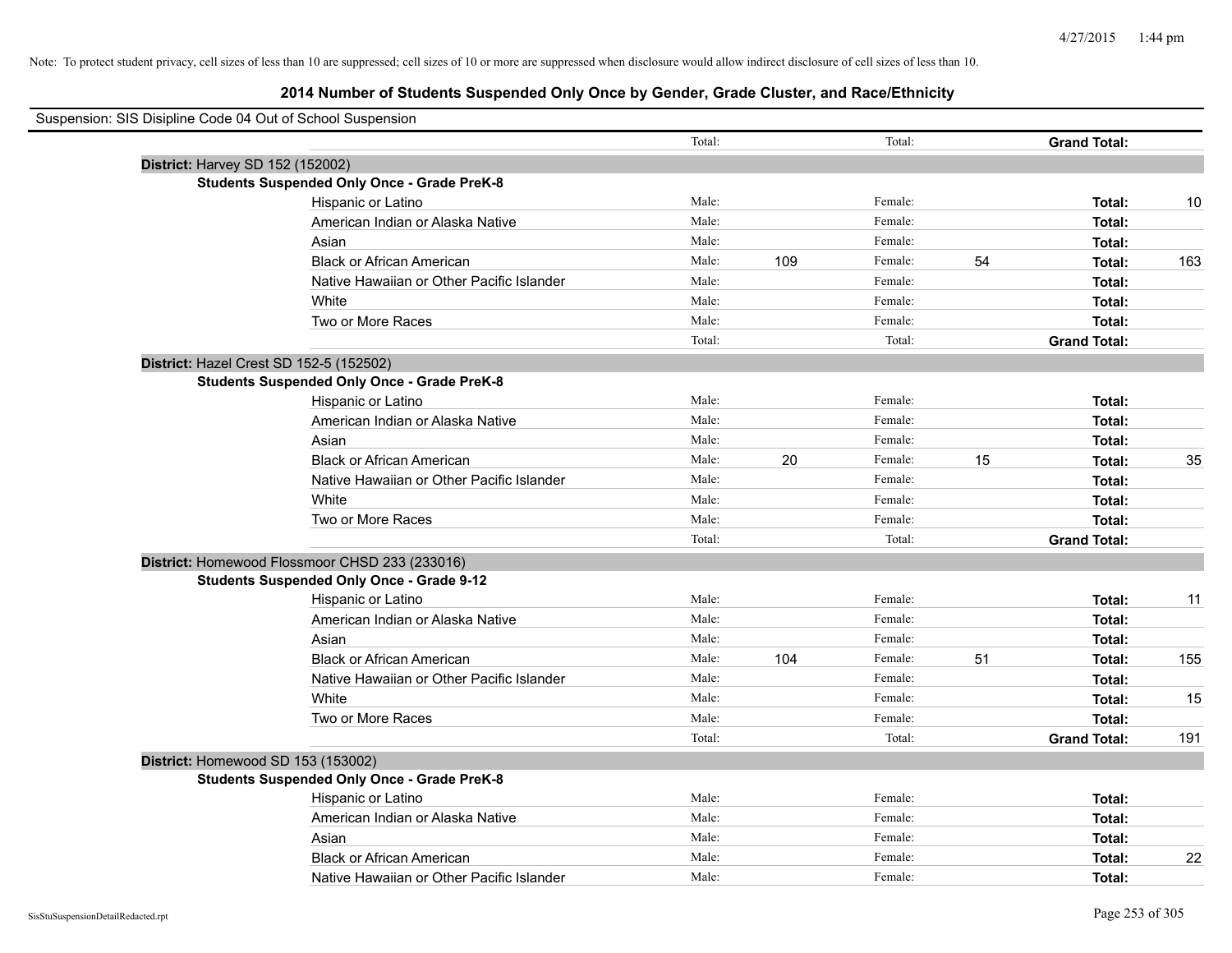| Suspension: SIS Disipline Code 04 Out of School Suspension |        |     |         |    |                     |     |
|------------------------------------------------------------|--------|-----|---------|----|---------------------|-----|
|                                                            | Total: |     | Total:  |    | <b>Grand Total:</b> |     |
| District: Harvey SD 152 (152002)                           |        |     |         |    |                     |     |
| <b>Students Suspended Only Once - Grade PreK-8</b>         |        |     |         |    |                     |     |
| Hispanic or Latino                                         | Male:  |     | Female: |    | Total:              | 10  |
| American Indian or Alaska Native                           | Male:  |     | Female: |    | Total:              |     |
| Asian                                                      | Male:  |     | Female: |    | Total:              |     |
| <b>Black or African American</b>                           | Male:  | 109 | Female: | 54 | Total:              | 163 |
| Native Hawaiian or Other Pacific Islander                  | Male:  |     | Female: |    | Total:              |     |
| White                                                      | Male:  |     | Female: |    | Total:              |     |
| Two or More Races                                          | Male:  |     | Female: |    | Total:              |     |
|                                                            | Total: |     | Total:  |    | <b>Grand Total:</b> |     |
| District: Hazel Crest SD 152-5 (152502)                    |        |     |         |    |                     |     |
| <b>Students Suspended Only Once - Grade PreK-8</b>         |        |     |         |    |                     |     |
| Hispanic or Latino                                         | Male:  |     | Female: |    | Total:              |     |
| American Indian or Alaska Native                           | Male:  |     | Female: |    | Total:              |     |
| Asian                                                      | Male:  |     | Female: |    | Total:              |     |
| <b>Black or African American</b>                           | Male:  | 20  | Female: | 15 | Total:              | 35  |
| Native Hawaiian or Other Pacific Islander                  | Male:  |     | Female: |    | Total:              |     |
| White                                                      | Male:  |     | Female: |    | Total:              |     |
| Two or More Races                                          | Male:  |     | Female: |    | Total:              |     |
|                                                            | Total: |     | Total:  |    | <b>Grand Total:</b> |     |
| District: Homewood Flossmoor CHSD 233 (233016)             |        |     |         |    |                     |     |
| <b>Students Suspended Only Once - Grade 9-12</b>           |        |     |         |    |                     |     |
| Hispanic or Latino                                         | Male:  |     | Female: |    | Total:              | 11  |
| American Indian or Alaska Native                           | Male:  |     | Female: |    | Total:              |     |
| Asian                                                      | Male:  |     | Female: |    | Total:              |     |
| <b>Black or African American</b>                           | Male:  | 104 | Female: | 51 | Total:              | 155 |
| Native Hawaiian or Other Pacific Islander                  | Male:  |     | Female: |    | Total:              |     |
| White                                                      | Male:  |     | Female: |    | Total:              | 15  |
| Two or More Races                                          | Male:  |     | Female: |    | Total:              |     |
|                                                            | Total: |     | Total:  |    | <b>Grand Total:</b> | 191 |
| District: Homewood SD 153 (153002)                         |        |     |         |    |                     |     |
| <b>Students Suspended Only Once - Grade PreK-8</b>         |        |     |         |    |                     |     |
| Hispanic or Latino                                         | Male:  |     | Female: |    | Total:              |     |
| American Indian or Alaska Native                           | Male:  |     | Female: |    | Total:              |     |
| Asian                                                      | Male:  |     | Female: |    | Total:              |     |
| <b>Black or African American</b>                           | Male:  |     | Female: |    | Total:              | 22  |
| Native Hawaiian or Other Pacific Islander                  | Male:  |     | Female: |    | Total:              |     |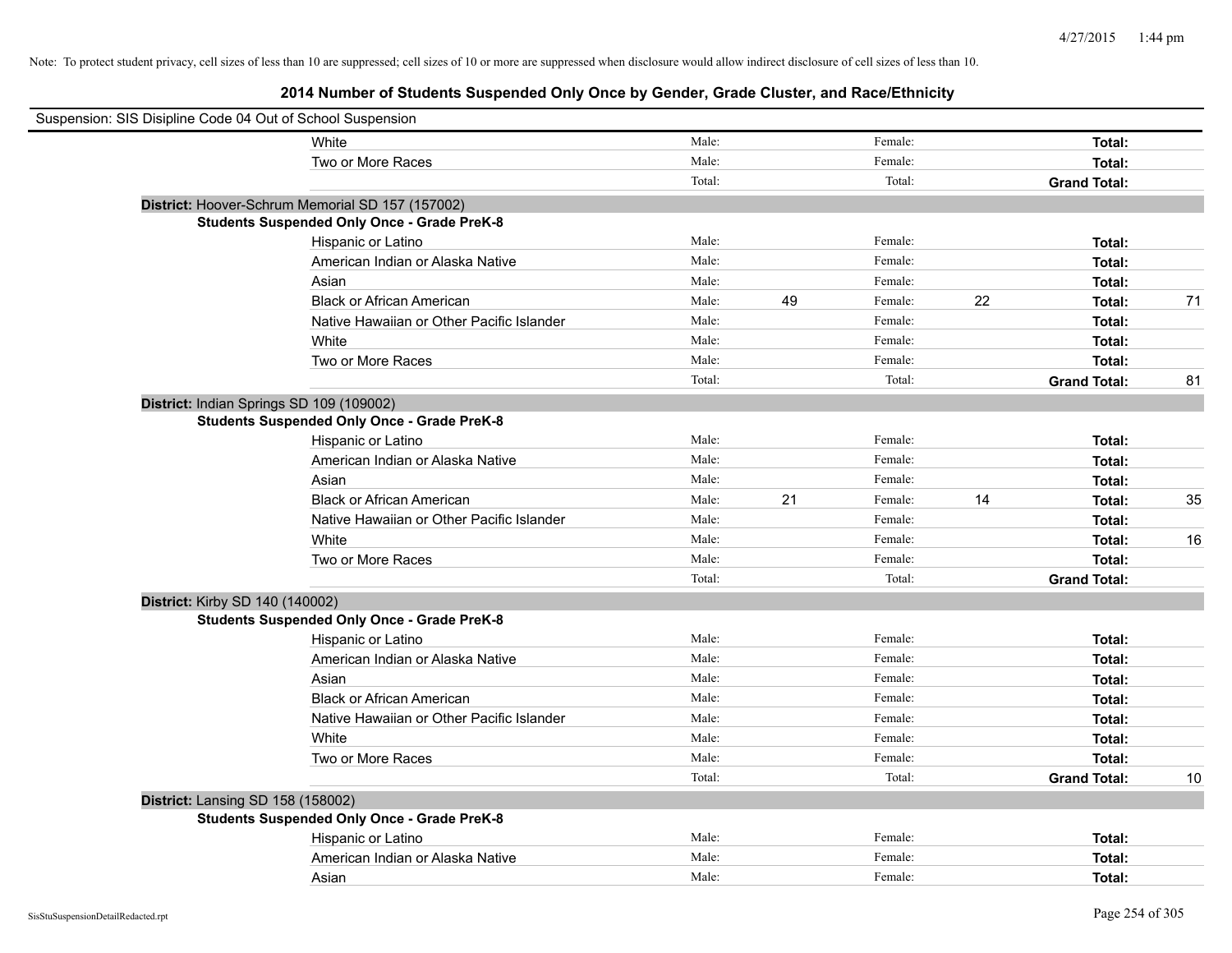| Suspension: SIS Disipline Code 04 Out of School Suspension |        |    |         |    |                     |    |
|------------------------------------------------------------|--------|----|---------|----|---------------------|----|
| White                                                      | Male:  |    | Female: |    | Total:              |    |
| Two or More Races                                          | Male:  |    | Female: |    | Total:              |    |
|                                                            | Total: |    | Total:  |    | <b>Grand Total:</b> |    |
| District: Hoover-Schrum Memorial SD 157 (157002)           |        |    |         |    |                     |    |
| <b>Students Suspended Only Once - Grade PreK-8</b>         |        |    |         |    |                     |    |
| Hispanic or Latino                                         | Male:  |    | Female: |    | Total:              |    |
| American Indian or Alaska Native                           | Male:  |    | Female: |    | Total:              |    |
| Asian                                                      | Male:  |    | Female: |    | Total:              |    |
| <b>Black or African American</b>                           | Male:  | 49 | Female: | 22 | Total:              | 71 |
| Native Hawaiian or Other Pacific Islander                  | Male:  |    | Female: |    | Total:              |    |
| White                                                      | Male:  |    | Female: |    | Total:              |    |
| Two or More Races                                          | Male:  |    | Female: |    | Total:              |    |
|                                                            | Total: |    | Total:  |    | <b>Grand Total:</b> | 81 |
| District: Indian Springs SD 109 (109002)                   |        |    |         |    |                     |    |
| <b>Students Suspended Only Once - Grade PreK-8</b>         |        |    |         |    |                     |    |
| Hispanic or Latino                                         | Male:  |    | Female: |    | Total:              |    |
| American Indian or Alaska Native                           | Male:  |    | Female: |    | Total:              |    |
| Asian                                                      | Male:  |    | Female: |    | Total:              |    |
| <b>Black or African American</b>                           | Male:  | 21 | Female: | 14 | Total:              | 35 |
| Native Hawaiian or Other Pacific Islander                  | Male:  |    | Female: |    | Total:              |    |
| White                                                      | Male:  |    | Female: |    | Total:              | 16 |
| Two or More Races                                          | Male:  |    | Female: |    | Total:              |    |
|                                                            | Total: |    | Total:  |    | <b>Grand Total:</b> |    |
| District: Kirby SD 140 (140002)                            |        |    |         |    |                     |    |
| <b>Students Suspended Only Once - Grade PreK-8</b>         |        |    |         |    |                     |    |
| Hispanic or Latino                                         | Male:  |    | Female: |    | Total:              |    |
| American Indian or Alaska Native                           | Male:  |    | Female: |    | Total:              |    |
| Asian                                                      | Male:  |    | Female: |    | Total:              |    |
| <b>Black or African American</b>                           | Male:  |    | Female: |    | Total:              |    |
| Native Hawaiian or Other Pacific Islander                  | Male:  |    | Female: |    | Total:              |    |
| White                                                      | Male:  |    | Female: |    | Total:              |    |
| Two or More Races                                          | Male:  |    | Female: |    | Total:              |    |
|                                                            | Total: |    | Total:  |    | <b>Grand Total:</b> | 10 |
| District: Lansing SD 158 (158002)                          |        |    |         |    |                     |    |
| <b>Students Suspended Only Once - Grade PreK-8</b>         |        |    |         |    |                     |    |
| Hispanic or Latino                                         | Male:  |    | Female: |    | Total:              |    |
| American Indian or Alaska Native                           | Male:  |    | Female: |    | Total:              |    |
| Asian                                                      | Male:  |    | Female: |    | Total:              |    |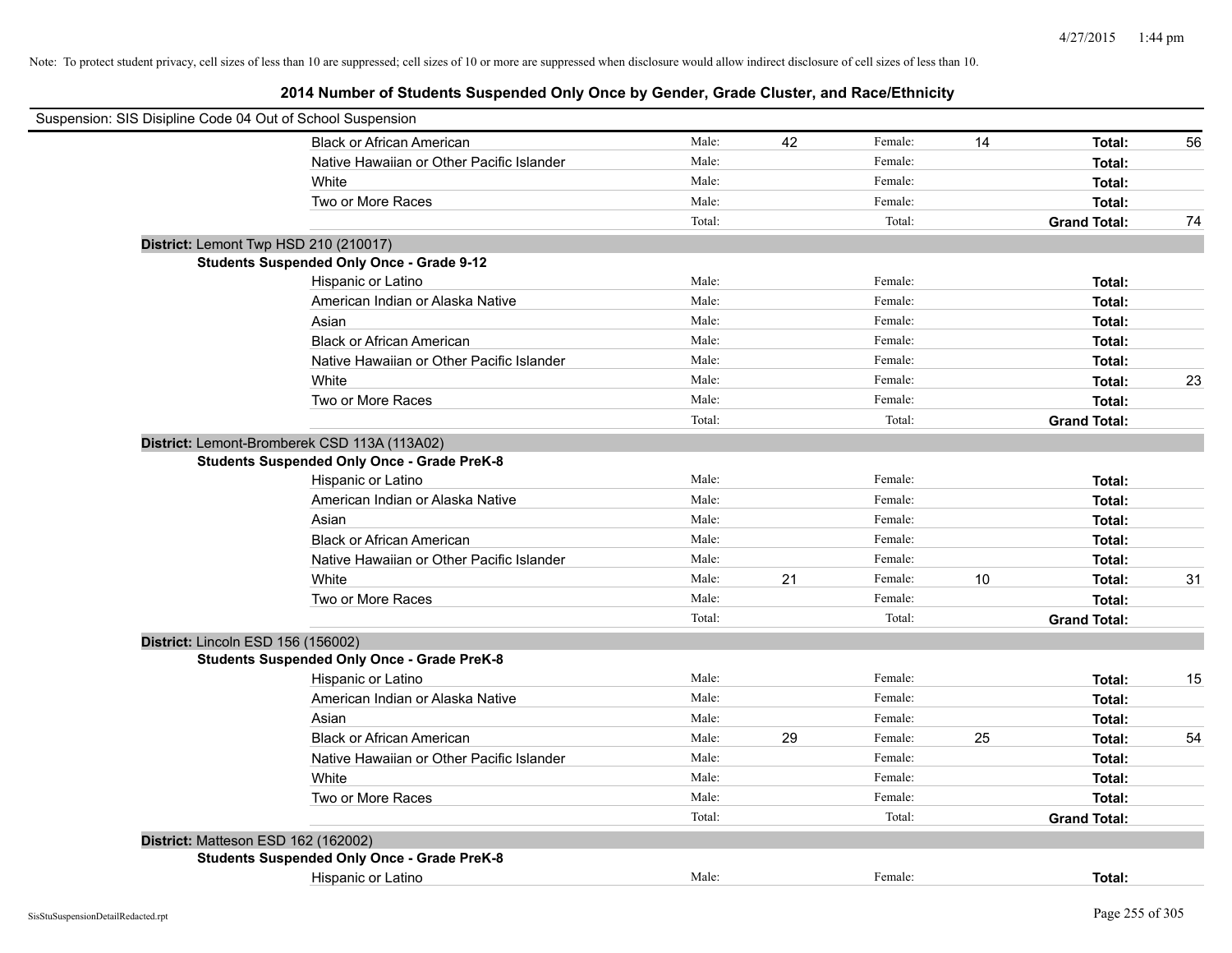| Suspension: SIS Disipline Code 04 Out of School Suspension |        |    |         |    |                     |    |
|------------------------------------------------------------|--------|----|---------|----|---------------------|----|
| <b>Black or African American</b>                           | Male:  | 42 | Female: | 14 | Total:              | 56 |
| Native Hawaiian or Other Pacific Islander                  | Male:  |    | Female: |    | Total:              |    |
| White                                                      | Male:  |    | Female: |    | Total:              |    |
| Two or More Races                                          | Male:  |    | Female: |    | Total:              |    |
|                                                            | Total: |    | Total:  |    | <b>Grand Total:</b> | 74 |
| District: Lemont Twp HSD 210 (210017)                      |        |    |         |    |                     |    |
| <b>Students Suspended Only Once - Grade 9-12</b>           |        |    |         |    |                     |    |
| Hispanic or Latino                                         | Male:  |    | Female: |    | Total:              |    |
| American Indian or Alaska Native                           | Male:  |    | Female: |    | Total:              |    |
| Asian                                                      | Male:  |    | Female: |    | Total:              |    |
| <b>Black or African American</b>                           | Male:  |    | Female: |    | Total:              |    |
| Native Hawaiian or Other Pacific Islander                  | Male:  |    | Female: |    | Total:              |    |
| White                                                      | Male:  |    | Female: |    | Total:              | 23 |
| Two or More Races                                          | Male:  |    | Female: |    | Total:              |    |
|                                                            | Total: |    | Total:  |    | <b>Grand Total:</b> |    |
| District: Lemont-Bromberek CSD 113A (113A02)               |        |    |         |    |                     |    |
| <b>Students Suspended Only Once - Grade PreK-8</b>         |        |    |         |    |                     |    |
| Hispanic or Latino                                         | Male:  |    | Female: |    | Total:              |    |
| American Indian or Alaska Native                           | Male:  |    | Female: |    | Total:              |    |
| Asian                                                      | Male:  |    | Female: |    | Total:              |    |
| <b>Black or African American</b>                           | Male:  |    | Female: |    | Total:              |    |
| Native Hawaiian or Other Pacific Islander                  | Male:  |    | Female: |    | Total:              |    |
| White                                                      | Male:  | 21 | Female: | 10 | Total:              | 31 |
| Two or More Races                                          | Male:  |    | Female: |    | Total:              |    |
|                                                            | Total: |    | Total:  |    | <b>Grand Total:</b> |    |
| District: Lincoln ESD 156 (156002)                         |        |    |         |    |                     |    |
| <b>Students Suspended Only Once - Grade PreK-8</b>         |        |    |         |    |                     |    |
| Hispanic or Latino                                         | Male:  |    | Female: |    | Total:              | 15 |
| American Indian or Alaska Native                           | Male:  |    | Female: |    | Total:              |    |
| Asian                                                      | Male:  |    | Female: |    | Total:              |    |
| <b>Black or African American</b>                           | Male:  | 29 | Female: | 25 | Total:              | 54 |
| Native Hawaiian or Other Pacific Islander                  | Male:  |    | Female: |    | Total:              |    |
| White                                                      | Male:  |    | Female: |    | Total:              |    |
| Two or More Races                                          | Male:  |    | Female: |    | Total:              |    |
|                                                            | Total: |    | Total:  |    | <b>Grand Total:</b> |    |
| District: Matteson ESD 162 (162002)                        |        |    |         |    |                     |    |
| <b>Students Suspended Only Once - Grade PreK-8</b>         |        |    |         |    |                     |    |
| Hispanic or Latino                                         | Male:  |    | Female: |    | Total:              |    |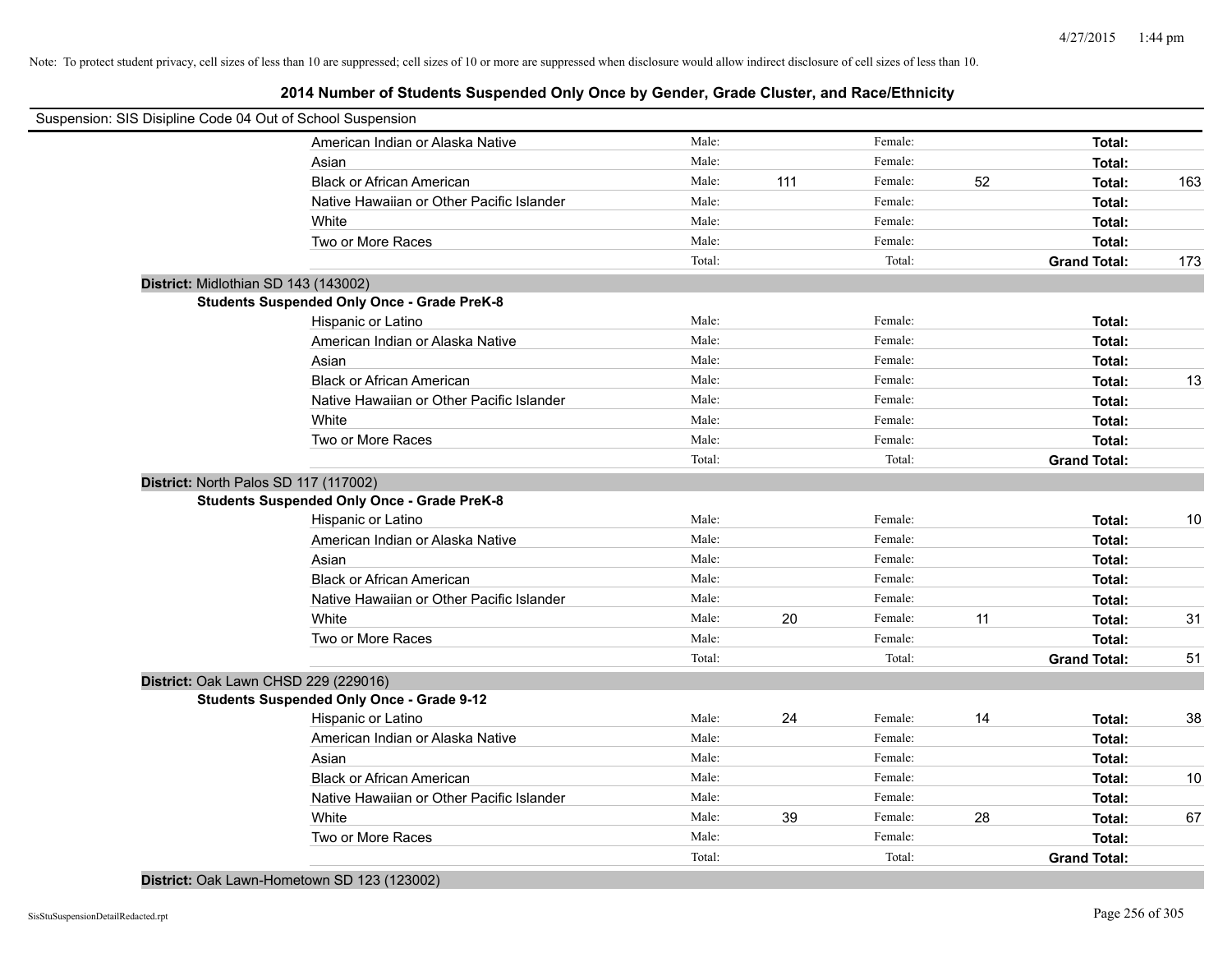**2014 Number of Students Suspended Only Once by Gender, Grade Cluster, and Race/Ethnicity**

| Suspension: SIS Disipline Code 04 Out of School Suspension |                                                    |        |     |         |    |                     |     |
|------------------------------------------------------------|----------------------------------------------------|--------|-----|---------|----|---------------------|-----|
|                                                            | American Indian or Alaska Native                   | Male:  |     | Female: |    | Total:              |     |
|                                                            | Asian                                              | Male:  |     | Female: |    | Total:              |     |
|                                                            | <b>Black or African American</b>                   | Male:  | 111 | Female: | 52 | Total:              | 163 |
|                                                            | Native Hawaiian or Other Pacific Islander          | Male:  |     | Female: |    | Total:              |     |
|                                                            | White                                              | Male:  |     | Female: |    | Total:              |     |
|                                                            | Two or More Races                                  | Male:  |     | Female: |    | Total:              |     |
|                                                            |                                                    | Total: |     | Total:  |    | <b>Grand Total:</b> | 173 |
| District: Midlothian SD 143 (143002)                       |                                                    |        |     |         |    |                     |     |
|                                                            | <b>Students Suspended Only Once - Grade PreK-8</b> |        |     |         |    |                     |     |
|                                                            | Hispanic or Latino                                 | Male:  |     | Female: |    | Total:              |     |
|                                                            | American Indian or Alaska Native                   | Male:  |     | Female: |    | Total:              |     |
|                                                            | Asian                                              | Male:  |     | Female: |    | Total:              |     |
|                                                            | <b>Black or African American</b>                   | Male:  |     | Female: |    | Total:              | 13  |
|                                                            | Native Hawaiian or Other Pacific Islander          | Male:  |     | Female: |    | Total:              |     |
|                                                            | White                                              | Male:  |     | Female: |    | Total:              |     |
|                                                            | Two or More Races                                  | Male:  |     | Female: |    | Total:              |     |
|                                                            |                                                    | Total: |     | Total:  |    | <b>Grand Total:</b> |     |
| District: North Palos SD 117 (117002)                      |                                                    |        |     |         |    |                     |     |
|                                                            | <b>Students Suspended Only Once - Grade PreK-8</b> |        |     |         |    |                     |     |
|                                                            | Hispanic or Latino                                 | Male:  |     | Female: |    | Total:              | 10  |
|                                                            | American Indian or Alaska Native                   | Male:  |     | Female: |    | Total:              |     |
|                                                            | Asian                                              | Male:  |     | Female: |    | Total:              |     |
|                                                            | <b>Black or African American</b>                   | Male:  |     | Female: |    | Total:              |     |
|                                                            | Native Hawaiian or Other Pacific Islander          | Male:  |     | Female: |    | Total:              |     |
|                                                            | White                                              | Male:  | 20  | Female: | 11 | Total:              | 31  |
|                                                            | Two or More Races                                  | Male:  |     | Female: |    | Total:              |     |
|                                                            |                                                    | Total: |     | Total:  |    | <b>Grand Total:</b> | 51  |
| District: Oak Lawn CHSD 229 (229016)                       |                                                    |        |     |         |    |                     |     |
|                                                            | <b>Students Suspended Only Once - Grade 9-12</b>   |        |     |         |    |                     |     |
|                                                            | Hispanic or Latino                                 | Male:  | 24  | Female: | 14 | Total:              | 38  |
|                                                            | American Indian or Alaska Native                   | Male:  |     | Female: |    | Total:              |     |
|                                                            | Asian                                              | Male:  |     | Female: |    | Total:              |     |
|                                                            | <b>Black or African American</b>                   | Male:  |     | Female: |    | Total:              | 10  |
|                                                            | Native Hawaiian or Other Pacific Islander          | Male:  |     | Female: |    | Total:              |     |
|                                                            | White                                              | Male:  | 39  | Female: | 28 | Total:              | 67  |
|                                                            | Two or More Races                                  | Male:  |     | Female: |    | Total:              |     |
|                                                            |                                                    | Total: |     | Total:  |    | <b>Grand Total:</b> |     |

**District:** Oak Lawn-Hometown SD 123 (123002)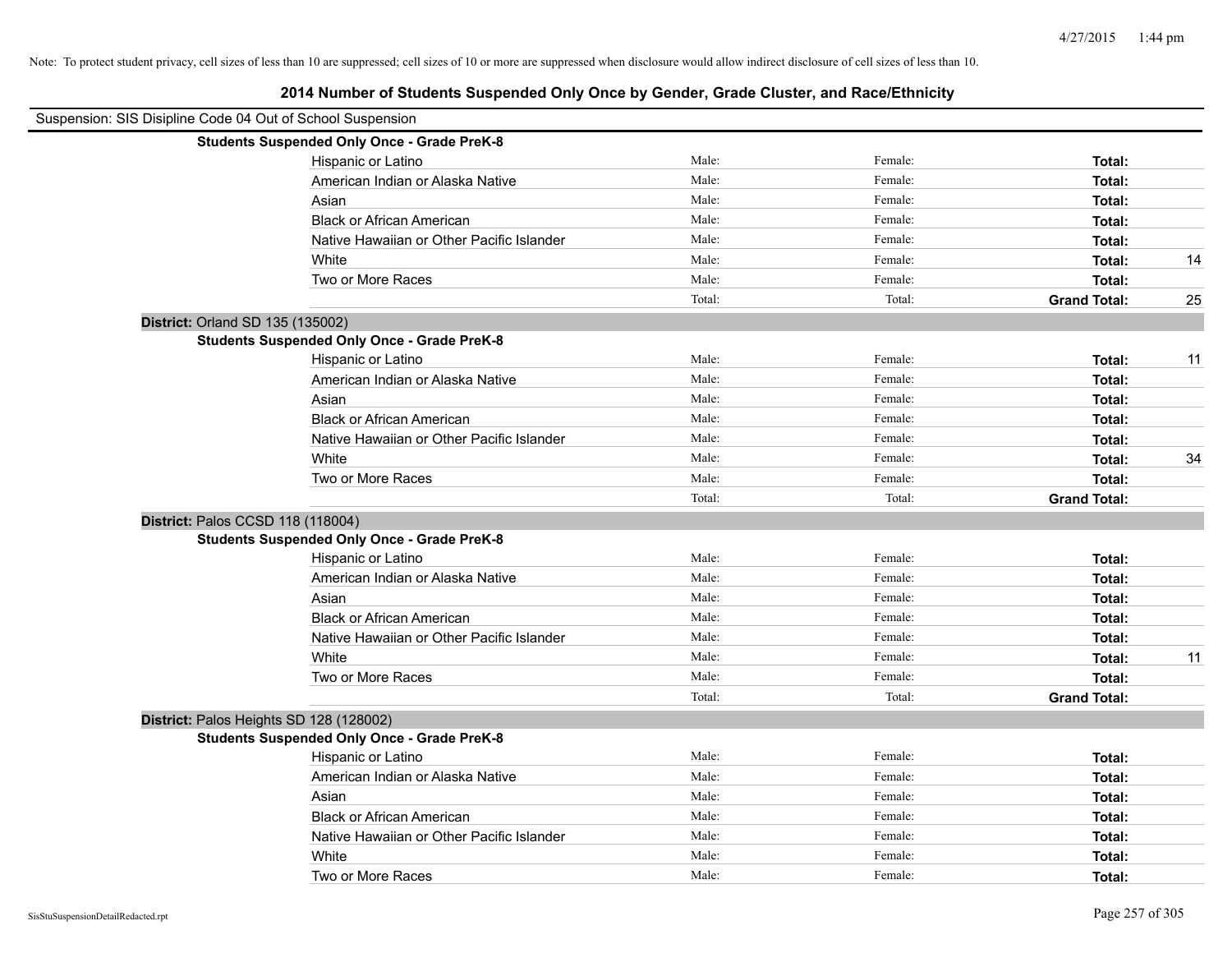| Suspension: SIS Disipline Code 04 Out of School Suspension |                                                    |        |         |                     |    |
|------------------------------------------------------------|----------------------------------------------------|--------|---------|---------------------|----|
|                                                            | <b>Students Suspended Only Once - Grade PreK-8</b> |        |         |                     |    |
|                                                            | Hispanic or Latino                                 | Male:  | Female: | Total:              |    |
|                                                            | American Indian or Alaska Native                   | Male:  | Female: | Total:              |    |
|                                                            | Asian                                              | Male:  | Female: | Total:              |    |
|                                                            | <b>Black or African American</b>                   | Male:  | Female: | Total:              |    |
|                                                            | Native Hawaiian or Other Pacific Islander          | Male:  | Female: | Total:              |    |
|                                                            | White                                              | Male:  | Female: | Total:              | 14 |
|                                                            | Two or More Races                                  | Male:  | Female: | Total:              |    |
|                                                            |                                                    | Total: | Total:  | <b>Grand Total:</b> | 25 |
| District: Orland SD 135 (135002)                           |                                                    |        |         |                     |    |
|                                                            | <b>Students Suspended Only Once - Grade PreK-8</b> |        |         |                     |    |
|                                                            | Hispanic or Latino                                 | Male:  | Female: | Total:              | 11 |
|                                                            | American Indian or Alaska Native                   | Male:  | Female: | Total:              |    |
|                                                            | Asian                                              | Male:  | Female: | Total:              |    |
|                                                            | <b>Black or African American</b>                   | Male:  | Female: | Total:              |    |
|                                                            | Native Hawaiian or Other Pacific Islander          | Male:  | Female: | Total:              |    |
|                                                            | White                                              | Male:  | Female: | Total:              | 34 |
|                                                            | Two or More Races                                  | Male:  | Female: | Total:              |    |
|                                                            |                                                    | Total: | Total:  | <b>Grand Total:</b> |    |
|                                                            | District: Palos CCSD 118 (118004)                  |        |         |                     |    |
|                                                            | <b>Students Suspended Only Once - Grade PreK-8</b> |        |         |                     |    |
|                                                            | Hispanic or Latino                                 | Male:  | Female: | Total:              |    |
|                                                            | American Indian or Alaska Native                   | Male:  | Female: | Total:              |    |
|                                                            | Asian                                              | Male:  | Female: | Total:              |    |
|                                                            | <b>Black or African American</b>                   | Male:  | Female: | Total:              |    |
|                                                            | Native Hawaiian or Other Pacific Islander          | Male:  | Female: | Total:              |    |
|                                                            | White                                              | Male:  | Female: | Total:              | 11 |
|                                                            | Two or More Races                                  | Male:  | Female: | Total:              |    |
|                                                            |                                                    | Total: | Total:  | <b>Grand Total:</b> |    |
|                                                            | District: Palos Heights SD 128 (128002)            |        |         |                     |    |
|                                                            | <b>Students Suspended Only Once - Grade PreK-8</b> |        |         |                     |    |
|                                                            | Hispanic or Latino                                 | Male:  | Female: | Total:              |    |
|                                                            | American Indian or Alaska Native                   | Male:  | Female: | Total:              |    |
|                                                            | Asian                                              | Male:  | Female: | Total:              |    |
|                                                            | <b>Black or African American</b>                   | Male:  | Female: | Total:              |    |
|                                                            | Native Hawaiian or Other Pacific Islander          | Male:  | Female: | Total:              |    |
|                                                            | White                                              | Male:  | Female: | Total:              |    |
|                                                            | Two or More Races                                  | Male:  | Female: | Total:              |    |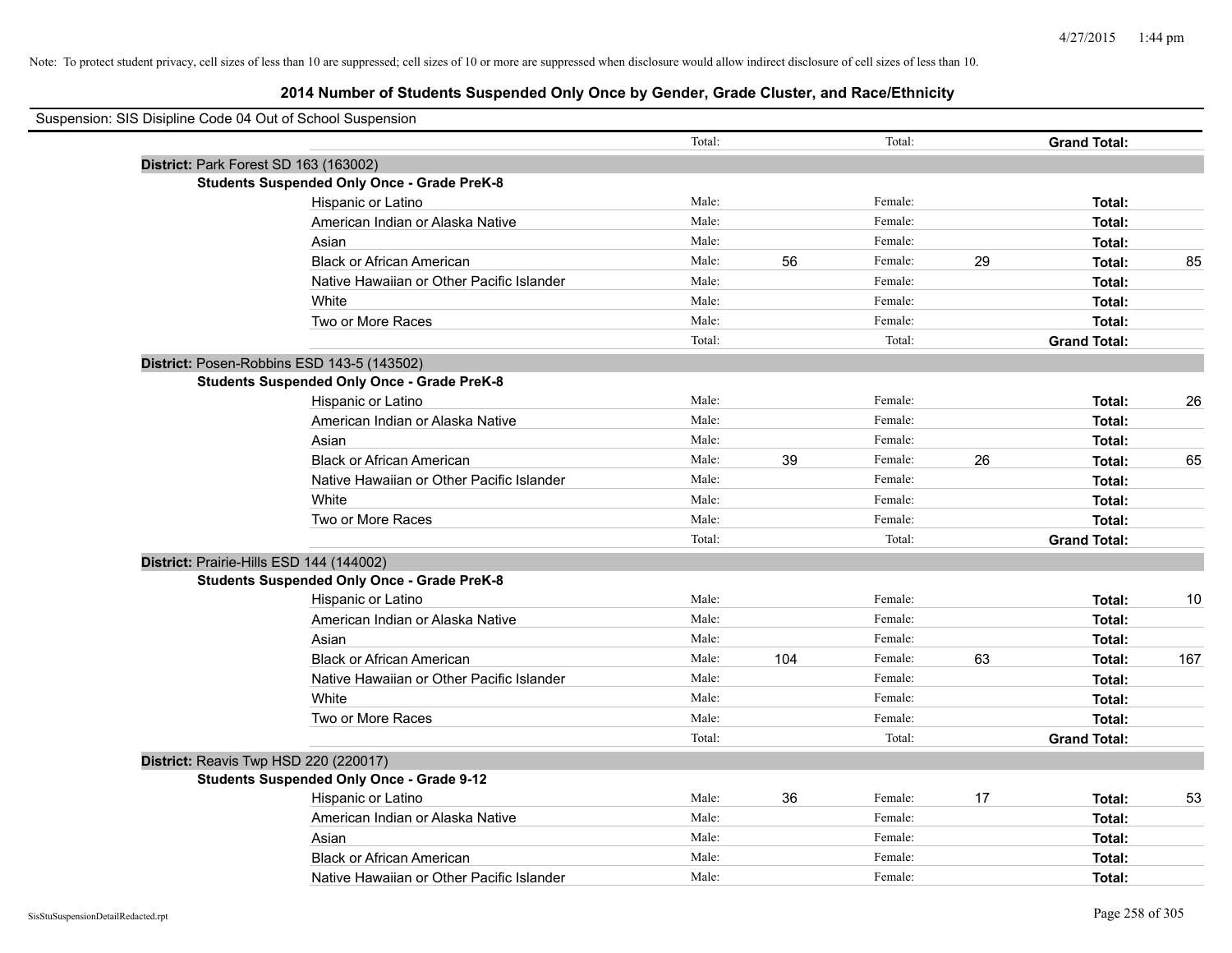| Suspension: SIS Disipline Code 04 Out of School Suspension |        |     |         |    |                     |     |
|------------------------------------------------------------|--------|-----|---------|----|---------------------|-----|
|                                                            | Total: |     | Total:  |    | <b>Grand Total:</b> |     |
| District: Park Forest SD 163 (163002)                      |        |     |         |    |                     |     |
| <b>Students Suspended Only Once - Grade PreK-8</b>         |        |     |         |    |                     |     |
| Hispanic or Latino                                         | Male:  |     | Female: |    | Total:              |     |
| American Indian or Alaska Native                           | Male:  |     | Female: |    | Total:              |     |
| Asian                                                      | Male:  |     | Female: |    | Total:              |     |
| <b>Black or African American</b>                           | Male:  | 56  | Female: | 29 | Total:              | 85  |
| Native Hawaiian or Other Pacific Islander                  | Male:  |     | Female: |    | Total:              |     |
| White                                                      | Male:  |     | Female: |    | Total:              |     |
| Two or More Races                                          | Male:  |     | Female: |    | Total:              |     |
|                                                            | Total: |     | Total:  |    | <b>Grand Total:</b> |     |
| District: Posen-Robbins ESD 143-5 (143502)                 |        |     |         |    |                     |     |
| <b>Students Suspended Only Once - Grade PreK-8</b>         |        |     |         |    |                     |     |
| Hispanic or Latino                                         | Male:  |     | Female: |    | Total:              | 26  |
| American Indian or Alaska Native                           | Male:  |     | Female: |    | Total:              |     |
| Asian                                                      | Male:  |     | Female: |    | Total:              |     |
| <b>Black or African American</b>                           | Male:  | 39  | Female: | 26 | Total:              | 65  |
| Native Hawaiian or Other Pacific Islander                  | Male:  |     | Female: |    | Total:              |     |
| White                                                      | Male:  |     | Female: |    | Total:              |     |
| Two or More Races                                          | Male:  |     | Female: |    | Total:              |     |
|                                                            | Total: |     | Total:  |    | <b>Grand Total:</b> |     |
| District: Prairie-Hills ESD 144 (144002)                   |        |     |         |    |                     |     |
| <b>Students Suspended Only Once - Grade PreK-8</b>         |        |     |         |    |                     |     |
| Hispanic or Latino                                         | Male:  |     | Female: |    | Total:              | 10  |
| American Indian or Alaska Native                           | Male:  |     | Female: |    | Total:              |     |
| Asian                                                      | Male:  |     | Female: |    | Total:              |     |
| <b>Black or African American</b>                           | Male:  | 104 | Female: | 63 | Total:              | 167 |
| Native Hawaiian or Other Pacific Islander                  | Male:  |     | Female: |    | Total:              |     |
| White                                                      | Male:  |     | Female: |    | Total:              |     |
| Two or More Races                                          | Male:  |     | Female: |    | Total:              |     |
|                                                            | Total: |     | Total:  |    | <b>Grand Total:</b> |     |
| District: Reavis Twp HSD 220 (220017)                      |        |     |         |    |                     |     |
| <b>Students Suspended Only Once - Grade 9-12</b>           |        |     |         |    |                     |     |
| Hispanic or Latino                                         | Male:  | 36  | Female: | 17 | Total:              | 53  |
| American Indian or Alaska Native                           | Male:  |     | Female: |    | Total:              |     |
| Asian                                                      | Male:  |     | Female: |    | Total:              |     |
| <b>Black or African American</b>                           | Male:  |     | Female: |    | Total:              |     |
| Native Hawaiian or Other Pacific Islander                  | Male:  |     | Female: |    | Total:              |     |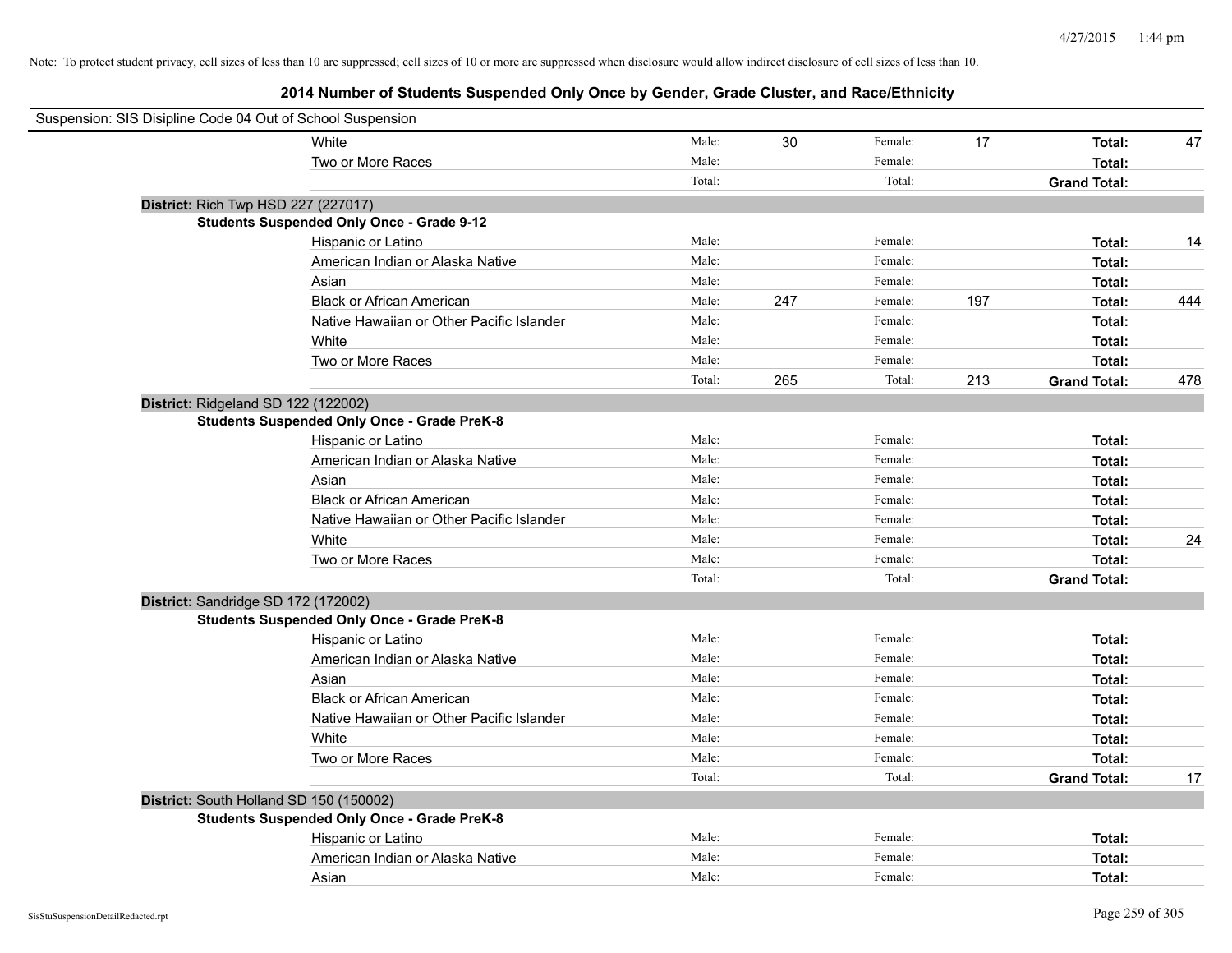| Suspension: SIS Disipline Code 04 Out of School Suspension |        |     |         |     |                     |     |
|------------------------------------------------------------|--------|-----|---------|-----|---------------------|-----|
| White                                                      | Male:  | 30  | Female: | 17  | Total:              | 47  |
| Two or More Races                                          | Male:  |     | Female: |     | Total:              |     |
|                                                            | Total: |     | Total:  |     | <b>Grand Total:</b> |     |
| District: Rich Twp HSD 227 (227017)                        |        |     |         |     |                     |     |
| <b>Students Suspended Only Once - Grade 9-12</b>           |        |     |         |     |                     |     |
| Hispanic or Latino                                         | Male:  |     | Female: |     | Total:              | 14  |
| American Indian or Alaska Native                           | Male:  |     | Female: |     | Total:              |     |
| Asian                                                      | Male:  |     | Female: |     | Total:              |     |
| <b>Black or African American</b>                           | Male:  | 247 | Female: | 197 | Total:              | 444 |
| Native Hawaiian or Other Pacific Islander                  | Male:  |     | Female: |     | Total:              |     |
| White                                                      | Male:  |     | Female: |     | Total:              |     |
| Two or More Races                                          | Male:  |     | Female: |     | Total:              |     |
|                                                            | Total: | 265 | Total:  | 213 | <b>Grand Total:</b> | 478 |
| District: Ridgeland SD 122 (122002)                        |        |     |         |     |                     |     |
| <b>Students Suspended Only Once - Grade PreK-8</b>         |        |     |         |     |                     |     |
| Hispanic or Latino                                         | Male:  |     | Female: |     | Total:              |     |
| American Indian or Alaska Native                           | Male:  |     | Female: |     | Total:              |     |
| Asian                                                      | Male:  |     | Female: |     | Total:              |     |
| <b>Black or African American</b>                           | Male:  |     | Female: |     | Total:              |     |
| Native Hawaiian or Other Pacific Islander                  | Male:  |     | Female: |     | Total:              |     |
| White                                                      | Male:  |     | Female: |     | Total:              | 24  |
| Two or More Races                                          | Male:  |     | Female: |     | Total:              |     |
|                                                            | Total: |     | Total:  |     | <b>Grand Total:</b> |     |
| District: Sandridge SD 172 (172002)                        |        |     |         |     |                     |     |
| <b>Students Suspended Only Once - Grade PreK-8</b>         |        |     |         |     |                     |     |
| Hispanic or Latino                                         | Male:  |     | Female: |     | Total:              |     |
| American Indian or Alaska Native                           | Male:  |     | Female: |     | Total:              |     |
| Asian                                                      | Male:  |     | Female: |     | Total:              |     |
| <b>Black or African American</b>                           | Male:  |     | Female: |     | Total:              |     |
| Native Hawaiian or Other Pacific Islander                  | Male:  |     | Female: |     | Total:              |     |
| White                                                      | Male:  |     | Female: |     | Total:              |     |
| Two or More Races                                          | Male:  |     | Female: |     | Total:              |     |
|                                                            | Total: |     | Total:  |     | <b>Grand Total:</b> | 17  |
| District: South Holland SD 150 (150002)                    |        |     |         |     |                     |     |
| <b>Students Suspended Only Once - Grade PreK-8</b>         |        |     |         |     |                     |     |
| Hispanic or Latino                                         | Male:  |     | Female: |     | Total:              |     |
| American Indian or Alaska Native                           | Male:  |     | Female: |     | Total:              |     |
| Asian                                                      | Male:  |     | Female: |     | Total:              |     |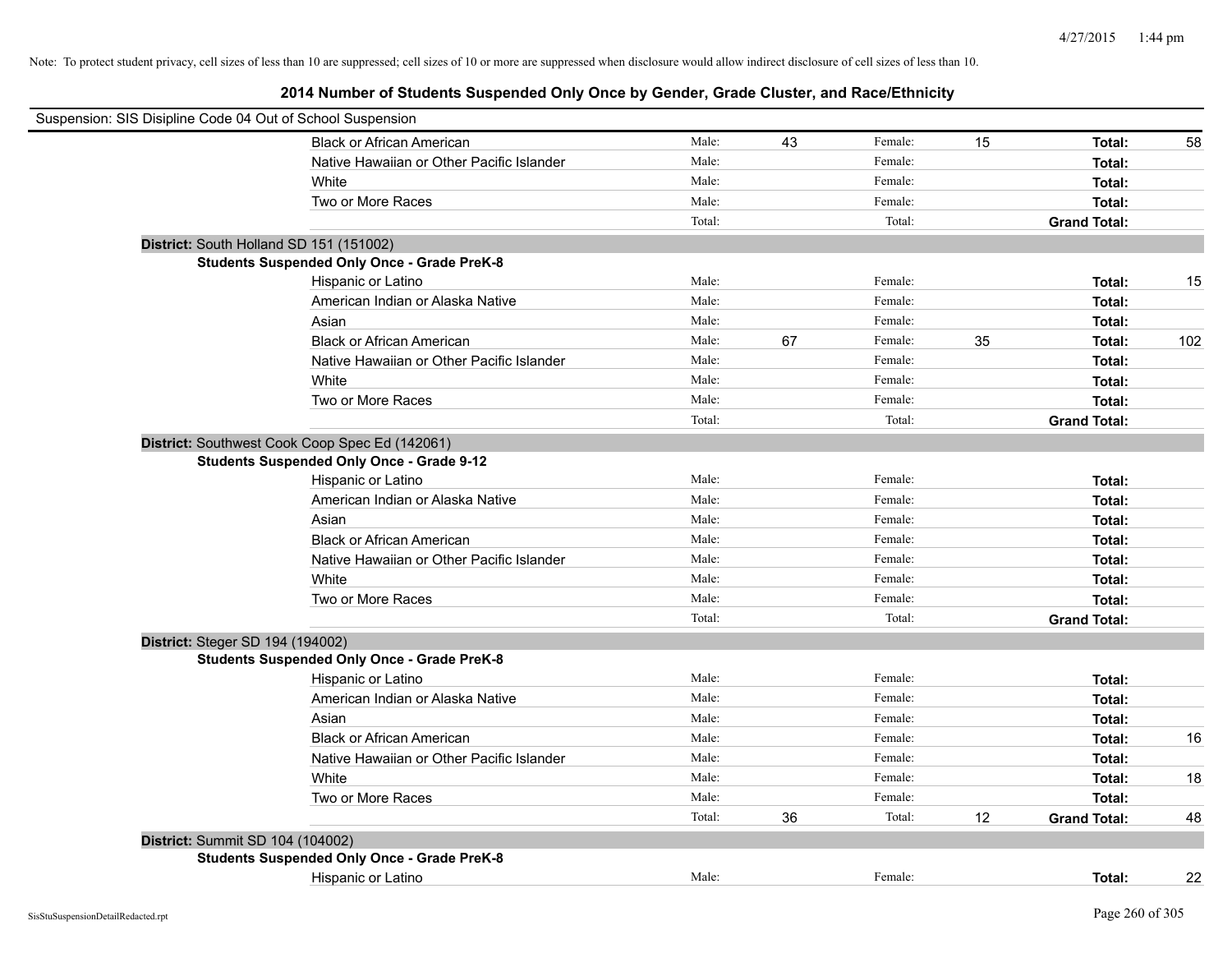|                                  | Suspension: SIS Disipline Code 04 Out of School Suspension |        |    |         |    |                     |     |
|----------------------------------|------------------------------------------------------------|--------|----|---------|----|---------------------|-----|
|                                  | <b>Black or African American</b>                           | Male:  | 43 | Female: | 15 | Total:              | 58  |
|                                  | Native Hawaiian or Other Pacific Islander                  | Male:  |    | Female: |    | Total:              |     |
|                                  | White                                                      | Male:  |    | Female: |    | Total:              |     |
|                                  | Two or More Races                                          | Male:  |    | Female: |    | Total:              |     |
|                                  |                                                            | Total: |    | Total:  |    | <b>Grand Total:</b> |     |
|                                  | District: South Holland SD 151 (151002)                    |        |    |         |    |                     |     |
|                                  | <b>Students Suspended Only Once - Grade PreK-8</b>         |        |    |         |    |                     |     |
|                                  | Hispanic or Latino                                         | Male:  |    | Female: |    | Total:              | 15  |
|                                  | American Indian or Alaska Native                           | Male:  |    | Female: |    | Total:              |     |
|                                  | Asian                                                      | Male:  |    | Female: |    | Total:              |     |
|                                  | <b>Black or African American</b>                           | Male:  | 67 | Female: | 35 | Total:              | 102 |
|                                  | Native Hawaiian or Other Pacific Islander                  | Male:  |    | Female: |    | Total:              |     |
|                                  | White                                                      | Male:  |    | Female: |    | Total:              |     |
|                                  | Two or More Races                                          | Male:  |    | Female: |    | Total:              |     |
|                                  |                                                            | Total: |    | Total:  |    | <b>Grand Total:</b> |     |
|                                  | District: Southwest Cook Coop Spec Ed (142061)             |        |    |         |    |                     |     |
|                                  | <b>Students Suspended Only Once - Grade 9-12</b>           |        |    |         |    |                     |     |
|                                  | Hispanic or Latino                                         | Male:  |    | Female: |    | Total:              |     |
|                                  | American Indian or Alaska Native                           | Male:  |    | Female: |    | Total:              |     |
|                                  | Asian                                                      | Male:  |    | Female: |    | Total:              |     |
|                                  | <b>Black or African American</b>                           | Male:  |    | Female: |    | Total:              |     |
|                                  | Native Hawaiian or Other Pacific Islander                  | Male:  |    | Female: |    | Total:              |     |
|                                  | White                                                      | Male:  |    | Female: |    | Total:              |     |
|                                  | Two or More Races                                          | Male:  |    | Female: |    | Total:              |     |
|                                  |                                                            | Total: |    | Total:  |    | <b>Grand Total:</b> |     |
| District: Steger SD 194 (194002) |                                                            |        |    |         |    |                     |     |
|                                  | <b>Students Suspended Only Once - Grade PreK-8</b>         |        |    |         |    |                     |     |
|                                  | Hispanic or Latino                                         | Male:  |    | Female: |    | Total:              |     |
|                                  | American Indian or Alaska Native                           | Male:  |    | Female: |    | Total:              |     |
|                                  | Asian                                                      | Male:  |    | Female: |    | Total:              |     |
|                                  | <b>Black or African American</b>                           | Male:  |    | Female: |    | Total:              | 16  |
|                                  | Native Hawaiian or Other Pacific Islander                  | Male:  |    | Female: |    | Total:              |     |
|                                  | White                                                      | Male:  |    | Female: |    | Total:              | 18  |
|                                  | Two or More Races                                          | Male:  |    | Female: |    | Total:              |     |
|                                  |                                                            | Total: | 36 | Total:  | 12 | <b>Grand Total:</b> | 48  |
| District: Summit SD 104 (104002) |                                                            |        |    |         |    |                     |     |
|                                  | <b>Students Suspended Only Once - Grade PreK-8</b>         |        |    |         |    |                     |     |
|                                  | Hispanic or Latino                                         | Male:  |    | Female: |    | Total:              | 22  |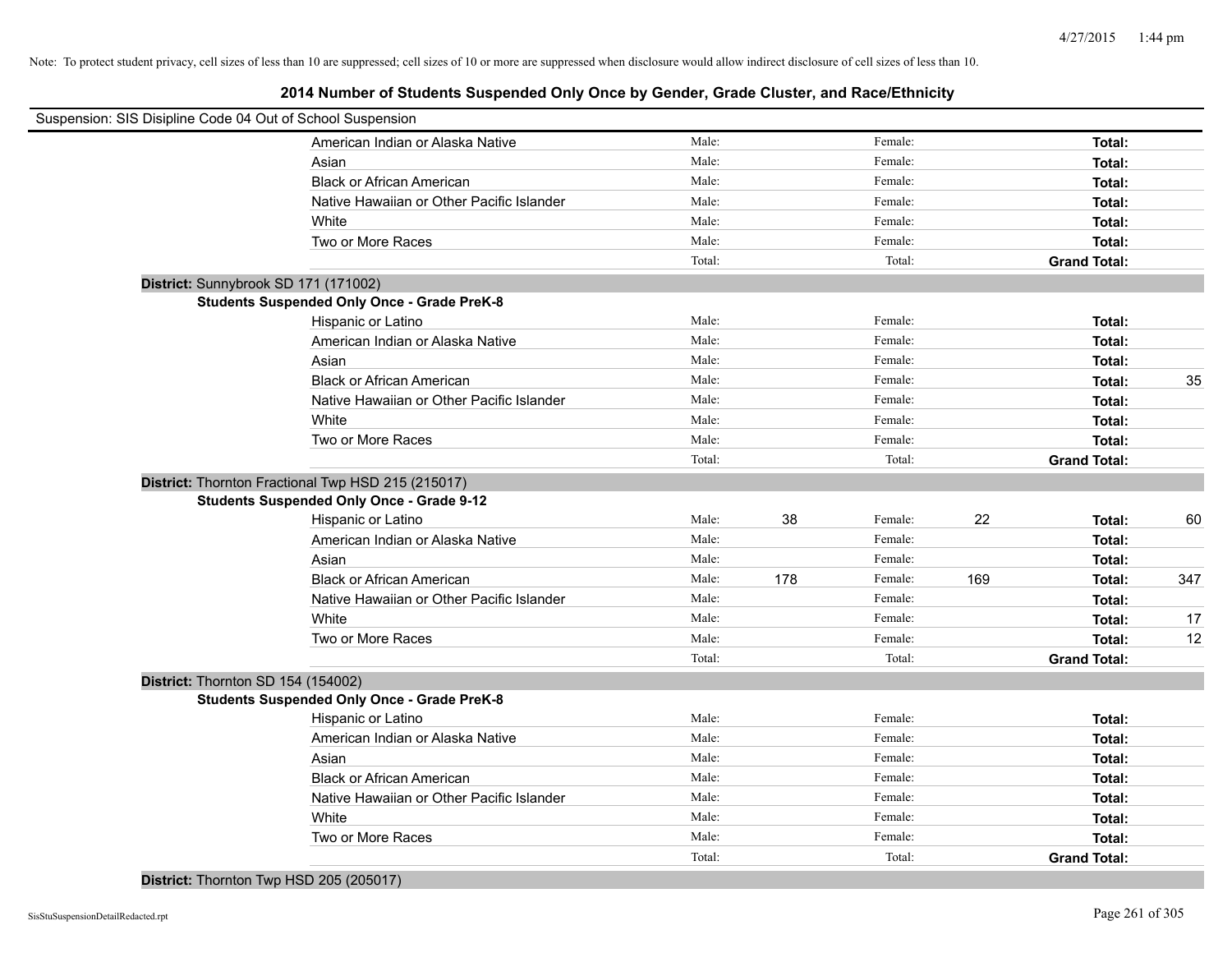|                                    | Suspension: SIS Disipline Code 04 Out of School Suspension |        |     |         |     |                     |     |
|------------------------------------|------------------------------------------------------------|--------|-----|---------|-----|---------------------|-----|
|                                    | American Indian or Alaska Native                           | Male:  |     | Female: |     | Total:              |     |
|                                    | Asian                                                      | Male:  |     | Female: |     | Total:              |     |
|                                    | <b>Black or African American</b>                           | Male:  |     | Female: |     | Total:              |     |
|                                    | Native Hawaiian or Other Pacific Islander                  | Male:  |     | Female: |     | Total:              |     |
|                                    | White                                                      | Male:  |     | Female: |     | Total:              |     |
|                                    | Two or More Races                                          | Male:  |     | Female: |     | Total:              |     |
|                                    |                                                            | Total: |     | Total:  |     | <b>Grand Total:</b> |     |
|                                    | District: Sunnybrook SD 171 (171002)                       |        |     |         |     |                     |     |
|                                    | <b>Students Suspended Only Once - Grade PreK-8</b>         |        |     |         |     |                     |     |
|                                    | Hispanic or Latino                                         | Male:  |     | Female: |     | Total:              |     |
|                                    | American Indian or Alaska Native                           | Male:  |     | Female: |     | Total:              |     |
|                                    | Asian                                                      | Male:  |     | Female: |     | Total:              |     |
|                                    | <b>Black or African American</b>                           | Male:  |     | Female: |     | Total:              | 35  |
|                                    | Native Hawaiian or Other Pacific Islander                  | Male:  |     | Female: |     | Total:              |     |
|                                    | White                                                      | Male:  |     | Female: |     | Total:              |     |
|                                    | Two or More Races                                          | Male:  |     | Female: |     | Total:              |     |
|                                    |                                                            | Total: |     | Total:  |     | <b>Grand Total:</b> |     |
|                                    | District: Thornton Fractional Twp HSD 215 (215017)         |        |     |         |     |                     |     |
|                                    | <b>Students Suspended Only Once - Grade 9-12</b>           |        |     |         |     |                     |     |
|                                    | Hispanic or Latino                                         | Male:  | 38  | Female: | 22  | Total:              | 60  |
|                                    | American Indian or Alaska Native                           | Male:  |     | Female: |     | Total:              |     |
|                                    | Asian                                                      | Male:  |     | Female: |     | Total:              |     |
|                                    | <b>Black or African American</b>                           | Male:  | 178 | Female: | 169 | Total:              | 347 |
|                                    | Native Hawaiian or Other Pacific Islander                  | Male:  |     | Female: |     | Total:              |     |
|                                    | White                                                      | Male:  |     | Female: |     | Total:              | 17  |
|                                    | Two or More Races                                          | Male:  |     | Female: |     | Total:              | 12  |
|                                    |                                                            | Total: |     | Total:  |     | <b>Grand Total:</b> |     |
| District: Thornton SD 154 (154002) |                                                            |        |     |         |     |                     |     |
|                                    | <b>Students Suspended Only Once - Grade PreK-8</b>         |        |     |         |     |                     |     |
|                                    | Hispanic or Latino                                         | Male:  |     | Female: |     | Total:              |     |
|                                    | American Indian or Alaska Native                           | Male:  |     | Female: |     | Total:              |     |
|                                    | Asian                                                      | Male:  |     | Female: |     | Total:              |     |
|                                    | <b>Black or African American</b>                           | Male:  |     | Female: |     | Total:              |     |
|                                    | Native Hawaiian or Other Pacific Islander                  | Male:  |     | Female: |     | Total:              |     |
|                                    | White                                                      | Male:  |     | Female: |     | Total:              |     |
|                                    | Two or More Races                                          | Male:  |     | Female: |     | Total:              |     |
|                                    |                                                            | Total: |     | Total:  |     | <b>Grand Total:</b> |     |
|                                    |                                                            |        |     |         |     |                     |     |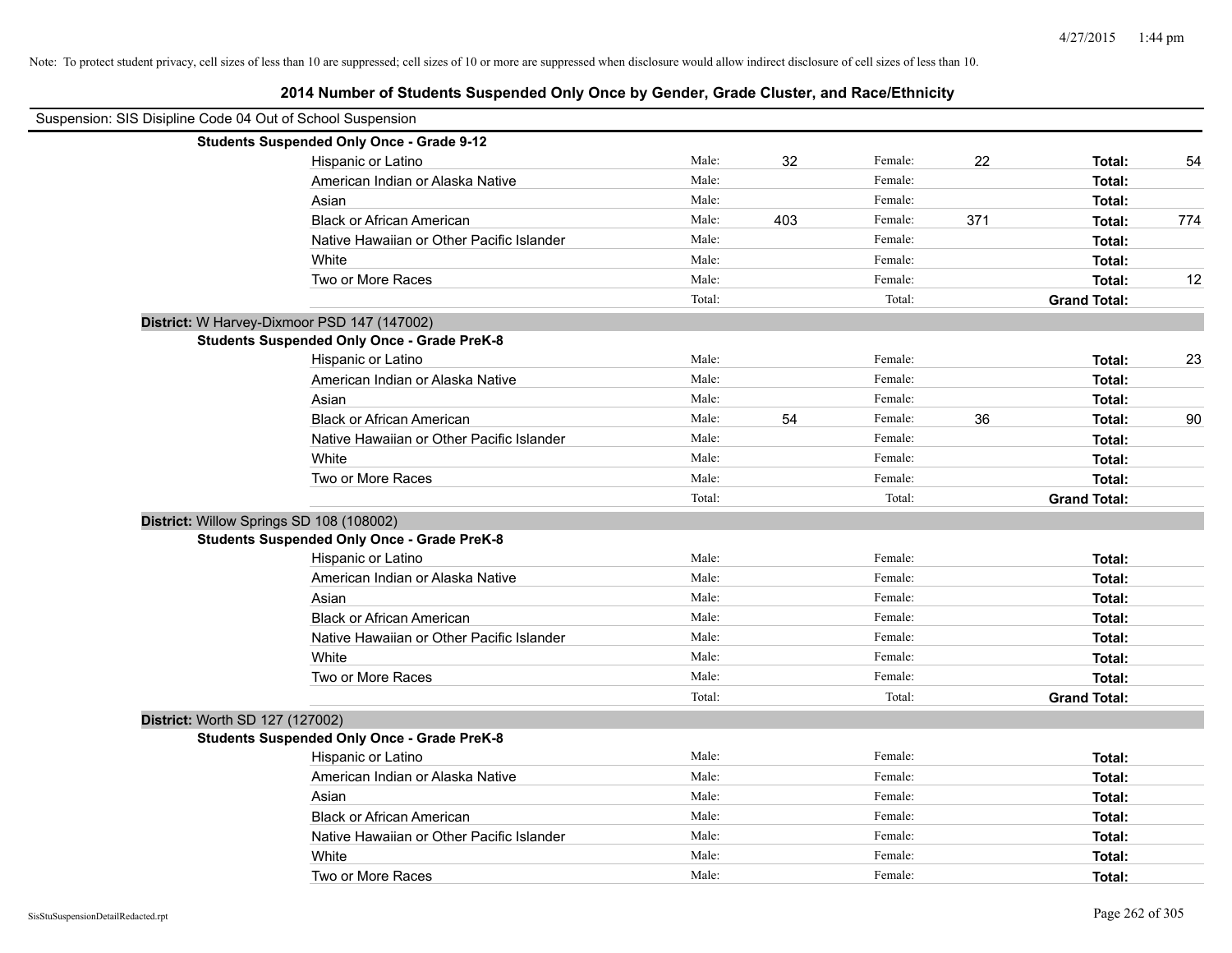| Suspension: SIS Disipline Code 04 Out of School Suspension |                                                    |        |     |         |     |                     |        |
|------------------------------------------------------------|----------------------------------------------------|--------|-----|---------|-----|---------------------|--------|
|                                                            | <b>Students Suspended Only Once - Grade 9-12</b>   |        |     |         |     |                     |        |
|                                                            | Hispanic or Latino                                 | Male:  | 32  | Female: | 22  | Total:              | 54     |
|                                                            | American Indian or Alaska Native                   | Male:  |     | Female: |     | Total:              |        |
|                                                            | Asian                                              | Male:  |     | Female: |     | Total:              |        |
|                                                            | <b>Black or African American</b>                   | Male:  | 403 | Female: | 371 | Total:              | 774    |
|                                                            | Native Hawaiian or Other Pacific Islander          | Male:  |     | Female: |     | Total:              |        |
|                                                            | White                                              | Male:  |     | Female: |     | Total:              |        |
|                                                            | Two or More Races                                  | Male:  |     | Female: |     | Total:              | 12     |
|                                                            |                                                    | Total: |     | Total:  |     | <b>Grand Total:</b> |        |
|                                                            | District: W Harvey-Dixmoor PSD 147 (147002)        |        |     |         |     |                     |        |
|                                                            | <b>Students Suspended Only Once - Grade PreK-8</b> |        |     |         |     |                     |        |
|                                                            | Hispanic or Latino                                 | Male:  |     | Female: |     | Total:              | 23     |
|                                                            | American Indian or Alaska Native                   | Male:  |     | Female: |     | Total:              |        |
|                                                            | Asian                                              | Male:  |     | Female: |     | Total:              |        |
|                                                            | <b>Black or African American</b>                   | Male:  | 54  | Female: | 36  | Total:              | $90\,$ |
|                                                            | Native Hawaiian or Other Pacific Islander          | Male:  |     | Female: |     | Total:              |        |
|                                                            | White                                              | Male:  |     | Female: |     | Total:              |        |
|                                                            | Two or More Races                                  | Male:  |     | Female: |     | Total:              |        |
|                                                            |                                                    | Total: |     | Total:  |     | <b>Grand Total:</b> |        |
|                                                            | District: Willow Springs SD 108 (108002)           |        |     |         |     |                     |        |
|                                                            | <b>Students Suspended Only Once - Grade PreK-8</b> |        |     |         |     |                     |        |
|                                                            | Hispanic or Latino                                 | Male:  |     | Female: |     | Total:              |        |
|                                                            | American Indian or Alaska Native                   | Male:  |     | Female: |     | Total:              |        |
|                                                            | Asian                                              | Male:  |     | Female: |     | Total:              |        |
|                                                            | <b>Black or African American</b>                   | Male:  |     | Female: |     | Total:              |        |
|                                                            | Native Hawaiian or Other Pacific Islander          | Male:  |     | Female: |     | Total:              |        |
|                                                            | White                                              | Male:  |     | Female: |     | <b>Total:</b>       |        |
|                                                            | Two or More Races                                  | Male:  |     | Female: |     | Total:              |        |
|                                                            |                                                    | Total: |     | Total:  |     | <b>Grand Total:</b> |        |
|                                                            | District: Worth SD 127 (127002)                    |        |     |         |     |                     |        |
|                                                            | <b>Students Suspended Only Once - Grade PreK-8</b> |        |     |         |     |                     |        |
|                                                            | Hispanic or Latino                                 | Male:  |     | Female: |     | Total:              |        |
|                                                            | American Indian or Alaska Native                   | Male:  |     | Female: |     | Total:              |        |
|                                                            | Asian                                              | Male:  |     | Female: |     | Total:              |        |
|                                                            | <b>Black or African American</b>                   | Male:  |     | Female: |     | Total:              |        |
|                                                            | Native Hawaiian or Other Pacific Islander          | Male:  |     | Female: |     | Total:              |        |
|                                                            | White                                              | Male:  |     | Female: |     | Total:              |        |
|                                                            | Two or More Races                                  | Male:  |     | Female: |     | Total:              |        |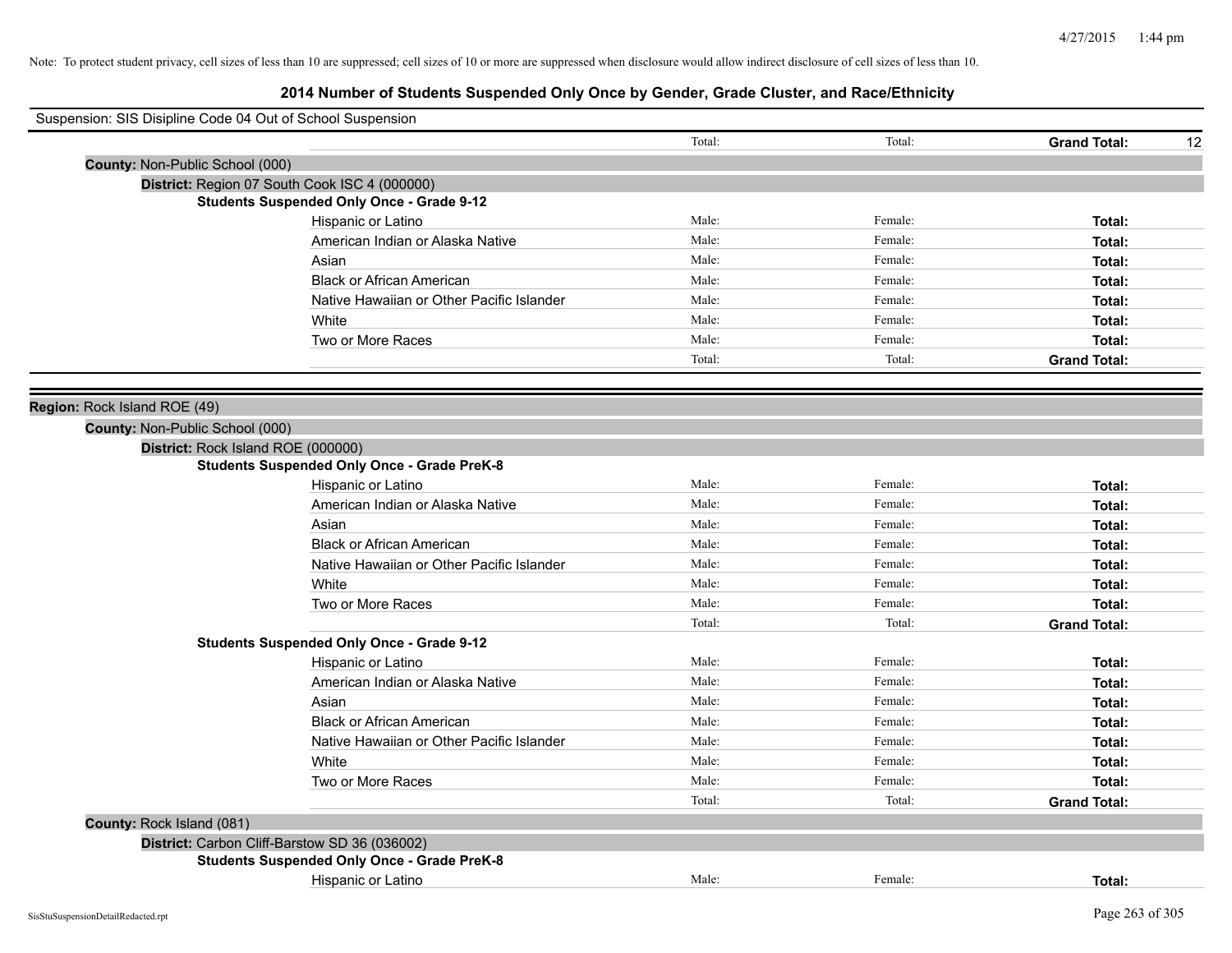| Suspension: SIS Disipline Code 04 Out of School Suspension |                                                    |        |         |                           |
|------------------------------------------------------------|----------------------------------------------------|--------|---------|---------------------------|
|                                                            |                                                    | Total: | Total:  | <b>Grand Total:</b><br>12 |
| County: Non-Public School (000)                            |                                                    |        |         |                           |
|                                                            | District: Region 07 South Cook ISC 4 (000000)      |        |         |                           |
|                                                            | <b>Students Suspended Only Once - Grade 9-12</b>   |        |         |                           |
|                                                            | Hispanic or Latino                                 | Male:  | Female: | Total:                    |
|                                                            | American Indian or Alaska Native                   | Male:  | Female: | Total:                    |
|                                                            | Asian                                              | Male:  | Female: | Total:                    |
|                                                            | <b>Black or African American</b>                   | Male:  | Female: | Total:                    |
|                                                            | Native Hawaiian or Other Pacific Islander          | Male:  | Female: | Total:                    |
|                                                            | White                                              | Male:  | Female: | Total:                    |
|                                                            | Two or More Races                                  | Male:  | Female: | Total:                    |
|                                                            |                                                    | Total: | Total:  | <b>Grand Total:</b>       |
|                                                            |                                                    |        |         |                           |
| Region: Rock Island ROE (49)                               |                                                    |        |         |                           |
| County: Non-Public School (000)                            |                                                    |        |         |                           |
| District: Rock Island ROE (000000)                         |                                                    |        |         |                           |
|                                                            | <b>Students Suspended Only Once - Grade PreK-8</b> |        |         |                           |
|                                                            | Hispanic or Latino                                 | Male:  | Female: | Total:                    |
|                                                            | American Indian or Alaska Native                   | Male:  | Female: | Total:                    |
|                                                            | Asian                                              | Male:  | Female: | Total:                    |
|                                                            | <b>Black or African American</b>                   | Male:  | Female: | Total:                    |
|                                                            | Native Hawaiian or Other Pacific Islander          | Male:  | Female: | Total:                    |
|                                                            | White                                              | Male:  | Female: | Total:                    |
|                                                            | Two or More Races                                  | Male:  | Female: | Total:                    |
|                                                            |                                                    | Total: | Total:  | <b>Grand Total:</b>       |
|                                                            | <b>Students Suspended Only Once - Grade 9-12</b>   |        |         |                           |
|                                                            | Hispanic or Latino                                 | Male:  | Female: | Total:                    |
|                                                            | American Indian or Alaska Native                   | Male:  | Female: | Total:                    |
|                                                            | Asian                                              | Male:  | Female: | Total:                    |
|                                                            | <b>Black or African American</b>                   | Male:  | Female: | Total:                    |
|                                                            | Native Hawaiian or Other Pacific Islander          | Male:  | Female: | Total:                    |
|                                                            | White                                              | Male:  | Female: | Total:                    |
|                                                            | Two or More Races                                  | Male:  | Female: | Total:                    |
|                                                            |                                                    | Total: | Total:  | <b>Grand Total:</b>       |
| County: Rock Island (081)                                  |                                                    |        |         |                           |
|                                                            | District: Carbon Cliff-Barstow SD 36 (036002)      |        |         |                           |
|                                                            | <b>Students Suspended Only Once - Grade PreK-8</b> |        |         |                           |
|                                                            | Hispanic or Latino                                 | Male:  | Female: | Total:                    |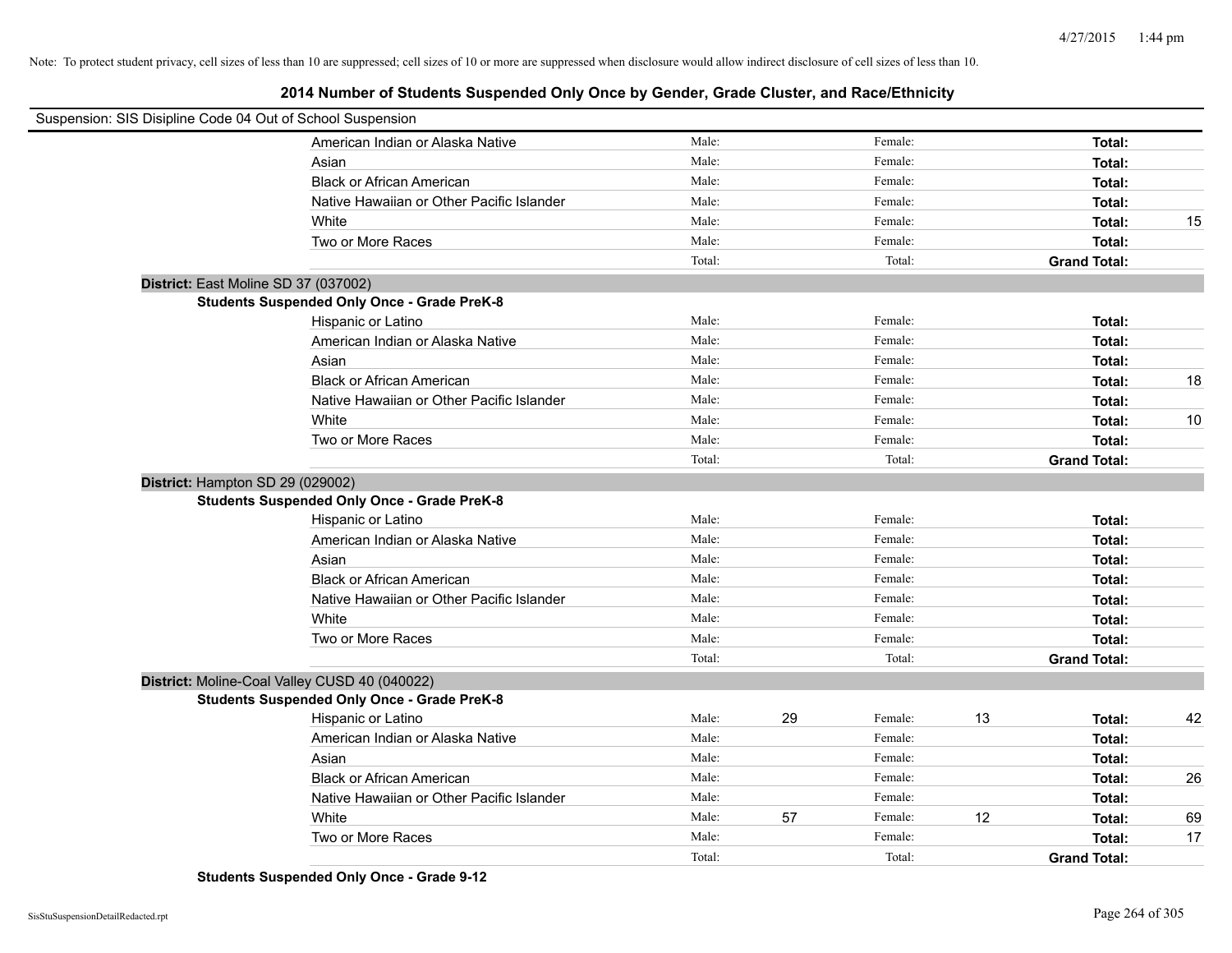**2014 Number of Students Suspended Only Once by Gender, Grade Cluster, and Race/Ethnicity**

| Suspension: SIS Disipline Code 04 Out of School Suspension |                                                    |        |    |         |    |                     |      |
|------------------------------------------------------------|----------------------------------------------------|--------|----|---------|----|---------------------|------|
|                                                            | American Indian or Alaska Native                   | Male:  |    | Female: |    | Total:              |      |
|                                                            | Asian                                              | Male:  |    | Female: |    | Total:              |      |
|                                                            | <b>Black or African American</b>                   | Male:  |    | Female: |    | Total:              |      |
|                                                            | Native Hawaiian or Other Pacific Islander          | Male:  |    | Female: |    | Total:              |      |
|                                                            | White                                              | Male:  |    | Female: |    | Total:              | 15   |
|                                                            | Two or More Races                                  | Male:  |    | Female: |    | Total:              |      |
|                                                            |                                                    | Total: |    | Total:  |    | <b>Grand Total:</b> |      |
| District: East Moline SD 37 (037002)                       |                                                    |        |    |         |    |                     |      |
|                                                            | <b>Students Suspended Only Once - Grade PreK-8</b> |        |    |         |    |                     |      |
|                                                            | Hispanic or Latino                                 | Male:  |    | Female: |    | Total:              |      |
|                                                            | American Indian or Alaska Native                   | Male:  |    | Female: |    | Total:              |      |
|                                                            | Asian                                              | Male:  |    | Female: |    | Total:              |      |
|                                                            | <b>Black or African American</b>                   | Male:  |    | Female: |    | Total:              | 18   |
|                                                            | Native Hawaiian or Other Pacific Islander          | Male:  |    | Female: |    | Total:              |      |
|                                                            | White                                              | Male:  |    | Female: |    | Total:              | $10$ |
|                                                            | Two or More Races                                  | Male:  |    | Female: |    | Total:              |      |
|                                                            |                                                    | Total: |    | Total:  |    | <b>Grand Total:</b> |      |
| District: Hampton SD 29 (029002)                           |                                                    |        |    |         |    |                     |      |
|                                                            | <b>Students Suspended Only Once - Grade PreK-8</b> |        |    |         |    |                     |      |
|                                                            | Hispanic or Latino                                 | Male:  |    | Female: |    | Total:              |      |
|                                                            | American Indian or Alaska Native                   | Male:  |    | Female: |    | Total:              |      |
|                                                            | Asian                                              | Male:  |    | Female: |    | Total:              |      |
|                                                            | <b>Black or African American</b>                   | Male:  |    | Female: |    | Total:              |      |
|                                                            | Native Hawaiian or Other Pacific Islander          | Male:  |    | Female: |    | Total:              |      |
|                                                            | White                                              | Male:  |    | Female: |    | Total:              |      |
|                                                            | Two or More Races                                  | Male:  |    | Female: |    | Total:              |      |
|                                                            |                                                    | Total: |    | Total:  |    | <b>Grand Total:</b> |      |
| District: Moline-Coal Valley CUSD 40 (040022)              |                                                    |        |    |         |    |                     |      |
|                                                            | <b>Students Suspended Only Once - Grade PreK-8</b> |        |    |         |    |                     |      |
|                                                            | Hispanic or Latino                                 | Male:  | 29 | Female: | 13 | Total:              | 42   |
|                                                            | American Indian or Alaska Native                   | Male:  |    | Female: |    | Total:              |      |
|                                                            | Asian                                              | Male:  |    | Female: |    | Total:              |      |
|                                                            | <b>Black or African American</b>                   | Male:  |    | Female: |    | Total:              | 26   |
|                                                            | Native Hawaiian or Other Pacific Islander          | Male:  |    | Female: |    | Total:              |      |
|                                                            | White                                              | Male:  | 57 | Female: | 12 | Total:              | 69   |
|                                                            | Two or More Races                                  | Male:  |    | Female: |    | Total:              | 17   |
|                                                            |                                                    | Total: |    | Total:  |    | <b>Grand Total:</b> |      |

**Students Suspended Only Once - Grade 9-12**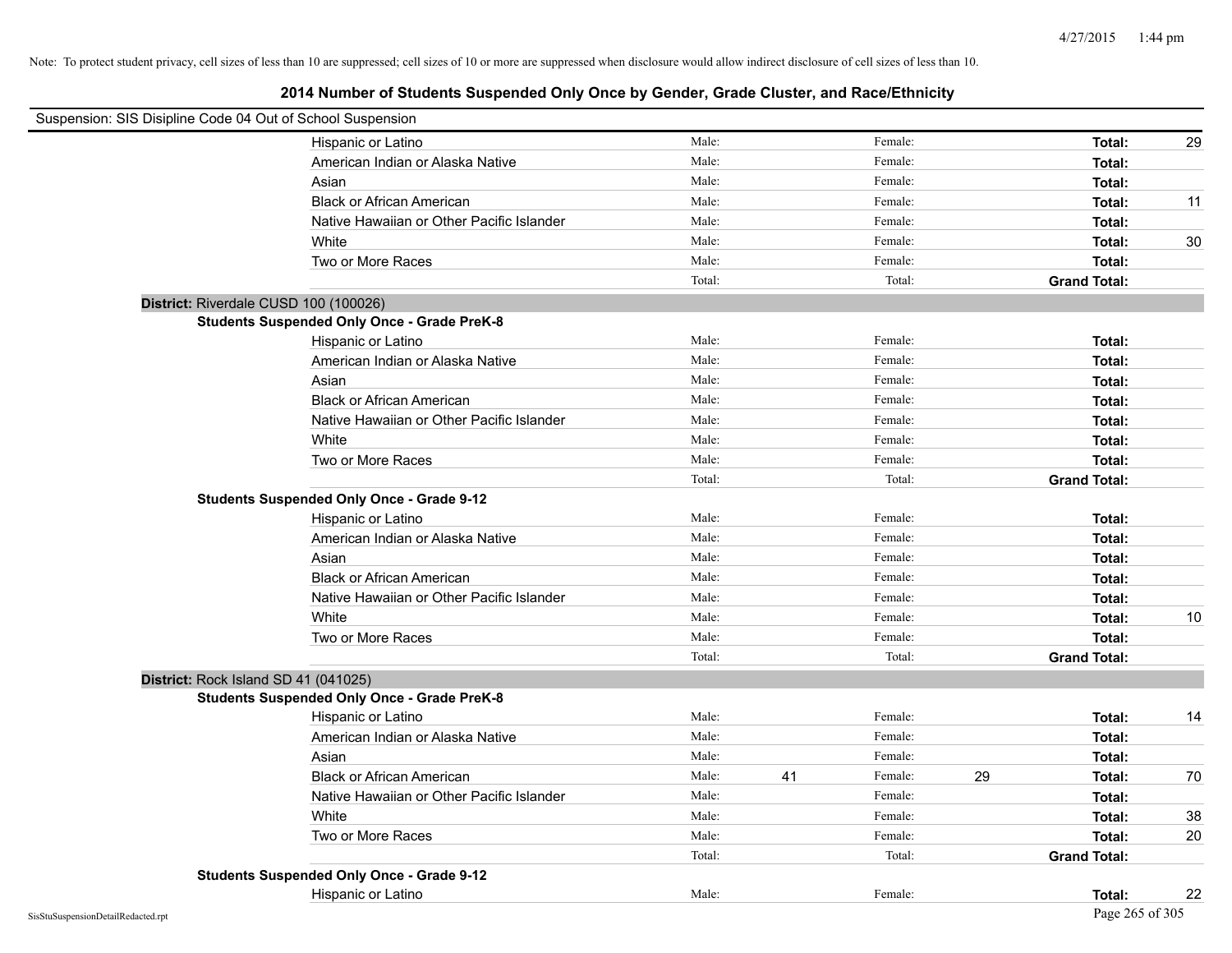| Suspension: SIS Disipline Code 04 Out of School Suspension |                                                    |        |    |         |    |                     |    |
|------------------------------------------------------------|----------------------------------------------------|--------|----|---------|----|---------------------|----|
|                                                            | Hispanic or Latino                                 | Male:  |    | Female: |    | Total:              | 29 |
|                                                            | American Indian or Alaska Native                   | Male:  |    | Female: |    | Total:              |    |
|                                                            | Asian                                              | Male:  |    | Female: |    | Total:              |    |
|                                                            | <b>Black or African American</b>                   | Male:  |    | Female: |    | Total:              | 11 |
|                                                            | Native Hawaiian or Other Pacific Islander          | Male:  |    | Female: |    | Total:              |    |
|                                                            | White                                              | Male:  |    | Female: |    | Total:              | 30 |
|                                                            | Two or More Races                                  | Male:  |    | Female: |    | Total:              |    |
|                                                            |                                                    | Total: |    | Total:  |    | <b>Grand Total:</b> |    |
| District: Riverdale CUSD 100 (100026)                      |                                                    |        |    |         |    |                     |    |
|                                                            | <b>Students Suspended Only Once - Grade PreK-8</b> |        |    |         |    |                     |    |
|                                                            | Hispanic or Latino                                 | Male:  |    | Female: |    | Total:              |    |
|                                                            | American Indian or Alaska Native                   | Male:  |    | Female: |    | Total:              |    |
|                                                            | Asian                                              | Male:  |    | Female: |    | Total:              |    |
|                                                            | <b>Black or African American</b>                   | Male:  |    | Female: |    | Total:              |    |
|                                                            | Native Hawaiian or Other Pacific Islander          | Male:  |    | Female: |    | Total:              |    |
|                                                            | White                                              | Male:  |    | Female: |    | Total:              |    |
|                                                            | Two or More Races                                  | Male:  |    | Female: |    | Total:              |    |
|                                                            |                                                    | Total: |    | Total:  |    | <b>Grand Total:</b> |    |
|                                                            | <b>Students Suspended Only Once - Grade 9-12</b>   |        |    |         |    |                     |    |
|                                                            | Hispanic or Latino                                 | Male:  |    | Female: |    | Total:              |    |
|                                                            | American Indian or Alaska Native                   | Male:  |    | Female: |    | Total:              |    |
|                                                            | Asian                                              | Male:  |    | Female: |    | Total:              |    |
|                                                            | <b>Black or African American</b>                   | Male:  |    | Female: |    | Total:              |    |
|                                                            | Native Hawaiian or Other Pacific Islander          | Male:  |    | Female: |    | Total:              |    |
|                                                            | White                                              | Male:  |    | Female: |    | Total:              | 10 |
|                                                            | Two or More Races                                  | Male:  |    | Female: |    | Total:              |    |
|                                                            |                                                    | Total: |    | Total:  |    | <b>Grand Total:</b> |    |
| District: Rock Island SD 41 (041025)                       |                                                    |        |    |         |    |                     |    |
|                                                            | <b>Students Suspended Only Once - Grade PreK-8</b> |        |    |         |    |                     |    |
|                                                            | Hispanic or Latino                                 | Male:  |    | Female: |    | Total:              | 14 |
|                                                            | American Indian or Alaska Native                   | Male:  |    | Female: |    | Total:              |    |
|                                                            | Asian                                              | Male:  |    | Female: |    | Total:              |    |
|                                                            | <b>Black or African American</b>                   | Male:  | 41 | Female: | 29 | Total:              | 70 |
|                                                            | Native Hawaiian or Other Pacific Islander          | Male:  |    | Female: |    | Total:              |    |
|                                                            | White                                              | Male:  |    | Female: |    | Total:              | 38 |
|                                                            | Two or More Races                                  | Male:  |    | Female: |    | Total:              | 20 |
|                                                            |                                                    | Total: |    | Total:  |    | <b>Grand Total:</b> |    |
|                                                            | <b>Students Suspended Only Once - Grade 9-12</b>   |        |    |         |    |                     |    |
|                                                            | Hispanic or Latino                                 | Male:  |    | Female: |    | Total:              | 22 |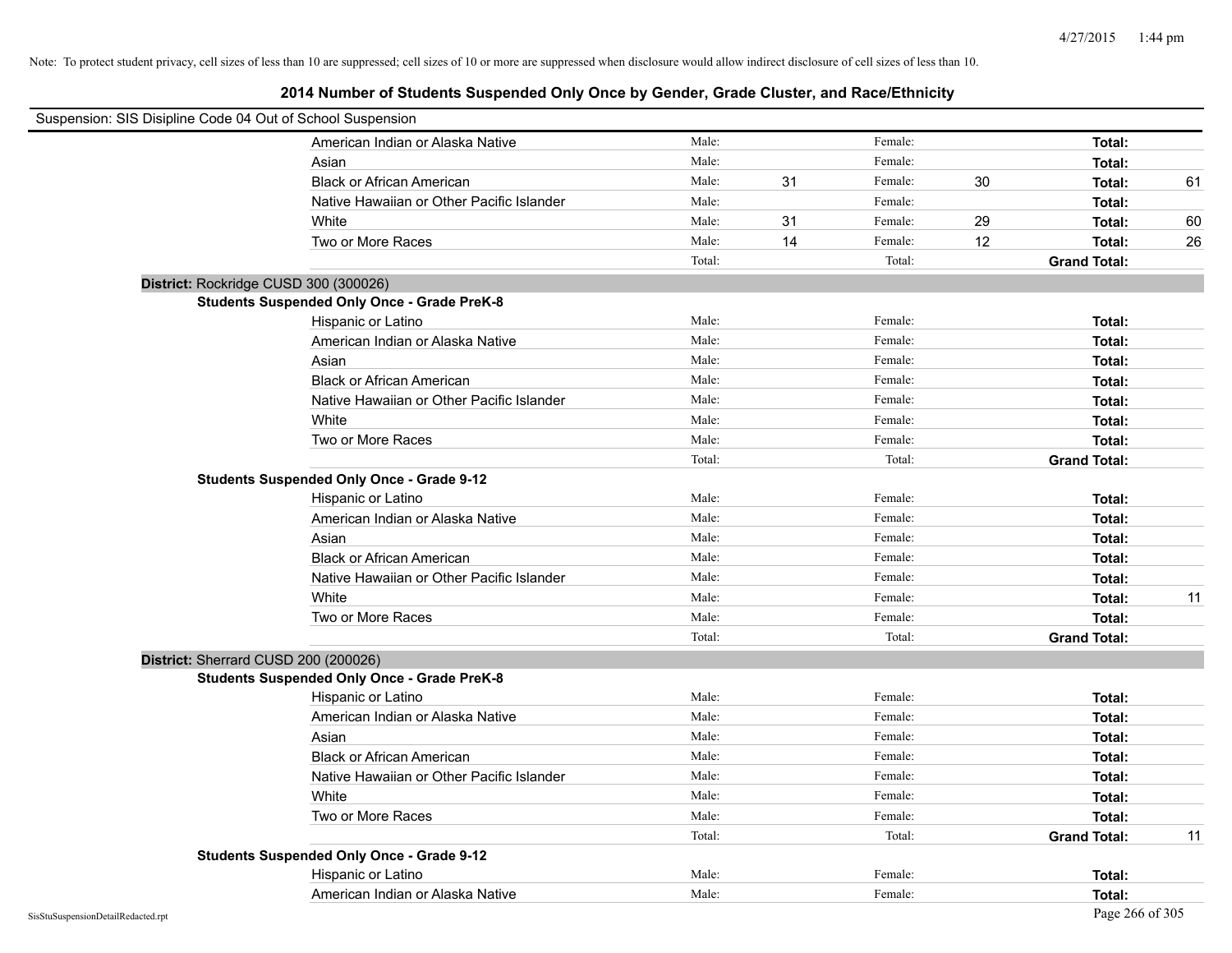| Suspension: SIS Disipline Code 04 Out of School Suspension |                                                    |        |    |         |    |                     |    |
|------------------------------------------------------------|----------------------------------------------------|--------|----|---------|----|---------------------|----|
|                                                            | American Indian or Alaska Native                   | Male:  |    | Female: |    | Total:              |    |
|                                                            | Asian                                              | Male:  |    | Female: |    | Total:              |    |
|                                                            | <b>Black or African American</b>                   | Male:  | 31 | Female: | 30 | Total:              | 61 |
|                                                            | Native Hawaiian or Other Pacific Islander          | Male:  |    | Female: |    | Total:              |    |
|                                                            | White                                              | Male:  | 31 | Female: | 29 | Total:              | 60 |
|                                                            | Two or More Races                                  | Male:  | 14 | Female: | 12 | Total:              | 26 |
|                                                            |                                                    | Total: |    | Total:  |    | <b>Grand Total:</b> |    |
| District: Rockridge CUSD 300 (300026)                      |                                                    |        |    |         |    |                     |    |
|                                                            | <b>Students Suspended Only Once - Grade PreK-8</b> |        |    |         |    |                     |    |
|                                                            | Hispanic or Latino                                 | Male:  |    | Female: |    | Total:              |    |
|                                                            | American Indian or Alaska Native                   | Male:  |    | Female: |    | Total:              |    |
|                                                            | Asian                                              | Male:  |    | Female: |    | Total:              |    |
|                                                            | <b>Black or African American</b>                   | Male:  |    | Female: |    | Total:              |    |
|                                                            | Native Hawaiian or Other Pacific Islander          | Male:  |    | Female: |    | Total:              |    |
|                                                            | White                                              | Male:  |    | Female: |    | Total:              |    |
|                                                            | Two or More Races                                  | Male:  |    | Female: |    | Total:              |    |
|                                                            |                                                    | Total: |    | Total:  |    | <b>Grand Total:</b> |    |
|                                                            | <b>Students Suspended Only Once - Grade 9-12</b>   |        |    |         |    |                     |    |
|                                                            | Hispanic or Latino                                 | Male:  |    | Female: |    | Total:              |    |
|                                                            | American Indian or Alaska Native                   | Male:  |    | Female: |    | Total:              |    |
|                                                            | Asian                                              | Male:  |    | Female: |    | Total:              |    |
|                                                            | <b>Black or African American</b>                   | Male:  |    | Female: |    | Total:              |    |
|                                                            | Native Hawaiian or Other Pacific Islander          | Male:  |    | Female: |    | Total:              |    |
|                                                            | White                                              | Male:  |    | Female: |    | Total:              | 11 |
|                                                            | Two or More Races                                  | Male:  |    | Female: |    | Total:              |    |
|                                                            |                                                    | Total: |    | Total:  |    | <b>Grand Total:</b> |    |
| District: Sherrard CUSD 200 (200026)                       |                                                    |        |    |         |    |                     |    |
|                                                            | <b>Students Suspended Only Once - Grade PreK-8</b> |        |    |         |    |                     |    |
|                                                            | Hispanic or Latino                                 | Male:  |    | Female: |    | Total:              |    |
|                                                            | American Indian or Alaska Native                   | Male:  |    | Female: |    | Total:              |    |
|                                                            | Asian                                              | Male:  |    | Female: |    | Total:              |    |
|                                                            | <b>Black or African American</b>                   | Male:  |    | Female: |    | Total:              |    |
|                                                            | Native Hawaiian or Other Pacific Islander          | Male:  |    | Female: |    | Total:              |    |
|                                                            | White                                              | Male:  |    | Female: |    | Total:              |    |
|                                                            | Two or More Races                                  | Male:  |    | Female: |    | Total:              |    |
|                                                            |                                                    | Total: |    | Total:  |    | <b>Grand Total:</b> | 11 |
|                                                            | <b>Students Suspended Only Once - Grade 9-12</b>   |        |    |         |    |                     |    |
|                                                            | Hispanic or Latino                                 | Male:  |    | Female: |    | Total:              |    |
|                                                            | American Indian or Alaska Native                   | Male:  |    | Female: |    | Total:              |    |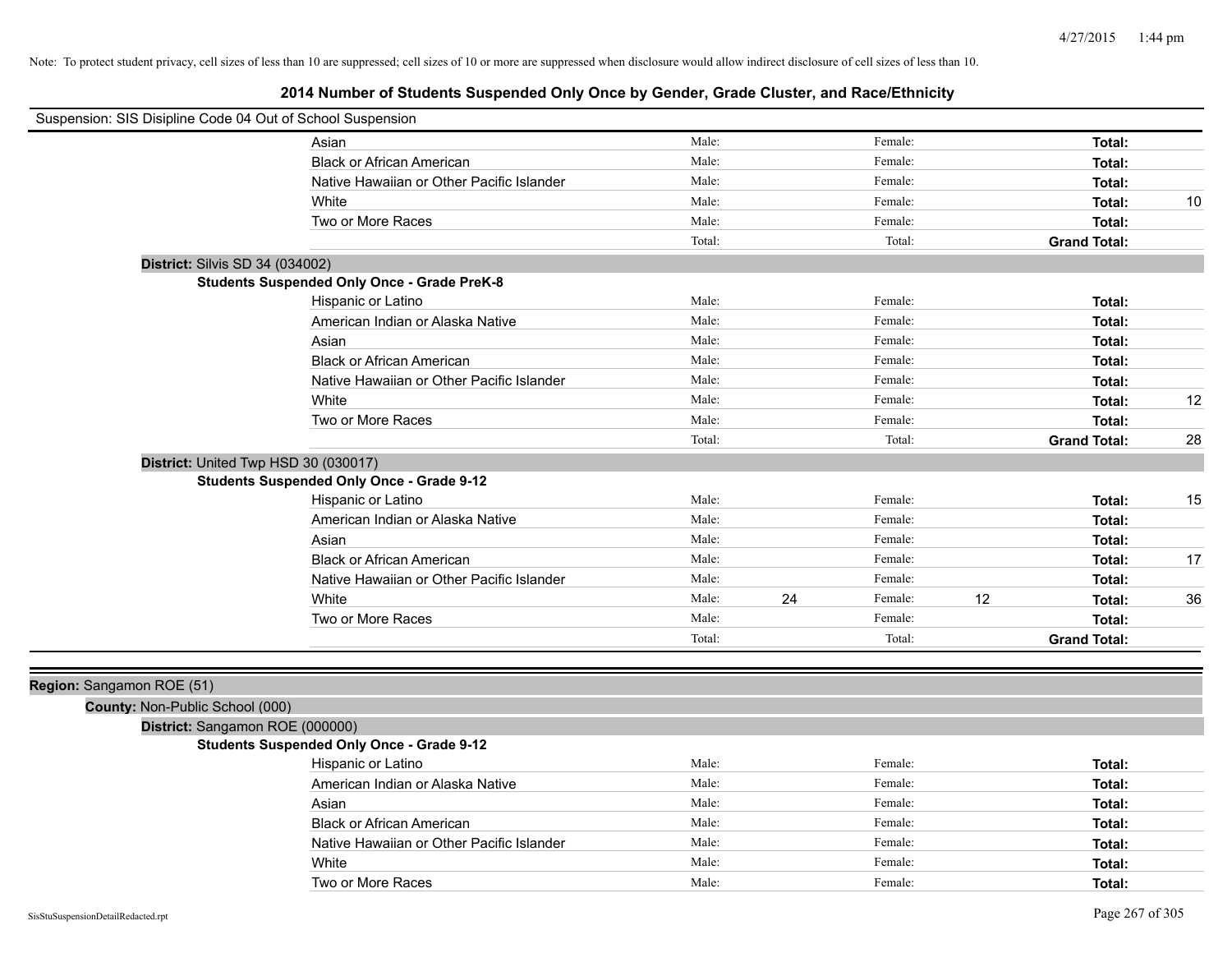| Suspension: SIS Disipline Code 04 Out of School Suspension |                                                    |        |    |         |                     |    |
|------------------------------------------------------------|----------------------------------------------------|--------|----|---------|---------------------|----|
|                                                            | Asian                                              | Male:  |    | Female: | Total:              |    |
|                                                            | <b>Black or African American</b>                   | Male:  |    | Female: | Total:              |    |
|                                                            | Native Hawaiian or Other Pacific Islander          | Male:  |    | Female: | Total:              |    |
|                                                            | White                                              | Male:  |    | Female: | Total:              | 10 |
|                                                            | Two or More Races                                  | Male:  |    | Female: | Total:              |    |
|                                                            |                                                    | Total: |    | Total:  | <b>Grand Total:</b> |    |
| District: Silvis SD 34 (034002)                            |                                                    |        |    |         |                     |    |
|                                                            | <b>Students Suspended Only Once - Grade PreK-8</b> |        |    |         |                     |    |
|                                                            | Hispanic or Latino                                 | Male:  |    | Female: | Total:              |    |
|                                                            | American Indian or Alaska Native                   | Male:  |    | Female: | Total:              |    |
|                                                            | Asian                                              | Male:  |    | Female: | Total:              |    |
|                                                            | <b>Black or African American</b>                   | Male:  |    | Female: | Total:              |    |
|                                                            | Native Hawaiian or Other Pacific Islander          | Male:  |    | Female: | Total:              |    |
|                                                            | White                                              | Male:  |    | Female: | Total:              | 12 |
|                                                            | Two or More Races                                  | Male:  |    | Female: | Total:              |    |
|                                                            |                                                    | Total: |    | Total:  | <b>Grand Total:</b> | 28 |
| District: United Twp HSD 30 (030017)                       |                                                    |        |    |         |                     |    |
|                                                            | <b>Students Suspended Only Once - Grade 9-12</b>   |        |    |         |                     |    |
|                                                            | Hispanic or Latino                                 | Male:  |    | Female: | Total:              | 15 |
|                                                            | American Indian or Alaska Native                   | Male:  |    | Female: | Total:              |    |
|                                                            | Asian                                              | Male:  |    | Female: | Total:              |    |
|                                                            | <b>Black or African American</b>                   | Male:  |    | Female: | Total:              | 17 |
|                                                            | Native Hawaiian or Other Pacific Islander          | Male:  |    | Female: | Total:              |    |
|                                                            | White                                              | Male:  | 24 | Female: | 12<br>Total:        | 36 |
|                                                            | Two or More Races                                  | Male:  |    | Female: | <b>Total:</b>       |    |
|                                                            |                                                    | Total: |    | Total:  | <b>Grand Total:</b> |    |
|                                                            |                                                    |        |    |         |                     |    |
| Region: Sangamon ROE (51)                                  |                                                    |        |    |         |                     |    |
| County: Non-Public School (000)                            |                                                    |        |    |         |                     |    |
| District: Sangamon ROE (000000)                            |                                                    |        |    |         |                     |    |
|                                                            | <b>Students Suspended Only Once - Grade 9-12</b>   |        |    |         |                     |    |
|                                                            | Hispanic or Latino                                 | Male:  |    | Female: | Total:              |    |
|                                                            | American Indian or Alaska Native                   | Male:  |    | Female: | Total:              |    |
|                                                            | Asian                                              | Male:  |    | Female: | Total:              |    |
|                                                            | <b>Black or African American</b>                   | Male:  |    | Female: | Total:              |    |
|                                                            | Native Hawaiian or Other Pacific Islander          | Male:  |    | Female: | Total:              |    |
|                                                            | White                                              | Male:  |    | Female: | Total:              |    |
|                                                            | Two or More Races                                  | Male:  |    | Female: | Total:              |    |
|                                                            |                                                    |        |    |         |                     |    |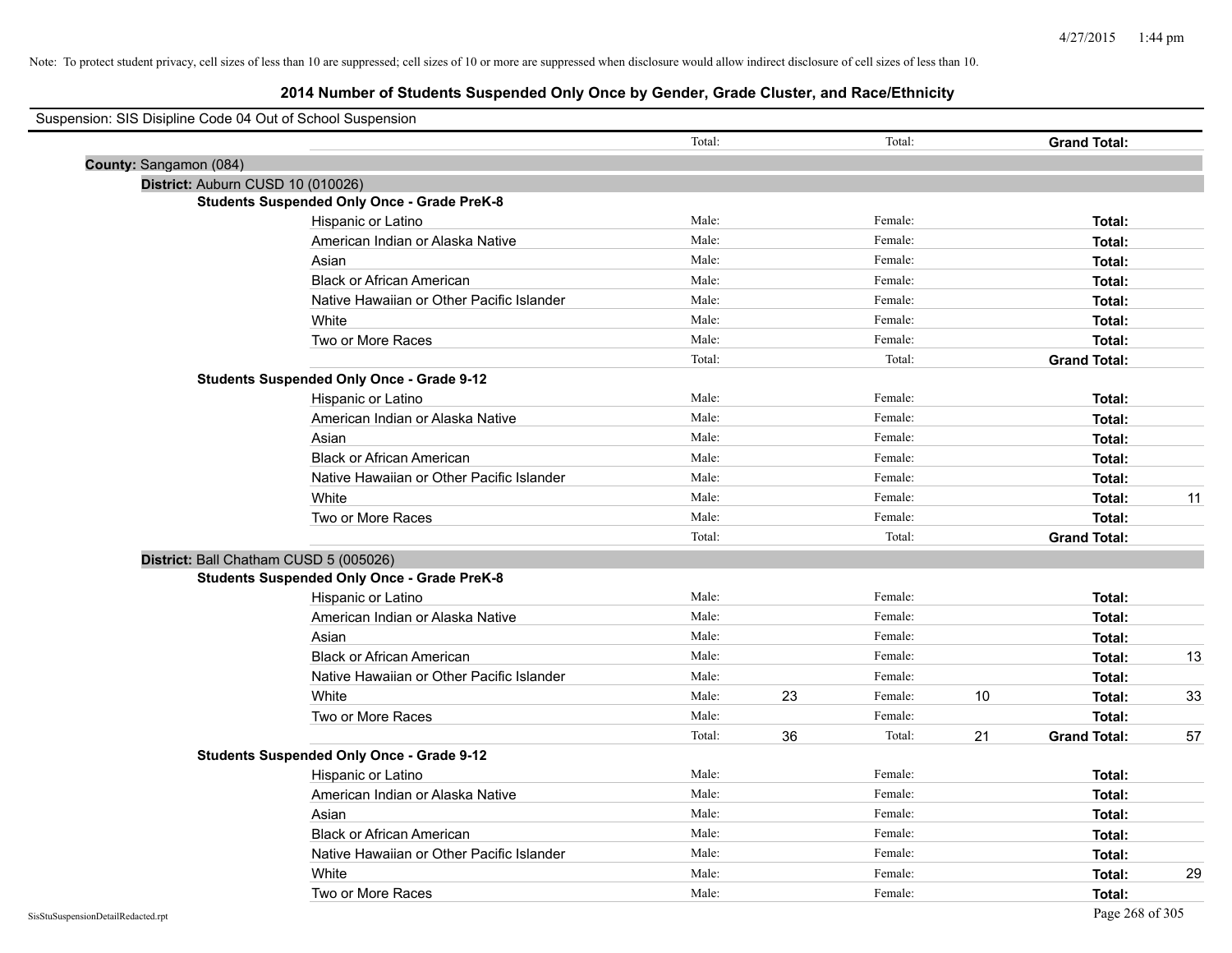| Suspension: SIS Disipline Code 04 Out of School Suspension |                                                    |        |    |         |    |                     |    |
|------------------------------------------------------------|----------------------------------------------------|--------|----|---------|----|---------------------|----|
|                                                            |                                                    | Total: |    | Total:  |    | <b>Grand Total:</b> |    |
| County: Sangamon (084)                                     |                                                    |        |    |         |    |                     |    |
|                                                            | District: Auburn CUSD 10 (010026)                  |        |    |         |    |                     |    |
|                                                            | <b>Students Suspended Only Once - Grade PreK-8</b> |        |    |         |    |                     |    |
|                                                            | Hispanic or Latino                                 | Male:  |    | Female: |    | Total:              |    |
|                                                            | American Indian or Alaska Native                   | Male:  |    | Female: |    | Total:              |    |
|                                                            | Asian                                              | Male:  |    | Female: |    | Total:              |    |
|                                                            | <b>Black or African American</b>                   | Male:  |    | Female: |    | Total:              |    |
|                                                            | Native Hawaiian or Other Pacific Islander          | Male:  |    | Female: |    | Total:              |    |
|                                                            | White                                              | Male:  |    | Female: |    | Total:              |    |
|                                                            | Two or More Races                                  | Male:  |    | Female: |    | Total:              |    |
|                                                            |                                                    | Total: |    | Total:  |    | <b>Grand Total:</b> |    |
|                                                            | <b>Students Suspended Only Once - Grade 9-12</b>   |        |    |         |    |                     |    |
|                                                            | Hispanic or Latino                                 | Male:  |    | Female: |    | Total:              |    |
|                                                            | American Indian or Alaska Native                   | Male:  |    | Female: |    | Total:              |    |
|                                                            | Asian                                              | Male:  |    | Female: |    | Total:              |    |
|                                                            | <b>Black or African American</b>                   | Male:  |    | Female: |    | Total:              |    |
|                                                            | Native Hawaiian or Other Pacific Islander          | Male:  |    | Female: |    | Total:              |    |
|                                                            | White                                              | Male:  |    | Female: |    | Total:              | 11 |
|                                                            | Two or More Races                                  | Male:  |    | Female: |    | Total:              |    |
|                                                            |                                                    | Total: |    | Total:  |    | <b>Grand Total:</b> |    |
|                                                            | District: Ball Chatham CUSD 5 (005026)             |        |    |         |    |                     |    |
|                                                            | <b>Students Suspended Only Once - Grade PreK-8</b> |        |    |         |    |                     |    |
|                                                            | Hispanic or Latino                                 | Male:  |    | Female: |    | Total:              |    |
|                                                            | American Indian or Alaska Native                   | Male:  |    | Female: |    | Total:              |    |
|                                                            | Asian                                              | Male:  |    | Female: |    | Total:              |    |
|                                                            | <b>Black or African American</b>                   | Male:  |    | Female: |    | Total:              | 13 |
|                                                            | Native Hawaiian or Other Pacific Islander          | Male:  |    | Female: |    | Total:              |    |
|                                                            | White                                              | Male:  | 23 | Female: | 10 | Total:              | 33 |
|                                                            | Two or More Races                                  | Male:  |    | Female: |    | Total:              |    |
|                                                            |                                                    | Total: | 36 | Total:  | 21 | <b>Grand Total:</b> | 57 |
|                                                            | <b>Students Suspended Only Once - Grade 9-12</b>   |        |    |         |    |                     |    |
|                                                            | Hispanic or Latino                                 | Male:  |    | Female: |    | Total:              |    |
|                                                            | American Indian or Alaska Native                   | Male:  |    | Female: |    | Total:              |    |
|                                                            | Asian                                              | Male:  |    | Female: |    | Total:              |    |
|                                                            | <b>Black or African American</b>                   | Male:  |    | Female: |    | Total:              |    |
|                                                            | Native Hawaiian or Other Pacific Islander          | Male:  |    | Female: |    | Total:              |    |
|                                                            | White                                              | Male:  |    | Female: |    | Total:              | 29 |
|                                                            | Two or More Races                                  | Male:  |    | Female: |    | Total:              |    |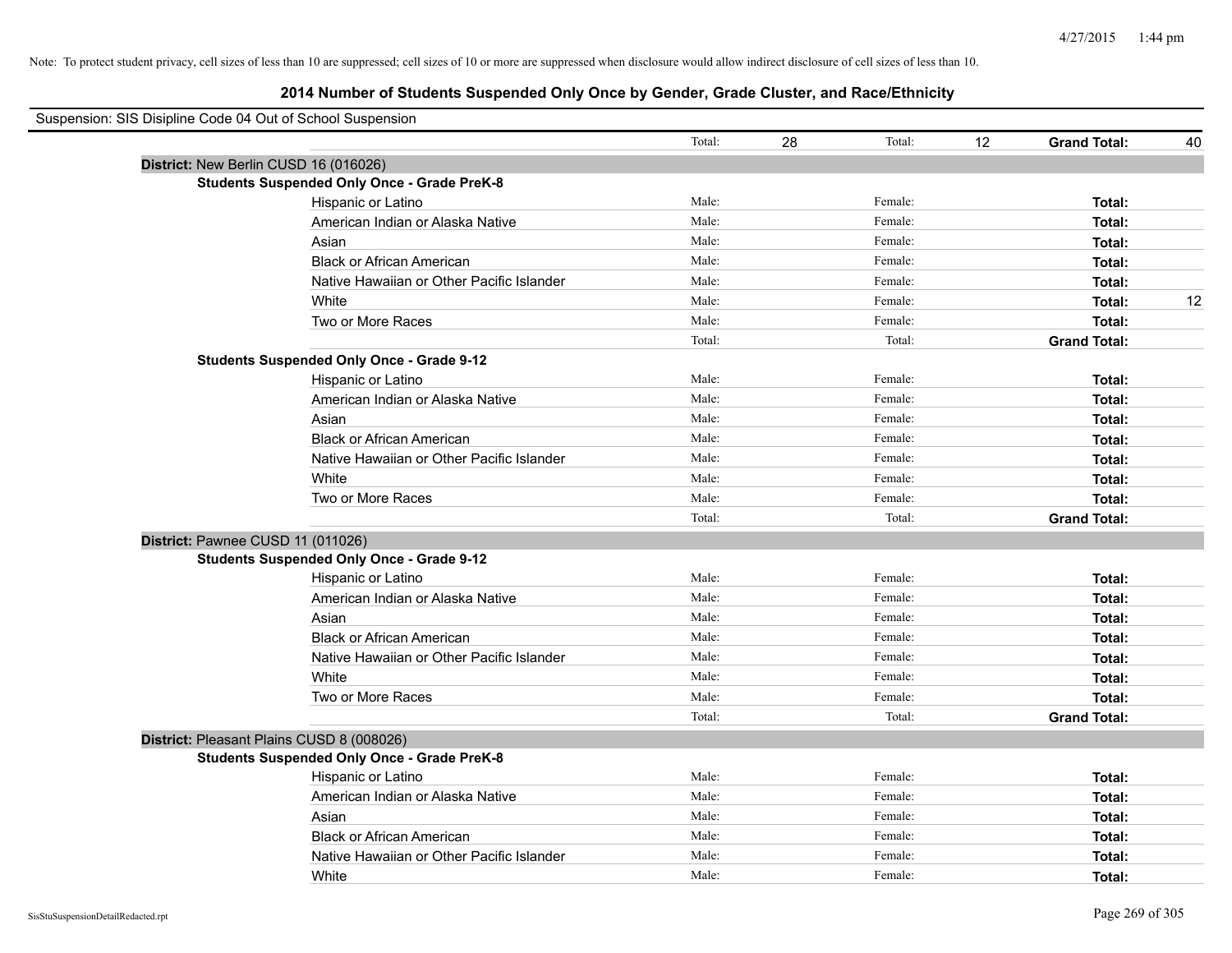| Suspension: SIS Disipline Code 04 Out of School Suspension |        |              |                                          |    |
|------------------------------------------------------------|--------|--------------|------------------------------------------|----|
|                                                            | Total: | 28<br>Total: | $12 \overline{ }$<br><b>Grand Total:</b> | 40 |
| District: New Berlin CUSD 16 (016026)                      |        |              |                                          |    |
| <b>Students Suspended Only Once - Grade PreK-8</b>         |        |              |                                          |    |
| Hispanic or Latino                                         | Male:  | Female:      | Total:                                   |    |
| American Indian or Alaska Native                           | Male:  | Female:      | Total:                                   |    |
| Asian                                                      | Male:  | Female:      | Total:                                   |    |
| <b>Black or African American</b>                           | Male:  | Female:      | Total:                                   |    |
| Native Hawaiian or Other Pacific Islander                  | Male:  | Female:      | Total:                                   |    |
| White                                                      | Male:  | Female:      | Total:                                   | 12 |
| Two or More Races                                          | Male:  | Female:      | Total:                                   |    |
|                                                            | Total: | Total:       | <b>Grand Total:</b>                      |    |
| <b>Students Suspended Only Once - Grade 9-12</b>           |        |              |                                          |    |
| Hispanic or Latino                                         | Male:  | Female:      | Total:                                   |    |
| American Indian or Alaska Native                           | Male:  | Female:      | Total:                                   |    |
| Asian                                                      | Male:  | Female:      | Total:                                   |    |
| <b>Black or African American</b>                           | Male:  | Female:      | Total:                                   |    |
| Native Hawaiian or Other Pacific Islander                  | Male:  | Female:      | Total:                                   |    |
| White                                                      | Male:  | Female:      | Total:                                   |    |
| Two or More Races                                          | Male:  | Female:      | Total:                                   |    |
|                                                            | Total: | Total:       | <b>Grand Total:</b>                      |    |
| District: Pawnee CUSD 11 (011026)                          |        |              |                                          |    |
| <b>Students Suspended Only Once - Grade 9-12</b>           |        |              |                                          |    |
| Hispanic or Latino                                         | Male:  | Female:      | Total:                                   |    |
| American Indian or Alaska Native                           | Male:  | Female:      | Total:                                   |    |
| Asian                                                      | Male:  | Female:      | Total:                                   |    |
| <b>Black or African American</b>                           | Male:  | Female:      | Total:                                   |    |
| Native Hawaiian or Other Pacific Islander                  | Male:  | Female:      | Total:                                   |    |
| White                                                      | Male:  | Female:      | Total:                                   |    |
| Two or More Races                                          | Male:  | Female:      | Total:                                   |    |
|                                                            | Total: | Total:       | <b>Grand Total:</b>                      |    |
| District: Pleasant Plains CUSD 8 (008026)                  |        |              |                                          |    |
| <b>Students Suspended Only Once - Grade PreK-8</b>         |        |              |                                          |    |
| Hispanic or Latino                                         | Male:  | Female:      | Total:                                   |    |
| American Indian or Alaska Native                           | Male:  | Female:      | Total:                                   |    |
| Asian                                                      | Male:  | Female:      | Total:                                   |    |
| <b>Black or African American</b>                           | Male:  | Female:      | Total:                                   |    |
| Native Hawaiian or Other Pacific Islander                  | Male:  | Female:      | Total:                                   |    |
| White                                                      | Male:  | Female:      | Total:                                   |    |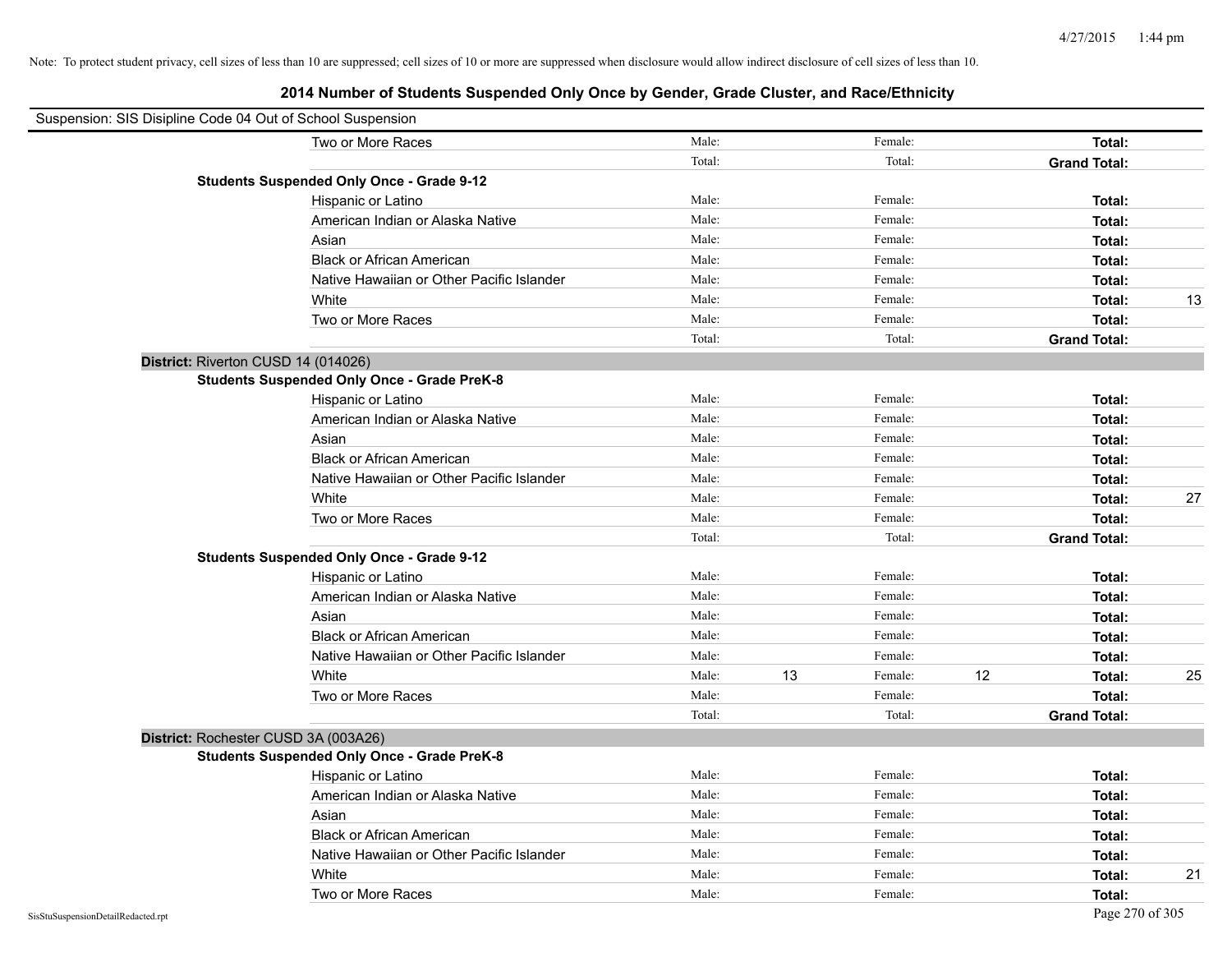| Suspension: SIS Disipline Code 04 Out of School Suspension |                                                    |        |    |         |    |                     |    |
|------------------------------------------------------------|----------------------------------------------------|--------|----|---------|----|---------------------|----|
|                                                            | Two or More Races                                  | Male:  |    | Female: |    | Total:              |    |
|                                                            |                                                    | Total: |    | Total:  |    | <b>Grand Total:</b> |    |
|                                                            | <b>Students Suspended Only Once - Grade 9-12</b>   |        |    |         |    |                     |    |
|                                                            | Hispanic or Latino                                 | Male:  |    | Female: |    | Total:              |    |
|                                                            | American Indian or Alaska Native                   | Male:  |    | Female: |    | Total:              |    |
|                                                            | Asian                                              | Male:  |    | Female: |    | Total:              |    |
|                                                            | <b>Black or African American</b>                   | Male:  |    | Female: |    | Total:              |    |
|                                                            | Native Hawaiian or Other Pacific Islander          | Male:  |    | Female: |    | Total:              |    |
|                                                            | White                                              | Male:  |    | Female: |    | Total:              | 13 |
|                                                            | Two or More Races                                  | Male:  |    | Female: |    | Total:              |    |
|                                                            |                                                    | Total: |    | Total:  |    | <b>Grand Total:</b> |    |
|                                                            | District: Riverton CUSD 14 (014026)                |        |    |         |    |                     |    |
|                                                            | <b>Students Suspended Only Once - Grade PreK-8</b> |        |    |         |    |                     |    |
|                                                            | Hispanic or Latino                                 | Male:  |    | Female: |    | Total:              |    |
|                                                            | American Indian or Alaska Native                   | Male:  |    | Female: |    | Total:              |    |
|                                                            | Asian                                              | Male:  |    | Female: |    | Total:              |    |
|                                                            | <b>Black or African American</b>                   | Male:  |    | Female: |    | Total:              |    |
|                                                            | Native Hawaiian or Other Pacific Islander          | Male:  |    | Female: |    | Total:              |    |
|                                                            | White                                              | Male:  |    | Female: |    | Total:              | 27 |
|                                                            | Two or More Races                                  | Male:  |    | Female: |    | Total:              |    |
|                                                            |                                                    | Total: |    | Total:  |    | <b>Grand Total:</b> |    |
|                                                            | <b>Students Suspended Only Once - Grade 9-12</b>   |        |    |         |    |                     |    |
|                                                            | Hispanic or Latino                                 | Male:  |    | Female: |    | Total:              |    |
|                                                            | American Indian or Alaska Native                   | Male:  |    | Female: |    | Total:              |    |
|                                                            | Asian                                              | Male:  |    | Female: |    | Total:              |    |
|                                                            | <b>Black or African American</b>                   | Male:  |    | Female: |    | Total:              |    |
|                                                            | Native Hawaiian or Other Pacific Islander          | Male:  |    | Female: |    | Total:              |    |
|                                                            | White                                              | Male:  | 13 | Female: | 12 | Total:              | 25 |
|                                                            | Two or More Races                                  | Male:  |    | Female: |    | Total:              |    |
|                                                            |                                                    | Total: |    | Total:  |    | <b>Grand Total:</b> |    |
|                                                            | District: Rochester CUSD 3A (003A26)               |        |    |         |    |                     |    |
|                                                            | <b>Students Suspended Only Once - Grade PreK-8</b> |        |    |         |    |                     |    |
|                                                            | Hispanic or Latino                                 | Male:  |    | Female: |    | Total:              |    |
|                                                            | American Indian or Alaska Native                   | Male:  |    | Female: |    | Total:              |    |
|                                                            | Asian                                              | Male:  |    | Female: |    | Total:              |    |
|                                                            | <b>Black or African American</b>                   | Male:  |    | Female: |    | Total:              |    |
|                                                            | Native Hawaiian or Other Pacific Islander          | Male:  |    | Female: |    | Total:              |    |
|                                                            | White                                              | Male:  |    | Female: |    | Total:              | 21 |
|                                                            | Two or More Races                                  | Male:  |    | Female: |    | Total:              |    |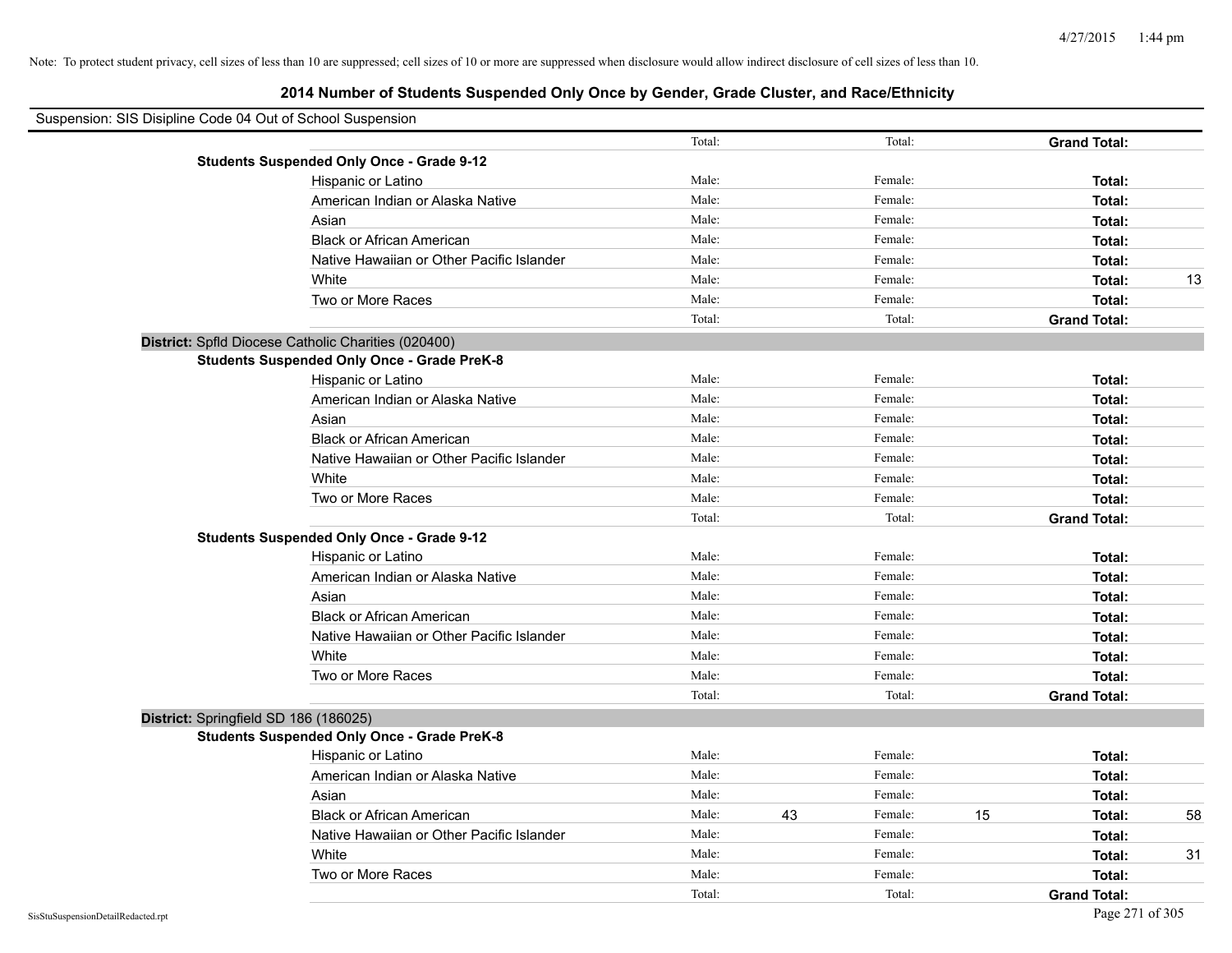| Suspension: SIS Disipline Code 04 Out of School Suspension |                                                     |        |    |         |    |                     |    |
|------------------------------------------------------------|-----------------------------------------------------|--------|----|---------|----|---------------------|----|
|                                                            |                                                     | Total: |    | Total:  |    | <b>Grand Total:</b> |    |
|                                                            | <b>Students Suspended Only Once - Grade 9-12</b>    |        |    |         |    |                     |    |
|                                                            | Hispanic or Latino                                  | Male:  |    | Female: |    | Total:              |    |
|                                                            | American Indian or Alaska Native                    | Male:  |    | Female: |    | Total:              |    |
|                                                            | Asian                                               | Male:  |    | Female: |    | Total:              |    |
|                                                            | <b>Black or African American</b>                    | Male:  |    | Female: |    | Total:              |    |
|                                                            | Native Hawaiian or Other Pacific Islander           | Male:  |    | Female: |    | Total:              |    |
|                                                            | White                                               | Male:  |    | Female: |    | Total:              | 13 |
|                                                            | Two or More Races                                   | Male:  |    | Female: |    | Total:              |    |
|                                                            |                                                     | Total: |    | Total:  |    | <b>Grand Total:</b> |    |
|                                                            | District: Spfld Diocese Catholic Charities (020400) |        |    |         |    |                     |    |
|                                                            | <b>Students Suspended Only Once - Grade PreK-8</b>  |        |    |         |    |                     |    |
|                                                            | Hispanic or Latino                                  | Male:  |    | Female: |    | Total:              |    |
|                                                            | American Indian or Alaska Native                    | Male:  |    | Female: |    | Total:              |    |
|                                                            | Asian                                               | Male:  |    | Female: |    | Total:              |    |
|                                                            | <b>Black or African American</b>                    | Male:  |    | Female: |    | Total:              |    |
|                                                            | Native Hawaiian or Other Pacific Islander           | Male:  |    | Female: |    | Total:              |    |
|                                                            | White                                               | Male:  |    | Female: |    | Total:              |    |
|                                                            | Two or More Races                                   | Male:  |    | Female: |    | Total:              |    |
|                                                            |                                                     | Total: |    | Total:  |    | <b>Grand Total:</b> |    |
|                                                            | <b>Students Suspended Only Once - Grade 9-12</b>    |        |    |         |    |                     |    |
|                                                            | Hispanic or Latino                                  | Male:  |    | Female: |    | Total:              |    |
|                                                            | American Indian or Alaska Native                    | Male:  |    | Female: |    | Total:              |    |
|                                                            | Asian                                               | Male:  |    | Female: |    | Total:              |    |
|                                                            | <b>Black or African American</b>                    | Male:  |    | Female: |    | Total:              |    |
|                                                            | Native Hawaiian or Other Pacific Islander           | Male:  |    | Female: |    | Total:              |    |
|                                                            | White                                               | Male:  |    | Female: |    | Total:              |    |
|                                                            | Two or More Races                                   | Male:  |    | Female: |    | Total:              |    |
|                                                            |                                                     | Total: |    | Total:  |    | <b>Grand Total:</b> |    |
| District: Springfield SD 186 (186025)                      |                                                     |        |    |         |    |                     |    |
|                                                            | <b>Students Suspended Only Once - Grade PreK-8</b>  |        |    |         |    |                     |    |
|                                                            | Hispanic or Latino                                  | Male:  |    | Female: |    | Total:              |    |
|                                                            | American Indian or Alaska Native                    | Male:  |    | Female: |    | Total:              |    |
|                                                            | Asian                                               | Male:  |    | Female: |    | Total:              |    |
|                                                            | <b>Black or African American</b>                    | Male:  | 43 | Female: | 15 | Total:              | 58 |
|                                                            | Native Hawaiian or Other Pacific Islander           | Male:  |    | Female: |    | Total:              |    |
|                                                            | White                                               | Male:  |    | Female: |    | Total:              | 31 |
|                                                            | Two or More Races                                   | Male:  |    | Female: |    | Total:              |    |
|                                                            |                                                     | Total: |    | Total:  |    | <b>Grand Total:</b> |    |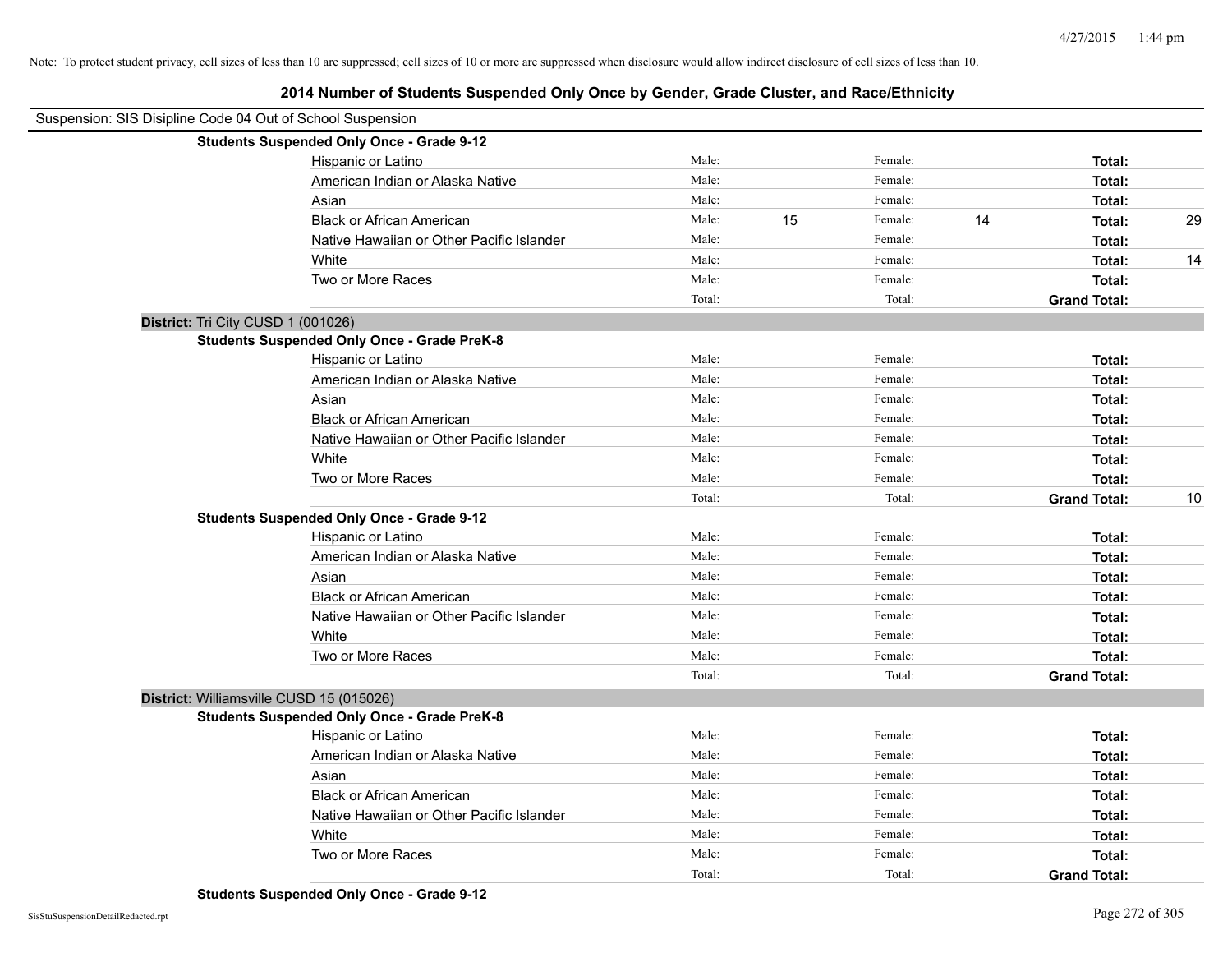| Suspension: SIS Disipline Code 04 Out of School Suspension |                                                    |        |    |         |    |                     |    |
|------------------------------------------------------------|----------------------------------------------------|--------|----|---------|----|---------------------|----|
|                                                            | <b>Students Suspended Only Once - Grade 9-12</b>   |        |    |         |    |                     |    |
|                                                            | Hispanic or Latino                                 | Male:  |    | Female: |    | Total:              |    |
|                                                            | American Indian or Alaska Native                   | Male:  |    | Female: |    | Total:              |    |
|                                                            | Asian                                              | Male:  |    | Female: |    | Total:              |    |
|                                                            | <b>Black or African American</b>                   | Male:  | 15 | Female: | 14 | Total:              | 29 |
|                                                            | Native Hawaiian or Other Pacific Islander          | Male:  |    | Female: |    | Total:              |    |
|                                                            | White                                              | Male:  |    | Female: |    | Total:              | 14 |
|                                                            | Two or More Races                                  | Male:  |    | Female: |    | Total:              |    |
|                                                            |                                                    | Total: |    | Total:  |    | <b>Grand Total:</b> |    |
|                                                            | District: Tri City CUSD 1 (001026)                 |        |    |         |    |                     |    |
|                                                            | <b>Students Suspended Only Once - Grade PreK-8</b> |        |    |         |    |                     |    |
|                                                            | Hispanic or Latino                                 | Male:  |    | Female: |    | Total:              |    |
|                                                            | American Indian or Alaska Native                   | Male:  |    | Female: |    | Total:              |    |
|                                                            | Asian                                              | Male:  |    | Female: |    | Total:              |    |
|                                                            | <b>Black or African American</b>                   | Male:  |    | Female: |    | Total:              |    |
|                                                            | Native Hawaiian or Other Pacific Islander          | Male:  |    | Female: |    | Total:              |    |
|                                                            | White                                              | Male:  |    | Female: |    | Total:              |    |
|                                                            | Two or More Races                                  | Male:  |    | Female: |    | Total:              |    |
|                                                            |                                                    | Total: |    | Total:  |    | <b>Grand Total:</b> | 10 |
|                                                            | <b>Students Suspended Only Once - Grade 9-12</b>   |        |    |         |    |                     |    |
|                                                            | Hispanic or Latino                                 | Male:  |    | Female: |    | Total:              |    |
|                                                            | American Indian or Alaska Native                   | Male:  |    | Female: |    | Total:              |    |
|                                                            | Asian                                              | Male:  |    | Female: |    | Total:              |    |
|                                                            | <b>Black or African American</b>                   | Male:  |    | Female: |    | Total:              |    |
|                                                            | Native Hawaiian or Other Pacific Islander          | Male:  |    | Female: |    | Total:              |    |
|                                                            | White                                              | Male:  |    | Female: |    | Total:              |    |
|                                                            | Two or More Races                                  | Male:  |    | Female: |    | Total:              |    |
|                                                            |                                                    | Total: |    | Total:  |    | <b>Grand Total:</b> |    |
|                                                            | District: Williamsville CUSD 15 (015026)           |        |    |         |    |                     |    |
|                                                            | <b>Students Suspended Only Once - Grade PreK-8</b> |        |    |         |    |                     |    |
|                                                            | Hispanic or Latino                                 | Male:  |    | Female: |    | Total:              |    |
|                                                            | American Indian or Alaska Native                   | Male:  |    | Female: |    | Total:              |    |
|                                                            | Asian                                              | Male:  |    | Female: |    | Total:              |    |
|                                                            | <b>Black or African American</b>                   | Male:  |    | Female: |    | Total:              |    |
|                                                            | Native Hawaiian or Other Pacific Islander          | Male:  |    | Female: |    | Total:              |    |
|                                                            | White                                              | Male:  |    | Female: |    | Total:              |    |
|                                                            | Two or More Races                                  | Male:  |    | Female: |    | Total:              |    |
|                                                            |                                                    | Total: |    | Total:  |    | <b>Grand Total:</b> |    |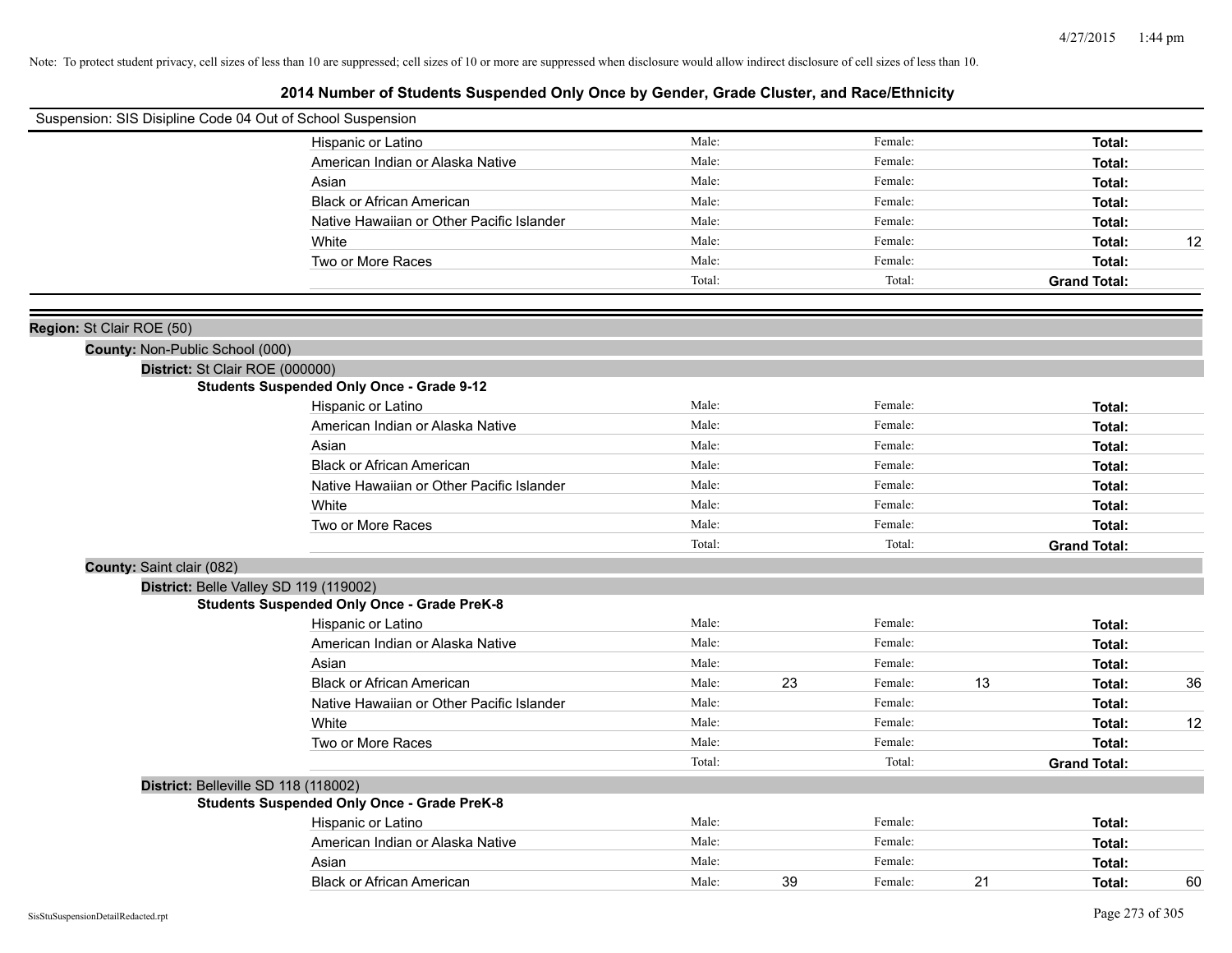| Suspension: SIS Disipline Code 04 Out of School Suspension |                                                    |        |    |         |    |                     |    |
|------------------------------------------------------------|----------------------------------------------------|--------|----|---------|----|---------------------|----|
|                                                            | Hispanic or Latino                                 | Male:  |    | Female: |    | Total:              |    |
|                                                            | American Indian or Alaska Native                   | Male:  |    | Female: |    | Total:              |    |
|                                                            | Asian                                              | Male:  |    | Female: |    | Total:              |    |
|                                                            | <b>Black or African American</b>                   | Male:  |    | Female: |    | Total:              |    |
|                                                            | Native Hawaiian or Other Pacific Islander          | Male:  |    | Female: |    | Total:              |    |
|                                                            | White                                              | Male:  |    | Female: |    | Total:              | 12 |
|                                                            | Two or More Races                                  | Male:  |    | Female: |    | Total:              |    |
|                                                            |                                                    | Total: |    | Total:  |    | <b>Grand Total:</b> |    |
| Region: St Clair ROE (50)                                  |                                                    |        |    |         |    |                     |    |
| County: Non-Public School (000)                            |                                                    |        |    |         |    |                     |    |
| District: St Clair ROE (000000)                            |                                                    |        |    |         |    |                     |    |
|                                                            | <b>Students Suspended Only Once - Grade 9-12</b>   |        |    |         |    |                     |    |
|                                                            | Hispanic or Latino                                 | Male:  |    | Female: |    | Total:              |    |
|                                                            | American Indian or Alaska Native                   | Male:  |    | Female: |    | Total:              |    |
|                                                            | Asian                                              | Male:  |    | Female: |    | Total:              |    |
|                                                            | <b>Black or African American</b>                   | Male:  |    | Female: |    | Total:              |    |
|                                                            | Native Hawaiian or Other Pacific Islander          | Male:  |    | Female: |    | Total:              |    |
|                                                            | White                                              | Male:  |    | Female: |    | Total:              |    |
|                                                            | Two or More Races                                  | Male:  |    | Female: |    | Total:              |    |
|                                                            |                                                    | Total: |    | Total:  |    | <b>Grand Total:</b> |    |
| County: Saint clair (082)                                  |                                                    |        |    |         |    |                     |    |
|                                                            | District: Belle Valley SD 119 (119002)             |        |    |         |    |                     |    |
|                                                            | <b>Students Suspended Only Once - Grade PreK-8</b> |        |    |         |    |                     |    |
|                                                            | Hispanic or Latino                                 | Male:  |    | Female: |    | Total:              |    |
|                                                            | American Indian or Alaska Native                   | Male:  |    | Female: |    | Total:              |    |
|                                                            | Asian                                              | Male:  |    | Female: |    | Total:              |    |
|                                                            | <b>Black or African American</b>                   | Male:  | 23 | Female: | 13 | Total:              | 36 |
|                                                            | Native Hawaiian or Other Pacific Islander          | Male:  |    | Female: |    | Total:              |    |
|                                                            | White                                              | Male:  |    | Female: |    | Total:              | 12 |
|                                                            | Two or More Races                                  | Male:  |    | Female: |    | Total:              |    |
|                                                            |                                                    | Total: |    | Total:  |    | <b>Grand Total:</b> |    |
|                                                            | District: Belleville SD 118 (118002)               |        |    |         |    |                     |    |
|                                                            | <b>Students Suspended Only Once - Grade PreK-8</b> |        |    |         |    |                     |    |
|                                                            | Hispanic or Latino                                 | Male:  |    | Female: |    | Total:              |    |
|                                                            | American Indian or Alaska Native                   | Male:  |    | Female: |    | Total:              |    |
|                                                            | Asian                                              | Male:  |    | Female: |    | Total:              |    |
|                                                            | <b>Black or African American</b>                   | Male:  | 39 | Female: | 21 | Total:              | 60 |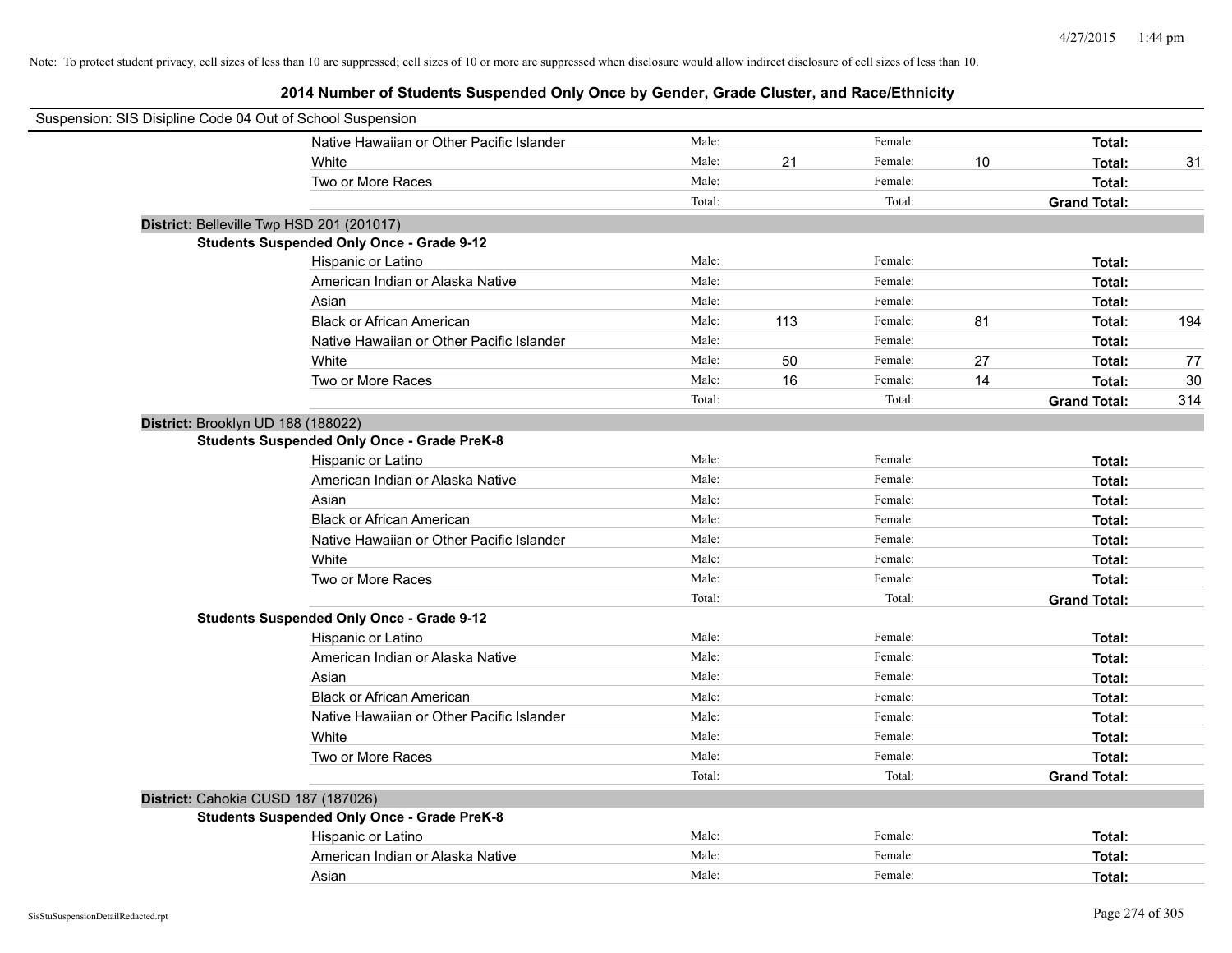| Suspension: SIS Disipline Code 04 Out of School Suspension |        |     |         |    |                     |     |
|------------------------------------------------------------|--------|-----|---------|----|---------------------|-----|
| Native Hawaiian or Other Pacific Islander                  | Male:  |     | Female: |    | Total:              |     |
| White                                                      | Male:  | 21  | Female: | 10 | Total:              | 31  |
| Two or More Races                                          | Male:  |     | Female: |    | <b>Total:</b>       |     |
|                                                            | Total: |     | Total:  |    | <b>Grand Total:</b> |     |
| District: Belleville Twp HSD 201 (201017)                  |        |     |         |    |                     |     |
| <b>Students Suspended Only Once - Grade 9-12</b>           |        |     |         |    |                     |     |
| Hispanic or Latino                                         | Male:  |     | Female: |    | Total:              |     |
| American Indian or Alaska Native                           | Male:  |     | Female: |    | Total:              |     |
| Asian                                                      | Male:  |     | Female: |    | Total:              |     |
| <b>Black or African American</b>                           | Male:  | 113 | Female: | 81 | Total:              | 194 |
| Native Hawaiian or Other Pacific Islander                  | Male:  |     | Female: |    | Total:              |     |
| White                                                      | Male:  | 50  | Female: | 27 | Total:              | 77  |
| Two or More Races                                          | Male:  | 16  | Female: | 14 | Total:              | 30  |
|                                                            | Total: |     | Total:  |    | <b>Grand Total:</b> | 314 |
| District: Brooklyn UD 188 (188022)                         |        |     |         |    |                     |     |
| <b>Students Suspended Only Once - Grade PreK-8</b>         |        |     |         |    |                     |     |
| Hispanic or Latino                                         | Male:  |     | Female: |    | Total:              |     |
| American Indian or Alaska Native                           | Male:  |     | Female: |    | Total:              |     |
| Asian                                                      | Male:  |     | Female: |    | Total:              |     |
| <b>Black or African American</b>                           | Male:  |     | Female: |    | Total:              |     |
| Native Hawaiian or Other Pacific Islander                  | Male:  |     | Female: |    | Total:              |     |
| White                                                      | Male:  |     | Female: |    | Total:              |     |
| Two or More Races                                          | Male:  |     | Female: |    | Total:              |     |
|                                                            | Total: |     | Total:  |    | <b>Grand Total:</b> |     |
| <b>Students Suspended Only Once - Grade 9-12</b>           |        |     |         |    |                     |     |
| Hispanic or Latino                                         | Male:  |     | Female: |    | Total:              |     |
| American Indian or Alaska Native                           | Male:  |     | Female: |    | Total:              |     |
| Asian                                                      | Male:  |     | Female: |    | Total:              |     |
| <b>Black or African American</b>                           | Male:  |     | Female: |    | Total:              |     |
| Native Hawaiian or Other Pacific Islander                  | Male:  |     | Female: |    | Total:              |     |
| White                                                      | Male:  |     | Female: |    | Total:              |     |
| Two or More Races                                          | Male:  |     | Female: |    | Total:              |     |
|                                                            | Total: |     | Total:  |    | <b>Grand Total:</b> |     |
| District: Cahokia CUSD 187 (187026)                        |        |     |         |    |                     |     |
| <b>Students Suspended Only Once - Grade PreK-8</b>         |        |     |         |    |                     |     |
| Hispanic or Latino                                         | Male:  |     | Female: |    | Total:              |     |
| American Indian or Alaska Native                           | Male:  |     | Female: |    | Total:              |     |
| Asian                                                      | Male:  |     | Female: |    | Total:              |     |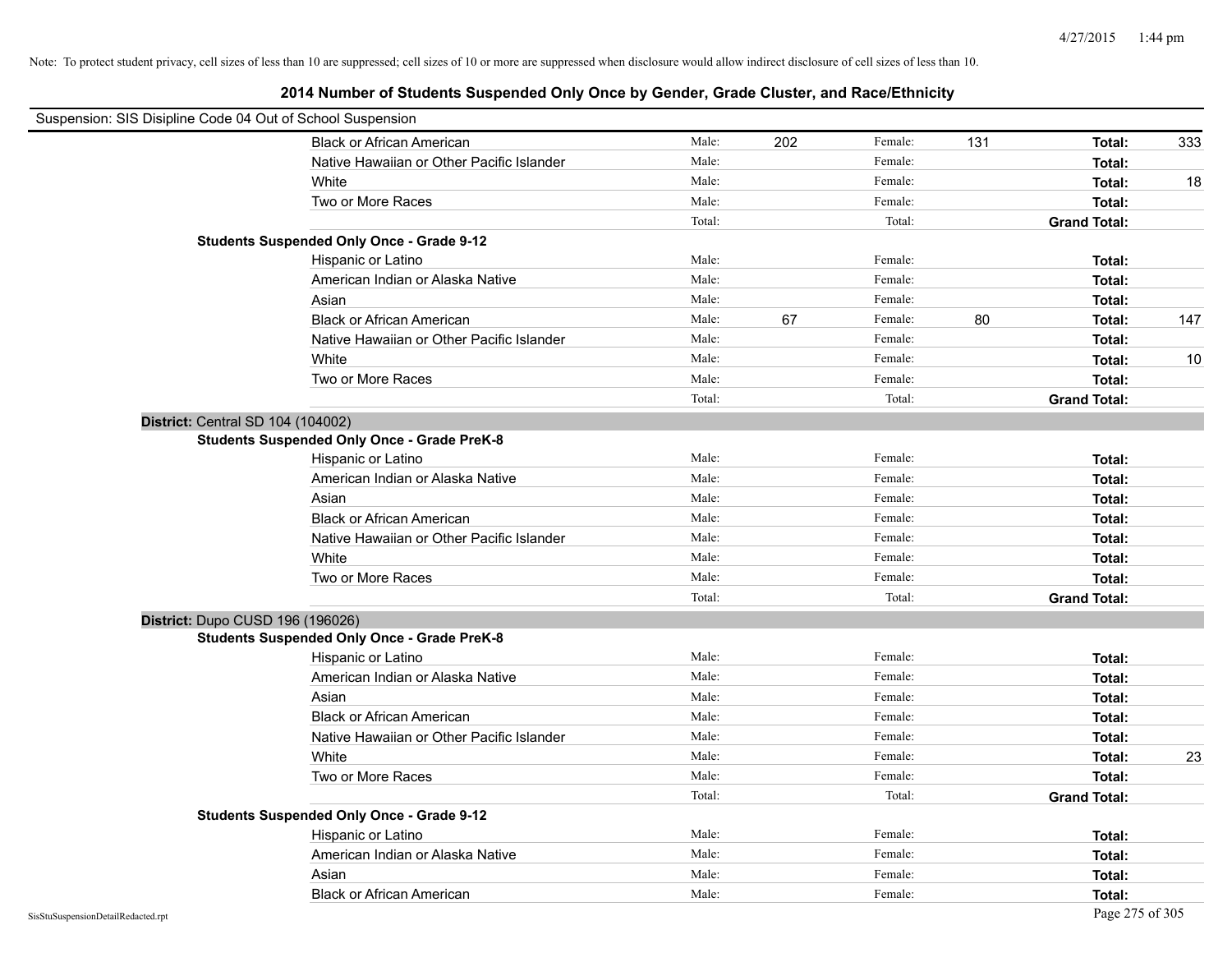| Suspension: SIS Disipline Code 04 Out of School Suspension |                                                    |        |     |         |     |                     |     |
|------------------------------------------------------------|----------------------------------------------------|--------|-----|---------|-----|---------------------|-----|
|                                                            | <b>Black or African American</b>                   | Male:  | 202 | Female: | 131 | Total:              | 333 |
|                                                            | Native Hawaiian or Other Pacific Islander          | Male:  |     | Female: |     | Total:              |     |
|                                                            | White                                              | Male:  |     | Female: |     | Total:              | 18  |
|                                                            | Two or More Races                                  | Male:  |     | Female: |     | Total:              |     |
|                                                            |                                                    | Total: |     | Total:  |     | <b>Grand Total:</b> |     |
|                                                            | <b>Students Suspended Only Once - Grade 9-12</b>   |        |     |         |     |                     |     |
|                                                            | Hispanic or Latino                                 | Male:  |     | Female: |     | Total:              |     |
|                                                            | American Indian or Alaska Native                   | Male:  |     | Female: |     | Total:              |     |
|                                                            | Asian                                              | Male:  |     | Female: |     | Total:              |     |
|                                                            | <b>Black or African American</b>                   | Male:  | 67  | Female: | 80  | Total:              | 147 |
|                                                            | Native Hawaiian or Other Pacific Islander          | Male:  |     | Female: |     | Total:              |     |
|                                                            | White                                              | Male:  |     | Female: |     | Total:              | 10  |
|                                                            | Two or More Races                                  | Male:  |     | Female: |     | Total:              |     |
|                                                            |                                                    | Total: |     | Total:  |     | <b>Grand Total:</b> |     |
| District: Central SD 104 (104002)                          |                                                    |        |     |         |     |                     |     |
|                                                            | <b>Students Suspended Only Once - Grade PreK-8</b> |        |     |         |     |                     |     |
|                                                            | Hispanic or Latino                                 | Male:  |     | Female: |     | Total:              |     |
|                                                            | American Indian or Alaska Native                   | Male:  |     | Female: |     | Total:              |     |
|                                                            | Asian                                              | Male:  |     | Female: |     | Total:              |     |
|                                                            | <b>Black or African American</b>                   | Male:  |     | Female: |     | Total:              |     |
|                                                            | Native Hawaiian or Other Pacific Islander          | Male:  |     | Female: |     | Total:              |     |
|                                                            | White                                              | Male:  |     | Female: |     | Total:              |     |
|                                                            | Two or More Races                                  | Male:  |     | Female: |     | Total:              |     |
|                                                            |                                                    | Total: |     | Total:  |     | <b>Grand Total:</b> |     |
| District: Dupo CUSD 196 (196026)                           |                                                    |        |     |         |     |                     |     |
|                                                            | <b>Students Suspended Only Once - Grade PreK-8</b> |        |     |         |     |                     |     |
|                                                            | Hispanic or Latino                                 | Male:  |     | Female: |     | Total:              |     |
|                                                            | American Indian or Alaska Native                   | Male:  |     | Female: |     | Total:              |     |
|                                                            | Asian                                              | Male:  |     | Female: |     | Total:              |     |
|                                                            | <b>Black or African American</b>                   | Male:  |     | Female: |     | Total:              |     |
|                                                            | Native Hawaiian or Other Pacific Islander          | Male:  |     | Female: |     | Total:              |     |
|                                                            | White                                              | Male:  |     | Female: |     | Total:              | 23  |
|                                                            | Two or More Races                                  | Male:  |     | Female: |     | Total:              |     |
|                                                            |                                                    | Total: |     | Total:  |     | <b>Grand Total:</b> |     |
|                                                            | <b>Students Suspended Only Once - Grade 9-12</b>   |        |     |         |     |                     |     |
|                                                            | Hispanic or Latino                                 | Male:  |     | Female: |     | Total:              |     |
|                                                            | American Indian or Alaska Native                   | Male:  |     | Female: |     | Total:              |     |
|                                                            | Asian                                              | Male:  |     | Female: |     | Total:              |     |
|                                                            | <b>Black or African American</b>                   | Male:  |     | Female: |     | Total:              |     |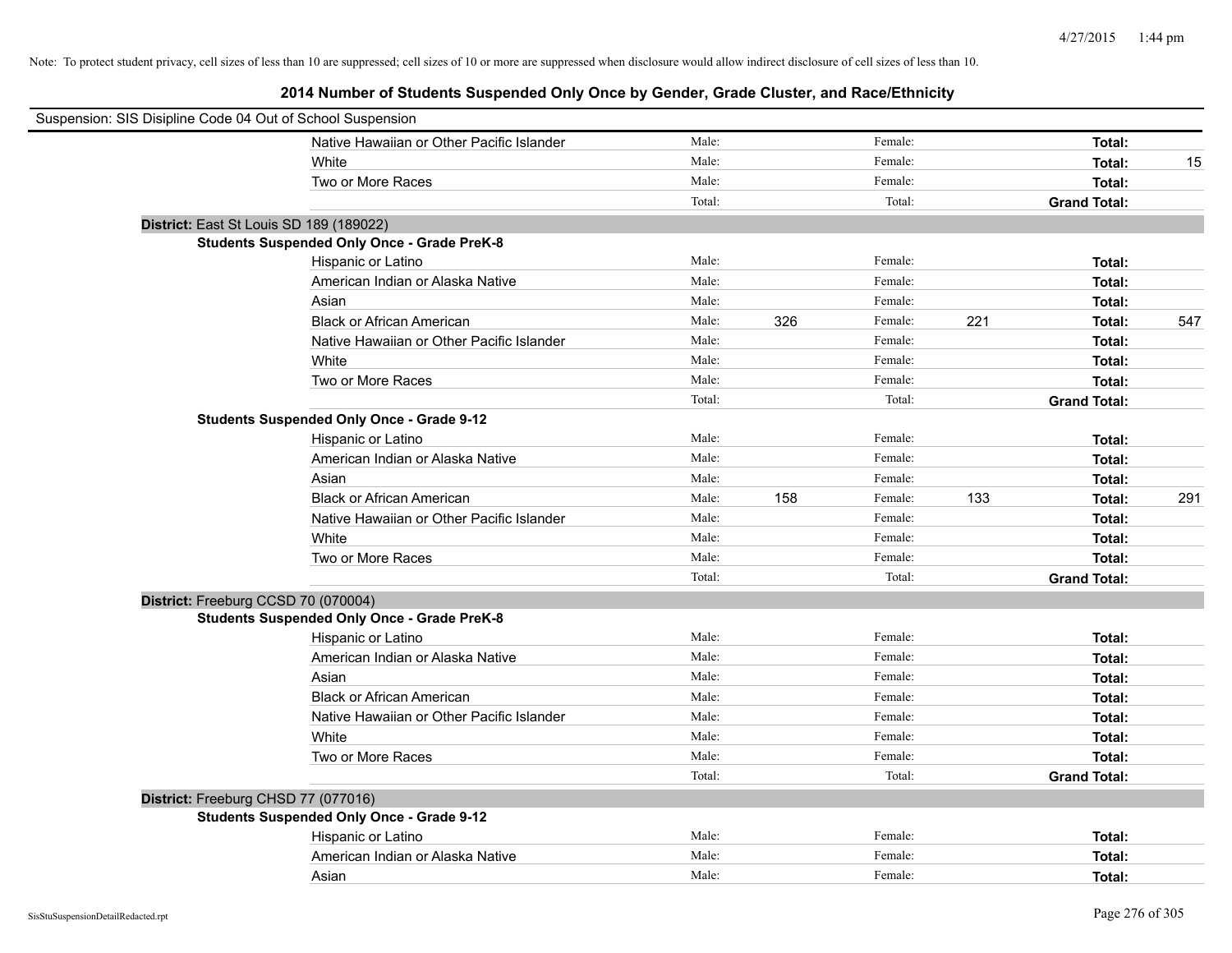| Suspension: SIS Disipline Code 04 Out of School Suspension |                                                    |        |     |         |                     |     |
|------------------------------------------------------------|----------------------------------------------------|--------|-----|---------|---------------------|-----|
|                                                            | Native Hawaiian or Other Pacific Islander          | Male:  |     | Female: | Total:              |     |
|                                                            | White                                              | Male:  |     | Female: | Total:              | 15  |
|                                                            | Two or More Races                                  | Male:  |     | Female: | Total:              |     |
|                                                            |                                                    | Total: |     | Total:  | <b>Grand Total:</b> |     |
| District: East St Louis SD 189 (189022)                    |                                                    |        |     |         |                     |     |
|                                                            | <b>Students Suspended Only Once - Grade PreK-8</b> |        |     |         |                     |     |
|                                                            | Hispanic or Latino                                 | Male:  |     | Female: | Total:              |     |
|                                                            | American Indian or Alaska Native                   | Male:  |     | Female: | Total:              |     |
|                                                            | Asian                                              | Male:  |     | Female: | Total:              |     |
|                                                            | <b>Black or African American</b>                   | Male:  | 326 | Female: | 221<br>Total:       | 547 |
|                                                            | Native Hawaiian or Other Pacific Islander          | Male:  |     | Female: | Total:              |     |
|                                                            | White                                              | Male:  |     | Female: | Total:              |     |
|                                                            | Two or More Races                                  | Male:  |     | Female: | Total:              |     |
|                                                            |                                                    | Total: |     | Total:  | <b>Grand Total:</b> |     |
|                                                            | <b>Students Suspended Only Once - Grade 9-12</b>   |        |     |         |                     |     |
|                                                            | Hispanic or Latino                                 | Male:  |     | Female: | Total:              |     |
|                                                            | American Indian or Alaska Native                   | Male:  |     | Female: | Total:              |     |
|                                                            | Asian                                              | Male:  |     | Female: | Total:              |     |
|                                                            | <b>Black or African American</b>                   | Male:  | 158 | Female: | 133<br>Total:       | 291 |
|                                                            | Native Hawaiian or Other Pacific Islander          | Male:  |     | Female: | Total:              |     |
|                                                            | White                                              | Male:  |     | Female: | Total:              |     |
|                                                            | Two or More Races                                  | Male:  |     | Female: | Total:              |     |
|                                                            |                                                    | Total: |     | Total:  | <b>Grand Total:</b> |     |
| District: Freeburg CCSD 70 (070004)                        |                                                    |        |     |         |                     |     |
|                                                            | <b>Students Suspended Only Once - Grade PreK-8</b> |        |     |         |                     |     |
|                                                            | Hispanic or Latino                                 | Male:  |     | Female: | Total:              |     |
|                                                            | American Indian or Alaska Native                   | Male:  |     | Female: | Total:              |     |
|                                                            | Asian                                              | Male:  |     | Female: | Total:              |     |
|                                                            | <b>Black or African American</b>                   | Male:  |     | Female: | Total:              |     |
|                                                            | Native Hawaiian or Other Pacific Islander          | Male:  |     | Female: | Total:              |     |
|                                                            | White                                              | Male:  |     | Female: | Total:              |     |
|                                                            | Two or More Races                                  | Male:  |     | Female: | Total:              |     |
|                                                            |                                                    | Total: |     | Total:  | <b>Grand Total:</b> |     |
| District: Freeburg CHSD 77 (077016)                        |                                                    |        |     |         |                     |     |
|                                                            | <b>Students Suspended Only Once - Grade 9-12</b>   |        |     |         |                     |     |
|                                                            | Hispanic or Latino                                 | Male:  |     | Female: | Total:              |     |
|                                                            | American Indian or Alaska Native                   | Male:  |     | Female: | Total:              |     |
|                                                            | Asian                                              | Male:  |     | Female: | Total:              |     |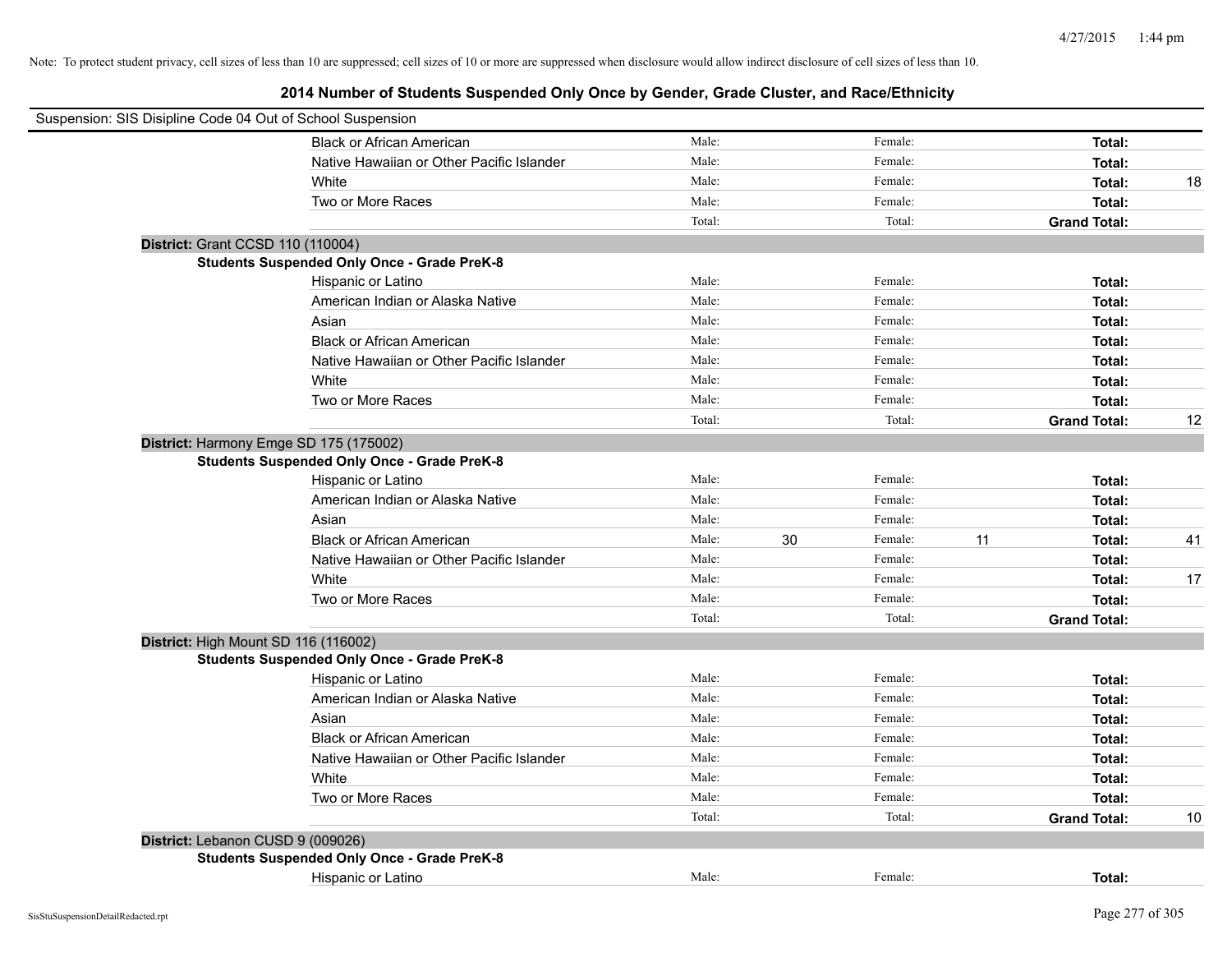| Suspension: SIS Disipline Code 04 Out of School Suspension |                                                    |        |    |         |    |                     |    |
|------------------------------------------------------------|----------------------------------------------------|--------|----|---------|----|---------------------|----|
|                                                            | <b>Black or African American</b>                   | Male:  |    | Female: |    | Total:              |    |
|                                                            | Native Hawaiian or Other Pacific Islander          | Male:  |    | Female: |    | Total:              |    |
|                                                            | White                                              | Male:  |    | Female: |    | Total:              | 18 |
|                                                            | Two or More Races                                  | Male:  |    | Female: |    | Total:              |    |
|                                                            |                                                    | Total: |    | Total:  |    | <b>Grand Total:</b> |    |
| District: Grant CCSD 110 (110004)                          |                                                    |        |    |         |    |                     |    |
|                                                            | <b>Students Suspended Only Once - Grade PreK-8</b> |        |    |         |    |                     |    |
|                                                            | Hispanic or Latino                                 | Male:  |    | Female: |    | Total:              |    |
|                                                            | American Indian or Alaska Native                   | Male:  |    | Female: |    | Total:              |    |
|                                                            | Asian                                              | Male:  |    | Female: |    | Total:              |    |
|                                                            | <b>Black or African American</b>                   | Male:  |    | Female: |    | Total:              |    |
|                                                            | Native Hawaiian or Other Pacific Islander          | Male:  |    | Female: |    | Total:              |    |
|                                                            | White                                              | Male:  |    | Female: |    | Total:              |    |
|                                                            | Two or More Races                                  | Male:  |    | Female: |    | Total:              |    |
|                                                            |                                                    | Total: |    | Total:  |    | <b>Grand Total:</b> | 12 |
|                                                            | District: Harmony Emge SD 175 (175002)             |        |    |         |    |                     |    |
|                                                            | <b>Students Suspended Only Once - Grade PreK-8</b> |        |    |         |    |                     |    |
|                                                            | Hispanic or Latino                                 | Male:  |    | Female: |    | Total:              |    |
|                                                            | American Indian or Alaska Native                   | Male:  |    | Female: |    | Total:              |    |
|                                                            | Asian                                              | Male:  |    | Female: |    | Total:              |    |
|                                                            | <b>Black or African American</b>                   | Male:  | 30 | Female: | 11 | Total:              | 41 |
|                                                            | Native Hawaiian or Other Pacific Islander          | Male:  |    | Female: |    | Total:              |    |
|                                                            | White                                              | Male:  |    | Female: |    | Total:              | 17 |
|                                                            | Two or More Races                                  | Male:  |    | Female: |    | Total:              |    |
|                                                            |                                                    | Total: |    | Total:  |    | <b>Grand Total:</b> |    |
| District: High Mount SD 116 (116002)                       |                                                    |        |    |         |    |                     |    |
|                                                            | <b>Students Suspended Only Once - Grade PreK-8</b> |        |    |         |    |                     |    |
|                                                            | Hispanic or Latino                                 | Male:  |    | Female: |    | Total:              |    |
|                                                            | American Indian or Alaska Native                   | Male:  |    | Female: |    | Total:              |    |
|                                                            | Asian                                              | Male:  |    | Female: |    | Total:              |    |
|                                                            | <b>Black or African American</b>                   | Male:  |    | Female: |    | Total:              |    |
|                                                            | Native Hawaiian or Other Pacific Islander          | Male:  |    | Female: |    | Total:              |    |
|                                                            | White                                              | Male:  |    | Female: |    | Total:              |    |
|                                                            | Two or More Races                                  | Male:  |    | Female: |    | Total:              |    |
|                                                            |                                                    | Total: |    | Total:  |    | <b>Grand Total:</b> | 10 |
| District: Lebanon CUSD 9 (009026)                          |                                                    |        |    |         |    |                     |    |
|                                                            | <b>Students Suspended Only Once - Grade PreK-8</b> |        |    |         |    |                     |    |
|                                                            | Hispanic or Latino                                 | Male:  |    | Female: |    | Total:              |    |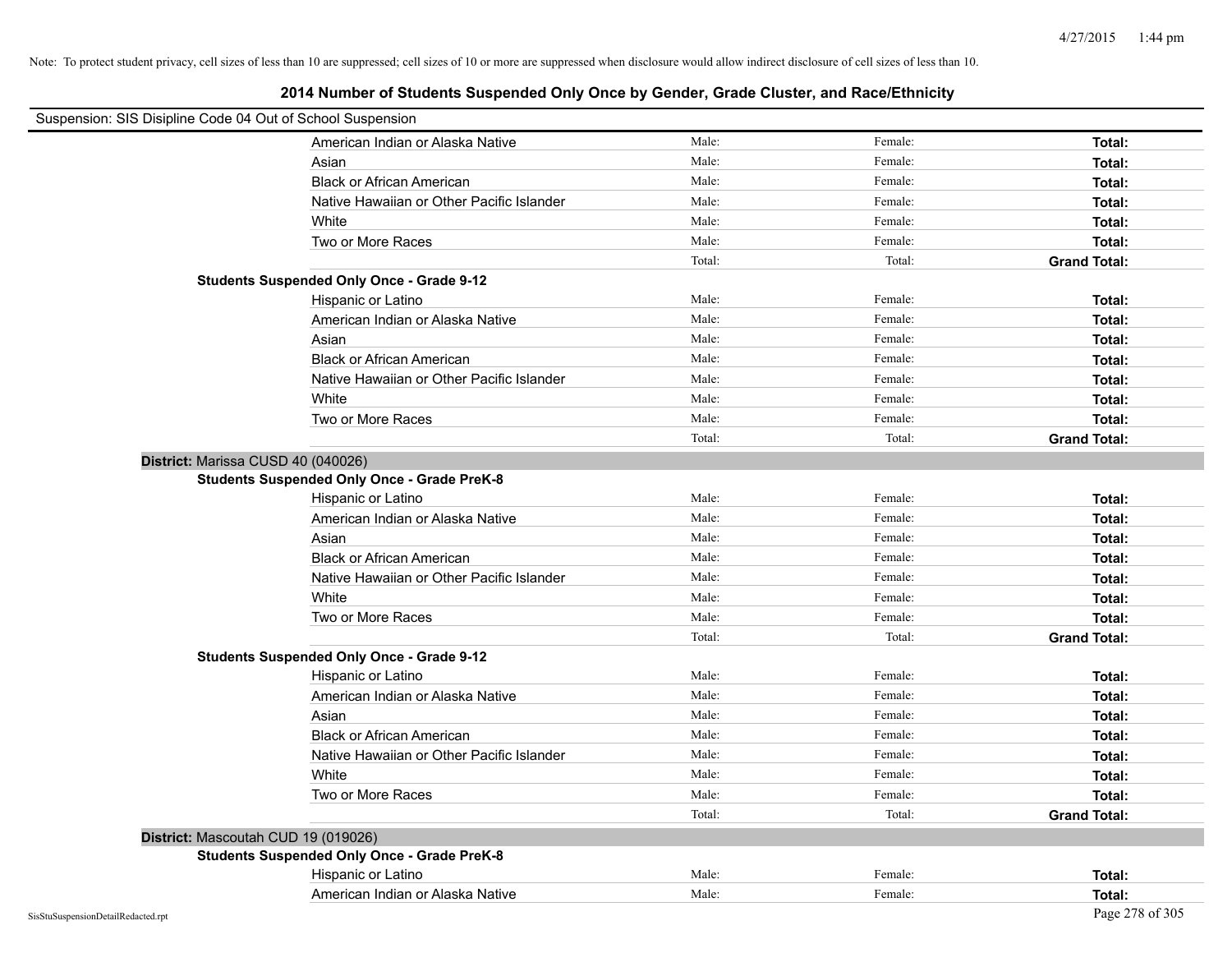| Suspension: SIS Disipline Code 04 Out of School Suspension |                                                    |        |         |                     |
|------------------------------------------------------------|----------------------------------------------------|--------|---------|---------------------|
|                                                            | American Indian or Alaska Native                   | Male:  | Female: | Total:              |
|                                                            | Asian                                              | Male:  | Female: | Total:              |
|                                                            | <b>Black or African American</b>                   | Male:  | Female: | Total:              |
|                                                            | Native Hawaiian or Other Pacific Islander          | Male:  | Female: | Total:              |
|                                                            | White                                              | Male:  | Female: | Total:              |
|                                                            | Two or More Races                                  | Male:  | Female: | Total:              |
|                                                            |                                                    | Total: | Total:  | <b>Grand Total:</b> |
|                                                            | <b>Students Suspended Only Once - Grade 9-12</b>   |        |         |                     |
|                                                            | Hispanic or Latino                                 | Male:  | Female: | Total:              |
|                                                            | American Indian or Alaska Native                   | Male:  | Female: | Total:              |
|                                                            | Asian                                              | Male:  | Female: | Total:              |
|                                                            | <b>Black or African American</b>                   | Male:  | Female: | Total:              |
|                                                            | Native Hawaiian or Other Pacific Islander          | Male:  | Female: | Total:              |
|                                                            | White                                              | Male:  | Female: | Total:              |
|                                                            | Two or More Races                                  | Male:  | Female: | Total:              |
|                                                            |                                                    | Total: | Total:  | <b>Grand Total:</b> |
| District: Marissa CUSD 40 (040026)                         |                                                    |        |         |                     |
|                                                            | <b>Students Suspended Only Once - Grade PreK-8</b> |        |         |                     |
|                                                            | Hispanic or Latino                                 | Male:  | Female: | Total:              |
|                                                            | American Indian or Alaska Native                   | Male:  | Female: | Total:              |
|                                                            | Asian                                              | Male:  | Female: | Total:              |
|                                                            | <b>Black or African American</b>                   | Male:  | Female: | Total:              |
|                                                            | Native Hawaiian or Other Pacific Islander          | Male:  | Female: | Total:              |
|                                                            | White                                              | Male:  | Female: | Total:              |
|                                                            | Two or More Races                                  | Male:  | Female: | Total:              |
|                                                            |                                                    | Total: | Total:  | <b>Grand Total:</b> |
|                                                            | <b>Students Suspended Only Once - Grade 9-12</b>   |        |         |                     |
|                                                            | Hispanic or Latino                                 | Male:  | Female: | Total:              |
|                                                            | American Indian or Alaska Native                   | Male:  | Female: | Total:              |
|                                                            | Asian                                              | Male:  | Female: | Total:              |
|                                                            | <b>Black or African American</b>                   | Male:  | Female: | Total:              |
|                                                            | Native Hawaiian or Other Pacific Islander          | Male:  | Female: | Total:              |
|                                                            | White                                              | Male:  | Female: | Total:              |
|                                                            | Two or More Races                                  | Male:  | Female: | Total:              |
|                                                            |                                                    | Total: | Total:  | <b>Grand Total:</b> |
|                                                            | District: Mascoutah CUD 19 (019026)                |        |         |                     |
|                                                            | <b>Students Suspended Only Once - Grade PreK-8</b> |        |         |                     |
|                                                            | Hispanic or Latino                                 | Male:  | Female: | Total:              |
|                                                            | American Indian or Alaska Native                   | Male:  | Female: | Total:              |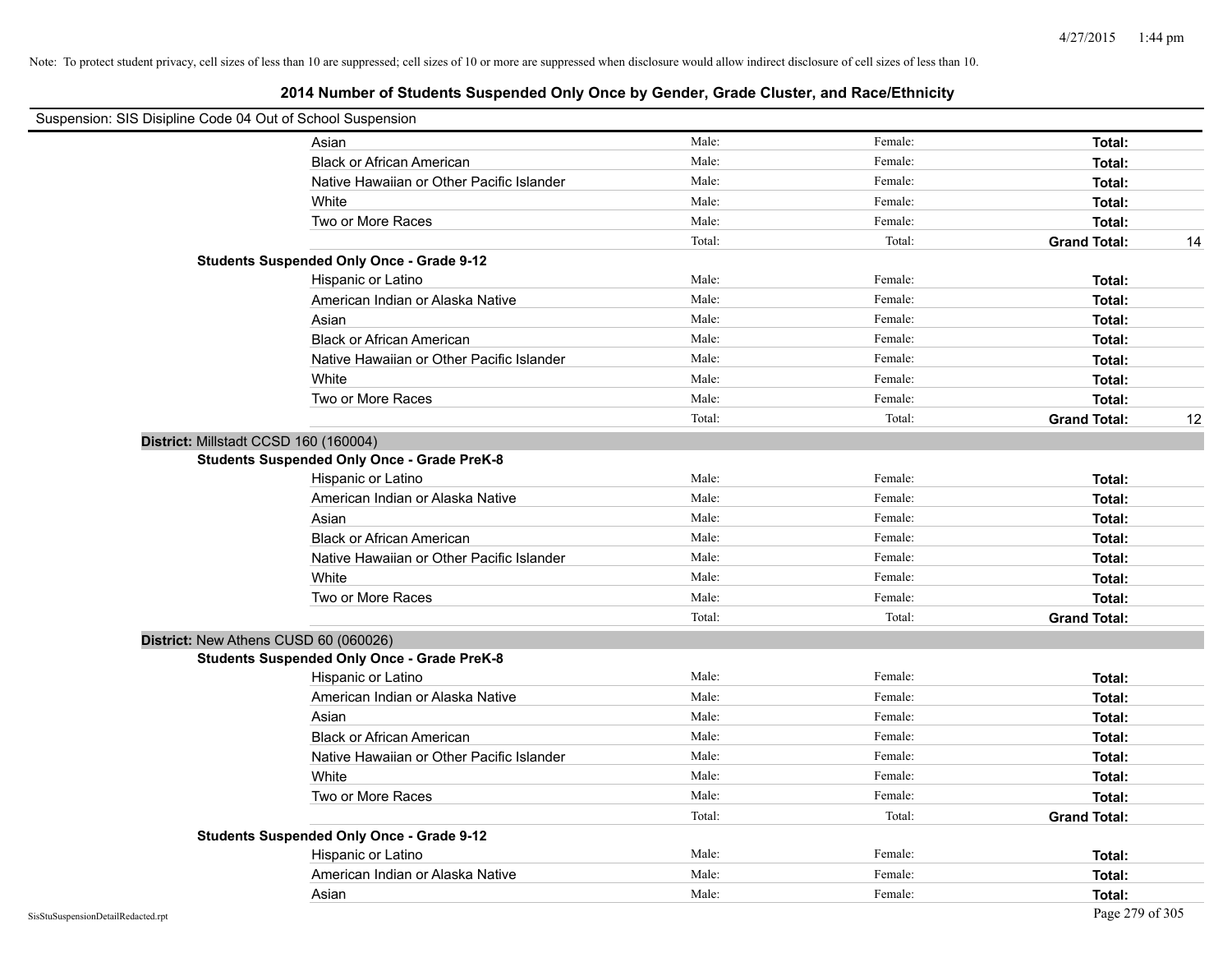| Suspension: SIS Disipline Code 04 Out of School Suspension |                                                    |        |         |                     |    |
|------------------------------------------------------------|----------------------------------------------------|--------|---------|---------------------|----|
|                                                            | Asian                                              | Male:  | Female: | Total:              |    |
|                                                            | <b>Black or African American</b>                   | Male:  | Female: | Total:              |    |
|                                                            | Native Hawaiian or Other Pacific Islander          | Male:  | Female: | Total:              |    |
|                                                            | White                                              | Male:  | Female: | Total:              |    |
|                                                            | Two or More Races                                  | Male:  | Female: | Total:              |    |
|                                                            |                                                    | Total: | Total:  | <b>Grand Total:</b> | 14 |
|                                                            | <b>Students Suspended Only Once - Grade 9-12</b>   |        |         |                     |    |
|                                                            | Hispanic or Latino                                 | Male:  | Female: | Total:              |    |
|                                                            | American Indian or Alaska Native                   | Male:  | Female: | Total:              |    |
|                                                            | Asian                                              | Male:  | Female: | Total:              |    |
|                                                            | <b>Black or African American</b>                   | Male:  | Female: | Total:              |    |
|                                                            | Native Hawaiian or Other Pacific Islander          | Male:  | Female: | Total:              |    |
|                                                            | White                                              | Male:  | Female: | Total:              |    |
|                                                            | Two or More Races                                  | Male:  | Female: | Total:              |    |
|                                                            |                                                    | Total: | Total:  | <b>Grand Total:</b> | 12 |
| District: Millstadt CCSD 160 (160004)                      |                                                    |        |         |                     |    |
|                                                            | <b>Students Suspended Only Once - Grade PreK-8</b> |        |         |                     |    |
|                                                            | Hispanic or Latino                                 | Male:  | Female: | Total:              |    |
|                                                            | American Indian or Alaska Native                   | Male:  | Female: | Total:              |    |
|                                                            | Asian                                              | Male:  | Female: | Total:              |    |
|                                                            | <b>Black or African American</b>                   | Male:  | Female: | Total:              |    |
|                                                            | Native Hawaiian or Other Pacific Islander          | Male:  | Female: | Total:              |    |
|                                                            | White                                              | Male:  | Female: | Total:              |    |
|                                                            | Two or More Races                                  | Male:  | Female: | Total:              |    |
|                                                            |                                                    | Total: | Total:  | <b>Grand Total:</b> |    |
| District: New Athens CUSD 60 (060026)                      |                                                    |        |         |                     |    |
|                                                            | <b>Students Suspended Only Once - Grade PreK-8</b> |        |         |                     |    |
|                                                            | Hispanic or Latino                                 | Male:  | Female: | Total:              |    |
|                                                            | American Indian or Alaska Native                   | Male:  | Female: | Total:              |    |
|                                                            | Asian                                              | Male:  | Female: | Total:              |    |
|                                                            | <b>Black or African American</b>                   | Male:  | Female: | Total:              |    |
|                                                            | Native Hawaiian or Other Pacific Islander          | Male:  | Female: | Total:              |    |
|                                                            | White                                              | Male:  | Female: | Total:              |    |
|                                                            | Two or More Races                                  | Male:  | Female: | Total:              |    |
|                                                            |                                                    | Total: | Total:  | <b>Grand Total:</b> |    |
|                                                            | <b>Students Suspended Only Once - Grade 9-12</b>   |        |         |                     |    |
|                                                            | Hispanic or Latino                                 | Male:  | Female: | Total:              |    |
|                                                            | American Indian or Alaska Native                   | Male:  | Female: | Total:              |    |
|                                                            | Asian                                              | Male:  | Female: | Total:              |    |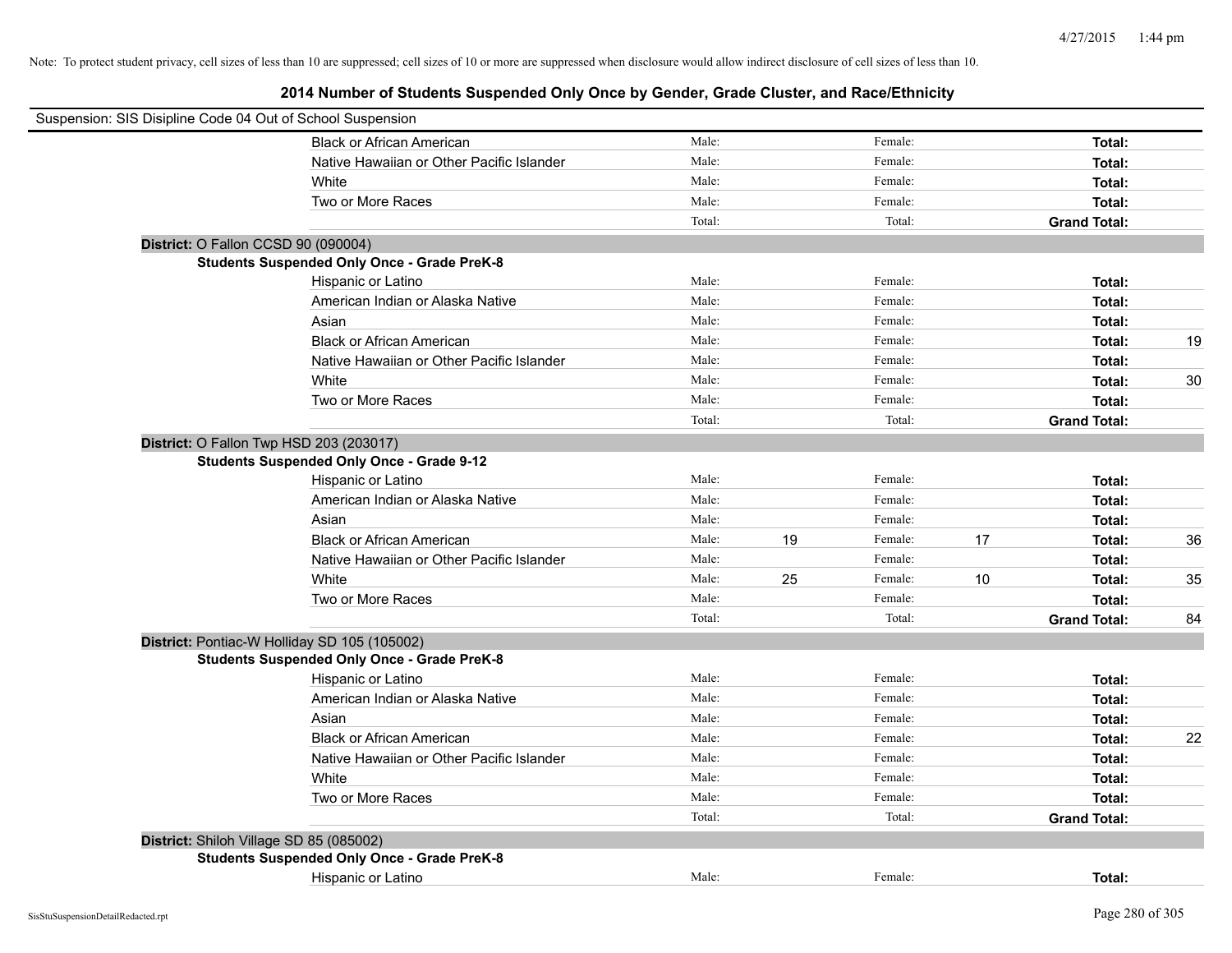| Suspension: SIS Disipline Code 04 Out of School Suspension |        |    |         |    |                     |    |
|------------------------------------------------------------|--------|----|---------|----|---------------------|----|
| <b>Black or African American</b>                           | Male:  |    | Female: |    | Total:              |    |
| Native Hawaiian or Other Pacific Islander                  | Male:  |    | Female: |    | Total:              |    |
| White                                                      | Male:  |    | Female: |    | Total:              |    |
| Two or More Races                                          | Male:  |    | Female: |    | Total:              |    |
|                                                            | Total: |    | Total:  |    | <b>Grand Total:</b> |    |
| District: O Fallon CCSD 90 (090004)                        |        |    |         |    |                     |    |
| <b>Students Suspended Only Once - Grade PreK-8</b>         |        |    |         |    |                     |    |
| Hispanic or Latino                                         | Male:  |    | Female: |    | Total:              |    |
| American Indian or Alaska Native                           | Male:  |    | Female: |    | Total:              |    |
| Asian                                                      | Male:  |    | Female: |    | Total:              |    |
| <b>Black or African American</b>                           | Male:  |    | Female: |    | Total:              | 19 |
| Native Hawaiian or Other Pacific Islander                  | Male:  |    | Female: |    | Total:              |    |
| White                                                      | Male:  |    | Female: |    | Total:              | 30 |
| Two or More Races                                          | Male:  |    | Female: |    | Total:              |    |
|                                                            | Total: |    | Total:  |    | <b>Grand Total:</b> |    |
| District: O Fallon Twp HSD 203 (203017)                    |        |    |         |    |                     |    |
| <b>Students Suspended Only Once - Grade 9-12</b>           |        |    |         |    |                     |    |
| Hispanic or Latino                                         | Male:  |    | Female: |    | Total:              |    |
| American Indian or Alaska Native                           | Male:  |    | Female: |    | Total:              |    |
| Asian                                                      | Male:  |    | Female: |    | Total:              |    |
| <b>Black or African American</b>                           | Male:  | 19 | Female: | 17 | Total:              | 36 |
| Native Hawaiian or Other Pacific Islander                  | Male:  |    | Female: |    | Total:              |    |
| White                                                      | Male:  | 25 | Female: | 10 | Total:              | 35 |
| Two or More Races                                          | Male:  |    | Female: |    | Total:              |    |
|                                                            | Total: |    | Total:  |    | <b>Grand Total:</b> | 84 |
| District: Pontiac-W Holliday SD 105 (105002)               |        |    |         |    |                     |    |
| <b>Students Suspended Only Once - Grade PreK-8</b>         |        |    |         |    |                     |    |
| Hispanic or Latino                                         | Male:  |    | Female: |    | Total:              |    |
| American Indian or Alaska Native                           | Male:  |    | Female: |    | Total:              |    |
| Asian                                                      | Male:  |    | Female: |    | Total:              |    |
| <b>Black or African American</b>                           | Male:  |    | Female: |    | Total:              | 22 |
| Native Hawaiian or Other Pacific Islander                  | Male:  |    | Female: |    | Total:              |    |
| White                                                      | Male:  |    | Female: |    | Total:              |    |
| Two or More Races                                          | Male:  |    | Female: |    | Total:              |    |
|                                                            | Total: |    | Total:  |    | <b>Grand Total:</b> |    |
| District: Shiloh Village SD 85 (085002)                    |        |    |         |    |                     |    |
| <b>Students Suspended Only Once - Grade PreK-8</b>         |        |    |         |    |                     |    |
| Hispanic or Latino                                         | Male:  |    | Female: |    | Total:              |    |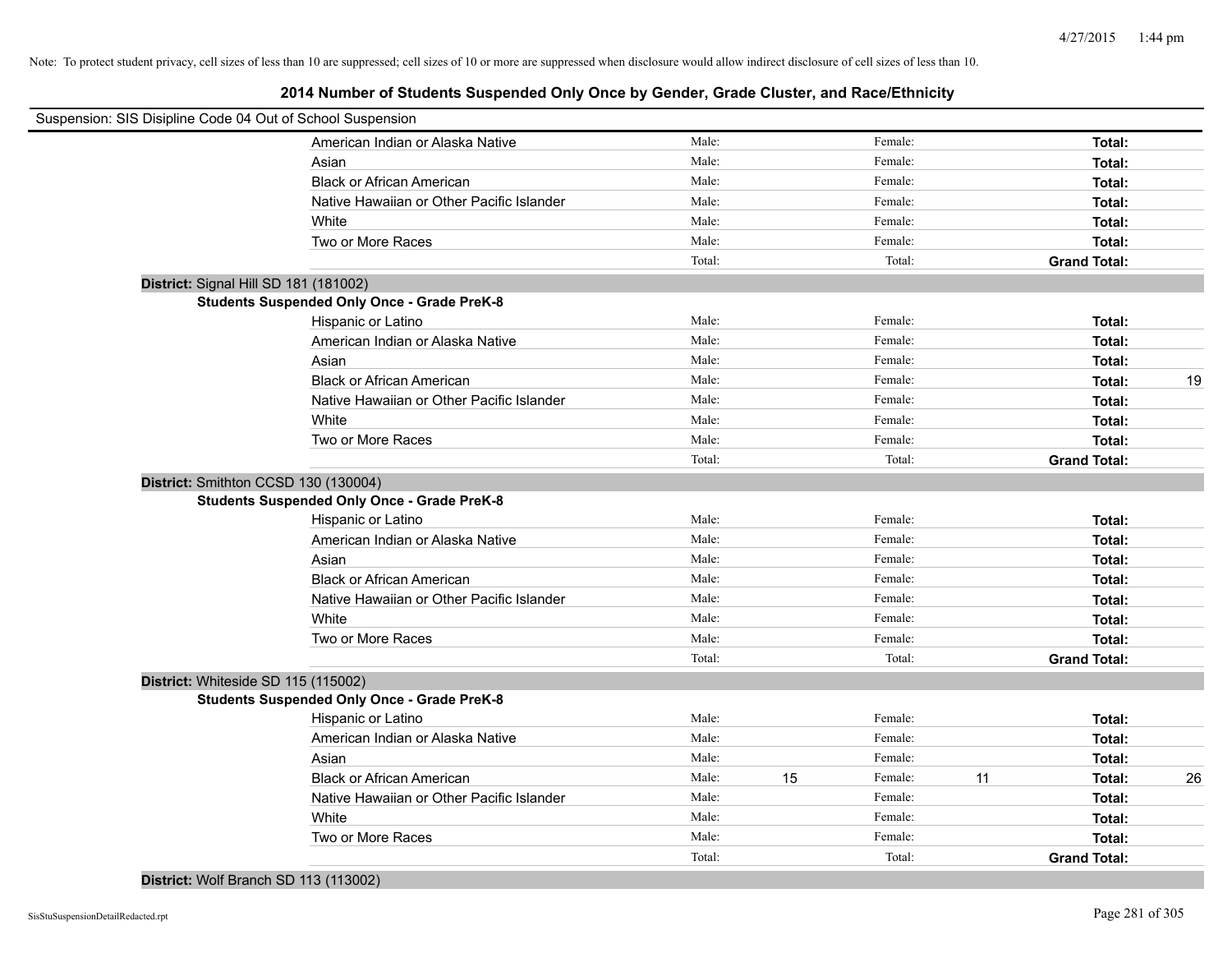| Suspension: SIS Disipline Code 04 Out of School Suspension |                                                    |        |    |         |    |                     |    |
|------------------------------------------------------------|----------------------------------------------------|--------|----|---------|----|---------------------|----|
|                                                            | American Indian or Alaska Native                   | Male:  |    | Female: |    | Total:              |    |
|                                                            | Asian                                              | Male:  |    | Female: |    | Total:              |    |
|                                                            | <b>Black or African American</b>                   | Male:  |    | Female: |    | Total:              |    |
|                                                            | Native Hawaiian or Other Pacific Islander          | Male:  |    | Female: |    | Total:              |    |
|                                                            | White                                              | Male:  |    | Female: |    | Total:              |    |
|                                                            | Two or More Races                                  | Male:  |    | Female: |    | Total:              |    |
|                                                            |                                                    | Total: |    | Total:  |    | <b>Grand Total:</b> |    |
| District: Signal Hill SD 181 (181002)                      |                                                    |        |    |         |    |                     |    |
|                                                            | <b>Students Suspended Only Once - Grade PreK-8</b> |        |    |         |    |                     |    |
|                                                            | Hispanic or Latino                                 | Male:  |    | Female: |    | Total:              |    |
|                                                            | American Indian or Alaska Native                   | Male:  |    | Female: |    | Total:              |    |
|                                                            | Asian                                              | Male:  |    | Female: |    | Total:              |    |
|                                                            | <b>Black or African American</b>                   | Male:  |    | Female: |    | Total:              | 19 |
|                                                            | Native Hawaiian or Other Pacific Islander          | Male:  |    | Female: |    | Total:              |    |
|                                                            | White                                              | Male:  |    | Female: |    | Total:              |    |
|                                                            | Two or More Races                                  | Male:  |    | Female: |    | Total:              |    |
|                                                            |                                                    | Total: |    | Total:  |    | <b>Grand Total:</b> |    |
| District: Smithton CCSD 130 (130004)                       |                                                    |        |    |         |    |                     |    |
|                                                            | <b>Students Suspended Only Once - Grade PreK-8</b> |        |    |         |    |                     |    |
|                                                            | Hispanic or Latino                                 | Male:  |    | Female: |    | Total:              |    |
|                                                            | American Indian or Alaska Native                   | Male:  |    | Female: |    | Total:              |    |
|                                                            | Asian                                              | Male:  |    | Female: |    | Total:              |    |
|                                                            | <b>Black or African American</b>                   | Male:  |    | Female: |    | Total:              |    |
|                                                            | Native Hawaiian or Other Pacific Islander          | Male:  |    | Female: |    | Total:              |    |
|                                                            | White                                              | Male:  |    | Female: |    | Total:              |    |
|                                                            | Two or More Races                                  | Male:  |    | Female: |    | Total:              |    |
|                                                            |                                                    | Total: |    | Total:  |    | <b>Grand Total:</b> |    |
| District: Whiteside SD 115 (115002)                        |                                                    |        |    |         |    |                     |    |
|                                                            | <b>Students Suspended Only Once - Grade PreK-8</b> |        |    |         |    |                     |    |
|                                                            | Hispanic or Latino                                 | Male:  |    | Female: |    | Total:              |    |
|                                                            | American Indian or Alaska Native                   | Male:  |    | Female: |    | Total:              |    |
|                                                            | Asian                                              | Male:  |    | Female: |    | Total:              |    |
|                                                            | <b>Black or African American</b>                   | Male:  | 15 | Female: | 11 | Total:              | 26 |
|                                                            | Native Hawaiian or Other Pacific Islander          | Male:  |    | Female: |    | Total:              |    |
|                                                            | White                                              | Male:  |    | Female: |    | Total:              |    |
|                                                            | Two or More Races                                  | Male:  |    | Female: |    | Total:              |    |
|                                                            |                                                    | Total: |    | Total:  |    | <b>Grand Total:</b> |    |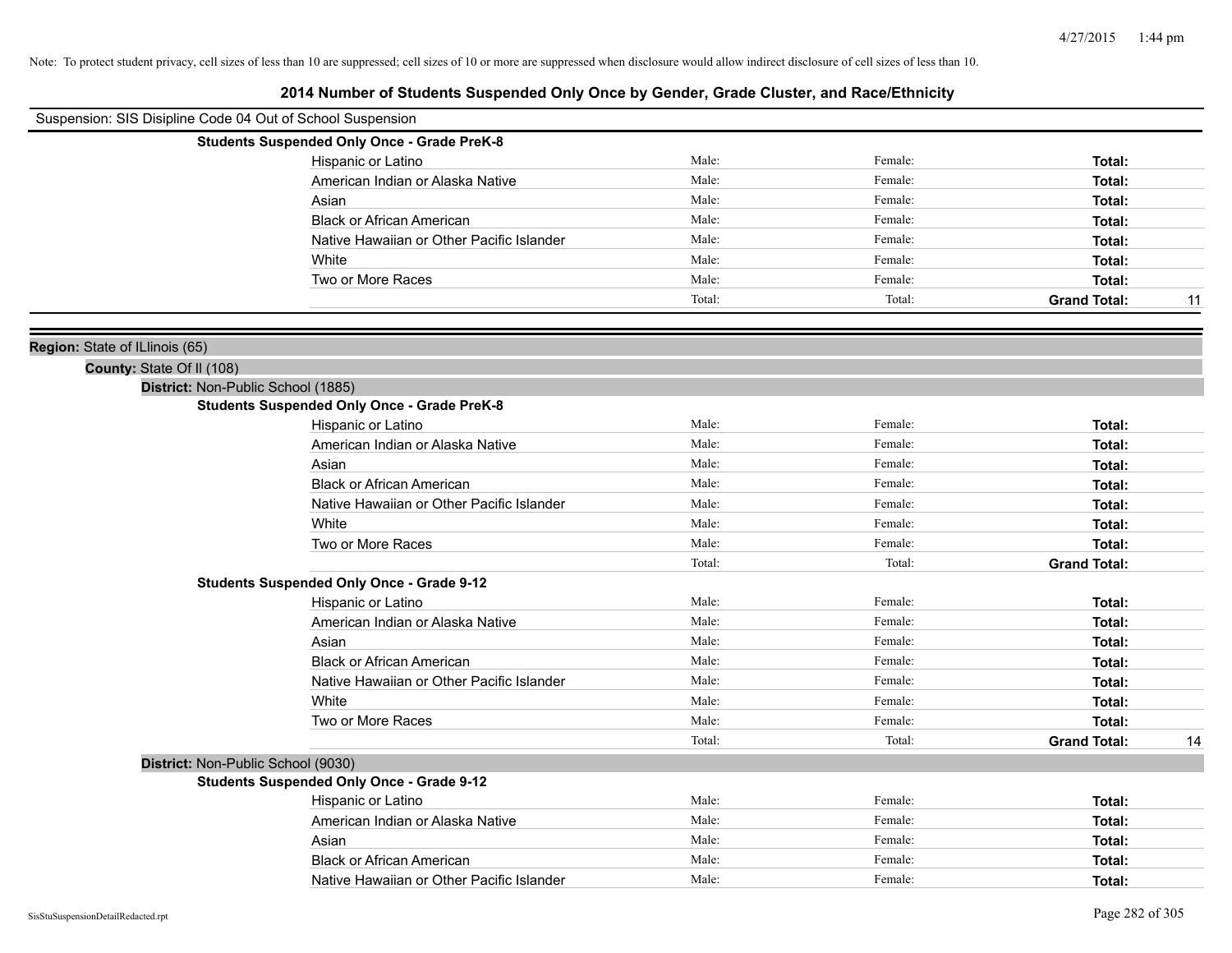| Suspension: SIS Disipline Code 04 Out of School Suspension |                                                    |        |         |                     |    |
|------------------------------------------------------------|----------------------------------------------------|--------|---------|---------------------|----|
|                                                            | <b>Students Suspended Only Once - Grade PreK-8</b> |        |         |                     |    |
|                                                            | Hispanic or Latino                                 | Male:  | Female: | Total:              |    |
|                                                            | American Indian or Alaska Native                   | Male:  | Female: | Total:              |    |
|                                                            | Asian                                              | Male:  | Female: | Total:              |    |
|                                                            | <b>Black or African American</b>                   | Male:  | Female: | Total:              |    |
|                                                            | Native Hawaiian or Other Pacific Islander          | Male:  | Female: | Total:              |    |
|                                                            | White                                              | Male:  | Female: | Total:              |    |
|                                                            | Two or More Races                                  | Male:  | Female: | Total:              |    |
|                                                            |                                                    | Total: | Total:  | <b>Grand Total:</b> | 11 |
|                                                            |                                                    |        |         |                     |    |
| Region: State of ILlinois (65)                             |                                                    |        |         |                     |    |
| County: State Of II (108)                                  |                                                    |        |         |                     |    |
| District: Non-Public School (1885)                         |                                                    |        |         |                     |    |
|                                                            | <b>Students Suspended Only Once - Grade PreK-8</b> |        |         |                     |    |
|                                                            | Hispanic or Latino                                 | Male:  | Female: | Total:              |    |
|                                                            | American Indian or Alaska Native                   | Male:  | Female: | Total:              |    |
|                                                            | Asian                                              | Male:  | Female: | Total:              |    |
|                                                            | <b>Black or African American</b>                   | Male:  | Female: | Total:              |    |
|                                                            | Native Hawaiian or Other Pacific Islander          | Male:  | Female: | Total:              |    |
|                                                            | White                                              | Male:  | Female: | Total:              |    |
|                                                            | Two or More Races                                  | Male:  | Female: | Total:              |    |
|                                                            |                                                    | Total: | Total:  | <b>Grand Total:</b> |    |
|                                                            | <b>Students Suspended Only Once - Grade 9-12</b>   |        |         |                     |    |
|                                                            | Hispanic or Latino                                 | Male:  | Female: | Total:              |    |
|                                                            | American Indian or Alaska Native                   | Male:  | Female: | Total:              |    |
|                                                            | Asian                                              | Male:  | Female: | Total:              |    |
|                                                            | <b>Black or African American</b>                   | Male:  | Female: | Total:              |    |
|                                                            | Native Hawaiian or Other Pacific Islander          | Male:  | Female: | Total:              |    |
|                                                            | White                                              | Male:  | Female: | Total:              |    |
|                                                            | Two or More Races                                  | Male:  | Female: | Total:              |    |
|                                                            |                                                    | Total: | Total:  | <b>Grand Total:</b> | 14 |
| District: Non-Public School (9030)                         |                                                    |        |         |                     |    |
|                                                            | <b>Students Suspended Only Once - Grade 9-12</b>   |        |         |                     |    |
|                                                            | Hispanic or Latino                                 | Male:  | Female: | Total:              |    |
|                                                            | American Indian or Alaska Native                   | Male:  | Female: | Total:              |    |
|                                                            | Asian                                              | Male:  | Female: | Total:              |    |
|                                                            | <b>Black or African American</b>                   | Male:  | Female: | Total:              |    |
|                                                            | Native Hawaiian or Other Pacific Islander          | Male:  | Female: | Total:              |    |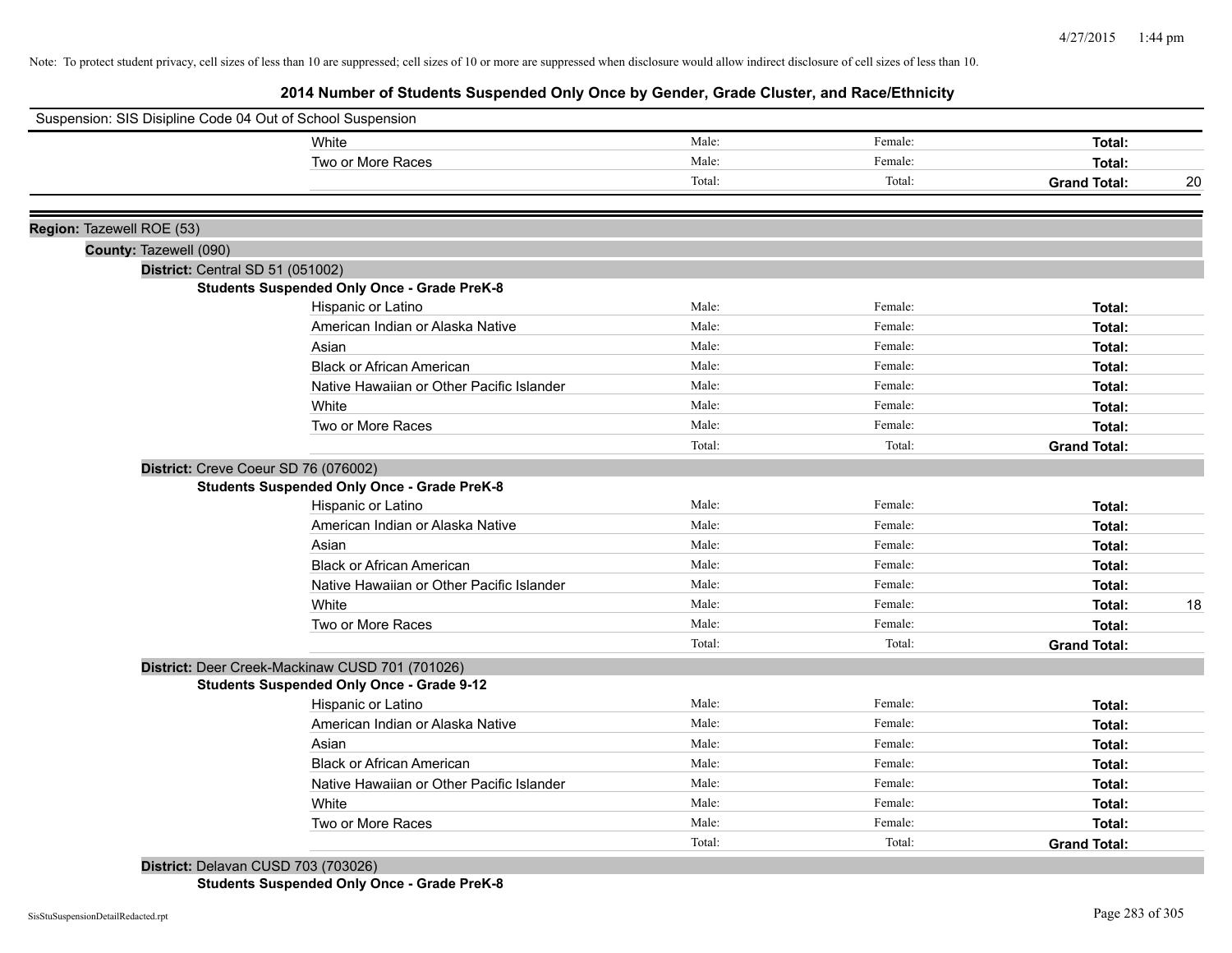**2014 Number of Students Suspended Only Once by Gender, Grade Cluster, and Race/Ethnicity**

|                                                     | Suspension: SIS Disipline Code 04 Out of School Suspension |        |         |                     |    |
|-----------------------------------------------------|------------------------------------------------------------|--------|---------|---------------------|----|
|                                                     | White                                                      | Male:  | Female: | Total:              |    |
|                                                     | Two or More Races                                          | Male:  | Female: | Total:              |    |
|                                                     |                                                            | Total: | Total:  | <b>Grand Total:</b> | 20 |
|                                                     |                                                            |        |         |                     |    |
| Region: Tazewell ROE (53)<br>County: Tazewell (090) |                                                            |        |         |                     |    |
| District: Central SD 51 (051002)                    |                                                            |        |         |                     |    |
|                                                     | <b>Students Suspended Only Once - Grade PreK-8</b>         |        |         |                     |    |
|                                                     | Hispanic or Latino                                         | Male:  | Female: | Total:              |    |
|                                                     | American Indian or Alaska Native                           | Male:  | Female: | Total:              |    |
|                                                     | Asian                                                      | Male:  | Female: | Total:              |    |
|                                                     | <b>Black or African American</b>                           | Male:  | Female: | Total:              |    |
|                                                     | Native Hawaiian or Other Pacific Islander                  | Male:  | Female: | Total:              |    |
|                                                     | White                                                      | Male:  | Female: | Total:              |    |
|                                                     | Two or More Races                                          | Male:  | Female: | Total:              |    |
|                                                     |                                                            | Total: | Total:  | <b>Grand Total:</b> |    |
| District: Creve Coeur SD 76 (076002)                |                                                            |        |         |                     |    |
|                                                     | <b>Students Suspended Only Once - Grade PreK-8</b>         |        |         |                     |    |
|                                                     | Hispanic or Latino                                         | Male:  | Female: | Total:              |    |
|                                                     | American Indian or Alaska Native                           | Male:  | Female: | Total:              |    |
|                                                     | Asian                                                      | Male:  | Female: | Total:              |    |
|                                                     | <b>Black or African American</b>                           | Male:  | Female: | Total:              |    |
|                                                     | Native Hawaiian or Other Pacific Islander                  | Male:  | Female: | Total:              |    |
|                                                     | White                                                      | Male:  | Female: | Total:              | 18 |
|                                                     | Two or More Races                                          | Male:  | Female: | Total:              |    |
|                                                     |                                                            | Total: | Total:  | <b>Grand Total:</b> |    |
|                                                     | District: Deer Creek-Mackinaw CUSD 701 (701026)            |        |         |                     |    |
|                                                     | <b>Students Suspended Only Once - Grade 9-12</b>           |        |         |                     |    |
|                                                     | Hispanic or Latino                                         | Male:  | Female: | Total:              |    |
|                                                     | American Indian or Alaska Native                           | Male:  | Female: | Total:              |    |
|                                                     | Asian                                                      | Male:  | Female: | Total:              |    |
|                                                     | <b>Black or African American</b>                           | Male:  | Female: | Total:              |    |
|                                                     | Native Hawaiian or Other Pacific Islander                  | Male:  | Female: | Total:              |    |
|                                                     | White                                                      | Male:  | Female: | Total:              |    |
|                                                     | Two or More Races                                          | Male:  | Female: | Total:              |    |
|                                                     |                                                            | Total: | Total:  | <b>Grand Total:</b> |    |

**Students Suspended Only Once - Grade PreK-8**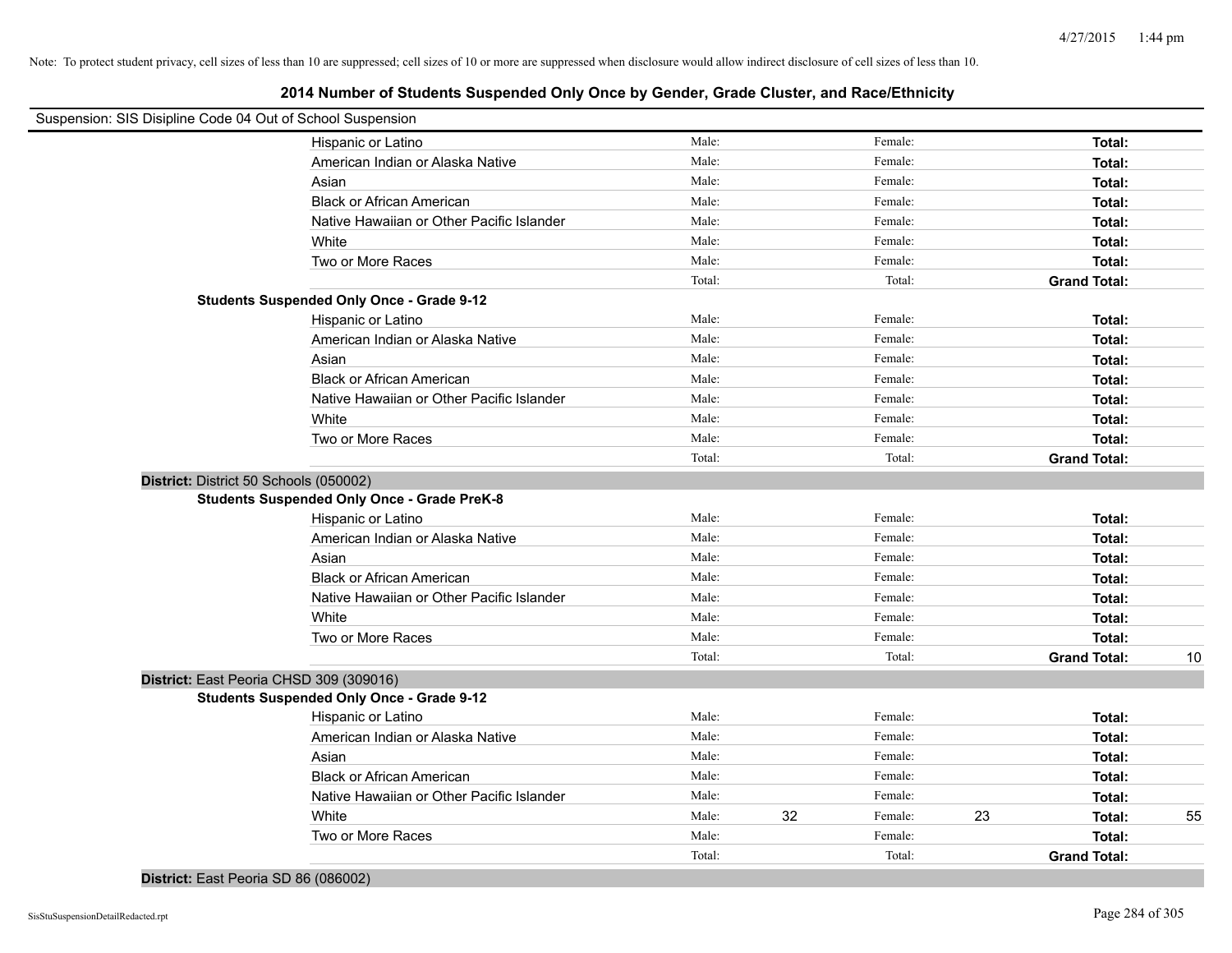| Suspension: SIS Disipline Code 04 Out of School Suspension |                                           |        |    |         |    |                     |    |
|------------------------------------------------------------|-------------------------------------------|--------|----|---------|----|---------------------|----|
| Hispanic or Latino                                         |                                           | Male:  |    | Female: |    | Total:              |    |
|                                                            | American Indian or Alaska Native          | Male:  |    | Female: |    | Total:              |    |
| Asian                                                      |                                           | Male:  |    | Female: |    | Total:              |    |
| <b>Black or African American</b>                           |                                           | Male:  |    | Female: |    | Total:              |    |
|                                                            | Native Hawaiian or Other Pacific Islander | Male:  |    | Female: |    | Total:              |    |
| White                                                      |                                           | Male:  |    | Female: |    | Total:              |    |
| Two or More Races                                          |                                           | Male:  |    | Female: |    | Total:              |    |
|                                                            |                                           | Total: |    | Total:  |    | <b>Grand Total:</b> |    |
| <b>Students Suspended Only Once - Grade 9-12</b>           |                                           |        |    |         |    |                     |    |
| Hispanic or Latino                                         |                                           | Male:  |    | Female: |    | Total:              |    |
|                                                            | American Indian or Alaska Native          | Male:  |    | Female: |    | Total:              |    |
| Asian                                                      |                                           | Male:  |    | Female: |    | Total:              |    |
| <b>Black or African American</b>                           |                                           | Male:  |    | Female: |    | Total:              |    |
|                                                            | Native Hawaiian or Other Pacific Islander | Male:  |    | Female: |    | Total:              |    |
| White                                                      |                                           | Male:  |    | Female: |    | Total:              |    |
| Two or More Races                                          |                                           | Male:  |    | Female: |    | Total:              |    |
|                                                            |                                           | Total: |    | Total:  |    | <b>Grand Total:</b> |    |
| District: District 50 Schools (050002)                     |                                           |        |    |         |    |                     |    |
| <b>Students Suspended Only Once - Grade PreK-8</b>         |                                           |        |    |         |    |                     |    |
| Hispanic or Latino                                         |                                           | Male:  |    | Female: |    | Total:              |    |
|                                                            | American Indian or Alaska Native          | Male:  |    | Female: |    | Total:              |    |
| Asian                                                      |                                           | Male:  |    | Female: |    | Total:              |    |
| <b>Black or African American</b>                           |                                           | Male:  |    | Female: |    | Total:              |    |
|                                                            | Native Hawaiian or Other Pacific Islander | Male:  |    | Female: |    | Total:              |    |
| White                                                      |                                           | Male:  |    | Female: |    | Total:              |    |
| Two or More Races                                          |                                           | Male:  |    | Female: |    | Total:              |    |
|                                                            |                                           | Total: |    | Total:  |    | <b>Grand Total:</b> | 10 |
| District: East Peoria CHSD 309 (309016)                    |                                           |        |    |         |    |                     |    |
| <b>Students Suspended Only Once - Grade 9-12</b>           |                                           |        |    |         |    |                     |    |
| Hispanic or Latino                                         |                                           | Male:  |    | Female: |    | Total:              |    |
|                                                            | American Indian or Alaska Native          | Male:  |    | Female: |    | Total:              |    |
| Asian                                                      |                                           | Male:  |    | Female: |    | Total:              |    |
| <b>Black or African American</b>                           |                                           | Male:  |    | Female: |    | Total:              |    |
|                                                            | Native Hawaiian or Other Pacific Islander | Male:  |    | Female: |    | Total:              |    |
| White                                                      |                                           | Male:  | 32 | Female: | 23 | Total:              | 55 |
| Two or More Races                                          |                                           | Male:  |    | Female: |    | Total:              |    |
|                                                            |                                           | Total: |    | Total:  |    | <b>Grand Total:</b> |    |
|                                                            |                                           |        |    |         |    |                     |    |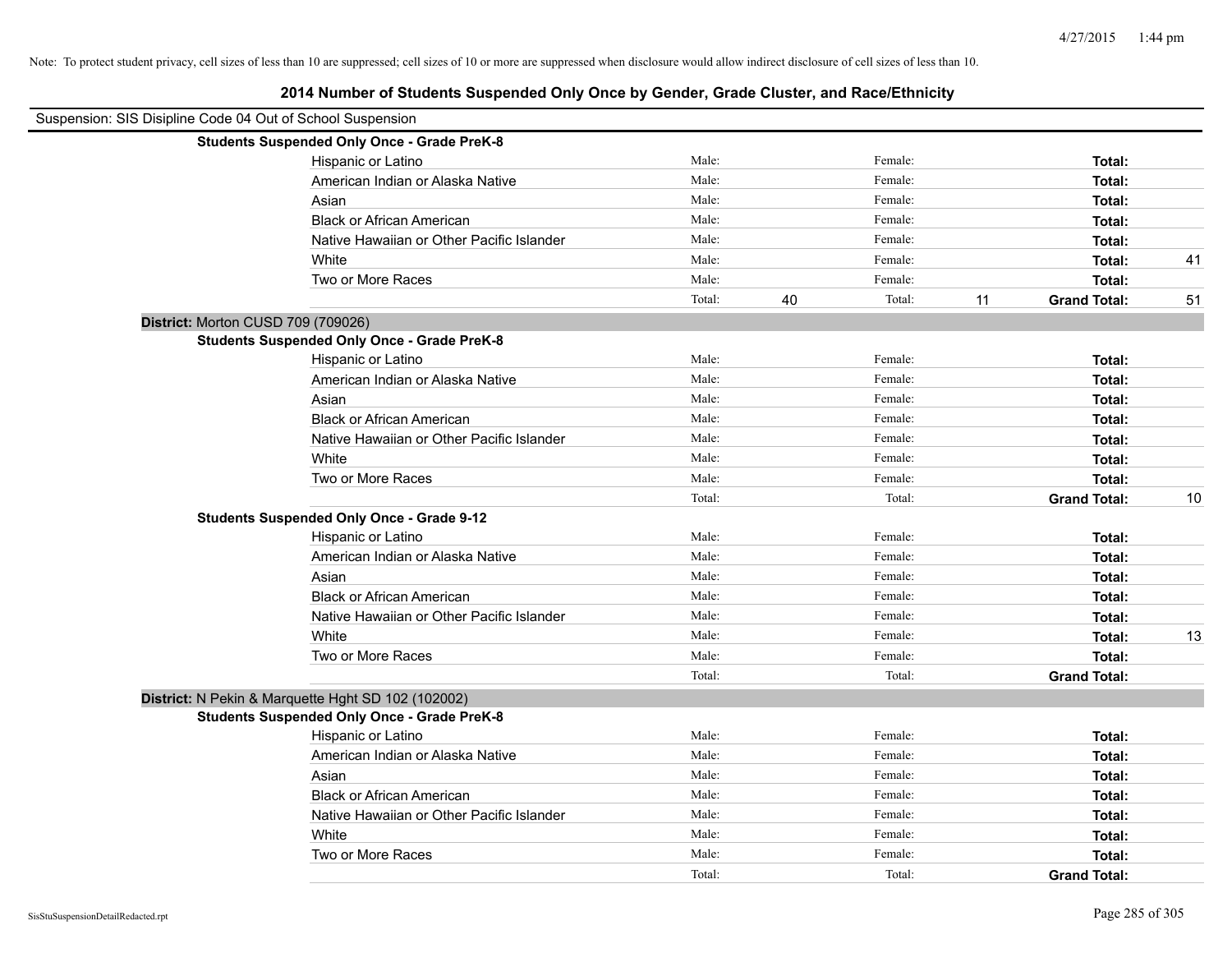| Suspension: SIS Disipline Code 04 Out of School Suspension |                                                    |        |    |         |    |                     |    |
|------------------------------------------------------------|----------------------------------------------------|--------|----|---------|----|---------------------|----|
|                                                            | <b>Students Suspended Only Once - Grade PreK-8</b> |        |    |         |    |                     |    |
|                                                            | Hispanic or Latino                                 | Male:  |    | Female: |    | Total:              |    |
|                                                            | American Indian or Alaska Native                   | Male:  |    | Female: |    | Total:              |    |
|                                                            | Asian                                              | Male:  |    | Female: |    | Total:              |    |
|                                                            | <b>Black or African American</b>                   | Male:  |    | Female: |    | Total:              |    |
|                                                            | Native Hawaiian or Other Pacific Islander          | Male:  |    | Female: |    | Total:              |    |
|                                                            | White                                              | Male:  |    | Female: |    | Total:              | 41 |
|                                                            | Two or More Races                                  | Male:  |    | Female: |    | Total:              |    |
|                                                            |                                                    | Total: | 40 | Total:  | 11 | <b>Grand Total:</b> | 51 |
| District: Morton CUSD 709 (709026)                         |                                                    |        |    |         |    |                     |    |
|                                                            | <b>Students Suspended Only Once - Grade PreK-8</b> |        |    |         |    |                     |    |
|                                                            | Hispanic or Latino                                 | Male:  |    | Female: |    | Total:              |    |
|                                                            | American Indian or Alaska Native                   | Male:  |    | Female: |    | Total:              |    |
|                                                            | Asian                                              | Male:  |    | Female: |    | Total:              |    |
|                                                            | <b>Black or African American</b>                   | Male:  |    | Female: |    | Total:              |    |
|                                                            | Native Hawaiian or Other Pacific Islander          | Male:  |    | Female: |    | Total:              |    |
|                                                            | White                                              | Male:  |    | Female: |    | Total:              |    |
|                                                            | Two or More Races                                  | Male:  |    | Female: |    | Total:              |    |
|                                                            |                                                    | Total: |    | Total:  |    | <b>Grand Total:</b> | 10 |
|                                                            | <b>Students Suspended Only Once - Grade 9-12</b>   |        |    |         |    |                     |    |
|                                                            | Hispanic or Latino                                 | Male:  |    | Female: |    | Total:              |    |
|                                                            | American Indian or Alaska Native                   | Male:  |    | Female: |    | Total:              |    |
|                                                            | Asian                                              | Male:  |    | Female: |    | Total:              |    |
|                                                            | <b>Black or African American</b>                   | Male:  |    | Female: |    | Total:              |    |
|                                                            | Native Hawaiian or Other Pacific Islander          | Male:  |    | Female: |    | Total:              |    |
|                                                            | White                                              | Male:  |    | Female: |    | Total:              | 13 |
|                                                            | Two or More Races                                  | Male:  |    | Female: |    | Total:              |    |
|                                                            |                                                    | Total: |    | Total:  |    | <b>Grand Total:</b> |    |
|                                                            | District: N Pekin & Marquette Hght SD 102 (102002) |        |    |         |    |                     |    |
|                                                            | <b>Students Suspended Only Once - Grade PreK-8</b> |        |    |         |    |                     |    |
|                                                            | Hispanic or Latino                                 | Male:  |    | Female: |    | Total:              |    |
|                                                            | American Indian or Alaska Native                   | Male:  |    | Female: |    | Total:              |    |
|                                                            | Asian                                              | Male:  |    | Female: |    | Total:              |    |
|                                                            | <b>Black or African American</b>                   | Male:  |    | Female: |    | Total:              |    |
|                                                            | Native Hawaiian or Other Pacific Islander          | Male:  |    | Female: |    | Total:              |    |
|                                                            | White                                              | Male:  |    | Female: |    | Total:              |    |
|                                                            | Two or More Races                                  | Male:  |    | Female: |    | Total:              |    |
|                                                            |                                                    | Total: |    | Total:  |    | <b>Grand Total:</b> |    |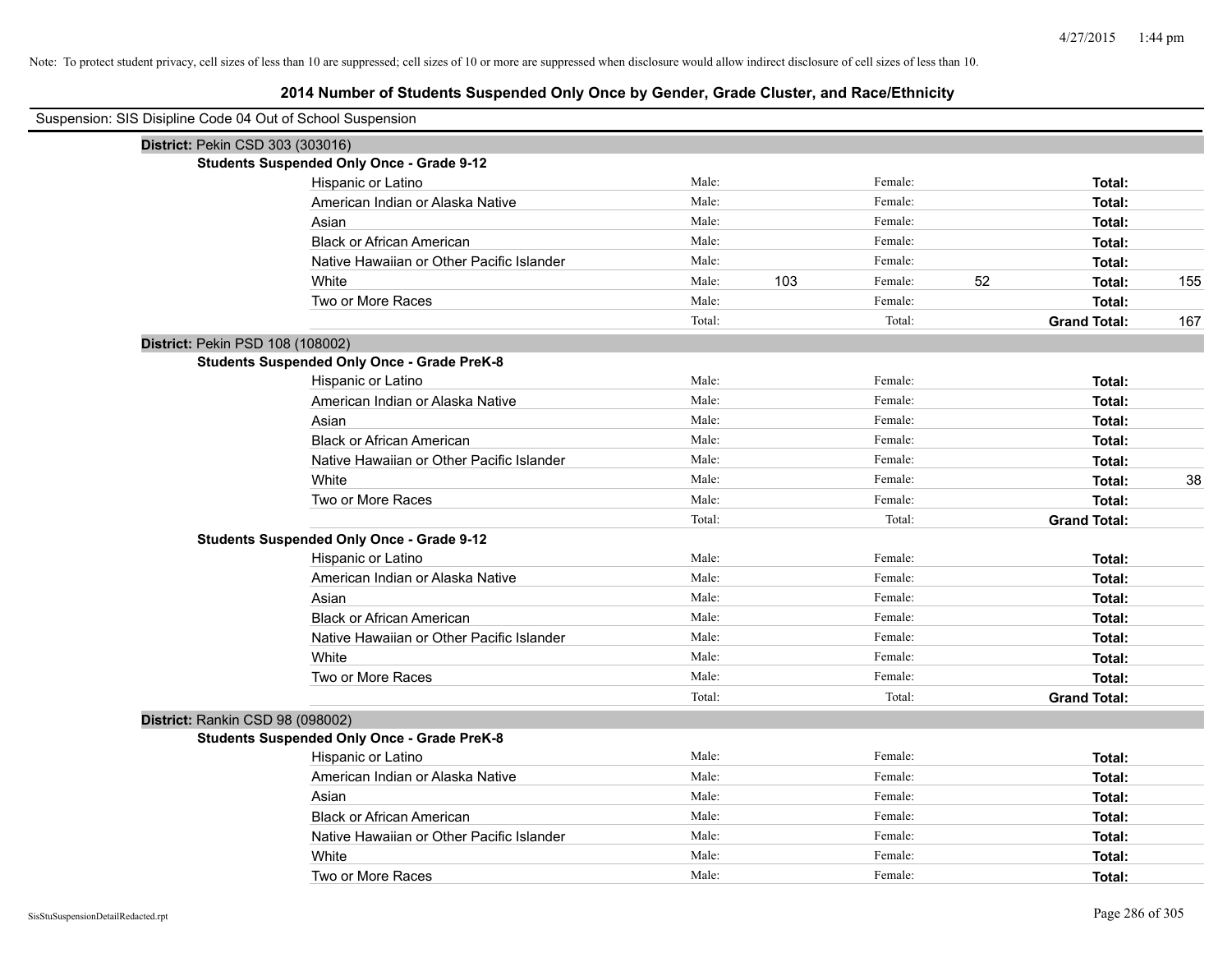# **2014 Number of Students Suspended Only Once by Gender, Grade Cluster, and Race/Ethnicity**

| Suspension: SIS Disipline Code 04 Out of School Suspension |                                                    |        |     |         |    |                     |     |
|------------------------------------------------------------|----------------------------------------------------|--------|-----|---------|----|---------------------|-----|
| District: Pekin CSD 303 (303016)                           |                                                    |        |     |         |    |                     |     |
|                                                            | <b>Students Suspended Only Once - Grade 9-12</b>   |        |     |         |    |                     |     |
|                                                            | Hispanic or Latino                                 | Male:  |     | Female: |    | Total:              |     |
|                                                            | American Indian or Alaska Native                   | Male:  |     | Female: |    | Total:              |     |
|                                                            | Asian                                              | Male:  |     | Female: |    | Total:              |     |
|                                                            | <b>Black or African American</b>                   | Male:  |     | Female: |    | Total:              |     |
|                                                            | Native Hawaiian or Other Pacific Islander          | Male:  |     | Female: |    | Total:              |     |
|                                                            | White                                              | Male:  | 103 | Female: | 52 | Total:              | 155 |
|                                                            | Two or More Races                                  | Male:  |     | Female: |    | Total:              |     |
|                                                            |                                                    | Total: |     | Total:  |    | <b>Grand Total:</b> | 167 |
| District: Pekin PSD 108 (108002)                           |                                                    |        |     |         |    |                     |     |
|                                                            | <b>Students Suspended Only Once - Grade PreK-8</b> |        |     |         |    |                     |     |
|                                                            | Hispanic or Latino                                 | Male:  |     | Female: |    | Total:              |     |
|                                                            | American Indian or Alaska Native                   | Male:  |     | Female: |    | Total:              |     |
|                                                            | Asian                                              | Male:  |     | Female: |    | Total:              |     |
|                                                            | <b>Black or African American</b>                   | Male:  |     | Female: |    | Total:              |     |
|                                                            | Native Hawaiian or Other Pacific Islander          | Male:  |     | Female: |    | Total:              |     |
|                                                            | White                                              | Male:  |     | Female: |    | Total:              | 38  |
|                                                            | Two or More Races                                  | Male:  |     | Female: |    | Total:              |     |
|                                                            |                                                    | Total: |     | Total:  |    | <b>Grand Total:</b> |     |
|                                                            | <b>Students Suspended Only Once - Grade 9-12</b>   |        |     |         |    |                     |     |
|                                                            | Hispanic or Latino                                 | Male:  |     | Female: |    | Total:              |     |
|                                                            | American Indian or Alaska Native                   | Male:  |     | Female: |    | Total:              |     |
|                                                            | Asian                                              | Male:  |     | Female: |    | Total:              |     |
|                                                            | <b>Black or African American</b>                   | Male:  |     | Female: |    | Total:              |     |
|                                                            | Native Hawaiian or Other Pacific Islander          | Male:  |     | Female: |    | Total:              |     |
|                                                            | White                                              | Male:  |     | Female: |    | Total:              |     |
|                                                            | Two or More Races                                  | Male:  |     | Female: |    | Total:              |     |
|                                                            |                                                    | Total: |     | Total:  |    | <b>Grand Total:</b> |     |
| District: Rankin CSD 98 (098002)                           |                                                    |        |     |         |    |                     |     |
|                                                            | <b>Students Suspended Only Once - Grade PreK-8</b> |        |     |         |    |                     |     |
|                                                            | Hispanic or Latino                                 | Male:  |     | Female: |    | Total:              |     |
|                                                            | American Indian or Alaska Native                   | Male:  |     | Female: |    | Total:              |     |
|                                                            | Asian                                              | Male:  |     | Female: |    | Total:              |     |
|                                                            | <b>Black or African American</b>                   | Male:  |     | Female: |    | Total:              |     |
|                                                            | Native Hawaiian or Other Pacific Islander          | Male:  |     | Female: |    | Total:              |     |
|                                                            | White                                              | Male:  |     | Female: |    | Total:              |     |
|                                                            | Two or More Races                                  | Male:  |     | Female: |    | Total:              |     |

 $\overline{\phantom{a}}$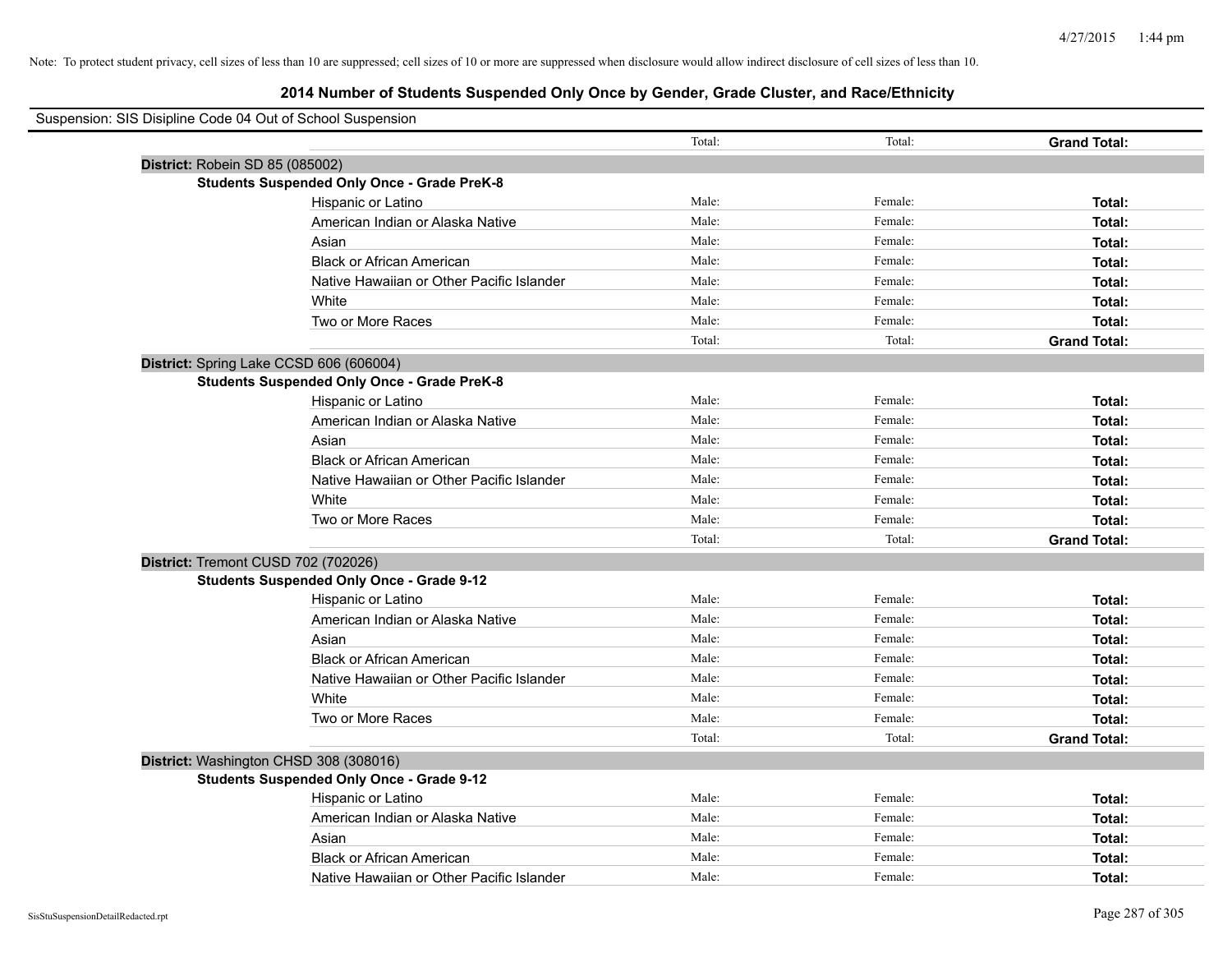| Suspension: SIS Disipline Code 04 Out of School Suspension |                                                    |        |         |                     |
|------------------------------------------------------------|----------------------------------------------------|--------|---------|---------------------|
|                                                            |                                                    | Total: | Total:  | <b>Grand Total:</b> |
|                                                            | District: Robein SD 85 (085002)                    |        |         |                     |
|                                                            | <b>Students Suspended Only Once - Grade PreK-8</b> |        |         |                     |
|                                                            | Hispanic or Latino                                 | Male:  | Female: | Total:              |
|                                                            | American Indian or Alaska Native                   | Male:  | Female: | Total:              |
|                                                            | Asian                                              | Male:  | Female: | Total:              |
|                                                            | <b>Black or African American</b>                   | Male:  | Female: | Total:              |
|                                                            | Native Hawaiian or Other Pacific Islander          | Male:  | Female: | Total:              |
|                                                            | White                                              | Male:  | Female: | Total:              |
|                                                            | Two or More Races                                  | Male:  | Female: | Total:              |
|                                                            |                                                    | Total: | Total:  | <b>Grand Total:</b> |
|                                                            | District: Spring Lake CCSD 606 (606004)            |        |         |                     |
|                                                            | <b>Students Suspended Only Once - Grade PreK-8</b> |        |         |                     |
|                                                            | Hispanic or Latino                                 | Male:  | Female: | Total:              |
|                                                            | American Indian or Alaska Native                   | Male:  | Female: | Total:              |
|                                                            | Asian                                              | Male:  | Female: | Total:              |
|                                                            | <b>Black or African American</b>                   | Male:  | Female: | Total:              |
|                                                            | Native Hawaiian or Other Pacific Islander          | Male:  | Female: | Total:              |
|                                                            | White                                              | Male:  | Female: | Total:              |
|                                                            | Two or More Races                                  | Male:  | Female: | Total:              |
|                                                            |                                                    | Total: | Total:  | <b>Grand Total:</b> |
|                                                            | District: Tremont CUSD 702 (702026)                |        |         |                     |
|                                                            | <b>Students Suspended Only Once - Grade 9-12</b>   |        |         |                     |
|                                                            | Hispanic or Latino                                 | Male:  | Female: | Total:              |
|                                                            | American Indian or Alaska Native                   | Male:  | Female: | Total:              |
|                                                            | Asian                                              | Male:  | Female: | Total:              |
|                                                            | <b>Black or African American</b>                   | Male:  | Female: | Total:              |
|                                                            | Native Hawaiian or Other Pacific Islander          | Male:  | Female: | Total:              |
|                                                            | White                                              | Male:  | Female: | Total:              |
|                                                            | Two or More Races                                  | Male:  | Female: | Total:              |
|                                                            |                                                    | Total: | Total:  | <b>Grand Total:</b> |
|                                                            | District: Washington CHSD 308 (308016)             |        |         |                     |
|                                                            | <b>Students Suspended Only Once - Grade 9-12</b>   |        |         |                     |
|                                                            | Hispanic or Latino                                 | Male:  | Female: | Total:              |
|                                                            | American Indian or Alaska Native                   | Male:  | Female: | Total:              |
|                                                            | Asian                                              | Male:  | Female: | Total:              |
|                                                            | <b>Black or African American</b>                   | Male:  | Female: | Total:              |
|                                                            | Native Hawaiian or Other Pacific Islander          | Male:  | Female: | Total:              |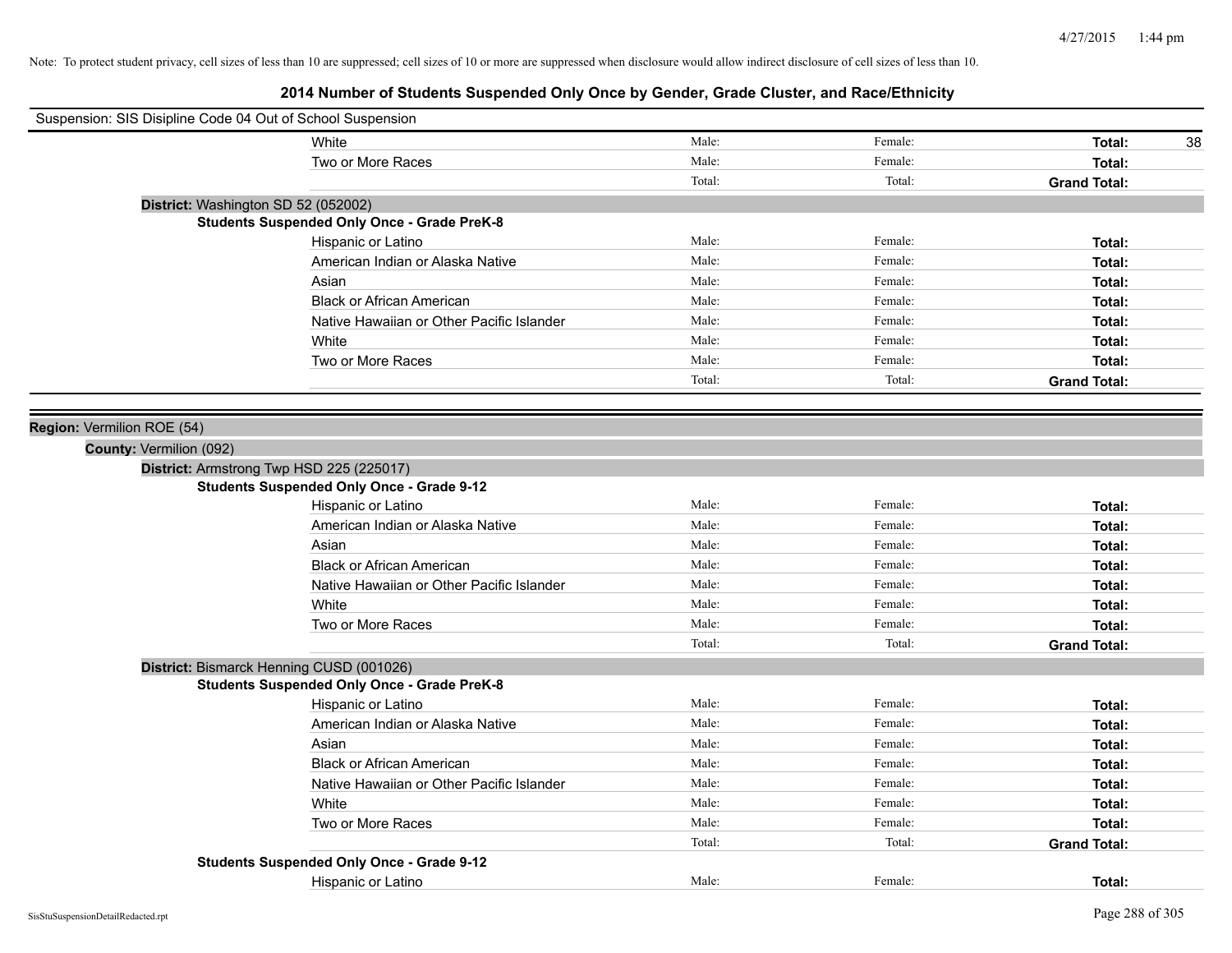| Suspension: SIS Disipline Code 04 Out of School Suspension |        |         |                     |
|------------------------------------------------------------|--------|---------|---------------------|
| White                                                      | Male:  | Female: | Total:<br>38        |
| Two or More Races                                          | Male:  | Female: | Total:              |
|                                                            | Total: | Total:  | <b>Grand Total:</b> |
| District: Washington SD 52 (052002)                        |        |         |                     |
| <b>Students Suspended Only Once - Grade PreK-8</b>         |        |         |                     |
| Hispanic or Latino                                         | Male:  | Female: | Total:              |
| American Indian or Alaska Native                           | Male:  | Female: | Total:              |
| Asian                                                      | Male:  | Female: | Total:              |
| <b>Black or African American</b>                           | Male:  | Female: | Total:              |
| Native Hawaiian or Other Pacific Islander                  | Male:  | Female: | Total:              |
| White                                                      | Male:  | Female: | Total:              |
| Two or More Races                                          | Male:  | Female: | Total:              |
|                                                            | Total: | Total:  | <b>Grand Total:</b> |
|                                                            |        |         |                     |
| Region: Vermilion ROE (54)                                 |        |         |                     |
| County: Vermilion (092)                                    |        |         |                     |
| District: Armstrong Twp HSD 225 (225017)                   |        |         |                     |
| <b>Students Suspended Only Once - Grade 9-12</b>           |        |         |                     |
| Hispanic or Latino                                         | Male:  | Female: | Total:              |
| American Indian or Alaska Native                           | Male:  | Female: | Total:              |
| Asian                                                      | Male:  | Female: | Total:              |
| <b>Black or African American</b>                           | Male:  | Female: | Total:              |
| Native Hawaiian or Other Pacific Islander                  | Male:  | Female: | Total:              |
| White                                                      | Male:  | Female: | Total:              |
| Two or More Races                                          | Male:  | Female: | Total:              |
|                                                            | Total: | Total:  | <b>Grand Total:</b> |
| District: Bismarck Henning CUSD (001026)                   |        |         |                     |
| <b>Students Suspended Only Once - Grade PreK-8</b>         |        |         |                     |
| Hispanic or Latino                                         | Male:  | Female: | Total:              |
| American Indian or Alaska Native                           | Male:  | Female: | Total:              |
| Asian                                                      | Male:  | Female: | Total:              |
| <b>Black or African American</b>                           | Male:  | Female: | Total:              |
| Native Hawaiian or Other Pacific Islander                  | Male:  | Female: | Total:              |
| White                                                      | Male:  | Female: | Total:              |
| Two or More Races                                          | Male:  | Female: | Total:              |
|                                                            | Total: | Total:  | <b>Grand Total:</b> |
| <b>Students Suspended Only Once - Grade 9-12</b>           |        |         |                     |
| Hispanic or Latino                                         | Male:  | Female: | Total:              |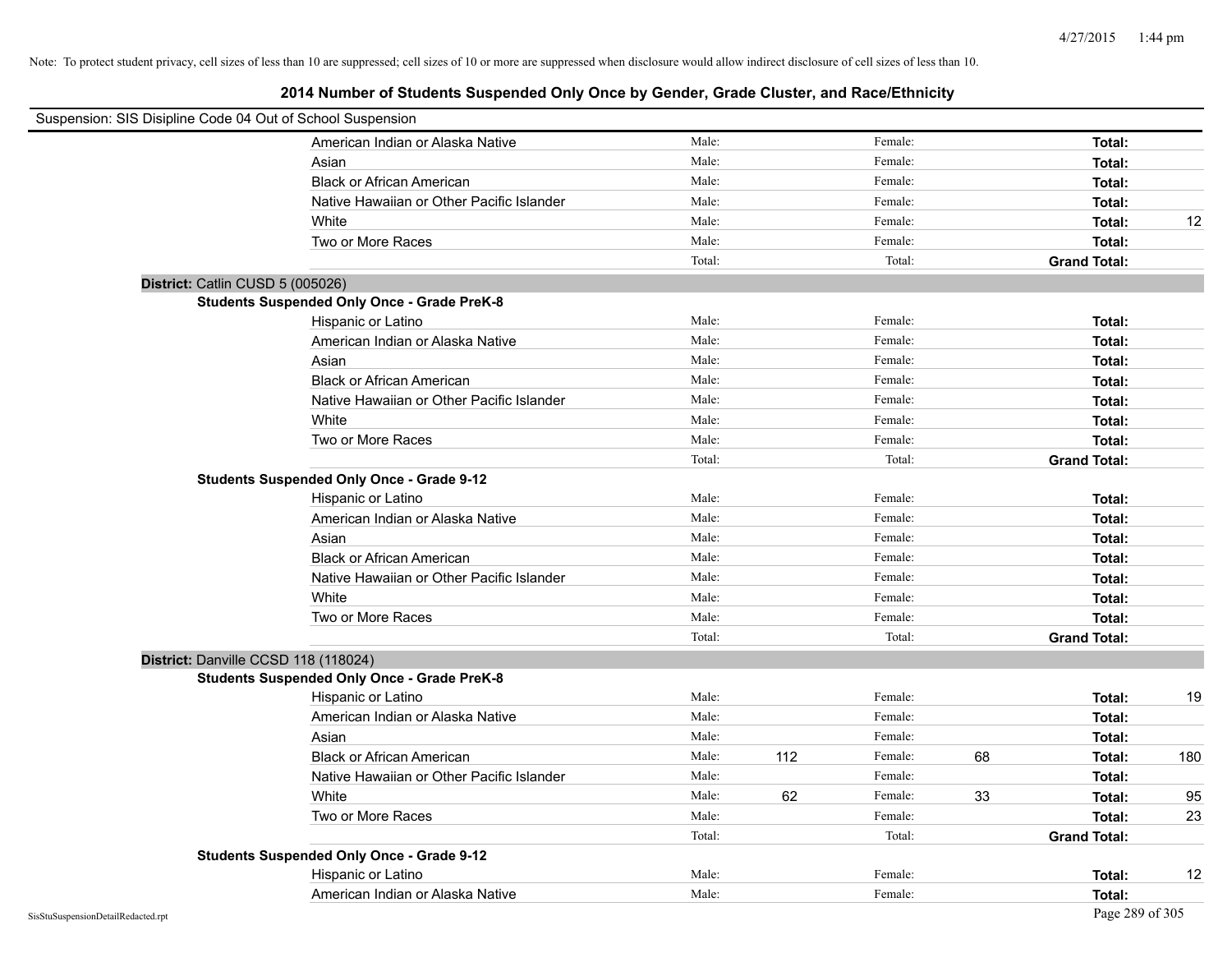| Suspension: SIS Disipline Code 04 Out of School Suspension |                                                    |        |     |         |    |                     |     |
|------------------------------------------------------------|----------------------------------------------------|--------|-----|---------|----|---------------------|-----|
|                                                            | American Indian or Alaska Native                   | Male:  |     | Female: |    | Total:              |     |
|                                                            | Asian                                              | Male:  |     | Female: |    | Total:              |     |
|                                                            | <b>Black or African American</b>                   | Male:  |     | Female: |    | Total:              |     |
|                                                            | Native Hawaiian or Other Pacific Islander          | Male:  |     | Female: |    | Total:              |     |
|                                                            | White                                              | Male:  |     | Female: |    | Total:              | 12  |
|                                                            | Two or More Races                                  | Male:  |     | Female: |    | Total:              |     |
|                                                            |                                                    | Total: |     | Total:  |    | <b>Grand Total:</b> |     |
| District: Catlin CUSD 5 (005026)                           |                                                    |        |     |         |    |                     |     |
|                                                            | <b>Students Suspended Only Once - Grade PreK-8</b> |        |     |         |    |                     |     |
|                                                            | Hispanic or Latino                                 | Male:  |     | Female: |    | Total:              |     |
|                                                            | American Indian or Alaska Native                   | Male:  |     | Female: |    | Total:              |     |
|                                                            | Asian                                              | Male:  |     | Female: |    | Total:              |     |
|                                                            | <b>Black or African American</b>                   | Male:  |     | Female: |    | Total:              |     |
|                                                            | Native Hawaiian or Other Pacific Islander          | Male:  |     | Female: |    | Total:              |     |
|                                                            | White                                              | Male:  |     | Female: |    | Total:              |     |
|                                                            | Two or More Races                                  | Male:  |     | Female: |    | Total:              |     |
|                                                            |                                                    | Total: |     | Total:  |    | <b>Grand Total:</b> |     |
|                                                            | <b>Students Suspended Only Once - Grade 9-12</b>   |        |     |         |    |                     |     |
|                                                            | Hispanic or Latino                                 | Male:  |     | Female: |    | Total:              |     |
|                                                            | American Indian or Alaska Native                   | Male:  |     | Female: |    | Total:              |     |
|                                                            | Asian                                              | Male:  |     | Female: |    | Total:              |     |
|                                                            | <b>Black or African American</b>                   | Male:  |     | Female: |    | Total:              |     |
|                                                            | Native Hawaiian or Other Pacific Islander          | Male:  |     | Female: |    | Total:              |     |
|                                                            | White                                              | Male:  |     | Female: |    | Total:              |     |
|                                                            | Two or More Races                                  | Male:  |     | Female: |    | Total:              |     |
|                                                            |                                                    | Total: |     | Total:  |    | <b>Grand Total:</b> |     |
| District: Danville CCSD 118 (118024)                       |                                                    |        |     |         |    |                     |     |
|                                                            | <b>Students Suspended Only Once - Grade PreK-8</b> |        |     |         |    |                     |     |
|                                                            | Hispanic or Latino                                 | Male:  |     | Female: |    | Total:              | 19  |
|                                                            | American Indian or Alaska Native                   | Male:  |     | Female: |    | Total:              |     |
|                                                            | Asian                                              | Male:  |     | Female: |    | Total:              |     |
|                                                            | <b>Black or African American</b>                   | Male:  | 112 | Female: | 68 | Total:              | 180 |
|                                                            | Native Hawaiian or Other Pacific Islander          | Male:  |     | Female: |    | Total:              |     |
|                                                            | White                                              | Male:  | 62  | Female: | 33 | Total:              | 95  |
|                                                            | Two or More Races                                  | Male:  |     | Female: |    | Total:              | 23  |
|                                                            |                                                    | Total: |     | Total:  |    | <b>Grand Total:</b> |     |
|                                                            | <b>Students Suspended Only Once - Grade 9-12</b>   |        |     |         |    |                     |     |
|                                                            | Hispanic or Latino                                 | Male:  |     | Female: |    | Total:              | 12  |
|                                                            | American Indian or Alaska Native                   | Male:  |     | Female: |    | Total:              |     |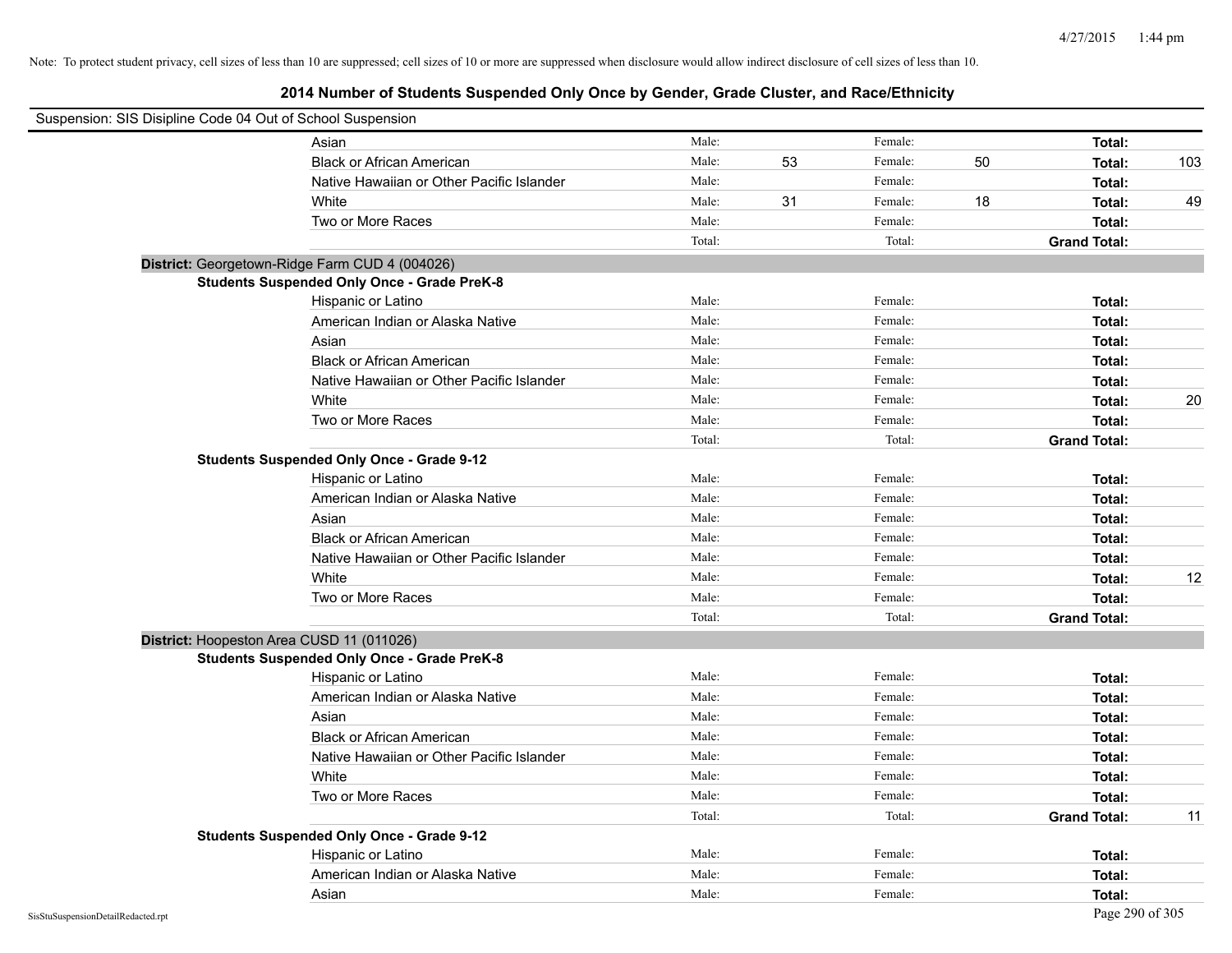| Suspension: SIS Disipline Code 04 Out of School Suspension |        |    |         |    |                     |     |
|------------------------------------------------------------|--------|----|---------|----|---------------------|-----|
| Asian                                                      | Male:  |    | Female: |    | Total:              |     |
| <b>Black or African American</b>                           | Male:  | 53 | Female: | 50 | Total:              | 103 |
| Native Hawaiian or Other Pacific Islander                  | Male:  |    | Female: |    | Total:              |     |
| White                                                      | Male:  | 31 | Female: | 18 | Total:              | 49  |
| Two or More Races                                          | Male:  |    | Female: |    | Total:              |     |
|                                                            | Total: |    | Total:  |    | <b>Grand Total:</b> |     |
| District: Georgetown-Ridge Farm CUD 4 (004026)             |        |    |         |    |                     |     |
| <b>Students Suspended Only Once - Grade PreK-8</b>         |        |    |         |    |                     |     |
| Hispanic or Latino                                         | Male:  |    | Female: |    | Total:              |     |
| American Indian or Alaska Native                           | Male:  |    | Female: |    | Total:              |     |
| Asian                                                      | Male:  |    | Female: |    | Total:              |     |
| <b>Black or African American</b>                           | Male:  |    | Female: |    | Total:              |     |
| Native Hawaiian or Other Pacific Islander                  | Male:  |    | Female: |    | Total:              |     |
| White                                                      | Male:  |    | Female: |    | Total:              | 20  |
| Two or More Races                                          | Male:  |    | Female: |    | Total:              |     |
|                                                            | Total: |    | Total:  |    | <b>Grand Total:</b> |     |
| <b>Students Suspended Only Once - Grade 9-12</b>           |        |    |         |    |                     |     |
| Hispanic or Latino                                         | Male:  |    | Female: |    | Total:              |     |
| American Indian or Alaska Native                           | Male:  |    | Female: |    | Total:              |     |
| Asian                                                      | Male:  |    | Female: |    | Total:              |     |
| <b>Black or African American</b>                           | Male:  |    | Female: |    | Total:              |     |
| Native Hawaiian or Other Pacific Islander                  | Male:  |    | Female: |    | Total:              |     |
| White                                                      | Male:  |    | Female: |    | Total:              | 12  |
| Two or More Races                                          | Male:  |    | Female: |    | Total:              |     |
|                                                            | Total: |    | Total:  |    | <b>Grand Total:</b> |     |
| District: Hoopeston Area CUSD 11 (011026)                  |        |    |         |    |                     |     |
| <b>Students Suspended Only Once - Grade PreK-8</b>         |        |    |         |    |                     |     |
| Hispanic or Latino                                         | Male:  |    | Female: |    | Total:              |     |
| American Indian or Alaska Native                           | Male:  |    | Female: |    | Total:              |     |
| Asian                                                      | Male:  |    | Female: |    | Total:              |     |
| <b>Black or African American</b>                           | Male:  |    | Female: |    | Total:              |     |
| Native Hawaiian or Other Pacific Islander                  | Male:  |    | Female: |    | Total:              |     |
| White                                                      | Male:  |    | Female: |    | Total:              |     |
| Two or More Races                                          | Male:  |    | Female: |    | Total:              |     |
|                                                            | Total: |    | Total:  |    | <b>Grand Total:</b> | 11  |
| <b>Students Suspended Only Once - Grade 9-12</b>           |        |    |         |    |                     |     |
| Hispanic or Latino                                         | Male:  |    | Female: |    | Total:              |     |
| American Indian or Alaska Native                           | Male:  |    | Female: |    | Total:              |     |
| Asian                                                      | Male:  |    | Female: |    | Total:              |     |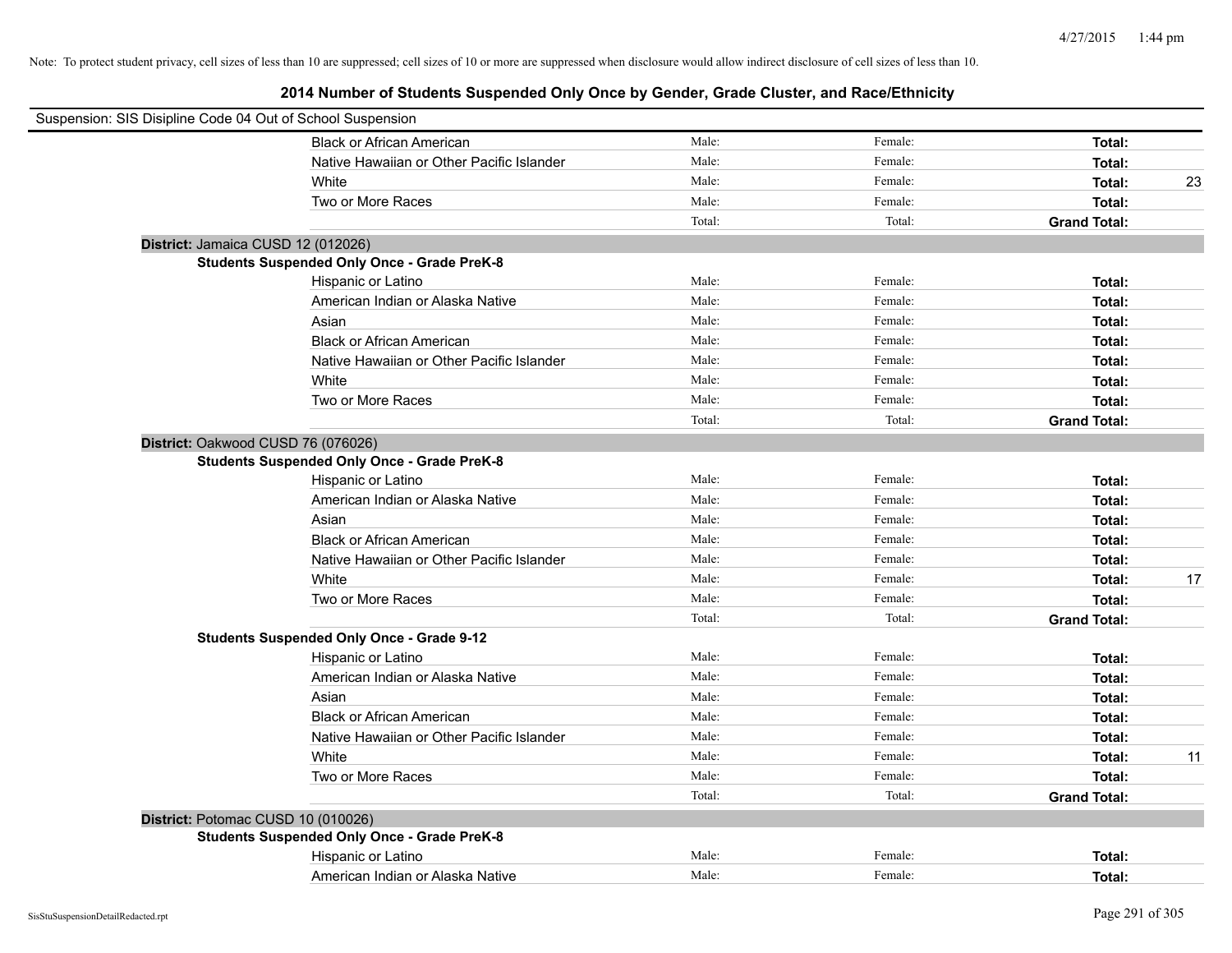| Suspension: SIS Disipline Code 04 Out of School Suspension |                                                    |        |         |                     |    |
|------------------------------------------------------------|----------------------------------------------------|--------|---------|---------------------|----|
|                                                            | <b>Black or African American</b>                   | Male:  | Female: | Total:              |    |
|                                                            | Native Hawaiian or Other Pacific Islander          | Male:  | Female: | Total:              |    |
|                                                            | White                                              | Male:  | Female: | Total:              | 23 |
|                                                            | Two or More Races                                  | Male:  | Female: | Total:              |    |
|                                                            |                                                    | Total: | Total:  | <b>Grand Total:</b> |    |
|                                                            | District: Jamaica CUSD 12 (012026)                 |        |         |                     |    |
|                                                            | <b>Students Suspended Only Once - Grade PreK-8</b> |        |         |                     |    |
|                                                            | Hispanic or Latino                                 | Male:  | Female: | Total:              |    |
|                                                            | American Indian or Alaska Native                   | Male:  | Female: | Total:              |    |
|                                                            | Asian                                              | Male:  | Female: | Total:              |    |
|                                                            | <b>Black or African American</b>                   | Male:  | Female: | Total:              |    |
|                                                            | Native Hawaiian or Other Pacific Islander          | Male:  | Female: | Total:              |    |
|                                                            | White                                              | Male:  | Female: | Total:              |    |
|                                                            | Two or More Races                                  | Male:  | Female: | Total:              |    |
|                                                            |                                                    | Total: | Total:  | <b>Grand Total:</b> |    |
|                                                            | District: Oakwood CUSD 76 (076026)                 |        |         |                     |    |
|                                                            | <b>Students Suspended Only Once - Grade PreK-8</b> |        |         |                     |    |
|                                                            | Hispanic or Latino                                 | Male:  | Female: | Total:              |    |
|                                                            | American Indian or Alaska Native                   | Male:  | Female: | Total:              |    |
|                                                            | Asian                                              | Male:  | Female: | Total:              |    |
|                                                            | <b>Black or African American</b>                   | Male:  | Female: | Total:              |    |
|                                                            | Native Hawaiian or Other Pacific Islander          | Male:  | Female: | Total:              |    |
|                                                            | White                                              | Male:  | Female: | Total:              | 17 |
|                                                            | Two or More Races                                  | Male:  | Female: | Total:              |    |
|                                                            |                                                    | Total: | Total:  | <b>Grand Total:</b> |    |
|                                                            | <b>Students Suspended Only Once - Grade 9-12</b>   |        |         |                     |    |
|                                                            | Hispanic or Latino                                 | Male:  | Female: | Total:              |    |
|                                                            | American Indian or Alaska Native                   | Male:  | Female: | Total:              |    |
|                                                            | Asian                                              | Male:  | Female: | Total:              |    |
|                                                            | <b>Black or African American</b>                   | Male:  | Female: | Total:              |    |
|                                                            | Native Hawaiian or Other Pacific Islander          | Male:  | Female: | Total:              |    |
|                                                            | White                                              | Male:  | Female: | Total:              | 11 |
|                                                            | Two or More Races                                  | Male:  | Female: | Total:              |    |
|                                                            |                                                    | Total: | Total:  | <b>Grand Total:</b> |    |
|                                                            | District: Potomac CUSD 10 (010026)                 |        |         |                     |    |
|                                                            | <b>Students Suspended Only Once - Grade PreK-8</b> |        |         |                     |    |
|                                                            | Hispanic or Latino                                 | Male:  | Female: | Total:              |    |
|                                                            | American Indian or Alaska Native                   | Male:  | Female: | Total:              |    |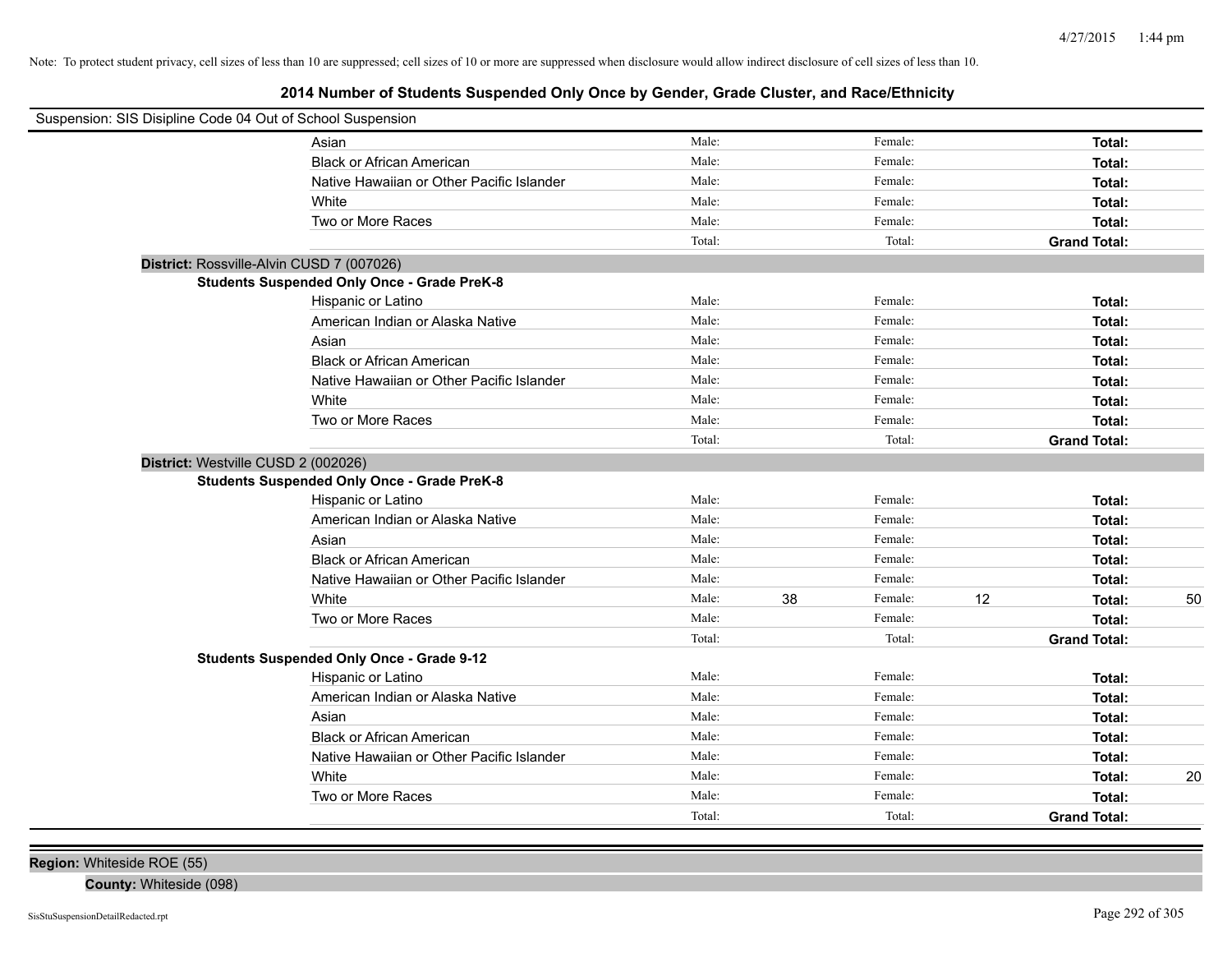# **2014 Number of Students Suspended Only Once by Gender, Grade Cluster, and Race/Ethnicity**

| Suspension: SIS Disipline Code 04 Out of School Suspension |                                                    |        |    |         |    |                     |    |
|------------------------------------------------------------|----------------------------------------------------|--------|----|---------|----|---------------------|----|
|                                                            | Asian                                              | Male:  |    | Female: |    | Total:              |    |
|                                                            | <b>Black or African American</b>                   | Male:  |    | Female: |    | Total:              |    |
|                                                            | Native Hawaiian or Other Pacific Islander          | Male:  |    | Female: |    | Total:              |    |
|                                                            | White                                              | Male:  |    | Female: |    | Total:              |    |
|                                                            | Two or More Races                                  | Male:  |    | Female: |    | Total:              |    |
|                                                            |                                                    | Total: |    | Total:  |    | <b>Grand Total:</b> |    |
| District: Rossville-Alvin CUSD 7 (007026)                  |                                                    |        |    |         |    |                     |    |
|                                                            | <b>Students Suspended Only Once - Grade PreK-8</b> |        |    |         |    |                     |    |
|                                                            | Hispanic or Latino                                 | Male:  |    | Female: |    | Total:              |    |
|                                                            | American Indian or Alaska Native                   | Male:  |    | Female: |    | Total:              |    |
|                                                            | Asian                                              | Male:  |    | Female: |    | Total:              |    |
|                                                            | <b>Black or African American</b>                   | Male:  |    | Female: |    | Total:              |    |
|                                                            | Native Hawaiian or Other Pacific Islander          | Male:  |    | Female: |    | Total:              |    |
|                                                            | White                                              | Male:  |    | Female: |    | Total:              |    |
|                                                            | Two or More Races                                  | Male:  |    | Female: |    | Total:              |    |
|                                                            |                                                    | Total: |    | Total:  |    | <b>Grand Total:</b> |    |
| District: Westville CUSD 2 (002026)                        |                                                    |        |    |         |    |                     |    |
|                                                            | <b>Students Suspended Only Once - Grade PreK-8</b> |        |    |         |    |                     |    |
|                                                            | Hispanic or Latino                                 | Male:  |    | Female: |    | Total:              |    |
|                                                            | American Indian or Alaska Native                   | Male:  |    | Female: |    | Total:              |    |
|                                                            | Asian                                              | Male:  |    | Female: |    | Total:              |    |
|                                                            | <b>Black or African American</b>                   | Male:  |    | Female: |    | Total:              |    |
|                                                            | Native Hawaiian or Other Pacific Islander          | Male:  |    | Female: |    | Total:              |    |
|                                                            | White                                              | Male:  | 38 | Female: | 12 | Total:              | 50 |
|                                                            | Two or More Races                                  | Male:  |    | Female: |    | Total:              |    |
|                                                            |                                                    | Total: |    | Total:  |    | <b>Grand Total:</b> |    |
|                                                            | <b>Students Suspended Only Once - Grade 9-12</b>   |        |    |         |    |                     |    |
|                                                            | Hispanic or Latino                                 | Male:  |    | Female: |    | Total:              |    |
|                                                            | American Indian or Alaska Native                   | Male:  |    | Female: |    | Total:              |    |
|                                                            | Asian                                              | Male:  |    | Female: |    | Total:              |    |
|                                                            | <b>Black or African American</b>                   | Male:  |    | Female: |    | Total:              |    |
|                                                            | Native Hawaiian or Other Pacific Islander          | Male:  |    | Female: |    | Total:              |    |
|                                                            | White                                              | Male:  |    | Female: |    | Total:              | 20 |
|                                                            | Two or More Races                                  | Male:  |    | Female: |    | Total:              |    |
|                                                            |                                                    | Total: |    | Total:  |    | <b>Grand Total:</b> |    |

**Region:** Whiteside ROE (55)

**County:** Whiteside (098)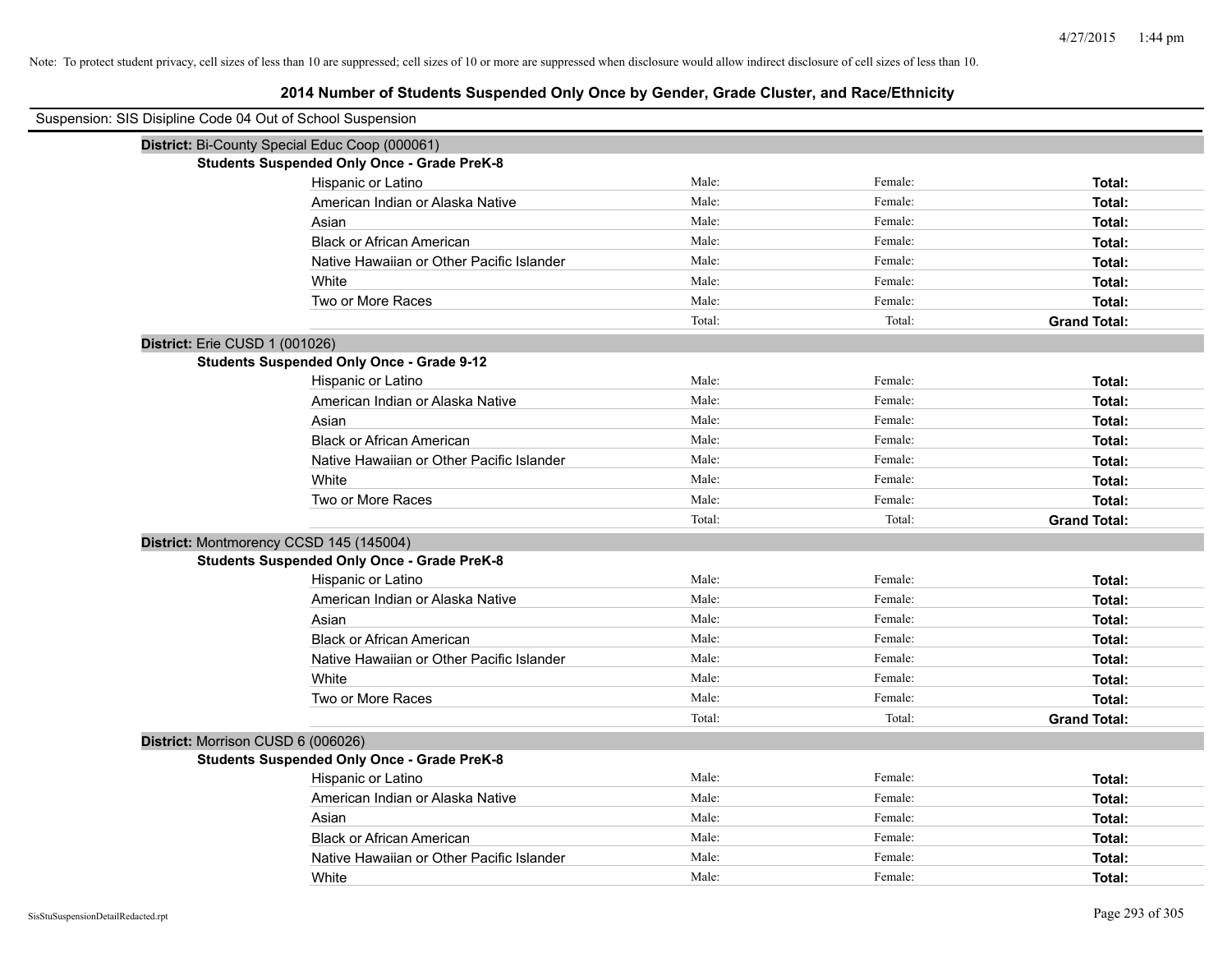# **2014 Number of Students Suspended Only Once by Gender, Grade Cluster, and Race/Ethnicity**

| Suspension: SIS Disipline Code 04 Out of School Suspension |                                                    |        |         |                     |
|------------------------------------------------------------|----------------------------------------------------|--------|---------|---------------------|
|                                                            | District: Bi-County Special Educ Coop (000061)     |        |         |                     |
|                                                            | <b>Students Suspended Only Once - Grade PreK-8</b> |        |         |                     |
|                                                            | Hispanic or Latino                                 | Male:  | Female: | Total:              |
|                                                            | American Indian or Alaska Native                   | Male:  | Female: | Total:              |
|                                                            | Asian                                              | Male:  | Female: | Total:              |
|                                                            | <b>Black or African American</b>                   | Male:  | Female: | Total:              |
|                                                            | Native Hawaiian or Other Pacific Islander          | Male:  | Female: | Total:              |
|                                                            | White                                              | Male:  | Female: | Total:              |
|                                                            | Two or More Races                                  | Male:  | Female: | Total:              |
|                                                            |                                                    | Total: | Total:  | <b>Grand Total:</b> |
|                                                            | District: Erie CUSD 1 (001026)                     |        |         |                     |
|                                                            | <b>Students Suspended Only Once - Grade 9-12</b>   |        |         |                     |
|                                                            | Hispanic or Latino                                 | Male:  | Female: | Total:              |
|                                                            | American Indian or Alaska Native                   | Male:  | Female: | Total:              |
|                                                            | Asian                                              | Male:  | Female: | Total:              |
|                                                            | <b>Black or African American</b>                   | Male:  | Female: | Total:              |
|                                                            | Native Hawaiian or Other Pacific Islander          | Male:  | Female: | Total:              |
|                                                            | White                                              | Male:  | Female: | Total:              |
|                                                            | Two or More Races                                  | Male:  | Female: | Total:              |
|                                                            |                                                    | Total: | Total:  | <b>Grand Total:</b> |
|                                                            | District: Montmorency CCSD 145 (145004)            |        |         |                     |
|                                                            | <b>Students Suspended Only Once - Grade PreK-8</b> |        |         |                     |
|                                                            | Hispanic or Latino                                 | Male:  | Female: | Total:              |
|                                                            | American Indian or Alaska Native                   | Male:  | Female: | Total:              |
|                                                            | Asian                                              | Male:  | Female: | Total:              |
|                                                            | <b>Black or African American</b>                   | Male:  | Female: | Total:              |
|                                                            | Native Hawaiian or Other Pacific Islander          | Male:  | Female: | Total:              |
|                                                            | White                                              | Male:  | Female: | Total:              |
|                                                            | Two or More Races                                  | Male:  | Female: | Total:              |
|                                                            |                                                    | Total: | Total:  | <b>Grand Total:</b> |
|                                                            | District: Morrison CUSD 6 (006026)                 |        |         |                     |
|                                                            | <b>Students Suspended Only Once - Grade PreK-8</b> |        |         |                     |
|                                                            | Hispanic or Latino                                 | Male:  | Female: | Total:              |
|                                                            | American Indian or Alaska Native                   | Male:  | Female: | Total:              |
|                                                            | Asian                                              | Male:  | Female: | Total:              |
|                                                            | <b>Black or African American</b>                   | Male:  | Female: | Total:              |
|                                                            | Native Hawaiian or Other Pacific Islander          | Male:  | Female: | Total:              |
|                                                            | White                                              | Male:  | Female: | Total:              |

 $\overline{\phantom{0}}$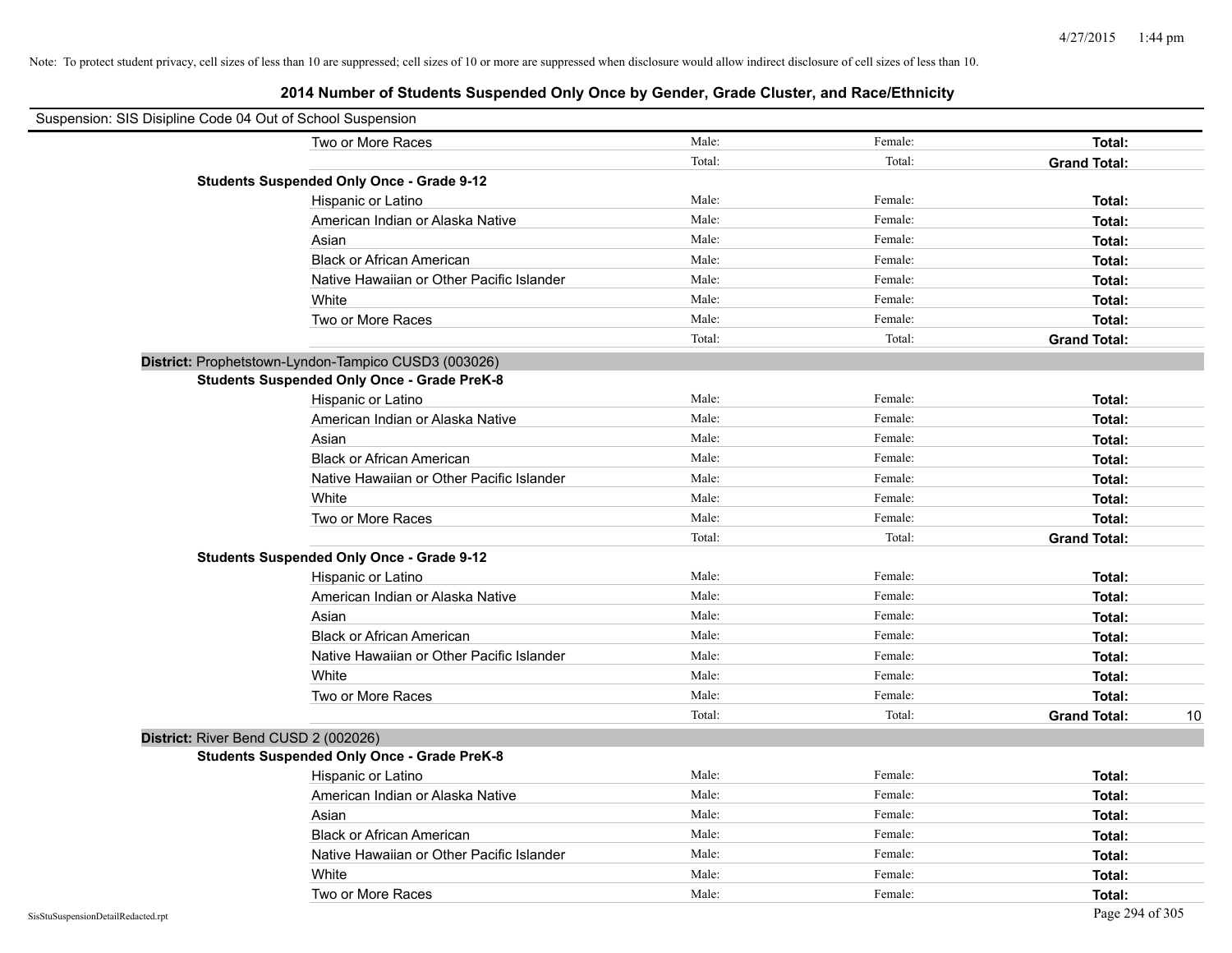| Suspension: SIS Disipline Code 04 Out of School Suspension |                                                      |        |         |                           |
|------------------------------------------------------------|------------------------------------------------------|--------|---------|---------------------------|
|                                                            | Two or More Races                                    | Male:  | Female: | <b>Total:</b>             |
|                                                            |                                                      | Total: | Total:  | <b>Grand Total:</b>       |
|                                                            | <b>Students Suspended Only Once - Grade 9-12</b>     |        |         |                           |
|                                                            | Hispanic or Latino                                   | Male:  | Female: | Total:                    |
|                                                            | American Indian or Alaska Native                     | Male:  | Female: | Total:                    |
|                                                            | Asian                                                | Male:  | Female: | Total:                    |
|                                                            | <b>Black or African American</b>                     | Male:  | Female: | Total:                    |
|                                                            | Native Hawaiian or Other Pacific Islander            | Male:  | Female: | Total:                    |
|                                                            | White                                                | Male:  | Female: | Total:                    |
|                                                            | Two or More Races                                    | Male:  | Female: | Total:                    |
|                                                            |                                                      | Total: | Total:  | <b>Grand Total:</b>       |
|                                                            | District: Prophetstown-Lyndon-Tampico CUSD3 (003026) |        |         |                           |
|                                                            | <b>Students Suspended Only Once - Grade PreK-8</b>   |        |         |                           |
|                                                            | Hispanic or Latino                                   | Male:  | Female: | Total:                    |
|                                                            | American Indian or Alaska Native                     | Male:  | Female: | Total:                    |
|                                                            | Asian                                                | Male:  | Female: | Total:                    |
|                                                            | <b>Black or African American</b>                     | Male:  | Female: | Total:                    |
|                                                            | Native Hawaiian or Other Pacific Islander            | Male:  | Female: | Total:                    |
|                                                            | White                                                | Male:  | Female: | Total:                    |
|                                                            | Two or More Races                                    | Male:  | Female: | Total:                    |
|                                                            |                                                      | Total: | Total:  | <b>Grand Total:</b>       |
|                                                            | <b>Students Suspended Only Once - Grade 9-12</b>     |        |         |                           |
|                                                            | Hispanic or Latino                                   | Male:  | Female: | Total:                    |
|                                                            | American Indian or Alaska Native                     | Male:  | Female: | Total:                    |
|                                                            | Asian                                                | Male:  | Female: | Total:                    |
|                                                            | <b>Black or African American</b>                     | Male:  | Female: | Total:                    |
|                                                            | Native Hawaiian or Other Pacific Islander            | Male:  | Female: | Total:                    |
|                                                            | White                                                | Male:  | Female: | Total:                    |
|                                                            | Two or More Races                                    | Male:  | Female: | Total:                    |
|                                                            |                                                      | Total: | Total:  | <b>Grand Total:</b><br>10 |
| District: River Bend CUSD 2 (002026)                       |                                                      |        |         |                           |
|                                                            | <b>Students Suspended Only Once - Grade PreK-8</b>   |        |         |                           |
|                                                            | Hispanic or Latino                                   | Male:  | Female: | Total:                    |
|                                                            | American Indian or Alaska Native                     | Male:  | Female: | Total:                    |
|                                                            | Asian                                                | Male:  | Female: | Total:                    |
|                                                            | <b>Black or African American</b>                     | Male:  | Female: | Total:                    |
|                                                            | Native Hawaiian or Other Pacific Islander            | Male:  | Female: | Total:                    |
|                                                            | White                                                | Male:  | Female: | Total:                    |
|                                                            | Two or More Races                                    | Male:  | Female: | Total:                    |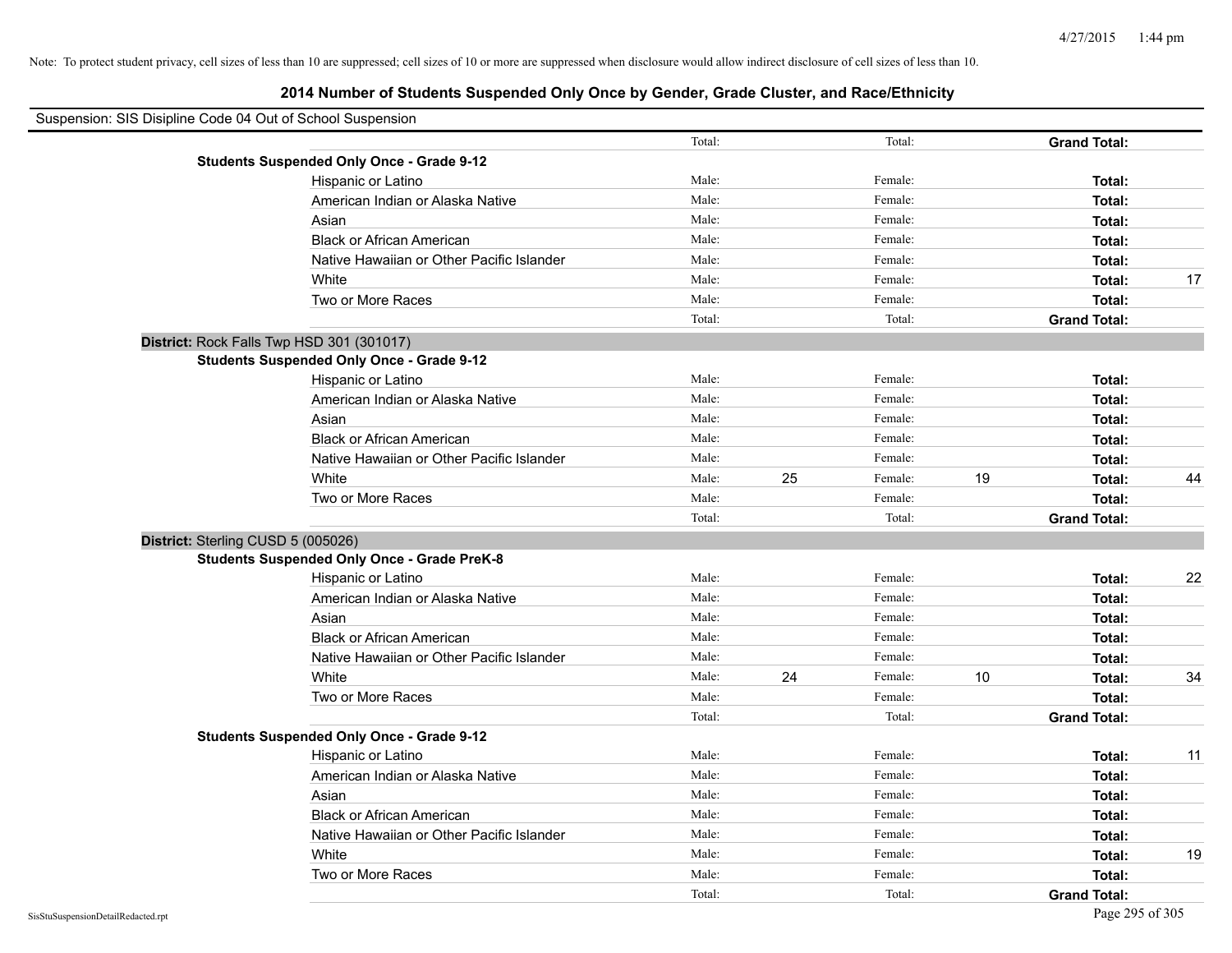| Suspension: SIS Disipline Code 04 Out of School Suspension |                                                    |        |    |         |    |                     |    |
|------------------------------------------------------------|----------------------------------------------------|--------|----|---------|----|---------------------|----|
|                                                            |                                                    | Total: |    | Total:  |    | <b>Grand Total:</b> |    |
|                                                            | <b>Students Suspended Only Once - Grade 9-12</b>   |        |    |         |    |                     |    |
|                                                            | Hispanic or Latino                                 | Male:  |    | Female: |    | Total:              |    |
|                                                            | American Indian or Alaska Native                   | Male:  |    | Female: |    | Total:              |    |
|                                                            | Asian                                              | Male:  |    | Female: |    | Total:              |    |
|                                                            | <b>Black or African American</b>                   | Male:  |    | Female: |    | Total:              |    |
|                                                            | Native Hawaiian or Other Pacific Islander          | Male:  |    | Female: |    | Total:              |    |
|                                                            | White                                              | Male:  |    | Female: |    | Total:              | 17 |
|                                                            | Two or More Races                                  | Male:  |    | Female: |    | Total:              |    |
|                                                            |                                                    | Total: |    | Total:  |    | <b>Grand Total:</b> |    |
|                                                            | District: Rock Falls Twp HSD 301 (301017)          |        |    |         |    |                     |    |
|                                                            | <b>Students Suspended Only Once - Grade 9-12</b>   |        |    |         |    |                     |    |
|                                                            | Hispanic or Latino                                 | Male:  |    | Female: |    | Total:              |    |
|                                                            | American Indian or Alaska Native                   | Male:  |    | Female: |    | Total:              |    |
|                                                            | Asian                                              | Male:  |    | Female: |    | Total:              |    |
|                                                            | <b>Black or African American</b>                   | Male:  |    | Female: |    | Total:              |    |
|                                                            | Native Hawaiian or Other Pacific Islander          | Male:  |    | Female: |    | Total:              |    |
|                                                            | White                                              | Male:  | 25 | Female: | 19 | Total:              | 44 |
|                                                            | Two or More Races                                  | Male:  |    | Female: |    | Total:              |    |
|                                                            |                                                    | Total: |    | Total:  |    | <b>Grand Total:</b> |    |
|                                                            | District: Sterling CUSD 5 (005026)                 |        |    |         |    |                     |    |
|                                                            | <b>Students Suspended Only Once - Grade PreK-8</b> |        |    |         |    |                     |    |
|                                                            | Hispanic or Latino                                 | Male:  |    | Female: |    | Total:              | 22 |
|                                                            | American Indian or Alaska Native                   | Male:  |    | Female: |    | Total:              |    |
|                                                            | Asian                                              | Male:  |    | Female: |    | Total:              |    |
|                                                            | <b>Black or African American</b>                   | Male:  |    | Female: |    | Total:              |    |
|                                                            | Native Hawaiian or Other Pacific Islander          | Male:  |    | Female: |    | Total:              |    |
|                                                            | White                                              | Male:  | 24 | Female: | 10 | Total:              | 34 |
|                                                            | Two or More Races                                  | Male:  |    | Female: |    | Total:              |    |
|                                                            |                                                    | Total: |    | Total:  |    | <b>Grand Total:</b> |    |
|                                                            | <b>Students Suspended Only Once - Grade 9-12</b>   |        |    |         |    |                     |    |
|                                                            | Hispanic or Latino                                 | Male:  |    | Female: |    | Total:              | 11 |
|                                                            | American Indian or Alaska Native                   | Male:  |    | Female: |    | Total:              |    |
|                                                            | Asian                                              | Male:  |    | Female: |    | Total:              |    |
|                                                            | <b>Black or African American</b>                   | Male:  |    | Female: |    | Total:              |    |
|                                                            | Native Hawaiian or Other Pacific Islander          | Male:  |    | Female: |    | Total:              |    |
|                                                            | White                                              | Male:  |    | Female: |    | Total:              | 19 |
|                                                            | Two or More Races                                  | Male:  |    | Female: |    | Total:              |    |
|                                                            |                                                    | Total: |    | Total:  |    | <b>Grand Total:</b> |    |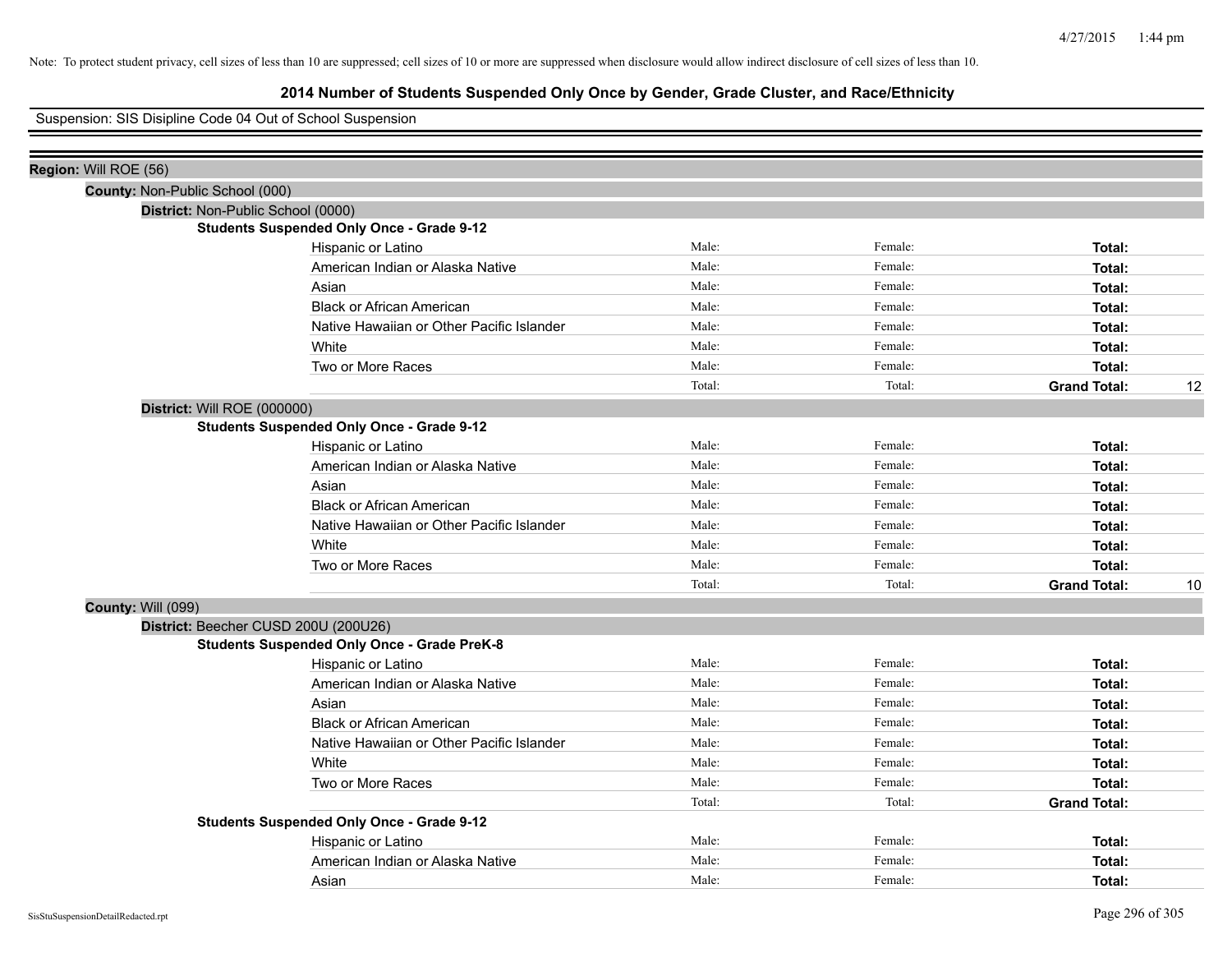# **2014 Number of Students Suspended Only Once by Gender, Grade Cluster, and Race/Ethnicity**

## Suspension: SIS Disipline Code 04 Out of School Suspension

| Region: Will ROE (56)                |                                                    |        |         |                     |    |
|--------------------------------------|----------------------------------------------------|--------|---------|---------------------|----|
| County: Non-Public School (000)      |                                                    |        |         |                     |    |
| District: Non-Public School (0000)   |                                                    |        |         |                     |    |
|                                      | <b>Students Suspended Only Once - Grade 9-12</b>   |        |         |                     |    |
|                                      | Hispanic or Latino                                 | Male:  | Female: | Total:              |    |
|                                      | American Indian or Alaska Native                   | Male:  | Female: | Total:              |    |
|                                      | Asian                                              | Male:  | Female: | Total:              |    |
|                                      | <b>Black or African American</b>                   | Male:  | Female: | Total:              |    |
|                                      | Native Hawaiian or Other Pacific Islander          | Male:  | Female: | Total:              |    |
|                                      | White                                              | Male:  | Female: | Total:              |    |
|                                      | Two or More Races                                  | Male:  | Female: | Total:              |    |
|                                      |                                                    | Total: | Total:  | <b>Grand Total:</b> | 12 |
| District: Will ROE (000000)          |                                                    |        |         |                     |    |
|                                      | <b>Students Suspended Only Once - Grade 9-12</b>   |        |         |                     |    |
|                                      | Hispanic or Latino                                 | Male:  | Female: | Total:              |    |
|                                      | American Indian or Alaska Native                   | Male:  | Female: | Total:              |    |
|                                      | Asian                                              | Male:  | Female: | Total:              |    |
|                                      | <b>Black or African American</b>                   | Male:  | Female: | Total:              |    |
|                                      | Native Hawaiian or Other Pacific Islander          | Male:  | Female: | Total:              |    |
|                                      | White                                              | Male:  | Female: | Total:              |    |
|                                      | Two or More Races                                  | Male:  | Female: | Total:              |    |
|                                      |                                                    | Total: | Total:  | <b>Grand Total:</b> | 10 |
| County: Will (099)                   |                                                    |        |         |                     |    |
| District: Beecher CUSD 200U (200U26) |                                                    |        |         |                     |    |
|                                      | <b>Students Suspended Only Once - Grade PreK-8</b> |        |         |                     |    |
|                                      | Hispanic or Latino                                 | Male:  | Female: | Total:              |    |
|                                      | American Indian or Alaska Native                   | Male:  | Female: | Total:              |    |
|                                      | Asian                                              | Male:  | Female: | Total:              |    |
|                                      | <b>Black or African American</b>                   | Male:  | Female: | Total:              |    |
|                                      | Native Hawaiian or Other Pacific Islander          | Male:  | Female: | Total:              |    |
|                                      | White                                              | Male:  | Female: | Total:              |    |
|                                      | Two or More Races                                  | Male:  | Female: | Total:              |    |
|                                      |                                                    | Total: | Total:  | <b>Grand Total:</b> |    |
|                                      | <b>Students Suspended Only Once - Grade 9-12</b>   |        |         |                     |    |
|                                      | Hispanic or Latino                                 | Male:  | Female: | Total:              |    |
|                                      | American Indian or Alaska Native                   | Male:  | Female: | Total:              |    |
|                                      | Asian                                              | Male:  | Female: | Total:              |    |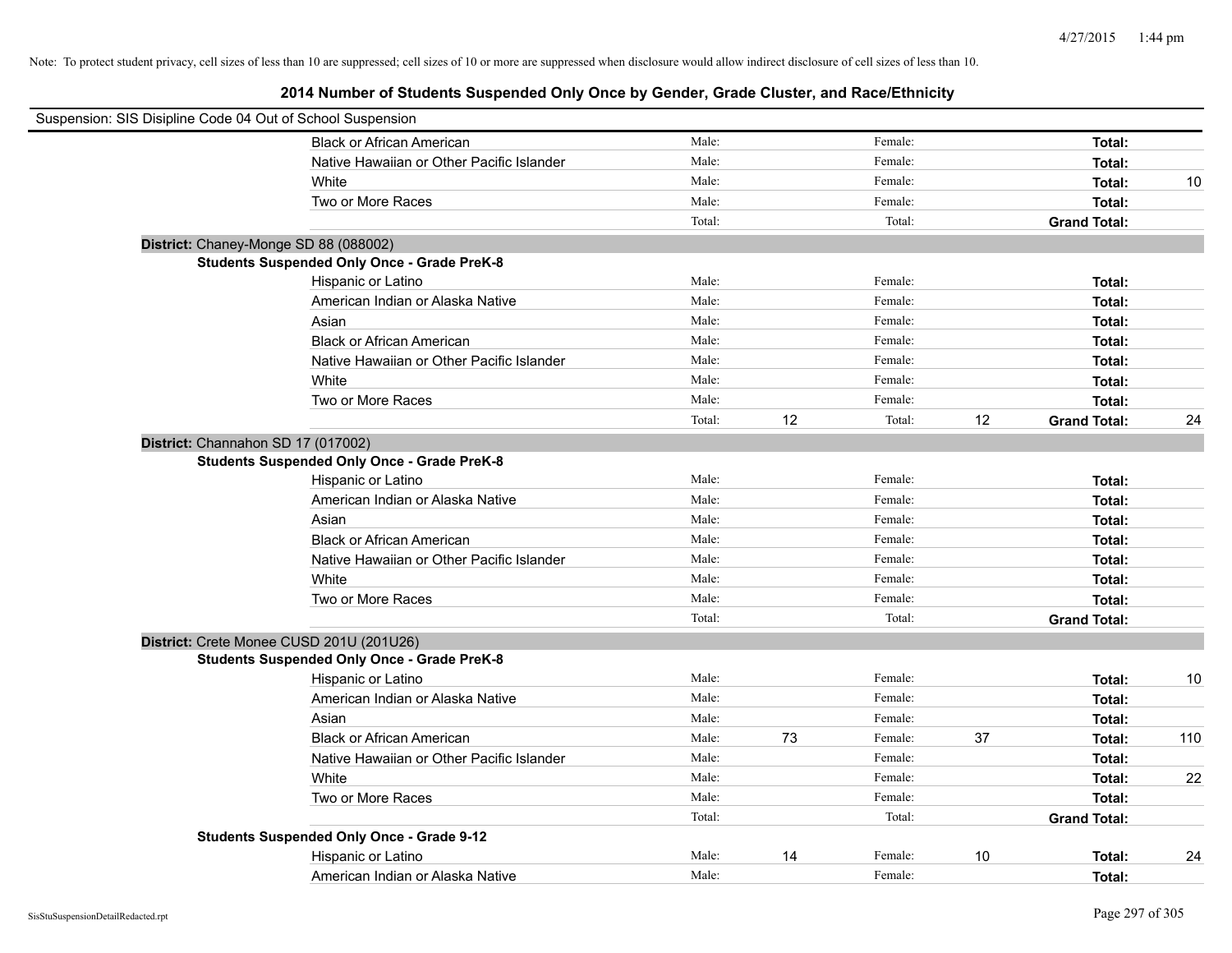| Suspension: SIS Disipline Code 04 Out of School Suspension |                                                    |        |    |         |    |                     |     |
|------------------------------------------------------------|----------------------------------------------------|--------|----|---------|----|---------------------|-----|
|                                                            | <b>Black or African American</b>                   | Male:  |    | Female: |    | Total:              |     |
|                                                            | Native Hawaiian or Other Pacific Islander          | Male:  |    | Female: |    | Total:              |     |
|                                                            | White                                              | Male:  |    | Female: |    | Total:              | 10  |
|                                                            | Two or More Races                                  | Male:  |    | Female: |    | Total:              |     |
|                                                            |                                                    | Total: |    | Total:  |    | <b>Grand Total:</b> |     |
|                                                            | District: Chaney-Monge SD 88 (088002)              |        |    |         |    |                     |     |
|                                                            | <b>Students Suspended Only Once - Grade PreK-8</b> |        |    |         |    |                     |     |
|                                                            | Hispanic or Latino                                 | Male:  |    | Female: |    | Total:              |     |
|                                                            | American Indian or Alaska Native                   | Male:  |    | Female: |    | Total:              |     |
|                                                            | Asian                                              | Male:  |    | Female: |    | Total:              |     |
|                                                            | <b>Black or African American</b>                   | Male:  |    | Female: |    | Total:              |     |
|                                                            | Native Hawaiian or Other Pacific Islander          | Male:  |    | Female: |    | Total:              |     |
|                                                            | White                                              | Male:  |    | Female: |    | Total:              |     |
|                                                            | Two or More Races                                  | Male:  |    | Female: |    | Total:              |     |
|                                                            |                                                    | Total: | 12 | Total:  | 12 | <b>Grand Total:</b> | 24  |
|                                                            | District: Channahon SD 17 (017002)                 |        |    |         |    |                     |     |
|                                                            | <b>Students Suspended Only Once - Grade PreK-8</b> |        |    |         |    |                     |     |
|                                                            | Hispanic or Latino                                 | Male:  |    | Female: |    | Total:              |     |
|                                                            | American Indian or Alaska Native                   | Male:  |    | Female: |    | Total:              |     |
|                                                            | Asian                                              | Male:  |    | Female: |    | Total:              |     |
|                                                            | <b>Black or African American</b>                   | Male:  |    | Female: |    | Total:              |     |
|                                                            | Native Hawaiian or Other Pacific Islander          | Male:  |    | Female: |    | Total:              |     |
|                                                            | White                                              | Male:  |    | Female: |    | Total:              |     |
|                                                            | Two or More Races                                  | Male:  |    | Female: |    | Total:              |     |
|                                                            |                                                    | Total: |    | Total:  |    | <b>Grand Total:</b> |     |
|                                                            | District: Crete Monee CUSD 201U (201U26)           |        |    |         |    |                     |     |
|                                                            | <b>Students Suspended Only Once - Grade PreK-8</b> |        |    |         |    |                     |     |
|                                                            | Hispanic or Latino                                 | Male:  |    | Female: |    | Total:              | 10  |
|                                                            | American Indian or Alaska Native                   | Male:  |    | Female: |    | Total:              |     |
|                                                            | Asian                                              | Male:  |    | Female: |    | Total:              |     |
|                                                            | <b>Black or African American</b>                   | Male:  | 73 | Female: | 37 | Total:              | 110 |
|                                                            | Native Hawaiian or Other Pacific Islander          | Male:  |    | Female: |    | Total:              |     |
|                                                            | White                                              | Male:  |    | Female: |    | Total:              | 22  |
|                                                            | Two or More Races                                  | Male:  |    | Female: |    | Total:              |     |
|                                                            |                                                    | Total: |    | Total:  |    | <b>Grand Total:</b> |     |
|                                                            | <b>Students Suspended Only Once - Grade 9-12</b>   |        |    |         |    |                     |     |
|                                                            | Hispanic or Latino                                 | Male:  | 14 | Female: | 10 | Total:              | 24  |
|                                                            | American Indian or Alaska Native                   | Male:  |    | Female: |    | Total:              |     |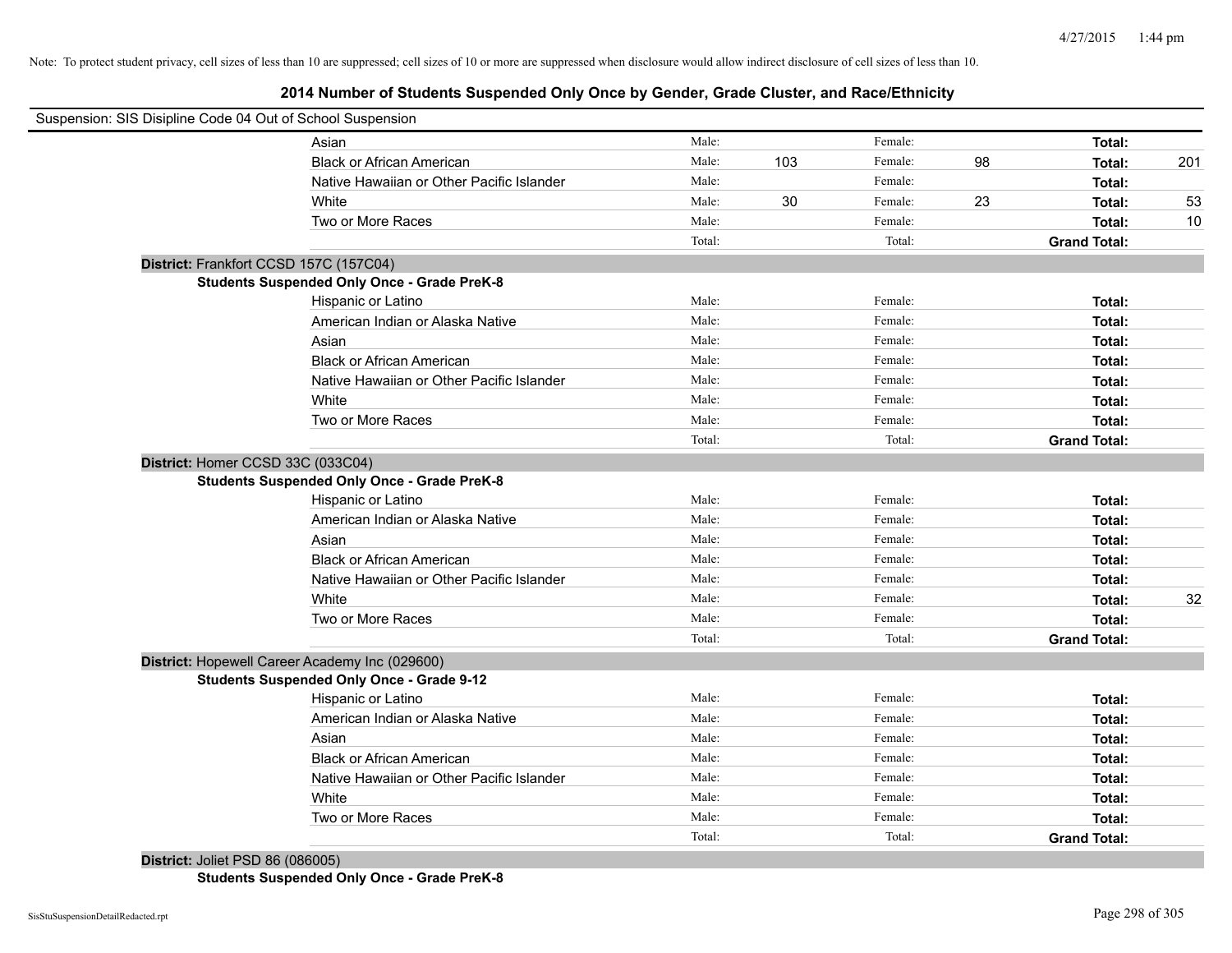# **2014 Number of Students Suspended Only Once by Gender, Grade Cluster, and Race/Ethnicity**

| Suspension: SIS Disipline Code 04 Out of School Suspension |                                                    |        |     |         |    |                     |     |
|------------------------------------------------------------|----------------------------------------------------|--------|-----|---------|----|---------------------|-----|
|                                                            | Asian                                              | Male:  |     | Female: |    | Total:              |     |
|                                                            | <b>Black or African American</b>                   | Male:  | 103 | Female: | 98 | Total:              | 201 |
|                                                            | Native Hawaiian or Other Pacific Islander          | Male:  |     | Female: |    | Total:              |     |
|                                                            | White                                              | Male:  | 30  | Female: | 23 | Total:              | 53  |
|                                                            | Two or More Races                                  | Male:  |     | Female: |    | Total:              | 10  |
|                                                            |                                                    | Total: |     | Total:  |    | <b>Grand Total:</b> |     |
| District: Frankfort CCSD 157C (157C04)                     |                                                    |        |     |         |    |                     |     |
|                                                            | <b>Students Suspended Only Once - Grade PreK-8</b> |        |     |         |    |                     |     |
|                                                            | Hispanic or Latino                                 | Male:  |     | Female: |    | Total:              |     |
|                                                            | American Indian or Alaska Native                   | Male:  |     | Female: |    | Total:              |     |
|                                                            | Asian                                              | Male:  |     | Female: |    | Total:              |     |
|                                                            | <b>Black or African American</b>                   | Male:  |     | Female: |    | Total:              |     |
|                                                            | Native Hawaiian or Other Pacific Islander          | Male:  |     | Female: |    | Total:              |     |
|                                                            | White                                              | Male:  |     | Female: |    | Total:              |     |
|                                                            | Two or More Races                                  | Male:  |     | Female: |    | Total:              |     |
|                                                            |                                                    | Total: |     | Total:  |    | <b>Grand Total:</b> |     |
| District: Homer CCSD 33C (033C04)                          |                                                    |        |     |         |    |                     |     |
|                                                            | <b>Students Suspended Only Once - Grade PreK-8</b> |        |     |         |    |                     |     |
|                                                            | Hispanic or Latino                                 | Male:  |     | Female: |    | Total:              |     |
|                                                            | American Indian or Alaska Native                   | Male:  |     | Female: |    | Total:              |     |
|                                                            | Asian                                              | Male:  |     | Female: |    | Total:              |     |
|                                                            | <b>Black or African American</b>                   | Male:  |     | Female: |    | Total:              |     |
|                                                            | Native Hawaiian or Other Pacific Islander          | Male:  |     | Female: |    | Total:              |     |
|                                                            | White                                              | Male:  |     | Female: |    | Total:              | 32  |
|                                                            | Two or More Races                                  | Male:  |     | Female: |    | Total:              |     |
|                                                            |                                                    | Total: |     | Total:  |    | <b>Grand Total:</b> |     |
|                                                            | District: Hopewell Career Academy Inc (029600)     |        |     |         |    |                     |     |
|                                                            | <b>Students Suspended Only Once - Grade 9-12</b>   |        |     |         |    |                     |     |
|                                                            | Hispanic or Latino                                 | Male:  |     | Female: |    | Total:              |     |
|                                                            | American Indian or Alaska Native                   | Male:  |     | Female: |    | Total:              |     |
|                                                            | Asian                                              | Male:  |     | Female: |    | Total:              |     |
|                                                            | <b>Black or African American</b>                   | Male:  |     | Female: |    | Total:              |     |
|                                                            | Native Hawaiian or Other Pacific Islander          | Male:  |     | Female: |    | Total:              |     |
|                                                            | White                                              | Male:  |     | Female: |    | Total:              |     |
|                                                            | Two or More Races                                  | Male:  |     | Female: |    | Total:              |     |
|                                                            |                                                    | Total: |     | Total:  |    | <b>Grand Total:</b> |     |
| <b>District: Joliet PSD 86 (086005)</b>                    |                                                    |        |     |         |    |                     |     |

**Students Suspended Only Once - Grade PreK-8**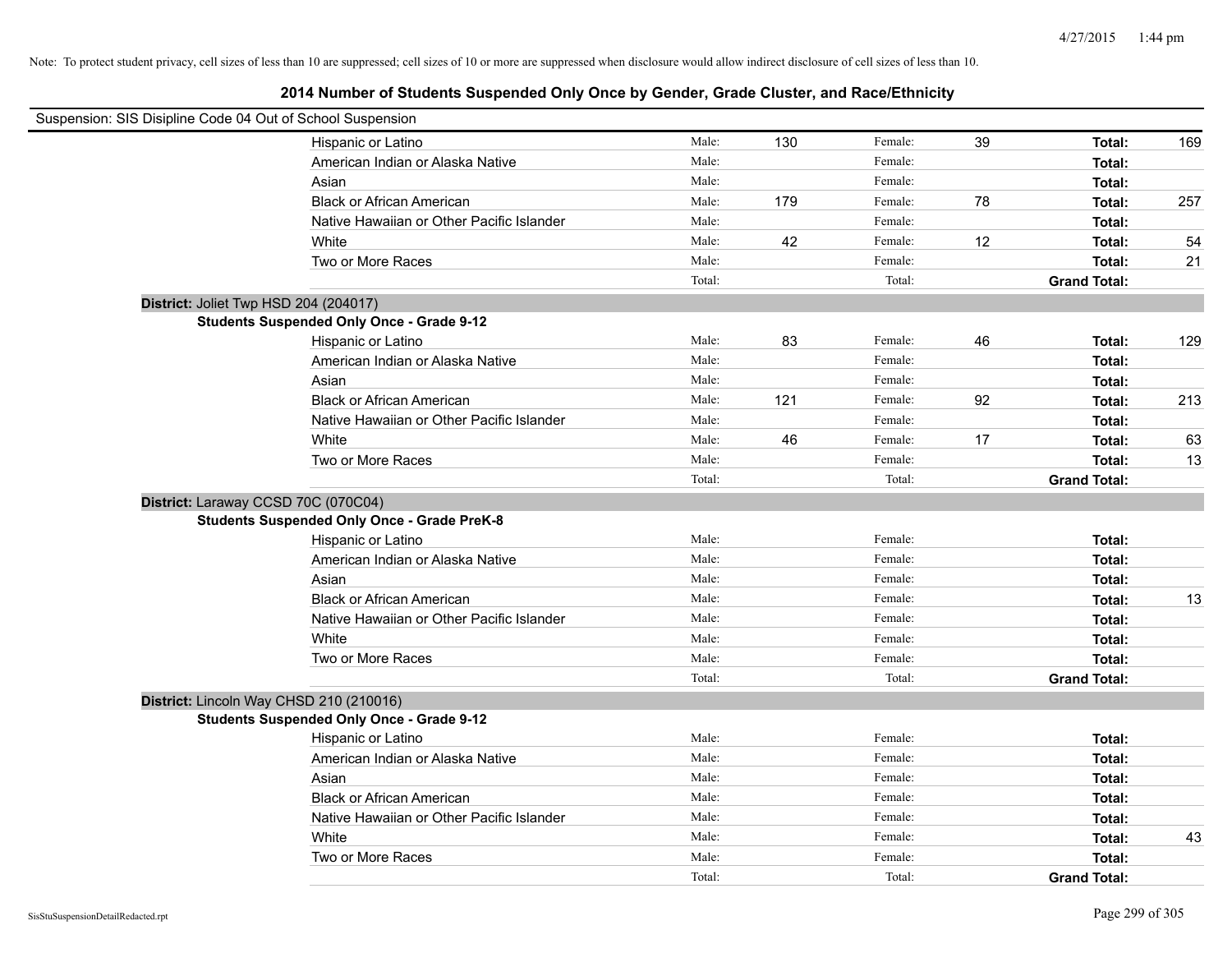| Suspension: SIS Disipline Code 04 Out of School Suspension |                                                    |        |     |         |    |                     |     |
|------------------------------------------------------------|----------------------------------------------------|--------|-----|---------|----|---------------------|-----|
|                                                            | Hispanic or Latino                                 | Male:  | 130 | Female: | 39 | Total:              | 169 |
|                                                            | American Indian or Alaska Native                   | Male:  |     | Female: |    | Total:              |     |
|                                                            | Asian                                              | Male:  |     | Female: |    | Total:              |     |
|                                                            | <b>Black or African American</b>                   | Male:  | 179 | Female: | 78 | Total:              | 257 |
|                                                            | Native Hawaiian or Other Pacific Islander          | Male:  |     | Female: |    | Total:              |     |
|                                                            | White                                              | Male:  | 42  | Female: | 12 | Total:              | 54  |
|                                                            | Two or More Races                                  | Male:  |     | Female: |    | Total:              | 21  |
|                                                            |                                                    | Total: |     | Total:  |    | <b>Grand Total:</b> |     |
| District: Joliet Twp HSD 204 (204017)                      |                                                    |        |     |         |    |                     |     |
|                                                            | <b>Students Suspended Only Once - Grade 9-12</b>   |        |     |         |    |                     |     |
|                                                            | Hispanic or Latino                                 | Male:  | 83  | Female: | 46 | Total:              | 129 |
|                                                            | American Indian or Alaska Native                   | Male:  |     | Female: |    | Total:              |     |
|                                                            | Asian                                              | Male:  |     | Female: |    | Total:              |     |
|                                                            | <b>Black or African American</b>                   | Male:  | 121 | Female: | 92 | Total:              | 213 |
|                                                            | Native Hawaiian or Other Pacific Islander          | Male:  |     | Female: |    | Total:              |     |
|                                                            | White                                              | Male:  | 46  | Female: | 17 | Total:              | 63  |
|                                                            | Two or More Races                                  | Male:  |     | Female: |    | Total:              | 13  |
|                                                            |                                                    | Total: |     | Total:  |    | <b>Grand Total:</b> |     |
| District: Laraway CCSD 70C (070C04)                        |                                                    |        |     |         |    |                     |     |
|                                                            | <b>Students Suspended Only Once - Grade PreK-8</b> |        |     |         |    |                     |     |
|                                                            | Hispanic or Latino                                 | Male:  |     | Female: |    | Total:              |     |
|                                                            | American Indian or Alaska Native                   | Male:  |     | Female: |    | Total:              |     |
|                                                            | Asian                                              | Male:  |     | Female: |    | Total:              |     |
|                                                            | <b>Black or African American</b>                   | Male:  |     | Female: |    | Total:              | 13  |
|                                                            | Native Hawaiian or Other Pacific Islander          | Male:  |     | Female: |    | Total:              |     |
|                                                            | White                                              | Male:  |     | Female: |    | Total:              |     |
|                                                            | Two or More Races                                  | Male:  |     | Female: |    | Total:              |     |
|                                                            |                                                    | Total: |     | Total:  |    | <b>Grand Total:</b> |     |
| District: Lincoln Way CHSD 210 (210016)                    |                                                    |        |     |         |    |                     |     |
|                                                            | <b>Students Suspended Only Once - Grade 9-12</b>   |        |     |         |    |                     |     |
|                                                            | Hispanic or Latino                                 | Male:  |     | Female: |    | Total:              |     |
|                                                            | American Indian or Alaska Native                   | Male:  |     | Female: |    | Total:              |     |
|                                                            | Asian                                              | Male:  |     | Female: |    | Total:              |     |
|                                                            | <b>Black or African American</b>                   | Male:  |     | Female: |    | Total:              |     |
|                                                            | Native Hawaiian or Other Pacific Islander          | Male:  |     | Female: |    | Total:              |     |
|                                                            | White                                              | Male:  |     | Female: |    | Total:              | 43  |
|                                                            | Two or More Races                                  | Male:  |     | Female: |    | Total:              |     |
|                                                            |                                                    | Total: |     | Total:  |    | <b>Grand Total:</b> |     |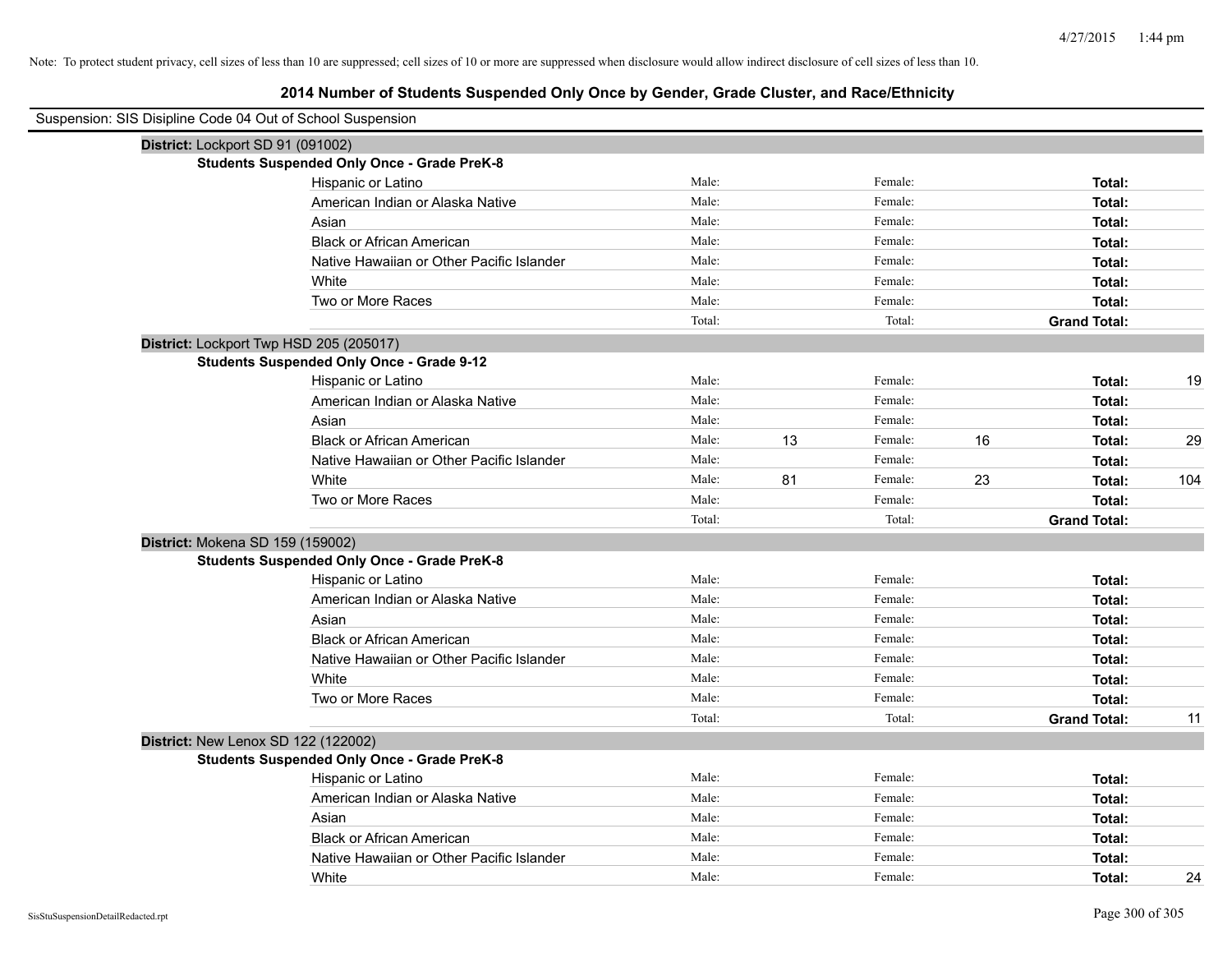| Suspension: SIS Disipline Code 04 Out of School Suspension |        |    |         |    |                     |     |
|------------------------------------------------------------|--------|----|---------|----|---------------------|-----|
| District: Lockport SD 91 (091002)                          |        |    |         |    |                     |     |
| <b>Students Suspended Only Once - Grade PreK-8</b>         |        |    |         |    |                     |     |
| Hispanic or Latino                                         | Male:  |    | Female: |    | Total:              |     |
| American Indian or Alaska Native                           | Male:  |    | Female: |    | Total:              |     |
| Asian                                                      | Male:  |    | Female: |    | Total:              |     |
| <b>Black or African American</b>                           | Male:  |    | Female: |    | Total:              |     |
| Native Hawaiian or Other Pacific Islander                  | Male:  |    | Female: |    | Total:              |     |
| White                                                      | Male:  |    | Female: |    | Total:              |     |
| Two or More Races                                          | Male:  |    | Female: |    | Total:              |     |
|                                                            | Total: |    | Total:  |    | <b>Grand Total:</b> |     |
| District: Lockport Twp HSD 205 (205017)                    |        |    |         |    |                     |     |
| <b>Students Suspended Only Once - Grade 9-12</b>           |        |    |         |    |                     |     |
| Hispanic or Latino                                         | Male:  |    | Female: |    | Total:              | 19  |
| American Indian or Alaska Native                           | Male:  |    | Female: |    | Total:              |     |
| Asian                                                      | Male:  |    | Female: |    | Total:              |     |
| <b>Black or African American</b>                           | Male:  | 13 | Female: | 16 | Total:              | 29  |
| Native Hawaiian or Other Pacific Islander                  | Male:  |    | Female: |    | Total:              |     |
| White                                                      | Male:  | 81 | Female: | 23 | Total:              | 104 |
| Two or More Races                                          | Male:  |    | Female: |    | Total:              |     |
|                                                            | Total: |    | Total:  |    | <b>Grand Total:</b> |     |
| District: Mokena SD 159 (159002)                           |        |    |         |    |                     |     |
| <b>Students Suspended Only Once - Grade PreK-8</b>         |        |    |         |    |                     |     |
| Hispanic or Latino                                         | Male:  |    | Female: |    | Total:              |     |
| American Indian or Alaska Native                           | Male:  |    | Female: |    | Total:              |     |
| Asian                                                      | Male:  |    | Female: |    | Total:              |     |
| <b>Black or African American</b>                           | Male:  |    | Female: |    | Total:              |     |
| Native Hawaiian or Other Pacific Islander                  | Male:  |    | Female: |    | Total:              |     |
| White                                                      | Male:  |    | Female: |    | Total:              |     |
| Two or More Races                                          | Male:  |    | Female: |    | Total:              |     |
|                                                            | Total: |    | Total:  |    | <b>Grand Total:</b> | 11  |
| District: New Lenox SD 122 (122002)                        |        |    |         |    |                     |     |
| <b>Students Suspended Only Once - Grade PreK-8</b>         |        |    |         |    |                     |     |
| Hispanic or Latino                                         | Male:  |    | Female: |    | Total:              |     |
| American Indian or Alaska Native                           | Male:  |    | Female: |    | Total:              |     |
| Asian                                                      | Male:  |    | Female: |    | Total:              |     |
| <b>Black or African American</b>                           | Male:  |    | Female: |    | Total:              |     |
| Native Hawaiian or Other Pacific Islander                  | Male:  |    | Female: |    | Total:              |     |
| White                                                      | Male:  |    | Female: |    | Total:              | 24  |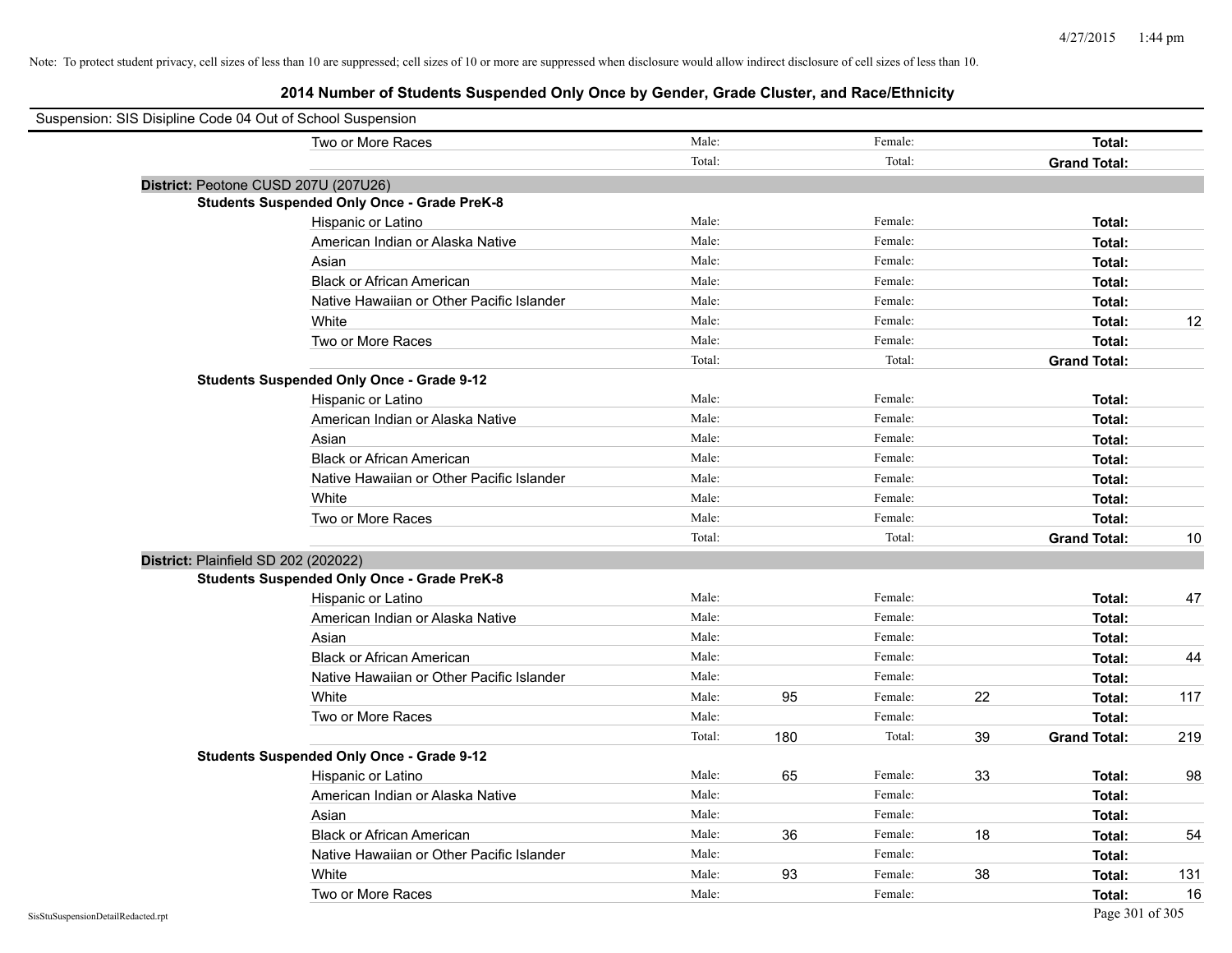| Suspension: SIS Disipline Code 04 Out of School Suspension |        |     |         |    |                     |     |
|------------------------------------------------------------|--------|-----|---------|----|---------------------|-----|
| Two or More Races                                          | Male:  |     | Female: |    | Total:              |     |
|                                                            | Total: |     | Total:  |    | <b>Grand Total:</b> |     |
| District: Peotone CUSD 207U (207U26)                       |        |     |         |    |                     |     |
| <b>Students Suspended Only Once - Grade PreK-8</b>         |        |     |         |    |                     |     |
| Hispanic or Latino                                         | Male:  |     | Female: |    | Total:              |     |
| American Indian or Alaska Native                           | Male:  |     | Female: |    | Total:              |     |
| Asian                                                      | Male:  |     | Female: |    | Total:              |     |
| <b>Black or African American</b>                           | Male:  |     | Female: |    | Total:              |     |
| Native Hawaiian or Other Pacific Islander                  | Male:  |     | Female: |    | Total:              |     |
| White                                                      | Male:  |     | Female: |    | Total:              | 12  |
| Two or More Races                                          | Male:  |     | Female: |    | Total:              |     |
|                                                            | Total: |     | Total:  |    | <b>Grand Total:</b> |     |
| <b>Students Suspended Only Once - Grade 9-12</b>           |        |     |         |    |                     |     |
| Hispanic or Latino                                         | Male:  |     | Female: |    | Total:              |     |
| American Indian or Alaska Native                           | Male:  |     | Female: |    | Total:              |     |
| Asian                                                      | Male:  |     | Female: |    | Total:              |     |
| <b>Black or African American</b>                           | Male:  |     | Female: |    | Total:              |     |
| Native Hawaiian or Other Pacific Islander                  | Male:  |     | Female: |    | Total:              |     |
| White                                                      | Male:  |     | Female: |    | Total:              |     |
| Two or More Races                                          | Male:  |     | Female: |    | Total:              |     |
|                                                            | Total: |     | Total:  |    | <b>Grand Total:</b> | 10  |
| District: Plainfield SD 202 (202022)                       |        |     |         |    |                     |     |
| <b>Students Suspended Only Once - Grade PreK-8</b>         |        |     |         |    |                     |     |
| Hispanic or Latino                                         | Male:  |     | Female: |    | Total:              | 47  |
| American Indian or Alaska Native                           | Male:  |     | Female: |    | Total:              |     |
| Asian                                                      | Male:  |     | Female: |    | Total:              |     |
| <b>Black or African American</b>                           | Male:  |     | Female: |    | Total:              | 44  |
| Native Hawaiian or Other Pacific Islander                  | Male:  |     | Female: |    | Total:              |     |
| White                                                      | Male:  | 95  | Female: | 22 | Total:              | 117 |
| Two or More Races                                          | Male:  |     | Female: |    | Total:              |     |
|                                                            | Total: | 180 | Total:  | 39 | <b>Grand Total:</b> | 219 |
| <b>Students Suspended Only Once - Grade 9-12</b>           |        |     |         |    |                     |     |
| Hispanic or Latino                                         | Male:  | 65  | Female: | 33 | Total:              | 98  |
| American Indian or Alaska Native                           | Male:  |     | Female: |    | Total:              |     |
| Asian                                                      | Male:  |     | Female: |    | Total:              |     |
| <b>Black or African American</b>                           | Male:  | 36  | Female: | 18 | Total:              | 54  |
| Native Hawaiian or Other Pacific Islander                  | Male:  |     | Female: |    | Total:              |     |
| White                                                      | Male:  | 93  | Female: | 38 | Total:              | 131 |
| Two or More Races                                          | Male:  |     | Female: |    | Total:              | 16  |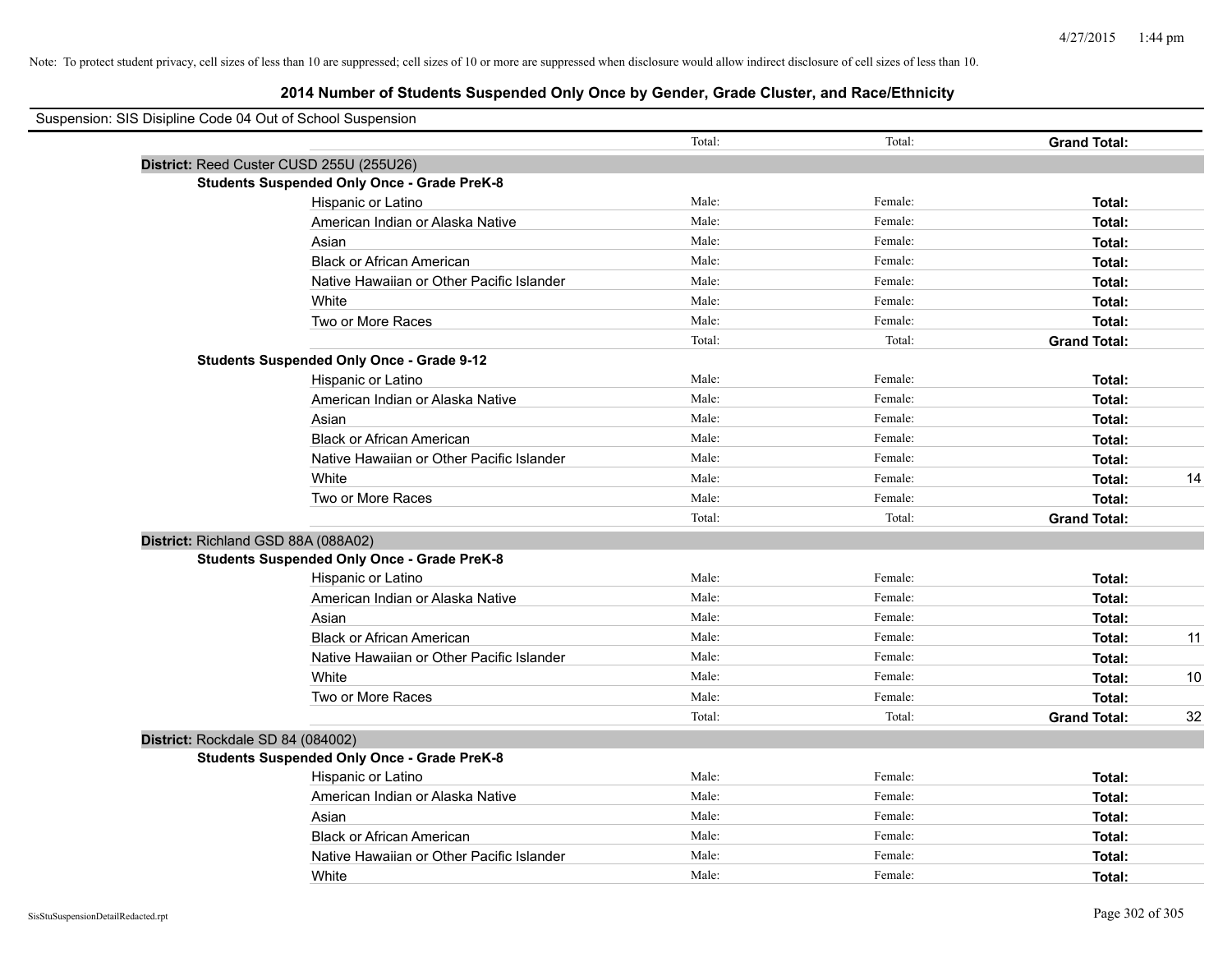| Suspension: SIS Disipline Code 04 Out of School Suspension |                                                    |        |         |                     |    |
|------------------------------------------------------------|----------------------------------------------------|--------|---------|---------------------|----|
|                                                            |                                                    | Total: | Total:  | <b>Grand Total:</b> |    |
|                                                            | District: Reed Custer CUSD 255U (255U26)           |        |         |                     |    |
|                                                            | <b>Students Suspended Only Once - Grade PreK-8</b> |        |         |                     |    |
|                                                            | Hispanic or Latino                                 | Male:  | Female: | Total:              |    |
|                                                            | American Indian or Alaska Native                   | Male:  | Female: | Total:              |    |
|                                                            | Asian                                              | Male:  | Female: | Total:              |    |
|                                                            | <b>Black or African American</b>                   | Male:  | Female: | Total:              |    |
|                                                            | Native Hawaiian or Other Pacific Islander          | Male:  | Female: | Total:              |    |
|                                                            | White                                              | Male:  | Female: | Total:              |    |
|                                                            | Two or More Races                                  | Male:  | Female: | Total:              |    |
|                                                            |                                                    | Total: | Total:  | <b>Grand Total:</b> |    |
|                                                            | <b>Students Suspended Only Once - Grade 9-12</b>   |        |         |                     |    |
|                                                            | Hispanic or Latino                                 | Male:  | Female: | Total:              |    |
|                                                            | American Indian or Alaska Native                   | Male:  | Female: | Total:              |    |
|                                                            | Asian                                              | Male:  | Female: | Total:              |    |
|                                                            | <b>Black or African American</b>                   | Male:  | Female: | Total:              |    |
|                                                            | Native Hawaiian or Other Pacific Islander          | Male:  | Female: | Total:              |    |
|                                                            | White                                              | Male:  | Female: | Total:              | 14 |
|                                                            | Two or More Races                                  | Male:  | Female: | Total:              |    |
|                                                            |                                                    | Total: | Total:  | <b>Grand Total:</b> |    |
| District: Richland GSD 88A (088A02)                        |                                                    |        |         |                     |    |
|                                                            | <b>Students Suspended Only Once - Grade PreK-8</b> |        |         |                     |    |
|                                                            | Hispanic or Latino                                 | Male:  | Female: | Total:              |    |
|                                                            | American Indian or Alaska Native                   | Male:  | Female: | Total:              |    |
|                                                            | Asian                                              | Male:  | Female: | Total:              |    |
|                                                            | <b>Black or African American</b>                   | Male:  | Female: | Total:              | 11 |
|                                                            | Native Hawaiian or Other Pacific Islander          | Male:  | Female: | Total:              |    |
|                                                            | White                                              | Male:  | Female: | Total:              | 10 |
|                                                            | Two or More Races                                  | Male:  | Female: | Total:              |    |
|                                                            |                                                    | Total: | Total:  | <b>Grand Total:</b> | 32 |
| District: Rockdale SD 84 (084002)                          |                                                    |        |         |                     |    |
|                                                            | <b>Students Suspended Only Once - Grade PreK-8</b> |        |         |                     |    |
|                                                            | Hispanic or Latino                                 | Male:  | Female: | Total:              |    |
|                                                            | American Indian or Alaska Native                   | Male:  | Female: | Total:              |    |
|                                                            | Asian                                              | Male:  | Female: | Total:              |    |
|                                                            | <b>Black or African American</b>                   | Male:  | Female: | Total:              |    |
|                                                            | Native Hawaiian or Other Pacific Islander          | Male:  | Female: | Total:              |    |
|                                                            | White                                              | Male:  | Female: | Total:              |    |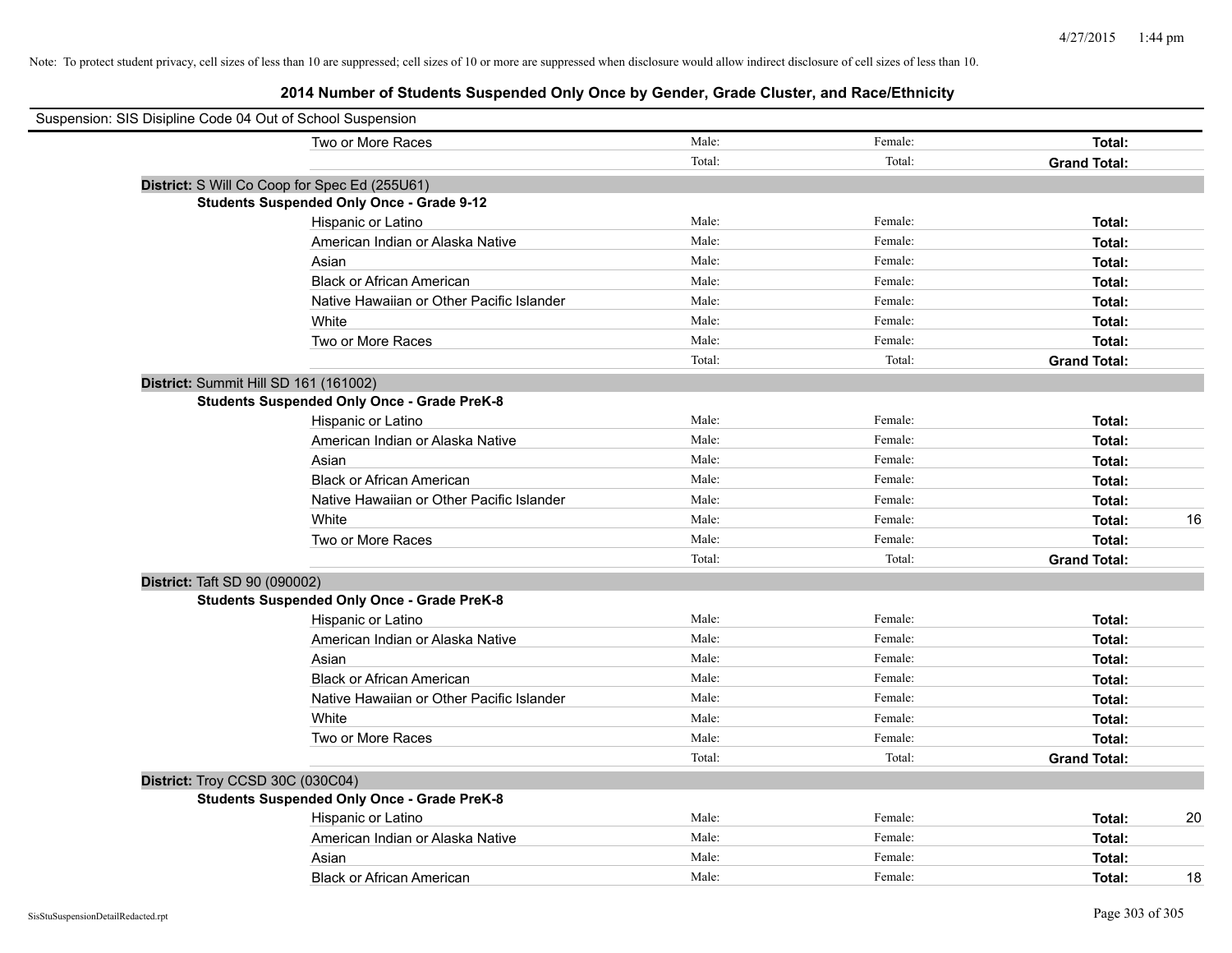| Suspension: SIS Disipline Code 04 Out of School Suspension |        |         |                     |
|------------------------------------------------------------|--------|---------|---------------------|
| Two or More Races                                          | Male:  | Female: | Total:              |
|                                                            | Total: | Total:  | <b>Grand Total:</b> |
| District: S Will Co Coop for Spec Ed (255U61)              |        |         |                     |
| <b>Students Suspended Only Once - Grade 9-12</b>           |        |         |                     |
| Hispanic or Latino                                         | Male:  | Female: | Total:              |
| American Indian or Alaska Native                           | Male:  | Female: | Total:              |
| Asian                                                      | Male:  | Female: | Total:              |
| <b>Black or African American</b>                           | Male:  | Female: | Total:              |
| Native Hawaiian or Other Pacific Islander                  | Male:  | Female: | Total:              |
| White                                                      | Male:  | Female: | Total:              |
| Two or More Races                                          | Male:  | Female: | Total:              |
|                                                            | Total: | Total:  | <b>Grand Total:</b> |
| District: Summit Hill SD 161 (161002)                      |        |         |                     |
| <b>Students Suspended Only Once - Grade PreK-8</b>         |        |         |                     |
| Hispanic or Latino                                         | Male:  | Female: | Total:              |
| American Indian or Alaska Native                           | Male:  | Female: | Total:              |
| Asian                                                      | Male:  | Female: | Total:              |
| <b>Black or African American</b>                           | Male:  | Female: | Total:              |
| Native Hawaiian or Other Pacific Islander                  | Male:  | Female: | Total:              |
| White                                                      | Male:  | Female: | Total:<br>16        |
| Two or More Races                                          | Male:  | Female: | Total:              |
|                                                            | Total: | Total:  | <b>Grand Total:</b> |
| District: Taft SD 90 (090002)                              |        |         |                     |
| <b>Students Suspended Only Once - Grade PreK-8</b>         |        |         |                     |
| Hispanic or Latino                                         | Male:  | Female: | Total:              |
| American Indian or Alaska Native                           | Male:  | Female: | Total:              |
| Asian                                                      | Male:  | Female: | Total:              |
| <b>Black or African American</b>                           | Male:  | Female: | Total:              |
| Native Hawaiian or Other Pacific Islander                  | Male:  | Female: | Total:              |
| White                                                      | Male:  | Female: | Total:              |
| Two or More Races                                          | Male:  | Female: | Total:              |
|                                                            | Total: | Total:  | <b>Grand Total:</b> |
| District: Troy CCSD 30C (030C04)                           |        |         |                     |
| <b>Students Suspended Only Once - Grade PreK-8</b>         |        |         |                     |
| Hispanic or Latino                                         | Male:  | Female: | 20<br>Total:        |
| American Indian or Alaska Native                           | Male:  | Female: | Total:              |
| Asian                                                      | Male:  | Female: | Total:              |
| <b>Black or African American</b>                           | Male:  | Female: | 18<br>Total:        |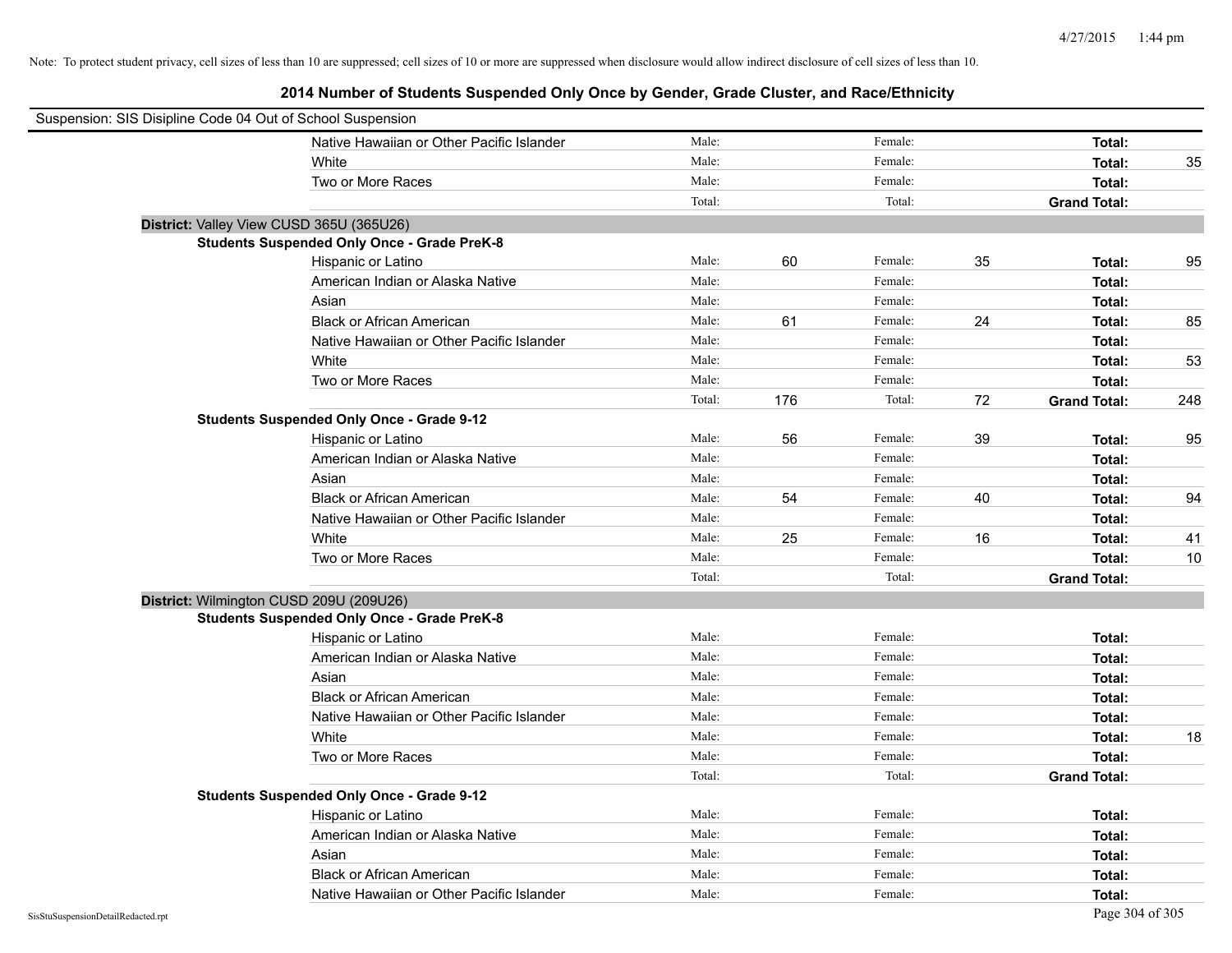| Suspension: SIS Disipline Code 04 Out of School Suspension |        |     |         |    |                     |     |
|------------------------------------------------------------|--------|-----|---------|----|---------------------|-----|
| Native Hawaiian or Other Pacific Islander                  | Male:  |     | Female: |    | Total:              |     |
| White                                                      | Male:  |     | Female: |    | Total:              | 35  |
| Two or More Races                                          | Male:  |     | Female: |    | Total:              |     |
|                                                            | Total: |     | Total:  |    | <b>Grand Total:</b> |     |
| District: Valley View CUSD 365U (365U26)                   |        |     |         |    |                     |     |
| <b>Students Suspended Only Once - Grade PreK-8</b>         |        |     |         |    |                     |     |
| Hispanic or Latino                                         | Male:  | 60  | Female: | 35 | Total:              | 95  |
| American Indian or Alaska Native                           | Male:  |     | Female: |    | Total:              |     |
| Asian                                                      | Male:  |     | Female: |    | Total:              |     |
| <b>Black or African American</b>                           | Male:  | 61  | Female: | 24 | Total:              | 85  |
| Native Hawaiian or Other Pacific Islander                  | Male:  |     | Female: |    | Total:              |     |
| White                                                      | Male:  |     | Female: |    | Total:              | 53  |
| Two or More Races                                          | Male:  |     | Female: |    | Total:              |     |
|                                                            | Total: | 176 | Total:  | 72 | <b>Grand Total:</b> | 248 |
| <b>Students Suspended Only Once - Grade 9-12</b>           |        |     |         |    |                     |     |
| Hispanic or Latino                                         | Male:  | 56  | Female: | 39 | Total:              | 95  |
| American Indian or Alaska Native                           | Male:  |     | Female: |    | Total:              |     |
| Asian                                                      | Male:  |     | Female: |    | Total:              |     |
| <b>Black or African American</b>                           | Male:  | 54  | Female: | 40 | Total:              | 94  |
| Native Hawaiian or Other Pacific Islander                  | Male:  |     | Female: |    | Total:              |     |
| White                                                      | Male:  | 25  | Female: | 16 | Total:              | 41  |
| Two or More Races                                          | Male:  |     | Female: |    | Total:              | 10  |
|                                                            | Total: |     | Total:  |    | <b>Grand Total:</b> |     |
| District: Wilmington CUSD 209U (209U26)                    |        |     |         |    |                     |     |
| <b>Students Suspended Only Once - Grade PreK-8</b>         |        |     |         |    |                     |     |
| Hispanic or Latino                                         | Male:  |     | Female: |    | Total:              |     |
| American Indian or Alaska Native                           | Male:  |     | Female: |    | Total:              |     |
| Asian                                                      | Male:  |     | Female: |    | Total:              |     |
| <b>Black or African American</b>                           | Male:  |     | Female: |    | Total:              |     |
| Native Hawaiian or Other Pacific Islander                  | Male:  |     | Female: |    | Total:              |     |
| White                                                      | Male:  |     | Female: |    | Total:              | 18  |
| Two or More Races                                          | Male:  |     | Female: |    | Total:              |     |
|                                                            | Total: |     | Total:  |    | <b>Grand Total:</b> |     |
| <b>Students Suspended Only Once - Grade 9-12</b>           |        |     |         |    |                     |     |
| Hispanic or Latino                                         | Male:  |     | Female: |    | Total:              |     |
| American Indian or Alaska Native                           | Male:  |     | Female: |    | Total:              |     |
| Asian                                                      | Male:  |     | Female: |    | Total:              |     |
| <b>Black or African American</b>                           | Male:  |     | Female: |    | Total:              |     |
| Native Hawaiian or Other Pacific Islander                  | Male:  |     | Female: |    | Total:              |     |